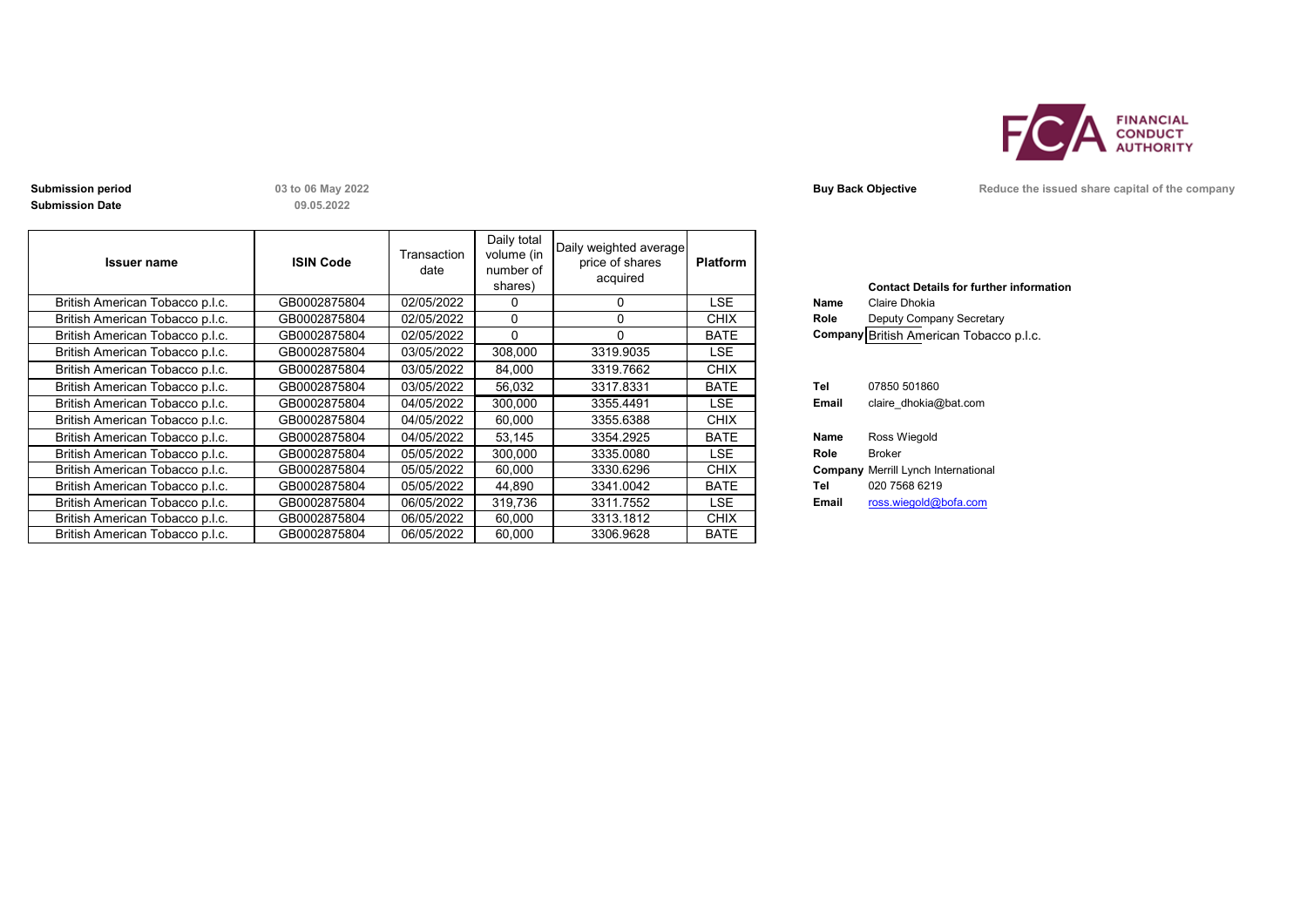

**Submission Date**

**09.05.2022**

| <b>Issuer name</b>              | <b>ISIN Code</b> | Transaction<br>date | Daily total<br>volume (in<br>number of<br>shares) | Daily weighted average<br>price of shares<br>acquired | <b>Platform</b> |       | <b>Contact Details for further inforn</b>  |
|---------------------------------|------------------|---------------------|---------------------------------------------------|-------------------------------------------------------|-----------------|-------|--------------------------------------------|
| British American Tobacco p.l.c. | GB0002875804     | 02/05/2022          | $\Omega$                                          | $\mathbf{0}$                                          | <b>LSE</b>      | Name  | Claire Dhokia                              |
| British American Tobacco p.l.c. | GB0002875804     | 02/05/2022          | $\Omega$                                          | $\Omega$                                              | <b>CHIX</b>     | Role  | Deputy Company Secretary                   |
| British American Tobacco p.l.c. | GB0002875804     | 02/05/2022          | $\Omega$                                          | $\Omega$                                              | <b>BATE</b>     |       | Company British American Tobacco p.l.c.    |
| British American Tobacco p.l.c. | GB0002875804     | 03/05/2022          | 308,000                                           | 3319.9035                                             | <b>LSE</b>      |       |                                            |
| British American Tobacco p.l.c. | GB0002875804     | 03/05/2022          | 84,000                                            | 3319.7662                                             | <b>CHIX</b>     |       |                                            |
| British American Tobacco p.l.c. | GB0002875804     | 03/05/2022          | 56,032                                            | 3317.8331                                             | <b>BATE</b>     | Tel   | 07850 501860                               |
| British American Tobacco p.l.c. | GB0002875804     | 04/05/2022          | 300,000                                           | 3355.4491                                             | LSE.            | Email | claire dhokia@bat.com                      |
| British American Tobacco p.l.c. | GB0002875804     | 04/05/2022          | 60,000                                            | 3355.6388                                             | <b>CHIX</b>     |       |                                            |
| British American Tobacco p.l.c. | GB0002875804     | 04/05/2022          | 53,145                                            | 3354.2925                                             | <b>BATE</b>     | Name  | Ross Wiegold                               |
| British American Tobacco p.l.c. | GB0002875804     | 05/05/2022          | 300,000                                           | 3335.0080                                             | LSE.            | Role  | Broker                                     |
| British American Tobacco p.l.c. | GB0002875804     | 05/05/2022          | 60,000                                            | 3330.6296                                             | <b>CHIX</b>     |       | <b>Company Merrill Lynch International</b> |
| British American Tobacco p.l.c. | GB0002875804     | 05/05/2022          | 44,890                                            | 3341.0042                                             | <b>BATE</b>     | Tel   | 020 7568 6219                              |
| British American Tobacco p.l.c. | GB0002875804     | 06/05/2022          | 319,736                                           | 3311.7552                                             | <b>LSE</b>      | Email | ross.wiegold@bofa.com                      |
| British American Tobacco p.l.c. | GB0002875804     | 06/05/2022          | 60.000                                            | 3313.1812                                             | <b>CHIX</b>     |       |                                            |
| British American Tobacco p.l.c. | GB0002875804     | 06/05/2022          | 60.000                                            | 3306.9628                                             | <b>BATE</b>     |       |                                            |

|             | <b>Contact Details for further information</b> |
|-------------|------------------------------------------------|
| Name        | Claire Dhokia                                  |
| Role        | Deputy Company Secretary                       |
|             | Company British American Tobacco p.l.c.        |
|             |                                                |
|             |                                                |
| Tel         | 07850 501860                                   |
| Email       | claire dhokia@bat.com                          |
|             |                                                |
| <b>Name</b> | Ross Wiegold                                   |
| Role        | Broker                                         |
|             | <b>Company Merrill Lynch International</b>     |
| Tel         | 020 7568 6219                                  |
| Email       | ross.wiegold@bofa.com                          |
|             |                                                |

**Submission period 13 to 06 May 2022 Buy Back Objective Reduce the issued share capital of the company**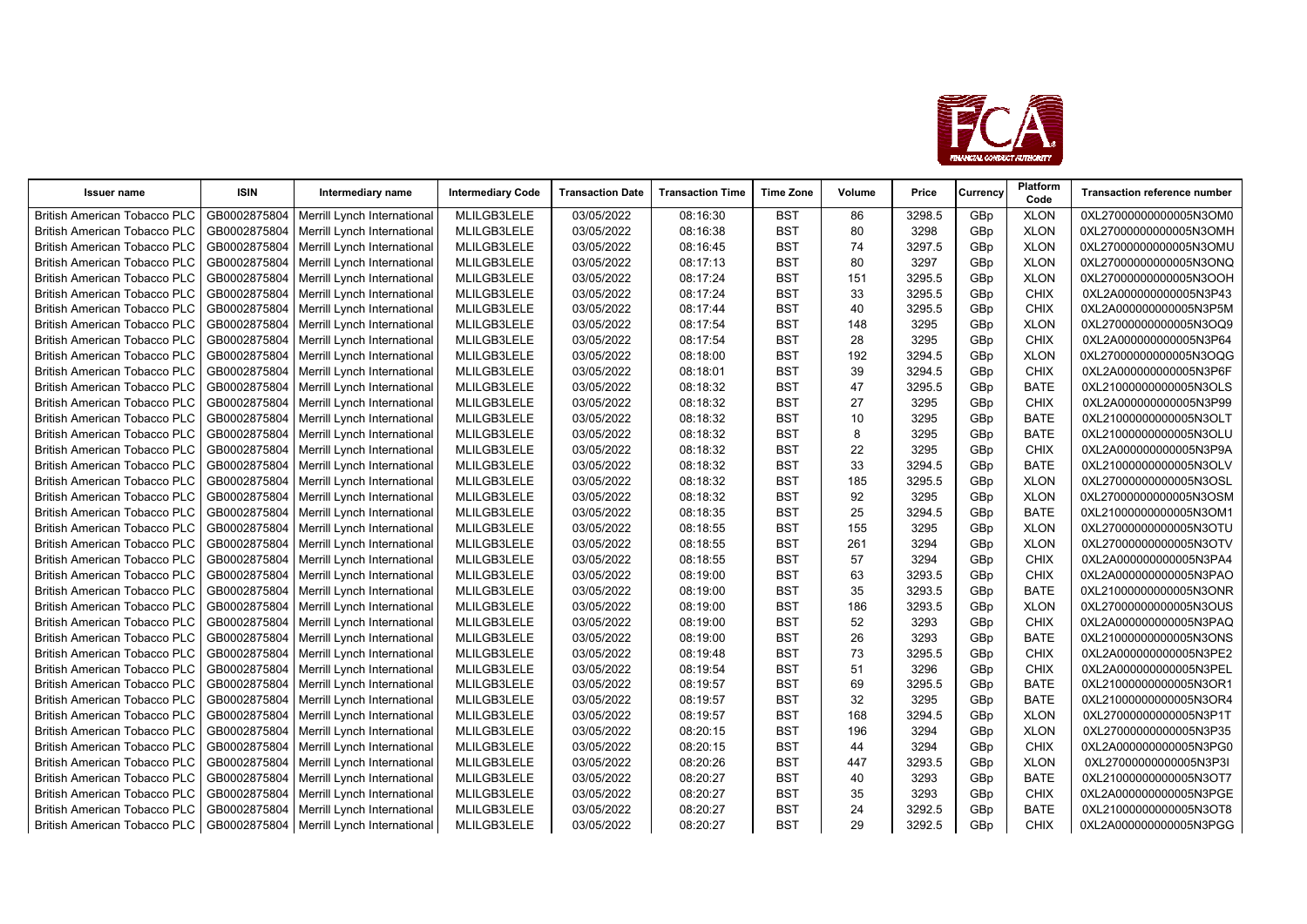

| <b>Issuer name</b>                  | <b>ISIN</b>  | Intermediary name                          | <b>Intermediary Code</b> | <b>Transaction Date</b> | <b>Transaction Time</b> | <b>Time Zone</b> | Volume | Price  | Currency        | Platform<br>Code | <b>Transaction reference number</b> |
|-------------------------------------|--------------|--------------------------------------------|--------------------------|-------------------------|-------------------------|------------------|--------|--------|-----------------|------------------|-------------------------------------|
| <b>British American Tobacco PLC</b> | GB0002875804 | Merrill Lynch International                | MLILGB3LELE              | 03/05/2022              | 08:16:30                | BST              | 86     | 3298.5 | GBp             | <b>XLON</b>      | 0XL27000000000005N3OM0              |
| <b>British American Tobacco PLC</b> | GB0002875804 | Merrill Lynch International                | MLILGB3LELE              | 03/05/2022              | 08:16:38                | <b>BST</b>       | 80     | 3298   | GBp             | <b>XLON</b>      | 0XL27000000000005N3OMH              |
| <b>British American Tobacco PLC</b> | GB0002875804 | Merrill Lynch International                | MLILGB3LELE              | 03/05/2022              | 08:16:45                | <b>BST</b>       | 74     | 3297.5 | GBp             | <b>XLON</b>      | 0XL27000000000005N3OMU              |
| <b>British American Tobacco PLC</b> | GB0002875804 | Merrill Lynch International                | MLILGB3LELE              | 03/05/2022              | 08:17:13                | <b>BST</b>       | 80     | 3297   | GBp             | <b>XLON</b>      | 0XL27000000000005N3ONQ              |
| British American Tobacco PLC        | GB0002875804 | Merrill Lynch International                | MLILGB3LELE              | 03/05/2022              | 08:17:24                | <b>BST</b>       | 151    | 3295.5 | GBp             | <b>XLON</b>      | 0XL27000000000005N3OOH              |
| <b>British American Tobacco PLC</b> | GB0002875804 | Merrill Lynch International                | MLILGB3LELE              | 03/05/2022              | 08:17:24                | <b>BST</b>       | 33     | 3295.5 | GBp             | <b>CHIX</b>      | 0XL2A000000000005N3P43              |
| <b>British American Tobacco PLC</b> | GB0002875804 | Merrill Lynch International                | MLILGB3LELE              | 03/05/2022              | 08:17:44                | <b>BST</b>       | 40     | 3295.5 | GBp             | <b>CHIX</b>      | 0XL2A000000000005N3P5M              |
| <b>British American Tobacco PLC</b> | GB0002875804 | Merrill Lynch International                | MLILGB3LELE              | 03/05/2022              | 08:17:54                | <b>BST</b>       | 148    | 3295   | GBp             | <b>XLON</b>      | 0XL27000000000005N3OQ9              |
| <b>British American Tobacco PLC</b> | GB0002875804 | Merrill Lynch International                | MLILGB3LELE              | 03/05/2022              | 08:17:54                | <b>BST</b>       | 28     | 3295   | GBp             | <b>CHIX</b>      | 0XL2A000000000005N3P64              |
| <b>British American Tobacco PLC</b> | GB0002875804 | Merrill Lynch International                | MLILGB3LELE              | 03/05/2022              | 08:18:00                | <b>BST</b>       | 192    | 3294.5 | GBp             | <b>XLON</b>      | 0XL27000000000005N3OQG              |
| <b>British American Tobacco PLC</b> | GB0002875804 | Merrill Lynch International                | MLILGB3LELE              | 03/05/2022              | 08:18:01                | <b>BST</b>       | 39     | 3294.5 | GBp             | CHIX             | 0XL2A000000000005N3P6F              |
| <b>British American Tobacco PLC</b> | GB0002875804 | Merrill Lynch International                | MLILGB3LELE              | 03/05/2022              | 08:18:32                | <b>BST</b>       | 47     | 3295.5 | GBp             | <b>BATE</b>      | 0XL21000000000005N3OLS              |
| <b>British American Tobacco PLC</b> | GB0002875804 | Merrill Lynch International                | MLILGB3LELE              | 03/05/2022              | 08:18:32                | <b>BST</b>       | 27     | 3295   | GBp             | <b>CHIX</b>      | 0XL2A000000000005N3P99              |
| <b>British American Tobacco PLC</b> | GB0002875804 | Merrill Lynch International                | MLILGB3LELE              | 03/05/2022              | 08:18:32                | <b>BST</b>       | 10     | 3295   | GBp             | <b>BATE</b>      | 0XL21000000000005N3OLT              |
| <b>British American Tobacco PLC</b> | GB0002875804 | Merrill Lynch International                | MLILGB3LELE              | 03/05/2022              | 08:18:32                | <b>BST</b>       | 8      | 3295   | GBp             | <b>BATE</b>      | 0XL21000000000005N3OLU              |
| <b>British American Tobacco PLC</b> | GB0002875804 | Merrill Lynch International                | MLILGB3LELE              | 03/05/2022              | 08:18:32                | <b>BST</b>       | 22     | 3295   | GBp             | <b>CHIX</b>      | 0XL2A000000000005N3P9A              |
| <b>British American Tobacco PLC</b> | GB0002875804 | Merrill Lynch International                | MLILGB3LELE              | 03/05/2022              | 08:18:32                | <b>BST</b>       | 33     | 3294.5 | GBp             | <b>BATE</b>      | 0XL21000000000005N3OLV              |
| British American Tobacco PLC        | GB0002875804 | Merrill Lynch International                | MLILGB3LELE              | 03/05/2022              | 08:18:32                | <b>BST</b>       | 185    | 3295.5 | GBp             | <b>XLON</b>      | 0XL27000000000005N3OSL              |
| <b>British American Tobacco PLC</b> | GB0002875804 | Merrill Lynch International                | MLILGB3LELE              | 03/05/2022              | 08:18:32                | <b>BST</b>       | 92     | 3295   | GBp             | <b>XLON</b>      | 0XL27000000000005N3OSM              |
| <b>British American Tobacco PLC</b> | GB0002875804 | Merrill Lynch International                | MLILGB3LELE              | 03/05/2022              | 08:18:35                | <b>BST</b>       | 25     | 3294.5 | GBp             | <b>BATE</b>      | 0XL21000000000005N3OM1              |
| <b>British American Tobacco PLC</b> | GB0002875804 | Merrill Lynch International                | MLILGB3LELE              | 03/05/2022              | 08:18:55                | <b>BST</b>       | 155    | 3295   | GBp             | <b>XLON</b>      | 0XL27000000000005N3OTU              |
| <b>British American Tobacco PLC</b> | GB0002875804 | Merrill Lynch International                | MLILGB3LELE              | 03/05/2022              | 08:18:55                | <b>BST</b>       | 261    | 3294   | GBp             | <b>XLON</b>      | 0XL27000000000005N3OTV              |
| <b>British American Tobacco PLC</b> | GB0002875804 | Merrill Lynch International                | MLILGB3LELE              | 03/05/2022              | 08:18:55                | <b>BST</b>       | 57     | 3294   | GBp             | <b>CHIX</b>      | 0XL2A000000000005N3PA4              |
| British American Tobacco PLC        | GB0002875804 | Merrill Lynch International                | MLILGB3LELE              | 03/05/2022              | 08:19:00                | <b>BST</b>       | 63     | 3293.5 | GBp             | CHIX             | 0XL2A000000000005N3PAO              |
| <b>British American Tobacco PLC</b> | GB0002875804 | Merrill Lynch International                | MLILGB3LELE              | 03/05/2022              | 08:19:00                | <b>BST</b>       | 35     | 3293.5 | GBp             | <b>BATE</b>      | 0XL21000000000005N3ONR              |
| British American Tobacco PLC        | GB0002875804 | Merrill Lynch International                | MLILGB3LELE              | 03/05/2022              | 08:19:00                | <b>BST</b>       | 186    | 3293.5 | GB <sub>p</sub> | <b>XLON</b>      | 0XL27000000000005N3OUS              |
| <b>British American Tobacco PLC</b> | GB0002875804 | Merrill Lynch International                | MLILGB3LELE              | 03/05/2022              | 08:19:00                | <b>BST</b>       | 52     | 3293   | GBp             | <b>CHIX</b>      | 0XL2A000000000005N3PAQ              |
| <b>British American Tobacco PLC</b> | GB0002875804 | Merrill Lynch International                | MLILGB3LELE              | 03/05/2022              | 08:19:00                | <b>BST</b>       | 26     | 3293   | GBp             | <b>BATE</b>      | 0XL21000000000005N3ONS              |
| <b>British American Tobacco PLC</b> | GB0002875804 | Merrill Lynch International                | MLILGB3LELE              | 03/05/2022              | 08:19:48                | <b>BST</b>       | 73     | 3295.5 | GBp             | CHIX             | 0XL2A000000000005N3PE2              |
| <b>British American Tobacco PLC</b> | GB0002875804 | Merrill Lynch International                | MLILGB3LELE              | 03/05/2022              | 08:19:54                | <b>BST</b>       | 51     | 3296   | GBp             | <b>CHIX</b>      | 0XL2A000000000005N3PEL              |
| <b>British American Tobacco PLC</b> | GB0002875804 | Merrill Lynch International                | MLILGB3LELE              | 03/05/2022              | 08:19:57                | <b>BST</b>       | 69     | 3295.5 | GBp             | <b>BATE</b>      | 0XL21000000000005N3OR1              |
| British American Tobacco PLC        | GB0002875804 | Merrill Lynch International                | MLILGB3LELE              | 03/05/2022              | 08:19:57                | <b>BST</b>       | 32     | 3295   | GBp             | <b>BATE</b>      | 0XL21000000000005N3OR4              |
| <b>British American Tobacco PLC</b> | GB0002875804 | Merrill Lynch International                | MLILGB3LELE              | 03/05/2022              | 08:19:57                | <b>BST</b>       | 168    | 3294.5 | GBp             | <b>XLON</b>      | 0XL27000000000005N3P1T              |
| <b>British American Tobacco PLC</b> | GB0002875804 | Merrill Lynch International                | MLILGB3LELE              | 03/05/2022              | 08:20:15                | <b>BST</b>       | 196    | 3294   | GBp             | <b>XLON</b>      | 0XL27000000000005N3P35              |
| <b>British American Tobacco PLC</b> | GB0002875804 | Merrill Lynch International                | MLILGB3LELE              | 03/05/2022              | 08:20:15                | <b>BST</b>       | 44     | 3294   | GBp             | <b>CHIX</b>      | 0XL2A000000000005N3PG0              |
| <b>British American Tobacco PLC</b> | GB0002875804 | Merrill Lynch International                | MLILGB3LELE              | 03/05/2022              | 08:20:26                | <b>BST</b>       | 447    | 3293.5 | GBp             | <b>XLON</b>      | 0XL27000000000005N3P3I              |
| <b>British American Tobacco PLC</b> | GB0002875804 | Merrill Lynch International                | MLILGB3LELE              | 03/05/2022              | 08:20:27                | <b>BST</b>       | 40     | 3293   | GBp             | <b>BATE</b>      | 0XL21000000000005N3OT7              |
| <b>British American Tobacco PLC</b> | GB0002875804 | Merrill Lynch International                | MLILGB3LELE              | 03/05/2022              | 08:20:27                | <b>BST</b>       | 35     | 3293   | GBp             | <b>CHIX</b>      | 0XL2A000000000005N3PGE              |
| <b>British American Tobacco PLC</b> | GB0002875804 | Merrill Lynch International                | MLILGB3LELE              | 03/05/2022              | 08:20:27                | <b>BST</b>       | 24     | 3292.5 | GBp             | <b>BATE</b>      | 0XL21000000000005N3OT8              |
| <b>British American Tobacco PLC</b> |              | GB0002875804   Merrill Lynch International | MLILGB3LELE              | 03/05/2022              | 08:20:27                | <b>BST</b>       | 29     | 3292.5 | GB <sub>p</sub> | <b>CHIX</b>      | 0XL2A000000000005N3PGG              |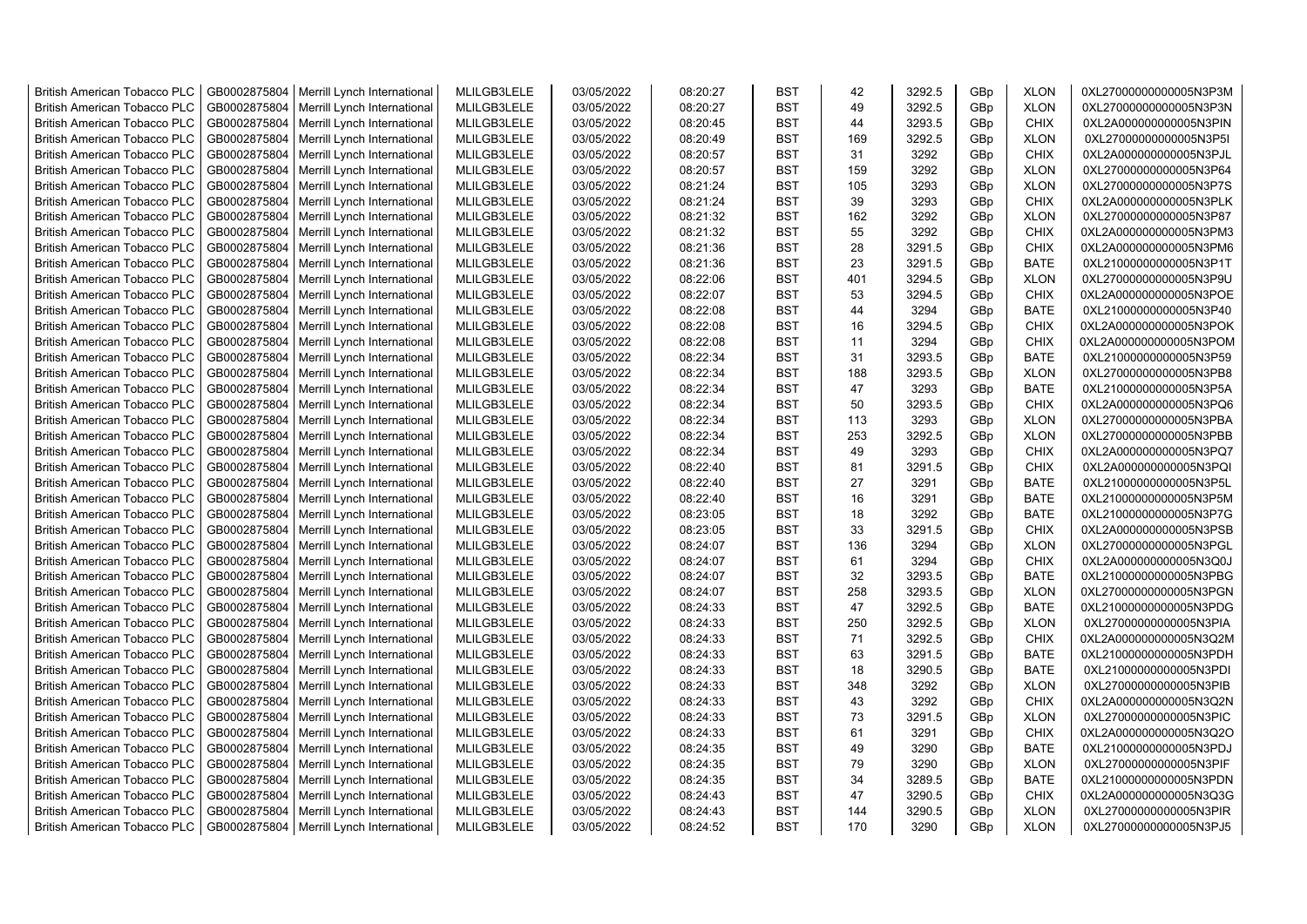| <b>British American Tobacco PLC</b> |              | GB0002875804   Merrill Lynch International | MLILGB3LELE | 03/05/2022 | 08:20:27 | <b>BST</b> | 42  | 3292.5 | GBp | <b>XLON</b> | 0XL27000000000005N3P3M |
|-------------------------------------|--------------|--------------------------------------------|-------------|------------|----------|------------|-----|--------|-----|-------------|------------------------|
| <b>British American Tobacco PLC</b> | GB0002875804 | Merrill Lynch International                | MLILGB3LELE | 03/05/2022 | 08:20:27 | <b>BST</b> | 49  | 3292.5 | GBp | <b>XLON</b> | 0XL27000000000005N3P3N |
| <b>British American Tobacco PLC</b> | GB0002875804 | Merrill Lynch International                | MLILGB3LELE | 03/05/2022 | 08:20:45 | <b>BST</b> | 44  | 3293.5 | GBp | <b>CHIX</b> | 0XL2A000000000005N3PIN |
| <b>British American Tobacco PLC</b> | GB0002875804 | Merrill Lynch International                | MLILGB3LELE | 03/05/2022 | 08:20:49 | <b>BST</b> | 169 | 3292.5 | GBp | <b>XLON</b> | 0XL27000000000005N3P5I |
| British American Tobacco PLC        | GB0002875804 | Merrill Lynch International                | MLILGB3LELE | 03/05/2022 | 08:20:57 | <b>BST</b> | 31  | 3292   | GBp | <b>CHIX</b> | 0XL2A000000000005N3PJL |
| <b>British American Tobacco PLC</b> | GB0002875804 | Merrill Lynch International                | MLILGB3LELE | 03/05/2022 | 08:20:57 | <b>BST</b> | 159 | 3292   | GBp | <b>XLON</b> | 0XL27000000000005N3P64 |
| <b>British American Tobacco PLC</b> | GB0002875804 | Merrill Lynch International                | MLILGB3LELE | 03/05/2022 | 08:21:24 | <b>BST</b> | 105 | 3293   | GBp | <b>XLON</b> | 0XL27000000000005N3P7S |
| <b>British American Tobacco PLC</b> | GB0002875804 | Merrill Lynch International                | MLILGB3LELE | 03/05/2022 | 08:21:24 | <b>BST</b> | 39  | 3293   | GBp | <b>CHIX</b> | 0XL2A000000000005N3PLK |
| <b>British American Tobacco PLC</b> | GB0002875804 | Merrill Lynch International                | MLILGB3LELE | 03/05/2022 | 08:21:32 | <b>BST</b> | 162 | 3292   | GBp | <b>XLON</b> | 0XL27000000000005N3P87 |
| <b>British American Tobacco PLC</b> | GB0002875804 | Merrill Lynch International                | MLILGB3LELE | 03/05/2022 | 08:21:32 | <b>BST</b> | 55  | 3292   | GBp | <b>CHIX</b> | 0XL2A000000000005N3PM3 |
| <b>British American Tobacco PLC</b> | GB0002875804 | Merrill Lynch International                | MLILGB3LELE | 03/05/2022 | 08:21:36 | <b>BST</b> | 28  | 3291.5 | GBp | <b>CHIX</b> | 0XL2A000000000005N3PM6 |
| <b>British American Tobacco PLC</b> | GB0002875804 | Merrill Lynch International                | MLILGB3LELE | 03/05/2022 | 08:21:36 | <b>BST</b> | 23  | 3291.5 | GBp | <b>BATE</b> | 0XL21000000000005N3P1T |
| <b>British American Tobacco PLC</b> | GB0002875804 | Merrill Lynch International                | MLILGB3LELE | 03/05/2022 | 08:22:06 | <b>BST</b> | 401 | 3294.5 | GBp | <b>XLON</b> | 0XL27000000000005N3P9U |
| <b>British American Tobacco PLC</b> | GB0002875804 | Merrill Lynch International                | MLILGB3LELE | 03/05/2022 | 08:22:07 | <b>BST</b> | 53  | 3294.5 | GBp | <b>CHIX</b> | 0XL2A000000000005N3POE |
| <b>British American Tobacco PLC</b> | GB0002875804 | Merrill Lynch International                | MLILGB3LELE | 03/05/2022 | 08:22:08 | <b>BST</b> | 44  | 3294   | GBp | <b>BATE</b> | 0XL21000000000005N3P40 |
| <b>British American Tobacco PLC</b> | GB0002875804 | Merrill Lynch International                | MLILGB3LELE | 03/05/2022 | 08:22:08 | BST        | 16  | 3294.5 | GBp | <b>CHIX</b> | 0XL2A000000000005N3POK |
| <b>British American Tobacco PLC</b> | GB0002875804 | Merrill Lynch International                | MLILGB3LELE | 03/05/2022 | 08:22:08 | <b>BST</b> | 11  | 3294   | GBp | <b>CHIX</b> | 0XL2A000000000005N3POM |
| <b>British American Tobacco PLC</b> | GB0002875804 | Merrill Lynch International                | MLILGB3LELE | 03/05/2022 | 08:22:34 | <b>BST</b> | 31  | 3293.5 | GBp | <b>BATE</b> | 0XL21000000000005N3P59 |
| <b>British American Tobacco PLC</b> | GB0002875804 | Merrill Lynch International                | MLILGB3LELE | 03/05/2022 | 08:22:34 | <b>BST</b> | 188 | 3293.5 | GBp | <b>XLON</b> | 0XL27000000000005N3PB8 |
| <b>British American Tobacco PLC</b> | GB0002875804 | Merrill Lynch International                | MLILGB3LELE | 03/05/2022 | 08:22:34 | <b>BST</b> | 47  | 3293   | GBp | <b>BATE</b> | 0XL21000000000005N3P5A |
| <b>British American Tobacco PLC</b> | GB0002875804 | Merrill Lynch International                | MLILGB3LELE | 03/05/2022 | 08:22:34 | <b>BST</b> | 50  | 3293.5 | GBp | <b>CHIX</b> | 0XL2A000000000005N3PQ6 |
| <b>British American Tobacco PLC</b> | GB0002875804 | Merrill Lynch International                | MLILGB3LELE | 03/05/2022 | 08:22:34 | <b>BST</b> | 113 | 3293   | GBp | <b>XLON</b> | 0XL27000000000005N3PBA |
| <b>British American Tobacco PLC</b> | GB0002875804 | Merrill Lynch International                | MLILGB3LELE | 03/05/2022 | 08:22:34 | <b>BST</b> | 253 | 3292.5 | GBp | <b>XLON</b> | 0XL27000000000005N3PBB |
| <b>British American Tobacco PLC</b> | GB0002875804 | Merrill Lynch International                | MLILGB3LELE | 03/05/2022 | 08:22:34 | <b>BST</b> | 49  | 3293   | GBp | <b>CHIX</b> | 0XL2A000000000005N3PQ7 |
| <b>British American Tobacco PLC</b> | GB0002875804 | Merrill Lynch International                | MLILGB3LELE | 03/05/2022 | 08:22:40 | <b>BST</b> | 81  | 3291.5 | GBp | <b>CHIX</b> | 0XL2A000000000005N3PQI |
| <b>British American Tobacco PLC</b> | GB0002875804 | Merrill Lynch International                | MLILGB3LELE | 03/05/2022 | 08:22:40 | <b>BST</b> | 27  | 3291   | GBp | <b>BATE</b> | 0XL21000000000005N3P5L |
| <b>British American Tobacco PLC</b> | GB0002875804 | Merrill Lynch International                | MLILGB3LELE | 03/05/2022 | 08:22:40 | <b>BST</b> | 16  | 3291   | GBp | <b>BATE</b> | 0XL21000000000005N3P5M |
| <b>British American Tobacco PLC</b> | GB0002875804 | Merrill Lynch International                | MLILGB3LELE | 03/05/2022 | 08:23:05 | <b>BST</b> | 18  | 3292   | GBp | <b>BATE</b> | 0XL21000000000005N3P7G |
| <b>British American Tobacco PLC</b> | GB0002875804 | Merrill Lynch International                | MLILGB3LELE | 03/05/2022 | 08:23:05 | <b>BST</b> | 33  | 3291.5 | GBp | <b>CHIX</b> | 0XL2A000000000005N3PSB |
| <b>British American Tobacco PLC</b> | GB0002875804 | Merrill Lynch International                | MLILGB3LELE | 03/05/2022 | 08:24:07 | <b>BST</b> | 136 | 3294   | GBp | <b>XLON</b> | 0XL27000000000005N3PGL |
| <b>British American Tobacco PLC</b> | GB0002875804 | Merrill Lynch International                | MLILGB3LELE | 03/05/2022 | 08:24:07 | <b>BST</b> | 61  | 3294   | GBp | <b>CHIX</b> | 0XL2A000000000005N3Q0J |
| <b>British American Tobacco PLC</b> | GB0002875804 | Merrill Lynch International                | MLILGB3LELE | 03/05/2022 | 08:24:07 | <b>BST</b> | 32  | 3293.5 | GBp | <b>BATE</b> | 0XL21000000000005N3PBG |
| <b>British American Tobacco PLC</b> | GB0002875804 | Merrill Lynch International                | MLILGB3LELE | 03/05/2022 | 08:24:07 | <b>BST</b> | 258 | 3293.5 | GBp | <b>XLON</b> | 0XL27000000000005N3PGN |
| <b>British American Tobacco PLC</b> | GB0002875804 | Merrill Lynch International                | MLILGB3LELE | 03/05/2022 | 08:24:33 | <b>BST</b> | 47  | 3292.5 | GBp | <b>BATE</b> | 0XL21000000000005N3PDG |
| <b>British American Tobacco PLC</b> | GB0002875804 | Merrill Lynch International                | MLILGB3LELE | 03/05/2022 | 08:24:33 | <b>BST</b> | 250 | 3292.5 | GBp | <b>XLON</b> | 0XL27000000000005N3PIA |
| <b>British American Tobacco PLC</b> | GB0002875804 | Merrill Lynch International                | MLILGB3LELE | 03/05/2022 | 08:24:33 | <b>BST</b> | 71  | 3292.5 | GBp | <b>CHIX</b> | 0XL2A000000000005N3Q2M |
| <b>British American Tobacco PLC</b> | GB0002875804 | Merrill Lynch International                | MLILGB3LELE | 03/05/2022 | 08:24:33 | <b>BST</b> | 63  | 3291.5 | GBp | <b>BATE</b> | 0XL21000000000005N3PDH |
| <b>British American Tobacco PLC</b> | GB0002875804 | Merrill Lynch International                | MLILGB3LELE | 03/05/2022 | 08:24:33 | <b>BST</b> | 18  | 3290.5 | GBp | <b>BATE</b> | 0XL21000000000005N3PDI |
| <b>British American Tobacco PLC</b> | GB0002875804 | Merrill Lynch International                | MLILGB3LELE | 03/05/2022 | 08:24:33 | <b>BST</b> | 348 | 3292   | GBp | <b>XLON</b> | 0XL27000000000005N3PIB |
| <b>British American Tobacco PLC</b> | GB0002875804 | Merrill Lynch International                | MLILGB3LELE | 03/05/2022 | 08:24:33 | <b>BST</b> | 43  | 3292   | GBp | <b>CHIX</b> | 0XL2A000000000005N3Q2N |
| <b>British American Tobacco PLC</b> | GB0002875804 | Merrill Lynch International                | MLILGB3LELE | 03/05/2022 | 08:24:33 | <b>BST</b> | 73  | 3291.5 | GBp | <b>XLON</b> | 0XL27000000000005N3PIC |
| <b>British American Tobacco PLC</b> | GB0002875804 | Merrill Lynch International                | MLILGB3LELE | 03/05/2022 | 08:24:33 | <b>BST</b> | 61  | 3291   | GBp | <b>CHIX</b> | 0XL2A000000000005N3Q2O |
| <b>British American Tobacco PLC</b> | GB0002875804 | Merrill Lynch International                | MLILGB3LELE | 03/05/2022 | 08:24:35 | <b>BST</b> | 49  | 3290   | GBp | <b>BATE</b> | 0XL21000000000005N3PDJ |
| <b>British American Tobacco PLC</b> | GB0002875804 | Merrill Lynch International                | MLILGB3LELE | 03/05/2022 | 08:24:35 | <b>BST</b> | 79  | 3290   | GBp | <b>XLON</b> | 0XL27000000000005N3PIF |
| <b>British American Tobacco PLC</b> | GB0002875804 | Merrill Lynch International                | MLILGB3LELE | 03/05/2022 | 08:24:35 | <b>BST</b> | 34  | 3289.5 | GBp | <b>BATE</b> | 0XL21000000000005N3PDN |
| <b>British American Tobacco PLC</b> | GB0002875804 | Merrill Lynch International                | MLILGB3LELE | 03/05/2022 | 08:24:43 | <b>BST</b> | 47  | 3290.5 | GBp | <b>CHIX</b> | 0XL2A000000000005N3Q3G |
| <b>British American Tobacco PLC</b> | GB0002875804 | Merrill Lynch International                | MLILGB3LELE | 03/05/2022 | 08:24:43 | <b>BST</b> | 144 | 3290.5 | GBp | <b>XLON</b> | 0XL27000000000005N3PIR |
| <b>British American Tobacco PLC</b> |              | GB0002875804   Merrill Lynch International | MLILGB3LELE | 03/05/2022 | 08:24:52 | <b>BST</b> | 170 | 3290   | GBp | <b>XLON</b> | 0XL27000000000005N3PJ5 |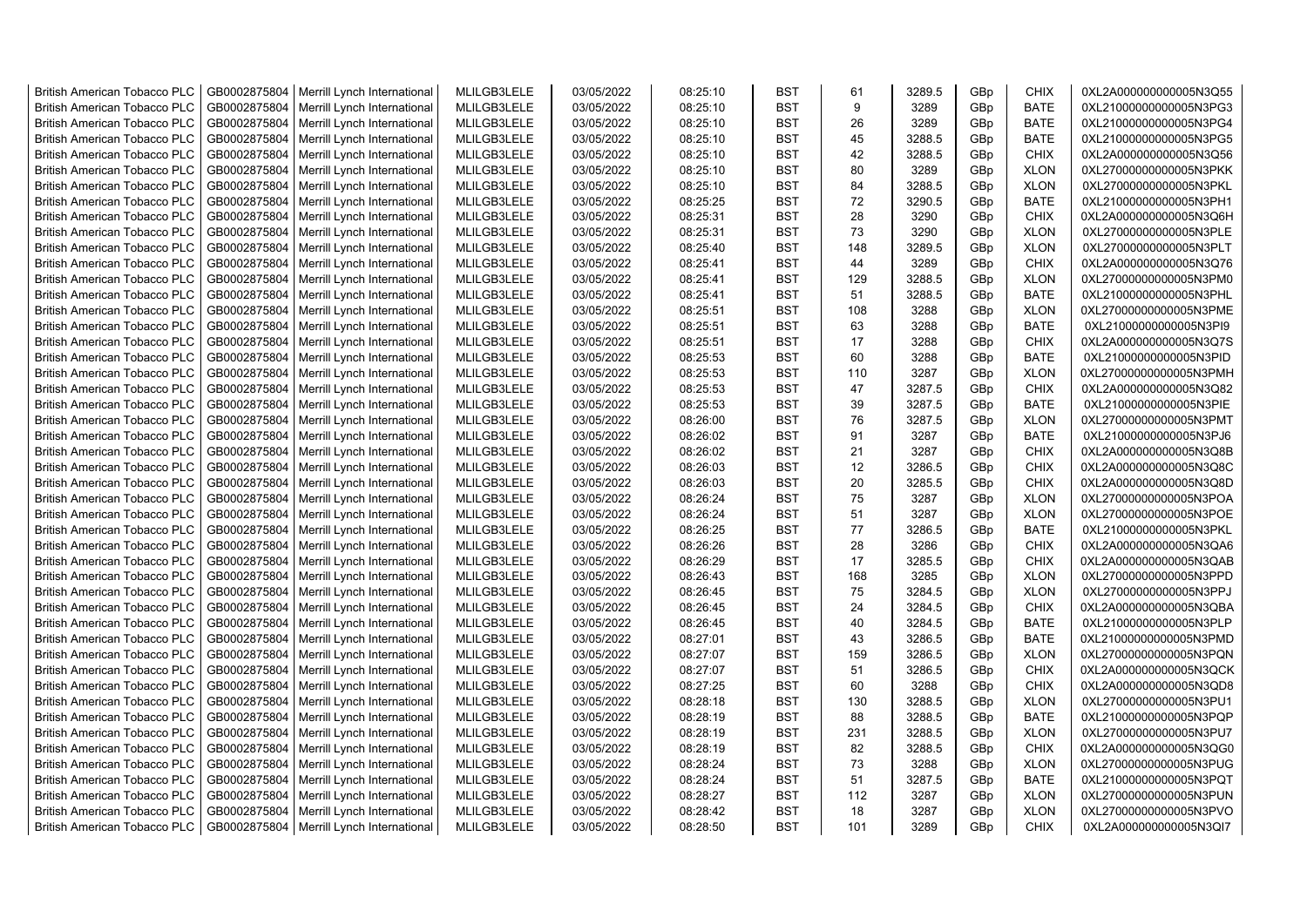| <b>British American Tobacco PLC</b> | GB0002875804 | Merrill Lynch International | MLILGB3LELE | 03/05/2022 | 08:25:10 | <b>BST</b> | 61  | 3289.5 | GBp | <b>CHIX</b> | 0XL2A000000000005N3Q55 |
|-------------------------------------|--------------|-----------------------------|-------------|------------|----------|------------|-----|--------|-----|-------------|------------------------|
| <b>British American Tobacco PLC</b> | GB0002875804 | Merrill Lynch International | MLILGB3LELE | 03/05/2022 | 08:25:10 | <b>BST</b> | 9   | 3289   | GBp | <b>BATE</b> | 0XL21000000000005N3PG3 |
| <b>British American Tobacco PLC</b> | GB0002875804 | Merrill Lynch International | MLILGB3LELE | 03/05/2022 | 08:25:10 | <b>BST</b> | 26  | 3289   | GBp | <b>BATE</b> | 0XL21000000000005N3PG4 |
| <b>British American Tobacco PLC</b> | GB0002875804 | Merrill Lynch International | MLILGB3LELE | 03/05/2022 | 08:25:10 | <b>BST</b> | 45  | 3288.5 | GBp | <b>BATE</b> | 0XL21000000000005N3PG5 |
| <b>British American Tobacco PLC</b> | GB0002875804 | Merrill Lynch International | MLILGB3LELE | 03/05/2022 | 08:25:10 | <b>BST</b> | 42  | 3288.5 | GBp | <b>CHIX</b> | 0XL2A000000000005N3Q56 |
| <b>British American Tobacco PLC</b> | GB0002875804 | Merrill Lynch International | MLILGB3LELE | 03/05/2022 | 08:25:10 | <b>BST</b> | 80  | 3289   | GBp | <b>XLON</b> | 0XL27000000000005N3PKK |
| <b>British American Tobacco PLC</b> | GB0002875804 | Merrill Lynch International | MLILGB3LELE | 03/05/2022 | 08:25:10 | <b>BST</b> | 84  | 3288.5 | GBp | <b>XLON</b> | 0XL27000000000005N3PKL |
| <b>British American Tobacco PLC</b> | GB0002875804 | Merrill Lynch International | MLILGB3LELE | 03/05/2022 | 08:25:25 | <b>BST</b> | 72  | 3290.5 | GBp | <b>BATE</b> | 0XL21000000000005N3PH1 |
| <b>British American Tobacco PLC</b> | GB0002875804 | Merrill Lynch International | MLILGB3LELE | 03/05/2022 | 08:25:31 | <b>BST</b> | 28  | 3290   | GBp | <b>CHIX</b> | 0XL2A000000000005N3Q6H |
| <b>British American Tobacco PLC</b> | GB0002875804 | Merrill Lynch International | MLILGB3LELE | 03/05/2022 | 08:25:31 | <b>BST</b> | 73  | 3290   | GBp | <b>XLON</b> | 0XL27000000000005N3PLE |
| <b>British American Tobacco PLC</b> | GB0002875804 | Merrill Lynch International | MLILGB3LELE | 03/05/2022 | 08:25:40 | <b>BST</b> | 148 | 3289.5 | GBp | <b>XLON</b> | 0XL27000000000005N3PLT |
| <b>British American Tobacco PLC</b> | GB0002875804 | Merrill Lynch International | MLILGB3LELE | 03/05/2022 | 08:25:41 | <b>BST</b> | 44  | 3289   | GBp | <b>CHIX</b> | 0XL2A000000000005N3Q76 |
| <b>British American Tobacco PLC</b> | GB0002875804 | Merrill Lynch International | MLILGB3LELE | 03/05/2022 | 08:25:41 | <b>BST</b> | 129 | 3288.5 | GBp | <b>XLON</b> | 0XL27000000000005N3PM0 |
| <b>British American Tobacco PLC</b> | GB0002875804 | Merrill Lynch International | MLILGB3LELE | 03/05/2022 | 08:25:41 | <b>BST</b> | 51  | 3288.5 | GBp | <b>BATE</b> | 0XL21000000000005N3PHL |
| <b>British American Tobacco PLC</b> | GB0002875804 | Merrill Lynch International | MLILGB3LELE | 03/05/2022 | 08:25:51 | <b>BST</b> | 108 | 3288   | GBp | <b>XLON</b> | 0XL27000000000005N3PME |
| <b>British American Tobacco PLC</b> | GB0002875804 | Merrill Lynch International | MLILGB3LELE | 03/05/2022 | 08:25:51 | <b>BST</b> | 63  | 3288   | GBp | <b>BATE</b> | 0XL21000000000005N3PI9 |
| <b>British American Tobacco PLC</b> | GB0002875804 | Merrill Lynch International | MLILGB3LELE | 03/05/2022 | 08:25:51 | <b>BST</b> | 17  | 3288   | GBp | <b>CHIX</b> | 0XL2A000000000005N3Q7S |
| <b>British American Tobacco PLC</b> | GB0002875804 | Merrill Lynch International | MLILGB3LELE | 03/05/2022 | 08:25:53 | <b>BST</b> | 60  | 3288   | GBp | <b>BATE</b> | 0XL21000000000005N3PID |
| <b>British American Tobacco PLC</b> | GB0002875804 | Merrill Lynch International | MLILGB3LELE | 03/05/2022 | 08:25:53 | <b>BST</b> | 110 | 3287   | GBp | <b>XLON</b> | 0XL27000000000005N3PMH |
| <b>British American Tobacco PLC</b> | GB0002875804 | Merrill Lynch International | MLILGB3LELE | 03/05/2022 | 08:25:53 | <b>BST</b> | 47  | 3287.5 | GBp | <b>CHIX</b> | 0XL2A000000000005N3Q82 |
| <b>British American Tobacco PLC</b> | GB0002875804 | Merrill Lynch International | MLILGB3LELE | 03/05/2022 | 08:25:53 | <b>BST</b> | 39  | 3287.5 | GBp | <b>BATE</b> | 0XL21000000000005N3PIE |
| <b>British American Tobacco PLC</b> | GB0002875804 | Merrill Lynch International | MLILGB3LELE | 03/05/2022 | 08:26:00 | <b>BST</b> | 76  | 3287.5 | GBp | <b>XLON</b> | 0XL27000000000005N3PMT |
| <b>British American Tobacco PLC</b> | GB0002875804 | Merrill Lynch International | MLILGB3LELE | 03/05/2022 | 08:26:02 | <b>BST</b> | 91  | 3287   | GBp | <b>BATE</b> | 0XL21000000000005N3PJ6 |
| <b>British American Tobacco PLC</b> | GB0002875804 | Merrill Lynch International | MLILGB3LELE | 03/05/2022 | 08:26:02 | BST        | 21  | 3287   | GBp | <b>CHIX</b> | 0XL2A000000000005N3Q8B |
| <b>British American Tobacco PLC</b> | GB0002875804 | Merrill Lynch International | MLILGB3LELE | 03/05/2022 | 08:26:03 | <b>BST</b> | 12  | 3286.5 | GBp | <b>CHIX</b> | 0XL2A000000000005N3Q8C |
| <b>British American Tobacco PLC</b> | GB0002875804 | Merrill Lynch International | MLILGB3LELE | 03/05/2022 | 08:26:03 | <b>BST</b> | 20  | 3285.5 | GBp | <b>CHIX</b> | 0XL2A000000000005N3Q8D |
| <b>British American Tobacco PLC</b> | GB0002875804 | Merrill Lynch International | MLILGB3LELE | 03/05/2022 | 08:26:24 | <b>BST</b> | 75  | 3287   | GBp | <b>XLON</b> | 0XL27000000000005N3POA |
| British American Tobacco PLC        | GB0002875804 | Merrill Lynch International | MLILGB3LELE | 03/05/2022 | 08:26:24 | <b>BST</b> | 51  | 3287   | GBp | <b>XLON</b> | 0XL27000000000005N3POE |
| <b>British American Tobacco PLC</b> | GB0002875804 | Merrill Lynch International | MLILGB3LELE | 03/05/2022 | 08:26:25 | <b>BST</b> | 77  | 3286.5 | GBp | <b>BATE</b> | 0XL21000000000005N3PKL |
| <b>British American Tobacco PLC</b> | GB0002875804 | Merrill Lynch International | MLILGB3LELE | 03/05/2022 | 08:26:26 | <b>BST</b> | 28  | 3286   | GBp | <b>CHIX</b> | 0XL2A000000000005N3QA6 |
| <b>British American Tobacco PLC</b> | GB0002875804 | Merrill Lynch International | MLILGB3LELE | 03/05/2022 | 08:26:29 | <b>BST</b> | 17  | 3285.5 | GBp | <b>CHIX</b> | 0XL2A000000000005N3QAB |
| <b>British American Tobacco PLC</b> | GB0002875804 | Merrill Lynch International | MLILGB3LELE | 03/05/2022 | 08:26:43 | <b>BST</b> | 168 | 3285   | GBp | <b>XLON</b> | 0XL27000000000005N3PPD |
| <b>British American Tobacco PLC</b> | GB0002875804 | Merrill Lynch International | MLILGB3LELE | 03/05/2022 | 08:26:45 | <b>BST</b> | 75  | 3284.5 | GBp | <b>XLON</b> | 0XL27000000000005N3PPJ |
| <b>British American Tobacco PLC</b> | GB0002875804 | Merrill Lynch International | MLILGB3LELE | 03/05/2022 | 08:26:45 | <b>BST</b> | 24  | 3284.5 | GBp | <b>CHIX</b> | 0XL2A000000000005N3QBA |
| <b>British American Tobacco PLC</b> | GB0002875804 | Merrill Lynch International | MLILGB3LELE | 03/05/2022 | 08:26:45 | <b>BST</b> | 40  | 3284.5 | GBp | <b>BATE</b> | 0XL21000000000005N3PLP |
| <b>British American Tobacco PLC</b> | GB0002875804 | Merrill Lynch International | MLILGB3LELE | 03/05/2022 | 08:27:01 | <b>BST</b> | 43  | 3286.5 | GBp | <b>BATE</b> | 0XL21000000000005N3PMD |
| <b>British American Tobacco PLC</b> | GB0002875804 | Merrill Lynch International | MLILGB3LELE | 03/05/2022 | 08:27:07 | <b>BST</b> | 159 | 3286.5 | GBp | <b>XLON</b> | 0XL27000000000005N3PQN |
| <b>British American Tobacco PLC</b> | GB0002875804 | Merrill Lynch International | MLILGB3LELE | 03/05/2022 | 08:27:07 | <b>BST</b> | 51  | 3286.5 | GBp | <b>CHIX</b> | 0XL2A000000000005N3QCK |
| <b>British American Tobacco PLC</b> | GB0002875804 | Merrill Lynch International | MLILGB3LELE | 03/05/2022 | 08:27:25 | <b>BST</b> | 60  | 3288   | GBp | <b>CHIX</b> | 0XL2A000000000005N3QD8 |
| <b>British American Tobacco PLC</b> | GB0002875804 | Merrill Lynch International | MLILGB3LELE | 03/05/2022 | 08:28:18 | <b>BST</b> | 130 | 3288.5 | GBp | <b>XLON</b> | 0XL27000000000005N3PU1 |
| <b>British American Tobacco PLC</b> | GB0002875804 | Merrill Lynch International | MLILGB3LELE | 03/05/2022 | 08:28:19 | <b>BST</b> | 88  | 3288.5 | GBp | <b>BATE</b> | 0XL21000000000005N3PQP |
| <b>British American Tobacco PLC</b> | GB0002875804 | Merrill Lynch International | MLILGB3LELE | 03/05/2022 | 08:28:19 | <b>BST</b> | 231 | 3288.5 | GBp | <b>XLON</b> | 0XL27000000000005N3PU7 |
| <b>British American Tobacco PLC</b> | GB0002875804 | Merrill Lynch International | MLILGB3LELE | 03/05/2022 | 08:28:19 | <b>BST</b> | 82  | 3288.5 | GBp | <b>CHIX</b> | 0XL2A000000000005N3QG0 |
| <b>British American Tobacco PLC</b> | GB0002875804 | Merrill Lynch International | MLILGB3LELE | 03/05/2022 | 08:28:24 | <b>BST</b> | 73  | 3288   | GBp | <b>XLON</b> | 0XL27000000000005N3PUG |
| <b>British American Tobacco PLC</b> | GB0002875804 | Merrill Lynch International | MLILGB3LELE | 03/05/2022 | 08:28:24 | <b>BST</b> | 51  | 3287.5 | GBp | <b>BATE</b> | 0XL21000000000005N3PQT |
| <b>British American Tobacco PLC</b> | GB0002875804 | Merrill Lynch International | MLILGB3LELE | 03/05/2022 | 08:28:27 | <b>BST</b> | 112 | 3287   | GBp | <b>XLON</b> | 0XL27000000000005N3PUN |
| <b>British American Tobacco PLC</b> | GB0002875804 | Merrill Lynch International | MLILGB3LELE | 03/05/2022 | 08:28:42 | <b>BST</b> | 18  | 3287   | GBp | <b>XLON</b> | 0XL27000000000005N3PVO |
| <b>British American Tobacco PLC</b> | GB0002875804 | Merrill Lynch International | MLILGB3LELE | 03/05/2022 | 08:28:50 | <b>BST</b> | 101 | 3289   | GBp | <b>CHIX</b> | 0XL2A000000000005N3QI7 |
|                                     |              |                             |             |            |          |            |     |        |     |             |                        |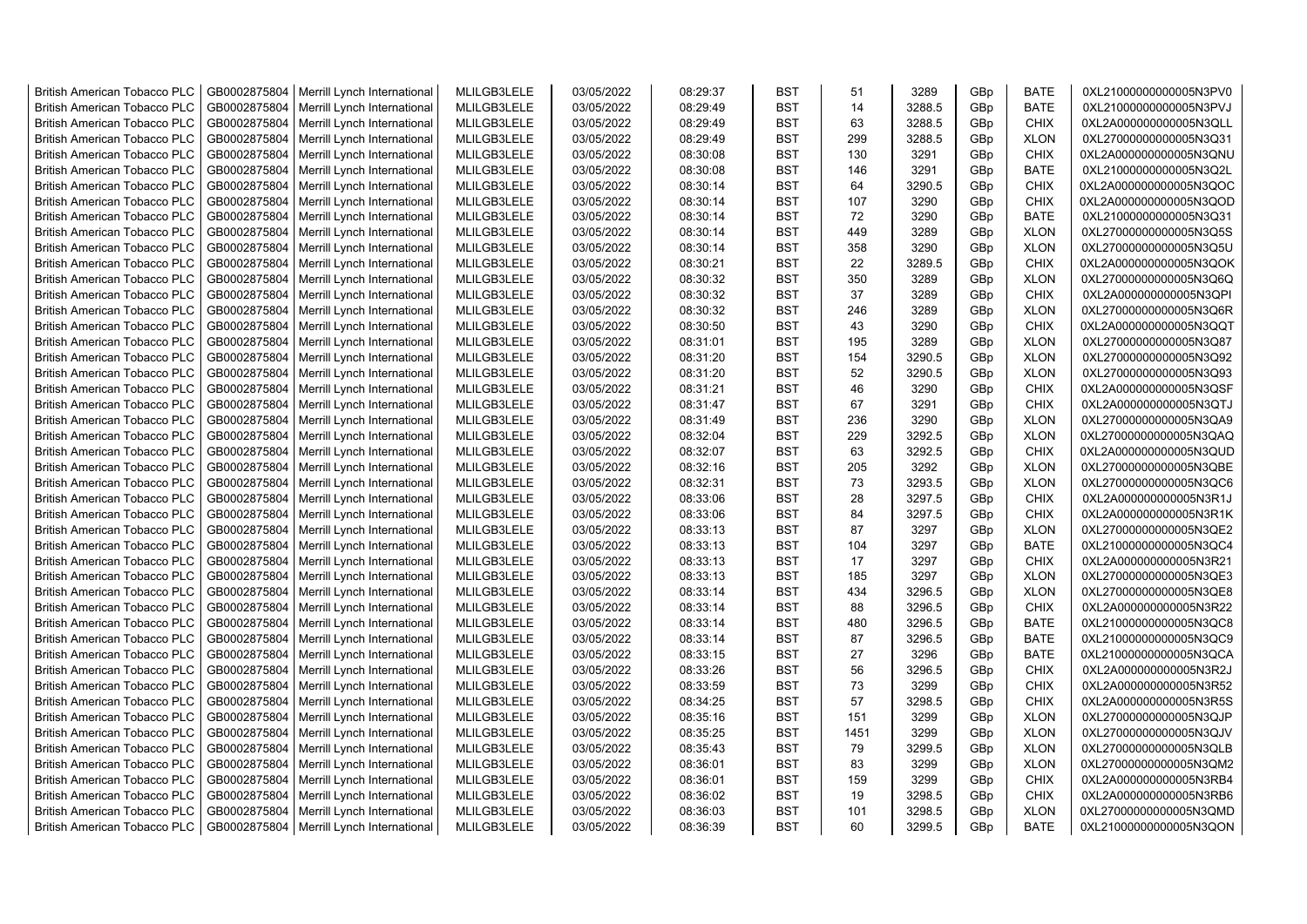| <b>British American Tobacco PLC</b> | GB0002875804 | Merrill Lynch International | MLILGB3LELE | 03/05/2022 | 08:29:37 | <b>BST</b> | 51   | 3289   | GBp             | <b>BATE</b> | 0XL21000000000005N3PV0 |
|-------------------------------------|--------------|-----------------------------|-------------|------------|----------|------------|------|--------|-----------------|-------------|------------------------|
| <b>British American Tobacco PLC</b> | GB0002875804 | Merrill Lynch International | MLILGB3LELE | 03/05/2022 | 08:29:49 | <b>BST</b> | 14   | 3288.5 | GBp             | <b>BATE</b> | 0XL21000000000005N3PVJ |
| <b>British American Tobacco PLC</b> | GB0002875804 | Merrill Lynch International | MLILGB3LELE | 03/05/2022 | 08:29:49 | <b>BST</b> | 63   | 3288.5 | GBp             | <b>CHIX</b> | 0XL2A000000000005N3QLL |
| <b>British American Tobacco PLC</b> | GB0002875804 | Merrill Lynch International | MLILGB3LELE | 03/05/2022 | 08:29:49 | <b>BST</b> | 299  | 3288.5 | GBp             | <b>XLON</b> | 0XL27000000000005N3Q31 |
| British American Tobacco PLC        | GB0002875804 | Merrill Lynch International | MLILGB3LELE | 03/05/2022 | 08:30:08 | <b>BST</b> | 130  | 3291   | GBp             | <b>CHIX</b> | 0XL2A000000000005N3QNU |
| <b>British American Tobacco PLC</b> | GB0002875804 | Merrill Lynch International | MLILGB3LELE | 03/05/2022 | 08:30:08 | <b>BST</b> | 146  | 3291   | GBp             | <b>BATE</b> | 0XL21000000000005N3Q2L |
| British American Tobacco PLC        | GB0002875804 | Merrill Lynch International | MLILGB3LELE | 03/05/2022 | 08:30:14 | <b>BST</b> | 64   | 3290.5 | GBp             | <b>CHIX</b> | 0XL2A000000000005N3QOC |
| <b>British American Tobacco PLC</b> | GB0002875804 | Merrill Lynch International | MLILGB3LELE | 03/05/2022 | 08:30:14 | <b>BST</b> | 107  | 3290   | GBp             | <b>CHIX</b> | 0XL2A000000000005N3QOD |
| <b>British American Tobacco PLC</b> | GB0002875804 | Merrill Lynch International | MLILGB3LELE | 03/05/2022 | 08:30:14 | <b>BST</b> | 72   | 3290   | GBp             | <b>BATE</b> | 0XL21000000000005N3Q31 |
| <b>British American Tobacco PLC</b> | GB0002875804 | Merrill Lynch International | MLILGB3LELE | 03/05/2022 | 08:30:14 | <b>BST</b> | 449  | 3289   | GBp             | <b>XLON</b> | 0XL27000000000005N3Q5S |
| <b>British American Tobacco PLC</b> | GB0002875804 | Merrill Lynch International | MLILGB3LELE | 03/05/2022 | 08:30:14 | <b>BST</b> | 358  | 3290   | GBp             | <b>XLON</b> | 0XL27000000000005N3Q5U |
| <b>British American Tobacco PLC</b> | GB0002875804 | Merrill Lynch International | MLILGB3LELE | 03/05/2022 | 08:30:21 | <b>BST</b> | 22   | 3289.5 | GBp             | <b>CHIX</b> | 0XL2A000000000005N3QOK |
| <b>British American Tobacco PLC</b> | GB0002875804 | Merrill Lynch International | MLILGB3LELE | 03/05/2022 | 08:30:32 | <b>BST</b> | 350  | 3289   | GBp             | <b>XLON</b> | 0XL27000000000005N3Q6Q |
| <b>British American Tobacco PLC</b> | GB0002875804 | Merrill Lynch International | MLILGB3LELE | 03/05/2022 | 08:30:32 | <b>BST</b> | 37   | 3289   | GBp             | <b>CHIX</b> | 0XL2A000000000005N3QPI |
| <b>British American Tobacco PLC</b> | GB0002875804 | Merrill Lynch International | MLILGB3LELE | 03/05/2022 | 08:30:32 | <b>BST</b> | 246  | 3289   | GBp             | <b>XLON</b> | 0XL27000000000005N3Q6R |
| <b>British American Tobacco PLC</b> | GB0002875804 | Merrill Lynch International | MLILGB3LELE | 03/05/2022 | 08:30:50 | <b>BST</b> | 43   | 3290   | GBp             | <b>CHIX</b> | 0XL2A000000000005N3QQT |
| British American Tobacco PLC        | GB0002875804 | Merrill Lynch International | MLILGB3LELE | 03/05/2022 | 08:31:01 | <b>BST</b> | 195  | 3289   | GBp             | <b>XLON</b> | 0XL27000000000005N3Q87 |
| <b>British American Tobacco PLC</b> | GB0002875804 | Merrill Lynch International | MLILGB3LELE | 03/05/2022 | 08:31:20 | <b>BST</b> | 154  | 3290.5 | GBp             | <b>XLON</b> | 0XL27000000000005N3Q92 |
| <b>British American Tobacco PLC</b> | GB0002875804 | Merrill Lynch International | MLILGB3LELE | 03/05/2022 | 08:31:20 | <b>BST</b> | 52   | 3290.5 | GBp             | <b>XLON</b> | 0XL27000000000005N3Q93 |
| <b>British American Tobacco PLC</b> | GB0002875804 | Merrill Lynch International | MLILGB3LELE | 03/05/2022 | 08:31:21 | <b>BST</b> | 46   | 3290   | GBp             | <b>CHIX</b> | 0XL2A000000000005N3QSF |
| <b>British American Tobacco PLC</b> | GB0002875804 | Merrill Lynch International | MLILGB3LELE | 03/05/2022 | 08:31:47 | <b>BST</b> | 67   | 3291   | GBp             | <b>CHIX</b> | 0XL2A000000000005N3QTJ |
| <b>British American Tobacco PLC</b> | GB0002875804 | Merrill Lynch International | MLILGB3LELE | 03/05/2022 | 08:31:49 | <b>BST</b> | 236  | 3290   | GBp             | <b>XLON</b> | 0XL27000000000005N3QA9 |
| British American Tobacco PLC        | GB0002875804 | Merrill Lynch International | MLILGB3LELE | 03/05/2022 | 08:32:04 | <b>BST</b> | 229  | 3292.5 | GBp             | <b>XLON</b> | 0XL27000000000005N3QAQ |
| <b>British American Tobacco PLC</b> | GB0002875804 | Merrill Lynch International | MLILGB3LELE | 03/05/2022 | 08:32:07 | <b>BST</b> | 63   | 3292.5 | GBp             | <b>CHIX</b> | 0XL2A000000000005N3QUD |
| <b>British American Tobacco PLC</b> | GB0002875804 | Merrill Lynch International | MLILGB3LELE | 03/05/2022 | 08:32:16 | <b>BST</b> | 205  | 3292   | GBp             | <b>XLON</b> | 0XL27000000000005N3QBE |
| <b>British American Tobacco PLC</b> | GB0002875804 | Merrill Lynch International | MLILGB3LELE | 03/05/2022 | 08:32:31 | <b>BST</b> | 73   | 3293.5 | GBp             | <b>XLON</b> | 0XL27000000000005N3QC6 |
| <b>British American Tobacco PLC</b> | GB0002875804 | Merrill Lynch International | MLILGB3LELE | 03/05/2022 | 08:33:06 | <b>BST</b> | 28   | 3297.5 | GBp             | <b>CHIX</b> | 0XL2A000000000005N3R1J |
| <b>British American Tobacco PLC</b> | GB0002875804 | Merrill Lynch International | MLILGB3LELE | 03/05/2022 | 08:33:06 | <b>BST</b> | 84   | 3297.5 | GBp             | <b>CHIX</b> | 0XL2A000000000005N3R1K |
| <b>British American Tobacco PLC</b> | GB0002875804 | Merrill Lynch International | MLILGB3LELE | 03/05/2022 | 08:33:13 | <b>BST</b> | 87   | 3297   | GBp             | <b>XLON</b> | 0XL27000000000005N3QE2 |
| <b>British American Tobacco PLC</b> | GB0002875804 | Merrill Lynch International | MLILGB3LELE | 03/05/2022 | 08:33:13 | <b>BST</b> | 104  | 3297   | GBp             | <b>BATE</b> | 0XL21000000000005N3QC4 |
| <b>British American Tobacco PLC</b> | GB0002875804 | Merrill Lynch International | MLILGB3LELE | 03/05/2022 | 08:33:13 | <b>BST</b> | 17   | 3297   | GBp             | <b>CHIX</b> | 0XL2A000000000005N3R21 |
| <b>British American Tobacco PLC</b> | GB0002875804 | Merrill Lynch International | MLILGB3LELE | 03/05/2022 | 08:33:13 | <b>BST</b> | 185  | 3297   | GBp             | <b>XLON</b> | 0XL27000000000005N3QE3 |
| <b>British American Tobacco PLC</b> | GB0002875804 | Merrill Lynch International | MLILGB3LELE | 03/05/2022 | 08:33:14 | <b>BST</b> | 434  | 3296.5 | GBp             | <b>XLON</b> | 0XL27000000000005N3QE8 |
| <b>British American Tobacco PLC</b> | GB0002875804 | Merrill Lynch International | MLILGB3LELE | 03/05/2022 | 08:33:14 | <b>BST</b> | 88   | 3296.5 | GBp             | <b>CHIX</b> | 0XL2A000000000005N3R22 |
| British American Tobacco PLC        | GB0002875804 | Merrill Lynch International | MLILGB3LELE | 03/05/2022 | 08:33:14 | <b>BST</b> | 480  | 3296.5 | GBp             | <b>BATE</b> | 0XL21000000000005N3QC8 |
| British American Tobacco PLC        | GB0002875804 | Merrill Lynch International | MLILGB3LELE | 03/05/2022 | 08:33:14 | <b>BST</b> | 87   | 3296.5 | GBp             | <b>BATE</b> | 0XL21000000000005N3QC9 |
| <b>British American Tobacco PLC</b> | GB0002875804 | Merrill Lynch International | MLILGB3LELE | 03/05/2022 | 08:33:15 | <b>BST</b> | 27   | 3296   | GBp             | <b>BATE</b> | 0XL21000000000005N3QCA |
| <b>British American Tobacco PLC</b> | GB0002875804 | Merrill Lynch International | MLILGB3LELE | 03/05/2022 | 08:33:26 | <b>BST</b> | 56   | 3296.5 | GBp             | <b>CHIX</b> | 0XL2A000000000005N3R2J |
| <b>British American Tobacco PLC</b> | GB0002875804 | Merrill Lynch International | MLILGB3LELE | 03/05/2022 | 08:33:59 | <b>BST</b> | 73   | 3299   | GB <sub>p</sub> | <b>CHIX</b> | 0XL2A000000000005N3R52 |
| <b>British American Tobacco PLC</b> | GB0002875804 | Merrill Lynch International | MLILGB3LELE | 03/05/2022 | 08:34:25 | <b>BST</b> | 57   | 3298.5 | GBp             | <b>CHIX</b> | 0XL2A000000000005N3R5S |
| <b>British American Tobacco PLC</b> | GB0002875804 | Merrill Lynch International | MLILGB3LELE | 03/05/2022 | 08:35:16 | <b>BST</b> | 151  | 3299   | GBp             | <b>XLON</b> | 0XL27000000000005N3QJP |
| <b>British American Tobacco PLC</b> | GB0002875804 | Merrill Lynch International | MLILGB3LELE | 03/05/2022 | 08:35:25 | <b>BST</b> | 1451 | 3299   | GBp             | <b>XLON</b> | 0XL27000000000005N3QJV |
| <b>British American Tobacco PLC</b> | GB0002875804 | Merrill Lynch International | MLILGB3LELE | 03/05/2022 | 08:35:43 | <b>BST</b> | 79   | 3299.5 | GBp             | <b>XLON</b> | 0XL27000000000005N3QLB |
| <b>British American Tobacco PLC</b> | GB0002875804 | Merrill Lynch International | MLILGB3LELE | 03/05/2022 | 08:36:01 | <b>BST</b> | 83   | 3299   | GBp             | <b>XLON</b> | 0XL27000000000005N3QM2 |
| <b>British American Tobacco PLC</b> | GB0002875804 | Merrill Lynch International | MLILGB3LELE | 03/05/2022 | 08:36:01 | <b>BST</b> | 159  | 3299   | GBp             | <b>CHIX</b> | 0XL2A000000000005N3RB4 |
| <b>British American Tobacco PLC</b> | GB0002875804 | Merrill Lynch International | MLILGB3LELE | 03/05/2022 | 08:36:02 | <b>BST</b> | 19   | 3298.5 | GBp             | <b>CHIX</b> | 0XL2A000000000005N3RB6 |
| <b>British American Tobacco PLC</b> | GB0002875804 | Merrill Lynch International | MLILGB3LELE | 03/05/2022 | 08:36:03 | <b>BST</b> | 101  | 3298.5 | GBp             | <b>XLON</b> | 0XL27000000000005N3QMD |
| <b>British American Tobacco PLC</b> | GB0002875804 | Merrill Lynch International | MLILGB3LELE | 03/05/2022 | 08:36:39 | <b>BST</b> | 60   | 3299.5 | GB <sub>p</sub> | <b>BATE</b> | 0XL21000000000005N3QON |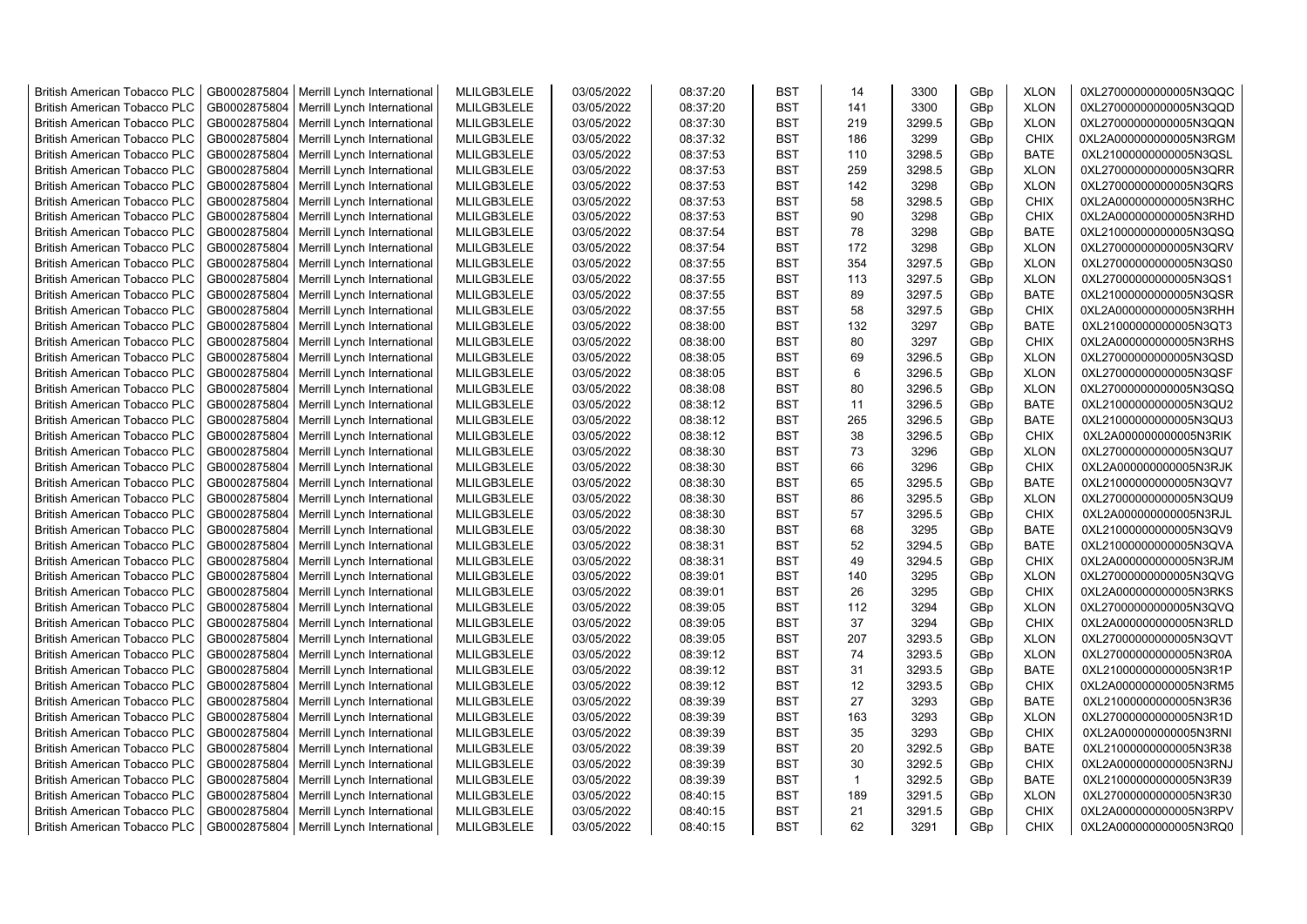| <b>British American Tobacco PLC</b> | GB0002875804 | Merrill Lynch International | MLILGB3LELE | 03/05/2022 | 08:37:20 | <b>BST</b> | 14           | 3300   | GBp             | <b>XLON</b> | 0XL27000000000005N3QQC |
|-------------------------------------|--------------|-----------------------------|-------------|------------|----------|------------|--------------|--------|-----------------|-------------|------------------------|
| <b>British American Tobacco PLC</b> | GB0002875804 | Merrill Lynch International | MLILGB3LELE | 03/05/2022 | 08:37:20 | <b>BST</b> | 141          | 3300   | GBp             | <b>XLON</b> | 0XL27000000000005N3QQD |
| <b>British American Tobacco PLC</b> | GB0002875804 | Merrill Lynch International | MLILGB3LELE | 03/05/2022 | 08:37:30 | <b>BST</b> | 219          | 3299.5 | GBp             | <b>XLON</b> | 0XL27000000000005N3QQN |
| <b>British American Tobacco PLC</b> | GB0002875804 | Merrill Lynch International | MLILGB3LELE | 03/05/2022 | 08:37:32 | <b>BST</b> | 186          | 3299   | GBp             | <b>CHIX</b> | 0XL2A000000000005N3RGM |
| <b>British American Tobacco PLC</b> | GB0002875804 | Merrill Lynch International | MLILGB3LELE | 03/05/2022 | 08:37:53 | <b>BST</b> | 110          | 3298.5 | GBp             | <b>BATE</b> | 0XL21000000000005N3QSL |
| <b>British American Tobacco PLC</b> | GB0002875804 | Merrill Lynch International | MLILGB3LELE | 03/05/2022 | 08:37:53 | <b>BST</b> | 259          | 3298.5 | GBp             | <b>XLON</b> | 0XL27000000000005N3QRR |
| British American Tobacco PLC        | GB0002875804 | Merrill Lynch International | MLILGB3LELE | 03/05/2022 | 08:37:53 | <b>BST</b> | 142          | 3298   | GBp             | <b>XLON</b> | 0XL27000000000005N3QRS |
| <b>British American Tobacco PLC</b> | GB0002875804 | Merrill Lynch International | MLILGB3LELE | 03/05/2022 | 08:37:53 | <b>BST</b> | 58           | 3298.5 | GBp             | <b>CHIX</b> | 0XL2A000000000005N3RHC |
| <b>British American Tobacco PLC</b> | GB0002875804 | Merrill Lynch International | MLILGB3LELE | 03/05/2022 | 08:37:53 | <b>BST</b> | 90           | 3298   | GBp             | <b>CHIX</b> | 0XL2A000000000005N3RHD |
| <b>British American Tobacco PLC</b> | GB0002875804 | Merrill Lynch International | MLILGB3LELE | 03/05/2022 | 08:37:54 | <b>BST</b> | 78           | 3298   | GBp             | <b>BATE</b> | 0XL21000000000005N3QSQ |
| <b>British American Tobacco PLC</b> | GB0002875804 | Merrill Lynch International | MLILGB3LELE | 03/05/2022 | 08:37:54 | <b>BST</b> | 172          | 3298   | GBp             | <b>XLON</b> | 0XL27000000000005N3QRV |
| <b>British American Tobacco PLC</b> | GB0002875804 | Merrill Lynch International | MLILGB3LELE | 03/05/2022 | 08:37:55 | <b>BST</b> | 354          | 3297.5 | GBp             | <b>XLON</b> | 0XL27000000000005N3QS0 |
| <b>British American Tobacco PLC</b> | GB0002875804 | Merrill Lynch International | MLILGB3LELE | 03/05/2022 | 08:37:55 | <b>BST</b> | 113          | 3297.5 | GBp             | <b>XLON</b> | 0XL27000000000005N3QS1 |
| <b>British American Tobacco PLC</b> | GB0002875804 | Merrill Lynch International | MLILGB3LELE | 03/05/2022 | 08:37:55 | <b>BST</b> | 89           | 3297.5 | GBp             | <b>BATE</b> | 0XL21000000000005N3QSR |
| <b>British American Tobacco PLC</b> | GB0002875804 | Merrill Lynch International | MLILGB3LELE | 03/05/2022 | 08:37:55 | <b>BST</b> | 58           | 3297.5 | GBp             | <b>CHIX</b> | 0XL2A000000000005N3RHH |
| <b>British American Tobacco PLC</b> | GB0002875804 | Merrill Lynch International | MLILGB3LELE | 03/05/2022 | 08:38:00 | <b>BST</b> | 132          | 3297   | GBp             | <b>BATE</b> | 0XL21000000000005N3QT3 |
| British American Tobacco PLC        | GB0002875804 | Merrill Lynch International | MLILGB3LELE | 03/05/2022 | 08:38:00 | <b>BST</b> | 80           | 3297   | GBp             | <b>CHIX</b> | 0XL2A000000000005N3RHS |
| <b>British American Tobacco PLC</b> | GB0002875804 | Merrill Lynch International | MLILGB3LELE | 03/05/2022 | 08:38:05 | <b>BST</b> | 69           | 3296.5 | GBp             | <b>XLON</b> | 0XL27000000000005N3QSD |
| <b>British American Tobacco PLC</b> | GB0002875804 | Merrill Lynch International | MLILGB3LELE | 03/05/2022 | 08:38:05 | <b>BST</b> | 6            | 3296.5 | GBp             | <b>XLON</b> | 0XL27000000000005N3QSF |
| <b>British American Tobacco PLC</b> | GB0002875804 | Merrill Lynch International | MLILGB3LELE | 03/05/2022 | 08:38:08 | <b>BST</b> | 80           | 3296.5 | GBp             | <b>XLON</b> | 0XL27000000000005N3QSQ |
| <b>British American Tobacco PLC</b> | GB0002875804 | Merrill Lynch International | MLILGB3LELE | 03/05/2022 | 08:38:12 | <b>BST</b> | 11           | 3296.5 | GBp             | <b>BATE</b> | 0XL21000000000005N3QU2 |
| British American Tobacco PLC        | GB0002875804 | Merrill Lynch International | MLILGB3LELE | 03/05/2022 | 08:38:12 | <b>BST</b> | 265          | 3296.5 | GBp             | <b>BATE</b> | 0XL21000000000005N3QU3 |
| British American Tobacco PLC        | GB0002875804 | Merrill Lynch International | MLILGB3LELE | 03/05/2022 | 08:38:12 | <b>BST</b> | 38           | 3296.5 | GBp             | <b>CHIX</b> | 0XL2A000000000005N3RIK |
| <b>British American Tobacco PLC</b> | GB0002875804 | Merrill Lynch International | MLILGB3LELE | 03/05/2022 | 08:38:30 | <b>BST</b> | 73           | 3296   | GBp             | <b>XLON</b> | 0XL27000000000005N3QU7 |
| <b>British American Tobacco PLC</b> | GB0002875804 | Merrill Lynch International | MLILGB3LELE | 03/05/2022 | 08:38:30 | <b>BST</b> | 66           | 3296   | GBp             | <b>CHIX</b> | 0XL2A000000000005N3RJK |
| <b>British American Tobacco PLC</b> | GB0002875804 | Merrill Lynch International | MLILGB3LELE | 03/05/2022 | 08:38:30 | <b>BST</b> | 65           | 3295.5 | GBp             | <b>BATE</b> | 0XL21000000000005N3QV7 |
| <b>British American Tobacco PLC</b> | GB0002875804 | Merrill Lynch International | MLILGB3LELE | 03/05/2022 | 08:38:30 | <b>BST</b> | 86           | 3295.5 | GBp             | <b>XLON</b> | 0XL27000000000005N3QU9 |
| <b>British American Tobacco PLC</b> | GB0002875804 | Merrill Lynch International | MLILGB3LELE | 03/05/2022 | 08:38:30 | <b>BST</b> | 57           | 3295.5 | GBp             | <b>CHIX</b> | 0XL2A000000000005N3RJL |
| <b>British American Tobacco PLC</b> | GB0002875804 | Merrill Lynch International | MLILGB3LELE | 03/05/2022 | 08:38:30 | <b>BST</b> | 68           | 3295   | GBp             | <b>BATE</b> | 0XL21000000000005N3QV9 |
| <b>British American Tobacco PLC</b> | GB0002875804 | Merrill Lynch International | MLILGB3LELE | 03/05/2022 | 08:38:31 | <b>BST</b> | 52           | 3294.5 | GBp             | <b>BATE</b> | 0XL21000000000005N3QVA |
| <b>British American Tobacco PLC</b> | GB0002875804 | Merrill Lynch International | MLILGB3LELE | 03/05/2022 | 08:38:31 | <b>BST</b> | 49           | 3294.5 | GBp             | <b>CHIX</b> | 0XL2A000000000005N3RJM |
| <b>British American Tobacco PLC</b> | GB0002875804 | Merrill Lynch International | MLILGB3LELE | 03/05/2022 | 08:39:01 | <b>BST</b> | 140          | 3295   | GBp             | <b>XLON</b> | 0XL27000000000005N3QVG |
| <b>British American Tobacco PLC</b> | GB0002875804 | Merrill Lynch International | MLILGB3LELE | 03/05/2022 | 08:39:01 | <b>BST</b> | 26           | 3295   | GBp             | <b>CHIX</b> | 0XL2A000000000005N3RKS |
| <b>British American Tobacco PLC</b> | GB0002875804 | Merrill Lynch International | MLILGB3LELE | 03/05/2022 | 08:39:05 | <b>BST</b> | 112          | 3294   | GBp             | <b>XLON</b> | 0XL27000000000005N3QVQ |
| <b>British American Tobacco PLC</b> | GB0002875804 | Merrill Lynch International | MLILGB3LELE | 03/05/2022 | 08:39:05 | <b>BST</b> | 37           | 3294   | GBp             | <b>CHIX</b> | 0XL2A000000000005N3RLD |
| British American Tobacco PLC        | GB0002875804 | Merrill Lynch International | MLILGB3LELE | 03/05/2022 | 08:39:05 | <b>BST</b> | 207          | 3293.5 | GBp             | <b>XLON</b> | 0XL27000000000005N3QVT |
| <b>British American Tobacco PLC</b> | GB0002875804 | Merrill Lynch International | MLILGB3LELE | 03/05/2022 | 08:39:12 | <b>BST</b> | 74           | 3293.5 | GBp             | <b>XLON</b> | 0XL27000000000005N3R0A |
| British American Tobacco PLC        | GB0002875804 | Merrill Lynch International | MLILGB3LELE | 03/05/2022 | 08:39:12 | <b>BST</b> | 31           | 3293.5 | GBp             | <b>BATE</b> | 0XL21000000000005N3R1P |
| <b>British American Tobacco PLC</b> | GB0002875804 | Merrill Lynch International | MLILGB3LELE | 03/05/2022 | 08:39:12 | <b>BST</b> | 12           | 3293.5 | GBp             | <b>CHIX</b> | 0XL2A000000000005N3RM5 |
| <b>British American Tobacco PLC</b> | GB0002875804 | Merrill Lynch International | MLILGB3LELE | 03/05/2022 | 08:39:39 | <b>BST</b> | 27           | 3293   | GBp             | <b>BATE</b> | 0XL21000000000005N3R36 |
| <b>British American Tobacco PLC</b> | GB0002875804 | Merrill Lynch International | MLILGB3LELE | 03/05/2022 | 08:39:39 | <b>BST</b> | 163          | 3293   | GBp             | <b>XLON</b> | 0XL27000000000005N3R1D |
| <b>British American Tobacco PLC</b> | GB0002875804 | Merrill Lynch International | MLILGB3LELE | 03/05/2022 | 08:39:39 | <b>BST</b> | 35           | 3293   | GBp             | <b>CHIX</b> | 0XL2A000000000005N3RNI |
| <b>British American Tobacco PLC</b> | GB0002875804 | Merrill Lynch International | MLILGB3LELE | 03/05/2022 | 08:39:39 | <b>BST</b> | 20           | 3292.5 | GBp             | <b>BATE</b> | 0XL21000000000005N3R38 |
| <b>British American Tobacco PLC</b> | GB0002875804 | Merrill Lynch International | MLILGB3LELE | 03/05/2022 | 08:39:39 | <b>BST</b> | 30           | 3292.5 | GBp             | <b>CHIX</b> | 0XL2A000000000005N3RNJ |
| <b>British American Tobacco PLC</b> | GB0002875804 | Merrill Lynch International | MLILGB3LELE | 03/05/2022 | 08:39:39 | <b>BST</b> | $\mathbf{1}$ | 3292.5 | GBp             | <b>BATE</b> | 0XL21000000000005N3R39 |
| <b>British American Tobacco PLC</b> | GB0002875804 | Merrill Lynch International | MLILGB3LELE | 03/05/2022 | 08:40:15 | <b>BST</b> | 189          | 3291.5 | GBp             | <b>XLON</b> | 0XL27000000000005N3R30 |
| <b>British American Tobacco PLC</b> | GB0002875804 | Merrill Lynch International | MLILGB3LELE | 03/05/2022 | 08:40:15 | <b>BST</b> | 21           | 3291.5 | GBp             | <b>CHIX</b> | 0XL2A000000000005N3RPV |
| <b>British American Tobacco PLC</b> | GB0002875804 | Merrill Lynch International | MLILGB3LELE | 03/05/2022 | 08:40:15 | <b>BST</b> | 62           | 3291   | GB <sub>p</sub> | <b>CHIX</b> | 0XL2A000000000005N3RQ0 |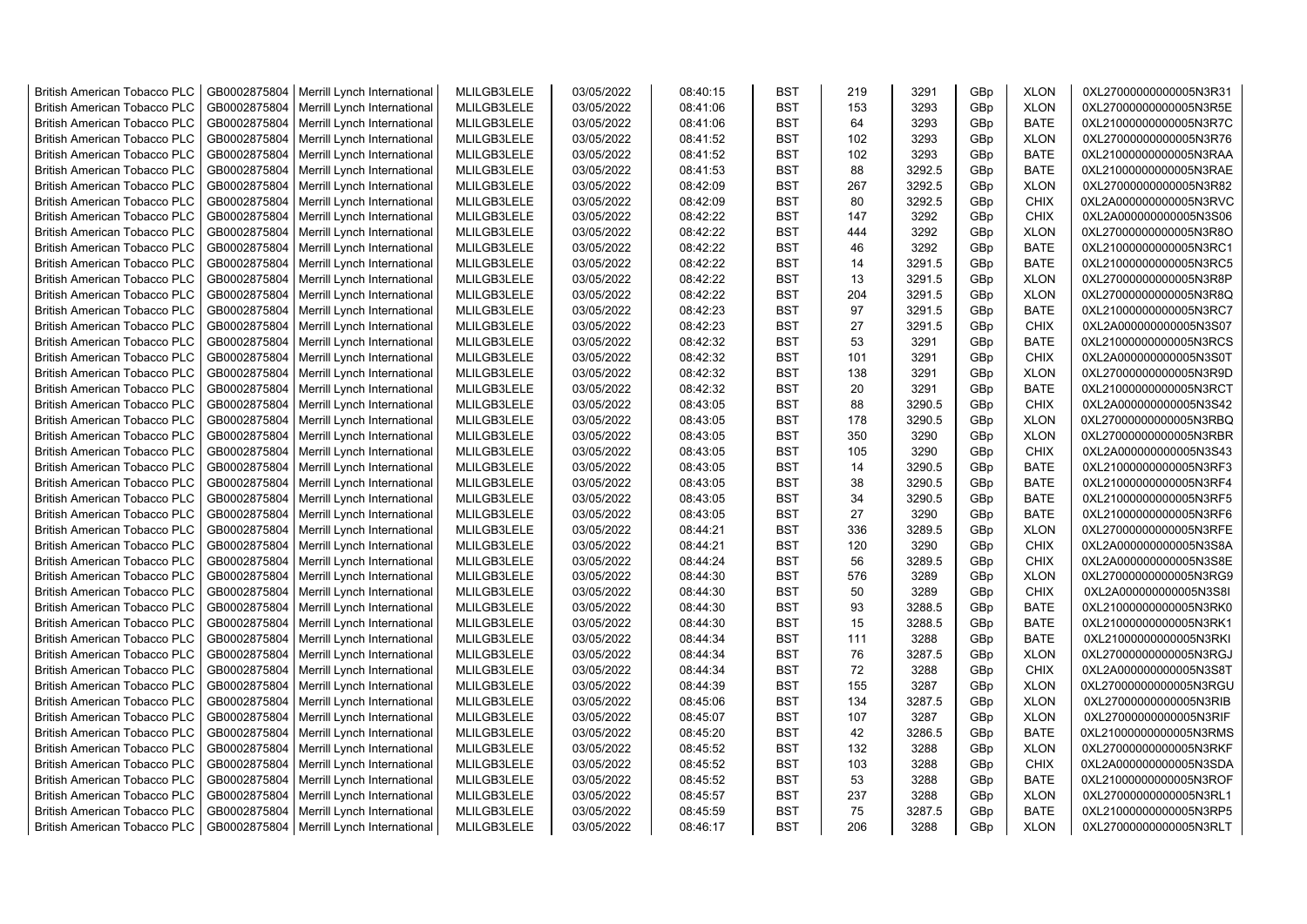| <b>British American Tobacco PLC</b>                                        | GB0002875804 | Merrill Lynch International                                | MLILGB3LELE | 03/05/2022               | 08:40:15             | <b>BST</b>        | 219      | 3291             | GBp        | <b>XLON</b>                | 0XL27000000000005N3R31                           |
|----------------------------------------------------------------------------|--------------|------------------------------------------------------------|-------------|--------------------------|----------------------|-------------------|----------|------------------|------------|----------------------------|--------------------------------------------------|
| <b>British American Tobacco PLC</b>                                        | GB0002875804 | Merrill Lynch International                                | MLILGB3LELE | 03/05/2022               | 08:41:06             | <b>BST</b>        | 153      | 3293             | GBp        | <b>XLON</b>                | 0XL27000000000005N3R5E                           |
| <b>British American Tobacco PLC</b>                                        | GB0002875804 | Merrill Lynch International                                | MLILGB3LELE | 03/05/2022               | 08:41:06             | <b>BST</b>        | 64       | 3293             | GBp        | <b>BATE</b>                | 0XL21000000000005N3R7C                           |
| <b>British American Tobacco PLC</b>                                        | GB0002875804 | Merrill Lynch International                                | MLILGB3LELE | 03/05/2022               | 08:41:52             | <b>BST</b>        | 102      | 3293             | GBp        | <b>XLON</b>                | 0XL27000000000005N3R76                           |
| <b>British American Tobacco PLC</b>                                        | GB0002875804 | Merrill Lynch International                                | MLILGB3LELE | 03/05/2022               | 08:41:52             | <b>BST</b>        | 102      | 3293             | GBp        | <b>BATE</b>                | 0XL21000000000005N3RAA                           |
| <b>British American Tobacco PLC</b>                                        | GB0002875804 | Merrill Lynch International                                | MLILGB3LELE | 03/05/2022               | 08:41:53             | <b>BST</b>        | 88       | 3292.5           | GBp        | <b>BATE</b>                | 0XL21000000000005N3RAE                           |
| <b>British American Tobacco PLC</b>                                        | GB0002875804 | Merrill Lynch International                                | MLILGB3LELE | 03/05/2022               | 08:42:09             | <b>BST</b>        | 267      | 3292.5           | GBp        | <b>XLON</b>                | 0XL27000000000005N3R82                           |
| <b>British American Tobacco PLC</b>                                        | GB0002875804 | Merrill Lynch International                                | MLILGB3LELE | 03/05/2022               | 08:42:09             | BST               | 80       | 3292.5           | GBp        | <b>CHIX</b>                | 0XL2A000000000005N3RVC                           |
| <b>British American Tobacco PLC</b>                                        | GB0002875804 | Merrill Lynch International                                | MLILGB3LELE | 03/05/2022               | 08:42:22             | <b>BST</b>        | 147      | 3292             | GBp        | <b>CHIX</b>                | 0XL2A000000000005N3S06                           |
| <b>British American Tobacco PLC</b>                                        | GB0002875804 | Merrill Lynch International                                | MLILGB3LELE | 03/05/2022               | 08:42:22             | <b>BST</b>        | 444      | 3292             | GBp        | <b>XLON</b>                | 0XL27000000000005N3R8O                           |
| <b>British American Tobacco PLC</b>                                        | GB0002875804 | Merrill Lynch International                                | MLILGB3LELE | 03/05/2022               | 08:42:22             | <b>BST</b>        | 46       | 3292             | GBp        | <b>BATE</b>                | 0XL21000000000005N3RC1                           |
| <b>British American Tobacco PLC</b>                                        | GB0002875804 | Merrill Lynch International                                | MLILGB3LELE | 03/05/2022               | 08:42:22             | <b>BST</b>        | 14       | 3291.5           | GBp        | <b>BATE</b>                | 0XL21000000000005N3RC5                           |
| <b>British American Tobacco PLC</b>                                        | GB0002875804 | Merrill Lynch International                                | MLILGB3LELE | 03/05/2022               | 08:42:22             | <b>BST</b>        | 13       | 3291.5           | GBp        | <b>XLON</b>                | 0XL27000000000005N3R8P                           |
| <b>British American Tobacco PLC</b>                                        | GB0002875804 | Merrill Lynch International                                | MLILGB3LELE | 03/05/2022               | 08:42:22             | <b>BST</b>        | 204      | 3291.5           | GBp        | <b>XLON</b>                | 0XL27000000000005N3R8Q                           |
| <b>British American Tobacco PLC</b>                                        | GB0002875804 | Merrill Lynch International                                | MLILGB3LELE | 03/05/2022               | 08:42:23             | <b>BST</b>        | 97       | 3291.5           | GBp        | <b>BATE</b>                | 0XL21000000000005N3RC7                           |
| <b>British American Tobacco PLC</b>                                        | GB0002875804 | Merrill Lynch International                                | MLILGB3LELE | 03/05/2022               | 08:42:23             | <b>BST</b>        | 27       | 3291.5           | GBp        | <b>CHIX</b>                | 0XL2A000000000005N3S07                           |
| <b>British American Tobacco PLC</b>                                        | GB0002875804 | Merrill Lynch International                                | MLILGB3LELE | 03/05/2022               | 08:42:32             | <b>BST</b>        | 53       | 3291             | GBp        | BATE                       | 0XL21000000000005N3RCS                           |
| <b>British American Tobacco PLC</b>                                        | GB0002875804 | Merrill Lynch International                                | MLILGB3LELE | 03/05/2022               | 08:42:32             | <b>BST</b>        | 101      | 3291             | GBp        | <b>CHIX</b>                | 0XL2A000000000005N3S0T                           |
| <b>British American Tobacco PLC</b>                                        | GB0002875804 | Merrill Lynch International                                | MLILGB3LELE | 03/05/2022               | 08:42:32             | <b>BST</b>        | 138      | 3291             | GBp        | <b>XLON</b>                | 0XL27000000000005N3R9D                           |
| <b>British American Tobacco PLC</b>                                        | GB0002875804 | Merrill Lynch International                                | MLILGB3LELE | 03/05/2022               | 08:42:32             | <b>BST</b>        | 20       | 3291             | GBp        | <b>BATE</b>                | 0XL21000000000005N3RCT                           |
| <b>British American Tobacco PLC</b>                                        | GB0002875804 | Merrill Lynch International                                | MLILGB3LELE | 03/05/2022               | 08:43:05             | <b>BST</b>        | 88       | 3290.5           | GBp        | <b>CHIX</b>                | 0XL2A000000000005N3S42                           |
| <b>British American Tobacco PLC</b>                                        | GB0002875804 | Merrill Lynch International                                | MLILGB3LELE | 03/05/2022               | 08:43:05             | <b>BST</b>        | 178      | 3290.5           | GBp        | <b>XLON</b>                | 0XL27000000000005N3RBQ                           |
| <b>British American Tobacco PLC</b>                                        | GB0002875804 | Merrill Lynch International                                | MLILGB3LELE | 03/05/2022               | 08:43:05             | <b>BST</b>        | 350      | 3290             | GBp        | <b>XLON</b>                | 0XL27000000000005N3RBR                           |
|                                                                            | GB0002875804 | Merrill Lynch International                                | MLILGB3LELE |                          |                      |                   |          | 3290             |            |                            |                                                  |
| <b>British American Tobacco PLC</b>                                        | GB0002875804 |                                                            | MLILGB3LELE | 03/05/2022               | 08:43:05<br>08:43:05 | BST<br><b>BST</b> | 105      |                  | GBp        | <b>CHIX</b><br><b>BATE</b> | 0XL2A000000000005N3S43                           |
| <b>British American Tobacco PLC</b><br><b>British American Tobacco PLC</b> | GB0002875804 | Merrill Lynch International<br>Merrill Lynch International | MLILGB3LELE | 03/05/2022<br>03/05/2022 | 08:43:05             | <b>BST</b>        | 14<br>38 | 3290.5<br>3290.5 | GBp<br>GBp | <b>BATE</b>                | 0XL21000000000005N3RF3<br>0XL21000000000005N3RF4 |
| <b>British American Tobacco PLC</b>                                        | GB0002875804 | Merrill Lynch International                                | MLILGB3LELE | 03/05/2022               | 08:43:05             | <b>BST</b>        | 34       | 3290.5           |            | <b>BATE</b>                | 0XL21000000000005N3RF5                           |
|                                                                            | GB0002875804 |                                                            | MLILGB3LELE | 03/05/2022               | 08:43:05             | <b>BST</b>        | 27       | 3290             | GBp        | <b>BATE</b>                | 0XL21000000000005N3RF6                           |
| British American Tobacco PLC<br><b>British American Tobacco PLC</b>        |              | Merrill Lynch International                                |             |                          |                      | <b>BST</b>        | 336      |                  | GBp        |                            |                                                  |
|                                                                            | GB0002875804 | Merrill Lynch International                                | MLILGB3LELE | 03/05/2022               | 08:44:21             | <b>BST</b>        | 120      | 3289.5           | GBp        | <b>XLON</b>                | 0XL27000000000005N3RFE                           |
| <b>British American Tobacco PLC</b>                                        | GB0002875804 | Merrill Lynch International                                | MLILGB3LELE | 03/05/2022               | 08:44:21             |                   |          | 3290             | GBp        | <b>CHIX</b>                | 0XL2A000000000005N3S8A                           |
| <b>British American Tobacco PLC</b>                                        | GB0002875804 | Merrill Lynch International                                | MLILGB3LELE | 03/05/2022               | 08:44:24             | <b>BST</b>        | 56       | 3289.5           | GBp        | <b>CHIX</b>                | 0XL2A000000000005N3S8E                           |
| <b>British American Tobacco PLC</b>                                        | GB0002875804 | Merrill Lynch International                                | MLILGB3LELE | 03/05/2022               | 08:44:30             | <b>BST</b>        | 576      | 3289             | GBp        | <b>XLON</b>                | 0XL27000000000005N3RG9                           |
| <b>British American Tobacco PLC</b>                                        | GB0002875804 | Merrill Lynch International                                | MLILGB3LELE | 03/05/2022               | 08:44:30             | <b>BST</b>        | 50       | 3289             | GBp        | <b>CHIX</b>                | 0XL2A000000000005N3S8I                           |
| <b>British American Tobacco PLC</b>                                        | GB0002875804 | Merrill Lynch International                                | MLILGB3LELE | 03/05/2022               | 08:44:30             | <b>BST</b>        | 93       | 3288.5           | GBp        | <b>BATE</b>                | 0XL21000000000005N3RK0                           |
| <b>British American Tobacco PLC</b>                                        | GB0002875804 | Merrill Lynch International                                | MLILGB3LELE | 03/05/2022               | 08:44:30             | <b>BST</b>        | 15       | 3288.5           | GBp        | <b>BATE</b>                | 0XL21000000000005N3RK1                           |
| <b>British American Tobacco PLC</b>                                        | GB0002875804 | Merrill Lynch International                                | MLILGB3LELE | 03/05/2022               | 08:44:34             | <b>BST</b>        | 111      | 3288             | GBp        | <b>BATE</b>                | 0XL21000000000005N3RKI                           |
| <b>British American Tobacco PLC</b>                                        | GB0002875804 | Merrill Lynch International                                | MLILGB3LELE | 03/05/2022               | 08:44:34             | <b>BST</b>        | 76       | 3287.5           | GBp        | <b>XLON</b>                | 0XL27000000000005N3RGJ                           |
| <b>British American Tobacco PLC</b>                                        | GB0002875804 | Merrill Lynch International                                | MLILGB3LELE | 03/05/2022               | 08:44:34             | <b>BST</b>        | 72       | 3288             | GBp        | <b>CHIX</b>                | 0XL2A000000000005N3S8T                           |
| <b>British American Tobacco PLC</b>                                        | GB0002875804 | Merrill Lynch International                                | MLILGB3LELE | 03/05/2022               | 08:44:39             | <b>BST</b>        | 155      | 3287             | GBp        | <b>XLON</b>                | 0XL27000000000005N3RGU                           |
| <b>British American Tobacco PLC</b>                                        | GB0002875804 | Merrill Lynch International                                | MLILGB3LELE | 03/05/2022               | 08:45:06             | <b>BST</b>        | 134      | 3287.5           | GBp        | <b>XLON</b>                | 0XL27000000000005N3RIB                           |
| <b>British American Tobacco PLC</b>                                        | GB0002875804 | Merrill Lynch International                                | MLILGB3LELE | 03/05/2022               | 08:45:07             | <b>BST</b>        | 107      | 3287             | GBp        | <b>XLON</b>                | 0XL27000000000005N3RIF                           |
| <b>British American Tobacco PLC</b>                                        | GB0002875804 | Merrill Lynch International                                | MLILGB3LELE | 03/05/2022               | 08:45:20             | <b>BST</b>        | 42       | 3286.5           | GBp        | <b>BATE</b>                | 0XL21000000000005N3RMS                           |
| <b>British American Tobacco PLC</b>                                        | GB0002875804 | Merrill Lynch International                                | MLILGB3LELE | 03/05/2022               | 08:45:52             | <b>BST</b>        | 132      | 3288             | GBp        | <b>XLON</b>                | 0XL27000000000005N3RKF                           |
| <b>British American Tobacco PLC</b>                                        | GB0002875804 | Merrill Lynch International                                | MLILGB3LELE | 03/05/2022               | 08:45:52             | <b>BST</b>        | 103      | 3288             | GBp        | <b>CHIX</b>                | 0XL2A000000000005N3SDA                           |
| <b>British American Tobacco PLC</b>                                        | GB0002875804 | Merrill Lynch International                                | MLILGB3LELE | 03/05/2022               | 08:45:52             | <b>BST</b>        | 53       | 3288             | GBp        | <b>BATE</b>                | 0XL21000000000005N3ROF                           |
| <b>British American Tobacco PLC</b>                                        | GB0002875804 | Merrill Lynch International                                | MLILGB3LELE | 03/05/2022               | 08:45:57             | <b>BST</b>        | 237      | 3288             | GBp        | <b>XLON</b>                | 0XL27000000000005N3RL1                           |
| <b>British American Tobacco PLC</b>                                        | GB0002875804 | Merrill Lynch International                                | MLILGB3LELE | 03/05/2022               | 08:45:59             | <b>BST</b>        | 75       | 3287.5           | GBp        | <b>BATE</b>                | 0XL21000000000005N3RP5                           |
| <b>British American Tobacco PLC</b>                                        |              | GB0002875804   Merrill Lynch International                 | MLILGB3LELE | 03/05/2022               | 08:46:17             | <b>BST</b>        | 206      | 3288             | GBp        | <b>XLON</b>                | 0XL27000000000005N3RLT                           |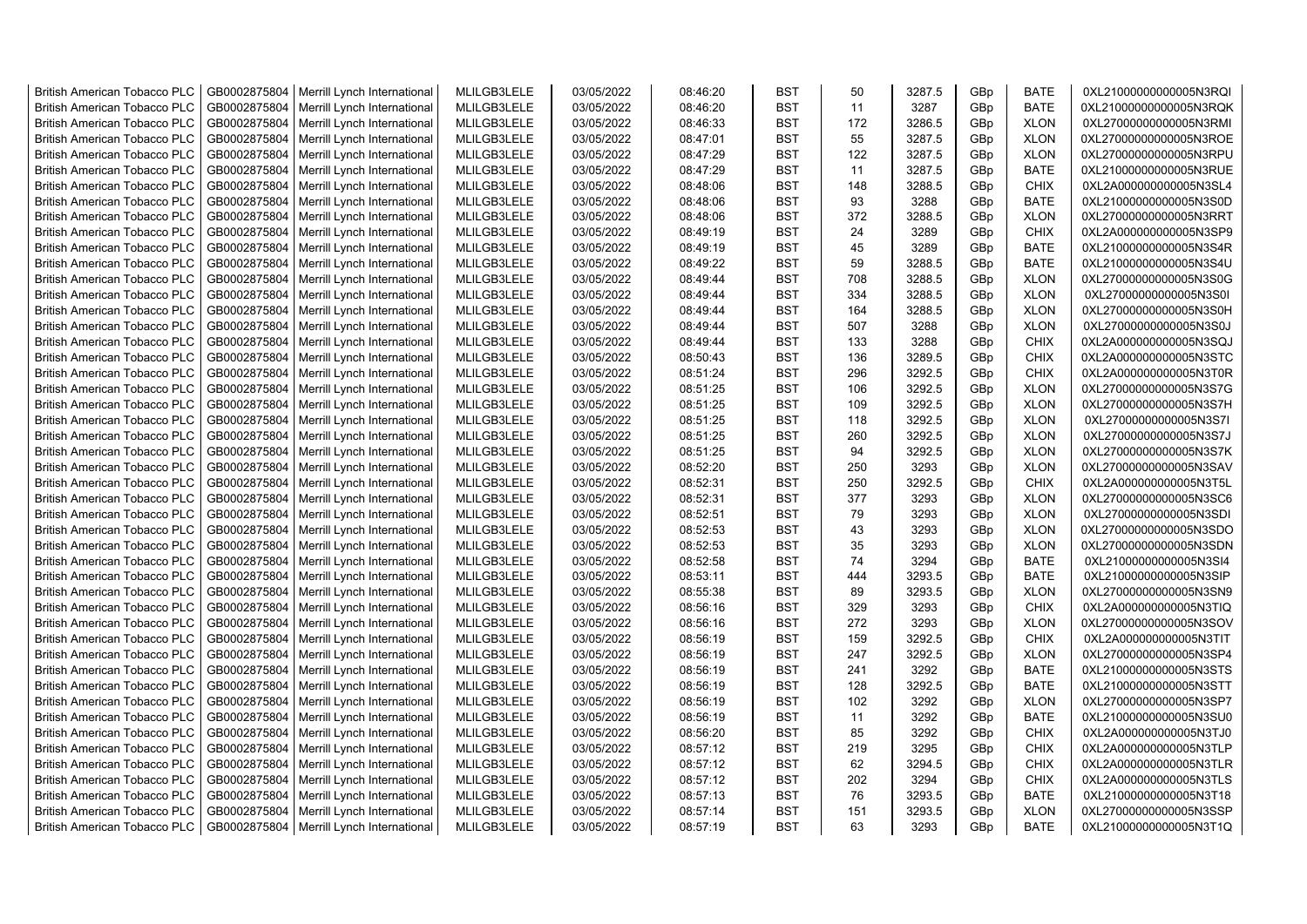| <b>British American Tobacco PLC</b>                                        | GB0002875804 | Merrill Lynch International | MLILGB3LELE                | 03/05/2022               | 08:46:20             | <b>BST</b>               | 50       | 3287.5 | GBp             | <b>BATE</b>                | 0XL21000000000005N3RQI                           |
|----------------------------------------------------------------------------|--------------|-----------------------------|----------------------------|--------------------------|----------------------|--------------------------|----------|--------|-----------------|----------------------------|--------------------------------------------------|
| <b>British American Tobacco PLC</b>                                        | GB0002875804 | Merrill Lynch International | MLILGB3LELE                | 03/05/2022               | 08:46:20             | <b>BST</b>               | 11       | 3287   | GBp             | <b>BATE</b>                | 0XL21000000000005N3RQK                           |
| <b>British American Tobacco PLC</b>                                        | GB0002875804 | Merrill Lynch International | MLILGB3LELE                | 03/05/2022               | 08:46:33             | <b>BST</b>               | 172      | 3286.5 | GBp             | <b>XLON</b>                | 0XL27000000000005N3RMI                           |
| <b>British American Tobacco PLC</b>                                        | GB0002875804 | Merrill Lynch International | MLILGB3LELE                | 03/05/2022               | 08:47:01             | <b>BST</b>               | 55       | 3287.5 | GBp             | <b>XLON</b>                | 0XL27000000000005N3ROE                           |
| <b>British American Tobacco PLC</b>                                        | GB0002875804 | Merrill Lynch International | MLILGB3LELE                | 03/05/2022               | 08:47:29             | <b>BST</b>               | 122      | 3287.5 | GBp             | <b>XLON</b>                | 0XL27000000000005N3RPU                           |
| <b>British American Tobacco PLC</b>                                        | GB0002875804 | Merrill Lynch International | MLILGB3LELE                | 03/05/2022               | 08:47:29             | <b>BST</b>               | 11       | 3287.5 | GBp             | <b>BATE</b>                | 0XL21000000000005N3RUE                           |
| <b>British American Tobacco PLC</b>                                        | GB0002875804 | Merrill Lynch International | MLILGB3LELE                | 03/05/2022               | 08:48:06             | <b>BST</b>               | 148      | 3288.5 | GBp             | <b>CHIX</b>                | 0XL2A000000000005N3SL4                           |
| <b>British American Tobacco PLC</b>                                        | GB0002875804 | Merrill Lynch International | MLILGB3LELE                | 03/05/2022               | 08:48:06             | <b>BST</b>               | 93       | 3288   | GBp             | <b>BATE</b>                | 0XL21000000000005N3S0D                           |
| <b>British American Tobacco PLC</b>                                        | GB0002875804 | Merrill Lynch International | MLILGB3LELE                | 03/05/2022               | 08:48:06             | <b>BST</b>               | 372      | 3288.5 | GBp             | <b>XLON</b>                | 0XL27000000000005N3RRT                           |
| <b>British American Tobacco PLC</b>                                        | GB0002875804 | Merrill Lynch International | MLILGB3LELE                | 03/05/2022               | 08:49:19             | <b>BST</b>               | 24       | 3289   | GBp             | <b>CHIX</b>                | 0XL2A000000000005N3SP9                           |
| <b>British American Tobacco PLC</b>                                        | GB0002875804 | Merrill Lynch International | MLILGB3LELE                | 03/05/2022               | 08:49:19             | <b>BST</b>               | 45       | 3289   | GBp             | <b>BATE</b>                | 0XL21000000000005N3S4R                           |
| <b>British American Tobacco PLC</b>                                        | GB0002875804 | Merrill Lynch International | MLILGB3LELE                | 03/05/2022               | 08:49:22             | <b>BST</b>               | 59       | 3288.5 | GBp             | <b>BATE</b>                | 0XL21000000000005N3S4U                           |
| <b>British American Tobacco PLC</b>                                        | GB0002875804 | Merrill Lynch International | MLILGB3LELE                | 03/05/2022               | 08:49:44             | <b>BST</b>               | 708      | 3288.5 | GBp             | <b>XLON</b>                | 0XL27000000000005N3S0G                           |
| <b>British American Tobacco PLC</b>                                        | GB0002875804 | Merrill Lynch International | MLILGB3LELE                | 03/05/2022               | 08:49:44             | <b>BST</b>               | 334      | 3288.5 | GBp             | <b>XLON</b>                | 0XL27000000000005N3S0I                           |
| <b>British American Tobacco PLC</b>                                        | GB0002875804 | Merrill Lynch International | MLILGB3LELE                | 03/05/2022               | 08:49:44             | <b>BST</b>               | 164      | 3288.5 | GBp             | <b>XLON</b>                | 0XL27000000000005N3S0H                           |
| <b>British American Tobacco PLC</b>                                        | GB0002875804 | Merrill Lynch International | MLILGB3LELE                | 03/05/2022               | 08:49:44             | <b>BST</b>               | 507      | 3288   | GBp             | <b>XLON</b>                | 0XL27000000000005N3S0J                           |
| <b>British American Tobacco PLC</b>                                        | GB0002875804 | Merrill Lynch International | MLILGB3LELE                | 03/05/2022               | 08:49:44             | <b>BST</b>               | 133      | 3288   | GBp             | <b>CHIX</b>                | 0XL2A000000000005N3SQJ                           |
| <b>British American Tobacco PLC</b>                                        | GB0002875804 | Merrill Lynch International | MLILGB3LELE                | 03/05/2022               | 08:50:43             | <b>BST</b>               | 136      | 3289.5 | GBp             | <b>CHIX</b>                | 0XL2A000000000005N3STC                           |
| <b>British American Tobacco PLC</b>                                        | GB0002875804 | Merrill Lynch International | MLILGB3LELE                | 03/05/2022               | 08:51:24             | <b>BST</b>               | 296      | 3292.5 | GBp             | <b>CHIX</b>                | 0XL2A000000000005N3T0R                           |
| <b>British American Tobacco PLC</b>                                        | GB0002875804 | Merrill Lynch International | MLILGB3LELE                | 03/05/2022               | 08:51:25             | <b>BST</b>               | 106      | 3292.5 | GBp             | <b>XLON</b>                | 0XL27000000000005N3S7G                           |
| <b>British American Tobacco PLC</b>                                        | GB0002875804 | Merrill Lynch International | MLILGB3LELE                | 03/05/2022               | 08:51:25             | <b>BST</b>               | 109      | 3292.5 | GBp             | <b>XLON</b>                | 0XL27000000000005N3S7H                           |
| <b>British American Tobacco PLC</b>                                        | GB0002875804 | Merrill Lynch International | MLILGB3LELE                | 03/05/2022               | 08:51:25             | <b>BST</b>               | 118      | 3292.5 | GBp             | <b>XLON</b>                | 0XL27000000000005N3S7I                           |
| <b>British American Tobacco PLC</b>                                        | GB0002875804 | Merrill Lynch International | MLILGB3LELE                | 03/05/2022               | 08:51:25             | <b>BST</b>               | 260      | 3292.5 | GBp             | <b>XLON</b>                | 0XL27000000000005N3S7J                           |
| <b>British American Tobacco PLC</b>                                        | GB0002875804 | Merrill Lynch International | MLILGB3LELE                | 03/05/2022               | 08:51:25             | <b>BST</b>               | 94       | 3292.5 | GBp             | <b>XLON</b>                | 0XL27000000000005N3S7K                           |
| <b>British American Tobacco PLC</b>                                        | GB0002875804 | Merrill Lynch International | MLILGB3LELE                | 03/05/2022               | 08:52:20             | <b>BST</b>               | 250      | 3293   | GBp             | <b>XLON</b>                | 0XL27000000000005N3SAV                           |
| <b>British American Tobacco PLC</b>                                        | GB0002875804 | Merrill Lynch International | MLILGB3LELE                | 03/05/2022               | 08:52:31             | <b>BST</b>               | 250      | 3292.5 | GBp             | <b>CHIX</b>                | 0XL2A000000000005N3T5L                           |
| <b>British American Tobacco PLC</b>                                        | GB0002875804 | Merrill Lynch International | MLILGB3LELE                | 03/05/2022               | 08:52:31             | <b>BST</b>               | 377      | 3293   | GBp             | <b>XLON</b>                | 0XL27000000000005N3SC6                           |
| <b>British American Tobacco PLC</b>                                        | GB0002875804 | Merrill Lynch International | MLILGB3LELE                | 03/05/2022               | 08:52:51             | <b>BST</b>               | 79       | 3293   | GBp             | <b>XLON</b>                | 0XL27000000000005N3SDI                           |
| <b>British American Tobacco PLC</b>                                        | GB0002875804 | Merrill Lynch International | MLILGB3LELE                | 03/05/2022               | 08:52:53             | <b>BST</b>               | 43       | 3293   | GBp             | <b>XLON</b>                | 0XL27000000000005N3SDO                           |
| <b>British American Tobacco PLC</b>                                        | GB0002875804 | Merrill Lynch International | MLILGB3LELE                | 03/05/2022               | 08:52:53             | <b>BST</b>               | 35       | 3293   | GBp             | <b>XLON</b>                | 0XL27000000000005N3SDN                           |
| <b>British American Tobacco PLC</b>                                        | GB0002875804 | Merrill Lynch International | MLILGB3LELE                | 03/05/2022               | 08:52:58             | <b>BST</b>               | 74       | 3294   | GBp             | <b>BATE</b>                | 0XL21000000000005N3SI4                           |
| <b>British American Tobacco PLC</b>                                        | GB0002875804 | Merrill Lynch International | MLILGB3LELE                | 03/05/2022               | 08:53:11             | <b>BST</b>               | 444      | 3293.5 | GBp             | <b>BATE</b>                | 0XL21000000000005N3SIP                           |
| <b>British American Tobacco PLC</b>                                        | GB0002875804 | Merrill Lynch International | MLILGB3LELE                | 03/05/2022               | 08:55:38             | BST                      | 89       | 3293.5 |                 |                            |                                                  |
| <b>British American Tobacco PLC</b>                                        | GB0002875804 | Merrill Lynch International | MLILGB3LELE                | 03/05/2022               | 08:56:16             | <b>BST</b>               | 329      | 3293   | GBp             | <b>XLON</b><br><b>CHIX</b> | 0XL27000000000005N3SN9<br>0XL2A000000000005N3TIQ |
|                                                                            | GB0002875804 | Merrill Lynch International | MLILGB3LELE                | 03/05/2022               | 08:56:16             | <b>BST</b>               | 272      | 3293   | GBp<br>GBp      | <b>XLON</b>                | 0XL27000000000005N3SOV                           |
| <b>British American Tobacco PLC</b><br><b>British American Tobacco PLC</b> | GB0002875804 | Merrill Lynch International | MLILGB3LELE                | 03/05/2022               | 08:56:19             | <b>BST</b>               | 159      | 3292.5 | GBp             | <b>CHIX</b>                | 0XL2A000000000005N3TIT                           |
| <b>British American Tobacco PLC</b>                                        | GB0002875804 |                             | MLILGB3LELE                | 03/05/2022               | 08:56:19             | <b>BST</b>               | 247      | 3292.5 |                 | <b>XLON</b>                | 0XL27000000000005N3SP4                           |
| <b>British American Tobacco PLC</b>                                        | GB0002875804 | Merrill Lynch International | MLILGB3LELE                | 03/05/2022               |                      | <b>BST</b>               | 241      | 3292   | GBp             |                            |                                                  |
| <b>British American Tobacco PLC</b>                                        |              | Merrill Lynch International |                            |                          | 08:56:19<br>08:56:19 | <b>BST</b>               | 128      |        | GBp             | BATE                       | 0XL21000000000005N3STS                           |
|                                                                            | GB0002875804 | Merrill Lynch International | MLILGB3LELE<br>MLILGB3LELE | 03/05/2022<br>03/05/2022 |                      |                          | 102      | 3292.5 | GBp             | <b>BATE</b>                | 0XL21000000000005N3STT                           |
| <b>British American Tobacco PLC</b>                                        | GB0002875804 | Merrill Lynch International |                            |                          | 08:56:19             | <b>BST</b><br><b>BST</b> |          | 3292   | GBp             | <b>XLON</b>                | 0XL27000000000005N3SP7                           |
| <b>British American Tobacco PLC</b>                                        | GB0002875804 | Merrill Lynch International | MLILGB3LELE                | 03/05/2022               | 08:56:19             |                          | 11<br>85 | 3292   | GBp             | <b>BATE</b>                | 0XL21000000000005N3SU0                           |
| <b>British American Tobacco PLC</b>                                        | GB0002875804 | Merrill Lynch International | MLILGB3LELE                | 03/05/2022               | 08:56:20             | <b>BST</b>               |          | 3292   | GBp             | <b>CHIX</b>                | 0XL2A000000000005N3TJ0                           |
| <b>British American Tobacco PLC</b>                                        | GB0002875804 | Merrill Lynch International | MLILGB3LELE                | 03/05/2022               | 08:57:12             | <b>BST</b>               | 219      | 3295   | GBp             | <b>CHIX</b>                | 0XL2A000000000005N3TLP                           |
| <b>British American Tobacco PLC</b>                                        | GB0002875804 | Merrill Lynch International | MLILGB3LELE                | 03/05/2022               | 08:57:12             | <b>BST</b>               | 62       | 3294.5 | GBp             | <b>CHIX</b>                | 0XL2A000000000005N3TLR                           |
| <b>British American Tobacco PLC</b>                                        | GB0002875804 | Merrill Lynch International | MLILGB3LELE                | 03/05/2022               | 08:57:12             | <b>BST</b>               | 202      | 3294   | GBp             | <b>CHIX</b>                | 0XL2A000000000005N3TLS                           |
| <b>British American Tobacco PLC</b>                                        | GB0002875804 | Merrill Lynch International | MLILGB3LELE                | 03/05/2022               | 08:57:13             | <b>BST</b>               | 76       | 3293.5 | GBp             | <b>BATE</b>                | 0XL21000000000005N3T18                           |
| <b>British American Tobacco PLC</b>                                        | GB0002875804 | Merrill Lynch International | MLILGB3LELE                | 03/05/2022               | 08:57:14             | <b>BST</b>               | 151      | 3293.5 | GBp             | <b>XLON</b>                | 0XL27000000000005N3SSP                           |
| <b>British American Tobacco PLC</b>                                        | GB0002875804 | Merrill Lynch International | MLILGB3LELE                | 03/05/2022               | 08:57:19             | <b>BST</b>               | 63       | 3293   | GB <sub>p</sub> | <b>BATE</b>                | 0XL21000000000005N3T1Q                           |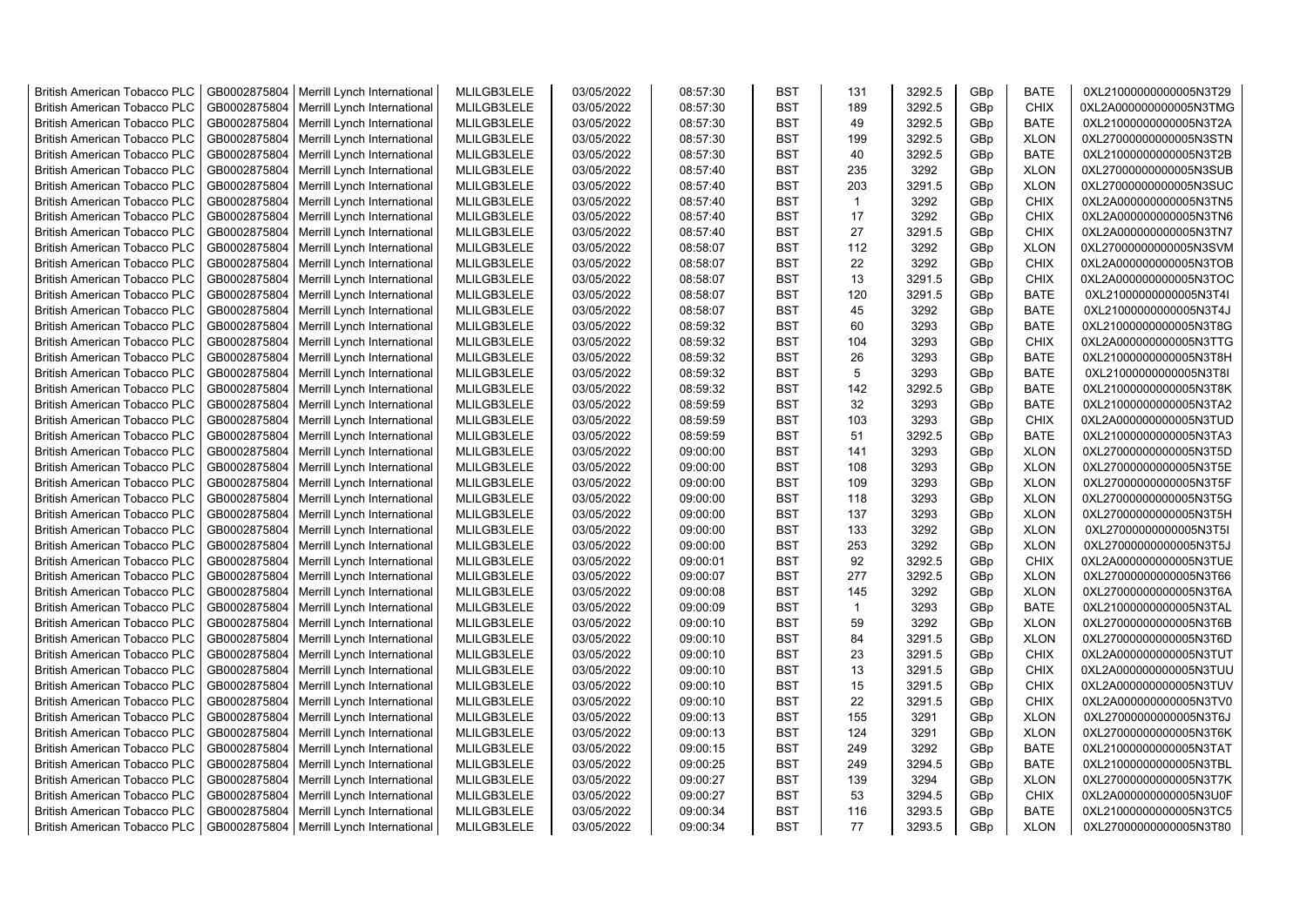| <b>British American Tobacco PLC</b> | GB0002875804 | Merrill Lynch International                | MLILGB3LELE | 03/05/2022 | 08:57:30 | <b>BST</b> | 131            | 3292.5 | GBp             | <b>BATE</b> | 0XL21000000000005N3T29 |
|-------------------------------------|--------------|--------------------------------------------|-------------|------------|----------|------------|----------------|--------|-----------------|-------------|------------------------|
| <b>British American Tobacco PLC</b> | GB0002875804 | Merrill Lynch International                | MLILGB3LELE | 03/05/2022 | 08:57:30 | <b>BST</b> | 189            | 3292.5 | GBp             | <b>CHIX</b> | 0XL2A000000000005N3TMG |
| <b>British American Tobacco PLC</b> | GB0002875804 | Merrill Lynch International                | MLILGB3LELE | 03/05/2022 | 08:57:30 | <b>BST</b> | 49             | 3292.5 | GBp             | <b>BATE</b> | 0XL21000000000005N3T2A |
| <b>British American Tobacco PLC</b> | GB0002875804 | Merrill Lynch International                | MLILGB3LELE | 03/05/2022 | 08:57:30 | <b>BST</b> | 199            | 3292.5 | GBp             | <b>XLON</b> | 0XL27000000000005N3STN |
| <b>British American Tobacco PLC</b> | GB0002875804 | Merrill Lynch International                | MLILGB3LELE | 03/05/2022 | 08:57:30 | <b>BST</b> | 40             | 3292.5 | GBp             | <b>BATE</b> | 0XL21000000000005N3T2B |
| <b>British American Tobacco PLC</b> | GB0002875804 | Merrill Lynch International                | MLILGB3LELE | 03/05/2022 | 08:57:40 | <b>BST</b> | 235            | 3292   | GBp             | <b>XLON</b> | 0XL27000000000005N3SUB |
| British American Tobacco PLC        | GB0002875804 | Merrill Lynch International                | MLILGB3LELE | 03/05/2022 | 08:57:40 | <b>BST</b> | 203            | 3291.5 | GBp             | <b>XLON</b> | 0XL27000000000005N3SUC |
| <b>British American Tobacco PLC</b> | GB0002875804 | Merrill Lynch International                | MLILGB3LELE | 03/05/2022 | 08:57:40 | <b>BST</b> | $\overline{1}$ | 3292   | GBp             | <b>CHIX</b> | 0XL2A000000000005N3TN5 |
| <b>British American Tobacco PLC</b> | GB0002875804 | Merrill Lynch International                | MLILGB3LELE | 03/05/2022 | 08:57:40 | <b>BST</b> | 17             | 3292   | GBp             | <b>CHIX</b> | 0XL2A000000000005N3TN6 |
| <b>British American Tobacco PLC</b> | GB0002875804 | Merrill Lynch International                | MLILGB3LELE | 03/05/2022 | 08:57:40 | <b>BST</b> | 27             | 3291.5 | GBp             | <b>CHIX</b> | 0XL2A000000000005N3TN7 |
| <b>British American Tobacco PLC</b> | GB0002875804 | Merrill Lynch International                | MLILGB3LELE | 03/05/2022 | 08:58:07 | <b>BST</b> | 112            | 3292   | GBp             | <b>XLON</b> | 0XL27000000000005N3SVM |
| <b>British American Tobacco PLC</b> | GB0002875804 | Merrill Lynch International                | MLILGB3LELE | 03/05/2022 | 08:58:07 | <b>BST</b> | 22             | 3292   | GBp             | <b>CHIX</b> | 0XL2A000000000005N3TOB |
| <b>British American Tobacco PLC</b> | GB0002875804 | Merrill Lynch International                | MLILGB3LELE | 03/05/2022 | 08:58:07 | BST        | 13             | 3291.5 | GBp             | <b>CHIX</b> | 0XL2A000000000005N3TOC |
| <b>British American Tobacco PLC</b> | GB0002875804 | Merrill Lynch International                | MLILGB3LELE | 03/05/2022 | 08:58:07 | <b>BST</b> | 120            | 3291.5 | GBp             | <b>BATE</b> | 0XL21000000000005N3T4I |
| <b>British American Tobacco PLC</b> | GB0002875804 | Merrill Lynch International                | MLILGB3LELE | 03/05/2022 | 08:58:07 | <b>BST</b> | 45             | 3292   | GBp             | <b>BATE</b> | 0XL21000000000005N3T4J |
| <b>British American Tobacco PLC</b> | GB0002875804 | Merrill Lynch International                | MLILGB3LELE | 03/05/2022 | 08:59:32 | <b>BST</b> | 60             | 3293   | GBp             | <b>BATE</b> | 0XL21000000000005N3T8G |
| <b>British American Tobacco PLC</b> | GB0002875804 | Merrill Lynch International                | MLILGB3LELE | 03/05/2022 | 08:59:32 | <b>BST</b> | 104            | 3293   | GBp             | <b>CHIX</b> | 0XL2A000000000005N3TTG |
| <b>British American Tobacco PLC</b> | GB0002875804 | Merrill Lynch International                | MLILGB3LELE | 03/05/2022 | 08:59:32 | <b>BST</b> | 26             | 3293   | GBp             | <b>BATE</b> | 0XL21000000000005N3T8H |
| <b>British American Tobacco PLC</b> | GB0002875804 | Merrill Lynch International                | MLILGB3LELE | 03/05/2022 | 08:59:32 | <b>BST</b> | 5              | 3293   | GBp             | <b>BATE</b> | 0XL21000000000005N3T8I |
| <b>British American Tobacco PLC</b> | GB0002875804 | Merrill Lynch International                | MLILGB3LELE | 03/05/2022 | 08:59:32 | <b>BST</b> | 142            | 3292.5 | GBp             | <b>BATE</b> | 0XL21000000000005N3T8K |
| <b>British American Tobacco PLC</b> | GB0002875804 | Merrill Lynch International                | MLILGB3LELE | 03/05/2022 | 08:59:59 | <b>BST</b> | 32             | 3293   | GBp             | <b>BATE</b> | 0XL21000000000005N3TA2 |
| <b>British American Tobacco PLC</b> | GB0002875804 | Merrill Lynch International                | MLILGB3LELE | 03/05/2022 | 08:59:59 | <b>BST</b> | 103            | 3293   | GBp             | <b>CHIX</b> | 0XL2A000000000005N3TUD |
| <b>British American Tobacco PLC</b> | GB0002875804 | Merrill Lynch International                | MLILGB3LELE | 03/05/2022 | 08:59:59 | <b>BST</b> | 51             | 3292.5 | GBp             | <b>BATE</b> | 0XL21000000000005N3TA3 |
| <b>British American Tobacco PLC</b> | GB0002875804 | Merrill Lynch International                | MLILGB3LELE | 03/05/2022 | 09:00:00 | <b>BST</b> | 141            | 3293   | GBp             | <b>XLON</b> | 0XL27000000000005N3T5D |
|                                     |              |                                            |             |            |          |            |                |        |                 |             |                        |
| <b>British American Tobacco PLC</b> | GB0002875804 | Merrill Lynch International                | MLILGB3LELE | 03/05/2022 | 09:00:00 | <b>BST</b> | 108<br>109     | 3293   | GBp             | <b>XLON</b> | 0XL27000000000005N3T5E |
| <b>British American Tobacco PLC</b> | GB0002875804 | Merrill Lynch International                | MLILGB3LELE | 03/05/2022 | 09:00:00 | <b>BST</b> |                | 3293   | GBp             | <b>XLON</b> | 0XL27000000000005N3T5F |
| <b>British American Tobacco PLC</b> | GB0002875804 | Merrill Lynch International                | MLILGB3LELE | 03/05/2022 | 09:00:00 | <b>BST</b> | 118<br>137     | 3293   | GBp             | <b>XLON</b> | 0XL27000000000005N3T5G |
| <b>British American Tobacco PLC</b> | GB0002875804 | Merrill Lynch International                | MLILGB3LELE | 03/05/2022 | 09:00:00 | <b>BST</b> |                | 3293   | GBp             | <b>XLON</b> | 0XL27000000000005N3T5H |
| <b>British American Tobacco PLC</b> | GB0002875804 | Merrill Lynch International                | MLILGB3LELE | 03/05/2022 | 09:00:00 | <b>BST</b> | 133            | 3292   | GBp             | <b>XLON</b> | 0XL27000000000005N3T5I |
| <b>British American Tobacco PLC</b> | GB0002875804 | Merrill Lynch International                | MLILGB3LELE | 03/05/2022 | 09:00:00 | <b>BST</b> | 253            | 3292   | GBp             | <b>XLON</b> | 0XL27000000000005N3T5J |
| <b>British American Tobacco PLC</b> | GB0002875804 | Merrill Lynch International                | MLILGB3LELE | 03/05/2022 | 09:00:01 | <b>BST</b> | 92             | 3292.5 | GBp             | <b>CHIX</b> | 0XL2A000000000005N3TUE |
| <b>British American Tobacco PLC</b> | GB0002875804 | Merrill Lynch International                | MLILGB3LELE | 03/05/2022 | 09:00:07 | <b>BST</b> | 277            | 3292.5 | GBp             | <b>XLON</b> | 0XL27000000000005N3T66 |
| <b>British American Tobacco PLC</b> | GB0002875804 | Merrill Lynch International                | MLILGB3LELE | 03/05/2022 | 09:00:08 | <b>BST</b> | 145            | 3292   | GBp             | <b>XLON</b> | 0XL27000000000005N3T6A |
| <b>British American Tobacco PLC</b> | GB0002875804 | Merrill Lynch International                | MLILGB3LELE | 03/05/2022 | 09:00:09 | <b>BST</b> | $\mathbf{1}$   | 3293   | GBp             | <b>BATE</b> | 0XL21000000000005N3TAL |
| <b>British American Tobacco PLC</b> | GB0002875804 | Merrill Lynch International                | MLILGB3LELE | 03/05/2022 | 09:00:10 | <b>BST</b> | 59             | 3292   | GBp             | <b>XLON</b> | 0XL27000000000005N3T6B |
| British American Tobacco PLC        | GB0002875804 | Merrill Lynch International                | MLILGB3LELE | 03/05/2022 | 09:00:10 | <b>BST</b> | 84             | 3291.5 | GBp             | <b>XLON</b> | 0XL27000000000005N3T6D |
| <b>British American Tobacco PLC</b> | GB0002875804 | Merrill Lynch International                | MLILGB3LELE | 03/05/2022 | 09:00:10 | <b>BST</b> | 23             | 3291.5 | GBp             | <b>CHIX</b> | 0XL2A000000000005N3TUT |
| <b>British American Tobacco PLC</b> | GB0002875804 | Merrill Lynch International                | MLILGB3LELE | 03/05/2022 | 09:00:10 | <b>BST</b> | 13             | 3291.5 | GBp             | <b>CHIX</b> | 0XL2A000000000005N3TUU |
| <b>British American Tobacco PLC</b> | GB0002875804 | Merrill Lynch International                | MLILGB3LELE | 03/05/2022 | 09:00:10 | <b>BST</b> | 15             | 3291.5 | GBp             | <b>CHIX</b> | 0XL2A000000000005N3TUV |
| <b>British American Tobacco PLC</b> | GB0002875804 | Merrill Lynch International                | MLILGB3LELE | 03/05/2022 | 09:00:10 | <b>BST</b> | 22             | 3291.5 | GBp             | <b>CHIX</b> | 0XL2A000000000005N3TV0 |
| <b>British American Tobacco PLC</b> | GB0002875804 | Merrill Lynch International                | MLILGB3LELE | 03/05/2022 | 09:00:13 | <b>BST</b> | 155            | 3291   | GBp             | <b>XLON</b> | 0XL27000000000005N3T6J |
| <b>British American Tobacco PLC</b> | GB0002875804 | Merrill Lynch International                | MLILGB3LELE | 03/05/2022 | 09:00:13 | <b>BST</b> | 124            | 3291   | GBp             | <b>XLON</b> | 0XL27000000000005N3T6K |
| <b>British American Tobacco PLC</b> | GB0002875804 | Merrill Lynch International                | MLILGB3LELE | 03/05/2022 | 09:00:15 | <b>BST</b> | 249            | 3292   | GBp             | <b>BATE</b> | 0XL21000000000005N3TAT |
| <b>British American Tobacco PLC</b> | GB0002875804 | Merrill Lynch International                | MLILGB3LELE | 03/05/2022 | 09:00:25 | <b>BST</b> | 249            | 3294.5 | GBp             | <b>BATE</b> | 0XL21000000000005N3TBL |
| <b>British American Tobacco PLC</b> | GB0002875804 | Merrill Lynch International                | MLILGB3LELE | 03/05/2022 | 09:00:27 | <b>BST</b> | 139            | 3294   | GBp             | <b>XLON</b> | 0XL27000000000005N3T7K |
| <b>British American Tobacco PLC</b> | GB0002875804 | Merrill Lynch International                | MLILGB3LELE | 03/05/2022 | 09:00:27 | <b>BST</b> | 53             | 3294.5 | GBp             | <b>CHIX</b> | 0XL2A000000000005N3U0F |
| <b>British American Tobacco PLC</b> | GB0002875804 | Merrill Lynch International                | MLILGB3LELE | 03/05/2022 | 09:00:34 | <b>BST</b> | 116            | 3293.5 | GBp             | <b>BATE</b> | 0XL21000000000005N3TC5 |
| <b>British American Tobacco PLC</b> |              | GB0002875804   Merrill Lynch International | MLILGB3LELE | 03/05/2022 | 09:00:34 | <b>BST</b> | 77             | 3293.5 | GB <sub>p</sub> | <b>XLON</b> | 0XL27000000000005N3T80 |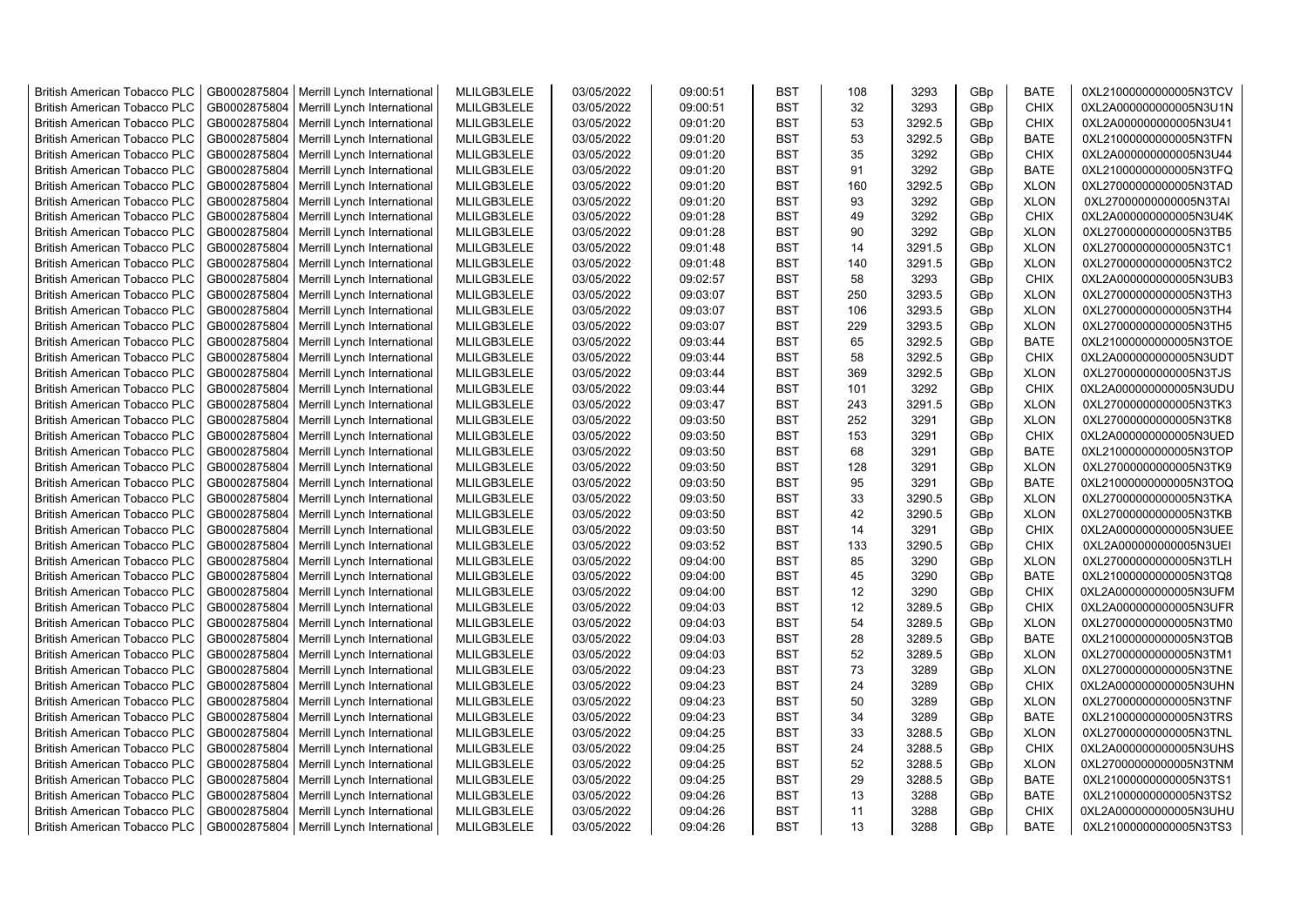| <b>British American Tobacco PLC</b> | GB0002875804 | Merrill Lynch International | MLILGB3LELE | 03/05/2022 | 09:00:51 | <b>BST</b> | 108 | 3293   | GBp             | <b>BATE</b> | 0XL21000000000005N3TCV |
|-------------------------------------|--------------|-----------------------------|-------------|------------|----------|------------|-----|--------|-----------------|-------------|------------------------|
| <b>British American Tobacco PLC</b> | GB0002875804 | Merrill Lynch International | MLILGB3LELE | 03/05/2022 | 09:00:51 | <b>BST</b> | 32  | 3293   | GBp             | <b>CHIX</b> | 0XL2A000000000005N3U1N |
| <b>British American Tobacco PLC</b> | GB0002875804 | Merrill Lynch International | MLILGB3LELE | 03/05/2022 | 09:01:20 | <b>BST</b> | 53  | 3292.5 | GBp             | <b>CHIX</b> | 0XL2A000000000005N3U41 |
| <b>British American Tobacco PLC</b> | GB0002875804 | Merrill Lynch International | MLILGB3LELE | 03/05/2022 | 09:01:20 | <b>BST</b> | 53  | 3292.5 | GBp             | BATE        | 0XL21000000000005N3TFN |
| <b>British American Tobacco PLC</b> | GB0002875804 | Merrill Lynch International | MLILGB3LELE | 03/05/2022 | 09:01:20 | <b>BST</b> | 35  | 3292   | GBp             | <b>CHIX</b> | 0XL2A000000000005N3U44 |
| <b>British American Tobacco PLC</b> | GB0002875804 | Merrill Lynch International | MLILGB3LELE | 03/05/2022 | 09:01:20 | <b>BST</b> | 91  | 3292   | GBp             | <b>BATE</b> | 0XL21000000000005N3TFQ |
| <b>British American Tobacco PLC</b> | GB0002875804 | Merrill Lynch International | MLILGB3LELE | 03/05/2022 | 09:01:20 | <b>BST</b> | 160 | 3292.5 | GBp             | <b>XLON</b> | 0XL27000000000005N3TAD |
| <b>British American Tobacco PLC</b> | GB0002875804 | Merrill Lynch International | MLILGB3LELE | 03/05/2022 | 09:01:20 | <b>BST</b> | 93  | 3292   | GBp             | <b>XLON</b> | 0XL27000000000005N3TAI |
| <b>British American Tobacco PLC</b> | GB0002875804 | Merrill Lynch International | MLILGB3LELE | 03/05/2022 | 09:01:28 | <b>BST</b> | 49  | 3292   | GBp             | <b>CHIX</b> | 0XL2A000000000005N3U4K |
| <b>British American Tobacco PLC</b> | GB0002875804 | Merrill Lynch International | MLILGB3LELE | 03/05/2022 | 09:01:28 | <b>BST</b> | 90  | 3292   | GBp             | <b>XLON</b> | 0XL27000000000005N3TB5 |
| <b>British American Tobacco PLC</b> | GB0002875804 | Merrill Lynch International | MLILGB3LELE | 03/05/2022 | 09:01:48 | <b>BST</b> | 14  | 3291.5 | GBp             | <b>XLON</b> | 0XL27000000000005N3TC1 |
| <b>British American Tobacco PLC</b> | GB0002875804 | Merrill Lynch International | MLILGB3LELE | 03/05/2022 | 09:01:48 | <b>BST</b> | 140 | 3291.5 | GBp             | <b>XLON</b> | 0XL27000000000005N3TC2 |
| <b>British American Tobacco PLC</b> | GB0002875804 | Merrill Lynch International | MLILGB3LELE | 03/05/2022 | 09:02:57 | <b>BST</b> | 58  | 3293   | GBp             | <b>CHIX</b> | 0XL2A000000000005N3UB3 |
| <b>British American Tobacco PLC</b> | GB0002875804 | Merrill Lynch International | MLILGB3LELE | 03/05/2022 | 09:03:07 | <b>BST</b> | 250 | 3293.5 | GBp             | <b>XLON</b> | 0XL27000000000005N3TH3 |
| <b>British American Tobacco PLC</b> | GB0002875804 | Merrill Lynch International | MLILGB3LELE | 03/05/2022 | 09:03:07 | <b>BST</b> | 106 | 3293.5 | GBp             | <b>XLON</b> | 0XL27000000000005N3TH4 |
| <b>British American Tobacco PLC</b> | GB0002875804 | Merrill Lynch International | MLILGB3LELE | 03/05/2022 | 09:03:07 | <b>BST</b> | 229 | 3293.5 | GBp             | <b>XLON</b> | 0XL27000000000005N3TH5 |
| <b>British American Tobacco PLC</b> | GB0002875804 | Merrill Lynch International | MLILGB3LELE | 03/05/2022 | 09:03:44 | <b>BST</b> | 65  | 3292.5 | GBp             | <b>BATE</b> | 0XL21000000000005N3TOE |
| <b>British American Tobacco PLC</b> | GB0002875804 | Merrill Lynch International | MLILGB3LELE | 03/05/2022 | 09:03:44 | <b>BST</b> | 58  | 3292.5 | GBp             | <b>CHIX</b> | 0XL2A000000000005N3UDT |
| <b>British American Tobacco PLC</b> | GB0002875804 | Merrill Lynch International | MLILGB3LELE | 03/05/2022 | 09:03:44 | <b>BST</b> | 369 | 3292.5 | GBp             | <b>XLON</b> | 0XL27000000000005N3TJS |
| <b>British American Tobacco PLC</b> | GB0002875804 | Merrill Lynch International | MLILGB3LELE | 03/05/2022 | 09:03:44 | <b>BST</b> | 101 | 3292   | GBp             | <b>CHIX</b> | 0XL2A000000000005N3UDU |
| <b>British American Tobacco PLC</b> | GB0002875804 | Merrill Lynch International | MLILGB3LELE | 03/05/2022 | 09:03:47 | <b>BST</b> | 243 | 3291.5 | GBp             | <b>XLON</b> | 0XL27000000000005N3TK3 |
| <b>British American Tobacco PLC</b> | GB0002875804 | Merrill Lynch International | MLILGB3LELE | 03/05/2022 | 09:03:50 | <b>BST</b> | 252 | 3291   | GBp             | <b>XLON</b> | 0XL27000000000005N3TK8 |
| <b>British American Tobacco PLC</b> | GB0002875804 | Merrill Lynch International | MLILGB3LELE | 03/05/2022 | 09:03:50 | <b>BST</b> | 153 | 3291   | GBp             | <b>CHIX</b> | 0XL2A000000000005N3UED |
| <b>British American Tobacco PLC</b> | GB0002875804 | Merrill Lynch International | MLILGB3LELE | 03/05/2022 | 09:03:50 | <b>BST</b> | 68  | 3291   | GBp             | <b>BATE</b> | 0XL21000000000005N3TOP |
| <b>British American Tobacco PLC</b> | GB0002875804 | Merrill Lynch International | MLILGB3LELE | 03/05/2022 | 09:03:50 | <b>BST</b> | 128 | 3291   | GBp             | <b>XLON</b> | 0XL27000000000005N3TK9 |
| <b>British American Tobacco PLC</b> | GB0002875804 | Merrill Lynch International | MLILGB3LELE | 03/05/2022 | 09:03:50 | <b>BST</b> | 95  | 3291   | GBp             | <b>BATE</b> | 0XL21000000000005N3TOQ |
| <b>British American Tobacco PLC</b> | GB0002875804 | Merrill Lynch International | MLILGB3LELE | 03/05/2022 | 09:03:50 | <b>BST</b> | 33  | 3290.5 | GBp             | <b>XLON</b> | 0XL27000000000005N3TKA |
| <b>British American Tobacco PLC</b> | GB0002875804 | Merrill Lynch International | MLILGB3LELE | 03/05/2022 | 09:03:50 | <b>BST</b> | 42  | 3290.5 | GBp             | <b>XLON</b> | 0XL27000000000005N3TKB |
| <b>British American Tobacco PLC</b> | GB0002875804 | Merrill Lynch International | MLILGB3LELE | 03/05/2022 | 09:03:50 | <b>BST</b> | 14  | 3291   | GBp             | <b>CHIX</b> | 0XL2A000000000005N3UEE |
| <b>British American Tobacco PLC</b> | GB0002875804 | Merrill Lynch International | MLILGB3LELE | 03/05/2022 | 09:03:52 | <b>BST</b> | 133 | 3290.5 | GBp             | <b>CHIX</b> | 0XL2A000000000005N3UEI |
| <b>British American Tobacco PLC</b> | GB0002875804 | Merrill Lynch International | MLILGB3LELE | 03/05/2022 | 09:04:00 | <b>BST</b> | 85  | 3290   | GBp             | <b>XLON</b> | 0XL27000000000005N3TLH |
| <b>British American Tobacco PLC</b> | GB0002875804 | Merrill Lynch International | MLILGB3LELE | 03/05/2022 | 09:04:00 | <b>BST</b> | 45  | 3290   | GBp             | <b>BATE</b> | 0XL21000000000005N3TQ8 |
| <b>British American Tobacco PLC</b> | GB0002875804 | Merrill Lynch International | MLILGB3LELE | 03/05/2022 | 09:04:00 | <b>BST</b> | 12  | 3290   | GBp             | <b>CHIX</b> | 0XL2A000000000005N3UFM |
| <b>British American Tobacco PLC</b> | GB0002875804 | Merrill Lynch International | MLILGB3LELE | 03/05/2022 | 09:04:03 | <b>BST</b> | 12  | 3289.5 | GBp             | <b>CHIX</b> | 0XL2A000000000005N3UFR |
| <b>British American Tobacco PLC</b> | GB0002875804 | Merrill Lynch International | MLILGB3LELE | 03/05/2022 | 09:04:03 | <b>BST</b> | 54  | 3289.5 | GBp             | <b>XLON</b> | 0XL27000000000005N3TM0 |
| <b>British American Tobacco PLC</b> | GB0002875804 | Merrill Lynch International | MLILGB3LELE | 03/05/2022 | 09:04:03 | <b>BST</b> | 28  | 3289.5 | GBp             | <b>BATE</b> | 0XL21000000000005N3TQB |
| <b>British American Tobacco PLC</b> | GB0002875804 | Merrill Lynch International | MLILGB3LELE | 03/05/2022 | 09:04:03 | <b>BST</b> | 52  | 3289.5 | GBp             | <b>XLON</b> | 0XL27000000000005N3TM1 |
| <b>British American Tobacco PLC</b> | GB0002875804 | Merrill Lynch International | MLILGB3LELE | 03/05/2022 | 09:04:23 | <b>BST</b> | 73  | 3289   | GBp             | <b>XLON</b> | 0XL27000000000005N3TNE |
| <b>British American Tobacco PLC</b> | GB0002875804 | Merrill Lynch International | MLILGB3LELE | 03/05/2022 | 09:04:23 | <b>BST</b> | 24  | 3289   | GBp             | <b>CHIX</b> | 0XL2A000000000005N3UHN |
| <b>British American Tobacco PLC</b> | GB0002875804 | Merrill Lynch International | MLILGB3LELE | 03/05/2022 | 09:04:23 | <b>BST</b> | 50  | 3289   | GBp             | <b>XLON</b> | 0XL27000000000005N3TNF |
| <b>British American Tobacco PLC</b> | GB0002875804 | Merrill Lynch International | MLILGB3LELE | 03/05/2022 | 09:04:23 | <b>BST</b> | 34  | 3289   | GBp             | <b>BATE</b> | 0XL21000000000005N3TRS |
| <b>British American Tobacco PLC</b> | GB0002875804 | Merrill Lynch International | MLILGB3LELE | 03/05/2022 | 09:04:25 | <b>BST</b> | 33  | 3288.5 | GBp             | <b>XLON</b> | 0XL27000000000005N3TNL |
| <b>British American Tobacco PLC</b> | GB0002875804 | Merrill Lynch International | MLILGB3LELE | 03/05/2022 | 09:04:25 | <b>BST</b> | 24  | 3288.5 | GBp             | <b>CHIX</b> | 0XL2A000000000005N3UHS |
| <b>British American Tobacco PLC</b> | GB0002875804 | Merrill Lynch International | MLILGB3LELE | 03/05/2022 | 09:04:25 | <b>BST</b> | 52  | 3288.5 | GBp             | <b>XLON</b> | 0XL27000000000005N3TNM |
| <b>British American Tobacco PLC</b> | GB0002875804 | Merrill Lynch International | MLILGB3LELE | 03/05/2022 | 09:04:25 | <b>BST</b> | 29  | 3288.5 | GBp             | <b>BATE</b> | 0XL21000000000005N3TS1 |
| <b>British American Tobacco PLC</b> | GB0002875804 | Merrill Lynch International | MLILGB3LELE | 03/05/2022 | 09:04:26 | <b>BST</b> | 13  | 3288   | GBp             | <b>BATE</b> | 0XL21000000000005N3TS2 |
| <b>British American Tobacco PLC</b> | GB0002875804 | Merrill Lynch International | MLILGB3LELE | 03/05/2022 | 09:04:26 | <b>BST</b> | 11  | 3288   | GBp             | <b>CHIX</b> | 0XL2A000000000005N3UHU |
| <b>British American Tobacco PLC</b> | GB0002875804 | Merrill Lynch International | MLILGB3LELE | 03/05/2022 | 09:04:26 | <b>BST</b> | 13  | 3288   | GB <sub>p</sub> | <b>BATE</b> | 0XL21000000000005N3TS3 |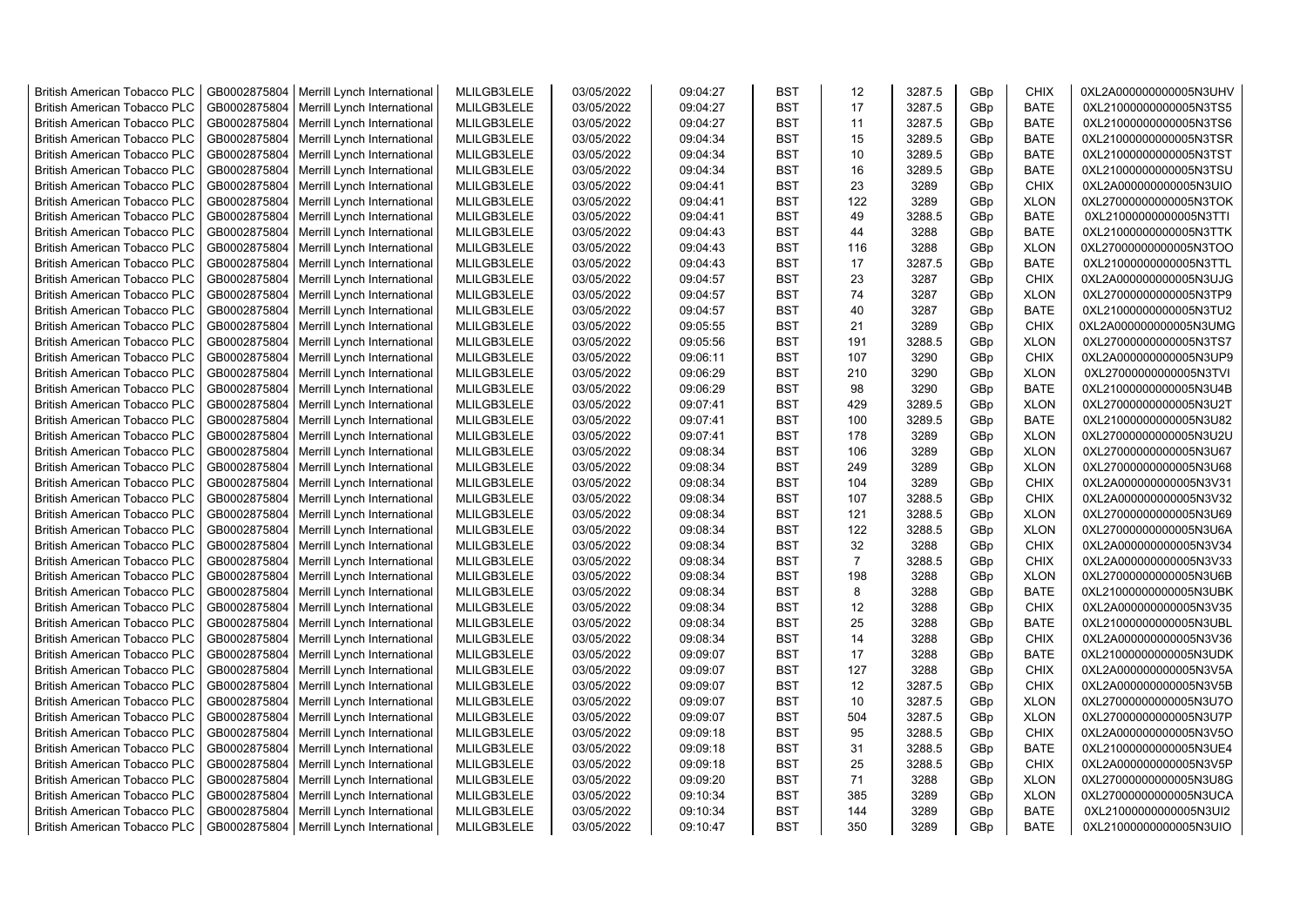| GB0002875804<br>17<br>3287.5<br><b>BATE</b><br><b>British American Tobacco PLC</b><br>Merrill Lynch International<br>MLILGB3LELE<br>03/05/2022<br>09:04:27<br><b>BST</b><br>GBp<br>0XL21000000000005N3TS5<br>11<br>3287.5<br><b>BATE</b><br><b>British American Tobacco PLC</b><br>GB0002875804<br>Merrill Lynch International<br>MLILGB3LELE<br>03/05/2022<br>09:04:27<br><b>BST</b><br>GBp<br>0XL21000000000005N3TS6<br>3289.5<br><b>British American Tobacco PLC</b><br>GB0002875804<br>Merrill Lynch International<br>MLILGB3LELE<br>03/05/2022<br>09:04:34<br><b>BST</b><br>15<br>GBp<br><b>BATE</b><br>0XL21000000000005N3TSR |  |
|-------------------------------------------------------------------------------------------------------------------------------------------------------------------------------------------------------------------------------------------------------------------------------------------------------------------------------------------------------------------------------------------------------------------------------------------------------------------------------------------------------------------------------------------------------------------------------------------------------------------------------------|--|
|                                                                                                                                                                                                                                                                                                                                                                                                                                                                                                                                                                                                                                     |  |
|                                                                                                                                                                                                                                                                                                                                                                                                                                                                                                                                                                                                                                     |  |
|                                                                                                                                                                                                                                                                                                                                                                                                                                                                                                                                                                                                                                     |  |
| MLILGB3LELE<br><b>BST</b><br>10<br>3289.5<br><b>BATE</b><br>British American Tobacco PLC<br>GB0002875804<br>Merrill Lynch International<br>03/05/2022<br>09:04:34<br>0XL21000000000005N3TST<br>GBp                                                                                                                                                                                                                                                                                                                                                                                                                                  |  |
| GB0002875804<br>Merrill Lynch International<br>MLILGB3LELE<br>03/05/2022<br>09:04:34<br><b>BST</b><br>16<br>3289.5<br>GBp<br><b>BATE</b><br>0XL21000000000005N3TSU<br><b>British American Tobacco PLC</b>                                                                                                                                                                                                                                                                                                                                                                                                                           |  |
| 23<br><b>British American Tobacco PLC</b><br>GB0002875804<br>Merrill Lynch International<br>MLILGB3LELE<br>03/05/2022<br>09:04:41<br><b>BST</b><br>3289<br><b>CHIX</b><br>0XL2A000000000005N3UIO<br>GBp                                                                                                                                                                                                                                                                                                                                                                                                                             |  |
| GB0002875804<br>MLILGB3LELE<br>03/05/2022<br>09:04:41<br><b>BST</b><br>122<br>3289<br><b>XLON</b><br>0XL27000000000005N3TOK<br><b>British American Tobacco PLC</b><br>Merrill Lynch International<br>GBp                                                                                                                                                                                                                                                                                                                                                                                                                            |  |
| GB0002875804<br>MLILGB3LELE<br>03/05/2022<br>09:04:41<br><b>BST</b><br>49<br>3288.5<br><b>BATE</b><br>0XL21000000000005N3TTI<br><b>British American Tobacco PLC</b><br>Merrill Lynch International<br>GBp                                                                                                                                                                                                                                                                                                                                                                                                                           |  |
| GB0002875804<br>3288<br><b>BATE</b><br>MLILGB3LELE<br>03/05/2022<br>09:04:43<br><b>BST</b><br>44<br>0XL21000000000005N3TTK<br><b>British American Tobacco PLC</b><br>Merrill Lynch International<br>GBp                                                                                                                                                                                                                                                                                                                                                                                                                             |  |
| GB0002875804<br>MLILGB3LELE<br>03/05/2022<br>09:04:43<br><b>BST</b><br>3288<br>0XL27000000000005N3TOO<br><b>British American Tobacco PLC</b><br>Merrill Lynch International<br>116<br>GBp<br><b>XLON</b>                                                                                                                                                                                                                                                                                                                                                                                                                            |  |
| <b>British American Tobacco PLC</b><br>GB0002875804<br>Merrill Lynch International<br>MLILGB3LELE<br>03/05/2022<br>09:04:43<br><b>BST</b><br>17<br>3287.5<br><b>BATE</b><br>0XL21000000000005N3TTL<br>GBp                                                                                                                                                                                                                                                                                                                                                                                                                           |  |
| GB0002875804<br>MLILGB3LELE<br>03/05/2022<br>09:04:57<br><b>BST</b><br>23<br>3287<br>GBp<br><b>CHIX</b><br>0XL2A000000000005N3UJG<br><b>British American Tobacco PLC</b><br>Merrill Lynch International                                                                                                                                                                                                                                                                                                                                                                                                                             |  |
| GB0002875804<br>MLILGB3LELE<br>03/05/2022<br><b>BST</b><br>74<br>3287<br><b>XLON</b><br><b>British American Tobacco PLC</b><br>Merrill Lynch International<br>09:04:57<br>GBp<br>0XL27000000000005N3TP9                                                                                                                                                                                                                                                                                                                                                                                                                             |  |
| MLILGB3LELE<br>03/05/2022<br><b>BST</b><br>40<br>3287<br><b>BATE</b><br><b>British American Tobacco PLC</b><br>GB0002875804<br>Merrill Lynch International<br>09:04:57<br>GBp<br>0XL21000000000005N3TU2                                                                                                                                                                                                                                                                                                                                                                                                                             |  |
| GB0002875804<br>MLILGB3LELE<br>03/05/2022<br>21<br>3289<br><b>CHIX</b><br>0XL2A000000000005N3UMG<br><b>British American Tobacco PLC</b><br>Merrill Lynch International<br>09:05:55<br>BST<br>GBp                                                                                                                                                                                                                                                                                                                                                                                                                                    |  |
| 191<br>3288.5<br><b>British American Tobacco PLC</b><br>GB0002875804<br>Merrill Lynch International<br>MLILGB3LELE<br>03/05/2022<br>09:05:56<br><b>BST</b><br>GBp<br><b>XLON</b><br>0XL27000000000005N3TS7                                                                                                                                                                                                                                                                                                                                                                                                                          |  |
| GB0002875804<br>MLILGB3LELE<br>03/05/2022<br><b>BST</b><br>107<br>3290<br><b>CHIX</b><br>0XL2A000000000005N3UP9<br><b>British American Tobacco PLC</b><br>Merrill Lynch International<br>09:06:11<br>GBp                                                                                                                                                                                                                                                                                                                                                                                                                            |  |
| GB0002875804<br>MLILGB3LELE<br>03/05/2022<br><b>BST</b><br>210<br>3290<br><b>XLON</b><br>0XL27000000000005N3TVI<br><b>British American Tobacco PLC</b><br>Merrill Lynch International<br>09:06:29<br>GBp                                                                                                                                                                                                                                                                                                                                                                                                                            |  |
| GB0002875804<br>MLILGB3LELE<br>3290<br><b>BATE</b><br><b>British American Tobacco PLC</b><br>Merrill Lynch International<br>03/05/2022<br>09:06:29<br><b>BST</b><br>98<br>GBp<br>0XL21000000000005N3U4B                                                                                                                                                                                                                                                                                                                                                                                                                             |  |
| GB0002875804<br>03/05/2022<br><b>BST</b><br>429<br>3289.5<br><b>British American Tobacco PLC</b><br>Merrill Lynch International<br>MLILGB3LELE<br>09:07:41<br>GBp<br><b>XLON</b><br>0XL27000000000005N3U2T                                                                                                                                                                                                                                                                                                                                                                                                                          |  |
| GB0002875804<br>MLILGB3LELE<br>03/05/2022<br>09:07:41<br><b>BST</b><br>100<br>3289.5<br><b>BATE</b><br><b>British American Tobacco PLC</b><br>Merrill Lynch International<br>GBp<br>0XL21000000000005N3U82                                                                                                                                                                                                                                                                                                                                                                                                                          |  |
| 178<br><b>British American Tobacco PLC</b><br>GB0002875804<br>Merrill Lynch International<br>MLILGB3LELE<br>03/05/2022<br>09:07:41<br><b>BST</b><br>3289<br><b>XLON</b><br>0XL27000000000005N3U2U<br>GBp                                                                                                                                                                                                                                                                                                                                                                                                                            |  |
| <b>British American Tobacco PLC</b><br>GB0002875804<br>Merrill Lynch International<br>MLILGB3LELE<br>03/05/2022<br>09:08:34<br><b>BST</b><br>106<br>3289<br>GBp<br><b>XLON</b><br>0XL27000000000005N3U67                                                                                                                                                                                                                                                                                                                                                                                                                            |  |
| <b>British American Tobacco PLC</b><br>GB0002875804<br>Merrill Lynch International<br>MLILGB3LELE<br>03/05/2022<br>09:08:34<br><b>BST</b><br>249<br>3289<br>GBp<br><b>XLON</b><br>0XL27000000000005N3U68                                                                                                                                                                                                                                                                                                                                                                                                                            |  |
| 3289<br><b>British American Tobacco PLC</b><br>GB0002875804<br>MLILGB3LELE<br>03/05/2022<br>09:08:34<br><b>BST</b><br>104<br>GBp<br><b>CHIX</b><br>0XL2A000000000005N3V31<br>Merrill Lynch International                                                                                                                                                                                                                                                                                                                                                                                                                            |  |
| GB0002875804<br>MLILGB3LELE<br>03/05/2022<br>3288.5<br><b>CHIX</b><br><b>British American Tobacco PLC</b><br>Merrill Lynch International<br>09:08:34<br><b>BST</b><br>107<br>0XL2A000000000005N3V32<br>GBp                                                                                                                                                                                                                                                                                                                                                                                                                          |  |
| <b>BST</b><br>3288.5<br><b>XLON</b><br><b>British American Tobacco PLC</b><br>GB0002875804<br>Merrill Lynch International<br>MLILGB3LELE<br>03/05/2022<br>09:08:34<br>121<br>0XL27000000000005N3U69<br>GBp                                                                                                                                                                                                                                                                                                                                                                                                                          |  |
| <b>British American Tobacco PLC</b><br>GB0002875804<br>Merrill Lynch International<br>MLILGB3LELE<br>03/05/2022<br>09:08:34<br><b>BST</b><br>122<br>3288.5<br><b>XLON</b><br>0XL27000000000005N3U6A<br>GBp                                                                                                                                                                                                                                                                                                                                                                                                                          |  |
| 3288<br>GB0002875804<br>Merrill Lynch International<br>MLILGB3LELE<br>03/05/2022<br>09:08:34<br><b>BST</b><br>32<br>GBp<br><b>CHIX</b><br>0XL2A000000000005N3V34<br><b>British American Tobacco PLC</b>                                                                                                                                                                                                                                                                                                                                                                                                                             |  |
| $\overline{7}$<br>3288.5<br>GB0002875804<br>MLILGB3LELE<br>03/05/2022<br>09:08:34<br><b>BST</b><br>GBp<br><b>CHIX</b><br>0XL2A000000000005N3V33<br><b>British American Tobacco PLC</b><br>Merrill Lynch International                                                                                                                                                                                                                                                                                                                                                                                                               |  |
| MLILGB3LELE<br>03/05/2022<br><b>BST</b><br>198<br>3288<br><b>British American Tobacco PLC</b><br>GB0002875804<br>Merrill Lynch International<br>09:08:34<br>GBp<br><b>XLON</b><br>0XL27000000000005N3U6B                                                                                                                                                                                                                                                                                                                                                                                                                            |  |
| <b>British American Tobacco PLC</b><br>GB0002875804<br>Merrill Lynch International<br>MLILGB3LELE<br>03/05/2022<br>09:08:34<br><b>BST</b><br>8<br>3288<br>GBp<br><b>BATE</b><br>0XL21000000000005N3UBK                                                                                                                                                                                                                                                                                                                                                                                                                              |  |
| GB0002875804<br>Merrill Lynch International<br>MLILGB3LELE<br>03/05/2022<br>09:08:34<br><b>BST</b><br>12<br>3288<br><b>CHIX</b><br>0XL2A000000000005N3V35<br><b>British American Tobacco PLC</b><br>GBp                                                                                                                                                                                                                                                                                                                                                                                                                             |  |
| GB0002875804<br>25<br>3288<br><b>BATE</b><br>MLILGB3LELE<br>03/05/2022<br>09:08:34<br><b>BST</b><br>0XL21000000000005N3UBL<br><b>British American Tobacco PLC</b><br>Merrill Lynch International<br>GBp                                                                                                                                                                                                                                                                                                                                                                                                                             |  |
| GB0002875804<br>MLILGB3LELE<br>03/05/2022<br><b>BST</b><br>14<br>3288<br><b>CHIX</b><br><b>British American Tobacco PLC</b><br>Merrill Lynch International<br>09:08:34<br>0XL2A000000000005N3V36<br>GBp                                                                                                                                                                                                                                                                                                                                                                                                                             |  |
| 3288<br><b>BATE</b><br>GB0002875804<br>MLILGB3LELE<br>03/05/2022<br><b>BST</b><br>17<br><b>British American Tobacco PLC</b><br>Merrill Lynch International<br>09:09:07<br>GBp<br>0XL21000000000005N3UDK                                                                                                                                                                                                                                                                                                                                                                                                                             |  |
| GB0002875804<br>MLILGB3LELE<br>03/05/2022<br>127<br>3288<br><b>CHIX</b><br><b>British American Tobacco PLC</b><br>Merrill Lynch International<br>09:09:07<br><b>BST</b><br>GBp<br>0XL2A000000000005N3V5A                                                                                                                                                                                                                                                                                                                                                                                                                            |  |
| GB0002875804<br>MLILGB3LELE<br>03/05/2022<br>09:09:07<br><b>BST</b><br>12<br>3287.5<br><b>CHIX</b><br>0XL2A000000000005N3V5B<br><b>British American Tobacco PLC</b><br>Merrill Lynch International<br>GBp                                                                                                                                                                                                                                                                                                                                                                                                                           |  |
| MLILGB3LELE<br>10<br>3287.5<br><b>British American Tobacco PLC</b><br>GB0002875804<br>Merrill Lynch International<br>03/05/2022<br>09:09:07<br><b>BST</b><br>GBp<br><b>XLON</b><br>0XL27000000000005N3U7O                                                                                                                                                                                                                                                                                                                                                                                                                           |  |
| 3287.5<br><b>British American Tobacco PLC</b><br>GB0002875804<br>Merrill Lynch International<br>MLILGB3LELE<br>03/05/2022<br>09:09:07<br><b>BST</b><br>504<br>GBp<br><b>XLON</b><br>0XL27000000000005N3U7P                                                                                                                                                                                                                                                                                                                                                                                                                          |  |
| GB0002875804<br>MLILGB3LELE<br>03/05/2022<br>95<br>3288.5<br><b>CHIX</b><br><b>British American Tobacco PLC</b><br>Merrill Lynch International<br>09:09:18<br><b>BST</b><br>GBp<br>0XL2A000000000005N3V5O                                                                                                                                                                                                                                                                                                                                                                                                                           |  |
| GB0002875804<br>MLILGB3LELE<br>03/05/2022<br>31<br>3288.5<br><b>BATE</b><br>0XL21000000000005N3UE4<br><b>British American Tobacco PLC</b><br>Merrill Lynch International<br>09:09:18<br><b>BST</b><br>GBp                                                                                                                                                                                                                                                                                                                                                                                                                           |  |
| GB0002875804<br><b>BST</b><br>25<br>3288.5<br><b>CHIX</b><br>0XL2A000000000005N3V5P<br><b>British American Tobacco PLC</b><br>Merrill Lynch International<br>MLILGB3LELE<br>03/05/2022<br>09:09:18<br>GBp                                                                                                                                                                                                                                                                                                                                                                                                                           |  |
|                                                                                                                                                                                                                                                                                                                                                                                                                                                                                                                                                                                                                                     |  |
| <b>BST</b><br>71                                                                                                                                                                                                                                                                                                                                                                                                                                                                                                                                                                                                                    |  |
| MLILGB3LELE<br>GB0002875804<br>Merrill Lynch International<br>03/05/2022<br>09:09:20<br>3288<br><b>XLON</b><br>0XL27000000000005N3U8G<br><b>British American Tobacco PLC</b><br>GBp<br>385<br>3289<br><b>British American Tobacco PLC</b><br>GB0002875804<br>Merrill Lynch International<br>MLILGB3LELE<br>03/05/2022<br>09:10:34<br><b>BST</b><br>GBp<br><b>XLON</b><br>0XL27000000000005N3UCA                                                                                                                                                                                                                                     |  |
| MLILGB3LELE<br>GB0002875804<br>Merrill Lynch International<br>03/05/2022<br>09:10:34<br><b>BST</b><br>144<br>3289<br>GBp<br><b>BATE</b><br>0XL21000000000005N3UI2<br><b>British American Tobacco PLC</b>                                                                                                                                                                                                                                                                                                                                                                                                                            |  |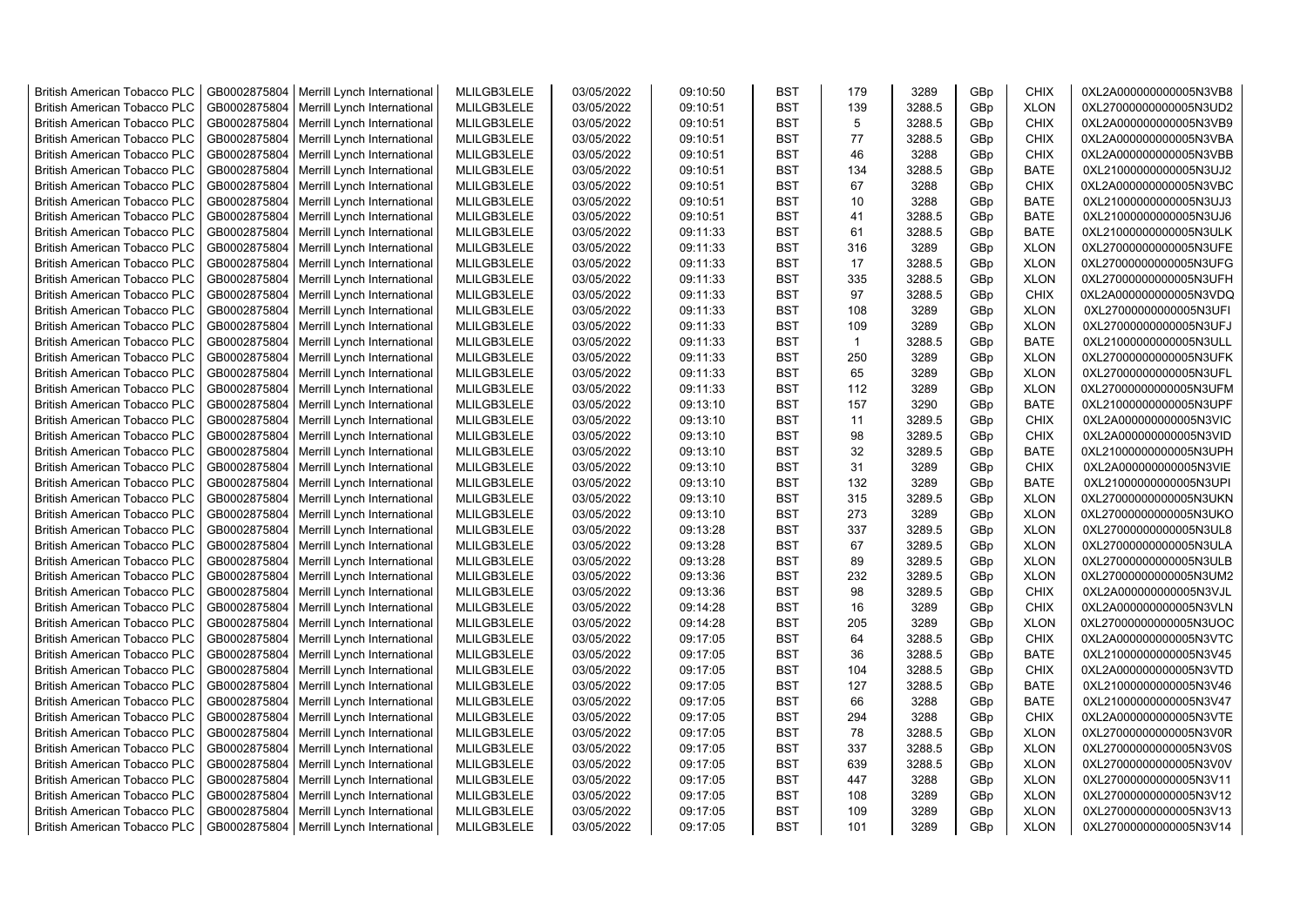| <b>British American Tobacco PLC</b> | GB0002875804 | Merrill Lynch International | MLILGB3LELE | 03/05/2022 | 09:10:50 | <b>BST</b> | 179          | 3289   | GBp | <b>CHIX</b> | 0XL2A000000000005N3VB8 |
|-------------------------------------|--------------|-----------------------------|-------------|------------|----------|------------|--------------|--------|-----|-------------|------------------------|
| <b>British American Tobacco PLC</b> | GB0002875804 | Merrill Lynch International | MLILGB3LELE | 03/05/2022 | 09:10:51 | <b>BST</b> | 139          | 3288.5 | GBp | <b>XLON</b> | 0XL27000000000005N3UD2 |
| <b>British American Tobacco PLC</b> | GB0002875804 | Merrill Lynch International | MLILGB3LELE | 03/05/2022 | 09:10:51 | <b>BST</b> | 5            | 3288.5 | GBp | <b>CHIX</b> | 0XL2A000000000005N3VB9 |
| <b>British American Tobacco PLC</b> | GB0002875804 | Merrill Lynch International | MLILGB3LELE | 03/05/2022 | 09:10:51 | <b>BST</b> | 77           | 3288.5 | GBp | <b>CHIX</b> | 0XL2A000000000005N3VBA |
| <b>British American Tobacco PLC</b> | GB0002875804 | Merrill Lynch International | MLILGB3LELE | 03/05/2022 | 09:10:51 | <b>BST</b> | 46           | 3288   | GBp | <b>CHIX</b> | 0XL2A000000000005N3VBB |
| <b>British American Tobacco PLC</b> | GB0002875804 | Merrill Lynch International | MLILGB3LELE | 03/05/2022 | 09:10:51 | <b>BST</b> | 134          | 3288.5 | GBp | <b>BATE</b> | 0XL21000000000005N3UJ2 |
| <b>British American Tobacco PLC</b> | GB0002875804 | Merrill Lynch International | MLILGB3LELE | 03/05/2022 | 09:10:51 | <b>BST</b> | 67           | 3288   | GBp | <b>CHIX</b> | 0XL2A000000000005N3VBC |
| <b>British American Tobacco PLC</b> | GB0002875804 | Merrill Lynch International | MLILGB3LELE | 03/05/2022 | 09:10:51 | <b>BST</b> | 10           | 3288   | GBp | BATE        | 0XL21000000000005N3UJ3 |
| <b>British American Tobacco PLC</b> | GB0002875804 | Merrill Lynch International | MLILGB3LELE | 03/05/2022 | 09:10:51 | <b>BST</b> | 41           | 3288.5 | GBp | <b>BATE</b> | 0XL21000000000005N3UJ6 |
| <b>British American Tobacco PLC</b> | GB0002875804 | Merrill Lynch International | MLILGB3LELE | 03/05/2022 | 09:11:33 | <b>BST</b> | 61           | 3288.5 | GBp | <b>BATE</b> | 0XL21000000000005N3ULK |
| <b>British American Tobacco PLC</b> | GB0002875804 | Merrill Lynch International | MLILGB3LELE | 03/05/2022 | 09:11:33 | <b>BST</b> | 316          | 3289   | GBp | <b>XLON</b> | 0XL27000000000005N3UFE |
| <b>British American Tobacco PLC</b> | GB0002875804 | Merrill Lynch International | MLILGB3LELE | 03/05/2022 | 09:11:33 | <b>BST</b> | 17           | 3288.5 | GBp | <b>XLON</b> | 0XL27000000000005N3UFG |
| <b>British American Tobacco PLC</b> | GB0002875804 | Merrill Lynch International | MLILGB3LELE | 03/05/2022 | 09:11:33 | <b>BST</b> | 335          | 3288.5 | GBp | <b>XLON</b> | 0XL27000000000005N3UFH |
| <b>British American Tobacco PLC</b> | GB0002875804 | Merrill Lynch International | MLILGB3LELE | 03/05/2022 | 09:11:33 | <b>BST</b> | 97           | 3288.5 | GBp | <b>CHIX</b> | 0XL2A000000000005N3VDQ |
| <b>British American Tobacco PLC</b> | GB0002875804 | Merrill Lynch International | MLILGB3LELE | 03/05/2022 | 09:11:33 | <b>BST</b> | 108          | 3289   | GBp | <b>XLON</b> | 0XL27000000000005N3UFI |
| <b>British American Tobacco PLC</b> | GB0002875804 | Merrill Lynch International | MLILGB3LELE | 03/05/2022 | 09:11:33 | <b>BST</b> | 109          | 3289   | GBp | <b>XLON</b> | 0XL27000000000005N3UFJ |
| <b>British American Tobacco PLC</b> | GB0002875804 | Merrill Lynch International | MLILGB3LELE | 03/05/2022 | 09:11:33 | <b>BST</b> | $\mathbf{1}$ | 3288.5 | GBp | <b>BATE</b> | 0XL21000000000005N3ULL |
| <b>British American Tobacco PLC</b> | GB0002875804 | Merrill Lynch International | MLILGB3LELE | 03/05/2022 | 09:11:33 | <b>BST</b> | 250          | 3289   | GBp | <b>XLON</b> | 0XL27000000000005N3UFK |
| <b>British American Tobacco PLC</b> | GB0002875804 | Merrill Lynch International | MLILGB3LELE | 03/05/2022 | 09:11:33 | <b>BST</b> | 65           | 3289   | GBp | <b>XLON</b> | 0XL27000000000005N3UFL |
| <b>British American Tobacco PLC</b> | GB0002875804 | Merrill Lynch International | MLILGB3LELE | 03/05/2022 | 09:11:33 | <b>BST</b> | 112          | 3289   | GBp | <b>XLON</b> | 0XL27000000000005N3UFM |
| <b>British American Tobacco PLC</b> | GB0002875804 | Merrill Lynch International | MLILGB3LELE | 03/05/2022 | 09:13:10 | <b>BST</b> | 157          | 3290   | GBp | <b>BATE</b> | 0XL21000000000005N3UPF |
| <b>British American Tobacco PLC</b> | GB0002875804 | Merrill Lynch International | MLILGB3LELE | 03/05/2022 | 09:13:10 | <b>BST</b> | 11           | 3289.5 | GBp | <b>CHIX</b> | 0XL2A000000000005N3VIC |
| <b>British American Tobacco PLC</b> | GB0002875804 | Merrill Lynch International | MLILGB3LELE | 03/05/2022 | 09:13:10 | <b>BST</b> | 98           | 3289.5 | GBp | <b>CHIX</b> | 0XL2A000000000005N3VID |
| <b>British American Tobacco PLC</b> | GB0002875804 | Merrill Lynch International | MLILGB3LELE | 03/05/2022 | 09:13:10 | BST        | 32           | 3289.5 | GBp | BATE        | 0XL21000000000005N3UPH |
| <b>British American Tobacco PLC</b> | GB0002875804 | Merrill Lynch International | MLILGB3LELE | 03/05/2022 | 09:13:10 | <b>BST</b> | 31           | 3289   | GBp | <b>CHIX</b> | 0XL2A000000000005N3VIE |
| British American Tobacco PLC        | GB0002875804 | Merrill Lynch International | MLILGB3LELE | 03/05/2022 | 09:13:10 | <b>BST</b> | 132          | 3289   | GBp | BATE        | 0XL21000000000005N3UPI |
| <b>British American Tobacco PLC</b> | GB0002875804 | Merrill Lynch International | MLILGB3LELE | 03/05/2022 | 09:13:10 | <b>BST</b> | 315          | 3289.5 | GBp | <b>XLON</b> | 0XL27000000000005N3UKN |
| British American Tobacco PLC        | GB0002875804 | Merrill Lynch International | MLILGB3LELE | 03/05/2022 | 09:13:10 | <b>BST</b> | 273          | 3289   | GBp | <b>XLON</b> | 0XL27000000000005N3UKO |
| <b>British American Tobacco PLC</b> | GB0002875804 | Merrill Lynch International | MLILGB3LELE | 03/05/2022 | 09:13:28 | <b>BST</b> | 337          | 3289.5 | GBp | <b>XLON</b> | 0XL27000000000005N3UL8 |
| <b>British American Tobacco PLC</b> | GB0002875804 | Merrill Lynch International | MLILGB3LELE | 03/05/2022 | 09:13:28 | <b>BST</b> | 67           | 3289.5 | GBp | <b>XLON</b> | 0XL27000000000005N3ULA |
| <b>British American Tobacco PLC</b> | GB0002875804 | Merrill Lynch International | MLILGB3LELE | 03/05/2022 | 09:13:28 | <b>BST</b> | 89           | 3289.5 | GBp | <b>XLON</b> | 0XL27000000000005N3ULB |
| <b>British American Tobacco PLC</b> | GB0002875804 | Merrill Lynch International | MLILGB3LELE | 03/05/2022 | 09:13:36 | <b>BST</b> | 232          | 3289.5 | GBp | <b>XLON</b> | 0XL27000000000005N3UM2 |
| <b>British American Tobacco PLC</b> | GB0002875804 | Merrill Lynch International | MLILGB3LELE | 03/05/2022 | 09:13:36 | <b>BST</b> | 98           | 3289.5 | GBp | <b>CHIX</b> | 0XL2A000000000005N3VJL |
| <b>British American Tobacco PLC</b> | GB0002875804 | Merrill Lynch International | MLILGB3LELE | 03/05/2022 | 09:14:28 | <b>BST</b> | 16           | 3289   | GBp | <b>CHIX</b> | 0XL2A000000000005N3VLN |
| <b>British American Tobacco PLC</b> | GB0002875804 | Merrill Lynch International | MLILGB3LELE | 03/05/2022 | 09:14:28 | <b>BST</b> | 205          | 3289   | GBp | <b>XLON</b> | 0XL27000000000005N3UOC |
| <b>British American Tobacco PLC</b> | GB0002875804 | Merrill Lynch International | MLILGB3LELE | 03/05/2022 | 09:17:05 | <b>BST</b> | 64           | 3288.5 | GBp | <b>CHIX</b> | 0XL2A000000000005N3VTC |
| <b>British American Tobacco PLC</b> | GB0002875804 | Merrill Lynch International | MLILGB3LELE | 03/05/2022 | 09:17:05 | <b>BST</b> | 36           | 3288.5 | GBp | <b>BATE</b> | 0XL21000000000005N3V45 |
| <b>British American Tobacco PLC</b> | GB0002875804 | Merrill Lynch International | MLILGB3LELE | 03/05/2022 | 09:17:05 | <b>BST</b> | 104          | 3288.5 | GBp | <b>CHIX</b> | 0XL2A000000000005N3VTD |
| <b>British American Tobacco PLC</b> | GB0002875804 | Merrill Lynch International | MLILGB3LELE | 03/05/2022 | 09:17:05 | <b>BST</b> | 127          | 3288.5 | GBp | <b>BATE</b> | 0XL21000000000005N3V46 |
| <b>British American Tobacco PLC</b> | GB0002875804 | Merrill Lynch International | MLILGB3LELE | 03/05/2022 | 09:17:05 | <b>BST</b> | 66           | 3288   | GBp | <b>BATE</b> | 0XL21000000000005N3V47 |
| <b>British American Tobacco PLC</b> | GB0002875804 | Merrill Lynch International | MLILGB3LELE | 03/05/2022 | 09:17:05 | <b>BST</b> | 294          | 3288   | GBp | <b>CHIX</b> | 0XL2A000000000005N3VTE |
| <b>British American Tobacco PLC</b> | GB0002875804 | Merrill Lynch International | MLILGB3LELE | 03/05/2022 | 09:17:05 | <b>BST</b> | 78           | 3288.5 | GBp | <b>XLON</b> | 0XL27000000000005N3V0R |
| <b>British American Tobacco PLC</b> | GB0002875804 | Merrill Lynch International | MLILGB3LELE | 03/05/2022 | 09:17:05 | <b>BST</b> | 337          | 3288.5 | GBp | <b>XLON</b> | 0XL27000000000005N3V0S |
| <b>British American Tobacco PLC</b> | GB0002875804 | Merrill Lynch International | MLILGB3LELE | 03/05/2022 | 09:17:05 | <b>BST</b> | 639          | 3288.5 | GBp | <b>XLON</b> | 0XL27000000000005N3V0V |
| <b>British American Tobacco PLC</b> | GB0002875804 | Merrill Lynch International | MLILGB3LELE | 03/05/2022 | 09:17:05 | <b>BST</b> | 447          | 3288   | GBp | <b>XLON</b> | 0XL27000000000005N3V11 |
| <b>British American Tobacco PLC</b> | GB0002875804 | Merrill Lynch International | MLILGB3LELE | 03/05/2022 | 09:17:05 | <b>BST</b> | 108          | 3289   | GBp | <b>XLON</b> | 0XL27000000000005N3V12 |
| <b>British American Tobacco PLC</b> | GB0002875804 | Merrill Lynch International | MLILGB3LELE | 03/05/2022 | 09:17:05 | <b>BST</b> | 109          | 3289   | GBp | <b>XLON</b> | 0XL27000000000005N3V13 |
| <b>British American Tobacco PLC</b> | GB0002875804 | Merrill Lynch International | MLILGB3LELE | 03/05/2022 | 09:17:05 | <b>BST</b> | 101          | 3289   | GBp | <b>XLON</b> | 0XL27000000000005N3V14 |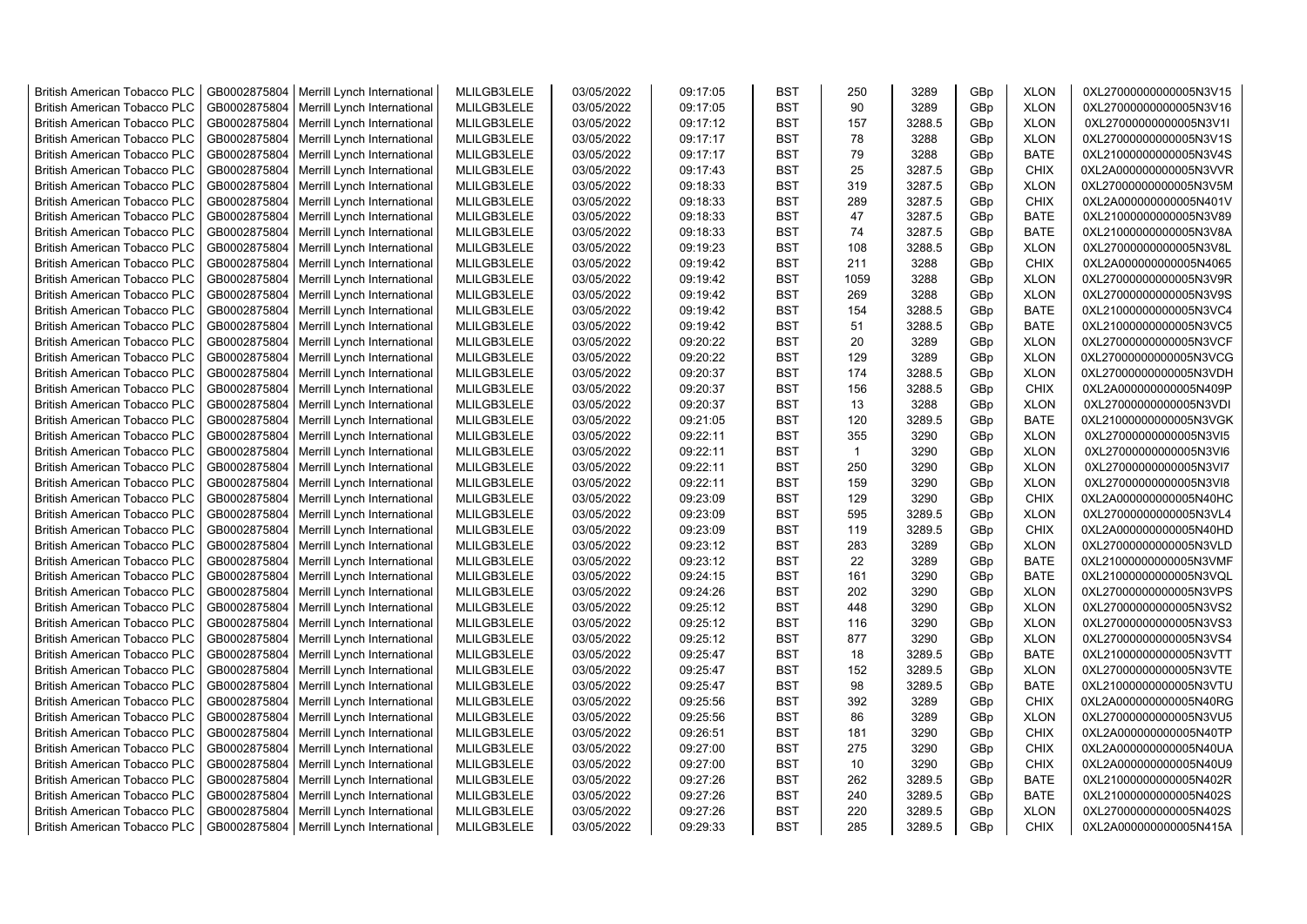| <b>British American Tobacco PLC</b> | GB0002875804 | Merrill Lynch International | MLILGB3LELE | 03/05/2022 | 09:17:05 | <b>BST</b> | 250          | 3289   | GBp             | <b>XLON</b> | 0XL27000000000005N3V15 |
|-------------------------------------|--------------|-----------------------------|-------------|------------|----------|------------|--------------|--------|-----------------|-------------|------------------------|
| <b>British American Tobacco PLC</b> | GB0002875804 | Merrill Lynch International | MLILGB3LELE | 03/05/2022 | 09:17:05 | <b>BST</b> | 90           | 3289   | GBp             | <b>XLON</b> | 0XL27000000000005N3V16 |
| <b>British American Tobacco PLC</b> | GB0002875804 | Merrill Lynch International | MLILGB3LELE | 03/05/2022 | 09:17:12 | <b>BST</b> | 157          | 3288.5 | GBp             | <b>XLON</b> | 0XL27000000000005N3V1I |
| <b>British American Tobacco PLC</b> | GB0002875804 | Merrill Lynch International | MLILGB3LELE | 03/05/2022 | 09:17:17 | <b>BST</b> | 78           | 3288   | GBp             | <b>XLON</b> | 0XL27000000000005N3V1S |
| <b>British American Tobacco PLC</b> | GB0002875804 | Merrill Lynch International | MLILGB3LELE | 03/05/2022 | 09:17:17 | <b>BST</b> | 79           | 3288   | GBp             | <b>BATE</b> | 0XL21000000000005N3V4S |
| <b>British American Tobacco PLC</b> | GB0002875804 | Merrill Lynch International | MLILGB3LELE | 03/05/2022 | 09:17:43 | <b>BST</b> | 25           | 3287.5 | GBp             | <b>CHIX</b> | 0XL2A000000000005N3VVR |
| <b>British American Tobacco PLC</b> | GB0002875804 | Merrill Lynch International | MLILGB3LELE | 03/05/2022 | 09:18:33 | <b>BST</b> | 319          | 3287.5 | GBp             | <b>XLON</b> | 0XL27000000000005N3V5M |
| <b>British American Tobacco PLC</b> | GB0002875804 | Merrill Lynch International | MLILGB3LELE | 03/05/2022 | 09:18:33 | <b>BST</b> | 289          | 3287.5 | GBp             | <b>CHIX</b> | 0XL2A000000000005N401V |
| <b>British American Tobacco PLC</b> | GB0002875804 | Merrill Lynch International | MLILGB3LELE | 03/05/2022 | 09:18:33 | <b>BST</b> | 47           | 3287.5 | GBp             | BATE        | 0XL21000000000005N3V89 |
| <b>British American Tobacco PLC</b> | GB0002875804 | Merrill Lynch International | MLILGB3LELE | 03/05/2022 | 09:18:33 | <b>BST</b> | 74           | 3287.5 | GBp             | <b>BATE</b> | 0XL21000000000005N3V8A |
| <b>British American Tobacco PLC</b> | GB0002875804 | Merrill Lynch International | MLILGB3LELE | 03/05/2022 | 09:19:23 | <b>BST</b> | 108          | 3288.5 | GBp             | <b>XLON</b> | 0XL27000000000005N3V8L |
| <b>British American Tobacco PLC</b> | GB0002875804 | Merrill Lynch International | MLILGB3LELE | 03/05/2022 | 09:19:42 | <b>BST</b> | 211          | 3288   | GBp             | <b>CHIX</b> | 0XL2A000000000005N4065 |
| <b>British American Tobacco PLC</b> | GB0002875804 | Merrill Lynch International | MLILGB3LELE | 03/05/2022 | 09:19:42 | <b>BST</b> | 1059         | 3288   | GBp             | <b>XLON</b> | 0XL27000000000005N3V9R |
| <b>British American Tobacco PLC</b> | GB0002875804 | Merrill Lynch International | MLILGB3LELE | 03/05/2022 | 09:19:42 | <b>BST</b> | 269          | 3288   | GBp             | <b>XLON</b> | 0XL27000000000005N3V9S |
| <b>British American Tobacco PLC</b> | GB0002875804 | Merrill Lynch International | MLILGB3LELE | 03/05/2022 | 09:19:42 | <b>BST</b> | 154          | 3288.5 | GBp             | <b>BATE</b> | 0XL21000000000005N3VC4 |
| <b>British American Tobacco PLC</b> | GB0002875804 | Merrill Lynch International | MLILGB3LELE | 03/05/2022 | 09:19:42 | <b>BST</b> | 51           | 3288.5 | GBp             | <b>BATE</b> | 0XL21000000000005N3VC5 |
| <b>British American Tobacco PLC</b> | GB0002875804 | Merrill Lynch International | MLILGB3LELE | 03/05/2022 | 09:20:22 | <b>BST</b> | 20           | 3289   | GBp             | <b>XLON</b> | 0XL27000000000005N3VCF |
| <b>British American Tobacco PLC</b> | GB0002875804 | Merrill Lynch International | MLILGB3LELE | 03/05/2022 | 09:20:22 | <b>BST</b> | 129          | 3289   | GBp             | <b>XLON</b> | 0XL27000000000005N3VCG |
| <b>British American Tobacco PLC</b> | GB0002875804 | Merrill Lynch International | MLILGB3LELE | 03/05/2022 | 09:20:37 | <b>BST</b> | 174          | 3288.5 | GBp             | <b>XLON</b> | 0XL27000000000005N3VDH |
| <b>British American Tobacco PLC</b> | GB0002875804 | Merrill Lynch International | MLILGB3LELE | 03/05/2022 | 09:20:37 | <b>BST</b> | 156          | 3288.5 | GBp             | <b>CHIX</b> | 0XL2A000000000005N409P |
| <b>British American Tobacco PLC</b> | GB0002875804 | Merrill Lynch International | MLILGB3LELE | 03/05/2022 | 09:20:37 | <b>BST</b> | 13           | 3288   | GBp             | <b>XLON</b> | 0XL27000000000005N3VDI |
| <b>British American Tobacco PLC</b> | GB0002875804 | Merrill Lynch International | MLILGB3LELE | 03/05/2022 | 09:21:05 | <b>BST</b> | 120          | 3289.5 | GBp             | <b>BATE</b> | 0XL21000000000005N3VGK |
| <b>British American Tobacco PLC</b> | GB0002875804 | Merrill Lynch International | MLILGB3LELE | 03/05/2022 | 09:22:11 | <b>BST</b> | 355          | 3290   | GBp             | <b>XLON</b> | 0XL27000000000005N3VI5 |
| <b>British American Tobacco PLC</b> | GB0002875804 | Merrill Lynch International | MLILGB3LELE | 03/05/2022 | 09:22:11 | <b>BST</b> | $\mathbf{1}$ | 3290   | GBp             | <b>XLON</b> | 0XL27000000000005N3VI6 |
| <b>British American Tobacco PLC</b> | GB0002875804 | Merrill Lynch International | MLILGB3LELE | 03/05/2022 | 09:22:11 | <b>BST</b> | 250          | 3290   | GBp             | <b>XLON</b> | 0XL27000000000005N3VI7 |
| <b>British American Tobacco PLC</b> | GB0002875804 | Merrill Lynch International | MLILGB3LELE | 03/05/2022 | 09:22:11 | <b>BST</b> | 159          | 3290   | GBp             | <b>XLON</b> | 0XL27000000000005N3VI8 |
| <b>British American Tobacco PLC</b> | GB0002875804 | Merrill Lynch International | MLILGB3LELE | 03/05/2022 | 09:23:09 | <b>BST</b> | 129          | 3290   | GBp             | <b>CHIX</b> | 0XL2A000000000005N40HC |
| <b>British American Tobacco PLC</b> | GB0002875804 | Merrill Lynch International | MLILGB3LELE | 03/05/2022 | 09:23:09 | <b>BST</b> | 595          | 3289.5 | GBp             | <b>XLON</b> | 0XL27000000000005N3VL4 |
| <b>British American Tobacco PLC</b> | GB0002875804 | Merrill Lynch International | MLILGB3LELE | 03/05/2022 | 09:23:09 | <b>BST</b> | 119          | 3289.5 | GBp             | <b>CHIX</b> | 0XL2A000000000005N40HD |
| <b>British American Tobacco PLC</b> | GB0002875804 | Merrill Lynch International | MLILGB3LELE | 03/05/2022 | 09:23:12 | <b>BST</b> | 283          | 3289   | GBp             | <b>XLON</b> | 0XL27000000000005N3VLD |
| <b>British American Tobacco PLC</b> | GB0002875804 | Merrill Lynch International | MLILGB3LELE | 03/05/2022 | 09:23:12 | <b>BST</b> | 22           | 3289   | GBp             | <b>BATE</b> | 0XL21000000000005N3VMF |
| <b>British American Tobacco PLC</b> | GB0002875804 | Merrill Lynch International | MLILGB3LELE | 03/05/2022 | 09:24:15 | <b>BST</b> | 161          | 3290   | GBp             | <b>BATE</b> | 0XL21000000000005N3VQL |
| <b>British American Tobacco PLC</b> | GB0002875804 | Merrill Lynch International | MLILGB3LELE | 03/05/2022 | 09:24:26 | BST        | 202          | 3290   | GBp             | <b>XLON</b> | 0XL27000000000005N3VPS |
| <b>British American Tobacco PLC</b> | GB0002875804 | Merrill Lynch International | MLILGB3LELE | 03/05/2022 | 09:25:12 | <b>BST</b> | 448          | 3290   | GBp             | <b>XLON</b> | 0XL27000000000005N3VS2 |
| <b>British American Tobacco PLC</b> | GB0002875804 | Merrill Lynch International | MLILGB3LELE | 03/05/2022 | 09:25:12 | <b>BST</b> | 116          | 3290   | GBp             | <b>XLON</b> | 0XL27000000000005N3VS3 |
| <b>British American Tobacco PLC</b> | GB0002875804 | Merrill Lynch International | MLILGB3LELE | 03/05/2022 | 09:25:12 | <b>BST</b> | 877          | 3290   | GBp             | <b>XLON</b> | 0XL27000000000005N3VS4 |
| <b>British American Tobacco PLC</b> | GB0002875804 | Merrill Lynch International | MLILGB3LELE | 03/05/2022 | 09:25:47 | <b>BST</b> | 18           | 3289.5 | GBp             | <b>BATE</b> | 0XL21000000000005N3VTT |
| <b>British American Tobacco PLC</b> | GB0002875804 | Merrill Lynch International | MLILGB3LELE | 03/05/2022 | 09:25:47 | <b>BST</b> | 152          | 3289.5 | GBp             | <b>XLON</b> | 0XL27000000000005N3VTE |
| <b>British American Tobacco PLC</b> | GB0002875804 | Merrill Lynch International | MLILGB3LELE | 03/05/2022 | 09:25:47 | <b>BST</b> | 98           | 3289.5 | GBp             | <b>BATE</b> | 0XL21000000000005N3VTU |
| <b>British American Tobacco PLC</b> | GB0002875804 | Merrill Lynch International | MLILGB3LELE | 03/05/2022 | 09:25:56 | <b>BST</b> | 392          | 3289   | GBp             | <b>CHIX</b> | 0XL2A000000000005N40RG |
| <b>British American Tobacco PLC</b> | GB0002875804 | Merrill Lynch International | MLILGB3LELE | 03/05/2022 | 09:25:56 | <b>BST</b> | 86           | 3289   | GBp             | <b>XLON</b> | 0XL27000000000005N3VU5 |
| <b>British American Tobacco PLC</b> | GB0002875804 | Merrill Lynch International | MLILGB3LELE | 03/05/2022 | 09:26:51 | <b>BST</b> | 181          | 3290   | GBp             | <b>CHIX</b> | 0XL2A000000000005N40TP |
| <b>British American Tobacco PLC</b> | GB0002875804 | Merrill Lynch International | MLILGB3LELE | 03/05/2022 | 09:27:00 | <b>BST</b> | 275          | 3290   | GBp             | <b>CHIX</b> | 0XL2A000000000005N40UA |
| <b>British American Tobacco PLC</b> | GB0002875804 | Merrill Lynch International | MLILGB3LELE | 03/05/2022 | 09:27:00 | <b>BST</b> | 10           | 3290   | GBp             | <b>CHIX</b> | 0XL2A000000000005N40U9 |
| <b>British American Tobacco PLC</b> | GB0002875804 | Merrill Lynch International | MLILGB3LELE | 03/05/2022 | 09:27:26 | <b>BST</b> | 262          | 3289.5 | GBp             | <b>BATE</b> | 0XL21000000000005N402R |
| <b>British American Tobacco PLC</b> | GB0002875804 | Merrill Lynch International | MLILGB3LELE | 03/05/2022 | 09:27:26 | <b>BST</b> | 240          | 3289.5 | GBp             | <b>BATE</b> | 0XL21000000000005N402S |
| <b>British American Tobacco PLC</b> | GB0002875804 | Merrill Lynch International | MLILGB3LELE | 03/05/2022 | 09:27:26 | <b>BST</b> | 220          | 3289.5 | GBp             | <b>XLON</b> | 0XL27000000000005N402S |
| <b>British American Tobacco PLC</b> | GB0002875804 | Merrill Lynch International | MLILGB3LELE | 03/05/2022 | 09:29:33 | <b>BST</b> | 285          | 3289.5 | GB <sub>p</sub> | <b>CHIX</b> | 0XL2A000000000005N415A |
|                                     |              |                             |             |            |          |            |              |        |                 |             |                        |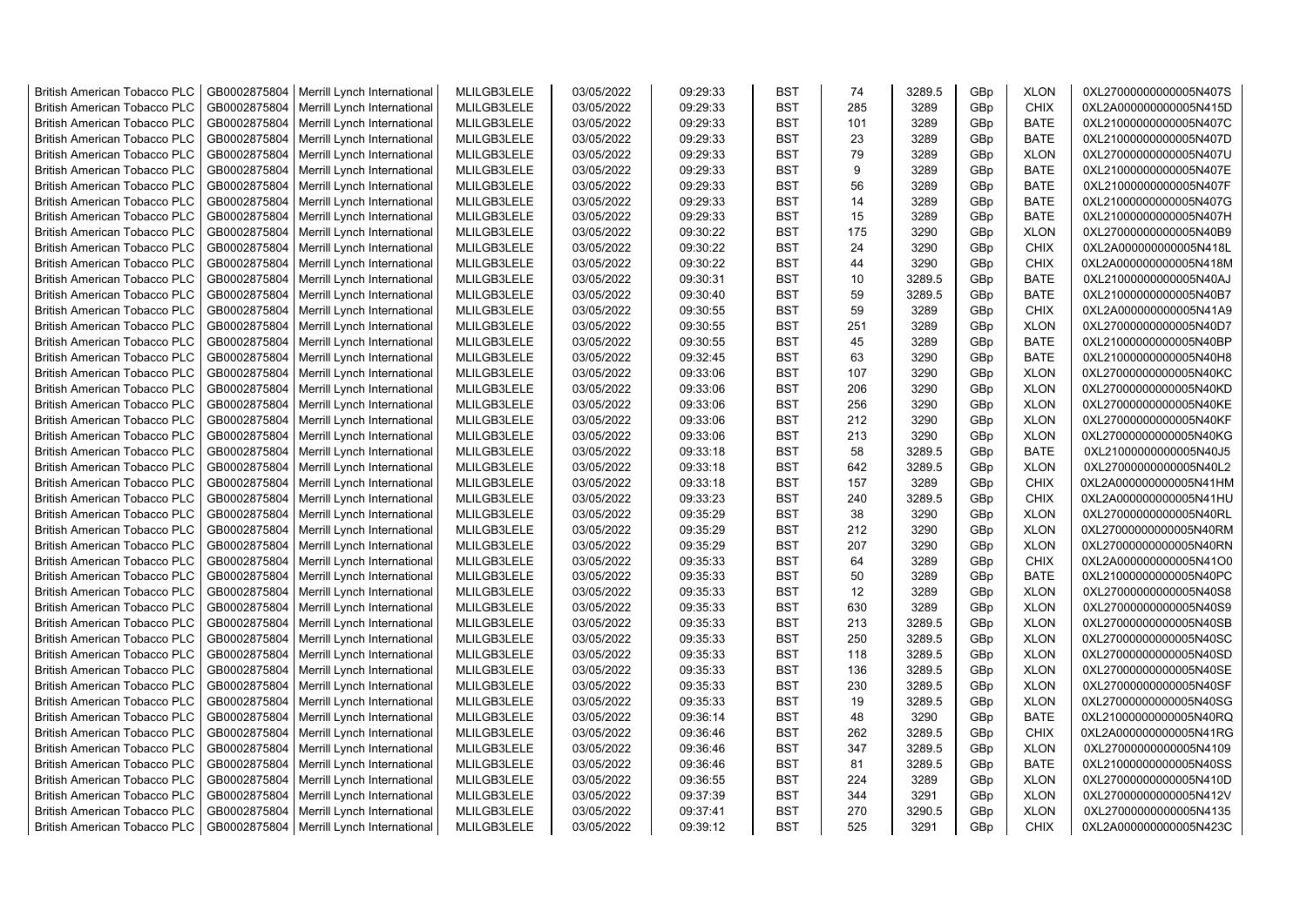| <b>British American Tobacco PLC</b> | GB0002875804 | Merrill Lynch International                | MLILGB3LELE | 03/05/2022 | 09:29:33 | <b>BST</b> | 74  | 3289.5 | GBp             | <b>XLON</b> | 0XL27000000000005N407S |
|-------------------------------------|--------------|--------------------------------------------|-------------|------------|----------|------------|-----|--------|-----------------|-------------|------------------------|
| <b>British American Tobacco PLC</b> | GB0002875804 | Merrill Lynch International                | MLILGB3LELE | 03/05/2022 | 09:29:33 | <b>BST</b> | 285 | 3289   | GBp             | <b>CHIX</b> | 0XL2A000000000005N415D |
| <b>British American Tobacco PLC</b> | GB0002875804 | Merrill Lynch International                | MLILGB3LELE | 03/05/2022 | 09:29:33 | <b>BST</b> | 101 | 3289   | GBp             | <b>BATE</b> | 0XL21000000000005N407C |
| <b>British American Tobacco PLC</b> | GB0002875804 | Merrill Lynch International                | MLILGB3LELE | 03/05/2022 | 09:29:33 | <b>BST</b> | 23  | 3289   | GBp             | <b>BATE</b> | 0XL21000000000005N407D |
| <b>British American Tobacco PLC</b> | GB0002875804 | Merrill Lynch International                | MLILGB3LELE | 03/05/2022 | 09:29:33 | <b>BST</b> | 79  | 3289   | GBp             | <b>XLON</b> | 0XL27000000000005N407U |
| <b>British American Tobacco PLC</b> | GB0002875804 | Merrill Lynch International                | MLILGB3LELE | 03/05/2022 | 09:29:33 | <b>BST</b> | 9   | 3289   | GBp             | <b>BATE</b> | 0XL21000000000005N407E |
| British American Tobacco PLC        | GB0002875804 | Merrill Lynch International                | MLILGB3LELE | 03/05/2022 | 09:29:33 | <b>BST</b> | 56  | 3289   | GBp             | <b>BATE</b> | 0XL21000000000005N407F |
| <b>British American Tobacco PLC</b> | GB0002875804 | Merrill Lynch International                | MLILGB3LELE | 03/05/2022 | 09:29:33 | <b>BST</b> | 14  | 3289   | GBp             | <b>BATE</b> | 0XL21000000000005N407G |
| <b>British American Tobacco PLC</b> | GB0002875804 | Merrill Lynch International                | MLILGB3LELE | 03/05/2022 | 09:29:33 | <b>BST</b> | 15  | 3289   | GBp             | <b>BATE</b> | 0XL21000000000005N407H |
| <b>British American Tobacco PLC</b> | GB0002875804 | Merrill Lynch International                | MLILGB3LELE | 03/05/2022 | 09:30:22 | <b>BST</b> | 175 | 3290   | GBp             | <b>XLON</b> | 0XL27000000000005N40B9 |
| <b>British American Tobacco PLC</b> | GB0002875804 | Merrill Lynch International                | MLILGB3LELE | 03/05/2022 | 09:30:22 | <b>BST</b> | 24  | 3290   | GBp             | <b>CHIX</b> | 0XL2A000000000005N418L |
| <b>British American Tobacco PLC</b> | GB0002875804 | Merrill Lynch International                | MLILGB3LELE | 03/05/2022 | 09:30:22 | <b>BST</b> | 44  | 3290   | GBp             | <b>CHIX</b> | 0XL2A000000000005N418M |
| <b>British American Tobacco PLC</b> | GB0002875804 | Merrill Lynch International                | MLILGB3LELE | 03/05/2022 | 09:30:31 | <b>BST</b> | 10  | 3289.5 | GBp             | <b>BATE</b> | 0XL21000000000005N40AJ |
| <b>British American Tobacco PLC</b> | GB0002875804 | Merrill Lynch International                | MLILGB3LELE | 03/05/2022 | 09:30:40 | <b>BST</b> | 59  | 3289.5 | GBp             | <b>BATE</b> | 0XL21000000000005N40B7 |
| <b>British American Tobacco PLC</b> | GB0002875804 | Merrill Lynch International                | MLILGB3LELE | 03/05/2022 | 09:30:55 | <b>BST</b> | 59  | 3289   | GBp             | <b>CHIX</b> | 0XL2A000000000005N41A9 |
| <b>British American Tobacco PLC</b> | GB0002875804 | Merrill Lynch International                | MLILGB3LELE | 03/05/2022 | 09:30:55 | <b>BST</b> | 251 | 3289   | GBp             | <b>XLON</b> | 0XL27000000000005N40D7 |
| <b>British American Tobacco PLC</b> | GB0002875804 | Merrill Lynch International                | MLILGB3LELE | 03/05/2022 | 09:30:55 | <b>BST</b> | 45  | 3289   | GBp             | <b>BATE</b> | 0XL21000000000005N40BP |
| <b>British American Tobacco PLC</b> | GB0002875804 | Merrill Lynch International                | MLILGB3LELE | 03/05/2022 | 09:32:45 | <b>BST</b> | 63  | 3290   | GBp             | <b>BATE</b> | 0XL21000000000005N40H8 |
| <b>British American Tobacco PLC</b> | GB0002875804 | Merrill Lynch International                | MLILGB3LELE | 03/05/2022 | 09:33:06 | <b>BST</b> | 107 | 3290   | GBp             | <b>XLON</b> | 0XL27000000000005N40KC |
| <b>British American Tobacco PLC</b> | GB0002875804 | Merrill Lynch International                | MLILGB3LELE | 03/05/2022 | 09:33:06 | <b>BST</b> | 206 | 3290   | GBp             | <b>XLON</b> | 0XL27000000000005N40KD |
| <b>British American Tobacco PLC</b> | GB0002875804 | Merrill Lynch International                | MLILGB3LELE | 03/05/2022 | 09:33:06 | <b>BST</b> | 256 | 3290   | GBp             | <b>XLON</b> | 0XL27000000000005N40KE |
| <b>British American Tobacco PLC</b> | GB0002875804 | Merrill Lynch International                | MLILGB3LELE | 03/05/2022 | 09:33:06 | <b>BST</b> | 212 | 3290   | GBp             | <b>XLON</b> | 0XL27000000000005N40KF |
| <b>British American Tobacco PLC</b> | GB0002875804 | Merrill Lynch International                | MLILGB3LELE | 03/05/2022 | 09:33:06 | <b>BST</b> | 213 | 3290   | GBp             | <b>XLON</b> | 0XL27000000000005N40KG |
| <b>British American Tobacco PLC</b> | GB0002875804 | Merrill Lynch International                | MLILGB3LELE | 03/05/2022 | 09:33:18 | <b>BST</b> | 58  | 3289.5 | GBp             | <b>BATE</b> | 0XL21000000000005N40J5 |
| <b>British American Tobacco PLC</b> | GB0002875804 | Merrill Lynch International                | MLILGB3LELE | 03/05/2022 | 09:33:18 | <b>BST</b> | 642 | 3289.5 | GBp             | <b>XLON</b> | 0XL27000000000005N40L2 |
| <b>British American Tobacco PLC</b> | GB0002875804 | Merrill Lynch International                | MLILGB3LELE | 03/05/2022 | 09:33:18 | <b>BST</b> | 157 | 3289   | GBp             | <b>CHIX</b> | 0XL2A000000000005N41HM |
| <b>British American Tobacco PLC</b> | GB0002875804 | Merrill Lynch International                | MLILGB3LELE | 03/05/2022 | 09:33:23 | <b>BST</b> | 240 | 3289.5 | GBp             | <b>CHIX</b> | 0XL2A000000000005N41HU |
| <b>British American Tobacco PLC</b> | GB0002875804 | Merrill Lynch International                | MLILGB3LELE | 03/05/2022 | 09:35:29 | <b>BST</b> | 38  | 3290   | GBp             | <b>XLON</b> | 0XL27000000000005N40RL |
| <b>British American Tobacco PLC</b> | GB0002875804 | Merrill Lynch International                | MLILGB3LELE | 03/05/2022 | 09:35:29 | <b>BST</b> | 212 | 3290   | GBp             | <b>XLON</b> | 0XL27000000000005N40RM |
| <b>British American Tobacco PLC</b> | GB0002875804 | Merrill Lynch International                | MLILGB3LELE | 03/05/2022 | 09:35:29 | <b>BST</b> | 207 | 3290   | GBp             | <b>XLON</b> | 0XL27000000000005N40RN |
| <b>British American Tobacco PLC</b> | GB0002875804 | Merrill Lynch International                | MLILGB3LELE | 03/05/2022 | 09:35:33 | <b>BST</b> | 64  | 3289   | GBp             | <b>CHIX</b> | 0XL2A000000000005N41O0 |
| <b>British American Tobacco PLC</b> | GB0002875804 | Merrill Lynch International                | MLILGB3LELE | 03/05/2022 | 09:35:33 | <b>BST</b> | 50  | 3289   | GBp             | <b>BATE</b> | 0XL21000000000005N40PC |
| <b>British American Tobacco PLC</b> | GB0002875804 | Merrill Lynch International                | MLILGB3LELE | 03/05/2022 | 09:35:33 | <b>BST</b> | 12  | 3289   | GBp             | <b>XLON</b> | 0XL27000000000005N40S8 |
| <b>British American Tobacco PLC</b> | GB0002875804 | Merrill Lynch International                | MLILGB3LELE | 03/05/2022 | 09:35:33 | <b>BST</b> | 630 | 3289   | GBp             | <b>XLON</b> | 0XL27000000000005N40S9 |
| <b>British American Tobacco PLC</b> | GB0002875804 | Merrill Lynch International                | MLILGB3LELE | 03/05/2022 | 09:35:33 | <b>BST</b> | 213 | 3289.5 | GBp             | <b>XLON</b> | 0XL27000000000005N40SB |
| <b>British American Tobacco PLC</b> | GB0002875804 | Merrill Lynch International                | MLILGB3LELE | 03/05/2022 | 09:35:33 | <b>BST</b> | 250 | 3289.5 | GBp             | <b>XLON</b> | 0XL27000000000005N40SC |
| <b>British American Tobacco PLC</b> | GB0002875804 | Merrill Lynch International                | MLILGB3LELE | 03/05/2022 | 09:35:33 | <b>BST</b> | 118 | 3289.5 | GBp             | <b>XLON</b> | 0XL27000000000005N40SD |
| <b>British American Tobacco PLC</b> | GB0002875804 | Merrill Lynch International                | MLILGB3LELE | 03/05/2022 | 09:35:33 | <b>BST</b> | 136 | 3289.5 | GBp             | <b>XLON</b> | 0XL27000000000005N40SE |
| <b>British American Tobacco PLC</b> | GB0002875804 | Merrill Lynch International                | MLILGB3LELE | 03/05/2022 | 09:35:33 | <b>BST</b> | 230 | 3289.5 | GBp             | <b>XLON</b> | 0XL27000000000005N40SF |
| <b>British American Tobacco PLC</b> | GB0002875804 | Merrill Lynch International                | MLILGB3LELE | 03/05/2022 | 09:35:33 | <b>BST</b> | 19  | 3289.5 | GBp             | <b>XLON</b> | 0XL27000000000005N40SG |
| <b>British American Tobacco PLC</b> | GB0002875804 | Merrill Lynch International                | MLILGB3LELE | 03/05/2022 | 09:36:14 | <b>BST</b> | 48  | 3290   | GBp             | <b>BATE</b> | 0XL21000000000005N40RQ |
| <b>British American Tobacco PLC</b> | GB0002875804 | Merrill Lynch International                | MLILGB3LELE | 03/05/2022 | 09:36:46 | <b>BST</b> | 262 | 3289.5 | GBp             | <b>CHIX</b> | 0XL2A000000000005N41RG |
| <b>British American Tobacco PLC</b> | GB0002875804 | Merrill Lynch International                | MLILGB3LELE | 03/05/2022 | 09:36:46 | <b>BST</b> | 347 | 3289.5 | GBp             | <b>XLON</b> | 0XL27000000000005N4109 |
| <b>British American Tobacco PLC</b> | GB0002875804 | Merrill Lynch International                | MLILGB3LELE | 03/05/2022 | 09:36:46 | <b>BST</b> | 81  | 3289.5 | GBp             | <b>BATE</b> | 0XL21000000000005N40SS |
| <b>British American Tobacco PLC</b> | GB0002875804 | Merrill Lynch International                | MLILGB3LELE | 03/05/2022 | 09:36:55 | <b>BST</b> | 224 | 3289   | GBp             | <b>XLON</b> | 0XL27000000000005N410D |
| <b>British American Tobacco PLC</b> | GB0002875804 | Merrill Lynch International                | MLILGB3LELE | 03/05/2022 | 09:37:39 | <b>BST</b> | 344 | 3291   | GBp             | <b>XLON</b> | 0XL27000000000005N412V |
| <b>British American Tobacco PLC</b> | GB0002875804 | Merrill Lynch International                | MLILGB3LELE | 03/05/2022 | 09:37:41 | <b>BST</b> | 270 | 3290.5 | GBp             | <b>XLON</b> | 0XL27000000000005N4135 |
| <b>British American Tobacco PLC</b> |              | GB0002875804   Merrill Lynch International | MLILGB3LELE | 03/05/2022 | 09:39:12 | <b>BST</b> | 525 | 3291   | GB <sub>p</sub> | <b>CHIX</b> | 0XL2A000000000005N423C |
|                                     |              |                                            |             |            |          |            |     |        |                 |             |                        |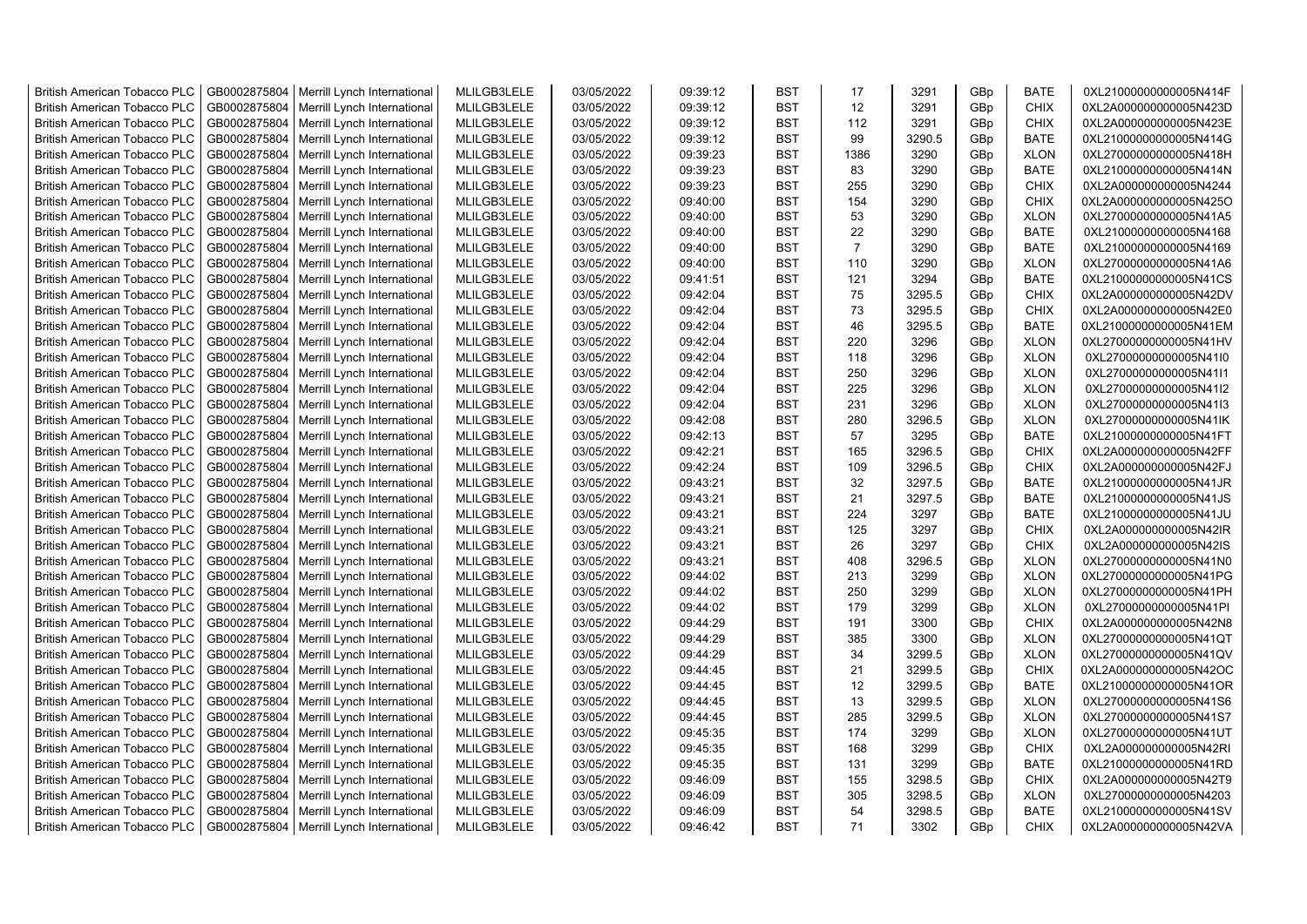| <b>British American Tobacco PLC</b> | GB0002875804 | Merrill Lynch International | MLILGB3LELE | 03/05/2022 | 09:39:12 | <b>BST</b> | 17             | 3291   | GBp | <b>BATE</b> | 0XL21000000000005N414F |
|-------------------------------------|--------------|-----------------------------|-------------|------------|----------|------------|----------------|--------|-----|-------------|------------------------|
| <b>British American Tobacco PLC</b> | GB0002875804 | Merrill Lynch International | MLILGB3LELE | 03/05/2022 | 09:39:12 | <b>BST</b> | 12             | 3291   | GBp | <b>CHIX</b> | 0XL2A000000000005N423D |
| <b>British American Tobacco PLC</b> | GB0002875804 | Merrill Lynch International | MLILGB3LELE | 03/05/2022 | 09:39:12 | <b>BST</b> | 112            | 3291   | GBp | <b>CHIX</b> | 0XL2A000000000005N423E |
| <b>British American Tobacco PLC</b> | GB0002875804 | Merrill Lynch International | MLILGB3LELE | 03/05/2022 | 09:39:12 | <b>BST</b> | 99             | 3290.5 | GBp | <b>BATE</b> | 0XL21000000000005N414G |
| British American Tobacco PLC        | GB0002875804 | Merrill Lynch International | MLILGB3LELE | 03/05/2022 | 09:39:23 | <b>BST</b> | 1386           | 3290   | GBp | <b>XLON</b> | 0XL27000000000005N418H |
| <b>British American Tobacco PLC</b> | GB0002875804 | Merrill Lynch International | MLILGB3LELE | 03/05/2022 | 09:39:23 | <b>BST</b> | 83             | 3290   | GBp | <b>BATE</b> | 0XL21000000000005N414N |
| British American Tobacco PLC        | GB0002875804 | Merrill Lynch International | MLILGB3LELE | 03/05/2022 | 09:39:23 | <b>BST</b> | 255            | 3290   | GBp | CHIX        | 0XL2A000000000005N4244 |
| <b>British American Tobacco PLC</b> | GB0002875804 | Merrill Lynch International | MLILGB3LELE | 03/05/2022 | 09:40:00 | <b>BST</b> | 154            | 3290   | GBp | CHIX        | 0XL2A000000000005N425O |
| <b>British American Tobacco PLC</b> | GB0002875804 | Merrill Lynch International | MLILGB3LELE | 03/05/2022 | 09:40:00 | <b>BST</b> | 53             | 3290   | GBp | <b>XLON</b> | 0XL27000000000005N41A5 |
| <b>British American Tobacco PLC</b> | GB0002875804 | Merrill Lynch International | MLILGB3LELE | 03/05/2022 | 09:40:00 | <b>BST</b> | 22             | 3290   | GBp | <b>BATE</b> | 0XL21000000000005N4168 |
| <b>British American Tobacco PLC</b> | GB0002875804 | Merrill Lynch International | MLILGB3LELE | 03/05/2022 | 09:40:00 | <b>BST</b> | $\overline{7}$ | 3290   | GBp | <b>BATE</b> | 0XL21000000000005N4169 |
| <b>British American Tobacco PLC</b> | GB0002875804 | Merrill Lynch International | MLILGB3LELE | 03/05/2022 | 09:40:00 | <b>BST</b> | 110            | 3290   | GBp | <b>XLON</b> | 0XL27000000000005N41A6 |
| <b>British American Tobacco PLC</b> | GB0002875804 | Merrill Lynch International | MLILGB3LELE | 03/05/2022 | 09:41:51 | <b>BST</b> | 121            | 3294   | GBp | <b>BATE</b> | 0XL21000000000005N41CS |
| <b>British American Tobacco PLC</b> | GB0002875804 | Merrill Lynch International | MLILGB3LELE | 03/05/2022 | 09:42:04 | <b>BST</b> | 75             | 3295.5 | GBp | <b>CHIX</b> | 0XL2A000000000005N42DV |
| <b>British American Tobacco PLC</b> | GB0002875804 | Merrill Lynch International | MLILGB3LELE | 03/05/2022 | 09:42:04 | <b>BST</b> | 73             | 3295.5 | GBp | <b>CHIX</b> | 0XL2A000000000005N42E0 |
| <b>British American Tobacco PLC</b> | GB0002875804 | Merrill Lynch International | MLILGB3LELE | 03/05/2022 | 09:42:04 | <b>BST</b> | 46             | 3295.5 | GBp | <b>BATE</b> | 0XL21000000000005N41EM |
| <b>British American Tobacco PLC</b> | GB0002875804 | Merrill Lynch International | MLILGB3LELE | 03/05/2022 | 09:42:04 | <b>BST</b> | 220            | 3296   | GBp | <b>XLON</b> | 0XL27000000000005N41HV |
| <b>British American Tobacco PLC</b> | GB0002875804 | Merrill Lynch International | MLILGB3LELE | 03/05/2022 | 09:42:04 | <b>BST</b> | 118            | 3296   | GBp | <b>XLON</b> | 0XL27000000000005N41I0 |
| <b>British American Tobacco PLC</b> | GB0002875804 | Merrill Lynch International | MLILGB3LELE | 03/05/2022 | 09:42:04 | <b>BST</b> | 250            | 3296   | GBp | <b>XLON</b> | 0XL27000000000005N41I1 |
| <b>British American Tobacco PLC</b> | GB0002875804 | Merrill Lynch International | MLILGB3LELE | 03/05/2022 | 09:42:04 | <b>BST</b> | 225            | 3296   | GBp | <b>XLON</b> | 0XL27000000000005N41I2 |
| <b>British American Tobacco PLC</b> | GB0002875804 | Merrill Lynch International | MLILGB3LELE | 03/05/2022 | 09:42:04 | <b>BST</b> | 231            | 3296   | GBp | <b>XLON</b> | 0XL27000000000005N41I3 |
| <b>British American Tobacco PLC</b> | GB0002875804 | Merrill Lynch International | MLILGB3LELE | 03/05/2022 | 09:42:08 | <b>BST</b> | 280            | 3296.5 | GBp | <b>XLON</b> | 0XL27000000000005N41lK |
| <b>British American Tobacco PLC</b> | GB0002875804 | Merrill Lynch International | MLILGB3LELE | 03/05/2022 | 09:42:13 | <b>BST</b> | 57             | 3295   | GBp | <b>BATE</b> | 0XL21000000000005N41FT |
| <b>British American Tobacco PLC</b> | GB0002875804 | Merrill Lynch International | MLILGB3LELE | 03/05/2022 | 09:42:21 | <b>BST</b> | 165            | 3296.5 | GBp | <b>CHIX</b> | 0XL2A000000000005N42FF |
| <b>British American Tobacco PLC</b> | GB0002875804 | Merrill Lynch International | MLILGB3LELE | 03/05/2022 | 09:42:24 | <b>BST</b> | 109            | 3296.5 | GBp | CHIX        | 0XL2A000000000005N42FJ |
| <b>British American Tobacco PLC</b> | GB0002875804 | Merrill Lynch International | MLILGB3LELE | 03/05/2022 | 09:43:21 | <b>BST</b> | 32             | 3297.5 | GBp | <b>BATE</b> | 0XL21000000000005N41JR |
| <b>British American Tobacco PLC</b> | GB0002875804 | Merrill Lynch International | MLILGB3LELE | 03/05/2022 | 09:43:21 | <b>BST</b> | 21             | 3297.5 | GBp | <b>BATE</b> | 0XL21000000000005N41JS |
| <b>British American Tobacco PLC</b> | GB0002875804 | Merrill Lynch International | MLILGB3LELE | 03/05/2022 | 09:43:21 | <b>BST</b> | 224            | 3297   | GBp | <b>BATE</b> | 0XL21000000000005N41JU |
| <b>British American Tobacco PLC</b> | GB0002875804 | Merrill Lynch International | MLILGB3LELE | 03/05/2022 | 09:43:21 | <b>BST</b> | 125            | 3297   | GBp | <b>CHIX</b> | 0XL2A000000000005N42IR |
| <b>British American Tobacco PLC</b> | GB0002875804 | Merrill Lynch International | MLILGB3LELE | 03/05/2022 | 09:43:21 | <b>BST</b> | 26             | 3297   | GBp | CHIX        | 0XL2A000000000005N42IS |
| <b>British American Tobacco PLC</b> | GB0002875804 | Merrill Lynch International | MLILGB3LELE | 03/05/2022 | 09:43:21 | <b>BST</b> | 408            | 3296.5 | GBp | <b>XLON</b> | 0XL27000000000005N41N0 |
| <b>British American Tobacco PLC</b> | GB0002875804 | Merrill Lynch International | MLILGB3LELE | 03/05/2022 | 09:44:02 | <b>BST</b> | 213            | 3299   | GBp | <b>XLON</b> | 0XL27000000000005N41PG |
| <b>British American Tobacco PLC</b> | GB0002875804 | Merrill Lynch International | MLILGB3LELE | 03/05/2022 | 09:44:02 | <b>BST</b> | 250            | 3299   | GBp | <b>XLON</b> | 0XL27000000000005N41PH |
| <b>British American Tobacco PLC</b> | GB0002875804 | Merrill Lynch International | MLILGB3LELE | 03/05/2022 | 09:44:02 | <b>BST</b> | 179            | 3299   | GBp | <b>XLON</b> | 0XL27000000000005N41PI |
| <b>British American Tobacco PLC</b> | GB0002875804 | Merrill Lynch International | MLILGB3LELE | 03/05/2022 | 09:44:29 | <b>BST</b> | 191            | 3300   | GBp | <b>CHIX</b> | 0XL2A000000000005N42N8 |
| <b>British American Tobacco PLC</b> | GB0002875804 | Merrill Lynch International | MLILGB3LELE | 03/05/2022 | 09:44:29 | <b>BST</b> | 385            | 3300   | GBp | <b>XLON</b> | 0XL27000000000005N41QT |
| <b>British American Tobacco PLC</b> | GB0002875804 | Merrill Lynch International | MLILGB3LELE | 03/05/2022 | 09:44:29 | <b>BST</b> | 34             | 3299.5 | GBp | <b>XLON</b> | 0XL27000000000005N41QV |
| <b>British American Tobacco PLC</b> | GB0002875804 | Merrill Lynch International | MLILGB3LELE | 03/05/2022 | 09:44:45 | <b>BST</b> | 21             | 3299.5 | GBp | <b>CHIX</b> | 0XL2A000000000005N42OC |
| <b>British American Tobacco PLC</b> | GB0002875804 | Merrill Lynch International | MLILGB3LELE | 03/05/2022 | 09:44:45 | <b>BST</b> | 12             | 3299.5 | GBp | <b>BATE</b> | 0XL21000000000005N41OR |
| <b>British American Tobacco PLC</b> | GB0002875804 | Merrill Lynch International | MLILGB3LELE | 03/05/2022 | 09:44:45 | <b>BST</b> | 13             | 3299.5 | GBp | <b>XLON</b> | 0XL27000000000005N41S6 |
| <b>British American Tobacco PLC</b> | GB0002875804 | Merrill Lynch International | MLILGB3LELE | 03/05/2022 | 09:44:45 | <b>BST</b> | 285            | 3299.5 | GBp | <b>XLON</b> | 0XL27000000000005N41S7 |
| <b>British American Tobacco PLC</b> | GB0002875804 | Merrill Lynch International | MLILGB3LELE | 03/05/2022 | 09:45:35 | <b>BST</b> | 174            | 3299   | GBp | <b>XLON</b> | 0XL27000000000005N41UT |
| <b>British American Tobacco PLC</b> | GB0002875804 | Merrill Lynch International | MLILGB3LELE | 03/05/2022 | 09:45:35 | <b>BST</b> | 168            | 3299   | GBp | <b>CHIX</b> | 0XL2A000000000005N42RI |
| <b>British American Tobacco PLC</b> | GB0002875804 | Merrill Lynch International | MLILGB3LELE | 03/05/2022 | 09:45:35 | <b>BST</b> | 131            | 3299   | GBp | <b>BATE</b> | 0XL21000000000005N41RD |
| <b>British American Tobacco PLC</b> | GB0002875804 | Merrill Lynch International | MLILGB3LELE | 03/05/2022 | 09:46:09 | <b>BST</b> | 155            | 3298.5 | GBp | <b>CHIX</b> | 0XL2A000000000005N42T9 |
| <b>British American Tobacco PLC</b> | GB0002875804 | Merrill Lynch International | MLILGB3LELE | 03/05/2022 | 09:46:09 | <b>BST</b> | 305            | 3298.5 | GBp | <b>XLON</b> | 0XL27000000000005N4203 |
| <b>British American Tobacco PLC</b> | GB0002875804 | Merrill Lynch International | MLILGB3LELE | 03/05/2022 | 09:46:09 | <b>BST</b> | 54             | 3298.5 | GBp | <b>BATE</b> | 0XL21000000000005N41SV |
| <b>British American Tobacco PLC</b> | GB0002875804 | Merrill Lynch International | MLILGB3LELE | 03/05/2022 | 09:46:42 | <b>BST</b> | 71             | 3302   | GBp | <b>CHIX</b> | 0XL2A000000000005N42VA |
|                                     |              |                             |             |            |          |            |                |        |     |             |                        |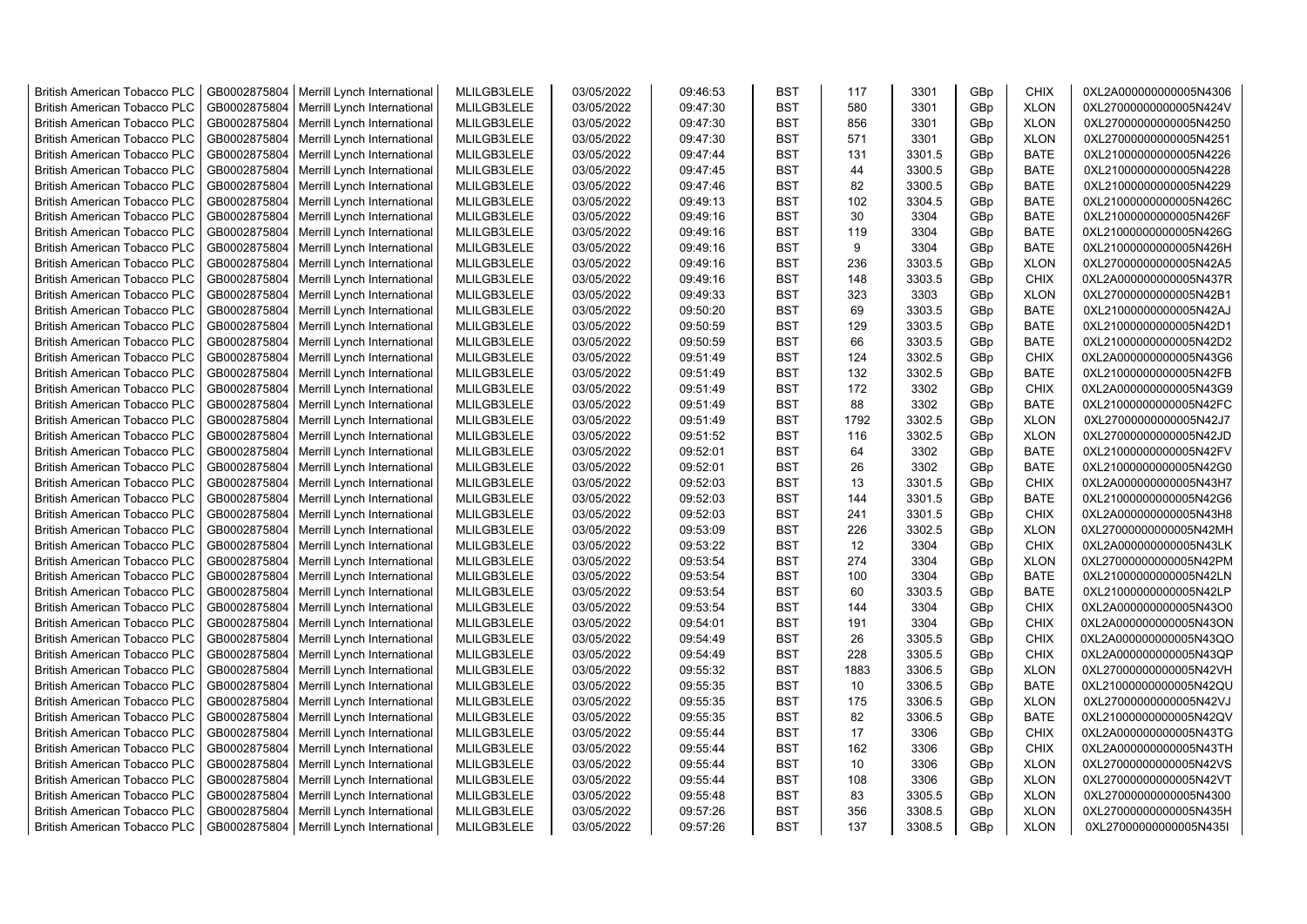| <b>British American Tobacco PLC</b>                                        | GB0002875804                 | Merrill Lynch International                | MLILGB3LELE                | 03/05/2022               | 09:46:53             | <b>BST</b>               | 117      | 3301           | GBp             | <b>CHIX</b>                | 0XL2A000000000005N4306                           |
|----------------------------------------------------------------------------|------------------------------|--------------------------------------------|----------------------------|--------------------------|----------------------|--------------------------|----------|----------------|-----------------|----------------------------|--------------------------------------------------|
| <b>British American Tobacco PLC</b>                                        | GB0002875804                 | Merrill Lynch International                | MLILGB3LELE                | 03/05/2022               | 09:47:30             | <b>BST</b>               | 580      | 3301           | GBp             | <b>XLON</b>                | 0XL27000000000005N424V                           |
| <b>British American Tobacco PLC</b>                                        | GB0002875804                 | Merrill Lynch International                | MLILGB3LELE                | 03/05/2022               | 09:47:30             | <b>BST</b>               | 856      | 3301           | GBp             | <b>XLON</b>                | 0XL27000000000005N4250                           |
| <b>British American Tobacco PLC</b>                                        | GB0002875804                 | Merrill Lynch International                | MLILGB3LELE                | 03/05/2022               | 09:47:30             | <b>BST</b>               | 571      | 3301           | GBp             | <b>XLON</b>                | 0XL27000000000005N4251                           |
| <b>British American Tobacco PLC</b>                                        | GB0002875804                 | Merrill Lynch International                | MLILGB3LELE                | 03/05/2022               | 09:47:44             | <b>BST</b>               | 131      | 3301.5         | GBp             | <b>BATE</b>                | 0XL21000000000005N4226                           |
| <b>British American Tobacco PLC</b>                                        | GB0002875804                 | Merrill Lynch International                | MLILGB3LELE                | 03/05/2022               | 09:47:45             | <b>BST</b>               | 44       | 3300.5         | GBp             | <b>BATE</b>                | 0XL21000000000005N4228                           |
| <b>British American Tobacco PLC</b>                                        | GB0002875804                 | Merrill Lynch International                | MLILGB3LELE                | 03/05/2022               | 09:47:46             | <b>BST</b>               | 82       | 3300.5         | GBp             | <b>BATE</b>                | 0XL21000000000005N4229                           |
| <b>British American Tobacco PLC</b>                                        | GB0002875804                 | Merrill Lynch International                | MLILGB3LELE                | 03/05/2022               | 09:49:13             | <b>BST</b>               | 102      | 3304.5         | GBp             | <b>BATE</b>                | 0XL21000000000005N426C                           |
| <b>British American Tobacco PLC</b>                                        | GB0002875804                 | Merrill Lynch International                | MLILGB3LELE                | 03/05/2022               | 09:49:16             | BST                      | 30       | 3304           | GBp             | <b>BATE</b>                | 0XL21000000000005N426F                           |
| <b>British American Tobacco PLC</b>                                        | GB0002875804                 | Merrill Lynch International                | MLILGB3LELE                | 03/05/2022               | 09:49:16             | <b>BST</b>               | 119      | 3304           | GBp             | <b>BATE</b>                | 0XL21000000000005N426G                           |
| <b>British American Tobacco PLC</b>                                        | GB0002875804                 | Merrill Lynch International                | MLILGB3LELE                | 03/05/2022               | 09:49:16             | BST                      | 9        | 3304           | GBp             | <b>BATE</b>                | 0XL21000000000005N426H                           |
| <b>British American Tobacco PLC</b>                                        | GB0002875804                 | Merrill Lynch International                | MLILGB3LELE                | 03/05/2022               | 09:49:16             | <b>BST</b>               | 236      | 3303.5         | GBp             | <b>XLON</b>                | 0XL27000000000005N42A5                           |
| <b>British American Tobacco PLC</b>                                        | GB0002875804                 | Merrill Lynch International                | MLILGB3LELE                | 03/05/2022               | 09:49:16             | <b>BST</b>               | 148      | 3303.5         | GBp             | <b>CHIX</b>                | 0XL2A000000000005N437R                           |
| <b>British American Tobacco PLC</b>                                        | GB0002875804                 | Merrill Lynch International                | MLILGB3LELE                | 03/05/2022               | 09:49:33             | <b>BST</b>               | 323      | 3303           | GBp             | <b>XLON</b>                | 0XL27000000000005N42B1                           |
| <b>British American Tobacco PLC</b>                                        | GB0002875804                 | Merrill Lynch International                | MLILGB3LELE                | 03/05/2022               | 09:50:20             | <b>BST</b>               | 69       | 3303.5         | GBp             | <b>BATE</b>                | 0XL21000000000005N42AJ                           |
| <b>British American Tobacco PLC</b>                                        | GB0002875804                 | Merrill Lynch International                | MLILGB3LELE                | 03/05/2022               | 09:50:59             | <b>BST</b>               | 129      | 3303.5         | GBp             | <b>BATE</b>                | 0XL21000000000005N42D1                           |
| <b>British American Tobacco PLC</b>                                        | GB0002875804                 | Merrill Lynch International                | MLILGB3LELE                | 03/05/2022               | 09:50:59             | <b>BST</b>               | 66       | 3303.5         | GBp             | <b>BATE</b>                | 0XL21000000000005N42D2                           |
| <b>British American Tobacco PLC</b>                                        | GB0002875804                 | Merrill Lynch International                | MLILGB3LELE                | 03/05/2022               | 09:51:49             | BST                      | 124      | 3302.5         | GBp             | <b>CHIX</b>                | 0XL2A000000000005N43G6                           |
| <b>British American Tobacco PLC</b>                                        | GB0002875804                 | Merrill Lynch International                | MLILGB3LELE                | 03/05/2022               | 09:51:49             | <b>BST</b>               | 132      | 3302.5         | GBp             | <b>BATE</b>                | 0XL21000000000005N42FB                           |
| <b>British American Tobacco PLC</b>                                        | GB0002875804                 | Merrill Lynch International                | MLILGB3LELE                | 03/05/2022               | 09:51:49             | <b>BST</b>               | 172      | 3302           | GBp             | <b>CHIX</b>                | 0XL2A000000000005N43G9                           |
| <b>British American Tobacco PLC</b>                                        | GB0002875804                 | Merrill Lynch International                | MLILGB3LELE                | 03/05/2022               | 09:51:49             | <b>BST</b>               | 88       | 3302           | GBp             | <b>BATE</b>                | 0XL21000000000005N42FC                           |
| <b>British American Tobacco PLC</b>                                        | GB0002875804                 | Merrill Lynch International                | MLILGB3LELE                | 03/05/2022               | 09:51:49             | <b>BST</b>               | 1792     | 3302.5         | GBp             | <b>XLON</b>                | 0XL27000000000005N42J7                           |
| <b>British American Tobacco PLC</b>                                        | GB0002875804                 | Merrill Lynch International                | MLILGB3LELE                | 03/05/2022               | 09:51:52             | <b>BST</b>               | 116      | 3302.5         | GBp             | <b>XLON</b>                | 0XL27000000000005N42JD                           |
|                                                                            |                              |                                            |                            |                          |                      | <b>BST</b>               | 64       |                |                 | <b>BATE</b>                |                                                  |
| <b>British American Tobacco PLC</b>                                        | GB0002875804                 | Merrill Lynch International                | MLILGB3LELE                | 03/05/2022               | 09:52:01             |                          |          | 3302           | GBp             |                            | 0XL21000000000005N42FV                           |
| <b>British American Tobacco PLC</b><br><b>British American Tobacco PLC</b> | GB0002875804<br>GB0002875804 | Merrill Lynch International                | MLILGB3LELE<br>MLILGB3LELE | 03/05/2022<br>03/05/2022 | 09:52:01<br>09:52:03 | <b>BST</b><br><b>BST</b> | 26<br>13 | 3302<br>3301.5 | GBp<br>GBp      | <b>BATE</b><br><b>CHIX</b> | 0XL21000000000005N42G0<br>0XL2A000000000005N43H7 |
|                                                                            |                              | Merrill Lynch International                |                            |                          |                      | <b>BST</b>               |          |                |                 |                            |                                                  |
| <b>British American Tobacco PLC</b>                                        | GB0002875804<br>GB0002875804 | Merrill Lynch International                | MLILGB3LELE                | 03/05/2022<br>03/05/2022 | 09:52:03             | <b>BST</b>               | 144      | 3301.5         | GBp             | <b>BATE</b><br><b>CHIX</b> | 0XL21000000000005N42G6                           |
| <b>British American Tobacco PLC</b>                                        |                              | Merrill Lynch International                | MLILGB3LELE                |                          | 09:52:03             |                          | 241      | 3301.5         | GBp             |                            | 0XL2A000000000005N43H8                           |
| <b>British American Tobacco PLC</b>                                        | GB0002875804                 | Merrill Lynch International                | MLILGB3LELE                | 03/05/2022               | 09:53:09             | BST                      | 226      | 3302.5         | GBp             | <b>XLON</b>                | 0XL27000000000005N42MH                           |
| <b>British American Tobacco PLC</b>                                        | GB0002875804                 | Merrill Lynch International                | MLILGB3LELE                | 03/05/2022               | 09:53:22             | <b>BST</b>               | 12       | 3304           | GBp             | <b>CHIX</b>                | 0XL2A000000000005N43LK                           |
| <b>British American Tobacco PLC</b>                                        | GB0002875804                 | Merrill Lynch International                | MLILGB3LELE                | 03/05/2022               | 09:53:54             | <b>BST</b>               | 274      | 3304           | GBp             | <b>XLON</b>                | 0XL27000000000005N42PM                           |
| <b>British American Tobacco PLC</b>                                        | GB0002875804                 | Merrill Lynch International                | MLILGB3LELE                | 03/05/2022               | 09:53:54             | <b>BST</b>               | 100      | 3304           | GBp             | <b>BATE</b>                | 0XL21000000000005N42LN                           |
| <b>British American Tobacco PLC</b>                                        | GB0002875804                 | Merrill Lynch International                | MLILGB3LELE                | 03/05/2022               | 09:53:54             | BST                      | 60       | 3303.5         | GBp             | <b>BATE</b>                | 0XL21000000000005N42LP                           |
| <b>British American Tobacco PLC</b>                                        | GB0002875804                 | Merrill Lynch International                | MLILGB3LELE                | 03/05/2022               | 09:53:54             | BST                      | 144      | 3304           | GBp             | <b>CHIX</b>                | 0XL2A000000000005N43O0                           |
| <b>British American Tobacco PLC</b>                                        | GB0002875804                 | Merrill Lynch International                | MLILGB3LELE                | 03/05/2022               | 09:54:01             | <b>BST</b>               | 191      | 3304           | GBp             | <b>CHIX</b>                | 0XL2A000000000005N43ON                           |
| <b>British American Tobacco PLC</b>                                        | GB0002875804                 | Merrill Lynch International                | MLILGB3LELE                | 03/05/2022               | 09:54:49             | <b>BST</b>               | 26       | 3305.5         | GBp             | <b>CHIX</b>                | 0XL2A000000000005N43QO                           |
| <b>British American Tobacco PLC</b>                                        | GB0002875804                 | Merrill Lynch International                | MLILGB3LELE                | 03/05/2022               | 09:54:49             | <b>BST</b>               | 228      | 3305.5         | GBp             | <b>CHIX</b>                | 0XL2A000000000005N43QP                           |
| <b>British American Tobacco PLC</b>                                        | GB0002875804                 | Merrill Lynch International                | MLILGB3LELE                | 03/05/2022               | 09:55:32             | <b>BST</b>               | 1883     | 3306.5         | GBp             | <b>XLON</b>                | 0XL27000000000005N42VH                           |
| <b>British American Tobacco PLC</b>                                        | GB0002875804                 | Merrill Lynch International                | MLILGB3LELE                | 03/05/2022               | 09:55:35             | <b>BST</b>               | 10       | 3306.5         | GBp             | <b>BATE</b>                | 0XL21000000000005N42QU                           |
| <b>British American Tobacco PLC</b>                                        | GB0002875804                 | Merrill Lynch International                | MLILGB3LELE                | 03/05/2022               | 09:55:35             | <b>BST</b>               | 175      | 3306.5         | GBp             | <b>XLON</b>                | 0XL27000000000005N42VJ                           |
| <b>British American Tobacco PLC</b>                                        | GB0002875804                 | Merrill Lynch International                | MLILGB3LELE                | 03/05/2022               | 09:55:35             | <b>BST</b>               | 82       | 3306.5         | GBp             | <b>BATE</b>                | 0XL21000000000005N42QV                           |
| <b>British American Tobacco PLC</b>                                        | GB0002875804                 | Merrill Lynch International                | MLILGB3LELE                | 03/05/2022               | 09:55:44             | BST                      | 17       | 3306           | GBp             | <b>CHIX</b>                | 0XL2A000000000005N43TG                           |
| <b>British American Tobacco PLC</b>                                        | GB0002875804                 | Merrill Lynch International                | MLILGB3LELE                | 03/05/2022               | 09:55:44             | <b>BST</b>               | 162      | 3306           | GBp             | <b>CHIX</b>                | 0XL2A000000000005N43TH                           |
| <b>British American Tobacco PLC</b>                                        | GB0002875804                 | Merrill Lynch International                | MLILGB3LELE                | 03/05/2022               | 09:55:44             | <b>BST</b>               | 10       | 3306           | GBp             | <b>XLON</b>                | 0XL27000000000005N42VS                           |
| <b>British American Tobacco PLC</b>                                        | GB0002875804                 | Merrill Lynch International                | MLILGB3LELE                | 03/05/2022               | 09:55:44             | <b>BST</b>               | 108      | 3306           | GBp             | <b>XLON</b>                | 0XL27000000000005N42VT                           |
| <b>British American Tobacco PLC</b>                                        | GB0002875804                 | Merrill Lynch International                | MLILGB3LELE                | 03/05/2022               | 09:55:48             | <b>BST</b>               | 83       | 3305.5         | GBp             | <b>XLON</b>                | 0XL27000000000005N4300                           |
| <b>British American Tobacco PLC</b>                                        | GB0002875804                 | Merrill Lynch International                | MLILGB3LELE                | 03/05/2022               | 09:57:26             | <b>BST</b>               | 356      | 3308.5         | GBp             | <b>XLON</b>                | 0XL27000000000005N435H                           |
| <b>British American Tobacco PLC</b>                                        |                              | GB0002875804   Merrill Lynch International | MLILGB3LELE                | 03/05/2022               | 09:57:26             | <b>BST</b>               | 137      | 3308.5         | GB <sub>p</sub> | <b>XLON</b>                | 0XL27000000000005N435I                           |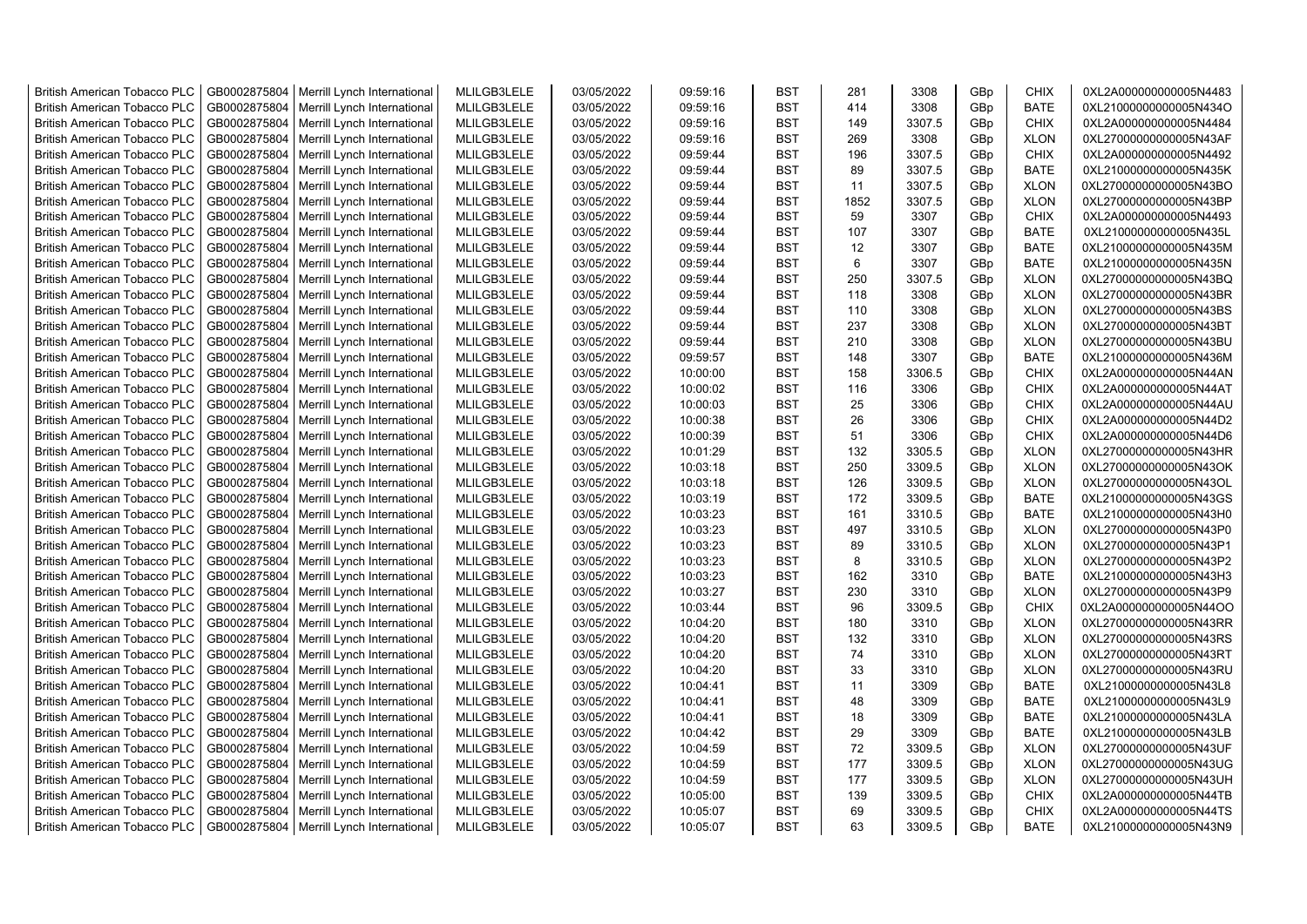| <b>British American Tobacco PLC</b> | GB0002875804 | Merrill Lynch International | MLILGB3LELE | 03/05/2022 | 09:59:16 | <b>BST</b> | 281            | 3308   | GBp | <b>CHIX</b> | 0XL2A000000000005N4483 |
|-------------------------------------|--------------|-----------------------------|-------------|------------|----------|------------|----------------|--------|-----|-------------|------------------------|
| <b>British American Tobacco PLC</b> | GB0002875804 | Merrill Lynch International | MLILGB3LELE | 03/05/2022 | 09:59:16 | <b>BST</b> | 414            | 3308   | GBp | <b>BATE</b> | 0XL21000000000005N434O |
| <b>British American Tobacco PLC</b> | GB0002875804 | Merrill Lynch International | MLILGB3LELE | 03/05/2022 | 09:59:16 | <b>BST</b> | 149            | 3307.5 | GBp | <b>CHIX</b> | 0XL2A000000000005N4484 |
| <b>British American Tobacco PLC</b> | GB0002875804 | Merrill Lynch International | MLILGB3LELE | 03/05/2022 | 09:59:16 | <b>BST</b> | 269            | 3308   | GBp | <b>XLON</b> | 0XL27000000000005N43AF |
| British American Tobacco PLC        | GB0002875804 | Merrill Lynch International | MLILGB3LELE | 03/05/2022 | 09:59:44 | <b>BST</b> | 196            | 3307.5 | GBp | <b>CHIX</b> | 0XL2A000000000005N4492 |
| <b>British American Tobacco PLC</b> | GB0002875804 | Merrill Lynch International | MLILGB3LELE | 03/05/2022 | 09:59:44 | <b>BST</b> | 89             | 3307.5 | GBp | <b>BATE</b> | 0XL21000000000005N435K |
| British American Tobacco PLC        | GB0002875804 | Merrill Lynch International | MLILGB3LELE | 03/05/2022 | 09:59:44 | <b>BST</b> | 11             | 3307.5 | GBp | <b>XLON</b> | 0XL27000000000005N43BO |
| <b>British American Tobacco PLC</b> | GB0002875804 | Merrill Lynch International | MLILGB3LELE | 03/05/2022 | 09:59:44 | <b>BST</b> | 1852           | 3307.5 | GBp | <b>XLON</b> | 0XL27000000000005N43BP |
| <b>British American Tobacco PLC</b> | GB0002875804 | Merrill Lynch International | MLILGB3LELE | 03/05/2022 | 09:59:44 | <b>BST</b> | 59             | 3307   | GBp | <b>CHIX</b> | 0XL2A000000000005N4493 |
| <b>British American Tobacco PLC</b> | GB0002875804 | Merrill Lynch International | MLILGB3LELE | 03/05/2022 | 09:59:44 | <b>BST</b> | 107            | 3307   | GBp | <b>BATE</b> | 0XL21000000000005N435L |
| <b>British American Tobacco PLC</b> | GB0002875804 | Merrill Lynch International | MLILGB3LELE | 03/05/2022 | 09:59:44 | <b>BST</b> | 12             | 3307   | GBp | <b>BATE</b> | 0XL21000000000005N435M |
| <b>British American Tobacco PLC</b> | GB0002875804 | Merrill Lynch International | MLILGB3LELE | 03/05/2022 | 09:59:44 | <b>BST</b> | $6\phantom{1}$ | 3307   | GBp | <b>BATE</b> | 0XL21000000000005N435N |
| <b>British American Tobacco PLC</b> | GB0002875804 | Merrill Lynch International | MLILGB3LELE | 03/05/2022 | 09:59:44 | <b>BST</b> | 250            | 3307.5 | GBp | <b>XLON</b> | 0XL27000000000005N43BQ |
| <b>British American Tobacco PLC</b> | GB0002875804 | Merrill Lynch International | MLILGB3LELE | 03/05/2022 | 09:59:44 | <b>BST</b> | 118            | 3308   | GBp | <b>XLON</b> | 0XL27000000000005N43BR |
| <b>British American Tobacco PLC</b> | GB0002875804 | Merrill Lynch International | MLILGB3LELE | 03/05/2022 | 09:59:44 | <b>BST</b> | 110            | 3308   | GBp | <b>XLON</b> | 0XL27000000000005N43BS |
| <b>British American Tobacco PLC</b> | GB0002875804 | Merrill Lynch International | MLILGB3LELE | 03/05/2022 | 09:59:44 | <b>BST</b> | 237            | 3308   | GBp | <b>XLON</b> | 0XL27000000000005N43BT |
| <b>British American Tobacco PLC</b> | GB0002875804 | Merrill Lynch International | MLILGB3LELE | 03/05/2022 | 09:59:44 | <b>BST</b> | 210            | 3308   | GBp | <b>XLON</b> | 0XL27000000000005N43BU |
| <b>British American Tobacco PLC</b> | GB0002875804 | Merrill Lynch International | MLILGB3LELE | 03/05/2022 | 09:59:57 | <b>BST</b> | 148            | 3307   | GBp | <b>BATE</b> | 0XL21000000000005N436M |
| <b>British American Tobacco PLC</b> | GB0002875804 | Merrill Lynch International | MLILGB3LELE | 03/05/2022 | 10:00:00 | <b>BST</b> | 158            | 3306.5 | GBp | <b>CHIX</b> | 0XL2A000000000005N44AN |
| <b>British American Tobacco PLC</b> | GB0002875804 | Merrill Lynch International | MLILGB3LELE | 03/05/2022 | 10:00:02 | <b>BST</b> | 116            | 3306   | GBp | <b>CHIX</b> | 0XL2A000000000005N44AT |
| <b>British American Tobacco PLC</b> | GB0002875804 | Merrill Lynch International | MLILGB3LELE | 03/05/2022 | 10:00:03 | <b>BST</b> | 25             | 3306   | GBp | <b>CHIX</b> | 0XL2A000000000005N44AU |
| <b>British American Tobacco PLC</b> | GB0002875804 | Merrill Lynch International | MLILGB3LELE | 03/05/2022 | 10:00:38 | <b>BST</b> | 26             | 3306   | GBp | <b>CHIX</b> | 0XL2A000000000005N44D2 |
| <b>British American Tobacco PLC</b> | GB0002875804 | Merrill Lynch International | MLILGB3LELE | 03/05/2022 | 10:00:39 | <b>BST</b> | 51             | 3306   | GBp | <b>CHIX</b> | 0XL2A000000000005N44D6 |
| <b>British American Tobacco PLC</b> | GB0002875804 | Merrill Lynch International | MLILGB3LELE | 03/05/2022 | 10:01:29 | <b>BST</b> | 132            | 3305.5 | GBp | <b>XLON</b> | 0XL27000000000005N43HR |
| <b>British American Tobacco PLC</b> | GB0002875804 | Merrill Lynch International | MLILGB3LELE | 03/05/2022 | 10:03:18 | <b>BST</b> | 250            | 3309.5 | GBp | <b>XLON</b> | 0XL27000000000005N43OK |
| <b>British American Tobacco PLC</b> | GB0002875804 | Merrill Lynch International | MLILGB3LELE | 03/05/2022 | 10:03:18 | <b>BST</b> | 126            | 3309.5 | GBp | <b>XLON</b> | 0XL27000000000005N43OL |
| <b>British American Tobacco PLC</b> | GB0002875804 | Merrill Lynch International | MLILGB3LELE | 03/05/2022 | 10:03:19 | <b>BST</b> | 172            | 3309.5 | GBp | <b>BATE</b> | 0XL21000000000005N43GS |
| <b>British American Tobacco PLC</b> | GB0002875804 | Merrill Lynch International | MLILGB3LELE | 03/05/2022 | 10:03:23 | <b>BST</b> | 161            | 3310.5 | GBp | <b>BATE</b> | 0XL21000000000005N43H0 |
| <b>British American Tobacco PLC</b> | GB0002875804 | Merrill Lynch International | MLILGB3LELE | 03/05/2022 | 10:03:23 | <b>BST</b> | 497            | 3310.5 | GBp | <b>XLON</b> | 0XL27000000000005N43P0 |
| <b>British American Tobacco PLC</b> | GB0002875804 | Merrill Lynch International | MLILGB3LELE | 03/05/2022 | 10:03:23 | <b>BST</b> | 89             | 3310.5 | GBp | <b>XLON</b> | 0XL27000000000005N43P1 |
| <b>British American Tobacco PLC</b> | GB0002875804 | Merrill Lynch International | MLILGB3LELE | 03/05/2022 | 10:03:23 | <b>BST</b> | 8              | 3310.5 | GBp | <b>XLON</b> | 0XL27000000000005N43P2 |
| <b>British American Tobacco PLC</b> | GB0002875804 | Merrill Lynch International | MLILGB3LELE | 03/05/2022 | 10:03:23 | <b>BST</b> | 162            | 3310   | GBp | <b>BATE</b> | 0XL21000000000005N43H3 |
| <b>British American Tobacco PLC</b> | GB0002875804 | Merrill Lynch International | MLILGB3LELE | 03/05/2022 | 10:03:27 | <b>BST</b> | 230            | 3310   | GBp | <b>XLON</b> | 0XL27000000000005N43P9 |
| <b>British American Tobacco PLC</b> | GB0002875804 | Merrill Lynch International | MLILGB3LELE | 03/05/2022 | 10:03:44 | <b>BST</b> | 96             | 3309.5 | GBp | <b>CHIX</b> | 0XL2A000000000005N44OO |
| <b>British American Tobacco PLC</b> | GB0002875804 | Merrill Lynch International | MLILGB3LELE | 03/05/2022 | 10:04:20 | <b>BST</b> | 180            | 3310   | GBp | <b>XLON</b> | 0XL27000000000005N43RR |
| <b>British American Tobacco PLC</b> | GB0002875804 | Merrill Lynch International | MLILGB3LELE | 03/05/2022 | 10:04:20 | <b>BST</b> | 132            | 3310   | GBp | <b>XLON</b> | 0XL27000000000005N43RS |
| <b>British American Tobacco PLC</b> | GB0002875804 | Merrill Lynch International | MLILGB3LELE | 03/05/2022 | 10:04:20 | <b>BST</b> | 74             | 3310   | GBp | <b>XLON</b> | 0XL27000000000005N43RT |
| <b>British American Tobacco PLC</b> | GB0002875804 | Merrill Lynch International | MLILGB3LELE | 03/05/2022 | 10:04:20 | <b>BST</b> | 33             | 3310   | GBp | <b>XLON</b> | 0XL27000000000005N43RU |
| <b>British American Tobacco PLC</b> | GB0002875804 | Merrill Lynch International | MLILGB3LELE | 03/05/2022 | 10:04:41 | <b>BST</b> | 11             | 3309   | GBp | <b>BATE</b> | 0XL21000000000005N43L8 |
| <b>British American Tobacco PLC</b> | GB0002875804 | Merrill Lynch International | MLILGB3LELE | 03/05/2022 | 10:04:41 | <b>BST</b> | 48             | 3309   | GBp | <b>BATE</b> | 0XL21000000000005N43L9 |
| <b>British American Tobacco PLC</b> | GB0002875804 | Merrill Lynch International | MLILGB3LELE | 03/05/2022 | 10:04:41 | <b>BST</b> | 18             | 3309   | GBp | <b>BATE</b> | 0XL21000000000005N43LA |
| <b>British American Tobacco PLC</b> | GB0002875804 | Merrill Lynch International | MLILGB3LELE | 03/05/2022 | 10:04:42 | <b>BST</b> | 29             | 3309   | GBp | <b>BATE</b> | 0XL21000000000005N43LB |
| <b>British American Tobacco PLC</b> | GB0002875804 | Merrill Lynch International | MLILGB3LELE | 03/05/2022 | 10:04:59 | <b>BST</b> | 72             | 3309.5 | GBp | <b>XLON</b> | 0XL27000000000005N43UF |
| <b>British American Tobacco PLC</b> | GB0002875804 | Merrill Lynch International | MLILGB3LELE | 03/05/2022 | 10:04:59 | <b>BST</b> | 177            | 3309.5 | GBp | <b>XLON</b> | 0XL27000000000005N43UG |
| <b>British American Tobacco PLC</b> | GB0002875804 | Merrill Lynch International | MLILGB3LELE | 03/05/2022 | 10:04:59 | <b>BST</b> | 177            | 3309.5 | GBp | <b>XLON</b> | 0XL27000000000005N43UH |
| <b>British American Tobacco PLC</b> | GB0002875804 | Merrill Lynch International | MLILGB3LELE | 03/05/2022 | 10:05:00 | <b>BST</b> | 139            | 3309.5 | GBp | <b>CHIX</b> | 0XL2A000000000005N44TB |
| <b>British American Tobacco PLC</b> | GB0002875804 | Merrill Lynch International | MLILGB3LELE | 03/05/2022 | 10:05:07 | <b>BST</b> | 69             | 3309.5 | GBp | CHIX        | 0XL2A000000000005N44TS |
| <b>British American Tobacco PLC</b> | GB0002875804 | Merrill Lynch International | MLILGB3LELE | 03/05/2022 | 10:05:07 | <b>BST</b> | 63             | 3309.5 | GBp | <b>BATE</b> | 0XL21000000000005N43N9 |
|                                     |              |                             |             |            |          |            |                |        |     |             |                        |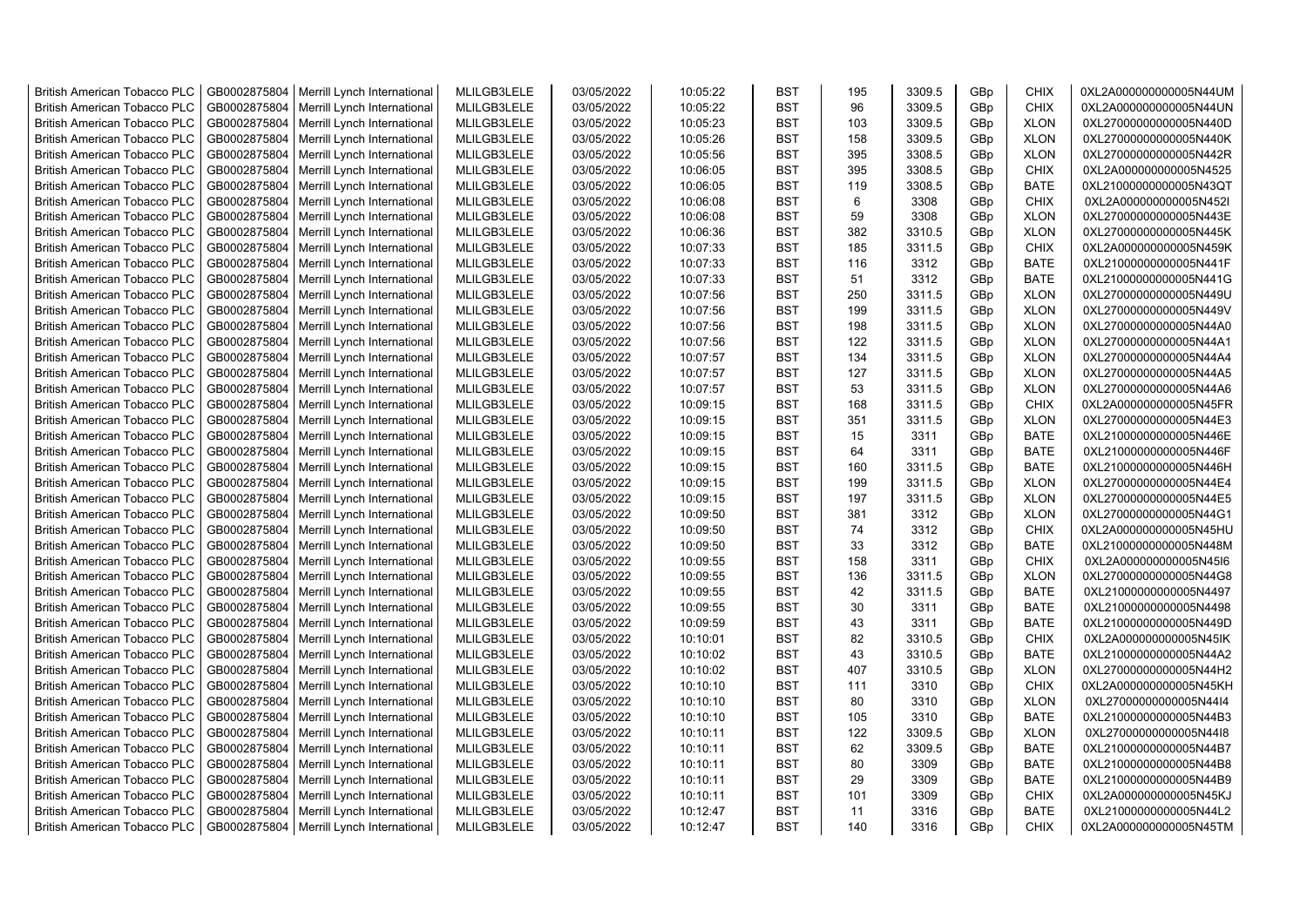| <b>British American Tobacco PLC</b> | GB0002875804 | Merrill Lynch International                | MLILGB3LELE | 03/05/2022 | 10:05:22 | <b>BST</b> | 195 | 3309.5 | GBp | <b>CHIX</b> | 0XL2A000000000005N44UM |
|-------------------------------------|--------------|--------------------------------------------|-------------|------------|----------|------------|-----|--------|-----|-------------|------------------------|
| <b>British American Tobacco PLC</b> | GB0002875804 | Merrill Lynch International                | MLILGB3LELE | 03/05/2022 | 10:05:22 | <b>BST</b> | 96  | 3309.5 | GBp | <b>CHIX</b> | 0XL2A000000000005N44UN |
| <b>British American Tobacco PLC</b> | GB0002875804 | Merrill Lynch International                | MLILGB3LELE | 03/05/2022 | 10:05:23 | <b>BST</b> | 103 | 3309.5 | GBp | <b>XLON</b> | 0XL27000000000005N440D |
| <b>British American Tobacco PLC</b> | GB0002875804 | Merrill Lynch International                | MLILGB3LELE | 03/05/2022 | 10:05:26 | <b>BST</b> | 158 | 3309.5 | GBp | <b>XLON</b> | 0XL27000000000005N440K |
| <b>British American Tobacco PLC</b> | GB0002875804 | Merrill Lynch International                | MLILGB3LELE | 03/05/2022 | 10:05:56 | <b>BST</b> | 395 | 3308.5 | GBp | <b>XLON</b> | 0XL27000000000005N442R |
| <b>British American Tobacco PLC</b> | GB0002875804 | Merrill Lynch International                | MLILGB3LELE | 03/05/2022 | 10:06:05 | <b>BST</b> | 395 | 3308.5 | GBp | <b>CHIX</b> | 0XL2A000000000005N4525 |
| <b>British American Tobacco PLC</b> | GB0002875804 | Merrill Lynch International                | MLILGB3LELE | 03/05/2022 | 10:06:05 | BST        | 119 | 3308.5 | GBp | <b>BATE</b> | 0XL21000000000005N43QT |
| <b>British American Tobacco PLC</b> | GB0002875804 | Merrill Lynch International                | MLILGB3LELE | 03/05/2022 | 10:06:08 | <b>BST</b> | 6   | 3308   | GBp | <b>CHIX</b> | 0XL2A000000000005N452I |
| <b>British American Tobacco PLC</b> | GB0002875804 | Merrill Lynch International                | MLILGB3LELE | 03/05/2022 | 10:06:08 | <b>BST</b> | 59  | 3308   | GBp | <b>XLON</b> | 0XL27000000000005N443E |
| <b>British American Tobacco PLC</b> | GB0002875804 | Merrill Lynch International                | MLILGB3LELE | 03/05/2022 | 10:06:36 | <b>BST</b> | 382 | 3310.5 | GBp | <b>XLON</b> | 0XL27000000000005N445K |
| <b>British American Tobacco PLC</b> | GB0002875804 | Merrill Lynch International                | MLILGB3LELE | 03/05/2022 | 10:07:33 | <b>BST</b> | 185 | 3311.5 | GBp | <b>CHIX</b> | 0XL2A000000000005N459K |
| <b>British American Tobacco PLC</b> | GB0002875804 | Merrill Lynch International                | MLILGB3LELE | 03/05/2022 | 10:07:33 | <b>BST</b> | 116 | 3312   | GBp | <b>BATE</b> | 0XL21000000000005N441F |
| British American Tobacco PLC        | GB0002875804 | Merrill Lynch International                | MLILGB3LELE | 03/05/2022 | 10:07:33 | <b>BST</b> | 51  | 3312   | GBp | <b>BATE</b> | 0XL21000000000005N441G |
| <b>British American Tobacco PLC</b> | GB0002875804 | Merrill Lynch International                | MLILGB3LELE | 03/05/2022 | 10:07:56 | <b>BST</b> | 250 | 3311.5 | GBp | <b>XLON</b> | 0XL27000000000005N449U |
| <b>British American Tobacco PLC</b> | GB0002875804 | Merrill Lynch International                | MLILGB3LELE | 03/05/2022 | 10:07:56 | <b>BST</b> | 199 | 3311.5 | GBp | <b>XLON</b> | 0XL27000000000005N449V |
| <b>British American Tobacco PLC</b> | GB0002875804 | Merrill Lynch International                | MLILGB3LELE | 03/05/2022 | 10:07:56 | <b>BST</b> | 198 | 3311.5 | GBp | <b>XLON</b> | 0XL27000000000005N44A0 |
| <b>British American Tobacco PLC</b> | GB0002875804 | Merrill Lynch International                | MLILGB3LELE | 03/05/2022 | 10:07:56 | <b>BST</b> | 122 | 3311.5 | GBp | <b>XLON</b> | 0XL27000000000005N44A1 |
| <b>British American Tobacco PLC</b> | GB0002875804 | Merrill Lynch International                | MLILGB3LELE | 03/05/2022 | 10:07:57 | <b>BST</b> | 134 | 3311.5 | GBp | <b>XLON</b> | 0XL27000000000005N44A4 |
| <b>British American Tobacco PLC</b> | GB0002875804 | Merrill Lynch International                | MLILGB3LELE | 03/05/2022 | 10:07:57 | <b>BST</b> | 127 | 3311.5 | GBp | <b>XLON</b> | 0XL27000000000005N44A5 |
| <b>British American Tobacco PLC</b> | GB0002875804 | Merrill Lynch International                | MLILGB3LELE | 03/05/2022 | 10:07:57 | <b>BST</b> | 53  | 3311.5 | GBp | <b>XLON</b> | 0XL27000000000005N44A6 |
| <b>British American Tobacco PLC</b> | GB0002875804 | Merrill Lynch International                | MLILGB3LELE | 03/05/2022 | 10:09:15 | <b>BST</b> | 168 | 3311.5 | GBp | <b>CHIX</b> | 0XL2A000000000005N45FR |
| <b>British American Tobacco PLC</b> |              |                                            | MLILGB3LELE | 03/05/2022 | 10:09:15 | <b>BST</b> | 351 | 3311.5 |     |             | 0XL27000000000005N44E3 |
|                                     | GB0002875804 | Merrill Lynch International                |             |            |          |            |     |        | GBp | <b>XLON</b> |                        |
| <b>British American Tobacco PLC</b> | GB0002875804 | Merrill Lynch International                | MLILGB3LELE | 03/05/2022 | 10:09:15 | <b>BST</b> | 15  | 3311   | GBp | <b>BATE</b> | 0XL21000000000005N446E |
| <b>British American Tobacco PLC</b> | GB0002875804 | Merrill Lynch International                | MLILGB3LELE | 03/05/2022 | 10:09:15 | <b>BST</b> | 64  | 3311   | GBp | <b>BATE</b> | 0XL21000000000005N446F |
| <b>British American Tobacco PLC</b> | GB0002875804 | Merrill Lynch International                | MLILGB3LELE | 03/05/2022 | 10:09:15 | <b>BST</b> | 160 | 3311.5 | GBp | <b>BATE</b> | 0XL21000000000005N446H |
| <b>British American Tobacco PLC</b> | GB0002875804 | Merrill Lynch International                | MLILGB3LELE | 03/05/2022 | 10:09:15 | <b>BST</b> | 199 | 3311.5 | GBp | <b>XLON</b> | 0XL27000000000005N44E4 |
| <b>British American Tobacco PLC</b> | GB0002875804 | Merrill Lynch International                | MLILGB3LELE | 03/05/2022 | 10:09:15 | <b>BST</b> | 197 | 3311.5 | GBp | <b>XLON</b> | 0XL27000000000005N44E5 |
| <b>British American Tobacco PLC</b> | GB0002875804 | Merrill Lynch International                | MLILGB3LELE | 03/05/2022 | 10:09:50 | <b>BST</b> | 381 | 3312   | GBp | <b>XLON</b> | 0XL27000000000005N44G1 |
| <b>British American Tobacco PLC</b> | GB0002875804 | Merrill Lynch International                | MLILGB3LELE | 03/05/2022 | 10:09:50 | <b>BST</b> | 74  | 3312   | GBp | <b>CHIX</b> | 0XL2A000000000005N45HU |
| <b>British American Tobacco PLC</b> | GB0002875804 | Merrill Lynch International                | MLILGB3LELE | 03/05/2022 | 10:09:50 | <b>BST</b> | 33  | 3312   | GBp | <b>BATE</b> | 0XL21000000000005N448M |
| <b>British American Tobacco PLC</b> | GB0002875804 | Merrill Lynch International                | MLILGB3LELE | 03/05/2022 | 10:09:55 | <b>BST</b> | 158 | 3311   | GBp | <b>CHIX</b> | 0XL2A000000000005N45I6 |
| <b>British American Tobacco PLC</b> | GB0002875804 | Merrill Lynch International                | MLILGB3LELE | 03/05/2022 | 10:09:55 | <b>BST</b> | 136 | 3311.5 | GBp | <b>XLON</b> | 0XL27000000000005N44G8 |
| <b>British American Tobacco PLC</b> | GB0002875804 | Merrill Lynch International                | MLILGB3LELE | 03/05/2022 | 10:09:55 | <b>BST</b> | 42  | 3311.5 | GBp | <b>BATE</b> | 0XL21000000000005N4497 |
| <b>British American Tobacco PLC</b> | GB0002875804 | Merrill Lynch International                | MLILGB3LELE | 03/05/2022 | 10:09:55 | <b>BST</b> | 30  | 3311   | GBp | <b>BATE</b> | 0XL21000000000005N4498 |
| <b>British American Tobacco PLC</b> | GB0002875804 | Merrill Lynch International                | MLILGB3LELE | 03/05/2022 | 10:09:59 | <b>BST</b> | 43  | 3311   | GBp | <b>BATE</b> | 0XL21000000000005N449D |
| <b>British American Tobacco PLC</b> | GB0002875804 | Merrill Lynch International                | MLILGB3LELE | 03/05/2022 | 10:10:01 | <b>BST</b> | 82  | 3310.5 | GBp | <b>CHIX</b> | 0XL2A000000000005N45IK |
| <b>British American Tobacco PLC</b> | GB0002875804 | Merrill Lynch International                | MLILGB3LELE | 03/05/2022 | 10:10:02 | <b>BST</b> | 43  | 3310.5 | GBp | <b>BATE</b> | 0XL21000000000005N44A2 |
| <b>British American Tobacco PLC</b> | GB0002875804 | Merrill Lynch International                | MLILGB3LELE | 03/05/2022 | 10:10:02 | <b>BST</b> | 407 | 3310.5 | GBp | <b>XLON</b> | 0XL27000000000005N44H2 |
| <b>British American Tobacco PLC</b> | GB0002875804 | Merrill Lynch International                | MLILGB3LELE | 03/05/2022 | 10:10:10 | <b>BST</b> | 111 | 3310   | GBp | <b>CHIX</b> | 0XL2A000000000005N45KH |
| <b>British American Tobacco PLC</b> | GB0002875804 | Merrill Lynch International                | MLILGB3LELE | 03/05/2022 | 10:10:10 | <b>BST</b> | 80  | 3310   | GBp | <b>XLON</b> | 0XL27000000000005N44I4 |
| <b>British American Tobacco PLC</b> | GB0002875804 | Merrill Lynch International                | MLILGB3LELE | 03/05/2022 | 10:10:10 | <b>BST</b> | 105 | 3310   | GBp | <b>BATE</b> | 0XL21000000000005N44B3 |
| <b>British American Tobacco PLC</b> | GB0002875804 | Merrill Lynch International                | MLILGB3LELE | 03/05/2022 | 10:10:11 | <b>BST</b> | 122 | 3309.5 | GBp | <b>XLON</b> | 0XL27000000000005N44I8 |
| <b>British American Tobacco PLC</b> | GB0002875804 | Merrill Lynch International                | MLILGB3LELE | 03/05/2022 | 10:10:11 | <b>BST</b> | 62  | 3309.5 | GBp | <b>BATE</b> | 0XL21000000000005N44B7 |
| <b>British American Tobacco PLC</b> | GB0002875804 | Merrill Lynch International                | MLILGB3LELE | 03/05/2022 | 10:10:11 | <b>BST</b> | 80  | 3309   | GBp | <b>BATE</b> | 0XL21000000000005N44B8 |
| <b>British American Tobacco PLC</b> | GB0002875804 | Merrill Lynch International                | MLILGB3LELE | 03/05/2022 | 10:10:11 | <b>BST</b> | 29  | 3309   | GBp | <b>BATE</b> | 0XL21000000000005N44B9 |
| <b>British American Tobacco PLC</b> | GB0002875804 | Merrill Lynch International                | MLILGB3LELE | 03/05/2022 | 10:10:11 | <b>BST</b> | 101 | 3309   | GBp | <b>CHIX</b> | 0XL2A000000000005N45KJ |
| <b>British American Tobacco PLC</b> | GB0002875804 | Merrill Lynch International                | MLILGB3LELE | 03/05/2022 | 10:12:47 | <b>BST</b> | 11  | 3316   | GBp | <b>BATE</b> | 0XL21000000000005N44L2 |
| <b>British American Tobacco PLC</b> |              | GB0002875804   Merrill Lynch International | MLILGB3LELE | 03/05/2022 | 10:12:47 | <b>BST</b> | 140 | 3316   | GBp | <b>CHIX</b> | 0XL2A000000000005N45TM |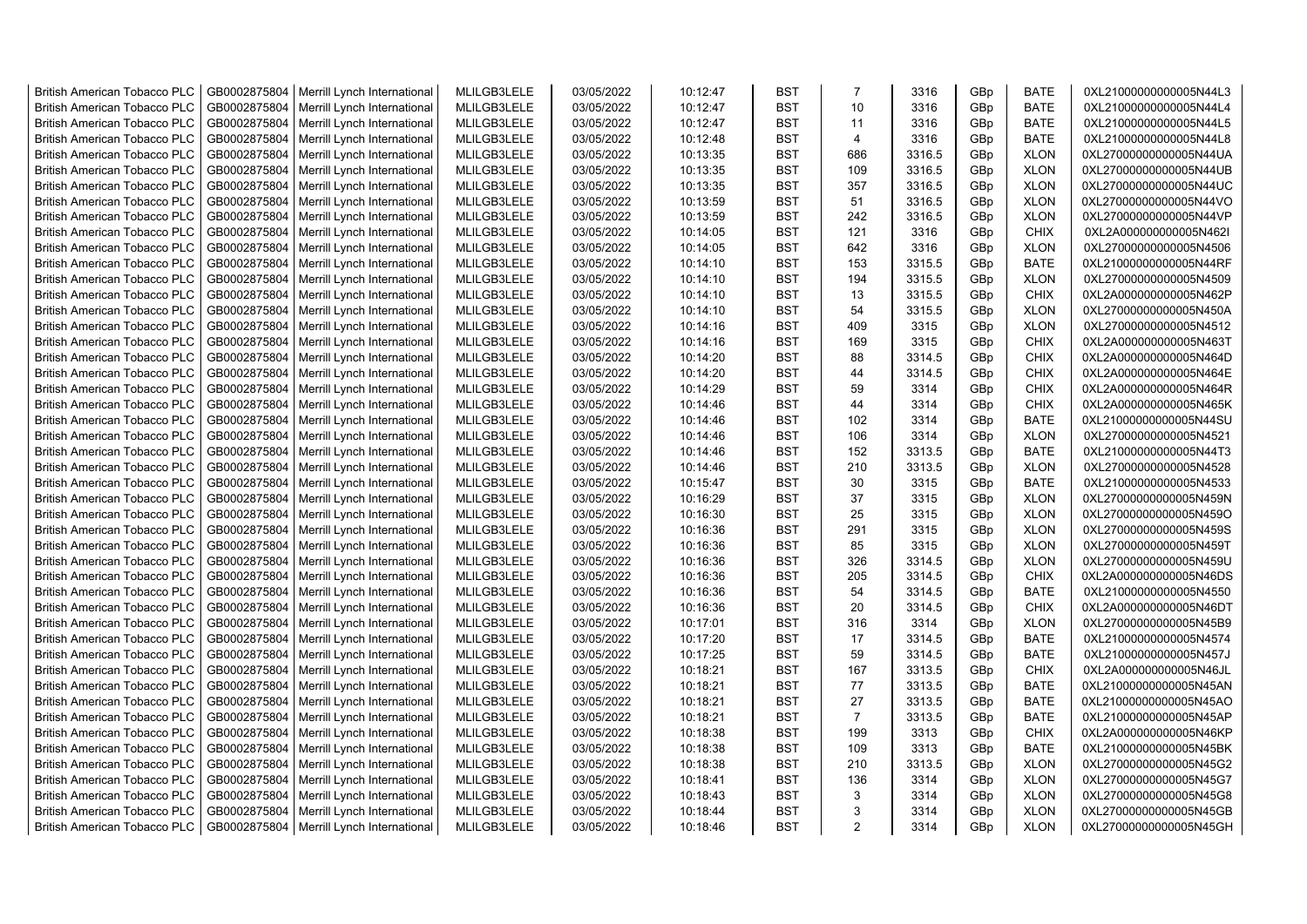| <b>British American Tobacco PLC</b> | GB0002875804 | Merrill Lynch International                | MLILGB3LELE | 03/05/2022 | 10:12:47 | <b>BST</b> | $\overline{7}$ | 3316   | GBp | <b>BATE</b> | 0XL21000000000005N44L3 |
|-------------------------------------|--------------|--------------------------------------------|-------------|------------|----------|------------|----------------|--------|-----|-------------|------------------------|
| <b>British American Tobacco PLC</b> | GB0002875804 | Merrill Lynch International                | MLILGB3LELE | 03/05/2022 | 10:12:47 | <b>BST</b> | 10             | 3316   | GBp | <b>BATE</b> | 0XL21000000000005N44L4 |
| <b>British American Tobacco PLC</b> | GB0002875804 | Merrill Lynch International                | MLILGB3LELE | 03/05/2022 | 10:12:47 | <b>BST</b> | 11             | 3316   | GBp | <b>BATE</b> | 0XL21000000000005N44L5 |
| <b>British American Tobacco PLC</b> | GB0002875804 | Merrill Lynch International                | MLILGB3LELE | 03/05/2022 | 10:12:48 | <b>BST</b> | $\overline{4}$ | 3316   | GBp | <b>BATE</b> | 0XL21000000000005N44L8 |
| <b>British American Tobacco PLC</b> | GB0002875804 | Merrill Lynch International                | MLILGB3LELE | 03/05/2022 | 10:13:35 | <b>BST</b> | 686            | 3316.5 | GBp | <b>XLON</b> | 0XL27000000000005N44UA |
| <b>British American Tobacco PLC</b> | GB0002875804 | Merrill Lynch International                | MLILGB3LELE | 03/05/2022 | 10:13:35 | <b>BST</b> | 109            | 3316.5 | GBp | <b>XLON</b> | 0XL27000000000005N44UB |
| British American Tobacco PLC        | GB0002875804 | Merrill Lynch International                | MLILGB3LELE | 03/05/2022 | 10:13:35 | <b>BST</b> | 357            | 3316.5 | GBp | <b>XLON</b> | 0XL27000000000005N44UC |
| <b>British American Tobacco PLC</b> | GB0002875804 | Merrill Lynch International                | MLILGB3LELE | 03/05/2022 | 10:13:59 | <b>BST</b> | 51             | 3316.5 | GBp | <b>XLON</b> | 0XL27000000000005N44VO |
| <b>British American Tobacco PLC</b> | GB0002875804 | Merrill Lynch International                | MLILGB3LELE | 03/05/2022 | 10:13:59 | <b>BST</b> | 242            | 3316.5 | GBp | <b>XLON</b> | 0XL27000000000005N44VP |
| <b>British American Tobacco PLC</b> | GB0002875804 | Merrill Lynch International                | MLILGB3LELE | 03/05/2022 | 10:14:05 | <b>BST</b> | 121            | 3316   | GBp | <b>CHIX</b> | 0XL2A000000000005N462I |
| <b>British American Tobacco PLC</b> | GB0002875804 | Merrill Lynch International                | MLILGB3LELE | 03/05/2022 | 10:14:05 | <b>BST</b> | 642            | 3316   | GBp | <b>XLON</b> | 0XL27000000000005N4506 |
| <b>British American Tobacco PLC</b> | GB0002875804 | Merrill Lynch International                | MLILGB3LELE | 03/05/2022 | 10:14:10 | <b>BST</b> | 153            | 3315.5 | GBp | <b>BATE</b> | 0XL21000000000005N44RF |
| <b>British American Tobacco PLC</b> | GB0002875804 | Merrill Lynch International                | MLILGB3LELE | 03/05/2022 | 10:14:10 | <b>BST</b> | 194            | 3315.5 | GBp | <b>XLON</b> | 0XL27000000000005N4509 |
| <b>British American Tobacco PLC</b> | GB0002875804 | Merrill Lynch International                | MLILGB3LELE | 03/05/2022 | 10:14:10 | <b>BST</b> | 13             | 3315.5 | GBp | <b>CHIX</b> | 0XL2A000000000005N462P |
| <b>British American Tobacco PLC</b> | GB0002875804 | Merrill Lynch International                | MLILGB3LELE | 03/05/2022 | 10:14:10 | <b>BST</b> | 54             | 3315.5 | GBp | <b>XLON</b> | 0XL27000000000005N450A |
| <b>British American Tobacco PLC</b> | GB0002875804 | Merrill Lynch International                | MLILGB3LELE | 03/05/2022 | 10:14:16 | <b>BST</b> | 409            | 3315   | GBp | <b>XLON</b> | 0XL27000000000005N4512 |
| <b>British American Tobacco PLC</b> | GB0002875804 | Merrill Lynch International                | MLILGB3LELE | 03/05/2022 | 10:14:16 | <b>BST</b> | 169            | 3315   | GBp | <b>CHIX</b> | 0XL2A000000000005N463T |
| <b>British American Tobacco PLC</b> | GB0002875804 | Merrill Lynch International                | MLILGB3LELE | 03/05/2022 | 10:14:20 | <b>BST</b> | 88             | 3314.5 | GBp | <b>CHIX</b> | 0XL2A000000000005N464D |
| <b>British American Tobacco PLC</b> | GB0002875804 | Merrill Lynch International                | MLILGB3LELE | 03/05/2022 | 10:14:20 | <b>BST</b> | 44             | 3314.5 | GBp | <b>CHIX</b> | 0XL2A000000000005N464E |
| <b>British American Tobacco PLC</b> | GB0002875804 | Merrill Lynch International                | MLILGB3LELE | 03/05/2022 | 10:14:29 | <b>BST</b> | 59             | 3314   | GBp | <b>CHIX</b> | 0XL2A000000000005N464R |
| <b>British American Tobacco PLC</b> | GB0002875804 | Merrill Lynch International                | MLILGB3LELE | 03/05/2022 | 10:14:46 | <b>BST</b> | 44             | 3314   | GBp | <b>CHIX</b> | 0XL2A000000000005N465K |
| <b>British American Tobacco PLC</b> | GB0002875804 | Merrill Lynch International                | MLILGB3LELE | 03/05/2022 | 10:14:46 | <b>BST</b> | 102            | 3314   | GBp | <b>BATE</b> | 0XL21000000000005N44SU |
| <b>British American Tobacco PLC</b> | GB0002875804 | Merrill Lynch International                | MLILGB3LELE | 03/05/2022 | 10:14:46 | <b>BST</b> | 106            | 3314   | GBp | <b>XLON</b> | 0XL27000000000005N4521 |
| <b>British American Tobacco PLC</b> | GB0002875804 | Merrill Lynch International                | MLILGB3LELE | 03/05/2022 | 10:14:46 | BST        | 152            | 3313.5 | GBp | <b>BATE</b> | 0XL21000000000005N44T3 |
| <b>British American Tobacco PLC</b> | GB0002875804 | Merrill Lynch International                | MLILGB3LELE | 03/05/2022 | 10:14:46 | <b>BST</b> | 210            | 3313.5 | GBp | <b>XLON</b> | 0XL27000000000005N4528 |
| <b>British American Tobacco PLC</b> | GB0002875804 | Merrill Lynch International                | MLILGB3LELE | 03/05/2022 | 10:15:47 | <b>BST</b> | 30             | 3315   | GBp | <b>BATE</b> | 0XL21000000000005N4533 |
| <b>British American Tobacco PLC</b> | GB0002875804 | Merrill Lynch International                | MLILGB3LELE | 03/05/2022 | 10:16:29 | <b>BST</b> | 37             | 3315   | GBp | <b>XLON</b> | 0XL27000000000005N459N |
| <b>British American Tobacco PLC</b> | GB0002875804 | Merrill Lynch International                | MLILGB3LELE | 03/05/2022 | 10:16:30 | <b>BST</b> | 25             | 3315   | GBp | <b>XLON</b> | 0XL27000000000005N459O |
| <b>British American Tobacco PLC</b> | GB0002875804 | Merrill Lynch International                | MLILGB3LELE | 03/05/2022 | 10:16:36 | <b>BST</b> | 291            | 3315   | GBp | <b>XLON</b> | 0XL27000000000005N459S |
| <b>British American Tobacco PLC</b> | GB0002875804 | Merrill Lynch International                | MLILGB3LELE | 03/05/2022 | 10:16:36 | <b>BST</b> | 85             | 3315   | GBp | <b>XLON</b> | 0XL27000000000005N459T |
| <b>British American Tobacco PLC</b> | GB0002875804 | Merrill Lynch International                | MLILGB3LELE | 03/05/2022 | 10:16:36 | <b>BST</b> | 326            | 3314.5 | GBp | <b>XLON</b> | 0XL27000000000005N459U |
| <b>British American Tobacco PLC</b> | GB0002875804 | Merrill Lynch International                | MLILGB3LELE | 03/05/2022 | 10:16:36 | <b>BST</b> | 205            | 3314.5 | GBp | <b>CHIX</b> | 0XL2A000000000005N46DS |
| <b>British American Tobacco PLC</b> | GB0002875804 | Merrill Lynch International                | MLILGB3LELE | 03/05/2022 | 10:16:36 | <b>BST</b> | 54             | 3314.5 | GBp | <b>BATE</b> | 0XL21000000000005N4550 |
| <b>British American Tobacco PLC</b> | GB0002875804 | Merrill Lynch International                | MLILGB3LELE | 03/05/2022 | 10:16:36 | <b>BST</b> | 20             | 3314.5 | GBp | <b>CHIX</b> | 0XL2A000000000005N46DT |
| <b>British American Tobacco PLC</b> | GB0002875804 | Merrill Lynch International                | MLILGB3LELE | 03/05/2022 | 10:17:01 | <b>BST</b> | 316            | 3314   | GBp | <b>XLON</b> | 0XL27000000000005N45B9 |
| <b>British American Tobacco PLC</b> | GB0002875804 | Merrill Lynch International                | MLILGB3LELE | 03/05/2022 | 10:17:20 | <b>BST</b> | 17             | 3314.5 | GBp | <b>BATE</b> | 0XL21000000000005N4574 |
| <b>British American Tobacco PLC</b> | GB0002875804 | Merrill Lynch International                | MLILGB3LELE | 03/05/2022 | 10:17:25 | <b>BST</b> | 59             | 3314.5 | GBp | <b>BATE</b> | 0XL21000000000005N457J |
| <b>British American Tobacco PLC</b> | GB0002875804 | Merrill Lynch International                | MLILGB3LELE | 03/05/2022 | 10:18:21 | <b>BST</b> | 167            | 3313.5 | GBp | <b>CHIX</b> | 0XL2A000000000005N46JL |
| <b>British American Tobacco PLC</b> | GB0002875804 | Merrill Lynch International                | MLILGB3LELE | 03/05/2022 | 10:18:21 | <b>BST</b> | 77             | 3313.5 | GBp | <b>BATE</b> | 0XL21000000000005N45AN |
| <b>British American Tobacco PLC</b> | GB0002875804 | Merrill Lynch International                | MLILGB3LELE | 03/05/2022 | 10:18:21 | <b>BST</b> | 27             | 3313.5 | GBp | <b>BATE</b> | 0XL21000000000005N45AO |
| <b>British American Tobacco PLC</b> | GB0002875804 | Merrill Lynch International                | MLILGB3LELE | 03/05/2022 | 10:18:21 | <b>BST</b> | $\overline{7}$ | 3313.5 | GBp | <b>BATE</b> | 0XL21000000000005N45AP |
| <b>British American Tobacco PLC</b> | GB0002875804 | Merrill Lynch International                | MLILGB3LELE | 03/05/2022 | 10:18:38 | <b>BST</b> | 199            | 3313   | GBp | <b>CHIX</b> | 0XL2A000000000005N46KP |
| <b>British American Tobacco PLC</b> | GB0002875804 | Merrill Lynch International                | MLILGB3LELE | 03/05/2022 | 10:18:38 | <b>BST</b> | 109            | 3313   | GBp | <b>BATE</b> | 0XL21000000000005N45BK |
| <b>British American Tobacco PLC</b> | GB0002875804 | Merrill Lynch International                | MLILGB3LELE | 03/05/2022 | 10:18:38 | <b>BST</b> | 210            | 3313.5 | GBp | <b>XLON</b> | 0XL27000000000005N45G2 |
| <b>British American Tobacco PLC</b> | GB0002875804 | Merrill Lynch International                | MLILGB3LELE | 03/05/2022 | 10:18:41 | <b>BST</b> | 136            | 3314   | GBp | <b>XLON</b> | 0XL27000000000005N45G7 |
| <b>British American Tobacco PLC</b> | GB0002875804 | Merrill Lynch International                | MLILGB3LELE | 03/05/2022 | 10:18:43 | <b>BST</b> | 3              | 3314   | GBp | <b>XLON</b> | 0XL27000000000005N45G8 |
| <b>British American Tobacco PLC</b> | GB0002875804 | Merrill Lynch International                | MLILGB3LELE | 03/05/2022 | 10:18:44 | <b>BST</b> | 3              | 3314   | GBp | <b>XLON</b> | 0XL27000000000005N45GB |
| <b>British American Tobacco PLC</b> |              | GB0002875804   Merrill Lynch International | MLILGB3LELE | 03/05/2022 | 10:18:46 | <b>BST</b> | 2              | 3314   | GBp | <b>XLON</b> | 0XL27000000000005N45GH |
|                                     |              |                                            |             |            |          |            |                |        |     |             |                        |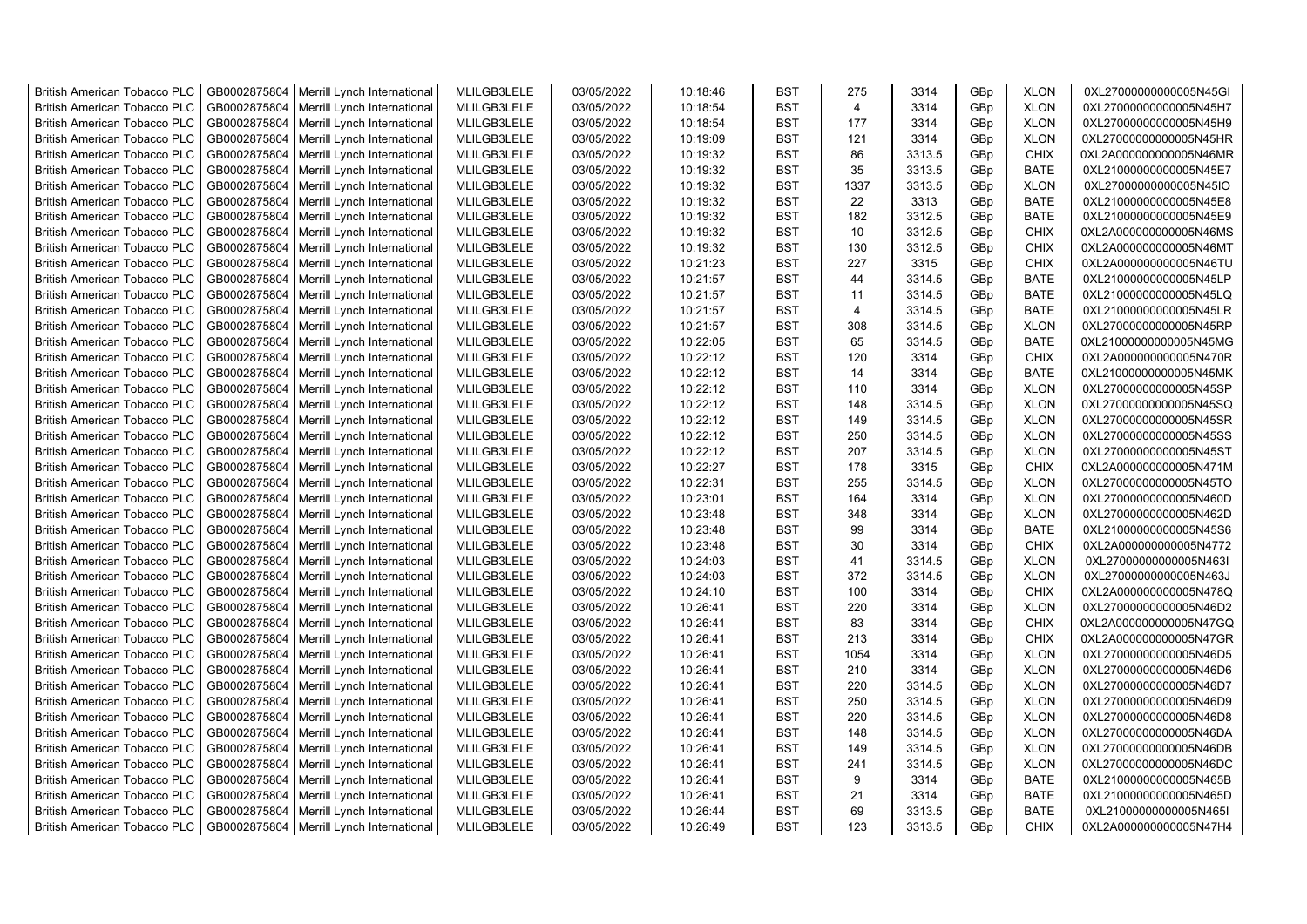| <b>British American Tobacco PLC</b> | GB0002875804 | Merrill Lynch International                | MLILGB3LELE | 03/05/2022 | 10:18:46 | <b>BST</b> | 275            | 3314   | GBp | <b>XLON</b> | 0XL27000000000005N45GI |
|-------------------------------------|--------------|--------------------------------------------|-------------|------------|----------|------------|----------------|--------|-----|-------------|------------------------|
| <b>British American Tobacco PLC</b> | GB0002875804 | Merrill Lynch International                | MLILGB3LELE | 03/05/2022 | 10:18:54 | <b>BST</b> | $\overline{4}$ | 3314   | GBp | <b>XLON</b> | 0XL27000000000005N45H7 |
| <b>British American Tobacco PLC</b> | GB0002875804 | Merrill Lynch International                | MLILGB3LELE | 03/05/2022 | 10:18:54 | <b>BST</b> | 177            | 3314   | GBp | <b>XLON</b> | 0XL27000000000005N45H9 |
| <b>British American Tobacco PLC</b> | GB0002875804 | Merrill Lynch International                | MLILGB3LELE | 03/05/2022 | 10:19:09 | <b>BST</b> | 121            | 3314   | GBp | <b>XLON</b> | 0XL27000000000005N45HR |
| <b>British American Tobacco PLC</b> | GB0002875804 | Merrill Lynch International                | MLILGB3LELE | 03/05/2022 | 10:19:32 | <b>BST</b> | 86             | 3313.5 | GBp | <b>CHIX</b> | 0XL2A000000000005N46MR |
| <b>British American Tobacco PLC</b> | GB0002875804 | Merrill Lynch International                | MLILGB3LELE | 03/05/2022 | 10:19:32 | <b>BST</b> | 35             | 3313.5 | GBp | <b>BATE</b> | 0XL21000000000005N45E7 |
| <b>British American Tobacco PLC</b> | GB0002875804 | Merrill Lynch International                | MLILGB3LELE | 03/05/2022 | 10:19:32 | <b>BST</b> | 1337           | 3313.5 | GBp | <b>XLON</b> | 0XL27000000000005N45IO |
| <b>British American Tobacco PLC</b> | GB0002875804 | Merrill Lynch International                | MLILGB3LELE | 03/05/2022 | 10:19:32 | <b>BST</b> | 22             | 3313   | GBp | <b>BATE</b> | 0XL21000000000005N45E8 |
| <b>British American Tobacco PLC</b> | GB0002875804 | Merrill Lynch International                | MLILGB3LELE | 03/05/2022 | 10:19:32 | BST        | 182            | 3312.5 | GBp | <b>BATE</b> | 0XL21000000000005N45E9 |
| <b>British American Tobacco PLC</b> | GB0002875804 | Merrill Lynch International                | MLILGB3LELE | 03/05/2022 | 10:19:32 | <b>BST</b> | 10             | 3312.5 | GBp | <b>CHIX</b> | 0XL2A000000000005N46MS |
| <b>British American Tobacco PLC</b> | GB0002875804 | Merrill Lynch International                | MLILGB3LELE | 03/05/2022 | 10:19:32 | BST        | 130            | 3312.5 | GBp | <b>CHIX</b> | 0XL2A000000000005N46MT |
| <b>British American Tobacco PLC</b> | GB0002875804 | Merrill Lynch International                | MLILGB3LELE | 03/05/2022 | 10:21:23 | <b>BST</b> | 227            | 3315   | GBp | <b>CHIX</b> | 0XL2A000000000005N46TU |
| <b>British American Tobacco PLC</b> | GB0002875804 | Merrill Lynch International                | MLILGB3LELE | 03/05/2022 | 10:21:57 | <b>BST</b> | 44             | 3314.5 | GBp | <b>BATE</b> | 0XL21000000000005N45LP |
| <b>British American Tobacco PLC</b> | GB0002875804 | Merrill Lynch International                | MLILGB3LELE | 03/05/2022 | 10:21:57 | <b>BST</b> | 11             | 3314.5 | GBp | <b>BATE</b> | 0XL21000000000005N45LQ |
| <b>British American Tobacco PLC</b> | GB0002875804 | Merrill Lynch International                | MLILGB3LELE | 03/05/2022 | 10:21:57 | <b>BST</b> | $\overline{4}$ | 3314.5 | GBp | <b>BATE</b> | 0XL21000000000005N45LR |
| <b>British American Tobacco PLC</b> | GB0002875804 | Merrill Lynch International                | MLILGB3LELE | 03/05/2022 | 10:21:57 | <b>BST</b> | 308            | 3314.5 | GBp | <b>XLON</b> | 0XL27000000000005N45RP |
| <b>British American Tobacco PLC</b> | GB0002875804 | Merrill Lynch International                | MLILGB3LELE | 03/05/2022 | 10:22:05 | <b>BST</b> | 65             | 3314.5 | GBp | <b>BATE</b> | 0XL21000000000005N45MG |
| <b>British American Tobacco PLC</b> | GB0002875804 | Merrill Lynch International                | MLILGB3LELE | 03/05/2022 | 10:22:12 | <b>BST</b> | 120            | 3314   | GBp | <b>CHIX</b> | 0XL2A000000000005N470R |
| <b>British American Tobacco PLC</b> | GB0002875804 | Merrill Lynch International                | MLILGB3LELE | 03/05/2022 | 10:22:12 | <b>BST</b> | 14             | 3314   | GBp | <b>BATE</b> | 0XL21000000000005N45MK |
| <b>British American Tobacco PLC</b> | GB0002875804 | Merrill Lynch International                | MLILGB3LELE | 03/05/2022 | 10:22:12 | <b>BST</b> | 110            | 3314   | GBp | <b>XLON</b> | 0XL27000000000005N45SP |
| <b>British American Tobacco PLC</b> | GB0002875804 | Merrill Lynch International                | MLILGB3LELE | 03/05/2022 | 10:22:12 | <b>BST</b> | 148            | 3314.5 | GBp | <b>XLON</b> | 0XL27000000000005N45SQ |
| <b>British American Tobacco PLC</b> | GB0002875804 | Merrill Lynch International                | MLILGB3LELE | 03/05/2022 | 10:22:12 | <b>BST</b> | 149            | 3314.5 | GBp | <b>XLON</b> | 0XL27000000000005N45SR |
| <b>British American Tobacco PLC</b> | GB0002875804 | Merrill Lynch International                | MLILGB3LELE | 03/05/2022 | 10:22:12 | <b>BST</b> | 250            | 3314.5 | GBp | <b>XLON</b> | 0XL27000000000005N45SS |
| <b>British American Tobacco PLC</b> | GB0002875804 | Merrill Lynch International                | MLILGB3LELE | 03/05/2022 | 10:22:12 | <b>BST</b> | 207            | 3314.5 | GBp | <b>XLON</b> | 0XL27000000000005N45ST |
| <b>British American Tobacco PLC</b> | GB0002875804 | Merrill Lynch International                | MLILGB3LELE | 03/05/2022 | 10:22:27 | <b>BST</b> | 178            | 3315   | GBp | <b>CHIX</b> | 0XL2A000000000005N471M |
| <b>British American Tobacco PLC</b> | GB0002875804 | Merrill Lynch International                | MLILGB3LELE | 03/05/2022 | 10:22:31 | <b>BST</b> | 255            | 3314.5 | GBp | <b>XLON</b> | 0XL27000000000005N45TO |
| <b>British American Tobacco PLC</b> | GB0002875804 | Merrill Lynch International                | MLILGB3LELE | 03/05/2022 | 10:23:01 | <b>BST</b> | 164            | 3314   | GBp | <b>XLON</b> | 0XL27000000000005N460D |
| <b>British American Tobacco PLC</b> | GB0002875804 | Merrill Lynch International                | MLILGB3LELE | 03/05/2022 | 10:23:48 | <b>BST</b> | 348            | 3314   | GBp | <b>XLON</b> | 0XL27000000000005N462D |
| <b>British American Tobacco PLC</b> | GB0002875804 | Merrill Lynch International                | MLILGB3LELE | 03/05/2022 | 10:23:48 | BST        | 99             | 3314   | GBp | <b>BATE</b> | 0XL21000000000005N45S6 |
| <b>British American Tobacco PLC</b> | GB0002875804 | Merrill Lynch International                | MLILGB3LELE | 03/05/2022 | 10:23:48 | <b>BST</b> | 30             | 3314   | GBp | <b>CHIX</b> | 0XL2A000000000005N4772 |
| <b>British American Tobacco PLC</b> | GB0002875804 | Merrill Lynch International                | MLILGB3LELE | 03/05/2022 | 10:24:03 | <b>BST</b> | 41             | 3314.5 | GBp | <b>XLON</b> | 0XL27000000000005N463I |
| <b>British American Tobacco PLC</b> | GB0002875804 | Merrill Lynch International                | MLILGB3LELE | 03/05/2022 | 10:24:03 | <b>BST</b> | 372            | 3314.5 | GBp | <b>XLON</b> | 0XL27000000000005N463J |
| <b>British American Tobacco PLC</b> | GB0002875804 | Merrill Lynch International                | MLILGB3LELE | 03/05/2022 | 10:24:10 | <b>BST</b> | 100            | 3314   | GBp | <b>CHIX</b> | 0XL2A000000000005N478Q |
| <b>British American Tobacco PLC</b> | GB0002875804 | Merrill Lynch International                | MLILGB3LELE | 03/05/2022 | 10:26:41 | BST        | 220            | 3314   | GBp | <b>XLON</b> | 0XL27000000000005N46D2 |
| <b>British American Tobacco PLC</b> | GB0002875804 | Merrill Lynch International                | MLILGB3LELE | 03/05/2022 | 10:26:41 | <b>BST</b> | 83             | 3314   | GBp | <b>CHIX</b> | 0XL2A000000000005N47GQ |
| <b>British American Tobacco PLC</b> | GB0002875804 | Merrill Lynch International                | MLILGB3LELE | 03/05/2022 | 10:26:41 | <b>BST</b> | 213            | 3314   | GBp | <b>CHIX</b> | 0XL2A000000000005N47GR |
| <b>British American Tobacco PLC</b> | GB0002875804 | Merrill Lynch International                | MLILGB3LELE | 03/05/2022 | 10:26:41 | <b>BST</b> | 1054           | 3314   | GBp | <b>XLON</b> | 0XL27000000000005N46D5 |
| <b>British American Tobacco PLC</b> | GB0002875804 | Merrill Lynch International                | MLILGB3LELE | 03/05/2022 | 10:26:41 | <b>BST</b> | 210            | 3314   | GBp | <b>XLON</b> | 0XL27000000000005N46D6 |
| <b>British American Tobacco PLC</b> | GB0002875804 | Merrill Lynch International                | MLILGB3LELE | 03/05/2022 | 10:26:41 | <b>BST</b> | 220            | 3314.5 | GBp | <b>XLON</b> | 0XL27000000000005N46D7 |
| British American Tobacco PLC        | GB0002875804 | Merrill Lynch International                | MLILGB3LELE | 03/05/2022 | 10:26:41 | <b>BST</b> | 250            | 3314.5 | GBp | <b>XLON</b> | 0XL27000000000005N46D9 |
| <b>British American Tobacco PLC</b> | GB0002875804 | Merrill Lynch International                | MLILGB3LELE | 03/05/2022 | 10:26:41 | <b>BST</b> | 220            | 3314.5 | GBp | <b>XLON</b> | 0XL27000000000005N46D8 |
| <b>British American Tobacco PLC</b> | GB0002875804 | Merrill Lynch International                | MLILGB3LELE | 03/05/2022 | 10:26:41 | <b>BST</b> | 148            | 3314.5 | GBp | <b>XLON</b> | 0XL27000000000005N46DA |
| <b>British American Tobacco PLC</b> | GB0002875804 | Merrill Lynch International                | MLILGB3LELE | 03/05/2022 | 10:26:41 | <b>BST</b> | 149            | 3314.5 | GBp | <b>XLON</b> | 0XL27000000000005N46DB |
| <b>British American Tobacco PLC</b> | GB0002875804 | Merrill Lynch International                | MLILGB3LELE | 03/05/2022 | 10:26:41 | <b>BST</b> | 241            | 3314.5 | GBp | <b>XLON</b> | 0XL27000000000005N46DC |
| <b>British American Tobacco PLC</b> | GB0002875804 | Merrill Lynch International                | MLILGB3LELE | 03/05/2022 | 10:26:41 | <b>BST</b> | 9              | 3314   | GBp | <b>BATE</b> | 0XL21000000000005N465B |
| <b>British American Tobacco PLC</b> | GB0002875804 | Merrill Lynch International                | MLILGB3LELE | 03/05/2022 | 10:26:41 | <b>BST</b> | 21             | 3314   | GBp | <b>BATE</b> | 0XL21000000000005N465D |
| <b>British American Tobacco PLC</b> | GB0002875804 | Merrill Lynch International                | MLILGB3LELE | 03/05/2022 | 10:26:44 | <b>BST</b> | 69             | 3313.5 | GBp | <b>BATE</b> | 0XL21000000000005N465I |
| <b>British American Tobacco PLC</b> |              | GB0002875804   Merrill Lynch International | MLILGB3LELE | 03/05/2022 | 10:26:49 | <b>BST</b> | 123            | 3313.5 | GBp | <b>CHIX</b> | 0XL2A000000000005N47H4 |
|                                     |              |                                            |             |            |          |            |                |        |     |             |                        |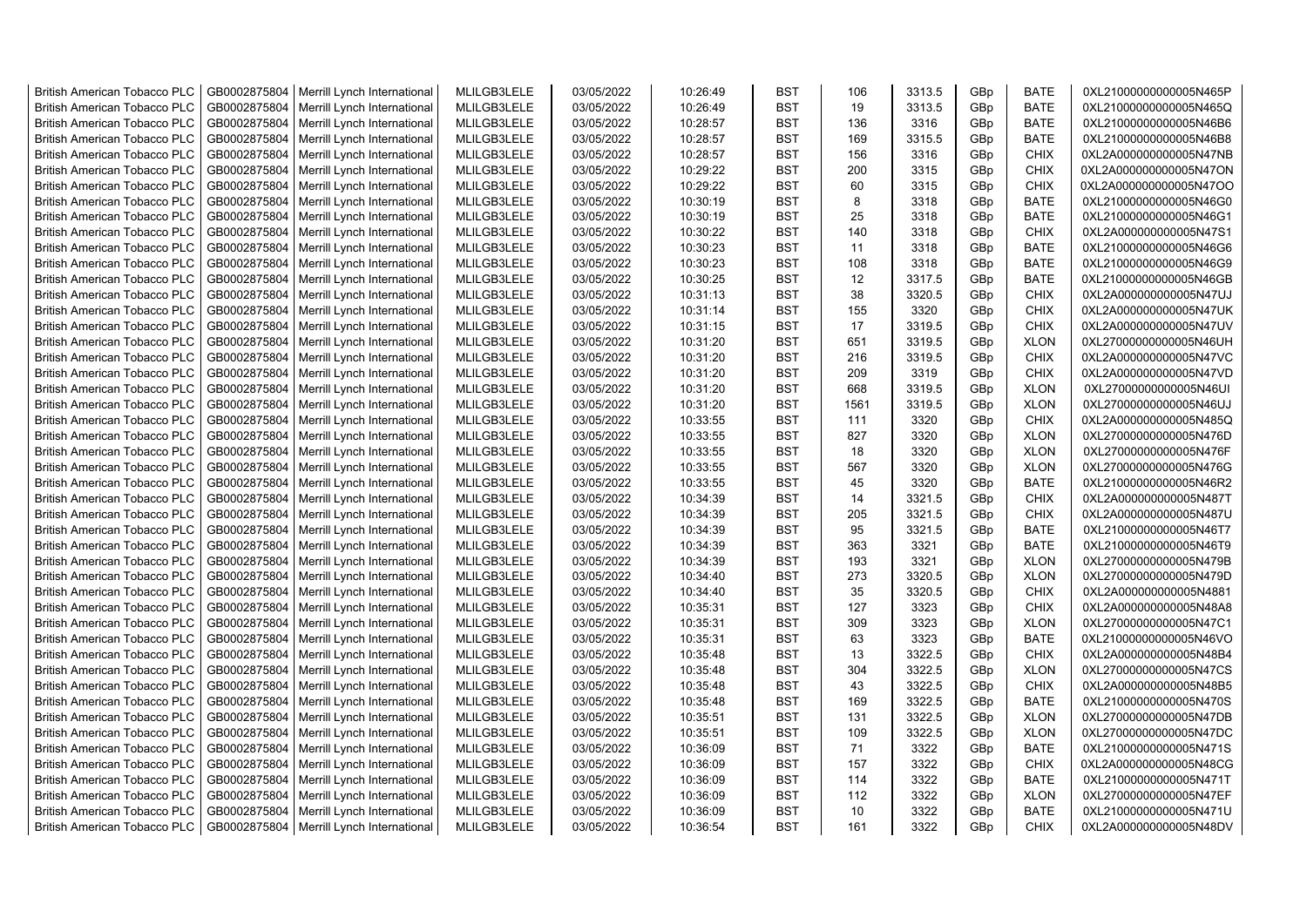| <b>British American Tobacco PLC</b> | GB0002875804 | Merrill Lynch International                | MLILGB3LELE | 03/05/2022 | 10:26:49 | <b>BST</b> | 106  | 3313.5 | GBp             | <b>BATE</b> | 0XL21000000000005N465P |
|-------------------------------------|--------------|--------------------------------------------|-------------|------------|----------|------------|------|--------|-----------------|-------------|------------------------|
| <b>British American Tobacco PLC</b> | GB0002875804 | Merrill Lynch International                | MLILGB3LELE | 03/05/2022 | 10:26:49 | <b>BST</b> | 19   | 3313.5 | GBp             | <b>BATE</b> | 0XL21000000000005N465Q |
| <b>British American Tobacco PLC</b> | GB0002875804 | Merrill Lynch International                | MLILGB3LELE | 03/05/2022 | 10:28:57 | <b>BST</b> | 136  | 3316   | GBp             | <b>BATE</b> | 0XL21000000000005N46B6 |
| <b>British American Tobacco PLC</b> | GB0002875804 | Merrill Lynch International                | MLILGB3LELE | 03/05/2022 | 10:28:57 | <b>BST</b> | 169  | 3315.5 | GBp             | <b>BATE</b> | 0XL21000000000005N46B8 |
| <b>British American Tobacco PLC</b> | GB0002875804 | Merrill Lynch International                | MLILGB3LELE | 03/05/2022 | 10:28:57 | <b>BST</b> | 156  | 3316   | GBp             | <b>CHIX</b> | 0XL2A000000000005N47NB |
| <b>British American Tobacco PLC</b> | GB0002875804 | Merrill Lynch International                | MLILGB3LELE | 03/05/2022 | 10:29:22 | <b>BST</b> | 200  | 3315   | GBp             | <b>CHIX</b> | 0XL2A000000000005N47ON |
| British American Tobacco PLC        | GB0002875804 | Merrill Lynch International                | MLILGB3LELE | 03/05/2022 | 10:29:22 | <b>BST</b> | 60   | 3315   | GBp             | <b>CHIX</b> | 0XL2A000000000005N47OO |
| <b>British American Tobacco PLC</b> | GB0002875804 | Merrill Lynch International                | MLILGB3LELE | 03/05/2022 | 10:30:19 | <b>BST</b> | 8    | 3318   | GBp             | <b>BATE</b> | 0XL21000000000005N46G0 |
| <b>British American Tobacco PLC</b> | GB0002875804 | Merrill Lynch International                | MLILGB3LELE | 03/05/2022 | 10:30:19 | <b>BST</b> | 25   | 3318   | GBp             | <b>BATE</b> | 0XL21000000000005N46G1 |
| <b>British American Tobacco PLC</b> | GB0002875804 | Merrill Lynch International                | MLILGB3LELE | 03/05/2022 | 10:30:22 | <b>BST</b> | 140  | 3318   | GBp             | <b>CHIX</b> | 0XL2A000000000005N47S1 |
| <b>British American Tobacco PLC</b> | GB0002875804 | Merrill Lynch International                | MLILGB3LELE | 03/05/2022 | 10:30:23 | <b>BST</b> | 11   | 3318   | GBp             | <b>BATE</b> | 0XL21000000000005N46G6 |
| <b>British American Tobacco PLC</b> | GB0002875804 | Merrill Lynch International                | MLILGB3LELE | 03/05/2022 | 10:30:23 | <b>BST</b> | 108  | 3318   | GBp             | <b>BATE</b> | 0XL21000000000005N46G9 |
| <b>British American Tobacco PLC</b> | GB0002875804 | Merrill Lynch International                | MLILGB3LELE | 03/05/2022 | 10:30:25 | <b>BST</b> | 12   | 3317.5 | GBp             | <b>BATE</b> | 0XL21000000000005N46GB |
| <b>British American Tobacco PLC</b> | GB0002875804 | Merrill Lynch International                | MLILGB3LELE | 03/05/2022 | 10:31:13 | <b>BST</b> | 38   | 3320.5 | GBp             | <b>CHIX</b> | 0XL2A000000000005N47UJ |
| <b>British American Tobacco PLC</b> | GB0002875804 | Merrill Lynch International                | MLILGB3LELE | 03/05/2022 | 10:31:14 | <b>BST</b> | 155  | 3320   | GBp             | <b>CHIX</b> | 0XL2A000000000005N47UK |
| <b>British American Tobacco PLC</b> | GB0002875804 | Merrill Lynch International                | MLILGB3LELE | 03/05/2022 | 10:31:15 | <b>BST</b> | 17   | 3319.5 | GBp             | <b>CHIX</b> | 0XL2A000000000005N47UV |
| <b>British American Tobacco PLC</b> | GB0002875804 | Merrill Lynch International                | MLILGB3LELE | 03/05/2022 | 10:31:20 | <b>BST</b> | 651  | 3319.5 | GBp             | <b>XLON</b> | 0XL27000000000005N46UH |
| <b>British American Tobacco PLC</b> | GB0002875804 | Merrill Lynch International                | MLILGB3LELE | 03/05/2022 | 10:31:20 | <b>BST</b> | 216  | 3319.5 | GBp             | <b>CHIX</b> | 0XL2A000000000005N47VC |
| <b>British American Tobacco PLC</b> | GB0002875804 | Merrill Lynch International                | MLILGB3LELE | 03/05/2022 | 10:31:20 | <b>BST</b> | 209  | 3319   | GBp             | <b>CHIX</b> | 0XL2A000000000005N47VD |
| <b>British American Tobacco PLC</b> | GB0002875804 | Merrill Lynch International                | MLILGB3LELE | 03/05/2022 | 10:31:20 | <b>BST</b> | 668  | 3319.5 | GBp             | <b>XLON</b> | 0XL27000000000005N46UI |
| <b>British American Tobacco PLC</b> | GB0002875804 | Merrill Lynch International                | MLILGB3LELE | 03/05/2022 | 10:31:20 | <b>BST</b> | 1561 | 3319.5 | GBp             | <b>XLON</b> | 0XL27000000000005N46UJ |
| <b>British American Tobacco PLC</b> | GB0002875804 | Merrill Lynch International                | MLILGB3LELE | 03/05/2022 | 10:33:55 | <b>BST</b> | 111  | 3320   | GBp             | <b>CHIX</b> | 0XL2A000000000005N485Q |
| <b>British American Tobacco PLC</b> | GB0002875804 | Merrill Lynch International                | MLILGB3LELE | 03/05/2022 | 10:33:55 | <b>BST</b> | 827  | 3320   | GBp             | <b>XLON</b> | 0XL27000000000005N476D |
| <b>British American Tobacco PLC</b> | GB0002875804 | Merrill Lynch International                | MLILGB3LELE | 03/05/2022 | 10:33:55 | <b>BST</b> | 18   | 3320   | GBp             | <b>XLON</b> | 0XL27000000000005N476F |
| <b>British American Tobacco PLC</b> | GB0002875804 | Merrill Lynch International                | MLILGB3LELE | 03/05/2022 | 10:33:55 | <b>BST</b> | 567  | 3320   | GBp             | <b>XLON</b> | 0XL27000000000005N476G |
| <b>British American Tobacco PLC</b> | GB0002875804 | Merrill Lynch International                | MLILGB3LELE | 03/05/2022 | 10:33:55 | <b>BST</b> | 45   | 3320   | GBp             | <b>BATE</b> | 0XL21000000000005N46R2 |
| <b>British American Tobacco PLC</b> | GB0002875804 | Merrill Lynch International                | MLILGB3LELE | 03/05/2022 | 10:34:39 | <b>BST</b> | 14   | 3321.5 | GBp             | <b>CHIX</b> | 0XL2A000000000005N487T |
| <b>British American Tobacco PLC</b> | GB0002875804 | Merrill Lynch International                | MLILGB3LELE | 03/05/2022 | 10:34:39 | <b>BST</b> | 205  | 3321.5 | GBp             | <b>CHIX</b> | 0XL2A000000000005N487U |
| <b>British American Tobacco PLC</b> | GB0002875804 | Merrill Lynch International                | MLILGB3LELE | 03/05/2022 | 10:34:39 | <b>BST</b> | 95   | 3321.5 | GBp             | <b>BATE</b> | 0XL21000000000005N46T7 |
| <b>British American Tobacco PLC</b> | GB0002875804 | Merrill Lynch International                | MLILGB3LELE | 03/05/2022 | 10:34:39 | <b>BST</b> | 363  | 3321   | GBp             | <b>BATE</b> | 0XL21000000000005N46T9 |
| <b>British American Tobacco PLC</b> | GB0002875804 | Merrill Lynch International                | MLILGB3LELE | 03/05/2022 | 10:34:39 | <b>BST</b> | 193  | 3321   | GBp             | <b>XLON</b> | 0XL27000000000005N479B |
| <b>British American Tobacco PLC</b> | GB0002875804 | Merrill Lynch International                | MLILGB3LELE | 03/05/2022 | 10:34:40 | <b>BST</b> | 273  | 3320.5 | GBp             | <b>XLON</b> | 0XL27000000000005N479D |
| <b>British American Tobacco PLC</b> | GB0002875804 | Merrill Lynch International                | MLILGB3LELE | 03/05/2022 | 10:34:40 | BST        | 35   | 3320.5 | GBp             | <b>CHIX</b> | 0XL2A000000000005N4881 |
| <b>British American Tobacco PLC</b> | GB0002875804 | Merrill Lynch International                | MLILGB3LELE | 03/05/2022 | 10:35:31 | <b>BST</b> | 127  | 3323   | GBp             | <b>CHIX</b> | 0XL2A000000000005N48A8 |
| <b>British American Tobacco PLC</b> | GB0002875804 | Merrill Lynch International                | MLILGB3LELE | 03/05/2022 | 10:35:31 | <b>BST</b> | 309  | 3323   | GBp             | <b>XLON</b> | 0XL27000000000005N47C1 |
| <b>British American Tobacco PLC</b> | GB0002875804 | Merrill Lynch International                | MLILGB3LELE | 03/05/2022 | 10:35:31 | <b>BST</b> | 63   | 3323   | GBp             | <b>BATE</b> | 0XL21000000000005N46VO |
| <b>British American Tobacco PLC</b> | GB0002875804 | Merrill Lynch International                | MLILGB3LELE | 03/05/2022 | 10:35:48 | <b>BST</b> | 13   | 3322.5 | GBp             | <b>CHIX</b> | 0XL2A000000000005N48B4 |
| <b>British American Tobacco PLC</b> | GB0002875804 | Merrill Lynch International                | MLILGB3LELE | 03/05/2022 | 10:35:48 | <b>BST</b> | 304  | 3322.5 | GBp             | <b>XLON</b> | 0XL27000000000005N47CS |
| <b>British American Tobacco PLC</b> | GB0002875804 | Merrill Lynch International                | MLILGB3LELE | 03/05/2022 | 10:35:48 | <b>BST</b> | 43   | 3322.5 | GBp             | <b>CHIX</b> | 0XL2A000000000005N48B5 |
| <b>British American Tobacco PLC</b> | GB0002875804 | Merrill Lynch International                | MLILGB3LELE | 03/05/2022 | 10:35:48 | <b>BST</b> | 169  | 3322.5 | GBp             | <b>BATE</b> | 0XL21000000000005N470S |
| <b>British American Tobacco PLC</b> | GB0002875804 | Merrill Lynch International                | MLILGB3LELE | 03/05/2022 | 10:35:51 | <b>BST</b> | 131  | 3322.5 | GBp             | <b>XLON</b> | 0XL27000000000005N47DB |
| <b>British American Tobacco PLC</b> | GB0002875804 | Merrill Lynch International                | MLILGB3LELE | 03/05/2022 | 10:35:51 | <b>BST</b> | 109  | 3322.5 | GBp             | <b>XLON</b> | 0XL27000000000005N47DC |
| <b>British American Tobacco PLC</b> | GB0002875804 | Merrill Lynch International                | MLILGB3LELE | 03/05/2022 | 10:36:09 | <b>BST</b> | 71   | 3322   | GBp             | <b>BATE</b> | 0XL21000000000005N471S |
| <b>British American Tobacco PLC</b> | GB0002875804 | Merrill Lynch International                | MLILGB3LELE | 03/05/2022 | 10:36:09 | <b>BST</b> | 157  | 3322   | GBp             | <b>CHIX</b> | 0XL2A000000000005N48CG |
| <b>British American Tobacco PLC</b> | GB0002875804 | Merrill Lynch International                | MLILGB3LELE | 03/05/2022 | 10:36:09 | <b>BST</b> | 114  | 3322   | GBp             | <b>BATE</b> | 0XL21000000000005N471T |
| <b>British American Tobacco PLC</b> | GB0002875804 | Merrill Lynch International                | MLILGB3LELE | 03/05/2022 | 10:36:09 | <b>BST</b> | 112  | 3322   | GBp             | <b>XLON</b> | 0XL27000000000005N47EF |
| <b>British American Tobacco PLC</b> | GB0002875804 | Merrill Lynch International                | MLILGB3LELE | 03/05/2022 | 10:36:09 | <b>BST</b> | 10   | 3322   | GBp             | <b>BATE</b> | 0XL21000000000005N471U |
| <b>British American Tobacco PLC</b> |              | GB0002875804   Merrill Lynch International | MLILGB3LELE | 03/05/2022 | 10:36:54 | <b>BST</b> | 161  | 3322   | GB <sub>p</sub> | <b>CHIX</b> | 0XL2A000000000005N48DV |
|                                     |              |                                            |             |            |          |            |      |        |                 |             |                        |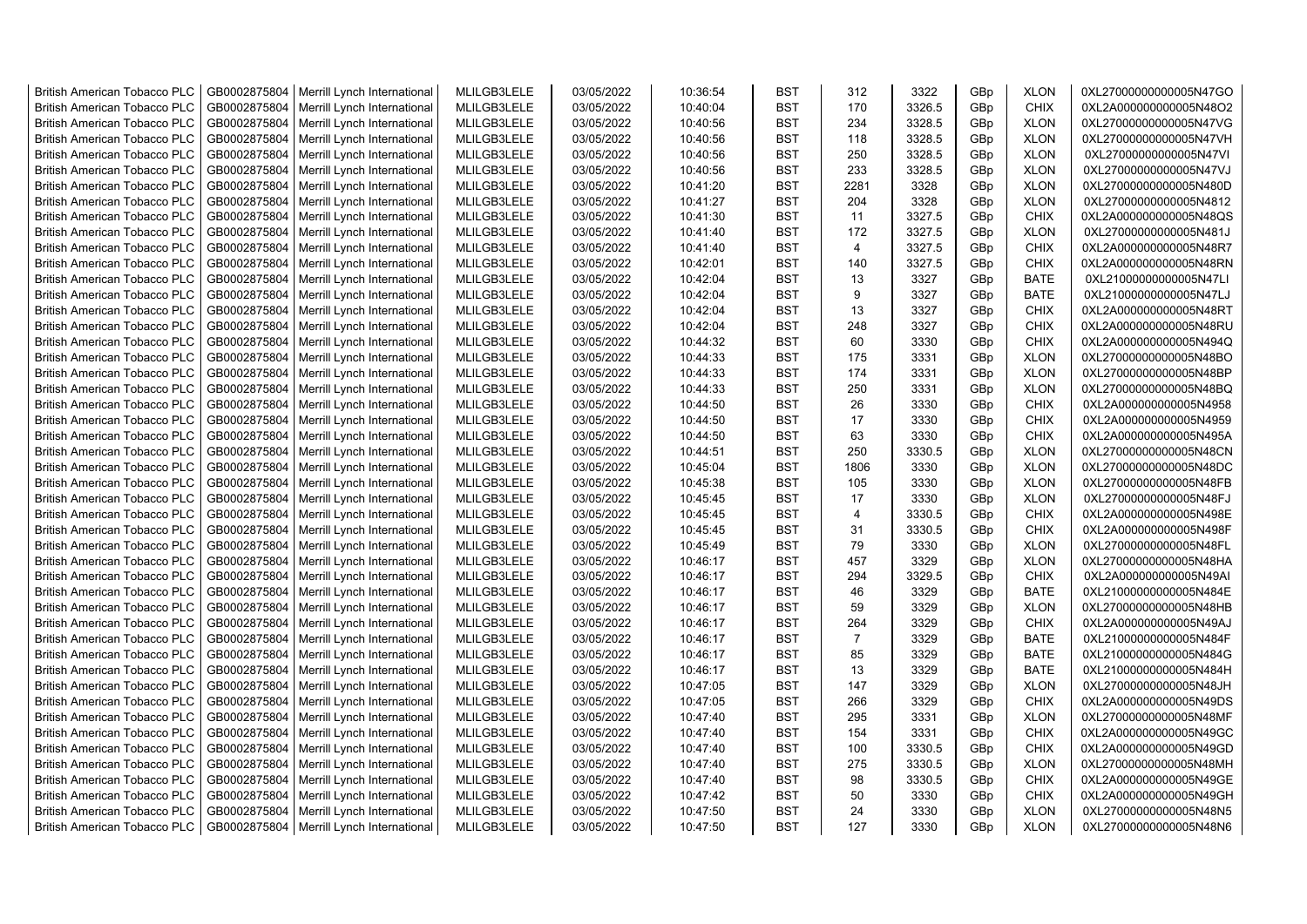| <b>British American Tobacco PLC</b> | GB0002875804 | Merrill Lynch International | MLILGB3LELE | 03/05/2022 | 10:36:54 | <b>BST</b> | 312            | 3322   | GBp | <b>XLON</b> | 0XL27000000000005N47GO |
|-------------------------------------|--------------|-----------------------------|-------------|------------|----------|------------|----------------|--------|-----|-------------|------------------------|
| <b>British American Tobacco PLC</b> | GB0002875804 | Merrill Lynch International | MLILGB3LELE | 03/05/2022 | 10:40:04 | <b>BST</b> | 170            | 3326.5 | GBp | <b>CHIX</b> | 0XL2A000000000005N48O2 |
| <b>British American Tobacco PLC</b> | GB0002875804 | Merrill Lynch International | MLILGB3LELE | 03/05/2022 | 10:40:56 | <b>BST</b> | 234            | 3328.5 | GBp | <b>XLON</b> | 0XL27000000000005N47VG |
| <b>British American Tobacco PLC</b> | GB0002875804 | Merrill Lynch International | MLILGB3LELE | 03/05/2022 | 10:40:56 | <b>BST</b> | 118            | 3328.5 | GBp | <b>XLON</b> | 0XL27000000000005N47VH |
| <b>British American Tobacco PLC</b> | GB0002875804 | Merrill Lynch International | MLILGB3LELE | 03/05/2022 | 10:40:56 | <b>BST</b> | 250            | 3328.5 | GBp | <b>XLON</b> | 0XL27000000000005N47VI |
| <b>British American Tobacco PLC</b> | GB0002875804 | Merrill Lynch International | MLILGB3LELE | 03/05/2022 | 10:40:56 | <b>BST</b> | 233            | 3328.5 | GBp | <b>XLON</b> | 0XL27000000000005N47VJ |
| <b>British American Tobacco PLC</b> | GB0002875804 | Merrill Lynch International | MLILGB3LELE | 03/05/2022 | 10:41:20 | <b>BST</b> | 2281           | 3328   | GBp | <b>XLON</b> | 0XL27000000000005N480D |
| <b>British American Tobacco PLC</b> | GB0002875804 | Merrill Lynch International | MLILGB3LELE | 03/05/2022 | 10:41:27 | <b>BST</b> | 204            | 3328   | GBp | <b>XLON</b> | 0XL27000000000005N4812 |
| <b>British American Tobacco PLC</b> | GB0002875804 | Merrill Lynch International | MLILGB3LELE | 03/05/2022 | 10:41:30 | <b>BST</b> | 11             | 3327.5 | GBp | <b>CHIX</b> | 0XL2A000000000005N48QS |
| <b>British American Tobacco PLC</b> | GB0002875804 | Merrill Lynch International | MLILGB3LELE | 03/05/2022 | 10:41:40 | <b>BST</b> | 172            | 3327.5 | GBp | <b>XLON</b> | 0XL27000000000005N481J |
| <b>British American Tobacco PLC</b> | GB0002875804 | Merrill Lynch International | MLILGB3LELE | 03/05/2022 | 10:41:40 | <b>BST</b> | $\overline{4}$ | 3327.5 | GBp | <b>CHIX</b> | 0XL2A000000000005N48R7 |
| <b>British American Tobacco PLC</b> | GB0002875804 | Merrill Lynch International | MLILGB3LELE | 03/05/2022 | 10:42:01 | <b>BST</b> | 140            | 3327.5 | GBp | CHIX        | 0XL2A000000000005N48RN |
| <b>British American Tobacco PLC</b> | GB0002875804 | Merrill Lynch International | MLILGB3LELE | 03/05/2022 | 10:42:04 | <b>BST</b> | 13             | 3327   | GBp | <b>BATE</b> | 0XL21000000000005N47LI |
| <b>British American Tobacco PLC</b> | GB0002875804 | Merrill Lynch International | MLILGB3LELE | 03/05/2022 | 10:42:04 | <b>BST</b> | 9              | 3327   | GBp | <b>BATE</b> | 0XL21000000000005N47LJ |
| <b>British American Tobacco PLC</b> | GB0002875804 | Merrill Lynch International | MLILGB3LELE | 03/05/2022 | 10:42:04 | <b>BST</b> | 13             | 3327   | GBp | <b>CHIX</b> | 0XL2A000000000005N48RT |
| <b>British American Tobacco PLC</b> | GB0002875804 | Merrill Lynch International | MLILGB3LELE | 03/05/2022 | 10:42:04 | <b>BST</b> | 248            | 3327   | GBp | <b>CHIX</b> | 0XL2A000000000005N48RU |
| <b>British American Tobacco PLC</b> | GB0002875804 | Merrill Lynch International | MLILGB3LELE | 03/05/2022 | 10:44:32 | <b>BST</b> | 60             | 3330   | GBp | CHIX        | 0XL2A000000000005N494Q |
| <b>British American Tobacco PLC</b> | GB0002875804 | Merrill Lynch International | MLILGB3LELE | 03/05/2022 | 10:44:33 | <b>BST</b> | 175            | 3331   | GBp | <b>XLON</b> | 0XL27000000000005N48BO |
| <b>British American Tobacco PLC</b> | GB0002875804 | Merrill Lynch International | MLILGB3LELE | 03/05/2022 | 10:44:33 | <b>BST</b> | 174            | 3331   | GBp | <b>XLON</b> | 0XL27000000000005N48BP |
| <b>British American Tobacco PLC</b> | GB0002875804 | Merrill Lynch International | MLILGB3LELE | 03/05/2022 | 10:44:33 | <b>BST</b> | 250            | 3331   | GBp | <b>XLON</b> | 0XL27000000000005N48BQ |
| <b>British American Tobacco PLC</b> | GB0002875804 | Merrill Lynch International | MLILGB3LELE | 03/05/2022 | 10:44:50 | <b>BST</b> | 26             | 3330   | GBp | <b>CHIX</b> | 0XL2A000000000005N4958 |
| <b>British American Tobacco PLC</b> | GB0002875804 | Merrill Lynch International | MLILGB3LELE | 03/05/2022 | 10:44:50 | <b>BST</b> | 17             | 3330   | GBp | <b>CHIX</b> | 0XL2A000000000005N4959 |
| <b>British American Tobacco PLC</b> | GB0002875804 | Merrill Lynch International | MLILGB3LELE | 03/05/2022 | 10:44:50 | <b>BST</b> | 63             | 3330   | GBp | <b>CHIX</b> | 0XL2A000000000005N495A |
| <b>British American Tobacco PLC</b> | GB0002875804 | Merrill Lynch International | MLILGB3LELE | 03/05/2022 | 10:44:51 | <b>BST</b> | 250            | 3330.5 | GBp | <b>XLON</b> | 0XL27000000000005N48CN |
| <b>British American Tobacco PLC</b> | GB0002875804 | Merrill Lynch International | MLILGB3LELE | 03/05/2022 | 10:45:04 | <b>BST</b> | 1806           | 3330   | GBp | <b>XLON</b> | 0XL27000000000005N48DC |
| <b>British American Tobacco PLC</b> | GB0002875804 | Merrill Lynch International | MLILGB3LELE | 03/05/2022 | 10:45:38 | <b>BST</b> | 105            | 3330   | GBp | <b>XLON</b> | 0XL27000000000005N48FB |
| <b>British American Tobacco PLC</b> | GB0002875804 | Merrill Lynch International | MLILGB3LELE | 03/05/2022 | 10:45:45 | <b>BST</b> | 17             | 3330   | GBp | <b>XLON</b> | 0XL27000000000005N48FJ |
| <b>British American Tobacco PLC</b> | GB0002875804 | Merrill Lynch International | MLILGB3LELE | 03/05/2022 | 10:45:45 | <b>BST</b> | $\overline{4}$ | 3330.5 | GBp | <b>CHIX</b> | 0XL2A000000000005N498E |
| <b>British American Tobacco PLC</b> | GB0002875804 | Merrill Lynch International | MLILGB3LELE | 03/05/2022 | 10:45:45 | <b>BST</b> | 31             | 3330.5 | GBp | CHIX        | 0XL2A000000000005N498F |
| <b>British American Tobacco PLC</b> | GB0002875804 | Merrill Lynch International | MLILGB3LELE | 03/05/2022 | 10:45:49 | <b>BST</b> | 79             | 3330   | GBp | <b>XLON</b> | 0XL27000000000005N48FL |
| <b>British American Tobacco PLC</b> | GB0002875804 | Merrill Lynch International | MLILGB3LELE | 03/05/2022 | 10:46:17 | <b>BST</b> | 457            | 3329   | GBp | <b>XLON</b> | 0XL27000000000005N48HA |
| <b>British American Tobacco PLC</b> | GB0002875804 | Merrill Lynch International | MLILGB3LELE | 03/05/2022 | 10:46:17 | <b>BST</b> | 294            | 3329.5 | GBp | <b>CHIX</b> | 0XL2A000000000005N49AI |
| <b>British American Tobacco PLC</b> | GB0002875804 | Merrill Lynch International | MLILGB3LELE | 03/05/2022 | 10:46:17 | BST        | 46             | 3329   | GBp | <b>BATE</b> | 0XL21000000000005N484E |
| <b>British American Tobacco PLC</b> | GB0002875804 | Merrill Lynch International | MLILGB3LELE | 03/05/2022 | 10:46:17 | <b>BST</b> | 59             | 3329   | GBp | <b>XLON</b> | 0XL27000000000005N48HB |
| <b>British American Tobacco PLC</b> | GB0002875804 | Merrill Lynch International | MLILGB3LELE | 03/05/2022 | 10:46:17 | <b>BST</b> | 264            | 3329   | GBp | <b>CHIX</b> | 0XL2A000000000005N49AJ |
| <b>British American Tobacco PLC</b> | GB0002875804 | Merrill Lynch International | MLILGB3LELE | 03/05/2022 | 10:46:17 | <b>BST</b> | $\overline{7}$ | 3329   | GBp | <b>BATE</b> | 0XL21000000000005N484F |
| <b>British American Tobacco PLC</b> | GB0002875804 | Merrill Lynch International | MLILGB3LELE | 03/05/2022 | 10:46:17 | <b>BST</b> | 85             | 3329   | GBp | <b>BATE</b> | 0XL21000000000005N484G |
| <b>British American Tobacco PLC</b> | GB0002875804 | Merrill Lynch International | MLILGB3LELE | 03/05/2022 | 10:46:17 | <b>BST</b> | 13             | 3329   | GBp | <b>BATE</b> | 0XL21000000000005N484H |
| <b>British American Tobacco PLC</b> | GB0002875804 | Merrill Lynch International | MLILGB3LELE | 03/05/2022 | 10:47:05 | <b>BST</b> | 147            | 3329   | GBp | <b>XLON</b> | 0XL27000000000005N48JH |
| <b>British American Tobacco PLC</b> | GB0002875804 | Merrill Lynch International | MLILGB3LELE | 03/05/2022 | 10:47:05 | <b>BST</b> | 266            | 3329   | GBp | <b>CHIX</b> | 0XL2A000000000005N49DS |
| <b>British American Tobacco PLC</b> | GB0002875804 | Merrill Lynch International | MLILGB3LELE | 03/05/2022 | 10:47:40 | <b>BST</b> | 295            | 3331   | GBp | <b>XLON</b> | 0XL27000000000005N48MF |
| <b>British American Tobacco PLC</b> | GB0002875804 | Merrill Lynch International | MLILGB3LELE | 03/05/2022 | 10:47:40 | <b>BST</b> | 154            | 3331   | GBp | CHIX        | 0XL2A000000000005N49GC |
| <b>British American Tobacco PLC</b> | GB0002875804 | Merrill Lynch International | MLILGB3LELE | 03/05/2022 | 10:47:40 | <b>BST</b> | 100            | 3330.5 | GBp | <b>CHIX</b> | 0XL2A000000000005N49GD |
| <b>British American Tobacco PLC</b> | GB0002875804 | Merrill Lynch International | MLILGB3LELE | 03/05/2022 | 10:47:40 | <b>BST</b> | 275            | 3330.5 | GBp | <b>XLON</b> | 0XL27000000000005N48MH |
| <b>British American Tobacco PLC</b> | GB0002875804 | Merrill Lynch International | MLILGB3LELE | 03/05/2022 | 10:47:40 | <b>BST</b> | 98             | 3330.5 | GBp | <b>CHIX</b> | 0XL2A000000000005N49GE |
| <b>British American Tobacco PLC</b> | GB0002875804 | Merrill Lynch International | MLILGB3LELE | 03/05/2022 | 10:47:42 | <b>BST</b> | 50             | 3330   | GBp | <b>CHIX</b> | 0XL2A000000000005N49GH |
| <b>British American Tobacco PLC</b> | GB0002875804 | Merrill Lynch International | MLILGB3LELE | 03/05/2022 | 10:47:50 | <b>BST</b> | 24             | 3330   | GBp | <b>XLON</b> | 0XL27000000000005N48N5 |
| <b>British American Tobacco PLC</b> | GB0002875804 | Merrill Lynch International | MLILGB3LELE | 03/05/2022 | 10:47:50 | <b>BST</b> | 127            | 3330   | GBp | <b>XLON</b> | 0XL27000000000005N48N6 |
|                                     |              |                             |             |            |          |            |                |        |     |             |                        |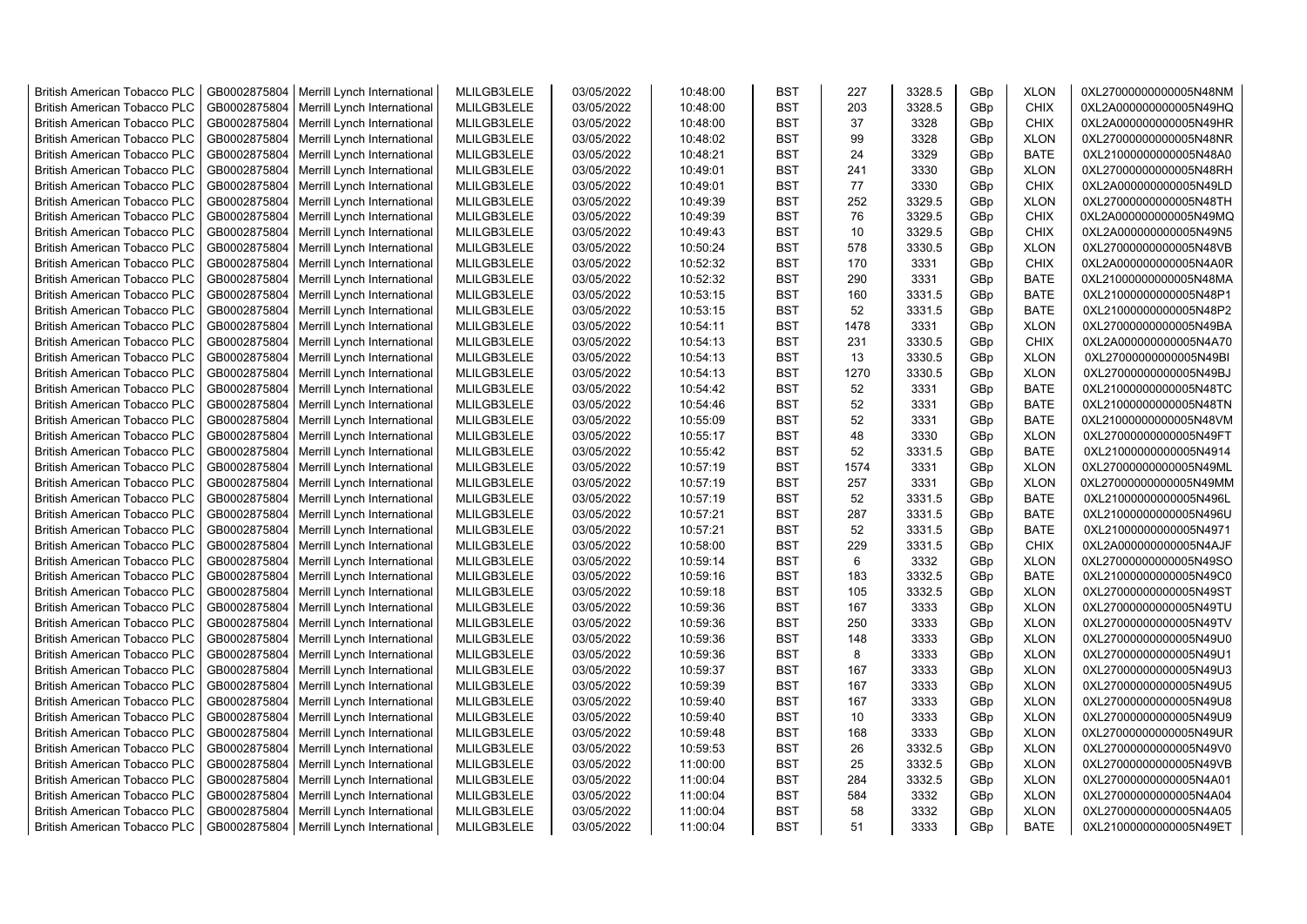| <b>British American Tobacco PLC</b> | GB0002875804 | Merrill Lynch International | MLILGB3LELE | 03/05/2022 | 10:48:00 | <b>BST</b> | 227  | 3328.5 | GBp | <b>XLON</b> | 0XL27000000000005N48NM |
|-------------------------------------|--------------|-----------------------------|-------------|------------|----------|------------|------|--------|-----|-------------|------------------------|
| <b>British American Tobacco PLC</b> | GB0002875804 | Merrill Lynch International | MLILGB3LELE | 03/05/2022 | 10:48:00 | <b>BST</b> | 203  | 3328.5 | GBp | <b>CHIX</b> | 0XL2A000000000005N49HQ |
| <b>British American Tobacco PLC</b> | GB0002875804 | Merrill Lynch International | MLILGB3LELE | 03/05/2022 | 10:48:00 | <b>BST</b> | 37   | 3328   | GBp | <b>CHIX</b> | 0XL2A000000000005N49HR |
| <b>British American Tobacco PLC</b> | GB0002875804 | Merrill Lynch International | MLILGB3LELE | 03/05/2022 | 10:48:02 | <b>BST</b> | 99   | 3328   | GBp | <b>XLON</b> | 0XL27000000000005N48NR |
| <b>British American Tobacco PLC</b> | GB0002875804 | Merrill Lynch International | MLILGB3LELE | 03/05/2022 | 10:48:21 | <b>BST</b> | 24   | 3329   | GBp | <b>BATE</b> | 0XL21000000000005N48A0 |
| <b>British American Tobacco PLC</b> | GB0002875804 | Merrill Lynch International | MLILGB3LELE | 03/05/2022 | 10:49:01 | <b>BST</b> | 241  | 3330   | GBp | <b>XLON</b> | 0XL27000000000005N48RH |
| <b>British American Tobacco PLC</b> | GB0002875804 | Merrill Lynch International | MLILGB3LELE | 03/05/2022 | 10:49:01 | <b>BST</b> | 77   | 3330   | GBp | <b>CHIX</b> | 0XL2A000000000005N49LD |
| <b>British American Tobacco PLC</b> | GB0002875804 | Merrill Lynch International | MLILGB3LELE | 03/05/2022 | 10:49:39 | <b>BST</b> | 252  | 3329.5 | GBp | <b>XLON</b> | 0XL27000000000005N48TH |
| <b>British American Tobacco PLC</b> | GB0002875804 | Merrill Lynch International | MLILGB3LELE | 03/05/2022 | 10:49:39 | BST        | 76   | 3329.5 | GBp | <b>CHIX</b> | 0XL2A000000000005N49MQ |
| <b>British American Tobacco PLC</b> | GB0002875804 | Merrill Lynch International | MLILGB3LELE | 03/05/2022 | 10:49:43 | <b>BST</b> | 10   | 3329.5 | GBp | <b>CHIX</b> | 0XL2A000000000005N49N5 |
| <b>British American Tobacco PLC</b> | GB0002875804 | Merrill Lynch International | MLILGB3LELE | 03/05/2022 | 10:50:24 | <b>BST</b> | 578  | 3330.5 | GBp | <b>XLON</b> | 0XL27000000000005N48VB |
| <b>British American Tobacco PLC</b> | GB0002875804 | Merrill Lynch International | MLILGB3LELE | 03/05/2022 | 10:52:32 | <b>BST</b> | 170  | 3331   | GBp | <b>CHIX</b> | 0XL2A000000000005N4A0R |
| <b>British American Tobacco PLC</b> | GB0002875804 | Merrill Lynch International | MLILGB3LELE | 03/05/2022 | 10:52:32 | <b>BST</b> | 290  | 3331   | GBp | BATE        | 0XL21000000000005N48MA |
| <b>British American Tobacco PLC</b> | GB0002875804 | Merrill Lynch International | MLILGB3LELE | 03/05/2022 | 10:53:15 | <b>BST</b> | 160  | 3331.5 | GBp | <b>BATE</b> | 0XL21000000000005N48P1 |
| <b>British American Tobacco PLC</b> | GB0002875804 | Merrill Lynch International | MLILGB3LELE | 03/05/2022 | 10:53:15 | <b>BST</b> | 52   | 3331.5 | GBp | <b>BATE</b> | 0XL21000000000005N48P2 |
| <b>British American Tobacco PLC</b> | GB0002875804 | Merrill Lynch International | MLILGB3LELE | 03/05/2022 | 10:54:11 | <b>BST</b> | 1478 | 3331   | GBp | <b>XLON</b> | 0XL27000000000005N49BA |
| <b>British American Tobacco PLC</b> | GB0002875804 | Merrill Lynch International | MLILGB3LELE | 03/05/2022 | 10:54:13 | <b>BST</b> | 231  | 3330.5 | GBp | <b>CHIX</b> | 0XL2A000000000005N4A70 |
| <b>British American Tobacco PLC</b> | GB0002875804 | Merrill Lynch International | MLILGB3LELE | 03/05/2022 | 10:54:13 | <b>BST</b> | 13   | 3330.5 | GBp | <b>XLON</b> | 0XL27000000000005N49BI |
| <b>British American Tobacco PLC</b> | GB0002875804 | Merrill Lynch International | MLILGB3LELE | 03/05/2022 | 10:54:13 | <b>BST</b> | 1270 | 3330.5 | GBp | <b>XLON</b> | 0XL27000000000005N49BJ |
| <b>British American Tobacco PLC</b> | GB0002875804 | Merrill Lynch International | MLILGB3LELE | 03/05/2022 | 10:54:42 | <b>BST</b> | 52   | 3331   | GBp | <b>BATE</b> | 0XL21000000000005N48TC |
| <b>British American Tobacco PLC</b> | GB0002875804 | Merrill Lynch International | MLILGB3LELE | 03/05/2022 | 10:54:46 | <b>BST</b> | 52   | 3331   | GBp | <b>BATE</b> | 0XL21000000000005N48TN |
| <b>British American Tobacco PLC</b> | GB0002875804 | Merrill Lynch International | MLILGB3LELE | 03/05/2022 | 10:55:09 | <b>BST</b> | 52   | 3331   | GBp | <b>BATE</b> | 0XL21000000000005N48VM |
| <b>British American Tobacco PLC</b> | GB0002875804 | Merrill Lynch International | MLILGB3LELE | 03/05/2022 | 10:55:17 | <b>BST</b> | 48   | 3330   | GBp | <b>XLON</b> | 0XL27000000000005N49FT |
| <b>British American Tobacco PLC</b> | GB0002875804 | Merrill Lynch International | MLILGB3LELE | 03/05/2022 | 10:55:42 | BST        | 52   | 3331.5 | GBp | <b>BATE</b> | 0XL21000000000005N4914 |
| <b>British American Tobacco PLC</b> | GB0002875804 | Merrill Lynch International | MLILGB3LELE | 03/05/2022 | 10:57:19 | <b>BST</b> | 1574 | 3331   | GBp | <b>XLON</b> | 0XL27000000000005N49ML |
| British American Tobacco PLC        | GB0002875804 | Merrill Lynch International | MLILGB3LELE | 03/05/2022 | 10:57:19 | <b>BST</b> | 257  | 3331   | GBp | <b>XLON</b> | 0XL27000000000005N49MM |
| <b>British American Tobacco PLC</b> | GB0002875804 | Merrill Lynch International | MLILGB3LELE | 03/05/2022 | 10:57:19 | <b>BST</b> | 52   | 3331.5 | GBp | <b>BATE</b> | 0XL21000000000005N496L |
| British American Tobacco PLC        | GB0002875804 | Merrill Lynch International | MLILGB3LELE | 03/05/2022 | 10:57:21 | <b>BST</b> | 287  | 3331.5 | GBp | <b>BATE</b> | 0XL21000000000005N496U |
| <b>British American Tobacco PLC</b> | GB0002875804 | Merrill Lynch International | MLILGB3LELE | 03/05/2022 | 10:57:21 | <b>BST</b> | 52   | 3331.5 | GBp | <b>BATE</b> | 0XL21000000000005N4971 |
| <b>British American Tobacco PLC</b> | GB0002875804 | Merrill Lynch International | MLILGB3LELE | 03/05/2022 | 10:58:00 | <b>BST</b> | 229  | 3331.5 | GBp | <b>CHIX</b> | 0XL2A000000000005N4AJF |
| <b>British American Tobacco PLC</b> | GB0002875804 | Merrill Lynch International | MLILGB3LELE | 03/05/2022 | 10:59:14 | <b>BST</b> | 6    | 3332   | GBp | <b>XLON</b> | 0XL27000000000005N49SO |
| <b>British American Tobacco PLC</b> | GB0002875804 | Merrill Lynch International | MLILGB3LELE | 03/05/2022 | 10:59:16 | <b>BST</b> | 183  | 3332.5 | GBp | <b>BATE</b> | 0XL21000000000005N49C0 |
| <b>British American Tobacco PLC</b> | GB0002875804 | Merrill Lynch International | MLILGB3LELE | 03/05/2022 | 10:59:18 | <b>BST</b> | 105  | 3332.5 | GBp | <b>XLON</b> | 0XL27000000000005N49ST |
| <b>British American Tobacco PLC</b> | GB0002875804 | Merrill Lynch International | MLILGB3LELE | 03/05/2022 | 10:59:36 | <b>BST</b> | 167  | 3333   | GBp | <b>XLON</b> | 0XL27000000000005N49TU |
| <b>British American Tobacco PLC</b> | GB0002875804 | Merrill Lynch International | MLILGB3LELE | 03/05/2022 | 10:59:36 | <b>BST</b> | 250  | 3333   | GBp | <b>XLON</b> | 0XL27000000000005N49TV |
| <b>British American Tobacco PLC</b> | GB0002875804 | Merrill Lynch International | MLILGB3LELE | 03/05/2022 | 10:59:36 | <b>BST</b> | 148  | 3333   | GBp | <b>XLON</b> | 0XL27000000000005N49U0 |
| <b>British American Tobacco PLC</b> | GB0002875804 | Merrill Lynch International | MLILGB3LELE | 03/05/2022 | 10:59:36 | <b>BST</b> | 8    | 3333   | GBp | <b>XLON</b> | 0XL27000000000005N49U1 |
| <b>British American Tobacco PLC</b> | GB0002875804 | Merrill Lynch International | MLILGB3LELE | 03/05/2022 | 10:59:37 | <b>BST</b> | 167  | 3333   | GBp | <b>XLON</b> | 0XL27000000000005N49U3 |
| <b>British American Tobacco PLC</b> | GB0002875804 | Merrill Lynch International | MLILGB3LELE | 03/05/2022 | 10:59:39 | <b>BST</b> | 167  | 3333   | GBp | <b>XLON</b> | 0XL27000000000005N49U5 |
| <b>British American Tobacco PLC</b> | GB0002875804 | Merrill Lynch International | MLILGB3LELE | 03/05/2022 | 10:59:40 | <b>BST</b> | 167  | 3333   | GBp | <b>XLON</b> | 0XL27000000000005N49U8 |
| <b>British American Tobacco PLC</b> | GB0002875804 | Merrill Lynch International | MLILGB3LELE | 03/05/2022 | 10:59:40 | <b>BST</b> | 10   | 3333   | GBp | <b>XLON</b> | 0XL27000000000005N49U9 |
| <b>British American Tobacco PLC</b> | GB0002875804 | Merrill Lynch International | MLILGB3LELE | 03/05/2022 | 10:59:48 | <b>BST</b> | 168  | 3333   | GBp | <b>XLON</b> | 0XL27000000000005N49UR |
| <b>British American Tobacco PLC</b> | GB0002875804 | Merrill Lynch International | MLILGB3LELE | 03/05/2022 | 10:59:53 | <b>BST</b> | 26   | 3332.5 | GBp | <b>XLON</b> | 0XL27000000000005N49V0 |
| British American Tobacco PLC        | GB0002875804 | Merrill Lynch International | MLILGB3LELE | 03/05/2022 | 11:00:00 | <b>BST</b> | 25   | 3332.5 | GBp | <b>XLON</b> | 0XL27000000000005N49VB |
| <b>British American Tobacco PLC</b> | GB0002875804 | Merrill Lynch International | MLILGB3LELE | 03/05/2022 | 11:00:04 | <b>BST</b> | 284  | 3332.5 | GBp | <b>XLON</b> | 0XL27000000000005N4A01 |
| <b>British American Tobacco PLC</b> | GB0002875804 | Merrill Lynch International | MLILGB3LELE | 03/05/2022 | 11:00:04 | <b>BST</b> | 584  | 3332   | GBp | <b>XLON</b> | 0XL27000000000005N4A04 |
| <b>British American Tobacco PLC</b> | GB0002875804 | Merrill Lynch International | MLILGB3LELE | 03/05/2022 | 11:00:04 | <b>BST</b> | 58   | 3332   | GBp | <b>XLON</b> | 0XL27000000000005N4A05 |
| <b>British American Tobacco PLC</b> | GB0002875804 | Merrill Lynch International | MLILGB3LELE | 03/05/2022 | 11:00:04 | <b>BST</b> | 51   | 3333   | GBp | <b>BATE</b> | 0XL21000000000005N49ET |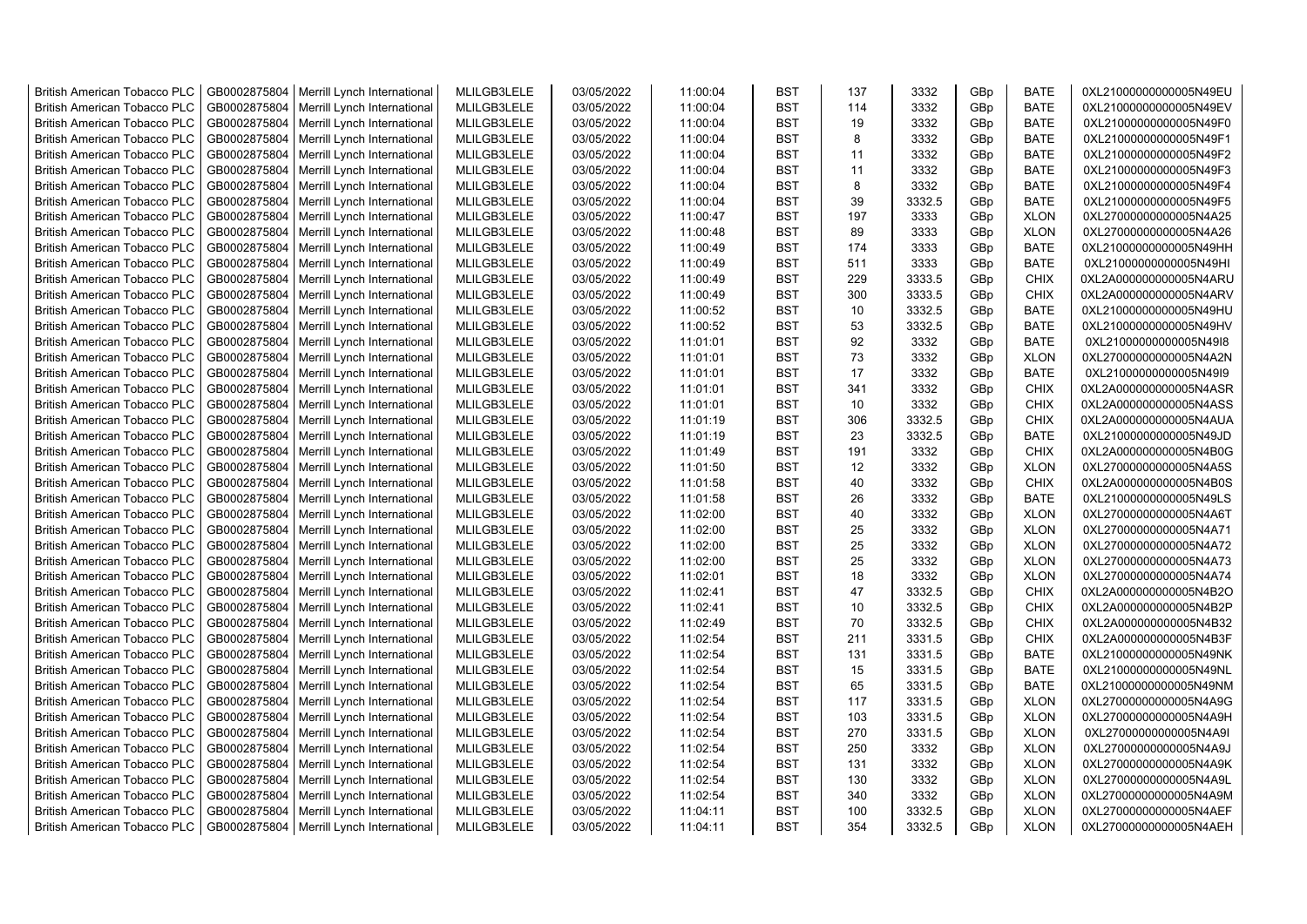| <b>British American Tobacco PLC</b> | GB0002875804 | Merrill Lynch International                | MLILGB3LELE | 03/05/2022 | 11:00:04 | <b>BST</b> | 137 | 3332   | GBp             | <b>BATE</b> | 0XL21000000000005N49EU |
|-------------------------------------|--------------|--------------------------------------------|-------------|------------|----------|------------|-----|--------|-----------------|-------------|------------------------|
| <b>British American Tobacco PLC</b> | GB0002875804 | Merrill Lynch International                | MLILGB3LELE | 03/05/2022 | 11:00:04 | <b>BST</b> | 114 | 3332   | GBp             | <b>BATE</b> | 0XL21000000000005N49EV |
| <b>British American Tobacco PLC</b> | GB0002875804 | Merrill Lynch International                | MLILGB3LELE | 03/05/2022 | 11:00:04 | <b>BST</b> | 19  | 3332   | GBp             | <b>BATE</b> | 0XL21000000000005N49F0 |
| <b>British American Tobacco PLC</b> | GB0002875804 | Merrill Lynch International                | MLILGB3LELE | 03/05/2022 | 11:00:04 | <b>BST</b> | 8   | 3332   | GBp             | <b>BATE</b> | 0XL21000000000005N49F1 |
| <b>British American Tobacco PLC</b> | GB0002875804 | Merrill Lynch International                | MLILGB3LELE | 03/05/2022 | 11:00:04 | <b>BST</b> | 11  | 3332   | GBp             | <b>BATE</b> | 0XL21000000000005N49F2 |
| <b>British American Tobacco PLC</b> | GB0002875804 | Merrill Lynch International                | MLILGB3LELE | 03/05/2022 | 11:00:04 | <b>BST</b> | 11  | 3332   | GBp             | <b>BATE</b> | 0XL21000000000005N49F3 |
| British American Tobacco PLC        | GB0002875804 | Merrill Lynch International                | MLILGB3LELE | 03/05/2022 | 11:00:04 | <b>BST</b> | 8   | 3332   | GBp             | <b>BATE</b> | 0XL21000000000005N49F4 |
| <b>British American Tobacco PLC</b> | GB0002875804 | Merrill Lynch International                | MLILGB3LELE | 03/05/2022 | 11:00:04 | <b>BST</b> | 39  | 3332.5 | GBp             | <b>BATE</b> | 0XL21000000000005N49F5 |
| <b>British American Tobacco PLC</b> | GB0002875804 | Merrill Lynch International                | MLILGB3LELE | 03/05/2022 | 11:00:47 | <b>BST</b> | 197 | 3333   | GBp             | <b>XLON</b> | 0XL27000000000005N4A25 |
| <b>British American Tobacco PLC</b> | GB0002875804 | Merrill Lynch International                | MLILGB3LELE | 03/05/2022 | 11:00:48 | <b>BST</b> | 89  | 3333   | GBp             | <b>XLON</b> | 0XL27000000000005N4A26 |
| <b>British American Tobacco PLC</b> | GB0002875804 | Merrill Lynch International                | MLILGB3LELE | 03/05/2022 | 11:00:49 | <b>BST</b> | 174 | 3333   | GBp             | <b>BATE</b> | 0XL21000000000005N49HH |
| <b>British American Tobacco PLC</b> | GB0002875804 | Merrill Lynch International                | MLILGB3LELE | 03/05/2022 | 11:00:49 | <b>BST</b> | 511 | 3333   | GBp             | <b>BATE</b> | 0XL21000000000005N49HI |
| <b>British American Tobacco PLC</b> | GB0002875804 | Merrill Lynch International                | MLILGB3LELE | 03/05/2022 | 11:00:49 | <b>BST</b> | 229 | 3333.5 | GBp             | <b>CHIX</b> | 0XL2A000000000005N4ARU |
| <b>British American Tobacco PLC</b> | GB0002875804 | Merrill Lynch International                | MLILGB3LELE | 03/05/2022 | 11:00:49 | <b>BST</b> | 300 | 3333.5 | GBp             | <b>CHIX</b> | 0XL2A000000000005N4ARV |
| <b>British American Tobacco PLC</b> | GB0002875804 | Merrill Lynch International                | MLILGB3LELE | 03/05/2022 | 11:00:52 | <b>BST</b> | 10  | 3332.5 | GBp             | BATE        | 0XL21000000000005N49HU |
| <b>British American Tobacco PLC</b> | GB0002875804 | Merrill Lynch International                | MLILGB3LELE | 03/05/2022 | 11:00:52 | <b>BST</b> | 53  | 3332.5 | GBp             | <b>BATE</b> | 0XL21000000000005N49HV |
| <b>British American Tobacco PLC</b> | GB0002875804 | Merrill Lynch International                | MLILGB3LELE | 03/05/2022 | 11:01:01 | <b>BST</b> | 92  | 3332   | GBp             | <b>BATE</b> | 0XL21000000000005N49I8 |
| <b>British American Tobacco PLC</b> | GB0002875804 | Merrill Lynch International                | MLILGB3LELE | 03/05/2022 | 11:01:01 | <b>BST</b> | 73  | 3332   | GBp             | <b>XLON</b> | 0XL27000000000005N4A2N |
| <b>British American Tobacco PLC</b> | GB0002875804 | Merrill Lynch International                | MLILGB3LELE | 03/05/2022 | 11:01:01 | <b>BST</b> | 17  | 3332   | GBp             | <b>BATE</b> | 0XL21000000000005N49I9 |
| <b>British American Tobacco PLC</b> | GB0002875804 | Merrill Lynch International                | MLILGB3LELE | 03/05/2022 | 11:01:01 | <b>BST</b> | 341 | 3332   | GBp             | <b>CHIX</b> | 0XL2A000000000005N4ASR |
| <b>British American Tobacco PLC</b> | GB0002875804 | Merrill Lynch International                | MLILGB3LELE | 03/05/2022 | 11:01:01 | <b>BST</b> | 10  | 3332   | GBp             | <b>CHIX</b> | 0XL2A000000000005N4ASS |
| <b>British American Tobacco PLC</b> | GB0002875804 | Merrill Lynch International                | MLILGB3LELE | 03/05/2022 | 11:01:19 | <b>BST</b> | 306 | 3332.5 | GBp             | <b>CHIX</b> | 0XL2A000000000005N4AUA |
| <b>British American Tobacco PLC</b> | GB0002875804 | Merrill Lynch International                | MLILGB3LELE | 03/05/2022 | 11:01:19 | <b>BST</b> | 23  | 3332.5 | GBp             | <b>BATE</b> | 0XL21000000000005N49JD |
| <b>British American Tobacco PLC</b> | GB0002875804 | Merrill Lynch International                | MLILGB3LELE | 03/05/2022 | 11:01:49 | <b>BST</b> | 191 | 3332   | GBp             | <b>CHIX</b> | 0XL2A000000000005N4B0G |
| <b>British American Tobacco PLC</b> | GB0002875804 | Merrill Lynch International                | MLILGB3LELE | 03/05/2022 | 11:01:50 | <b>BST</b> | 12  | 3332   | GBp             | <b>XLON</b> | 0XL27000000000005N4A5S |
| <b>British American Tobacco PLC</b> | GB0002875804 | Merrill Lynch International                | MLILGB3LELE | 03/05/2022 | 11:01:58 | <b>BST</b> | 40  | 3332   | GBp             | <b>CHIX</b> | 0XL2A000000000005N4B0S |
| <b>British American Tobacco PLC</b> | GB0002875804 | Merrill Lynch International                | MLILGB3LELE | 03/05/2022 | 11:01:58 | <b>BST</b> | 26  | 3332   | GBp             | <b>BATE</b> | 0XL21000000000005N49LS |
| <b>British American Tobacco PLC</b> | GB0002875804 | Merrill Lynch International                | MLILGB3LELE | 03/05/2022 | 11:02:00 | <b>BST</b> | 40  | 3332   | GBp             | <b>XLON</b> | 0XL27000000000005N4A6T |
| <b>British American Tobacco PLC</b> | GB0002875804 | Merrill Lynch International                | MLILGB3LELE | 03/05/2022 | 11:02:00 | <b>BST</b> | 25  | 3332   | GBp             | <b>XLON</b> | 0XL27000000000005N4A71 |
| <b>British American Tobacco PLC</b> | GB0002875804 | Merrill Lynch International                | MLILGB3LELE | 03/05/2022 | 11:02:00 | <b>BST</b> | 25  | 3332   | GBp             | <b>XLON</b> | 0XL27000000000005N4A72 |
| <b>British American Tobacco PLC</b> | GB0002875804 | Merrill Lynch International                | MLILGB3LELE | 03/05/2022 | 11:02:00 | <b>BST</b> | 25  | 3332   | GBp             | <b>XLON</b> | 0XL27000000000005N4A73 |
| <b>British American Tobacco PLC</b> | GB0002875804 | Merrill Lynch International                | MLILGB3LELE | 03/05/2022 | 11:02:01 | <b>BST</b> | 18  | 3332   | GBp             | <b>XLON</b> | 0XL27000000000005N4A74 |
| <b>British American Tobacco PLC</b> | GB0002875804 | Merrill Lynch International                | MLILGB3LELE | 03/05/2022 | 11:02:41 | <b>BST</b> | 47  | 3332.5 | GBp             | <b>CHIX</b> | 0XL2A000000000005N4B2O |
| <b>British American Tobacco PLC</b> | GB0002875804 | Merrill Lynch International                | MLILGB3LELE | 03/05/2022 | 11:02:41 | <b>BST</b> | 10  | 3332.5 | GBp             | <b>CHIX</b> | 0XL2A000000000005N4B2P |
| <b>British American Tobacco PLC</b> | GB0002875804 | Merrill Lynch International                | MLILGB3LELE | 03/05/2022 | 11:02:49 | <b>BST</b> | 70  | 3332.5 | GBp             | <b>CHIX</b> | 0XL2A000000000005N4B32 |
| <b>British American Tobacco PLC</b> | GB0002875804 | Merrill Lynch International                | MLILGB3LELE | 03/05/2022 | 11:02:54 | <b>BST</b> | 211 | 3331.5 | GBp             | <b>CHIX</b> | 0XL2A000000000005N4B3F |
| <b>British American Tobacco PLC</b> | GB0002875804 | Merrill Lynch International                | MLILGB3LELE | 03/05/2022 | 11:02:54 | <b>BST</b> | 131 | 3331.5 | GBp             | <b>BATE</b> | 0XL21000000000005N49NK |
| <b>British American Tobacco PLC</b> | GB0002875804 | Merrill Lynch International                | MLILGB3LELE | 03/05/2022 | 11:02:54 | <b>BST</b> | 15  | 3331.5 | GBp             | <b>BATE</b> | 0XL21000000000005N49NL |
| <b>British American Tobacco PLC</b> | GB0002875804 | Merrill Lynch International                | MLILGB3LELE | 03/05/2022 | 11:02:54 | <b>BST</b> | 65  | 3331.5 | GBp             | <b>BATE</b> | 0XL21000000000005N49NM |
| <b>British American Tobacco PLC</b> | GB0002875804 | Merrill Lynch International                | MLILGB3LELE | 03/05/2022 | 11:02:54 | <b>BST</b> | 117 | 3331.5 | GBp             | <b>XLON</b> | 0XL27000000000005N4A9G |
| <b>British American Tobacco PLC</b> | GB0002875804 | Merrill Lynch International                | MLILGB3LELE | 03/05/2022 | 11:02:54 | <b>BST</b> | 103 | 3331.5 | GBp             | <b>XLON</b> | 0XL27000000000005N4A9H |
| <b>British American Tobacco PLC</b> | GB0002875804 | Merrill Lynch International                | MLILGB3LELE | 03/05/2022 | 11:02:54 | <b>BST</b> | 270 | 3331.5 | GBp             | <b>XLON</b> | 0XL27000000000005N4A9I |
| <b>British American Tobacco PLC</b> | GB0002875804 | Merrill Lynch International                | MLILGB3LELE | 03/05/2022 | 11:02:54 | <b>BST</b> | 250 | 3332   | GBp             | <b>XLON</b> | 0XL27000000000005N4A9J |
| <b>British American Tobacco PLC</b> | GB0002875804 | Merrill Lynch International                | MLILGB3LELE | 03/05/2022 | 11:02:54 | <b>BST</b> | 131 | 3332   | GBp             | <b>XLON</b> | 0XL27000000000005N4A9K |
| <b>British American Tobacco PLC</b> | GB0002875804 | Merrill Lynch International                | MLILGB3LELE | 03/05/2022 | 11:02:54 | <b>BST</b> | 130 | 3332   | GBp             | <b>XLON</b> | 0XL27000000000005N4A9L |
| <b>British American Tobacco PLC</b> | GB0002875804 | Merrill Lynch International                | MLILGB3LELE | 03/05/2022 | 11:02:54 | <b>BST</b> | 340 | 3332   | GBp             | <b>XLON</b> | 0XL27000000000005N4A9M |
| <b>British American Tobacco PLC</b> | GB0002875804 | Merrill Lynch International                | MLILGB3LELE | 03/05/2022 | 11:04:11 | <b>BST</b> | 100 | 3332.5 | GBp             | <b>XLON</b> | 0XL27000000000005N4AEF |
| <b>British American Tobacco PLC</b> |              | GB0002875804   Merrill Lynch International | MLILGB3LELE | 03/05/2022 | 11:04:11 | <b>BST</b> | 354 | 3332.5 | GB <sub>p</sub> | <b>XLON</b> | 0XL27000000000005N4AEH |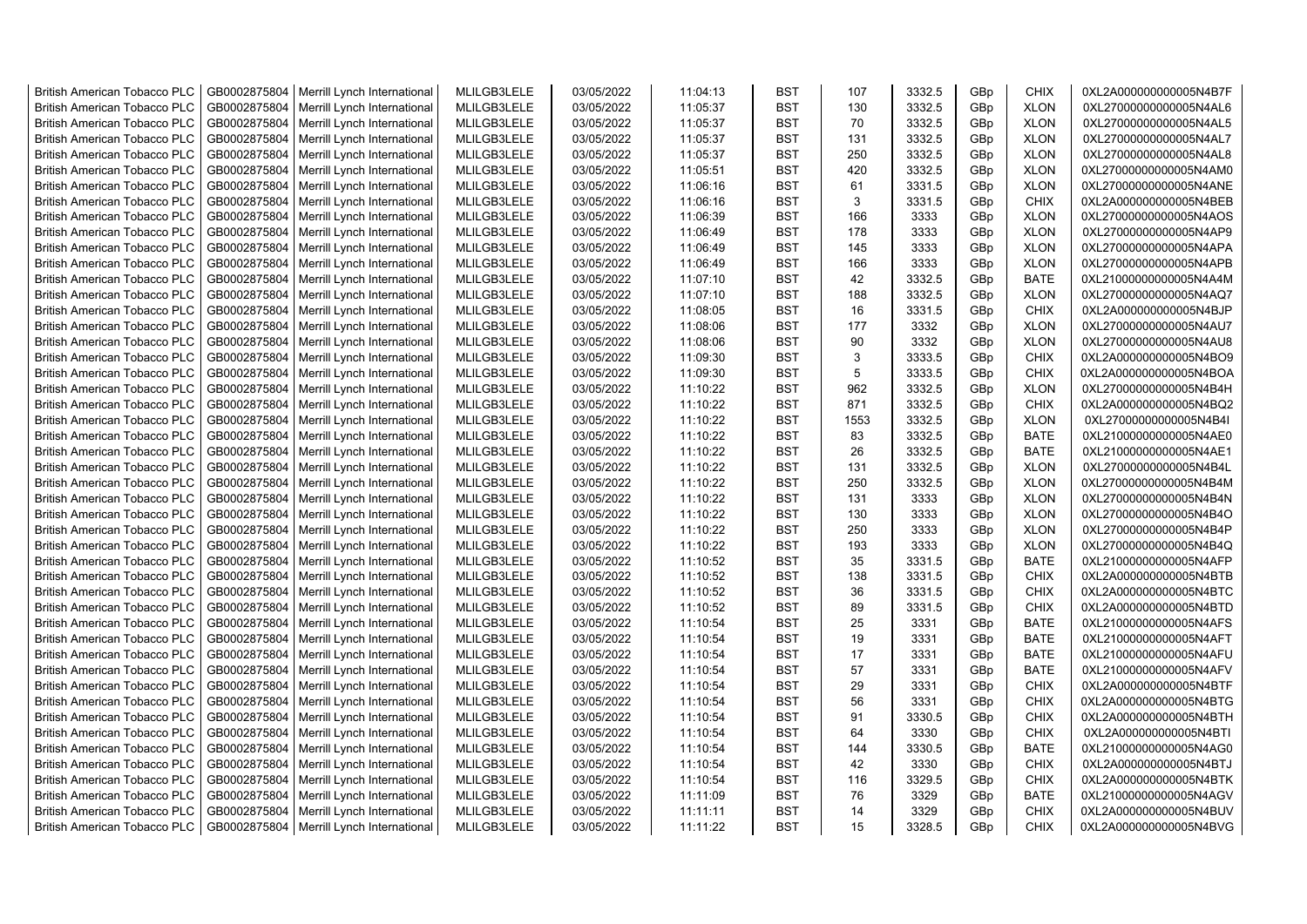| <b>British American Tobacco PLC</b> | GB0002875804 | Merrill Lynch International                | MLILGB3LELE | 03/05/2022 | 11:04:13 | <b>BST</b> | 107  | 3332.5 | GBp        | <b>CHIX</b> | 0XL2A000000000005N4B7F                           |
|-------------------------------------|--------------|--------------------------------------------|-------------|------------|----------|------------|------|--------|------------|-------------|--------------------------------------------------|
| <b>British American Tobacco PLC</b> | GB0002875804 | Merrill Lynch International                | MLILGB3LELE | 03/05/2022 | 11:05:37 | <b>BST</b> | 130  | 3332.5 | GBp        | <b>XLON</b> | 0XL27000000000005N4AL6                           |
| <b>British American Tobacco PLC</b> | GB0002875804 | Merrill Lynch International                | MLILGB3LELE | 03/05/2022 | 11:05:37 | <b>BST</b> | 70   | 3332.5 | GBp        | <b>XLON</b> | 0XL27000000000005N4AL5                           |
| <b>British American Tobacco PLC</b> | GB0002875804 | Merrill Lynch International                | MLILGB3LELE | 03/05/2022 | 11:05:37 | <b>BST</b> | 131  | 3332.5 | GBp        | <b>XLON</b> | 0XL27000000000005N4AL7                           |
| <b>British American Tobacco PLC</b> | GB0002875804 | Merrill Lynch International                | MLILGB3LELE | 03/05/2022 | 11:05:37 | <b>BST</b> | 250  | 3332.5 | GBp        | <b>XLON</b> | 0XL27000000000005N4AL8                           |
| <b>British American Tobacco PLC</b> | GB0002875804 | Merrill Lynch International                | MLILGB3LELE | 03/05/2022 | 11:05:51 | <b>BST</b> | 420  | 3332.5 | GBp        | <b>XLON</b> | 0XL27000000000005N4AM0                           |
| <b>British American Tobacco PLC</b> | GB0002875804 | Merrill Lynch International                | MLILGB3LELE | 03/05/2022 | 11:06:16 | <b>BST</b> | 61   | 3331.5 | GBp        | <b>XLON</b> | 0XL27000000000005N4ANE                           |
| <b>British American Tobacco PLC</b> | GB0002875804 | Merrill Lynch International                | MLILGB3LELE | 03/05/2022 | 11:06:16 | <b>BST</b> | 3    | 3331.5 | GBp        | <b>CHIX</b> | 0XL2A000000000005N4BEB                           |
| <b>British American Tobacco PLC</b> | GB0002875804 | Merrill Lynch International                | MLILGB3LELE | 03/05/2022 | 11:06:39 | <b>BST</b> | 166  | 3333   | GBp        | <b>XLON</b> | 0XL27000000000005N4AOS                           |
| <b>British American Tobacco PLC</b> | GB0002875804 | Merrill Lynch International                | MLILGB3LELE | 03/05/2022 | 11:06:49 | <b>BST</b> | 178  | 3333   | GBp        | <b>XLON</b> | 0XL27000000000005N4AP9                           |
| <b>British American Tobacco PLC</b> | GB0002875804 | Merrill Lynch International                | MLILGB3LELE | 03/05/2022 | 11:06:49 | <b>BST</b> | 145  | 3333   | GBp        | <b>XLON</b> | 0XL27000000000005N4APA                           |
| <b>British American Tobacco PLC</b> | GB0002875804 | Merrill Lynch International                | MLILGB3LELE | 03/05/2022 | 11:06:49 | <b>BST</b> | 166  | 3333   | GBp        | <b>XLON</b> | 0XL27000000000005N4APB                           |
| <b>British American Tobacco PLC</b> | GB0002875804 | Merrill Lynch International                | MLILGB3LELE | 03/05/2022 | 11:07:10 | <b>BST</b> | 42   | 3332.5 | GBp        | <b>BATE</b> | 0XL21000000000005N4A4M                           |
| <b>British American Tobacco PLC</b> | GB0002875804 | Merrill Lynch International                | MLILGB3LELE | 03/05/2022 | 11:07:10 | <b>BST</b> | 188  | 3332.5 | GBp        | <b>XLON</b> | 0XL27000000000005N4AQ7                           |
| <b>British American Tobacco PLC</b> | GB0002875804 | Merrill Lynch International                | MLILGB3LELE | 03/05/2022 | 11:08:05 | <b>BST</b> | 16   | 3331.5 | GBp        | <b>CHIX</b> | 0XL2A000000000005N4BJP                           |
| <b>British American Tobacco PLC</b> | GB0002875804 | Merrill Lynch International                | MLILGB3LELE | 03/05/2022 | 11:08:06 | <b>BST</b> | 177  | 3332   | GBp        | <b>XLON</b> | 0XL27000000000005N4AU7                           |
| <b>British American Tobacco PLC</b> | GB0002875804 | Merrill Lynch International                | MLILGB3LELE | 03/05/2022 | 11:08:06 | <b>BST</b> | 90   | 3332   | GBp        | <b>XLON</b> | 0XL27000000000005N4AU8                           |
| <b>British American Tobacco PLC</b> | GB0002875804 | Merrill Lynch International                | MLILGB3LELE | 03/05/2022 | 11:09:30 | <b>BST</b> | 3    | 3333.5 | GBp        | <b>CHIX</b> | 0XL2A000000000005N4BO9                           |
| <b>British American Tobacco PLC</b> | GB0002875804 | Merrill Lynch International                | MLILGB3LELE | 03/05/2022 | 11:09:30 | <b>BST</b> | 5    | 3333.5 | GBp        | <b>CHIX</b> | 0XL2A000000000005N4BOA                           |
| <b>British American Tobacco PLC</b> | GB0002875804 | Merrill Lynch International                | MLILGB3LELE | 03/05/2022 | 11:10:22 | <b>BST</b> | 962  | 3332.5 | GBp        | <b>XLON</b> | 0XL27000000000005N4B4H                           |
| <b>British American Tobacco PLC</b> | GB0002875804 | Merrill Lynch International                | MLILGB3LELE | 03/05/2022 | 11:10:22 | <b>BST</b> | 871  | 3332.5 | GBp        | <b>CHIX</b> | 0XL2A000000000005N4BQ2                           |
| <b>British American Tobacco PLC</b> | GB0002875804 | Merrill Lynch International                | MLILGB3LELE | 03/05/2022 | 11:10:22 | <b>BST</b> | 1553 | 3332.5 | GBp        | <b>XLON</b> | 0XL27000000000005N4B4I                           |
| <b>British American Tobacco PLC</b> | GB0002875804 | Merrill Lynch International                | MLILGB3LELE | 03/05/2022 | 11:10:22 | <b>BST</b> | 83   | 3332.5 | GBp        | <b>BATE</b> | 0XL21000000000005N4AE0                           |
| <b>British American Tobacco PLC</b> | GB0002875804 | Merrill Lynch International                | MLILGB3LELE | 03/05/2022 | 11:10:22 | <b>BST</b> | 26   | 3332.5 | GBp        | <b>BATE</b> | 0XL21000000000005N4AE1                           |
| <b>British American Tobacco PLC</b> | GB0002875804 | Merrill Lynch International                | MLILGB3LELE | 03/05/2022 | 11:10:22 | <b>BST</b> | 131  | 3332.5 | GBp        | <b>XLON</b> | 0XL27000000000005N4B4L                           |
| <b>British American Tobacco PLC</b> | GB0002875804 | Merrill Lynch International                | MLILGB3LELE | 03/05/2022 | 11:10:22 | <b>BST</b> | 250  | 3332.5 | GBp        | <b>XLON</b> | 0XL27000000000005N4B4M                           |
| <b>British American Tobacco PLC</b> | GB0002875804 | Merrill Lynch International                | MLILGB3LELE | 03/05/2022 | 11:10:22 | <b>BST</b> | 131  | 3333   | GBp        | <b>XLON</b> | 0XL27000000000005N4B4N                           |
| <b>British American Tobacco PLC</b> | GB0002875804 | Merrill Lynch International                | MLILGB3LELE | 03/05/2022 | 11:10:22 | <b>BST</b> | 130  | 3333   | GBp        | <b>XLON</b> | 0XL27000000000005N4B4O                           |
| <b>British American Tobacco PLC</b> | GB0002875804 | Merrill Lynch International                | MLILGB3LELE | 03/05/2022 | 11:10:22 | <b>BST</b> | 250  | 3333   | GBp        | <b>XLON</b> | 0XL27000000000005N4B4P                           |
| <b>British American Tobacco PLC</b> | GB0002875804 | Merrill Lynch International                | MLILGB3LELE | 03/05/2022 | 11:10:22 | <b>BST</b> | 193  | 3333   | GBp        | <b>XLON</b> | 0XL27000000000005N4B4Q                           |
| <b>British American Tobacco PLC</b> | GB0002875804 | Merrill Lynch International                | MLILGB3LELE | 03/05/2022 | 11:10:52 | <b>BST</b> | 35   | 3331.5 | GBp        | <b>BATE</b> | 0XL21000000000005N4AFP                           |
| <b>British American Tobacco PLC</b> | GB0002875804 | Merrill Lynch International                | MLILGB3LELE | 03/05/2022 | 11:10:52 | <b>BST</b> | 138  | 3331.5 | GBp        | <b>CHIX</b> | 0XL2A000000000005N4BTB                           |
| <b>British American Tobacco PLC</b> | GB0002875804 | Merrill Lynch International                | MLILGB3LELE | 03/05/2022 | 11:10:52 | <b>BST</b> | 36   | 3331.5 | GBp        | CHIX        | 0XL2A000000000005N4BTC                           |
| <b>British American Tobacco PLC</b> | GB0002875804 | Merrill Lynch International                | MLILGB3LELE | 03/05/2022 | 11:10:52 | <b>BST</b> | 89   | 3331.5 | GBp        | <b>CHIX</b> | 0XL2A000000000005N4BTD                           |
| <b>British American Tobacco PLC</b> | GB0002875804 | Merrill Lynch International                | MLILGB3LELE | 03/05/2022 | 11:10:54 | <b>BST</b> | 25   | 3331   | GBp        | <b>BATE</b> | 0XL21000000000005N4AFS                           |
| <b>British American Tobacco PLC</b> | GB0002875804 | Merrill Lynch International                | MLILGB3LELE | 03/05/2022 | 11:10:54 | <b>BST</b> | 19   | 3331   | GBp        | <b>BATE</b> | 0XL21000000000005N4AFT                           |
| <b>British American Tobacco PLC</b> | GB0002875804 | Merrill Lynch International                | MLILGB3LELE | 03/05/2022 | 11:10:54 | <b>BST</b> | 17   | 3331   | GBp        | <b>BATE</b> | 0XL21000000000005N4AFU                           |
| <b>British American Tobacco PLC</b> | GB0002875804 | Merrill Lynch International                | MLILGB3LELE | 03/05/2022 | 11:10:54 | <b>BST</b> | 57   | 3331   | GBp        | <b>BATE</b> | 0XL21000000000005N4AFV                           |
| <b>British American Tobacco PLC</b> | GB0002875804 | Merrill Lynch International                | MLILGB3LELE | 03/05/2022 | 11:10:54 | <b>BST</b> | 29   | 3331   | GBp        | CHIX        | 0XL2A000000000005N4BTF                           |
| <b>British American Tobacco PLC</b> | GB0002875804 | Merrill Lynch International                | MLILGB3LELE | 03/05/2022 | 11:10:54 | <b>BST</b> | 56   | 3331   | GBp        | <b>CHIX</b> | 0XL2A000000000005N4BTG                           |
| <b>British American Tobacco PLC</b> | GB0002875804 | Merrill Lynch International                | MLILGB3LELE | 03/05/2022 | 11:10:54 | <b>BST</b> | 91   | 3330.5 | GBp        | <b>CHIX</b> | 0XL2A000000000005N4BTH                           |
| <b>British American Tobacco PLC</b> | GB0002875804 | Merrill Lynch International                | MLILGB3LELE | 03/05/2022 | 11:10:54 | <b>BST</b> | 64   | 3330   | GBp        | <b>CHIX</b> | 0XL2A000000000005N4BTI                           |
| <b>British American Tobacco PLC</b> | GB0002875804 | Merrill Lynch International                | MLILGB3LELE | 03/05/2022 | 11:10:54 | <b>BST</b> | 144  | 3330.5 |            | <b>BATE</b> | 0XL21000000000005N4AG0                           |
| <b>British American Tobacco PLC</b> | GB0002875804 | Merrill Lynch International                | MLILGB3LELE | 03/05/2022 | 11:10:54 | <b>BST</b> | 42   | 3330   | GBp<br>GBp | <b>CHIX</b> |                                                  |
| <b>British American Tobacco PLC</b> | GB0002875804 | Merrill Lynch International                | MLILGB3LELE | 03/05/2022 | 11:10:54 | <b>BST</b> | 116  | 3329.5 | GBp        | <b>CHIX</b> | 0XL2A000000000005N4BTJ<br>0XL2A000000000005N4BTK |
| <b>British American Tobacco PLC</b> | GB0002875804 | Merrill Lynch International                | MLILGB3LELE | 03/05/2022 | 11:11:09 | <b>BST</b> | 76   | 3329   | GBp        | <b>BATE</b> | 0XL21000000000005N4AGV                           |
| <b>British American Tobacco PLC</b> | GB0002875804 | Merrill Lynch International                | MLILGB3LELE | 03/05/2022 | 11:11:11 | <b>BST</b> | 14   | 3329   | GBp        | <b>CHIX</b> | 0XL2A000000000005N4BUV                           |
| <b>British American Tobacco PLC</b> |              | GB0002875804   Merrill Lynch International | MLILGB3LELE | 03/05/2022 | 11:11:22 | <b>BST</b> | 15   | 3328.5 | GBp        | <b>CHIX</b> | 0XL2A000000000005N4BVG                           |
|                                     |              |                                            |             |            |          |            |      |        |            |             |                                                  |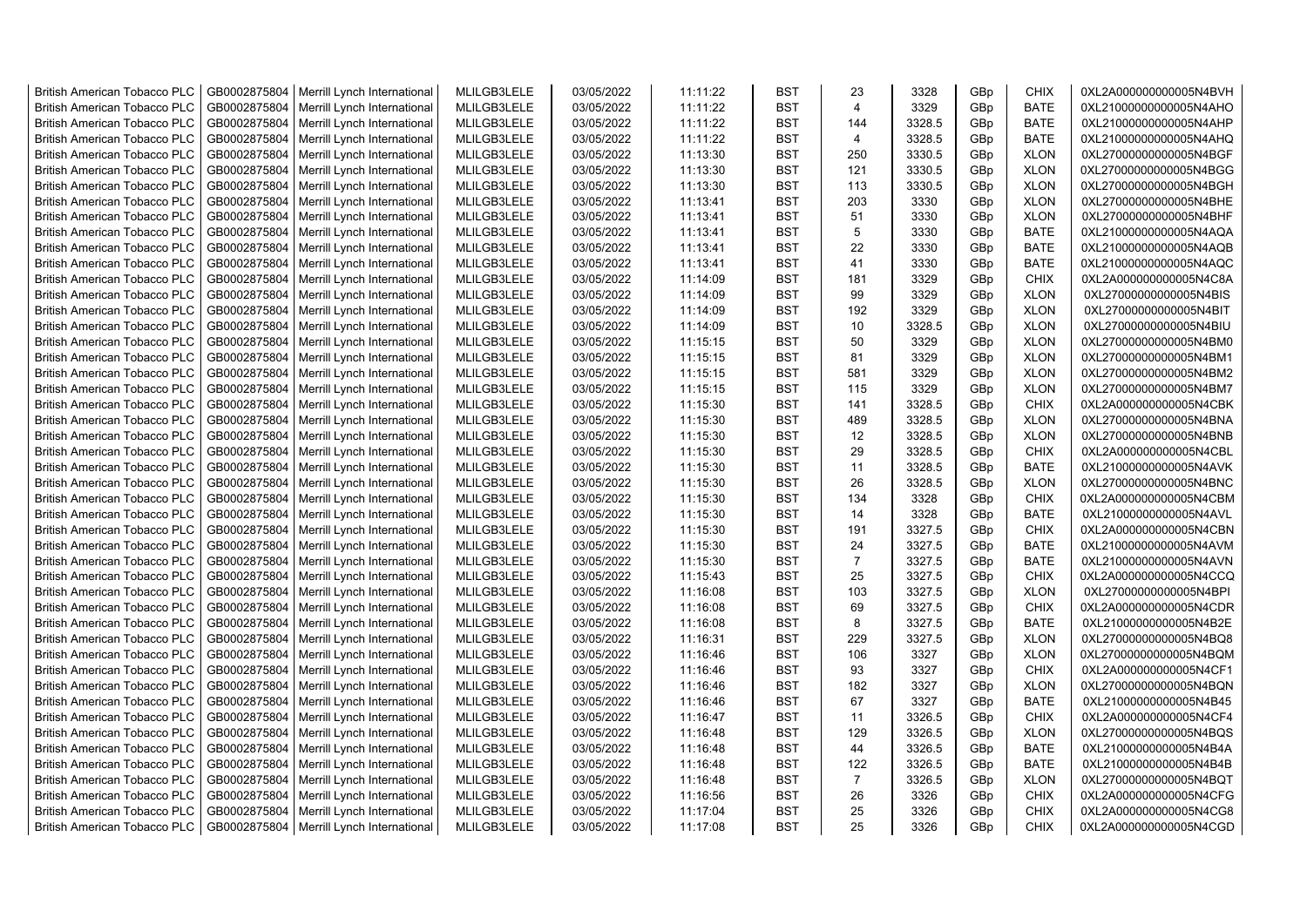| <b>British American Tobacco PLC</b> | GB0002875804 | Merrill Lynch International | MLILGB3LELE | 03/05/2022 | 11:11:22 | <b>BST</b> | 23             | 3328   | GBp             | <b>CHIX</b> | 0XL2A000000000005N4BVH |
|-------------------------------------|--------------|-----------------------------|-------------|------------|----------|------------|----------------|--------|-----------------|-------------|------------------------|
| <b>British American Tobacco PLC</b> | GB0002875804 | Merrill Lynch International | MLILGB3LELE | 03/05/2022 | 11:11:22 | <b>BST</b> | $\overline{4}$ | 3329   | GBp             | <b>BATE</b> | 0XL21000000000005N4AHO |
| <b>British American Tobacco PLC</b> | GB0002875804 | Merrill Lynch International | MLILGB3LELE | 03/05/2022 | 11:11:22 | <b>BST</b> | 144            | 3328.5 | GBp             | <b>BATE</b> | 0XL21000000000005N4AHP |
| <b>British American Tobacco PLC</b> | GB0002875804 | Merrill Lynch International | MLILGB3LELE | 03/05/2022 | 11:11:22 | <b>BST</b> | $\overline{4}$ | 3328.5 | GBp             | <b>BATE</b> | 0XL21000000000005N4AHQ |
| <b>British American Tobacco PLC</b> | GB0002875804 | Merrill Lynch International | MLILGB3LELE | 03/05/2022 | 11:13:30 | <b>BST</b> | 250            | 3330.5 | GBp             | <b>XLON</b> | 0XL27000000000005N4BGF |
| <b>British American Tobacco PLC</b> | GB0002875804 | Merrill Lynch International | MLILGB3LELE | 03/05/2022 | 11:13:30 | <b>BST</b> | 121            | 3330.5 | GBp             | <b>XLON</b> | 0XL27000000000005N4BGG |
| British American Tobacco PLC        | GB0002875804 | Merrill Lynch International | MLILGB3LELE | 03/05/2022 | 11:13:30 | <b>BST</b> | 113            | 3330.5 | GBp             | <b>XLON</b> | 0XL27000000000005N4BGH |
| <b>British American Tobacco PLC</b> | GB0002875804 | Merrill Lynch International | MLILGB3LELE | 03/05/2022 | 11:13:41 | <b>BST</b> | 203            | 3330   | GBp             | <b>XLON</b> | 0XL27000000000005N4BHE |
| <b>British American Tobacco PLC</b> | GB0002875804 | Merrill Lynch International | MLILGB3LELE | 03/05/2022 | 11:13:41 | <b>BST</b> | 51             | 3330   | GBp             | <b>XLON</b> | 0XL27000000000005N4BHF |
| <b>British American Tobacco PLC</b> | GB0002875804 | Merrill Lynch International | MLILGB3LELE | 03/05/2022 | 11:13:41 | <b>BST</b> | 5              | 3330   | GBp             | <b>BATE</b> | 0XL21000000000005N4AQA |
| <b>British American Tobacco PLC</b> | GB0002875804 | Merrill Lynch International | MLILGB3LELE | 03/05/2022 | 11:13:41 | <b>BST</b> | 22             | 3330   | GBp             | <b>BATE</b> | 0XL21000000000005N4AQB |
| <b>British American Tobacco PLC</b> | GB0002875804 | Merrill Lynch International | MLILGB3LELE | 03/05/2022 | 11:13:41 | <b>BST</b> | 41             | 3330   | GBp             | <b>BATE</b> | 0XL21000000000005N4AQC |
| <b>British American Tobacco PLC</b> | GB0002875804 | Merrill Lynch International | MLILGB3LELE | 03/05/2022 | 11:14:09 | <b>BST</b> | 181            | 3329   | GBp             | <b>CHIX</b> | 0XL2A000000000005N4C8A |
| <b>British American Tobacco PLC</b> | GB0002875804 | Merrill Lynch International | MLILGB3LELE | 03/05/2022 | 11:14:09 | <b>BST</b> | 99             | 3329   | GBp             | <b>XLON</b> | 0XL27000000000005N4BIS |
| <b>British American Tobacco PLC</b> | GB0002875804 | Merrill Lynch International | MLILGB3LELE | 03/05/2022 | 11:14:09 | <b>BST</b> | 192            | 3329   | GBp             | <b>XLON</b> | 0XL27000000000005N4BIT |
| British American Tobacco PLC        | GB0002875804 | Merrill Lynch International | MLILGB3LELE | 03/05/2022 | 11:14:09 | <b>BST</b> | 10             | 3328.5 | GBp             | <b>XLON</b> | 0XL27000000000005N4BIU |
| British American Tobacco PLC        | GB0002875804 | Merrill Lynch International | MLILGB3LELE | 03/05/2022 | 11:15:15 | <b>BST</b> | 50             | 3329   | GBp             | <b>XLON</b> | 0XL27000000000005N4BM0 |
| <b>British American Tobacco PLC</b> | GB0002875804 | Merrill Lynch International | MLILGB3LELE | 03/05/2022 | 11:15:15 | <b>BST</b> | 81             | 3329   | GBp             | <b>XLON</b> | 0XL27000000000005N4BM1 |
| <b>British American Tobacco PLC</b> | GB0002875804 | Merrill Lynch International | MLILGB3LELE | 03/05/2022 | 11:15:15 | <b>BST</b> | 581            | 3329   | GBp             | <b>XLON</b> | 0XL27000000000005N4BM2 |
| <b>British American Tobacco PLC</b> | GB0002875804 | Merrill Lynch International | MLILGB3LELE | 03/05/2022 | 11:15:15 | <b>BST</b> | 115            | 3329   | GBp             | <b>XLON</b> | 0XL27000000000005N4BM7 |
| <b>British American Tobacco PLC</b> | GB0002875804 | Merrill Lynch International | MLILGB3LELE | 03/05/2022 | 11:15:30 | <b>BST</b> | 141            | 3328.5 | GBp             | <b>CHIX</b> | 0XL2A000000000005N4CBK |
| <b>British American Tobacco PLC</b> | GB0002875804 | Merrill Lynch International | MLILGB3LELE | 03/05/2022 | 11:15:30 | <b>BST</b> | 489            | 3328.5 | GBp             | <b>XLON</b> | 0XL27000000000005N4BNA |
| <b>British American Tobacco PLC</b> | GB0002875804 | Merrill Lynch International | MLILGB3LELE | 03/05/2022 | 11:15:30 | <b>BST</b> | 12             | 3328.5 | GBp             | <b>XLON</b> | 0XL27000000000005N4BNB |
| <b>British American Tobacco PLC</b> | GB0002875804 | Merrill Lynch International | MLILGB3LELE | 03/05/2022 | 11:15:30 | <b>BST</b> | 29             | 3328.5 | GBp             | <b>CHIX</b> | 0XL2A000000000005N4CBL |
| <b>British American Tobacco PLC</b> | GB0002875804 | Merrill Lynch International | MLILGB3LELE | 03/05/2022 | 11:15:30 | <b>BST</b> | 11             | 3328.5 | GBp             | <b>BATE</b> | 0XL21000000000005N4AVK |
| <b>British American Tobacco PLC</b> | GB0002875804 | Merrill Lynch International | MLILGB3LELE | 03/05/2022 | 11:15:30 | <b>BST</b> | 26             | 3328.5 | GBp             | <b>XLON</b> | 0XL27000000000005N4BNC |
| <b>British American Tobacco PLC</b> | GB0002875804 | Merrill Lynch International | MLILGB3LELE | 03/05/2022 | 11:15:30 | <b>BST</b> | 134            | 3328   | GBp             | <b>CHIX</b> | 0XL2A000000000005N4CBM |
| <b>British American Tobacco PLC</b> | GB0002875804 | Merrill Lynch International | MLILGB3LELE | 03/05/2022 | 11:15:30 | <b>BST</b> | 14             | 3328   | GBp             | <b>BATE</b> | 0XL21000000000005N4AVL |
| <b>British American Tobacco PLC</b> | GB0002875804 | Merrill Lynch International | MLILGB3LELE | 03/05/2022 | 11:15:30 | <b>BST</b> | 191            | 3327.5 | GBp             | <b>CHIX</b> | 0XL2A000000000005N4CBN |
| <b>British American Tobacco PLC</b> | GB0002875804 | Merrill Lynch International | MLILGB3LELE | 03/05/2022 | 11:15:30 | <b>BST</b> | 24             | 3327.5 | GBp             | <b>BATE</b> | 0XL21000000000005N4AVM |
| <b>British American Tobacco PLC</b> | GB0002875804 | Merrill Lynch International | MLILGB3LELE | 03/05/2022 | 11:15:30 | <b>BST</b> | $\overline{7}$ | 3327.5 | GBp             | <b>BATE</b> | 0XL21000000000005N4AVN |
| <b>British American Tobacco PLC</b> | GB0002875804 | Merrill Lynch International | MLILGB3LELE | 03/05/2022 | 11:15:43 | <b>BST</b> | 25             | 3327.5 | GBp             | <b>CHIX</b> | 0XL2A000000000005N4CCQ |
| <b>British American Tobacco PLC</b> | GB0002875804 | Merrill Lynch International | MLILGB3LELE | 03/05/2022 | 11:16:08 | <b>BST</b> | 103            | 3327.5 | GBp             | <b>XLON</b> | 0XL27000000000005N4BPI |
| <b>British American Tobacco PLC</b> | GB0002875804 | Merrill Lynch International | MLILGB3LELE | 03/05/2022 | 11:16:08 | <b>BST</b> | 69             | 3327.5 | GBp             | <b>CHIX</b> | 0XL2A000000000005N4CDR |
| <b>British American Tobacco PLC</b> | GB0002875804 | Merrill Lynch International | MLILGB3LELE | 03/05/2022 | 11:16:08 | <b>BST</b> | 8              | 3327.5 | GBp             | <b>BATE</b> | 0XL21000000000005N4B2E |
| British American Tobacco PLC        | GB0002875804 | Merrill Lynch International | MLILGB3LELE | 03/05/2022 | 11:16:31 | <b>BST</b> | 229            | 3327.5 | GBp             | <b>XLON</b> | 0XL27000000000005N4BQ8 |
| <b>British American Tobacco PLC</b> | GB0002875804 | Merrill Lynch International | MLILGB3LELE | 03/05/2022 | 11:16:46 | <b>BST</b> | 106            | 3327   | GBp             | <b>XLON</b> | 0XL27000000000005N4BQM |
| <b>British American Tobacco PLC</b> | GB0002875804 | Merrill Lynch International | MLILGB3LELE | 03/05/2022 | 11:16:46 | <b>BST</b> | 93             | 3327   | GBp             | <b>CHIX</b> | 0XL2A000000000005N4CF1 |
| <b>British American Tobacco PLC</b> | GB0002875804 | Merrill Lynch International | MLILGB3LELE | 03/05/2022 | 11:16:46 | <b>BST</b> | 182            | 3327   | GBp             | <b>XLON</b> | 0XL27000000000005N4BQN |
| <b>British American Tobacco PLC</b> | GB0002875804 | Merrill Lynch International | MLILGB3LELE | 03/05/2022 | 11:16:46 | <b>BST</b> | 67             | 3327   | GBp             | <b>BATE</b> | 0XL21000000000005N4B45 |
| <b>British American Tobacco PLC</b> | GB0002875804 | Merrill Lynch International | MLILGB3LELE | 03/05/2022 | 11:16:47 | <b>BST</b> | 11             | 3326.5 | GBp             | <b>CHIX</b> | 0XL2A000000000005N4CF4 |
| <b>British American Tobacco PLC</b> | GB0002875804 | Merrill Lynch International | MLILGB3LELE | 03/05/2022 | 11:16:48 | <b>BST</b> | 129            | 3326.5 | GBp             | <b>XLON</b> | 0XL27000000000005N4BQS |
| <b>British American Tobacco PLC</b> | GB0002875804 | Merrill Lynch International | MLILGB3LELE | 03/05/2022 | 11:16:48 | <b>BST</b> | 44             | 3326.5 | GBp             | <b>BATE</b> | 0XL21000000000005N4B4A |
| <b>British American Tobacco PLC</b> | GB0002875804 | Merrill Lynch International | MLILGB3LELE | 03/05/2022 | 11:16:48 | <b>BST</b> | 122            | 3326.5 | GBp             | <b>BATE</b> | 0XL21000000000005N4B4B |
| <b>British American Tobacco PLC</b> | GB0002875804 | Merrill Lynch International | MLILGB3LELE | 03/05/2022 | 11:16:48 | <b>BST</b> | $\overline{7}$ | 3326.5 | GBp             | <b>XLON</b> | 0XL27000000000005N4BQT |
| <b>British American Tobacco PLC</b> | GB0002875804 | Merrill Lynch International | MLILGB3LELE | 03/05/2022 | 11:16:56 | <b>BST</b> | 26             | 3326   | GBp             | <b>CHIX</b> | 0XL2A000000000005N4CFG |
| <b>British American Tobacco PLC</b> | GB0002875804 | Merrill Lynch International | MLILGB3LELE | 03/05/2022 | 11:17:04 | <b>BST</b> | 25             | 3326   | GBp             | <b>CHIX</b> | 0XL2A000000000005N4CG8 |
| <b>British American Tobacco PLC</b> | GB0002875804 | Merrill Lynch International | MLILGB3LELE | 03/05/2022 | 11:17:08 | <b>BST</b> | 25             | 3326   | GB <sub>p</sub> | <b>CHIX</b> | 0XL2A000000000005N4CGD |
|                                     |              |                             |             |            |          |            |                |        |                 |             |                        |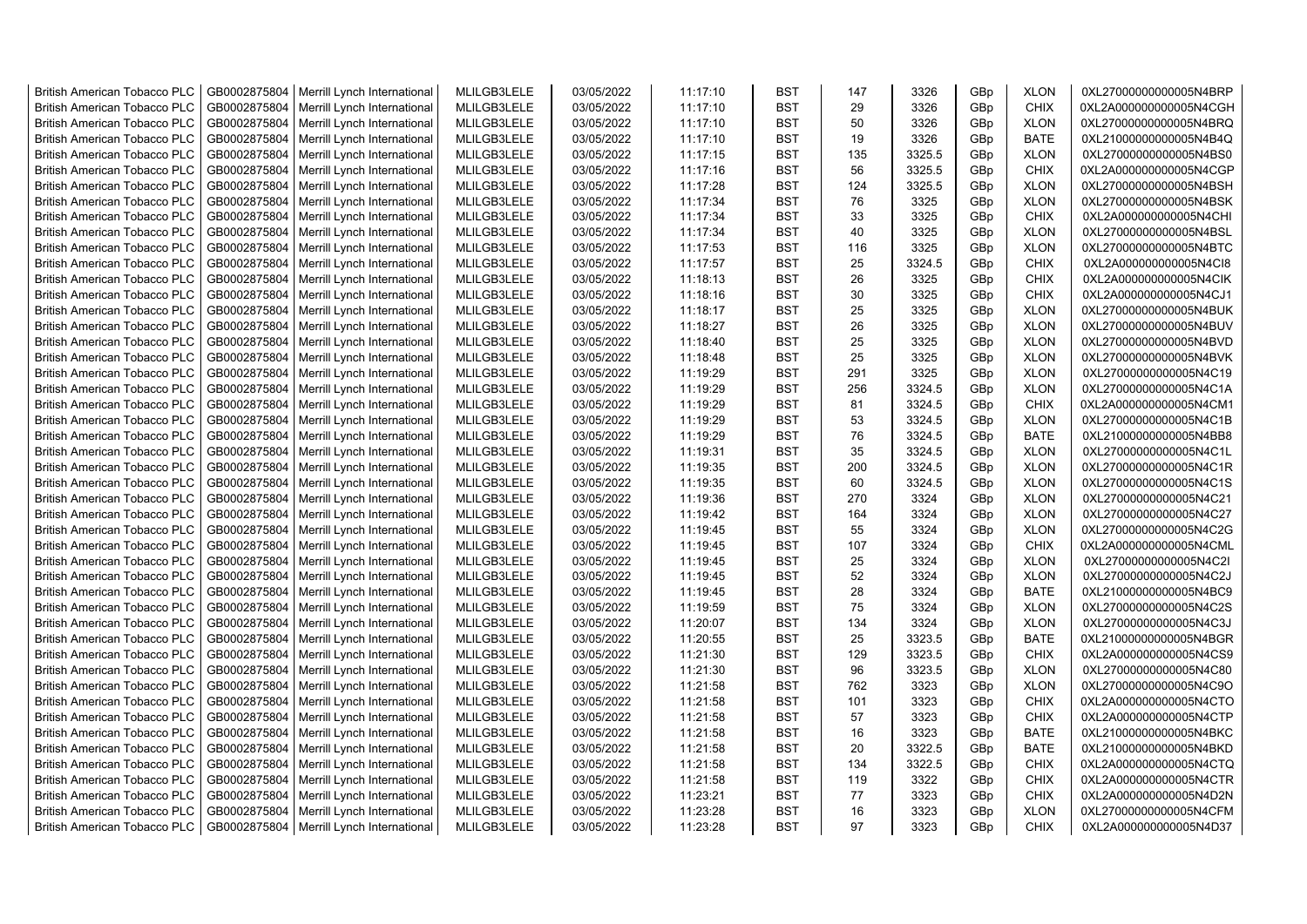| <b>British American Tobacco PLC</b> | GB0002875804 | Merrill Lynch International                | MLILGB3LELE | 03/05/2022 | 11:17:10 | <b>BST</b> | 147 | 3326   | GBp             | <b>XLON</b> | 0XL27000000000005N4BRP |
|-------------------------------------|--------------|--------------------------------------------|-------------|------------|----------|------------|-----|--------|-----------------|-------------|------------------------|
| <b>British American Tobacco PLC</b> | GB0002875804 | Merrill Lynch International                | MLILGB3LELE | 03/05/2022 | 11:17:10 | <b>BST</b> | 29  | 3326   | GBp             | <b>CHIX</b> | 0XL2A000000000005N4CGH |
| <b>British American Tobacco PLC</b> | GB0002875804 | Merrill Lynch International                | MLILGB3LELE | 03/05/2022 | 11:17:10 | <b>BST</b> | 50  | 3326   | GBp             | <b>XLON</b> | 0XL27000000000005N4BRQ |
| <b>British American Tobacco PLC</b> | GB0002875804 | Merrill Lynch International                | MLILGB3LELE | 03/05/2022 | 11:17:10 | <b>BST</b> | 19  | 3326   | GBp             | <b>BATE</b> | 0XL21000000000005N4B4Q |
| <b>British American Tobacco PLC</b> | GB0002875804 | Merrill Lynch International                | MLILGB3LELE | 03/05/2022 | 11:17:15 | <b>BST</b> | 135 | 3325.5 | GBp             | <b>XLON</b> | 0XL27000000000005N4BS0 |
| <b>British American Tobacco PLC</b> | GB0002875804 | Merrill Lynch International                | MLILGB3LELE | 03/05/2022 | 11:17:16 | <b>BST</b> | 56  | 3325.5 | GBp             | <b>CHIX</b> | 0XL2A000000000005N4CGP |
| British American Tobacco PLC        | GB0002875804 | Merrill Lynch International                | MLILGB3LELE | 03/05/2022 | 11:17:28 | <b>BST</b> | 124 | 3325.5 | GBp             | <b>XLON</b> | 0XL27000000000005N4BSH |
| <b>British American Tobacco PLC</b> | GB0002875804 | Merrill Lynch International                | MLILGB3LELE | 03/05/2022 | 11:17:34 | <b>BST</b> | 76  | 3325   | GBp             | <b>XLON</b> | 0XL27000000000005N4BSK |
| <b>British American Tobacco PLC</b> | GB0002875804 | Merrill Lynch International                | MLILGB3LELE | 03/05/2022 | 11:17:34 | <b>BST</b> | 33  | 3325   | GBp             | <b>CHIX</b> | 0XL2A000000000005N4CHI |
| <b>British American Tobacco PLC</b> | GB0002875804 | Merrill Lynch International                | MLILGB3LELE | 03/05/2022 | 11:17:34 | <b>BST</b> | 40  | 3325   | GBp             | <b>XLON</b> | 0XL27000000000005N4BSL |
| <b>British American Tobacco PLC</b> | GB0002875804 | Merrill Lynch International                | MLILGB3LELE | 03/05/2022 | 11:17:53 | <b>BST</b> | 116 | 3325   | GBp             | <b>XLON</b> | 0XL27000000000005N4BTC |
| <b>British American Tobacco PLC</b> | GB0002875804 | Merrill Lynch International                | MLILGB3LELE | 03/05/2022 | 11:17:57 | <b>BST</b> | 25  | 3324.5 | GBp             | <b>CHIX</b> | 0XL2A000000000005N4Cl8 |
| <b>British American Tobacco PLC</b> | GB0002875804 | Merrill Lynch International                | MLILGB3LELE | 03/05/2022 | 11:18:13 | BST        | 26  | 3325   | GBp             | <b>CHIX</b> | 0XL2A000000000005N4CIK |
| <b>British American Tobacco PLC</b> | GB0002875804 | Merrill Lynch International                | MLILGB3LELE | 03/05/2022 | 11:18:16 | <b>BST</b> | 30  | 3325   | GBp             | <b>CHIX</b> | 0XL2A000000000005N4CJ1 |
| <b>British American Tobacco PLC</b> | GB0002875804 | Merrill Lynch International                | MLILGB3LELE | 03/05/2022 | 11:18:17 | <b>BST</b> | 25  | 3325   | GBp             | <b>XLON</b> | 0XL27000000000005N4BUK |
| <b>British American Tobacco PLC</b> | GB0002875804 | Merrill Lynch International                | MLILGB3LELE | 03/05/2022 | 11:18:27 | <b>BST</b> | 26  | 3325   | GBp             | <b>XLON</b> | 0XL27000000000005N4BUV |
| <b>British American Tobacco PLC</b> | GB0002875804 | Merrill Lynch International                | MLILGB3LELE | 03/05/2022 | 11:18:40 | <b>BST</b> | 25  | 3325   | GBp             | <b>XLON</b> | 0XL27000000000005N4BVD |
| <b>British American Tobacco PLC</b> | GB0002875804 | Merrill Lynch International                | MLILGB3LELE | 03/05/2022 | 11:18:48 | <b>BST</b> | 25  | 3325   | GBp             | <b>XLON</b> | 0XL27000000000005N4BVK |
| <b>British American Tobacco PLC</b> | GB0002875804 | Merrill Lynch International                | MLILGB3LELE | 03/05/2022 | 11:19:29 | <b>BST</b> | 291 | 3325   | GBp             | <b>XLON</b> | 0XL27000000000005N4C19 |
| <b>British American Tobacco PLC</b> | GB0002875804 | Merrill Lynch International                | MLILGB3LELE | 03/05/2022 | 11:19:29 | <b>BST</b> | 256 | 3324.5 | GBp             | <b>XLON</b> | 0XL27000000000005N4C1A |
| <b>British American Tobacco PLC</b> | GB0002875804 | Merrill Lynch International                | MLILGB3LELE | 03/05/2022 | 11:19:29 | <b>BST</b> | 81  | 3324.5 | GBp             | <b>CHIX</b> | 0XL2A000000000005N4CM1 |
| <b>British American Tobacco PLC</b> | GB0002875804 | Merrill Lynch International                | MLILGB3LELE | 03/05/2022 | 11:19:29 | <b>BST</b> | 53  | 3324.5 | GBp             | <b>XLON</b> | 0XL27000000000005N4C1B |
| British American Tobacco PLC        | GB0002875804 | Merrill Lynch International                | MLILGB3LELE | 03/05/2022 | 11:19:29 | <b>BST</b> | 76  | 3324.5 | GBp             | <b>BATE</b> | 0XL21000000000005N4BB8 |
| <b>British American Tobacco PLC</b> |              |                                            |             |            |          | <b>BST</b> | 35  | 3324.5 |                 |             |                        |
|                                     | GB0002875804 | Merrill Lynch International                | MLILGB3LELE | 03/05/2022 | 11:19:31 |            |     |        | GBp             | <b>XLON</b> | 0XL27000000000005N4C1L |
| <b>British American Tobacco PLC</b> | GB0002875804 | Merrill Lynch International                | MLILGB3LELE | 03/05/2022 | 11:19:35 | <b>BST</b> | 200 | 3324.5 | GBp             | <b>XLON</b> | 0XL27000000000005N4C1R |
| <b>British American Tobacco PLC</b> | GB0002875804 | Merrill Lynch International                | MLILGB3LELE | 03/05/2022 | 11:19:35 | <b>BST</b> | 60  | 3324.5 | GBp             | <b>XLON</b> | 0XL27000000000005N4C1S |
| <b>British American Tobacco PLC</b> | GB0002875804 | Merrill Lynch International                | MLILGB3LELE | 03/05/2022 | 11:19:36 | <b>BST</b> | 270 | 3324   | GBp             | <b>XLON</b> | 0XL27000000000005N4C21 |
| <b>British American Tobacco PLC</b> | GB0002875804 | Merrill Lynch International                | MLILGB3LELE | 03/05/2022 | 11:19:42 | <b>BST</b> | 164 | 3324   | GBp             | <b>XLON</b> | 0XL27000000000005N4C27 |
| <b>British American Tobacco PLC</b> | GB0002875804 | Merrill Lynch International                | MLILGB3LELE | 03/05/2022 | 11:19:45 | <b>BST</b> | 55  | 3324   | GBp             | <b>XLON</b> | 0XL27000000000005N4C2G |
| <b>British American Tobacco PLC</b> | GB0002875804 | Merrill Lynch International                | MLILGB3LELE | 03/05/2022 | 11:19:45 | <b>BST</b> | 107 | 3324   | GBp             | <b>CHIX</b> | 0XL2A000000000005N4CML |
| <b>British American Tobacco PLC</b> | GB0002875804 | Merrill Lynch International                | MLILGB3LELE | 03/05/2022 | 11:19:45 | <b>BST</b> | 25  | 3324   | GBp             | <b>XLON</b> | 0XL27000000000005N4C2I |
| <b>British American Tobacco PLC</b> | GB0002875804 | Merrill Lynch International                | MLILGB3LELE | 03/05/2022 | 11:19:45 | <b>BST</b> | 52  | 3324   | GBp             | <b>XLON</b> | 0XL27000000000005N4C2J |
| <b>British American Tobacco PLC</b> | GB0002875804 | Merrill Lynch International                | MLILGB3LELE | 03/05/2022 | 11:19:45 | <b>BST</b> | 28  | 3324   | GBp             | <b>BATE</b> | 0XL21000000000005N4BC9 |
| <b>British American Tobacco PLC</b> | GB0002875804 | Merrill Lynch International                | MLILGB3LELE | 03/05/2022 | 11:19:59 | <b>BST</b> | 75  | 3324   | GBp             | <b>XLON</b> | 0XL27000000000005N4C2S |
| <b>British American Tobacco PLC</b> | GB0002875804 | Merrill Lynch International                | MLILGB3LELE | 03/05/2022 | 11:20:07 | <b>BST</b> | 134 | 3324   | GBp             | <b>XLON</b> | 0XL27000000000005N4C3J |
| British American Tobacco PLC        | GB0002875804 | Merrill Lynch International                | MLILGB3LELE | 03/05/2022 | 11:20:55 | <b>BST</b> | 25  | 3323.5 | GBp             | <b>BATE</b> | 0XL21000000000005N4BGR |
| <b>British American Tobacco PLC</b> | GB0002875804 | Merrill Lynch International                | MLILGB3LELE | 03/05/2022 | 11:21:30 | <b>BST</b> | 129 | 3323.5 | GBp             | <b>CHIX</b> | 0XL2A000000000005N4CS9 |
| <b>British American Tobacco PLC</b> | GB0002875804 | Merrill Lynch International                | MLILGB3LELE | 03/05/2022 | 11:21:30 | <b>BST</b> | 96  | 3323.5 | GBp             | <b>XLON</b> | 0XL27000000000005N4C80 |
| <b>British American Tobacco PLC</b> | GB0002875804 | Merrill Lynch International                | MLILGB3LELE | 03/05/2022 | 11:21:58 | <b>BST</b> | 762 | 3323   | GBp             | <b>XLON</b> | 0XL27000000000005N4C9O |
| <b>British American Tobacco PLC</b> | GB0002875804 | Merrill Lynch International                | MLILGB3LELE | 03/05/2022 | 11:21:58 | <b>BST</b> | 101 | 3323   | GBp             | <b>CHIX</b> | 0XL2A000000000005N4CTO |
| <b>British American Tobacco PLC</b> | GB0002875804 | Merrill Lynch International                | MLILGB3LELE | 03/05/2022 | 11:21:58 | <b>BST</b> | 57  | 3323   | GBp             | <b>CHIX</b> | 0XL2A000000000005N4CTP |
| <b>British American Tobacco PLC</b> | GB0002875804 | Merrill Lynch International                | MLILGB3LELE | 03/05/2022 | 11:21:58 | <b>BST</b> | 16  | 3323   | GBp             | BATE        | 0XL21000000000005N4BKC |
| <b>British American Tobacco PLC</b> | GB0002875804 | Merrill Lynch International                | MLILGB3LELE | 03/05/2022 | 11:21:58 | <b>BST</b> | 20  | 3322.5 | GBp             | <b>BATE</b> | 0XL21000000000005N4BKD |
| <b>British American Tobacco PLC</b> | GB0002875804 | Merrill Lynch International                | MLILGB3LELE | 03/05/2022 | 11:21:58 | <b>BST</b> | 134 | 3322.5 | GBp             | <b>CHIX</b> | 0XL2A000000000005N4CTQ |
| <b>British American Tobacco PLC</b> | GB0002875804 | Merrill Lynch International                | MLILGB3LELE | 03/05/2022 | 11:21:58 | <b>BST</b> | 119 | 3322   | GBp             | <b>CHIX</b> | 0XL2A000000000005N4CTR |
| <b>British American Tobacco PLC</b> | GB0002875804 | Merrill Lynch International                | MLILGB3LELE | 03/05/2022 | 11:23:21 | <b>BST</b> | 77  | 3323   | GBp             | <b>CHIX</b> | 0XL2A000000000005N4D2N |
| <b>British American Tobacco PLC</b> | GB0002875804 | Merrill Lynch International                | MLILGB3LELE | 03/05/2022 | 11:23:28 | <b>BST</b> | 16  | 3323   | GBp             | <b>XLON</b> | 0XL27000000000005N4CFM |
| <b>British American Tobacco PLC</b> |              | GB0002875804   Merrill Lynch International | MLILGB3LELE | 03/05/2022 | 11:23:28 | <b>BST</b> | 97  | 3323   | GB <sub>p</sub> | <b>CHIX</b> | 0XL2A000000000005N4D37 |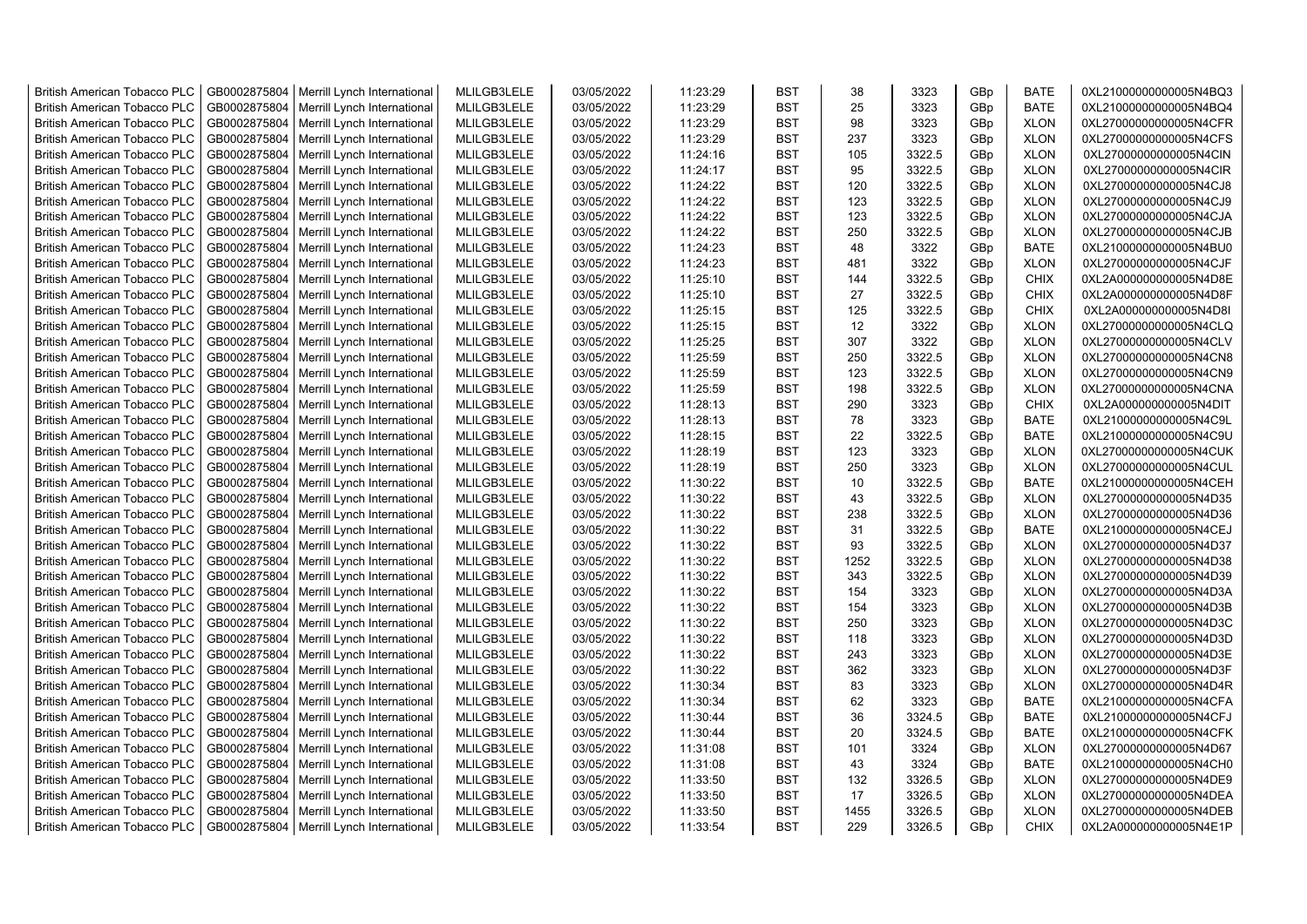| <b>British American Tobacco PLC</b> | GB0002875804 | Merrill Lynch International | MLILGB3LELE | 03/05/2022 | 11:23:29 | <b>BST</b> | 38   | 3323   | GBp             | <b>BATE</b> | 0XL21000000000005N4BQ3 |
|-------------------------------------|--------------|-----------------------------|-------------|------------|----------|------------|------|--------|-----------------|-------------|------------------------|
| <b>British American Tobacco PLC</b> | GB0002875804 | Merrill Lynch International | MLILGB3LELE | 03/05/2022 | 11:23:29 | <b>BST</b> | 25   | 3323   | GBp             | <b>BATE</b> | 0XL21000000000005N4BQ4 |
| <b>British American Tobacco PLC</b> | GB0002875804 | Merrill Lynch International | MLILGB3LELE | 03/05/2022 | 11:23:29 | <b>BST</b> | 98   | 3323   | GBp             | <b>XLON</b> | 0XL27000000000005N4CFR |
| <b>British American Tobacco PLC</b> | GB0002875804 | Merrill Lynch International | MLILGB3LELE | 03/05/2022 | 11:23:29 | <b>BST</b> | 237  | 3323   | GBp             | <b>XLON</b> | 0XL27000000000005N4CFS |
| <b>British American Tobacco PLC</b> | GB0002875804 | Merrill Lynch International | MLILGB3LELE | 03/05/2022 | 11:24:16 | <b>BST</b> | 105  | 3322.5 | GBp             | <b>XLON</b> | 0XL27000000000005N4CIN |
| <b>British American Tobacco PLC</b> | GB0002875804 | Merrill Lynch International | MLILGB3LELE | 03/05/2022 | 11:24:17 | <b>BST</b> | 95   | 3322.5 | GBp             | <b>XLON</b> | 0XL27000000000005N4CIR |
| <b>British American Tobacco PLC</b> | GB0002875804 | Merrill Lynch International | MLILGB3LELE | 03/05/2022 | 11:24:22 | <b>BST</b> | 120  | 3322.5 | GBp             | <b>XLON</b> | 0XL27000000000005N4CJ8 |
| <b>British American Tobacco PLC</b> | GB0002875804 | Merrill Lynch International | MLILGB3LELE | 03/05/2022 | 11:24:22 | <b>BST</b> | 123  | 3322.5 | GBp             | <b>XLON</b> | 0XL27000000000005N4CJ9 |
| <b>British American Tobacco PLC</b> | GB0002875804 | Merrill Lynch International | MLILGB3LELE | 03/05/2022 | 11:24:22 | <b>BST</b> | 123  | 3322.5 | GBp             | <b>XLON</b> | 0XL27000000000005N4CJA |
| <b>British American Tobacco PLC</b> | GB0002875804 | Merrill Lynch International | MLILGB3LELE | 03/05/2022 | 11:24:22 | <b>BST</b> | 250  | 3322.5 | GBp             | <b>XLON</b> | 0XL27000000000005N4CJB |
| <b>British American Tobacco PLC</b> | GB0002875804 | Merrill Lynch International | MLILGB3LELE | 03/05/2022 | 11:24:23 | <b>BST</b> | 48   | 3322   | GBp             | <b>BATE</b> | 0XL21000000000005N4BU0 |
| <b>British American Tobacco PLC</b> | GB0002875804 | Merrill Lynch International | MLILGB3LELE | 03/05/2022 | 11:24:23 | <b>BST</b> | 481  | 3322   | GBp             | <b>XLON</b> | 0XL27000000000005N4CJF |
| <b>British American Tobacco PLC</b> | GB0002875804 | Merrill Lynch International | MLILGB3LELE | 03/05/2022 | 11:25:10 | <b>BST</b> | 144  | 3322.5 | GBp             | <b>CHIX</b> | 0XL2A000000000005N4D8E |
| <b>British American Tobacco PLC</b> | GB0002875804 | Merrill Lynch International | MLILGB3LELE | 03/05/2022 | 11:25:10 | <b>BST</b> | 27   | 3322.5 | GBp             | <b>CHIX</b> | 0XL2A000000000005N4D8F |
| <b>British American Tobacco PLC</b> | GB0002875804 | Merrill Lynch International | MLILGB3LELE | 03/05/2022 | 11:25:15 | <b>BST</b> | 125  | 3322.5 | GBp             | <b>CHIX</b> | 0XL2A000000000005N4D8I |
| <b>British American Tobacco PLC</b> | GB0002875804 | Merrill Lynch International | MLILGB3LELE | 03/05/2022 | 11:25:15 | <b>BST</b> | 12   | 3322   | GBp             | <b>XLON</b> | 0XL27000000000005N4CLQ |
| <b>British American Tobacco PLC</b> | GB0002875804 | Merrill Lynch International | MLILGB3LELE | 03/05/2022 | 11:25:25 | <b>BST</b> | 307  | 3322   | GBp             | <b>XLON</b> | 0XL27000000000005N4CLV |
| <b>British American Tobacco PLC</b> | GB0002875804 | Merrill Lynch International | MLILGB3LELE | 03/05/2022 | 11:25:59 | <b>BST</b> | 250  | 3322.5 | GBp             | <b>XLON</b> | 0XL27000000000005N4CN8 |
| <b>British American Tobacco PLC</b> | GB0002875804 | Merrill Lynch International | MLILGB3LELE | 03/05/2022 | 11:25:59 | <b>BST</b> | 123  | 3322.5 | GBp             | <b>XLON</b> | 0XL27000000000005N4CN9 |
| <b>British American Tobacco PLC</b> | GB0002875804 | Merrill Lynch International | MLILGB3LELE | 03/05/2022 | 11:25:59 | <b>BST</b> | 198  | 3322.5 | GBp             | <b>XLON</b> | 0XL27000000000005N4CNA |
| <b>British American Tobacco PLC</b> | GB0002875804 | Merrill Lynch International | MLILGB3LELE | 03/05/2022 | 11:28:13 | <b>BST</b> | 290  | 3323   | GBp             | <b>CHIX</b> | 0XL2A000000000005N4DIT |
| <b>British American Tobacco PLC</b> | GB0002875804 | Merrill Lynch International | MLILGB3LELE | 03/05/2022 | 11:28:13 | <b>BST</b> | 78   | 3323   | GBp             | <b>BATE</b> | 0XL21000000000005N4C9L |
| British American Tobacco PLC        | GB0002875804 | Merrill Lynch International | MLILGB3LELE | 03/05/2022 | 11:28:15 | <b>BST</b> | 22   | 3322.5 | GBp             | <b>BATE</b> | 0XL21000000000005N4C9U |
| British American Tobacco PLC        | GB0002875804 | Merrill Lynch International | MLILGB3LELE | 03/05/2022 | 11:28:19 | <b>BST</b> | 123  | 3323   | GBp             | <b>XLON</b> | 0XL27000000000005N4CUK |
| <b>British American Tobacco PLC</b> | GB0002875804 | Merrill Lynch International | MLILGB3LELE | 03/05/2022 | 11:28:19 | <b>BST</b> | 250  | 3323   | GBp             | <b>XLON</b> | 0XL27000000000005N4CUL |
| <b>British American Tobacco PLC</b> | GB0002875804 | Merrill Lynch International | MLILGB3LELE | 03/05/2022 | 11:30:22 | <b>BST</b> | 10   | 3322.5 | GBp             | <b>BATE</b> | 0XL21000000000005N4CEH |
| <b>British American Tobacco PLC</b> | GB0002875804 | Merrill Lynch International | MLILGB3LELE | 03/05/2022 | 11:30:22 | <b>BST</b> | 43   | 3322.5 | GBp             | <b>XLON</b> | 0XL27000000000005N4D35 |
| <b>British American Tobacco PLC</b> | GB0002875804 | Merrill Lynch International | MLILGB3LELE | 03/05/2022 | 11:30:22 | <b>BST</b> | 238  | 3322.5 | GBp             | <b>XLON</b> | 0XL27000000000005N4D36 |
| <b>British American Tobacco PLC</b> | GB0002875804 | Merrill Lynch International | MLILGB3LELE | 03/05/2022 | 11:30:22 | BST        | 31   | 3322.5 | GBp             | <b>BATE</b> | 0XL21000000000005N4CEJ |
| <b>British American Tobacco PLC</b> | GB0002875804 | Merrill Lynch International | MLILGB3LELE | 03/05/2022 | 11:30:22 | <b>BST</b> | 93   | 3322.5 | GBp             | <b>XLON</b> | 0XL27000000000005N4D37 |
| <b>British American Tobacco PLC</b> | GB0002875804 | Merrill Lynch International | MLILGB3LELE | 03/05/2022 | 11:30:22 | <b>BST</b> | 1252 | 3322.5 | GBp             | <b>XLON</b> | 0XL27000000000005N4D38 |
| <b>British American Tobacco PLC</b> | GB0002875804 | Merrill Lynch International | MLILGB3LELE | 03/05/2022 | 11:30:22 | <b>BST</b> | 343  | 3322.5 | GBp             | <b>XLON</b> | 0XL27000000000005N4D39 |
| <b>British American Tobacco PLC</b> | GB0002875804 | Merrill Lynch International | MLILGB3LELE | 03/05/2022 | 11:30:22 | BST        | 154  | 3323   | GBp             | <b>XLON</b> | 0XL27000000000005N4D3A |
| <b>British American Tobacco PLC</b> | GB0002875804 | Merrill Lynch International | MLILGB3LELE | 03/05/2022 | 11:30:22 | <b>BST</b> | 154  | 3323   | GBp             | <b>XLON</b> | 0XL27000000000005N4D3B |
| <b>British American Tobacco PLC</b> | GB0002875804 | Merrill Lynch International | MLILGB3LELE | 03/05/2022 | 11:30:22 | <b>BST</b> | 250  | 3323   | GBp             | <b>XLON</b> | 0XL27000000000005N4D3C |
| <b>British American Tobacco PLC</b> | GB0002875804 | Merrill Lynch International | MLILGB3LELE | 03/05/2022 | 11:30:22 | <b>BST</b> | 118  | 3323   | GBp             | <b>XLON</b> | 0XL27000000000005N4D3D |
| <b>British American Tobacco PLC</b> | GB0002875804 | Merrill Lynch International | MLILGB3LELE | 03/05/2022 | 11:30:22 | <b>BST</b> | 243  | 3323   | GBp             | <b>XLON</b> | 0XL27000000000005N4D3E |
| <b>British American Tobacco PLC</b> | GB0002875804 | Merrill Lynch International | MLILGB3LELE | 03/05/2022 | 11:30:22 | <b>BST</b> | 362  | 3323   | GBp             | <b>XLON</b> | 0XL27000000000005N4D3F |
| <b>British American Tobacco PLC</b> | GB0002875804 | Merrill Lynch International | MLILGB3LELE | 03/05/2022 | 11:30:34 | <b>BST</b> | 83   | 3323   | GBp             | <b>XLON</b> | 0XL27000000000005N4D4R |
| <b>British American Tobacco PLC</b> | GB0002875804 | Merrill Lynch International | MLILGB3LELE | 03/05/2022 | 11:30:34 | <b>BST</b> | 62   | 3323   | GBp             | <b>BATE</b> | 0XL21000000000005N4CFA |
| <b>British American Tobacco PLC</b> | GB0002875804 | Merrill Lynch International | MLILGB3LELE | 03/05/2022 | 11:30:44 | <b>BST</b> | 36   | 3324.5 | GBp             | <b>BATE</b> | 0XL21000000000005N4CFJ |
| <b>British American Tobacco PLC</b> | GB0002875804 | Merrill Lynch International | MLILGB3LELE | 03/05/2022 | 11:30:44 | <b>BST</b> | 20   | 3324.5 | GBp             | <b>BATE</b> | 0XL21000000000005N4CFK |
| <b>British American Tobacco PLC</b> | GB0002875804 | Merrill Lynch International | MLILGB3LELE | 03/05/2022 | 11:31:08 | <b>BST</b> | 101  | 3324   | GBp             | <b>XLON</b> | 0XL27000000000005N4D67 |
| <b>British American Tobacco PLC</b> | GB0002875804 | Merrill Lynch International | MLILGB3LELE | 03/05/2022 | 11:31:08 | <b>BST</b> | 43   | 3324   | GBp             | <b>BATE</b> | 0XL21000000000005N4CH0 |
| <b>British American Tobacco PLC</b> | GB0002875804 | Merrill Lynch International | MLILGB3LELE | 03/05/2022 | 11:33:50 | <b>BST</b> | 132  | 3326.5 | GBp             | <b>XLON</b> | 0XL27000000000005N4DE9 |
| <b>British American Tobacco PLC</b> | GB0002875804 | Merrill Lynch International | MLILGB3LELE | 03/05/2022 | 11:33:50 | <b>BST</b> | 17   | 3326.5 | GBp             | <b>XLON</b> | 0XL27000000000005N4DEA |
| <b>British American Tobacco PLC</b> | GB0002875804 | Merrill Lynch International | MLILGB3LELE | 03/05/2022 | 11:33:50 | <b>BST</b> | 1455 | 3326.5 | GBp             | <b>XLON</b> | 0XL27000000000005N4DEB |
| <b>British American Tobacco PLC</b> | GB0002875804 | Merrill Lynch International | MLILGB3LELE | 03/05/2022 | 11:33:54 | <b>BST</b> | 229  | 3326.5 | GB <sub>p</sub> | <b>CHIX</b> | 0XL2A000000000005N4E1P |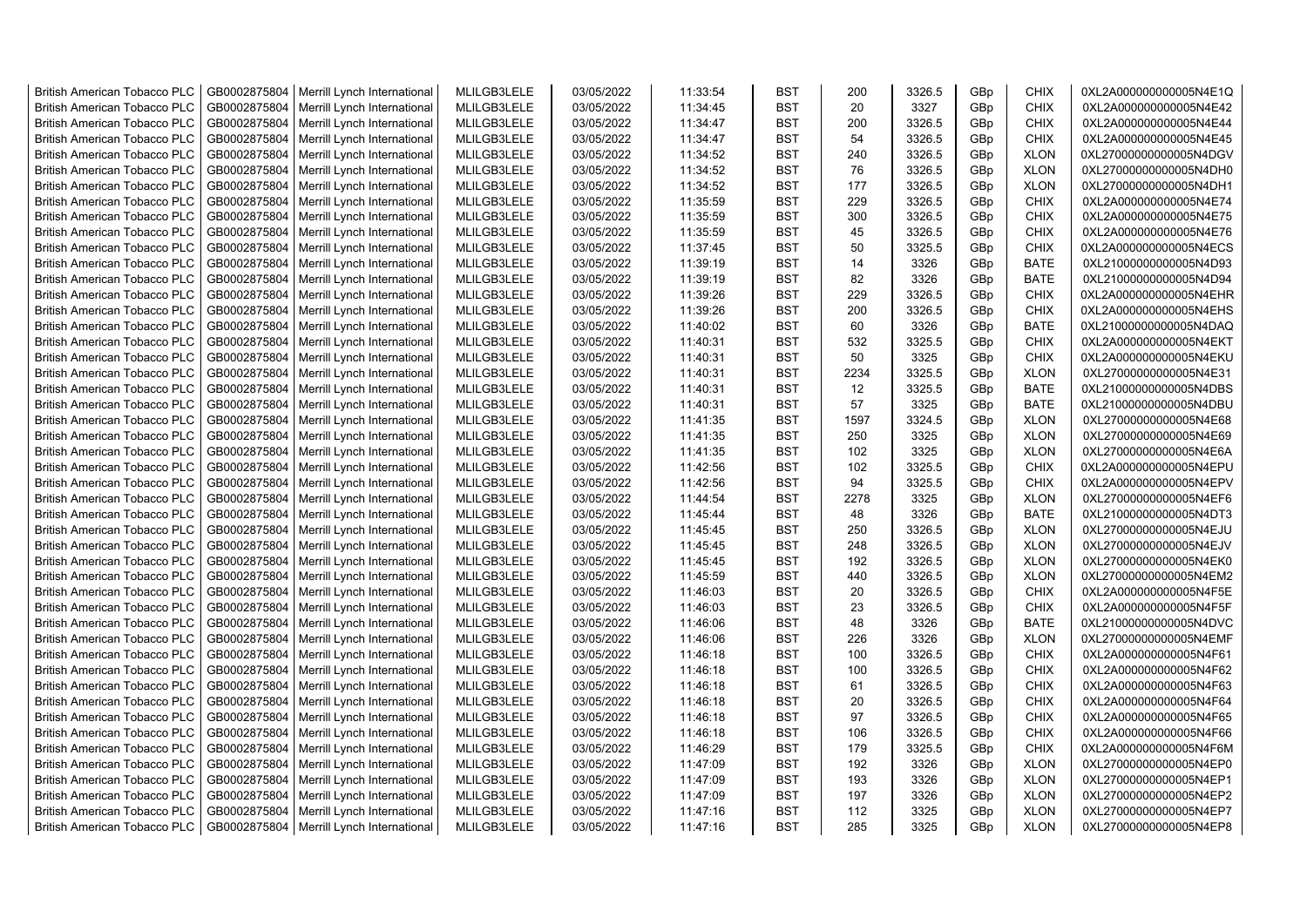| <b>British American Tobacco PLC</b> | GB0002875804 | Merrill Lynch International | MLILGB3LELE | 03/05/2022 | 11:33:54 | <b>BST</b> | 200  | 3326.5 | GBp             | <b>CHIX</b> | 0XL2A000000000005N4E1Q |
|-------------------------------------|--------------|-----------------------------|-------------|------------|----------|------------|------|--------|-----------------|-------------|------------------------|
| <b>British American Tobacco PLC</b> | GB0002875804 | Merrill Lynch International | MLILGB3LELE | 03/05/2022 | 11:34:45 | <b>BST</b> | 20   | 3327   | GBp             | <b>CHIX</b> | 0XL2A000000000005N4E42 |
| <b>British American Tobacco PLC</b> | GB0002875804 | Merrill Lynch International | MLILGB3LELE | 03/05/2022 | 11:34:47 | <b>BST</b> | 200  | 3326.5 | GBp             | <b>CHIX</b> | 0XL2A000000000005N4E44 |
| <b>British American Tobacco PLC</b> | GB0002875804 | Merrill Lynch International | MLILGB3LELE | 03/05/2022 | 11:34:47 | <b>BST</b> | 54   | 3326.5 | GBp             | <b>CHIX</b> | 0XL2A000000000005N4E45 |
| <b>British American Tobacco PLC</b> | GB0002875804 | Merrill Lynch International | MLILGB3LELE | 03/05/2022 | 11:34:52 | <b>BST</b> | 240  | 3326.5 | GBp             | <b>XLON</b> | 0XL27000000000005N4DGV |
| <b>British American Tobacco PLC</b> | GB0002875804 | Merrill Lynch International | MLILGB3LELE | 03/05/2022 | 11:34:52 | <b>BST</b> | 76   | 3326.5 | GBp             | <b>XLON</b> | 0XL27000000000005N4DH0 |
| <b>British American Tobacco PLC</b> | GB0002875804 | Merrill Lynch International | MLILGB3LELE | 03/05/2022 | 11:34:52 | <b>BST</b> | 177  | 3326.5 | GBp             | <b>XLON</b> | 0XL27000000000005N4DH1 |
| <b>British American Tobacco PLC</b> | GB0002875804 | Merrill Lynch International | MLILGB3LELE | 03/05/2022 | 11:35:59 | <b>BST</b> | 229  | 3326.5 | GBp             | <b>CHIX</b> | 0XL2A000000000005N4E74 |
| <b>British American Tobacco PLC</b> | GB0002875804 | Merrill Lynch International | MLILGB3LELE | 03/05/2022 | 11:35:59 | <b>BST</b> | 300  | 3326.5 | GBp             | <b>CHIX</b> | 0XL2A000000000005N4E75 |
| <b>British American Tobacco PLC</b> | GB0002875804 | Merrill Lynch International | MLILGB3LELE | 03/05/2022 | 11:35:59 | <b>BST</b> | 45   | 3326.5 | GBp             | <b>CHIX</b> | 0XL2A000000000005N4E76 |
| <b>British American Tobacco PLC</b> | GB0002875804 | Merrill Lynch International | MLILGB3LELE | 03/05/2022 | 11:37:45 | <b>BST</b> | 50   | 3325.5 | GBp             | <b>CHIX</b> | 0XL2A000000000005N4ECS |
| <b>British American Tobacco PLC</b> | GB0002875804 | Merrill Lynch International | MLILGB3LELE | 03/05/2022 | 11:39:19 | <b>BST</b> | 14   | 3326   | GBp             | <b>BATE</b> | 0XL21000000000005N4D93 |
| <b>British American Tobacco PLC</b> | GB0002875804 | Merrill Lynch International | MLILGB3LELE | 03/05/2022 | 11:39:19 | <b>BST</b> | 82   | 3326   | GBp             | <b>BATE</b> | 0XL21000000000005N4D94 |
| <b>British American Tobacco PLC</b> | GB0002875804 | Merrill Lynch International | MLILGB3LELE | 03/05/2022 | 11:39:26 | <b>BST</b> | 229  | 3326.5 | GBp             | <b>CHIX</b> | 0XL2A000000000005N4EHR |
| <b>British American Tobacco PLC</b> | GB0002875804 | Merrill Lynch International | MLILGB3LELE | 03/05/2022 | 11:39:26 | <b>BST</b> | 200  | 3326.5 | GBp             | <b>CHIX</b> | 0XL2A000000000005N4EHS |
| <b>British American Tobacco PLC</b> | GB0002875804 | Merrill Lynch International | MLILGB3LELE | 03/05/2022 | 11:40:02 | <b>BST</b> | 60   | 3326   | GBp             | <b>BATE</b> | 0XL21000000000005N4DAQ |
| <b>British American Tobacco PLC</b> | GB0002875804 | Merrill Lynch International | MLILGB3LELE | 03/05/2022 | 11:40:31 | <b>BST</b> | 532  | 3325.5 | GBp             | <b>CHIX</b> | 0XL2A000000000005N4EKT |
| <b>British American Tobacco PLC</b> | GB0002875804 | Merrill Lynch International | MLILGB3LELE | 03/05/2022 | 11:40:31 | <b>BST</b> | 50   | 3325   | GBp             | <b>CHIX</b> | 0XL2A000000000005N4EKU |
| <b>British American Tobacco PLC</b> | GB0002875804 | Merrill Lynch International | MLILGB3LELE | 03/05/2022 | 11:40:31 | <b>BST</b> | 2234 | 3325.5 | GBp             | <b>XLON</b> | 0XL27000000000005N4E31 |
| <b>British American Tobacco PLC</b> | GB0002875804 | Merrill Lynch International | MLILGB3LELE | 03/05/2022 | 11:40:31 | <b>BST</b> | 12   | 3325.5 | GBp             | <b>BATE</b> | 0XL21000000000005N4DBS |
| <b>British American Tobacco PLC</b> | GB0002875804 | Merrill Lynch International | MLILGB3LELE | 03/05/2022 | 11:40:31 | <b>BST</b> | 57   | 3325   | GBp             | <b>BATE</b> | 0XL21000000000005N4DBU |
| <b>British American Tobacco PLC</b> | GB0002875804 | Merrill Lynch International | MLILGB3LELE | 03/05/2022 | 11:41:35 | <b>BST</b> | 1597 | 3324.5 | GBp             | <b>XLON</b> | 0XL27000000000005N4E68 |
| <b>British American Tobacco PLC</b> | GB0002875804 | Merrill Lynch International | MLILGB3LELE | 03/05/2022 | 11:41:35 | <b>BST</b> | 250  | 3325   | GBp             | <b>XLON</b> | 0XL27000000000005N4E69 |
| British American Tobacco PLC        | GB0002875804 | Merrill Lynch International | MLILGB3LELE | 03/05/2022 | 11:41:35 | <b>BST</b> | 102  | 3325   | GBp             | <b>XLON</b> | 0XL27000000000005N4E6A |
| <b>British American Tobacco PLC</b> | GB0002875804 | Merrill Lynch International | MLILGB3LELE | 03/05/2022 | 11:42:56 | <b>BST</b> | 102  | 3325.5 | GBp             | <b>CHIX</b> | 0XL2A000000000005N4EPU |
| <b>British American Tobacco PLC</b> | GB0002875804 | Merrill Lynch International | MLILGB3LELE | 03/05/2022 | 11:42:56 | <b>BST</b> | 94   | 3325.5 | GBp             | <b>CHIX</b> | 0XL2A000000000005N4EPV |
| <b>British American Tobacco PLC</b> | GB0002875804 | Merrill Lynch International | MLILGB3LELE | 03/05/2022 | 11:44:54 | <b>BST</b> | 2278 | 3325   | GBp             | <b>XLON</b> | 0XL27000000000005N4EF6 |
| <b>British American Tobacco PLC</b> | GB0002875804 | Merrill Lynch International | MLILGB3LELE | 03/05/2022 | 11:45:44 | <b>BST</b> | 48   | 3326   | GBp             | <b>BATE</b> | 0XL21000000000005N4DT3 |
| <b>British American Tobacco PLC</b> | GB0002875804 | Merrill Lynch International | MLILGB3LELE | 03/05/2022 | 11:45:45 | <b>BST</b> | 250  | 3326.5 | GBp             | <b>XLON</b> | 0XL27000000000005N4EJU |
| <b>British American Tobacco PLC</b> | GB0002875804 | Merrill Lynch International | MLILGB3LELE | 03/05/2022 | 11:45:45 | <b>BST</b> | 248  | 3326.5 | GBp             | <b>XLON</b> | 0XL27000000000005N4EJV |
| <b>British American Tobacco PLC</b> | GB0002875804 | Merrill Lynch International | MLILGB3LELE | 03/05/2022 | 11:45:45 | <b>BST</b> | 192  | 3326.5 | GBp             | <b>XLON</b> | 0XL27000000000005N4EK0 |
| <b>British American Tobacco PLC</b> | GB0002875804 | Merrill Lynch International | MLILGB3LELE | 03/05/2022 | 11:45:59 | <b>BST</b> | 440  | 3326.5 | GBp             | <b>XLON</b> | 0XL27000000000005N4EM2 |
| <b>British American Tobacco PLC</b> | GB0002875804 | Merrill Lynch International | MLILGB3LELE | 03/05/2022 | 11:46:03 | BST        | 20   | 3326.5 | GBp             | <b>CHIX</b> | 0XL2A000000000005N4F5E |
| <b>British American Tobacco PLC</b> | GB0002875804 | Merrill Lynch International | MLILGB3LELE | 03/05/2022 | 11:46:03 | <b>BST</b> | 23   | 3326.5 | GBp             | <b>CHIX</b> | 0XL2A000000000005N4F5F |
| <b>British American Tobacco PLC</b> | GB0002875804 | Merrill Lynch International | MLILGB3LELE | 03/05/2022 | 11:46:06 | <b>BST</b> | 48   | 3326   | GBp             | <b>BATE</b> | 0XL21000000000005N4DVC |
| <b>British American Tobacco PLC</b> | GB0002875804 | Merrill Lynch International | MLILGB3LELE | 03/05/2022 | 11:46:06 | <b>BST</b> | 226  | 3326   | GBp             | <b>XLON</b> | 0XL27000000000005N4EMF |
| <b>British American Tobacco PLC</b> | GB0002875804 | Merrill Lynch International | MLILGB3LELE | 03/05/2022 | 11:46:18 | <b>BST</b> | 100  | 3326.5 | GBp             | <b>CHIX</b> | 0XL2A000000000005N4F61 |
| <b>British American Tobacco PLC</b> | GB0002875804 | Merrill Lynch International | MLILGB3LELE | 03/05/2022 | 11:46:18 | <b>BST</b> | 100  | 3326.5 | GBp             | <b>CHIX</b> | 0XL2A000000000005N4F62 |
| <b>British American Tobacco PLC</b> | GB0002875804 | Merrill Lynch International | MLILGB3LELE | 03/05/2022 | 11:46:18 | <b>BST</b> | 61   | 3326.5 | GBp             | <b>CHIX</b> | 0XL2A000000000005N4F63 |
| <b>British American Tobacco PLC</b> | GB0002875804 | Merrill Lynch International | MLILGB3LELE | 03/05/2022 | 11:46:18 | <b>BST</b> | 20   | 3326.5 | GBp             | <b>CHIX</b> | 0XL2A000000000005N4F64 |
| <b>British American Tobacco PLC</b> | GB0002875804 | Merrill Lynch International | MLILGB3LELE | 03/05/2022 | 11:46:18 | <b>BST</b> | 97   | 3326.5 | GBp             | <b>CHIX</b> | 0XL2A000000000005N4F65 |
| <b>British American Tobacco PLC</b> | GB0002875804 | Merrill Lynch International | MLILGB3LELE | 03/05/2022 | 11:46:18 | <b>BST</b> | 106  | 3326.5 | GBp             | <b>CHIX</b> | 0XL2A000000000005N4F66 |
| <b>British American Tobacco PLC</b> | GB0002875804 | Merrill Lynch International | MLILGB3LELE | 03/05/2022 | 11:46:29 | <b>BST</b> | 179  | 3325.5 | GBp             | <b>CHIX</b> | 0XL2A000000000005N4F6M |
| <b>British American Tobacco PLC</b> | GB0002875804 | Merrill Lynch International | MLILGB3LELE | 03/05/2022 | 11:47:09 | <b>BST</b> | 192  | 3326   | GBp             | <b>XLON</b> | 0XL27000000000005N4EP0 |
| <b>British American Tobacco PLC</b> | GB0002875804 | Merrill Lynch International | MLILGB3LELE | 03/05/2022 | 11:47:09 | <b>BST</b> | 193  | 3326   | GBp             | <b>XLON</b> | 0XL27000000000005N4EP1 |
| <b>British American Tobacco PLC</b> | GB0002875804 | Merrill Lynch International | MLILGB3LELE | 03/05/2022 | 11:47:09 | <b>BST</b> | 197  | 3326   | GBp             | <b>XLON</b> | 0XL27000000000005N4EP2 |
| <b>British American Tobacco PLC</b> | GB0002875804 | Merrill Lynch International | MLILGB3LELE | 03/05/2022 | 11:47:16 | <b>BST</b> | 112  | 3325   | GBp             | <b>XLON</b> | 0XL27000000000005N4EP7 |
| <b>British American Tobacco PLC</b> | GB0002875804 | Merrill Lynch International | MLILGB3LELE | 03/05/2022 | 11:47:16 | <b>BST</b> | 285  | 3325   | GB <sub>p</sub> | <b>XLON</b> | 0XL27000000000005N4EP8 |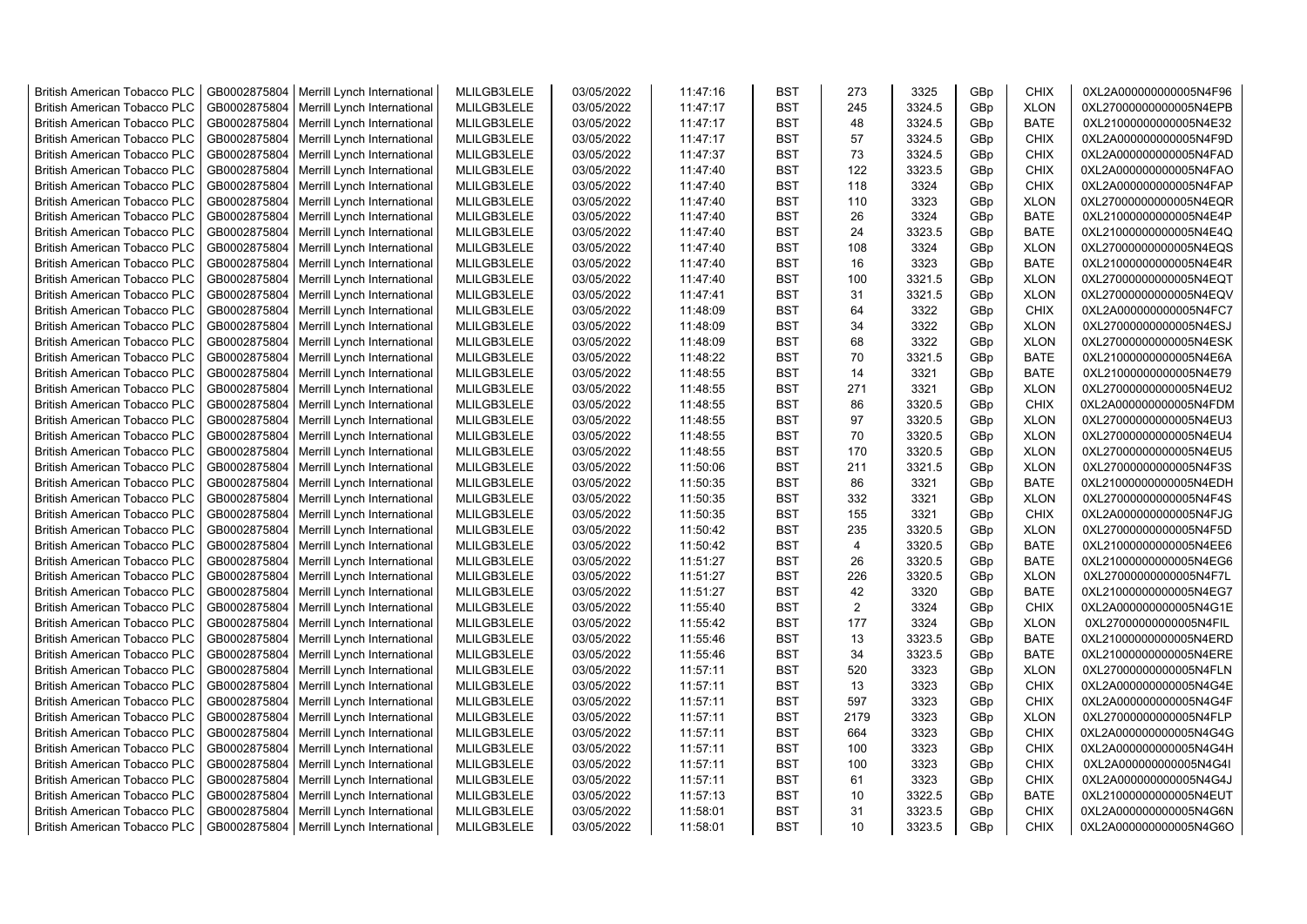| <b>British American Tobacco PLC</b> | GB0002875804 | Merrill Lynch International | MLILGB3LELE | 03/05/2022 | 11:47:16 | <b>BST</b> | 273            | 3325   | GBp             | <b>CHIX</b> | 0XL2A000000000005N4F96 |
|-------------------------------------|--------------|-----------------------------|-------------|------------|----------|------------|----------------|--------|-----------------|-------------|------------------------|
| <b>British American Tobacco PLC</b> | GB0002875804 | Merrill Lynch International | MLILGB3LELE | 03/05/2022 | 11:47:17 | <b>BST</b> | 245            | 3324.5 | GBp             | <b>XLON</b> | 0XL27000000000005N4EPB |
| <b>British American Tobacco PLC</b> | GB0002875804 | Merrill Lynch International | MLILGB3LELE | 03/05/2022 | 11:47:17 | <b>BST</b> | 48             | 3324.5 | GBp             | <b>BATE</b> | 0XL21000000000005N4E32 |
| <b>British American Tobacco PLC</b> | GB0002875804 | Merrill Lynch International | MLILGB3LELE | 03/05/2022 | 11:47:17 | <b>BST</b> | 57             | 3324.5 | GBp             | <b>CHIX</b> | 0XL2A000000000005N4F9D |
| <b>British American Tobacco PLC</b> | GB0002875804 | Merrill Lynch International | MLILGB3LELE | 03/05/2022 | 11:47:37 | <b>BST</b> | 73             | 3324.5 | GBp             | <b>CHIX</b> | 0XL2A000000000005N4FAD |
| <b>British American Tobacco PLC</b> | GB0002875804 | Merrill Lynch International | MLILGB3LELE | 03/05/2022 | 11:47:40 | <b>BST</b> | 122            | 3323.5 | GBp             | <b>CHIX</b> | 0XL2A000000000005N4FAO |
| <b>British American Tobacco PLC</b> | GB0002875804 | Merrill Lynch International | MLILGB3LELE | 03/05/2022 | 11:47:40 | <b>BST</b> | 118            | 3324   | GBp             | <b>CHIX</b> | 0XL2A000000000005N4FAP |
| <b>British American Tobacco PLC</b> | GB0002875804 | Merrill Lynch International | MLILGB3LELE | 03/05/2022 | 11:47:40 | <b>BST</b> | 110            | 3323   | GBp             | <b>XLON</b> | 0XL27000000000005N4EQR |
| <b>British American Tobacco PLC</b> | GB0002875804 | Merrill Lynch International | MLILGB3LELE | 03/05/2022 | 11:47:40 | <b>BST</b> | 26             | 3324   | GBp             | <b>BATE</b> | 0XL21000000000005N4E4P |
| <b>British American Tobacco PLC</b> | GB0002875804 | Merrill Lynch International | MLILGB3LELE | 03/05/2022 | 11:47:40 | <b>BST</b> | 24             | 3323.5 | GBp             | <b>BATE</b> | 0XL21000000000005N4E4Q |
| <b>British American Tobacco PLC</b> | GB0002875804 | Merrill Lynch International | MLILGB3LELE | 03/05/2022 | 11:47:40 | <b>BST</b> | 108            | 3324   | GBp             | <b>XLON</b> | 0XL27000000000005N4EQS |
| <b>British American Tobacco PLC</b> | GB0002875804 | Merrill Lynch International | MLILGB3LELE | 03/05/2022 | 11:47:40 | <b>BST</b> | 16             | 3323   | GBp             | <b>BATE</b> | 0XL21000000000005N4E4R |
| <b>British American Tobacco PLC</b> | GB0002875804 | Merrill Lynch International | MLILGB3LELE | 03/05/2022 | 11:47:40 | <b>BST</b> | 100            | 3321.5 | GBp             | <b>XLON</b> | 0XL27000000000005N4EQT |
| <b>British American Tobacco PLC</b> | GB0002875804 | Merrill Lynch International | MLILGB3LELE | 03/05/2022 | 11:47:41 | <b>BST</b> | 31             | 3321.5 | GBp             | <b>XLON</b> | 0XL27000000000005N4EQV |
| <b>British American Tobacco PLC</b> | GB0002875804 | Merrill Lynch International | MLILGB3LELE | 03/05/2022 | 11:48:09 | <b>BST</b> | 64             | 3322   | GBp             | <b>CHIX</b> | 0XL2A000000000005N4FC7 |
| <b>British American Tobacco PLC</b> | GB0002875804 | Merrill Lynch International | MLILGB3LELE | 03/05/2022 | 11:48:09 | <b>BST</b> | 34             | 3322   | GBp             | <b>XLON</b> | 0XL27000000000005N4ESJ |
| <b>British American Tobacco PLC</b> | GB0002875804 | Merrill Lynch International | MLILGB3LELE | 03/05/2022 | 11:48:09 | <b>BST</b> | 68             | 3322   | GBp             | <b>XLON</b> | 0XL27000000000005N4ESK |
| <b>British American Tobacco PLC</b> | GB0002875804 | Merrill Lynch International | MLILGB3LELE | 03/05/2022 | 11:48:22 | <b>BST</b> | 70             | 3321.5 | GBp             | BATE        | 0XL21000000000005N4E6A |
| <b>British American Tobacco PLC</b> | GB0002875804 | Merrill Lynch International | MLILGB3LELE | 03/05/2022 | 11:48:55 | <b>BST</b> | 14             | 3321   | GBp             | <b>BATE</b> | 0XL21000000000005N4E79 |
| <b>British American Tobacco PLC</b> | GB0002875804 | Merrill Lynch International | MLILGB3LELE | 03/05/2022 | 11:48:55 | <b>BST</b> | 271            | 3321   | GBp             | <b>XLON</b> | 0XL27000000000005N4EU2 |
| <b>British American Tobacco PLC</b> | GB0002875804 | Merrill Lynch International | MLILGB3LELE | 03/05/2022 | 11:48:55 | <b>BST</b> | 86             | 3320.5 | GBp             | <b>CHIX</b> | 0XL2A000000000005N4FDM |
| <b>British American Tobacco PLC</b> | GB0002875804 | Merrill Lynch International | MLILGB3LELE | 03/05/2022 | 11:48:55 | <b>BST</b> | 97             | 3320.5 | GBp             | <b>XLON</b> | 0XL27000000000005N4EU3 |
| <b>British American Tobacco PLC</b> | GB0002875804 | Merrill Lynch International | MLILGB3LELE | 03/05/2022 | 11:48:55 | <b>BST</b> | 70             | 3320.5 | GBp             | <b>XLON</b> | 0XL27000000000005N4EU4 |
| <b>British American Tobacco PLC</b> | GB0002875804 | Merrill Lynch International | MLILGB3LELE | 03/05/2022 | 11:48:55 | <b>BST</b> | 170            | 3320.5 | GBp             | <b>XLON</b> | 0XL27000000000005N4EU5 |
| <b>British American Tobacco PLC</b> | GB0002875804 | Merrill Lynch International | MLILGB3LELE | 03/05/2022 | 11:50:06 | <b>BST</b> | 211            | 3321.5 | GBp             | <b>XLON</b> | 0XL27000000000005N4F3S |
| <b>British American Tobacco PLC</b> | GB0002875804 | Merrill Lynch International | MLILGB3LELE | 03/05/2022 | 11:50:35 | <b>BST</b> | 86             | 3321   | GBp             | <b>BATE</b> | 0XL21000000000005N4EDH |
| <b>British American Tobacco PLC</b> | GB0002875804 | Merrill Lynch International | MLILGB3LELE | 03/05/2022 | 11:50:35 | <b>BST</b> | 332            | 3321   | GBp             | <b>XLON</b> | 0XL27000000000005N4F4S |
| <b>British American Tobacco PLC</b> | GB0002875804 | Merrill Lynch International | MLILGB3LELE | 03/05/2022 | 11:50:35 | <b>BST</b> | 155            | 3321   | GBp             | <b>CHIX</b> | 0XL2A000000000005N4FJG |
| <b>British American Tobacco PLC</b> | GB0002875804 | Merrill Lynch International | MLILGB3LELE | 03/05/2022 | 11:50:42 | <b>BST</b> | 235            | 3320.5 | GBp             | <b>XLON</b> | 0XL27000000000005N4F5D |
| <b>British American Tobacco PLC</b> | GB0002875804 | Merrill Lynch International | MLILGB3LELE | 03/05/2022 | 11:50:42 | <b>BST</b> | $\overline{4}$ | 3320.5 | GBp             | <b>BATE</b> | 0XL21000000000005N4EE6 |
| <b>British American Tobacco PLC</b> | GB0002875804 | Merrill Lynch International | MLILGB3LELE | 03/05/2022 | 11:51:27 | <b>BST</b> | 26             | 3320.5 | GBp             | <b>BATE</b> | 0XL21000000000005N4EG6 |
| <b>British American Tobacco PLC</b> | GB0002875804 | Merrill Lynch International | MLILGB3LELE | 03/05/2022 | 11:51:27 | <b>BST</b> | 226            | 3320.5 | GBp             | <b>XLON</b> | 0XL27000000000005N4F7L |
| <b>British American Tobacco PLC</b> | GB0002875804 | Merrill Lynch International | MLILGB3LELE | 03/05/2022 | 11:51:27 | BST        | 42             | 3320   | GBp             | <b>BATE</b> | 0XL21000000000005N4EG7 |
| <b>British American Tobacco PLC</b> | GB0002875804 | Merrill Lynch International | MLILGB3LELE | 03/05/2022 | 11:55:40 | <b>BST</b> | 2              | 3324   | GBp             | <b>CHIX</b> | 0XL2A000000000005N4G1E |
| <b>British American Tobacco PLC</b> | GB0002875804 | Merrill Lynch International | MLILGB3LELE | 03/05/2022 | 11:55:42 | <b>BST</b> | 177            | 3324   | GBp             | <b>XLON</b> | 0XL27000000000005N4FIL |
| <b>British American Tobacco PLC</b> | GB0002875804 | Merrill Lynch International | MLILGB3LELE | 03/05/2022 | 11:55:46 | <b>BST</b> | 13             | 3323.5 | GBp             | <b>BATE</b> | 0XL21000000000005N4ERD |
| <b>British American Tobacco PLC</b> | GB0002875804 | Merrill Lynch International | MLILGB3LELE | 03/05/2022 | 11:55:46 | <b>BST</b> | 34             | 3323.5 | GBp             | <b>BATE</b> | 0XL21000000000005N4ERE |
| <b>British American Tobacco PLC</b> | GB0002875804 | Merrill Lynch International | MLILGB3LELE | 03/05/2022 | 11:57:11 | <b>BST</b> | 520            | 3323   | GBp             | <b>XLON</b> | 0XL27000000000005N4FLN |
| <b>British American Tobacco PLC</b> | GB0002875804 | Merrill Lynch International | MLILGB3LELE | 03/05/2022 | 11:57:11 | <b>BST</b> | 13             | 3323   | GBp             | <b>CHIX</b> | 0XL2A000000000005N4G4E |
| <b>British American Tobacco PLC</b> | GB0002875804 | Merrill Lynch International | MLILGB3LELE | 03/05/2022 | 11:57:11 | <b>BST</b> | 597            | 3323   | GBp             | <b>CHIX</b> | 0XL2A000000000005N4G4F |
| <b>British American Tobacco PLC</b> | GB0002875804 | Merrill Lynch International | MLILGB3LELE | 03/05/2022 | 11:57:11 | <b>BST</b> | 2179           | 3323   | GBp             | <b>XLON</b> | 0XL27000000000005N4FLP |
| <b>British American Tobacco PLC</b> | GB0002875804 | Merrill Lynch International | MLILGB3LELE | 03/05/2022 | 11:57:11 | <b>BST</b> | 664            | 3323   | GBp             | <b>CHIX</b> | 0XL2A000000000005N4G4G |
| <b>British American Tobacco PLC</b> | GB0002875804 | Merrill Lynch International | MLILGB3LELE | 03/05/2022 | 11:57:11 | <b>BST</b> | 100            | 3323   | GBp             | <b>CHIX</b> | 0XL2A000000000005N4G4H |
| <b>British American Tobacco PLC</b> | GB0002875804 | Merrill Lynch International | MLILGB3LELE | 03/05/2022 | 11:57:11 | <b>BST</b> | 100            | 3323   | GBp             | <b>CHIX</b> | 0XL2A000000000005N4G4I |
| <b>British American Tobacco PLC</b> | GB0002875804 | Merrill Lynch International | MLILGB3LELE | 03/05/2022 | 11:57:11 | <b>BST</b> | 61             | 3323   | GBp             | <b>CHIX</b> | 0XL2A000000000005N4G4J |
| <b>British American Tobacco PLC</b> | GB0002875804 | Merrill Lynch International | MLILGB3LELE | 03/05/2022 | 11:57:13 | <b>BST</b> | 10             | 3322.5 | GBp             | <b>BATE</b> | 0XL21000000000005N4EUT |
| <b>British American Tobacco PLC</b> | GB0002875804 | Merrill Lynch International | MLILGB3LELE | 03/05/2022 | 11:58:01 | <b>BST</b> | 31             | 3323.5 | GBp             | <b>CHIX</b> | 0XL2A000000000005N4G6N |
| <b>British American Tobacco PLC</b> | GB0002875804 | Merrill Lynch International | MLILGB3LELE | 03/05/2022 | 11:58:01 | <b>BST</b> | 10             | 3323.5 | GB <sub>p</sub> | <b>CHIX</b> | 0XL2A000000000005N4G6O |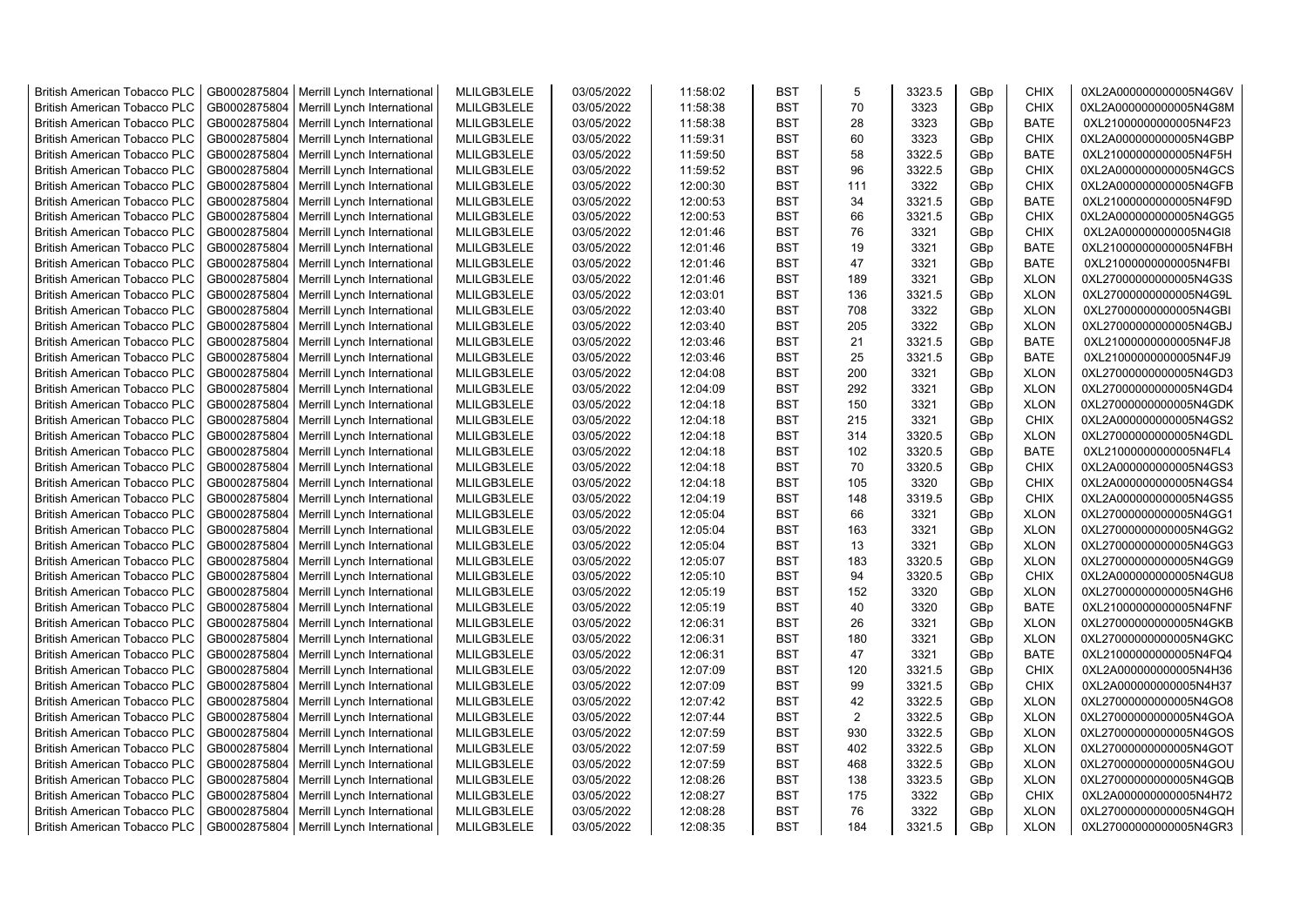| <b>British American Tobacco PLC</b>                          | GB0002875804                 | Merrill Lynch International                                | MLILGB3LELE                | 03/05/2022               | 11:58:02             | <b>BST</b>               | 5              | 3323.5           | GBp             | <b>CHIX</b>                | 0XL2A000000000005N4G6V                           |
|--------------------------------------------------------------|------------------------------|------------------------------------------------------------|----------------------------|--------------------------|----------------------|--------------------------|----------------|------------------|-----------------|----------------------------|--------------------------------------------------|
| <b>British American Tobacco PLC</b>                          | GB0002875804                 | Merrill Lynch International                                | MLILGB3LELE                | 03/05/2022               | 11:58:38             | <b>BST</b>               | 70             | 3323             | GBp             | <b>CHIX</b>                | 0XL2A000000000005N4G8M                           |
| <b>British American Tobacco PLC</b>                          | GB0002875804                 | Merrill Lynch International                                | MLILGB3LELE                | 03/05/2022               | 11:58:38             | <b>BST</b>               | 28             | 3323             | GBp             | <b>BATE</b>                | 0XL21000000000005N4F23                           |
| <b>British American Tobacco PLC</b>                          | GB0002875804                 | Merrill Lynch International                                | MLILGB3LELE                | 03/05/2022               | 11:59:31             | <b>BST</b>               | 60             | 3323             | GBp             | <b>CHIX</b>                | 0XL2A000000000005N4GBP                           |
| <b>British American Tobacco PLC</b>                          | GB0002875804                 | Merrill Lynch International                                | MLILGB3LELE                | 03/05/2022               | 11:59:50             | <b>BST</b>               | 58             | 3322.5           | GBp             | <b>BATE</b>                | 0XL21000000000005N4F5H                           |
| <b>British American Tobacco PLC</b>                          | GB0002875804                 | Merrill Lynch International                                | MLILGB3LELE                | 03/05/2022               | 11:59:52             | <b>BST</b>               | 96             | 3322.5           | GBp             | <b>CHIX</b>                | 0XL2A000000000005N4GCS                           |
| <b>British American Tobacco PLC</b>                          | GB0002875804                 | Merrill Lynch International                                | MLILGB3LELE                | 03/05/2022               | 12:00:30             | <b>BST</b>               | 111            | 3322             | GBp             | <b>CHIX</b>                | 0XL2A000000000005N4GFB                           |
| <b>British American Tobacco PLC</b>                          | GB0002875804                 | Merrill Lynch International                                | MLILGB3LELE                | 03/05/2022               | 12:00:53             | <b>BST</b>               | 34             | 3321.5           | GBp             | <b>BATE</b>                | 0XL21000000000005N4F9D                           |
| <b>British American Tobacco PLC</b>                          | GB0002875804                 | Merrill Lynch International                                | MLILGB3LELE                | 03/05/2022               | 12:00:53             | <b>BST</b>               | 66             | 3321.5           | GBp             | <b>CHIX</b>                | 0XL2A000000000005N4GG5                           |
| <b>British American Tobacco PLC</b>                          | GB0002875804                 | Merrill Lynch International                                | MLILGB3LELE                | 03/05/2022               | 12:01:46             | <b>BST</b>               | 76             | 3321             | GBp             | <b>CHIX</b>                | 0XL2A000000000005N4GI8                           |
| <b>British American Tobacco PLC</b>                          | GB0002875804                 | Merrill Lynch International                                | MLILGB3LELE                | 03/05/2022               | 12:01:46             | <b>BST</b>               | 19             | 3321             | GBp             | <b>BATE</b>                | 0XL21000000000005N4FBH                           |
| <b>British American Tobacco PLC</b>                          | GB0002875804                 | Merrill Lynch International                                | MLILGB3LELE                | 03/05/2022               | 12:01:46             | <b>BST</b>               | 47             | 3321             | GBp             | <b>BATE</b>                | 0XL21000000000005N4FBI                           |
| <b>British American Tobacco PLC</b>                          | GB0002875804                 | Merrill Lynch International                                | MLILGB3LELE                | 03/05/2022               | 12:01:46             | <b>BST</b>               | 189            | 3321             | GBp             | <b>XLON</b>                | 0XL27000000000005N4G3S                           |
| <b>British American Tobacco PLC</b>                          | GB0002875804                 | Merrill Lynch International                                | MLILGB3LELE                | 03/05/2022               | 12:03:01             | <b>BST</b>               | 136            | 3321.5           | GBp             | <b>XLON</b>                | 0XL27000000000005N4G9L                           |
| <b>British American Tobacco PLC</b>                          | GB0002875804                 | Merrill Lynch International                                | MLILGB3LELE                | 03/05/2022               | 12:03:40             | <b>BST</b>               | 708            | 3322             | GBp             | <b>XLON</b>                | 0XL27000000000005N4GBI                           |
| <b>British American Tobacco PLC</b>                          | GB0002875804                 | Merrill Lynch International                                | MLILGB3LELE                | 03/05/2022               | 12:03:40             | <b>BST</b>               | 205            | 3322             | GBp             | <b>XLON</b>                | 0XL27000000000005N4GBJ                           |
| <b>British American Tobacco PLC</b>                          | GB0002875804                 | Merrill Lynch International                                | MLILGB3LELE                | 03/05/2022               | 12:03:46             | <b>BST</b>               | 21             | 3321.5           | GBp             | <b>BATE</b>                | 0XL21000000000005N4FJ8                           |
| <b>British American Tobacco PLC</b>                          | GB0002875804                 | Merrill Lynch International                                | MLILGB3LELE                | 03/05/2022               | 12:03:46             | <b>BST</b>               | 25             | 3321.5           | GBp             | <b>BATE</b>                | 0XL21000000000005N4FJ9                           |
| <b>British American Tobacco PLC</b>                          | GB0002875804                 | Merrill Lynch International                                | MLILGB3LELE                | 03/05/2022               | 12:04:08             | <b>BST</b>               | 200            | 3321             | GBp             | <b>XLON</b>                | 0XL27000000000005N4GD3                           |
| <b>British American Tobacco PLC</b>                          | GB0002875804                 | Merrill Lynch International                                | MLILGB3LELE                | 03/05/2022               | 12:04:09             | <b>BST</b>               | 292            | 3321             | GBp             | <b>XLON</b>                | 0XL27000000000005N4GD4                           |
| <b>British American Tobacco PLC</b>                          | GB0002875804                 | Merrill Lynch International                                | MLILGB3LELE                | 03/05/2022               | 12:04:18             | <b>BST</b>               | 150            | 3321             | GBp             | <b>XLON</b>                | 0XL27000000000005N4GDK                           |
| <b>British American Tobacco PLC</b>                          | GB0002875804                 | Merrill Lynch International                                | MLILGB3LELE                | 03/05/2022               | 12:04:18             | <b>BST</b>               | 215            | 3321             | GBp             | <b>CHIX</b>                | 0XL2A000000000005N4GS2                           |
| <b>British American Tobacco PLC</b>                          | GB0002875804                 | Merrill Lynch International                                | MLILGB3LELE                | 03/05/2022               | 12:04:18             | <b>BST</b>               | 314            | 3320.5           | GBp             | <b>XLON</b>                | 0XL27000000000005N4GDL                           |
| <b>British American Tobacco PLC</b>                          | GB0002875804                 | Merrill Lynch International                                | MLILGB3LELE                | 03/05/2022               | 12:04:18             | <b>BST</b>               | 102            | 3320.5           | GBp             | <b>BATE</b>                | 0XL21000000000005N4FL4                           |
| <b>British American Tobacco PLC</b>                          | GB0002875804                 | Merrill Lynch International                                | MLILGB3LELE                | 03/05/2022               | 12:04:18             | <b>BST</b>               | 70             | 3320.5           | GBp             | <b>CHIX</b>                | 0XL2A000000000005N4GS3                           |
| <b>British American Tobacco PLC</b>                          | GB0002875804                 | Merrill Lynch International                                | MLILGB3LELE                | 03/05/2022               | 12:04:18             | <b>BST</b>               | 105            | 3320             | GBp             | <b>CHIX</b>                | 0XL2A000000000005N4GS4                           |
| <b>British American Tobacco PLC</b>                          | GB0002875804                 | Merrill Lynch International                                | MLILGB3LELE                | 03/05/2022               | 12:04:19             | <b>BST</b>               | 148            | 3319.5           | GBp             | <b>CHIX</b>                | 0XL2A000000000005N4GS5                           |
| British American Tobacco PLC                                 | GB0002875804                 | Merrill Lynch International                                | MLILGB3LELE                | 03/05/2022               | 12:05:04             | <b>BST</b>               | 66             | 3321             | GBp             | <b>XLON</b>                | 0XL27000000000005N4GG1                           |
| <b>British American Tobacco PLC</b>                          | GB0002875804                 | Merrill Lynch International                                | MLILGB3LELE                | 03/05/2022               | 12:05:04             | <b>BST</b>               | 163            | 3321             | GBp             | <b>XLON</b>                | 0XL27000000000005N4GG2                           |
| <b>British American Tobacco PLC</b>                          | GB0002875804                 | Merrill Lynch International                                | MLILGB3LELE                | 03/05/2022               | 12:05:04             | <b>BST</b>               | 13             | 3321             | GBp             | <b>XLON</b>                | 0XL27000000000005N4GG3                           |
| <b>British American Tobacco PLC</b>                          | GB0002875804                 |                                                            | MLILGB3LELE                | 03/05/2022               | 12:05:07             | <b>BST</b>               | 183            | 3320.5           | GBp             | <b>XLON</b>                |                                                  |
| <b>British American Tobacco PLC</b>                          | GB0002875804                 | Merrill Lynch International<br>Merrill Lynch International | MLILGB3LELE                | 03/05/2022               | 12:05:10             | <b>BST</b>               | 94             | 3320.5           | GBp             | <b>CHIX</b>                | 0XL27000000000005N4GG9<br>0XL2A000000000005N4GU8 |
| <b>British American Tobacco PLC</b>                          | GB0002875804                 | Merrill Lynch International                                | MLILGB3LELE                | 03/05/2022               | 12:05:19             | <b>BST</b>               | 152            | 3320             | GBp             | <b>XLON</b>                |                                                  |
| British American Tobacco PLC                                 | GB0002875804                 | Merrill Lynch International                                | MLILGB3LELE                | 03/05/2022               | 12:05:19             | <b>BST</b>               | 40             | 3320             | GBp             | <b>BATE</b>                | 0XL27000000000005N4GH6<br>0XL21000000000005N4FNF |
| <b>British American Tobacco PLC</b>                          | GB0002875804                 | Merrill Lynch International                                | MLILGB3LELE                | 03/05/2022               | 12:06:31             | <b>BST</b>               | 26             | 3321             | GBp             | <b>XLON</b>                | 0XL27000000000005N4GKB                           |
| <b>British American Tobacco PLC</b>                          | GB0002875804                 | Merrill Lynch International                                | MLILGB3LELE                | 03/05/2022               | 12:06:31             | <b>BST</b>               | 180            | 3321             | GBp             | <b>XLON</b>                | 0XL27000000000005N4GKC                           |
| <b>British American Tobacco PLC</b>                          | GB0002875804                 | Merrill Lynch International                                | MLILGB3LELE                | 03/05/2022               | 12:06:31             | <b>BST</b>               | 47             | 3321             | GBp             | <b>BATE</b>                | 0XL21000000000005N4FQ4                           |
| <b>British American Tobacco PLC</b>                          | GB0002875804                 | Merrill Lynch International                                | MLILGB3LELE                | 03/05/2022               | 12:07:09             | <b>BST</b>               | 120            | 3321.5           | GBp             | <b>CHIX</b>                | 0XL2A000000000005N4H36                           |
| <b>British American Tobacco PLC</b>                          | GB0002875804                 | Merrill Lynch International                                | MLILGB3LELE                | 03/05/2022               | 12:07:09             | <b>BST</b>               | 99             | 3321.5           | GBp             | <b>CHIX</b>                | 0XL2A000000000005N4H37                           |
| <b>British American Tobacco PLC</b>                          | GB0002875804                 |                                                            | MLILGB3LELE                | 03/05/2022               | 12:07:42             | <b>BST</b>               | 42             | 3322.5           | GBp             | <b>XLON</b>                | 0XL27000000000005N4GO8                           |
|                                                              | GB0002875804                 | Merrill Lynch International                                |                            |                          |                      | <b>BST</b>               | $\overline{2}$ |                  |                 |                            |                                                  |
| <b>British American Tobacco PLC</b>                          | GB0002875804                 | Merrill Lynch International                                | MLILGB3LELE                | 03/05/2022               | 12:07:44<br>12:07:59 | <b>BST</b>               | 930            | 3322.5<br>3322.5 | GBp             | <b>XLON</b>                | 0XL27000000000005N4GOA<br>0XL27000000000005N4GOS |
| <b>British American Tobacco PLC</b>                          |                              | Merrill Lynch International                                | MLILGB3LELE                | 03/05/2022               |                      |                          |                | 3322.5           | GBp             | <b>XLON</b>                |                                                  |
| <b>British American Tobacco PLC</b>                          | GB0002875804                 | Merrill Lynch International                                | MLILGB3LELE                | 03/05/2022               | 12:07:59             | <b>BST</b><br><b>BST</b> | 402<br>468     | 3322.5           | GBp             | <b>XLON</b>                | 0XL27000000000005N4GOT                           |
| British American Tobacco PLC<br>British American Tobacco PLC | GB0002875804<br>GB0002875804 | Merrill Lynch International                                | MLILGB3LELE<br>MLILGB3LELE | 03/05/2022<br>03/05/2022 | 12:07:59<br>12:08:26 | <b>BST</b>               | 138            | 3323.5           | GBp<br>GBp      | <b>XLON</b><br><b>XLON</b> | 0XL27000000000005N4GOU<br>0XL27000000000005N4GQB |
| <b>British American Tobacco PLC</b>                          | GB0002875804                 | Merrill Lynch International<br>Merrill Lynch International | MLILGB3LELE                | 03/05/2022               | 12:08:27             | <b>BST</b>               | 175            | 3322             | GBp             | <b>CHIX</b>                | 0XL2A000000000005N4H72                           |
|                                                              | GB0002875804                 |                                                            | MLILGB3LELE                | 03/05/2022               | 12:08:28             | <b>BST</b>               | 76             | 3322             |                 | <b>XLON</b>                |                                                  |
| <b>British American Tobacco PLC</b>                          |                              | Merrill Lynch International                                |                            |                          |                      | <b>BST</b>               | 184            |                  | GBp             |                            | 0XL27000000000005N4GQH                           |
| <b>British American Tobacco PLC</b>                          | GB0002875804                 | Merrill Lynch International                                | MLILGB3LELE                | 03/05/2022               | 12:08:35             |                          |                | 3321.5           | GB <sub>p</sub> | <b>XLON</b>                | 0XL27000000000005N4GR3                           |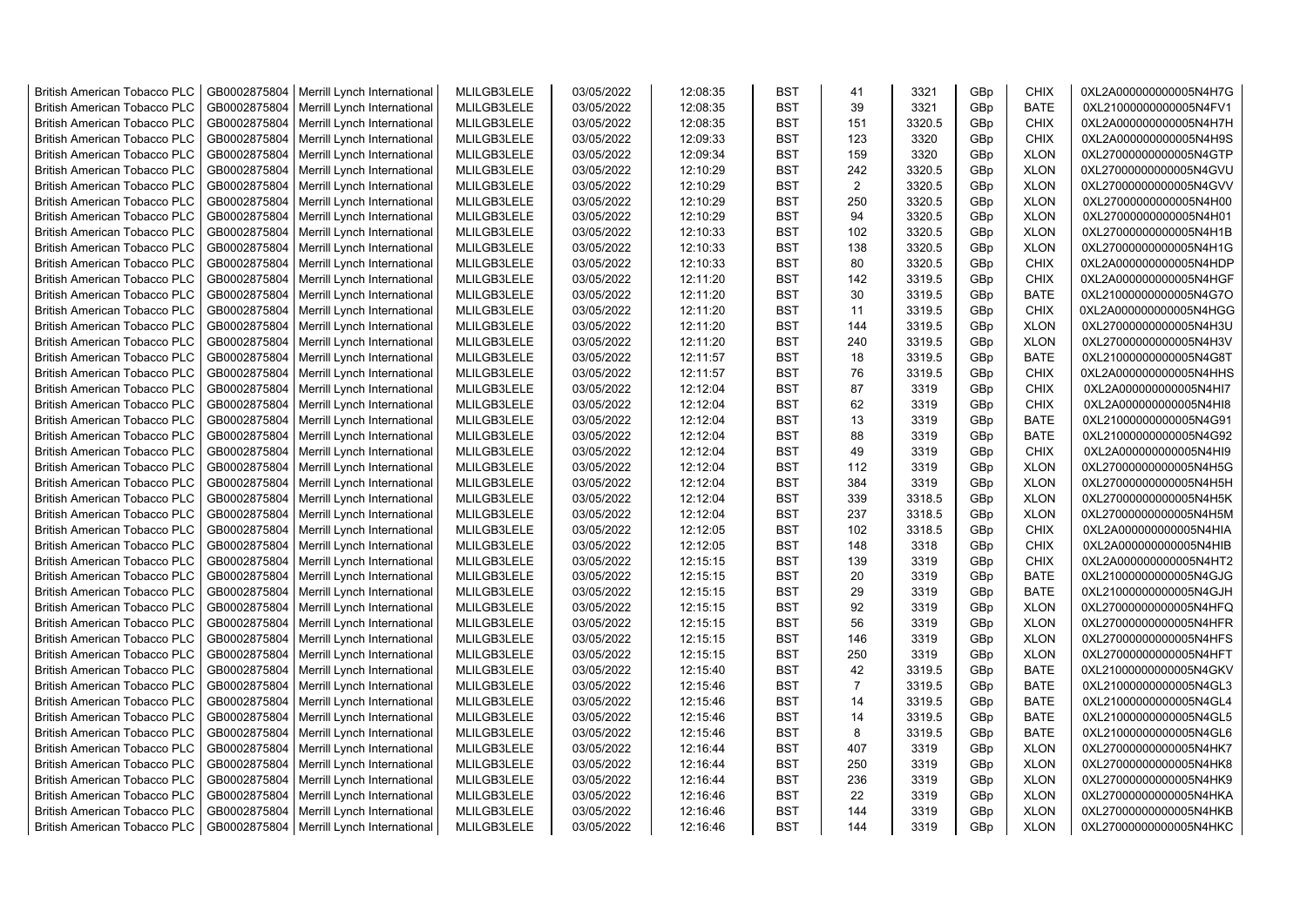| <b>British American Tobacco PLC</b> | GB0002875804 | Merrill Lynch International                | MLILGB3LELE | 03/05/2022 | 12:08:35 | <b>BST</b> | 41             | 3321   | GBp | <b>CHIX</b> | 0XL2A000000000005N4H7G |
|-------------------------------------|--------------|--------------------------------------------|-------------|------------|----------|------------|----------------|--------|-----|-------------|------------------------|
| <b>British American Tobacco PLC</b> | GB0002875804 | Merrill Lynch International                | MLILGB3LELE | 03/05/2022 | 12:08:35 | <b>BST</b> | 39             | 3321   | GBp | <b>BATE</b> | 0XL21000000000005N4FV1 |
| <b>British American Tobacco PLC</b> | GB0002875804 | Merrill Lynch International                | MLILGB3LELE | 03/05/2022 | 12:08:35 | <b>BST</b> | 151            | 3320.5 | GBp | <b>CHIX</b> | 0XL2A000000000005N4H7H |
| <b>British American Tobacco PLC</b> | GB0002875804 | Merrill Lynch International                | MLILGB3LELE | 03/05/2022 | 12:09:33 | <b>BST</b> | 123            | 3320   | GBp | <b>CHIX</b> | 0XL2A000000000005N4H9S |
| <b>British American Tobacco PLC</b> | GB0002875804 | Merrill Lynch International                | MLILGB3LELE | 03/05/2022 | 12:09:34 | <b>BST</b> | 159            | 3320   | GBp | <b>XLON</b> | 0XL27000000000005N4GTP |
| <b>British American Tobacco PLC</b> | GB0002875804 | Merrill Lynch International                | MLILGB3LELE | 03/05/2022 | 12:10:29 | <b>BST</b> | 242            | 3320.5 | GBp | <b>XLON</b> | 0XL27000000000005N4GVU |
| <b>British American Tobacco PLC</b> | GB0002875804 | Merrill Lynch International                | MLILGB3LELE | 03/05/2022 | 12:10:29 | <b>BST</b> | $\overline{2}$ | 3320.5 | GBp | <b>XLON</b> | 0XL27000000000005N4GVV |
| <b>British American Tobacco PLC</b> | GB0002875804 | Merrill Lynch International                | MLILGB3LELE | 03/05/2022 | 12:10:29 | BST        | 250            | 3320.5 | GBp | <b>XLON</b> | 0XL27000000000005N4H00 |
| <b>British American Tobacco PLC</b> | GB0002875804 | Merrill Lynch International                | MLILGB3LELE | 03/05/2022 | 12:10:29 | <b>BST</b> | 94             | 3320.5 | GBp | <b>XLON</b> | 0XL27000000000005N4H01 |
| <b>British American Tobacco PLC</b> | GB0002875804 | Merrill Lynch International                | MLILGB3LELE | 03/05/2022 | 12:10:33 | <b>BST</b> | 102            | 3320.5 | GBp | <b>XLON</b> | 0XL27000000000005N4H1B |
| <b>British American Tobacco PLC</b> | GB0002875804 | Merrill Lynch International                | MLILGB3LELE | 03/05/2022 | 12:10:33 | <b>BST</b> | 138            | 3320.5 | GBp | <b>XLON</b> | 0XL27000000000005N4H1G |
| <b>British American Tobacco PLC</b> | GB0002875804 | Merrill Lynch International                | MLILGB3LELE | 03/05/2022 | 12:10:33 | <b>BST</b> | 80             | 3320.5 | GBp | <b>CHIX</b> | 0XL2A000000000005N4HDP |
| <b>British American Tobacco PLC</b> | GB0002875804 | Merrill Lynch International                | MLILGB3LELE | 03/05/2022 | 12:11:20 | <b>BST</b> | 142            | 3319.5 | GBp | <b>CHIX</b> | 0XL2A000000000005N4HGF |
| <b>British American Tobacco PLC</b> | GB0002875804 | Merrill Lynch International                | MLILGB3LELE | 03/05/2022 | 12:11:20 | <b>BST</b> | 30             | 3319.5 | GBp | <b>BATE</b> | 0XL21000000000005N4G7O |
| <b>British American Tobacco PLC</b> | GB0002875804 | Merrill Lynch International                | MLILGB3LELE | 03/05/2022 | 12:11:20 | <b>BST</b> | 11             | 3319.5 | GBp | <b>CHIX</b> | 0XL2A000000000005N4HGG |
| <b>British American Tobacco PLC</b> | GB0002875804 | Merrill Lynch International                | MLILGB3LELE | 03/05/2022 | 12:11:20 | <b>BST</b> | 144            | 3319.5 | GBp | <b>XLON</b> | 0XL27000000000005N4H3U |
| <b>British American Tobacco PLC</b> | GB0002875804 | Merrill Lynch International                | MLILGB3LELE | 03/05/2022 | 12:11:20 | <b>BST</b> | 240            | 3319.5 | GBp | <b>XLON</b> | 0XL27000000000005N4H3V |
| <b>British American Tobacco PLC</b> | GB0002875804 | Merrill Lynch International                | MLILGB3LELE | 03/05/2022 | 12:11:57 | <b>BST</b> | 18             | 3319.5 | GBp | <b>BATE</b> | 0XL21000000000005N4G8T |
| <b>British American Tobacco PLC</b> | GB0002875804 | Merrill Lynch International                | MLILGB3LELE | 03/05/2022 | 12:11:57 | <b>BST</b> | 76             | 3319.5 | GBp | <b>CHIX</b> | 0XL2A000000000005N4HHS |
| <b>British American Tobacco PLC</b> | GB0002875804 | Merrill Lynch International                | MLILGB3LELE | 03/05/2022 | 12:12:04 | <b>BST</b> | 87             | 3319   | GBp | <b>CHIX</b> | 0XL2A000000000005N4HI7 |
| <b>British American Tobacco PLC</b> | GB0002875804 | Merrill Lynch International                | MLILGB3LELE | 03/05/2022 | 12:12:04 | <b>BST</b> | 62             | 3319   | GBp | <b>CHIX</b> | 0XL2A000000000005N4HI8 |
| <b>British American Tobacco PLC</b> | GB0002875804 | Merrill Lynch International                | MLILGB3LELE | 03/05/2022 | 12:12:04 | <b>BST</b> | 13             | 3319   | GBp | <b>BATE</b> | 0XL21000000000005N4G91 |
|                                     | GB0002875804 |                                            | MLILGB3LELE | 03/05/2022 | 12:12:04 | <b>BST</b> | 88             | 3319   |     | <b>BATE</b> |                        |
| <b>British American Tobacco PLC</b> |              | Merrill Lynch International                |             |            |          |            |                |        | GBp |             | 0XL21000000000005N4G92 |
| <b>British American Tobacco PLC</b> | GB0002875804 | Merrill Lynch International                | MLILGB3LELE | 03/05/2022 | 12:12:04 | BST        | 49             | 3319   | GBp | <b>CHIX</b> | 0XL2A000000000005N4HI9 |
| <b>British American Tobacco PLC</b> | GB0002875804 | Merrill Lynch International                | MLILGB3LELE | 03/05/2022 | 12:12:04 | <b>BST</b> | 112            | 3319   | GBp | <b>XLON</b> | 0XL27000000000005N4H5G |
| <b>British American Tobacco PLC</b> | GB0002875804 | Merrill Lynch International                | MLILGB3LELE | 03/05/2022 | 12:12:04 | <b>BST</b> | 384            | 3319   | GBp | <b>XLON</b> | 0XL27000000000005N4H5H |
| British American Tobacco PLC        | GB0002875804 | Merrill Lynch International                | MLILGB3LELE | 03/05/2022 | 12:12:04 | <b>BST</b> | 339            | 3318.5 | GBp | <b>XLON</b> | 0XL27000000000005N4H5K |
| British American Tobacco PLC        | GB0002875804 | Merrill Lynch International                | MLILGB3LELE | 03/05/2022 | 12:12:04 | <b>BST</b> | 237            | 3318.5 | GBp | <b>XLON</b> | 0XL27000000000005N4H5M |
| <b>British American Tobacco PLC</b> | GB0002875804 | Merrill Lynch International                | MLILGB3LELE | 03/05/2022 | 12:12:05 | <b>BST</b> | 102            | 3318.5 | GBp | <b>CHIX</b> | 0XL2A000000000005N4HIA |
| <b>British American Tobacco PLC</b> | GB0002875804 | Merrill Lynch International                | MLILGB3LELE | 03/05/2022 | 12:12:05 | <b>BST</b> | 148            | 3318   | GBp | <b>CHIX</b> | 0XL2A000000000005N4HIB |
| <b>British American Tobacco PLC</b> | GB0002875804 | Merrill Lynch International                | MLILGB3LELE | 03/05/2022 | 12:15:15 | <b>BST</b> | 139            | 3319   | GBp | <b>CHIX</b> | 0XL2A000000000005N4HT2 |
| <b>British American Tobacco PLC</b> | GB0002875804 | Merrill Lynch International                | MLILGB3LELE | 03/05/2022 | 12:15:15 | <b>BST</b> | 20             | 3319   | GBp | <b>BATE</b> | 0XL21000000000005N4GJG |
| <b>British American Tobacco PLC</b> | GB0002875804 | Merrill Lynch International                | MLILGB3LELE | 03/05/2022 | 12:15:15 | <b>BST</b> | 29             | 3319   | GBp | <b>BATE</b> | 0XL21000000000005N4GJH |
| <b>British American Tobacco PLC</b> | GB0002875804 | Merrill Lynch International                | MLILGB3LELE | 03/05/2022 | 12:15:15 | <b>BST</b> | 92             | 3319   | GBp | <b>XLON</b> | 0XL27000000000005N4HFQ |
| <b>British American Tobacco PLC</b> | GB0002875804 | Merrill Lynch International                | MLILGB3LELE | 03/05/2022 | 12:15:15 | <b>BST</b> | 56             | 3319   | GBp | <b>XLON</b> | 0XL27000000000005N4HFR |
| <b>British American Tobacco PLC</b> | GB0002875804 | Merrill Lynch International                | MLILGB3LELE | 03/05/2022 | 12:15:15 | <b>BST</b> | 146            | 3319   | GBp | <b>XLON</b> | 0XL27000000000005N4HFS |
| <b>British American Tobacco PLC</b> | GB0002875804 | Merrill Lynch International                | MLILGB3LELE | 03/05/2022 | 12:15:15 | <b>BST</b> | 250            | 3319   | GBp | <b>XLON</b> | 0XL27000000000005N4HFT |
| <b>British American Tobacco PLC</b> | GB0002875804 | Merrill Lynch International                | MLILGB3LELE | 03/05/2022 | 12:15:40 | <b>BST</b> | 42             | 3319.5 | GBp | <b>BATE</b> | 0XL21000000000005N4GKV |
| <b>British American Tobacco PLC</b> | GB0002875804 | Merrill Lynch International                | MLILGB3LELE | 03/05/2022 | 12:15:46 | <b>BST</b> | $\overline{7}$ | 3319.5 | GBp | <b>BATE</b> | 0XL21000000000005N4GL3 |
| <b>British American Tobacco PLC</b> | GB0002875804 | Merrill Lynch International                | MLILGB3LELE | 03/05/2022 | 12:15:46 | <b>BST</b> | 14             | 3319.5 | GBp | <b>BATE</b> | 0XL21000000000005N4GL4 |
| <b>British American Tobacco PLC</b> | GB0002875804 | Merrill Lynch International                | MLILGB3LELE | 03/05/2022 | 12:15:46 | <b>BST</b> | 14             | 3319.5 | GBp | <b>BATE</b> | 0XL21000000000005N4GL5 |
| <b>British American Tobacco PLC</b> | GB0002875804 | Merrill Lynch International                | MLILGB3LELE | 03/05/2022 | 12:15:46 | <b>BST</b> | 8              | 3319.5 | GBp | <b>BATE</b> | 0XL21000000000005N4GL6 |
| <b>British American Tobacco PLC</b> | GB0002875804 | Merrill Lynch International                | MLILGB3LELE | 03/05/2022 | 12:16:44 | <b>BST</b> | 407            | 3319   | GBp | <b>XLON</b> | 0XL27000000000005N4HK7 |
| <b>British American Tobacco PLC</b> | GB0002875804 | Merrill Lynch International                | MLILGB3LELE | 03/05/2022 | 12:16:44 | <b>BST</b> | 250            | 3319   | GBp | <b>XLON</b> | 0XL27000000000005N4HK8 |
| <b>British American Tobacco PLC</b> | GB0002875804 | Merrill Lynch International                | MLILGB3LELE | 03/05/2022 | 12:16:44 | <b>BST</b> | 236            | 3319   | GBp | <b>XLON</b> | 0XL27000000000005N4HK9 |
| <b>British American Tobacco PLC</b> | GB0002875804 | Merrill Lynch International                | MLILGB3LELE | 03/05/2022 | 12:16:46 | <b>BST</b> | 22             | 3319   | GBp | <b>XLON</b> | 0XL27000000000005N4HKA |
| <b>British American Tobacco PLC</b> | GB0002875804 | Merrill Lynch International                | MLILGB3LELE | 03/05/2022 | 12:16:46 | <b>BST</b> | 144            | 3319   | GBp | <b>XLON</b> | 0XL27000000000005N4HKB |
| <b>British American Tobacco PLC</b> |              | GB0002875804   Merrill Lynch International | MLILGB3LELE | 03/05/2022 | 12:16:46 | <b>BST</b> | 144            | 3319   | GBp | <b>XLON</b> | 0XL27000000000005N4HKC |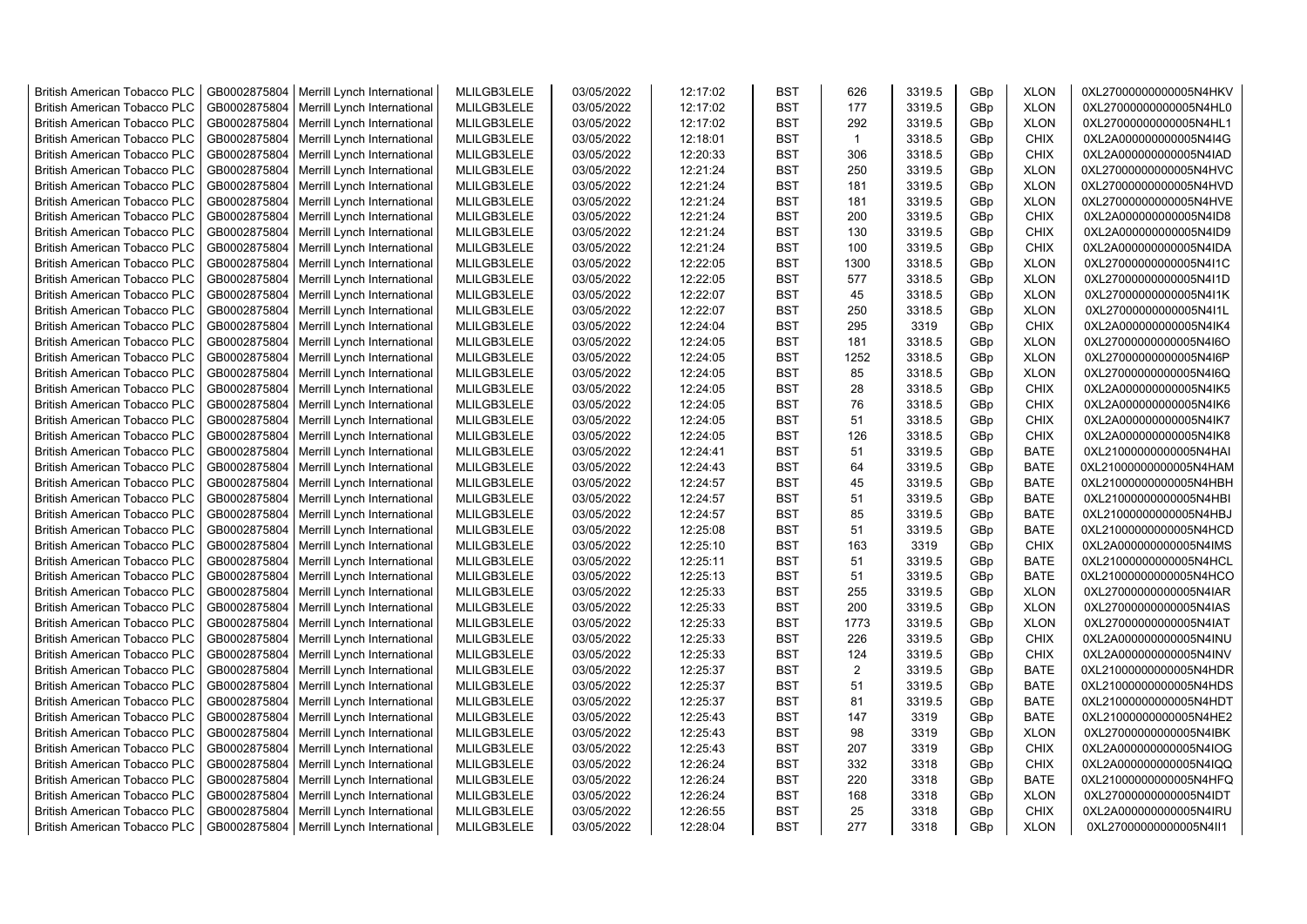| <b>British American Tobacco PLC</b> | GB0002875804 | Merrill Lynch International                | MLILGB3LELE | 03/05/2022 | 12:17:02 | <b>BST</b> | 626            | 3319.5 | GBp             | <b>XLON</b> | 0XL27000000000005N4HKV |
|-------------------------------------|--------------|--------------------------------------------|-------------|------------|----------|------------|----------------|--------|-----------------|-------------|------------------------|
| <b>British American Tobacco PLC</b> | GB0002875804 | Merrill Lynch International                | MLILGB3LELE | 03/05/2022 | 12:17:02 | <b>BST</b> | 177            | 3319.5 | GBp             | <b>XLON</b> | 0XL27000000000005N4HL0 |
| <b>British American Tobacco PLC</b> | GB0002875804 | Merrill Lynch International                | MLILGB3LELE | 03/05/2022 | 12:17:02 | <b>BST</b> | 292            | 3319.5 | GBp             | <b>XLON</b> | 0XL27000000000005N4HL1 |
| <b>British American Tobacco PLC</b> | GB0002875804 | Merrill Lynch International                | MLILGB3LELE | 03/05/2022 | 12:18:01 | <b>BST</b> | $\overline{1}$ | 3318.5 | GBp             | <b>CHIX</b> | 0XL2A000000000005N4I4G |
| <b>British American Tobacco PLC</b> | GB0002875804 | Merrill Lynch International                | MLILGB3LELE | 03/05/2022 | 12:20:33 | <b>BST</b> | 306            | 3318.5 | GBp             | <b>CHIX</b> | 0XL2A000000000005N4IAD |
| <b>British American Tobacco PLC</b> | GB0002875804 | Merrill Lynch International                | MLILGB3LELE | 03/05/2022 | 12:21:24 | <b>BST</b> | 250            | 3319.5 | GBp             | <b>XLON</b> | 0XL27000000000005N4HVC |
| <b>British American Tobacco PLC</b> | GB0002875804 | Merrill Lynch International                | MLILGB3LELE | 03/05/2022 | 12:21:24 | <b>BST</b> | 181            | 3319.5 | GBp             | <b>XLON</b> | 0XL27000000000005N4HVD |
| <b>British American Tobacco PLC</b> | GB0002875804 | Merrill Lynch International                | MLILGB3LELE | 03/05/2022 | 12:21:24 | <b>BST</b> | 181            | 3319.5 | GBp             | <b>XLON</b> | 0XL27000000000005N4HVE |
| <b>British American Tobacco PLC</b> | GB0002875804 | Merrill Lynch International                | MLILGB3LELE | 03/05/2022 | 12:21:24 | <b>BST</b> | 200            | 3319.5 | GBp             | <b>CHIX</b> | 0XL2A000000000005N4ID8 |
| <b>British American Tobacco PLC</b> | GB0002875804 | Merrill Lynch International                | MLILGB3LELE | 03/05/2022 | 12:21:24 | <b>BST</b> | 130            | 3319.5 | GBp             | <b>CHIX</b> | 0XL2A000000000005N4ID9 |
| <b>British American Tobacco PLC</b> | GB0002875804 | Merrill Lynch International                | MLILGB3LELE | 03/05/2022 | 12:21:24 | <b>BST</b> | 100            | 3319.5 | GBp             | <b>CHIX</b> | 0XL2A000000000005N4IDA |
| <b>British American Tobacco PLC</b> | GB0002875804 | Merrill Lynch International                | MLILGB3LELE | 03/05/2022 | 12:22:05 | <b>BST</b> | 1300           | 3318.5 | GBp             | <b>XLON</b> | 0XL27000000000005N4I1C |
| <b>British American Tobacco PLC</b> | GB0002875804 | Merrill Lynch International                | MLILGB3LELE | 03/05/2022 | 12:22:05 | <b>BST</b> | 577            | 3318.5 | GBp             | <b>XLON</b> | 0XL27000000000005N4I1D |
|                                     |              |                                            |             | 03/05/2022 | 12:22:07 | <b>BST</b> | 45             |        |                 | <b>XLON</b> |                        |
| <b>British American Tobacco PLC</b> | GB0002875804 | Merrill Lynch International                | MLILGB3LELE |            |          |            |                | 3318.5 | GBp             |             | 0XL27000000000005N4I1K |
| <b>British American Tobacco PLC</b> | GB0002875804 | Merrill Lynch International                | MLILGB3LELE | 03/05/2022 | 12:22:07 | <b>BST</b> | 250            | 3318.5 | GBp             | <b>XLON</b> | 0XL27000000000005N4I1L |
| <b>British American Tobacco PLC</b> | GB0002875804 | Merrill Lynch International                | MLILGB3LELE | 03/05/2022 | 12:24:04 | <b>BST</b> | 295            | 3319   | GBp             | <b>CHIX</b> | 0XL2A000000000005N4IK4 |
| <b>British American Tobacco PLC</b> | GB0002875804 | Merrill Lynch International                | MLILGB3LELE | 03/05/2022 | 12:24:05 | <b>BST</b> | 181            | 3318.5 | GBp             | <b>XLON</b> | 0XL27000000000005N4I6O |
| <b>British American Tobacco PLC</b> | GB0002875804 | Merrill Lynch International                | MLILGB3LELE | 03/05/2022 | 12:24:05 | <b>BST</b> | 1252           | 3318.5 | GBp             | <b>XLON</b> | 0XL27000000000005N4I6P |
| <b>British American Tobacco PLC</b> | GB0002875804 | Merrill Lynch International                | MLILGB3LELE | 03/05/2022 | 12:24:05 | <b>BST</b> | 85             | 3318.5 | GBp             | <b>XLON</b> | 0XL27000000000005N4I6Q |
| <b>British American Tobacco PLC</b> | GB0002875804 | Merrill Lynch International                | MLILGB3LELE | 03/05/2022 | 12:24:05 | <b>BST</b> | 28             | 3318.5 | GBp             | <b>CHIX</b> | 0XL2A000000000005N4IK5 |
| <b>British American Tobacco PLC</b> | GB0002875804 | Merrill Lynch International                | MLILGB3LELE | 03/05/2022 | 12:24:05 | <b>BST</b> | 76             | 3318.5 | GBp             | <b>CHIX</b> | 0XL2A000000000005N4IK6 |
| <b>British American Tobacco PLC</b> | GB0002875804 | Merrill Lynch International                | MLILGB3LELE | 03/05/2022 | 12:24:05 | <b>BST</b> | 51             | 3318.5 | GBp             | <b>CHIX</b> | 0XL2A000000000005N4IK7 |
| <b>British American Tobacco PLC</b> | GB0002875804 | Merrill Lynch International                | MLILGB3LELE | 03/05/2022 | 12:24:05 | <b>BST</b> | 126            | 3318.5 | GBp             | <b>CHIX</b> | 0XL2A000000000005N4IK8 |
| <b>British American Tobacco PLC</b> | GB0002875804 | Merrill Lynch International                | MLILGB3LELE | 03/05/2022 | 12:24:41 | <b>BST</b> | 51             | 3319.5 | GBp             | <b>BATE</b> | 0XL21000000000005N4HAI |
| <b>British American Tobacco PLC</b> | GB0002875804 | Merrill Lynch International                | MLILGB3LELE | 03/05/2022 | 12:24:43 | <b>BST</b> | 64             | 3319.5 | GBp             | <b>BATE</b> | 0XL21000000000005N4HAM |
| <b>British American Tobacco PLC</b> | GB0002875804 | Merrill Lynch International                | MLILGB3LELE | 03/05/2022 | 12:24:57 | <b>BST</b> | 45             | 3319.5 | GBp             | <b>BATE</b> | 0XL21000000000005N4HBH |
| <b>British American Tobacco PLC</b> | GB0002875804 | Merrill Lynch International                | MLILGB3LELE | 03/05/2022 | 12:24:57 | <b>BST</b> | 51             | 3319.5 | GBp             | <b>BATE</b> | 0XL21000000000005N4HBI |
| <b>British American Tobacco PLC</b> | GB0002875804 | Merrill Lynch International                | MLILGB3LELE | 03/05/2022 | 12:24:57 | <b>BST</b> | 85             | 3319.5 | GBp             | <b>BATE</b> | 0XL21000000000005N4HBJ |
| <b>British American Tobacco PLC</b> | GB0002875804 | Merrill Lynch International                | MLILGB3LELE | 03/05/2022 | 12:25:08 | <b>BST</b> | 51             | 3319.5 | GBp             | <b>BATE</b> | 0XL21000000000005N4HCD |
| <b>British American Tobacco PLC</b> | GB0002875804 | Merrill Lynch International                | MLILGB3LELE | 03/05/2022 | 12:25:10 | <b>BST</b> | 163            | 3319   | GBp             | <b>CHIX</b> | 0XL2A000000000005N4IMS |
| <b>British American Tobacco PLC</b> | GB0002875804 | Merrill Lynch International                | MLILGB3LELE | 03/05/2022 | 12:25:11 | <b>BST</b> | 51             | 3319.5 | GBp             | <b>BATE</b> | 0XL21000000000005N4HCL |
| <b>British American Tobacco PLC</b> | GB0002875804 | Merrill Lynch International                | MLILGB3LELE | 03/05/2022 | 12:25:13 | <b>BST</b> | 51             | 3319.5 | GBp             | <b>BATE</b> | 0XL21000000000005N4HCO |
| <b>British American Tobacco PLC</b> | GB0002875804 | Merrill Lynch International                | MLILGB3LELE | 03/05/2022 | 12:25:33 | <b>BST</b> | 255            | 3319.5 | GBp             | <b>XLON</b> | 0XL27000000000005N4IAR |
| <b>British American Tobacco PLC</b> | GB0002875804 | Merrill Lynch International                | MLILGB3LELE | 03/05/2022 | 12:25:33 | <b>BST</b> | 200            | 3319.5 | GBp             | <b>XLON</b> | 0XL27000000000005N4IAS |
| <b>British American Tobacco PLC</b> | GB0002875804 | Merrill Lynch International                | MLILGB3LELE | 03/05/2022 | 12:25:33 | <b>BST</b> | 1773           | 3319.5 | GBp             | <b>XLON</b> | 0XL27000000000005N4IAT |
| <b>British American Tobacco PLC</b> | GB0002875804 | Merrill Lynch International                | MLILGB3LELE | 03/05/2022 | 12:25:33 | <b>BST</b> | 226            | 3319.5 | GBp             | <b>CHIX</b> | 0XL2A000000000005N4INU |
| <b>British American Tobacco PLC</b> | GB0002875804 | Merrill Lynch International                | MLILGB3LELE | 03/05/2022 | 12:25:33 | <b>BST</b> | 124            | 3319.5 | GBp             | <b>CHIX</b> | 0XL2A000000000005N4INV |
| <b>British American Tobacco PLC</b> | GB0002875804 | Merrill Lynch International                | MLILGB3LELE | 03/05/2022 | 12:25:37 | <b>BST</b> | 2              | 3319.5 | GBp             | <b>BATE</b> | 0XL21000000000005N4HDR |
| British American Tobacco PLC        | GB0002875804 | Merrill Lynch International                | MLILGB3LELE | 03/05/2022 | 12:25:37 | <b>BST</b> | 51             | 3319.5 | GBp             | <b>BATE</b> | 0XL21000000000005N4HDS |
| <b>British American Tobacco PLC</b> | GB0002875804 | Merrill Lynch International                | MLILGB3LELE | 03/05/2022 | 12:25:37 | <b>BST</b> | 81             | 3319.5 | GBp             | <b>BATE</b> | 0XL21000000000005N4HDT |
| <b>British American Tobacco PLC</b> | GB0002875804 | Merrill Lynch International                | MLILGB3LELE | 03/05/2022 | 12:25:43 | <b>BST</b> | 147            | 3319   | GBp             | <b>BATE</b> | 0XL21000000000005N4HE2 |
| <b>British American Tobacco PLC</b> | GB0002875804 | Merrill Lynch International                | MLILGB3LELE | 03/05/2022 | 12:25:43 | <b>BST</b> | 98             | 3319   | GBp             | <b>XLON</b> | 0XL27000000000005N4IBK |
| <b>British American Tobacco PLC</b> | GB0002875804 | Merrill Lynch International                | MLILGB3LELE | 03/05/2022 | 12:25:43 | <b>BST</b> | 207            | 3319   | GBp             | <b>CHIX</b> | 0XL2A000000000005N4IOG |
| <b>British American Tobacco PLC</b> | GB0002875804 | Merrill Lynch International                | MLILGB3LELE | 03/05/2022 | 12:26:24 | <b>BST</b> | 332            | 3318   | GBp             | <b>CHIX</b> | 0XL2A000000000005N4IQQ |
| British American Tobacco PLC        | GB0002875804 | Merrill Lynch International                | MLILGB3LELE | 03/05/2022 | 12:26:24 | <b>BST</b> | 220            | 3318   | GBp             | <b>BATE</b> | 0XL21000000000005N4HFQ |
| <b>British American Tobacco PLC</b> | GB0002875804 | Merrill Lynch International                | MLILGB3LELE | 03/05/2022 | 12:26:24 | <b>BST</b> | 168            | 3318   | GBp             | <b>XLON</b> | 0XL27000000000005N4IDT |
| <b>British American Tobacco PLC</b> | GB0002875804 | Merrill Lynch International                | MLILGB3LELE | 03/05/2022 | 12:26:55 | <b>BST</b> | 25             | 3318   | GBp             | <b>CHIX</b> | 0XL2A000000000005N4IRU |
| <b>British American Tobacco PLC</b> |              | GB0002875804   Merrill Lynch International | MLILGB3LELE | 03/05/2022 | 12:28:04 | <b>BST</b> | 277            | 3318   | GB <sub>p</sub> | <b>XLON</b> | 0XL27000000000005N4II1 |
|                                     |              |                                            |             |            |          |            |                |        |                 |             |                        |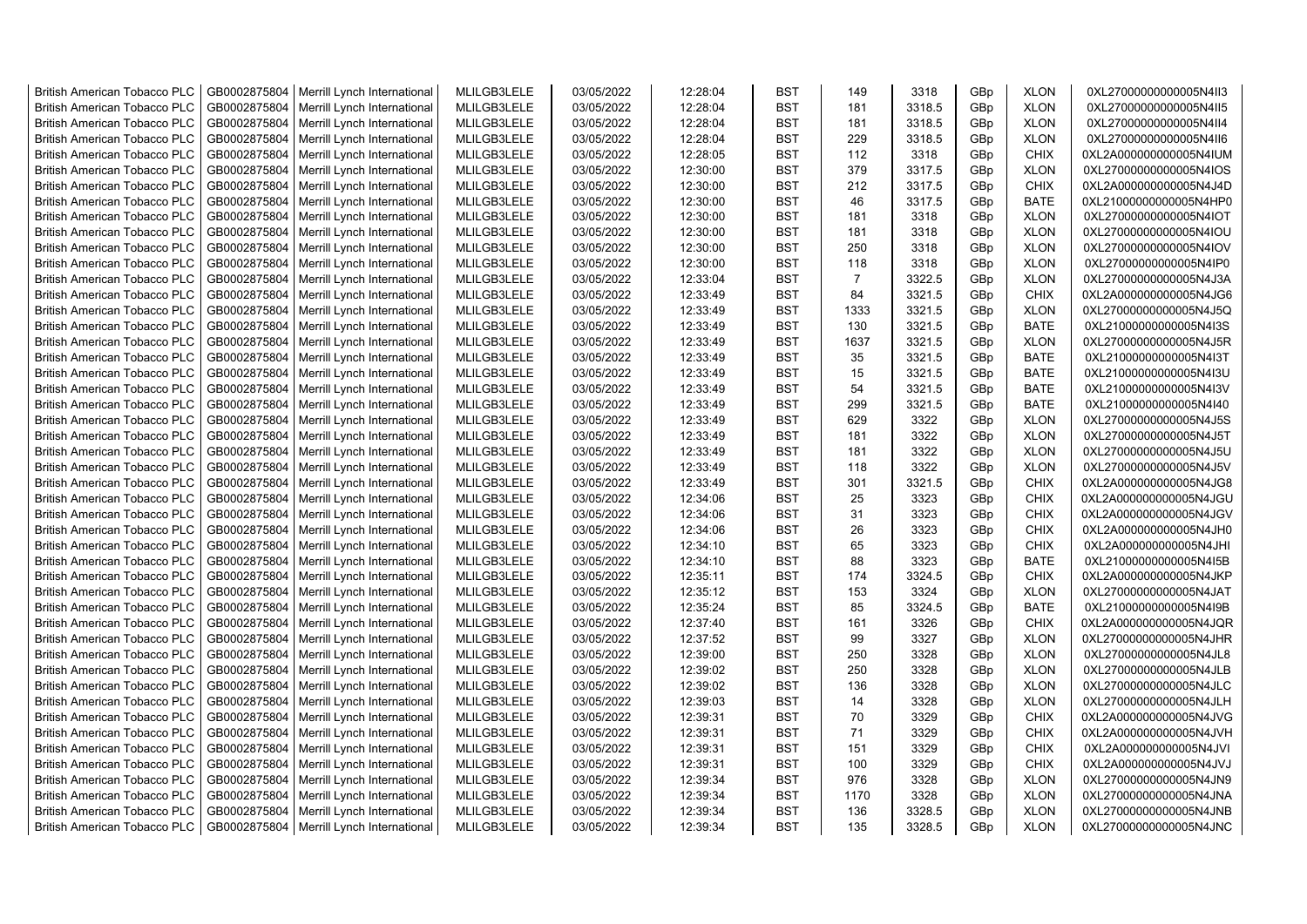| <b>British American Tobacco PLC</b> | GB0002875804 | Merrill Lynch International                | MLILGB3LELE | 03/05/2022 | 12:28:04 | <b>BST</b> | 149            | 3318   | GBp             | <b>XLON</b> | 0XL27000000000005N4II3 |
|-------------------------------------|--------------|--------------------------------------------|-------------|------------|----------|------------|----------------|--------|-----------------|-------------|------------------------|
| <b>British American Tobacco PLC</b> | GB0002875804 | Merrill Lynch International                | MLILGB3LELE | 03/05/2022 | 12:28:04 | <b>BST</b> | 181            | 3318.5 | GBp             | <b>XLON</b> | 0XL27000000000005N4II5 |
| <b>British American Tobacco PLC</b> | GB0002875804 | Merrill Lynch International                | MLILGB3LELE | 03/05/2022 | 12:28:04 | <b>BST</b> | 181            | 3318.5 | GBp             | <b>XLON</b> | 0XL27000000000005N4II4 |
| <b>British American Tobacco PLC</b> | GB0002875804 | Merrill Lynch International                | MLILGB3LELE | 03/05/2022 | 12:28:04 | <b>BST</b> | 229            | 3318.5 | GBp             | <b>XLON</b> | 0XL27000000000005N4II6 |
| <b>British American Tobacco PLC</b> | GB0002875804 | Merrill Lynch International                | MLILGB3LELE | 03/05/2022 | 12:28:05 | <b>BST</b> | 112            | 3318   | GBp             | <b>CHIX</b> | 0XL2A000000000005N4IUM |
| <b>British American Tobacco PLC</b> | GB0002875804 | Merrill Lynch International                | MLILGB3LELE | 03/05/2022 | 12:30:00 | <b>BST</b> | 379            | 3317.5 | GBp             | <b>XLON</b> | 0XL27000000000005N4IOS |
| <b>British American Tobacco PLC</b> | GB0002875804 | Merrill Lynch International                | MLILGB3LELE | 03/05/2022 | 12:30:00 | <b>BST</b> | 212            | 3317.5 | GBp             | <b>CHIX</b> | 0XL2A000000000005N4J4D |
| <b>British American Tobacco PLC</b> | GB0002875804 | Merrill Lynch International                | MLILGB3LELE | 03/05/2022 | 12:30:00 | <b>BST</b> | 46             | 3317.5 | GBp             | <b>BATE</b> | 0XL21000000000005N4HP0 |
| <b>British American Tobacco PLC</b> | GB0002875804 | Merrill Lynch International                | MLILGB3LELE | 03/05/2022 | 12:30:00 | <b>BST</b> | 181            | 3318   | GBp             | <b>XLON</b> | 0XL27000000000005N4IOT |
| <b>British American Tobacco PLC</b> | GB0002875804 | Merrill Lynch International                | MLILGB3LELE | 03/05/2022 | 12:30:00 | <b>BST</b> | 181            | 3318   | GBp             | <b>XLON</b> | 0XL27000000000005N4IOU |
| <b>British American Tobacco PLC</b> | GB0002875804 | Merrill Lynch International                | MLILGB3LELE | 03/05/2022 | 12:30:00 | <b>BST</b> | 250            | 3318   | GBp             | <b>XLON</b> | 0XL27000000000005N4IOV |
| <b>British American Tobacco PLC</b> | GB0002875804 | Merrill Lynch International                | MLILGB3LELE | 03/05/2022 | 12:30:00 | <b>BST</b> | 118            | 3318   | GBp             | <b>XLON</b> | 0XL27000000000005N4IP0 |
| <b>British American Tobacco PLC</b> | GB0002875804 | Merrill Lynch International                | MLILGB3LELE | 03/05/2022 | 12:33:04 | <b>BST</b> | $\overline{7}$ | 3322.5 | GBp             | <b>XLON</b> | 0XL27000000000005N4J3A |
| <b>British American Tobacco PLC</b> | GB0002875804 | Merrill Lynch International                | MLILGB3LELE | 03/05/2022 | 12:33:49 | <b>BST</b> | 84             | 3321.5 | GBp             | <b>CHIX</b> | 0XL2A000000000005N4JG6 |
| <b>British American Tobacco PLC</b> | GB0002875804 | Merrill Lynch International                | MLILGB3LELE | 03/05/2022 | 12:33:49 | <b>BST</b> | 1333           | 3321.5 | GBp             | <b>XLON</b> | 0XL27000000000005N4J5Q |
| <b>British American Tobacco PLC</b> | GB0002875804 | Merrill Lynch International                | MLILGB3LELE | 03/05/2022 | 12:33:49 | <b>BST</b> | 130            | 3321.5 | GBp             | <b>BATE</b> | 0XL21000000000005N4I3S |
| <b>British American Tobacco PLC</b> | GB0002875804 | Merrill Lynch International                | MLILGB3LELE | 03/05/2022 | 12:33:49 | <b>BST</b> | 1637           | 3321.5 | GBp             | <b>XLON</b> | 0XL27000000000005N4J5R |
| <b>British American Tobacco PLC</b> | GB0002875804 | Merrill Lynch International                | MLILGB3LELE | 03/05/2022 | 12:33:49 | <b>BST</b> | 35             | 3321.5 | GBp             | <b>BATE</b> | 0XL21000000000005N4I3T |
| <b>British American Tobacco PLC</b> | GB0002875804 | Merrill Lynch International                | MLILGB3LELE | 03/05/2022 | 12:33:49 | <b>BST</b> | 15             | 3321.5 | GBp             | <b>BATE</b> | 0XL21000000000005N4I3U |
| <b>British American Tobacco PLC</b> | GB0002875804 | Merrill Lynch International                | MLILGB3LELE | 03/05/2022 | 12:33:49 | <b>BST</b> | 54             | 3321.5 | GBp             | <b>BATE</b> | 0XL21000000000005N4I3V |
| <b>British American Tobacco PLC</b> | GB0002875804 | Merrill Lynch International                | MLILGB3LELE | 03/05/2022 | 12:33:49 | <b>BST</b> | 299            | 3321.5 | GBp             | <b>BATE</b> | 0XL21000000000005N4I40 |
| <b>British American Tobacco PLC</b> | GB0002875804 | Merrill Lynch International                | MLILGB3LELE | 03/05/2022 | 12:33:49 | <b>BST</b> | 629            | 3322   | GBp             | <b>XLON</b> | 0XL27000000000005N4J5S |
| <b>British American Tobacco PLC</b> | GB0002875804 | Merrill Lynch International                | MLILGB3LELE | 03/05/2022 | 12:33:49 | <b>BST</b> | 181            | 3322   | GBp             | <b>XLON</b> | 0XL27000000000005N4J5T |
| <b>British American Tobacco PLC</b> | GB0002875804 | Merrill Lynch International                | MLILGB3LELE | 03/05/2022 | 12:33:49 | BST        | 181            | 3322   | GBp             | <b>XLON</b> | 0XL27000000000005N4J5U |
| <b>British American Tobacco PLC</b> | GB0002875804 | Merrill Lynch International                | MLILGB3LELE | 03/05/2022 | 12:33:49 | <b>BST</b> | 118            | 3322   | GBp             | <b>XLON</b> | 0XL27000000000005N4J5V |
| <b>British American Tobacco PLC</b> | GB0002875804 | Merrill Lynch International                | MLILGB3LELE | 03/05/2022 | 12:33:49 | <b>BST</b> | 301            | 3321.5 | GBp             | <b>CHIX</b> | 0XL2A000000000005N4JG8 |
| <b>British American Tobacco PLC</b> | GB0002875804 | Merrill Lynch International                | MLILGB3LELE | 03/05/2022 | 12:34:06 | <b>BST</b> | 25             | 3323   | GBp             | <b>CHIX</b> | 0XL2A000000000005N4JGU |
| <b>British American Tobacco PLC</b> | GB0002875804 | Merrill Lynch International                | MLILGB3LELE | 03/05/2022 | 12:34:06 | <b>BST</b> | 31             | 3323   | GBp             | <b>CHIX</b> | 0XL2A000000000005N4JGV |
| <b>British American Tobacco PLC</b> | GB0002875804 | Merrill Lynch International                | MLILGB3LELE | 03/05/2022 | 12:34:06 | <b>BST</b> | 26             | 3323   | GBp             | <b>CHIX</b> | 0XL2A000000000005N4JH0 |
| <b>British American Tobacco PLC</b> | GB0002875804 | Merrill Lynch International                | MLILGB3LELE | 03/05/2022 | 12:34:10 | <b>BST</b> | 65             | 3323   | GBp             | <b>CHIX</b> | 0XL2A000000000005N4JHI |
| <b>British American Tobacco PLC</b> | GB0002875804 | Merrill Lynch International                | MLILGB3LELE | 03/05/2022 | 12:34:10 | <b>BST</b> | 88             | 3323   | GBp             | <b>BATE</b> | 0XL21000000000005N4I5B |
| <b>British American Tobacco PLC</b> | GB0002875804 | Merrill Lynch International                | MLILGB3LELE | 03/05/2022 | 12:35:11 | <b>BST</b> | 174            | 3324.5 | GBp             | <b>CHIX</b> | 0XL2A000000000005N4JKP |
| <b>British American Tobacco PLC</b> | GB0002875804 | Merrill Lynch International                | MLILGB3LELE | 03/05/2022 | 12:35:12 | <b>BST</b> | 153            | 3324   | GBp             | <b>XLON</b> | 0XL27000000000005N4JAT |
| <b>British American Tobacco PLC</b> | GB0002875804 | Merrill Lynch International                | MLILGB3LELE | 03/05/2022 | 12:35:24 | <b>BST</b> | 85             | 3324.5 | GBp             | <b>BATE</b> | 0XL21000000000005N4I9B |
| <b>British American Tobacco PLC</b> | GB0002875804 | Merrill Lynch International                | MLILGB3LELE | 03/05/2022 | 12:37:40 | <b>BST</b> | 161            | 3326   | GBp             | <b>CHIX</b> | 0XL2A000000000005N4JQR |
| <b>British American Tobacco PLC</b> | GB0002875804 | Merrill Lynch International                | MLILGB3LELE | 03/05/2022 | 12:37:52 | <b>BST</b> | 99             | 3327   | GBp             | <b>XLON</b> | 0XL27000000000005N4JHR |
| <b>British American Tobacco PLC</b> | GB0002875804 | Merrill Lynch International                | MLILGB3LELE | 03/05/2022 | 12:39:00 | <b>BST</b> | 250            | 3328   | GBp             | <b>XLON</b> | 0XL27000000000005N4JL8 |
| <b>British American Tobacco PLC</b> | GB0002875804 | Merrill Lynch International                | MLILGB3LELE | 03/05/2022 | 12:39:02 | <b>BST</b> | 250            | 3328   | GBp             | <b>XLON</b> | 0XL27000000000005N4JLB |
| <b>British American Tobacco PLC</b> | GB0002875804 | Merrill Lynch International                | MLILGB3LELE | 03/05/2022 | 12:39:02 | <b>BST</b> | 136            | 3328   | GBp             | <b>XLON</b> | 0XL27000000000005N4JLC |
| <b>British American Tobacco PLC</b> | GB0002875804 | Merrill Lynch International                | MLILGB3LELE | 03/05/2022 | 12:39:03 | <b>BST</b> | 14             | 3328   | GBp             | <b>XLON</b> | 0XL27000000000005N4JLH |
| <b>British American Tobacco PLC</b> | GB0002875804 | Merrill Lynch International                | MLILGB3LELE | 03/05/2022 | 12:39:31 | <b>BST</b> | 70             | 3329   | GBp             | <b>CHIX</b> | 0XL2A000000000005N4JVG |
| <b>British American Tobacco PLC</b> | GB0002875804 | Merrill Lynch International                | MLILGB3LELE | 03/05/2022 | 12:39:31 | <b>BST</b> | 71             | 3329   | GBp             | <b>CHIX</b> | 0XL2A000000000005N4JVH |
| <b>British American Tobacco PLC</b> | GB0002875804 | Merrill Lynch International                | MLILGB3LELE | 03/05/2022 | 12:39:31 | <b>BST</b> | 151            | 3329   | GBp             | <b>CHIX</b> | 0XL2A000000000005N4JVI |
| <b>British American Tobacco PLC</b> | GB0002875804 | Merrill Lynch International                | MLILGB3LELE | 03/05/2022 | 12:39:31 | <b>BST</b> | 100            | 3329   | GBp             | <b>CHIX</b> | 0XL2A000000000005N4JVJ |
| <b>British American Tobacco PLC</b> | GB0002875804 | Merrill Lynch International                | MLILGB3LELE | 03/05/2022 | 12:39:34 | <b>BST</b> | 976            | 3328   | GBp             | <b>XLON</b> | 0XL27000000000005N4JN9 |
| <b>British American Tobacco PLC</b> | GB0002875804 | Merrill Lynch International                | MLILGB3LELE | 03/05/2022 | 12:39:34 | <b>BST</b> | 1170           | 3328   | GBp             | <b>XLON</b> | 0XL27000000000005N4JNA |
| <b>British American Tobacco PLC</b> | GB0002875804 | Merrill Lynch International                | MLILGB3LELE | 03/05/2022 | 12:39:34 | <b>BST</b> | 136            | 3328.5 | GBp             | <b>XLON</b> | 0XL27000000000005N4JNB |
| <b>British American Tobacco PLC</b> |              | GB0002875804   Merrill Lynch International | MLILGB3LELE | 03/05/2022 | 12:39:34 | <b>BST</b> | 135            | 3328.5 | GB <sub>p</sub> | <b>XLON</b> | 0XL27000000000005N4JNC |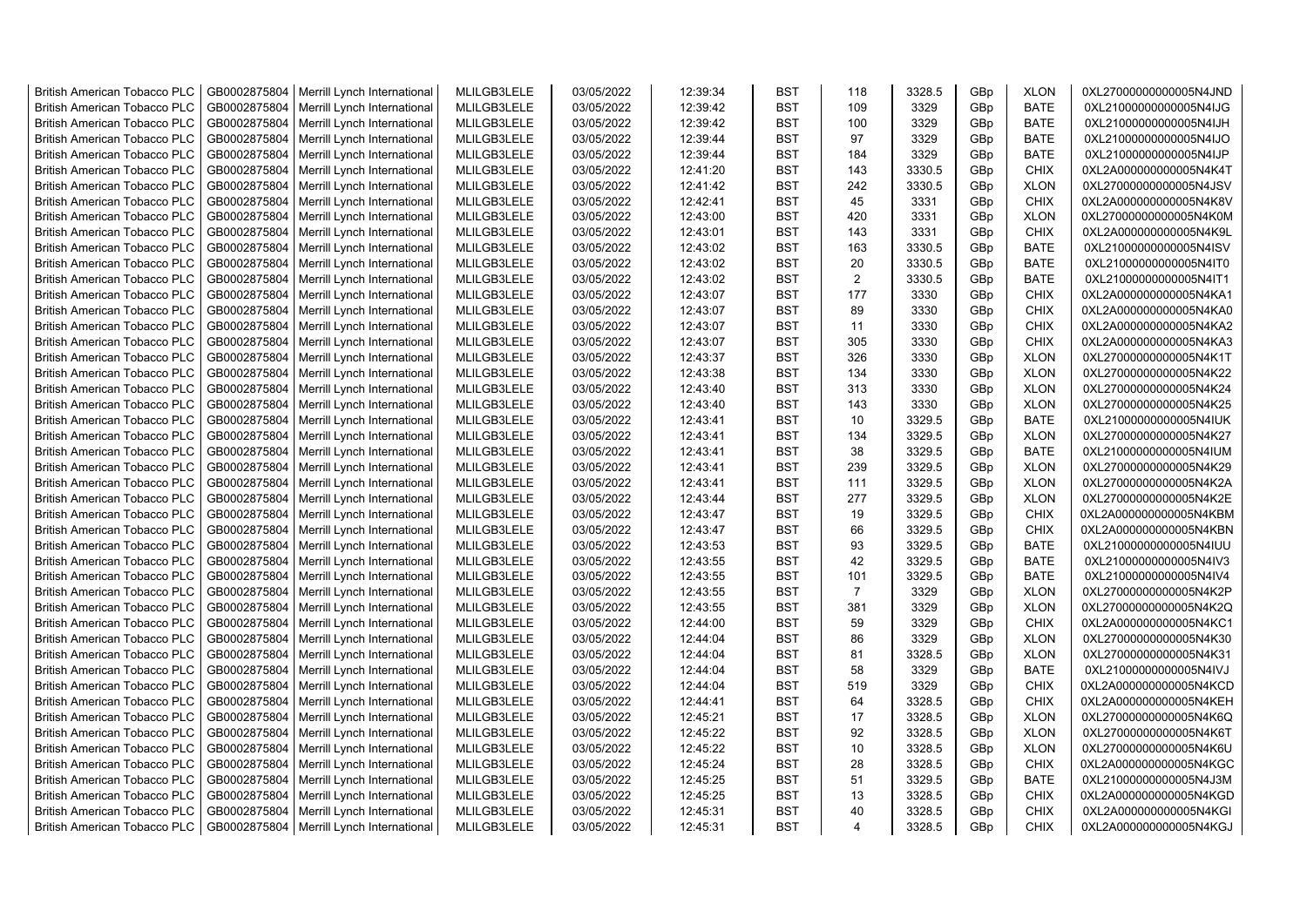| <b>British American Tobacco PLC</b> | GB0002875804                 | Merrill Lynch International | MLILGB3LELE                | 03/05/2022 | 12:39:34 | <b>BST</b>               | 118            | 3328.5           | GBp | <b>XLON</b>                | 0XL27000000000005N4JND |
|-------------------------------------|------------------------------|-----------------------------|----------------------------|------------|----------|--------------------------|----------------|------------------|-----|----------------------------|------------------------|
| <b>British American Tobacco PLC</b> | GB0002875804                 | Merrill Lynch International | MLILGB3LELE                | 03/05/2022 | 12:39:42 | <b>BST</b>               | 109            | 3329             | GBp | <b>BATE</b>                | 0XL21000000000005N4IJG |
| <b>British American Tobacco PLC</b> | GB0002875804                 | Merrill Lynch International | MLILGB3LELE                | 03/05/2022 | 12:39:42 | <b>BST</b>               | 100            | 3329             | GBp | <b>BATE</b>                | 0XL21000000000005N4IJH |
| <b>British American Tobacco PLC</b> | GB0002875804                 | Merrill Lynch International | MLILGB3LELE                | 03/05/2022 | 12:39:44 | <b>BST</b>               | 97             | 3329             | GBp | <b>BATE</b>                | 0XL21000000000005N4IJO |
| British American Tobacco PLC        | GB0002875804                 | Merrill Lynch International | MLILGB3LELE                | 03/05/2022 | 12:39:44 | <b>BST</b>               | 184            | 3329             | GBp | <b>BATE</b>                | 0XL21000000000005N4IJP |
| <b>British American Tobacco PLC</b> | GB0002875804                 | Merrill Lynch International | MLILGB3LELE                | 03/05/2022 | 12:41:20 | <b>BST</b>               | 143            | 3330.5           | GBp | <b>CHIX</b>                | 0XL2A000000000005N4K4T |
| <b>British American Tobacco PLC</b> | GB0002875804                 | Merrill Lynch International | MLILGB3LELE                | 03/05/2022 | 12:41:42 | <b>BST</b>               | 242            | 3330.5           | GBp | <b>XLON</b>                | 0XL27000000000005N4JSV |
| <b>British American Tobacco PLC</b> | GB0002875804                 | Merrill Lynch International | MLILGB3LELE                | 03/05/2022 | 12:42:41 | <b>BST</b>               | 45             | 3331             | GBp | <b>CHIX</b>                | 0XL2A000000000005N4K8V |
| <b>British American Tobacco PLC</b> | GB0002875804                 | Merrill Lynch International | MLILGB3LELE                | 03/05/2022 | 12:43:00 | <b>BST</b>               | 420            | 3331             | GBp | <b>XLON</b>                | 0XL27000000000005N4K0M |
| <b>British American Tobacco PLC</b> | GB0002875804                 | Merrill Lynch International | MLILGB3LELE                | 03/05/2022 | 12:43:01 | <b>BST</b>               | 143            | 3331             | GBp | CHIX                       | 0XL2A000000000005N4K9L |
| <b>British American Tobacco PLC</b> | GB0002875804                 | Merrill Lynch International | MLILGB3LELE                | 03/05/2022 | 12:43:02 | <b>BST</b>               | 163            | 3330.5           | GBp | <b>BATE</b>                | 0XL21000000000005N4ISV |
| <b>British American Tobacco PLC</b> | GB0002875804                 | Merrill Lynch International | MLILGB3LELE                | 03/05/2022 | 12:43:02 | <b>BST</b>               | 20             | 3330.5           | GBp | <b>BATE</b>                | 0XL21000000000005N4IT0 |
| <b>British American Tobacco PLC</b> | GB0002875804                 | Merrill Lynch International | MLILGB3LELE                | 03/05/2022 | 12:43:02 | <b>BST</b>               | 2              | 3330.5           | GBp | <b>BATE</b>                | 0XL21000000000005N4IT1 |
| <b>British American Tobacco PLC</b> | GB0002875804                 | Merrill Lynch International | MLILGB3LELE                | 03/05/2022 | 12:43:07 | <b>BST</b>               | 177            | 3330             | GBp | <b>CHIX</b>                | 0XL2A000000000005N4KA1 |
| <b>British American Tobacco PLC</b> | GB0002875804                 | Merrill Lynch International | MLILGB3LELE                | 03/05/2022 | 12:43:07 | <b>BST</b>               | 89             | 3330             | GBp | <b>CHIX</b>                | 0XL2A000000000005N4KA0 |
| <b>British American Tobacco PLC</b> | GB0002875804                 | Merrill Lynch International | MLILGB3LELE                | 03/05/2022 | 12:43:07 | <b>BST</b>               | 11             | 3330             | GBp | <b>CHIX</b>                | 0XL2A000000000005N4KA2 |
| <b>British American Tobacco PLC</b> | GB0002875804                 | Merrill Lynch International | MLILGB3LELE                | 03/05/2022 | 12:43:07 | <b>BST</b>               | 305            | 3330             | GBp | CHIX                       | 0XL2A000000000005N4KA3 |
| <b>British American Tobacco PLC</b> | GB0002875804                 | Merrill Lynch International | MLILGB3LELE                | 03/05/2022 | 12:43:37 | <b>BST</b>               | 326            | 3330             | GBp | <b>XLON</b>                | 0XL27000000000005N4K1T |
| <b>British American Tobacco PLC</b> | GB0002875804                 | Merrill Lynch International | MLILGB3LELE                | 03/05/2022 | 12:43:38 | <b>BST</b>               | 134            | 3330             | GBp | <b>XLON</b>                | 0XL27000000000005N4K22 |
| <b>British American Tobacco PLC</b> | GB0002875804                 | Merrill Lynch International | MLILGB3LELE                | 03/05/2022 | 12:43:40 | <b>BST</b>               | 313            | 3330             | GBp | <b>XLON</b>                | 0XL27000000000005N4K24 |
| <b>British American Tobacco PLC</b> | GB0002875804                 | Merrill Lynch International | MLILGB3LELE                | 03/05/2022 | 12:43:40 | <b>BST</b>               | 143            | 3330             | GBp | <b>XLON</b>                | 0XL27000000000005N4K25 |
| <b>British American Tobacco PLC</b> | GB0002875804                 | Merrill Lynch International | MLILGB3LELE                | 03/05/2022 | 12:43:41 | <b>BST</b>               | 10             | 3329.5           | GBp | <b>BATE</b>                | 0XL21000000000005N4IUK |
| British American Tobacco PLC        | GB0002875804                 | Merrill Lynch International | MLILGB3LELE                | 03/05/2022 | 12:43:41 | <b>BST</b>               | 134            | 3329.5           | GBp | <b>XLON</b>                | 0XL27000000000005N4K27 |
| <b>British American Tobacco PLC</b> | GB0002875804                 | Merrill Lynch International | MLILGB3LELE                | 03/05/2022 | 12:43:41 | <b>BST</b>               | 38             | 3329.5           | GBp | <b>BATE</b>                | 0XL21000000000005N4IUM |
| <b>British American Tobacco PLC</b> | GB0002875804                 | Merrill Lynch International | MLILGB3LELE                | 03/05/2022 | 12:43:41 | <b>BST</b>               | 239            | 3329.5           | GBp | <b>XLON</b>                | 0XL27000000000005N4K29 |
| <b>British American Tobacco PLC</b> | GB0002875804                 | Merrill Lynch International | MLILGB3LELE                | 03/05/2022 | 12:43:41 | <b>BST</b>               | 111            | 3329.5           | GBp | <b>XLON</b>                | 0XL27000000000005N4K2A |
| <b>British American Tobacco PLC</b> | GB0002875804                 | Merrill Lynch International | MLILGB3LELE                | 03/05/2022 | 12:43:44 | <b>BST</b>               | 277            | 3329.5           | GBp | <b>XLON</b>                | 0XL27000000000005N4K2E |
| <b>British American Tobacco PLC</b> | GB0002875804                 | Merrill Lynch International | MLILGB3LELE                | 03/05/2022 | 12:43:47 | <b>BST</b>               | 19             | 3329.5           | GBp | <b>CHIX</b>                | 0XL2A000000000005N4KBM |
| <b>British American Tobacco PLC</b> | GB0002875804                 | Merrill Lynch International | MLILGB3LELE                | 03/05/2022 | 12:43:47 | <b>BST</b>               | 66             | 3329.5           | GBp | CHIX                       | 0XL2A000000000005N4KBN |
| <b>British American Tobacco PLC</b> | GB0002875804                 | Merrill Lynch International | MLILGB3LELE                | 03/05/2022 | 12:43:53 | <b>BST</b>               | 93             | 3329.5           | GBp | <b>BATE</b>                | 0XL21000000000005N4IUU |
| <b>British American Tobacco PLC</b> | GB0002875804                 | Merrill Lynch International | MLILGB3LELE                | 03/05/2022 | 12:43:55 | <b>BST</b>               | 42             | 3329.5           | GBp | <b>BATE</b>                | 0XL21000000000005N4IV3 |
| <b>British American Tobacco PLC</b> | GB0002875804                 | Merrill Lynch International | MLILGB3LELE                | 03/05/2022 | 12:43:55 | <b>BST</b>               | 101            | 3329.5           | GBp | <b>BATE</b>                | 0XL21000000000005N4IV4 |
| <b>British American Tobacco PLC</b> | GB0002875804                 | Merrill Lynch International | MLILGB3LELE                | 03/05/2022 | 12:43:55 | <b>BST</b>               | $\overline{7}$ | 3329             | GBp | <b>XLON</b>                | 0XL27000000000005N4K2P |
| <b>British American Tobacco PLC</b> | GB0002875804                 | Merrill Lynch International | MLILGB3LELE                | 03/05/2022 | 12:43:55 | <b>BST</b>               | 381            | 3329             | GBp | <b>XLON</b>                | 0XL27000000000005N4K2Q |
| <b>British American Tobacco PLC</b> | GB0002875804                 | Merrill Lynch International | MLILGB3LELE                | 03/05/2022 | 12:44:00 | <b>BST</b>               | 59             | 3329             | GBp | <b>CHIX</b>                | 0XL2A000000000005N4KC1 |
| <b>British American Tobacco PLC</b> | GB0002875804                 | Merrill Lynch International | MLILGB3LELE                | 03/05/2022 | 12:44:04 | <b>BST</b>               | 86             | 3329             | GBp | <b>XLON</b>                | 0XL27000000000005N4K30 |
| <b>British American Tobacco PLC</b> | GB0002875804                 | Merrill Lynch International | MLILGB3LELE                | 03/05/2022 | 12:44:04 | <b>BST</b>               | 81             | 3328.5           | GBp | <b>XLON</b>                | 0XL27000000000005N4K31 |
| <b>British American Tobacco PLC</b> | GB0002875804                 | Merrill Lynch International | MLILGB3LELE                | 03/05/2022 | 12:44:04 | <b>BST</b>               | 58             | 3329             | GBp | <b>BATE</b>                | 0XL21000000000005N4IVJ |
| <b>British American Tobacco PLC</b> | GB0002875804                 | Merrill Lynch International | MLILGB3LELE                | 03/05/2022 | 12:44:04 | <b>BST</b>               | 519            | 3329             | GBp | <b>CHIX</b>                | 0XL2A000000000005N4KCD |
| <b>British American Tobacco PLC</b> | GB0002875804                 | Merrill Lynch International | MLILGB3LELE                | 03/05/2022 | 12:44:41 | <b>BST</b>               | 64             | 3328.5           | GBp | <b>CHIX</b>                | 0XL2A000000000005N4KEH |
| <b>British American Tobacco PLC</b> | GB0002875804                 | Merrill Lynch International | MLILGB3LELE                | 03/05/2022 | 12:45:21 | <b>BST</b>               | 17             | 3328.5           | GBp | <b>XLON</b>                | 0XL27000000000005N4K6Q |
| <b>British American Tobacco PLC</b> | GB0002875804                 | Merrill Lynch International | MLILGB3LELE                | 03/05/2022 | 12:45:22 | <b>BST</b>               | 92             | 3328.5           | GBp | <b>XLON</b>                | 0XL27000000000005N4K6T |
|                                     |                              |                             |                            |            |          |                          | 10             |                  |     |                            |                        |
| <b>British American Tobacco PLC</b> | GB0002875804                 | Merrill Lynch International | MLILGB3LELE                | 03/05/2022 | 12:45:22 | <b>BST</b><br><b>BST</b> | 28             | 3328.5           | GBp | <b>XLON</b>                | 0XL27000000000005N4K6U |
| <b>British American Tobacco PLC</b> | GB0002875804<br>GB0002875804 | Merrill Lynch International | MLILGB3LELE<br>MLILGB3LELE | 03/05/2022 | 12:45:24 | <b>BST</b>               | 51             | 3328.5           | GBp | <b>CHIX</b><br><b>BATE</b> | 0XL2A000000000005N4KGC |
| <b>British American Tobacco PLC</b> |                              | Merrill Lynch International | MLILGB3LELE                | 03/05/2022 | 12:45:25 | <b>BST</b>               | 13             | 3329.5           | GBp | <b>CHIX</b>                | 0XL21000000000005N4J3M |
| <b>British American Tobacco PLC</b> | GB0002875804                 | Merrill Lynch International |                            | 03/05/2022 | 12:45:25 |                          | 40             | 3328.5<br>3328.5 | GBp |                            | 0XL2A000000000005N4KGD |
| <b>British American Tobacco PLC</b> | GB0002875804                 | Merrill Lynch International | MLILGB3LELE                | 03/05/2022 | 12:45:31 | <b>BST</b><br><b>BST</b> | $\overline{4}$ | 3328.5           | GBp | CHIX<br><b>CHIX</b>        | 0XL2A000000000005N4KGI |
| <b>British American Tobacco PLC</b> | GB0002875804                 | Merrill Lynch International | MLILGB3LELE                | 03/05/2022 | 12:45:31 |                          |                |                  | GBp |                            | 0XL2A000000000005N4KGJ |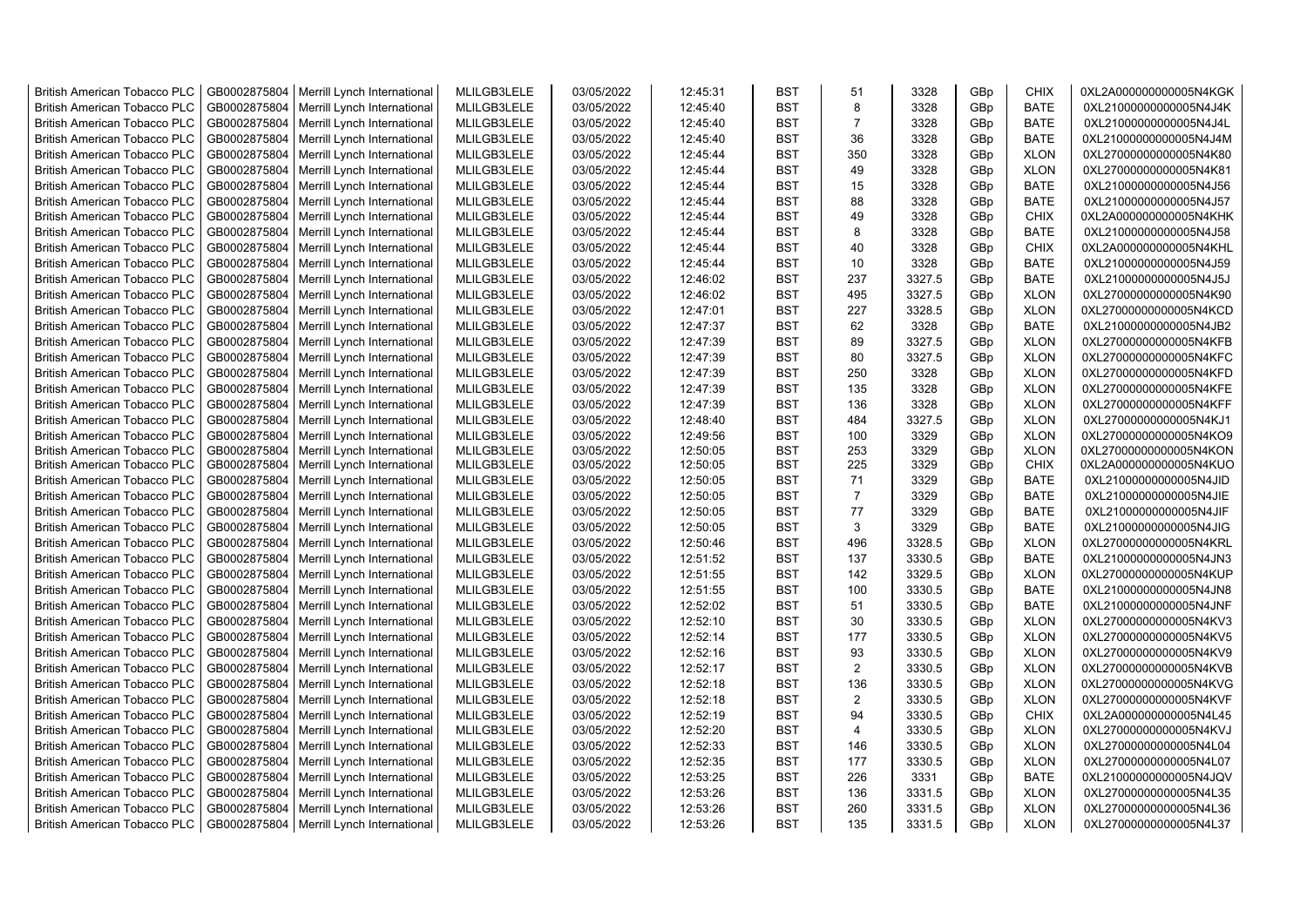| <b>British American Tobacco PLC</b> | GB0002875804 | Merrill Lynch International                | MLILGB3LELE | 03/05/2022 | 12:45:31 | <b>BST</b> | 51             | 3328   | GBp | <b>CHIX</b> | 0XL2A000000000005N4KGK |
|-------------------------------------|--------------|--------------------------------------------|-------------|------------|----------|------------|----------------|--------|-----|-------------|------------------------|
| <b>British American Tobacco PLC</b> | GB0002875804 | Merrill Lynch International                | MLILGB3LELE | 03/05/2022 | 12:45:40 | <b>BST</b> | 8              | 3328   | GBp | <b>BATE</b> | 0XL21000000000005N4J4K |
| <b>British American Tobacco PLC</b> | GB0002875804 | Merrill Lynch International                | MLILGB3LELE | 03/05/2022 | 12:45:40 | <b>BST</b> | $\overline{7}$ | 3328   | GBp | <b>BATE</b> | 0XL21000000000005N4J4L |
| <b>British American Tobacco PLC</b> | GB0002875804 | Merrill Lynch International                | MLILGB3LELE | 03/05/2022 | 12:45:40 | <b>BST</b> | 36             | 3328   | GBp | <b>BATE</b> | 0XL21000000000005N4J4M |
| <b>British American Tobacco PLC</b> | GB0002875804 | Merrill Lynch International                | MLILGB3LELE | 03/05/2022 | 12:45:44 | <b>BST</b> | 350            | 3328   | GBp | <b>XLON</b> | 0XL27000000000005N4K80 |
| <b>British American Tobacco PLC</b> | GB0002875804 | Merrill Lynch International                | MLILGB3LELE | 03/05/2022 | 12:45:44 | <b>BST</b> | 49             | 3328   | GBp | <b>XLON</b> | 0XL27000000000005N4K81 |
| <b>British American Tobacco PLC</b> | GB0002875804 | Merrill Lynch International                | MLILGB3LELE | 03/05/2022 | 12:45:44 | <b>BST</b> | 15             | 3328   | GBp | <b>BATE</b> | 0XL21000000000005N4J56 |
| <b>British American Tobacco PLC</b> | GB0002875804 | Merrill Lynch International                | MLILGB3LELE | 03/05/2022 | 12:45:44 | <b>BST</b> | 88             | 3328   | GBp | <b>BATE</b> | 0XL21000000000005N4J57 |
| <b>British American Tobacco PLC</b> | GB0002875804 | Merrill Lynch International                | MLILGB3LELE | 03/05/2022 | 12:45:44 | <b>BST</b> | 49             | 3328   | GBp | CHIX        | 0XL2A000000000005N4KHK |
| <b>British American Tobacco PLC</b> | GB0002875804 | Merrill Lynch International                | MLILGB3LELE | 03/05/2022 | 12:45:44 | <b>BST</b> | 8              | 3328   | GBp | <b>BATE</b> | 0XL21000000000005N4J58 |
| <b>British American Tobacco PLC</b> | GB0002875804 | Merrill Lynch International                | MLILGB3LELE | 03/05/2022 | 12:45:44 | BST        | 40             | 3328   | GBp | CHIX        | 0XL2A000000000005N4KHL |
| <b>British American Tobacco PLC</b> | GB0002875804 | Merrill Lynch International                | MLILGB3LELE | 03/05/2022 | 12:45:44 | <b>BST</b> | 10             | 3328   | GBp | <b>BATE</b> | 0XL21000000000005N4J59 |
| <b>British American Tobacco PLC</b> | GB0002875804 | Merrill Lynch International                | MLILGB3LELE | 03/05/2022 | 12:46:02 | <b>BST</b> | 237            | 3327.5 | GBp | <b>BATE</b> | 0XL21000000000005N4J5J |
| <b>British American Tobacco PLC</b> | GB0002875804 | Merrill Lynch International                | MLILGB3LELE | 03/05/2022 | 12:46:02 | <b>BST</b> | 495            | 3327.5 | GBp | <b>XLON</b> | 0XL27000000000005N4K90 |
| <b>British American Tobacco PLC</b> | GB0002875804 | Merrill Lynch International                | MLILGB3LELE | 03/05/2022 | 12:47:01 | BST        | 227            | 3328.5 | GBp | <b>XLON</b> | 0XL27000000000005N4KCD |
| <b>British American Tobacco PLC</b> | GB0002875804 | Merrill Lynch International                | MLILGB3LELE | 03/05/2022 | 12:47:37 | <b>BST</b> | 62             | 3328   | GBp | <b>BATE</b> | 0XL21000000000005N4JB2 |
| <b>British American Tobacco PLC</b> | GB0002875804 | Merrill Lynch International                | MLILGB3LELE | 03/05/2022 | 12:47:39 | <b>BST</b> | 89             | 3327.5 | GBp | <b>XLON</b> | 0XL27000000000005N4KFB |
| <b>British American Tobacco PLC</b> | GB0002875804 | Merrill Lynch International                | MLILGB3LELE | 03/05/2022 | 12:47:39 | <b>BST</b> | 80             | 3327.5 | GBp | <b>XLON</b> | 0XL27000000000005N4KFC |
| <b>British American Tobacco PLC</b> | GB0002875804 | Merrill Lynch International                | MLILGB3LELE | 03/05/2022 | 12:47:39 | <b>BST</b> | 250            | 3328   | GBp | <b>XLON</b> | 0XL27000000000005N4KFD |
| <b>British American Tobacco PLC</b> | GB0002875804 | Merrill Lynch International                | MLILGB3LELE | 03/05/2022 | 12:47:39 | <b>BST</b> | 135            | 3328   | GBp | <b>XLON</b> | 0XL27000000000005N4KFE |
| <b>British American Tobacco PLC</b> | GB0002875804 | Merrill Lynch International                | MLILGB3LELE | 03/05/2022 | 12:47:39 | <b>BST</b> | 136            | 3328   | GBp | <b>XLON</b> | 0XL27000000000005N4KFF |
| <b>British American Tobacco PLC</b> | GB0002875804 | Merrill Lynch International                | MLILGB3LELE | 03/05/2022 | 12:48:40 | <b>BST</b> | 484            | 3327.5 | GBp | <b>XLON</b> | 0XL27000000000005N4KJ1 |
| <b>British American Tobacco PLC</b> | GB0002875804 | Merrill Lynch International                | MLILGB3LELE | 03/05/2022 | 12:49:56 | <b>BST</b> | 100            | 3329   | GBp | <b>XLON</b> | 0XL27000000000005N4KO9 |
| <b>British American Tobacco PLC</b> | GB0002875804 | Merrill Lynch International                | MLILGB3LELE | 03/05/2022 | 12:50:05 | BST        | 253            | 3329   | GBp | <b>XLON</b> | 0XL27000000000005N4KON |
| <b>British American Tobacco PLC</b> | GB0002875804 | Merrill Lynch International                | MLILGB3LELE | 03/05/2022 | 12:50:05 | <b>BST</b> | 225            | 3329   | GBp | <b>CHIX</b> | 0XL2A000000000005N4KUO |
| <b>British American Tobacco PLC</b> | GB0002875804 | Merrill Lynch International                | MLILGB3LELE | 03/05/2022 | 12:50:05 | <b>BST</b> | 71             | 3329   | GBp | <b>BATE</b> | 0XL21000000000005N4JID |
| <b>British American Tobacco PLC</b> | GB0002875804 | Merrill Lynch International                | MLILGB3LELE | 03/05/2022 | 12:50:05 | <b>BST</b> | $\overline{7}$ | 3329   | GBp | <b>BATE</b> | 0XL21000000000005N4JIE |
| <b>British American Tobacco PLC</b> | GB0002875804 | Merrill Lynch International                | MLILGB3LELE | 03/05/2022 | 12:50:05 | <b>BST</b> | 77             | 3329   | GBp | <b>BATE</b> | 0XL21000000000005N4JIF |
| <b>British American Tobacco PLC</b> | GB0002875804 | Merrill Lynch International                | MLILGB3LELE | 03/05/2022 | 12:50:05 | <b>BST</b> | 3              | 3329   | GBp | <b>BATE</b> | 0XL21000000000005N4JIG |
| <b>British American Tobacco PLC</b> | GB0002875804 | Merrill Lynch International                | MLILGB3LELE | 03/05/2022 | 12:50:46 | <b>BST</b> | 496            | 3328.5 | GBp | <b>XLON</b> | 0XL27000000000005N4KRL |
| <b>British American Tobacco PLC</b> | GB0002875804 | Merrill Lynch International                | MLILGB3LELE | 03/05/2022 | 12:51:52 | <b>BST</b> | 137            | 3330.5 | GBp | <b>BATE</b> | 0XL21000000000005N4JN3 |
| <b>British American Tobacco PLC</b> | GB0002875804 | Merrill Lynch International                | MLILGB3LELE | 03/05/2022 | 12:51:55 | <b>BST</b> | 142            | 3329.5 | GBp | <b>XLON</b> | 0XL27000000000005N4KUP |
| <b>British American Tobacco PLC</b> | GB0002875804 | Merrill Lynch International                | MLILGB3LELE | 03/05/2022 | 12:51:55 | <b>BST</b> | 100            | 3330.5 | GBp | <b>BATE</b> | 0XL21000000000005N4JN8 |
| <b>British American Tobacco PLC</b> | GB0002875804 | Merrill Lynch International                | MLILGB3LELE | 03/05/2022 | 12:52:02 | <b>BST</b> | 51             | 3330.5 | GBp | <b>BATE</b> | 0XL21000000000005N4JNF |
| <b>British American Tobacco PLC</b> | GB0002875804 | Merrill Lynch International                | MLILGB3LELE | 03/05/2022 | 12:52:10 | <b>BST</b> | 30             | 3330.5 | GBp | <b>XLON</b> | 0XL27000000000005N4KV3 |
| <b>British American Tobacco PLC</b> | GB0002875804 | Merrill Lynch International                | MLILGB3LELE | 03/05/2022 | 12:52:14 | <b>BST</b> | 177            | 3330.5 | GBp | <b>XLON</b> | 0XL27000000000005N4KV5 |
| <b>British American Tobacco PLC</b> | GB0002875804 | Merrill Lynch International                | MLILGB3LELE | 03/05/2022 | 12:52:16 | <b>BST</b> | 93             | 3330.5 | GBp | <b>XLON</b> | 0XL27000000000005N4KV9 |
| <b>British American Tobacco PLC</b> | GB0002875804 | Merrill Lynch International                | MLILGB3LELE | 03/05/2022 | 12:52:17 | <b>BST</b> | $\overline{2}$ | 3330.5 | GBp | <b>XLON</b> | 0XL27000000000005N4KVB |
| <b>British American Tobacco PLC</b> | GB0002875804 | Merrill Lynch International                | MLILGB3LELE | 03/05/2022 | 12:52:18 | <b>BST</b> | 136            | 3330.5 | GBp | <b>XLON</b> | 0XL27000000000005N4KVG |
| <b>British American Tobacco PLC</b> | GB0002875804 | Merrill Lynch International                | MLILGB3LELE | 03/05/2022 | 12:52:18 | <b>BST</b> | 2              | 3330.5 | GBp | <b>XLON</b> | 0XL27000000000005N4KVF |
| <b>British American Tobacco PLC</b> | GB0002875804 | Merrill Lynch International                | MLILGB3LELE | 03/05/2022 | 12:52:19 | <b>BST</b> | 94             | 3330.5 | GBp | <b>CHIX</b> | 0XL2A000000000005N4L45 |
| <b>British American Tobacco PLC</b> | GB0002875804 | Merrill Lynch International                | MLILGB3LELE | 03/05/2022 | 12:52:20 | <b>BST</b> | $\overline{4}$ | 3330.5 | GBp | <b>XLON</b> | 0XL27000000000005N4KVJ |
| <b>British American Tobacco PLC</b> | GB0002875804 | Merrill Lynch International                | MLILGB3LELE | 03/05/2022 | 12:52:33 | <b>BST</b> | 146            | 3330.5 | GBp | <b>XLON</b> | 0XL27000000000005N4L04 |
| <b>British American Tobacco PLC</b> | GB0002875804 | Merrill Lynch International                | MLILGB3LELE | 03/05/2022 | 12:52:35 | <b>BST</b> | 177            | 3330.5 | GBp | <b>XLON</b> | 0XL27000000000005N4L07 |
| <b>British American Tobacco PLC</b> | GB0002875804 | Merrill Lynch International                | MLILGB3LELE | 03/05/2022 | 12:53:25 | BST        | 226            | 3331   | GBp | <b>BATE</b> | 0XL21000000000005N4JQV |
| <b>British American Tobacco PLC</b> | GB0002875804 | Merrill Lynch International                | MLILGB3LELE | 03/05/2022 | 12:53:26 | <b>BST</b> | 136            | 3331.5 | GBp | <b>XLON</b> | 0XL27000000000005N4L35 |
| <b>British American Tobacco PLC</b> | GB0002875804 | Merrill Lynch International                | MLILGB3LELE | 03/05/2022 | 12:53:26 | <b>BST</b> | 260            | 3331.5 | GBp | <b>XLON</b> | 0XL27000000000005N4L36 |
| <b>British American Tobacco PLC</b> |              | GB0002875804   Merrill Lynch International | MLILGB3LELE | 03/05/2022 | 12:53:26 | <b>BST</b> | 135            | 3331.5 | GBp | <b>XLON</b> | 0XL27000000000005N4L37 |
|                                     |              |                                            |             |            |          |            |                |        |     |             |                        |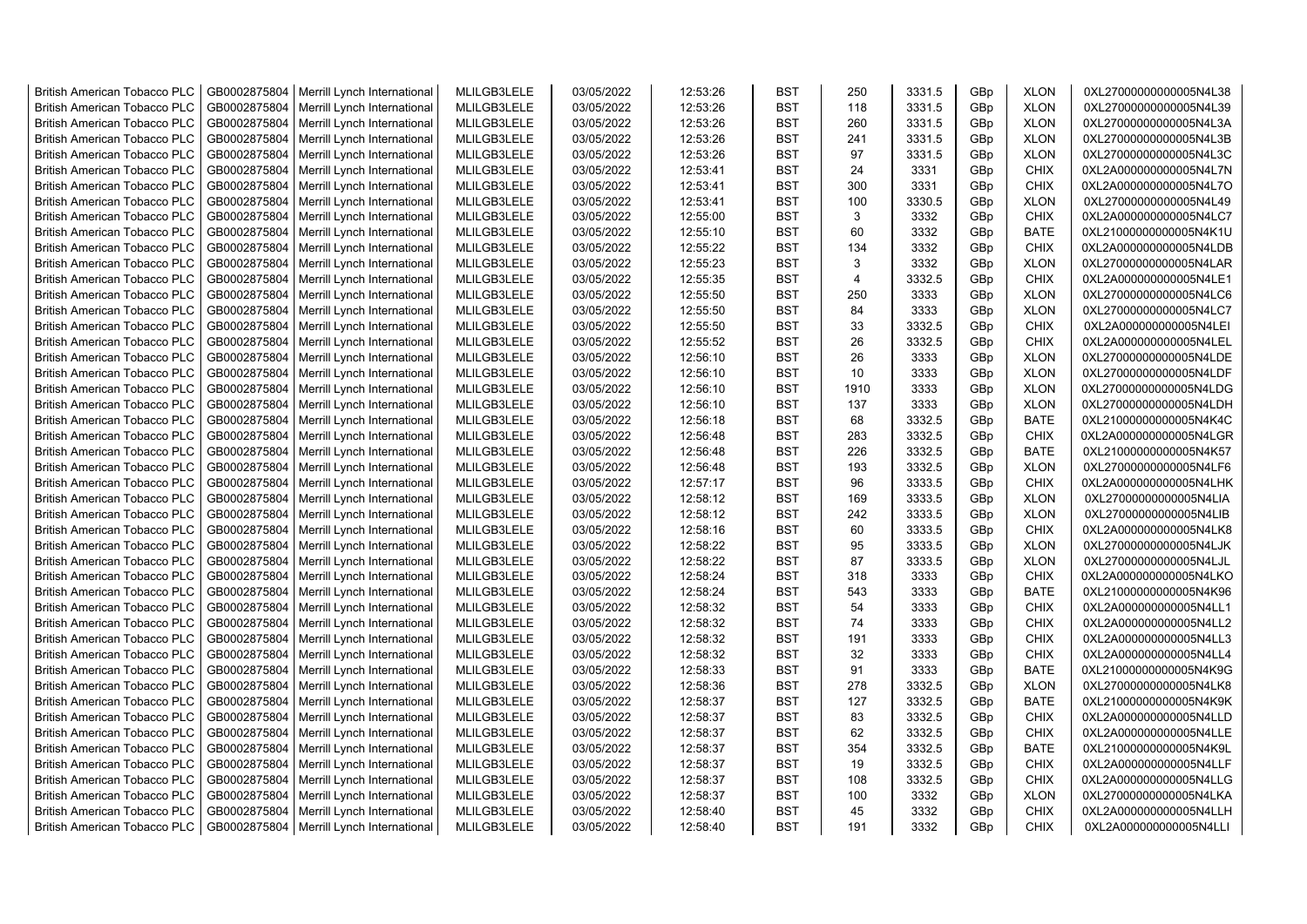| <b>British American Tobacco PLC</b> | GB0002875804 | Merrill Lynch International                | MLILGB3LELE | 03/05/2022 | 12:53:26 | <b>BST</b> | 250            | 3331.5 | GBp | <b>XLON</b> | 0XL27000000000005N4L38 |
|-------------------------------------|--------------|--------------------------------------------|-------------|------------|----------|------------|----------------|--------|-----|-------------|------------------------|
| <b>British American Tobacco PLC</b> | GB0002875804 | Merrill Lynch International                | MLILGB3LELE | 03/05/2022 | 12:53:26 | <b>BST</b> | 118            | 3331.5 | GBp | <b>XLON</b> | 0XL27000000000005N4L39 |
| <b>British American Tobacco PLC</b> | GB0002875804 | Merrill Lynch International                | MLILGB3LELE | 03/05/2022 | 12:53:26 | <b>BST</b> | 260            | 3331.5 | GBp | <b>XLON</b> | 0XL27000000000005N4L3A |
| <b>British American Tobacco PLC</b> | GB0002875804 | Merrill Lynch International                | MLILGB3LELE | 03/05/2022 | 12:53:26 | <b>BST</b> | 241            | 3331.5 | GBp | <b>XLON</b> | 0XL27000000000005N4L3B |
| <b>British American Tobacco PLC</b> | GB0002875804 | Merrill Lynch International                | MLILGB3LELE | 03/05/2022 | 12:53:26 | <b>BST</b> | 97             | 3331.5 | GBp | <b>XLON</b> | 0XL27000000000005N4L3C |
| <b>British American Tobacco PLC</b> | GB0002875804 | Merrill Lynch International                | MLILGB3LELE | 03/05/2022 | 12:53:41 | <b>BST</b> | 24             | 3331   | GBp | <b>CHIX</b> | 0XL2A000000000005N4L7N |
| <b>British American Tobacco PLC</b> | GB0002875804 | Merrill Lynch International                | MLILGB3LELE | 03/05/2022 | 12:53:41 | <b>BST</b> | 300            | 3331   | GBp | CHIX        | 0XL2A000000000005N4L7O |
| <b>British American Tobacco PLC</b> | GB0002875804 | Merrill Lynch International                | MLILGB3LELE | 03/05/2022 | 12:53:41 | <b>BST</b> | 100            | 3330.5 | GBp | <b>XLON</b> | 0XL27000000000005N4L49 |
| <b>British American Tobacco PLC</b> | GB0002875804 | Merrill Lynch International                | MLILGB3LELE | 03/05/2022 | 12:55:00 | <b>BST</b> | 3              | 3332   | GBp | <b>CHIX</b> | 0XL2A000000000005N4LC7 |
| <b>British American Tobacco PLC</b> | GB0002875804 | Merrill Lynch International                | MLILGB3LELE | 03/05/2022 | 12:55:10 | <b>BST</b> | 60             | 3332   | GBp | <b>BATE</b> | 0XL21000000000005N4K1U |
| <b>British American Tobacco PLC</b> | GB0002875804 | Merrill Lynch International                | MLILGB3LELE | 03/05/2022 | 12:55:22 | <b>BST</b> | 134            | 3332   | GBp | <b>CHIX</b> | 0XL2A000000000005N4LDB |
| <b>British American Tobacco PLC</b> | GB0002875804 | Merrill Lynch International                | MLILGB3LELE | 03/05/2022 | 12:55:23 | <b>BST</b> | 3              | 3332   | GBp | <b>XLON</b> | 0XL27000000000005N4LAR |
| British American Tobacco PLC        | GB0002875804 | Merrill Lynch International                | MLILGB3LELE | 03/05/2022 | 12:55:35 | <b>BST</b> | $\overline{4}$ | 3332.5 | GBp | <b>CHIX</b> | 0XL2A000000000005N4LE1 |
| <b>British American Tobacco PLC</b> | GB0002875804 | Merrill Lynch International                | MLILGB3LELE | 03/05/2022 | 12:55:50 | <b>BST</b> | 250            | 3333   | GBp | <b>XLON</b> | 0XL27000000000005N4LC6 |
| <b>British American Tobacco PLC</b> | GB0002875804 | Merrill Lynch International                | MLILGB3LELE | 03/05/2022 | 12:55:50 | <b>BST</b> | 84             | 3333   | GBp | <b>XLON</b> | 0XL27000000000005N4LC7 |
| <b>British American Tobacco PLC</b> | GB0002875804 | Merrill Lynch International                | MLILGB3LELE | 03/05/2022 | 12:55:50 | <b>BST</b> | 33             | 3332.5 | GBp | <b>CHIX</b> | 0XL2A000000000005N4LEI |
| <b>British American Tobacco PLC</b> | GB0002875804 | Merrill Lynch International                | MLILGB3LELE | 03/05/2022 | 12:55:52 | <b>BST</b> | 26             | 3332.5 | GBp | CHIX        | 0XL2A000000000005N4LEL |
| <b>British American Tobacco PLC</b> | GB0002875804 | Merrill Lynch International                | MLILGB3LELE | 03/05/2022 | 12:56:10 | <b>BST</b> | 26             | 3333   | GBp | <b>XLON</b> | 0XL27000000000005N4LDE |
| <b>British American Tobacco PLC</b> | GB0002875804 | Merrill Lynch International                | MLILGB3LELE | 03/05/2022 | 12:56:10 | <b>BST</b> | 10             | 3333   | GBp | <b>XLON</b> | 0XL27000000000005N4LDF |
| <b>British American Tobacco PLC</b> | GB0002875804 | Merrill Lynch International                | MLILGB3LELE | 03/05/2022 | 12:56:10 | <b>BST</b> | 1910           | 3333   | GBp | <b>XLON</b> | 0XL27000000000005N4LDG |
| <b>British American Tobacco PLC</b> | GB0002875804 | Merrill Lynch International                | MLILGB3LELE | 03/05/2022 | 12:56:10 | <b>BST</b> | 137            | 3333   | GBp | <b>XLON</b> | 0XL27000000000005N4LDH |
| <b>British American Tobacco PLC</b> | GB0002875804 | Merrill Lynch International                | MLILGB3LELE | 03/05/2022 | 12:56:18 | <b>BST</b> | 68             | 3332.5 | GBp | <b>BATE</b> | 0XL21000000000005N4K4C |
| <b>British American Tobacco PLC</b> | GB0002875804 | Merrill Lynch International                | MLILGB3LELE | 03/05/2022 | 12:56:48 | <b>BST</b> | 283            | 3332.5 | GBp | <b>CHIX</b> | 0XL2A000000000005N4LGR |
| <b>British American Tobacco PLC</b> | GB0002875804 | Merrill Lynch International                | MLILGB3LELE | 03/05/2022 | 12:56:48 | <b>BST</b> | 226            | 3332.5 | GBp | <b>BATE</b> | 0XL21000000000005N4K57 |
| <b>British American Tobacco PLC</b> | GB0002875804 | Merrill Lynch International                | MLILGB3LELE | 03/05/2022 | 12:56:48 | <b>BST</b> | 193            | 3332.5 | GBp | <b>XLON</b> | 0XL27000000000005N4LF6 |
| <b>British American Tobacco PLC</b> | GB0002875804 | Merrill Lynch International                | MLILGB3LELE | 03/05/2022 | 12:57:17 | <b>BST</b> | 96             | 3333.5 | GBp | <b>CHIX</b> | 0XL2A000000000005N4LHK |
| <b>British American Tobacco PLC</b> | GB0002875804 | Merrill Lynch International                | MLILGB3LELE | 03/05/2022 | 12:58:12 | <b>BST</b> | 169            | 3333.5 | GBp | <b>XLON</b> | 0XL27000000000005N4LIA |
| <b>British American Tobacco PLC</b> | GB0002875804 | Merrill Lynch International                | MLILGB3LELE | 03/05/2022 | 12:58:12 | <b>BST</b> | 242            | 3333.5 | GBp | <b>XLON</b> | 0XL27000000000005N4LIB |
| <b>British American Tobacco PLC</b> | GB0002875804 | Merrill Lynch International                | MLILGB3LELE | 03/05/2022 | 12:58:16 | <b>BST</b> | 60             | 3333.5 | GBp | <b>CHIX</b> | 0XL2A000000000005N4LK8 |
| <b>British American Tobacco PLC</b> | GB0002875804 | Merrill Lynch International                | MLILGB3LELE | 03/05/2022 | 12:58:22 | <b>BST</b> | 95             | 3333.5 | GBp | <b>XLON</b> | 0XL27000000000005N4LJK |
| <b>British American Tobacco PLC</b> | GB0002875804 | Merrill Lynch International                | MLILGB3LELE | 03/05/2022 | 12:58:22 | <b>BST</b> | 87             | 3333.5 | GBp | <b>XLON</b> | 0XL27000000000005N4LJL |
| <b>British American Tobacco PLC</b> | GB0002875804 | Merrill Lynch International                | MLILGB3LELE | 03/05/2022 | 12:58:24 | <b>BST</b> | 318            | 3333   | GBp | <b>CHIX</b> | 0XL2A000000000005N4LKO |
| <b>British American Tobacco PLC</b> | GB0002875804 | Merrill Lynch International                | MLILGB3LELE | 03/05/2022 | 12:58:24 | <b>BST</b> | 543            | 3333   | GBp | <b>BATE</b> | 0XL21000000000005N4K96 |
| <b>British American Tobacco PLC</b> | GB0002875804 | Merrill Lynch International                | MLILGB3LELE | 03/05/2022 | 12:58:32 | <b>BST</b> | 54             | 3333   | GBp | <b>CHIX</b> | 0XL2A000000000005N4LL1 |
| <b>British American Tobacco PLC</b> | GB0002875804 | Merrill Lynch International                | MLILGB3LELE | 03/05/2022 | 12:58:32 | <b>BST</b> | 74             | 3333   | GBp | <b>CHIX</b> | 0XL2A000000000005N4LL2 |
| <b>British American Tobacco PLC</b> | GB0002875804 | Merrill Lynch International                | MLILGB3LELE | 03/05/2022 | 12:58:32 | <b>BST</b> | 191            | 3333   | GBp | <b>CHIX</b> | 0XL2A000000000005N4LL3 |
| <b>British American Tobacco PLC</b> | GB0002875804 | Merrill Lynch International                | MLILGB3LELE | 03/05/2022 | 12:58:32 | <b>BST</b> | 32             | 3333   | GBp | <b>CHIX</b> | 0XL2A000000000005N4LL4 |
| <b>British American Tobacco PLC</b> | GB0002875804 | Merrill Lynch International                | MLILGB3LELE | 03/05/2022 | 12:58:33 | <b>BST</b> | 91             | 3333   | GBp | <b>BATE</b> | 0XL21000000000005N4K9G |
| <b>British American Tobacco PLC</b> | GB0002875804 | Merrill Lynch International                | MLILGB3LELE | 03/05/2022 | 12:58:36 | <b>BST</b> | 278            | 3332.5 | GBp | <b>XLON</b> | 0XL27000000000005N4LK8 |
| <b>British American Tobacco PLC</b> | GB0002875804 | Merrill Lynch International                | MLILGB3LELE | 03/05/2022 | 12:58:37 | <b>BST</b> | 127            | 3332.5 | GBp | <b>BATE</b> | 0XL21000000000005N4K9K |
| <b>British American Tobacco PLC</b> | GB0002875804 | Merrill Lynch International                | MLILGB3LELE | 03/05/2022 | 12:58:37 | <b>BST</b> | 83             | 3332.5 | GBp | CHIX        | 0XL2A000000000005N4LLD |
| <b>British American Tobacco PLC</b> | GB0002875804 | Merrill Lynch International                | MLILGB3LELE | 03/05/2022 | 12:58:37 | <b>BST</b> | 62             | 3332.5 | GBp | CHIX        | 0XL2A000000000005N4LLE |
| <b>British American Tobacco PLC</b> | GB0002875804 | Merrill Lynch International                | MLILGB3LELE | 03/05/2022 | 12:58:37 | <b>BST</b> | 354            | 3332.5 | GBp | <b>BATE</b> | 0XL21000000000005N4K9L |
| <b>British American Tobacco PLC</b> | GB0002875804 | Merrill Lynch International                | MLILGB3LELE | 03/05/2022 | 12:58:37 | <b>BST</b> | 19             | 3332.5 | GBp | <b>CHIX</b> | 0XL2A000000000005N4LLF |
| <b>British American Tobacco PLC</b> | GB0002875804 | Merrill Lynch International                | MLILGB3LELE | 03/05/2022 | 12:58:37 | <b>BST</b> | 108            | 3332.5 | GBp | CHIX        | 0XL2A000000000005N4LLG |
| <b>British American Tobacco PLC</b> | GB0002875804 | Merrill Lynch International                | MLILGB3LELE | 03/05/2022 | 12:58:37 | <b>BST</b> | 100            | 3332   | GBp | <b>XLON</b> | 0XL27000000000005N4LKA |
| <b>British American Tobacco PLC</b> | GB0002875804 | Merrill Lynch International                | MLILGB3LELE | 03/05/2022 | 12:58:40 | <b>BST</b> | 45             | 3332   | GBp | <b>CHIX</b> | 0XL2A000000000005N4LLH |
| <b>British American Tobacco PLC</b> |              | GB0002875804   Merrill Lynch International | MLILGB3LELE | 03/05/2022 | 12:58:40 | <b>BST</b> | 191            | 3332   | GBp | <b>CHIX</b> | 0XL2A000000000005N4LLI |
|                                     |              |                                            |             |            |          |            |                |        |     |             |                        |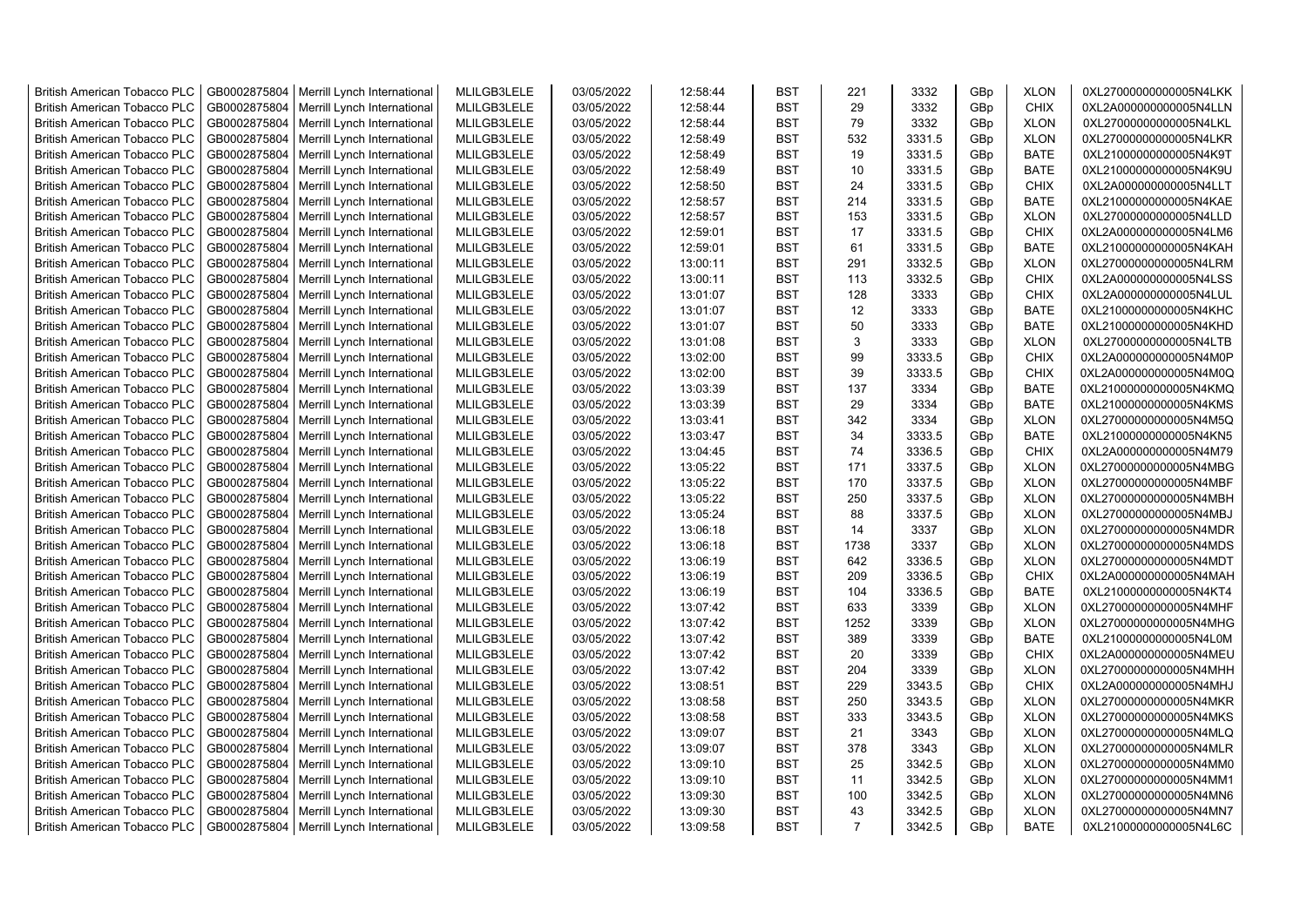| <b>British American Tobacco PLC</b> | GB0002875804 | Merrill Lynch International | MLILGB3LELE | 03/05/2022 | 12:58:44 | <b>BST</b>               | 221            | 3332   | GBp             | <b>XLON</b> | 0XL27000000000005N4LKK |
|-------------------------------------|--------------|-----------------------------|-------------|------------|----------|--------------------------|----------------|--------|-----------------|-------------|------------------------|
| <b>British American Tobacco PLC</b> | GB0002875804 | Merrill Lynch International | MLILGB3LELE | 03/05/2022 | 12:58:44 | <b>BST</b>               | 29             | 3332   | GBp             | <b>CHIX</b> | 0XL2A000000000005N4LLN |
| <b>British American Tobacco PLC</b> | GB0002875804 | Merrill Lynch International | MLILGB3LELE | 03/05/2022 | 12:58:44 | <b>BST</b>               | 79             | 3332   | GBp             | <b>XLON</b> | 0XL27000000000005N4LKL |
| <b>British American Tobacco PLC</b> | GB0002875804 | Merrill Lynch International | MLILGB3LELE | 03/05/2022 | 12:58:49 | <b>BST</b>               | 532            | 3331.5 | GBp             | <b>XLON</b> | 0XL27000000000005N4LKR |
| <b>British American Tobacco PLC</b> | GB0002875804 | Merrill Lynch International | MLILGB3LELE | 03/05/2022 | 12:58:49 | <b>BST</b>               | 19             | 3331.5 | GBp             | <b>BATE</b> | 0XL21000000000005N4K9T |
| <b>British American Tobacco PLC</b> | GB0002875804 | Merrill Lynch International | MLILGB3LELE | 03/05/2022 | 12:58:49 | <b>BST</b>               | 10             | 3331.5 | GBp             | <b>BATE</b> | 0XL21000000000005N4K9U |
| <b>British American Tobacco PLC</b> | GB0002875804 | Merrill Lynch International | MLILGB3LELE | 03/05/2022 | 12:58:50 | <b>BST</b>               | 24             | 3331.5 | GBp             | <b>CHIX</b> | 0XL2A000000000005N4LLT |
| <b>British American Tobacco PLC</b> | GB0002875804 | Merrill Lynch International | MLILGB3LELE | 03/05/2022 | 12:58:57 | <b>BST</b>               | 214            | 3331.5 | GBp             | <b>BATE</b> | 0XL21000000000005N4KAE |
| <b>British American Tobacco PLC</b> | GB0002875804 | Merrill Lynch International | MLILGB3LELE | 03/05/2022 | 12:58:57 | <b>BST</b>               | 153            | 3331.5 | GBp             | <b>XLON</b> | 0XL27000000000005N4LLD |
| <b>British American Tobacco PLC</b> | GB0002875804 | Merrill Lynch International | MLILGB3LELE | 03/05/2022 | 12:59:01 | <b>BST</b>               | 17             | 3331.5 | GBp             | <b>CHIX</b> | 0XL2A000000000005N4LM6 |
| <b>British American Tobacco PLC</b> | GB0002875804 | Merrill Lynch International | MLILGB3LELE | 03/05/2022 | 12:59:01 | <b>BST</b>               | 61             | 3331.5 | GBp             | <b>BATE</b> | 0XL21000000000005N4KAH |
| British American Tobacco PLC        | GB0002875804 | Merrill Lynch International | MLILGB3LELE | 03/05/2022 | 13:00:11 | <b>BST</b>               | 291            | 3332.5 | GBp             | <b>XLON</b> | 0XL27000000000005N4LRM |
| <b>British American Tobacco PLC</b> | GB0002875804 | Merrill Lynch International | MLILGB3LELE | 03/05/2022 | 13:00:11 | <b>BST</b>               | 113            | 3332.5 | GBp             | <b>CHIX</b> | 0XL2A000000000005N4LSS |
| <b>British American Tobacco PLC</b> | GB0002875804 | Merrill Lynch International | MLILGB3LELE | 03/05/2022 | 13:01:07 | <b>BST</b>               | 128            | 3333   | GBp             | <b>CHIX</b> | 0XL2A000000000005N4LUL |
| <b>British American Tobacco PLC</b> | GB0002875804 |                             | MLILGB3LELE | 03/05/2022 | 13:01:07 | <b>BST</b>               | 12             | 3333   |                 | <b>BATE</b> |                        |
|                                     |              | Merrill Lynch International |             |            |          |                          | 50             |        | GBp             |             | 0XL21000000000005N4KHC |
| British American Tobacco PLC        | GB0002875804 | Merrill Lynch International | MLILGB3LELE | 03/05/2022 | 13:01:07 | <b>BST</b><br><b>BST</b> | 3              | 3333   | GBp             | <b>BATE</b> | 0XL21000000000005N4KHD |
| British American Tobacco PLC        | GB0002875804 | Merrill Lynch International | MLILGB3LELE | 03/05/2022 | 13:01:08 |                          |                | 3333   | GBp             | <b>XLON</b> | 0XL27000000000005N4LTB |
| <b>British American Tobacco PLC</b> | GB0002875804 | Merrill Lynch International | MLILGB3LELE | 03/05/2022 | 13:02:00 | <b>BST</b>               | 99             | 3333.5 | GBp             | <b>CHIX</b> | 0XL2A000000000005N4M0P |
| British American Tobacco PLC        | GB0002875804 | Merrill Lynch International | MLILGB3LELE | 03/05/2022 | 13:02:00 | <b>BST</b>               | 39             | 3333.5 | GBp             | <b>CHIX</b> | 0XL2A000000000005N4M0Q |
| <b>British American Tobacco PLC</b> | GB0002875804 | Merrill Lynch International | MLILGB3LELE | 03/05/2022 | 13:03:39 | <b>BST</b>               | 137            | 3334   | GBp             | <b>BATE</b> | 0XL21000000000005N4KMQ |
| <b>British American Tobacco PLC</b> | GB0002875804 | Merrill Lynch International | MLILGB3LELE | 03/05/2022 | 13:03:39 | <b>BST</b>               | 29             | 3334   | GBp             | <b>BATE</b> | 0XL21000000000005N4KMS |
| <b>British American Tobacco PLC</b> | GB0002875804 | Merrill Lynch International | MLILGB3LELE | 03/05/2022 | 13:03:41 | <b>BST</b>               | 342            | 3334   | GBp             | <b>XLON</b> | 0XL27000000000005N4M5Q |
| <b>British American Tobacco PLC</b> | GB0002875804 | Merrill Lynch International | MLILGB3LELE | 03/05/2022 | 13:03:47 | <b>BST</b>               | 34             | 3333.5 | GBp             | <b>BATE</b> | 0XL21000000000005N4KN5 |
| <b>British American Tobacco PLC</b> | GB0002875804 | Merrill Lynch International | MLILGB3LELE | 03/05/2022 | 13:04:45 | <b>BST</b>               | 74             | 3336.5 | GBp             | <b>CHIX</b> | 0XL2A000000000005N4M79 |
| <b>British American Tobacco PLC</b> | GB0002875804 | Merrill Lynch International | MLILGB3LELE | 03/05/2022 | 13:05:22 | <b>BST</b>               | 171            | 3337.5 | GBp             | <b>XLON</b> | 0XL27000000000005N4MBG |
| British American Tobacco PLC        | GB0002875804 | Merrill Lynch International | MLILGB3LELE | 03/05/2022 | 13:05:22 | <b>BST</b>               | 170            | 3337.5 | GBp             | <b>XLON</b> | 0XL27000000000005N4MBF |
| <b>British American Tobacco PLC</b> | GB0002875804 | Merrill Lynch International | MLILGB3LELE | 03/05/2022 | 13:05:22 | <b>BST</b>               | 250            | 3337.5 | GBp             | <b>XLON</b> | 0XL27000000000005N4MBH |
| <b>British American Tobacco PLC</b> | GB0002875804 | Merrill Lynch International | MLILGB3LELE | 03/05/2022 | 13:05:24 | <b>BST</b>               | 88             | 3337.5 | GBp             | <b>XLON</b> | 0XL27000000000005N4MBJ |
| <b>British American Tobacco PLC</b> | GB0002875804 | Merrill Lynch International | MLILGB3LELE | 03/05/2022 | 13:06:18 | <b>BST</b>               | 14             | 3337   | GBp             | <b>XLON</b> | 0XL27000000000005N4MDR |
| <b>British American Tobacco PLC</b> | GB0002875804 | Merrill Lynch International | MLILGB3LELE | 03/05/2022 | 13:06:18 | <b>BST</b>               | 1738           | 3337   | GBp             | <b>XLON</b> | 0XL27000000000005N4MDS |
| <b>British American Tobacco PLC</b> | GB0002875804 | Merrill Lynch International | MLILGB3LELE | 03/05/2022 | 13:06:19 | <b>BST</b>               | 642            | 3336.5 | GBp             | <b>XLON</b> | 0XL27000000000005N4MDT |
| <b>British American Tobacco PLC</b> | GB0002875804 | Merrill Lynch International | MLILGB3LELE | 03/05/2022 | 13:06:19 | <b>BST</b>               | 209            | 3336.5 | GBp             | <b>CHIX</b> | 0XL2A000000000005N4MAH |
| <b>British American Tobacco PLC</b> | GB0002875804 | Merrill Lynch International | MLILGB3LELE | 03/05/2022 | 13:06:19 | <b>BST</b>               | 104            | 3336.5 | GBp             | <b>BATE</b> | 0XL21000000000005N4KT4 |
| <b>British American Tobacco PLC</b> | GB0002875804 | Merrill Lynch International | MLILGB3LELE | 03/05/2022 | 13:07:42 | <b>BST</b>               | 633            | 3339   | GBp             | <b>XLON</b> | 0XL27000000000005N4MHF |
| <b>British American Tobacco PLC</b> | GB0002875804 | Merrill Lynch International | MLILGB3LELE | 03/05/2022 | 13:07:42 | <b>BST</b>               | 1252           | 3339   | GBp             | <b>XLON</b> | 0XL27000000000005N4MHG |
| British American Tobacco PLC        | GB0002875804 | Merrill Lynch International | MLILGB3LELE | 03/05/2022 | 13:07:42 | <b>BST</b>               | 389            | 3339   | GBp             | <b>BATE</b> | 0XL21000000000005N4L0M |
| <b>British American Tobacco PLC</b> | GB0002875804 | Merrill Lynch International | MLILGB3LELE | 03/05/2022 | 13:07:42 | <b>BST</b>               | 20             | 3339   | GBp             | <b>CHIX</b> | 0XL2A000000000005N4MEU |
| <b>British American Tobacco PLC</b> | GB0002875804 | Merrill Lynch International | MLILGB3LELE | 03/05/2022 | 13:07:42 | <b>BST</b>               | 204            | 3339   | GBp             | <b>XLON</b> | 0XL27000000000005N4MHH |
| <b>British American Tobacco PLC</b> | GB0002875804 | Merrill Lynch International | MLILGB3LELE | 03/05/2022 | 13:08:51 | <b>BST</b>               | 229            | 3343.5 | GBp             | <b>CHIX</b> | 0XL2A000000000005N4MHJ |
| <b>British American Tobacco PLC</b> | GB0002875804 | Merrill Lynch International | MLILGB3LELE | 03/05/2022 | 13:08:58 | <b>BST</b>               | 250            | 3343.5 | GBp             | <b>XLON</b> | 0XL27000000000005N4MKR |
| <b>British American Tobacco PLC</b> | GB0002875804 | Merrill Lynch International | MLILGB3LELE | 03/05/2022 | 13:08:58 | <b>BST</b>               | 333            | 3343.5 | GBp             | <b>XLON</b> | 0XL27000000000005N4MKS |
| <b>British American Tobacco PLC</b> | GB0002875804 | Merrill Lynch International | MLILGB3LELE | 03/05/2022 | 13:09:07 | <b>BST</b>               | 21             | 3343   | GBp             | <b>XLON</b> | 0XL27000000000005N4MLQ |
| <b>British American Tobacco PLC</b> | GB0002875804 | Merrill Lynch International | MLILGB3LELE | 03/05/2022 | 13:09:07 | <b>BST</b>               | 378            | 3343   | GBp             | <b>XLON</b> | 0XL27000000000005N4MLR |
| <b>British American Tobacco PLC</b> | GB0002875804 | Merrill Lynch International | MLILGB3LELE | 03/05/2022 | 13:09:10 | <b>BST</b>               | 25             | 3342.5 | GBp             | <b>XLON</b> | 0XL27000000000005N4MM0 |
| British American Tobacco PLC        | GB0002875804 | Merrill Lynch International | MLILGB3LELE | 03/05/2022 | 13:09:10 | <b>BST</b>               | 11             | 3342.5 | GBp             | <b>XLON</b> | 0XL27000000000005N4MM1 |
| <b>British American Tobacco PLC</b> | GB0002875804 | Merrill Lynch International | MLILGB3LELE | 03/05/2022 | 13:09:30 | <b>BST</b>               | 100            | 3342.5 | GBp             | <b>XLON</b> | 0XL27000000000005N4MN6 |
| <b>British American Tobacco PLC</b> | GB0002875804 | Merrill Lynch International | MLILGB3LELE | 03/05/2022 | 13:09:30 | <b>BST</b>               | 43             | 3342.5 | GBp             | <b>XLON</b> | 0XL27000000000005N4MN7 |
| <b>British American Tobacco PLC</b> | GB0002875804 | Merrill Lynch International | MLILGB3LELE | 03/05/2022 | 13:09:58 | <b>BST</b>               | $\overline{7}$ | 3342.5 | GB <sub>p</sub> | <b>BATE</b> | 0XL21000000000005N4L6C |
|                                     |              |                             |             |            |          |                          |                |        |                 |             |                        |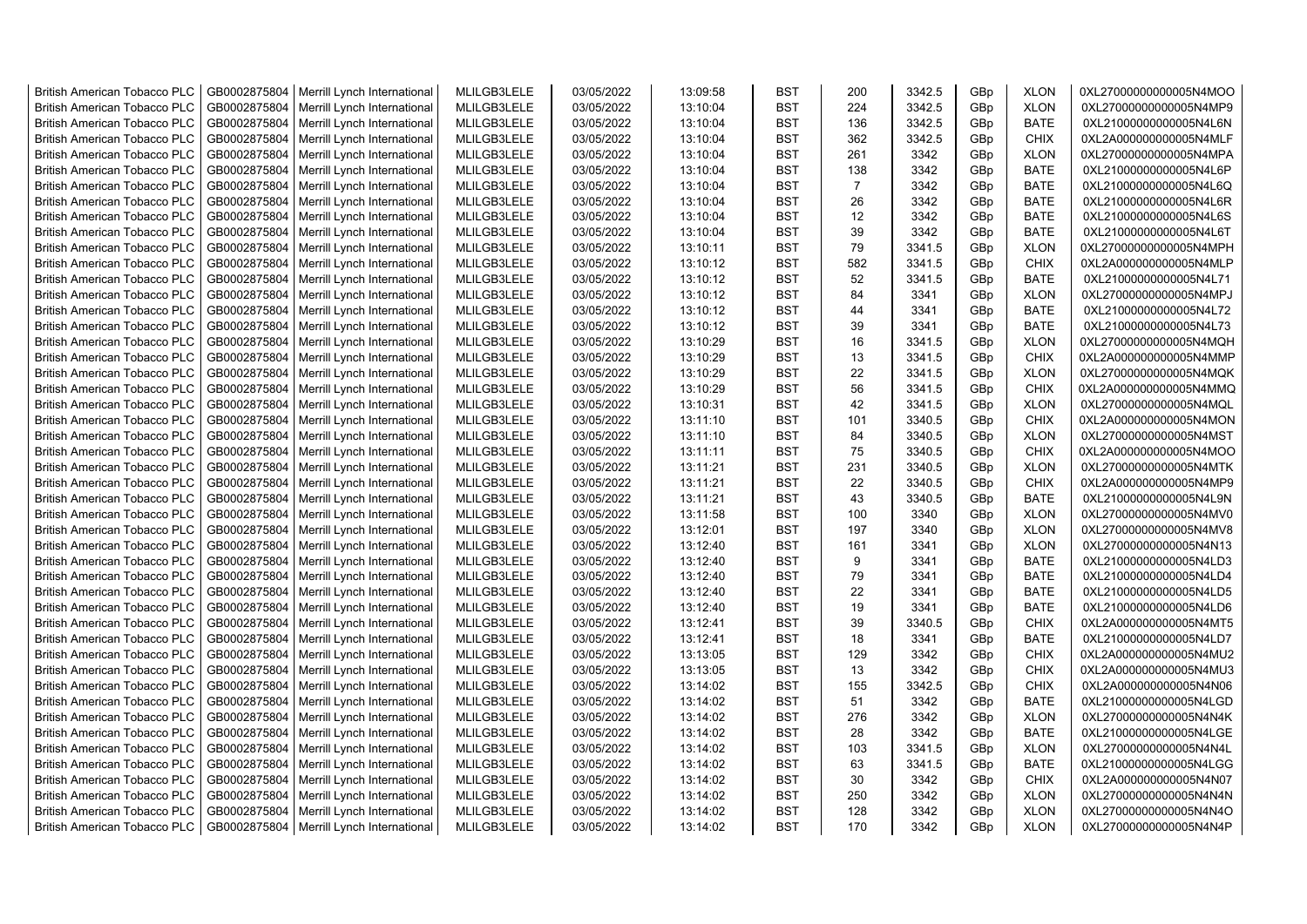| <b>British American Tobacco PLC</b> | GB0002875804 |                                            |             |            |          | <b>BST</b> | 200            | 3342.5 |                 | <b>XLON</b> | 0XL27000000000005N4MOO |
|-------------------------------------|--------------|--------------------------------------------|-------------|------------|----------|------------|----------------|--------|-----------------|-------------|------------------------|
|                                     |              | Merrill Lynch International                | MLILGB3LELE | 03/05/2022 | 13:09:58 |            |                |        | GBp             |             |                        |
| <b>British American Tobacco PLC</b> | GB0002875804 | Merrill Lynch International                | MLILGB3LELE | 03/05/2022 | 13:10:04 | <b>BST</b> | 224            | 3342.5 | GBp             | <b>XLON</b> | 0XL27000000000005N4MP9 |
| <b>British American Tobacco PLC</b> | GB0002875804 | Merrill Lynch International                | MLILGB3LELE | 03/05/2022 | 13:10:04 | <b>BST</b> | 136            | 3342.5 | GBp             | <b>BATE</b> | 0XL21000000000005N4L6N |
| <b>British American Tobacco PLC</b> | GB0002875804 | Merrill Lynch International                | MLILGB3LELE | 03/05/2022 | 13:10:04 | <b>BST</b> | 362            | 3342.5 | GBp             | <b>CHIX</b> | 0XL2A000000000005N4MLF |
| <b>British American Tobacco PLC</b> | GB0002875804 | Merrill Lynch International                | MLILGB3LELE | 03/05/2022 | 13:10:04 | <b>BST</b> | 261            | 3342   | GB <sub>p</sub> | <b>XLON</b> | 0XL27000000000005N4MPA |
| <b>British American Tobacco PLC</b> | GB0002875804 | Merrill Lynch International                | MLILGB3LELE | 03/05/2022 | 13:10:04 | <b>BST</b> | 138            | 3342   | GBp             | <b>BATE</b> | 0XL21000000000005N4L6P |
| <b>British American Tobacco PLC</b> | GB0002875804 | Merrill Lynch International                | MLILGB3LELE | 03/05/2022 | 13:10:04 | <b>BST</b> | $\overline{7}$ | 3342   | GBp             | <b>BATE</b> | 0XL21000000000005N4L6Q |
| <b>British American Tobacco PLC</b> | GB0002875804 | Merrill Lynch International                | MLILGB3LELE | 03/05/2022 | 13:10:04 | <b>BST</b> | 26             | 3342   | GBp             | <b>BATE</b> | 0XL21000000000005N4L6R |
| <b>British American Tobacco PLC</b> | GB0002875804 | Merrill Lynch International                | MLILGB3LELE | 03/05/2022 | 13:10:04 | <b>BST</b> | 12             | 3342   | GBp             | <b>BATE</b> | 0XL21000000000005N4L6S |
| <b>British American Tobacco PLC</b> | GB0002875804 | Merrill Lynch International                | MLILGB3LELE | 03/05/2022 | 13:10:04 | <b>BST</b> | 39             | 3342   | GBp             | <b>BATE</b> | 0XL21000000000005N4L6T |
| <b>British American Tobacco PLC</b> | GB0002875804 | Merrill Lynch International                | MLILGB3LELE | 03/05/2022 | 13:10:11 | <b>BST</b> | 79             | 3341.5 | GBp             | <b>XLON</b> | 0XL27000000000005N4MPH |
| <b>British American Tobacco PLC</b> | GB0002875804 | Merrill Lynch International                | MLILGB3LELE | 03/05/2022 | 13:10:12 | <b>BST</b> | 582            | 3341.5 | GBp             | <b>CHIX</b> | 0XL2A000000000005N4MLP |
| <b>British American Tobacco PLC</b> | GB0002875804 | Merrill Lynch International                | MLILGB3LELE | 03/05/2022 | 13:10:12 | <b>BST</b> | 52             | 3341.5 | GB <sub>p</sub> | <b>BATE</b> | 0XL21000000000005N4L71 |
| <b>British American Tobacco PLC</b> | GB0002875804 | Merrill Lynch International                | MLILGB3LELE | 03/05/2022 | 13:10:12 | <b>BST</b> | 84             | 3341   | GBp             | <b>XLON</b> | 0XL27000000000005N4MPJ |
| <b>British American Tobacco PLC</b> | GB0002875804 | Merrill Lynch International                | MLILGB3LELE | 03/05/2022 | 13:10:12 | <b>BST</b> | 44             | 3341   | GBp             | <b>BATE</b> | 0XL21000000000005N4L72 |
| <b>British American Tobacco PLC</b> | GB0002875804 | Merrill Lynch International                | MLILGB3LELE | 03/05/2022 | 13:10:12 | <b>BST</b> | 39             | 3341   | GBp             | <b>BATE</b> | 0XL21000000000005N4L73 |
| <b>British American Tobacco PLC</b> | GB0002875804 | Merrill Lynch International                | MLILGB3LELE | 03/05/2022 | 13:10:29 | <b>BST</b> | 16             | 3341.5 | GBp             | <b>XLON</b> | 0XL27000000000005N4MQH |
| British American Tobacco PLC        | GB0002875804 | Merrill Lynch International                | MLILGB3LELE | 03/05/2022 | 13:10:29 | <b>BST</b> | 13             | 3341.5 | GBp             | <b>CHIX</b> | 0XL2A000000000005N4MMP |
|                                     |              |                                            |             |            |          |            |                |        |                 |             |                        |
| <b>British American Tobacco PLC</b> | GB0002875804 | Merrill Lynch International                | MLILGB3LELE | 03/05/2022 | 13:10:29 | <b>BST</b> | 22             | 3341.5 | GBp             | <b>XLON</b> | 0XL27000000000005N4MQK |
| <b>British American Tobacco PLC</b> | GB0002875804 | Merrill Lynch International                | MLILGB3LELE | 03/05/2022 | 13:10:29 | <b>BST</b> | 56             | 3341.5 | GBp             | <b>CHIX</b> | 0XL2A000000000005N4MMQ |
| <b>British American Tobacco PLC</b> | GB0002875804 | Merrill Lynch International                | MLILGB3LELE | 03/05/2022 | 13:10:31 | <b>BST</b> | 42             | 3341.5 | GBp             | <b>XLON</b> | 0XL27000000000005N4MQL |
| <b>British American Tobacco PLC</b> | GB0002875804 | Merrill Lynch International                | MLILGB3LELE | 03/05/2022 | 13:11:10 | <b>BST</b> | 101            | 3340.5 | GBp             | <b>CHIX</b> | 0XL2A000000000005N4MON |
| <b>British American Tobacco PLC</b> | GB0002875804 | Merrill Lynch International                | MLILGB3LELE | 03/05/2022 | 13:11:10 | <b>BST</b> | 84             | 3340.5 | GBp             | <b>XLON</b> | 0XL27000000000005N4MST |
| <b>British American Tobacco PLC</b> | GB0002875804 | Merrill Lynch International                | MLILGB3LELE | 03/05/2022 | 13:11:11 | <b>BST</b> | 75             | 3340.5 | GBp             | <b>CHIX</b> | 0XL2A000000000005N4MOO |
| <b>British American Tobacco PLC</b> | GB0002875804 | Merrill Lynch International                | MLILGB3LELE | 03/05/2022 | 13:11:21 | <b>BST</b> | 231            | 3340.5 | GBp             | <b>XLON</b> | 0XL27000000000005N4MTK |
| <b>British American Tobacco PLC</b> | GB0002875804 | Merrill Lynch International                | MLILGB3LELE | 03/05/2022 | 13:11:21 | <b>BST</b> | 22             | 3340.5 | GBp             | <b>CHIX</b> | 0XL2A000000000005N4MP9 |
| <b>British American Tobacco PLC</b> | GB0002875804 | Merrill Lynch International                | MLILGB3LELE | 03/05/2022 | 13:11:21 | <b>BST</b> | 43             | 3340.5 | GBp             | <b>BATE</b> | 0XL21000000000005N4L9N |
| <b>British American Tobacco PLC</b> | GB0002875804 | Merrill Lynch International                | MLILGB3LELE | 03/05/2022 | 13:11:58 | <b>BST</b> | 100            | 3340   | GBp             | <b>XLON</b> | 0XL27000000000005N4MV0 |
| <b>British American Tobacco PLC</b> | GB0002875804 | Merrill Lynch International                | MLILGB3LELE | 03/05/2022 | 13:12:01 | <b>BST</b> | 197            | 3340   | GBp             | <b>XLON</b> | 0XL27000000000005N4MV8 |
| <b>British American Tobacco PLC</b> | GB0002875804 | Merrill Lynch International                | MLILGB3LELE | 03/05/2022 | 13:12:40 | <b>BST</b> | 161            | 3341   | GB <sub>p</sub> | <b>XLON</b> | 0XL27000000000005N4N13 |
| <b>British American Tobacco PLC</b> | GB0002875804 | Merrill Lynch International                | MLILGB3LELE | 03/05/2022 | 13:12:40 | <b>BST</b> | 9              | 3341   | GBp             | <b>BATE</b> | 0XL21000000000005N4LD3 |
| <b>British American Tobacco PLC</b> | GB0002875804 | Merrill Lynch International                | MLILGB3LELE | 03/05/2022 | 13:12:40 | <b>BST</b> | 79             | 3341   | GBp             | <b>BATE</b> | 0XL21000000000005N4LD4 |
| <b>British American Tobacco PLC</b> | GB0002875804 | Merrill Lynch International                | MLILGB3LELE | 03/05/2022 | 13:12:40 | <b>BST</b> | 22             | 3341   | GBp             | <b>BATE</b> | 0XL21000000000005N4LD5 |
| <b>British American Tobacco PLC</b> | GB0002875804 | Merrill Lynch International                | MLILGB3LELE | 03/05/2022 | 13:12:40 | <b>BST</b> | 19             | 3341   | GBp             | <b>BATE</b> | 0XL21000000000005N4LD6 |
| <b>British American Tobacco PLC</b> | GB0002875804 | Merrill Lynch International                | MLILGB3LELE | 03/05/2022 | 13:12:41 | <b>BST</b> | 39             | 3340.5 | GBp             | <b>CHIX</b> | 0XL2A000000000005N4MT5 |
| <b>British American Tobacco PLC</b> | GB0002875804 | Merrill Lynch International                | MLILGB3LELE | 03/05/2022 | 13:12:41 | <b>BST</b> | 18             | 3341   | GBp             | <b>BATE</b> | 0XL21000000000005N4LD7 |
| <b>British American Tobacco PLC</b> | GB0002875804 | Merrill Lynch International                | MLILGB3LELE | 03/05/2022 | 13:13:05 | <b>BST</b> | 129            | 3342   | GBp             | <b>CHIX</b> | 0XL2A000000000005N4MU2 |
| <b>British American Tobacco PLC</b> | GB0002875804 | Merrill Lynch International                | MLILGB3LELE | 03/05/2022 | 13:13:05 | <b>BST</b> | 13             | 3342   | GBp             | <b>CHIX</b> | 0XL2A000000000005N4MU3 |
| <b>British American Tobacco PLC</b> | GB0002875804 | Merrill Lynch International                | MLILGB3LELE | 03/05/2022 | 13:14:02 | <b>BST</b> | 155            | 3342.5 | GBp             | <b>CHIX</b> | 0XL2A000000000005N4N06 |
| <b>British American Tobacco PLC</b> | GB0002875804 | Merrill Lynch International                | MLILGB3LELE | 03/05/2022 | 13:14:02 | <b>BST</b> | 51             | 3342   | GBp             | <b>BATE</b> | 0XL21000000000005N4LGD |
|                                     |              |                                            |             |            |          |            | 276            |        |                 |             |                        |
| <b>British American Tobacco PLC</b> | GB0002875804 | Merrill Lynch International                | MLILGB3LELE | 03/05/2022 | 13:14:02 | <b>BST</b> |                | 3342   | GBp             | <b>XLON</b> | 0XL27000000000005N4N4K |
| <b>British American Tobacco PLC</b> | GB0002875804 | Merrill Lynch International                | MLILGB3LELE | 03/05/2022 | 13:14:02 | <b>BST</b> | 28             | 3342   | GBp             | <b>BATE</b> | 0XL21000000000005N4LGE |
| <b>British American Tobacco PLC</b> | GB0002875804 | Merrill Lynch International                | MLILGB3LELE | 03/05/2022 | 13:14:02 | <b>BST</b> | 103            | 3341.5 | GBp             | <b>XLON</b> | 0XL27000000000005N4N4L |
| <b>British American Tobacco PLC</b> | GB0002875804 | Merrill Lynch International                | MLILGB3LELE | 03/05/2022 | 13:14:02 | <b>BST</b> | 63             | 3341.5 | GBp             | <b>BATE</b> | 0XL21000000000005N4LGG |
| <b>British American Tobacco PLC</b> | GB0002875804 | Merrill Lynch International                | MLILGB3LELE | 03/05/2022 | 13:14:02 | <b>BST</b> | 30             | 3342   | GBp             | <b>CHIX</b> | 0XL2A000000000005N4N07 |
| <b>British American Tobacco PLC</b> | GB0002875804 | Merrill Lynch International                | MLILGB3LELE | 03/05/2022 | 13:14:02 | <b>BST</b> | 250            | 3342   | GBp             | <b>XLON</b> | 0XL27000000000005N4N4N |
| <b>British American Tobacco PLC</b> | GB0002875804 | Merrill Lynch International                | MLILGB3LELE | 03/05/2022 | 13:14:02 | <b>BST</b> | 128            | 3342   | GB <sub>p</sub> | <b>XLON</b> | 0XL27000000000005N4N4O |
| <b>British American Tobacco PLC</b> |              | GB0002875804   Merrill Lynch International | MLILGB3LELE | 03/05/2022 | 13:14:02 | <b>BST</b> | 170            | 3342   | GBp             | <b>XLON</b> | 0XL27000000000005N4N4P |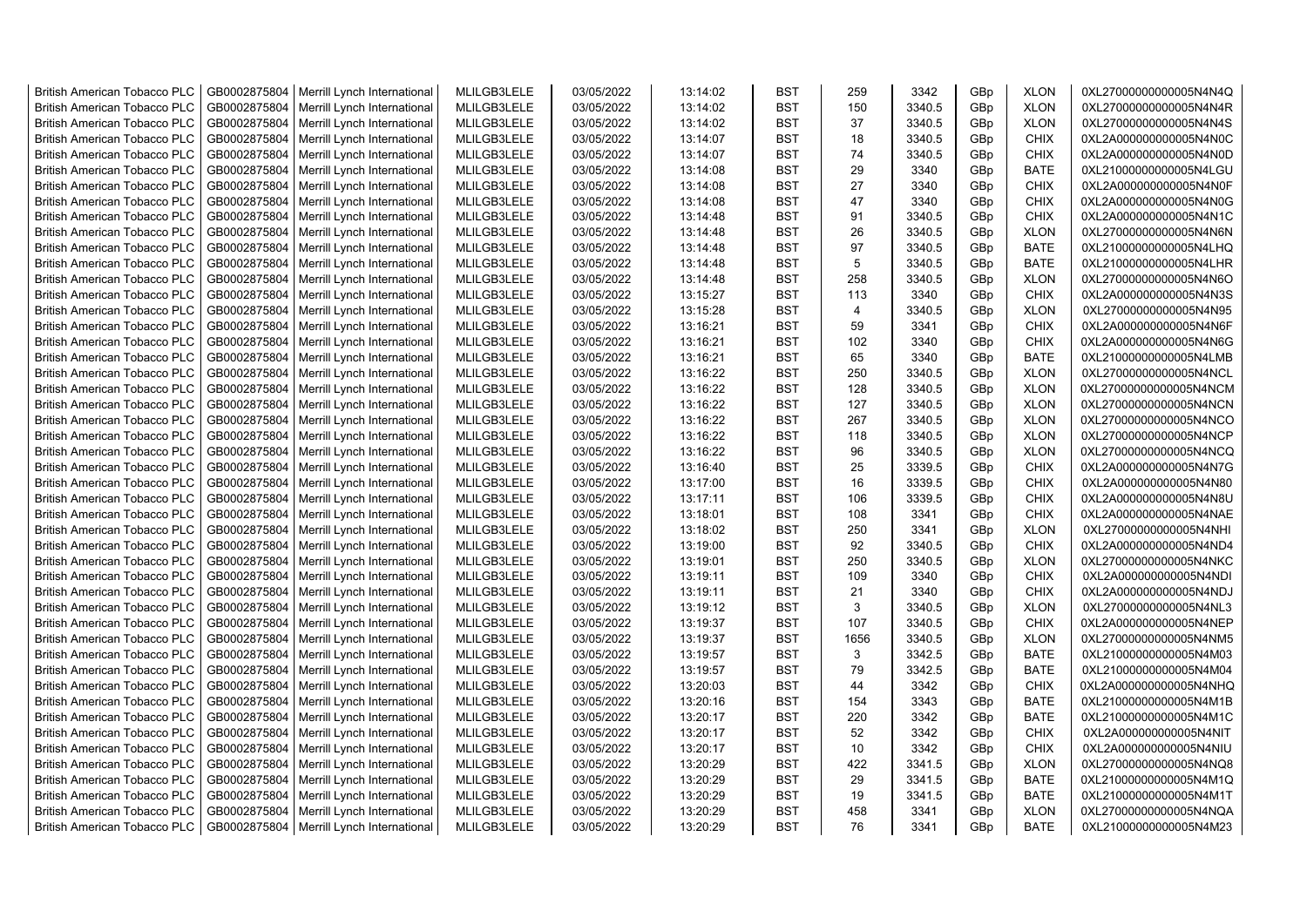| <b>British American Tobacco PLC</b> | GB0002875804 | Merrill Lynch International                | MLILGB3LELE | 03/05/2022 | 13:14:02 | <b>BST</b> | 259            | 3342   | GBp | <b>XLON</b> | 0XL27000000000005N4N4Q |
|-------------------------------------|--------------|--------------------------------------------|-------------|------------|----------|------------|----------------|--------|-----|-------------|------------------------|
| <b>British American Tobacco PLC</b> | GB0002875804 | Merrill Lynch International                | MLILGB3LELE | 03/05/2022 | 13:14:02 | <b>BST</b> | 150            | 3340.5 | GBp | <b>XLON</b> | 0XL27000000000005N4N4R |
| <b>British American Tobacco PLC</b> | GB0002875804 | Merrill Lynch International                | MLILGB3LELE | 03/05/2022 | 13:14:02 | <b>BST</b> | 37             | 3340.5 | GBp | <b>XLON</b> | 0XL27000000000005N4N4S |
| <b>British American Tobacco PLC</b> | GB0002875804 | Merrill Lynch International                | MLILGB3LELE | 03/05/2022 | 13:14:07 | <b>BST</b> | 18             | 3340.5 | GBp | <b>CHIX</b> | 0XL2A000000000005N4N0C |
| <b>British American Tobacco PLC</b> | GB0002875804 | Merrill Lynch International                | MLILGB3LELE | 03/05/2022 | 13:14:07 | <b>BST</b> | 74             | 3340.5 | GBp | <b>CHIX</b> | 0XL2A000000000005N4N0D |
| <b>British American Tobacco PLC</b> | GB0002875804 | Merrill Lynch International                | MLILGB3LELE | 03/05/2022 | 13:14:08 | <b>BST</b> | 29             | 3340   | GBp | <b>BATE</b> | 0XL21000000000005N4LGU |
| <b>British American Tobacco PLC</b> | GB0002875804 | Merrill Lynch International                | MLILGB3LELE | 03/05/2022 | 13:14:08 | <b>BST</b> | 27             | 3340   | GBp | <b>CHIX</b> | 0XL2A000000000005N4N0F |
| <b>British American Tobacco PLC</b> | GB0002875804 | Merrill Lynch International                | MLILGB3LELE | 03/05/2022 | 13:14:08 | BST        | 47             | 3340   | GBp | <b>CHIX</b> | 0XL2A000000000005N4N0G |
| <b>British American Tobacco PLC</b> | GB0002875804 | Merrill Lynch International                | MLILGB3LELE | 03/05/2022 | 13:14:48 | <b>BST</b> | 91             | 3340.5 | GBp | <b>CHIX</b> | 0XL2A000000000005N4N1C |
| <b>British American Tobacco PLC</b> | GB0002875804 | Merrill Lynch International                | MLILGB3LELE | 03/05/2022 | 13:14:48 | <b>BST</b> | 26             | 3340.5 | GBp | <b>XLON</b> | 0XL27000000000005N4N6N |
| <b>British American Tobacco PLC</b> | GB0002875804 | Merrill Lynch International                | MLILGB3LELE | 03/05/2022 | 13:14:48 | <b>BST</b> | 97             | 3340.5 | GBp | <b>BATE</b> | 0XL21000000000005N4LHQ |
| <b>British American Tobacco PLC</b> | GB0002875804 | Merrill Lynch International                | MLILGB3LELE | 03/05/2022 | 13:14:48 | <b>BST</b> | 5              | 3340.5 | GBp | <b>BATE</b> | 0XL21000000000005N4LHR |
| <b>British American Tobacco PLC</b> | GB0002875804 | Merrill Lynch International                | MLILGB3LELE | 03/05/2022 | 13:14:48 | <b>BST</b> | 258            | 3340.5 | GBp | <b>XLON</b> | 0XL27000000000005N4N6O |
| <b>British American Tobacco PLC</b> | GB0002875804 | Merrill Lynch International                | MLILGB3LELE | 03/05/2022 | 13:15:27 | <b>BST</b> | 113            | 3340   | GBp | <b>CHIX</b> | 0XL2A000000000005N4N3S |
| <b>British American Tobacco PLC</b> | GB0002875804 | Merrill Lynch International                | MLILGB3LELE | 03/05/2022 | 13:15:28 | <b>BST</b> | $\overline{4}$ | 3340.5 | GBp | <b>XLON</b> | 0XL27000000000005N4N95 |
| <b>British American Tobacco PLC</b> | GB0002875804 | Merrill Lynch International                | MLILGB3LELE | 03/05/2022 | 13:16:21 | <b>BST</b> | 59             | 3341   | GBp | <b>CHIX</b> | 0XL2A000000000005N4N6F |
| <b>British American Tobacco PLC</b> | GB0002875804 | Merrill Lynch International                | MLILGB3LELE | 03/05/2022 | 13:16:21 | <b>BST</b> | 102            | 3340   | GBp | <b>CHIX</b> | 0XL2A000000000005N4N6G |
| <b>British American Tobacco PLC</b> | GB0002875804 | Merrill Lynch International                | MLILGB3LELE | 03/05/2022 | 13:16:21 | <b>BST</b> | 65             | 3340   | GBp | <b>BATE</b> | 0XL21000000000005N4LMB |
| <b>British American Tobacco PLC</b> | GB0002875804 | Merrill Lynch International                | MLILGB3LELE | 03/05/2022 | 13:16:22 | <b>BST</b> | 250            | 3340.5 | GBp | <b>XLON</b> | 0XL27000000000005N4NCL |
| <b>British American Tobacco PLC</b> | GB0002875804 | Merrill Lynch International                | MLILGB3LELE | 03/05/2022 | 13:16:22 | <b>BST</b> | 128            | 3340.5 | GBp | <b>XLON</b> | 0XL27000000000005N4NCM |
| <b>British American Tobacco PLC</b> | GB0002875804 | Merrill Lynch International                | MLILGB3LELE | 03/05/2022 | 13:16:22 | <b>BST</b> | 127            | 3340.5 | GBp | <b>XLON</b> | 0XL27000000000005N4NCN |
| <b>British American Tobacco PLC</b> | GB0002875804 | Merrill Lynch International                | MLILGB3LELE | 03/05/2022 | 13:16:22 | <b>BST</b> | 267            | 3340.5 | GBp | <b>XLON</b> | 0XL27000000000005N4NCO |
| <b>British American Tobacco PLC</b> | GB0002875804 | Merrill Lynch International                | MLILGB3LELE | 03/05/2022 | 13:16:22 | <b>BST</b> | 118            | 3340.5 | GBp | <b>XLON</b> | 0XL27000000000005N4NCP |
| <b>British American Tobacco PLC</b> | GB0002875804 | Merrill Lynch International                | MLILGB3LELE | 03/05/2022 | 13:16:22 | BST        | 96             | 3340.5 | GBp | <b>XLON</b> | 0XL27000000000005N4NCQ |
| <b>British American Tobacco PLC</b> | GB0002875804 | Merrill Lynch International                | MLILGB3LELE | 03/05/2022 | 13:16:40 | <b>BST</b> | 25             | 3339.5 | GBp | <b>CHIX</b> | 0XL2A000000000005N4N7G |
| <b>British American Tobacco PLC</b> | GB0002875804 | Merrill Lynch International                | MLILGB3LELE | 03/05/2022 | 13:17:00 | <b>BST</b> | 16             | 3339.5 | GBp | <b>CHIX</b> | 0XL2A000000000005N4N80 |
| British American Tobacco PLC        | GB0002875804 | Merrill Lynch International                | MLILGB3LELE | 03/05/2022 | 13:17:11 | <b>BST</b> | 106            | 3339.5 | GBp | <b>CHIX</b> | 0XL2A000000000005N4N8U |
| British American Tobacco PLC        | GB0002875804 | Merrill Lynch International                | MLILGB3LELE | 03/05/2022 | 13:18:01 | <b>BST</b> | 108            | 3341   | GBp | <b>CHIX</b> | 0XL2A000000000005N4NAE |
| <b>British American Tobacco PLC</b> | GB0002875804 | Merrill Lynch International                | MLILGB3LELE | 03/05/2022 | 13:18:02 | <b>BST</b> | 250            | 3341   | GBp | <b>XLON</b> | 0XL27000000000005N4NHI |
| <b>British American Tobacco PLC</b> | GB0002875804 | Merrill Lynch International                | MLILGB3LELE | 03/05/2022 | 13:19:00 | <b>BST</b> | 92             | 3340.5 | GBp | <b>CHIX</b> | 0XL2A000000000005N4ND4 |
| <b>British American Tobacco PLC</b> | GB0002875804 | Merrill Lynch International                | MLILGB3LELE | 03/05/2022 | 13:19:01 | <b>BST</b> | 250            | 3340.5 | GBp | <b>XLON</b> | 0XL27000000000005N4NKC |
| <b>British American Tobacco PLC</b> | GB0002875804 | Merrill Lynch International                | MLILGB3LELE | 03/05/2022 | 13:19:11 | <b>BST</b> | 109            | 3340   | GBp | <b>CHIX</b> | 0XL2A000000000005N4NDI |
| <b>British American Tobacco PLC</b> | GB0002875804 | Merrill Lynch International                | MLILGB3LELE | 03/05/2022 | 13:19:11 | <b>BST</b> | 21             | 3340   | GBp | <b>CHIX</b> | 0XL2A000000000005N4NDJ |
| <b>British American Tobacco PLC</b> | GB0002875804 | Merrill Lynch International                | MLILGB3LELE | 03/05/2022 | 13:19:12 | <b>BST</b> | 3              | 3340.5 | GBp | <b>XLON</b> | 0XL27000000000005N4NL3 |
| <b>British American Tobacco PLC</b> | GB0002875804 | Merrill Lynch International                | MLILGB3LELE | 03/05/2022 | 13:19:37 | <b>BST</b> | 107            | 3340.5 | GBp | <b>CHIX</b> | 0XL2A000000000005N4NEP |
| <b>British American Tobacco PLC</b> | GB0002875804 | Merrill Lynch International                | MLILGB3LELE | 03/05/2022 | 13:19:37 | <b>BST</b> | 1656           | 3340.5 | GBp | <b>XLON</b> | 0XL27000000000005N4NM5 |
| <b>British American Tobacco PLC</b> | GB0002875804 | Merrill Lynch International                | MLILGB3LELE | 03/05/2022 | 13:19:57 | <b>BST</b> | 3              | 3342.5 | GBp | <b>BATE</b> | 0XL21000000000005N4M03 |
| <b>British American Tobacco PLC</b> | GB0002875804 | Merrill Lynch International                | MLILGB3LELE | 03/05/2022 | 13:19:57 | BST        | 79             | 3342.5 | GBp | <b>BATE</b> | 0XL21000000000005N4M04 |
| <b>British American Tobacco PLC</b> | GB0002875804 | Merrill Lynch International                | MLILGB3LELE | 03/05/2022 | 13:20:03 | <b>BST</b> | 44             | 3342   | GBp | <b>CHIX</b> | 0XL2A000000000005N4NHQ |
| <b>British American Tobacco PLC</b> | GB0002875804 | Merrill Lynch International                | MLILGB3LELE | 03/05/2022 | 13:20:16 | <b>BST</b> | 154            | 3343   | GBp | <b>BATE</b> | 0XL21000000000005N4M1B |
| <b>British American Tobacco PLC</b> | GB0002875804 | Merrill Lynch International                | MLILGB3LELE | 03/05/2022 | 13:20:17 | <b>BST</b> | 220            | 3342   | GBp | <b>BATE</b> | 0XL21000000000005N4M1C |
| <b>British American Tobacco PLC</b> | GB0002875804 | Merrill Lynch International                | MLILGB3LELE | 03/05/2022 | 13:20:17 | <b>BST</b> | 52             | 3342   | GBp | <b>CHIX</b> | 0XL2A000000000005N4NIT |
| <b>British American Tobacco PLC</b> | GB0002875804 | Merrill Lynch International                | MLILGB3LELE | 03/05/2022 | 13:20:17 | <b>BST</b> | 10             | 3342   | GBp | <b>CHIX</b> | 0XL2A000000000005N4NIU |
| <b>British American Tobacco PLC</b> | GB0002875804 | Merrill Lynch International                | MLILGB3LELE | 03/05/2022 | 13:20:29 | <b>BST</b> | 422            | 3341.5 | GBp | <b>XLON</b> | 0XL27000000000005N4NQ8 |
| <b>British American Tobacco PLC</b> | GB0002875804 | Merrill Lynch International                | MLILGB3LELE | 03/05/2022 | 13:20:29 | <b>BST</b> | 29             | 3341.5 | GBp | <b>BATE</b> | 0XL21000000000005N4M1Q |
| <b>British American Tobacco PLC</b> | GB0002875804 | Merrill Lynch International                | MLILGB3LELE | 03/05/2022 | 13:20:29 | <b>BST</b> | 19             | 3341.5 | GBp | <b>BATE</b> | 0XL21000000000005N4M1T |
| <b>British American Tobacco PLC</b> | GB0002875804 | Merrill Lynch International                | MLILGB3LELE | 03/05/2022 | 13:20:29 | <b>BST</b> | 458            | 3341   | GBp | <b>XLON</b> | 0XL27000000000005N4NQA |
| <b>British American Tobacco PLC</b> |              | GB0002875804   Merrill Lynch International | MLILGB3LELE | 03/05/2022 | 13:20:29 | <b>BST</b> | 76             | 3341   | GBp | <b>BATE</b> | 0XL21000000000005N4M23 |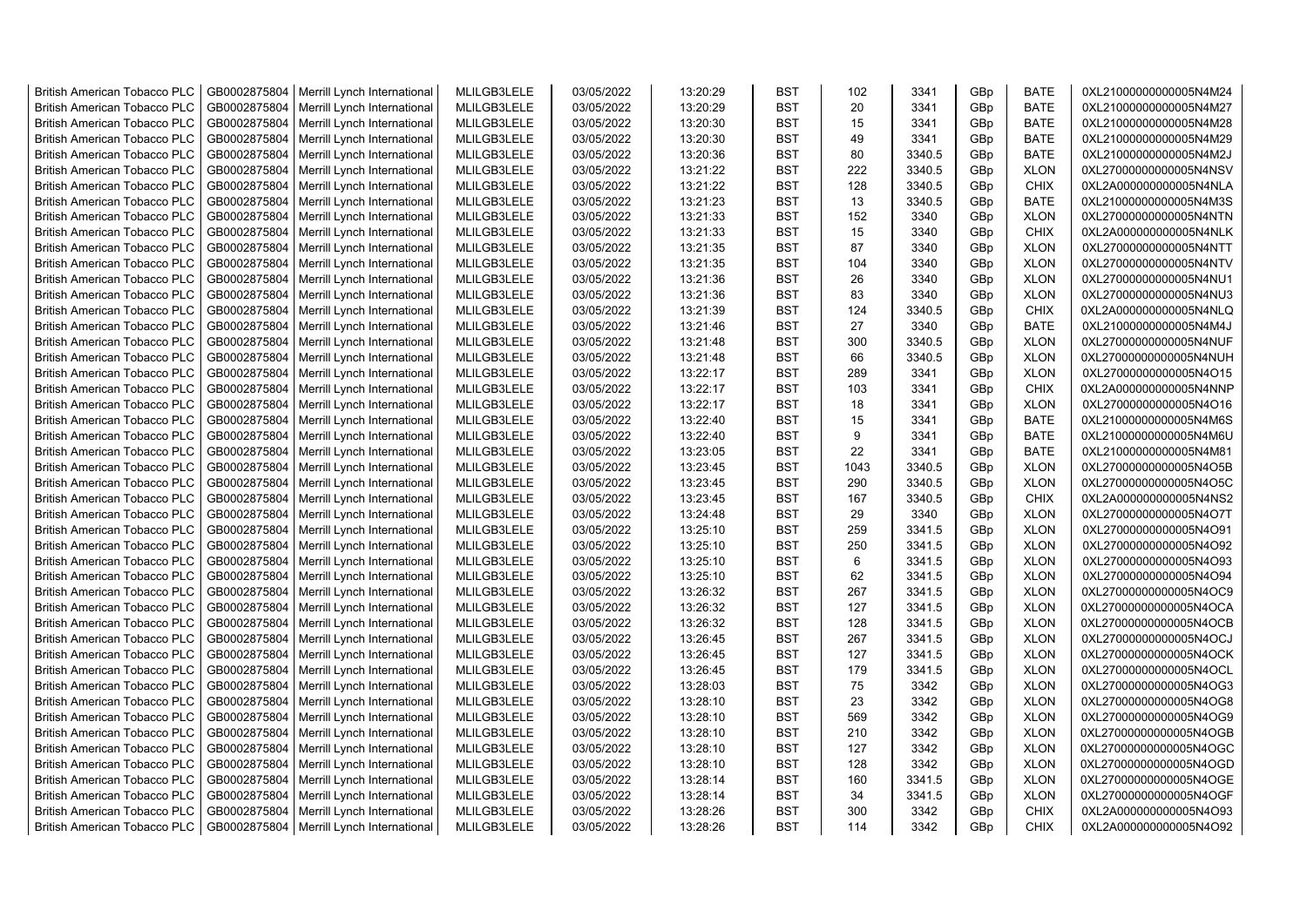| <b>British American Tobacco PLC</b> | GB0002875804 | Merrill Lynch International | MLILGB3LELE | 03/05/2022 | 13:20:29 | <b>BST</b> | 102  | 3341   | GBp | <b>BATE</b> | 0XL21000000000005N4M24 |
|-------------------------------------|--------------|-----------------------------|-------------|------------|----------|------------|------|--------|-----|-------------|------------------------|
| <b>British American Tobacco PLC</b> | GB0002875804 | Merrill Lynch International | MLILGB3LELE | 03/05/2022 | 13:20:29 | <b>BST</b> | 20   | 3341   | GBp | <b>BATE</b> | 0XL21000000000005N4M27 |
| <b>British American Tobacco PLC</b> | GB0002875804 | Merrill Lynch International | MLILGB3LELE | 03/05/2022 | 13:20:30 | <b>BST</b> | 15   | 3341   | GBp | <b>BATE</b> | 0XL21000000000005N4M28 |
| <b>British American Tobacco PLC</b> | GB0002875804 | Merrill Lynch International | MLILGB3LELE | 03/05/2022 | 13:20:30 | <b>BST</b> | 49   | 3341   | GBp | <b>BATE</b> | 0XL21000000000005N4M29 |
| <b>British American Tobacco PLC</b> | GB0002875804 | Merrill Lynch International | MLILGB3LELE | 03/05/2022 | 13:20:36 | <b>BST</b> | 80   | 3340.5 | GBp | <b>BATE</b> | 0XL21000000000005N4M2J |
| <b>British American Tobacco PLC</b> | GB0002875804 | Merrill Lynch International | MLILGB3LELE | 03/05/2022 | 13:21:22 | <b>BST</b> | 222  | 3340.5 | GBp | <b>XLON</b> | 0XL27000000000005N4NSV |
| <b>British American Tobacco PLC</b> | GB0002875804 | Merrill Lynch International | MLILGB3LELE | 03/05/2022 | 13:21:22 | <b>BST</b> | 128  | 3340.5 | GBp | <b>CHIX</b> | 0XL2A000000000005N4NLA |
| <b>British American Tobacco PLC</b> | GB0002875804 | Merrill Lynch International | MLILGB3LELE | 03/05/2022 | 13:21:23 | <b>BST</b> | 13   | 3340.5 | GBp | BATE        | 0XL21000000000005N4M3S |
| <b>British American Tobacco PLC</b> | GB0002875804 | Merrill Lynch International | MLILGB3LELE | 03/05/2022 | 13:21:33 | <b>BST</b> | 152  | 3340   | GBp | <b>XLON</b> | 0XL27000000000005N4NTN |
| <b>British American Tobacco PLC</b> | GB0002875804 | Merrill Lynch International | MLILGB3LELE | 03/05/2022 | 13:21:33 | <b>BST</b> | 15   | 3340   | GBp | <b>CHIX</b> | 0XL2A000000000005N4NLK |
| British American Tobacco PLC        | GB0002875804 | Merrill Lynch International | MLILGB3LELE | 03/05/2022 | 13:21:35 | <b>BST</b> | 87   | 3340   | GBp | <b>XLON</b> | 0XL27000000000005N4NTT |
| <b>British American Tobacco PLC</b> | GB0002875804 | Merrill Lynch International | MLILGB3LELE | 03/05/2022 | 13:21:35 | <b>BST</b> | 104  | 3340   | GBp | <b>XLON</b> | 0XL27000000000005N4NTV |
| <b>British American Tobacco PLC</b> | GB0002875804 | Merrill Lynch International | MLILGB3LELE | 03/05/2022 | 13:21:36 | <b>BST</b> | 26   | 3340   | GBp | <b>XLON</b> | 0XL27000000000005N4NU1 |
| <b>British American Tobacco PLC</b> | GB0002875804 | Merrill Lynch International | MLILGB3LELE | 03/05/2022 | 13:21:36 | <b>BST</b> | 83   | 3340   | GBp | <b>XLON</b> | 0XL27000000000005N4NU3 |
| <b>British American Tobacco PLC</b> | GB0002875804 | Merrill Lynch International | MLILGB3LELE | 03/05/2022 | 13:21:39 | <b>BST</b> | 124  | 3340.5 | GBp | <b>CHIX</b> | 0XL2A000000000005N4NLQ |
| <b>British American Tobacco PLC</b> | GB0002875804 | Merrill Lynch International | MLILGB3LELE | 03/05/2022 | 13:21:46 | <b>BST</b> | 27   | 3340   | GBp | <b>BATE</b> | 0XL21000000000005N4M4J |
| <b>British American Tobacco PLC</b> | GB0002875804 | Merrill Lynch International | MLILGB3LELE | 03/05/2022 | 13:21:48 | <b>BST</b> | 300  | 3340.5 | GBp | <b>XLON</b> | 0XL27000000000005N4NUF |
| <b>British American Tobacco PLC</b> | GB0002875804 | Merrill Lynch International | MLILGB3LELE | 03/05/2022 | 13:21:48 | <b>BST</b> | 66   | 3340.5 | GBp | <b>XLON</b> | 0XL27000000000005N4NUH |
| <b>British American Tobacco PLC</b> | GB0002875804 | Merrill Lynch International | MLILGB3LELE | 03/05/2022 | 13:22:17 | <b>BST</b> | 289  | 3341   | GBp | <b>XLON</b> | 0XL27000000000005N4O15 |
| <b>British American Tobacco PLC</b> | GB0002875804 | Merrill Lynch International | MLILGB3LELE | 03/05/2022 | 13:22:17 | <b>BST</b> | 103  | 3341   | GBp | <b>CHIX</b> | 0XL2A000000000005N4NNP |
| <b>British American Tobacco PLC</b> | GB0002875804 | Merrill Lynch International | MLILGB3LELE | 03/05/2022 | 13:22:17 | <b>BST</b> | 18   | 3341   | GBp | <b>XLON</b> | 0XL27000000000005N4O16 |
| <b>British American Tobacco PLC</b> | GB0002875804 | Merrill Lynch International | MLILGB3LELE | 03/05/2022 | 13:22:40 | <b>BST</b> | 15   | 3341   | GBp | <b>BATE</b> | 0XL21000000000005N4M6S |
| <b>British American Tobacco PLC</b> | GB0002875804 | Merrill Lynch International | MLILGB3LELE | 03/05/2022 | 13:22:40 | <b>BST</b> | 9    | 3341   | GBp | <b>BATE</b> | 0XL21000000000005N4M6U |
| <b>British American Tobacco PLC</b> | GB0002875804 | Merrill Lynch International | MLILGB3LELE | 03/05/2022 | 13:23:05 | BST        | 22   | 3341   | GBp | <b>BATE</b> | 0XL21000000000005N4M81 |
| <b>British American Tobacco PLC</b> | GB0002875804 | Merrill Lynch International | MLILGB3LELE | 03/05/2022 | 13:23:45 | <b>BST</b> | 1043 | 3340.5 | GBp | <b>XLON</b> | 0XL27000000000005N4O5B |
| <b>British American Tobacco PLC</b> | GB0002875804 | Merrill Lynch International | MLILGB3LELE | 03/05/2022 | 13:23:45 | <b>BST</b> | 290  | 3340.5 | GBp | <b>XLON</b> | 0XL27000000000005N4O5C |
| <b>British American Tobacco PLC</b> | GB0002875804 | Merrill Lynch International | MLILGB3LELE | 03/05/2022 | 13:23:45 | <b>BST</b> | 167  | 3340.5 | GBp | <b>CHIX</b> | 0XL2A000000000005N4NS2 |
| British American Tobacco PLC        | GB0002875804 | Merrill Lynch International | MLILGB3LELE | 03/05/2022 | 13:24:48 | <b>BST</b> | 29   | 3340   | GBp | <b>XLON</b> | 0XL27000000000005N4O7T |
| <b>British American Tobacco PLC</b> | GB0002875804 | Merrill Lynch International | MLILGB3LELE | 03/05/2022 | 13:25:10 | <b>BST</b> | 259  | 3341.5 | GBp | <b>XLON</b> | 0XL27000000000005N4O91 |
| <b>British American Tobacco PLC</b> | GB0002875804 | Merrill Lynch International | MLILGB3LELE | 03/05/2022 | 13:25:10 | <b>BST</b> | 250  | 3341.5 | GBp | <b>XLON</b> | 0XL27000000000005N4O92 |
| <b>British American Tobacco PLC</b> | GB0002875804 | Merrill Lynch International | MLILGB3LELE | 03/05/2022 | 13:25:10 | <b>BST</b> | 6    | 3341.5 | GBp | <b>XLON</b> | 0XL27000000000005N4O93 |
| <b>British American Tobacco PLC</b> | GB0002875804 | Merrill Lynch International | MLILGB3LELE | 03/05/2022 | 13:25:10 | <b>BST</b> | 62   | 3341.5 | GBp | <b>XLON</b> | 0XL27000000000005N4O94 |
| <b>British American Tobacco PLC</b> | GB0002875804 | Merrill Lynch International | MLILGB3LELE | 03/05/2022 | 13:26:32 | <b>BST</b> | 267  | 3341.5 | GBp | <b>XLON</b> | 0XL27000000000005N4OC9 |
| <b>British American Tobacco PLC</b> | GB0002875804 | Merrill Lynch International | MLILGB3LELE | 03/05/2022 | 13:26:32 | <b>BST</b> | 127  | 3341.5 | GBp | <b>XLON</b> | 0XL27000000000005N4OCA |
| <b>British American Tobacco PLC</b> | GB0002875804 | Merrill Lynch International | MLILGB3LELE | 03/05/2022 | 13:26:32 | <b>BST</b> | 128  | 3341.5 | GBp | <b>XLON</b> | 0XL27000000000005N4OCB |
| <b>British American Tobacco PLC</b> | GB0002875804 | Merrill Lynch International | MLILGB3LELE | 03/05/2022 | 13:26:45 | <b>BST</b> | 267  | 3341.5 | GBp | <b>XLON</b> | 0XL27000000000005N4OCJ |
| <b>British American Tobacco PLC</b> | GB0002875804 | Merrill Lynch International | MLILGB3LELE | 03/05/2022 | 13:26:45 | <b>BST</b> | 127  | 3341.5 | GBp | <b>XLON</b> | 0XL27000000000005N4OCK |
| <b>British American Tobacco PLC</b> | GB0002875804 | Merrill Lynch International | MLILGB3LELE | 03/05/2022 | 13:26:45 | <b>BST</b> | 179  | 3341.5 | GBp | <b>XLON</b> | 0XL27000000000005N4OCL |
| <b>British American Tobacco PLC</b> | GB0002875804 | Merrill Lynch International | MLILGB3LELE | 03/05/2022 | 13:28:03 | <b>BST</b> | 75   | 3342   | GBp | <b>XLON</b> | 0XL27000000000005N4OG3 |
| <b>British American Tobacco PLC</b> | GB0002875804 | Merrill Lynch International | MLILGB3LELE | 03/05/2022 | 13:28:10 | <b>BST</b> | 23   | 3342   | GBp | <b>XLON</b> | 0XL27000000000005N4OG8 |
| <b>British American Tobacco PLC</b> | GB0002875804 | Merrill Lynch International | MLILGB3LELE | 03/05/2022 | 13:28:10 | <b>BST</b> | 569  | 3342   | GBp | <b>XLON</b> | 0XL27000000000005N4OG9 |
| <b>British American Tobacco PLC</b> | GB0002875804 | Merrill Lynch International | MLILGB3LELE | 03/05/2022 | 13:28:10 | <b>BST</b> | 210  | 3342   | GBp | <b>XLON</b> | 0XL27000000000005N4OGB |
| <b>British American Tobacco PLC</b> | GB0002875804 | Merrill Lynch International | MLILGB3LELE | 03/05/2022 | 13:28:10 | <b>BST</b> | 127  | 3342   | GBp | <b>XLON</b> | 0XL27000000000005N4OGC |
| British American Tobacco PLC        | GB0002875804 | Merrill Lynch International | MLILGB3LELE | 03/05/2022 | 13:28:10 | <b>BST</b> | 128  | 3342   | GBp | <b>XLON</b> | 0XL27000000000005N4OGD |
| <b>British American Tobacco PLC</b> | GB0002875804 | Merrill Lynch International | MLILGB3LELE | 03/05/2022 | 13:28:14 | <b>BST</b> | 160  | 3341.5 | GBp | <b>XLON</b> | 0XL27000000000005N4OGE |
| <b>British American Tobacco PLC</b> | GB0002875804 | Merrill Lynch International | MLILGB3LELE | 03/05/2022 | 13:28:14 | <b>BST</b> | 34   | 3341.5 | GBp | <b>XLON</b> | 0XL27000000000005N4OGF |
| <b>British American Tobacco PLC</b> | GB0002875804 | Merrill Lynch International | MLILGB3LELE | 03/05/2022 | 13:28:26 | <b>BST</b> | 300  | 3342   | GBp | <b>CHIX</b> | 0XL2A000000000005N4O93 |
| <b>British American Tobacco PLC</b> | GB0002875804 | Merrill Lynch International | MLILGB3LELE | 03/05/2022 | 13:28:26 | <b>BST</b> | 114  | 3342   | GBp | <b>CHIX</b> | 0XL2A000000000005N4O92 |
|                                     |              |                             |             |            |          |            |      |        |     |             |                        |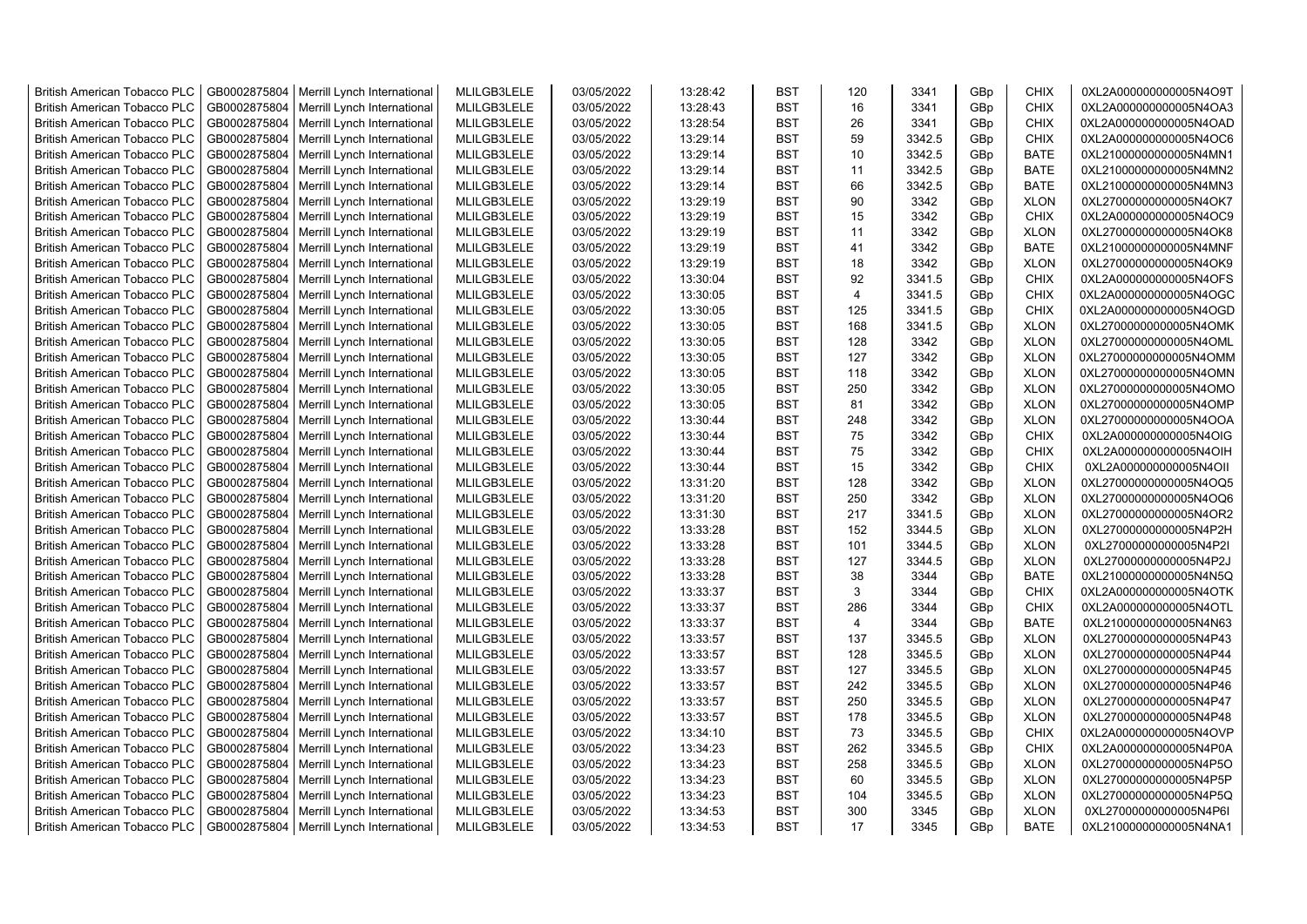| <b>British American Tobacco PLC</b> | GB0002875804 | Merrill Lynch International | MLILGB3LELE | 03/05/2022 | 13:28:42 | <b>BST</b> | 120            | 3341   | GBp             | <b>CHIX</b> | 0XL2A000000000005N4O9T |
|-------------------------------------|--------------|-----------------------------|-------------|------------|----------|------------|----------------|--------|-----------------|-------------|------------------------|
| <b>British American Tobacco PLC</b> | GB0002875804 | Merrill Lynch International | MLILGB3LELE | 03/05/2022 | 13:28:43 | <b>BST</b> | 16             | 3341   | GBp             | <b>CHIX</b> | 0XL2A000000000005N4OA3 |
| <b>British American Tobacco PLC</b> | GB0002875804 | Merrill Lynch International | MLILGB3LELE | 03/05/2022 | 13:28:54 | <b>BST</b> | 26             | 3341   | GBp             | <b>CHIX</b> | 0XL2A000000000005N4OAD |
| <b>British American Tobacco PLC</b> | GB0002875804 | Merrill Lynch International | MLILGB3LELE | 03/05/2022 | 13:29:14 | <b>BST</b> | 59             | 3342.5 | GBp             | <b>CHIX</b> | 0XL2A000000000005N4OC6 |
| <b>British American Tobacco PLC</b> | GB0002875804 | Merrill Lynch International | MLILGB3LELE | 03/05/2022 | 13:29:14 | <b>BST</b> | 10             | 3342.5 | GBp             | <b>BATE</b> | 0XL21000000000005N4MN1 |
| <b>British American Tobacco PLC</b> | GB0002875804 | Merrill Lynch International | MLILGB3LELE | 03/05/2022 | 13:29:14 | <b>BST</b> | 11             | 3342.5 | GBp             | <b>BATE</b> | 0XL21000000000005N4MN2 |
| <b>British American Tobacco PLC</b> | GB0002875804 | Merrill Lynch International | MLILGB3LELE | 03/05/2022 | 13:29:14 | <b>BST</b> | 66             | 3342.5 | GBp             | <b>BATE</b> | 0XL21000000000005N4MN3 |
| <b>British American Tobacco PLC</b> | GB0002875804 | Merrill Lynch International | MLILGB3LELE | 03/05/2022 | 13:29:19 | <b>BST</b> | 90             | 3342   | GBp             | <b>XLON</b> | 0XL27000000000005N4OK7 |
| <b>British American Tobacco PLC</b> | GB0002875804 | Merrill Lynch International | MLILGB3LELE | 03/05/2022 | 13:29:19 | <b>BST</b> | 15             | 3342   | GBp             | <b>CHIX</b> | 0XL2A000000000005N4OC9 |
| <b>British American Tobacco PLC</b> | GB0002875804 | Merrill Lynch International | MLILGB3LELE | 03/05/2022 | 13:29:19 | <b>BST</b> | 11             | 3342   | GBp             | <b>XLON</b> | 0XL27000000000005N4OK8 |
| <b>British American Tobacco PLC</b> | GB0002875804 | Merrill Lynch International | MLILGB3LELE | 03/05/2022 | 13:29:19 | <b>BST</b> | 41             | 3342   | GBp             | <b>BATE</b> | 0XL21000000000005N4MNF |
| British American Tobacco PLC        | GB0002875804 | Merrill Lynch International | MLILGB3LELE | 03/05/2022 | 13:29:19 | <b>BST</b> | 18             | 3342   | GBp             | <b>XLON</b> | 0XL27000000000005N4OK9 |
| <b>British American Tobacco PLC</b> | GB0002875804 | Merrill Lynch International | MLILGB3LELE | 03/05/2022 | 13:30:04 | <b>BST</b> | 92             | 3341.5 | GBp             | <b>CHIX</b> | 0XL2A000000000005N4OFS |
| <b>British American Tobacco PLC</b> | GB0002875804 | Merrill Lynch International | MLILGB3LELE | 03/05/2022 | 13:30:05 | <b>BST</b> | $\overline{4}$ | 3341.5 | GBp             | <b>CHIX</b> | 0XL2A000000000005N4OGC |
| <b>British American Tobacco PLC</b> | GB0002875804 | Merrill Lynch International | MLILGB3LELE | 03/05/2022 | 13:30:05 | <b>BST</b> | 125            | 3341.5 | GBp             | <b>CHIX</b> | 0XL2A000000000005N4OGD |
| British American Tobacco PLC        | GB0002875804 | Merrill Lynch International | MLILGB3LELE | 03/05/2022 | 13:30:05 | <b>BST</b> | 168            | 3341.5 | GBp             | <b>XLON</b> | 0XL27000000000005N4OMK |
| British American Tobacco PLC        | GB0002875804 | Merrill Lynch International | MLILGB3LELE | 03/05/2022 | 13:30:05 | <b>BST</b> | 128            | 3342   | GBp             | <b>XLON</b> | 0XL27000000000005N4OML |
| <b>British American Tobacco PLC</b> | GB0002875804 | Merrill Lynch International | MLILGB3LELE | 03/05/2022 | 13:30:05 | <b>BST</b> | 127            | 3342   | GBp             | <b>XLON</b> | 0XL27000000000005N4OMM |
| British American Tobacco PLC        | GB0002875804 | Merrill Lynch International | MLILGB3LELE | 03/05/2022 | 13:30:05 | <b>BST</b> | 118            | 3342   | GBp             | <b>XLON</b> | 0XL27000000000005N4OMN |
| <b>British American Tobacco PLC</b> | GB0002875804 | Merrill Lynch International | MLILGB3LELE | 03/05/2022 | 13:30:05 | <b>BST</b> | 250            | 3342   | GBp             | <b>XLON</b> | 0XL27000000000005N4OMO |
| <b>British American Tobacco PLC</b> | GB0002875804 | Merrill Lynch International | MLILGB3LELE | 03/05/2022 | 13:30:05 | <b>BST</b> | 81             | 3342   | GBp             | <b>XLON</b> | 0XL27000000000005N4OMP |
| <b>British American Tobacco PLC</b> | GB0002875804 | Merrill Lynch International | MLILGB3LELE | 03/05/2022 | 13:30:44 | <b>BST</b> | 248            | 3342   | GBp             | <b>XLON</b> | 0XL27000000000005N4OOA |
| <b>British American Tobacco PLC</b> | GB0002875804 | Merrill Lynch International | MLILGB3LELE | 03/05/2022 | 13:30:44 | <b>BST</b> | 75             | 3342   | GBp             | <b>CHIX</b> | 0XL2A000000000005N4OIG |
| <b>British American Tobacco PLC</b> | GB0002875804 | Merrill Lynch International | MLILGB3LELE | 03/05/2022 | 13:30:44 | <b>BST</b> | 75             | 3342   | GBp             | <b>CHIX</b> | 0XL2A000000000005N4OIH |
| <b>British American Tobacco PLC</b> | GB0002875804 | Merrill Lynch International | MLILGB3LELE | 03/05/2022 | 13:30:44 | <b>BST</b> | 15             | 3342   | GBp             | <b>CHIX</b> | 0XL2A000000000005N4OII |
| British American Tobacco PLC        | GB0002875804 | Merrill Lynch International | MLILGB3LELE | 03/05/2022 | 13:31:20 | <b>BST</b> | 128            | 3342   | GBp             | <b>XLON</b> | 0XL27000000000005N4OQ5 |
| <b>British American Tobacco PLC</b> | GB0002875804 | Merrill Lynch International | MLILGB3LELE | 03/05/2022 | 13:31:20 | <b>BST</b> | 250            | 3342   | GBp             | <b>XLON</b> | 0XL27000000000005N4OQ6 |
| <b>British American Tobacco PLC</b> | GB0002875804 | Merrill Lynch International | MLILGB3LELE | 03/05/2022 | 13:31:30 | <b>BST</b> | 217            | 3341.5 | GBp             | <b>XLON</b> | 0XL27000000000005N4OR2 |
| <b>British American Tobacco PLC</b> | GB0002875804 | Merrill Lynch International | MLILGB3LELE | 03/05/2022 | 13:33:28 | <b>BST</b> | 152            | 3344.5 | GBp             | <b>XLON</b> | 0XL27000000000005N4P2H |
| <b>British American Tobacco PLC</b> | GB0002875804 | Merrill Lynch International | MLILGB3LELE | 03/05/2022 | 13:33:28 | <b>BST</b> | 101            | 3344.5 | GBp             | <b>XLON</b> | 0XL27000000000005N4P2I |
| <b>British American Tobacco PLC</b> | GB0002875804 | Merrill Lynch International | MLILGB3LELE | 03/05/2022 | 13:33:28 | <b>BST</b> | 127            | 3344.5 | GBp             | <b>XLON</b> | 0XL27000000000005N4P2J |
| <b>British American Tobacco PLC</b> | GB0002875804 | Merrill Lynch International | MLILGB3LELE | 03/05/2022 | 13:33:28 | <b>BST</b> | 38             | 3344   | GBp             | <b>BATE</b> | 0XL21000000000005N4N5Q |
| <b>British American Tobacco PLC</b> | GB0002875804 | Merrill Lynch International | MLILGB3LELE | 03/05/2022 | 13:33:37 | <b>BST</b> | 3              | 3344   | GBp             | <b>CHIX</b> | 0XL2A000000000005N4OTK |
| <b>British American Tobacco PLC</b> | GB0002875804 | Merrill Lynch International | MLILGB3LELE | 03/05/2022 | 13:33:37 | <b>BST</b> | 286            | 3344   | GBp             | <b>CHIX</b> | 0XL2A000000000005N4OTL |
| <b>British American Tobacco PLC</b> | GB0002875804 | Merrill Lynch International | MLILGB3LELE | 03/05/2022 | 13:33:37 | <b>BST</b> | $\overline{4}$ | 3344   | GBp             | <b>BATE</b> | 0XL21000000000005N4N63 |
| British American Tobacco PLC        | GB0002875804 | Merrill Lynch International | MLILGB3LELE | 03/05/2022 | 13:33:57 | <b>BST</b> | 137            | 3345.5 | GBp             | <b>XLON</b> | 0XL27000000000005N4P43 |
| <b>British American Tobacco PLC</b> | GB0002875804 | Merrill Lynch International | MLILGB3LELE | 03/05/2022 | 13:33:57 | <b>BST</b> | 128            | 3345.5 | GBp             | <b>XLON</b> | 0XL27000000000005N4P44 |
| <b>British American Tobacco PLC</b> | GB0002875804 | Merrill Lynch International | MLILGB3LELE | 03/05/2022 | 13:33:57 | <b>BST</b> | 127            | 3345.5 | GBp             | <b>XLON</b> | 0XL27000000000005N4P45 |
| <b>British American Tobacco PLC</b> | GB0002875804 | Merrill Lynch International | MLILGB3LELE | 03/05/2022 | 13:33:57 | <b>BST</b> | 242            | 3345.5 | GBp             | <b>XLON</b> | 0XL27000000000005N4P46 |
| <b>British American Tobacco PLC</b> | GB0002875804 | Merrill Lynch International | MLILGB3LELE | 03/05/2022 | 13:33:57 | <b>BST</b> | 250            | 3345.5 | GBp             | <b>XLON</b> | 0XL27000000000005N4P47 |
| <b>British American Tobacco PLC</b> | GB0002875804 | Merrill Lynch International | MLILGB3LELE | 03/05/2022 | 13:33:57 | <b>BST</b> | 178            | 3345.5 | GBp             | <b>XLON</b> | 0XL27000000000005N4P48 |
| <b>British American Tobacco PLC</b> | GB0002875804 | Merrill Lynch International | MLILGB3LELE | 03/05/2022 | 13:34:10 | <b>BST</b> | 73             | 3345.5 | GBp             | <b>CHIX</b> | 0XL2A000000000005N4OVP |
| <b>British American Tobacco PLC</b> | GB0002875804 | Merrill Lynch International | MLILGB3LELE | 03/05/2022 | 13:34:23 | <b>BST</b> | 262            | 3345.5 | GBp             | <b>CHIX</b> | 0XL2A000000000005N4P0A |
| <b>British American Tobacco PLC</b> | GB0002875804 | Merrill Lynch International | MLILGB3LELE | 03/05/2022 | 13:34:23 | <b>BST</b> | 258            | 3345.5 | GBp             | <b>XLON</b> | 0XL27000000000005N4P5O |
| British American Tobacco PLC        | GB0002875804 | Merrill Lynch International | MLILGB3LELE | 03/05/2022 | 13:34:23 | <b>BST</b> | 60             | 3345.5 | GBp             | <b>XLON</b> | 0XL27000000000005N4P5P |
| <b>British American Tobacco PLC</b> | GB0002875804 | Merrill Lynch International | MLILGB3LELE | 03/05/2022 | 13:34:23 | <b>BST</b> | 104            | 3345.5 | GBp             | <b>XLON</b> | 0XL27000000000005N4P5Q |
| <b>British American Tobacco PLC</b> | GB0002875804 | Merrill Lynch International | MLILGB3LELE | 03/05/2022 | 13:34:53 | <b>BST</b> | 300            | 3345   | GBp             | <b>XLON</b> | 0XL27000000000005N4P6I |
| <b>British American Tobacco PLC</b> | GB0002875804 | Merrill Lynch International | MLILGB3LELE | 03/05/2022 | 13:34:53 | <b>BST</b> | 17             | 3345   | GB <sub>p</sub> | <b>BATE</b> | 0XL21000000000005N4NA1 |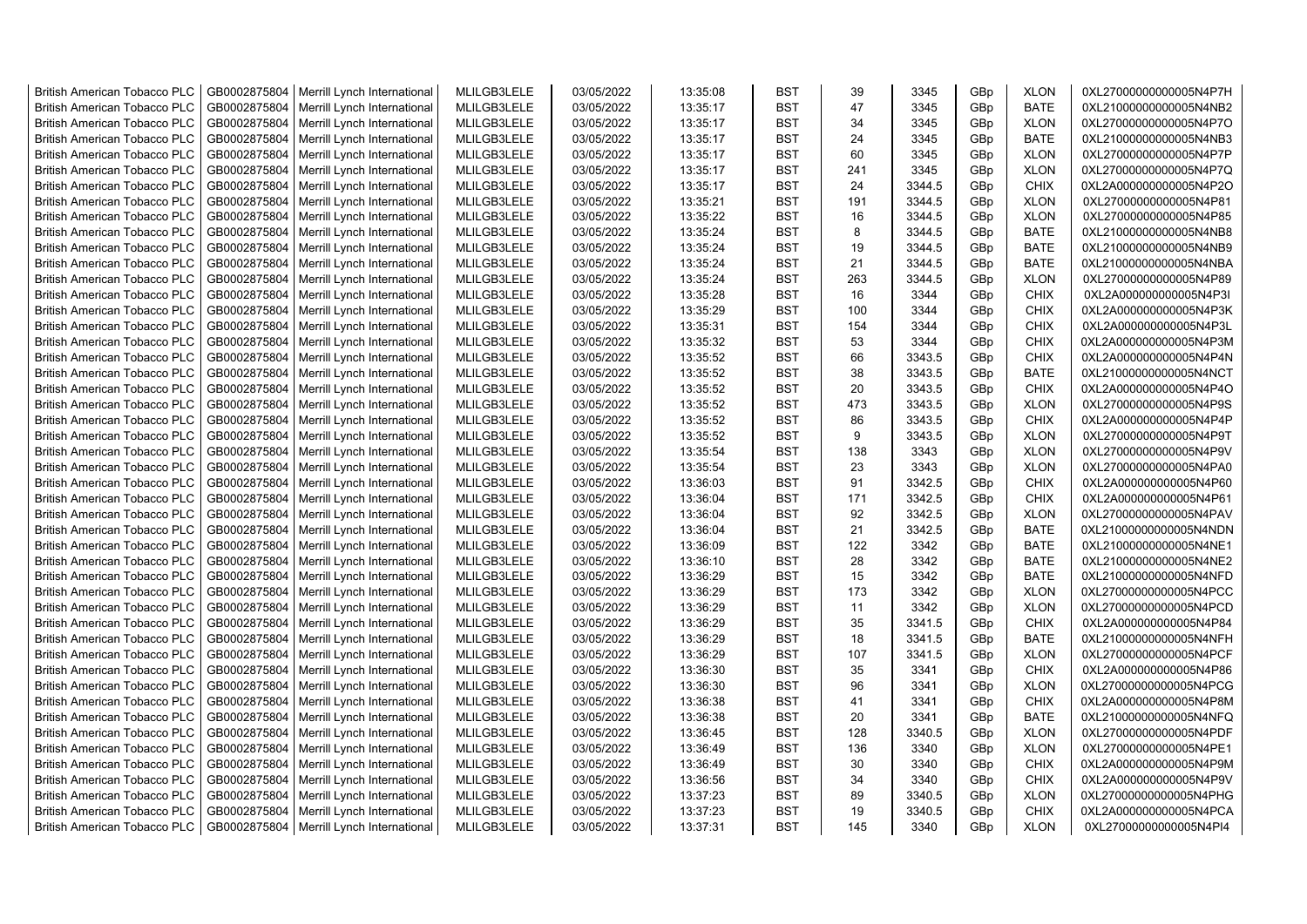| <b>British American Tobacco PLC</b> | GB0002875804 | Merrill Lynch International | MLILGB3LELE | 03/05/2022 | 13:35:08 | <b>BST</b> | 39  | 3345   | GBp | <b>XLON</b> | 0XL27000000000005N4P7H |
|-------------------------------------|--------------|-----------------------------|-------------|------------|----------|------------|-----|--------|-----|-------------|------------------------|
| <b>British American Tobacco PLC</b> | GB0002875804 | Merrill Lynch International | MLILGB3LELE | 03/05/2022 | 13:35:17 | <b>BST</b> | 47  | 3345   | GBp | <b>BATE</b> | 0XL21000000000005N4NB2 |
| <b>British American Tobacco PLC</b> | GB0002875804 | Merrill Lynch International | MLILGB3LELE | 03/05/2022 | 13:35:17 | <b>BST</b> | 34  | 3345   | GBp | <b>XLON</b> | 0XL27000000000005N4P7O |
| <b>British American Tobacco PLC</b> | GB0002875804 | Merrill Lynch International | MLILGB3LELE | 03/05/2022 | 13:35:17 | <b>BST</b> | 24  | 3345   | GBp | <b>BATE</b> | 0XL21000000000005N4NB3 |
| British American Tobacco PLC        | GB0002875804 | Merrill Lynch International | MLILGB3LELE | 03/05/2022 | 13:35:17 | <b>BST</b> | 60  | 3345   | GBp | <b>XLON</b> | 0XL27000000000005N4P7P |
| <b>British American Tobacco PLC</b> | GB0002875804 | Merrill Lynch International | MLILGB3LELE | 03/05/2022 | 13:35:17 | <b>BST</b> | 241 | 3345   | GBp | <b>XLON</b> | 0XL27000000000005N4P7Q |
| <b>British American Tobacco PLC</b> | GB0002875804 | Merrill Lynch International | MLILGB3LELE | 03/05/2022 | 13:35:17 | <b>BST</b> | 24  | 3344.5 | GBp | <b>CHIX</b> | 0XL2A000000000005N4P2O |
| <b>British American Tobacco PLC</b> | GB0002875804 | Merrill Lynch International | MLILGB3LELE | 03/05/2022 | 13:35:21 | <b>BST</b> | 191 | 3344.5 | GBp | <b>XLON</b> | 0XL27000000000005N4P81 |
| <b>British American Tobacco PLC</b> | GB0002875804 | Merrill Lynch International | MLILGB3LELE | 03/05/2022 | 13:35:22 | <b>BST</b> | 16  | 3344.5 | GBp | <b>XLON</b> | 0XL27000000000005N4P85 |
| <b>British American Tobacco PLC</b> | GB0002875804 | Merrill Lynch International | MLILGB3LELE | 03/05/2022 | 13:35:24 | <b>BST</b> | 8   | 3344.5 | GBp | <b>BATE</b> | 0XL21000000000005N4NB8 |
| <b>British American Tobacco PLC</b> | GB0002875804 | Merrill Lynch International | MLILGB3LELE | 03/05/2022 | 13:35:24 | <b>BST</b> | 19  | 3344.5 | GBp | <b>BATE</b> | 0XL21000000000005N4NB9 |
| <b>British American Tobacco PLC</b> | GB0002875804 | Merrill Lynch International | MLILGB3LELE | 03/05/2022 | 13:35:24 | <b>BST</b> | 21  | 3344.5 | GBp | <b>BATE</b> | 0XL21000000000005N4NBA |
| <b>British American Tobacco PLC</b> | GB0002875804 | Merrill Lynch International | MLILGB3LELE | 03/05/2022 | 13:35:24 | <b>BST</b> | 263 | 3344.5 | GBp | <b>XLON</b> | 0XL27000000000005N4P89 |
| <b>British American Tobacco PLC</b> | GB0002875804 | Merrill Lynch International | MLILGB3LELE | 03/05/2022 | 13:35:28 | <b>BST</b> | 16  | 3344   | GBp | <b>CHIX</b> | 0XL2A000000000005N4P3I |
| <b>British American Tobacco PLC</b> | GB0002875804 | Merrill Lynch International | MLILGB3LELE | 03/05/2022 | 13:35:29 | <b>BST</b> | 100 | 3344   | GBp | <b>CHIX</b> | 0XL2A000000000005N4P3K |
| <b>British American Tobacco PLC</b> | GB0002875804 | Merrill Lynch International | MLILGB3LELE | 03/05/2022 | 13:35:31 | <b>BST</b> | 154 | 3344   | GBp | <b>CHIX</b> | 0XL2A000000000005N4P3L |
| <b>British American Tobacco PLC</b> | GB0002875804 | Merrill Lynch International | MLILGB3LELE | 03/05/2022 | 13:35:32 | <b>BST</b> | 53  | 3344   | GBp | CHIX        | 0XL2A000000000005N4P3M |
| <b>British American Tobacco PLC</b> | GB0002875804 | Merrill Lynch International | MLILGB3LELE | 03/05/2022 | 13:35:52 | <b>BST</b> | 66  | 3343.5 | GBp | <b>CHIX</b> | 0XL2A000000000005N4P4N |
| <b>British American Tobacco PLC</b> | GB0002875804 | Merrill Lynch International | MLILGB3LELE | 03/05/2022 | 13:35:52 | <b>BST</b> | 38  | 3343.5 | GBp | <b>BATE</b> | 0XL21000000000005N4NCT |
| <b>British American Tobacco PLC</b> | GB0002875804 | Merrill Lynch International | MLILGB3LELE | 03/05/2022 | 13:35:52 | <b>BST</b> | 20  | 3343.5 | GBp | <b>CHIX</b> | 0XL2A000000000005N4P4O |
| <b>British American Tobacco PLC</b> | GB0002875804 | Merrill Lynch International | MLILGB3LELE | 03/05/2022 | 13:35:52 | <b>BST</b> | 473 | 3343.5 | GBp | <b>XLON</b> | 0XL27000000000005N4P9S |
| <b>British American Tobacco PLC</b> | GB0002875804 | Merrill Lynch International | MLILGB3LELE | 03/05/2022 | 13:35:52 | <b>BST</b> | 86  | 3343.5 | GBp | <b>CHIX</b> | 0XL2A000000000005N4P4P |
| <b>British American Tobacco PLC</b> | GB0002875804 | Merrill Lynch International | MLILGB3LELE | 03/05/2022 | 13:35:52 | <b>BST</b> | 9   | 3343.5 | GBp | <b>XLON</b> | 0XL27000000000005N4P9T |
| <b>British American Tobacco PLC</b> | GB0002875804 | Merrill Lynch International | MLILGB3LELE | 03/05/2022 | 13:35:54 | <b>BST</b> | 138 | 3343   | GBp | <b>XLON</b> | 0XL27000000000005N4P9V |
| <b>British American Tobacco PLC</b> | GB0002875804 | Merrill Lynch International | MLILGB3LELE | 03/05/2022 | 13:35:54 | <b>BST</b> | 23  | 3343   | GBp | <b>XLON</b> | 0XL27000000000005N4PA0 |
| <b>British American Tobacco PLC</b> | GB0002875804 | Merrill Lynch International | MLILGB3LELE | 03/05/2022 | 13:36:03 | <b>BST</b> | 91  | 3342.5 | GBp | CHIX        | 0XL2A000000000005N4P60 |
| <b>British American Tobacco PLC</b> | GB0002875804 | Merrill Lynch International | MLILGB3LELE | 03/05/2022 | 13:36:04 | <b>BST</b> | 171 | 3342.5 | GBp | CHIX        | 0XL2A000000000005N4P61 |
| <b>British American Tobacco PLC</b> | GB0002875804 | Merrill Lynch International | MLILGB3LELE | 03/05/2022 | 13:36:04 | <b>BST</b> | 92  | 3342.5 | GBp | <b>XLON</b> | 0XL27000000000005N4PAV |
| <b>British American Tobacco PLC</b> | GB0002875804 | Merrill Lynch International | MLILGB3LELE | 03/05/2022 | 13:36:04 | <b>BST</b> | 21  | 3342.5 | GBp | <b>BATE</b> | 0XL21000000000005N4NDN |
| <b>British American Tobacco PLC</b> | GB0002875804 | Merrill Lynch International | MLILGB3LELE | 03/05/2022 | 13:36:09 | <b>BST</b> | 122 | 3342   | GBp | <b>BATE</b> | 0XL21000000000005N4NE1 |
| <b>British American Tobacco PLC</b> | GB0002875804 | Merrill Lynch International | MLILGB3LELE | 03/05/2022 | 13:36:10 | <b>BST</b> | 28  | 3342   | GBp | <b>BATE</b> | 0XL21000000000005N4NE2 |
| <b>British American Tobacco PLC</b> | GB0002875804 | Merrill Lynch International | MLILGB3LELE | 03/05/2022 | 13:36:29 | <b>BST</b> | 15  | 3342   | GBp | <b>BATE</b> | 0XL21000000000005N4NFD |
| <b>British American Tobacco PLC</b> | GB0002875804 | Merrill Lynch International | MLILGB3LELE | 03/05/2022 | 13:36:29 | <b>BST</b> | 173 | 3342   | GBp | <b>XLON</b> | 0XL27000000000005N4PCC |
| <b>British American Tobacco PLC</b> | GB0002875804 | Merrill Lynch International | MLILGB3LELE | 03/05/2022 | 13:36:29 | <b>BST</b> | 11  | 3342   | GBp | <b>XLON</b> | 0XL27000000000005N4PCD |
| <b>British American Tobacco PLC</b> | GB0002875804 | Merrill Lynch International | MLILGB3LELE | 03/05/2022 | 13:36:29 | <b>BST</b> | 35  | 3341.5 | GBp | <b>CHIX</b> | 0XL2A000000000005N4P84 |
| <b>British American Tobacco PLC</b> | GB0002875804 | Merrill Lynch International | MLILGB3LELE | 03/05/2022 | 13:36:29 | <b>BST</b> | 18  | 3341.5 | GBp | <b>BATE</b> | 0XL21000000000005N4NFH |
| <b>British American Tobacco PLC</b> | GB0002875804 | Merrill Lynch International | MLILGB3LELE | 03/05/2022 | 13:36:29 | <b>BST</b> | 107 | 3341.5 | GBp | <b>XLON</b> | 0XL27000000000005N4PCF |
| <b>British American Tobacco PLC</b> | GB0002875804 | Merrill Lynch International | MLILGB3LELE | 03/05/2022 | 13:36:30 | <b>BST</b> | 35  | 3341   | GBp | <b>CHIX</b> | 0XL2A000000000005N4P86 |
| <b>British American Tobacco PLC</b> | GB0002875804 | Merrill Lynch International | MLILGB3LELE | 03/05/2022 | 13:36:30 | <b>BST</b> | 96  | 3341   | GBp | <b>XLON</b> | 0XL27000000000005N4PCG |
| <b>British American Tobacco PLC</b> | GB0002875804 | Merrill Lynch International | MLILGB3LELE | 03/05/2022 | 13:36:38 | <b>BST</b> | 41  | 3341   | GBp | <b>CHIX</b> | 0XL2A000000000005N4P8M |
| <b>British American Tobacco PLC</b> | GB0002875804 | Merrill Lynch International | MLILGB3LELE | 03/05/2022 | 13:36:38 | <b>BST</b> | 20  | 3341   | GBp | <b>BATE</b> | 0XL21000000000005N4NFQ |
| <b>British American Tobacco PLC</b> | GB0002875804 | Merrill Lynch International | MLILGB3LELE | 03/05/2022 | 13:36:45 | <b>BST</b> | 128 | 3340.5 | GBp | <b>XLON</b> | 0XL27000000000005N4PDF |
| <b>British American Tobacco PLC</b> | GB0002875804 | Merrill Lynch International | MLILGB3LELE | 03/05/2022 | 13:36:49 | <b>BST</b> | 136 | 3340   | GBp | <b>XLON</b> | 0XL27000000000005N4PE1 |
| <b>British American Tobacco PLC</b> | GB0002875804 | Merrill Lynch International | MLILGB3LELE | 03/05/2022 | 13:36:49 | <b>BST</b> | 30  | 3340   | GBp | <b>CHIX</b> | 0XL2A000000000005N4P9M |
| <b>British American Tobacco PLC</b> | GB0002875804 | Merrill Lynch International | MLILGB3LELE | 03/05/2022 | 13:36:56 | <b>BST</b> | 34  | 3340   | GBp | <b>CHIX</b> | 0XL2A000000000005N4P9V |
| <b>British American Tobacco PLC</b> | GB0002875804 | Merrill Lynch International | MLILGB3LELE | 03/05/2022 | 13:37:23 | <b>BST</b> | 89  | 3340.5 | GBp | <b>XLON</b> | 0XL27000000000005N4PHG |
| <b>British American Tobacco PLC</b> | GB0002875804 | Merrill Lynch International | MLILGB3LELE | 03/05/2022 | 13:37:23 | <b>BST</b> | 19  | 3340.5 | GBp | <b>CHIX</b> | 0XL2A000000000005N4PCA |
| <b>British American Tobacco PLC</b> | GB0002875804 | Merrill Lynch International | MLILGB3LELE | 03/05/2022 | 13:37:31 | <b>BST</b> | 145 | 3340   | GBp | <b>XLON</b> | 0XL27000000000005N4PI4 |
|                                     |              |                             |             |            |          |            |     |        |     |             |                        |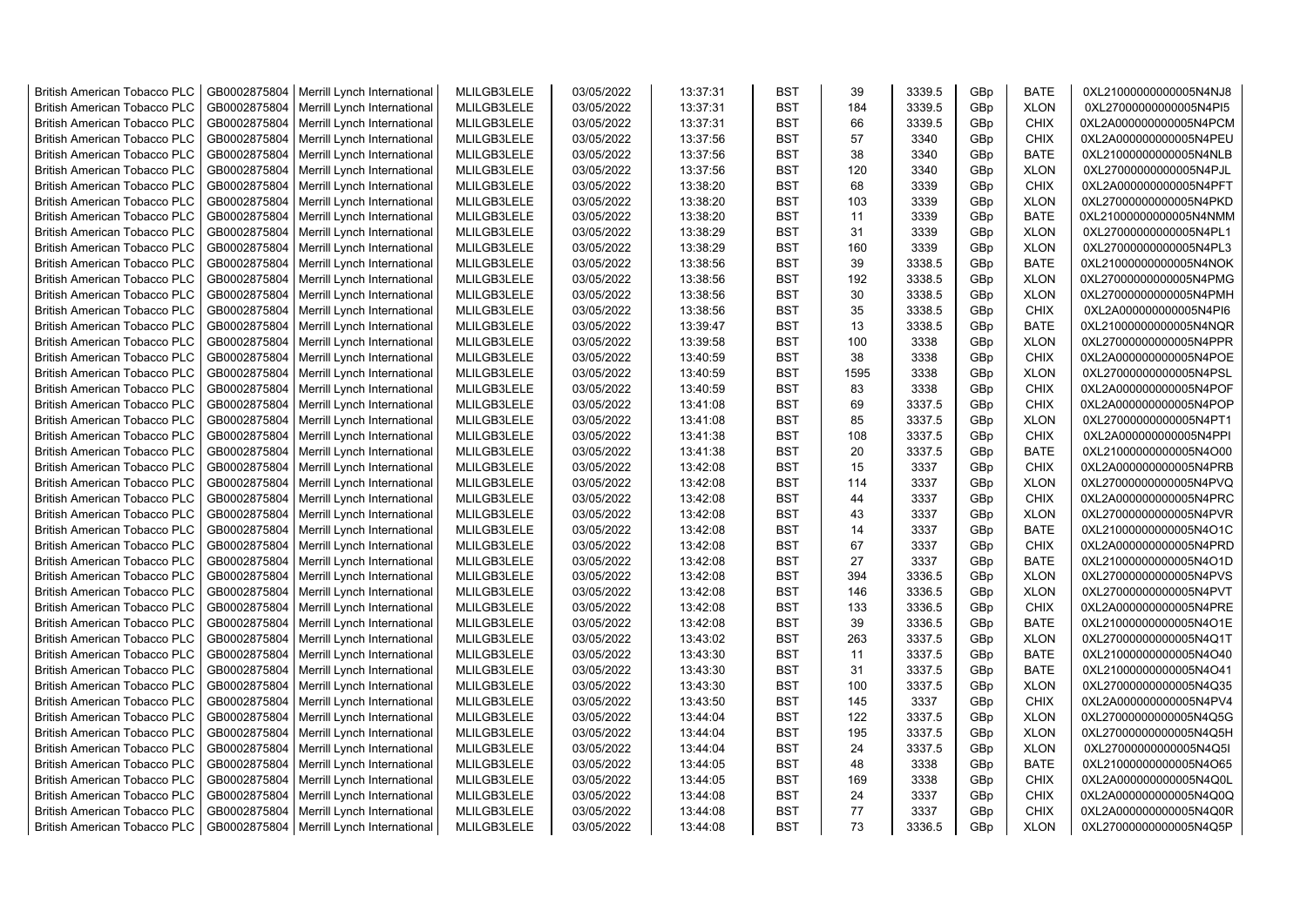| <b>British American Tobacco PLC</b>                                 | GB0002875804                 | Merrill Lynch International | MLILGB3LELE                | 03/05/2022               | 13:37:31             | <b>BST</b>               | 39   | 3339.5       | GBp             | <b>BATE</b>                | 0XL21000000000005N4NJ8                           |
|---------------------------------------------------------------------|------------------------------|-----------------------------|----------------------------|--------------------------|----------------------|--------------------------|------|--------------|-----------------|----------------------------|--------------------------------------------------|
| <b>British American Tobacco PLC</b>                                 | GB0002875804                 | Merrill Lynch International | MLILGB3LELE                | 03/05/2022               | 13:37:31             | <b>BST</b>               | 184  | 3339.5       | GBp             | <b>XLON</b>                | 0XL27000000000005N4PI5                           |
| <b>British American Tobacco PLC</b>                                 | GB0002875804                 | Merrill Lynch International | MLILGB3LELE                | 03/05/2022               | 13:37:31             | <b>BST</b>               | 66   | 3339.5       | GBp             | <b>CHIX</b>                | 0XL2A000000000005N4PCM                           |
| <b>British American Tobacco PLC</b>                                 | GB0002875804                 | Merrill Lynch International | MLILGB3LELE                | 03/05/2022               | 13:37:56             | <b>BST</b>               | 57   | 3340         | GBp             | <b>CHIX</b>                | 0XL2A000000000005N4PEU                           |
| <b>British American Tobacco PLC</b>                                 | GB0002875804                 | Merrill Lynch International | MLILGB3LELE                | 03/05/2022               | 13:37:56             | <b>BST</b>               | 38   | 3340         | GBp             | <b>BATE</b>                | 0XL21000000000005N4NLB                           |
| <b>British American Tobacco PLC</b>                                 | GB0002875804                 | Merrill Lynch International | MLILGB3LELE                | 03/05/2022               | 13:37:56             | <b>BST</b>               | 120  | 3340         | GBp             | <b>XLON</b>                | 0XL27000000000005N4PJL                           |
| <b>British American Tobacco PLC</b>                                 | GB0002875804                 | Merrill Lynch International | MLILGB3LELE                | 03/05/2022               | 13:38:20             | <b>BST</b>               | 68   | 3339         | GBp             | <b>CHIX</b>                | 0XL2A000000000005N4PFT                           |
| <b>British American Tobacco PLC</b>                                 | GB0002875804                 | Merrill Lynch International | MLILGB3LELE                | 03/05/2022               | 13:38:20             | <b>BST</b>               | 103  | 3339         | GBp             | <b>XLON</b>                | 0XL27000000000005N4PKD                           |
| <b>British American Tobacco PLC</b>                                 | GB0002875804                 | Merrill Lynch International | MLILGB3LELE                | 03/05/2022               | 13:38:20             | <b>BST</b>               | 11   | 3339         | GBp             | <b>BATE</b>                | 0XL21000000000005N4NMM                           |
| <b>British American Tobacco PLC</b>                                 | GB0002875804                 | Merrill Lynch International | MLILGB3LELE                | 03/05/2022               | 13:38:29             | <b>BST</b>               | 31   | 3339         | GBp             | <b>XLON</b>                | 0XL27000000000005N4PL1                           |
| <b>British American Tobacco PLC</b>                                 | GB0002875804                 | Merrill Lynch International | MLILGB3LELE                | 03/05/2022               | 13:38:29             | <b>BST</b>               | 160  | 3339         | GBp             | <b>XLON</b>                | 0XL27000000000005N4PL3                           |
| <b>British American Tobacco PLC</b>                                 | GB0002875804                 | Merrill Lynch International | MLILGB3LELE                | 03/05/2022               | 13:38:56             | <b>BST</b>               | 39   | 3338.5       | GBp             | <b>BATE</b>                | 0XL21000000000005N4NOK                           |
| <b>British American Tobacco PLC</b>                                 | GB0002875804                 | Merrill Lynch International | MLILGB3LELE                | 03/05/2022               | 13:38:56             | <b>BST</b>               | 192  | 3338.5       | GBp             | <b>XLON</b>                | 0XL27000000000005N4PMG                           |
| <b>British American Tobacco PLC</b>                                 | GB0002875804                 | Merrill Lynch International | MLILGB3LELE                | 03/05/2022               | 13:38:56             | <b>BST</b>               | 30   | 3338.5       | GBp             | <b>XLON</b>                | 0XL27000000000005N4PMH                           |
| <b>British American Tobacco PLC</b>                                 | GB0002875804                 | Merrill Lynch International | MLILGB3LELE                | 03/05/2022               | 13:38:56             | <b>BST</b>               | 35   | 3338.5       | GBp             | <b>CHIX</b>                | 0XL2A000000000005N4PI6                           |
| <b>British American Tobacco PLC</b>                                 | GB0002875804                 | Merrill Lynch International | MLILGB3LELE                | 03/05/2022               | 13:39:47             | <b>BST</b>               | 13   | 3338.5       | GBp             | <b>BATE</b>                | 0XL21000000000005N4NQR                           |
| <b>British American Tobacco PLC</b>                                 | GB0002875804                 | Merrill Lynch International | MLILGB3LELE                | 03/05/2022               | 13:39:58             | <b>BST</b>               | 100  | 3338         | GBp             | <b>XLON</b>                | 0XL27000000000005N4PPR                           |
| <b>British American Tobacco PLC</b>                                 | GB0002875804                 | Merrill Lynch International | MLILGB3LELE                | 03/05/2022               | 13:40:59             | <b>BST</b>               | 38   | 3338         | GBp             | <b>CHIX</b>                | 0XL2A000000000005N4POE                           |
| <b>British American Tobacco PLC</b>                                 | GB0002875804                 | Merrill Lynch International | MLILGB3LELE                | 03/05/2022               | 13:40:59             | <b>BST</b>               | 1595 | 3338         | GBp             | <b>XLON</b>                | 0XL27000000000005N4PSL                           |
| <b>British American Tobacco PLC</b>                                 | GB0002875804                 | Merrill Lynch International | MLILGB3LELE                | 03/05/2022               | 13:40:59             | <b>BST</b>               | 83   | 3338         | GBp             | <b>CHIX</b>                | 0XL2A000000000005N4POF                           |
| <b>British American Tobacco PLC</b>                                 | GB0002875804                 | Merrill Lynch International | MLILGB3LELE                | 03/05/2022               | 13:41:08             | <b>BST</b>               | 69   | 3337.5       | GBp             | <b>CHIX</b>                | 0XL2A000000000005N4POP                           |
| <b>British American Tobacco PLC</b>                                 | GB0002875804                 | Merrill Lynch International | MLILGB3LELE                | 03/05/2022               | 13:41:08             | <b>BST</b>               | 85   | 3337.5       | GBp             | <b>XLON</b>                | 0XL27000000000005N4PT1                           |
| <b>British American Tobacco PLC</b>                                 | GB0002875804                 | Merrill Lynch International | MLILGB3LELE                | 03/05/2022               | 13:41:38             | <b>BST</b>               | 108  | 3337.5       | GBp             | <b>CHIX</b>                | 0XL2A000000000005N4PPI                           |
| <b>British American Tobacco PLC</b>                                 | GB0002875804                 | Merrill Lynch International | MLILGB3LELE                | 03/05/2022               | 13:41:38             | <b>BST</b>               | 20   | 3337.5       | GBp             | <b>BATE</b>                | 0XL21000000000005N4O00                           |
| <b>British American Tobacco PLC</b>                                 | GB0002875804                 | Merrill Lynch International | MLILGB3LELE                | 03/05/2022               | 13:42:08             | <b>BST</b>               | 15   | 3337         | GBp             | <b>CHIX</b>                | 0XL2A000000000005N4PRB                           |
| British American Tobacco PLC                                        | GB0002875804                 | Merrill Lynch International | MLILGB3LELE                | 03/05/2022               | 13:42:08             | <b>BST</b>               | 114  | 3337         | GBp             | <b>XLON</b>                | 0XL27000000000005N4PVQ                           |
| <b>British American Tobacco PLC</b>                                 | GB0002875804                 | Merrill Lynch International | MLILGB3LELE                | 03/05/2022               | 13:42:08             | <b>BST</b>               | 44   | 3337         | GBp             | <b>CHIX</b>                | 0XL2A000000000005N4PRC                           |
| British American Tobacco PLC                                        | GB0002875804                 | Merrill Lynch International | MLILGB3LELE                | 03/05/2022               | 13:42:08             | <b>BST</b>               | 43   | 3337         | GBp             | <b>XLON</b>                | 0XL27000000000005N4PVR                           |
| <b>British American Tobacco PLC</b>                                 | GB0002875804                 | Merrill Lynch International | MLILGB3LELE                | 03/05/2022               | 13:42:08             | <b>BST</b>               | 14   | 3337         | GBp             | <b>BATE</b>                | 0XL21000000000005N4O1C                           |
| <b>British American Tobacco PLC</b>                                 | GB0002875804                 | Merrill Lynch International | MLILGB3LELE                | 03/05/2022               | 13:42:08             | <b>BST</b>               | 67   | 3337         | GBp             | <b>CHIX</b>                | 0XL2A000000000005N4PRD                           |
| <b>British American Tobacco PLC</b>                                 | GB0002875804                 | Merrill Lynch International | MLILGB3LELE                | 03/05/2022               | 13:42:08             | <b>BST</b>               | 27   | 3337         | GBp             | <b>BATE</b>                | 0XL21000000000005N4O1D                           |
| <b>British American Tobacco PLC</b>                                 | GB0002875804                 | Merrill Lynch International | MLILGB3LELE                | 03/05/2022               | 13:42:08             | <b>BST</b>               | 394  | 3336.5       | GBp             | <b>XLON</b>                | 0XL27000000000005N4PVS                           |
| <b>British American Tobacco PLC</b>                                 | GB0002875804                 | Merrill Lynch International | MLILGB3LELE                | 03/05/2022               | 13:42:08             | <b>BST</b>               | 146  | 3336.5       | GBp             | <b>XLON</b>                | 0XL27000000000005N4PVT                           |
| <b>British American Tobacco PLC</b>                                 | GB0002875804                 | Merrill Lynch International | MLILGB3LELE                | 03/05/2022               | 13:42:08             | <b>BST</b>               | 133  | 3336.5       | GBp             | <b>CHIX</b>                | 0XL2A000000000005N4PRE                           |
| <b>British American Tobacco PLC</b>                                 | GB0002875804                 | Merrill Lynch International | MLILGB3LELE                | 03/05/2022               | 13:42:08             | <b>BST</b>               | 39   | 3336.5       | GBp             | <b>BATE</b>                | 0XL21000000000005N4O1E                           |
| <b>British American Tobacco PLC</b>                                 | GB0002875804                 | Merrill Lynch International | MLILGB3LELE                | 03/05/2022               | 13:43:02             | <b>BST</b>               | 263  | 3337.5       | GBp             | <b>XLON</b>                | 0XL27000000000005N4Q1T                           |
| British American Tobacco PLC                                        | GB0002875804                 | Merrill Lynch International | MLILGB3LELE                | 03/05/2022               | 13:43:30             | <b>BST</b>               | 11   | 3337.5       | GBp             | <b>BATE</b>                | 0XL21000000000005N4O40                           |
| <b>British American Tobacco PLC</b>                                 | GB0002875804                 | Merrill Lynch International | MLILGB3LELE                | 03/05/2022               | 13:43:30             | <b>BST</b>               | 31   | 3337.5       | GBp             | <b>BATE</b>                | 0XL21000000000005N4O41                           |
| <b>British American Tobacco PLC</b>                                 | GB0002875804                 | Merrill Lynch International | MLILGB3LELE                | 03/05/2022               | 13:43:30             | <b>BST</b>               | 100  | 3337.5       | GBp             | <b>XLON</b>                | 0XL27000000000005N4Q35                           |
| <b>British American Tobacco PLC</b>                                 | GB0002875804                 | Merrill Lynch International | MLILGB3LELE                | 03/05/2022               | 13:43:50             | <b>BST</b>               | 145  | 3337         | GBp             | <b>CHIX</b>                | 0XL2A000000000005N4PV4                           |
| British American Tobacco PLC                                        | GB0002875804                 | Merrill Lynch International | MLILGB3LELE                | 03/05/2022               | 13:44:04             | <b>BST</b>               | 122  | 3337.5       | GBp             | <b>XLON</b>                | 0XL27000000000005N4Q5G                           |
| <b>British American Tobacco PLC</b>                                 | GB0002875804                 | Merrill Lynch International | MLILGB3LELE                | 03/05/2022               | 13:44:04             | <b>BST</b>               | 195  | 3337.5       | GBp             | <b>XLON</b>                | 0XL27000000000005N4Q5H                           |
|                                                                     |                              |                             |                            |                          |                      | <b>BST</b>               | 24   |              |                 |                            |                                                  |
| British American Tobacco PLC                                        | GB0002875804                 | Merrill Lynch International | MLILGB3LELE                | 03/05/2022               | 13:44:04             | <b>BST</b>               | 48   | 3337.5       | GBp             | <b>XLON</b>                | 0XL27000000000005N4Q5I                           |
| British American Tobacco PLC<br><b>British American Tobacco PLC</b> | GB0002875804<br>GB0002875804 | Merrill Lynch International | MLILGB3LELE<br>MLILGB3LELE | 03/05/2022<br>03/05/2022 | 13:44:05<br>13:44:05 | <b>BST</b>               | 169  | 3338<br>3338 | GBp<br>GBp      | <b>BATE</b><br><b>CHIX</b> | 0XL21000000000005N4O65<br>0XL2A000000000005N4Q0L |
|                                                                     |                              | Merrill Lynch International | MLILGB3LELE                |                          |                      |                          | 24   | 3337         |                 |                            |                                                  |
| <b>British American Tobacco PLC</b>                                 | GB0002875804                 | Merrill Lynch International |                            | 03/05/2022               | 13:44:08             | <b>BST</b><br><b>BST</b> | 77   |              | GBp             | <b>CHIX</b>                | 0XL2A000000000005N4Q0Q                           |
| <b>British American Tobacco PLC</b>                                 | GB0002875804                 | Merrill Lynch International | MLILGB3LELE                | 03/05/2022               | 13:44:08             |                          | 73   | 3337         | GBp             | <b>CHIX</b>                | 0XL2A000000000005N4Q0R                           |
| <b>British American Tobacco PLC</b>                                 | GB0002875804                 | Merrill Lynch International | MLILGB3LELE                | 03/05/2022               | 13:44:08             | <b>BST</b>               |      | 3336.5       | GB <sub>p</sub> | <b>XLON</b>                | 0XL27000000000005N4Q5P                           |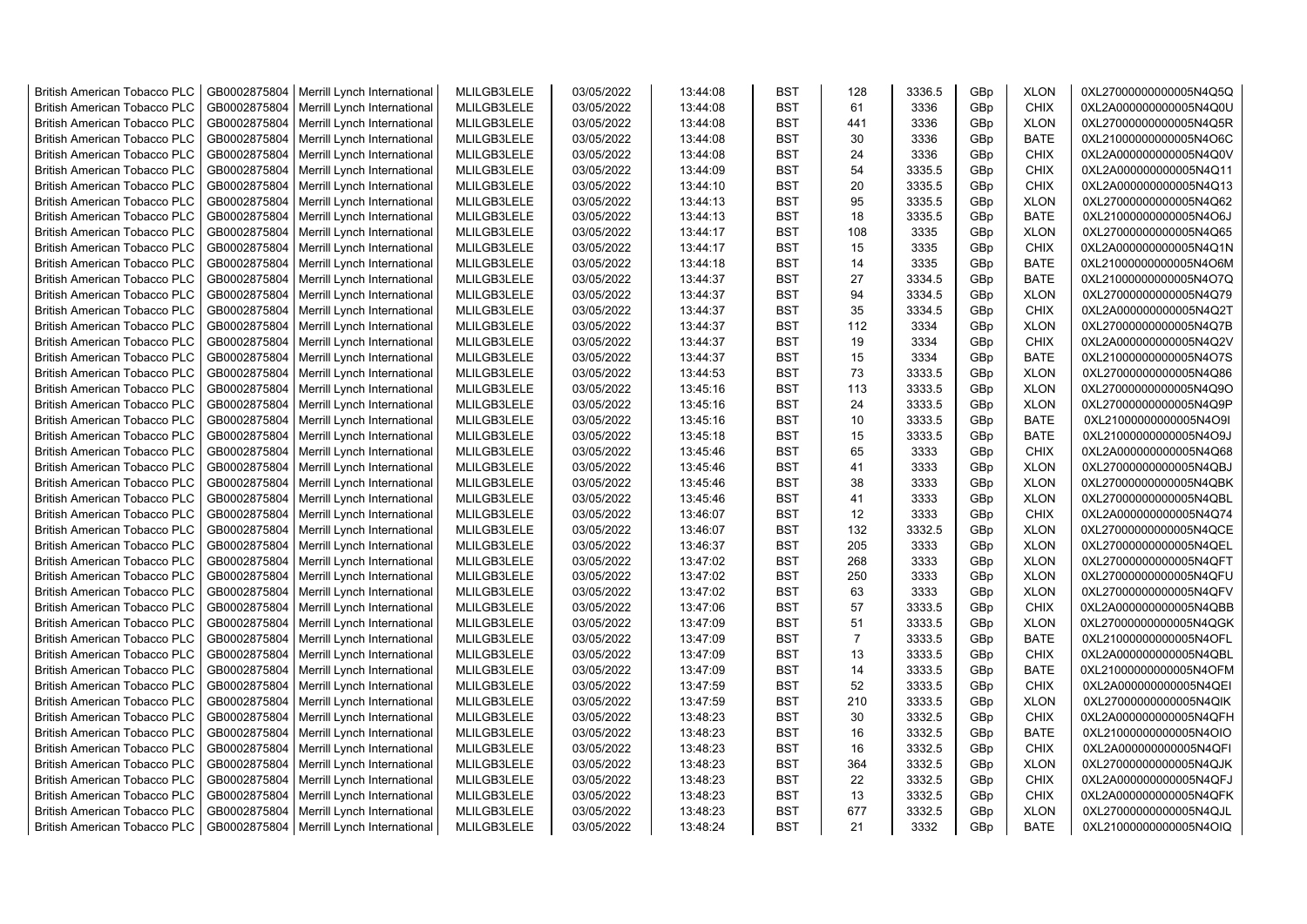| <b>British American Tobacco PLC</b> | GB0002875804 | Merrill Lynch International                | MLILGB3LELE | 03/05/2022 | 13:44:08 | <b>BST</b> | 128                  | 3336.5 | GBp             | <b>XLON</b> | 0XL27000000000005N4Q5Q |
|-------------------------------------|--------------|--------------------------------------------|-------------|------------|----------|------------|----------------------|--------|-----------------|-------------|------------------------|
| <b>British American Tobacco PLC</b> | GB0002875804 | Merrill Lynch International                | MLILGB3LELE | 03/05/2022 | 13:44:08 | <b>BST</b> | 61                   | 3336   | GBp             | <b>CHIX</b> | 0XL2A000000000005N4Q0U |
| <b>British American Tobacco PLC</b> | GB0002875804 | Merrill Lynch International                | MLILGB3LELE | 03/05/2022 | 13:44:08 | <b>BST</b> | 441                  | 3336   | GBp             | <b>XLON</b> | 0XL27000000000005N4Q5R |
| <b>British American Tobacco PLC</b> | GB0002875804 | Merrill Lynch International                | MLILGB3LELE | 03/05/2022 | 13:44:08 | <b>BST</b> | 30                   | 3336   | GBp             | <b>BATE</b> | 0XL21000000000005N4O6C |
| <b>British American Tobacco PLC</b> | GB0002875804 | Merrill Lynch International                | MLILGB3LELE | 03/05/2022 | 13:44:08 | <b>BST</b> | 24                   | 3336   | GBp             | <b>CHIX</b> | 0XL2A000000000005N4Q0V |
| <b>British American Tobacco PLC</b> | GB0002875804 | Merrill Lynch International                | MLILGB3LELE | 03/05/2022 | 13:44:09 | <b>BST</b> | 54                   | 3335.5 | GBp             | <b>CHIX</b> | 0XL2A000000000005N4Q11 |
| British American Tobacco PLC        | GB0002875804 | Merrill Lynch International                | MLILGB3LELE | 03/05/2022 | 13:44:10 | <b>BST</b> | 20                   | 3335.5 | GBp             | <b>CHIX</b> | 0XL2A000000000005N4Q13 |
| <b>British American Tobacco PLC</b> | GB0002875804 | Merrill Lynch International                | MLILGB3LELE | 03/05/2022 | 13:44:13 | <b>BST</b> | 95                   | 3335.5 | GBp             | <b>XLON</b> | 0XL27000000000005N4Q62 |
| <b>British American Tobacco PLC</b> | GB0002875804 | Merrill Lynch International                | MLILGB3LELE | 03/05/2022 | 13:44:13 | <b>BST</b> | 18                   | 3335.5 | GBp             | <b>BATE</b> | 0XL21000000000005N4O6J |
| <b>British American Tobacco PLC</b> | GB0002875804 | Merrill Lynch International                | MLILGB3LELE | 03/05/2022 | 13:44:17 | <b>BST</b> | 108                  | 3335   | GBp             | <b>XLON</b> | 0XL27000000000005N4Q65 |
| <b>British American Tobacco PLC</b> | GB0002875804 | Merrill Lynch International                | MLILGB3LELE | 03/05/2022 | 13:44:17 | <b>BST</b> | 15                   | 3335   | GBp             | <b>CHIX</b> | 0XL2A000000000005N4Q1N |
| <b>British American Tobacco PLC</b> | GB0002875804 | Merrill Lynch International                | MLILGB3LELE | 03/05/2022 | 13:44:18 | <b>BST</b> | 14                   | 3335   | GBp             | <b>BATE</b> | 0XL21000000000005N4O6M |
| <b>British American Tobacco PLC</b> | GB0002875804 | Merrill Lynch International                | MLILGB3LELE | 03/05/2022 | 13:44:37 | BST        | 27                   | 3334.5 | GBp             | <b>BATE</b> | 0XL21000000000005N4O7Q |
| <b>British American Tobacco PLC</b> | GB0002875804 | Merrill Lynch International                | MLILGB3LELE | 03/05/2022 | 13:44:37 | <b>BST</b> | 94                   | 3334.5 | GBp             | <b>XLON</b> | 0XL27000000000005N4Q79 |
| <b>British American Tobacco PLC</b> | GB0002875804 | Merrill Lynch International                | MLILGB3LELE | 03/05/2022 | 13:44:37 | <b>BST</b> | 35                   | 3334.5 | GBp             | <b>CHIX</b> | 0XL2A000000000005N4Q2T |
| <b>British American Tobacco PLC</b> | GB0002875804 | Merrill Lynch International                | MLILGB3LELE | 03/05/2022 | 13:44:37 | <b>BST</b> | 112                  | 3334   | GBp             | <b>XLON</b> | 0XL27000000000005N4Q7B |
| <b>British American Tobacco PLC</b> | GB0002875804 | Merrill Lynch International                | MLILGB3LELE | 03/05/2022 | 13:44:37 | <b>BST</b> | 19                   | 3334   | GBp             | <b>CHIX</b> | 0XL2A000000000005N4Q2V |
| <b>British American Tobacco PLC</b> | GB0002875804 | Merrill Lynch International                | MLILGB3LELE | 03/05/2022 | 13:44:37 | <b>BST</b> | 15                   | 3334   | GBp             | <b>BATE</b> | 0XL21000000000005N4O7S |
| <b>British American Tobacco PLC</b> | GB0002875804 | Merrill Lynch International                | MLILGB3LELE | 03/05/2022 | 13:44:53 | <b>BST</b> | 73                   | 3333.5 | GBp             | <b>XLON</b> | 0XL27000000000005N4Q86 |
| <b>British American Tobacco PLC</b> | GB0002875804 | Merrill Lynch International                | MLILGB3LELE | 03/05/2022 | 13:45:16 | <b>BST</b> | 113                  | 3333.5 | GBp             | <b>XLON</b> | 0XL27000000000005N4Q9O |
| <b>British American Tobacco PLC</b> | GB0002875804 | Merrill Lynch International                | MLILGB3LELE | 03/05/2022 | 13:45:16 | <b>BST</b> | 24                   | 3333.5 | GBp             | <b>XLON</b> | 0XL27000000000005N4Q9P |
| <b>British American Tobacco PLC</b> | GB0002875804 | Merrill Lynch International                | MLILGB3LELE | 03/05/2022 | 13:45:16 | <b>BST</b> | 10                   | 3333.5 | GBp             | <b>BATE</b> | 0XL21000000000005N4O9I |
| British American Tobacco PLC        | GB0002875804 | Merrill Lynch International                | MLILGB3LELE | 03/05/2022 | 13:45:18 | <b>BST</b> | 15                   | 3333.5 | GBp             | <b>BATE</b> | 0XL21000000000005N4O9J |
| <b>British American Tobacco PLC</b> | GB0002875804 | Merrill Lynch International                | MLILGB3LELE | 03/05/2022 | 13:45:46 | <b>BST</b> | 65                   | 3333   | GBp             | <b>CHIX</b> | 0XL2A000000000005N4Q68 |
| <b>British American Tobacco PLC</b> | GB0002875804 | Merrill Lynch International                | MLILGB3LELE | 03/05/2022 | 13:45:46 | <b>BST</b> | 41                   | 3333   | GBp             | <b>XLON</b> | 0XL27000000000005N4QBJ |
| <b>British American Tobacco PLC</b> | GB0002875804 | Merrill Lynch International                | MLILGB3LELE | 03/05/2022 | 13:45:46 | <b>BST</b> | 38                   | 3333   | GBp             | <b>XLON</b> | 0XL27000000000005N4QBK |
| <b>British American Tobacco PLC</b> | GB0002875804 | Merrill Lynch International                | MLILGB3LELE | 03/05/2022 | 13:45:46 | <b>BST</b> | 41                   | 3333   | GBp             | <b>XLON</b> | 0XL27000000000005N4QBL |
| <b>British American Tobacco PLC</b> | GB0002875804 | Merrill Lynch International                | MLILGB3LELE | 03/05/2022 | 13:46:07 | <b>BST</b> | 12                   | 3333   | GBp             | <b>CHIX</b> | 0XL2A000000000005N4Q74 |
| <b>British American Tobacco PLC</b> | GB0002875804 | Merrill Lynch International                | MLILGB3LELE | 03/05/2022 | 13:46:07 | <b>BST</b> | 132                  | 3332.5 | GBp             | <b>XLON</b> | 0XL27000000000005N4QCE |
| <b>British American Tobacco PLC</b> | GB0002875804 | Merrill Lynch International                | MLILGB3LELE | 03/05/2022 | 13:46:37 | <b>BST</b> | 205                  | 3333   | GBp             | <b>XLON</b> | 0XL27000000000005N4QEL |
| <b>British American Tobacco PLC</b> | GB0002875804 |                                            | MLILGB3LELE | 03/05/2022 | 13:47:02 | <b>BST</b> | 268                  | 3333   | GBp             | <b>XLON</b> | 0XL27000000000005N4QFT |
|                                     | GB0002875804 | Merrill Lynch International                | MLILGB3LELE | 03/05/2022 |          | <b>BST</b> | 250                  |        |                 |             |                        |
| <b>British American Tobacco PLC</b> |              | Merrill Lynch International                |             |            | 13:47:02 |            |                      | 3333   | GBp             | <b>XLON</b> | 0XL27000000000005N4QFU |
| <b>British American Tobacco PLC</b> | GB0002875804 | Merrill Lynch International                | MLILGB3LELE | 03/05/2022 | 13:47:02 | <b>BST</b> | 63                   | 3333   | GBp             | <b>XLON</b> | 0XL27000000000005N4QFV |
| <b>British American Tobacco PLC</b> | GB0002875804 | Merrill Lynch International                | MLILGB3LELE | 03/05/2022 | 13:47:06 | <b>BST</b> | 57                   | 3333.5 | GBp             | <b>CHIX</b> | 0XL2A000000000005N4QBB |
| <b>British American Tobacco PLC</b> | GB0002875804 | Merrill Lynch International                | MLILGB3LELE | 03/05/2022 | 13:47:09 | <b>BST</b> | 51<br>$\overline{7}$ | 3333.5 | GBp             | <b>XLON</b> | 0XL27000000000005N4QGK |
| British American Tobacco PLC        | GB0002875804 | Merrill Lynch International                | MLILGB3LELE | 03/05/2022 | 13:47:09 | <b>BST</b> |                      | 3333.5 | GBp             | <b>BATE</b> | 0XL21000000000005N4OFL |
| <b>British American Tobacco PLC</b> | GB0002875804 | Merrill Lynch International                | MLILGB3LELE | 03/05/2022 | 13:47:09 | <b>BST</b> | 13                   | 3333.5 | GBp             | <b>CHIX</b> | 0XL2A000000000005N4QBL |
| <b>British American Tobacco PLC</b> | GB0002875804 | Merrill Lynch International                | MLILGB3LELE | 03/05/2022 | 13:47:09 | <b>BST</b> | 14                   | 3333.5 | GBp             | <b>BATE</b> | 0XL21000000000005N4OFM |
| <b>British American Tobacco PLC</b> | GB0002875804 | Merrill Lynch International                | MLILGB3LELE | 03/05/2022 | 13:47:59 | <b>BST</b> | 52                   | 3333.5 | GBp             | <b>CHIX</b> | 0XL2A000000000005N4QEI |
| <b>British American Tobacco PLC</b> | GB0002875804 | Merrill Lynch International                | MLILGB3LELE | 03/05/2022 | 13:47:59 | <b>BST</b> | 210                  | 3333.5 | GBp             | <b>XLON</b> | 0XL27000000000005N4QIK |
| <b>British American Tobacco PLC</b> | GB0002875804 | Merrill Lynch International                | MLILGB3LELE | 03/05/2022 | 13:48:23 | <b>BST</b> | 30                   | 3332.5 | GBp             | <b>CHIX</b> | 0XL2A000000000005N4QFH |
| <b>British American Tobacco PLC</b> | GB0002875804 | Merrill Lynch International                | MLILGB3LELE | 03/05/2022 | 13:48:23 | <b>BST</b> | 16                   | 3332.5 | GBp             | BATE        | 0XL21000000000005N4OIO |
| <b>British American Tobacco PLC</b> | GB0002875804 | Merrill Lynch International                | MLILGB3LELE | 03/05/2022 | 13:48:23 | <b>BST</b> | 16                   | 3332.5 | GBp             | <b>CHIX</b> | 0XL2A000000000005N4QFI |
| <b>British American Tobacco PLC</b> | GB0002875804 | Merrill Lynch International                | MLILGB3LELE | 03/05/2022 | 13:48:23 | <b>BST</b> | 364                  | 3332.5 | GBp             | <b>XLON</b> | 0XL27000000000005N4QJK |
| <b>British American Tobacco PLC</b> | GB0002875804 | Merrill Lynch International                | MLILGB3LELE | 03/05/2022 | 13:48:23 | <b>BST</b> | 22                   | 3332.5 | GBp             | <b>CHIX</b> | 0XL2A000000000005N4QFJ |
| <b>British American Tobacco PLC</b> | GB0002875804 | Merrill Lynch International                | MLILGB3LELE | 03/05/2022 | 13:48:23 | <b>BST</b> | 13                   | 3332.5 | GBp             | <b>CHIX</b> | 0XL2A000000000005N4QFK |
| <b>British American Tobacco PLC</b> | GB0002875804 | Merrill Lynch International                | MLILGB3LELE | 03/05/2022 | 13:48:23 | <b>BST</b> | 677                  | 3332.5 | GBp             | <b>XLON</b> | 0XL27000000000005N4QJL |
| <b>British American Tobacco PLC</b> |              | GB0002875804   Merrill Lynch International | MLILGB3LELE | 03/05/2022 | 13:48:24 | <b>BST</b> | 21                   | 3332   | GB <sub>p</sub> | <b>BATE</b> | 0XL21000000000005N4OIQ |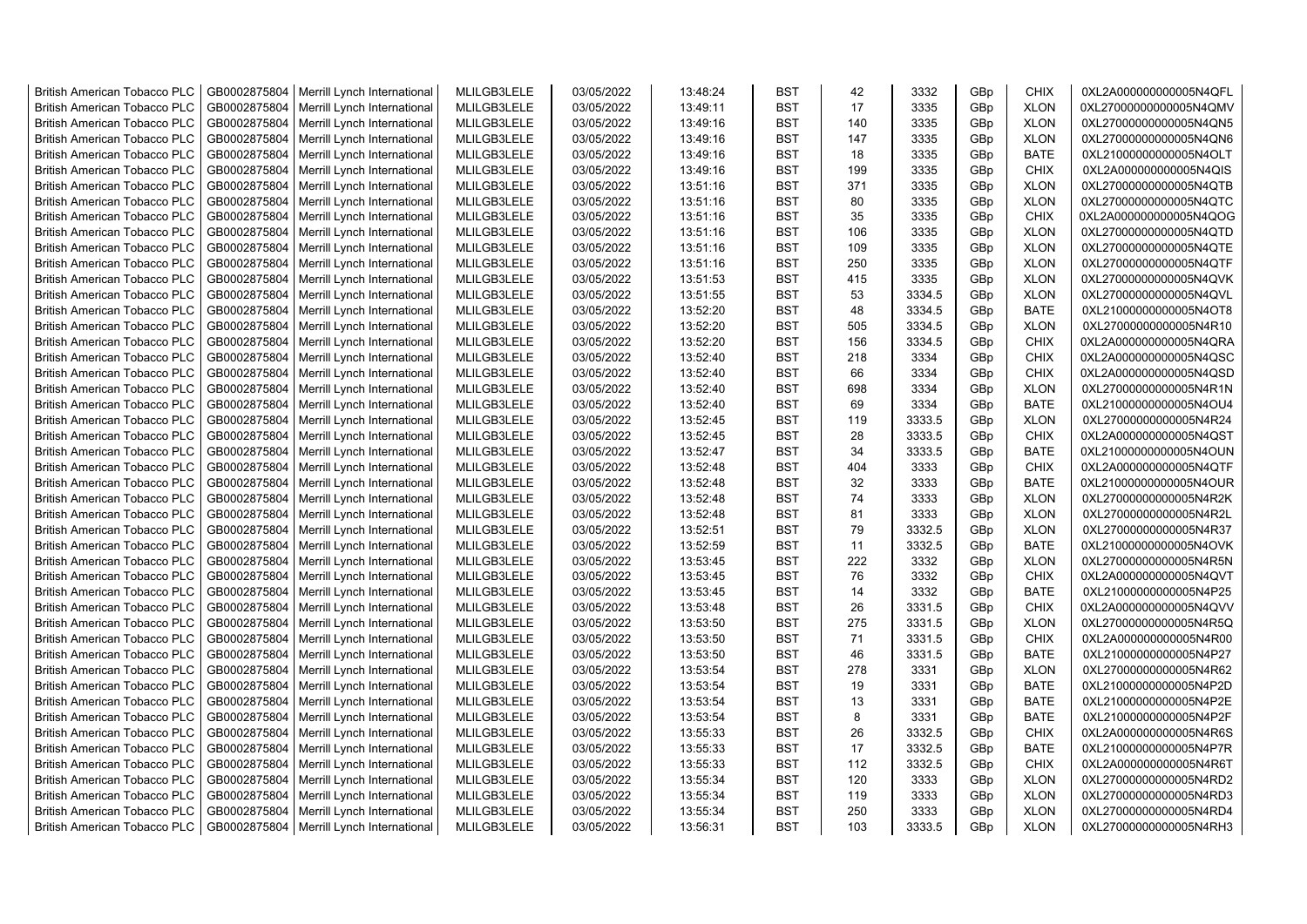| <b>British American Tobacco PLC</b> | GB0002875804                 | Merrill Lynch International | MLILGB3LELE                | 03/05/2022               | 13:48:24             | <b>BST</b> | 42  | 3332         | GBp             | <b>CHIX</b>                | 0XL2A000000000005N4QFL                           |
|-------------------------------------|------------------------------|-----------------------------|----------------------------|--------------------------|----------------------|------------|-----|--------------|-----------------|----------------------------|--------------------------------------------------|
| <b>British American Tobacco PLC</b> | GB0002875804                 | Merrill Lynch International | MLILGB3LELE                | 03/05/2022               | 13:49:11             | <b>BST</b> | 17  | 3335         | GBp             | <b>XLON</b>                | 0XL27000000000005N4QMV                           |
| <b>British American Tobacco PLC</b> | GB0002875804                 | Merrill Lynch International | MLILGB3LELE                | 03/05/2022               | 13:49:16             | <b>BST</b> | 140 | 3335         | GBp             | <b>XLON</b>                | 0XL27000000000005N4QN5                           |
| <b>British American Tobacco PLC</b> | GB0002875804                 | Merrill Lynch International | MLILGB3LELE                | 03/05/2022               | 13:49:16             | <b>BST</b> | 147 | 3335         | GBp             | <b>XLON</b>                | 0XL27000000000005N4QN6                           |
| <b>British American Tobacco PLC</b> | GB0002875804                 | Merrill Lynch International | MLILGB3LELE                | 03/05/2022               | 13:49:16             | <b>BST</b> | 18  | 3335         | GBp             | <b>BATE</b>                | 0XL21000000000005N4OLT                           |
| <b>British American Tobacco PLC</b> | GB0002875804                 | Merrill Lynch International | MLILGB3LELE                | 03/05/2022               | 13:49:16             | <b>BST</b> | 199 | 3335         | GBp             | <b>CHIX</b>                | 0XL2A000000000005N4QIS                           |
| <b>British American Tobacco PLC</b> | GB0002875804                 | Merrill Lynch International | MLILGB3LELE                | 03/05/2022               | 13:51:16             | <b>BST</b> | 371 | 3335         | GBp             | <b>XLON</b>                | 0XL27000000000005N4QTB                           |
| British American Tobacco PLC        | GB0002875804                 | Merrill Lynch International | MLILGB3LELE                | 03/05/2022               | 13:51:16             | <b>BST</b> | 80  | 3335         | GBp             | <b>XLON</b>                | 0XL27000000000005N4QTC                           |
| British American Tobacco PLC        | GB0002875804                 | Merrill Lynch International | MLILGB3LELE                | 03/05/2022               | 13:51:16             | <b>BST</b> | 35  | 3335         | GBp             | <b>CHIX</b>                | 0XL2A000000000005N4QOG                           |
| <b>British American Tobacco PLC</b> | GB0002875804                 | Merrill Lynch International | MLILGB3LELE                | 03/05/2022               | 13:51:16             | <b>BST</b> | 106 | 3335         | GBp             | <b>XLON</b>                | 0XL27000000000005N4QTD                           |
| <b>British American Tobacco PLC</b> | GB0002875804                 | Merrill Lynch International | MLILGB3LELE                | 03/05/2022               | 13:51:16             | <b>BST</b> | 109 | 3335         | GBp             | <b>XLON</b>                | 0XL27000000000005N4QTE                           |
| <b>British American Tobacco PLC</b> | GB0002875804                 | Merrill Lynch International | MLILGB3LELE                | 03/05/2022               | 13:51:16             | <b>BST</b> | 250 | 3335         | GBp             | <b>XLON</b>                | 0XL27000000000005N4QTF                           |
| <b>British American Tobacco PLC</b> | GB0002875804                 | Merrill Lynch International | MLILGB3LELE                | 03/05/2022               | 13:51:53             | <b>BST</b> | 415 | 3335         | GBp             | <b>XLON</b>                | 0XL27000000000005N4QVK                           |
| <b>British American Tobacco PLC</b> | GB0002875804                 | Merrill Lynch International | MLILGB3LELE                | 03/05/2022               | 13:51:55             | <b>BST</b> | 53  | 3334.5       | GBp             | <b>XLON</b>                | 0XL27000000000005N4QVL                           |
| <b>British American Tobacco PLC</b> | GB0002875804                 | Merrill Lynch International | MLILGB3LELE                | 03/05/2022               | 13:52:20             | <b>BST</b> | 48  | 3334.5       | GBp             | <b>BATE</b>                | 0XL21000000000005N4OT8                           |
| <b>British American Tobacco PLC</b> | GB0002875804                 | Merrill Lynch International | MLILGB3LELE                | 03/05/2022               | 13:52:20             | <b>BST</b> | 505 | 3334.5       | GBp             | <b>XLON</b>                | 0XL27000000000005N4R10                           |
| <b>British American Tobacco PLC</b> | GB0002875804                 | Merrill Lynch International | MLILGB3LELE                | 03/05/2022               | 13:52:20             | <b>BST</b> | 156 | 3334.5       | GBp             | <b>CHIX</b>                | 0XL2A000000000005N4QRA                           |
| <b>British American Tobacco PLC</b> | GB0002875804                 | Merrill Lynch International | MLILGB3LELE                | 03/05/2022               | 13:52:40             | <b>BST</b> | 218 | 3334         | GBp             | <b>CHIX</b>                | 0XL2A000000000005N4QSC                           |
| British American Tobacco PLC        | GB0002875804                 | Merrill Lynch International | MLILGB3LELE                | 03/05/2022               | 13:52:40             | <b>BST</b> | 66  | 3334         | GBp             | <b>CHIX</b>                | 0XL2A000000000005N4QSD                           |
| British American Tobacco PLC        | GB0002875804                 | Merrill Lynch International | MLILGB3LELE                | 03/05/2022               | 13:52:40             | <b>BST</b> | 698 | 3334         | GBp             | <b>XLON</b>                | 0XL27000000000005N4R1N                           |
| British American Tobacco PLC        | GB0002875804                 | Merrill Lynch International | MLILGB3LELE                | 03/05/2022               | 13:52:40             | <b>BST</b> | 69  | 3334         | GBp             | <b>BATE</b>                | 0XL21000000000005N4OU4                           |
| <b>British American Tobacco PLC</b> | GB0002875804                 | Merrill Lynch International | MLILGB3LELE                | 03/05/2022               | 13:52:45             | <b>BST</b> | 119 | 3333.5       | GBp             | <b>XLON</b>                | 0XL27000000000005N4R24                           |
| <b>British American Tobacco PLC</b> | GB0002875804                 | Merrill Lynch International | MLILGB3LELE                | 03/05/2022               | 13:52:45             | <b>BST</b> | 28  | 3333.5       | GBp             | <b>CHIX</b>                | 0XL2A000000000005N4QST                           |
| <b>British American Tobacco PLC</b> | GB0002875804                 | Merrill Lynch International | MLILGB3LELE                | 03/05/2022               | 13:52:47             | <b>BST</b> | 34  | 3333.5       | GBp             | <b>BATE</b>                | 0XL21000000000005N4OUN                           |
|                                     |                              |                             |                            |                          |                      | <b>BST</b> | 404 |              |                 |                            |                                                  |
| <b>British American Tobacco PLC</b> | GB0002875804<br>GB0002875804 | Merrill Lynch International | MLILGB3LELE<br>MLILGB3LELE | 03/05/2022<br>03/05/2022 | 13:52:48<br>13:52:48 | <b>BST</b> | 32  | 3333<br>3333 | GBp<br>GBp      | <b>CHIX</b><br><b>BATE</b> | 0XL2A000000000005N4QTF<br>0XL21000000000005N4OUR |
| <b>British American Tobacco PLC</b> |                              | Merrill Lynch International |                            |                          |                      |            | 74  |              |                 |                            |                                                  |
| <b>British American Tobacco PLC</b> | GB0002875804                 | Merrill Lynch International | MLILGB3LELE                | 03/05/2022               | 13:52:48             | <b>BST</b> |     | 3333<br>3333 | GBp             | <b>XLON</b>                | 0XL27000000000005N4R2K                           |
| <b>British American Tobacco PLC</b> | GB0002875804                 | Merrill Lynch International | MLILGB3LELE                | 03/05/2022               | 13:52:48             | <b>BST</b> | 81  |              | GBp             | <b>XLON</b>                | 0XL27000000000005N4R2L                           |
| <b>British American Tobacco PLC</b> | GB0002875804                 | Merrill Lynch International | MLILGB3LELE                | 03/05/2022               | 13:52:51             | <b>BST</b> | 79  | 3332.5       | GBp             | <b>XLON</b>                | 0XL27000000000005N4R37                           |
| <b>British American Tobacco PLC</b> | GB0002875804                 | Merrill Lynch International | MLILGB3LELE                | 03/05/2022               | 13:52:59             | <b>BST</b> | 11  | 3332.5       | GBp             | <b>BATE</b>                | 0XL21000000000005N4OVK                           |
| British American Tobacco PLC        | GB0002875804                 | Merrill Lynch International | MLILGB3LELE                | 03/05/2022               | 13:53:45             | <b>BST</b> | 222 | 3332         | GBp             | <b>XLON</b>                | 0XL27000000000005N4R5N                           |
| <b>British American Tobacco PLC</b> | GB0002875804                 | Merrill Lynch International | MLILGB3LELE                | 03/05/2022               | 13:53:45             | <b>BST</b> | 76  | 3332         | GBp             | <b>CHIX</b>                | 0XL2A000000000005N4QVT                           |
| British American Tobacco PLC        | GB0002875804                 | Merrill Lynch International | MLILGB3LELE                | 03/05/2022               | 13:53:45             | <b>BST</b> | 14  | 3332         | GBp             | <b>BATE</b>                | 0XL21000000000005N4P25                           |
| <b>British American Tobacco PLC</b> | GB0002875804                 | Merrill Lynch International | MLILGB3LELE                | 03/05/2022               | 13:53:48             | <b>BST</b> | 26  | 3331.5       | GBp             | <b>CHIX</b>                | 0XL2A000000000005N4QVV                           |
| <b>British American Tobacco PLC</b> | GB0002875804                 | Merrill Lynch International | MLILGB3LELE                | 03/05/2022               | 13:53:50             | <b>BST</b> | 275 | 3331.5       | GBp             | <b>XLON</b>                | 0XL27000000000005N4R5Q                           |
| <b>British American Tobacco PLC</b> | GB0002875804                 | Merrill Lynch International | MLILGB3LELE                | 03/05/2022               | 13:53:50             | <b>BST</b> | 71  | 3331.5       | GBp             | <b>CHIX</b>                | 0XL2A000000000005N4R00                           |
| <b>British American Tobacco PLC</b> | GB0002875804                 | Merrill Lynch International | MLILGB3LELE                | 03/05/2022               | 13:53:50             | <b>BST</b> | 46  | 3331.5       | GBp             | <b>BATE</b>                | 0XL21000000000005N4P27                           |
| <b>British American Tobacco PLC</b> | GB0002875804                 | Merrill Lynch International | MLILGB3LELE                | 03/05/2022               | 13:53:54             | <b>BST</b> | 278 | 3331         | GBp             | <b>XLON</b>                | 0XL27000000000005N4R62                           |
| <b>British American Tobacco PLC</b> | GB0002875804                 | Merrill Lynch International | MLILGB3LELE                | 03/05/2022               | 13:53:54             | <b>BST</b> | 19  | 3331         | GBp             | <b>BATE</b>                | 0XL21000000000005N4P2D                           |
| <b>British American Tobacco PLC</b> | GB0002875804                 | Merrill Lynch International | MLILGB3LELE                | 03/05/2022               | 13:53:54             | <b>BST</b> | 13  | 3331         | GBp             | <b>BATE</b>                | 0XL21000000000005N4P2E                           |
| <b>British American Tobacco PLC</b> | GB0002875804                 | Merrill Lynch International | MLILGB3LELE                | 03/05/2022               | 13:53:54             | <b>BST</b> | 8   | 3331         | GBp             | <b>BATE</b>                | 0XL21000000000005N4P2F                           |
| <b>British American Tobacco PLC</b> | GB0002875804                 | Merrill Lynch International | MLILGB3LELE                | 03/05/2022               | 13:55:33             | <b>BST</b> | 26  | 3332.5       | GBp             | <b>CHIX</b>                | 0XL2A000000000005N4R6S                           |
| British American Tobacco PLC        | GB0002875804                 | Merrill Lynch International | MLILGB3LELE                | 03/05/2022               | 13:55:33             | <b>BST</b> | 17  | 3332.5       | GBp             | <b>BATE</b>                | 0XL21000000000005N4P7R                           |
| <b>British American Tobacco PLC</b> | GB0002875804                 | Merrill Lynch International | MLILGB3LELE                | 03/05/2022               | 13:55:33             | <b>BST</b> | 112 | 3332.5       | GBp             | <b>CHIX</b>                | 0XL2A000000000005N4R6T                           |
| <b>British American Tobacco PLC</b> | GB0002875804                 | Merrill Lynch International | MLILGB3LELE                | 03/05/2022               | 13:55:34             | <b>BST</b> | 120 | 3333         | GBp             | <b>XLON</b>                | 0XL27000000000005N4RD2                           |
| <b>British American Tobacco PLC</b> | GB0002875804                 | Merrill Lynch International | MLILGB3LELE                | 03/05/2022               | 13:55:34             | <b>BST</b> | 119 | 3333         | GBp             | <b>XLON</b>                | 0XL27000000000005N4RD3                           |
| <b>British American Tobacco PLC</b> | GB0002875804                 | Merrill Lynch International | MLILGB3LELE                | 03/05/2022               | 13:55:34             | <b>BST</b> | 250 | 3333         | GBp             | <b>XLON</b>                | 0XL27000000000005N4RD4                           |
| <b>British American Tobacco PLC</b> | GB0002875804                 | Merrill Lynch International | MLILGB3LELE                | 03/05/2022               | 13:56:31             | <b>BST</b> | 103 | 3333.5       | GB <sub>p</sub> | <b>XLON</b>                | 0XL27000000000005N4RH3                           |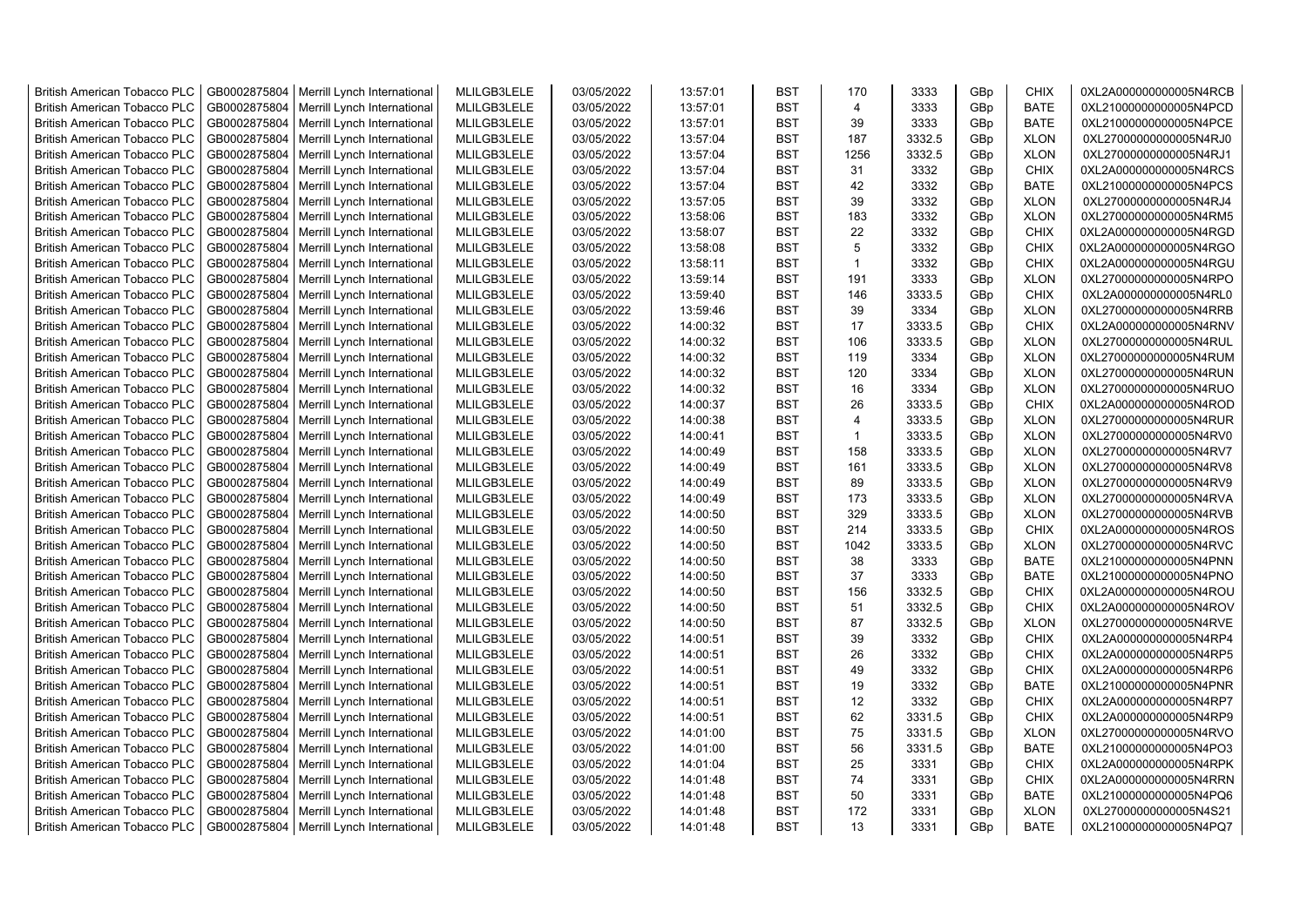| <b>British American Tobacco PLC</b> | GB0002875804 | Merrill Lynch International | MLILGB3LELE | 03/05/2022 | 13:57:01 | <b>BST</b> | 170            | 3333   | GBp             | <b>CHIX</b> | 0XL2A000000000005N4RCB |
|-------------------------------------|--------------|-----------------------------|-------------|------------|----------|------------|----------------|--------|-----------------|-------------|------------------------|
| <b>British American Tobacco PLC</b> | GB0002875804 | Merrill Lynch International | MLILGB3LELE | 03/05/2022 | 13:57:01 | <b>BST</b> | $\overline{4}$ | 3333   | GBp             | <b>BATE</b> | 0XL21000000000005N4PCD |
| <b>British American Tobacco PLC</b> | GB0002875804 | Merrill Lynch International | MLILGB3LELE | 03/05/2022 | 13:57:01 | <b>BST</b> | 39             | 3333   | GBp             | <b>BATE</b> | 0XL21000000000005N4PCE |
| <b>British American Tobacco PLC</b> | GB0002875804 | Merrill Lynch International | MLILGB3LELE | 03/05/2022 | 13:57:04 | <b>BST</b> | 187            | 3332.5 | GBp             | <b>XLON</b> | 0XL27000000000005N4RJ0 |
| <b>British American Tobacco PLC</b> | GB0002875804 | Merrill Lynch International | MLILGB3LELE | 03/05/2022 | 13:57:04 | <b>BST</b> | 1256           | 3332.5 | GBp             | <b>XLON</b> | 0XL27000000000005N4RJ1 |
| <b>British American Tobacco PLC</b> | GB0002875804 | Merrill Lynch International | MLILGB3LELE | 03/05/2022 | 13:57:04 | <b>BST</b> | 31             | 3332   | GBp             | <b>CHIX</b> | 0XL2A000000000005N4RCS |
| <b>British American Tobacco PLC</b> | GB0002875804 | Merrill Lynch International | MLILGB3LELE | 03/05/2022 | 13:57:04 | <b>BST</b> | 42             | 3332   | GBp             | <b>BATE</b> | 0XL21000000000005N4PCS |
| <b>British American Tobacco PLC</b> | GB0002875804 | Merrill Lynch International | MLILGB3LELE | 03/05/2022 | 13:57:05 | <b>BST</b> | 39             | 3332   | GBp             | <b>XLON</b> | 0XL27000000000005N4RJ4 |
| <b>British American Tobacco PLC</b> | GB0002875804 | Merrill Lynch International | MLILGB3LELE | 03/05/2022 | 13:58:06 | <b>BST</b> | 183            | 3332   | GBp             | <b>XLON</b> | 0XL27000000000005N4RM5 |
| <b>British American Tobacco PLC</b> | GB0002875804 | Merrill Lynch International | MLILGB3LELE | 03/05/2022 | 13:58:07 | <b>BST</b> | 22             | 3332   | GBp             | <b>CHIX</b> | 0XL2A000000000005N4RGD |
| <b>British American Tobacco PLC</b> | GB0002875804 | Merrill Lynch International | MLILGB3LELE | 03/05/2022 | 13:58:08 | <b>BST</b> | 5              | 3332   | GBp             | <b>CHIX</b> | 0XL2A000000000005N4RGO |
| <b>British American Tobacco PLC</b> | GB0002875804 | Merrill Lynch International | MLILGB3LELE | 03/05/2022 | 13:58:11 | <b>BST</b> | $\mathbf{1}$   | 3332   | GBp             | <b>CHIX</b> | 0XL2A000000000005N4RGU |
| <b>British American Tobacco PLC</b> | GB0002875804 | Merrill Lynch International | MLILGB3LELE | 03/05/2022 | 13:59:14 | <b>BST</b> | 191            | 3333   | GBp             | <b>XLON</b> | 0XL27000000000005N4RPO |
| <b>British American Tobacco PLC</b> | GB0002875804 | Merrill Lynch International | MLILGB3LELE | 03/05/2022 | 13:59:40 | <b>BST</b> | 146            | 3333.5 | GBp             | <b>CHIX</b> | 0XL2A000000000005N4RL0 |
| <b>British American Tobacco PLC</b> | GB0002875804 | Merrill Lynch International | MLILGB3LELE | 03/05/2022 | 13:59:46 | <b>BST</b> | 39             | 3334   | GBp             | <b>XLON</b> | 0XL27000000000005N4RRB |
| <b>British American Tobacco PLC</b> | GB0002875804 | Merrill Lynch International | MLILGB3LELE | 03/05/2022 | 14:00:32 | <b>BST</b> | 17             | 3333.5 | GBp             | <b>CHIX</b> | 0XL2A000000000005N4RNV |
| <b>British American Tobacco PLC</b> | GB0002875804 | Merrill Lynch International | MLILGB3LELE | 03/05/2022 | 14:00:32 | <b>BST</b> | 106            | 3333.5 | GBp             | <b>XLON</b> | 0XL27000000000005N4RUL |
| <b>British American Tobacco PLC</b> | GB0002875804 | Merrill Lynch International | MLILGB3LELE | 03/05/2022 | 14:00:32 | <b>BST</b> | 119            | 3334   | GBp             | <b>XLON</b> | 0XL27000000000005N4RUM |
| <b>British American Tobacco PLC</b> | GB0002875804 | Merrill Lynch International | MLILGB3LELE | 03/05/2022 | 14:00:32 | <b>BST</b> | 120            | 3334   | GBp             | <b>XLON</b> | 0XL27000000000005N4RUN |
| <b>British American Tobacco PLC</b> | GB0002875804 | Merrill Lynch International | MLILGB3LELE | 03/05/2022 | 14:00:32 | <b>BST</b> | 16             | 3334   | GBp             | <b>XLON</b> | 0XL27000000000005N4RUO |
| <b>British American Tobacco PLC</b> | GB0002875804 | Merrill Lynch International | MLILGB3LELE | 03/05/2022 | 14:00:37 | <b>BST</b> | 26             | 3333.5 | GBp             | <b>CHIX</b> | 0XL2A000000000005N4ROD |
|                                     | GB0002875804 |                             | MLILGB3LELE | 03/05/2022 | 14:00:38 | <b>BST</b> | $\overline{4}$ | 3333.5 |                 | <b>XLON</b> |                        |
| <b>British American Tobacco PLC</b> |              | Merrill Lynch International | MLILGB3LELE |            |          | <b>BST</b> | $\overline{1}$ | 3333.5 | GBp             | <b>XLON</b> | 0XL27000000000005N4RUR |
| <b>British American Tobacco PLC</b> | GB0002875804 | Merrill Lynch International |             | 03/05/2022 | 14:00:41 |            |                |        | GBp             |             | 0XL27000000000005N4RV0 |
| <b>British American Tobacco PLC</b> | GB0002875804 | Merrill Lynch International | MLILGB3LELE | 03/05/2022 | 14:00:49 | <b>BST</b> | 158            | 3333.5 | GBp             | <b>XLON</b> | 0XL27000000000005N4RV7 |
| <b>British American Tobacco PLC</b> | GB0002875804 | Merrill Lynch International | MLILGB3LELE | 03/05/2022 | 14:00:49 | <b>BST</b> | 161            | 3333.5 | GBp             | <b>XLON</b> | 0XL27000000000005N4RV8 |
| <b>British American Tobacco PLC</b> | GB0002875804 | Merrill Lynch International | MLILGB3LELE | 03/05/2022 | 14:00:49 | <b>BST</b> | 89             | 3333.5 | GBp             | <b>XLON</b> | 0XL27000000000005N4RV9 |
| <b>British American Tobacco PLC</b> | GB0002875804 | Merrill Lynch International | MLILGB3LELE | 03/05/2022 | 14:00:49 | <b>BST</b> | 173            | 3333.5 | GBp             | <b>XLON</b> | 0XL27000000000005N4RVA |
| British American Tobacco PLC        | GB0002875804 | Merrill Lynch International | MLILGB3LELE | 03/05/2022 | 14:00:50 | <b>BST</b> | 329            | 3333.5 | GBp             | <b>XLON</b> | 0XL27000000000005N4RVB |
| <b>British American Tobacco PLC</b> | GB0002875804 | Merrill Lynch International | MLILGB3LELE | 03/05/2022 | 14:00:50 | <b>BST</b> | 214            | 3333.5 | GBp             | <b>CHIX</b> | 0XL2A000000000005N4ROS |
| <b>British American Tobacco PLC</b> | GB0002875804 | Merrill Lynch International | MLILGB3LELE | 03/05/2022 | 14:00:50 | <b>BST</b> | 1042           | 3333.5 | GBp             | <b>XLON</b> | 0XL27000000000005N4RVC |
| <b>British American Tobacco PLC</b> | GB0002875804 | Merrill Lynch International | MLILGB3LELE | 03/05/2022 | 14:00:50 | <b>BST</b> | 38             | 3333   | GBp             | <b>BATE</b> | 0XL21000000000005N4PNN |
| <b>British American Tobacco PLC</b> | GB0002875804 | Merrill Lynch International | MLILGB3LELE | 03/05/2022 | 14:00:50 | <b>BST</b> | 37             | 3333   | GBp             | <b>BATE</b> | 0XL21000000000005N4PNO |
| <b>British American Tobacco PLC</b> | GB0002875804 | Merrill Lynch International | MLILGB3LELE | 03/05/2022 | 14:00:50 | <b>BST</b> | 156            | 3332.5 | GBp             | <b>CHIX</b> | 0XL2A000000000005N4ROU |
| British American Tobacco PLC        | GB0002875804 | Merrill Lynch International | MLILGB3LELE | 03/05/2022 | 14:00:50 | <b>BST</b> | 51             | 3332.5 | GBp             | <b>CHIX</b> | 0XL2A000000000005N4ROV |
| <b>British American Tobacco PLC</b> | GB0002875804 | Merrill Lynch International | MLILGB3LELE | 03/05/2022 | 14:00:50 | <b>BST</b> | 87             | 3332.5 | GBp             | <b>XLON</b> | 0XL27000000000005N4RVE |
| <b>British American Tobacco PLC</b> | GB0002875804 | Merrill Lynch International | MLILGB3LELE | 03/05/2022 | 14:00:51 | <b>BST</b> | 39             | 3332   | GBp             | <b>CHIX</b> | 0XL2A000000000005N4RP4 |
| <b>British American Tobacco PLC</b> | GB0002875804 | Merrill Lynch International | MLILGB3LELE | 03/05/2022 | 14:00:51 | <b>BST</b> | 26             | 3332   | GBp             | <b>CHIX</b> | 0XL2A000000000005N4RP5 |
| <b>British American Tobacco PLC</b> | GB0002875804 | Merrill Lynch International | MLILGB3LELE | 03/05/2022 | 14:00:51 | <b>BST</b> | 49             | 3332   | GBp             | <b>CHIX</b> | 0XL2A000000000005N4RP6 |
| <b>British American Tobacco PLC</b> | GB0002875804 | Merrill Lynch International | MLILGB3LELE | 03/05/2022 | 14:00:51 | <b>BST</b> | 19             | 3332   | GBp             | <b>BATE</b> | 0XL21000000000005N4PNR |
| <b>British American Tobacco PLC</b> | GB0002875804 | Merrill Lynch International | MLILGB3LELE | 03/05/2022 | 14:00:51 | <b>BST</b> | 12             | 3332   | GBp             | <b>CHIX</b> | 0XL2A000000000005N4RP7 |
| <b>British American Tobacco PLC</b> | GB0002875804 | Merrill Lynch International | MLILGB3LELE | 03/05/2022 | 14:00:51 | <b>BST</b> | 62             | 3331.5 | GBp             | <b>CHIX</b> | 0XL2A000000000005N4RP9 |
| <b>British American Tobacco PLC</b> | GB0002875804 | Merrill Lynch International | MLILGB3LELE | 03/05/2022 | 14:01:00 | <b>BST</b> | 75             | 3331.5 | GBp             | <b>XLON</b> | 0XL27000000000005N4RVO |
| <b>British American Tobacco PLC</b> | GB0002875804 | Merrill Lynch International | MLILGB3LELE | 03/05/2022 | 14:01:00 | <b>BST</b> | 56             | 3331.5 | GBp             | <b>BATE</b> | 0XL21000000000005N4PO3 |
| British American Tobacco PLC        | GB0002875804 | Merrill Lynch International | MLILGB3LELE | 03/05/2022 | 14:01:04 | <b>BST</b> | 25             | 3331   | GBp             | <b>CHIX</b> | 0XL2A000000000005N4RPK |
| British American Tobacco PLC        | GB0002875804 | Merrill Lynch International | MLILGB3LELE | 03/05/2022 | 14:01:48 | <b>BST</b> | 74             | 3331   | GBp             | <b>CHIX</b> | 0XL2A000000000005N4RRN |
| <b>British American Tobacco PLC</b> | GB0002875804 | Merrill Lynch International | MLILGB3LELE | 03/05/2022 | 14:01:48 | <b>BST</b> | 50             | 3331   | GBp             | <b>BATE</b> | 0XL21000000000005N4PQ6 |
| <b>British American Tobacco PLC</b> | GB0002875804 | Merrill Lynch International | MLILGB3LELE | 03/05/2022 | 14:01:48 | <b>BST</b> | 172            | 3331   | GBp             | <b>XLON</b> | 0XL27000000000005N4S21 |
| <b>British American Tobacco PLC</b> | GB0002875804 | Merrill Lynch International | MLILGB3LELE | 03/05/2022 | 14:01:48 | <b>BST</b> | 13             | 3331   | GB <sub>p</sub> | <b>BATE</b> | 0XL21000000000005N4PQ7 |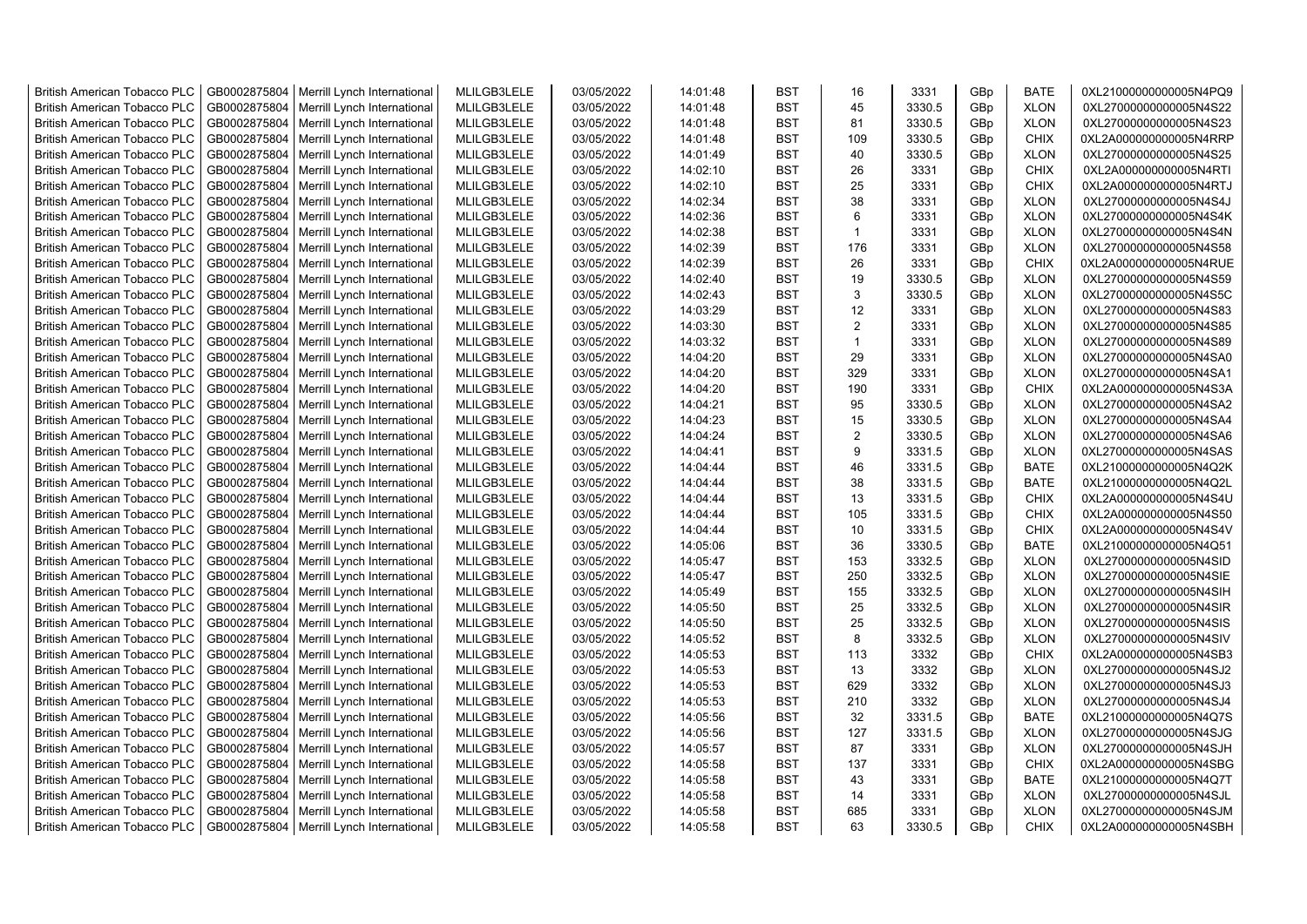| <b>British American Tobacco PLC</b> | GB0002875804 | Merrill Lynch International                | MLILGB3LELE | 03/05/2022 | 14:01:48 | <b>BST</b> | 16             | 3331   | GBp | <b>BATE</b> | 0XL21000000000005N4PQ9 |
|-------------------------------------|--------------|--------------------------------------------|-------------|------------|----------|------------|----------------|--------|-----|-------------|------------------------|
| <b>British American Tobacco PLC</b> | GB0002875804 | Merrill Lynch International                | MLILGB3LELE | 03/05/2022 | 14:01:48 | <b>BST</b> | 45             | 3330.5 | GBp | <b>XLON</b> | 0XL27000000000005N4S22 |
| <b>British American Tobacco PLC</b> | GB0002875804 | Merrill Lynch International                | MLILGB3LELE | 03/05/2022 | 14:01:48 | <b>BST</b> | 81             | 3330.5 | GBp | <b>XLON</b> | 0XL27000000000005N4S23 |
| <b>British American Tobacco PLC</b> | GB0002875804 | Merrill Lynch International                | MLILGB3LELE | 03/05/2022 | 14:01:48 | <b>BST</b> | 109            | 3330.5 | GBp | <b>CHIX</b> | 0XL2A000000000005N4RRP |
| <b>British American Tobacco PLC</b> | GB0002875804 | Merrill Lynch International                | MLILGB3LELE | 03/05/2022 | 14:01:49 | <b>BST</b> | 40             | 3330.5 | GBp | <b>XLON</b> | 0XL27000000000005N4S25 |
| <b>British American Tobacco PLC</b> | GB0002875804 | Merrill Lynch International                | MLILGB3LELE | 03/05/2022 | 14:02:10 | <b>BST</b> | 26             | 3331   | GBp | <b>CHIX</b> | 0XL2A000000000005N4RTI |
| <b>British American Tobacco PLC</b> | GB0002875804 | Merrill Lynch International                | MLILGB3LELE | 03/05/2022 | 14:02:10 | <b>BST</b> | 25             | 3331   | GBp | CHIX        | 0XL2A000000000005N4RTJ |
| <b>British American Tobacco PLC</b> | GB0002875804 | Merrill Lynch International                | MLILGB3LELE | 03/05/2022 | 14:02:34 | <b>BST</b> | 38             | 3331   | GBp | <b>XLON</b> | 0XL27000000000005N4S4J |
| <b>British American Tobacco PLC</b> | GB0002875804 | Merrill Lynch International                | MLILGB3LELE | 03/05/2022 | 14:02:36 | <b>BST</b> | 6              | 3331   | GBp | <b>XLON</b> | 0XL27000000000005N4S4K |
| <b>British American Tobacco PLC</b> | GB0002875804 | Merrill Lynch International                | MLILGB3LELE | 03/05/2022 | 14:02:38 | <b>BST</b> | $\overline{1}$ | 3331   | GBp | <b>XLON</b> | 0XL27000000000005N4S4N |
| <b>British American Tobacco PLC</b> | GB0002875804 | Merrill Lynch International                | MLILGB3LELE | 03/05/2022 | 14:02:39 | <b>BST</b> | 176            | 3331   | GBp | <b>XLON</b> | 0XL27000000000005N4S58 |
| <b>British American Tobacco PLC</b> | GB0002875804 | Merrill Lynch International                | MLILGB3LELE | 03/05/2022 | 14:02:39 | <b>BST</b> | 26             | 3331   | GBp | <b>CHIX</b> | 0XL2A000000000005N4RUE |
| <b>British American Tobacco PLC</b> | GB0002875804 | Merrill Lynch International                | MLILGB3LELE | 03/05/2022 | 14:02:40 | <b>BST</b> | 19             | 3330.5 | GBp | <b>XLON</b> | 0XL27000000000005N4S59 |
| <b>British American Tobacco PLC</b> | GB0002875804 | Merrill Lynch International                | MLILGB3LELE | 03/05/2022 | 14:02:43 | <b>BST</b> | 3              | 3330.5 | GBp | <b>XLON</b> | 0XL27000000000005N4S5C |
| <b>British American Tobacco PLC</b> | GB0002875804 | Merrill Lynch International                | MLILGB3LELE | 03/05/2022 | 14:03:29 | <b>BST</b> | 12             | 3331   | GBp | <b>XLON</b> | 0XL27000000000005N4S83 |
| <b>British American Tobacco PLC</b> | GB0002875804 | Merrill Lynch International                | MLILGB3LELE | 03/05/2022 | 14:03:30 | <b>BST</b> | $\overline{2}$ | 3331   | GBp | <b>XLON</b> | 0XL27000000000005N4S85 |
| <b>British American Tobacco PLC</b> | GB0002875804 | Merrill Lynch International                | MLILGB3LELE | 03/05/2022 | 14:03:32 | <b>BST</b> | $\mathbf{1}$   | 3331   | GBp | <b>XLON</b> | 0XL27000000000005N4S89 |
| British American Tobacco PLC        | GB0002875804 | Merrill Lynch International                | MLILGB3LELE | 03/05/2022 | 14:04:20 | <b>BST</b> | 29             | 3331   | GBp | <b>XLON</b> | 0XL27000000000005N4SA0 |
| <b>British American Tobacco PLC</b> | GB0002875804 | Merrill Lynch International                | MLILGB3LELE | 03/05/2022 | 14:04:20 | <b>BST</b> | 329            | 3331   | GBp | <b>XLON</b> | 0XL27000000000005N4SA1 |
| <b>British American Tobacco PLC</b> | GB0002875804 | Merrill Lynch International                | MLILGB3LELE | 03/05/2022 | 14:04:20 | <b>BST</b> | 190            | 3331   | GBp | <b>CHIX</b> | 0XL2A000000000005N4S3A |
| <b>British American Tobacco PLC</b> | GB0002875804 | Merrill Lynch International                | MLILGB3LELE | 03/05/2022 | 14:04:21 | <b>BST</b> | 95             | 3330.5 | GBp | <b>XLON</b> | 0XL27000000000005N4SA2 |
| <b>British American Tobacco PLC</b> | GB0002875804 | Merrill Lynch International                | MLILGB3LELE | 03/05/2022 | 14:04:23 | <b>BST</b> | 15             | 3330.5 | GBp | <b>XLON</b> | 0XL27000000000005N4SA4 |
| <b>British American Tobacco PLC</b> | GB0002875804 | Merrill Lynch International                | MLILGB3LELE | 03/05/2022 | 14:04:24 | <b>BST</b> | $\overline{2}$ | 3330.5 | GBp | <b>XLON</b> | 0XL27000000000005N4SA6 |
| <b>British American Tobacco PLC</b> | GB0002875804 | Merrill Lynch International                | MLILGB3LELE | 03/05/2022 | 14:04:41 | <b>BST</b> | 9              | 3331.5 | GBp | <b>XLON</b> | 0XL27000000000005N4SAS |
| <b>British American Tobacco PLC</b> | GB0002875804 | Merrill Lynch International                | MLILGB3LELE | 03/05/2022 | 14:04:44 | <b>BST</b> | 46             | 3331.5 | GBp | <b>BATE</b> | 0XL21000000000005N4Q2K |
| <b>British American Tobacco PLC</b> | GB0002875804 | Merrill Lynch International                | MLILGB3LELE | 03/05/2022 | 14:04:44 | <b>BST</b> | 38             | 3331.5 | GBp | <b>BATE</b> | 0XL21000000000005N4Q2L |
| <b>British American Tobacco PLC</b> | GB0002875804 | Merrill Lynch International                | MLILGB3LELE | 03/05/2022 | 14:04:44 | <b>BST</b> | 13             | 3331.5 | GBp | <b>CHIX</b> | 0XL2A000000000005N4S4U |
| <b>British American Tobacco PLC</b> | GB0002875804 | Merrill Lynch International                | MLILGB3LELE | 03/05/2022 | 14:04:44 | <b>BST</b> | 105            | 3331.5 | GBp | <b>CHIX</b> | 0XL2A000000000005N4S50 |
| <b>British American Tobacco PLC</b> | GB0002875804 | Merrill Lynch International                | MLILGB3LELE | 03/05/2022 | 14:04:44 | <b>BST</b> | 10             | 3331.5 | GBp | CHIX        | 0XL2A000000000005N4S4V |
| <b>British American Tobacco PLC</b> | GB0002875804 | Merrill Lynch International                | MLILGB3LELE | 03/05/2022 | 14:05:06 | <b>BST</b> | 36             | 3330.5 | GBp | <b>BATE</b> | 0XL21000000000005N4Q51 |
| <b>British American Tobacco PLC</b> | GB0002875804 | Merrill Lynch International                | MLILGB3LELE | 03/05/2022 | 14:05:47 | <b>BST</b> | 153            | 3332.5 | GBp | <b>XLON</b> | 0XL27000000000005N4SID |
| <b>British American Tobacco PLC</b> | GB0002875804 | Merrill Lynch International                | MLILGB3LELE | 03/05/2022 | 14:05:47 | <b>BST</b> | 250            | 3332.5 | GBp | <b>XLON</b> | 0XL27000000000005N4SIE |
| <b>British American Tobacco PLC</b> | GB0002875804 | Merrill Lynch International                | MLILGB3LELE | 03/05/2022 | 14:05:49 | <b>BST</b> | 155            | 3332.5 | GBp | <b>XLON</b> | 0XL27000000000005N4SIH |
| <b>British American Tobacco PLC</b> | GB0002875804 | Merrill Lynch International                | MLILGB3LELE | 03/05/2022 | 14:05:50 | <b>BST</b> | 25             | 3332.5 | GBp | <b>XLON</b> | 0XL27000000000005N4SIR |
| <b>British American Tobacco PLC</b> | GB0002875804 | Merrill Lynch International                | MLILGB3LELE | 03/05/2022 | 14:05:50 | <b>BST</b> | 25             | 3332.5 | GBp | <b>XLON</b> | 0XL27000000000005N4SIS |
| <b>British American Tobacco PLC</b> | GB0002875804 | Merrill Lynch International                | MLILGB3LELE | 03/05/2022 | 14:05:52 | <b>BST</b> | 8              | 3332.5 | GBp | <b>XLON</b> | 0XL27000000000005N4SIV |
| <b>British American Tobacco PLC</b> | GB0002875804 | Merrill Lynch International                | MLILGB3LELE | 03/05/2022 | 14:05:53 | <b>BST</b> | 113            | 3332   | GBp | <b>CHIX</b> | 0XL2A000000000005N4SB3 |
| <b>British American Tobacco PLC</b> | GB0002875804 | Merrill Lynch International                | MLILGB3LELE | 03/05/2022 | 14:05:53 | <b>BST</b> | 13             | 3332   | GBp | <b>XLON</b> | 0XL27000000000005N4SJ2 |
| <b>British American Tobacco PLC</b> | GB0002875804 | Merrill Lynch International                | MLILGB3LELE | 03/05/2022 | 14:05:53 | <b>BST</b> | 629            | 3332   | GBp | <b>XLON</b> | 0XL27000000000005N4SJ3 |
| <b>British American Tobacco PLC</b> | GB0002875804 | Merrill Lynch International                | MLILGB3LELE | 03/05/2022 | 14:05:53 | <b>BST</b> | 210            | 3332   | GBp | <b>XLON</b> | 0XL27000000000005N4SJ4 |
| <b>British American Tobacco PLC</b> | GB0002875804 | Merrill Lynch International                | MLILGB3LELE | 03/05/2022 | 14:05:56 | <b>BST</b> | 32             | 3331.5 | GBp | <b>BATE</b> | 0XL21000000000005N4Q7S |
| <b>British American Tobacco PLC</b> | GB0002875804 | Merrill Lynch International                | MLILGB3LELE | 03/05/2022 | 14:05:56 | <b>BST</b> | 127            | 3331.5 | GBp | <b>XLON</b> | 0XL27000000000005N4SJG |
| <b>British American Tobacco PLC</b> | GB0002875804 | Merrill Lynch International                | MLILGB3LELE | 03/05/2022 | 14:05:57 | <b>BST</b> | 87             | 3331   | GBp | <b>XLON</b> | 0XL27000000000005N4SJH |
| <b>British American Tobacco PLC</b> | GB0002875804 | Merrill Lynch International                | MLILGB3LELE | 03/05/2022 | 14:05:58 | <b>BST</b> | 137            | 3331   | GBp | <b>CHIX</b> | 0XL2A000000000005N4SBG |
| <b>British American Tobacco PLC</b> | GB0002875804 | Merrill Lynch International                | MLILGB3LELE | 03/05/2022 | 14:05:58 | <b>BST</b> | 43             | 3331   | GBp | <b>BATE</b> | 0XL21000000000005N4Q7T |
| <b>British American Tobacco PLC</b> | GB0002875804 | Merrill Lynch International                | MLILGB3LELE | 03/05/2022 | 14:05:58 | <b>BST</b> | 14             | 3331   | GBp | <b>XLON</b> | 0XL27000000000005N4SJL |
| <b>British American Tobacco PLC</b> | GB0002875804 | Merrill Lynch International                | MLILGB3LELE | 03/05/2022 | 14:05:58 | <b>BST</b> | 685            | 3331   | GBp | <b>XLON</b> | 0XL27000000000005N4SJM |
| <b>British American Tobacco PLC</b> |              | GB0002875804   Merrill Lynch International | MLILGB3LELE | 03/05/2022 | 14:05:58 | <b>BST</b> | 63             | 3330.5 | GBp | <b>CHIX</b> | 0XL2A000000000005N4SBH |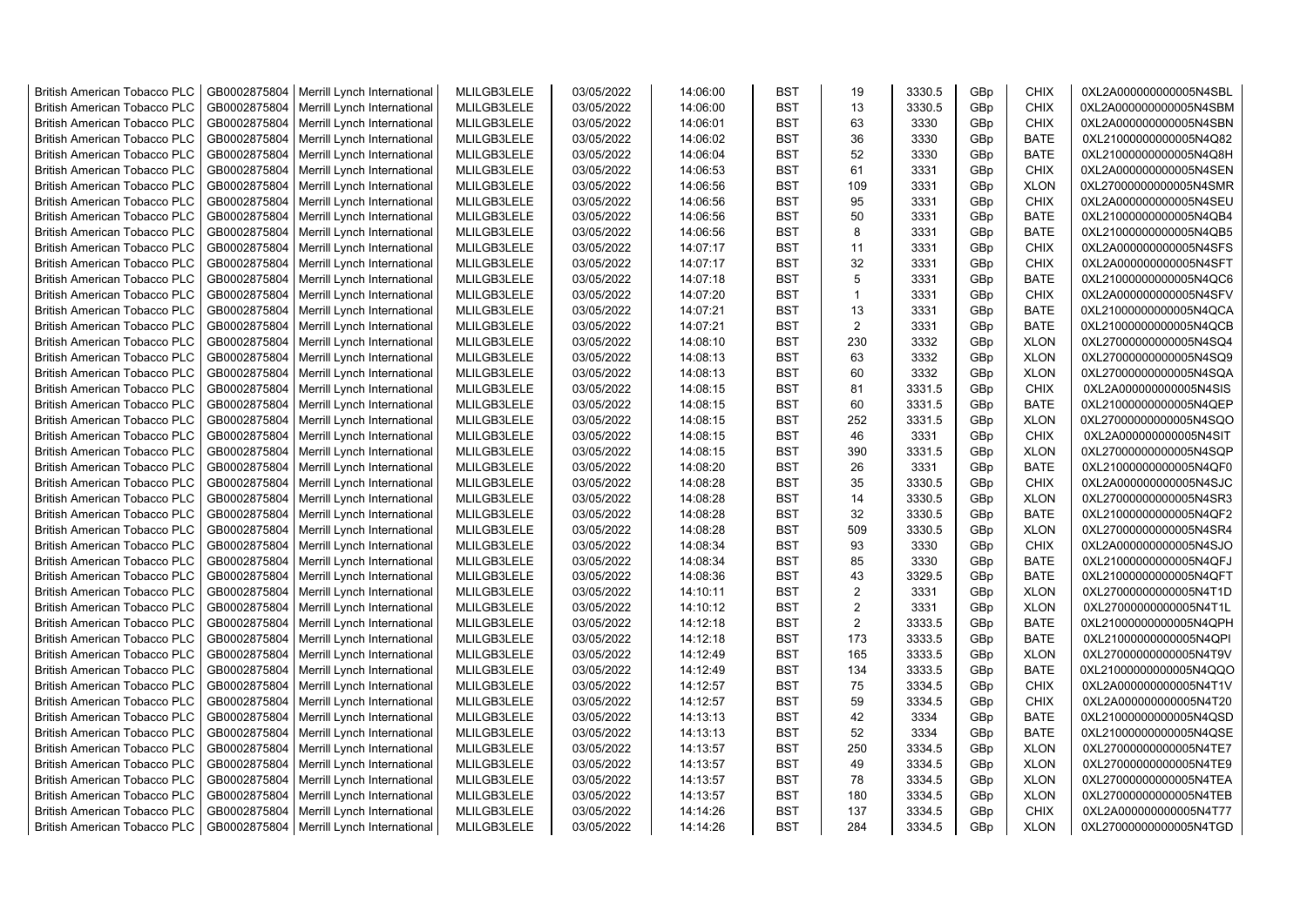| <b>British American Tobacco PLC</b>                                        | GB0002875804                 | Merrill Lynch International | MLILGB3LELE                | 03/05/2022 | 14:06:00             | <b>BST</b>               | 19             | 3330.5 | GBp             | <b>CHIX</b> | 0XL2A000000000005N4SBL |
|----------------------------------------------------------------------------|------------------------------|-----------------------------|----------------------------|------------|----------------------|--------------------------|----------------|--------|-----------------|-------------|------------------------|
| <b>British American Tobacco PLC</b>                                        | GB0002875804                 | Merrill Lynch International | MLILGB3LELE                | 03/05/2022 | 14:06:00             | <b>BST</b>               | 13             | 3330.5 | GBp             | <b>CHIX</b> | 0XL2A000000000005N4SBM |
| <b>British American Tobacco PLC</b>                                        | GB0002875804                 | Merrill Lynch International | MLILGB3LELE                | 03/05/2022 | 14:06:01             | <b>BST</b>               | 63             | 3330   | GBp             | <b>CHIX</b> | 0XL2A000000000005N4SBN |
| <b>British American Tobacco PLC</b>                                        | GB0002875804                 | Merrill Lynch International | MLILGB3LELE                | 03/05/2022 | 14:06:02             | <b>BST</b>               | 36             | 3330   | GBp             | <b>BATE</b> | 0XL21000000000005N4Q82 |
| <b>British American Tobacco PLC</b>                                        | GB0002875804                 | Merrill Lynch International | MLILGB3LELE                | 03/05/2022 | 14:06:04             | <b>BST</b>               | 52             | 3330   | GBp             | <b>BATE</b> | 0XL21000000000005N4Q8H |
| <b>British American Tobacco PLC</b>                                        | GB0002875804                 | Merrill Lynch International | MLILGB3LELE                | 03/05/2022 | 14:06:53             | <b>BST</b>               | 61             | 3331   | GBp             | <b>CHIX</b> | 0XL2A000000000005N4SEN |
| <b>British American Tobacco PLC</b>                                        | GB0002875804                 | Merrill Lynch International | MLILGB3LELE                | 03/05/2022 | 14:06:56             | BST                      | 109            | 3331   | GBp             | <b>XLON</b> | 0XL27000000000005N4SMR |
| <b>British American Tobacco PLC</b>                                        | GB0002875804                 | Merrill Lynch International | MLILGB3LELE                | 03/05/2022 | 14:06:56             | <b>BST</b>               | 95             | 3331   | GBp             | <b>CHIX</b> | 0XL2A000000000005N4SEU |
| <b>British American Tobacco PLC</b>                                        | GB0002875804                 | Merrill Lynch International | MLILGB3LELE                | 03/05/2022 | 14:06:56             | <b>BST</b>               | 50             | 3331   | GBp             | BATE        | 0XL21000000000005N4QB4 |
| <b>British American Tobacco PLC</b>                                        | GB0002875804                 | Merrill Lynch International | MLILGB3LELE                | 03/05/2022 | 14:06:56             | <b>BST</b>               | 8              | 3331   | GBp             | BATE        | 0XL21000000000005N4QB5 |
| <b>British American Tobacco PLC</b>                                        | GB0002875804                 | Merrill Lynch International | MLILGB3LELE                | 03/05/2022 | 14:07:17             | <b>BST</b>               | 11             | 3331   | GBp             | <b>CHIX</b> | 0XL2A000000000005N4SFS |
| <b>British American Tobacco PLC</b>                                        | GB0002875804                 | Merrill Lynch International | MLILGB3LELE                | 03/05/2022 | 14:07:17             | <b>BST</b>               | 32             | 3331   | GBp             | <b>CHIX</b> | 0XL2A000000000005N4SFT |
| <b>British American Tobacco PLC</b>                                        | GB0002875804                 | Merrill Lynch International | MLILGB3LELE                | 03/05/2022 | 14:07:18             | <b>BST</b>               | 5              | 3331   | GBp             | <b>BATE</b> | 0XL21000000000005N4QC6 |
| <b>British American Tobacco PLC</b>                                        | GB0002875804                 | Merrill Lynch International | MLILGB3LELE                | 03/05/2022 | 14:07:20             | <b>BST</b>               | $\mathbf{1}$   | 3331   | GBp             | <b>CHIX</b> | 0XL2A000000000005N4SFV |
| <b>British American Tobacco PLC</b>                                        | GB0002875804                 | Merrill Lynch International | MLILGB3LELE                | 03/05/2022 | 14:07:21             | <b>BST</b>               | 13             | 3331   | GBp             | <b>BATE</b> | 0XL21000000000005N4QCA |
|                                                                            |                              |                             |                            | 03/05/2022 |                      |                          | $\overline{2}$ | 3331   |                 |             |                        |
| <b>British American Tobacco PLC</b><br><b>British American Tobacco PLC</b> | GB0002875804                 | Merrill Lynch International | MLILGB3LELE<br>MLILGB3LELE | 03/05/2022 | 14:07:21<br>14:08:10 | <b>BST</b><br><b>BST</b> | 230            | 3332   | GBp             | <b>BATE</b> | 0XL21000000000005N4QCB |
|                                                                            | GB0002875804<br>GB0002875804 | Merrill Lynch International | MLILGB3LELE                | 03/05/2022 |                      | <b>BST</b>               | 63             | 3332   | GBp             | <b>XLON</b> | 0XL27000000000005N4SQ4 |
| <b>British American Tobacco PLC</b>                                        | GB0002875804                 | Merrill Lynch International |                            |            | 14:08:13<br>14:08:13 | <b>BST</b>               | 60             |        | GBp             | <b>XLON</b> | 0XL27000000000005N4SQ9 |
| <b>British American Tobacco PLC</b>                                        |                              | Merrill Lynch International | MLILGB3LELE                | 03/05/2022 |                      |                          |                | 3332   | GBp             | <b>XLON</b> | 0XL27000000000005N4SQA |
| British American Tobacco PLC                                               | GB0002875804                 | Merrill Lynch International | MLILGB3LELE                | 03/05/2022 | 14:08:15             | <b>BST</b>               | 81             | 3331.5 | GBp             | <b>CHIX</b> | 0XL2A000000000005N4SIS |
| <b>British American Tobacco PLC</b>                                        | GB0002875804                 | Merrill Lynch International | MLILGB3LELE                | 03/05/2022 | 14:08:15             | <b>BST</b>               | 60             | 3331.5 | GBp             | <b>BATE</b> | 0XL21000000000005N4QEP |
| <b>British American Tobacco PLC</b>                                        | GB0002875804                 | Merrill Lynch International | MLILGB3LELE                | 03/05/2022 | 14:08:15             | <b>BST</b>               | 252            | 3331.5 | GBp             | <b>XLON</b> | 0XL27000000000005N4SQO |
| <b>British American Tobacco PLC</b>                                        | GB0002875804                 | Merrill Lynch International | MLILGB3LELE                | 03/05/2022 | 14:08:15             | <b>BST</b>               | 46             | 3331   | GBp             | <b>CHIX</b> | 0XL2A000000000005N4SIT |
| <b>British American Tobacco PLC</b>                                        | GB0002875804                 | Merrill Lynch International | MLILGB3LELE                | 03/05/2022 | 14:08:15             | <b>BST</b>               | 390            | 3331.5 | GBp             | <b>XLON</b> | 0XL27000000000005N4SQP |
| <b>British American Tobacco PLC</b>                                        | GB0002875804                 | Merrill Lynch International | MLILGB3LELE                | 03/05/2022 | 14:08:20             | <b>BST</b>               | 26             | 3331   | GBp             | <b>BATE</b> | 0XL21000000000005N4QF0 |
| <b>British American Tobacco PLC</b>                                        | GB0002875804                 | Merrill Lynch International | MLILGB3LELE                | 03/05/2022 | 14:08:28             | <b>BST</b>               | 35             | 3330.5 | GBp             | <b>CHIX</b> | 0XL2A000000000005N4SJC |
| <b>British American Tobacco PLC</b>                                        | GB0002875804                 | Merrill Lynch International | MLILGB3LELE                | 03/05/2022 | 14:08:28             | <b>BST</b>               | 14             | 3330.5 | GBp             | <b>XLON</b> | 0XL27000000000005N4SR3 |
| <b>British American Tobacco PLC</b>                                        | GB0002875804                 | Merrill Lynch International | MLILGB3LELE                | 03/05/2022 | 14:08:28             | <b>BST</b>               | 32             | 3330.5 | GBp             | <b>BATE</b> | 0XL21000000000005N4QF2 |
| <b>British American Tobacco PLC</b>                                        | GB0002875804                 | Merrill Lynch International | MLILGB3LELE                | 03/05/2022 | 14:08:28             | BST                      | 509            | 3330.5 | GBp             | <b>XLON</b> | 0XL27000000000005N4SR4 |
| <b>British American Tobacco PLC</b>                                        | GB0002875804                 | Merrill Lynch International | MLILGB3LELE                | 03/05/2022 | 14:08:34             | <b>BST</b>               | 93             | 3330   | GBp             | <b>CHIX</b> | 0XL2A000000000005N4SJO |
| <b>British American Tobacco PLC</b>                                        | GB0002875804                 | Merrill Lynch International | MLILGB3LELE                | 03/05/2022 | 14:08:34             | <b>BST</b>               | 85             | 3330   | GBp             | <b>BATE</b> | 0XL21000000000005N4QFJ |
| <b>British American Tobacco PLC</b>                                        | GB0002875804                 | Merrill Lynch International | MLILGB3LELE                | 03/05/2022 | 14:08:36             | <b>BST</b>               | 43             | 3329.5 | GBp             | <b>BATE</b> | 0XL21000000000005N4QFT |
| <b>British American Tobacco PLC</b>                                        | GB0002875804                 | Merrill Lynch International | MLILGB3LELE                | 03/05/2022 | 14:10:11             | <b>BST</b>               | 2              | 3331   | GBp             | <b>XLON</b> | 0XL27000000000005N4T1D |
| <b>British American Tobacco PLC</b>                                        | GB0002875804                 | Merrill Lynch International | MLILGB3LELE                | 03/05/2022 | 14:10:12             | <b>BST</b>               | 2              | 3331   | GBp             | <b>XLON</b> | 0XL27000000000005N4T1L |
| <b>British American Tobacco PLC</b>                                        | GB0002875804                 | Merrill Lynch International | MLILGB3LELE                | 03/05/2022 | 14:12:18             | <b>BST</b>               | $\overline{2}$ | 3333.5 | GBp             | <b>BATE</b> | 0XL21000000000005N4QPH |
| <b>British American Tobacco PLC</b>                                        | GB0002875804                 | Merrill Lynch International | MLILGB3LELE                | 03/05/2022 | 14:12:18             | <b>BST</b>               | 173            | 3333.5 | GBp             | <b>BATE</b> | 0XL21000000000005N4QPI |
| <b>British American Tobacco PLC</b>                                        | GB0002875804                 | Merrill Lynch International | MLILGB3LELE                | 03/05/2022 | 14:12:49             | <b>BST</b>               | 165            | 3333.5 | GBp             | <b>XLON</b> | 0XL27000000000005N4T9V |
| <b>British American Tobacco PLC</b>                                        | GB0002875804                 | Merrill Lynch International | MLILGB3LELE                | 03/05/2022 | 14:12:49             | <b>BST</b>               | 134            | 3333.5 | GBp             | <b>BATE</b> | 0XL21000000000005N4QQO |
| <b>British American Tobacco PLC</b>                                        | GB0002875804                 | Merrill Lynch International | MLILGB3LELE                | 03/05/2022 | 14:12:57             | <b>BST</b>               | 75             | 3334.5 | GBp             | <b>CHIX</b> | 0XL2A000000000005N4T1V |
| <b>British American Tobacco PLC</b>                                        | GB0002875804                 | Merrill Lynch International | MLILGB3LELE                | 03/05/2022 | 14:12:57             | <b>BST</b>               | 59             | 3334.5 | GBp             | <b>CHIX</b> | 0XL2A000000000005N4T20 |
| <b>British American Tobacco PLC</b>                                        | GB0002875804                 | Merrill Lynch International | MLILGB3LELE                | 03/05/2022 | 14:13:13             | <b>BST</b>               | 42             | 3334   | GBp             | <b>BATE</b> | 0XL21000000000005N4QSD |
| <b>British American Tobacco PLC</b>                                        | GB0002875804                 | Merrill Lynch International | MLILGB3LELE                | 03/05/2022 | 14:13:13             | <b>BST</b>               | 52             | 3334   | GBp             | <b>BATE</b> | 0XL21000000000005N4QSE |
| <b>British American Tobacco PLC</b>                                        | GB0002875804                 | Merrill Lynch International | MLILGB3LELE                | 03/05/2022 | 14:13:57             | <b>BST</b>               | 250            | 3334.5 | GBp             | <b>XLON</b> | 0XL27000000000005N4TE7 |
| <b>British American Tobacco PLC</b>                                        | GB0002875804                 | Merrill Lynch International | MLILGB3LELE                | 03/05/2022 | 14:13:57             | <b>BST</b>               | 49             | 3334.5 | GBp             | <b>XLON</b> | 0XL27000000000005N4TE9 |
| <b>British American Tobacco PLC</b>                                        | GB0002875804                 | Merrill Lynch International | MLILGB3LELE                | 03/05/2022 | 14:13:57             | <b>BST</b>               | 78             | 3334.5 | GBp             | <b>XLON</b> | 0XL27000000000005N4TEA |
| <b>British American Tobacco PLC</b>                                        | GB0002875804                 | Merrill Lynch International | MLILGB3LELE                | 03/05/2022 | 14:13:57             | <b>BST</b>               | 180            | 3334.5 | GBp             | <b>XLON</b> | 0XL27000000000005N4TEB |
| <b>British American Tobacco PLC</b>                                        | GB0002875804                 | Merrill Lynch International | MLILGB3LELE                | 03/05/2022 | 14:14:26             | <b>BST</b>               | 137            | 3334.5 | GBp             | <b>CHIX</b> | 0XL2A000000000005N4T77 |
| <b>British American Tobacco PLC</b>                                        | GB0002875804                 | Merrill Lynch International | MLILGB3LELE                | 03/05/2022 | 14:14:26             | <b>BST</b>               | 284            | 3334.5 | GB <sub>p</sub> | <b>XLON</b> | 0XL27000000000005N4TGD |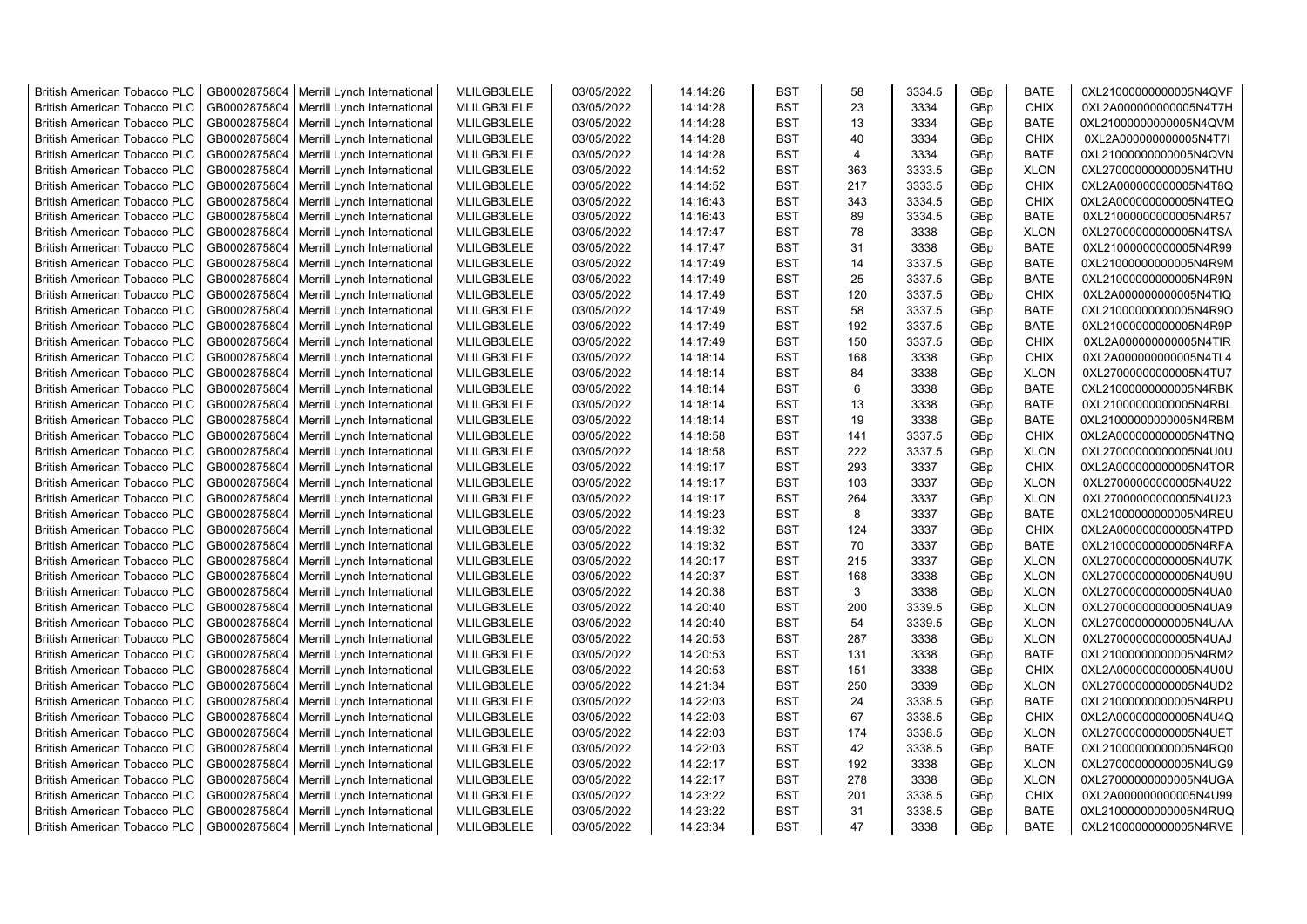| <b>British American Tobacco PLC</b>                                 | GB0002875804 | Merrill Lynch International | MLILGB3LELE | 03/05/2022               | 14:14:26 | <b>BST</b> | 58             | 3334.5 | GBp             | <b>BATE</b> | 0XL21000000000005N4QVF                           |
|---------------------------------------------------------------------|--------------|-----------------------------|-------------|--------------------------|----------|------------|----------------|--------|-----------------|-------------|--------------------------------------------------|
| <b>British American Tobacco PLC</b>                                 | GB0002875804 | Merrill Lynch International | MLILGB3LELE | 03/05/2022               | 14:14:28 | <b>BST</b> | 23             | 3334   | GBp             | <b>CHIX</b> | 0XL2A000000000005N4T7H                           |
| <b>British American Tobacco PLC</b>                                 | GB0002875804 | Merrill Lynch International | MLILGB3LELE | 03/05/2022               | 14:14:28 | <b>BST</b> | 13             | 3334   | GBp             | <b>BATE</b> | 0XL21000000000005N4QVM                           |
| <b>British American Tobacco PLC</b>                                 | GB0002875804 | Merrill Lynch International | MLILGB3LELE | 03/05/2022               | 14:14:28 | <b>BST</b> | 40             | 3334   | GBp             | <b>CHIX</b> | 0XL2A000000000005N4T7I                           |
| <b>British American Tobacco PLC</b>                                 | GB0002875804 | Merrill Lynch International | MLILGB3LELE | 03/05/2022               | 14:14:28 | <b>BST</b> | $\overline{4}$ | 3334   | GBp             | <b>BATE</b> | 0XL21000000000005N4QVN                           |
| <b>British American Tobacco PLC</b>                                 | GB0002875804 | Merrill Lynch International | MLILGB3LELE | 03/05/2022               | 14:14:52 | <b>BST</b> | 363            | 3333.5 | GBp             | <b>XLON</b> | 0XL27000000000005N4THU                           |
| <b>British American Tobacco PLC</b>                                 | GB0002875804 | Merrill Lynch International | MLILGB3LELE | 03/05/2022               | 14:14:52 | <b>BST</b> | 217            | 3333.5 | GBp             | <b>CHIX</b> | 0XL2A000000000005N4T8Q                           |
| <b>British American Tobacco PLC</b>                                 | GB0002875804 | Merrill Lynch International | MLILGB3LELE | 03/05/2022               | 14:16:43 | <b>BST</b> | 343            | 3334.5 | GBp             | <b>CHIX</b> | 0XL2A000000000005N4TEQ                           |
| <b>British American Tobacco PLC</b>                                 | GB0002875804 | Merrill Lynch International | MLILGB3LELE | 03/05/2022               | 14:16:43 | <b>BST</b> | 89             | 3334.5 | GBp             | <b>BATE</b> | 0XL21000000000005N4R57                           |
| <b>British American Tobacco PLC</b>                                 | GB0002875804 | Merrill Lynch International | MLILGB3LELE | 03/05/2022               | 14:17:47 | <b>BST</b> | 78             | 3338   | GBp             | <b>XLON</b> | 0XL27000000000005N4TSA                           |
| <b>British American Tobacco PLC</b>                                 | GB0002875804 | Merrill Lynch International | MLILGB3LELE | 03/05/2022               | 14:17:47 | <b>BST</b> | 31             | 3338   | GBp             | <b>BATE</b> | 0XL21000000000005N4R99                           |
| <b>British American Tobacco PLC</b>                                 | GB0002875804 | Merrill Lynch International | MLILGB3LELE | 03/05/2022               | 14:17:49 | <b>BST</b> | 14             | 3337.5 | GBp             | <b>BATE</b> | 0XL21000000000005N4R9M                           |
| <b>British American Tobacco PLC</b>                                 | GB0002875804 | Merrill Lynch International | MLILGB3LELE | 03/05/2022               | 14:17:49 | <b>BST</b> | 25             | 3337.5 | GBp             | <b>BATE</b> | 0XL21000000000005N4R9N                           |
| <b>British American Tobacco PLC</b>                                 | GB0002875804 | Merrill Lynch International | MLILGB3LELE | 03/05/2022               | 14:17:49 | <b>BST</b> | 120            | 3337.5 | GBp             | <b>CHIX</b> | 0XL2A000000000005N4TIQ                           |
| <b>British American Tobacco PLC</b>                                 | GB0002875804 | Merrill Lynch International | MLILGB3LELE | 03/05/2022               | 14:17:49 | <b>BST</b> | 58             | 3337.5 | GBp             | <b>BATE</b> | 0XL21000000000005N4R9O                           |
| <b>British American Tobacco PLC</b>                                 | GB0002875804 | Merrill Lynch International | MLILGB3LELE | 03/05/2022               | 14:17:49 | <b>BST</b> | 192            | 3337.5 | GBp             | <b>BATE</b> | 0XL21000000000005N4R9P                           |
| British American Tobacco PLC                                        | GB0002875804 | Merrill Lynch International | MLILGB3LELE | 03/05/2022               | 14:17:49 | <b>BST</b> | 150            | 3337.5 | GBp             | <b>CHIX</b> | 0XL2A000000000005N4TIR                           |
| <b>British American Tobacco PLC</b>                                 | GB0002875804 | Merrill Lynch International | MLILGB3LELE | 03/05/2022               | 14:18:14 | <b>BST</b> | 168            | 3338   | GBp             | <b>CHIX</b> | 0XL2A000000000005N4TL4                           |
| <b>British American Tobacco PLC</b>                                 | GB0002875804 | Merrill Lynch International | MLILGB3LELE | 03/05/2022               | 14:18:14 | <b>BST</b> | 84             | 3338   | GBp             | <b>XLON</b> | 0XL27000000000005N4TU7                           |
| <b>British American Tobacco PLC</b>                                 | GB0002875804 | Merrill Lynch International | MLILGB3LELE | 03/05/2022               | 14:18:14 | <b>BST</b> | 6              | 3338   | GBp             | <b>BATE</b> | 0XL21000000000005N4RBK                           |
| <b>British American Tobacco PLC</b>                                 | GB0002875804 | Merrill Lynch International | MLILGB3LELE | 03/05/2022               | 14:18:14 | <b>BST</b> | 13             | 3338   | GBp             | <b>BATE</b> | 0XL21000000000005N4RBL                           |
| <b>British American Tobacco PLC</b>                                 | GB0002875804 | Merrill Lynch International | MLILGB3LELE | 03/05/2022               | 14:18:14 | <b>BST</b> | 19             | 3338   | GBp             | <b>BATE</b> | 0XL21000000000005N4RBM                           |
| British American Tobacco PLC                                        | GB0002875804 | Merrill Lynch International | MLILGB3LELE | 03/05/2022               | 14:18:58 | <b>BST</b> | 141            | 3337.5 | GBp             | <b>CHIX</b> | 0XL2A000000000005N4TNQ                           |
| <b>British American Tobacco PLC</b>                                 | GB0002875804 | Merrill Lynch International | MLILGB3LELE | 03/05/2022               | 14:18:58 | <b>BST</b> | 222            | 3337.5 | GBp             | <b>XLON</b> | 0XL27000000000005N4U0U                           |
| <b>British American Tobacco PLC</b>                                 | GB0002875804 | Merrill Lynch International | MLILGB3LELE | 03/05/2022               | 14:19:17 | <b>BST</b> | 293            | 3337   | GBp             | <b>CHIX</b> | 0XL2A000000000005N4TOR                           |
| <b>British American Tobacco PLC</b>                                 | GB0002875804 | Merrill Lynch International | MLILGB3LELE | 03/05/2022               | 14:19:17 | <b>BST</b> | 103            | 3337   | GBp             | <b>XLON</b> | 0XL27000000000005N4U22                           |
| <b>British American Tobacco PLC</b>                                 | GB0002875804 | Merrill Lynch International | MLILGB3LELE | 03/05/2022               | 14:19:17 | <b>BST</b> | 264            | 3337   | GBp             | <b>XLON</b> | 0XL27000000000005N4U23                           |
| <b>British American Tobacco PLC</b>                                 | GB0002875804 | Merrill Lynch International | MLILGB3LELE | 03/05/2022               | 14:19:23 | <b>BST</b> | 8              | 3337   | GBp             | <b>BATE</b> | 0XL21000000000005N4REU                           |
| <b>British American Tobacco PLC</b>                                 | GB0002875804 | Merrill Lynch International | MLILGB3LELE | 03/05/2022               | 14:19:32 | <b>BST</b> | 124            | 3337   | GBp             | <b>CHIX</b> | 0XL2A000000000005N4TPD                           |
| <b>British American Tobacco PLC</b>                                 | GB0002875804 | Merrill Lynch International | MLILGB3LELE | 03/05/2022               | 14:19:32 | <b>BST</b> | 70             | 3337   | GBp             | <b>BATE</b> | 0XL21000000000005N4RFA                           |
| <b>British American Tobacco PLC</b>                                 | GB0002875804 | Merrill Lynch International | MLILGB3LELE | 03/05/2022               | 14:20:17 | <b>BST</b> | 215            | 3337   | GBp             | <b>XLON</b> | 0XL27000000000005N4U7K                           |
| <b>British American Tobacco PLC</b>                                 | GB0002875804 | Merrill Lynch International | MLILGB3LELE | 03/05/2022               | 14:20:37 | <b>BST</b> | 168            | 3338   | GBp             | <b>XLON</b> | 0XL27000000000005N4U9U                           |
| <b>British American Tobacco PLC</b>                                 | GB0002875804 | Merrill Lynch International | MLILGB3LELE | 03/05/2022               | 14:20:38 | <b>BST</b> | 3              | 3338   | GBp             | <b>XLON</b> | 0XL27000000000005N4UA0                           |
| <b>British American Tobacco PLC</b>                                 | GB0002875804 | Merrill Lynch International | MLILGB3LELE | 03/05/2022               | 14:20:40 | <b>BST</b> | 200            | 3339.5 |                 | <b>XLON</b> |                                                  |
|                                                                     | GB0002875804 | Merrill Lynch International | MLILGB3LELE | 03/05/2022               | 14:20:40 | <b>BST</b> | 54             | 3339.5 | GBp<br>GBp      | <b>XLON</b> | 0XL27000000000005N4UA9<br>0XL27000000000005N4UAA |
| <b>British American Tobacco PLC</b><br>British American Tobacco PLC | GB0002875804 | Merrill Lynch International | MLILGB3LELE | 03/05/2022               | 14:20:53 | <b>BST</b> | 287            | 3338   | GBp             | <b>XLON</b> | 0XL27000000000005N4UAJ                           |
| <b>British American Tobacco PLC</b>                                 | GB0002875804 |                             | MLILGB3LELE | 03/05/2022               | 14:20:53 | <b>BST</b> | 131            | 3338   |                 | <b>BATE</b> | 0XL21000000000005N4RM2                           |
| <b>British American Tobacco PLC</b>                                 | GB0002875804 | Merrill Lynch International | MLILGB3LELE | 03/05/2022               |          | <b>BST</b> | 151            | 3338   | GBp             | <b>CHIX</b> |                                                  |
| <b>British American Tobacco PLC</b>                                 |              | Merrill Lynch International |             |                          | 14:20:53 | <b>BST</b> | 250            |        | GBp             |             | 0XL2A000000000005N4U0U                           |
|                                                                     | GB0002875804 | Merrill Lynch International | MLILGB3LELE | 03/05/2022<br>03/05/2022 | 14:21:34 | <b>BST</b> | 24             | 3339   | GBp             | <b>XLON</b> | 0XL27000000000005N4UD2<br>0XL21000000000005N4RPU |
| <b>British American Tobacco PLC</b>                                 | GB0002875804 | Merrill Lynch International | MLILGB3LELE |                          | 14:22:03 | <b>BST</b> | 67             | 3338.5 | GBp             | <b>BATE</b> |                                                  |
| <b>British American Tobacco PLC</b>                                 | GB0002875804 | Merrill Lynch International | MLILGB3LELE | 03/05/2022               | 14:22:03 |            |                | 3338.5 | GBp             | <b>CHIX</b> | 0XL2A000000000005N4U4Q                           |
| <b>British American Tobacco PLC</b>                                 | GB0002875804 | Merrill Lynch International | MLILGB3LELE | 03/05/2022               | 14:22:03 | <b>BST</b> | 174            | 3338.5 | GBp             | <b>XLON</b> | 0XL27000000000005N4UET                           |
| <b>British American Tobacco PLC</b>                                 | GB0002875804 | Merrill Lynch International | MLILGB3LELE | 03/05/2022               | 14:22:03 | <b>BST</b> | 42             | 3338.5 | GBp             | <b>BATE</b> | 0XL21000000000005N4RQ0                           |
| <b>British American Tobacco PLC</b>                                 | GB0002875804 | Merrill Lynch International | MLILGB3LELE | 03/05/2022               | 14:22:17 | <b>BST</b> | 192            | 3338   | GBp             | <b>XLON</b> | 0XL27000000000005N4UG9                           |
| <b>British American Tobacco PLC</b>                                 | GB0002875804 | Merrill Lynch International | MLILGB3LELE | 03/05/2022               | 14:22:17 | <b>BST</b> | 278            | 3338   | GBp             | <b>XLON</b> | 0XL27000000000005N4UGA                           |
| <b>British American Tobacco PLC</b>                                 | GB0002875804 | Merrill Lynch International | MLILGB3LELE | 03/05/2022               | 14:23:22 | <b>BST</b> | 201            | 3338.5 | GBp             | <b>CHIX</b> | 0XL2A000000000005N4U99                           |
| <b>British American Tobacco PLC</b>                                 | GB0002875804 | Merrill Lynch International | MLILGB3LELE | 03/05/2022               | 14:23:22 | <b>BST</b> | 31             | 3338.5 | GBp             | <b>BATE</b> | 0XL21000000000005N4RUQ                           |
| <b>British American Tobacco PLC</b>                                 | GB0002875804 | Merrill Lynch International | MLILGB3LELE | 03/05/2022               | 14:23:34 | <b>BST</b> | 47             | 3338   | GB <sub>p</sub> | <b>BATE</b> | 0XL21000000000005N4RVE                           |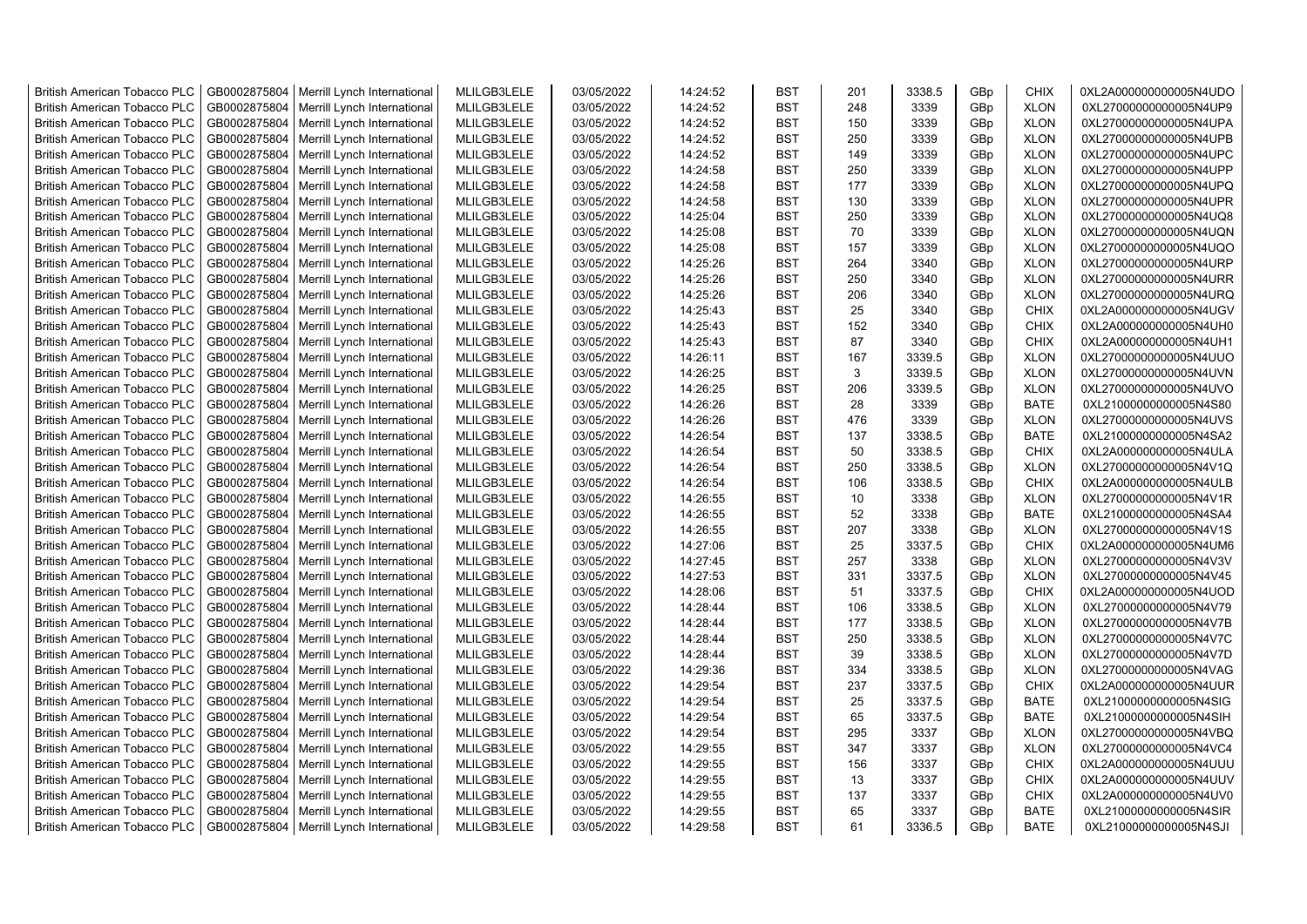| <b>British American Tobacco PLC</b>                                 | GB0002875804                 | Merrill Lynch International                                | MLILGB3LELE                | 03/05/2022               | 14:24:52             | <b>BST</b>               | 201          | 3338.5         | GBp             | <b>CHIX</b>                | 0XL2A000000000005N4UDO                           |
|---------------------------------------------------------------------|------------------------------|------------------------------------------------------------|----------------------------|--------------------------|----------------------|--------------------------|--------------|----------------|-----------------|----------------------------|--------------------------------------------------|
| <b>British American Tobacco PLC</b>                                 | GB0002875804                 | Merrill Lynch International                                | MLILGB3LELE                | 03/05/2022               | 14:24:52             | <b>BST</b>               | 248          | 3339           | GBp             | <b>XLON</b>                | 0XL27000000000005N4UP9                           |
| <b>British American Tobacco PLC</b>                                 | GB0002875804                 | Merrill Lynch International                                | MLILGB3LELE                | 03/05/2022               | 14:24:52             | <b>BST</b>               | 150          | 3339           | GBp             | <b>XLON</b>                | 0XL27000000000005N4UPA                           |
| <b>British American Tobacco PLC</b>                                 | GB0002875804                 | Merrill Lynch International                                | MLILGB3LELE                | 03/05/2022               | 14:24:52             | <b>BST</b>               | 250          | 3339           | GBp             | <b>XLON</b>                | 0XL27000000000005N4UPB                           |
| <b>British American Tobacco PLC</b>                                 | GB0002875804                 | Merrill Lynch International                                | MLILGB3LELE                | 03/05/2022               | 14:24:52             | <b>BST</b>               | 149          | 3339           | GBp             | <b>XLON</b>                | 0XL27000000000005N4UPC                           |
| <b>British American Tobacco PLC</b>                                 | GB0002875804                 | Merrill Lynch International                                | MLILGB3LELE                | 03/05/2022               | 14:24:58             | <b>BST</b>               | 250          | 3339           | GBp             | <b>XLON</b>                | 0XL27000000000005N4UPP                           |
| <b>British American Tobacco PLC</b>                                 | GB0002875804                 | Merrill Lynch International                                | MLILGB3LELE                | 03/05/2022               | 14:24:58             | <b>BST</b>               | 177          | 3339           | GBp             | <b>XLON</b>                | 0XL27000000000005N4UPQ                           |
| <b>British American Tobacco PLC</b>                                 | GB0002875804                 | Merrill Lynch International                                | MLILGB3LELE                | 03/05/2022               | 14:24:58             | <b>BST</b>               | 130          | 3339           | GBp             | <b>XLON</b>                | 0XL27000000000005N4UPR                           |
| <b>British American Tobacco PLC</b>                                 | GB0002875804                 | Merrill Lynch International                                | MLILGB3LELE                | 03/05/2022               | 14:25:04             | <b>BST</b>               | 250          | 3339           | GBp             | <b>XLON</b>                | 0XL27000000000005N4UQ8                           |
| British American Tobacco PLC                                        | GB0002875804                 | Merrill Lynch International                                | MLILGB3LELE                | 03/05/2022               | 14:25:08             | <b>BST</b>               | 70           | 3339           | GBp             | <b>XLON</b>                | 0XL27000000000005N4UQN                           |
| <b>British American Tobacco PLC</b>                                 | GB0002875804                 | Merrill Lynch International                                | MLILGB3LELE                | 03/05/2022               | 14:25:08             | <b>BST</b>               | 157          | 3339           | GBp             | <b>XLON</b>                | 0XL27000000000005N4UQO                           |
| <b>British American Tobacco PLC</b>                                 | GB0002875804                 | Merrill Lynch International                                | MLILGB3LELE                | 03/05/2022               | 14:25:26             | <b>BST</b>               | 264          | 3340           | GBp             | <b>XLON</b>                | 0XL27000000000005N4URP                           |
| <b>British American Tobacco PLC</b>                                 | GB0002875804                 | Merrill Lynch International                                | MLILGB3LELE                | 03/05/2022               | 14:25:26             | <b>BST</b>               | 250          | 3340           | GBp             | <b>XLON</b>                | 0XL27000000000005N4URR                           |
| <b>British American Tobacco PLC</b>                                 | GB0002875804                 | Merrill Lynch International                                | MLILGB3LELE                | 03/05/2022               | 14:25:26             | <b>BST</b>               | 206          | 3340           | GBp             | <b>XLON</b>                | 0XL27000000000005N4URQ                           |
| <b>British American Tobacco PLC</b>                                 | GB0002875804                 | Merrill Lynch International                                | MLILGB3LELE                | 03/05/2022               | 14:25:43             | <b>BST</b>               | 25           | 3340           | GBp             | <b>CHIX</b>                | 0XL2A000000000005N4UGV                           |
| <b>British American Tobacco PLC</b>                                 | GB0002875804                 | Merrill Lynch International                                | MLILGB3LELE                | 03/05/2022               | 14:25:43             | <b>BST</b>               | 152          | 3340           | GBp             | <b>CHIX</b>                | 0XL2A000000000005N4UH0                           |
| <b>British American Tobacco PLC</b>                                 | GB0002875804                 | Merrill Lynch International                                | MLILGB3LELE                | 03/05/2022               | 14:25:43             | <b>BST</b>               | 87           | 3340           | GBp             | <b>CHIX</b>                | 0XL2A000000000005N4UH1                           |
| <b>British American Tobacco PLC</b>                                 | GB0002875804                 | Merrill Lynch International                                | MLILGB3LELE                | 03/05/2022               | 14:26:11             | <b>BST</b>               | 167          | 3339.5         | GBp             | <b>XLON</b>                | 0XL27000000000005N4UUO                           |
| <b>British American Tobacco PLC</b>                                 | GB0002875804                 | Merrill Lynch International                                | MLILGB3LELE                | 03/05/2022               | 14:26:25             | <b>BST</b>               | $\mathbf{3}$ | 3339.5         | GBp             | <b>XLON</b>                | 0XL27000000000005N4UVN                           |
| <b>British American Tobacco PLC</b>                                 | GB0002875804                 | Merrill Lynch International                                | MLILGB3LELE                | 03/05/2022               | 14:26:25             | <b>BST</b>               | 206          | 3339.5         | GBp             | <b>XLON</b>                | 0XL27000000000005N4UVO                           |
| British American Tobacco PLC                                        | GB0002875804                 | Merrill Lynch International                                | MLILGB3LELE                | 03/05/2022               | 14:26:26             | <b>BST</b>               | 28           | 3339           | GBp             | <b>BATE</b>                | 0XL21000000000005N4S80                           |
| <b>British American Tobacco PLC</b>                                 | GB0002875804                 | Merrill Lynch International                                | MLILGB3LELE                | 03/05/2022               | 14:26:26             | <b>BST</b>               | 476          | 3339           | GBp             | <b>XLON</b>                | 0XL27000000000005N4UVS                           |
| <b>British American Tobacco PLC</b>                                 | GB0002875804                 | Merrill Lynch International                                | MLILGB3LELE                | 03/05/2022               | 14:26:54             | <b>BST</b>               | 137          | 3338.5         | GBp             | <b>BATE</b>                | 0XL21000000000005N4SA2                           |
| <b>British American Tobacco PLC</b>                                 | GB0002875804                 | Merrill Lynch International                                | MLILGB3LELE                | 03/05/2022               | 14:26:54             | <b>BST</b>               | 50           | 3338.5         | GBp             | <b>CHIX</b>                | 0XL2A000000000005N4ULA                           |
| <b>British American Tobacco PLC</b>                                 | GB0002875804                 | Merrill Lynch International                                | MLILGB3LELE                | 03/05/2022               | 14:26:54             | <b>BST</b>               | 250          | 3338.5         | GBp             | <b>XLON</b>                | 0XL27000000000005N4V1Q                           |
| <b>British American Tobacco PLC</b>                                 | GB0002875804                 | Merrill Lynch International                                | MLILGB3LELE                | 03/05/2022               | 14:26:54             | <b>BST</b>               | 106          | 3338.5         | GBp             | <b>CHIX</b>                | 0XL2A000000000005N4ULB                           |
| <b>British American Tobacco PLC</b>                                 | GB0002875804                 | Merrill Lynch International                                | MLILGB3LELE                | 03/05/2022               | 14:26:55             | <b>BST</b>               | 10           | 3338           | GBp             | <b>XLON</b>                | 0XL27000000000005N4V1R                           |
| British American Tobacco PLC                                        | GB0002875804                 | Merrill Lynch International                                | MLILGB3LELE                | 03/05/2022               | 14:26:55             | <b>BST</b>               | 52           | 3338           | GBp             | <b>BATE</b>                | 0XL21000000000005N4SA4                           |
| <b>British American Tobacco PLC</b>                                 | GB0002875804                 | Merrill Lynch International                                | MLILGB3LELE                | 03/05/2022               | 14:26:55             | <b>BST</b>               | 207          | 3338           | GBp             | <b>XLON</b>                | 0XL27000000000005N4V1S                           |
| <b>British American Tobacco PLC</b>                                 | GB0002875804                 | Merrill Lynch International                                | MLILGB3LELE                | 03/05/2022               | 14:27:06             | <b>BST</b>               | 25           | 3337.5         | GBp             | <b>CHIX</b>                | 0XL2A000000000005N4UM6                           |
| <b>British American Tobacco PLC</b>                                 | GB0002875804                 |                                                            | MLILGB3LELE                | 03/05/2022               | 14:27:45             | <b>BST</b>               | 257          | 3338           |                 | <b>XLON</b>                | 0XL27000000000005N4V3V                           |
| <b>British American Tobacco PLC</b>                                 | GB0002875804                 | Merrill Lynch International<br>Merrill Lynch International | MLILGB3LELE                | 03/05/2022               | 14:27:53             | <b>BST</b>               | 331          | 3337.5         | GBp<br>GBp      | <b>XLON</b>                | 0XL27000000000005N4V45                           |
| <b>British American Tobacco PLC</b>                                 | GB0002875804                 | Merrill Lynch International                                | MLILGB3LELE                | 03/05/2022               | 14:28:06             | <b>BST</b>               | 51           | 3337.5         | GBp             | <b>CHIX</b>                | 0XL2A000000000005N4UOD                           |
| British American Tobacco PLC                                        | GB0002875804                 |                                                            | MLILGB3LELE                | 03/05/2022               | 14:28:44             | <b>BST</b>               | 106          | 3338.5         | GBp             | <b>XLON</b>                | 0XL27000000000005N4V79                           |
| <b>British American Tobacco PLC</b>                                 | GB0002875804                 | Merrill Lynch International<br>Merrill Lynch International | MLILGB3LELE                | 03/05/2022               | 14:28:44             | <b>BST</b>               | 177          | 3338.5         | GBp             | <b>XLON</b>                |                                                  |
| <b>British American Tobacco PLC</b>                                 | GB0002875804                 | Merrill Lynch International                                | MLILGB3LELE                | 03/05/2022               | 14:28:44             | <b>BST</b>               | 250          | 3338.5         | GBp             | <b>XLON</b>                | 0XL27000000000005N4V7B<br>0XL27000000000005N4V7C |
| <b>British American Tobacco PLC</b>                                 | GB0002875804                 | Merrill Lynch International                                | MLILGB3LELE                | 03/05/2022               | 14:28:44             | <b>BST</b>               | 39           | 3338.5         | GBp             | <b>XLON</b>                | 0XL27000000000005N4V7D                           |
| <b>British American Tobacco PLC</b>                                 | GB0002875804                 | Merrill Lynch International                                | MLILGB3LELE                | 03/05/2022               | 14:29:36             | <b>BST</b>               | 334          | 3338.5         | GBp             | <b>XLON</b>                | 0XL27000000000005N4VAG                           |
| <b>British American Tobacco PLC</b>                                 | GB0002875804                 | Merrill Lynch International                                | MLILGB3LELE                | 03/05/2022               | 14:29:54             | <b>BST</b>               | 237          | 3337.5         | GBp             | <b>CHIX</b>                | 0XL2A000000000005N4UUR                           |
| <b>British American Tobacco PLC</b>                                 | GB0002875804                 |                                                            | MLILGB3LELE                | 03/05/2022               | 14:29:54             | <b>BST</b>               | 25           | 3337.5         | GBp             | <b>BATE</b>                | 0XL21000000000005N4SIG                           |
| <b>British American Tobacco PLC</b>                                 | GB0002875804                 | Merrill Lynch International                                |                            |                          |                      |                          |              |                |                 | <b>BATE</b>                |                                                  |
|                                                                     | GB0002875804                 | Merrill Lynch International                                | MLILGB3LELE                | 03/05/2022               | 14:29:54<br>14:29:54 | <b>BST</b><br><b>BST</b> | 65<br>295    | 3337.5<br>3337 | GBp<br>GBp      |                            | 0XL21000000000005N4SIH<br>0XL27000000000005N4VBQ |
| <b>British American Tobacco PLC</b>                                 |                              | Merrill Lynch International                                | MLILGB3LELE                | 03/05/2022               |                      |                          |              |                |                 | <b>XLON</b>                |                                                  |
| <b>British American Tobacco PLC</b>                                 | GB0002875804                 | Merrill Lynch International                                | MLILGB3LELE                | 03/05/2022               | 14:29:55             | <b>BST</b><br><b>BST</b> | 347<br>156   | 3337<br>3337   | GBp             | <b>XLON</b>                | 0XL27000000000005N4VC4                           |
| <b>British American Tobacco PLC</b><br>British American Tobacco PLC | GB0002875804<br>GB0002875804 | Merrill Lynch International                                | MLILGB3LELE<br>MLILGB3LELE | 03/05/2022<br>03/05/2022 | 14:29:55<br>14:29:55 | <b>BST</b>               | 13           | 3337           | GBp<br>GBp      | <b>CHIX</b><br><b>CHIX</b> | 0XL2A000000000005N4UUU<br>0XL2A000000000005N4UUV |
| <b>British American Tobacco PLC</b>                                 | GB0002875804                 | Merrill Lynch International<br>Merrill Lynch International | MLILGB3LELE                | 03/05/2022               | 14:29:55             | <b>BST</b>               | 137          | 3337           | GBp             | <b>CHIX</b>                | 0XL2A000000000005N4UV0                           |
|                                                                     |                              |                                                            | MLILGB3LELE                | 03/05/2022               | 14:29:55             | <b>BST</b>               | 65           | 3337           |                 | <b>BATE</b>                |                                                  |
| <b>British American Tobacco PLC</b>                                 | GB0002875804                 | Merrill Lynch International                                |                            |                          |                      | <b>BST</b>               | 61           |                | GBp             | <b>BATE</b>                | 0XL21000000000005N4SIR                           |
| <b>British American Tobacco PLC</b>                                 | GB0002875804                 | Merrill Lynch International                                | MLILGB3LELE                | 03/05/2022               | 14:29:58             |                          |              | 3336.5         | GB <sub>p</sub> |                            | 0XL21000000000005N4SJI                           |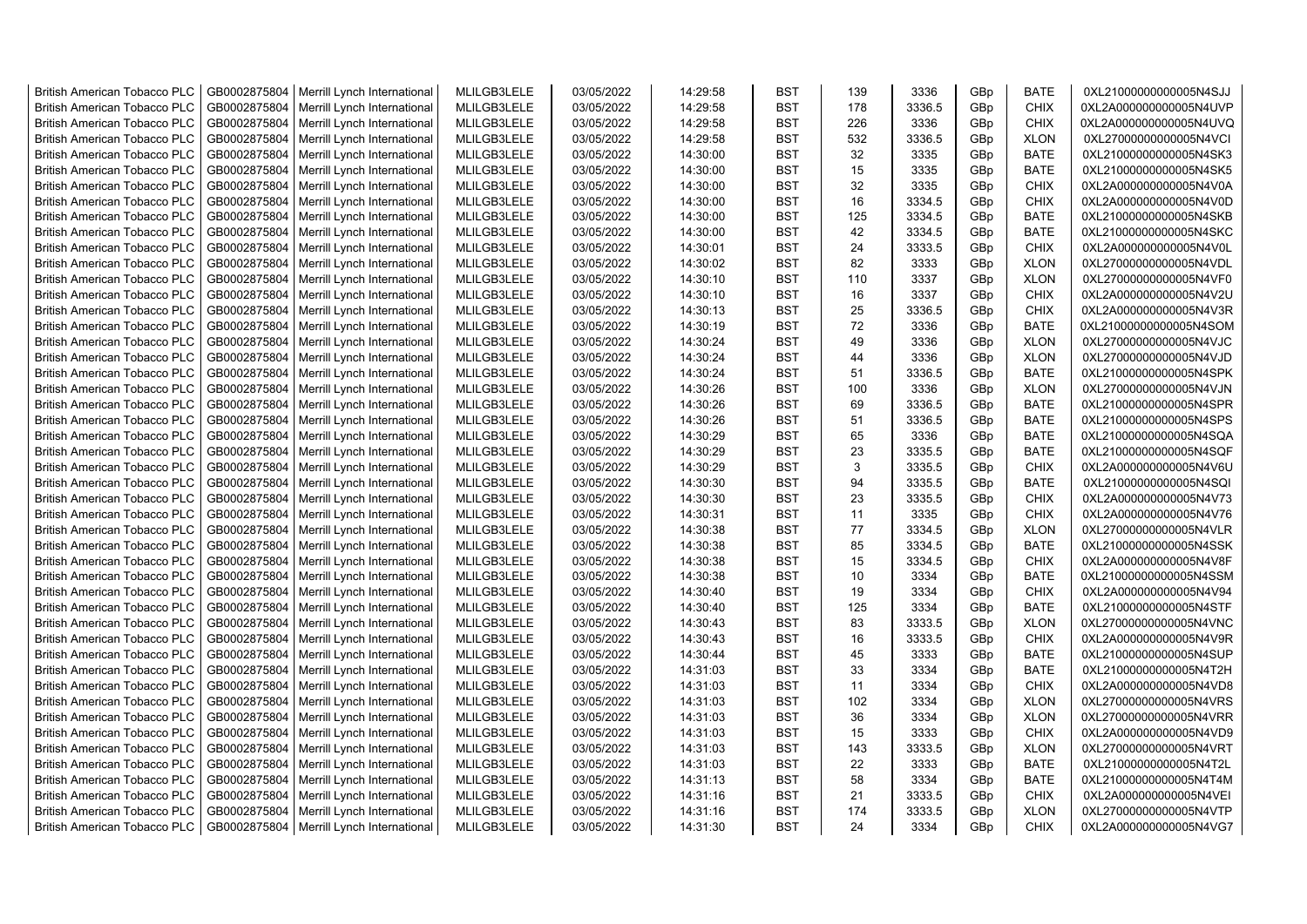| <b>British American Tobacco PLC</b> | GB0002875804 | Merrill Lynch International | MLILGB3LELE | 03/05/2022 | 14:29:58 | <b>BST</b> | 139 | 3336   | GBp             | <b>BATE</b> | 0XL21000000000005N4SJJ |
|-------------------------------------|--------------|-----------------------------|-------------|------------|----------|------------|-----|--------|-----------------|-------------|------------------------|
| <b>British American Tobacco PLC</b> | GB0002875804 | Merrill Lynch International | MLILGB3LELE | 03/05/2022 | 14:29:58 | <b>BST</b> | 178 | 3336.5 | GBp             | <b>CHIX</b> | 0XL2A000000000005N4UVP |
| <b>British American Tobacco PLC</b> | GB0002875804 | Merrill Lynch International | MLILGB3LELE | 03/05/2022 | 14:29:58 | <b>BST</b> | 226 | 3336   | GBp             | <b>CHIX</b> | 0XL2A000000000005N4UVQ |
| <b>British American Tobacco PLC</b> | GB0002875804 | Merrill Lynch International | MLILGB3LELE | 03/05/2022 | 14:29:58 | <b>BST</b> | 532 | 3336.5 | GBp             | <b>XLON</b> | 0XL27000000000005N4VCI |
| <b>British American Tobacco PLC</b> | GB0002875804 | Merrill Lynch International | MLILGB3LELE | 03/05/2022 | 14:30:00 | <b>BST</b> | 32  | 3335   | GBp             | <b>BATE</b> | 0XL21000000000005N4SK3 |
| <b>British American Tobacco PLC</b> | GB0002875804 | Merrill Lynch International | MLILGB3LELE | 03/05/2022 | 14:30:00 | <b>BST</b> | 15  | 3335   | GBp             | <b>BATE</b> | 0XL21000000000005N4SK5 |
| <b>British American Tobacco PLC</b> | GB0002875804 | Merrill Lynch International | MLILGB3LELE | 03/05/2022 | 14:30:00 | <b>BST</b> | 32  | 3335   | GBp             | <b>CHIX</b> | 0XL2A000000000005N4V0A |
| <b>British American Tobacco PLC</b> | GB0002875804 | Merrill Lynch International | MLILGB3LELE | 03/05/2022 | 14:30:00 | <b>BST</b> | 16  | 3334.5 | GBp             | <b>CHIX</b> | 0XL2A000000000005N4V0D |
| <b>British American Tobacco PLC</b> | GB0002875804 | Merrill Lynch International | MLILGB3LELE | 03/05/2022 | 14:30:00 | <b>BST</b> | 125 | 3334.5 | GBp             | BATE        | 0XL21000000000005N4SKB |
| <b>British American Tobacco PLC</b> | GB0002875804 | Merrill Lynch International | MLILGB3LELE | 03/05/2022 | 14:30:00 | <b>BST</b> | 42  | 3334.5 | GBp             | <b>BATE</b> | 0XL21000000000005N4SKC |
| <b>British American Tobacco PLC</b> | GB0002875804 | Merrill Lynch International | MLILGB3LELE | 03/05/2022 | 14:30:01 | <b>BST</b> | 24  | 3333.5 | GBp             | <b>CHIX</b> | 0XL2A000000000005N4V0L |
| <b>British American Tobacco PLC</b> | GB0002875804 | Merrill Lynch International | MLILGB3LELE | 03/05/2022 | 14:30:02 | <b>BST</b> | 82  | 3333   | GBp             | <b>XLON</b> | 0XL27000000000005N4VDL |
| <b>British American Tobacco PLC</b> | GB0002875804 | Merrill Lynch International | MLILGB3LELE | 03/05/2022 | 14:30:10 | <b>BST</b> | 110 | 3337   | GBp             | <b>XLON</b> | 0XL27000000000005N4VF0 |
| <b>British American Tobacco PLC</b> | GB0002875804 | Merrill Lynch International | MLILGB3LELE | 03/05/2022 | 14:30:10 | <b>BST</b> | 16  | 3337   | GBp             | <b>CHIX</b> | 0XL2A000000000005N4V2U |
| <b>British American Tobacco PLC</b> | GB0002875804 | Merrill Lynch International | MLILGB3LELE | 03/05/2022 | 14:30:13 | <b>BST</b> | 25  | 3336.5 | GBp             | <b>CHIX</b> | 0XL2A000000000005N4V3R |
| <b>British American Tobacco PLC</b> | GB0002875804 | Merrill Lynch International | MLILGB3LELE | 03/05/2022 | 14:30:19 | <b>BST</b> | 72  | 3336   | GBp             | <b>BATE</b> | 0XL21000000000005N4SOM |
| <b>British American Tobacco PLC</b> | GB0002875804 | Merrill Lynch International | MLILGB3LELE | 03/05/2022 | 14:30:24 | <b>BST</b> | 49  | 3336   | GBp             | <b>XLON</b> | 0XL27000000000005N4VJC |
| <b>British American Tobacco PLC</b> | GB0002875804 | Merrill Lynch International | MLILGB3LELE | 03/05/2022 | 14:30:24 | <b>BST</b> | 44  | 3336   | GBp             | <b>XLON</b> | 0XL27000000000005N4VJD |
| <b>British American Tobacco PLC</b> | GB0002875804 | Merrill Lynch International | MLILGB3LELE | 03/05/2022 | 14:30:24 | <b>BST</b> | 51  | 3336.5 | GBp             | <b>BATE</b> | 0XL21000000000005N4SPK |
| <b>British American Tobacco PLC</b> | GB0002875804 | Merrill Lynch International | MLILGB3LELE | 03/05/2022 | 14:30:26 | <b>BST</b> | 100 | 3336   | GBp             | <b>XLON</b> | 0XL27000000000005N4VJN |
| <b>British American Tobacco PLC</b> | GB0002875804 | Merrill Lynch International | MLILGB3LELE | 03/05/2022 | 14:30:26 | <b>BST</b> | 69  | 3336.5 | GBp             | <b>BATE</b> | 0XL21000000000005N4SPR |
| <b>British American Tobacco PLC</b> | GB0002875804 | Merrill Lynch International | MLILGB3LELE | 03/05/2022 | 14:30:26 | <b>BST</b> | 51  | 3336.5 | GBp             | <b>BATE</b> | 0XL21000000000005N4SPS |
| <b>British American Tobacco PLC</b> | GB0002875804 | Merrill Lynch International | MLILGB3LELE | 03/05/2022 | 14:30:29 | <b>BST</b> | 65  | 3336   | GBp             | <b>BATE</b> | 0XL21000000000005N4SQA |
| <b>British American Tobacco PLC</b> | GB0002875804 | Merrill Lynch International | MLILGB3LELE | 03/05/2022 | 14:30:29 | <b>BST</b> | 23  | 3335.5 | GBp             | <b>BATE</b> | 0XL21000000000005N4SQF |
| <b>British American Tobacco PLC</b> | GB0002875804 | Merrill Lynch International | MLILGB3LELE | 03/05/2022 | 14:30:29 | <b>BST</b> | 3   | 3335.5 | GBp             | <b>CHIX</b> | 0XL2A000000000005N4V6U |
| <b>British American Tobacco PLC</b> | GB0002875804 | Merrill Lynch International | MLILGB3LELE | 03/05/2022 | 14:30:30 | <b>BST</b> | 94  | 3335.5 | GBp             | BATE        | 0XL21000000000005N4SQI |
| <b>British American Tobacco PLC</b> | GB0002875804 | Merrill Lynch International | MLILGB3LELE | 03/05/2022 | 14:30:30 | <b>BST</b> | 23  | 3335.5 | GBp             | <b>CHIX</b> | 0XL2A000000000005N4V73 |
| <b>British American Tobacco PLC</b> | GB0002875804 | Merrill Lynch International | MLILGB3LELE | 03/05/2022 | 14:30:31 | <b>BST</b> | 11  | 3335   | GBp             | <b>CHIX</b> | 0XL2A000000000005N4V76 |
| <b>British American Tobacco PLC</b> | GB0002875804 | Merrill Lynch International | MLILGB3LELE | 03/05/2022 | 14:30:38 | BST        | 77  | 3334.5 | GBp             | <b>XLON</b> | 0XL27000000000005N4VLR |
| <b>British American Tobacco PLC</b> | GB0002875804 | Merrill Lynch International | MLILGB3LELE | 03/05/2022 | 14:30:38 | <b>BST</b> | 85  | 3334.5 | GBp             | <b>BATE</b> | 0XL21000000000005N4SSK |
| <b>British American Tobacco PLC</b> | GB0002875804 | Merrill Lynch International | MLILGB3LELE | 03/05/2022 | 14:30:38 | <b>BST</b> | 15  | 3334.5 | GBp             | <b>CHIX</b> | 0XL2A000000000005N4V8F |
| <b>British American Tobacco PLC</b> | GB0002875804 | Merrill Lynch International | MLILGB3LELE | 03/05/2022 | 14:30:38 | <b>BST</b> | 10  | 3334   | GBp             | <b>BATE</b> | 0XL21000000000005N4SSM |
| <b>British American Tobacco PLC</b> | GB0002875804 | Merrill Lynch International | MLILGB3LELE | 03/05/2022 | 14:30:40 | BST        | 19  | 3334   | GBp             | <b>CHIX</b> | 0XL2A000000000005N4V94 |
| <b>British American Tobacco PLC</b> | GB0002875804 | Merrill Lynch International | MLILGB3LELE | 03/05/2022 | 14:30:40 | <b>BST</b> | 125 | 3334   | GBp             | <b>BATE</b> | 0XL21000000000005N4STF |
| <b>British American Tobacco PLC</b> | GB0002875804 | Merrill Lynch International | MLILGB3LELE | 03/05/2022 | 14:30:43 | <b>BST</b> | 83  | 3333.5 | GBp             | <b>XLON</b> | 0XL27000000000005N4VNC |
| <b>British American Tobacco PLC</b> | GB0002875804 | Merrill Lynch International | MLILGB3LELE | 03/05/2022 | 14:30:43 | <b>BST</b> | 16  | 3333.5 | GBp             | <b>CHIX</b> | 0XL2A000000000005N4V9R |
| <b>British American Tobacco PLC</b> | GB0002875804 | Merrill Lynch International | MLILGB3LELE | 03/05/2022 | 14:30:44 | <b>BST</b> | 45  | 3333   | GBp             | <b>BATE</b> | 0XL21000000000005N4SUP |
| <b>British American Tobacco PLC</b> | GB0002875804 | Merrill Lynch International | MLILGB3LELE | 03/05/2022 | 14:31:03 | <b>BST</b> | 33  | 3334   | GBp             | BATE        | 0XL21000000000005N4T2H |
| <b>British American Tobacco PLC</b> | GB0002875804 | Merrill Lynch International | MLILGB3LELE | 03/05/2022 | 14:31:03 | <b>BST</b> | 11  | 3334   | GBp             | <b>CHIX</b> | 0XL2A000000000005N4VD8 |
| <b>British American Tobacco PLC</b> | GB0002875804 | Merrill Lynch International | MLILGB3LELE | 03/05/2022 | 14:31:03 | <b>BST</b> | 102 | 3334   | GBp             | <b>XLON</b> | 0XL27000000000005N4VRS |
| <b>British American Tobacco PLC</b> | GB0002875804 | Merrill Lynch International | MLILGB3LELE | 03/05/2022 | 14:31:03 | <b>BST</b> | 36  | 3334   | GBp             | <b>XLON</b> | 0XL27000000000005N4VRR |
| <b>British American Tobacco PLC</b> | GB0002875804 | Merrill Lynch International | MLILGB3LELE | 03/05/2022 | 14:31:03 | <b>BST</b> | 15  | 3333   | GBp             | <b>CHIX</b> | 0XL2A000000000005N4VD9 |
| <b>British American Tobacco PLC</b> | GB0002875804 | Merrill Lynch International | MLILGB3LELE | 03/05/2022 | 14:31:03 | <b>BST</b> | 143 | 3333.5 | GBp             | <b>XLON</b> | 0XL27000000000005N4VRT |
| <b>British American Tobacco PLC</b> | GB0002875804 | Merrill Lynch International | MLILGB3LELE | 03/05/2022 | 14:31:03 | <b>BST</b> | 22  | 3333   | GBp             | <b>BATE</b> | 0XL21000000000005N4T2L |
| <b>British American Tobacco PLC</b> | GB0002875804 | Merrill Lynch International | MLILGB3LELE | 03/05/2022 | 14:31:13 | <b>BST</b> | 58  | 3334   | GBp             | <b>BATE</b> | 0XL21000000000005N4T4M |
| <b>British American Tobacco PLC</b> | GB0002875804 | Merrill Lynch International | MLILGB3LELE | 03/05/2022 | 14:31:16 | <b>BST</b> | 21  | 3333.5 | GBp             | <b>CHIX</b> | 0XL2A000000000005N4VEI |
| <b>British American Tobacco PLC</b> | GB0002875804 | Merrill Lynch International | MLILGB3LELE | 03/05/2022 | 14:31:16 | <b>BST</b> | 174 | 3333.5 | GBp             | <b>XLON</b> | 0XL27000000000005N4VTP |
| <b>British American Tobacco PLC</b> | GB0002875804 | Merrill Lynch International | MLILGB3LELE | 03/05/2022 | 14:31:30 | <b>BST</b> | 24  | 3334   | GB <sub>p</sub> | <b>CHIX</b> | 0XL2A000000000005N4VG7 |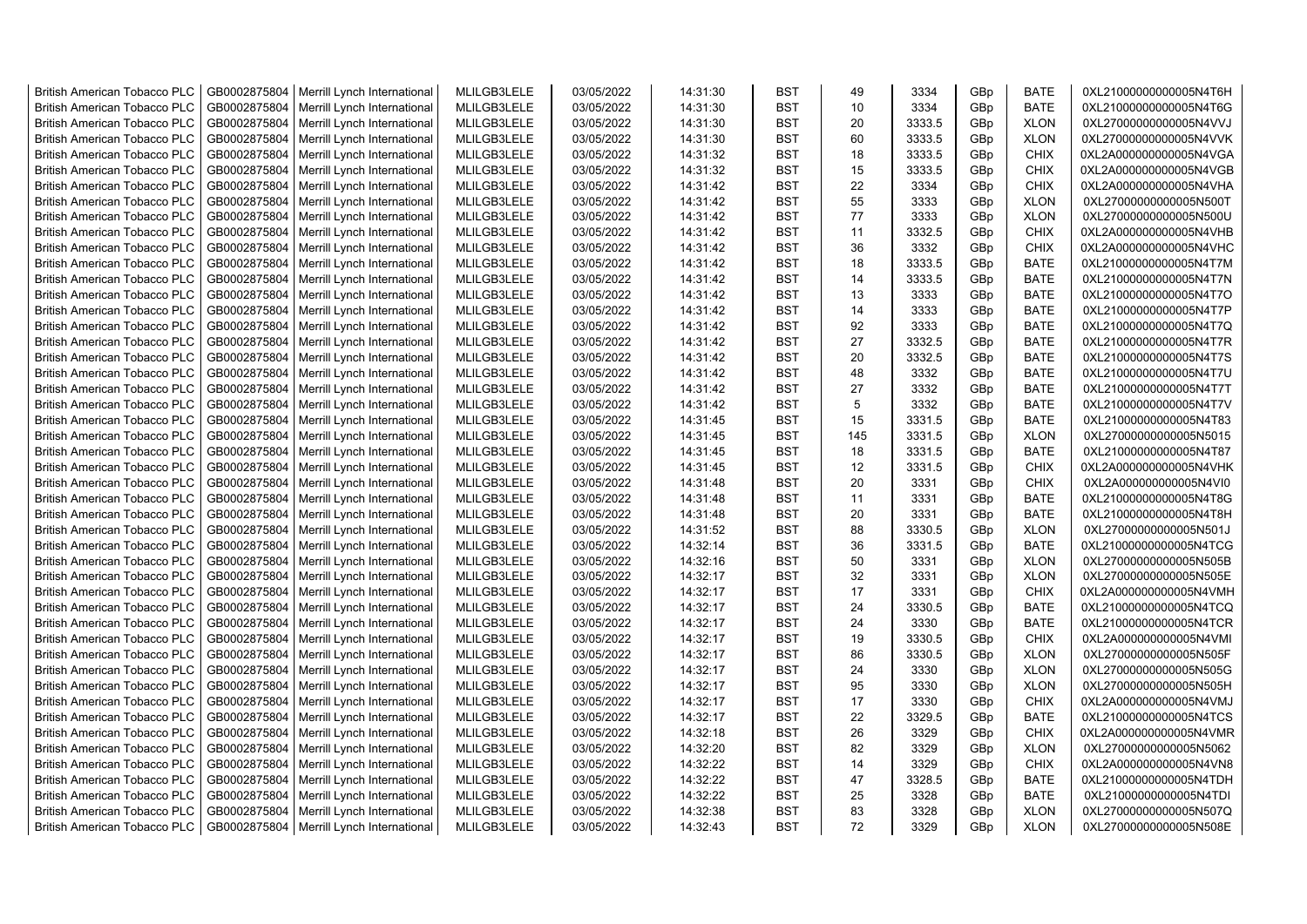| <b>British American Tobacco PLC</b> | GB0002875804 | Merrill Lynch International                | MLILGB3LELE | 03/05/2022 | 14:31:30 | <b>BST</b> | 49  | 3334   | GBp             | <b>BATE</b> | 0XL21000000000005N4T6H |
|-------------------------------------|--------------|--------------------------------------------|-------------|------------|----------|------------|-----|--------|-----------------|-------------|------------------------|
| <b>British American Tobacco PLC</b> | GB0002875804 | Merrill Lynch International                | MLILGB3LELE | 03/05/2022 | 14:31:30 | <b>BST</b> | 10  | 3334   | GBp             | <b>BATE</b> | 0XL21000000000005N4T6G |
| <b>British American Tobacco PLC</b> | GB0002875804 | Merrill Lynch International                | MLILGB3LELE | 03/05/2022 | 14:31:30 | <b>BST</b> | 20  | 3333.5 | GBp             | <b>XLON</b> | 0XL27000000000005N4VVJ |
| <b>British American Tobacco PLC</b> | GB0002875804 | Merrill Lynch International                | MLILGB3LELE | 03/05/2022 | 14:31:30 | <b>BST</b> | 60  | 3333.5 | GBp             | <b>XLON</b> | 0XL27000000000005N4VVK |
| <b>British American Tobacco PLC</b> | GB0002875804 | Merrill Lynch International                | MLILGB3LELE | 03/05/2022 | 14:31:32 | <b>BST</b> | 18  | 3333.5 | GBp             | <b>CHIX</b> | 0XL2A000000000005N4VGA |
| <b>British American Tobacco PLC</b> | GB0002875804 | Merrill Lynch International                | MLILGB3LELE | 03/05/2022 | 14:31:32 | <b>BST</b> | 15  | 3333.5 | GBp             | <b>CHIX</b> | 0XL2A000000000005N4VGB |
| British American Tobacco PLC        | GB0002875804 | Merrill Lynch International                | MLILGB3LELE | 03/05/2022 | 14:31:42 | <b>BST</b> | 22  | 3334   | GBp             | <b>CHIX</b> | 0XL2A000000000005N4VHA |
| <b>British American Tobacco PLC</b> | GB0002875804 | Merrill Lynch International                | MLILGB3LELE | 03/05/2022 | 14:31:42 | <b>BST</b> | 55  | 3333   | GBp             | <b>XLON</b> | 0XL27000000000005N500T |
| <b>British American Tobacco PLC</b> | GB0002875804 | Merrill Lynch International                | MLILGB3LELE | 03/05/2022 | 14:31:42 | <b>BST</b> | 77  | 3333   | GBp             | <b>XLON</b> | 0XL27000000000005N500U |
| <b>British American Tobacco PLC</b> | GB0002875804 | Merrill Lynch International                | MLILGB3LELE | 03/05/2022 | 14:31:42 | <b>BST</b> | 11  | 3332.5 | GBp             | <b>CHIX</b> | 0XL2A000000000005N4VHB |
| <b>British American Tobacco PLC</b> | GB0002875804 | Merrill Lynch International                | MLILGB3LELE | 03/05/2022 | 14:31:42 | <b>BST</b> | 36  | 3332   | GBp             | <b>CHIX</b> | 0XL2A000000000005N4VHC |
| <b>British American Tobacco PLC</b> | GB0002875804 | Merrill Lynch International                | MLILGB3LELE | 03/05/2022 | 14:31:42 | <b>BST</b> | 18  | 3333.5 | GBp             | <b>BATE</b> | 0XL21000000000005N4T7M |
| <b>British American Tobacco PLC</b> | GB0002875804 | Merrill Lynch International                | MLILGB3LELE | 03/05/2022 | 14:31:42 | BST        | 14  | 3333.5 | GBp             | <b>BATE</b> | 0XL21000000000005N4T7N |
| <b>British American Tobacco PLC</b> | GB0002875804 | Merrill Lynch International                | MLILGB3LELE | 03/05/2022 | 14:31:42 | <b>BST</b> | 13  | 3333   | GBp             | <b>BATE</b> | 0XL21000000000005N4T7O |
| <b>British American Tobacco PLC</b> | GB0002875804 | Merrill Lynch International                | MLILGB3LELE | 03/05/2022 | 14:31:42 | <b>BST</b> | 14  | 3333   | GBp             | <b>BATE</b> | 0XL21000000000005N4T7P |
| <b>British American Tobacco PLC</b> | GB0002875804 | Merrill Lynch International                | MLILGB3LELE | 03/05/2022 | 14:31:42 | <b>BST</b> | 92  | 3333   | GBp             | <b>BATE</b> | 0XL21000000000005N4T7Q |
| <b>British American Tobacco PLC</b> | GB0002875804 | Merrill Lynch International                | MLILGB3LELE | 03/05/2022 | 14:31:42 | <b>BST</b> | 27  | 3332.5 | GBp             | BATE        | 0XL21000000000005N4T7R |
| <b>British American Tobacco PLC</b> | GB0002875804 | Merrill Lynch International                | MLILGB3LELE | 03/05/2022 | 14:31:42 | <b>BST</b> | 20  | 3332.5 | GBp             | <b>BATE</b> | 0XL21000000000005N4T7S |
| <b>British American Tobacco PLC</b> | GB0002875804 | Merrill Lynch International                | MLILGB3LELE | 03/05/2022 | 14:31:42 | <b>BST</b> | 48  | 3332   | GBp             | <b>BATE</b> | 0XL21000000000005N4T7U |
| <b>British American Tobacco PLC</b> | GB0002875804 | Merrill Lynch International                | MLILGB3LELE | 03/05/2022 | 14:31:42 | <b>BST</b> | 27  | 3332   | GBp             | <b>BATE</b> | 0XL21000000000005N4T7T |
| <b>British American Tobacco PLC</b> | GB0002875804 | Merrill Lynch International                | MLILGB3LELE | 03/05/2022 | 14:31:42 | <b>BST</b> | 5   | 3332   | GBp             | <b>BATE</b> | 0XL21000000000005N4T7V |
| <b>British American Tobacco PLC</b> | GB0002875804 | Merrill Lynch International                | MLILGB3LELE | 03/05/2022 | 14:31:45 | <b>BST</b> | 15  | 3331.5 | GBp             | <b>BATE</b> | 0XL21000000000005N4T83 |
| British American Tobacco PLC        | GB0002875804 | Merrill Lynch International                | MLILGB3LELE | 03/05/2022 | 14:31:45 | <b>BST</b> | 145 | 3331.5 | GBp             | <b>XLON</b> | 0XL27000000000005N5015 |
| <b>British American Tobacco PLC</b> | GB0002875804 | Merrill Lynch International                | MLILGB3LELE | 03/05/2022 | 14:31:45 | <b>BST</b> | 18  | 3331.5 | GBp             | <b>BATE</b> | 0XL21000000000005N4T87 |
|                                     |              |                                            |             |            |          |            |     |        |                 |             |                        |
| <b>British American Tobacco PLC</b> | GB0002875804 | Merrill Lynch International                | MLILGB3LELE | 03/05/2022 | 14:31:45 | <b>BST</b> | 12  | 3331.5 | GBp             | <b>CHIX</b> | 0XL2A000000000005N4VHK |
| <b>British American Tobacco PLC</b> | GB0002875804 | Merrill Lynch International                | MLILGB3LELE | 03/05/2022 | 14:31:48 | <b>BST</b> | 20  | 3331   | GBp             | <b>CHIX</b> | 0XL2A000000000005N4VI0 |
| <b>British American Tobacco PLC</b> | GB0002875804 | Merrill Lynch International                | MLILGB3LELE | 03/05/2022 | 14:31:48 | <b>BST</b> | 11  | 3331   | GBp             | <b>BATE</b> | 0XL21000000000005N4T8G |
| <b>British American Tobacco PLC</b> | GB0002875804 | Merrill Lynch International                | MLILGB3LELE | 03/05/2022 | 14:31:48 | <b>BST</b> | 20  | 3331   | GBp             | <b>BATE</b> | 0XL21000000000005N4T8H |
| <b>British American Tobacco PLC</b> | GB0002875804 | Merrill Lynch International                | MLILGB3LELE | 03/05/2022 | 14:31:52 | <b>BST</b> | 88  | 3330.5 | GBp             | <b>XLON</b> | 0XL27000000000005N501J |
| <b>British American Tobacco PLC</b> | GB0002875804 | Merrill Lynch International                | MLILGB3LELE | 03/05/2022 | 14:32:14 | <b>BST</b> | 36  | 3331.5 | GBp             | <b>BATE</b> | 0XL21000000000005N4TCG |
| <b>British American Tobacco PLC</b> | GB0002875804 | Merrill Lynch International                | MLILGB3LELE | 03/05/2022 | 14:32:16 | <b>BST</b> | 50  | 3331   | GBp             | <b>XLON</b> | 0XL27000000000005N505B |
| <b>British American Tobacco PLC</b> | GB0002875804 | Merrill Lynch International                | MLILGB3LELE | 03/05/2022 | 14:32:17 | <b>BST</b> | 32  | 3331   | GBp             | <b>XLON</b> | 0XL27000000000005N505E |
| <b>British American Tobacco PLC</b> | GB0002875804 | Merrill Lynch International                | MLILGB3LELE | 03/05/2022 | 14:32:17 | <b>BST</b> | 17  | 3331   | GBp             | <b>CHIX</b> | 0XL2A000000000005N4VMH |
| <b>British American Tobacco PLC</b> | GB0002875804 | Merrill Lynch International                | MLILGB3LELE | 03/05/2022 | 14:32:17 | <b>BST</b> | 24  | 3330.5 | GBp             | <b>BATE</b> | 0XL21000000000005N4TCQ |
| <b>British American Tobacco PLC</b> | GB0002875804 | Merrill Lynch International                | MLILGB3LELE | 03/05/2022 | 14:32:17 | <b>BST</b> | 24  | 3330   | GBp             | <b>BATE</b> | 0XL21000000000005N4TCR |
| British American Tobacco PLC        | GB0002875804 | Merrill Lynch International                | MLILGB3LELE | 03/05/2022 | 14:32:17 | <b>BST</b> | 19  | 3330.5 | GBp             | <b>CHIX</b> | 0XL2A000000000005N4VMI |
| <b>British American Tobacco PLC</b> | GB0002875804 | Merrill Lynch International                | MLILGB3LELE | 03/05/2022 | 14:32:17 | <b>BST</b> | 86  | 3330.5 | GBp             | <b>XLON</b> | 0XL27000000000005N505F |
| <b>British American Tobacco PLC</b> | GB0002875804 | Merrill Lynch International                | MLILGB3LELE | 03/05/2022 | 14:32:17 | <b>BST</b> | 24  | 3330   | GBp             | <b>XLON</b> | 0XL27000000000005N505G |
| <b>British American Tobacco PLC</b> | GB0002875804 | Merrill Lynch International                | MLILGB3LELE | 03/05/2022 | 14:32:17 | <b>BST</b> | 95  | 3330   | GBp             | <b>XLON</b> | 0XL27000000000005N505H |
| <b>British American Tobacco PLC</b> | GB0002875804 | Merrill Lynch International                | MLILGB3LELE | 03/05/2022 | 14:32:17 | <b>BST</b> | 17  | 3330   | GBp             | <b>CHIX</b> | 0XL2A000000000005N4VMJ |
| <b>British American Tobacco PLC</b> | GB0002875804 | Merrill Lynch International                | MLILGB3LELE | 03/05/2022 | 14:32:17 | <b>BST</b> | 22  | 3329.5 | GBp             | <b>BATE</b> | 0XL21000000000005N4TCS |
| <b>British American Tobacco PLC</b> | GB0002875804 | Merrill Lynch International                | MLILGB3LELE | 03/05/2022 | 14:32:18 | <b>BST</b> | 26  | 3329   | GBp             | <b>CHIX</b> | 0XL2A000000000005N4VMR |
| <b>British American Tobacco PLC</b> | GB0002875804 | Merrill Lynch International                | MLILGB3LELE | 03/05/2022 | 14:32:20 | <b>BST</b> | 82  | 3329   | GBp             | <b>XLON</b> | 0XL27000000000005N5062 |
| <b>British American Tobacco PLC</b> | GB0002875804 | Merrill Lynch International                | MLILGB3LELE | 03/05/2022 | 14:32:22 | <b>BST</b> | 14  | 3329   | GBp             | <b>CHIX</b> | 0XL2A000000000005N4VN8 |
| <b>British American Tobacco PLC</b> | GB0002875804 | Merrill Lynch International                | MLILGB3LELE | 03/05/2022 | 14:32:22 | <b>BST</b> | 47  | 3328.5 | GBp             | <b>BATE</b> | 0XL21000000000005N4TDH |
| <b>British American Tobacco PLC</b> | GB0002875804 | Merrill Lynch International                | MLILGB3LELE | 03/05/2022 | 14:32:22 | <b>BST</b> | 25  | 3328   | GBp             | <b>BATE</b> | 0XL21000000000005N4TDI |
| <b>British American Tobacco PLC</b> | GB0002875804 | Merrill Lynch International                | MLILGB3LELE | 03/05/2022 | 14:32:38 | <b>BST</b> | 83  | 3328   | GBp             | <b>XLON</b> | 0XL27000000000005N507Q |
| <b>British American Tobacco PLC</b> |              | GB0002875804   Merrill Lynch International | MLILGB3LELE | 03/05/2022 | 14:32:43 | <b>BST</b> | 72  | 3329   | GB <sub>p</sub> | <b>XLON</b> | 0XL27000000000005N508E |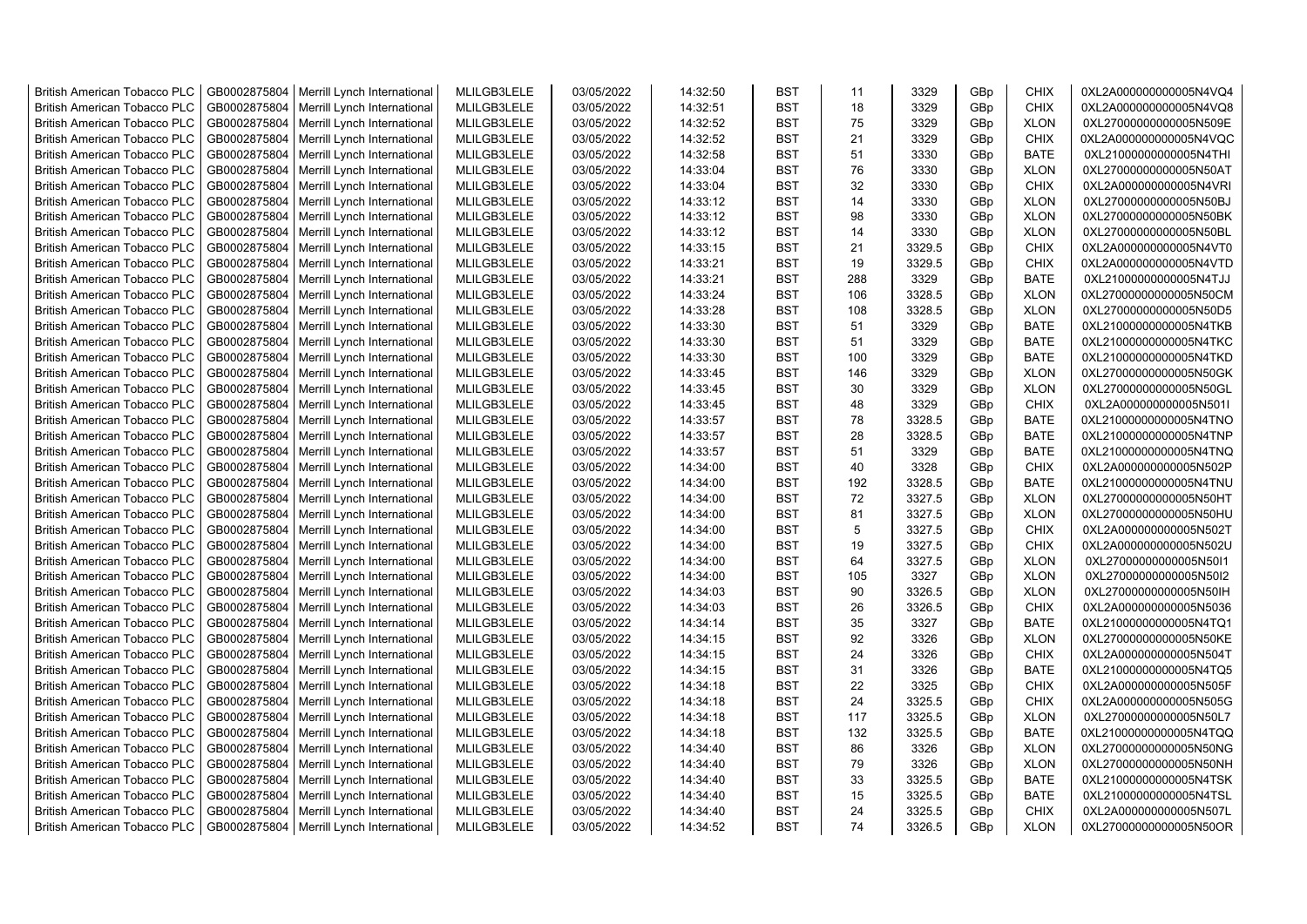| <b>British American Tobacco PLC</b> | GB0002875804 | Merrill Lynch International | MLILGB3LELE | 03/05/2022 | 14:32:50 | <b>BST</b> | 11  | 3329   | GBp             | <b>CHIX</b> | 0XL2A000000000005N4VQ4 |
|-------------------------------------|--------------|-----------------------------|-------------|------------|----------|------------|-----|--------|-----------------|-------------|------------------------|
| <b>British American Tobacco PLC</b> | GB0002875804 | Merrill Lynch International | MLILGB3LELE | 03/05/2022 | 14:32:51 | <b>BST</b> | 18  | 3329   | GBp             | <b>CHIX</b> | 0XL2A000000000005N4VQ8 |
| <b>British American Tobacco PLC</b> | GB0002875804 | Merrill Lynch International | MLILGB3LELE | 03/05/2022 | 14:32:52 | <b>BST</b> | 75  | 3329   | GBp             | <b>XLON</b> | 0XL27000000000005N509E |
| <b>British American Tobacco PLC</b> | GB0002875804 | Merrill Lynch International | MLILGB3LELE | 03/05/2022 | 14:32:52 | <b>BST</b> | 21  | 3329   | GBp             | <b>CHIX</b> | 0XL2A000000000005N4VQC |
| <b>British American Tobacco PLC</b> | GB0002875804 | Merrill Lynch International | MLILGB3LELE | 03/05/2022 | 14:32:58 | <b>BST</b> | 51  | 3330   | GBp             | <b>BATE</b> | 0XL21000000000005N4THI |
| <b>British American Tobacco PLC</b> | GB0002875804 | Merrill Lynch International | MLILGB3LELE | 03/05/2022 | 14:33:04 | <b>BST</b> | 76  | 3330   | GBp             | <b>XLON</b> | 0XL27000000000005N50AT |
| <b>British American Tobacco PLC</b> | GB0002875804 | Merrill Lynch International | MLILGB3LELE | 03/05/2022 | 14:33:04 | <b>BST</b> | 32  | 3330   | GBp             | <b>CHIX</b> | 0XL2A000000000005N4VRI |
| <b>British American Tobacco PLC</b> | GB0002875804 | Merrill Lynch International | MLILGB3LELE | 03/05/2022 | 14:33:12 | <b>BST</b> | 14  | 3330   | GBp             | <b>XLON</b> | 0XL27000000000005N50BJ |
| <b>British American Tobacco PLC</b> | GB0002875804 | Merrill Lynch International | MLILGB3LELE | 03/05/2022 | 14:33:12 | <b>BST</b> | 98  | 3330   | GBp             | <b>XLON</b> | 0XL27000000000005N50BK |
| <b>British American Tobacco PLC</b> | GB0002875804 | Merrill Lynch International | MLILGB3LELE | 03/05/2022 | 14:33:12 | <b>BST</b> | 14  | 3330   | GBp             | <b>XLON</b> | 0XL27000000000005N50BL |
| <b>British American Tobacco PLC</b> | GB0002875804 | Merrill Lynch International | MLILGB3LELE | 03/05/2022 | 14:33:15 | <b>BST</b> | 21  | 3329.5 | GBp             | <b>CHIX</b> | 0XL2A000000000005N4VT0 |
| <b>British American Tobacco PLC</b> | GB0002875804 | Merrill Lynch International | MLILGB3LELE | 03/05/2022 | 14:33:21 | <b>BST</b> | 19  | 3329.5 | GBp             | <b>CHIX</b> | 0XL2A000000000005N4VTD |
| <b>British American Tobacco PLC</b> | GB0002875804 | Merrill Lynch International | MLILGB3LELE | 03/05/2022 | 14:33:21 | <b>BST</b> | 288 | 3329   | GBp             | <b>BATE</b> | 0XL21000000000005N4TJJ |
| <b>British American Tobacco PLC</b> | GB0002875804 | Merrill Lynch International | MLILGB3LELE | 03/05/2022 | 14:33:24 | <b>BST</b> | 106 | 3328.5 | GBp             | <b>XLON</b> | 0XL27000000000005N50CM |
| <b>British American Tobacco PLC</b> | GB0002875804 | Merrill Lynch International | MLILGB3LELE | 03/05/2022 | 14:33:28 | <b>BST</b> | 108 | 3328.5 | GBp             | <b>XLON</b> | 0XL27000000000005N50D5 |
| <b>British American Tobacco PLC</b> | GB0002875804 | Merrill Lynch International | MLILGB3LELE | 03/05/2022 | 14:33:30 | <b>BST</b> | 51  | 3329   | GBp             | <b>BATE</b> | 0XL21000000000005N4TKB |
| <b>British American Tobacco PLC</b> | GB0002875804 | Merrill Lynch International | MLILGB3LELE | 03/05/2022 | 14:33:30 | <b>BST</b> | 51  | 3329   | GBp             | <b>BATE</b> | 0XL21000000000005N4TKC |
| <b>British American Tobacco PLC</b> | GB0002875804 | Merrill Lynch International | MLILGB3LELE | 03/05/2022 | 14:33:30 | <b>BST</b> | 100 | 3329   | GBp             | <b>BATE</b> | 0XL21000000000005N4TKD |
| <b>British American Tobacco PLC</b> | GB0002875804 | Merrill Lynch International | MLILGB3LELE | 03/05/2022 | 14:33:45 | <b>BST</b> | 146 | 3329   | GBp             | <b>XLON</b> | 0XL27000000000005N50GK |
| <b>British American Tobacco PLC</b> | GB0002875804 | Merrill Lynch International | MLILGB3LELE | 03/05/2022 | 14:33:45 | <b>BST</b> | 30  | 3329   | GBp             | <b>XLON</b> | 0XL27000000000005N50GL |
| <b>British American Tobacco PLC</b> | GB0002875804 | Merrill Lynch International | MLILGB3LELE | 03/05/2022 | 14:33:45 | <b>BST</b> | 48  | 3329   | GBp             | <b>CHIX</b> | 0XL2A000000000005N501I |
| <b>British American Tobacco PLC</b> | GB0002875804 | Merrill Lynch International | MLILGB3LELE | 03/05/2022 | 14:33:57 | <b>BST</b> | 78  | 3328.5 | GBp             | <b>BATE</b> | 0XL21000000000005N4TNO |
| British American Tobacco PLC        | GB0002875804 | Merrill Lynch International | MLILGB3LELE | 03/05/2022 | 14:33:57 | <b>BST</b> | 28  | 3328.5 | GBp             | <b>BATE</b> | 0XL21000000000005N4TNP |
| British American Tobacco PLC        | GB0002875804 | Merrill Lynch International | MLILGB3LELE | 03/05/2022 | 14:33:57 | <b>BST</b> | 51  | 3329   | GBp             | <b>BATE</b> | 0XL21000000000005N4TNQ |
| <b>British American Tobacco PLC</b> | GB0002875804 | Merrill Lynch International | MLILGB3LELE | 03/05/2022 | 14:34:00 | <b>BST</b> | 40  | 3328   | GBp             | <b>CHIX</b> | 0XL2A000000000005N502P |
| <b>British American Tobacco PLC</b> | GB0002875804 | Merrill Lynch International | MLILGB3LELE | 03/05/2022 | 14:34:00 | <b>BST</b> | 192 | 3328.5 | GBp             | BATE        | 0XL21000000000005N4TNU |
| <b>British American Tobacco PLC</b> | GB0002875804 | Merrill Lynch International | MLILGB3LELE | 03/05/2022 | 14:34:00 | <b>BST</b> | 72  | 3327.5 | GBp             | <b>XLON</b> | 0XL27000000000005N50HT |
| <b>British American Tobacco PLC</b> | GB0002875804 | Merrill Lynch International | MLILGB3LELE | 03/05/2022 | 14:34:00 | <b>BST</b> | 81  | 3327.5 | GBp             | <b>XLON</b> | 0XL27000000000005N50HU |
| <b>British American Tobacco PLC</b> | GB0002875804 | Merrill Lynch International | MLILGB3LELE | 03/05/2022 | 14:34:00 | BST        | 5   | 3327.5 | GBp             | <b>CHIX</b> | 0XL2A000000000005N502T |
| <b>British American Tobacco PLC</b> | GB0002875804 | Merrill Lynch International | MLILGB3LELE | 03/05/2022 | 14:34:00 | <b>BST</b> | 19  | 3327.5 | GBp             | <b>CHIX</b> | 0XL2A000000000005N502U |
| <b>British American Tobacco PLC</b> | GB0002875804 | Merrill Lynch International | MLILGB3LELE | 03/05/2022 | 14:34:00 | <b>BST</b> | 64  | 3327.5 | GBp             | <b>XLON</b> | 0XL27000000000005N50I1 |
| <b>British American Tobacco PLC</b> | GB0002875804 | Merrill Lynch International | MLILGB3LELE | 03/05/2022 | 14:34:00 | <b>BST</b> | 105 | 3327   | GBp             | <b>XLON</b> | 0XL27000000000005N50I2 |
| <b>British American Tobacco PLC</b> | GB0002875804 | Merrill Lynch International | MLILGB3LELE | 03/05/2022 | 14:34:03 | BST        | 90  | 3326.5 | GBp             | <b>XLON</b> | 0XL27000000000005N50IH |
| <b>British American Tobacco PLC</b> | GB0002875804 | Merrill Lynch International | MLILGB3LELE | 03/05/2022 | 14:34:03 | <b>BST</b> | 26  | 3326.5 | GBp             | <b>CHIX</b> | 0XL2A000000000005N5036 |
| <b>British American Tobacco PLC</b> | GB0002875804 | Merrill Lynch International | MLILGB3LELE | 03/05/2022 | 14:34:14 | <b>BST</b> | 35  | 3327   | GBp             | <b>BATE</b> | 0XL21000000000005N4TQ1 |
| <b>British American Tobacco PLC</b> | GB0002875804 | Merrill Lynch International | MLILGB3LELE | 03/05/2022 | 14:34:15 | <b>BST</b> | 92  | 3326   | GBp             | <b>XLON</b> | 0XL27000000000005N50KE |
| <b>British American Tobacco PLC</b> | GB0002875804 | Merrill Lynch International | MLILGB3LELE | 03/05/2022 | 14:34:15 | <b>BST</b> | 24  | 3326   | GBp             | <b>CHIX</b> | 0XL2A000000000005N504T |
| <b>British American Tobacco PLC</b> | GB0002875804 | Merrill Lynch International | MLILGB3LELE | 03/05/2022 | 14:34:15 | <b>BST</b> | 31  | 3326   | GBp             | BATE        | 0XL21000000000005N4TQ5 |
| <b>British American Tobacco PLC</b> | GB0002875804 | Merrill Lynch International | MLILGB3LELE | 03/05/2022 | 14:34:18 | <b>BST</b> | 22  | 3325   | GBp             | <b>CHIX</b> | 0XL2A000000000005N505F |
| <b>British American Tobacco PLC</b> | GB0002875804 | Merrill Lynch International | MLILGB3LELE | 03/05/2022 | 14:34:18 | <b>BST</b> | 24  | 3325.5 | GBp             | <b>CHIX</b> | 0XL2A000000000005N505G |
| <b>British American Tobacco PLC</b> | GB0002875804 | Merrill Lynch International | MLILGB3LELE | 03/05/2022 | 14:34:18 | <b>BST</b> | 117 | 3325.5 | GBp             | <b>XLON</b> | 0XL27000000000005N50L7 |
| <b>British American Tobacco PLC</b> | GB0002875804 | Merrill Lynch International | MLILGB3LELE | 03/05/2022 | 14:34:18 | <b>BST</b> | 132 | 3325.5 | GBp             | <b>BATE</b> | 0XL21000000000005N4TQQ |
| <b>British American Tobacco PLC</b> | GB0002875804 | Merrill Lynch International | MLILGB3LELE | 03/05/2022 | 14:34:40 | <b>BST</b> | 86  | 3326   | GBp             | <b>XLON</b> | 0XL27000000000005N50NG |
| <b>British American Tobacco PLC</b> | GB0002875804 | Merrill Lynch International | MLILGB3LELE | 03/05/2022 | 14:34:40 | <b>BST</b> | 79  | 3326   | GBp             | <b>XLON</b> | 0XL27000000000005N50NH |
| <b>British American Tobacco PLC</b> | GB0002875804 | Merrill Lynch International | MLILGB3LELE | 03/05/2022 | 14:34:40 | <b>BST</b> | 33  | 3325.5 | GBp             | <b>BATE</b> | 0XL21000000000005N4TSK |
| <b>British American Tobacco PLC</b> | GB0002875804 | Merrill Lynch International | MLILGB3LELE | 03/05/2022 | 14:34:40 | <b>BST</b> | 15  | 3325.5 | GBp             | <b>BATE</b> | 0XL21000000000005N4TSL |
| <b>British American Tobacco PLC</b> | GB0002875804 | Merrill Lynch International | MLILGB3LELE | 03/05/2022 | 14:34:40 | <b>BST</b> | 24  | 3325.5 | GBp             | <b>CHIX</b> | 0XL2A000000000005N507L |
| <b>British American Tobacco PLC</b> | GB0002875804 | Merrill Lynch International | MLILGB3LELE | 03/05/2022 | 14:34:52 | <b>BST</b> | 74  | 3326.5 | GB <sub>p</sub> | <b>XLON</b> | 0XL27000000000005N50OR |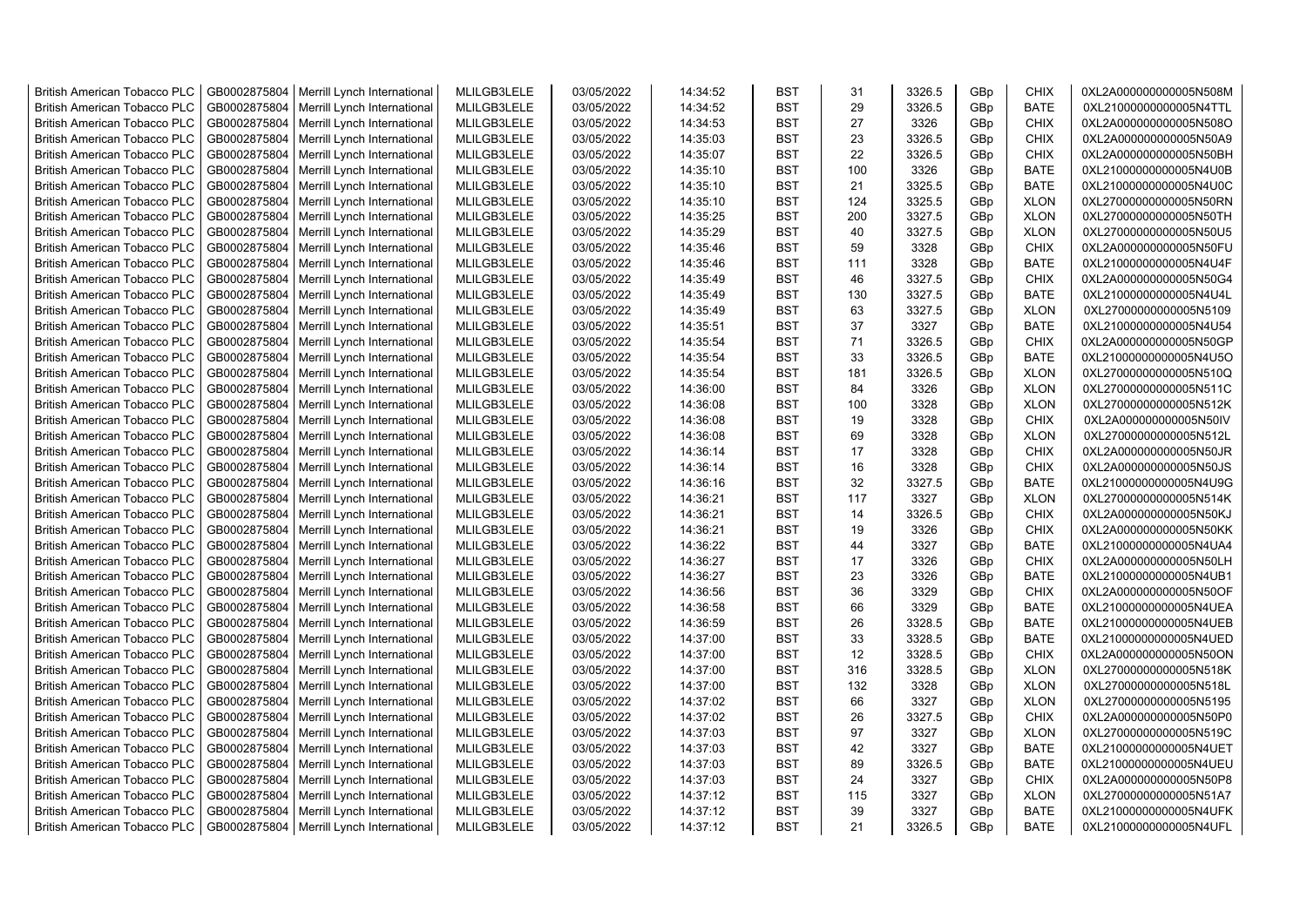| <b>British American Tobacco PLC</b> | GB0002875804 | Merrill Lynch International | MLILGB3LELE | 03/05/2022 | 14:34:52 | <b>BST</b> | 31  | 3326.5 | GBp             | <b>CHIX</b> | 0XL2A000000000005N508M |
|-------------------------------------|--------------|-----------------------------|-------------|------------|----------|------------|-----|--------|-----------------|-------------|------------------------|
| <b>British American Tobacco PLC</b> | GB0002875804 | Merrill Lynch International | MLILGB3LELE | 03/05/2022 | 14:34:52 | <b>BST</b> | 29  | 3326.5 | GBp             | <b>BATE</b> | 0XL21000000000005N4TTL |
| <b>British American Tobacco PLC</b> | GB0002875804 | Merrill Lynch International | MLILGB3LELE | 03/05/2022 | 14:34:53 | <b>BST</b> | 27  | 3326   | GBp             | <b>CHIX</b> | 0XL2A000000000005N508O |
| <b>British American Tobacco PLC</b> | GB0002875804 | Merrill Lynch International | MLILGB3LELE | 03/05/2022 | 14:35:03 | <b>BST</b> | 23  | 3326.5 | GBp             | <b>CHIX</b> | 0XL2A000000000005N50A9 |
| <b>British American Tobacco PLC</b> | GB0002875804 | Merrill Lynch International | MLILGB3LELE | 03/05/2022 | 14:35:07 | <b>BST</b> | 22  | 3326.5 | GBp             | <b>CHIX</b> | 0XL2A000000000005N50BH |
| <b>British American Tobacco PLC</b> | GB0002875804 | Merrill Lynch International | MLILGB3LELE | 03/05/2022 | 14:35:10 | <b>BST</b> | 100 | 3326   | GBp             | <b>BATE</b> | 0XL21000000000005N4U0B |
| <b>British American Tobacco PLC</b> | GB0002875804 | Merrill Lynch International | MLILGB3LELE | 03/05/2022 | 14:35:10 | <b>BST</b> | 21  | 3325.5 | GBp             | <b>BATE</b> | 0XL21000000000005N4U0C |
| <b>British American Tobacco PLC</b> | GB0002875804 | Merrill Lynch International | MLILGB3LELE | 03/05/2022 | 14:35:10 | <b>BST</b> | 124 | 3325.5 | GBp             | <b>XLON</b> | 0XL27000000000005N50RN |
| <b>British American Tobacco PLC</b> | GB0002875804 | Merrill Lynch International | MLILGB3LELE | 03/05/2022 | 14:35:25 | BST        | 200 | 3327.5 | GBp             | <b>XLON</b> | 0XL27000000000005N50TH |
| <b>British American Tobacco PLC</b> | GB0002875804 | Merrill Lynch International | MLILGB3LELE | 03/05/2022 | 14:35:29 | <b>BST</b> | 40  | 3327.5 | GBp             | <b>XLON</b> | 0XL27000000000005N50U5 |
| <b>British American Tobacco PLC</b> | GB0002875804 | Merrill Lynch International | MLILGB3LELE | 03/05/2022 | 14:35:46 | <b>BST</b> | 59  | 3328   | GBp             | <b>CHIX</b> | 0XL2A000000000005N50FU |
| <b>British American Tobacco PLC</b> | GB0002875804 | Merrill Lynch International | MLILGB3LELE | 03/05/2022 | 14:35:46 | <b>BST</b> | 111 | 3328   | GBp             | <b>BATE</b> | 0XL21000000000005N4U4F |
| <b>British American Tobacco PLC</b> | GB0002875804 | Merrill Lynch International | MLILGB3LELE | 03/05/2022 | 14:35:49 | <b>BST</b> | 46  | 3327.5 | GBp             | <b>CHIX</b> | 0XL2A000000000005N50G4 |
| <b>British American Tobacco PLC</b> | GB0002875804 | Merrill Lynch International | MLILGB3LELE | 03/05/2022 | 14:35:49 | <b>BST</b> | 130 | 3327.5 | GBp             | <b>BATE</b> | 0XL21000000000005N4U4L |
| <b>British American Tobacco PLC</b> | GB0002875804 | Merrill Lynch International | MLILGB3LELE | 03/05/2022 | 14:35:49 | <b>BST</b> | 63  | 3327.5 | GBp             | <b>XLON</b> | 0XL27000000000005N5109 |
| <b>British American Tobacco PLC</b> | GB0002875804 | Merrill Lynch International | MLILGB3LELE | 03/05/2022 | 14:35:51 | <b>BST</b> | 37  | 3327   | GBp             | <b>BATE</b> | 0XL21000000000005N4U54 |
| <b>British American Tobacco PLC</b> | GB0002875804 | Merrill Lynch International | MLILGB3LELE | 03/05/2022 | 14:35:54 | <b>BST</b> | 71  | 3326.5 | GBp             | <b>CHIX</b> | 0XL2A000000000005N50GP |
| <b>British American Tobacco PLC</b> | GB0002875804 | Merrill Lynch International | MLILGB3LELE | 03/05/2022 | 14:35:54 | <b>BST</b> | 33  | 3326.5 | GBp             | <b>BATE</b> | 0XL21000000000005N4U5O |
| <b>British American Tobacco PLC</b> | GB0002875804 | Merrill Lynch International | MLILGB3LELE | 03/05/2022 | 14:35:54 | <b>BST</b> | 181 | 3326.5 | GBp             | <b>XLON</b> | 0XL27000000000005N510Q |
| <b>British American Tobacco PLC</b> | GB0002875804 | Merrill Lynch International | MLILGB3LELE | 03/05/2022 | 14:36:00 | <b>BST</b> | 84  | 3326   | GBp             | <b>XLON</b> | 0XL27000000000005N511C |
| <b>British American Tobacco PLC</b> | GB0002875804 | Merrill Lynch International | MLILGB3LELE | 03/05/2022 | 14:36:08 | <b>BST</b> | 100 | 3328   | GBp             | <b>XLON</b> | 0XL27000000000005N512K |
| <b>British American Tobacco PLC</b> | GB0002875804 | Merrill Lynch International | MLILGB3LELE | 03/05/2022 | 14:36:08 | <b>BST</b> | 19  | 3328   | GBp             | <b>CHIX</b> | 0XL2A000000000005N50IV |
| <b>British American Tobacco PLC</b> | GB0002875804 | Merrill Lynch International | MLILGB3LELE | 03/05/2022 | 14:36:08 | <b>BST</b> | 69  | 3328   | GBp             | <b>XLON</b> | 0XL27000000000005N512L |
| <b>British American Tobacco PLC</b> | GB0002875804 | Merrill Lynch International | MLILGB3LELE | 03/05/2022 | 14:36:14 | BST        | 17  | 3328   | GBp             | <b>CHIX</b> | 0XL2A000000000005N50JR |
| <b>British American Tobacco PLC</b> | GB0002875804 | Merrill Lynch International | MLILGB3LELE | 03/05/2022 | 14:36:14 | <b>BST</b> | 16  | 3328   | GBp             | <b>CHIX</b> | 0XL2A000000000005N50JS |
| British American Tobacco PLC        | GB0002875804 | Merrill Lynch International | MLILGB3LELE | 03/05/2022 | 14:36:16 | <b>BST</b> | 32  | 3327.5 | GBp             | BATE        | 0XL21000000000005N4U9G |
| <b>British American Tobacco PLC</b> | GB0002875804 | Merrill Lynch International | MLILGB3LELE | 03/05/2022 | 14:36:21 | <b>BST</b> | 117 | 3327   | GBp             | <b>XLON</b> | 0XL27000000000005N514K |
| British American Tobacco PLC        | GB0002875804 | Merrill Lynch International | MLILGB3LELE | 03/05/2022 | 14:36:21 | <b>BST</b> | 14  | 3326.5 | GBp             | <b>CHIX</b> | 0XL2A000000000005N50KJ |
| <b>British American Tobacco PLC</b> | GB0002875804 | Merrill Lynch International | MLILGB3LELE | 03/05/2022 | 14:36:21 | <b>BST</b> | 19  | 3326   | GBp             | <b>CHIX</b> | 0XL2A000000000005N50KK |
| <b>British American Tobacco PLC</b> | GB0002875804 | Merrill Lynch International | MLILGB3LELE | 03/05/2022 | 14:36:22 | <b>BST</b> | 44  | 3327   | GBp             | <b>BATE</b> | 0XL21000000000005N4UA4 |
| <b>British American Tobacco PLC</b> | GB0002875804 | Merrill Lynch International | MLILGB3LELE | 03/05/2022 | 14:36:27 | <b>BST</b> | 17  | 3326   | GBp             | <b>CHIX</b> | 0XL2A000000000005N50LH |
| <b>British American Tobacco PLC</b> | GB0002875804 | Merrill Lynch International | MLILGB3LELE | 03/05/2022 | 14:36:27 | <b>BST</b> | 23  | 3326   | GBp             | <b>BATE</b> | 0XL21000000000005N4UB1 |
| <b>British American Tobacco PLC</b> | GB0002875804 | Merrill Lynch International | MLILGB3LELE | 03/05/2022 | 14:36:56 | <b>BST</b> | 36  | 3329   | GBp             | <b>CHIX</b> | 0XL2A000000000005N50OF |
| <b>British American Tobacco PLC</b> | GB0002875804 | Merrill Lynch International | MLILGB3LELE | 03/05/2022 | 14:36:58 | <b>BST</b> | 66  | 3329   | GBp             | <b>BATE</b> | 0XL21000000000005N4UEA |
| <b>British American Tobacco PLC</b> | GB0002875804 | Merrill Lynch International | MLILGB3LELE | 03/05/2022 | 14:36:59 | <b>BST</b> | 26  | 3328.5 | GBp             | <b>BATE</b> | 0XL21000000000005N4UEB |
| <b>British American Tobacco PLC</b> | GB0002875804 | Merrill Lynch International | MLILGB3LELE | 03/05/2022 | 14:37:00 | <b>BST</b> | 33  | 3328.5 | GBp             | <b>BATE</b> | 0XL21000000000005N4UED |
| <b>British American Tobacco PLC</b> | GB0002875804 | Merrill Lynch International | MLILGB3LELE | 03/05/2022 | 14:37:00 | <b>BST</b> | 12  | 3328.5 | GBp             | <b>CHIX</b> | 0XL2A000000000005N50ON |
| <b>British American Tobacco PLC</b> | GB0002875804 | Merrill Lynch International | MLILGB3LELE | 03/05/2022 | 14:37:00 | <b>BST</b> | 316 | 3328.5 | GBp             | <b>XLON</b> | 0XL27000000000005N518K |
| <b>British American Tobacco PLC</b> | GB0002875804 | Merrill Lynch International | MLILGB3LELE | 03/05/2022 | 14:37:00 | <b>BST</b> | 132 | 3328   | GBp             | <b>XLON</b> | 0XL27000000000005N518L |
| <b>British American Tobacco PLC</b> | GB0002875804 | Merrill Lynch International | MLILGB3LELE | 03/05/2022 | 14:37:02 | <b>BST</b> | 66  | 3327   | GBp             | <b>XLON</b> | 0XL27000000000005N5195 |
| <b>British American Tobacco PLC</b> | GB0002875804 | Merrill Lynch International | MLILGB3LELE | 03/05/2022 | 14:37:02 | <b>BST</b> | 26  | 3327.5 | GBp             | <b>CHIX</b> | 0XL2A000000000005N50P0 |
| <b>British American Tobacco PLC</b> | GB0002875804 | Merrill Lynch International | MLILGB3LELE | 03/05/2022 | 14:37:03 | <b>BST</b> | 97  | 3327   | GBp             | <b>XLON</b> | 0XL27000000000005N519C |
| <b>British American Tobacco PLC</b> | GB0002875804 | Merrill Lynch International | MLILGB3LELE | 03/05/2022 | 14:37:03 | <b>BST</b> | 42  | 3327   | GBp             | <b>BATE</b> | 0XL21000000000005N4UET |
| <b>British American Tobacco PLC</b> | GB0002875804 | Merrill Lynch International | MLILGB3LELE | 03/05/2022 | 14:37:03 | <b>BST</b> | 89  | 3326.5 | GBp             | <b>BATE</b> | 0XL21000000000005N4UEU |
| <b>British American Tobacco PLC</b> | GB0002875804 | Merrill Lynch International | MLILGB3LELE | 03/05/2022 | 14:37:03 | <b>BST</b> | 24  | 3327   | GBp             | <b>CHIX</b> | 0XL2A000000000005N50P8 |
| <b>British American Tobacco PLC</b> | GB0002875804 | Merrill Lynch International | MLILGB3LELE | 03/05/2022 | 14:37:12 | <b>BST</b> | 115 | 3327   | GBp             | <b>XLON</b> | 0XL27000000000005N51A7 |
| <b>British American Tobacco PLC</b> | GB0002875804 | Merrill Lynch International | MLILGB3LELE | 03/05/2022 | 14:37:12 | <b>BST</b> | 39  | 3327   | GBp             | <b>BATE</b> | 0XL21000000000005N4UFK |
| <b>British American Tobacco PLC</b> | GB0002875804 | Merrill Lynch International | MLILGB3LELE | 03/05/2022 | 14:37:12 | <b>BST</b> | 21  | 3326.5 | GB <sub>p</sub> | <b>BATE</b> | 0XL21000000000005N4UFL |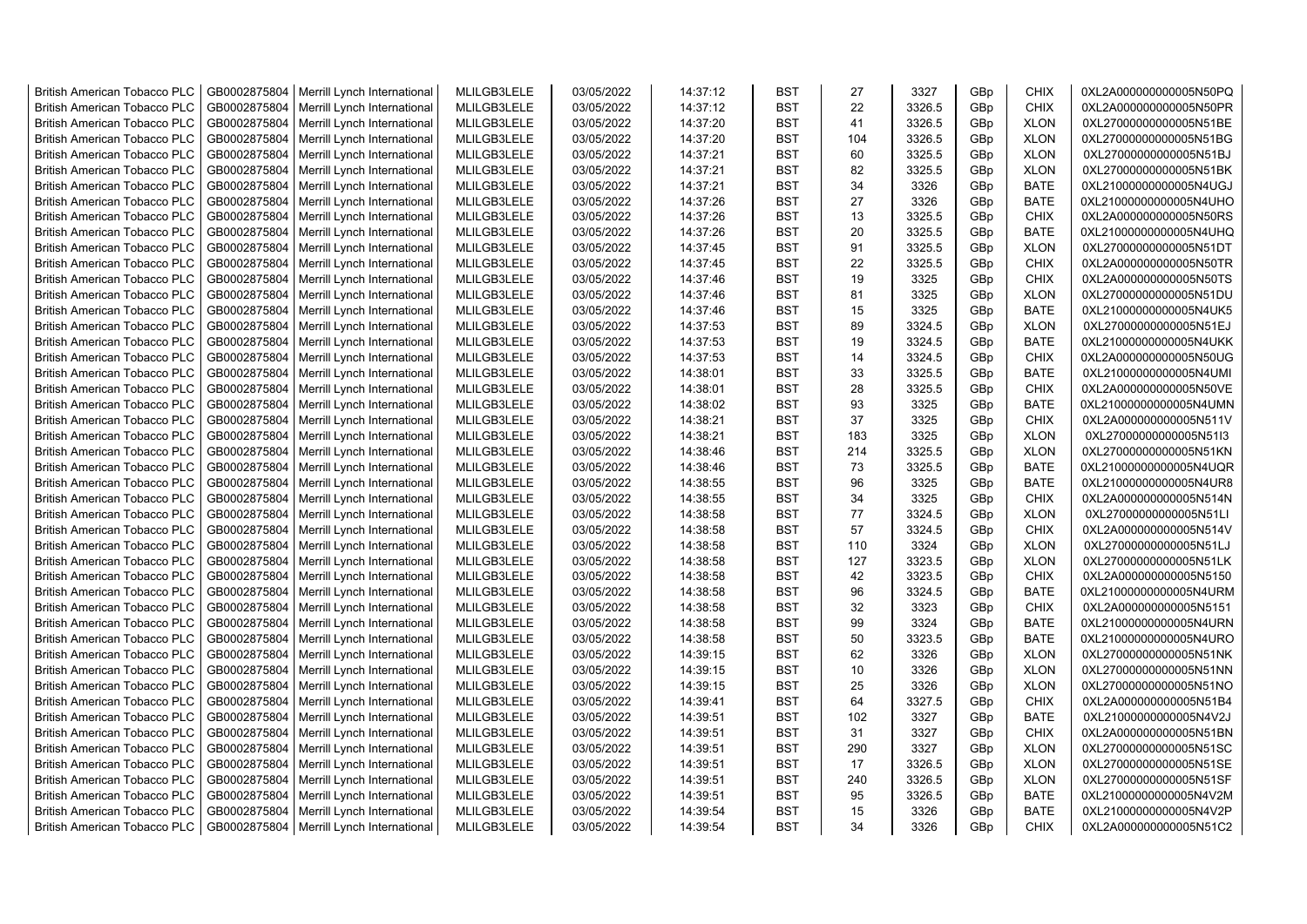| <b>British American Tobacco PLC</b> | GB0002875804 | Merrill Lynch International | MLILGB3LELE | 03/05/2022 | 14:37:12 | <b>BST</b> | 27  | 3327   | GBp             | <b>CHIX</b> | 0XL2A000000000005N50PQ |
|-------------------------------------|--------------|-----------------------------|-------------|------------|----------|------------|-----|--------|-----------------|-------------|------------------------|
| <b>British American Tobacco PLC</b> | GB0002875804 | Merrill Lynch International | MLILGB3LELE | 03/05/2022 | 14:37:12 | <b>BST</b> | 22  | 3326.5 | GBp             | <b>CHIX</b> | 0XL2A000000000005N50PR |
| <b>British American Tobacco PLC</b> | GB0002875804 | Merrill Lynch International | MLILGB3LELE | 03/05/2022 | 14:37:20 | <b>BST</b> | 41  | 3326.5 | GBp             | <b>XLON</b> | 0XL27000000000005N51BE |
| <b>British American Tobacco PLC</b> | GB0002875804 | Merrill Lynch International | MLILGB3LELE | 03/05/2022 | 14:37:20 | <b>BST</b> | 104 | 3326.5 | GBp             | <b>XLON</b> | 0XL27000000000005N51BG |
| <b>British American Tobacco PLC</b> | GB0002875804 | Merrill Lynch International | MLILGB3LELE | 03/05/2022 | 14:37:21 | <b>BST</b> | 60  | 3325.5 | GBp             | <b>XLON</b> | 0XL27000000000005N51BJ |
| <b>British American Tobacco PLC</b> | GB0002875804 | Merrill Lynch International | MLILGB3LELE | 03/05/2022 | 14:37:21 | <b>BST</b> | 82  | 3325.5 | GBp             | <b>XLON</b> | 0XL27000000000005N51BK |
| <b>British American Tobacco PLC</b> | GB0002875804 | Merrill Lynch International | MLILGB3LELE | 03/05/2022 | 14:37:21 | <b>BST</b> | 34  | 3326   | GBp             | <b>BATE</b> | 0XL21000000000005N4UGJ |
| <b>British American Tobacco PLC</b> | GB0002875804 | Merrill Lynch International | MLILGB3LELE | 03/05/2022 | 14:37:26 | <b>BST</b> | 27  | 3326   | GBp             | <b>BATE</b> | 0XL21000000000005N4UHO |
| <b>British American Tobacco PLC</b> | GB0002875804 | Merrill Lynch International | MLILGB3LELE | 03/05/2022 | 14:37:26 | <b>BST</b> | 13  | 3325.5 | GBp             | <b>CHIX</b> | 0XL2A000000000005N50RS |
| <b>British American Tobacco PLC</b> | GB0002875804 | Merrill Lynch International | MLILGB3LELE | 03/05/2022 | 14:37:26 | <b>BST</b> | 20  | 3325.5 | GBp             | <b>BATE</b> | 0XL21000000000005N4UHQ |
| <b>British American Tobacco PLC</b> | GB0002875804 | Merrill Lynch International | MLILGB3LELE | 03/05/2022 | 14:37:45 | <b>BST</b> | 91  | 3325.5 | GBp             | <b>XLON</b> | 0XL27000000000005N51DT |
| <b>British American Tobacco PLC</b> | GB0002875804 | Merrill Lynch International | MLILGB3LELE | 03/05/2022 | 14:37:45 | <b>BST</b> | 22  | 3325.5 | GBp             | <b>CHIX</b> | 0XL2A000000000005N50TR |
| <b>British American Tobacco PLC</b> | GB0002875804 | Merrill Lynch International | MLILGB3LELE | 03/05/2022 | 14:37:46 | <b>BST</b> | 19  | 3325   | GBp             | <b>CHIX</b> | 0XL2A000000000005N50TS |
| <b>British American Tobacco PLC</b> | GB0002875804 | Merrill Lynch International | MLILGB3LELE | 03/05/2022 | 14:37:46 | <b>BST</b> | 81  | 3325   | GBp             | <b>XLON</b> | 0XL27000000000005N51DU |
| <b>British American Tobacco PLC</b> | GB0002875804 | Merrill Lynch International | MLILGB3LELE | 03/05/2022 | 14:37:46 | <b>BST</b> | 15  | 3325   | GBp             | <b>BATE</b> | 0XL21000000000005N4UK5 |
| <b>British American Tobacco PLC</b> | GB0002875804 | Merrill Lynch International | MLILGB3LELE | 03/05/2022 | 14:37:53 | <b>BST</b> | 89  | 3324.5 | GBp             | <b>XLON</b> | 0XL27000000000005N51EJ |
| <b>British American Tobacco PLC</b> | GB0002875804 | Merrill Lynch International | MLILGB3LELE | 03/05/2022 | 14:37:53 | <b>BST</b> | 19  | 3324.5 | GBp             | <b>BATE</b> | 0XL21000000000005N4UKK |
| <b>British American Tobacco PLC</b> | GB0002875804 | Merrill Lynch International | MLILGB3LELE | 03/05/2022 | 14:37:53 | <b>BST</b> | 14  | 3324.5 | GBp             | <b>CHIX</b> | 0XL2A000000000005N50UG |
| <b>British American Tobacco PLC</b> | GB0002875804 | Merrill Lynch International | MLILGB3LELE | 03/05/2022 | 14:38:01 | <b>BST</b> | 33  | 3325.5 | GBp             | <b>BATE</b> | 0XL21000000000005N4UMI |
| <b>British American Tobacco PLC</b> | GB0002875804 | Merrill Lynch International | MLILGB3LELE | 03/05/2022 | 14:38:01 | <b>BST</b> | 28  | 3325.5 | GBp             | <b>CHIX</b> | 0XL2A000000000005N50VE |
| <b>British American Tobacco PLC</b> | GB0002875804 | Merrill Lynch International | MLILGB3LELE | 03/05/2022 | 14:38:02 | <b>BST</b> | 93  | 3325   | GBp             | <b>BATE</b> | 0XL21000000000005N4UMN |
| <b>British American Tobacco PLC</b> | GB0002875804 | Merrill Lynch International | MLILGB3LELE | 03/05/2022 | 14:38:21 | <b>BST</b> | 37  | 3325   | GBp             | <b>CHIX</b> | 0XL2A000000000005N511V |
| <b>British American Tobacco PLC</b> | GB0002875804 | Merrill Lynch International | MLILGB3LELE | 03/05/2022 | 14:38:21 | <b>BST</b> | 183 | 3325   | GBp             | <b>XLON</b> | 0XL27000000000005N51I3 |
| <b>British American Tobacco PLC</b> | GB0002875804 | Merrill Lynch International | MLILGB3LELE | 03/05/2022 | 14:38:46 | <b>BST</b> | 214 | 3325.5 | GBp             | <b>XLON</b> | 0XL27000000000005N51KN |
| <b>British American Tobacco PLC</b> | GB0002875804 | Merrill Lynch International | MLILGB3LELE | 03/05/2022 | 14:38:46 | <b>BST</b> | 73  | 3325.5 | GBp             | <b>BATE</b> | 0XL21000000000005N4UQR |
| <b>British American Tobacco PLC</b> | GB0002875804 | Merrill Lynch International | MLILGB3LELE | 03/05/2022 | 14:38:55 | <b>BST</b> | 96  | 3325   | GBp             | BATE        | 0XL21000000000005N4UR8 |
| <b>British American Tobacco PLC</b> | GB0002875804 | Merrill Lynch International | MLILGB3LELE | 03/05/2022 | 14:38:55 | <b>BST</b> | 34  | 3325   | GBp             | <b>CHIX</b> | 0XL2A000000000005N514N |
| <b>British American Tobacco PLC</b> | GB0002875804 | Merrill Lynch International | MLILGB3LELE | 03/05/2022 | 14:38:58 | <b>BST</b> | 77  | 3324.5 | GBp             | <b>XLON</b> | 0XL27000000000005N51LI |
| <b>British American Tobacco PLC</b> | GB0002875804 | Merrill Lynch International | MLILGB3LELE | 03/05/2022 | 14:38:58 | <b>BST</b> | 57  | 3324.5 | GBp             | <b>CHIX</b> | 0XL2A000000000005N514V |
| <b>British American Tobacco PLC</b> | GB0002875804 | Merrill Lynch International | MLILGB3LELE | 03/05/2022 | 14:38:58 | <b>BST</b> | 110 | 3324   | GBp             | <b>XLON</b> | 0XL27000000000005N51LJ |
| <b>British American Tobacco PLC</b> | GB0002875804 | Merrill Lynch International | MLILGB3LELE | 03/05/2022 | 14:38:58 | <b>BST</b> | 127 | 3323.5 | GBp             | <b>XLON</b> | 0XL27000000000005N51LK |
| <b>British American Tobacco PLC</b> | GB0002875804 | Merrill Lynch International | MLILGB3LELE | 03/05/2022 | 14:38:58 | <b>BST</b> | 42  | 3323.5 | GBp             | <b>CHIX</b> | 0XL2A000000000005N5150 |
| <b>British American Tobacco PLC</b> | GB0002875804 | Merrill Lynch International | MLILGB3LELE | 03/05/2022 | 14:38:58 | BST        | 96  | 3324.5 | GBp             | BATE        | 0XL21000000000005N4URM |
| <b>British American Tobacco PLC</b> | GB0002875804 | Merrill Lynch International | MLILGB3LELE | 03/05/2022 | 14:38:58 | <b>BST</b> | 32  | 3323   | GBp             | <b>CHIX</b> | 0XL2A000000000005N5151 |
| <b>British American Tobacco PLC</b> | GB0002875804 | Merrill Lynch International | MLILGB3LELE | 03/05/2022 | 14:38:58 | <b>BST</b> | 99  | 3324   | GBp             | <b>BATE</b> | 0XL21000000000005N4URN |
| <b>British American Tobacco PLC</b> | GB0002875804 | Merrill Lynch International | MLILGB3LELE | 03/05/2022 | 14:38:58 | <b>BST</b> | 50  | 3323.5 | GBp             | <b>BATE</b> | 0XL21000000000005N4URO |
| <b>British American Tobacco PLC</b> | GB0002875804 | Merrill Lynch International | MLILGB3LELE | 03/05/2022 | 14:39:15 | <b>BST</b> | 62  | 3326   | GBp             | <b>XLON</b> | 0XL27000000000005N51NK |
| <b>British American Tobacco PLC</b> | GB0002875804 | Merrill Lynch International | MLILGB3LELE | 03/05/2022 | 14:39:15 | <b>BST</b> | 10  | 3326   | GBp             | <b>XLON</b> | 0XL27000000000005N51NN |
| <b>British American Tobacco PLC</b> | GB0002875804 | Merrill Lynch International | MLILGB3LELE | 03/05/2022 | 14:39:15 | <b>BST</b> | 25  | 3326   | GBp             | <b>XLON</b> | 0XL27000000000005N51NO |
| <b>British American Tobacco PLC</b> | GB0002875804 | Merrill Lynch International | MLILGB3LELE | 03/05/2022 | 14:39:41 | <b>BST</b> | 64  | 3327.5 | GBp             | <b>CHIX</b> | 0XL2A000000000005N51B4 |
| <b>British American Tobacco PLC</b> | GB0002875804 | Merrill Lynch International | MLILGB3LELE | 03/05/2022 | 14:39:51 | <b>BST</b> | 102 | 3327   | GBp             | <b>BATE</b> | 0XL21000000000005N4V2J |
| <b>British American Tobacco PLC</b> | GB0002875804 | Merrill Lynch International | MLILGB3LELE | 03/05/2022 | 14:39:51 | <b>BST</b> | 31  | 3327   | GBp             | <b>CHIX</b> | 0XL2A000000000005N51BN |
| <b>British American Tobacco PLC</b> | GB0002875804 | Merrill Lynch International | MLILGB3LELE | 03/05/2022 | 14:39:51 | <b>BST</b> | 290 | 3327   | GBp             | <b>XLON</b> | 0XL27000000000005N51SC |
| <b>British American Tobacco PLC</b> | GB0002875804 | Merrill Lynch International | MLILGB3LELE | 03/05/2022 | 14:39:51 | <b>BST</b> | 17  | 3326.5 | GBp             | <b>XLON</b> | 0XL27000000000005N51SE |
| <b>British American Tobacco PLC</b> | GB0002875804 | Merrill Lynch International | MLILGB3LELE | 03/05/2022 | 14:39:51 | <b>BST</b> | 240 | 3326.5 | GBp             | <b>XLON</b> | 0XL27000000000005N51SF |
| <b>British American Tobacco PLC</b> | GB0002875804 | Merrill Lynch International | MLILGB3LELE | 03/05/2022 | 14:39:51 | <b>BST</b> | 95  | 3326.5 | GBp             | <b>BATE</b> | 0XL21000000000005N4V2M |
| <b>British American Tobacco PLC</b> | GB0002875804 | Merrill Lynch International | MLILGB3LELE | 03/05/2022 | 14:39:54 | <b>BST</b> | 15  | 3326   | GBp             | <b>BATE</b> | 0XL21000000000005N4V2P |
| <b>British American Tobacco PLC</b> | GB0002875804 | Merrill Lynch International | MLILGB3LELE | 03/05/2022 | 14:39:54 | <b>BST</b> | 34  | 3326   | GB <sub>p</sub> | <b>CHIX</b> | 0XL2A000000000005N51C2 |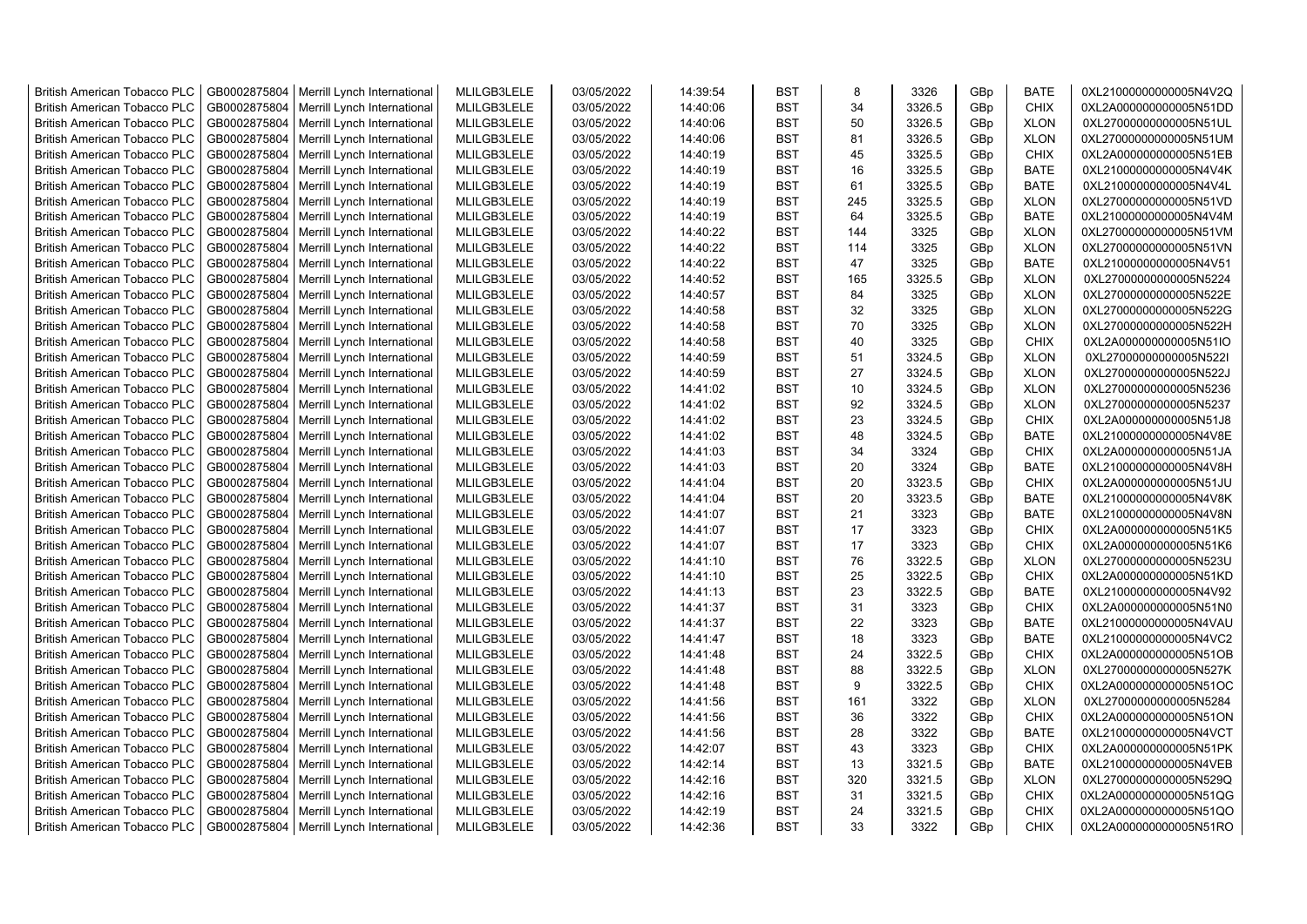| <b>British American Tobacco PLC</b> | GB0002875804 | Merrill Lynch International                | MLILGB3LELE | 03/05/2022 | 14:39:54 | <b>BST</b> | 8   | 3326   | GBp | <b>BATE</b> | 0XL21000000000005N4V2Q |
|-------------------------------------|--------------|--------------------------------------------|-------------|------------|----------|------------|-----|--------|-----|-------------|------------------------|
| <b>British American Tobacco PLC</b> | GB0002875804 | Merrill Lynch International                | MLILGB3LELE | 03/05/2022 | 14:40:06 | <b>BST</b> | 34  | 3326.5 | GBp | <b>CHIX</b> | 0XL2A000000000005N51DD |
| <b>British American Tobacco PLC</b> | GB0002875804 | Merrill Lynch International                | MLILGB3LELE | 03/05/2022 | 14:40:06 | <b>BST</b> | 50  | 3326.5 | GBp | <b>XLON</b> | 0XL27000000000005N51UL |
| <b>British American Tobacco PLC</b> | GB0002875804 | Merrill Lynch International                | MLILGB3LELE | 03/05/2022 | 14:40:06 | <b>BST</b> | 81  | 3326.5 | GBp | <b>XLON</b> | 0XL27000000000005N51UM |
| <b>British American Tobacco PLC</b> | GB0002875804 | Merrill Lynch International                | MLILGB3LELE | 03/05/2022 | 14:40:19 | <b>BST</b> | 45  | 3325.5 | GBp | <b>CHIX</b> | 0XL2A000000000005N51EB |
| <b>British American Tobacco PLC</b> | GB0002875804 | Merrill Lynch International                | MLILGB3LELE | 03/05/2022 | 14:40:19 | <b>BST</b> | 16  | 3325.5 | GBp | <b>BATE</b> | 0XL21000000000005N4V4K |
| <b>British American Tobacco PLC</b> | GB0002875804 | Merrill Lynch International                | MLILGB3LELE | 03/05/2022 | 14:40:19 | <b>BST</b> | 61  | 3325.5 | GBp | <b>BATE</b> | 0XL21000000000005N4V4L |
| <b>British American Tobacco PLC</b> | GB0002875804 | Merrill Lynch International                | MLILGB3LELE | 03/05/2022 | 14:40:19 | BST        | 245 | 3325.5 | GBp | <b>XLON</b> | 0XL27000000000005N51VD |
| <b>British American Tobacco PLC</b> | GB0002875804 | Merrill Lynch International                | MLILGB3LELE | 03/05/2022 | 14:40:19 | <b>BST</b> | 64  | 3325.5 | GBp | <b>BATE</b> | 0XL21000000000005N4V4M |
| <b>British American Tobacco PLC</b> | GB0002875804 | Merrill Lynch International                | MLILGB3LELE | 03/05/2022 | 14:40:22 | <b>BST</b> | 144 | 3325   | GBp | <b>XLON</b> | 0XL27000000000005N51VM |
| <b>British American Tobacco PLC</b> | GB0002875804 | Merrill Lynch International                | MLILGB3LELE | 03/05/2022 | 14:40:22 | <b>BST</b> | 114 | 3325   | GBp | <b>XLON</b> | 0XL27000000000005N51VN |
| <b>British American Tobacco PLC</b> | GB0002875804 | Merrill Lynch International                | MLILGB3LELE | 03/05/2022 | 14:40:22 | <b>BST</b> | 47  | 3325   | GBp | <b>BATE</b> | 0XL21000000000005N4V51 |
| <b>British American Tobacco PLC</b> | GB0002875804 | Merrill Lynch International                | MLILGB3LELE | 03/05/2022 | 14:40:52 | <b>BST</b> | 165 | 3325.5 | GBp | <b>XLON</b> | 0XL27000000000005N5224 |
| <b>British American Tobacco PLC</b> | GB0002875804 | Merrill Lynch International                | MLILGB3LELE | 03/05/2022 | 14:40:57 | <b>BST</b> | 84  | 3325   | GBp | <b>XLON</b> | 0XL27000000000005N522E |
| <b>British American Tobacco PLC</b> | GB0002875804 | Merrill Lynch International                | MLILGB3LELE | 03/05/2022 | 14:40:58 | <b>BST</b> | 32  | 3325   | GBp | <b>XLON</b> | 0XL27000000000005N522G |
| <b>British American Tobacco PLC</b> | GB0002875804 | Merrill Lynch International                | MLILGB3LELE | 03/05/2022 | 14:40:58 | <b>BST</b> | 70  | 3325   | GBp | <b>XLON</b> | 0XL27000000000005N522H |
| <b>British American Tobacco PLC</b> | GB0002875804 | Merrill Lynch International                | MLILGB3LELE | 03/05/2022 | 14:40:58 | <b>BST</b> | 40  | 3325   | GBp | <b>CHIX</b> | 0XL2A000000000005N51IO |
| <b>British American Tobacco PLC</b> | GB0002875804 | Merrill Lynch International                | MLILGB3LELE | 03/05/2022 | 14:40:59 | <b>BST</b> | 51  | 3324.5 | GBp | <b>XLON</b> | 0XL27000000000005N522I |
| <b>British American Tobacco PLC</b> | GB0002875804 | Merrill Lynch International                | MLILGB3LELE | 03/05/2022 | 14:40:59 | <b>BST</b> | 27  | 3324.5 | GBp | <b>XLON</b> | 0XL27000000000005N522J |
| <b>British American Tobacco PLC</b> | GB0002875804 | Merrill Lynch International                | MLILGB3LELE | 03/05/2022 | 14:41:02 | BST        | 10  | 3324.5 | GBp | <b>XLON</b> | 0XL27000000000005N5236 |
| <b>British American Tobacco PLC</b> | GB0002875804 | Merrill Lynch International                | MLILGB3LELE | 03/05/2022 | 14:41:02 | <b>BST</b> | 92  | 3324.5 | GBp | <b>XLON</b> | 0XL27000000000005N5237 |
| <b>British American Tobacco PLC</b> | GB0002875804 | Merrill Lynch International                | MLILGB3LELE | 03/05/2022 | 14:41:02 | <b>BST</b> | 23  | 3324.5 | GBp | <b>CHIX</b> | 0XL2A000000000005N51J8 |
|                                     | GB0002875804 |                                            | MLILGB3LELE | 03/05/2022 | 14:41:02 | <b>BST</b> | 48  |        |     | <b>BATE</b> |                        |
| <b>British American Tobacco PLC</b> |              | Merrill Lynch International                |             |            |          |            |     | 3324.5 | GBp |             | 0XL21000000000005N4V8E |
| <b>British American Tobacco PLC</b> | GB0002875804 | Merrill Lynch International                | MLILGB3LELE | 03/05/2022 | 14:41:03 | BST        | 34  | 3324   | GBp | <b>CHIX</b> | 0XL2A000000000005N51JA |
| <b>British American Tobacco PLC</b> | GB0002875804 | Merrill Lynch International                | MLILGB3LELE | 03/05/2022 | 14:41:03 | <b>BST</b> | 20  | 3324   | GBp | <b>BATE</b> | 0XL21000000000005N4V8H |
| <b>British American Tobacco PLC</b> | GB0002875804 | Merrill Lynch International                | MLILGB3LELE | 03/05/2022 | 14:41:04 | <b>BST</b> | 20  | 3323.5 | GBp | <b>CHIX</b> | 0XL2A000000000005N51JU |
| British American Tobacco PLC        | GB0002875804 | Merrill Lynch International                | MLILGB3LELE | 03/05/2022 | 14:41:04 | <b>BST</b> | 20  | 3323.5 | GBp | <b>BATE</b> | 0XL21000000000005N4V8K |
| British American Tobacco PLC        | GB0002875804 | Merrill Lynch International                | MLILGB3LELE | 03/05/2022 | 14:41:07 | <b>BST</b> | 21  | 3323   | GBp | <b>BATE</b> | 0XL21000000000005N4V8N |
| <b>British American Tobacco PLC</b> | GB0002875804 | Merrill Lynch International                | MLILGB3LELE | 03/05/2022 | 14:41:07 | <b>BST</b> | 17  | 3323   | GBp | <b>CHIX</b> | 0XL2A000000000005N51K5 |
| <b>British American Tobacco PLC</b> | GB0002875804 | Merrill Lynch International                | MLILGB3LELE | 03/05/2022 | 14:41:07 | <b>BST</b> | 17  | 3323   | GBp | <b>CHIX</b> | 0XL2A000000000005N51K6 |
| <b>British American Tobacco PLC</b> | GB0002875804 | Merrill Lynch International                | MLILGB3LELE | 03/05/2022 | 14:41:10 | <b>BST</b> | 76  | 3322.5 | GBp | <b>XLON</b> | 0XL27000000000005N523U |
| <b>British American Tobacco PLC</b> | GB0002875804 | Merrill Lynch International                | MLILGB3LELE | 03/05/2022 | 14:41:10 | <b>BST</b> | 25  | 3322.5 | GBp | <b>CHIX</b> | 0XL2A000000000005N51KD |
| <b>British American Tobacco PLC</b> | GB0002875804 | Merrill Lynch International                | MLILGB3LELE | 03/05/2022 | 14:41:13 | <b>BST</b> | 23  | 3322.5 | GBp | BATE        | 0XL21000000000005N4V92 |
| <b>British American Tobacco PLC</b> | GB0002875804 | Merrill Lynch International                | MLILGB3LELE | 03/05/2022 | 14:41:37 | <b>BST</b> | 31  | 3323   | GBp | <b>CHIX</b> | 0XL2A000000000005N51N0 |
| <b>British American Tobacco PLC</b> | GB0002875804 | Merrill Lynch International                | MLILGB3LELE | 03/05/2022 | 14:41:37 | <b>BST</b> | 22  | 3323   | GBp | <b>BATE</b> | 0XL21000000000005N4VAU |
| <b>British American Tobacco PLC</b> | GB0002875804 | Merrill Lynch International                | MLILGB3LELE | 03/05/2022 | 14:41:47 | <b>BST</b> | 18  | 3323   | GBp | <b>BATE</b> | 0XL21000000000005N4VC2 |
| <b>British American Tobacco PLC</b> | GB0002875804 | Merrill Lynch International                | MLILGB3LELE | 03/05/2022 | 14:41:48 | <b>BST</b> | 24  | 3322.5 | GBp | <b>CHIX</b> | 0XL2A000000000005N51OB |
| <b>British American Tobacco PLC</b> | GB0002875804 | Merrill Lynch International                | MLILGB3LELE | 03/05/2022 | 14:41:48 | BST        | 88  | 3322.5 | GBp | <b>XLON</b> | 0XL27000000000005N527K |
| <b>British American Tobacco PLC</b> | GB0002875804 | Merrill Lynch International                | MLILGB3LELE | 03/05/2022 | 14:41:48 | <b>BST</b> | 9   | 3322.5 | GBp | <b>CHIX</b> | 0XL2A000000000005N51OC |
| <b>British American Tobacco PLC</b> | GB0002875804 | Merrill Lynch International                | MLILGB3LELE | 03/05/2022 | 14:41:56 | <b>BST</b> | 161 | 3322   | GBp | <b>XLON</b> | 0XL27000000000005N5284 |
| <b>British American Tobacco PLC</b> | GB0002875804 | Merrill Lynch International                | MLILGB3LELE | 03/05/2022 | 14:41:56 | <b>BST</b> | 36  | 3322   | GBp | <b>CHIX</b> | 0XL2A000000000005N51ON |
| <b>British American Tobacco PLC</b> | GB0002875804 | Merrill Lynch International                | MLILGB3LELE | 03/05/2022 | 14:41:56 | <b>BST</b> | 28  | 3322   | GBp | <b>BATE</b> | 0XL21000000000005N4VCT |
| <b>British American Tobacco PLC</b> | GB0002875804 | Merrill Lynch International                | MLILGB3LELE | 03/05/2022 | 14:42:07 | <b>BST</b> | 43  | 3323   | GBp | <b>CHIX</b> | 0XL2A000000000005N51PK |
| <b>British American Tobacco PLC</b> | GB0002875804 | Merrill Lynch International                | MLILGB3LELE | 03/05/2022 | 14:42:14 | <b>BST</b> | 13  | 3321.5 | GBp | <b>BATE</b> | 0XL21000000000005N4VEB |
| <b>British American Tobacco PLC</b> | GB0002875804 | Merrill Lynch International                | MLILGB3LELE | 03/05/2022 | 14:42:16 | <b>BST</b> | 320 | 3321.5 | GBp | <b>XLON</b> | 0XL27000000000005N529Q |
| <b>British American Tobacco PLC</b> | GB0002875804 | Merrill Lynch International                | MLILGB3LELE | 03/05/2022 | 14:42:16 | <b>BST</b> | 31  | 3321.5 | GBp | <b>CHIX</b> | 0XL2A000000000005N51QG |
| <b>British American Tobacco PLC</b> | GB0002875804 | Merrill Lynch International                | MLILGB3LELE | 03/05/2022 | 14:42:19 | <b>BST</b> | 24  | 3321.5 | GBp | <b>CHIX</b> | 0XL2A000000000005N51QO |
| <b>British American Tobacco PLC</b> |              | GB0002875804   Merrill Lynch International | MLILGB3LELE | 03/05/2022 | 14:42:36 | <b>BST</b> | 33  | 3322   | GBp | <b>CHIX</b> | 0XL2A000000000005N51RO |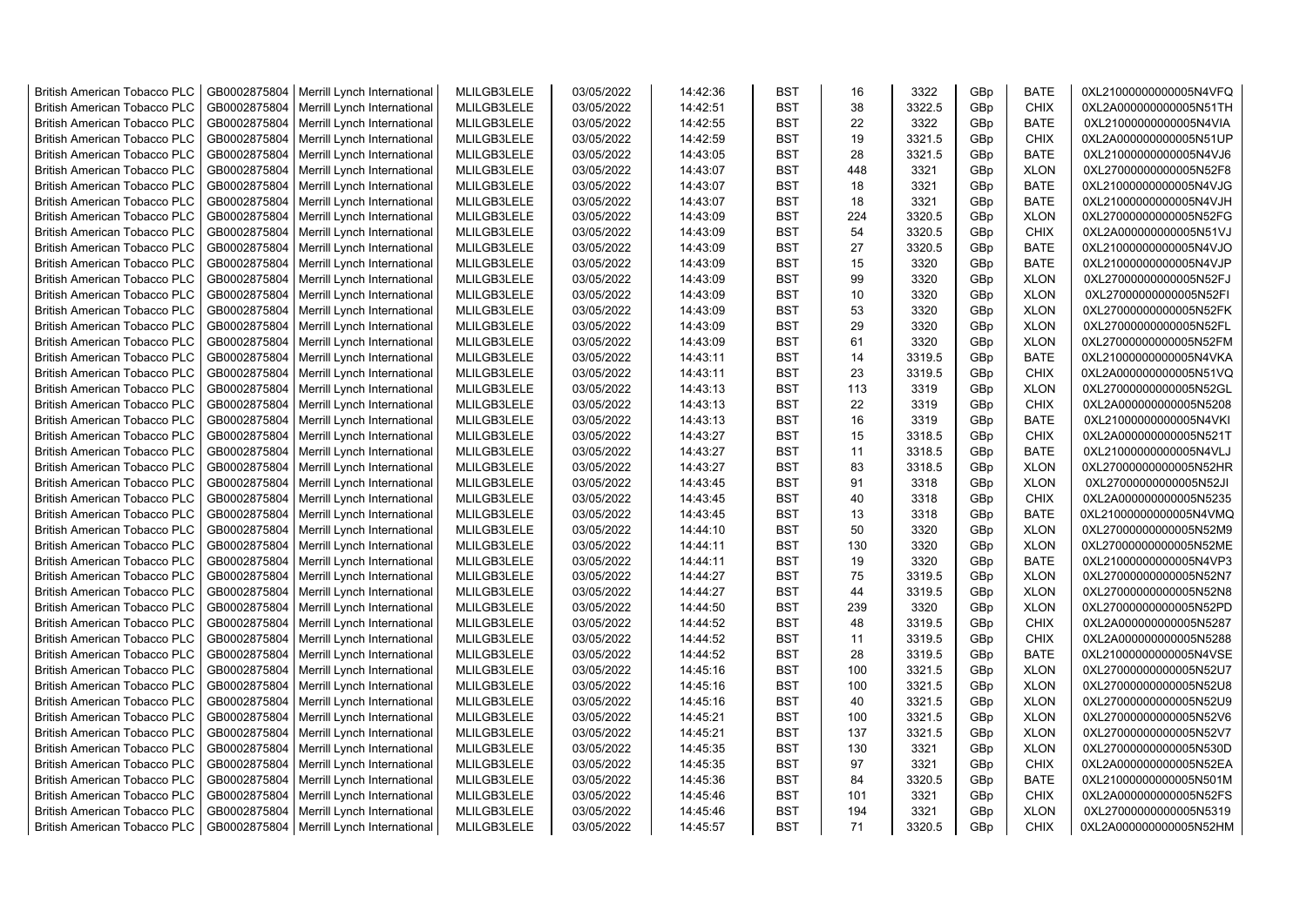| <b>British American Tobacco PLC</b> | GB0002875804 | Merrill Lynch International | MLILGB3LELE | 03/05/2022 | 14:42:36 | <b>BST</b> | 16  | 3322   | GBp             | <b>BATE</b> | 0XL21000000000005N4VFQ |
|-------------------------------------|--------------|-----------------------------|-------------|------------|----------|------------|-----|--------|-----------------|-------------|------------------------|
| <b>British American Tobacco PLC</b> | GB0002875804 | Merrill Lynch International | MLILGB3LELE | 03/05/2022 | 14:42:51 | <b>BST</b> | 38  | 3322.5 | GBp             | <b>CHIX</b> | 0XL2A000000000005N51TH |
| <b>British American Tobacco PLC</b> | GB0002875804 | Merrill Lynch International | MLILGB3LELE | 03/05/2022 | 14:42:55 | <b>BST</b> | 22  | 3322   | GBp             | <b>BATE</b> | 0XL21000000000005N4VIA |
| <b>British American Tobacco PLC</b> | GB0002875804 | Merrill Lynch International | MLILGB3LELE | 03/05/2022 | 14:42:59 | <b>BST</b> | 19  | 3321.5 | GBp             | <b>CHIX</b> | 0XL2A000000000005N51UP |
| <b>British American Tobacco PLC</b> | GB0002875804 | Merrill Lynch International | MLILGB3LELE | 03/05/2022 | 14:43:05 | <b>BST</b> | 28  | 3321.5 | GBp             | <b>BATE</b> | 0XL21000000000005N4VJ6 |
| <b>British American Tobacco PLC</b> | GB0002875804 | Merrill Lynch International | MLILGB3LELE | 03/05/2022 | 14:43:07 | <b>BST</b> | 448 | 3321   | GBp             | <b>XLON</b> | 0XL27000000000005N52F8 |
| <b>British American Tobacco PLC</b> | GB0002875804 | Merrill Lynch International | MLILGB3LELE | 03/05/2022 | 14:43:07 | <b>BST</b> | 18  | 3321   | GBp             | <b>BATE</b> | 0XL21000000000005N4VJG |
| <b>British American Tobacco PLC</b> | GB0002875804 | Merrill Lynch International | MLILGB3LELE | 03/05/2022 | 14:43:07 | <b>BST</b> | 18  | 3321   | GBp             | <b>BATE</b> | 0XL21000000000005N4VJH |
| <b>British American Tobacco PLC</b> | GB0002875804 | Merrill Lynch International | MLILGB3LELE | 03/05/2022 | 14:43:09 | <b>BST</b> | 224 | 3320.5 | GBp             | <b>XLON</b> | 0XL27000000000005N52FG |
| <b>British American Tobacco PLC</b> | GB0002875804 | Merrill Lynch International | MLILGB3LELE | 03/05/2022 | 14:43:09 | <b>BST</b> | 54  | 3320.5 | GBp             | <b>CHIX</b> | 0XL2A000000000005N51VJ |
| <b>British American Tobacco PLC</b> | GB0002875804 | Merrill Lynch International | MLILGB3LELE | 03/05/2022 | 14:43:09 | <b>BST</b> | 27  | 3320.5 | GBp             | <b>BATE</b> | 0XL21000000000005N4VJO |
| <b>British American Tobacco PLC</b> | GB0002875804 | Merrill Lynch International | MLILGB3LELE | 03/05/2022 | 14:43:09 | <b>BST</b> | 15  | 3320   | GBp             | <b>BATE</b> | 0XL21000000000005N4VJP |
| <b>British American Tobacco PLC</b> | GB0002875804 | Merrill Lynch International | MLILGB3LELE | 03/05/2022 | 14:43:09 | <b>BST</b> | 99  | 3320   | GBp             | <b>XLON</b> | 0XL27000000000005N52FJ |
| <b>British American Tobacco PLC</b> | GB0002875804 | Merrill Lynch International | MLILGB3LELE | 03/05/2022 | 14:43:09 | <b>BST</b> | 10  | 3320   | GBp             | <b>XLON</b> | 0XL27000000000005N52FI |
| <b>British American Tobacco PLC</b> | GB0002875804 | Merrill Lynch International | MLILGB3LELE | 03/05/2022 | 14:43:09 | <b>BST</b> | 53  | 3320   | GBp             | <b>XLON</b> | 0XL27000000000005N52FK |
| <b>British American Tobacco PLC</b> | GB0002875804 | Merrill Lynch International | MLILGB3LELE | 03/05/2022 | 14:43:09 | <b>BST</b> | 29  | 3320   | GBp             | <b>XLON</b> | 0XL27000000000005N52FL |
| <b>British American Tobacco PLC</b> | GB0002875804 | Merrill Lynch International | MLILGB3LELE | 03/05/2022 | 14:43:09 | <b>BST</b> | 61  | 3320   | GBp             | <b>XLON</b> | 0XL27000000000005N52FM |
| <b>British American Tobacco PLC</b> | GB0002875804 | Merrill Lynch International | MLILGB3LELE | 03/05/2022 | 14:43:11 | <b>BST</b> | 14  | 3319.5 | GBp             | <b>BATE</b> | 0XL21000000000005N4VKA |
| <b>British American Tobacco PLC</b> | GB0002875804 | Merrill Lynch International | MLILGB3LELE | 03/05/2022 | 14:43:11 | <b>BST</b> | 23  | 3319.5 | GBp             | <b>CHIX</b> | 0XL2A000000000005N51VQ |
| <b>British American Tobacco PLC</b> | GB0002875804 | Merrill Lynch International | MLILGB3LELE | 03/05/2022 | 14:43:13 | <b>BST</b> | 113 | 3319   | GBp             | <b>XLON</b> | 0XL27000000000005N52GL |
| <b>British American Tobacco PLC</b> | GB0002875804 | Merrill Lynch International | MLILGB3LELE | 03/05/2022 | 14:43:13 | <b>BST</b> | 22  | 3319   | GBp             | <b>CHIX</b> | 0XL2A000000000005N5208 |
| <b>British American Tobacco PLC</b> | GB0002875804 | Merrill Lynch International | MLILGB3LELE | 03/05/2022 | 14:43:13 | <b>BST</b> | 16  | 3319   | GBp             | <b>BATE</b> | 0XL21000000000005N4VKI |
| <b>British American Tobacco PLC</b> | GB0002875804 | Merrill Lynch International | MLILGB3LELE | 03/05/2022 | 14:43:27 | <b>BST</b> | 15  | 3318.5 | GBp             | <b>CHIX</b> | 0XL2A000000000005N521T |
| <b>British American Tobacco PLC</b> | GB0002875804 | Merrill Lynch International | MLILGB3LELE | 03/05/2022 | 14:43:27 | BST        | 11  | 3318.5 | GBp             | <b>BATE</b> | 0XL21000000000005N4VLJ |
| <b>British American Tobacco PLC</b> | GB0002875804 | Merrill Lynch International | MLILGB3LELE | 03/05/2022 | 14:43:27 | <b>BST</b> | 83  | 3318.5 | GBp             | <b>XLON</b> | 0XL27000000000005N52HR |
| British American Tobacco PLC        | GB0002875804 | Merrill Lynch International | MLILGB3LELE | 03/05/2022 | 14:43:45 | <b>BST</b> | 91  | 3318   | GBp             | <b>XLON</b> | 0XL27000000000005N52JI |
| <b>British American Tobacco PLC</b> | GB0002875804 | Merrill Lynch International | MLILGB3LELE | 03/05/2022 | 14:43:45 | <b>BST</b> | 40  | 3318   | GBp             | <b>CHIX</b> | 0XL2A000000000005N5235 |
| British American Tobacco PLC        | GB0002875804 | Merrill Lynch International | MLILGB3LELE | 03/05/2022 | 14:43:45 | <b>BST</b> | 13  | 3318   | GBp             | <b>BATE</b> | 0XL21000000000005N4VMQ |
| <b>British American Tobacco PLC</b> | GB0002875804 | Merrill Lynch International | MLILGB3LELE | 03/05/2022 | 14:44:10 | <b>BST</b> | 50  | 3320   | GBp             | <b>XLON</b> | 0XL27000000000005N52M9 |
| <b>British American Tobacco PLC</b> | GB0002875804 | Merrill Lynch International | MLILGB3LELE | 03/05/2022 | 14:44:11 | <b>BST</b> | 130 | 3320   | GBp             | <b>XLON</b> | 0XL27000000000005N52ME |
| <b>British American Tobacco PLC</b> | GB0002875804 | Merrill Lynch International | MLILGB3LELE | 03/05/2022 | 14:44:11 | <b>BST</b> | 19  | 3320   | GBp             | <b>BATE</b> | 0XL21000000000005N4VP3 |
| <b>British American Tobacco PLC</b> | GB0002875804 | Merrill Lynch International | MLILGB3LELE | 03/05/2022 | 14:44:27 | <b>BST</b> | 75  | 3319.5 | GBp             | <b>XLON</b> | 0XL27000000000005N52N7 |
| <b>British American Tobacco PLC</b> | GB0002875804 | Merrill Lynch International | MLILGB3LELE | 03/05/2022 | 14:44:27 | <b>BST</b> | 44  | 3319.5 | GBp             | <b>XLON</b> | 0XL27000000000005N52N8 |
| <b>British American Tobacco PLC</b> | GB0002875804 | Merrill Lynch International | MLILGB3LELE | 03/05/2022 | 14:44:50 | <b>BST</b> | 239 | 3320   | GBp             | <b>XLON</b> | 0XL27000000000005N52PD |
| <b>British American Tobacco PLC</b> | GB0002875804 | Merrill Lynch International | MLILGB3LELE | 03/05/2022 | 14:44:52 | <b>BST</b> | 48  | 3319.5 | GBp             | <b>CHIX</b> | 0XL2A000000000005N5287 |
| <b>British American Tobacco PLC</b> | GB0002875804 | Merrill Lynch International | MLILGB3LELE | 03/05/2022 | 14:44:52 | <b>BST</b> | 11  | 3319.5 | GBp             | <b>CHIX</b> | 0XL2A000000000005N5288 |
| <b>British American Tobacco PLC</b> | GB0002875804 | Merrill Lynch International | MLILGB3LELE | 03/05/2022 | 14:44:52 | <b>BST</b> | 28  | 3319.5 | GBp             | <b>BATE</b> | 0XL21000000000005N4VSE |
| <b>British American Tobacco PLC</b> | GB0002875804 | Merrill Lynch International | MLILGB3LELE | 03/05/2022 | 14:45:16 | <b>BST</b> | 100 | 3321.5 | GBp             | <b>XLON</b> | 0XL27000000000005N52U7 |
| <b>British American Tobacco PLC</b> | GB0002875804 | Merrill Lynch International | MLILGB3LELE | 03/05/2022 | 14:45:16 | <b>BST</b> | 100 | 3321.5 | GBp             | <b>XLON</b> | 0XL27000000000005N52U8 |
| <b>British American Tobacco PLC</b> | GB0002875804 | Merrill Lynch International | MLILGB3LELE | 03/05/2022 | 14:45:16 | <b>BST</b> | 40  | 3321.5 | GBp             | <b>XLON</b> | 0XL27000000000005N52U9 |
| <b>British American Tobacco PLC</b> | GB0002875804 | Merrill Lynch International | MLILGB3LELE | 03/05/2022 | 14:45:21 | <b>BST</b> | 100 | 3321.5 | GBp             | <b>XLON</b> | 0XL27000000000005N52V6 |
| <b>British American Tobacco PLC</b> | GB0002875804 | Merrill Lynch International | MLILGB3LELE | 03/05/2022 | 14:45:21 | <b>BST</b> | 137 | 3321.5 | GBp             | <b>XLON</b> | 0XL27000000000005N52V7 |
| <b>British American Tobacco PLC</b> | GB0002875804 | Merrill Lynch International | MLILGB3LELE | 03/05/2022 | 14:45:35 | <b>BST</b> | 130 | 3321   | GBp             | <b>XLON</b> | 0XL27000000000005N530D |
| <b>British American Tobacco PLC</b> | GB0002875804 | Merrill Lynch International | MLILGB3LELE | 03/05/2022 | 14:45:35 | <b>BST</b> | 97  | 3321   | GBp             | <b>CHIX</b> | 0XL2A000000000005N52EA |
| <b>British American Tobacco PLC</b> | GB0002875804 | Merrill Lynch International | MLILGB3LELE | 03/05/2022 | 14:45:36 | <b>BST</b> | 84  | 3320.5 | GBp             | <b>BATE</b> | 0XL21000000000005N501M |
| <b>British American Tobacco PLC</b> | GB0002875804 | Merrill Lynch International | MLILGB3LELE | 03/05/2022 | 14:45:46 | <b>BST</b> | 101 | 3321   | GBp             | <b>CHIX</b> | 0XL2A000000000005N52FS |
| <b>British American Tobacco PLC</b> | GB0002875804 | Merrill Lynch International | MLILGB3LELE | 03/05/2022 | 14:45:46 | <b>BST</b> | 194 | 3321   | GBp             | <b>XLON</b> | 0XL27000000000005N5319 |
| <b>British American Tobacco PLC</b> | GB0002875804 | Merrill Lynch International | MLILGB3LELE | 03/05/2022 | 14:45:57 | <b>BST</b> | 71  | 3320.5 | GB <sub>p</sub> | <b>CHIX</b> | 0XL2A000000000005N52HM |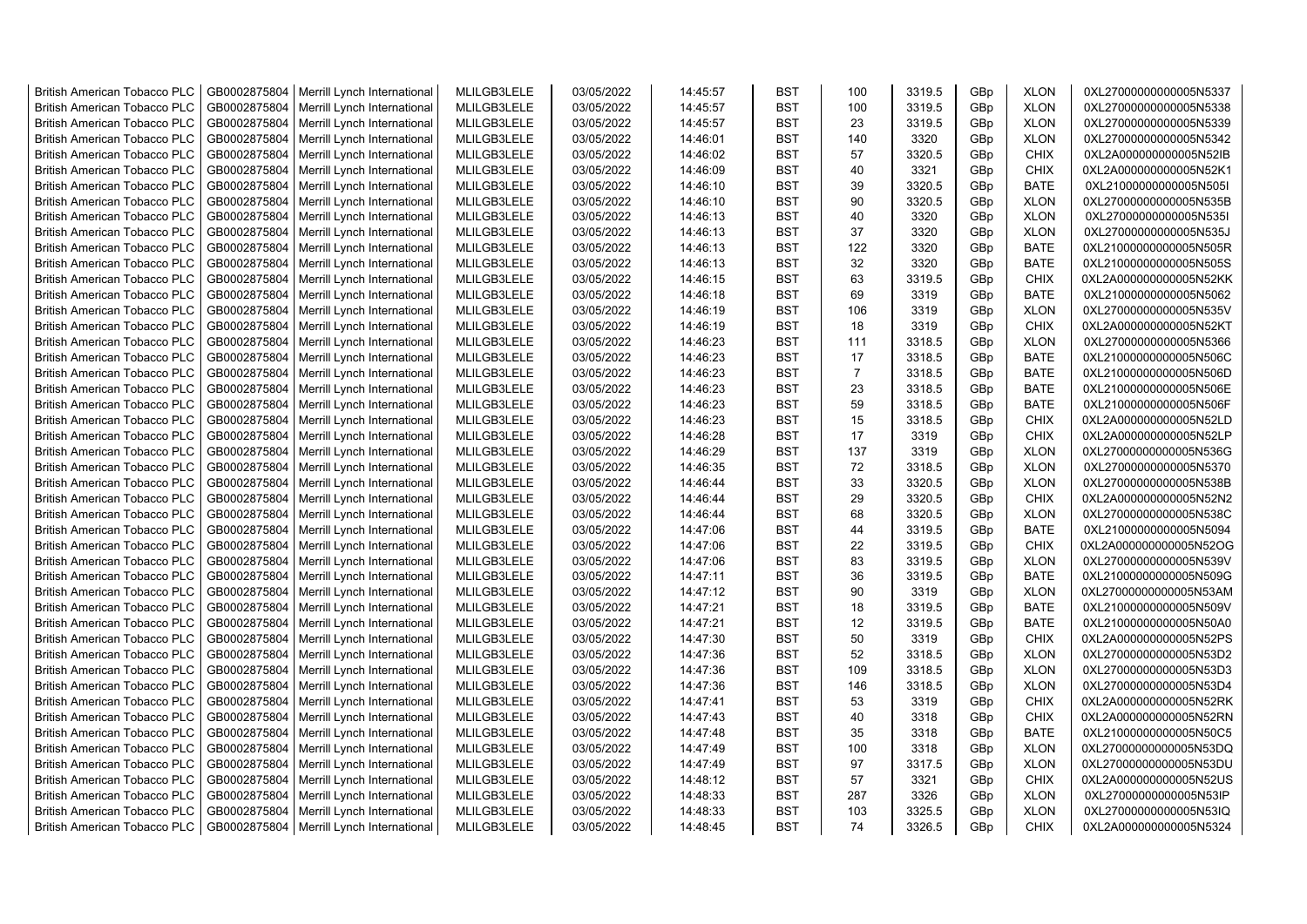| <b>British American Tobacco PLC</b> | GB0002875804 | Merrill Lynch International                | MLILGB3LELE | 03/05/2022 | 14:45:57 | <b>BST</b> | 100            | 3319.5 | GBp             | <b>XLON</b> | 0XL27000000000005N5337 |
|-------------------------------------|--------------|--------------------------------------------|-------------|------------|----------|------------|----------------|--------|-----------------|-------------|------------------------|
| <b>British American Tobacco PLC</b> | GB0002875804 | Merrill Lynch International                | MLILGB3LELE | 03/05/2022 | 14:45:57 | <b>BST</b> | 100            | 3319.5 | GBp             | <b>XLON</b> | 0XL27000000000005N5338 |
| <b>British American Tobacco PLC</b> | GB0002875804 | Merrill Lynch International                | MLILGB3LELE | 03/05/2022 | 14:45:57 | <b>BST</b> | 23             | 3319.5 | GBp             | <b>XLON</b> | 0XL27000000000005N5339 |
| <b>British American Tobacco PLC</b> | GB0002875804 | Merrill Lynch International                | MLILGB3LELE | 03/05/2022 | 14:46:01 | <b>BST</b> | 140            | 3320   | GBp             | <b>XLON</b> | 0XL27000000000005N5342 |
| <b>British American Tobacco PLC</b> | GB0002875804 | Merrill Lynch International                | MLILGB3LELE | 03/05/2022 | 14:46:02 | <b>BST</b> | 57             | 3320.5 | GBp             | <b>CHIX</b> | 0XL2A000000000005N52IB |
| <b>British American Tobacco PLC</b> | GB0002875804 | Merrill Lynch International                | MLILGB3LELE | 03/05/2022 | 14:46:09 | <b>BST</b> | 40             | 3321   | GBp             | <b>CHIX</b> | 0XL2A000000000005N52K1 |
| British American Tobacco PLC        | GB0002875804 | Merrill Lynch International                | MLILGB3LELE | 03/05/2022 | 14:46:10 | <b>BST</b> | 39             | 3320.5 | GBp             | <b>BATE</b> | 0XL21000000000005N505I |
| <b>British American Tobacco PLC</b> | GB0002875804 | Merrill Lynch International                | MLILGB3LELE | 03/05/2022 | 14:46:10 | <b>BST</b> | 90             | 3320.5 | GBp             | <b>XLON</b> | 0XL27000000000005N535B |
| <b>British American Tobacco PLC</b> | GB0002875804 | Merrill Lynch International                | MLILGB3LELE | 03/05/2022 | 14:46:13 | <b>BST</b> | 40             | 3320   | GBp             | <b>XLON</b> | 0XL27000000000005N535I |
| <b>British American Tobacco PLC</b> | GB0002875804 | Merrill Lynch International                | MLILGB3LELE | 03/05/2022 | 14:46:13 | <b>BST</b> | 37             | 3320   | GBp             | <b>XLON</b> | 0XL27000000000005N535J |
| <b>British American Tobacco PLC</b> | GB0002875804 | Merrill Lynch International                | MLILGB3LELE | 03/05/2022 | 14:46:13 | <b>BST</b> | 122            | 3320   | GBp             | <b>BATE</b> | 0XL21000000000005N505R |
| <b>British American Tobacco PLC</b> | GB0002875804 | Merrill Lynch International                | MLILGB3LELE | 03/05/2022 | 14:46:13 | <b>BST</b> | 32             | 3320   | GBp             | <b>BATE</b> | 0XL21000000000005N505S |
| <b>British American Tobacco PLC</b> | GB0002875804 | Merrill Lynch International                | MLILGB3LELE | 03/05/2022 | 14:46:15 | <b>BST</b> | 63             | 3319.5 | GBp             | <b>CHIX</b> | 0XL2A000000000005N52KK |
| <b>British American Tobacco PLC</b> | GB0002875804 | Merrill Lynch International                | MLILGB3LELE | 03/05/2022 | 14:46:18 | <b>BST</b> | 69             | 3319   | GBp             | <b>BATE</b> | 0XL21000000000005N5062 |
| <b>British American Tobacco PLC</b> | GB0002875804 | Merrill Lynch International                | MLILGB3LELE | 03/05/2022 | 14:46:19 | <b>BST</b> | 106            | 3319   | GBp             | <b>XLON</b> | 0XL27000000000005N535V |
| <b>British American Tobacco PLC</b> | GB0002875804 | Merrill Lynch International                | MLILGB3LELE | 03/05/2022 | 14:46:19 | <b>BST</b> | 18             | 3319   | GBp             | <b>CHIX</b> | 0XL2A000000000005N52KT |
| <b>British American Tobacco PLC</b> | GB0002875804 | Merrill Lynch International                | MLILGB3LELE | 03/05/2022 | 14:46:23 | <b>BST</b> | 111            | 3318.5 | GBp             | <b>XLON</b> | 0XL27000000000005N5366 |
| <b>British American Tobacco PLC</b> | GB0002875804 | Merrill Lynch International                | MLILGB3LELE | 03/05/2022 | 14:46:23 | <b>BST</b> | 17             | 3318.5 | GBp             | <b>BATE</b> | 0XL21000000000005N506C |
| <b>British American Tobacco PLC</b> | GB0002875804 | Merrill Lynch International                | MLILGB3LELE | 03/05/2022 | 14:46:23 | <b>BST</b> | $\overline{7}$ | 3318.5 | GBp             | <b>BATE</b> | 0XL21000000000005N506D |
| <b>British American Tobacco PLC</b> | GB0002875804 | Merrill Lynch International                | MLILGB3LELE | 03/05/2022 | 14:46:23 | <b>BST</b> | 23             | 3318.5 | GBp             | <b>BATE</b> | 0XL21000000000005N506E |
| <b>British American Tobacco PLC</b> | GB0002875804 | Merrill Lynch International                | MLILGB3LELE | 03/05/2022 | 14:46:23 | <b>BST</b> | 59             | 3318.5 | GBp             | <b>BATE</b> | 0XL21000000000005N506F |
| <b>British American Tobacco PLC</b> | GB0002875804 | Merrill Lynch International                | MLILGB3LELE | 03/05/2022 | 14:46:23 | <b>BST</b> | 15             | 3318.5 | GBp             | <b>CHIX</b> | 0XL2A000000000005N52LD |
|                                     | GB0002875804 |                                            | MLILGB3LELE | 03/05/2022 | 14:46:28 | <b>BST</b> | 17             | 3319   | GBp             | <b>CHIX</b> |                        |
| <b>British American Tobacco PLC</b> |              | Merrill Lynch International                |             |            |          |            |                |        |                 |             | 0XL2A000000000005N52LP |
| <b>British American Tobacco PLC</b> | GB0002875804 | Merrill Lynch International                | MLILGB3LELE | 03/05/2022 | 14:46:29 | BST        | 137            | 3319   | GBp             | <b>XLON</b> | 0XL27000000000005N536G |
| <b>British American Tobacco PLC</b> | GB0002875804 | Merrill Lynch International                | MLILGB3LELE | 03/05/2022 | 14:46:35 | <b>BST</b> | 72             | 3318.5 | GBp             | <b>XLON</b> | 0XL27000000000005N5370 |
| <b>British American Tobacco PLC</b> | GB0002875804 | Merrill Lynch International                | MLILGB3LELE | 03/05/2022 | 14:46:44 | <b>BST</b> | 33             | 3320.5 | GBp             | <b>XLON</b> | 0XL27000000000005N538B |
| <b>British American Tobacco PLC</b> | GB0002875804 | Merrill Lynch International                | MLILGB3LELE | 03/05/2022 | 14:46:44 | <b>BST</b> | 29             | 3320.5 | GBp             | <b>CHIX</b> | 0XL2A000000000005N52N2 |
| <b>British American Tobacco PLC</b> | GB0002875804 | Merrill Lynch International                | MLILGB3LELE | 03/05/2022 | 14:46:44 | <b>BST</b> | 68             | 3320.5 | GBp             | <b>XLON</b> | 0XL27000000000005N538C |
| <b>British American Tobacco PLC</b> | GB0002875804 | Merrill Lynch International                | MLILGB3LELE | 03/05/2022 | 14:47:06 | <b>BST</b> | 44             | 3319.5 | GBp             | <b>BATE</b> | 0XL21000000000005N5094 |
| <b>British American Tobacco PLC</b> | GB0002875804 | Merrill Lynch International                | MLILGB3LELE | 03/05/2022 | 14:47:06 | <b>BST</b> | 22             | 3319.5 | GBp             | <b>CHIX</b> | 0XL2A000000000005N52OG |
| <b>British American Tobacco PLC</b> | GB0002875804 | Merrill Lynch International                | MLILGB3LELE | 03/05/2022 | 14:47:06 | <b>BST</b> | 83             | 3319.5 | GBp             | <b>XLON</b> | 0XL27000000000005N539V |
| <b>British American Tobacco PLC</b> | GB0002875804 | Merrill Lynch International                | MLILGB3LELE | 03/05/2022 | 14:47:11 | <b>BST</b> | 36             | 3319.5 | GBp             | <b>BATE</b> | 0XL21000000000005N509G |
| <b>British American Tobacco PLC</b> | GB0002875804 | Merrill Lynch International                | MLILGB3LELE | 03/05/2022 | 14:47:12 | <b>BST</b> | 90             | 3319   | GBp             | <b>XLON</b> | 0XL27000000000005N53AM |
| <b>British American Tobacco PLC</b> | GB0002875804 | Merrill Lynch International                | MLILGB3LELE | 03/05/2022 | 14:47:21 | <b>BST</b> | 18             | 3319.5 | GBp             | <b>BATE</b> | 0XL21000000000005N509V |
| <b>British American Tobacco PLC</b> | GB0002875804 | Merrill Lynch International                | MLILGB3LELE | 03/05/2022 | 14:47:21 | <b>BST</b> | 12             | 3319.5 | GBp             | BATE        | 0XL21000000000005N50A0 |
| <b>British American Tobacco PLC</b> | GB0002875804 | Merrill Lynch International                | MLILGB3LELE | 03/05/2022 | 14:47:30 | <b>BST</b> | 50             | 3319   | GBp             | <b>CHIX</b> | 0XL2A000000000005N52PS |
| <b>British American Tobacco PLC</b> | GB0002875804 | Merrill Lynch International                | MLILGB3LELE | 03/05/2022 | 14:47:36 | <b>BST</b> | 52             | 3318.5 | GBp             | <b>XLON</b> | 0XL27000000000005N53D2 |
| <b>British American Tobacco PLC</b> | GB0002875804 | Merrill Lynch International                | MLILGB3LELE | 03/05/2022 | 14:47:36 | <b>BST</b> | 109            | 3318.5 | GBp             | <b>XLON</b> | 0XL27000000000005N53D3 |
| <b>British American Tobacco PLC</b> | GB0002875804 | Merrill Lynch International                | MLILGB3LELE | 03/05/2022 | 14:47:36 | <b>BST</b> | 146            | 3318.5 | GBp             | <b>XLON</b> | 0XL27000000000005N53D4 |
| <b>British American Tobacco PLC</b> | GB0002875804 | Merrill Lynch International                | MLILGB3LELE | 03/05/2022 | 14:47:41 | <b>BST</b> | 53             | 3319   | GBp             | <b>CHIX</b> | 0XL2A000000000005N52RK |
| <b>British American Tobacco PLC</b> | GB0002875804 | Merrill Lynch International                | MLILGB3LELE | 03/05/2022 | 14:47:43 | <b>BST</b> | 40             | 3318   | GBp             | <b>CHIX</b> | 0XL2A000000000005N52RN |
| <b>British American Tobacco PLC</b> | GB0002875804 | Merrill Lynch International                | MLILGB3LELE | 03/05/2022 | 14:47:48 | <b>BST</b> | 35             | 3318   | GBp             | <b>BATE</b> | 0XL21000000000005N50C5 |
| <b>British American Tobacco PLC</b> | GB0002875804 | Merrill Lynch International                | MLILGB3LELE | 03/05/2022 | 14:47:49 | <b>BST</b> | 100            | 3318   | GBp             | <b>XLON</b> | 0XL27000000000005N53DQ |
| <b>British American Tobacco PLC</b> | GB0002875804 | Merrill Lynch International                | MLILGB3LELE | 03/05/2022 | 14:47:49 | <b>BST</b> | 97             | 3317.5 | GBp             | <b>XLON</b> | 0XL27000000000005N53DU |
| <b>British American Tobacco PLC</b> | GB0002875804 | Merrill Lynch International                | MLILGB3LELE | 03/05/2022 | 14:48:12 | <b>BST</b> | 57             | 3321   | GBp             | <b>CHIX</b> | 0XL2A000000000005N52US |
| <b>British American Tobacco PLC</b> | GB0002875804 | Merrill Lynch International                | MLILGB3LELE | 03/05/2022 | 14:48:33 | <b>BST</b> | 287            | 3326   | GBp             | <b>XLON</b> | 0XL27000000000005N53IP |
| <b>British American Tobacco PLC</b> | GB0002875804 | Merrill Lynch International                | MLILGB3LELE | 03/05/2022 | 14:48:33 | <b>BST</b> | 103            | 3325.5 | GBp             | <b>XLON</b> | 0XL27000000000005N53IQ |
| <b>British American Tobacco PLC</b> |              | GB0002875804   Merrill Lynch International | MLILGB3LELE | 03/05/2022 | 14:48:45 | <b>BST</b> | 74             | 3326.5 | GB <sub>p</sub> | <b>CHIX</b> | 0XL2A000000000005N5324 |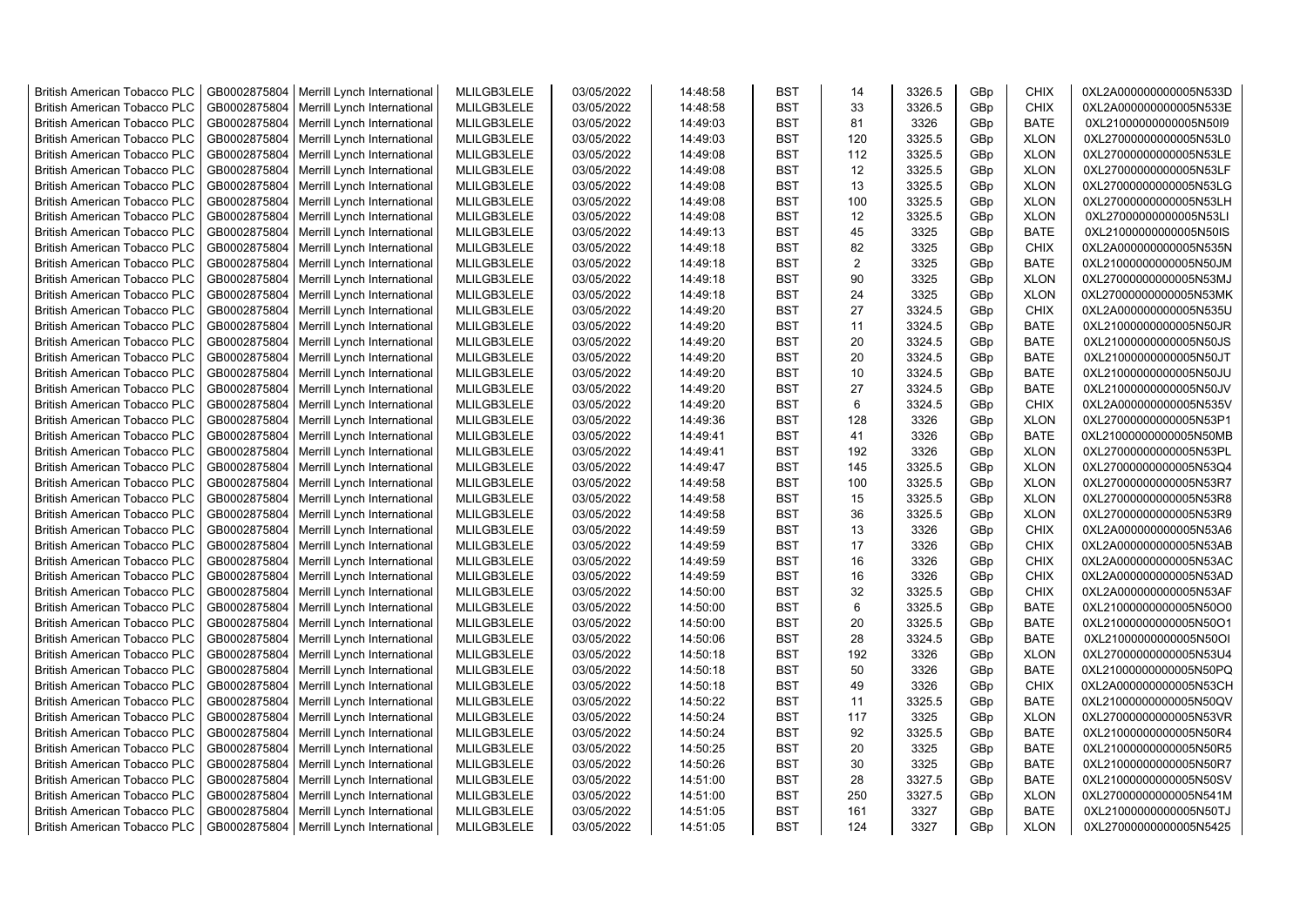| <b>British American Tobacco PLC</b> | GB0002875804 | Merrill Lynch International                | MLILGB3LELE | 03/05/2022 | 14:48:58 | <b>BST</b>               | 14             | 3326.5           | GBp             | <b>CHIX</b> | 0XL2A000000000005N533D |
|-------------------------------------|--------------|--------------------------------------------|-------------|------------|----------|--------------------------|----------------|------------------|-----------------|-------------|------------------------|
| <b>British American Tobacco PLC</b> | GB0002875804 | Merrill Lynch International                | MLILGB3LELE | 03/05/2022 | 14:48:58 | <b>BST</b>               | 33             | 3326.5           | GBp             | <b>CHIX</b> | 0XL2A000000000005N533E |
| <b>British American Tobacco PLC</b> | GB0002875804 | Merrill Lynch International                | MLILGB3LELE | 03/05/2022 | 14:49:03 | <b>BST</b>               | 81             | 3326             | GBp             | <b>BATE</b> | 0XL21000000000005N50I9 |
| <b>British American Tobacco PLC</b> | GB0002875804 | Merrill Lynch International                | MLILGB3LELE | 03/05/2022 | 14:49:03 | <b>BST</b>               | 120            | 3325.5           | GBp             | <b>XLON</b> | 0XL27000000000005N53L0 |
| <b>British American Tobacco PLC</b> | GB0002875804 | Merrill Lynch International                | MLILGB3LELE | 03/05/2022 | 14:49:08 | <b>BST</b>               | 112            | 3325.5           | GBp             | <b>XLON</b> | 0XL27000000000005N53LE |
| <b>British American Tobacco PLC</b> | GB0002875804 | Merrill Lynch International                | MLILGB3LELE | 03/05/2022 | 14:49:08 | <b>BST</b>               | 12             | 3325.5           | GBp             | <b>XLON</b> | 0XL27000000000005N53LF |
| British American Tobacco PLC        | GB0002875804 | Merrill Lynch International                | MLILGB3LELE | 03/05/2022 | 14:49:08 | <b>BST</b>               | 13             | 3325.5           | GBp             | <b>XLON</b> | 0XL27000000000005N53LG |
| <b>British American Tobacco PLC</b> | GB0002875804 | Merrill Lynch International                | MLILGB3LELE | 03/05/2022 | 14:49:08 | <b>BST</b>               | 100            | 3325.5           | GBp             | <b>XLON</b> | 0XL27000000000005N53LH |
| <b>British American Tobacco PLC</b> | GB0002875804 | Merrill Lynch International                | MLILGB3LELE | 03/05/2022 | 14:49:08 | <b>BST</b>               | 12             | 3325.5           | GBp             | <b>XLON</b> | 0XL27000000000005N53LI |
| <b>British American Tobacco PLC</b> | GB0002875804 | Merrill Lynch International                | MLILGB3LELE | 03/05/2022 | 14:49:13 | <b>BST</b>               | 45             | 3325             | GBp             | <b>BATE</b> | 0XL21000000000005N50IS |
| <b>British American Tobacco PLC</b> | GB0002875804 | Merrill Lynch International                | MLILGB3LELE | 03/05/2022 | 14:49:18 | <b>BST</b>               | 82             | 3325             | GBp             | <b>CHIX</b> | 0XL2A000000000005N535N |
| <b>British American Tobacco PLC</b> | GB0002875804 | Merrill Lynch International                | MLILGB3LELE | 03/05/2022 | 14:49:18 | <b>BST</b>               | $\overline{2}$ | 3325             | GBp             | <b>BATE</b> | 0XL21000000000005N50JM |
| <b>British American Tobacco PLC</b> | GB0002875804 | Merrill Lynch International                | MLILGB3LELE | 03/05/2022 | 14:49:18 | <b>BST</b>               | 90             | 3325             | GBp             | <b>XLON</b> | 0XL27000000000005N53MJ |
| <b>British American Tobacco PLC</b> | GB0002875804 | Merrill Lynch International                | MLILGB3LELE | 03/05/2022 | 14:49:18 | <b>BST</b>               | 24             | 3325             | GBp             | <b>XLON</b> | 0XL27000000000005N53MK |
| <b>British American Tobacco PLC</b> | GB0002875804 | Merrill Lynch International                | MLILGB3LELE | 03/05/2022 | 14:49:20 | <b>BST</b>               | 27             | 3324.5           | GBp             | <b>CHIX</b> | 0XL2A000000000005N535U |
| <b>British American Tobacco PLC</b> | GB0002875804 | Merrill Lynch International                | MLILGB3LELE | 03/05/2022 | 14:49:20 | <b>BST</b>               | 11             | 3324.5           | GBp             | <b>BATE</b> | 0XL21000000000005N50JR |
| <b>British American Tobacco PLC</b> | GB0002875804 | Merrill Lynch International                | MLILGB3LELE | 03/05/2022 | 14:49:20 | <b>BST</b>               | 20             | 3324.5           | GBp             | <b>BATE</b> | 0XL21000000000005N50JS |
| <b>British American Tobacco PLC</b> | GB0002875804 | Merrill Lynch International                | MLILGB3LELE | 03/05/2022 | 14:49:20 | <b>BST</b>               | 20             | 3324.5           | GBp             | <b>BATE</b> | 0XL21000000000005N50JT |
| <b>British American Tobacco PLC</b> | GB0002875804 | Merrill Lynch International                | MLILGB3LELE | 03/05/2022 | 14:49:20 | <b>BST</b>               | 10             | 3324.5           | GBp             | <b>BATE</b> | 0XL21000000000005N50JU |
| <b>British American Tobacco PLC</b> | GB0002875804 | Merrill Lynch International                | MLILGB3LELE | 03/05/2022 | 14:49:20 | <b>BST</b>               | 27             | 3324.5           | GBp             | <b>BATE</b> | 0XL21000000000005N50JV |
| <b>British American Tobacco PLC</b> | GB0002875804 | Merrill Lynch International                | MLILGB3LELE | 03/05/2022 | 14:49:20 | <b>BST</b>               | 6              | 3324.5           | GBp             | <b>CHIX</b> | 0XL2A000000000005N535V |
| <b>British American Tobacco PLC</b> | GB0002875804 | Merrill Lynch International                | MLILGB3LELE | 03/05/2022 | 14:49:36 | <b>BST</b>               | 128            | 3326             | GBp             | <b>XLON</b> | 0XL27000000000005N53P1 |
| <b>British American Tobacco PLC</b> | GB0002875804 | Merrill Lynch International                | MLILGB3LELE | 03/05/2022 | 14:49:41 | <b>BST</b>               | 41             | 3326             | GBp             | <b>BATE</b> | 0XL21000000000005N50MB |
| <b>British American Tobacco PLC</b> | GB0002875804 | Merrill Lynch International                | MLILGB3LELE | 03/05/2022 | 14:49:41 | <b>BST</b>               | 192            | 3326             | GBp             | <b>XLON</b> | 0XL27000000000005N53PL |
|                                     |              |                                            |             |            |          | <b>BST</b>               | 145            |                  |                 |             |                        |
| <b>British American Tobacco PLC</b> | GB0002875804 | Merrill Lynch International                | MLILGB3LELE | 03/05/2022 | 14:49:47 | <b>BST</b>               | 100            | 3325.5<br>3325.5 | GBp             | <b>XLON</b> | 0XL27000000000005N53Q4 |
| <b>British American Tobacco PLC</b> | GB0002875804 | Merrill Lynch International                | MLILGB3LELE | 03/05/2022 | 14:49:58 |                          |                |                  | GBp             | <b>XLON</b> | 0XL27000000000005N53R7 |
| <b>British American Tobacco PLC</b> | GB0002875804 | Merrill Lynch International                | MLILGB3LELE | 03/05/2022 | 14:49:58 | <b>BST</b><br><b>BST</b> | 15<br>36       | 3325.5           | GBp             | <b>XLON</b> | 0XL27000000000005N53R8 |
| <b>British American Tobacco PLC</b> | GB0002875804 | Merrill Lynch International                | MLILGB3LELE | 03/05/2022 | 14:49:58 |                          |                | 3325.5           | GBp             | <b>XLON</b> | 0XL27000000000005N53R9 |
| <b>British American Tobacco PLC</b> | GB0002875804 | Merrill Lynch International                | MLILGB3LELE | 03/05/2022 | 14:49:59 | <b>BST</b>               | 13             | 3326             | GBp             | <b>CHIX</b> | 0XL2A000000000005N53A6 |
| <b>British American Tobacco PLC</b> | GB0002875804 | Merrill Lynch International                | MLILGB3LELE | 03/05/2022 | 14:49:59 | <b>BST</b>               | 17             | 3326             | GBp             | <b>CHIX</b> | 0XL2A000000000005N53AB |
| <b>British American Tobacco PLC</b> | GB0002875804 | Merrill Lynch International                | MLILGB3LELE | 03/05/2022 | 14:49:59 | <b>BST</b>               | 16             | 3326             | GBp             | <b>CHIX</b> | 0XL2A000000000005N53AC |
| <b>British American Tobacco PLC</b> | GB0002875804 | Merrill Lynch International                | MLILGB3LELE | 03/05/2022 | 14:49:59 | <b>BST</b>               | 16             | 3326             | GBp             | <b>CHIX</b> | 0XL2A000000000005N53AD |
| <b>British American Tobacco PLC</b> | GB0002875804 | Merrill Lynch International                | MLILGB3LELE | 03/05/2022 | 14:50:00 | BST                      | 32             | 3325.5           | GBp             | <b>CHIX</b> | 0XL2A000000000005N53AF |
| <b>British American Tobacco PLC</b> | GB0002875804 | Merrill Lynch International                | MLILGB3LELE | 03/05/2022 | 14:50:00 | <b>BST</b>               | 6              | 3325.5           | GBp             | <b>BATE</b> | 0XL21000000000005N50O0 |
| <b>British American Tobacco PLC</b> | GB0002875804 | Merrill Lynch International                | MLILGB3LELE | 03/05/2022 | 14:50:00 | <b>BST</b>               | 20             | 3325.5           | GBp             | BATE        | 0XL21000000000005N50O1 |
| <b>British American Tobacco PLC</b> | GB0002875804 | Merrill Lynch International                | MLILGB3LELE | 03/05/2022 | 14:50:06 | <b>BST</b>               | 28             | 3324.5           | GBp             | <b>BATE</b> | 0XL21000000000005N50OI |
| <b>British American Tobacco PLC</b> | GB0002875804 | Merrill Lynch International                | MLILGB3LELE | 03/05/2022 | 14:50:18 | <b>BST</b>               | 192            | 3326             | GBp             | <b>XLON</b> | 0XL27000000000005N53U4 |
| <b>British American Tobacco PLC</b> | GB0002875804 | Merrill Lynch International                | MLILGB3LELE | 03/05/2022 | 14:50:18 | <b>BST</b>               | 50             | 3326             | GBp             | <b>BATE</b> | 0XL21000000000005N50PQ |
| <b>British American Tobacco PLC</b> | GB0002875804 | Merrill Lynch International                | MLILGB3LELE | 03/05/2022 | 14:50:18 | <b>BST</b>               | 49             | 3326             | GBp             | <b>CHIX</b> | 0XL2A000000000005N53CH |
| <b>British American Tobacco PLC</b> | GB0002875804 | Merrill Lynch International                | MLILGB3LELE | 03/05/2022 | 14:50:22 | <b>BST</b>               | 11             | 3325.5           | GBp             | <b>BATE</b> | 0XL21000000000005N50QV |
| <b>British American Tobacco PLC</b> | GB0002875804 | Merrill Lynch International                | MLILGB3LELE | 03/05/2022 | 14:50:24 | <b>BST</b>               | 117            | 3325             | GBp             | <b>XLON</b> | 0XL27000000000005N53VR |
| <b>British American Tobacco PLC</b> | GB0002875804 | Merrill Lynch International                | MLILGB3LELE | 03/05/2022 | 14:50:24 | <b>BST</b>               | 92             | 3325.5           | GBp             | <b>BATE</b> | 0XL21000000000005N50R4 |
| <b>British American Tobacco PLC</b> | GB0002875804 | Merrill Lynch International                | MLILGB3LELE | 03/05/2022 | 14:50:25 | <b>BST</b>               | 20             | 3325             | GBp             | <b>BATE</b> | 0XL21000000000005N50R5 |
| <b>British American Tobacco PLC</b> | GB0002875804 | Merrill Lynch International                | MLILGB3LELE | 03/05/2022 | 14:50:26 | <b>BST</b>               | 30             | 3325             | GBp             | <b>BATE</b> | 0XL21000000000005N50R7 |
| <b>British American Tobacco PLC</b> | GB0002875804 | Merrill Lynch International                | MLILGB3LELE | 03/05/2022 | 14:51:00 | <b>BST</b>               | 28             | 3327.5           | GBp             | <b>BATE</b> | 0XL21000000000005N50SV |
| <b>British American Tobacco PLC</b> | GB0002875804 | Merrill Lynch International                | MLILGB3LELE | 03/05/2022 | 14:51:00 | <b>BST</b>               | 250            | 3327.5           | GBp             | <b>XLON</b> | 0XL27000000000005N541M |
| <b>British American Tobacco PLC</b> | GB0002875804 | Merrill Lynch International                | MLILGB3LELE | 03/05/2022 | 14:51:05 | <b>BST</b>               | 161            | 3327             | GBp             | <b>BATE</b> | 0XL21000000000005N50TJ |
| <b>British American Tobacco PLC</b> |              | GB0002875804   Merrill Lynch International | MLILGB3LELE | 03/05/2022 | 14:51:05 | <b>BST</b>               | 124            | 3327             | GB <sub>p</sub> | <b>XLON</b> | 0XL27000000000005N5425 |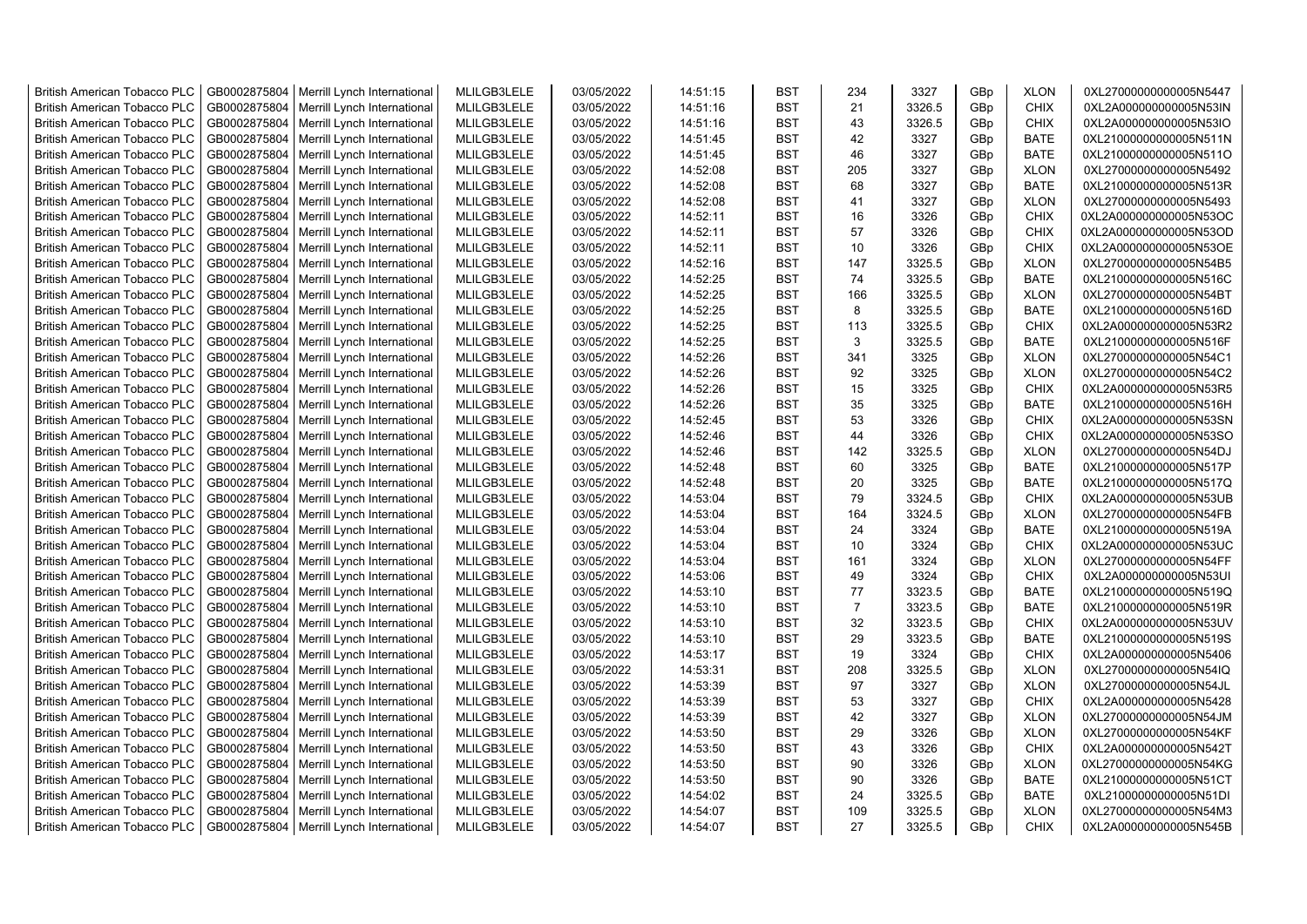| <b>British American Tobacco PLC</b> | GB0002875804 | Merrill Lynch International | MLILGB3LELE | 03/05/2022 | 14:51:15 | <b>BST</b> | 234            | 3327   | GBp | <b>XLON</b> | 0XL27000000000005N5447 |
|-------------------------------------|--------------|-----------------------------|-------------|------------|----------|------------|----------------|--------|-----|-------------|------------------------|
| <b>British American Tobacco PLC</b> | GB0002875804 | Merrill Lynch International | MLILGB3LELE | 03/05/2022 | 14:51:16 | <b>BST</b> | 21             | 3326.5 | GBp | <b>CHIX</b> | 0XL2A000000000005N53IN |
| <b>British American Tobacco PLC</b> | GB0002875804 | Merrill Lynch International | MLILGB3LELE | 03/05/2022 | 14:51:16 | <b>BST</b> | 43             | 3326.5 | GBp | <b>CHIX</b> | 0XL2A000000000005N53IO |
| <b>British American Tobacco PLC</b> | GB0002875804 | Merrill Lynch International | MLILGB3LELE | 03/05/2022 | 14:51:45 | <b>BST</b> | 42             | 3327   | GBp | <b>BATE</b> | 0XL21000000000005N511N |
| British American Tobacco PLC        | GB0002875804 | Merrill Lynch International | MLILGB3LELE | 03/05/2022 | 14:51:45 | <b>BST</b> | 46             | 3327   | GBp | <b>BATE</b> | 0XL21000000000005N511O |
| <b>British American Tobacco PLC</b> | GB0002875804 | Merrill Lynch International | MLILGB3LELE | 03/05/2022 | 14:52:08 | <b>BST</b> | 205            | 3327   | GBp | <b>XLON</b> | 0XL27000000000005N5492 |
| <b>British American Tobacco PLC</b> | GB0002875804 | Merrill Lynch International | MLILGB3LELE | 03/05/2022 | 14:52:08 | <b>BST</b> | 68             | 3327   | GBp | <b>BATE</b> | 0XL21000000000005N513R |
| <b>British American Tobacco PLC</b> | GB0002875804 | Merrill Lynch International | MLILGB3LELE | 03/05/2022 | 14:52:08 | <b>BST</b> | 41             | 3327   | GBp | <b>XLON</b> | 0XL27000000000005N5493 |
| <b>British American Tobacco PLC</b> | GB0002875804 | Merrill Lynch International | MLILGB3LELE | 03/05/2022 | 14:52:11 | <b>BST</b> | 16             | 3326   | GBp | <b>CHIX</b> | 0XL2A000000000005N53OC |
| <b>British American Tobacco PLC</b> | GB0002875804 | Merrill Lynch International | MLILGB3LELE | 03/05/2022 | 14:52:11 | <b>BST</b> | 57             | 3326   | GBp | CHIX        | 0XL2A000000000005N53OD |
| <b>British American Tobacco PLC</b> | GB0002875804 | Merrill Lynch International | MLILGB3LELE | 03/05/2022 | 14:52:11 | <b>BST</b> | 10             | 3326   | GBp | <b>CHIX</b> | 0XL2A000000000005N53OE |
| <b>British American Tobacco PLC</b> | GB0002875804 | Merrill Lynch International | MLILGB3LELE | 03/05/2022 | 14:52:16 | <b>BST</b> | 147            | 3325.5 | GBp | <b>XLON</b> | 0XL27000000000005N54B5 |
| <b>British American Tobacco PLC</b> | GB0002875804 | Merrill Lynch International | MLILGB3LELE | 03/05/2022 | 14:52:25 | <b>BST</b> | 74             | 3325.5 | GBp | <b>BATE</b> | 0XL21000000000005N516C |
| <b>British American Tobacco PLC</b> | GB0002875804 | Merrill Lynch International | MLILGB3LELE | 03/05/2022 | 14:52:25 | <b>BST</b> | 166            | 3325.5 | GBp | <b>XLON</b> | 0XL27000000000005N54BT |
| <b>British American Tobacco PLC</b> | GB0002875804 | Merrill Lynch International | MLILGB3LELE | 03/05/2022 | 14:52:25 | <b>BST</b> | 8              | 3325.5 | GBp | <b>BATE</b> | 0XL21000000000005N516D |
| <b>British American Tobacco PLC</b> | GB0002875804 | Merrill Lynch International | MLILGB3LELE | 03/05/2022 | 14:52:25 | <b>BST</b> | 113            | 3325.5 | GBp | <b>CHIX</b> | 0XL2A000000000005N53R2 |
| <b>British American Tobacco PLC</b> | GB0002875804 | Merrill Lynch International | MLILGB3LELE | 03/05/2022 | 14:52:25 | <b>BST</b> | 3              | 3325.5 | GBp | <b>BATE</b> | 0XL21000000000005N516F |
| <b>British American Tobacco PLC</b> | GB0002875804 | Merrill Lynch International | MLILGB3LELE | 03/05/2022 | 14:52:26 | <b>BST</b> | 341            | 3325   | GBp | <b>XLON</b> | 0XL27000000000005N54C1 |
| <b>British American Tobacco PLC</b> | GB0002875804 | Merrill Lynch International | MLILGB3LELE | 03/05/2022 | 14:52:26 | <b>BST</b> | 92             | 3325   | GBp | <b>XLON</b> | 0XL27000000000005N54C2 |
| <b>British American Tobacco PLC</b> | GB0002875804 | Merrill Lynch International | MLILGB3LELE | 03/05/2022 | 14:52:26 | <b>BST</b> | 15             | 3325   | GBp | <b>CHIX</b> | 0XL2A000000000005N53R5 |
| <b>British American Tobacco PLC</b> | GB0002875804 | Merrill Lynch International | MLILGB3LELE | 03/05/2022 | 14:52:26 | <b>BST</b> | 35             | 3325   | GBp | <b>BATE</b> | 0XL21000000000005N516H |
| <b>British American Tobacco PLC</b> | GB0002875804 | Merrill Lynch International | MLILGB3LELE | 03/05/2022 | 14:52:45 | <b>BST</b> | 53             | 3326   | GBp | <b>CHIX</b> | 0XL2A000000000005N53SN |
| <b>British American Tobacco PLC</b> | GB0002875804 | Merrill Lynch International | MLILGB3LELE | 03/05/2022 | 14:52:46 | <b>BST</b> | 44             | 3326   | GBp | <b>CHIX</b> | 0XL2A000000000005N53SO |
| <b>British American Tobacco PLC</b> | GB0002875804 | Merrill Lynch International | MLILGB3LELE | 03/05/2022 | 14:52:46 | <b>BST</b> | 142            | 3325.5 | GBp | <b>XLON</b> | 0XL27000000000005N54DJ |
| <b>British American Tobacco PLC</b> | GB0002875804 | Merrill Lynch International | MLILGB3LELE | 03/05/2022 | 14:52:48 | <b>BST</b> | 60             | 3325   | GBp | <b>BATE</b> | 0XL21000000000005N517P |
| <b>British American Tobacco PLC</b> | GB0002875804 | Merrill Lynch International | MLILGB3LELE | 03/05/2022 | 14:52:48 | <b>BST</b> | 20             | 3325   | GBp | <b>BATE</b> | 0XL21000000000005N517Q |
| <b>British American Tobacco PLC</b> | GB0002875804 | Merrill Lynch International | MLILGB3LELE | 03/05/2022 | 14:53:04 | <b>BST</b> | 79             | 3324.5 | GBp | <b>CHIX</b> | 0XL2A000000000005N53UB |
| <b>British American Tobacco PLC</b> | GB0002875804 | Merrill Lynch International | MLILGB3LELE | 03/05/2022 | 14:53:04 | <b>BST</b> | 164            | 3324.5 | GBp | <b>XLON</b> | 0XL27000000000005N54FB |
| <b>British American Tobacco PLC</b> | GB0002875804 | Merrill Lynch International | MLILGB3LELE | 03/05/2022 | 14:53:04 | <b>BST</b> | 24             | 3324   | GBp | <b>BATE</b> | 0XL21000000000005N519A |
| <b>British American Tobacco PLC</b> | GB0002875804 | Merrill Lynch International | MLILGB3LELE | 03/05/2022 | 14:53:04 | <b>BST</b> | 10             | 3324   | GBp | <b>CHIX</b> | 0XL2A000000000005N53UC |
| <b>British American Tobacco PLC</b> | GB0002875804 | Merrill Lynch International | MLILGB3LELE | 03/05/2022 | 14:53:04 | <b>BST</b> | 161            | 3324   | GBp | <b>XLON</b> | 0XL27000000000005N54FF |
| <b>British American Tobacco PLC</b> | GB0002875804 | Merrill Lynch International | MLILGB3LELE | 03/05/2022 | 14:53:06 | <b>BST</b> | 49             | 3324   | GBp | <b>CHIX</b> | 0XL2A000000000005N53UI |
| <b>British American Tobacco PLC</b> | GB0002875804 | Merrill Lynch International | MLILGB3LELE | 03/05/2022 | 14:53:10 | <b>BST</b> | 77             | 3323.5 | GBp | <b>BATE</b> | 0XL21000000000005N519Q |
| <b>British American Tobacco PLC</b> | GB0002875804 | Merrill Lynch International | MLILGB3LELE | 03/05/2022 | 14:53:10 | <b>BST</b> | $\overline{7}$ | 3323.5 | GBp | <b>BATE</b> | 0XL21000000000005N519R |
| <b>British American Tobacco PLC</b> | GB0002875804 | Merrill Lynch International | MLILGB3LELE | 03/05/2022 | 14:53:10 | <b>BST</b> | 32             | 3323.5 | GBp | <b>CHIX</b> | 0XL2A000000000005N53UV |
| <b>British American Tobacco PLC</b> | GB0002875804 | Merrill Lynch International | MLILGB3LELE | 03/05/2022 | 14:53:10 | <b>BST</b> | 29             | 3323.5 | GBp | <b>BATE</b> | 0XL21000000000005N519S |
| <b>British American Tobacco PLC</b> | GB0002875804 | Merrill Lynch International | MLILGB3LELE | 03/05/2022 | 14:53:17 | <b>BST</b> | 19             | 3324   | GBp | <b>CHIX</b> | 0XL2A000000000005N5406 |
| <b>British American Tobacco PLC</b> | GB0002875804 | Merrill Lynch International | MLILGB3LELE | 03/05/2022 | 14:53:31 | <b>BST</b> | 208            | 3325.5 | GBp | <b>XLON</b> | 0XL27000000000005N54IQ |
| <b>British American Tobacco PLC</b> | GB0002875804 | Merrill Lynch International | MLILGB3LELE | 03/05/2022 | 14:53:39 | <b>BST</b> | 97             | 3327   | GBp | <b>XLON</b> | 0XL27000000000005N54JL |
| <b>British American Tobacco PLC</b> | GB0002875804 | Merrill Lynch International | MLILGB3LELE | 03/05/2022 | 14:53:39 | <b>BST</b> | 53             | 3327   | GBp | <b>CHIX</b> | 0XL2A000000000005N5428 |
| <b>British American Tobacco PLC</b> | GB0002875804 | Merrill Lynch International | MLILGB3LELE | 03/05/2022 | 14:53:39 | <b>BST</b> | 42             | 3327   | GBp | <b>XLON</b> | 0XL27000000000005N54JM |
| <b>British American Tobacco PLC</b> | GB0002875804 | Merrill Lynch International | MLILGB3LELE | 03/05/2022 | 14:53:50 | <b>BST</b> | 29             | 3326   | GBp | <b>XLON</b> | 0XL27000000000005N54KF |
| <b>British American Tobacco PLC</b> | GB0002875804 | Merrill Lynch International | MLILGB3LELE | 03/05/2022 | 14:53:50 | <b>BST</b> | 43             | 3326   | GBp | <b>CHIX</b> | 0XL2A000000000005N542T |
| <b>British American Tobacco PLC</b> | GB0002875804 | Merrill Lynch International | MLILGB3LELE | 03/05/2022 | 14:53:50 | <b>BST</b> | 90             | 3326   | GBp | <b>XLON</b> | 0XL27000000000005N54KG |
| <b>British American Tobacco PLC</b> | GB0002875804 | Merrill Lynch International | MLILGB3LELE | 03/05/2022 | 14:53:50 | <b>BST</b> | 90             | 3326   | GBp | <b>BATE</b> | 0XL21000000000005N51CT |
| <b>British American Tobacco PLC</b> | GB0002875804 | Merrill Lynch International | MLILGB3LELE | 03/05/2022 | 14:54:02 | <b>BST</b> | 24             | 3325.5 | GBp | <b>BATE</b> | 0XL21000000000005N51DI |
| <b>British American Tobacco PLC</b> | GB0002875804 |                             | MLILGB3LELE | 03/05/2022 | 14:54:07 | <b>BST</b> | 109            | 3325.5 | GBp | <b>XLON</b> | 0XL27000000000005N54M3 |
|                                     |              | Merrill Lynch International |             |            | 14:54:07 | <b>BST</b> | 27             | 3325.5 | GBp | <b>CHIX</b> |                        |
| <b>British American Tobacco PLC</b> | GB0002875804 | Merrill Lynch International | MLILGB3LELE | 03/05/2022 |          |            |                |        |     |             | 0XL2A000000000005N545B |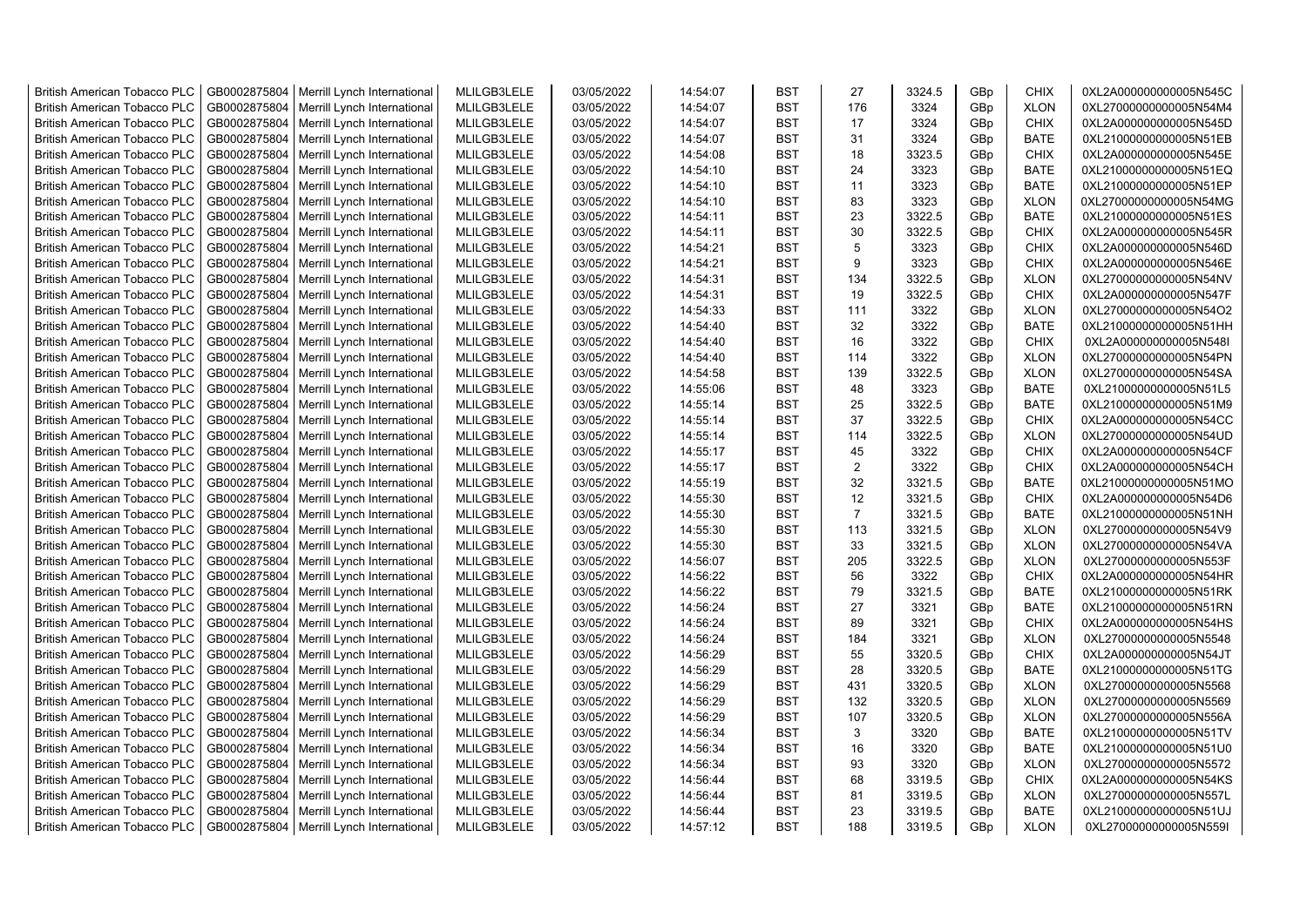| <b>British American Tobacco PLC</b> | GB0002875804 | Merrill Lynch International                | MLILGB3LELE | 03/05/2022 | 14:54:07 | <b>BST</b> | 27             | 3324.5 | GBp             | <b>CHIX</b> | 0XL2A000000000005N545C |
|-------------------------------------|--------------|--------------------------------------------|-------------|------------|----------|------------|----------------|--------|-----------------|-------------|------------------------|
| <b>British American Tobacco PLC</b> | GB0002875804 | Merrill Lynch International                | MLILGB3LELE | 03/05/2022 | 14:54:07 | <b>BST</b> | 176            | 3324   | GBp             | <b>XLON</b> | 0XL27000000000005N54M4 |
| <b>British American Tobacco PLC</b> | GB0002875804 | Merrill Lynch International                | MLILGB3LELE | 03/05/2022 | 14:54:07 | <b>BST</b> | 17             | 3324   | GBp             | <b>CHIX</b> | 0XL2A000000000005N545D |
| <b>British American Tobacco PLC</b> | GB0002875804 | Merrill Lynch International                | MLILGB3LELE | 03/05/2022 | 14:54:07 | <b>BST</b> | 31             | 3324   | GBp             | <b>BATE</b> | 0XL21000000000005N51EB |
| <b>British American Tobacco PLC</b> | GB0002875804 | Merrill Lynch International                | MLILGB3LELE | 03/05/2022 | 14:54:08 | <b>BST</b> | 18             | 3323.5 | GBp             | <b>CHIX</b> | 0XL2A000000000005N545E |
| <b>British American Tobacco PLC</b> | GB0002875804 | Merrill Lynch International                | MLILGB3LELE | 03/05/2022 | 14:54:10 | <b>BST</b> | 24             | 3323   | GBp             | <b>BATE</b> | 0XL21000000000005N51EQ |
| British American Tobacco PLC        | GB0002875804 | Merrill Lynch International                | MLILGB3LELE | 03/05/2022 | 14:54:10 | <b>BST</b> | 11             | 3323   | GBp             | <b>BATE</b> | 0XL21000000000005N51EP |
| <b>British American Tobacco PLC</b> | GB0002875804 | Merrill Lynch International                | MLILGB3LELE | 03/05/2022 | 14:54:10 | <b>BST</b> | 83             | 3323   | GBp             | <b>XLON</b> | 0XL27000000000005N54MG |
| <b>British American Tobacco PLC</b> | GB0002875804 | Merrill Lynch International                | MLILGB3LELE | 03/05/2022 | 14:54:11 | <b>BST</b> | 23             | 3322.5 | GBp             | <b>BATE</b> | 0XL21000000000005N51ES |
| <b>British American Tobacco PLC</b> | GB0002875804 | Merrill Lynch International                | MLILGB3LELE | 03/05/2022 | 14:54:11 | <b>BST</b> | 30             | 3322.5 | GBp             | <b>CHIX</b> | 0XL2A000000000005N545R |
| <b>British American Tobacco PLC</b> | GB0002875804 | Merrill Lynch International                | MLILGB3LELE | 03/05/2022 | 14:54:21 | <b>BST</b> | 5              | 3323   | GBp             | <b>CHIX</b> | 0XL2A000000000005N546D |
| <b>British American Tobacco PLC</b> | GB0002875804 | Merrill Lynch International                | MLILGB3LELE | 03/05/2022 | 14:54:21 | <b>BST</b> | 9              | 3323   | GBp             | <b>CHIX</b> | 0XL2A000000000005N546E |
| <b>British American Tobacco PLC</b> | GB0002875804 | Merrill Lynch International                | MLILGB3LELE | 03/05/2022 | 14:54:31 | BST        | 134            | 3322.5 | GBp             | <b>XLON</b> | 0XL27000000000005N54NV |
| <b>British American Tobacco PLC</b> | GB0002875804 | Merrill Lynch International                | MLILGB3LELE | 03/05/2022 | 14:54:31 | <b>BST</b> | 19             | 3322.5 | GBp             | <b>CHIX</b> | 0XL2A000000000005N547F |
| <b>British American Tobacco PLC</b> | GB0002875804 | Merrill Lynch International                | MLILGB3LELE | 03/05/2022 | 14:54:33 | <b>BST</b> | 111            | 3322   | GBp             | <b>XLON</b> | 0XL27000000000005N54O2 |
| <b>British American Tobacco PLC</b> | GB0002875804 | Merrill Lynch International                | MLILGB3LELE | 03/05/2022 | 14:54:40 | <b>BST</b> | 32             | 3322   | GBp             | <b>BATE</b> | 0XL21000000000005N51HH |
| <b>British American Tobacco PLC</b> | GB0002875804 | Merrill Lynch International                | MLILGB3LELE | 03/05/2022 | 14:54:40 | <b>BST</b> | 16             | 3322   | GBp             | <b>CHIX</b> | 0XL2A000000000005N548I |
| <b>British American Tobacco PLC</b> | GB0002875804 | Merrill Lynch International                | MLILGB3LELE | 03/05/2022 | 14:54:40 | <b>BST</b> | 114            | 3322   | GBp             | <b>XLON</b> | 0XL27000000000005N54PN |
| <b>British American Tobacco PLC</b> | GB0002875804 | Merrill Lynch International                | MLILGB3LELE | 03/05/2022 | 14:54:58 | <b>BST</b> | 139            | 3322.5 | GBp             | <b>XLON</b> | 0XL27000000000005N54SA |
| <b>British American Tobacco PLC</b> | GB0002875804 | Merrill Lynch International                | MLILGB3LELE | 03/05/2022 | 14:55:06 | <b>BST</b> | 48             | 3323   | GBp             | <b>BATE</b> | 0XL21000000000005N51L5 |
| <b>British American Tobacco PLC</b> | GB0002875804 | Merrill Lynch International                | MLILGB3LELE | 03/05/2022 | 14:55:14 | <b>BST</b> | 25             | 3322.5 | GBp             | <b>BATE</b> | 0XL21000000000005N51M9 |
| <b>British American Tobacco PLC</b> | GB0002875804 | Merrill Lynch International                | MLILGB3LELE | 03/05/2022 | 14:55:14 | <b>BST</b> | 37             | 3322.5 | GBp             | <b>CHIX</b> | 0XL2A000000000005N54CC |
| <b>British American Tobacco PLC</b> | GB0002875804 | Merrill Lynch International                | MLILGB3LELE | 03/05/2022 | 14:55:14 | <b>BST</b> | 114            | 3322.5 |                 | <b>XLON</b> | 0XL27000000000005N54UD |
| <b>British American Tobacco PLC</b> |              |                                            |             |            |          | <b>BST</b> |                |        | GBp             | <b>CHIX</b> |                        |
|                                     | GB0002875804 | Merrill Lynch International                | MLILGB3LELE | 03/05/2022 | 14:55:17 |            | 45             | 3322   | GBp             |             | 0XL2A000000000005N54CF |
| <b>British American Tobacco PLC</b> | GB0002875804 | Merrill Lynch International                | MLILGB3LELE | 03/05/2022 | 14:55:17 | <b>BST</b> | $\overline{2}$ | 3322   | GBp             | <b>CHIX</b> | 0XL2A000000000005N54CH |
| <b>British American Tobacco PLC</b> | GB0002875804 | Merrill Lynch International                | MLILGB3LELE | 03/05/2022 | 14:55:19 | <b>BST</b> | 32             | 3321.5 | GBp             | BATE        | 0XL21000000000005N51MO |
| <b>British American Tobacco PLC</b> | GB0002875804 | Merrill Lynch International                | MLILGB3LELE | 03/05/2022 | 14:55:30 | <b>BST</b> | 12             | 3321.5 | GBp             | <b>CHIX</b> | 0XL2A000000000005N54D6 |
| <b>British American Tobacco PLC</b> | GB0002875804 | Merrill Lynch International                | MLILGB3LELE | 03/05/2022 | 14:55:30 | <b>BST</b> | $\overline{7}$ | 3321.5 | GBp             | <b>BATE</b> | 0XL21000000000005N51NH |
| <b>British American Tobacco PLC</b> | GB0002875804 | Merrill Lynch International                | MLILGB3LELE | 03/05/2022 | 14:55:30 | <b>BST</b> | 113            | 3321.5 | GBp             | <b>XLON</b> | 0XL27000000000005N54V9 |
| <b>British American Tobacco PLC</b> | GB0002875804 | Merrill Lynch International                | MLILGB3LELE | 03/05/2022 | 14:55:30 | <b>BST</b> | 33             | 3321.5 | GBp             | <b>XLON</b> | 0XL27000000000005N54VA |
| <b>British American Tobacco PLC</b> | GB0002875804 | Merrill Lynch International                | MLILGB3LELE | 03/05/2022 | 14:56:07 | <b>BST</b> | 205            | 3322.5 | GBp             | <b>XLON</b> | 0XL27000000000005N553F |
| <b>British American Tobacco PLC</b> | GB0002875804 | Merrill Lynch International                | MLILGB3LELE | 03/05/2022 | 14:56:22 | <b>BST</b> | 56             | 3322   | GBp             | <b>CHIX</b> | 0XL2A000000000005N54HR |
| <b>British American Tobacco PLC</b> | GB0002875804 | Merrill Lynch International                | MLILGB3LELE | 03/05/2022 | 14:56:22 | <b>BST</b> | 79             | 3321.5 | GBp             | <b>BATE</b> | 0XL21000000000005N51RK |
| <b>British American Tobacco PLC</b> | GB0002875804 | Merrill Lynch International                | MLILGB3LELE | 03/05/2022 | 14:56:24 | <b>BST</b> | 27             | 3321   | GBp             | <b>BATE</b> | 0XL21000000000005N51RN |
| <b>British American Tobacco PLC</b> | GB0002875804 | Merrill Lynch International                | MLILGB3LELE | 03/05/2022 | 14:56:24 | <b>BST</b> | 89             | 3321   | GBp             | <b>CHIX</b> | 0XL2A000000000005N54HS |
| British American Tobacco PLC        | GB0002875804 | Merrill Lynch International                | MLILGB3LELE | 03/05/2022 | 14:56:24 | <b>BST</b> | 184            | 3321   | GBp             | <b>XLON</b> | 0XL27000000000005N5548 |
| <b>British American Tobacco PLC</b> | GB0002875804 | Merrill Lynch International                | MLILGB3LELE | 03/05/2022 | 14:56:29 | <b>BST</b> | 55             | 3320.5 | GBp             | <b>CHIX</b> | 0XL2A000000000005N54JT |
| <b>British American Tobacco PLC</b> | GB0002875804 | Merrill Lynch International                | MLILGB3LELE | 03/05/2022 | 14:56:29 | <b>BST</b> | 28             | 3320.5 | GBp             | <b>BATE</b> | 0XL21000000000005N51TG |
| <b>British American Tobacco PLC</b> | GB0002875804 | Merrill Lynch International                | MLILGB3LELE | 03/05/2022 | 14:56:29 | <b>BST</b> | 431            | 3320.5 | GBp             | <b>XLON</b> | 0XL27000000000005N5568 |
| <b>British American Tobacco PLC</b> | GB0002875804 | Merrill Lynch International                | MLILGB3LELE | 03/05/2022 | 14:56:29 | <b>BST</b> | 132            | 3320.5 | GBp             | <b>XLON</b> | 0XL27000000000005N5569 |
| <b>British American Tobacco PLC</b> | GB0002875804 | Merrill Lynch International                | MLILGB3LELE | 03/05/2022 | 14:56:29 | <b>BST</b> | 107            | 3320.5 | GBp             | <b>XLON</b> | 0XL27000000000005N556A |
| <b>British American Tobacco PLC</b> | GB0002875804 | Merrill Lynch International                | MLILGB3LELE | 03/05/2022 | 14:56:34 | <b>BST</b> | 3              | 3320   | GBp             | <b>BATE</b> | 0XL21000000000005N51TV |
| <b>British American Tobacco PLC</b> | GB0002875804 | Merrill Lynch International                | MLILGB3LELE | 03/05/2022 | 14:56:34 | <b>BST</b> | 16             | 3320   | GBp             | <b>BATE</b> | 0XL21000000000005N51U0 |
| <b>British American Tobacco PLC</b> | GB0002875804 | Merrill Lynch International                | MLILGB3LELE | 03/05/2022 | 14:56:34 | <b>BST</b> | 93             | 3320   | GBp             | <b>XLON</b> | 0XL27000000000005N5572 |
| <b>British American Tobacco PLC</b> | GB0002875804 | Merrill Lynch International                | MLILGB3LELE | 03/05/2022 | 14:56:44 | <b>BST</b> | 68             | 3319.5 | GBp             | <b>CHIX</b> | 0XL2A000000000005N54KS |
| <b>British American Tobacco PLC</b> | GB0002875804 | Merrill Lynch International                | MLILGB3LELE | 03/05/2022 | 14:56:44 | <b>BST</b> | 81             | 3319.5 | GBp             | <b>XLON</b> | 0XL27000000000005N557L |
| <b>British American Tobacco PLC</b> | GB0002875804 | Merrill Lynch International                | MLILGB3LELE | 03/05/2022 | 14:56:44 | <b>BST</b> | 23             | 3319.5 | GBp             | <b>BATE</b> | 0XL21000000000005N51UJ |
| <b>British American Tobacco PLC</b> |              | GB0002875804   Merrill Lynch International | MLILGB3LELE | 03/05/2022 | 14:57:12 | <b>BST</b> | 188            | 3319.5 | GB <sub>p</sub> | <b>XLON</b> | 0XL27000000000005N559I |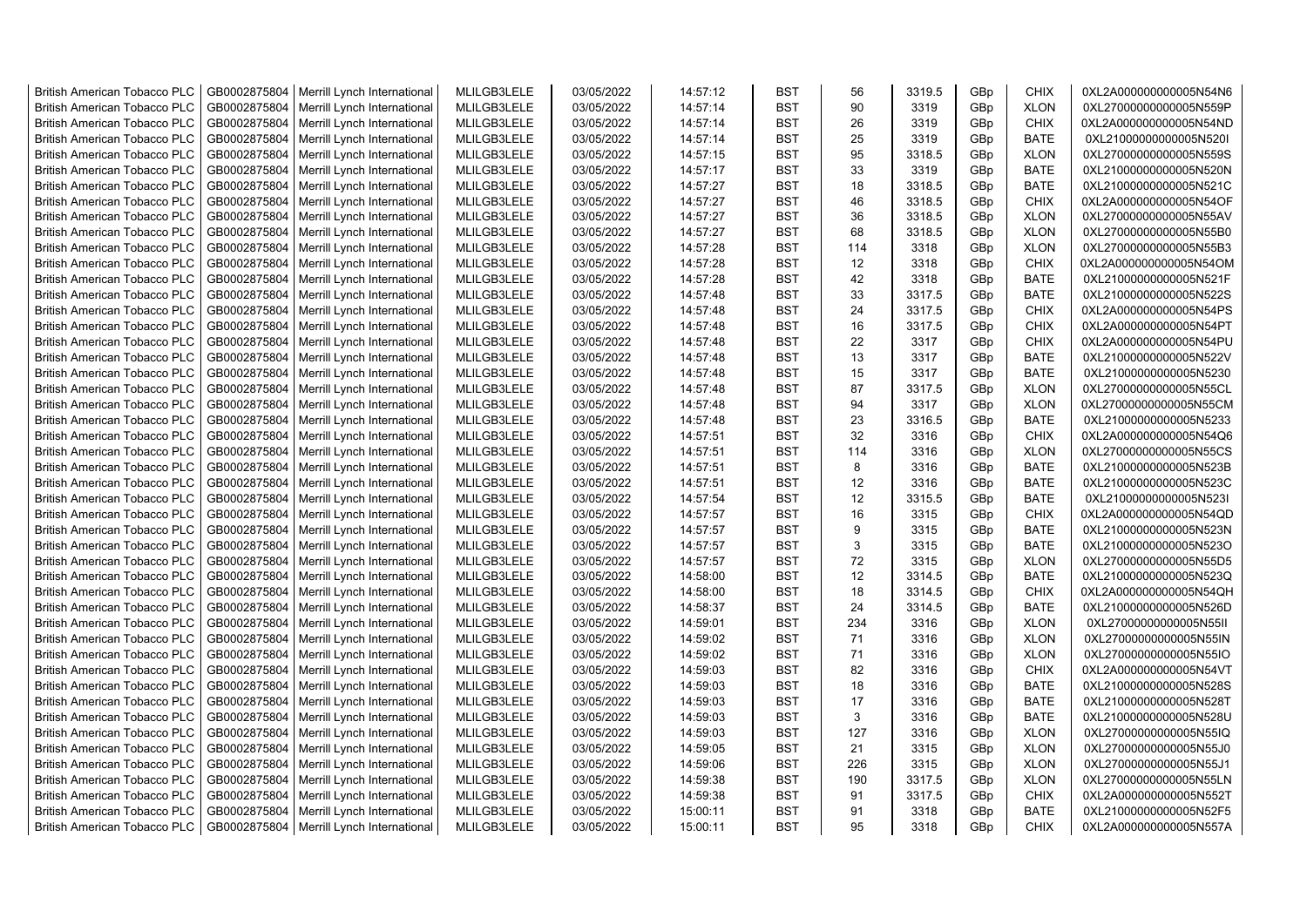| <b>British American Tobacco PLC</b> | GB0002875804 | Merrill Lynch International | MLILGB3LELE | 03/05/2022 | 14:57:12 | <b>BST</b> | 56  | 3319.5 | GBp             | <b>CHIX</b> | 0XL2A000000000005N54N6 |
|-------------------------------------|--------------|-----------------------------|-------------|------------|----------|------------|-----|--------|-----------------|-------------|------------------------|
| <b>British American Tobacco PLC</b> | GB0002875804 | Merrill Lynch International | MLILGB3LELE | 03/05/2022 | 14:57:14 | <b>BST</b> | 90  | 3319   | GBp             | <b>XLON</b> | 0XL27000000000005N559P |
| <b>British American Tobacco PLC</b> | GB0002875804 | Merrill Lynch International | MLILGB3LELE | 03/05/2022 | 14:57:14 | <b>BST</b> | 26  | 3319   | GBp             | <b>CHIX</b> | 0XL2A000000000005N54ND |
| <b>British American Tobacco PLC</b> | GB0002875804 | Merrill Lynch International | MLILGB3LELE | 03/05/2022 | 14:57:14 | <b>BST</b> | 25  | 3319   | GBp             | <b>BATE</b> | 0XL21000000000005N520I |
| <b>British American Tobacco PLC</b> | GB0002875804 | Merrill Lynch International | MLILGB3LELE | 03/05/2022 | 14:57:15 | <b>BST</b> | 95  | 3318.5 | GBp             | <b>XLON</b> | 0XL27000000000005N559S |
| <b>British American Tobacco PLC</b> | GB0002875804 | Merrill Lynch International | MLILGB3LELE | 03/05/2022 | 14:57:17 | <b>BST</b> | 33  | 3319   | GBp             | <b>BATE</b> | 0XL21000000000005N520N |
| <b>British American Tobacco PLC</b> | GB0002875804 | Merrill Lynch International | MLILGB3LELE | 03/05/2022 | 14:57:27 | <b>BST</b> | 18  | 3318.5 | GBp             | <b>BATE</b> | 0XL21000000000005N521C |
| <b>British American Tobacco PLC</b> | GB0002875804 | Merrill Lynch International | MLILGB3LELE | 03/05/2022 | 14:57:27 | <b>BST</b> | 46  | 3318.5 | GBp             | <b>CHIX</b> | 0XL2A000000000005N54OF |
| <b>British American Tobacco PLC</b> | GB0002875804 | Merrill Lynch International | MLILGB3LELE | 03/05/2022 | 14:57:27 | <b>BST</b> | 36  | 3318.5 | GBp             | <b>XLON</b> | 0XL27000000000005N55AV |
| <b>British American Tobacco PLC</b> | GB0002875804 | Merrill Lynch International | MLILGB3LELE | 03/05/2022 | 14:57:27 | <b>BST</b> | 68  | 3318.5 | GBp             | <b>XLON</b> | 0XL27000000000005N55B0 |
| <b>British American Tobacco PLC</b> | GB0002875804 | Merrill Lynch International | MLILGB3LELE | 03/05/2022 | 14:57:28 | <b>BST</b> | 114 | 3318   | GBp             | <b>XLON</b> | 0XL27000000000005N55B3 |
| <b>British American Tobacco PLC</b> | GB0002875804 | Merrill Lynch International | MLILGB3LELE | 03/05/2022 | 14:57:28 | <b>BST</b> | 12  | 3318   | GBp             | <b>CHIX</b> | 0XL2A000000000005N54OM |
| <b>British American Tobacco PLC</b> | GB0002875804 | Merrill Lynch International | MLILGB3LELE | 03/05/2022 | 14:57:28 | <b>BST</b> | 42  | 3318   | GBp             | <b>BATE</b> | 0XL21000000000005N521F |
| <b>British American Tobacco PLC</b> | GB0002875804 | Merrill Lynch International | MLILGB3LELE | 03/05/2022 | 14:57:48 | <b>BST</b> | 33  | 3317.5 | GBp             | <b>BATE</b> | 0XL21000000000005N522S |
| <b>British American Tobacco PLC</b> | GB0002875804 | Merrill Lynch International | MLILGB3LELE | 03/05/2022 | 14:57:48 | <b>BST</b> | 24  | 3317.5 | GBp             | <b>CHIX</b> | 0XL2A000000000005N54PS |
| <b>British American Tobacco PLC</b> | GB0002875804 | Merrill Lynch International | MLILGB3LELE | 03/05/2022 | 14:57:48 | <b>BST</b> | 16  | 3317.5 | GBp             | <b>CHIX</b> | 0XL2A000000000005N54PT |
| <b>British American Tobacco PLC</b> | GB0002875804 | Merrill Lynch International | MLILGB3LELE | 03/05/2022 | 14:57:48 | <b>BST</b> | 22  | 3317   | GBp             | <b>CHIX</b> | 0XL2A000000000005N54PU |
| <b>British American Tobacco PLC</b> | GB0002875804 | Merrill Lynch International | MLILGB3LELE | 03/05/2022 | 14:57:48 | <b>BST</b> | 13  | 3317   | GBp             | <b>BATE</b> | 0XL21000000000005N522V |
| <b>British American Tobacco PLC</b> | GB0002875804 | Merrill Lynch International | MLILGB3LELE | 03/05/2022 | 14:57:48 | <b>BST</b> | 15  | 3317   | GBp             | <b>BATE</b> | 0XL21000000000005N5230 |
| <b>British American Tobacco PLC</b> | GB0002875804 | Merrill Lynch International | MLILGB3LELE | 03/05/2022 | 14:57:48 | <b>BST</b> | 87  | 3317.5 | GBp             | <b>XLON</b> | 0XL27000000000005N55CL |
| <b>British American Tobacco PLC</b> | GB0002875804 | Merrill Lynch International | MLILGB3LELE | 03/05/2022 | 14:57:48 | <b>BST</b> | 94  | 3317   | GBp             | <b>XLON</b> | 0XL27000000000005N55CM |
| <b>British American Tobacco PLC</b> | GB0002875804 | Merrill Lynch International | MLILGB3LELE | 03/05/2022 | 14:57:48 | <b>BST</b> | 23  | 3316.5 | GBp             | <b>BATE</b> | 0XL21000000000005N5233 |
| <b>British American Tobacco PLC</b> | GB0002875804 | Merrill Lynch International | MLILGB3LELE | 03/05/2022 | 14:57:51 | <b>BST</b> | 32  | 3316   | GBp             | <b>CHIX</b> | 0XL2A000000000005N54Q6 |
| British American Tobacco PLC        | GB0002875804 | Merrill Lynch International | MLILGB3LELE | 03/05/2022 | 14:57:51 | <b>BST</b> | 114 | 3316   | GBp             | <b>XLON</b> | 0XL27000000000005N55CS |
| <b>British American Tobacco PLC</b> | GB0002875804 | Merrill Lynch International | MLILGB3LELE | 03/05/2022 | 14:57:51 | <b>BST</b> | 8   | 3316   | GBp             | <b>BATE</b> | 0XL21000000000005N523B |
| <b>British American Tobacco PLC</b> | GB0002875804 | Merrill Lynch International | MLILGB3LELE | 03/05/2022 | 14:57:51 | <b>BST</b> | 12  | 3316   | GBp             | BATE        | 0XL21000000000005N523C |
| <b>British American Tobacco PLC</b> | GB0002875804 | Merrill Lynch International | MLILGB3LELE | 03/05/2022 | 14:57:54 | <b>BST</b> | 12  | 3315.5 | GBp             | <b>BATE</b> | 0XL21000000000005N523I |
| <b>British American Tobacco PLC</b> | GB0002875804 | Merrill Lynch International | MLILGB3LELE | 03/05/2022 | 14:57:57 | <b>BST</b> | 16  | 3315   | GBp             | <b>CHIX</b> | 0XL2A000000000005N54QD |
| <b>British American Tobacco PLC</b> | GB0002875804 | Merrill Lynch International | MLILGB3LELE | 03/05/2022 | 14:57:57 | <b>BST</b> | 9   | 3315   | GBp             | <b>BATE</b> | 0XL21000000000005N523N |
| <b>British American Tobacco PLC</b> | GB0002875804 | Merrill Lynch International | MLILGB3LELE | 03/05/2022 | 14:57:57 | <b>BST</b> | 3   | 3315   | GBp             | <b>BATE</b> | 0XL21000000000005N523O |
| <b>British American Tobacco PLC</b> | GB0002875804 | Merrill Lynch International | MLILGB3LELE | 03/05/2022 | 14:57:57 | <b>BST</b> | 72  | 3315   | GBp             | <b>XLON</b> | 0XL27000000000005N55D5 |
| <b>British American Tobacco PLC</b> | GB0002875804 | Merrill Lynch International | MLILGB3LELE | 03/05/2022 | 14:58:00 | <b>BST</b> | 12  | 3314.5 | GBp             | <b>BATE</b> | 0XL21000000000005N523Q |
| <b>British American Tobacco PLC</b> | GB0002875804 | Merrill Lynch International | MLILGB3LELE | 03/05/2022 | 14:58:00 | BST        | 18  | 3314.5 | GBp             | <b>CHIX</b> | 0XL2A000000000005N54QH |
| <b>British American Tobacco PLC</b> | GB0002875804 | Merrill Lynch International | MLILGB3LELE | 03/05/2022 | 14:58:37 | <b>BST</b> | 24  | 3314.5 | GBp             | <b>BATE</b> | 0XL21000000000005N526D |
| <b>British American Tobacco PLC</b> | GB0002875804 | Merrill Lynch International | MLILGB3LELE | 03/05/2022 | 14:59:01 | <b>BST</b> | 234 | 3316   | GBp             | <b>XLON</b> | 0XL27000000000005N55II |
| <b>British American Tobacco PLC</b> | GB0002875804 | Merrill Lynch International | MLILGB3LELE | 03/05/2022 | 14:59:02 | <b>BST</b> | 71  | 3316   | GBp             | <b>XLON</b> | 0XL27000000000005N55IN |
| <b>British American Tobacco PLC</b> | GB0002875804 | Merrill Lynch International | MLILGB3LELE | 03/05/2022 | 14:59:02 | <b>BST</b> | 71  | 3316   | GBp             | <b>XLON</b> | 0XL27000000000005N55IO |
| <b>British American Tobacco PLC</b> | GB0002875804 | Merrill Lynch International | MLILGB3LELE | 03/05/2022 | 14:59:03 | <b>BST</b> | 82  | 3316   | GBp             | <b>CHIX</b> | 0XL2A000000000005N54VT |
| <b>British American Tobacco PLC</b> | GB0002875804 | Merrill Lynch International | MLILGB3LELE | 03/05/2022 | 14:59:03 | <b>BST</b> | 18  | 3316   | GBp             | <b>BATE</b> | 0XL21000000000005N528S |
| <b>British American Tobacco PLC</b> | GB0002875804 | Merrill Lynch International | MLILGB3LELE | 03/05/2022 | 14:59:03 | <b>BST</b> | 17  | 3316   | GBp             | <b>BATE</b> | 0XL21000000000005N528T |
| <b>British American Tobacco PLC</b> | GB0002875804 | Merrill Lynch International | MLILGB3LELE | 03/05/2022 | 14:59:03 | <b>BST</b> | 3   | 3316   | GBp             | <b>BATE</b> | 0XL21000000000005N528U |
| <b>British American Tobacco PLC</b> | GB0002875804 | Merrill Lynch International | MLILGB3LELE | 03/05/2022 | 14:59:03 | <b>BST</b> | 127 | 3316   | GBp             | <b>XLON</b> | 0XL27000000000005N55IQ |
| <b>British American Tobacco PLC</b> | GB0002875804 | Merrill Lynch International | MLILGB3LELE | 03/05/2022 | 14:59:05 | <b>BST</b> | 21  | 3315   | GBp             | <b>XLON</b> | 0XL27000000000005N55J0 |
| <b>British American Tobacco PLC</b> | GB0002875804 | Merrill Lynch International | MLILGB3LELE | 03/05/2022 | 14:59:06 | <b>BST</b> | 226 | 3315   | GBp             | <b>XLON</b> | 0XL27000000000005N55J1 |
| <b>British American Tobacco PLC</b> | GB0002875804 | Merrill Lynch International | MLILGB3LELE | 03/05/2022 | 14:59:38 | <b>BST</b> | 190 | 3317.5 | GBp             | <b>XLON</b> | 0XL27000000000005N55LN |
| <b>British American Tobacco PLC</b> | GB0002875804 | Merrill Lynch International | MLILGB3LELE | 03/05/2022 | 14:59:38 | <b>BST</b> | 91  | 3317.5 | GBp             | <b>CHIX</b> | 0XL2A000000000005N552T |
| <b>British American Tobacco PLC</b> | GB0002875804 |                             | MLILGB3LELE | 03/05/2022 | 15:00:11 | <b>BST</b> | 91  | 3318   | GBp             | <b>BATE</b> | 0XL21000000000005N52F5 |
|                                     |              | Merrill Lynch International | MLILGB3LELE |            | 15:00:11 | <b>BST</b> | 95  | 3318   | GB <sub>p</sub> | <b>CHIX</b> |                        |
| <b>British American Tobacco PLC</b> | GB0002875804 | Merrill Lynch International |             | 03/05/2022 |          |            |     |        |                 |             | 0XL2A000000000005N557A |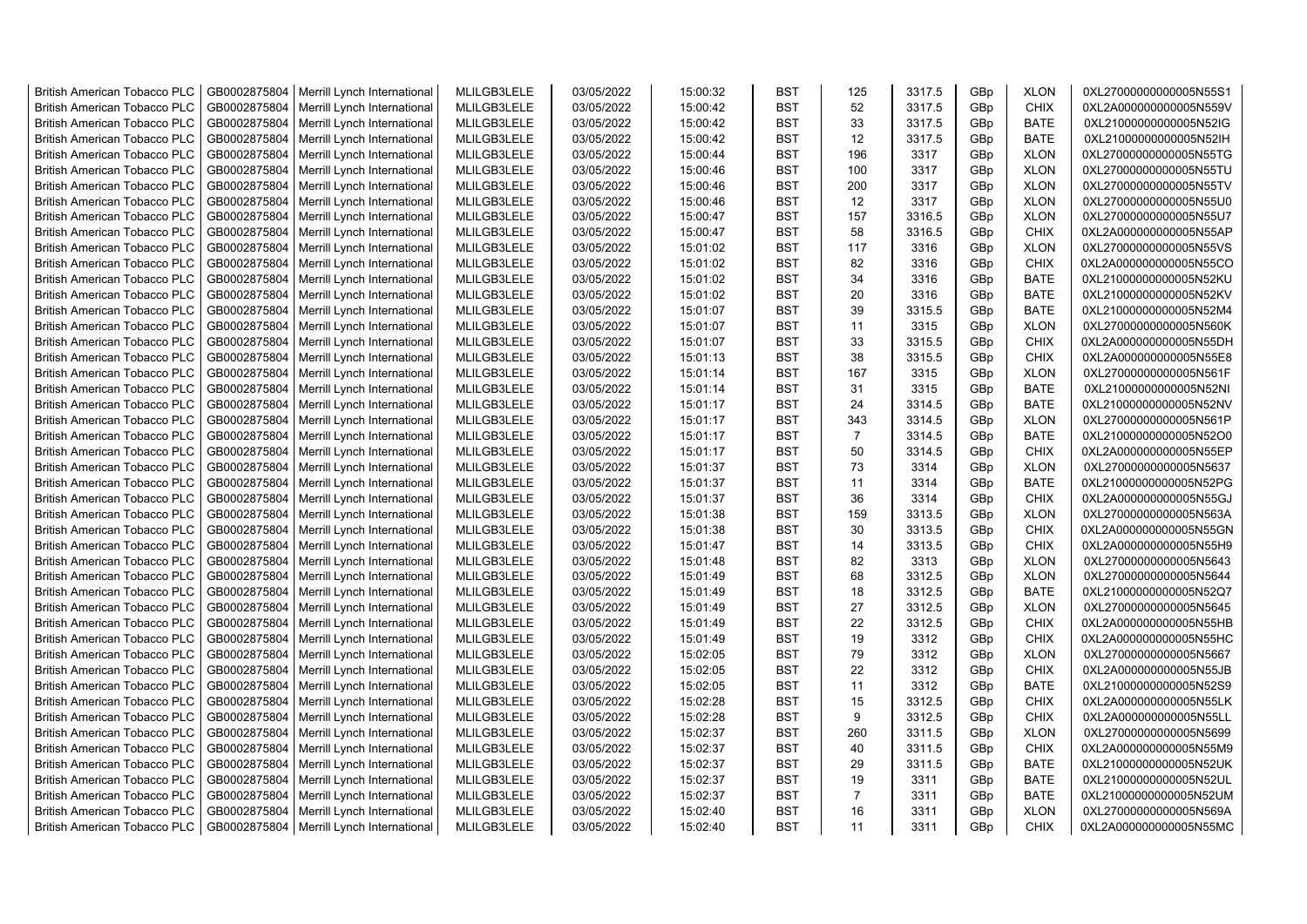| <b>British American Tobacco PLC</b> | GB0002875804 | Merrill Lynch International | MLILGB3LELE | 03/05/2022 | 15:00:32 | <b>BST</b> | 125            | 3317.5 | GBp | <b>XLON</b> | 0XL27000000000005N55S1 |
|-------------------------------------|--------------|-----------------------------|-------------|------------|----------|------------|----------------|--------|-----|-------------|------------------------|
| <b>British American Tobacco PLC</b> | GB0002875804 | Merrill Lynch International | MLILGB3LELE | 03/05/2022 | 15:00:42 | <b>BST</b> | 52             | 3317.5 | GBp | <b>CHIX</b> | 0XL2A000000000005N559V |
| <b>British American Tobacco PLC</b> | GB0002875804 | Merrill Lynch International | MLILGB3LELE | 03/05/2022 | 15:00:42 | <b>BST</b> | 33             | 3317.5 | GBp | <b>BATE</b> | 0XL21000000000005N52IG |
| <b>British American Tobacco PLC</b> | GB0002875804 | Merrill Lynch International | MLILGB3LELE | 03/05/2022 | 15:00:42 | <b>BST</b> | 12             | 3317.5 | GBp | <b>BATE</b> | 0XL21000000000005N52lH |
| British American Tobacco PLC        | GB0002875804 | Merrill Lynch International | MLILGB3LELE | 03/05/2022 | 15:00:44 | <b>BST</b> | 196            | 3317   | GBp | <b>XLON</b> | 0XL27000000000005N55TG |
| <b>British American Tobacco PLC</b> | GB0002875804 | Merrill Lynch International | MLILGB3LELE | 03/05/2022 | 15:00:46 | <b>BST</b> | 100            | 3317   | GBp | <b>XLON</b> | 0XL27000000000005N55TU |
| <b>British American Tobacco PLC</b> | GB0002875804 | Merrill Lynch International | MLILGB3LELE | 03/05/2022 | 15:00:46 | <b>BST</b> | 200            | 3317   | GBp | <b>XLON</b> | 0XL27000000000005N55TV |
| <b>British American Tobacco PLC</b> | GB0002875804 | Merrill Lynch International | MLILGB3LELE | 03/05/2022 | 15:00:46 | <b>BST</b> | 12             | 3317   | GBp | <b>XLON</b> | 0XL27000000000005N55U0 |
| <b>British American Tobacco PLC</b> | GB0002875804 | Merrill Lynch International | MLILGB3LELE | 03/05/2022 | 15:00:47 | <b>BST</b> | 157            | 3316.5 | GBp | <b>XLON</b> | 0XL27000000000005N55U7 |
| <b>British American Tobacco PLC</b> | GB0002875804 | Merrill Lynch International | MLILGB3LELE | 03/05/2022 | 15:00:47 | <b>BST</b> | 58             | 3316.5 | GBp | <b>CHIX</b> | 0XL2A000000000005N55AP |
| <b>British American Tobacco PLC</b> | GB0002875804 | Merrill Lynch International | MLILGB3LELE | 03/05/2022 | 15:01:02 | <b>BST</b> | 117            | 3316   | GBp | <b>XLON</b> | 0XL27000000000005N55VS |
| <b>British American Tobacco PLC</b> | GB0002875804 | Merrill Lynch International | MLILGB3LELE | 03/05/2022 | 15:01:02 | <b>BST</b> | 82             | 3316   | GBp | CHIX        | 0XL2A000000000005N55CO |
| <b>British American Tobacco PLC</b> | GB0002875804 | Merrill Lynch International | MLILGB3LELE | 03/05/2022 | 15:01:02 | <b>BST</b> | 34             | 3316   | GBp | <b>BATE</b> | 0XL21000000000005N52KU |
| <b>British American Tobacco PLC</b> | GB0002875804 | Merrill Lynch International | MLILGB3LELE | 03/05/2022 | 15:01:02 | <b>BST</b> | 20             | 3316   | GBp | <b>BATE</b> | 0XL21000000000005N52KV |
| <b>British American Tobacco PLC</b> | GB0002875804 | Merrill Lynch International | MLILGB3LELE | 03/05/2022 | 15:01:07 | <b>BST</b> | 39             | 3315.5 | GBp | <b>BATE</b> | 0XL21000000000005N52M4 |
| <b>British American Tobacco PLC</b> | GB0002875804 | Merrill Lynch International | MLILGB3LELE | 03/05/2022 | 15:01:07 | <b>BST</b> | 11             | 3315   | GBp | <b>XLON</b> | 0XL27000000000005N560K |
| <b>British American Tobacco PLC</b> | GB0002875804 | Merrill Lynch International | MLILGB3LELE | 03/05/2022 | 15:01:07 | <b>BST</b> | 33             | 3315.5 | GBp | CHIX        | 0XL2A000000000005N55DH |
| <b>British American Tobacco PLC</b> | GB0002875804 | Merrill Lynch International | MLILGB3LELE | 03/05/2022 | 15:01:13 | <b>BST</b> | 38             | 3315.5 | GBp | <b>CHIX</b> | 0XL2A000000000005N55E8 |
| <b>British American Tobacco PLC</b> | GB0002875804 | Merrill Lynch International | MLILGB3LELE | 03/05/2022 | 15:01:14 | <b>BST</b> | 167            | 3315   | GBp | <b>XLON</b> | 0XL27000000000005N561F |
| <b>British American Tobacco PLC</b> | GB0002875804 | Merrill Lynch International | MLILGB3LELE | 03/05/2022 | 15:01:14 | <b>BST</b> | 31             | 3315   | GBp | <b>BATE</b> | 0XL21000000000005N52NI |
| <b>British American Tobacco PLC</b> | GB0002875804 | Merrill Lynch International | MLILGB3LELE | 03/05/2022 | 15:01:17 | <b>BST</b> | 24             | 3314.5 | GBp | <b>BATE</b> | 0XL21000000000005N52NV |
| <b>British American Tobacco PLC</b> | GB0002875804 | Merrill Lynch International | MLILGB3LELE | 03/05/2022 | 15:01:17 | <b>BST</b> | 343            | 3314.5 | GBp | <b>XLON</b> | 0XL27000000000005N561P |
| British American Tobacco PLC        | GB0002875804 | Merrill Lynch International | MLILGB3LELE | 03/05/2022 | 15:01:17 | <b>BST</b> | $\overline{7}$ | 3314.5 | GBp | <b>BATE</b> | 0XL21000000000005N52O0 |
| <b>British American Tobacco PLC</b> | GB0002875804 | Merrill Lynch International | MLILGB3LELE | 03/05/2022 | 15:01:17 | <b>BST</b> | 50             | 3314.5 | GBp | <b>CHIX</b> | 0XL2A000000000005N55EP |
| <b>British American Tobacco PLC</b> | GB0002875804 | Merrill Lynch International | MLILGB3LELE | 03/05/2022 | 15:01:37 | <b>BST</b> | 73             | 3314   | GBp | <b>XLON</b> | 0XL27000000000005N5637 |
| <b>British American Tobacco PLC</b> | GB0002875804 | Merrill Lynch International | MLILGB3LELE | 03/05/2022 | 15:01:37 | <b>BST</b> | 11             | 3314   | GBp | <b>BATE</b> | 0XL21000000000005N52PG |
| <b>British American Tobacco PLC</b> | GB0002875804 | Merrill Lynch International | MLILGB3LELE | 03/05/2022 | 15:01:37 | <b>BST</b> | 36             | 3314   | GBp | <b>CHIX</b> | 0XL2A000000000005N55GJ |
| <b>British American Tobacco PLC</b> | GB0002875804 | Merrill Lynch International | MLILGB3LELE | 03/05/2022 | 15:01:38 | <b>BST</b> | 159            | 3313.5 | GBp | <b>XLON</b> | 0XL27000000000005N563A |
| <b>British American Tobacco PLC</b> | GB0002875804 | Merrill Lynch International | MLILGB3LELE | 03/05/2022 | 15:01:38 | <b>BST</b> | 30             | 3313.5 | GBp | <b>CHIX</b> | 0XL2A000000000005N55GN |
| <b>British American Tobacco PLC</b> | GB0002875804 | Merrill Lynch International | MLILGB3LELE | 03/05/2022 | 15:01:47 | <b>BST</b> | 14             | 3313.5 | GBp | CHIX        | 0XL2A000000000005N55H9 |
| <b>British American Tobacco PLC</b> | GB0002875804 | Merrill Lynch International | MLILGB3LELE | 03/05/2022 | 15:01:48 | <b>BST</b> | 82             | 3313   | GBp | <b>XLON</b> | 0XL27000000000005N5643 |
|                                     |              |                             | MLILGB3LELE | 03/05/2022 |          | <b>BST</b> | 68             |        |     | <b>XLON</b> |                        |
| <b>British American Tobacco PLC</b> | GB0002875804 | Merrill Lynch International |             |            | 15:01:49 |            | 18             | 3312.5 | GBp |             | 0XL27000000000005N5644 |
| <b>British American Tobacco PLC</b> | GB0002875804 | Merrill Lynch International | MLILGB3LELE | 03/05/2022 | 15:01:49 | <b>BST</b> |                | 3312.5 | GBp | <b>BATE</b> | 0XL21000000000005N52Q7 |
| <b>British American Tobacco PLC</b> | GB0002875804 | Merrill Lynch International | MLILGB3LELE | 03/05/2022 | 15:01:49 | <b>BST</b> | 27             | 3312.5 | GBp | <b>XLON</b> | 0XL27000000000005N5645 |
| <b>British American Tobacco PLC</b> | GB0002875804 | Merrill Lynch International | MLILGB3LELE | 03/05/2022 | 15:01:49 | <b>BST</b> | 22             | 3312.5 | GBp | <b>CHIX</b> | 0XL2A000000000005N55HB |
| <b>British American Tobacco PLC</b> | GB0002875804 | Merrill Lynch International | MLILGB3LELE | 03/05/2022 | 15:01:49 | <b>BST</b> | 19<br>79       | 3312   | GBp | <b>CHIX</b> | 0XL2A000000000005N55HC |
| <b>British American Tobacco PLC</b> | GB0002875804 | Merrill Lynch International | MLILGB3LELE | 03/05/2022 | 15:02:05 | <b>BST</b> |                | 3312   | GBp | <b>XLON</b> | 0XL27000000000005N5667 |
| <b>British American Tobacco PLC</b> | GB0002875804 | Merrill Lynch International | MLILGB3LELE | 03/05/2022 | 15:02:05 | <b>BST</b> | 22             | 3312   | GBp | <b>CHIX</b> | 0XL2A000000000005N55JB |
| <b>British American Tobacco PLC</b> | GB0002875804 | Merrill Lynch International | MLILGB3LELE | 03/05/2022 | 15:02:05 | <b>BST</b> | 11             | 3312   | GBp | <b>BATE</b> | 0XL21000000000005N52S9 |
| <b>British American Tobacco PLC</b> | GB0002875804 | Merrill Lynch International | MLILGB3LELE | 03/05/2022 | 15:02:28 | <b>BST</b> | 15             | 3312.5 | GBp | <b>CHIX</b> | 0XL2A000000000005N55LK |
| <b>British American Tobacco PLC</b> | GB0002875804 | Merrill Lynch International | MLILGB3LELE | 03/05/2022 | 15:02:28 | <b>BST</b> | 9              | 3312.5 | GBp | <b>CHIX</b> | 0XL2A000000000005N55LL |
| <b>British American Tobacco PLC</b> | GB0002875804 | Merrill Lynch International | MLILGB3LELE | 03/05/2022 | 15:02:37 | <b>BST</b> | 260            | 3311.5 | GBp | <b>XLON</b> | 0XL27000000000005N5699 |
| <b>British American Tobacco PLC</b> | GB0002875804 | Merrill Lynch International | MLILGB3LELE | 03/05/2022 | 15:02:37 | <b>BST</b> | 40             | 3311.5 | GBp | <b>CHIX</b> | 0XL2A000000000005N55M9 |
| <b>British American Tobacco PLC</b> | GB0002875804 | Merrill Lynch International | MLILGB3LELE | 03/05/2022 | 15:02:37 | <b>BST</b> | 29             | 3311.5 | GBp | <b>BATE</b> | 0XL21000000000005N52UK |
| <b>British American Tobacco PLC</b> | GB0002875804 | Merrill Lynch International | MLILGB3LELE | 03/05/2022 | 15:02:37 | <b>BST</b> | 19             | 3311   | GBp | <b>BATE</b> | 0XL21000000000005N52UL |
| <b>British American Tobacco PLC</b> | GB0002875804 | Merrill Lynch International | MLILGB3LELE | 03/05/2022 | 15:02:37 | <b>BST</b> | $\overline{7}$ | 3311   | GBp | <b>BATE</b> | 0XL21000000000005N52UM |
| <b>British American Tobacco PLC</b> | GB0002875804 | Merrill Lynch International | MLILGB3LELE | 03/05/2022 | 15:02:40 | <b>BST</b> | 16             | 3311   | GBp | <b>XLON</b> | 0XL27000000000005N569A |
| <b>British American Tobacco PLC</b> | GB0002875804 | Merrill Lynch International | MLILGB3LELE | 03/05/2022 | 15:02:40 | <b>BST</b> | 11             | 3311   | GBp | <b>CHIX</b> | 0XL2A000000000005N55MC |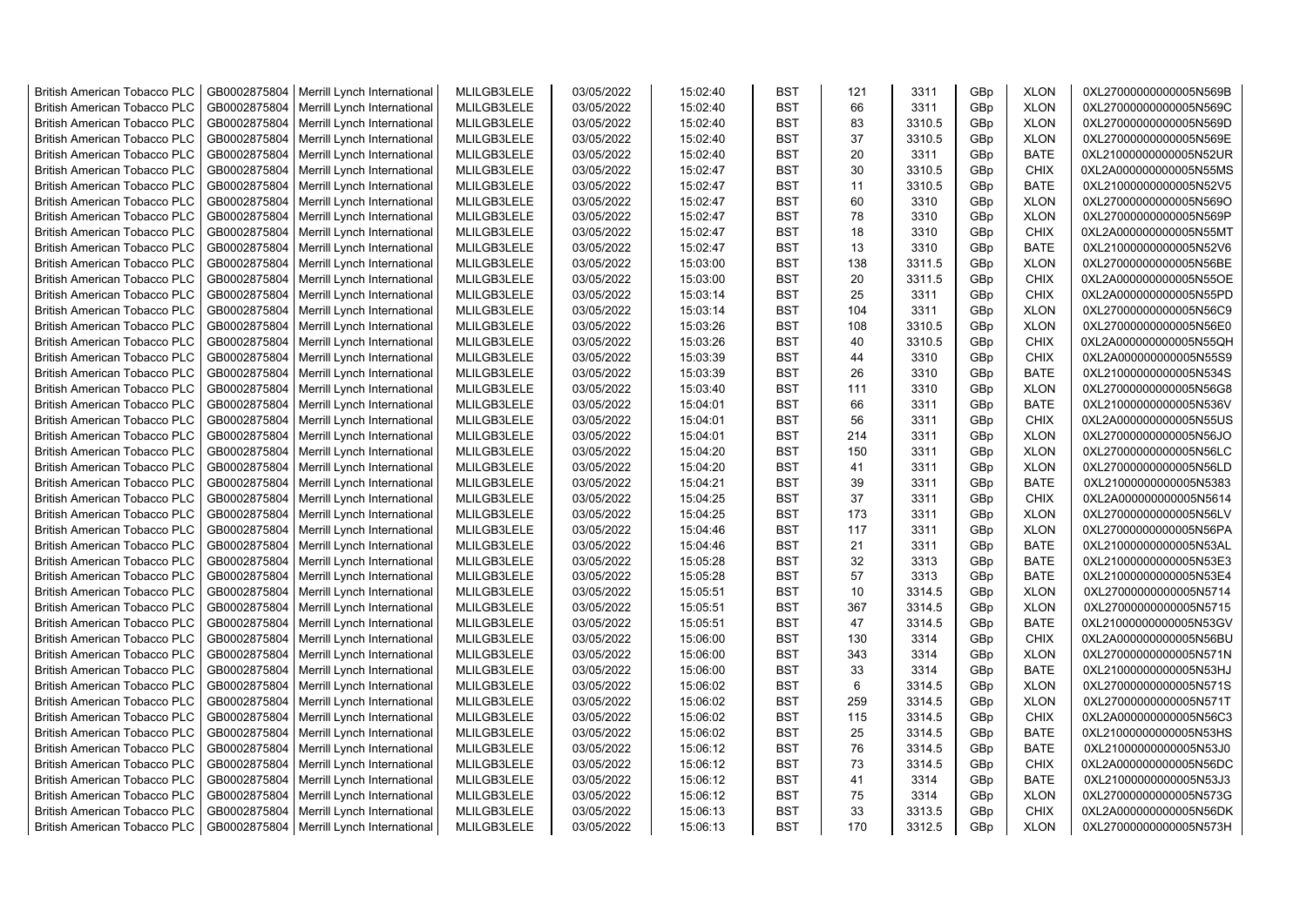| <b>British American Tobacco PLC</b> | GB0002875804 | Merrill Lynch International                | MLILGB3LELE | 03/05/2022 | 15:02:40 | <b>BST</b> | 121 | 3311   | GBp | <b>XLON</b> | 0XL27000000000005N569B |
|-------------------------------------|--------------|--------------------------------------------|-------------|------------|----------|------------|-----|--------|-----|-------------|------------------------|
| <b>British American Tobacco PLC</b> | GB0002875804 | Merrill Lynch International                | MLILGB3LELE | 03/05/2022 | 15:02:40 | <b>BST</b> | 66  | 3311   | GBp | <b>XLON</b> | 0XL27000000000005N569C |
| <b>British American Tobacco PLC</b> | GB0002875804 | Merrill Lynch International                | MLILGB3LELE | 03/05/2022 | 15:02:40 | <b>BST</b> | 83  | 3310.5 | GBp | <b>XLON</b> | 0XL27000000000005N569D |
| <b>British American Tobacco PLC</b> | GB0002875804 | Merrill Lynch International                | MLILGB3LELE | 03/05/2022 | 15:02:40 | <b>BST</b> | 37  | 3310.5 | GBp | <b>XLON</b> | 0XL27000000000005N569E |
| <b>British American Tobacco PLC</b> | GB0002875804 | Merrill Lynch International                | MLILGB3LELE | 03/05/2022 | 15:02:40 | <b>BST</b> | 20  | 3311   | GBp | <b>BATE</b> | 0XL21000000000005N52UR |
| <b>British American Tobacco PLC</b> | GB0002875804 | Merrill Lynch International                | MLILGB3LELE | 03/05/2022 | 15:02:47 | <b>BST</b> | 30  | 3310.5 | GBp | <b>CHIX</b> | 0XL2A000000000005N55MS |
| <b>British American Tobacco PLC</b> | GB0002875804 | Merrill Lynch International                | MLILGB3LELE | 03/05/2022 | 15:02:47 | BST        | 11  | 3310.5 | GBp | <b>BATE</b> | 0XL21000000000005N52V5 |
| <b>British American Tobacco PLC</b> | GB0002875804 | Merrill Lynch International                | MLILGB3LELE | 03/05/2022 | 15:02:47 | <b>BST</b> | 60  | 3310   | GBp | <b>XLON</b> | 0XL27000000000005N569O |
| <b>British American Tobacco PLC</b> | GB0002875804 | Merrill Lynch International                | MLILGB3LELE | 03/05/2022 | 15:02:47 | <b>BST</b> | 78  | 3310   | GBp | <b>XLON</b> | 0XL27000000000005N569P |
| <b>British American Tobacco PLC</b> | GB0002875804 | Merrill Lynch International                | MLILGB3LELE | 03/05/2022 | 15:02:47 | <b>BST</b> | 18  | 3310   | GBp | <b>CHIX</b> | 0XL2A000000000005N55MT |
| <b>British American Tobacco PLC</b> | GB0002875804 | Merrill Lynch International                | MLILGB3LELE | 03/05/2022 | 15:02:47 | <b>BST</b> | 13  | 3310   | GBp | <b>BATE</b> | 0XL21000000000005N52V6 |
| <b>British American Tobacco PLC</b> | GB0002875804 | Merrill Lynch International                | MLILGB3LELE | 03/05/2022 | 15:03:00 | <b>BST</b> | 138 | 3311.5 | GBp | <b>XLON</b> | 0XL27000000000005N56BE |
| British American Tobacco PLC        | GB0002875804 | Merrill Lynch International                | MLILGB3LELE | 03/05/2022 | 15:03:00 | <b>BST</b> | 20  | 3311.5 | GBp | <b>CHIX</b> | 0XL2A000000000005N55OE |
| <b>British American Tobacco PLC</b> | GB0002875804 | Merrill Lynch International                | MLILGB3LELE | 03/05/2022 | 15:03:14 | <b>BST</b> | 25  | 3311   | GBp | <b>CHIX</b> | 0XL2A000000000005N55PD |
| <b>British American Tobacco PLC</b> | GB0002875804 | Merrill Lynch International                | MLILGB3LELE | 03/05/2022 | 15:03:14 | <b>BST</b> | 104 | 3311   | GBp | <b>XLON</b> | 0XL27000000000005N56C9 |
| <b>British American Tobacco PLC</b> | GB0002875804 | Merrill Lynch International                | MLILGB3LELE | 03/05/2022 | 15:03:26 | <b>BST</b> | 108 | 3310.5 | GBp | <b>XLON</b> | 0XL27000000000005N56E0 |
| <b>British American Tobacco PLC</b> | GB0002875804 | Merrill Lynch International                | MLILGB3LELE | 03/05/2022 | 15:03:26 | <b>BST</b> | 40  | 3310.5 | GBp | CHIX        | 0XL2A000000000005N55QH |
| <b>British American Tobacco PLC</b> | GB0002875804 | Merrill Lynch International                | MLILGB3LELE | 03/05/2022 | 15:03:39 | <b>BST</b> | 44  | 3310   | GBp | CHIX        | 0XL2A000000000005N55S9 |
| <b>British American Tobacco PLC</b> | GB0002875804 | Merrill Lynch International                | MLILGB3LELE | 03/05/2022 | 15:03:39 | <b>BST</b> | 26  | 3310   | GBp | <b>BATE</b> | 0XL21000000000005N534S |
| <b>British American Tobacco PLC</b> | GB0002875804 | Merrill Lynch International                | MLILGB3LELE | 03/05/2022 | 15:03:40 | <b>BST</b> | 111 | 3310   | GBp | <b>XLON</b> | 0XL27000000000005N56G8 |
| <b>British American Tobacco PLC</b> | GB0002875804 | Merrill Lynch International                | MLILGB3LELE | 03/05/2022 | 15:04:01 | <b>BST</b> | 66  | 3311   | GBp | <b>BATE</b> | 0XL21000000000005N536V |
| <b>British American Tobacco PLC</b> | GB0002875804 | Merrill Lynch International                | MLILGB3LELE | 03/05/2022 | 15:04:01 | <b>BST</b> | 56  | 3311   | GBp | <b>CHIX</b> | 0XL2A000000000005N55US |
| <b>British American Tobacco PLC</b> | GB0002875804 | Merrill Lynch International                | MLILGB3LELE | 03/05/2022 | 15:04:01 | <b>BST</b> | 214 | 3311   | GBp | <b>XLON</b> | 0XL27000000000005N56JO |
| <b>British American Tobacco PLC</b> | GB0002875804 | Merrill Lynch International                | MLILGB3LELE | 03/05/2022 | 15:04:20 | <b>BST</b> | 150 | 3311   | GBp | <b>XLON</b> | 0XL27000000000005N56LC |
| <b>British American Tobacco PLC</b> | GB0002875804 | Merrill Lynch International                | MLILGB3LELE | 03/05/2022 | 15:04:20 | <b>BST</b> | 41  | 3311   | GBp | <b>XLON</b> | 0XL27000000000005N56LD |
| <b>British American Tobacco PLC</b> | GB0002875804 | Merrill Lynch International                | MLILGB3LELE | 03/05/2022 | 15:04:21 | <b>BST</b> | 39  | 3311   | GBp | <b>BATE</b> | 0XL21000000000005N5383 |
| <b>British American Tobacco PLC</b> | GB0002875804 | Merrill Lynch International                | MLILGB3LELE | 03/05/2022 | 15:04:25 | <b>BST</b> | 37  | 3311   | GBp | <b>CHIX</b> | 0XL2A000000000005N5614 |
| <b>British American Tobacco PLC</b> | GB0002875804 | Merrill Lynch International                | MLILGB3LELE | 03/05/2022 | 15:04:25 | <b>BST</b> | 173 | 3311   | GBp | <b>XLON</b> | 0XL27000000000005N56LV |
| <b>British American Tobacco PLC</b> | GB0002875804 | Merrill Lynch International                | MLILGB3LELE | 03/05/2022 | 15:04:46 | <b>BST</b> | 117 | 3311   | GBp | <b>XLON</b> | 0XL27000000000005N56PA |
| <b>British American Tobacco PLC</b> | GB0002875804 | Merrill Lynch International                | MLILGB3LELE | 03/05/2022 | 15:04:46 | <b>BST</b> | 21  | 3311   | GBp | <b>BATE</b> | 0XL21000000000005N53AL |
| <b>British American Tobacco PLC</b> | GB0002875804 | Merrill Lynch International                | MLILGB3LELE | 03/05/2022 | 15:05:28 | <b>BST</b> | 32  | 3313   | GBp | <b>BATE</b> | 0XL21000000000005N53E3 |
| <b>British American Tobacco PLC</b> | GB0002875804 | Merrill Lynch International                | MLILGB3LELE | 03/05/2022 | 15:05:28 | <b>BST</b> | 57  | 3313   | GBp | <b>BATE</b> | 0XL21000000000005N53E4 |
| <b>British American Tobacco PLC</b> | GB0002875804 | Merrill Lynch International                | MLILGB3LELE | 03/05/2022 | 15:05:51 | <b>BST</b> | 10  | 3314.5 | GBp | <b>XLON</b> | 0XL27000000000005N5714 |
| <b>British American Tobacco PLC</b> | GB0002875804 | Merrill Lynch International                | MLILGB3LELE | 03/05/2022 | 15:05:51 | <b>BST</b> | 367 | 3314.5 | GBp | <b>XLON</b> | 0XL27000000000005N5715 |
| <b>British American Tobacco PLC</b> | GB0002875804 | Merrill Lynch International                | MLILGB3LELE | 03/05/2022 | 15:05:51 | <b>BST</b> | 47  | 3314.5 | GBp | <b>BATE</b> | 0XL21000000000005N53GV |
| <b>British American Tobacco PLC</b> | GB0002875804 | Merrill Lynch International                | MLILGB3LELE | 03/05/2022 | 15:06:00 | <b>BST</b> | 130 | 3314   | GBp | <b>CHIX</b> | 0XL2A000000000005N56BU |
| <b>British American Tobacco PLC</b> | GB0002875804 | Merrill Lynch International                | MLILGB3LELE | 03/05/2022 | 15:06:00 | <b>BST</b> | 343 | 3314   | GBp | <b>XLON</b> | 0XL27000000000005N571N |
| <b>British American Tobacco PLC</b> | GB0002875804 | Merrill Lynch International                | MLILGB3LELE | 03/05/2022 | 15:06:00 | <b>BST</b> | 33  | 3314   | GBp | <b>BATE</b> | 0XL21000000000005N53HJ |
| <b>British American Tobacco PLC</b> | GB0002875804 | Merrill Lynch International                | MLILGB3LELE | 03/05/2022 | 15:06:02 | <b>BST</b> | 6   | 3314.5 | GBp | <b>XLON</b> | 0XL27000000000005N571S |
| <b>British American Tobacco PLC</b> | GB0002875804 | Merrill Lynch International                | MLILGB3LELE | 03/05/2022 | 15:06:02 | <b>BST</b> | 259 | 3314.5 | GBp | <b>XLON</b> | 0XL27000000000005N571T |
| <b>British American Tobacco PLC</b> | GB0002875804 | Merrill Lynch International                | MLILGB3LELE | 03/05/2022 | 15:06:02 | <b>BST</b> | 115 | 3314.5 | GBp | <b>CHIX</b> | 0XL2A000000000005N56C3 |
| <b>British American Tobacco PLC</b> | GB0002875804 | Merrill Lynch International                | MLILGB3LELE | 03/05/2022 | 15:06:02 | <b>BST</b> | 25  | 3314.5 | GBp | <b>BATE</b> | 0XL21000000000005N53HS |
| <b>British American Tobacco PLC</b> | GB0002875804 | Merrill Lynch International                | MLILGB3LELE | 03/05/2022 | 15:06:12 | <b>BST</b> | 76  | 3314.5 | GBp | <b>BATE</b> | 0XL21000000000005N53J0 |
| <b>British American Tobacco PLC</b> | GB0002875804 | Merrill Lynch International                | MLILGB3LELE | 03/05/2022 | 15:06:12 | <b>BST</b> | 73  | 3314.5 | GBp | <b>CHIX</b> | 0XL2A000000000005N56DC |
| <b>British American Tobacco PLC</b> | GB0002875804 | Merrill Lynch International                | MLILGB3LELE | 03/05/2022 | 15:06:12 | <b>BST</b> | 41  | 3314   | GBp | <b>BATE</b> | 0XL21000000000005N53J3 |
| <b>British American Tobacco PLC</b> | GB0002875804 | Merrill Lynch International                | MLILGB3LELE | 03/05/2022 | 15:06:12 | <b>BST</b> | 75  | 3314   | GBp | <b>XLON</b> | 0XL27000000000005N573G |
| <b>British American Tobacco PLC</b> | GB0002875804 | Merrill Lynch International                | MLILGB3LELE | 03/05/2022 | 15:06:13 | <b>BST</b> | 33  | 3313.5 | GBp | <b>CHIX</b> | 0XL2A000000000005N56DK |
| <b>British American Tobacco PLC</b> |              | GB0002875804   Merrill Lynch International | MLILGB3LELE | 03/05/2022 | 15:06:13 | <b>BST</b> | 170 | 3312.5 | GBp | <b>XLON</b> | 0XL27000000000005N573H |
|                                     |              |                                            |             |            |          |            |     |        |     |             |                        |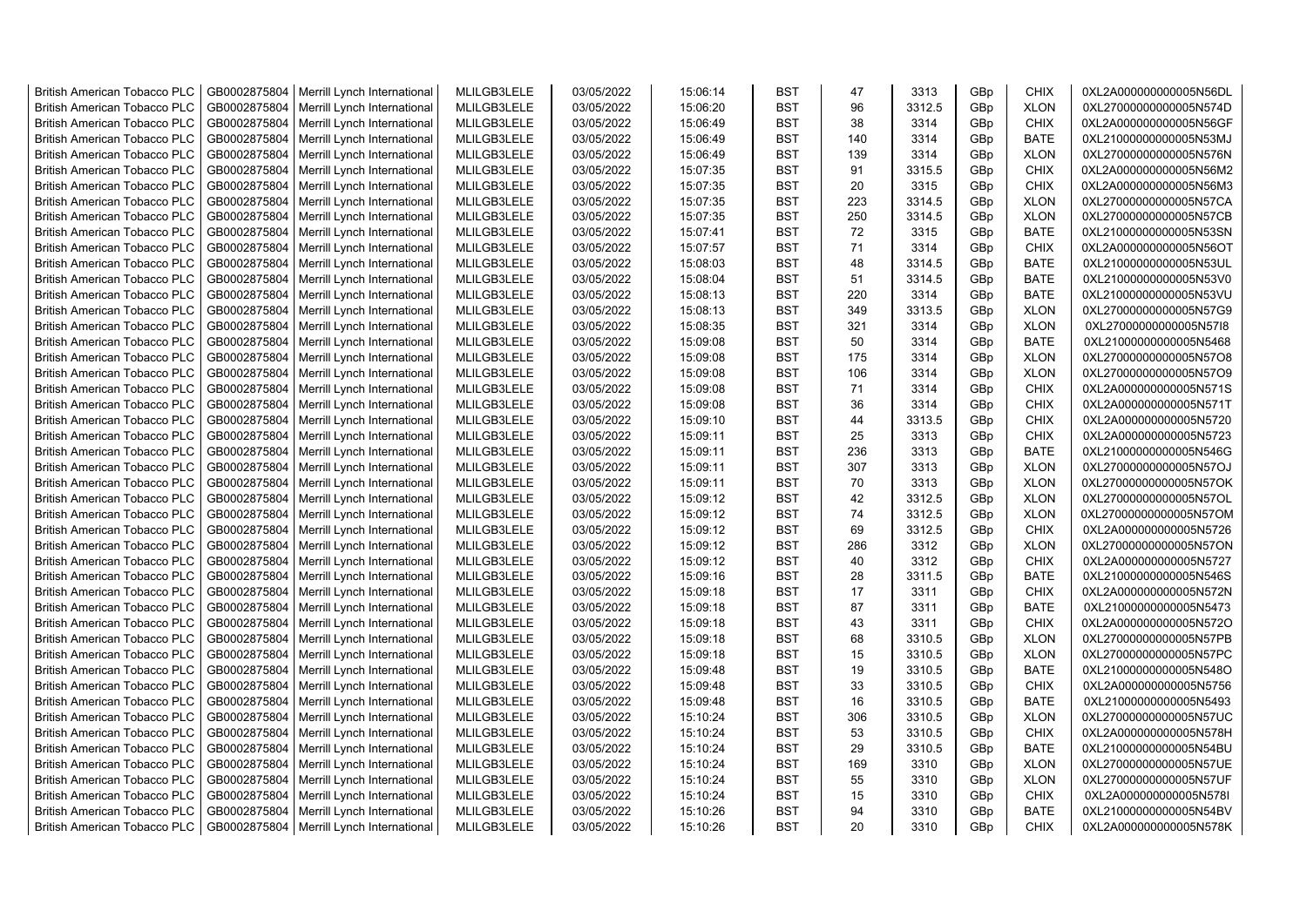| <b>British American Tobacco PLC</b> | GB0002875804 | Merrill Lynch International                | MLILGB3LELE | 03/05/2022 | 15:06:14 | <b>BST</b>               | 47        | 3313   | GBp             | <b>CHIX</b> | 0XL2A000000000005N56DL |
|-------------------------------------|--------------|--------------------------------------------|-------------|------------|----------|--------------------------|-----------|--------|-----------------|-------------|------------------------|
| <b>British American Tobacco PLC</b> | GB0002875804 | Merrill Lynch International                | MLILGB3LELE | 03/05/2022 | 15:06:20 | <b>BST</b>               | 96        | 3312.5 | GBp             | <b>XLON</b> | 0XL27000000000005N574D |
| <b>British American Tobacco PLC</b> | GB0002875804 | Merrill Lynch International                | MLILGB3LELE | 03/05/2022 | 15:06:49 | <b>BST</b>               | 38        | 3314   | GBp             | <b>CHIX</b> | 0XL2A000000000005N56GF |
| <b>British American Tobacco PLC</b> | GB0002875804 | Merrill Lynch International                | MLILGB3LELE | 03/05/2022 | 15:06:49 | <b>BST</b>               | 140       | 3314   | GBp             | <b>BATE</b> | 0XL21000000000005N53MJ |
| <b>British American Tobacco PLC</b> | GB0002875804 | Merrill Lynch International                | MLILGB3LELE | 03/05/2022 | 15:06:49 | <b>BST</b>               | 139       | 3314   | GBp             | <b>XLON</b> | 0XL27000000000005N576N |
| <b>British American Tobacco PLC</b> | GB0002875804 | Merrill Lynch International                | MLILGB3LELE | 03/05/2022 | 15:07:35 | <b>BST</b>               | 91        | 3315.5 | GBp             | <b>CHIX</b> | 0XL2A000000000005N56M2 |
| British American Tobacco PLC        | GB0002875804 | Merrill Lynch International                | MLILGB3LELE | 03/05/2022 | 15:07:35 | <b>BST</b>               | 20        | 3315   | GBp             | <b>CHIX</b> | 0XL2A000000000005N56M3 |
| <b>British American Tobacco PLC</b> | GB0002875804 | Merrill Lynch International                | MLILGB3LELE | 03/05/2022 | 15:07:35 | <b>BST</b>               | 223       | 3314.5 | GBp             | <b>XLON</b> | 0XL27000000000005N57CA |
| <b>British American Tobacco PLC</b> | GB0002875804 | Merrill Lynch International                | MLILGB3LELE | 03/05/2022 | 15:07:35 | <b>BST</b>               | 250       | 3314.5 | GBp             | <b>XLON</b> | 0XL27000000000005N57CB |
| <b>British American Tobacco PLC</b> | GB0002875804 | Merrill Lynch International                | MLILGB3LELE | 03/05/2022 | 15:07:41 | <b>BST</b>               | 72        | 3315   | GBp             | <b>BATE</b> | 0XL21000000000005N53SN |
| <b>British American Tobacco PLC</b> | GB0002875804 | Merrill Lynch International                | MLILGB3LELE | 03/05/2022 | 15:07:57 | <b>BST</b>               | 71        | 3314   | GBp             | <b>CHIX</b> | 0XL2A000000000005N56OT |
| <b>British American Tobacco PLC</b> | GB0002875804 | Merrill Lynch International                | MLILGB3LELE | 03/05/2022 | 15:08:03 | <b>BST</b>               | 48        | 3314.5 | GBp             | <b>BATE</b> | 0XL21000000000005N53UL |
| <b>British American Tobacco PLC</b> | GB0002875804 | Merrill Lynch International                | MLILGB3LELE | 03/05/2022 | 15:08:04 | <b>BST</b>               | 51        | 3314.5 | GBp             | <b>BATE</b> | 0XL21000000000005N53V0 |
| <b>British American Tobacco PLC</b> | GB0002875804 | Merrill Lynch International                | MLILGB3LELE | 03/05/2022 | 15:08:13 | <b>BST</b>               | 220       | 3314   | GBp             | <b>BATE</b> | 0XL21000000000005N53VU |
| <b>British American Tobacco PLC</b> | GB0002875804 | Merrill Lynch International                | MLILGB3LELE | 03/05/2022 | 15:08:13 | <b>BST</b>               | 349       | 3313.5 | GBp             | <b>XLON</b> | 0XL27000000000005N57G9 |
| <b>British American Tobacco PLC</b> | GB0002875804 | Merrill Lynch International                | MLILGB3LELE | 03/05/2022 | 15:08:35 | <b>BST</b>               | 321       | 3314   | GBp             | <b>XLON</b> | 0XL27000000000005N57I8 |
| <b>British American Tobacco PLC</b> | GB0002875804 | Merrill Lynch International                | MLILGB3LELE | 03/05/2022 | 15:09:08 | <b>BST</b>               | 50        | 3314   | GBp             | <b>BATE</b> | 0XL21000000000005N5468 |
| <b>British American Tobacco PLC</b> | GB0002875804 | Merrill Lynch International                | MLILGB3LELE | 03/05/2022 | 15:09:08 | <b>BST</b>               | 175       | 3314   | GBp             | <b>XLON</b> | 0XL27000000000005N57O8 |
| <b>British American Tobacco PLC</b> | GB0002875804 | Merrill Lynch International                | MLILGB3LELE | 03/05/2022 | 15:09:08 | <b>BST</b>               | 106       | 3314   | GBp             | <b>XLON</b> | 0XL27000000000005N57O9 |
| <b>British American Tobacco PLC</b> | GB0002875804 | Merrill Lynch International                | MLILGB3LELE | 03/05/2022 | 15:09:08 | <b>BST</b>               | 71        | 3314   | GBp             | <b>CHIX</b> | 0XL2A000000000005N571S |
| <b>British American Tobacco PLC</b> | GB0002875804 | Merrill Lynch International                | MLILGB3LELE | 03/05/2022 | 15:09:08 | <b>BST</b>               | 36        | 3314   | GBp             | <b>CHIX</b> | 0XL2A000000000005N571T |
| <b>British American Tobacco PLC</b> | GB0002875804 | Merrill Lynch International                | MLILGB3LELE | 03/05/2022 | 15:09:10 | <b>BST</b>               | 44        | 3313.5 | GBp             | <b>CHIX</b> | 0XL2A000000000005N5720 |
| <b>British American Tobacco PLC</b> | GB0002875804 | Merrill Lynch International                | MLILGB3LELE | 03/05/2022 | 15:09:11 | <b>BST</b>               | 25        | 3313   | GBp             | <b>CHIX</b> | 0XL2A000000000005N5723 |
| <b>British American Tobacco PLC</b> | GB0002875804 | Merrill Lynch International                | MLILGB3LELE | 03/05/2022 | 15:09:11 | <b>BST</b>               | 236       | 3313   | GBp             | <b>BATE</b> | 0XL21000000000005N546G |
|                                     |              |                                            |             |            |          | <b>BST</b>               |           |        |                 |             |                        |
| <b>British American Tobacco PLC</b> | GB0002875804 | Merrill Lynch International                | MLILGB3LELE | 03/05/2022 | 15:09:11 | <b>BST</b>               | 307<br>70 | 3313   | GBp             | <b>XLON</b> | 0XL27000000000005N57OJ |
| <b>British American Tobacco PLC</b> | GB0002875804 | Merrill Lynch International                | MLILGB3LELE | 03/05/2022 | 15:09:11 |                          |           | 3313   | GBp             | <b>XLON</b> | 0XL27000000000005N57OK |
| <b>British American Tobacco PLC</b> | GB0002875804 | Merrill Lynch International                | MLILGB3LELE | 03/05/2022 | 15:09:12 | <b>BST</b><br><b>BST</b> | 42<br>74  | 3312.5 | GBp             | <b>XLON</b> | 0XL27000000000005N57OL |
| <b>British American Tobacco PLC</b> | GB0002875804 | Merrill Lynch International                | MLILGB3LELE | 03/05/2022 | 15:09:12 |                          |           | 3312.5 | GBp             | <b>XLON</b> | 0XL27000000000005N57OM |
| <b>British American Tobacco PLC</b> | GB0002875804 | Merrill Lynch International                | MLILGB3LELE | 03/05/2022 | 15:09:12 | <b>BST</b>               | 69        | 3312.5 | GBp             | <b>CHIX</b> | 0XL2A000000000005N5726 |
| <b>British American Tobacco PLC</b> | GB0002875804 | Merrill Lynch International                | MLILGB3LELE | 03/05/2022 | 15:09:12 | <b>BST</b>               | 286       | 3312   | GBp             | <b>XLON</b> | 0XL27000000000005N57ON |
| <b>British American Tobacco PLC</b> | GB0002875804 | Merrill Lynch International                | MLILGB3LELE | 03/05/2022 | 15:09:12 | <b>BST</b>               | 40        | 3312   | GBp             | <b>CHIX</b> | 0XL2A000000000005N5727 |
| <b>British American Tobacco PLC</b> | GB0002875804 | Merrill Lynch International                | MLILGB3LELE | 03/05/2022 | 15:09:16 | <b>BST</b>               | 28        | 3311.5 | GBp             | <b>BATE</b> | 0XL21000000000005N546S |
| <b>British American Tobacco PLC</b> | GB0002875804 | Merrill Lynch International                | MLILGB3LELE | 03/05/2022 | 15:09:18 | <b>BST</b>               | 17        | 3311   | GBp             | <b>CHIX</b> | 0XL2A000000000005N572N |
| <b>British American Tobacco PLC</b> | GB0002875804 | Merrill Lynch International                | MLILGB3LELE | 03/05/2022 | 15:09:18 | <b>BST</b>               | 87        | 3311   | GBp             | <b>BATE</b> | 0XL21000000000005N5473 |
| <b>British American Tobacco PLC</b> | GB0002875804 | Merrill Lynch International                | MLILGB3LELE | 03/05/2022 | 15:09:18 | <b>BST</b>               | 43        | 3311   | GBp             | <b>CHIX</b> | 0XL2A000000000005N572O |
| <b>British American Tobacco PLC</b> | GB0002875804 | Merrill Lynch International                | MLILGB3LELE | 03/05/2022 | 15:09:18 | <b>BST</b>               | 68        | 3310.5 | GBp             | <b>XLON</b> | 0XL27000000000005N57PB |
| <b>British American Tobacco PLC</b> | GB0002875804 | Merrill Lynch International                | MLILGB3LELE | 03/05/2022 | 15:09:18 | <b>BST</b>               | 15        | 3310.5 | GBp             | <b>XLON</b> | 0XL27000000000005N57PC |
| <b>British American Tobacco PLC</b> | GB0002875804 | Merrill Lynch International                | MLILGB3LELE | 03/05/2022 | 15:09:48 | <b>BST</b>               | 19        | 3310.5 | GBp             | <b>BATE</b> | 0XL21000000000005N548O |
| <b>British American Tobacco PLC</b> | GB0002875804 | Merrill Lynch International                | MLILGB3LELE | 03/05/2022 | 15:09:48 | <b>BST</b>               | 33        | 3310.5 | GBp             | <b>CHIX</b> | 0XL2A000000000005N5756 |
| <b>British American Tobacco PLC</b> | GB0002875804 | Merrill Lynch International                | MLILGB3LELE | 03/05/2022 | 15:09:48 | <b>BST</b>               | 16        | 3310.5 | GBp             | <b>BATE</b> | 0XL21000000000005N5493 |
| <b>British American Tobacco PLC</b> | GB0002875804 | Merrill Lynch International                | MLILGB3LELE | 03/05/2022 | 15:10:24 | <b>BST</b>               | 306       | 3310.5 | GBp             | <b>XLON</b> | 0XL27000000000005N57UC |
| <b>British American Tobacco PLC</b> | GB0002875804 | Merrill Lynch International                | MLILGB3LELE | 03/05/2022 | 15:10:24 | <b>BST</b>               | 53        | 3310.5 | GBp             | <b>CHIX</b> | 0XL2A000000000005N578H |
| <b>British American Tobacco PLC</b> | GB0002875804 | Merrill Lynch International                | MLILGB3LELE | 03/05/2022 | 15:10:24 | <b>BST</b>               | 29        | 3310.5 | GBp             | <b>BATE</b> | 0XL21000000000005N54BU |
| <b>British American Tobacco PLC</b> | GB0002875804 | Merrill Lynch International                | MLILGB3LELE | 03/05/2022 | 15:10:24 | <b>BST</b>               | 169       | 3310   | GBp             | <b>XLON</b> | 0XL27000000000005N57UE |
| <b>British American Tobacco PLC</b> | GB0002875804 | Merrill Lynch International                | MLILGB3LELE | 03/05/2022 | 15:10:24 | <b>BST</b>               | 55        | 3310   | GBp             | <b>XLON</b> | 0XL27000000000005N57UF |
| <b>British American Tobacco PLC</b> | GB0002875804 | Merrill Lynch International                | MLILGB3LELE | 03/05/2022 | 15:10:24 | <b>BST</b>               | 15        | 3310   | GBp             | <b>CHIX</b> | 0XL2A000000000005N578I |
| <b>British American Tobacco PLC</b> | GB0002875804 | Merrill Lynch International                | MLILGB3LELE | 03/05/2022 | 15:10:26 | <b>BST</b>               | 94        | 3310   | GBp             | <b>BATE</b> | 0XL21000000000005N54BV |
| <b>British American Tobacco PLC</b> |              | GB0002875804   Merrill Lynch International | MLILGB3LELE | 03/05/2022 | 15:10:26 | <b>BST</b>               | 20        | 3310   | GB <sub>p</sub> | <b>CHIX</b> | 0XL2A000000000005N578K |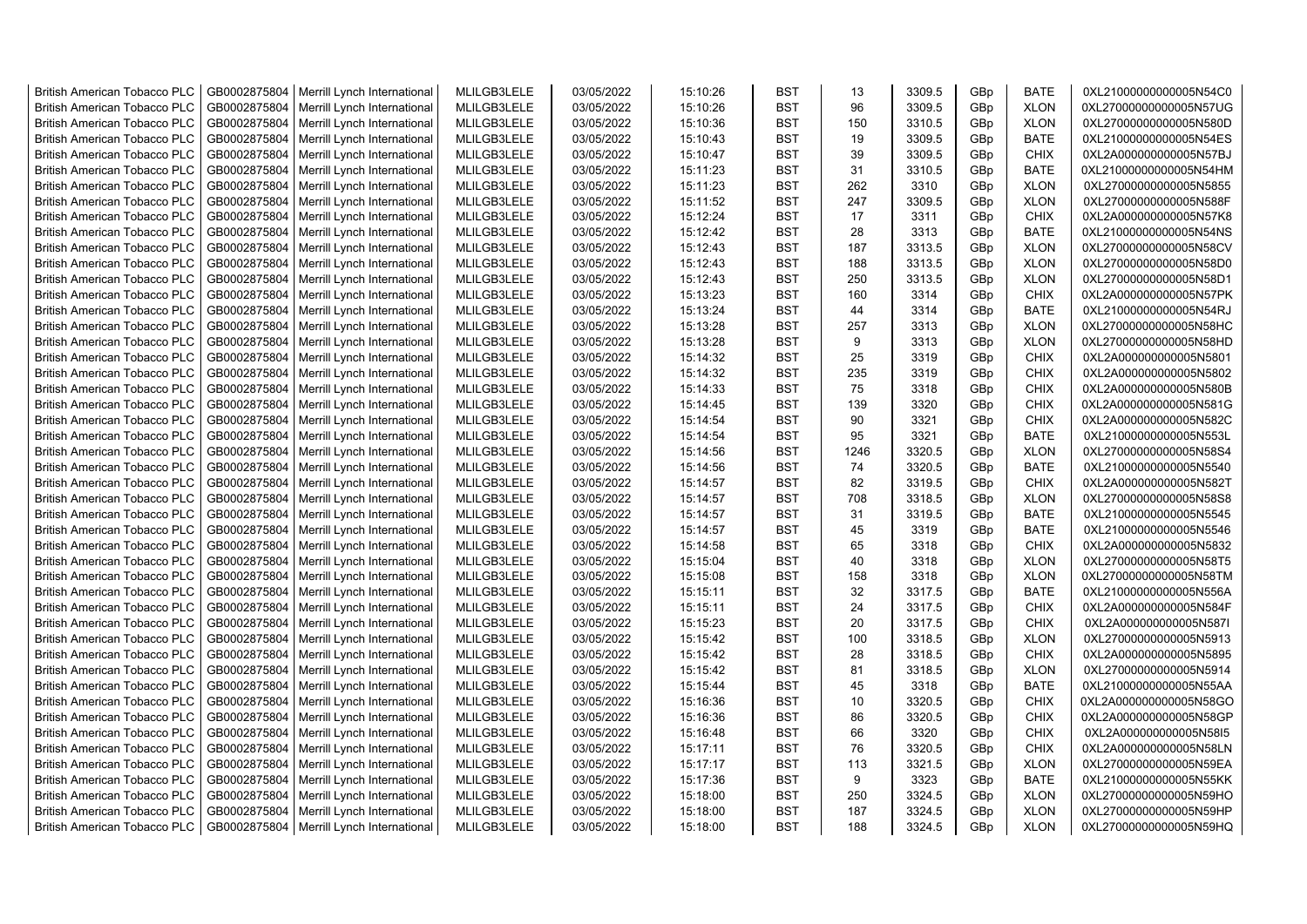| <b>British American Tobacco PLC</b> | GB0002875804 | Merrill Lynch International                | MLILGB3LELE | 03/05/2022 | 15:10:26 | <b>BST</b> | 13   | 3309.5 | GBp        | <b>BATE</b> | 0XL21000000000005N54C0                           |
|-------------------------------------|--------------|--------------------------------------------|-------------|------------|----------|------------|------|--------|------------|-------------|--------------------------------------------------|
| <b>British American Tobacco PLC</b> | GB0002875804 | Merrill Lynch International                | MLILGB3LELE | 03/05/2022 | 15:10:26 | <b>BST</b> | 96   | 3309.5 | GBp        | <b>XLON</b> | 0XL27000000000005N57UG                           |
| <b>British American Tobacco PLC</b> | GB0002875804 | Merrill Lynch International                | MLILGB3LELE | 03/05/2022 | 15:10:36 | <b>BST</b> | 150  | 3310.5 | GBp        | <b>XLON</b> | 0XL27000000000005N580D                           |
| <b>British American Tobacco PLC</b> | GB0002875804 | Merrill Lynch International                | MLILGB3LELE | 03/05/2022 | 15:10:43 | <b>BST</b> | 19   | 3309.5 | GBp        | <b>BATE</b> | 0XL21000000000005N54ES                           |
| <b>British American Tobacco PLC</b> | GB0002875804 | Merrill Lynch International                | MLILGB3LELE | 03/05/2022 | 15:10:47 | <b>BST</b> | 39   | 3309.5 | GBp        | <b>CHIX</b> | 0XL2A000000000005N57BJ                           |
| <b>British American Tobacco PLC</b> | GB0002875804 | Merrill Lynch International                | MLILGB3LELE | 03/05/2022 | 15:11:23 | <b>BST</b> | 31   | 3310.5 | GBp        | <b>BATE</b> | 0XL21000000000005N54HM                           |
| <b>British American Tobacco PLC</b> | GB0002875804 | Merrill Lynch International                | MLILGB3LELE | 03/05/2022 | 15:11:23 | <b>BST</b> | 262  | 3310   | GBp        | <b>XLON</b> | 0XL27000000000005N5855                           |
| <b>British American Tobacco PLC</b> | GB0002875804 | Merrill Lynch International                | MLILGB3LELE | 03/05/2022 | 15:11:52 | <b>BST</b> | 247  | 3309.5 | GBp        | <b>XLON</b> | 0XL27000000000005N588F                           |
| <b>British American Tobacco PLC</b> | GB0002875804 | Merrill Lynch International                | MLILGB3LELE | 03/05/2022 | 15:12:24 | <b>BST</b> | 17   | 3311   | GBp        | <b>CHIX</b> | 0XL2A000000000005N57K8                           |
| <b>British American Tobacco PLC</b> | GB0002875804 | Merrill Lynch International                | MLILGB3LELE | 03/05/2022 | 15:12:42 | <b>BST</b> | 28   | 3313   | GBp        | <b>BATE</b> | 0XL21000000000005N54NS                           |
| <b>British American Tobacco PLC</b> | GB0002875804 | Merrill Lynch International                | MLILGB3LELE | 03/05/2022 | 15:12:43 | <b>BST</b> | 187  | 3313.5 | GBp        | <b>XLON</b> | 0XL27000000000005N58CV                           |
| <b>British American Tobacco PLC</b> | GB0002875804 | Merrill Lynch International                | MLILGB3LELE | 03/05/2022 | 15:12:43 | <b>BST</b> | 188  | 3313.5 | GBp        | <b>XLON</b> | 0XL27000000000005N58D0                           |
| <b>British American Tobacco PLC</b> | GB0002875804 | Merrill Lynch International                | MLILGB3LELE | 03/05/2022 | 15:12:43 | <b>BST</b> | 250  | 3313.5 | GBp        | <b>XLON</b> | 0XL27000000000005N58D1                           |
| <b>British American Tobacco PLC</b> | GB0002875804 | Merrill Lynch International                | MLILGB3LELE | 03/05/2022 | 15:13:23 | <b>BST</b> | 160  | 3314   | GBp        | <b>CHIX</b> | 0XL2A000000000005N57PK                           |
| <b>British American Tobacco PLC</b> | GB0002875804 | Merrill Lynch International                | MLILGB3LELE | 03/05/2022 | 15:13:24 | <b>BST</b> | 44   | 3314   | GBp        | <b>BATE</b> | 0XL21000000000005N54RJ                           |
| <b>British American Tobacco PLC</b> | GB0002875804 | Merrill Lynch International                | MLILGB3LELE | 03/05/2022 | 15:13:28 | <b>BST</b> | 257  | 3313   | GBp        | <b>XLON</b> | 0XL27000000000005N58HC                           |
| <b>British American Tobacco PLC</b> | GB0002875804 | Merrill Lynch International                | MLILGB3LELE | 03/05/2022 | 15:13:28 | <b>BST</b> | 9    | 3313   | GBp        | <b>XLON</b> | 0XL27000000000005N58HD                           |
| <b>British American Tobacco PLC</b> | GB0002875804 | Merrill Lynch International                | MLILGB3LELE | 03/05/2022 | 15:14:32 | <b>BST</b> | 25   | 3319   | GBp        | <b>CHIX</b> | 0XL2A000000000005N5801                           |
| <b>British American Tobacco PLC</b> | GB0002875804 | Merrill Lynch International                | MLILGB3LELE | 03/05/2022 | 15:14:32 | <b>BST</b> | 235  | 3319   | GBp        | <b>CHIX</b> | 0XL2A000000000005N5802                           |
| <b>British American Tobacco PLC</b> | GB0002875804 | Merrill Lynch International                | MLILGB3LELE | 03/05/2022 | 15:14:33 | <b>BST</b> | 75   | 3318   | GBp        | <b>CHIX</b> | 0XL2A000000000005N580B                           |
| <b>British American Tobacco PLC</b> | GB0002875804 | Merrill Lynch International                | MLILGB3LELE | 03/05/2022 | 15:14:45 | <b>BST</b> | 139  | 3320   | GBp        | <b>CHIX</b> | 0XL2A000000000005N581G                           |
| <b>British American Tobacco PLC</b> | GB0002875804 | Merrill Lynch International                | MLILGB3LELE | 03/05/2022 | 15:14:54 | <b>BST</b> | 90   | 3321   | GBp        | <b>CHIX</b> | 0XL2A000000000005N582C                           |
| <b>British American Tobacco PLC</b> | GB0002875804 | Merrill Lynch International                | MLILGB3LELE | 03/05/2022 | 15:14:54 | <b>BST</b> | 95   | 3321   | GBp        | <b>BATE</b> | 0XL21000000000005N553L                           |
| <b>British American Tobacco PLC</b> | GB0002875804 | Merrill Lynch International                | MLILGB3LELE | 03/05/2022 | 15:14:56 | <b>BST</b> | 1246 | 3320.5 | GBp        | <b>XLON</b> | 0XL27000000000005N58S4                           |
| <b>British American Tobacco PLC</b> | GB0002875804 | Merrill Lynch International                | MLILGB3LELE | 03/05/2022 | 15:14:56 | <b>BST</b> | 74   | 3320.5 | GBp        | <b>BATE</b> | 0XL21000000000005N5540                           |
| <b>British American Tobacco PLC</b> | GB0002875804 | Merrill Lynch International                | MLILGB3LELE | 03/05/2022 | 15:14:57 | <b>BST</b> | 82   | 3319.5 | GBp        | CHIX        | 0XL2A000000000005N582T                           |
| <b>British American Tobacco PLC</b> | GB0002875804 | Merrill Lynch International                | MLILGB3LELE | 03/05/2022 | 15:14:57 | <b>BST</b> | 708  | 3318.5 | GBp        | <b>XLON</b> | 0XL27000000000005N58S8                           |
| <b>British American Tobacco PLC</b> | GB0002875804 | Merrill Lynch International                | MLILGB3LELE | 03/05/2022 | 15:14:57 | <b>BST</b> | 31   | 3319.5 | GBp        | <b>BATE</b> | 0XL21000000000005N5545                           |
| <b>British American Tobacco PLC</b> | GB0002875804 | Merrill Lynch International                | MLILGB3LELE | 03/05/2022 | 15:14:57 | <b>BST</b> | 45   | 3319   | GBp        | <b>BATE</b> | 0XL21000000000005N5546                           |
| <b>British American Tobacco PLC</b> | GB0002875804 | Merrill Lynch International                | MLILGB3LELE | 03/05/2022 | 15:14:58 | <b>BST</b> | 65   | 3318   | GBp        | <b>CHIX</b> | 0XL2A000000000005N5832                           |
| <b>British American Tobacco PLC</b> | GB0002875804 | Merrill Lynch International                | MLILGB3LELE | 03/05/2022 | 15:15:04 | <b>BST</b> | 40   | 3318   | GBp        | <b>XLON</b> | 0XL27000000000005N58T5                           |
| <b>British American Tobacco PLC</b> | GB0002875804 | Merrill Lynch International                | MLILGB3LELE | 03/05/2022 | 15:15:08 | <b>BST</b> | 158  | 3318   | GBp        | <b>XLON</b> | 0XL27000000000005N58TM                           |
| <b>British American Tobacco PLC</b> | GB0002875804 | Merrill Lynch International                | MLILGB3LELE | 03/05/2022 | 15:15:11 | <b>BST</b> | 32   | 3317.5 | GBp        | <b>BATE</b> | 0XL21000000000005N556A                           |
| <b>British American Tobacco PLC</b> | GB0002875804 | Merrill Lynch International                | MLILGB3LELE | 03/05/2022 | 15:15:11 | <b>BST</b> | 24   | 3317.5 | GBp        | <b>CHIX</b> | 0XL2A000000000005N584F                           |
| <b>British American Tobacco PLC</b> | GB0002875804 | Merrill Lynch International                | MLILGB3LELE | 03/05/2022 | 15:15:23 | <b>BST</b> | 20   | 3317.5 | GBp        | <b>CHIX</b> | 0XL2A000000000005N587I                           |
| <b>British American Tobacco PLC</b> | GB0002875804 | Merrill Lynch International                | MLILGB3LELE | 03/05/2022 | 15:15:42 | <b>BST</b> | 100  | 3318.5 | GBp        | <b>XLON</b> | 0XL27000000000005N5913                           |
| <b>British American Tobacco PLC</b> | GB0002875804 | Merrill Lynch International                | MLILGB3LELE | 03/05/2022 | 15:15:42 | <b>BST</b> | 28   | 3318.5 | GBp        | <b>CHIX</b> | 0XL2A000000000005N5895                           |
| <b>British American Tobacco PLC</b> | GB0002875804 | Merrill Lynch International                | MLILGB3LELE | 03/05/2022 | 15:15:42 | <b>BST</b> | 81   | 3318.5 | GBp        | <b>XLON</b> | 0XL27000000000005N5914                           |
| <b>British American Tobacco PLC</b> | GB0002875804 | Merrill Lynch International                | MLILGB3LELE | 03/05/2022 | 15:15:44 | <b>BST</b> | 45   | 3318   | GBp        | <b>BATE</b> | 0XL21000000000005N55AA                           |
| <b>British American Tobacco PLC</b> | GB0002875804 | Merrill Lynch International                | MLILGB3LELE | 03/05/2022 | 15:16:36 | <b>BST</b> | 10   | 3320.5 | GBp        | CHIX        | 0XL2A000000000005N58GO                           |
| <b>British American Tobacco PLC</b> | GB0002875804 | Merrill Lynch International                | MLILGB3LELE | 03/05/2022 | 15:16:36 | <b>BST</b> | 86   | 3320.5 | GBp        | CHIX        | 0XL2A000000000005N58GP                           |
| <b>British American Tobacco PLC</b> | GB0002875804 | Merrill Lynch International                | MLILGB3LELE | 03/05/2022 | 15:16:48 | <b>BST</b> | 66   | 3320   | GBp        | CHIX        | 0XL2A000000000005N58I5                           |
| <b>British American Tobacco PLC</b> | GB0002875804 | Merrill Lynch International                | MLILGB3LELE | 03/05/2022 | 15:17:11 | <b>BST</b> | 76   | 3320.5 |            | <b>CHIX</b> |                                                  |
| <b>British American Tobacco PLC</b> | GB0002875804 | Merrill Lynch International                | MLILGB3LELE | 03/05/2022 | 15:17:17 | <b>BST</b> | 113  | 3321.5 | GBp<br>GBp | <b>XLON</b> | 0XL2A000000000005N58LN<br>0XL27000000000005N59EA |
| <b>British American Tobacco PLC</b> | GB0002875804 | Merrill Lynch International                | MLILGB3LELE | 03/05/2022 | 15:17:36 | <b>BST</b> | 9    | 3323   | GBp        | <b>BATE</b> | 0XL21000000000005N55KK                           |
| <b>British American Tobacco PLC</b> | GB0002875804 | Merrill Lynch International                | MLILGB3LELE | 03/05/2022 | 15:18:00 | <b>BST</b> | 250  | 3324.5 | GBp        | <b>XLON</b> | 0XL27000000000005N59HO                           |
| <b>British American Tobacco PLC</b> | GB0002875804 | Merrill Lynch International                | MLILGB3LELE | 03/05/2022 | 15:18:00 | <b>BST</b> | 187  | 3324.5 | GBp        | <b>XLON</b> | 0XL27000000000005N59HP                           |
| <b>British American Tobacco PLC</b> |              | GB0002875804   Merrill Lynch International | MLILGB3LELE | 03/05/2022 | 15:18:00 | <b>BST</b> | 188  | 3324.5 | GBp        | <b>XLON</b> | 0XL27000000000005N59HQ                           |
|                                     |              |                                            |             |            |          |            |      |        |            |             |                                                  |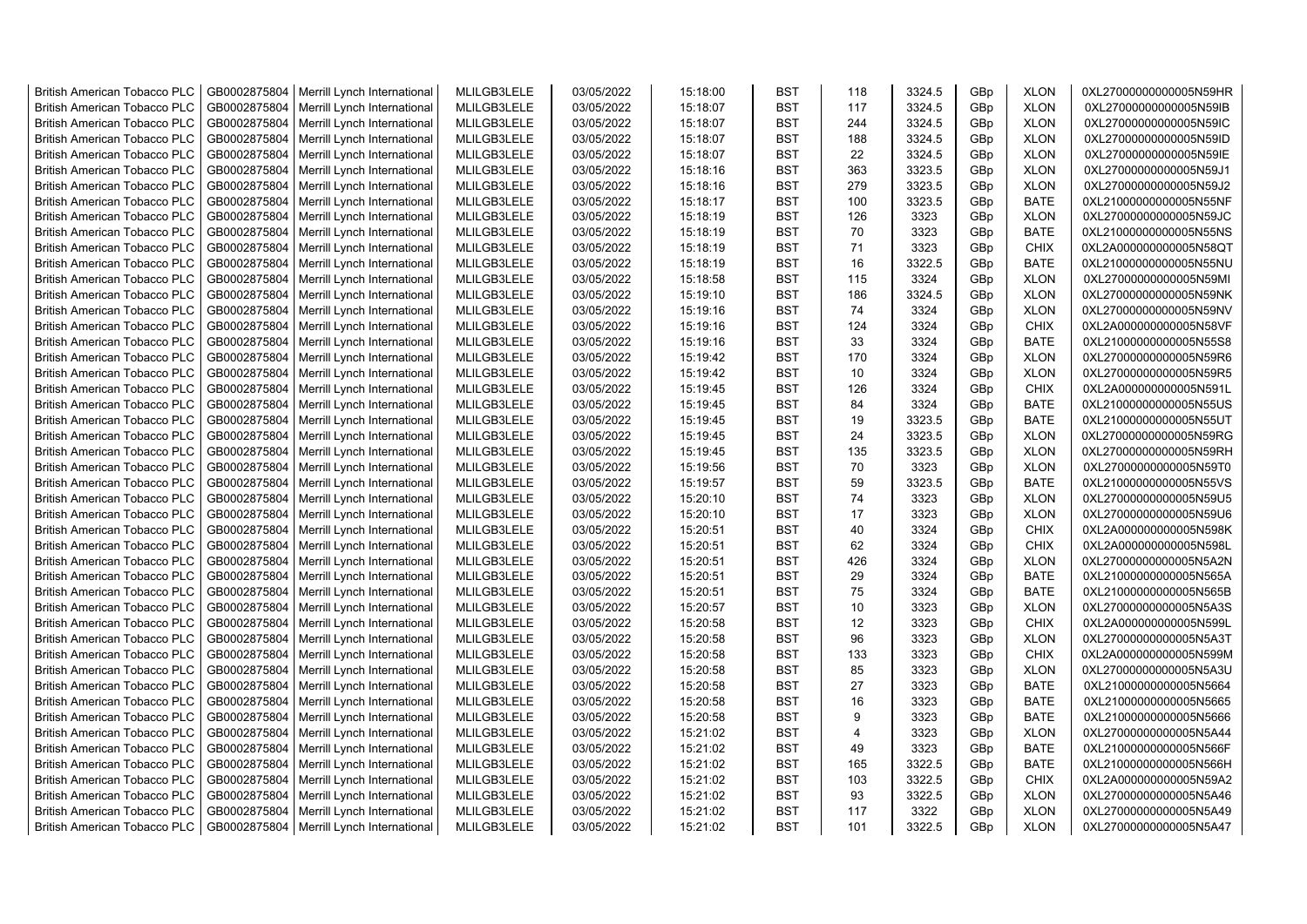| <b>British American Tobacco PLC</b> | GB0002875804 | Merrill Lynch International                | MLILGB3LELE | 03/05/2022 | 15:18:00 | <b>BST</b> | 118            | 3324.5 | GBp | <b>XLON</b> | 0XL27000000000005N59HR |
|-------------------------------------|--------------|--------------------------------------------|-------------|------------|----------|------------|----------------|--------|-----|-------------|------------------------|
| <b>British American Tobacco PLC</b> | GB0002875804 | Merrill Lynch International                | MLILGB3LELE | 03/05/2022 | 15:18:07 | <b>BST</b> | 117            | 3324.5 | GBp | <b>XLON</b> | 0XL27000000000005N59IB |
| <b>British American Tobacco PLC</b> | GB0002875804 | Merrill Lynch International                | MLILGB3LELE | 03/05/2022 | 15:18:07 | <b>BST</b> | 244            | 3324.5 | GBp | <b>XLON</b> | 0XL27000000000005N59IC |
| <b>British American Tobacco PLC</b> | GB0002875804 | Merrill Lynch International                | MLILGB3LELE | 03/05/2022 | 15:18:07 | <b>BST</b> | 188            | 3324.5 | GBp | <b>XLON</b> | 0XL27000000000005N59ID |
| <b>British American Tobacco PLC</b> | GB0002875804 | Merrill Lynch International                | MLILGB3LELE | 03/05/2022 | 15:18:07 | <b>BST</b> | 22             | 3324.5 | GBp | <b>XLON</b> | 0XL27000000000005N59IE |
| <b>British American Tobacco PLC</b> | GB0002875804 | Merrill Lynch International                | MLILGB3LELE | 03/05/2022 | 15:18:16 | <b>BST</b> | 363            | 3323.5 | GBp | <b>XLON</b> | 0XL27000000000005N59J1 |
| <b>British American Tobacco PLC</b> | GB0002875804 | Merrill Lynch International                | MLILGB3LELE | 03/05/2022 | 15:18:16 | <b>BST</b> | 279            | 3323.5 | GBp | <b>XLON</b> | 0XL27000000000005N59J2 |
| <b>British American Tobacco PLC</b> | GB0002875804 | Merrill Lynch International                | MLILGB3LELE | 03/05/2022 | 15:18:17 | <b>BST</b> | 100            | 3323.5 | GBp | <b>BATE</b> | 0XL21000000000005N55NF |
| <b>British American Tobacco PLC</b> | GB0002875804 | Merrill Lynch International                | MLILGB3LELE | 03/05/2022 | 15:18:19 | <b>BST</b> | 126            | 3323   | GBp | <b>XLON</b> | 0XL27000000000005N59JC |
| <b>British American Tobacco PLC</b> | GB0002875804 | Merrill Lynch International                | MLILGB3LELE | 03/05/2022 | 15:18:19 | <b>BST</b> | 70             | 3323   | GBp | <b>BATE</b> | 0XL21000000000005N55NS |
| <b>British American Tobacco PLC</b> | GB0002875804 | Merrill Lynch International                | MLILGB3LELE | 03/05/2022 | 15:18:19 | <b>BST</b> | 71             | 3323   | GBp | <b>CHIX</b> | 0XL2A000000000005N58QT |
| <b>British American Tobacco PLC</b> | GB0002875804 | Merrill Lynch International                | MLILGB3LELE | 03/05/2022 | 15:18:19 | <b>BST</b> | 16             | 3322.5 | GBp | <b>BATE</b> | 0XL21000000000005N55NU |
| <b>British American Tobacco PLC</b> | GB0002875804 | Merrill Lynch International                | MLILGB3LELE | 03/05/2022 | 15:18:58 | <b>BST</b> | 115            | 3324   | GBp | <b>XLON</b> | 0XL27000000000005N59MI |
| <b>British American Tobacco PLC</b> | GB0002875804 | Merrill Lynch International                | MLILGB3LELE | 03/05/2022 | 15:19:10 | <b>BST</b> | 186            | 3324.5 | GBp | <b>XLON</b> | 0XL27000000000005N59NK |
| <b>British American Tobacco PLC</b> | GB0002875804 | Merrill Lynch International                | MLILGB3LELE | 03/05/2022 | 15:19:16 | <b>BST</b> | 74             | 3324   | GBp | <b>XLON</b> | 0XL27000000000005N59NV |
| <b>British American Tobacco PLC</b> | GB0002875804 | Merrill Lynch International                | MLILGB3LELE | 03/05/2022 | 15:19:16 | <b>BST</b> | 124            | 3324   | GBp | <b>CHIX</b> | 0XL2A000000000005N58VF |
| <b>British American Tobacco PLC</b> | GB0002875804 | Merrill Lynch International                | MLILGB3LELE | 03/05/2022 | 15:19:16 | <b>BST</b> | 33             | 3324   | GBp | <b>BATE</b> | 0XL21000000000005N55S8 |
| <b>British American Tobacco PLC</b> | GB0002875804 | Merrill Lynch International                | MLILGB3LELE | 03/05/2022 | 15:19:42 | <b>BST</b> | 170            | 3324   | GBp | <b>XLON</b> | 0XL27000000000005N59R6 |
| <b>British American Tobacco PLC</b> | GB0002875804 | Merrill Lynch International                | MLILGB3LELE | 03/05/2022 | 15:19:42 | <b>BST</b> | 10             | 3324   | GBp | <b>XLON</b> | 0XL27000000000005N59R5 |
| <b>British American Tobacco PLC</b> | GB0002875804 | Merrill Lynch International                | MLILGB3LELE | 03/05/2022 | 15:19:45 | <b>BST</b> | 126            | 3324   | GBp | <b>CHIX</b> | 0XL2A000000000005N591L |
| <b>British American Tobacco PLC</b> | GB0002875804 | Merrill Lynch International                | MLILGB3LELE | 03/05/2022 | 15:19:45 | <b>BST</b> | 84             | 3324   | GBp | <b>BATE</b> | 0XL21000000000005N55US |
| <b>British American Tobacco PLC</b> | GB0002875804 | Merrill Lynch International                | MLILGB3LELE | 03/05/2022 | 15:19:45 | <b>BST</b> | 19             | 3323.5 | GBp | <b>BATE</b> | 0XL21000000000005N55UT |
| <b>British American Tobacco PLC</b> | GB0002875804 | Merrill Lynch International                | MLILGB3LELE | 03/05/2022 | 15:19:45 | <b>BST</b> | 24             | 3323.5 | GBp | <b>XLON</b> | 0XL27000000000005N59RG |
| <b>British American Tobacco PLC</b> | GB0002875804 | Merrill Lynch International                | MLILGB3LELE | 03/05/2022 | 15:19:45 | <b>BST</b> | 135            | 3323.5 | GBp | <b>XLON</b> | 0XL27000000000005N59RH |
| <b>British American Tobacco PLC</b> | GB0002875804 | Merrill Lynch International                | MLILGB3LELE | 03/05/2022 | 15:19:56 | <b>BST</b> | 70             | 3323   | GBp | <b>XLON</b> | 0XL27000000000005N59T0 |
| <b>British American Tobacco PLC</b> | GB0002875804 | Merrill Lynch International                | MLILGB3LELE | 03/05/2022 | 15:19:57 | <b>BST</b> | 59             | 3323.5 | GBp | <b>BATE</b> | 0XL21000000000005N55VS |
| <b>British American Tobacco PLC</b> | GB0002875804 | Merrill Lynch International                | MLILGB3LELE | 03/05/2022 | 15:20:10 | <b>BST</b> | 74             | 3323   | GBp | <b>XLON</b> | 0XL27000000000005N59U5 |
| <b>British American Tobacco PLC</b> | GB0002875804 | Merrill Lynch International                | MLILGB3LELE | 03/05/2022 | 15:20:10 | <b>BST</b> | 17             | 3323   | GBp | <b>XLON</b> | 0XL27000000000005N59U6 |
| <b>British American Tobacco PLC</b> | GB0002875804 | Merrill Lynch International                | MLILGB3LELE | 03/05/2022 | 15:20:51 | <b>BST</b> | 40             | 3324   | GBp | <b>CHIX</b> | 0XL2A000000000005N598K |
| <b>British American Tobacco PLC</b> | GB0002875804 | Merrill Lynch International                | MLILGB3LELE | 03/05/2022 | 15:20:51 | <b>BST</b> | 62             | 3324   | GBp | <b>CHIX</b> | 0XL2A000000000005N598L |
| <b>British American Tobacco PLC</b> | GB0002875804 | Merrill Lynch International                | MLILGB3LELE | 03/05/2022 | 15:20:51 | <b>BST</b> | 426            | 3324   | GBp | <b>XLON</b> | 0XL27000000000005N5A2N |
| <b>British American Tobacco PLC</b> | GB0002875804 | Merrill Lynch International                | MLILGB3LELE | 03/05/2022 | 15:20:51 | <b>BST</b> | 29             | 3324   | GBp | <b>BATE</b> | 0XL21000000000005N565A |
| <b>British American Tobacco PLC</b> | GB0002875804 | Merrill Lynch International                | MLILGB3LELE | 03/05/2022 | 15:20:51 | <b>BST</b> | 75             | 3324   | GBp | <b>BATE</b> | 0XL21000000000005N565B |
| <b>British American Tobacco PLC</b> | GB0002875804 | Merrill Lynch International                | MLILGB3LELE | 03/05/2022 | 15:20:57 | <b>BST</b> | 10             | 3323   | GBp | <b>XLON</b> | 0XL27000000000005N5A3S |
| <b>British American Tobacco PLC</b> | GB0002875804 | Merrill Lynch International                | MLILGB3LELE | 03/05/2022 | 15:20:58 | <b>BST</b> | 12             | 3323   | GBp | <b>CHIX</b> | 0XL2A000000000005N599L |
| <b>British American Tobacco PLC</b> | GB0002875804 | Merrill Lynch International                | MLILGB3LELE | 03/05/2022 | 15:20:58 | <b>BST</b> | 96             | 3323   | GBp | <b>XLON</b> | 0XL27000000000005N5A3T |
| <b>British American Tobacco PLC</b> | GB0002875804 | Merrill Lynch International                | MLILGB3LELE | 03/05/2022 | 15:20:58 | <b>BST</b> | 133            | 3323   | GBp | <b>CHIX</b> | 0XL2A000000000005N599M |
| <b>British American Tobacco PLC</b> | GB0002875804 | Merrill Lynch International                | MLILGB3LELE | 03/05/2022 | 15:20:58 | <b>BST</b> | 85             | 3323   | GBp | <b>XLON</b> | 0XL27000000000005N5A3U |
| <b>British American Tobacco PLC</b> | GB0002875804 | Merrill Lynch International                | MLILGB3LELE | 03/05/2022 | 15:20:58 | <b>BST</b> | 27             | 3323   | GBp | <b>BATE</b> | 0XL21000000000005N5664 |
| <b>British American Tobacco PLC</b> | GB0002875804 | Merrill Lynch International                | MLILGB3LELE | 03/05/2022 | 15:20:58 | <b>BST</b> | 16             | 3323   | GBp | <b>BATE</b> | 0XL21000000000005N5665 |
| <b>British American Tobacco PLC</b> | GB0002875804 | Merrill Lynch International                | MLILGB3LELE | 03/05/2022 | 15:20:58 | <b>BST</b> | 9              | 3323   | GBp | <b>BATE</b> | 0XL21000000000005N5666 |
| <b>British American Tobacco PLC</b> | GB0002875804 | Merrill Lynch International                | MLILGB3LELE | 03/05/2022 | 15:21:02 | <b>BST</b> | $\overline{4}$ | 3323   | GBp | <b>XLON</b> | 0XL27000000000005N5A44 |
| <b>British American Tobacco PLC</b> | GB0002875804 | Merrill Lynch International                | MLILGB3LELE | 03/05/2022 | 15:21:02 | <b>BST</b> | 49             | 3323   | GBp | <b>BATE</b> | 0XL21000000000005N566F |
| <b>British American Tobacco PLC</b> | GB0002875804 | Merrill Lynch International                | MLILGB3LELE | 03/05/2022 | 15:21:02 | <b>BST</b> | 165            | 3322.5 | GBp | <b>BATE</b> | 0XL21000000000005N566H |
| <b>British American Tobacco PLC</b> | GB0002875804 | Merrill Lynch International                | MLILGB3LELE | 03/05/2022 | 15:21:02 | <b>BST</b> | 103            | 3322.5 | GBp | <b>CHIX</b> | 0XL2A000000000005N59A2 |
| <b>British American Tobacco PLC</b> | GB0002875804 | Merrill Lynch International                | MLILGB3LELE | 03/05/2022 | 15:21:02 | <b>BST</b> | 93             | 3322.5 | GBp | <b>XLON</b> | 0XL27000000000005N5A46 |
| <b>British American Tobacco PLC</b> | GB0002875804 | Merrill Lynch International                | MLILGB3LELE | 03/05/2022 | 15:21:02 | <b>BST</b> | 117            | 3322   | GBp | <b>XLON</b> | 0XL27000000000005N5A49 |
| <b>British American Tobacco PLC</b> |              | GB0002875804   Merrill Lynch International | MLILGB3LELE | 03/05/2022 | 15:21:02 | <b>BST</b> | 101            | 3322.5 | GBp | <b>XLON</b> | 0XL27000000000005N5A47 |
|                                     |              |                                            |             |            |          |            |                |        |     |             |                        |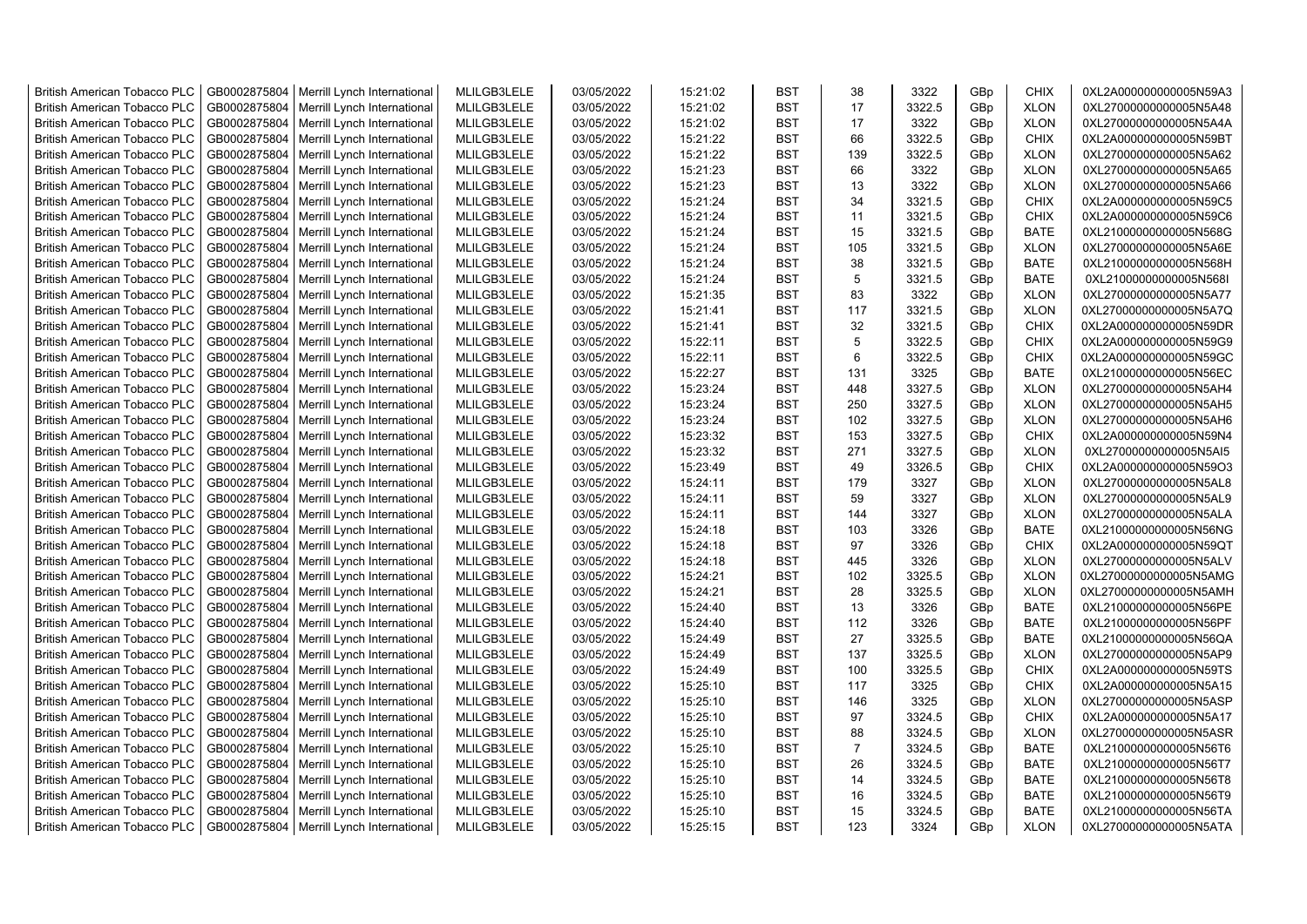| <b>British American Tobacco PLC</b> | GB0002875804 | Merrill Lynch International | MLILGB3LELE | 03/05/2022 | 15:21:02 | <b>BST</b> | 38             | 3322   | GBp             | <b>CHIX</b> | 0XL2A000000000005N59A3 |
|-------------------------------------|--------------|-----------------------------|-------------|------------|----------|------------|----------------|--------|-----------------|-------------|------------------------|
| <b>British American Tobacco PLC</b> | GB0002875804 | Merrill Lynch International | MLILGB3LELE | 03/05/2022 | 15:21:02 | <b>BST</b> | 17             | 3322.5 | GBp             | <b>XLON</b> | 0XL27000000000005N5A48 |
| <b>British American Tobacco PLC</b> | GB0002875804 | Merrill Lynch International | MLILGB3LELE | 03/05/2022 | 15:21:02 | <b>BST</b> | 17             | 3322   | GBp             | <b>XLON</b> | 0XL27000000000005N5A4A |
| <b>British American Tobacco PLC</b> | GB0002875804 | Merrill Lynch International | MLILGB3LELE | 03/05/2022 | 15:21:22 | <b>BST</b> | 66             | 3322.5 | GBp             | <b>CHIX</b> | 0XL2A000000000005N59BT |
| <b>British American Tobacco PLC</b> | GB0002875804 | Merrill Lynch International | MLILGB3LELE | 03/05/2022 | 15:21:22 | <b>BST</b> | 139            | 3322.5 | GBp             | <b>XLON</b> | 0XL27000000000005N5A62 |
| <b>British American Tobacco PLC</b> | GB0002875804 | Merrill Lynch International | MLILGB3LELE | 03/05/2022 | 15:21:23 | <b>BST</b> | 66             | 3322   | GBp             | <b>XLON</b> | 0XL27000000000005N5A65 |
| <b>British American Tobacco PLC</b> | GB0002875804 | Merrill Lynch International | MLILGB3LELE | 03/05/2022 | 15:21:23 | <b>BST</b> | 13             | 3322   | GBp             | <b>XLON</b> | 0XL27000000000005N5A66 |
| <b>British American Tobacco PLC</b> | GB0002875804 | Merrill Lynch International | MLILGB3LELE | 03/05/2022 | 15:21:24 | <b>BST</b> | 34             | 3321.5 | GBp             | <b>CHIX</b> | 0XL2A000000000005N59C5 |
| <b>British American Tobacco PLC</b> | GB0002875804 | Merrill Lynch International | MLILGB3LELE | 03/05/2022 | 15:21:24 | <b>BST</b> | 11             | 3321.5 | GBp             | <b>CHIX</b> | 0XL2A000000000005N59C6 |
| <b>British American Tobacco PLC</b> | GB0002875804 | Merrill Lynch International | MLILGB3LELE | 03/05/2022 | 15:21:24 | <b>BST</b> | 15             | 3321.5 | GBp             | <b>BATE</b> | 0XL21000000000005N568G |
| <b>British American Tobacco PLC</b> | GB0002875804 | Merrill Lynch International | MLILGB3LELE | 03/05/2022 | 15:21:24 | <b>BST</b> | 105            | 3321.5 | GBp             | <b>XLON</b> | 0XL27000000000005N5A6E |
| <b>British American Tobacco PLC</b> | GB0002875804 | Merrill Lynch International | MLILGB3LELE | 03/05/2022 | 15:21:24 | <b>BST</b> | 38             | 3321.5 | GBp             | <b>BATE</b> | 0XL21000000000005N568H |
| <b>British American Tobacco PLC</b> | GB0002875804 | Merrill Lynch International | MLILGB3LELE | 03/05/2022 | 15:21:24 | <b>BST</b> | 5              | 3321.5 | GBp             | <b>BATE</b> | 0XL21000000000005N568I |
| <b>British American Tobacco PLC</b> | GB0002875804 | Merrill Lynch International | MLILGB3LELE | 03/05/2022 | 15:21:35 | <b>BST</b> | 83             | 3322   | GBp             | <b>XLON</b> | 0XL27000000000005N5A77 |
| <b>British American Tobacco PLC</b> | GB0002875804 | Merrill Lynch International | MLILGB3LELE | 03/05/2022 | 15:21:41 | <b>BST</b> | 117            | 3321.5 | GBp             | <b>XLON</b> | 0XL27000000000005N5A7Q |
| <b>British American Tobacco PLC</b> | GB0002875804 | Merrill Lynch International | MLILGB3LELE | 03/05/2022 | 15:21:41 | <b>BST</b> | 32             | 3321.5 | GBp             | <b>CHIX</b> | 0XL2A000000000005N59DR |
| <b>British American Tobacco PLC</b> | GB0002875804 | Merrill Lynch International | MLILGB3LELE | 03/05/2022 | 15:22:11 | <b>BST</b> | 5              | 3322.5 | GBp             | <b>CHIX</b> | 0XL2A000000000005N59G9 |
| <b>British American Tobacco PLC</b> | GB0002875804 | Merrill Lynch International | MLILGB3LELE | 03/05/2022 | 15:22:11 | <b>BST</b> | 6              | 3322.5 | GBp             | <b>CHIX</b> | 0XL2A000000000005N59GC |
| <b>British American Tobacco PLC</b> | GB0002875804 | Merrill Lynch International | MLILGB3LELE | 03/05/2022 | 15:22:27 | <b>BST</b> | 131            | 3325   | GBp             | <b>BATE</b> | 0XL21000000000005N56EC |
| <b>British American Tobacco PLC</b> | GB0002875804 | Merrill Lynch International | MLILGB3LELE | 03/05/2022 | 15:23:24 | <b>BST</b> | 448            | 3327.5 | GBp             | <b>XLON</b> | 0XL27000000000005N5AH4 |
| <b>British American Tobacco PLC</b> | GB0002875804 | Merrill Lynch International | MLILGB3LELE | 03/05/2022 | 15:23:24 | <b>BST</b> | 250            | 3327.5 | GBp             | <b>XLON</b> | 0XL27000000000005N5AH5 |
| <b>British American Tobacco PLC</b> | GB0002875804 | Merrill Lynch International | MLILGB3LELE | 03/05/2022 | 15:23:24 | <b>BST</b> | 102            | 3327.5 | GBp             | <b>XLON</b> | 0XL27000000000005N5AH6 |
| British American Tobacco PLC        | GB0002875804 | Merrill Lynch International | MLILGB3LELE | 03/05/2022 | 15:23:32 | <b>BST</b> | 153            | 3327.5 | GBp             | <b>CHIX</b> | 0XL2A000000000005N59N4 |
| British American Tobacco PLC        | GB0002875804 | Merrill Lynch International | MLILGB3LELE | 03/05/2022 | 15:23:32 | <b>BST</b> | 271            | 3327.5 | GBp             | <b>XLON</b> | 0XL27000000000005N5AI5 |
| <b>British American Tobacco PLC</b> | GB0002875804 | Merrill Lynch International | MLILGB3LELE | 03/05/2022 | 15:23:49 | <b>BST</b> | 49             | 3326.5 | GBp             | <b>CHIX</b> | 0XL2A000000000005N59O3 |
| <b>British American Tobacco PLC</b> | GB0002875804 | Merrill Lynch International | MLILGB3LELE | 03/05/2022 | 15:24:11 | <b>BST</b> | 179            | 3327   | GBp             | <b>XLON</b> | 0XL27000000000005N5AL8 |
| <b>British American Tobacco PLC</b> | GB0002875804 | Merrill Lynch International | MLILGB3LELE | 03/05/2022 | 15:24:11 | <b>BST</b> | 59             | 3327   | GBp             | <b>XLON</b> | 0XL27000000000005N5AL9 |
| <b>British American Tobacco PLC</b> | GB0002875804 | Merrill Lynch International | MLILGB3LELE | 03/05/2022 | 15:24:11 | <b>BST</b> | 144            | 3327   | GBp             | <b>XLON</b> | 0XL27000000000005N5ALA |
| <b>British American Tobacco PLC</b> | GB0002875804 | Merrill Lynch International | MLILGB3LELE | 03/05/2022 | 15:24:18 | <b>BST</b> | 103            | 3326   | GBp             | <b>BATE</b> | 0XL21000000000005N56NG |
| <b>British American Tobacco PLC</b> | GB0002875804 | Merrill Lynch International | MLILGB3LELE | 03/05/2022 | 15:24:18 | <b>BST</b> | 97             | 3326   | GBp             | <b>CHIX</b> | 0XL2A000000000005N59QT |
| <b>British American Tobacco PLC</b> | GB0002875804 | Merrill Lynch International | MLILGB3LELE | 03/05/2022 | 15:24:18 | <b>BST</b> | 445            | 3326   | GBp             | <b>XLON</b> | 0XL27000000000005N5ALV |
| <b>British American Tobacco PLC</b> | GB0002875804 | Merrill Lynch International | MLILGB3LELE | 03/05/2022 | 15:24:21 | <b>BST</b> | 102            | 3325.5 | GBp             | <b>XLON</b> | 0XL27000000000005N5AMG |
| <b>British American Tobacco PLC</b> | GB0002875804 | Merrill Lynch International | MLILGB3LELE | 03/05/2022 | 15:24:21 | BST        | 28             | 3325.5 | GBp             | <b>XLON</b> | 0XL27000000000005N5AMH |
| <b>British American Tobacco PLC</b> | GB0002875804 | Merrill Lynch International | MLILGB3LELE | 03/05/2022 | 15:24:40 | <b>BST</b> | 13             | 3326   | GBp             | <b>BATE</b> | 0XL21000000000005N56PE |
| <b>British American Tobacco PLC</b> | GB0002875804 | Merrill Lynch International | MLILGB3LELE | 03/05/2022 | 15:24:40 | <b>BST</b> | 112            | 3326   | GBp             | <b>BATE</b> | 0XL21000000000005N56PF |
| <b>British American Tobacco PLC</b> | GB0002875804 | Merrill Lynch International | MLILGB3LELE | 03/05/2022 | 15:24:49 | <b>BST</b> | 27             | 3325.5 | GBp             | <b>BATE</b> | 0XL21000000000005N56QA |
| <b>British American Tobacco PLC</b> | GB0002875804 | Merrill Lynch International | MLILGB3LELE | 03/05/2022 | 15:24:49 | <b>BST</b> | 137            | 3325.5 | GBp             | <b>XLON</b> | 0XL27000000000005N5AP9 |
| <b>British American Tobacco PLC</b> | GB0002875804 | Merrill Lynch International | MLILGB3LELE | 03/05/2022 | 15:24:49 | <b>BST</b> | 100            | 3325.5 | GBp             | <b>CHIX</b> | 0XL2A000000000005N59TS |
| <b>British American Tobacco PLC</b> | GB0002875804 | Merrill Lynch International | MLILGB3LELE | 03/05/2022 | 15:25:10 | <b>BST</b> | 117            | 3325   | GBp             | <b>CHIX</b> | 0XL2A000000000005N5A15 |
| <b>British American Tobacco PLC</b> | GB0002875804 | Merrill Lynch International | MLILGB3LELE | 03/05/2022 | 15:25:10 | <b>BST</b> | 146            | 3325   | GBp             | <b>XLON</b> | 0XL27000000000005N5ASP |
| <b>British American Tobacco PLC</b> | GB0002875804 | Merrill Lynch International | MLILGB3LELE | 03/05/2022 | 15:25:10 | <b>BST</b> | 97             | 3324.5 | GBp             | <b>CHIX</b> | 0XL2A000000000005N5A17 |
| <b>British American Tobacco PLC</b> | GB0002875804 | Merrill Lynch International | MLILGB3LELE | 03/05/2022 | 15:25:10 | <b>BST</b> | 88             | 3324.5 | GBp             | <b>XLON</b> | 0XL27000000000005N5ASR |
| <b>British American Tobacco PLC</b> | GB0002875804 | Merrill Lynch International | MLILGB3LELE | 03/05/2022 | 15:25:10 | <b>BST</b> | $\overline{7}$ | 3324.5 | GBp             | <b>BATE</b> | 0XL21000000000005N56T6 |
| <b>British American Tobacco PLC</b> | GB0002875804 | Merrill Lynch International | MLILGB3LELE | 03/05/2022 | 15:25:10 | <b>BST</b> | 26             | 3324.5 | GBp             | <b>BATE</b> | 0XL21000000000005N56T7 |
| <b>British American Tobacco PLC</b> | GB0002875804 | Merrill Lynch International | MLILGB3LELE | 03/05/2022 | 15:25:10 | <b>BST</b> | 14             | 3324.5 | GBp             | <b>BATE</b> | 0XL21000000000005N56T8 |
| <b>British American Tobacco PLC</b> | GB0002875804 | Merrill Lynch International | MLILGB3LELE | 03/05/2022 | 15:25:10 | <b>BST</b> | 16             | 3324.5 | GBp             | <b>BATE</b> | 0XL21000000000005N56T9 |
| <b>British American Tobacco PLC</b> | GB0002875804 | Merrill Lynch International | MLILGB3LELE | 03/05/2022 | 15:25:10 | <b>BST</b> | 15             | 3324.5 | GBp             | <b>BATE</b> | 0XL21000000000005N56TA |
| <b>British American Tobacco PLC</b> | GB0002875804 | Merrill Lynch International | MLILGB3LELE | 03/05/2022 | 15:25:15 | <b>BST</b> | 123            | 3324   | GB <sub>p</sub> | <b>XLON</b> | 0XL27000000000005N5ATA |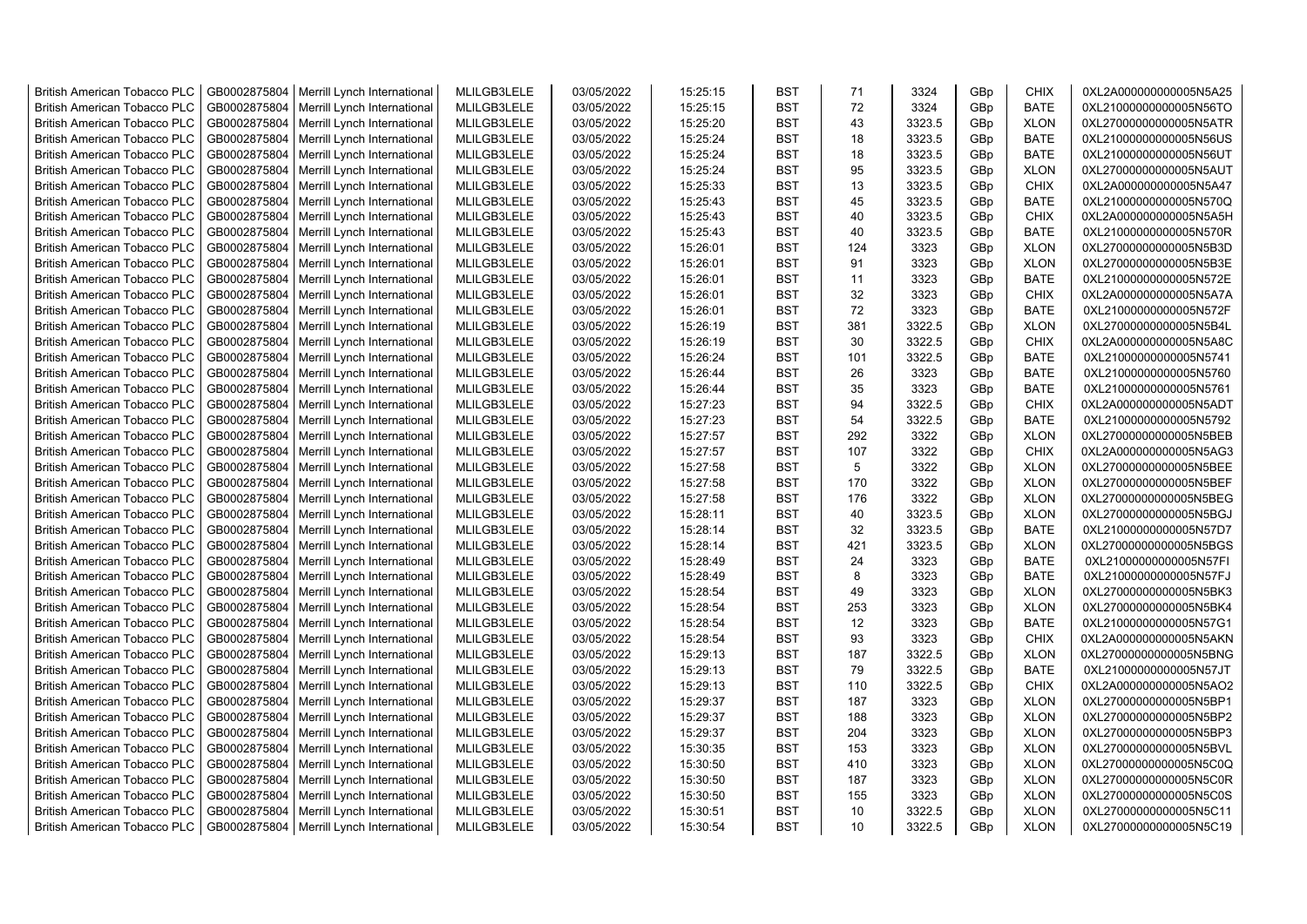| <b>British American Tobacco PLC</b> | GB0002875804 | Merrill Lynch International | MLILGB3LELE | 03/05/2022 | 15:25:15 | <b>BST</b> | 71  | 3324   | GBp             | <b>CHIX</b> | 0XL2A000000000005N5A25 |
|-------------------------------------|--------------|-----------------------------|-------------|------------|----------|------------|-----|--------|-----------------|-------------|------------------------|
| <b>British American Tobacco PLC</b> | GB0002875804 | Merrill Lynch International | MLILGB3LELE | 03/05/2022 | 15:25:15 | <b>BST</b> | 72  | 3324   | GBp             | <b>BATE</b> | 0XL21000000000005N56TO |
| <b>British American Tobacco PLC</b> | GB0002875804 | Merrill Lynch International | MLILGB3LELE | 03/05/2022 | 15:25:20 | <b>BST</b> | 43  | 3323.5 | GBp             | <b>XLON</b> | 0XL27000000000005N5ATR |
| <b>British American Tobacco PLC</b> | GB0002875804 | Merrill Lynch International | MLILGB3LELE | 03/05/2022 | 15:25:24 | <b>BST</b> | 18  | 3323.5 | GBp             | <b>BATE</b> | 0XL21000000000005N56US |
| <b>British American Tobacco PLC</b> | GB0002875804 | Merrill Lynch International | MLILGB3LELE | 03/05/2022 | 15:25:24 | <b>BST</b> | 18  | 3323.5 | GBp             | <b>BATE</b> | 0XL21000000000005N56UT |
| <b>British American Tobacco PLC</b> | GB0002875804 | Merrill Lynch International | MLILGB3LELE | 03/05/2022 | 15:25:24 | <b>BST</b> | 95  | 3323.5 | GBp             | <b>XLON</b> | 0XL27000000000005N5AUT |
| <b>British American Tobacco PLC</b> | GB0002875804 | Merrill Lynch International | MLILGB3LELE | 03/05/2022 | 15:25:33 | <b>BST</b> | 13  | 3323.5 | GBp             | <b>CHIX</b> | 0XL2A000000000005N5A47 |
| <b>British American Tobacco PLC</b> | GB0002875804 | Merrill Lynch International | MLILGB3LELE | 03/05/2022 | 15:25:43 | BST        | 45  | 3323.5 | GBp             | BATE        | 0XL21000000000005N570Q |
| <b>British American Tobacco PLC</b> | GB0002875804 | Merrill Lynch International | MLILGB3LELE | 03/05/2022 | 15:25:43 | <b>BST</b> | 40  | 3323.5 | GBp             | <b>CHIX</b> | 0XL2A000000000005N5A5H |
| <b>British American Tobacco PLC</b> | GB0002875804 | Merrill Lynch International | MLILGB3LELE | 03/05/2022 | 15:25:43 | <b>BST</b> | 40  | 3323.5 | GBp             | <b>BATE</b> | 0XL21000000000005N570R |
| <b>British American Tobacco PLC</b> | GB0002875804 | Merrill Lynch International | MLILGB3LELE | 03/05/2022 | 15:26:01 | <b>BST</b> | 124 | 3323   | GBp             | <b>XLON</b> | 0XL27000000000005N5B3D |
| <b>British American Tobacco PLC</b> | GB0002875804 | Merrill Lynch International | MLILGB3LELE | 03/05/2022 | 15:26:01 | <b>BST</b> | 91  | 3323   | GBp             | <b>XLON</b> | 0XL27000000000005N5B3E |
| <b>British American Tobacco PLC</b> | GB0002875804 | Merrill Lynch International | MLILGB3LELE | 03/05/2022 | 15:26:01 | <b>BST</b> | 11  | 3323   | GBp             | BATE        | 0XL21000000000005N572E |
| <b>British American Tobacco PLC</b> | GB0002875804 | Merrill Lynch International | MLILGB3LELE | 03/05/2022 | 15:26:01 | <b>BST</b> | 32  | 3323   | GBp             | <b>CHIX</b> | 0XL2A000000000005N5A7A |
| <b>British American Tobacco PLC</b> | GB0002875804 | Merrill Lynch International | MLILGB3LELE | 03/05/2022 | 15:26:01 | <b>BST</b> | 72  | 3323   | GBp             | <b>BATE</b> | 0XL21000000000005N572F |
| <b>British American Tobacco PLC</b> | GB0002875804 | Merrill Lynch International | MLILGB3LELE | 03/05/2022 | 15:26:19 | <b>BST</b> | 381 | 3322.5 | GBp             | <b>XLON</b> | 0XL27000000000005N5B4L |
| <b>British American Tobacco PLC</b> | GB0002875804 | Merrill Lynch International | MLILGB3LELE | 03/05/2022 | 15:26:19 | <b>BST</b> | 30  | 3322.5 | GBp             | <b>CHIX</b> | 0XL2A000000000005N5A8C |
| <b>British American Tobacco PLC</b> | GB0002875804 | Merrill Lynch International | MLILGB3LELE | 03/05/2022 | 15:26:24 | <b>BST</b> | 101 | 3322.5 | GBp             | <b>BATE</b> | 0XL21000000000005N5741 |
| <b>British American Tobacco PLC</b> | GB0002875804 | Merrill Lynch International | MLILGB3LELE | 03/05/2022 | 15:26:44 | <b>BST</b> | 26  | 3323   | GBp             | <b>BATE</b> | 0XL21000000000005N5760 |
| <b>British American Tobacco PLC</b> | GB0002875804 | Merrill Lynch International | MLILGB3LELE | 03/05/2022 | 15:26:44 | <b>BST</b> | 35  | 3323   | GBp             | <b>BATE</b> | 0XL21000000000005N5761 |
| <b>British American Tobacco PLC</b> | GB0002875804 | Merrill Lynch International | MLILGB3LELE | 03/05/2022 | 15:27:23 | <b>BST</b> | 94  | 3322.5 | GBp             | <b>CHIX</b> | 0XL2A000000000005N5ADT |
| <b>British American Tobacco PLC</b> | GB0002875804 | Merrill Lynch International | MLILGB3LELE | 03/05/2022 | 15:27:23 | <b>BST</b> | 54  | 3322.5 | GBp             | <b>BATE</b> | 0XL21000000000005N5792 |
| <b>British American Tobacco PLC</b> | GB0002875804 | Merrill Lynch International | MLILGB3LELE | 03/05/2022 | 15:27:57 | <b>BST</b> | 292 | 3322   | GBp             | <b>XLON</b> | 0XL27000000000005N5BEB |
| <b>British American Tobacco PLC</b> | GB0002875804 | Merrill Lynch International | MLILGB3LELE | 03/05/2022 | 15:27:57 | BST        | 107 | 3322   | GBp             | <b>CHIX</b> | 0XL2A000000000005N5AG3 |
| <b>British American Tobacco PLC</b> | GB0002875804 | Merrill Lynch International | MLILGB3LELE | 03/05/2022 | 15:27:58 | <b>BST</b> | 5   | 3322   | GBp             | <b>XLON</b> | 0XL27000000000005N5BEE |
| <b>British American Tobacco PLC</b> | GB0002875804 | Merrill Lynch International | MLILGB3LELE | 03/05/2022 | 15:27:58 | <b>BST</b> | 170 | 3322   | GBp             | <b>XLON</b> | 0XL27000000000005N5BEF |
| <b>British American Tobacco PLC</b> | GB0002875804 | Merrill Lynch International | MLILGB3LELE | 03/05/2022 | 15:27:58 | <b>BST</b> | 176 | 3322   | GBp             | <b>XLON</b> | 0XL27000000000005N5BEG |
| British American Tobacco PLC        | GB0002875804 | Merrill Lynch International | MLILGB3LELE | 03/05/2022 | 15:28:11 | <b>BST</b> | 40  | 3323.5 | GBp             | <b>XLON</b> | 0XL27000000000005N5BGJ |
| <b>British American Tobacco PLC</b> | GB0002875804 | Merrill Lynch International | MLILGB3LELE | 03/05/2022 | 15:28:14 | <b>BST</b> | 32  | 3323.5 | GBp             | <b>BATE</b> | 0XL21000000000005N57D7 |
| <b>British American Tobacco PLC</b> | GB0002875804 | Merrill Lynch International | MLILGB3LELE | 03/05/2022 | 15:28:14 | <b>BST</b> | 421 | 3323.5 | GBp             | <b>XLON</b> | 0XL27000000000005N5BGS |
| <b>British American Tobacco PLC</b> | GB0002875804 | Merrill Lynch International | MLILGB3LELE | 03/05/2022 | 15:28:49 | <b>BST</b> | 24  | 3323   | GBp             | <b>BATE</b> | 0XL21000000000005N57FI |
| <b>British American Tobacco PLC</b> | GB0002875804 | Merrill Lynch International | MLILGB3LELE | 03/05/2022 | 15:28:49 | <b>BST</b> | 8   | 3323   | GBp             | <b>BATE</b> | 0XL21000000000005N57FJ |
| <b>British American Tobacco PLC</b> | GB0002875804 | Merrill Lynch International | MLILGB3LELE | 03/05/2022 | 15:28:54 | <b>BST</b> | 49  | 3323   | GBp             | <b>XLON</b> | 0XL27000000000005N5BK3 |
| <b>British American Tobacco PLC</b> | GB0002875804 | Merrill Lynch International | MLILGB3LELE | 03/05/2022 | 15:28:54 | <b>BST</b> | 253 | 3323   | GBp             | <b>XLON</b> | 0XL27000000000005N5BK4 |
| <b>British American Tobacco PLC</b> | GB0002875804 | Merrill Lynch International | MLILGB3LELE | 03/05/2022 | 15:28:54 | <b>BST</b> | 12  | 3323   | GBp             | <b>BATE</b> | 0XL21000000000005N57G1 |
| <b>British American Tobacco PLC</b> | GB0002875804 | Merrill Lynch International | MLILGB3LELE | 03/05/2022 | 15:28:54 | <b>BST</b> | 93  | 3323   | GBp             | <b>CHIX</b> | 0XL2A000000000005N5AKN |
| <b>British American Tobacco PLC</b> | GB0002875804 | Merrill Lynch International | MLILGB3LELE | 03/05/2022 | 15:29:13 | <b>BST</b> | 187 | 3322.5 | GBp             | <b>XLON</b> | 0XL27000000000005N5BNG |
| <b>British American Tobacco PLC</b> | GB0002875804 | Merrill Lynch International | MLILGB3LELE | 03/05/2022 | 15:29:13 | <b>BST</b> | 79  | 3322.5 | GBp             | <b>BATE</b> | 0XL21000000000005N57JT |
| <b>British American Tobacco PLC</b> | GB0002875804 | Merrill Lynch International | MLILGB3LELE | 03/05/2022 | 15:29:13 | <b>BST</b> | 110 | 3322.5 | GBp             | <b>CHIX</b> | 0XL2A000000000005N5AO2 |
| <b>British American Tobacco PLC</b> | GB0002875804 | Merrill Lynch International | MLILGB3LELE | 03/05/2022 | 15:29:37 | <b>BST</b> | 187 | 3323   | GBp             | <b>XLON</b> | 0XL27000000000005N5BP1 |
| <b>British American Tobacco PLC</b> | GB0002875804 | Merrill Lynch International | MLILGB3LELE | 03/05/2022 | 15:29:37 | <b>BST</b> | 188 | 3323   | GBp             | <b>XLON</b> | 0XL27000000000005N5BP2 |
| <b>British American Tobacco PLC</b> | GB0002875804 | Merrill Lynch International | MLILGB3LELE | 03/05/2022 | 15:29:37 | <b>BST</b> | 204 | 3323   | GBp             | <b>XLON</b> | 0XL27000000000005N5BP3 |
| <b>British American Tobacco PLC</b> | GB0002875804 | Merrill Lynch International | MLILGB3LELE | 03/05/2022 | 15:30:35 | <b>BST</b> | 153 | 3323   | GBp             | <b>XLON</b> | 0XL27000000000005N5BVL |
| <b>British American Tobacco PLC</b> | GB0002875804 | Merrill Lynch International | MLILGB3LELE | 03/05/2022 | 15:30:50 | <b>BST</b> | 410 | 3323   | GBp             | <b>XLON</b> | 0XL27000000000005N5C0Q |
| <b>British American Tobacco PLC</b> | GB0002875804 | Merrill Lynch International | MLILGB3LELE | 03/05/2022 | 15:30:50 | <b>BST</b> | 187 | 3323   | GBp             | <b>XLON</b> | 0XL27000000000005N5C0R |
| <b>British American Tobacco PLC</b> | GB0002875804 | Merrill Lynch International | MLILGB3LELE | 03/05/2022 | 15:30:50 | <b>BST</b> | 155 | 3323   | GBp             | <b>XLON</b> | 0XL27000000000005N5C0S |
| <b>British American Tobacco PLC</b> | GB0002875804 | Merrill Lynch International | MLILGB3LELE | 03/05/2022 | 15:30:51 | <b>BST</b> | 10  | 3322.5 | GBp             | <b>XLON</b> | 0XL27000000000005N5C11 |
| <b>British American Tobacco PLC</b> | GB0002875804 | Merrill Lynch International | MLILGB3LELE | 03/05/2022 | 15:30:54 | <b>BST</b> | 10  | 3322.5 | GB <sub>p</sub> | <b>XLON</b> | 0XL27000000000005N5C19 |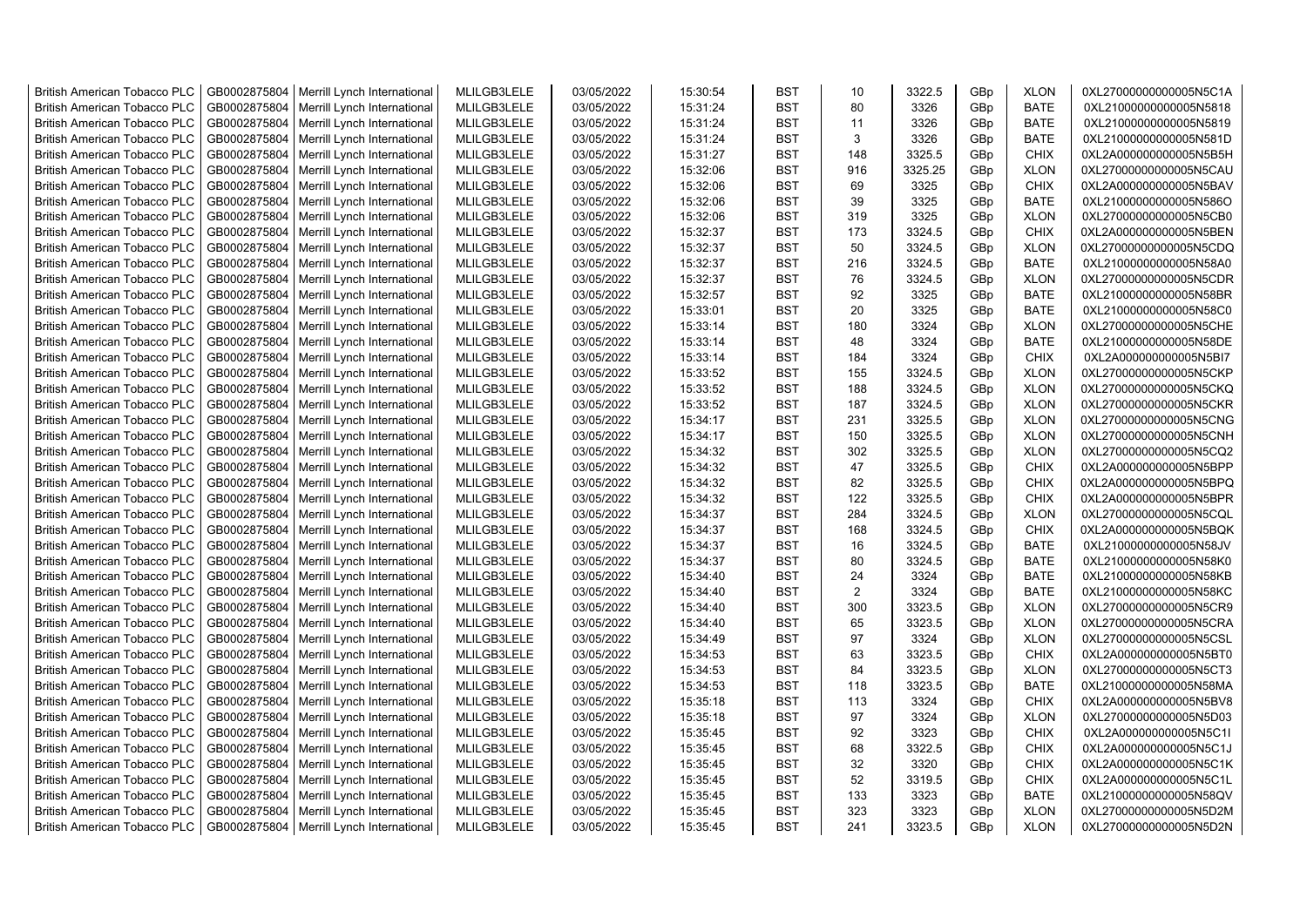| <b>British American Tobacco PLC</b> | GB0002875804 | Merrill Lynch International | MLILGB3LELE | 03/05/2022 | 15:30:54 | <b>BST</b> | 10  | 3322.5  | GBp             | <b>XLON</b> | 0XL27000000000005N5C1A |
|-------------------------------------|--------------|-----------------------------|-------------|------------|----------|------------|-----|---------|-----------------|-------------|------------------------|
| <b>British American Tobacco PLC</b> | GB0002875804 | Merrill Lynch International | MLILGB3LELE | 03/05/2022 | 15:31:24 | <b>BST</b> | 80  | 3326    | GBp             | <b>BATE</b> | 0XL21000000000005N5818 |
| <b>British American Tobacco PLC</b> | GB0002875804 | Merrill Lynch International | MLILGB3LELE | 03/05/2022 | 15:31:24 | <b>BST</b> | 11  | 3326    | GBp             | <b>BATE</b> | 0XL21000000000005N5819 |
| <b>British American Tobacco PLC</b> | GB0002875804 | Merrill Lynch International | MLILGB3LELE | 03/05/2022 | 15:31:24 | <b>BST</b> | 3   | 3326    | GBp             | <b>BATE</b> | 0XL21000000000005N581D |
| <b>British American Tobacco PLC</b> | GB0002875804 | Merrill Lynch International | MLILGB3LELE | 03/05/2022 | 15:31:27 | <b>BST</b> | 148 | 3325.5  | GBp             | <b>CHIX</b> | 0XL2A000000000005N5B5H |
| <b>British American Tobacco PLC</b> | GB0002875804 | Merrill Lynch International | MLILGB3LELE | 03/05/2022 | 15:32:06 | <b>BST</b> | 916 | 3325.25 | GBp             | <b>XLON</b> | 0XL27000000000005N5CAU |
| <b>British American Tobacco PLC</b> | GB0002875804 | Merrill Lynch International | MLILGB3LELE | 03/05/2022 | 15:32:06 | <b>BST</b> | 69  | 3325    | GBp             | <b>CHIX</b> | 0XL2A000000000005N5BAV |
| <b>British American Tobacco PLC</b> | GB0002875804 | Merrill Lynch International | MLILGB3LELE | 03/05/2022 | 15:32:06 | <b>BST</b> | 39  | 3325    | GBp             | <b>BATE</b> | 0XL21000000000005N586O |
| <b>British American Tobacco PLC</b> | GB0002875804 | Merrill Lynch International | MLILGB3LELE | 03/05/2022 | 15:32:06 | <b>BST</b> | 319 | 3325    | GBp             | <b>XLON</b> | 0XL27000000000005N5CB0 |
| <b>British American Tobacco PLC</b> | GB0002875804 | Merrill Lynch International | MLILGB3LELE | 03/05/2022 | 15:32:37 | <b>BST</b> | 173 | 3324.5  | GBp             | <b>CHIX</b> | 0XL2A000000000005N5BEN |
| <b>British American Tobacco PLC</b> | GB0002875804 | Merrill Lynch International | MLILGB3LELE | 03/05/2022 | 15:32:37 | <b>BST</b> | 50  | 3324.5  | GBp             | <b>XLON</b> | 0XL27000000000005N5CDQ |
| <b>British American Tobacco PLC</b> | GB0002875804 | Merrill Lynch International | MLILGB3LELE | 03/05/2022 | 15:32:37 | <b>BST</b> | 216 | 3324.5  | GBp             | <b>BATE</b> | 0XL21000000000005N58A0 |
| <b>British American Tobacco PLC</b> | GB0002875804 | Merrill Lynch International | MLILGB3LELE | 03/05/2022 | 15:32:37 | <b>BST</b> | 76  | 3324.5  | GBp             | <b>XLON</b> | 0XL27000000000005N5CDR |
| <b>British American Tobacco PLC</b> | GB0002875804 | Merrill Lynch International | MLILGB3LELE | 03/05/2022 | 15:32:57 | <b>BST</b> | 92  | 3325    | GBp             | <b>BATE</b> | 0XL21000000000005N58BR |
| <b>British American Tobacco PLC</b> | GB0002875804 | Merrill Lynch International | MLILGB3LELE | 03/05/2022 | 15:33:01 | <b>BST</b> | 20  | 3325    | GBp             | <b>BATE</b> | 0XL21000000000005N58C0 |
| <b>British American Tobacco PLC</b> | GB0002875804 | Merrill Lynch International | MLILGB3LELE | 03/05/2022 | 15:33:14 | <b>BST</b> | 180 | 3324    | GBp             | <b>XLON</b> | 0XL27000000000005N5CHE |
| <b>British American Tobacco PLC</b> | GB0002875804 | Merrill Lynch International | MLILGB3LELE | 03/05/2022 | 15:33:14 | <b>BST</b> | 48  | 3324    | GBp             | <b>BATE</b> | 0XL21000000000005N58DE |
| <b>British American Tobacco PLC</b> | GB0002875804 | Merrill Lynch International | MLILGB3LELE | 03/05/2022 | 15:33:14 | <b>BST</b> | 184 | 3324    | GBp             | <b>CHIX</b> | 0XL2A000000000005N5BI7 |
| <b>British American Tobacco PLC</b> | GB0002875804 | Merrill Lynch International | MLILGB3LELE | 03/05/2022 | 15:33:52 | <b>BST</b> | 155 | 3324.5  | GBp             | <b>XLON</b> | 0XL27000000000005N5CKP |
| <b>British American Tobacco PLC</b> | GB0002875804 | Merrill Lynch International | MLILGB3LELE | 03/05/2022 | 15:33:52 | <b>BST</b> | 188 | 3324.5  | GBp             | <b>XLON</b> | 0XL27000000000005N5CKQ |
| <b>British American Tobacco PLC</b> | GB0002875804 | Merrill Lynch International | MLILGB3LELE | 03/05/2022 | 15:33:52 | <b>BST</b> | 187 | 3324.5  | GBp             | <b>XLON</b> | 0XL27000000000005N5CKR |
| <b>British American Tobacco PLC</b> | GB0002875804 | Merrill Lynch International | MLILGB3LELE | 03/05/2022 | 15:34:17 | <b>BST</b> | 231 | 3325.5  | GBp             | <b>XLON</b> | 0XL27000000000005N5CNG |
| <b>British American Tobacco PLC</b> | GB0002875804 | Merrill Lynch International | MLILGB3LELE | 03/05/2022 | 15:34:17 | <b>BST</b> | 150 | 3325.5  | GBp             | <b>XLON</b> | 0XL27000000000005N5CNH |
| <b>British American Tobacco PLC</b> | GB0002875804 | Merrill Lynch International | MLILGB3LELE | 03/05/2022 | 15:34:32 | <b>BST</b> | 302 | 3325.5  | GBp             | <b>XLON</b> | 0XL27000000000005N5CQ2 |
| <b>British American Tobacco PLC</b> | GB0002875804 | Merrill Lynch International | MLILGB3LELE | 03/05/2022 | 15:34:32 | <b>BST</b> | 47  | 3325.5  | GBp             | <b>CHIX</b> | 0XL2A000000000005N5BPP |
| <b>British American Tobacco PLC</b> | GB0002875804 | Merrill Lynch International | MLILGB3LELE | 03/05/2022 | 15:34:32 | <b>BST</b> | 82  | 3325.5  | GBp             | <b>CHIX</b> | 0XL2A000000000005N5BPQ |
| <b>British American Tobacco PLC</b> | GB0002875804 | Merrill Lynch International | MLILGB3LELE | 03/05/2022 | 15:34:32 | <b>BST</b> | 122 | 3325.5  | GBp             | <b>CHIX</b> | 0XL2A000000000005N5BPR |
| British American Tobacco PLC        | GB0002875804 | Merrill Lynch International | MLILGB3LELE | 03/05/2022 | 15:34:37 | <b>BST</b> | 284 | 3324.5  | GBp             | <b>XLON</b> | 0XL27000000000005N5CQL |
| <b>British American Tobacco PLC</b> | GB0002875804 | Merrill Lynch International | MLILGB3LELE | 03/05/2022 | 15:34:37 | <b>BST</b> | 168 | 3324.5  | GBp             | <b>CHIX</b> | 0XL2A000000000005N5BQK |
| <b>British American Tobacco PLC</b> | GB0002875804 | Merrill Lynch International | MLILGB3LELE | 03/05/2022 | 15:34:37 | <b>BST</b> | 16  | 3324.5  | GBp             | <b>BATE</b> | 0XL21000000000005N58JV |
| <b>British American Tobacco PLC</b> | GB0002875804 | Merrill Lynch International | MLILGB3LELE | 03/05/2022 | 15:34:37 | <b>BST</b> | 80  | 3324.5  | GBp             | <b>BATE</b> | 0XL21000000000005N58K0 |
| <b>British American Tobacco PLC</b> | GB0002875804 | Merrill Lynch International | MLILGB3LELE | 03/05/2022 | 15:34:40 | <b>BST</b> | 24  | 3324    | GBp             | BATE        | 0XL21000000000005N58KB |
| <b>British American Tobacco PLC</b> | GB0002875804 | Merrill Lynch International | MLILGB3LELE | 03/05/2022 | 15:34:40 | <b>BST</b> | 2   | 3324    | GBp             | <b>BATE</b> | 0XL21000000000005N58KC |
| <b>British American Tobacco PLC</b> | GB0002875804 | Merrill Lynch International | MLILGB3LELE | 03/05/2022 | 15:34:40 | <b>BST</b> | 300 | 3323.5  | GBp             | <b>XLON</b> | 0XL27000000000005N5CR9 |
| <b>British American Tobacco PLC</b> | GB0002875804 | Merrill Lynch International | MLILGB3LELE | 03/05/2022 | 15:34:40 | <b>BST</b> | 65  | 3323.5  | GBp             | <b>XLON</b> | 0XL27000000000005N5CRA |
| <b>British American Tobacco PLC</b> | GB0002875804 | Merrill Lynch International | MLILGB3LELE | 03/05/2022 | 15:34:49 | <b>BST</b> | 97  | 3324    | GBp             | <b>XLON</b> | 0XL27000000000005N5CSL |
| <b>British American Tobacco PLC</b> | GB0002875804 | Merrill Lynch International | MLILGB3LELE | 03/05/2022 | 15:34:53 | <b>BST</b> | 63  | 3323.5  | GBp             | <b>CHIX</b> | 0XL2A000000000005N5BT0 |
| <b>British American Tobacco PLC</b> | GB0002875804 | Merrill Lynch International | MLILGB3LELE | 03/05/2022 | 15:34:53 | <b>BST</b> | 84  | 3323.5  | GBp             | <b>XLON</b> | 0XL27000000000005N5CT3 |
| <b>British American Tobacco PLC</b> | GB0002875804 | Merrill Lynch International | MLILGB3LELE | 03/05/2022 | 15:34:53 | <b>BST</b> | 118 | 3323.5  | GBp             | <b>BATE</b> | 0XL21000000000005N58MA |
| <b>British American Tobacco PLC</b> | GB0002875804 | Merrill Lynch International | MLILGB3LELE | 03/05/2022 | 15:35:18 | <b>BST</b> | 113 | 3324    | GBp             | <b>CHIX</b> | 0XL2A000000000005N5BV8 |
| <b>British American Tobacco PLC</b> | GB0002875804 | Merrill Lynch International | MLILGB3LELE | 03/05/2022 | 15:35:18 | <b>BST</b> | 97  | 3324    | GBp             | <b>XLON</b> | 0XL27000000000005N5D03 |
| <b>British American Tobacco PLC</b> | GB0002875804 | Merrill Lynch International | MLILGB3LELE | 03/05/2022 | 15:35:45 | <b>BST</b> | 92  | 3323    | GBp             | <b>CHIX</b> | 0XL2A000000000005N5C1I |
| <b>British American Tobacco PLC</b> | GB0002875804 | Merrill Lynch International | MLILGB3LELE | 03/05/2022 | 15:35:45 | <b>BST</b> | 68  | 3322.5  | GBp             | <b>CHIX</b> | 0XL2A000000000005N5C1J |
| <b>British American Tobacco PLC</b> | GB0002875804 | Merrill Lynch International | MLILGB3LELE | 03/05/2022 | 15:35:45 | <b>BST</b> | 32  | 3320    | GBp             | <b>CHIX</b> | 0XL2A000000000005N5C1K |
| British American Tobacco PLC        | GB0002875804 | Merrill Lynch International | MLILGB3LELE | 03/05/2022 | 15:35:45 | <b>BST</b> | 52  | 3319.5  | GBp             | <b>CHIX</b> | 0XL2A000000000005N5C1L |
| <b>British American Tobacco PLC</b> | GB0002875804 | Merrill Lynch International | MLILGB3LELE | 03/05/2022 | 15:35:45 | <b>BST</b> | 133 | 3323    | GBp             | <b>BATE</b> | 0XL21000000000005N58QV |
| <b>British American Tobacco PLC</b> | GB0002875804 | Merrill Lynch International | MLILGB3LELE | 03/05/2022 | 15:35:45 | <b>BST</b> | 323 | 3323    | GBp             | <b>XLON</b> | 0XL27000000000005N5D2M |
| <b>British American Tobacco PLC</b> | GB0002875804 | Merrill Lynch International | MLILGB3LELE | 03/05/2022 | 15:35:45 | <b>BST</b> | 241 | 3323.5  | GB <sub>p</sub> | <b>XLON</b> | 0XL27000000000005N5D2N |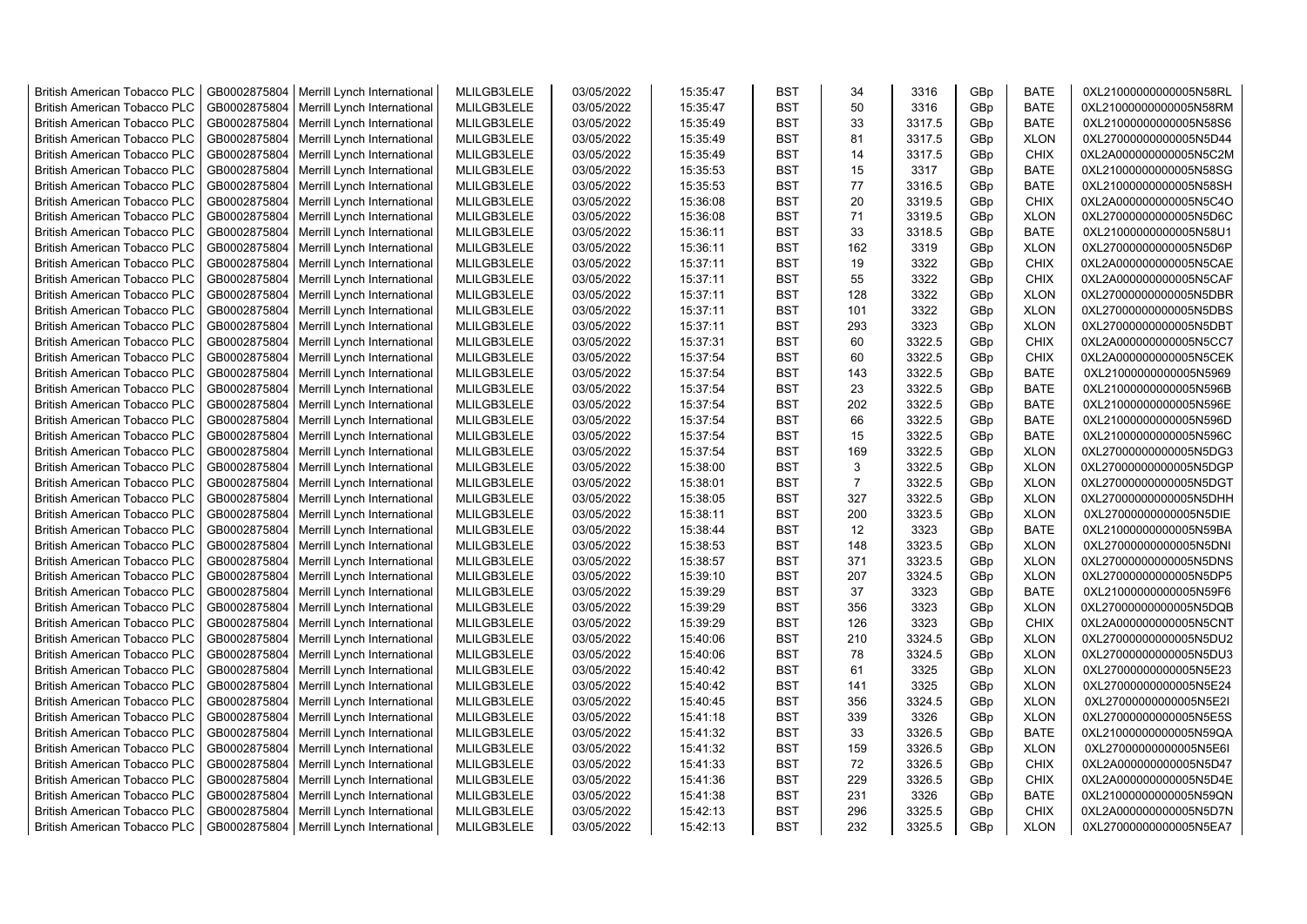| <b>British American Tobacco PLC</b> | GB0002875804 | Merrill Lynch International | MLILGB3LELE | 03/05/2022 | 15:35:47 | <b>BST</b> | 34             | 3316   | GBp             | <b>BATE</b> | 0XL21000000000005N58RL |
|-------------------------------------|--------------|-----------------------------|-------------|------------|----------|------------|----------------|--------|-----------------|-------------|------------------------|
| <b>British American Tobacco PLC</b> | GB0002875804 | Merrill Lynch International | MLILGB3LELE | 03/05/2022 | 15:35:47 | <b>BST</b> | 50             | 3316   | GBp             | <b>BATE</b> | 0XL21000000000005N58RM |
| <b>British American Tobacco PLC</b> | GB0002875804 | Merrill Lynch International | MLILGB3LELE | 03/05/2022 | 15:35:49 | <b>BST</b> | 33             | 3317.5 | GBp             | <b>BATE</b> | 0XL21000000000005N58S6 |
| <b>British American Tobacco PLC</b> | GB0002875804 | Merrill Lynch International | MLILGB3LELE | 03/05/2022 | 15:35:49 | <b>BST</b> | 81             | 3317.5 | GBp             | <b>XLON</b> | 0XL27000000000005N5D44 |
| <b>British American Tobacco PLC</b> | GB0002875804 | Merrill Lynch International | MLILGB3LELE | 03/05/2022 | 15:35:49 | <b>BST</b> | 14             | 3317.5 | GBp             | <b>CHIX</b> | 0XL2A000000000005N5C2M |
| <b>British American Tobacco PLC</b> | GB0002875804 | Merrill Lynch International | MLILGB3LELE | 03/05/2022 | 15:35:53 | <b>BST</b> | 15             | 3317   | GBp             | <b>BATE</b> | 0XL21000000000005N58SG |
| <b>British American Tobacco PLC</b> | GB0002875804 | Merrill Lynch International | MLILGB3LELE | 03/05/2022 | 15:35:53 | <b>BST</b> | 77             | 3316.5 | GBp             | <b>BATE</b> | 0XL21000000000005N58SH |
| <b>British American Tobacco PLC</b> | GB0002875804 | Merrill Lynch International | MLILGB3LELE | 03/05/2022 | 15:36:08 | <b>BST</b> | 20             | 3319.5 | GBp             | <b>CHIX</b> | 0XL2A000000000005N5C4O |
| <b>British American Tobacco PLC</b> | GB0002875804 | Merrill Lynch International | MLILGB3LELE | 03/05/2022 | 15:36:08 | <b>BST</b> | 71             | 3319.5 | GBp             | <b>XLON</b> | 0XL27000000000005N5D6C |
| <b>British American Tobacco PLC</b> | GB0002875804 | Merrill Lynch International | MLILGB3LELE | 03/05/2022 | 15:36:11 | <b>BST</b> | 33             | 3318.5 | GBp             | <b>BATE</b> | 0XL21000000000005N58U1 |
| <b>British American Tobacco PLC</b> | GB0002875804 | Merrill Lynch International | MLILGB3LELE | 03/05/2022 | 15:36:11 | <b>BST</b> | 162            | 3319   | GBp             | <b>XLON</b> | 0XL27000000000005N5D6P |
| <b>British American Tobacco PLC</b> | GB0002875804 | Merrill Lynch International | MLILGB3LELE | 03/05/2022 | 15:37:11 | <b>BST</b> | 19             | 3322   | GBp             | <b>CHIX</b> | 0XL2A000000000005N5CAE |
| <b>British American Tobacco PLC</b> | GB0002875804 | Merrill Lynch International | MLILGB3LELE | 03/05/2022 | 15:37:11 | <b>BST</b> | 55             | 3322   | GBp             | <b>CHIX</b> | 0XL2A000000000005N5CAF |
| <b>British American Tobacco PLC</b> | GB0002875804 | Merrill Lynch International | MLILGB3LELE | 03/05/2022 | 15:37:11 | <b>BST</b> | 128            | 3322   | GBp             | <b>XLON</b> | 0XL27000000000005N5DBR |
| <b>British American Tobacco PLC</b> | GB0002875804 | Merrill Lynch International | MLILGB3LELE | 03/05/2022 | 15:37:11 | <b>BST</b> | 101            | 3322   | GBp             | <b>XLON</b> | 0XL27000000000005N5DBS |
| <b>British American Tobacco PLC</b> | GB0002875804 | Merrill Lynch International | MLILGB3LELE | 03/05/2022 | 15:37:11 | <b>BST</b> | 293            | 3323   | GBp             | <b>XLON</b> | 0XL27000000000005N5DBT |
| <b>British American Tobacco PLC</b> | GB0002875804 | Merrill Lynch International | MLILGB3LELE | 03/05/2022 | 15:37:31 | <b>BST</b> | 60             | 3322.5 | GBp             | <b>CHIX</b> | 0XL2A000000000005N5CC7 |
| <b>British American Tobacco PLC</b> | GB0002875804 | Merrill Lynch International | MLILGB3LELE | 03/05/2022 | 15:37:54 | <b>BST</b> | 60             | 3322.5 | GBp             | <b>CHIX</b> | 0XL2A000000000005N5CEK |
| <b>British American Tobacco PLC</b> | GB0002875804 | Merrill Lynch International | MLILGB3LELE | 03/05/2022 | 15:37:54 | <b>BST</b> | 143            | 3322.5 | GBp             | <b>BATE</b> | 0XL21000000000005N5969 |
| <b>British American Tobacco PLC</b> | GB0002875804 | Merrill Lynch International | MLILGB3LELE | 03/05/2022 | 15:37:54 | <b>BST</b> | 23             | 3322.5 | GBp             | <b>BATE</b> | 0XL21000000000005N596B |
| <b>British American Tobacco PLC</b> | GB0002875804 | Merrill Lynch International | MLILGB3LELE | 03/05/2022 | 15:37:54 | <b>BST</b> | 202            | 3322.5 | GBp             | <b>BATE</b> | 0XL21000000000005N596E |
| <b>British American Tobacco PLC</b> | GB0002875804 | Merrill Lynch International | MLILGB3LELE | 03/05/2022 | 15:37:54 | <b>BST</b> | 66             | 3322.5 | GBp             | <b>BATE</b> | 0XL21000000000005N596D |
| British American Tobacco PLC        | GB0002875804 | Merrill Lynch International | MLILGB3LELE | 03/05/2022 | 15:37:54 | <b>BST</b> | 15             | 3322.5 | GBp             | <b>BATE</b> | 0XL21000000000005N596C |
| <b>British American Tobacco PLC</b> | GB0002875804 | Merrill Lynch International | MLILGB3LELE | 03/05/2022 | 15:37:54 | <b>BST</b> | 169            | 3322.5 | GBp             | <b>XLON</b> | 0XL27000000000005N5DG3 |
| <b>British American Tobacco PLC</b> | GB0002875804 | Merrill Lynch International | MLILGB3LELE | 03/05/2022 | 15:38:00 | <b>BST</b> | 3              | 3322.5 | GBp             | <b>XLON</b> | 0XL27000000000005N5DGP |
| <b>British American Tobacco PLC</b> | GB0002875804 | Merrill Lynch International | MLILGB3LELE | 03/05/2022 | 15:38:01 | <b>BST</b> | $\overline{7}$ | 3322.5 | GBp             | <b>XLON</b> | 0XL27000000000005N5DGT |
| <b>British American Tobacco PLC</b> | GB0002875804 | Merrill Lynch International | MLILGB3LELE | 03/05/2022 | 15:38:05 | <b>BST</b> | 327            | 3322.5 | GBp             | <b>XLON</b> | 0XL27000000000005N5DHH |
| British American Tobacco PLC        | GB0002875804 | Merrill Lynch International | MLILGB3LELE | 03/05/2022 | 15:38:11 | <b>BST</b> | 200            | 3323.5 | GBp             | <b>XLON</b> | 0XL27000000000005N5DIE |
| <b>British American Tobacco PLC</b> | GB0002875804 | Merrill Lynch International | MLILGB3LELE | 03/05/2022 | 15:38:44 | <b>BST</b> | 12             | 3323   | GBp             | <b>BATE</b> | 0XL21000000000005N59BA |
| <b>British American Tobacco PLC</b> | GB0002875804 | Merrill Lynch International | MLILGB3LELE | 03/05/2022 | 15:38:53 | <b>BST</b> | 148            | 3323.5 | GBp             | <b>XLON</b> | 0XL27000000000005N5DNI |
| <b>British American Tobacco PLC</b> | GB0002875804 | Merrill Lynch International | MLILGB3LELE | 03/05/2022 | 15:38:57 | <b>BST</b> | 371            | 3323.5 | GBp             | <b>XLON</b> | 0XL27000000000005N5DNS |
| <b>British American Tobacco PLC</b> | GB0002875804 | Merrill Lynch International | MLILGB3LELE | 03/05/2022 | 15:39:10 | <b>BST</b> | 207            | 3324.5 | GBp             | <b>XLON</b> | 0XL27000000000005N5DP5 |
| <b>British American Tobacco PLC</b> | GB0002875804 | Merrill Lynch International | MLILGB3LELE | 03/05/2022 | 15:39:29 | <b>BST</b> | 37             | 3323   | GBp             | <b>BATE</b> | 0XL21000000000005N59F6 |
| <b>British American Tobacco PLC</b> | GB0002875804 | Merrill Lynch International | MLILGB3LELE | 03/05/2022 | 15:39:29 | <b>BST</b> | 356            | 3323   | GBp             | <b>XLON</b> | 0XL27000000000005N5DQB |
| <b>British American Tobacco PLC</b> | GB0002875804 | Merrill Lynch International | MLILGB3LELE | 03/05/2022 | 15:39:29 | <b>BST</b> | 126            | 3323   | GBp             | <b>CHIX</b> | 0XL2A000000000005N5CNT |
| <b>British American Tobacco PLC</b> | GB0002875804 | Merrill Lynch International | MLILGB3LELE | 03/05/2022 | 15:40:06 | <b>BST</b> | 210            | 3324.5 | GBp             | <b>XLON</b> | 0XL27000000000005N5DU2 |
| <b>British American Tobacco PLC</b> | GB0002875804 | Merrill Lynch International | MLILGB3LELE | 03/05/2022 | 15:40:06 | <b>BST</b> | 78             | 3324.5 | GBp             | <b>XLON</b> | 0XL27000000000005N5DU3 |
| <b>British American Tobacco PLC</b> | GB0002875804 | Merrill Lynch International | MLILGB3LELE | 03/05/2022 | 15:40:42 | <b>BST</b> | 61             | 3325   | GBp             | <b>XLON</b> | 0XL27000000000005N5E23 |
| <b>British American Tobacco PLC</b> | GB0002875804 | Merrill Lynch International | MLILGB3LELE | 03/05/2022 | 15:40:42 | <b>BST</b> | 141            | 3325   | GBp             | <b>XLON</b> | 0XL27000000000005N5E24 |
| <b>British American Tobacco PLC</b> | GB0002875804 | Merrill Lynch International | MLILGB3LELE | 03/05/2022 | 15:40:45 | <b>BST</b> | 356            | 3324.5 | GBp             | <b>XLON</b> | 0XL27000000000005N5E2I |
| <b>British American Tobacco PLC</b> | GB0002875804 | Merrill Lynch International | MLILGB3LELE | 03/05/2022 | 15:41:18 | <b>BST</b> | 339            | 3326   | GBp             | <b>XLON</b> | 0XL27000000000005N5E5S |
| <b>British American Tobacco PLC</b> | GB0002875804 | Merrill Lynch International | MLILGB3LELE | 03/05/2022 | 15:41:32 | <b>BST</b> | 33             | 3326.5 | GBp             | <b>BATE</b> | 0XL21000000000005N59QA |
| <b>British American Tobacco PLC</b> | GB0002875804 | Merrill Lynch International | MLILGB3LELE | 03/05/2022 | 15:41:32 | <b>BST</b> | 159            | 3326.5 | GBp             | <b>XLON</b> | 0XL27000000000005N5E6I |
| <b>British American Tobacco PLC</b> | GB0002875804 | Merrill Lynch International | MLILGB3LELE | 03/05/2022 | 15:41:33 | <b>BST</b> | 72             | 3326.5 | GBp             | <b>CHIX</b> | 0XL2A000000000005N5D47 |
| British American Tobacco PLC        | GB0002875804 | Merrill Lynch International | MLILGB3LELE | 03/05/2022 | 15:41:36 | <b>BST</b> | 229            | 3326.5 | GBp             | <b>CHIX</b> | 0XL2A000000000005N5D4E |
| <b>British American Tobacco PLC</b> | GB0002875804 | Merrill Lynch International | MLILGB3LELE | 03/05/2022 | 15:41:38 | <b>BST</b> | 231            | 3326   | GBp             | <b>BATE</b> | 0XL21000000000005N59QN |
| <b>British American Tobacco PLC</b> | GB0002875804 | Merrill Lynch International | MLILGB3LELE | 03/05/2022 | 15:42:13 | <b>BST</b> | 296            | 3325.5 | GBp             | <b>CHIX</b> | 0XL2A000000000005N5D7N |
| <b>British American Tobacco PLC</b> | GB0002875804 | Merrill Lynch International | MLILGB3LELE | 03/05/2022 | 15:42:13 | <b>BST</b> | 232            | 3325.5 | GB <sub>p</sub> | <b>XLON</b> | 0XL27000000000005N5EA7 |
|                                     |              |                             |             |            |          |            |                |        |                 |             |                        |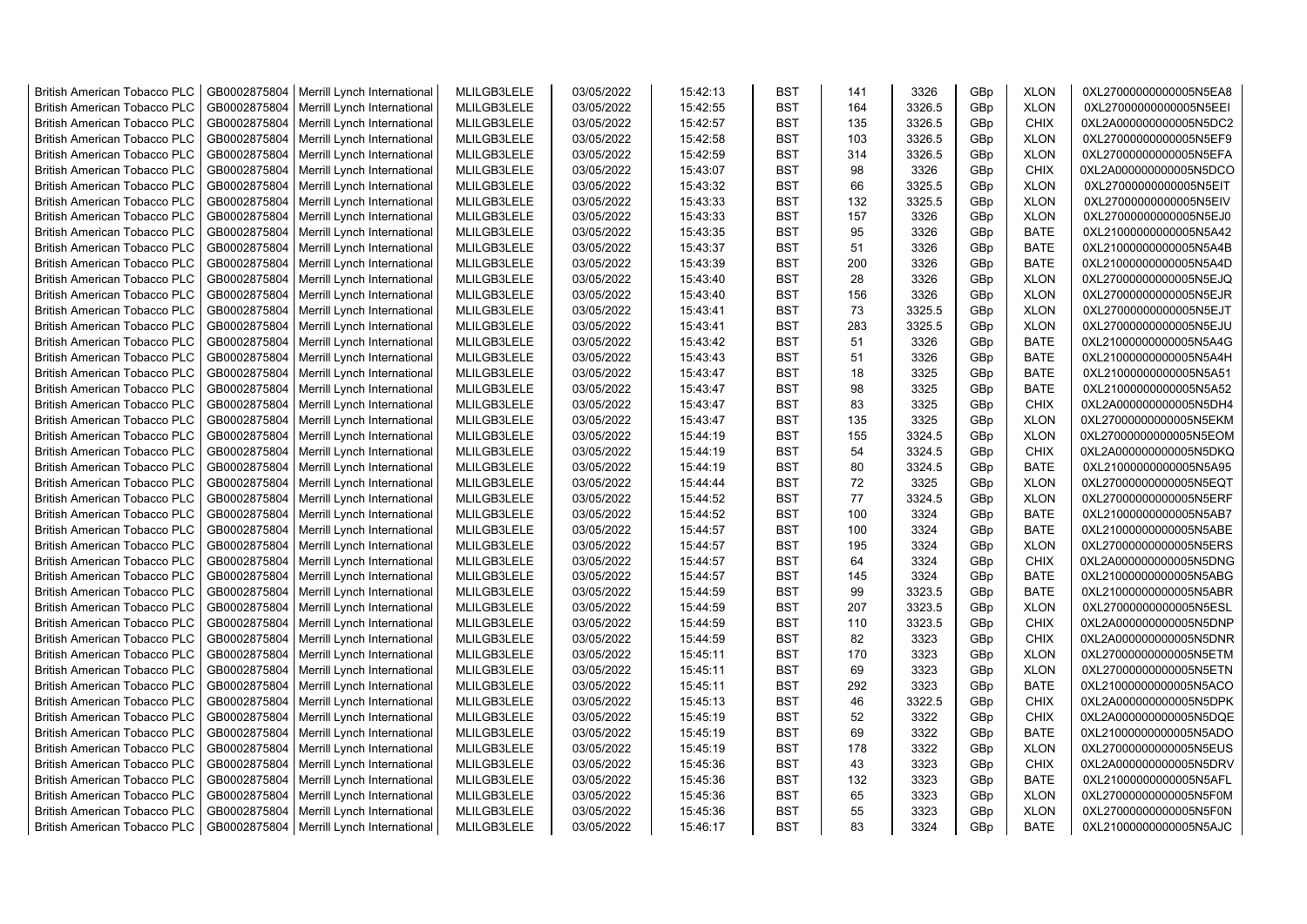| <b>British American Tobacco PLC</b> | GB0002875804 | Merrill Lynch International | MLILGB3LELE | 03/05/2022 | 15:42:13 | <b>BST</b> | 141 | 3326   | GBp             | <b>XLON</b> | 0XL27000000000005N5EA8 |
|-------------------------------------|--------------|-----------------------------|-------------|------------|----------|------------|-----|--------|-----------------|-------------|------------------------|
| <b>British American Tobacco PLC</b> | GB0002875804 | Merrill Lynch International | MLILGB3LELE | 03/05/2022 | 15:42:55 | <b>BST</b> | 164 | 3326.5 | GBp             | <b>XLON</b> | 0XL27000000000005N5EEI |
| <b>British American Tobacco PLC</b> | GB0002875804 | Merrill Lynch International | MLILGB3LELE | 03/05/2022 | 15:42:57 | <b>BST</b> | 135 | 3326.5 | GBp             | <b>CHIX</b> | 0XL2A000000000005N5DC2 |
| <b>British American Tobacco PLC</b> | GB0002875804 | Merrill Lynch International | MLILGB3LELE | 03/05/2022 | 15:42:58 | <b>BST</b> | 103 | 3326.5 | GBp             | <b>XLON</b> | 0XL27000000000005N5EF9 |
| <b>British American Tobacco PLC</b> | GB0002875804 | Merrill Lynch International | MLILGB3LELE | 03/05/2022 | 15:42:59 | <b>BST</b> | 314 | 3326.5 | GBp             | <b>XLON</b> | 0XL27000000000005N5EFA |
| <b>British American Tobacco PLC</b> | GB0002875804 | Merrill Lynch International | MLILGB3LELE | 03/05/2022 | 15:43:07 | <b>BST</b> | 98  | 3326   | GBp             | <b>CHIX</b> | 0XL2A000000000005N5DCO |
| <b>British American Tobacco PLC</b> | GB0002875804 | Merrill Lynch International | MLILGB3LELE | 03/05/2022 | 15:43:32 | <b>BST</b> | 66  | 3325.5 | GBp             | <b>XLON</b> | 0XL27000000000005N5EIT |
| <b>British American Tobacco PLC</b> | GB0002875804 | Merrill Lynch International | MLILGB3LELE | 03/05/2022 | 15:43:33 | <b>BST</b> | 132 | 3325.5 | GBp             | <b>XLON</b> | 0XL27000000000005N5EIV |
| <b>British American Tobacco PLC</b> | GB0002875804 | Merrill Lynch International | MLILGB3LELE | 03/05/2022 | 15:43:33 | <b>BST</b> | 157 | 3326   | GBp             | <b>XLON</b> | 0XL27000000000005N5EJ0 |
| <b>British American Tobacco PLC</b> | GB0002875804 | Merrill Lynch International | MLILGB3LELE | 03/05/2022 | 15:43:35 | <b>BST</b> | 95  | 3326   | GBp             | <b>BATE</b> | 0XL21000000000005N5A42 |
| <b>British American Tobacco PLC</b> | GB0002875804 | Merrill Lynch International | MLILGB3LELE | 03/05/2022 | 15:43:37 | <b>BST</b> | 51  | 3326   | GBp             | <b>BATE</b> | 0XL21000000000005N5A4B |
| <b>British American Tobacco PLC</b> | GB0002875804 | Merrill Lynch International | MLILGB3LELE | 03/05/2022 | 15:43:39 | <b>BST</b> | 200 | 3326   | GBp             | <b>BATE</b> | 0XL21000000000005N5A4D |
| <b>British American Tobacco PLC</b> | GB0002875804 | Merrill Lynch International | MLILGB3LELE | 03/05/2022 | 15:43:40 | <b>BST</b> | 28  | 3326   | GBp             | <b>XLON</b> | 0XL27000000000005N5EJQ |
| <b>British American Tobacco PLC</b> | GB0002875804 | Merrill Lynch International | MLILGB3LELE | 03/05/2022 | 15:43:40 | <b>BST</b> | 156 | 3326   | GBp             | <b>XLON</b> | 0XL27000000000005N5EJR |
| <b>British American Tobacco PLC</b> | GB0002875804 | Merrill Lynch International | MLILGB3LELE | 03/05/2022 | 15:43:41 | <b>BST</b> | 73  | 3325.5 | GBp             | <b>XLON</b> | 0XL27000000000005N5EJT |
| <b>British American Tobacco PLC</b> | GB0002875804 | Merrill Lynch International | MLILGB3LELE | 03/05/2022 | 15:43:41 | <b>BST</b> | 283 | 3325.5 | GBp             | <b>XLON</b> | 0XL27000000000005N5EJU |
| <b>British American Tobacco PLC</b> | GB0002875804 | Merrill Lynch International | MLILGB3LELE | 03/05/2022 | 15:43:42 | <b>BST</b> | 51  | 3326   | GBp             | BATE        | 0XL21000000000005N5A4G |
| <b>British American Tobacco PLC</b> | GB0002875804 | Merrill Lynch International | MLILGB3LELE | 03/05/2022 | 15:43:43 | <b>BST</b> | 51  | 3326   | GBp             | BATE        | 0XL21000000000005N5A4H |
| <b>British American Tobacco PLC</b> | GB0002875804 | Merrill Lynch International | MLILGB3LELE | 03/05/2022 | 15:43:47 | <b>BST</b> | 18  | 3325   | GBp             | <b>BATE</b> | 0XL21000000000005N5A51 |
| <b>British American Tobacco PLC</b> | GB0002875804 | Merrill Lynch International | MLILGB3LELE | 03/05/2022 | 15:43:47 | <b>BST</b> | 98  | 3325   | GBp             | <b>BATE</b> | 0XL21000000000005N5A52 |
| <b>British American Tobacco PLC</b> | GB0002875804 | Merrill Lynch International | MLILGB3LELE | 03/05/2022 | 15:43:47 | <b>BST</b> | 83  | 3325   | GBp             | <b>CHIX</b> | 0XL2A000000000005N5DH4 |
| <b>British American Tobacco PLC</b> | GB0002875804 | Merrill Lynch International | MLILGB3LELE | 03/05/2022 | 15:43:47 | <b>BST</b> | 135 | 3325   | GBp             | <b>XLON</b> | 0XL27000000000005N5EKM |
| <b>British American Tobacco PLC</b> | GB0002875804 | Merrill Lynch International | MLILGB3LELE | 03/05/2022 | 15:44:19 | <b>BST</b> | 155 | 3324.5 | GBp             | <b>XLON</b> | 0XL27000000000005N5EOM |
| <b>British American Tobacco PLC</b> | GB0002875804 | Merrill Lynch International | MLILGB3LELE | 03/05/2022 | 15:44:19 | <b>BST</b> | 54  | 3324.5 | GBp             | <b>CHIX</b> | 0XL2A000000000005N5DKQ |
| <b>British American Tobacco PLC</b> | GB0002875804 | Merrill Lynch International | MLILGB3LELE | 03/05/2022 | 15:44:19 | <b>BST</b> | 80  | 3324.5 | GBp             | <b>BATE</b> | 0XL21000000000005N5A95 |
| <b>British American Tobacco PLC</b> | GB0002875804 | Merrill Lynch International | MLILGB3LELE | 03/05/2022 | 15:44:44 | <b>BST</b> | 72  | 3325   | GBp             | <b>XLON</b> | 0XL27000000000005N5EQT |
| <b>British American Tobacco PLC</b> | GB0002875804 | Merrill Lynch International | MLILGB3LELE | 03/05/2022 | 15:44:52 | <b>BST</b> | 77  | 3324.5 | GBp             | <b>XLON</b> | 0XL27000000000005N5ERF |
| <b>British American Tobacco PLC</b> | GB0002875804 | Merrill Lynch International | MLILGB3LELE | 03/05/2022 | 15:44:52 | <b>BST</b> | 100 | 3324   | GBp             | <b>BATE</b> | 0XL21000000000005N5AB7 |
| <b>British American Tobacco PLC</b> | GB0002875804 | Merrill Lynch International | MLILGB3LELE | 03/05/2022 | 15:44:57 | <b>BST</b> | 100 | 3324   | GBp             | <b>BATE</b> | 0XL21000000000005N5ABE |
| <b>British American Tobacco PLC</b> | GB0002875804 | Merrill Lynch International | MLILGB3LELE | 03/05/2022 | 15:44:57 | <b>BST</b> | 195 | 3324   | GBp             | <b>XLON</b> | 0XL27000000000005N5ERS |
| <b>British American Tobacco PLC</b> | GB0002875804 | Merrill Lynch International | MLILGB3LELE | 03/05/2022 | 15:44:57 | <b>BST</b> | 64  | 3324   | GBp             | <b>CHIX</b> | 0XL2A000000000005N5DNG |
| <b>British American Tobacco PLC</b> | GB0002875804 | Merrill Lynch International | MLILGB3LELE | 03/05/2022 | 15:44:57 | <b>BST</b> | 145 | 3324   | GBp             | <b>BATE</b> | 0XL21000000000005N5ABG |
| <b>British American Tobacco PLC</b> | GB0002875804 | Merrill Lynch International | MLILGB3LELE | 03/05/2022 | 15:44:59 | <b>BST</b> | 99  | 3323.5 | GBp             | <b>BATE</b> | 0XL21000000000005N5ABR |
| <b>British American Tobacco PLC</b> | GB0002875804 | Merrill Lynch International | MLILGB3LELE | 03/05/2022 | 15:44:59 | <b>BST</b> | 207 | 3323.5 | GBp             | <b>XLON</b> | 0XL27000000000005N5ESL |
| <b>British American Tobacco PLC</b> | GB0002875804 | Merrill Lynch International | MLILGB3LELE | 03/05/2022 | 15:44:59 | <b>BST</b> | 110 | 3323.5 | GBp             | <b>CHIX</b> | 0XL2A000000000005N5DNP |
| <b>British American Tobacco PLC</b> | GB0002875804 | Merrill Lynch International | MLILGB3LELE | 03/05/2022 | 15:44:59 | <b>BST</b> | 82  | 3323   | GBp             | <b>CHIX</b> | 0XL2A000000000005N5DNR |
| <b>British American Tobacco PLC</b> | GB0002875804 | Merrill Lynch International | MLILGB3LELE | 03/05/2022 | 15:45:11 | <b>BST</b> | 170 | 3323   | GBp             | <b>XLON</b> | 0XL27000000000005N5ETM |
| <b>British American Tobacco PLC</b> | GB0002875804 | Merrill Lynch International | MLILGB3LELE | 03/05/2022 | 15:45:11 | <b>BST</b> | 69  | 3323   | GBp             | <b>XLON</b> | 0XL27000000000005N5ETN |
| <b>British American Tobacco PLC</b> | GB0002875804 | Merrill Lynch International | MLILGB3LELE | 03/05/2022 | 15:45:11 | <b>BST</b> | 292 | 3323   | GBp             | <b>BATE</b> | 0XL21000000000005N5ACO |
| <b>British American Tobacco PLC</b> | GB0002875804 | Merrill Lynch International | MLILGB3LELE | 03/05/2022 | 15:45:13 | <b>BST</b> | 46  | 3322.5 | GBp             | <b>CHIX</b> | 0XL2A000000000005N5DPK |
| <b>British American Tobacco PLC</b> | GB0002875804 | Merrill Lynch International | MLILGB3LELE | 03/05/2022 | 15:45:19 | <b>BST</b> | 52  | 3322   | GBp             | <b>CHIX</b> | 0XL2A000000000005N5DQE |
| <b>British American Tobacco PLC</b> | GB0002875804 | Merrill Lynch International | MLILGB3LELE | 03/05/2022 | 15:45:19 | <b>BST</b> | 69  | 3322   | GBp             | BATE        | 0XL21000000000005N5ADO |
| <b>British American Tobacco PLC</b> | GB0002875804 | Merrill Lynch International | MLILGB3LELE | 03/05/2022 | 15:45:19 | <b>BST</b> | 178 | 3322   | GBp             | <b>XLON</b> | 0XL27000000000005N5EUS |
| <b>British American Tobacco PLC</b> | GB0002875804 | Merrill Lynch International | MLILGB3LELE | 03/05/2022 | 15:45:36 | <b>BST</b> | 43  | 3323   | GBp             | <b>CHIX</b> | 0XL2A000000000005N5DRV |
| <b>British American Tobacco PLC</b> | GB0002875804 | Merrill Lynch International | MLILGB3LELE | 03/05/2022 | 15:45:36 | <b>BST</b> | 132 | 3323   | GBp             | <b>BATE</b> | 0XL21000000000005N5AFL |
| <b>British American Tobacco PLC</b> | GB0002875804 | Merrill Lynch International | MLILGB3LELE | 03/05/2022 | 15:45:36 | <b>BST</b> | 65  | 3323   | GBp             | <b>XLON</b> | 0XL27000000000005N5F0M |
| <b>British American Tobacco PLC</b> | GB0002875804 | Merrill Lynch International | MLILGB3LELE | 03/05/2022 | 15:45:36 | <b>BST</b> | 55  | 3323   | GBp             | <b>XLON</b> | 0XL27000000000005N5F0N |
| <b>British American Tobacco PLC</b> | GB0002875804 | Merrill Lynch International | MLILGB3LELE | 03/05/2022 | 15:46:17 | <b>BST</b> | 83  | 3324   | GB <sub>p</sub> | <b>BATE</b> | 0XL21000000000005N5AJC |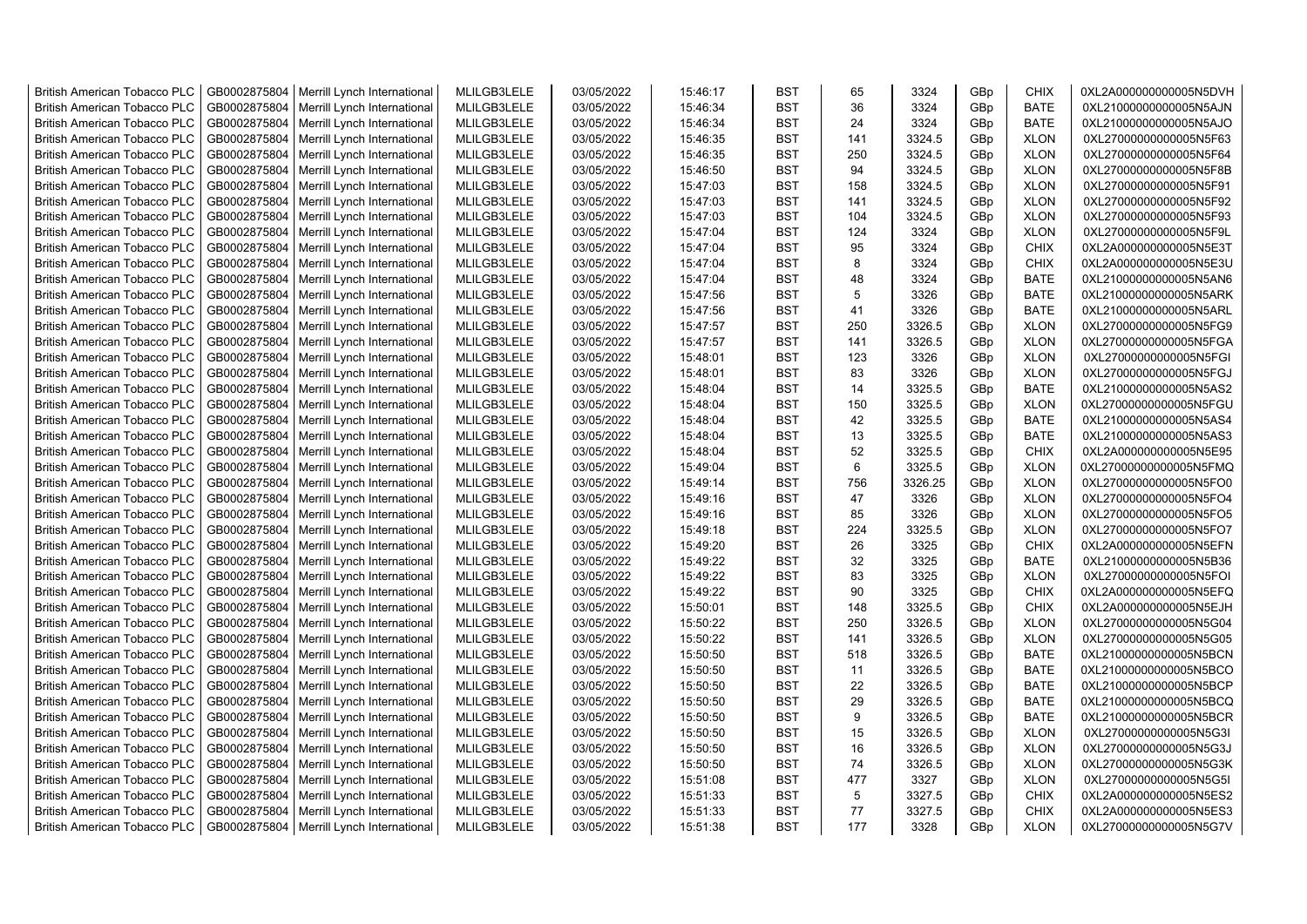| <b>British American Tobacco PLC</b> | GB0002875804 | Merrill Lynch International | MLILGB3LELE | 03/05/2022 | 15:46:17 | <b>BST</b> | 65  | 3324    | GBp             | <b>CHIX</b> | 0XL2A000000000005N5DVH |
|-------------------------------------|--------------|-----------------------------|-------------|------------|----------|------------|-----|---------|-----------------|-------------|------------------------|
| <b>British American Tobacco PLC</b> | GB0002875804 | Merrill Lynch International | MLILGB3LELE | 03/05/2022 | 15:46:34 | <b>BST</b> | 36  | 3324    | GBp             | <b>BATE</b> | 0XL21000000000005N5AJN |
| <b>British American Tobacco PLC</b> | GB0002875804 | Merrill Lynch International | MLILGB3LELE | 03/05/2022 | 15:46:34 | <b>BST</b> | 24  | 3324    | GBp             | <b>BATE</b> | 0XL21000000000005N5AJO |
| <b>British American Tobacco PLC</b> | GB0002875804 | Merrill Lynch International | MLILGB3LELE | 03/05/2022 | 15:46:35 | <b>BST</b> | 141 | 3324.5  | GBp             | <b>XLON</b> | 0XL27000000000005N5F63 |
| <b>British American Tobacco PLC</b> | GB0002875804 | Merrill Lynch International | MLILGB3LELE | 03/05/2022 | 15:46:35 | <b>BST</b> | 250 | 3324.5  | GBp             | <b>XLON</b> | 0XL27000000000005N5F64 |
| <b>British American Tobacco PLC</b> | GB0002875804 | Merrill Lynch International | MLILGB3LELE | 03/05/2022 | 15:46:50 | <b>BST</b> | 94  | 3324.5  | GBp             | <b>XLON</b> | 0XL27000000000005N5F8B |
| <b>British American Tobacco PLC</b> | GB0002875804 | Merrill Lynch International | MLILGB3LELE | 03/05/2022 | 15:47:03 | <b>BST</b> | 158 | 3324.5  | GBp             | <b>XLON</b> | 0XL27000000000005N5F91 |
| <b>British American Tobacco PLC</b> | GB0002875804 | Merrill Lynch International | MLILGB3LELE | 03/05/2022 | 15:47:03 | <b>BST</b> | 141 | 3324.5  | GBp             | <b>XLON</b> | 0XL27000000000005N5F92 |
| <b>British American Tobacco PLC</b> | GB0002875804 | Merrill Lynch International | MLILGB3LELE | 03/05/2022 | 15:47:03 | <b>BST</b> | 104 | 3324.5  | GBp             | <b>XLON</b> | 0XL27000000000005N5F93 |
| <b>British American Tobacco PLC</b> | GB0002875804 | Merrill Lynch International | MLILGB3LELE | 03/05/2022 | 15:47:04 | <b>BST</b> | 124 | 3324    | GBp             | <b>XLON</b> | 0XL27000000000005N5F9L |
| <b>British American Tobacco PLC</b> | GB0002875804 | Merrill Lynch International | MLILGB3LELE | 03/05/2022 | 15:47:04 | <b>BST</b> | 95  | 3324    | GBp             | <b>CHIX</b> | 0XL2A000000000005N5E3T |
| <b>British American Tobacco PLC</b> | GB0002875804 | Merrill Lynch International | MLILGB3LELE | 03/05/2022 | 15:47:04 | <b>BST</b> | 8   | 3324    | GBp             | <b>CHIX</b> | 0XL2A000000000005N5E3U |
| <b>British American Tobacco PLC</b> | GB0002875804 | Merrill Lynch International | MLILGB3LELE | 03/05/2022 | 15:47:04 | <b>BST</b> | 48  | 3324    | GBp             | <b>BATE</b> | 0XL21000000000005N5AN6 |
| <b>British American Tobacco PLC</b> | GB0002875804 | Merrill Lynch International | MLILGB3LELE | 03/05/2022 | 15:47:56 | <b>BST</b> | 5   | 3326    | GBp             | <b>BATE</b> | 0XL21000000000005N5ARK |
| <b>British American Tobacco PLC</b> | GB0002875804 | Merrill Lynch International | MLILGB3LELE | 03/05/2022 | 15:47:56 | <b>BST</b> | 41  | 3326    | GBp             | <b>BATE</b> | 0XL21000000000005N5ARL |
| <b>British American Tobacco PLC</b> | GB0002875804 | Merrill Lynch International | MLILGB3LELE | 03/05/2022 | 15:47:57 | <b>BST</b> | 250 | 3326.5  | GBp             | <b>XLON</b> | 0XL27000000000005N5FG9 |
| <b>British American Tobacco PLC</b> | GB0002875804 | Merrill Lynch International | MLILGB3LELE | 03/05/2022 | 15:47:57 | <b>BST</b> | 141 | 3326.5  | GBp             | <b>XLON</b> | 0XL27000000000005N5FGA |
| <b>British American Tobacco PLC</b> | GB0002875804 | Merrill Lynch International | MLILGB3LELE | 03/05/2022 | 15:48:01 | <b>BST</b> | 123 | 3326    | GBp             | <b>XLON</b> | 0XL27000000000005N5FGI |
| <b>British American Tobacco PLC</b> | GB0002875804 | Merrill Lynch International | MLILGB3LELE | 03/05/2022 | 15:48:01 | <b>BST</b> | 83  | 3326    | GBp             | <b>XLON</b> | 0XL27000000000005N5FGJ |
| <b>British American Tobacco PLC</b> | GB0002875804 | Merrill Lynch International | MLILGB3LELE | 03/05/2022 | 15:48:04 | <b>BST</b> | 14  | 3325.5  | GBp             | <b>BATE</b> | 0XL21000000000005N5AS2 |
| <b>British American Tobacco PLC</b> | GB0002875804 | Merrill Lynch International | MLILGB3LELE | 03/05/2022 | 15:48:04 | <b>BST</b> | 150 | 3325.5  | GBp             | <b>XLON</b> | 0XL27000000000005N5FGU |
| <b>British American Tobacco PLC</b> | GB0002875804 | Merrill Lynch International | MLILGB3LELE | 03/05/2022 | 15:48:04 | <b>BST</b> | 42  | 3325.5  | GBp             | <b>BATE</b> | 0XL21000000000005N5AS4 |
| <b>British American Tobacco PLC</b> | GB0002875804 | Merrill Lynch International | MLILGB3LELE | 03/05/2022 | 15:48:04 | <b>BST</b> | 13  | 3325.5  | GBp             | <b>BATE</b> | 0XL21000000000005N5AS3 |
| <b>British American Tobacco PLC</b> | GB0002875804 | Merrill Lynch International | MLILGB3LELE | 03/05/2022 | 15:48:04 | <b>BST</b> | 52  | 3325.5  | GBp             | <b>CHIX</b> | 0XL2A000000000005N5E95 |
| <b>British American Tobacco PLC</b> | GB0002875804 | Merrill Lynch International | MLILGB3LELE | 03/05/2022 | 15:49:04 | <b>BST</b> | 6   | 3325.5  | GBp             | <b>XLON</b> | 0XL27000000000005N5FMQ |
| <b>British American Tobacco PLC</b> | GB0002875804 | Merrill Lynch International | MLILGB3LELE | 03/05/2022 | 15:49:14 | <b>BST</b> | 756 | 3326.25 | GBp             | <b>XLON</b> | 0XL27000000000005N5FO0 |
| <b>British American Tobacco PLC</b> | GB0002875804 | Merrill Lynch International | MLILGB3LELE | 03/05/2022 | 15:49:16 | <b>BST</b> | 47  | 3326    | GBp             | <b>XLON</b> | 0XL27000000000005N5FO4 |
| <b>British American Tobacco PLC</b> | GB0002875804 | Merrill Lynch International | MLILGB3LELE | 03/05/2022 | 15:49:16 | <b>BST</b> | 85  | 3326    | GBp             | <b>XLON</b> | 0XL27000000000005N5FO5 |
| <b>British American Tobacco PLC</b> | GB0002875804 | Merrill Lynch International | MLILGB3LELE | 03/05/2022 | 15:49:18 | <b>BST</b> | 224 | 3325.5  | GBp             | <b>XLON</b> | 0XL27000000000005N5FO7 |
| <b>British American Tobacco PLC</b> | GB0002875804 | Merrill Lynch International | MLILGB3LELE | 03/05/2022 | 15:49:20 | <b>BST</b> | 26  | 3325    | GBp             | <b>CHIX</b> | 0XL2A000000000005N5EFN |
| <b>British American Tobacco PLC</b> | GB0002875804 | Merrill Lynch International | MLILGB3LELE | 03/05/2022 | 15:49:22 | <b>BST</b> | 32  | 3325    | GBp             | <b>BATE</b> | 0XL21000000000005N5B36 |
| <b>British American Tobacco PLC</b> | GB0002875804 | Merrill Lynch International | MLILGB3LELE | 03/05/2022 | 15:49:22 | <b>BST</b> | 83  | 3325    | GBp             | <b>XLON</b> | 0XL27000000000005N5FOI |
| <b>British American Tobacco PLC</b> | GB0002875804 | Merrill Lynch International | MLILGB3LELE | 03/05/2022 | 15:49:22 | <b>BST</b> | 90  | 3325    | GBp             | <b>CHIX</b> | 0XL2A000000000005N5EFQ |
| <b>British American Tobacco PLC</b> | GB0002875804 | Merrill Lynch International | MLILGB3LELE | 03/05/2022 | 15:50:01 | <b>BST</b> | 148 | 3325.5  | GBp             | <b>CHIX</b> | 0XL2A000000000005N5EJH |
| <b>British American Tobacco PLC</b> | GB0002875804 | Merrill Lynch International | MLILGB3LELE | 03/05/2022 | 15:50:22 | <b>BST</b> | 250 | 3326.5  | GBp             | <b>XLON</b> | 0XL27000000000005N5G04 |
| <b>British American Tobacco PLC</b> | GB0002875804 | Merrill Lynch International | MLILGB3LELE | 03/05/2022 | 15:50:22 | <b>BST</b> | 141 | 3326.5  | GBp             | <b>XLON</b> | 0XL27000000000005N5G05 |
| <b>British American Tobacco PLC</b> | GB0002875804 | Merrill Lynch International | MLILGB3LELE | 03/05/2022 | 15:50:50 | <b>BST</b> | 518 | 3326.5  | GBp             | <b>BATE</b> | 0XL21000000000005N5BCN |
| <b>British American Tobacco PLC</b> | GB0002875804 | Merrill Lynch International | MLILGB3LELE | 03/05/2022 | 15:50:50 | <b>BST</b> | 11  | 3326.5  | GBp             | BATE        | 0XL21000000000005N5BCO |
| <b>British American Tobacco PLC</b> | GB0002875804 | Merrill Lynch International | MLILGB3LELE | 03/05/2022 | 15:50:50 | <b>BST</b> | 22  | 3326.5  | GBp             | <b>BATE</b> | 0XL21000000000005N5BCP |
| <b>British American Tobacco PLC</b> | GB0002875804 | Merrill Lynch International | MLILGB3LELE | 03/05/2022 | 15:50:50 | <b>BST</b> | 29  | 3326.5  | GBp             | <b>BATE</b> | 0XL21000000000005N5BCQ |
| <b>British American Tobacco PLC</b> | GB0002875804 | Merrill Lynch International | MLILGB3LELE | 03/05/2022 | 15:50:50 | <b>BST</b> | 9   | 3326.5  | GBp             | <b>BATE</b> | 0XL21000000000005N5BCR |
| <b>British American Tobacco PLC</b> | GB0002875804 | Merrill Lynch International | MLILGB3LELE | 03/05/2022 | 15:50:50 | <b>BST</b> | 15  | 3326.5  | GBp             | <b>XLON</b> | 0XL27000000000005N5G3I |
| <b>British American Tobacco PLC</b> | GB0002875804 | Merrill Lynch International | MLILGB3LELE | 03/05/2022 | 15:50:50 | <b>BST</b> | 16  | 3326.5  | GBp             | <b>XLON</b> | 0XL27000000000005N5G3J |
| <b>British American Tobacco PLC</b> | GB0002875804 | Merrill Lynch International | MLILGB3LELE | 03/05/2022 | 15:50:50 | <b>BST</b> | 74  | 3326.5  | GBp             | <b>XLON</b> | 0XL27000000000005N5G3K |
| <b>British American Tobacco PLC</b> | GB0002875804 | Merrill Lynch International | MLILGB3LELE | 03/05/2022 | 15:51:08 | <b>BST</b> | 477 | 3327    | GBp             | <b>XLON</b> | 0XL27000000000005N5G5I |
| <b>British American Tobacco PLC</b> | GB0002875804 | Merrill Lynch International | MLILGB3LELE | 03/05/2022 | 15:51:33 | <b>BST</b> | 5   | 3327.5  | GBp             | <b>CHIX</b> | 0XL2A000000000005N5ES2 |
| <b>British American Tobacco PLC</b> | GB0002875804 | Merrill Lynch International | MLILGB3LELE | 03/05/2022 | 15:51:33 | <b>BST</b> | 77  | 3327.5  | GBp             | <b>CHIX</b> | 0XL2A000000000005N5ES3 |
| <b>British American Tobacco PLC</b> | GB0002875804 | Merrill Lynch International | MLILGB3LELE | 03/05/2022 | 15:51:38 | <b>BST</b> | 177 | 3328    | GB <sub>p</sub> | <b>XLON</b> | 0XL27000000000005N5G7V |
|                                     |              |                             |             |            |          |            |     |         |                 |             |                        |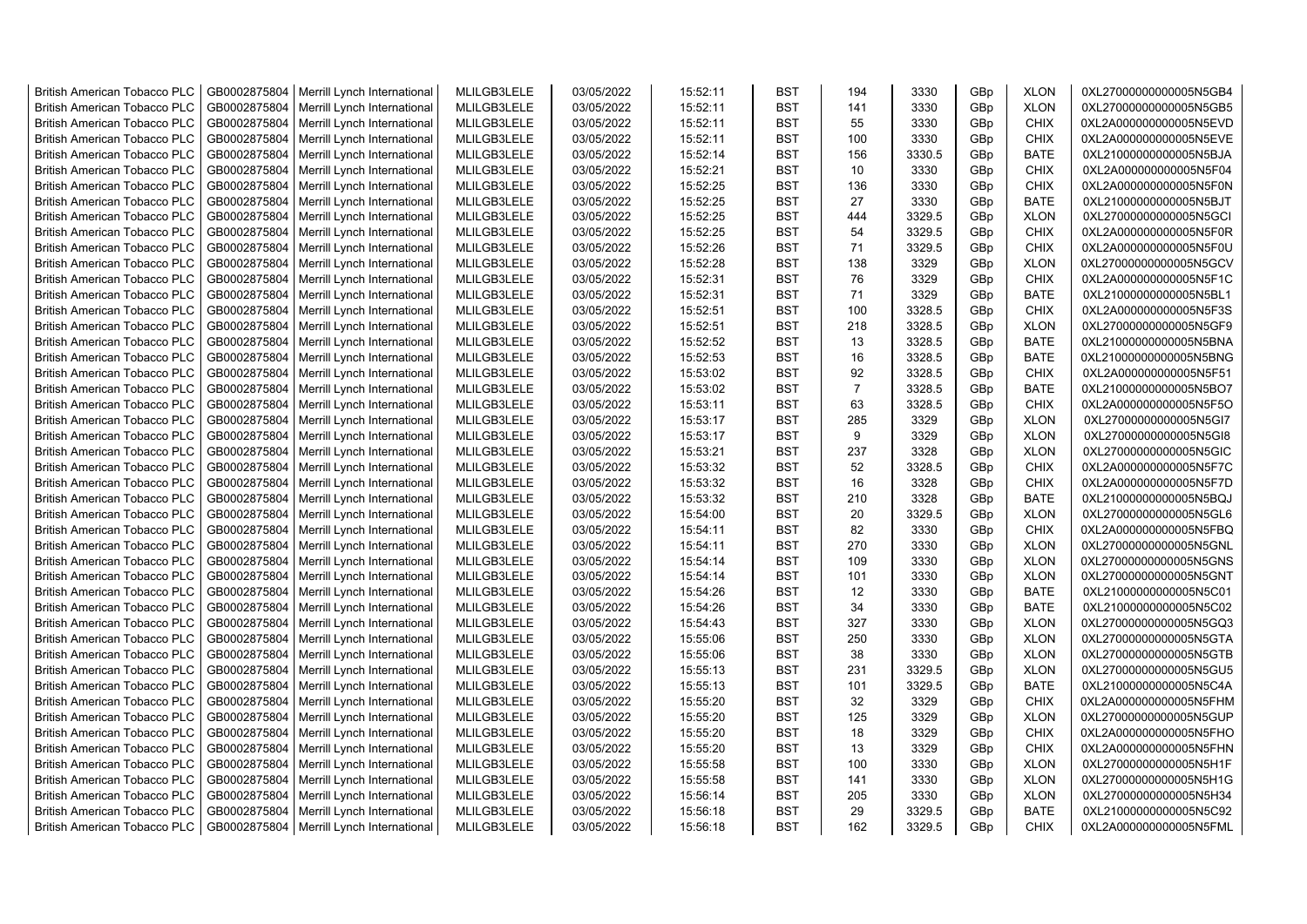| <b>British American Tobacco PLC</b>                                 | GB0002875804                 | Merrill Lynch International                                | MLILGB3LELE                | 03/05/2022               | 15:52:11             | <b>BST</b>               | 194            | 3330         | GBp             | <b>XLON</b>                | 0XL27000000000005N5GB4                           |
|---------------------------------------------------------------------|------------------------------|------------------------------------------------------------|----------------------------|--------------------------|----------------------|--------------------------|----------------|--------------|-----------------|----------------------------|--------------------------------------------------|
| <b>British American Tobacco PLC</b>                                 | GB0002875804                 | Merrill Lynch International                                | MLILGB3LELE                | 03/05/2022               | 15:52:11             | <b>BST</b>               | 141            | 3330         | GBp             | <b>XLON</b>                | 0XL27000000000005N5GB5                           |
| <b>British American Tobacco PLC</b>                                 | GB0002875804                 | Merrill Lynch International                                | MLILGB3LELE                | 03/05/2022               | 15:52:11             | <b>BST</b>               | 55             | 3330         | GBp             | <b>CHIX</b>                | 0XL2A000000000005N5EVD                           |
| <b>British American Tobacco PLC</b>                                 | GB0002875804                 | Merrill Lynch International                                | MLILGB3LELE                | 03/05/2022               | 15:52:11             | <b>BST</b>               | 100            | 3330         | GBp             | <b>CHIX</b>                | 0XL2A000000000005N5EVE                           |
| <b>British American Tobacco PLC</b>                                 | GB0002875804                 | Merrill Lynch International                                | MLILGB3LELE                | 03/05/2022               | 15:52:14             | <b>BST</b>               | 156            | 3330.5       | GBp             | <b>BATE</b>                | 0XL21000000000005N5BJA                           |
| <b>British American Tobacco PLC</b>                                 | GB0002875804                 | Merrill Lynch International                                | MLILGB3LELE                | 03/05/2022               | 15:52:21             | <b>BST</b>               | 10             | 3330         | GBp             | <b>CHIX</b>                | 0XL2A000000000005N5F04                           |
| <b>British American Tobacco PLC</b>                                 | GB0002875804                 | Merrill Lynch International                                | MLILGB3LELE                | 03/05/2022               | 15:52:25             | <b>BST</b>               | 136            | 3330         | GBp             | <b>CHIX</b>                | 0XL2A000000000005N5F0N                           |
| <b>British American Tobacco PLC</b>                                 | GB0002875804                 | Merrill Lynch International                                | MLILGB3LELE                | 03/05/2022               | 15:52:25             | <b>BST</b>               | 27             | 3330         | GBp             | <b>BATE</b>                | 0XL21000000000005N5BJT                           |
| <b>British American Tobacco PLC</b>                                 | GB0002875804                 | Merrill Lynch International                                | MLILGB3LELE                | 03/05/2022               | 15:52:25             | <b>BST</b>               | 444            | 3329.5       | GBp             | <b>XLON</b>                | 0XL27000000000005N5GCI                           |
| <b>British American Tobacco PLC</b>                                 | GB0002875804                 | Merrill Lynch International                                | MLILGB3LELE                | 03/05/2022               | 15:52:25             | <b>BST</b>               | 54             | 3329.5       | GBp             | <b>CHIX</b>                | 0XL2A000000000005N5F0R                           |
| <b>British American Tobacco PLC</b>                                 | GB0002875804                 | Merrill Lynch International                                | MLILGB3LELE                | 03/05/2022               | 15:52:26             | <b>BST</b>               | 71             | 3329.5       | GBp             | <b>CHIX</b>                | 0XL2A000000000005N5F0U                           |
| <b>British American Tobacco PLC</b>                                 | GB0002875804                 | Merrill Lynch International                                | MLILGB3LELE                | 03/05/2022               | 15:52:28             | <b>BST</b>               | 138            | 3329         | GBp             | <b>XLON</b>                | 0XL27000000000005N5GCV                           |
| <b>British American Tobacco PLC</b>                                 | GB0002875804                 | Merrill Lynch International                                | MLILGB3LELE                | 03/05/2022               | 15:52:31             | <b>BST</b>               | 76             | 3329         | GBp             | <b>CHIX</b>                | 0XL2A000000000005N5F1C                           |
| <b>British American Tobacco PLC</b>                                 | GB0002875804                 | Merrill Lynch International                                | MLILGB3LELE                | 03/05/2022               | 15:52:31             | <b>BST</b>               | 71             | 3329         | GBp             | <b>BATE</b>                | 0XL21000000000005N5BL1                           |
| <b>British American Tobacco PLC</b>                                 | GB0002875804                 | Merrill Lynch International                                | MLILGB3LELE                | 03/05/2022               | 15:52:51             | <b>BST</b>               | 100            | 3328.5       | GBp             | <b>CHIX</b>                | 0XL2A000000000005N5F3S                           |
| <b>British American Tobacco PLC</b>                                 | GB0002875804                 | Merrill Lynch International                                | MLILGB3LELE                | 03/05/2022               | 15:52:51             | <b>BST</b>               | 218            | 3328.5       | GBp             | <b>XLON</b>                | 0XL27000000000005N5GF9                           |
| <b>British American Tobacco PLC</b>                                 | GB0002875804                 | Merrill Lynch International                                | MLILGB3LELE                | 03/05/2022               | 15:52:52             | <b>BST</b>               | 13             | 3328.5       | GBp             | <b>BATE</b>                | 0XL21000000000005N5BNA                           |
| <b>British American Tobacco PLC</b>                                 | GB0002875804                 | Merrill Lynch International                                | MLILGB3LELE                | 03/05/2022               | 15:52:53             | <b>BST</b>               | 16             | 3328.5       | GBp             | <b>BATE</b>                | 0XL21000000000005N5BNG                           |
| <b>British American Tobacco PLC</b>                                 | GB0002875804                 | Merrill Lynch International                                | MLILGB3LELE                | 03/05/2022               | 15:53:02             | <b>BST</b>               | 92             | 3328.5       | GBp             | <b>CHIX</b>                | 0XL2A000000000005N5F51                           |
| <b>British American Tobacco PLC</b>                                 | GB0002875804                 | Merrill Lynch International                                | MLILGB3LELE                | 03/05/2022               | 15:53:02             | <b>BST</b>               | $\overline{7}$ | 3328.5       | GBp             | <b>BATE</b>                | 0XL21000000000005N5BO7                           |
| <b>British American Tobacco PLC</b>                                 | GB0002875804                 | Merrill Lynch International                                | MLILGB3LELE                | 03/05/2022               | 15:53:11             | <b>BST</b>               | 63             | 3328.5       | GBp             | <b>CHIX</b>                | 0XL2A000000000005N5F5O                           |
| <b>British American Tobacco PLC</b>                                 | GB0002875804                 | Merrill Lynch International                                | MLILGB3LELE                | 03/05/2022               | 15:53:17             | <b>BST</b>               | 285            | 3329         | GBp             | <b>XLON</b>                | 0XL27000000000005N5GI7                           |
| <b>British American Tobacco PLC</b>                                 | GB0002875804                 | Merrill Lynch International                                | MLILGB3LELE                | 03/05/2022               | 15:53:17             | <b>BST</b>               | 9              | 3329         | GBp             | <b>XLON</b>                | 0XL27000000000005N5GI8                           |
| <b>British American Tobacco PLC</b>                                 | GB0002875804                 | Merrill Lynch International                                | MLILGB3LELE                | 03/05/2022               | 15:53:21             | <b>BST</b>               | 237            | 3328         | GBp             | <b>XLON</b>                | 0XL27000000000005N5GIC                           |
| <b>British American Tobacco PLC</b>                                 | GB0002875804                 | Merrill Lynch International                                | MLILGB3LELE                | 03/05/2022               | 15:53:32             | <b>BST</b>               | 52             | 3328.5       | GBp             | <b>CHIX</b>                | 0XL2A000000000005N5F7C                           |
| <b>British American Tobacco PLC</b>                                 | GB0002875804                 | Merrill Lynch International                                | MLILGB3LELE                | 03/05/2022               | 15:53:32             | <b>BST</b>               | 16             | 3328         | GBp             | <b>CHIX</b>                | 0XL2A000000000005N5F7D                           |
| <b>British American Tobacco PLC</b>                                 | GB0002875804                 | Merrill Lynch International                                | MLILGB3LELE                | 03/05/2022               | 15:53:32             | <b>BST</b>               | 210            | 3328         | GBp             | <b>BATE</b>                | 0XL21000000000005N5BQJ                           |
| British American Tobacco PLC                                        | GB0002875804                 | Merrill Lynch International                                | MLILGB3LELE                | 03/05/2022               | 15:54:00             | <b>BST</b>               | 20             | 3329.5       | GBp             | <b>XLON</b>                | 0XL27000000000005N5GL6                           |
| <b>British American Tobacco PLC</b>                                 | GB0002875804                 | Merrill Lynch International                                | MLILGB3LELE                | 03/05/2022               | 15:54:11             | <b>BST</b>               | 82             | 3330         | GBp             | <b>CHIX</b>                | 0XL2A000000000005N5FBQ                           |
| <b>British American Tobacco PLC</b>                                 | GB0002875804                 | Merrill Lynch International                                | MLILGB3LELE                | 03/05/2022               | 15:54:11             | <b>BST</b>               | 270            | 3330         | GBp             | <b>XLON</b>                | 0XL27000000000005N5GNL                           |
| <b>British American Tobacco PLC</b>                                 | GB0002875804                 |                                                            | MLILGB3LELE                | 03/05/2022               |                      | <b>BST</b>               | 109            | 3330         |                 | <b>XLON</b>                | 0XL27000000000005N5GNS                           |
| <b>British American Tobacco PLC</b>                                 | GB0002875804                 | Merrill Lynch International<br>Merrill Lynch International | MLILGB3LELE                | 03/05/2022               | 15:54:14<br>15:54:14 | <b>BST</b>               | 101            | 3330         | GBp<br>GBp      | <b>XLON</b>                | 0XL27000000000005N5GNT                           |
| <b>British American Tobacco PLC</b>                                 | GB0002875804                 | Merrill Lynch International                                | MLILGB3LELE                | 03/05/2022               | 15:54:26             | <b>BST</b>               | 12             | 3330         | GBp             | <b>BATE</b>                | 0XL21000000000005N5C01                           |
| British American Tobacco PLC                                        | GB0002875804                 |                                                            | MLILGB3LELE                | 03/05/2022               | 15:54:26             | <b>BST</b>               | 34             | 3330         | GBp             | <b>BATE</b>                | 0XL21000000000005N5C02                           |
| <b>British American Tobacco PLC</b>                                 | GB0002875804                 | Merrill Lynch International<br>Merrill Lynch International | MLILGB3LELE                | 03/05/2022               | 15:54:43             | <b>BST</b>               | 327            | 3330         | GBp             | <b>XLON</b>                | 0XL27000000000005N5GQ3                           |
| <b>British American Tobacco PLC</b>                                 | GB0002875804                 | Merrill Lynch International                                | MLILGB3LELE                | 03/05/2022               | 15:55:06             | <b>BST</b>               | 250            | 3330         | GBp             | <b>XLON</b>                | 0XL27000000000005N5GTA                           |
| <b>British American Tobacco PLC</b>                                 | GB0002875804                 | Merrill Lynch International                                | MLILGB3LELE                | 03/05/2022               | 15:55:06             | <b>BST</b>               | 38             | 3330         | GBp             | <b>XLON</b>                | 0XL27000000000005N5GTB                           |
| <b>British American Tobacco PLC</b>                                 | GB0002875804                 | Merrill Lynch International                                | MLILGB3LELE                | 03/05/2022               | 15:55:13             | <b>BST</b>               | 231            | 3329.5       | GBp             | <b>XLON</b>                | 0XL27000000000005N5GU5                           |
| <b>British American Tobacco PLC</b>                                 | GB0002875804                 | Merrill Lynch International                                | MLILGB3LELE                | 03/05/2022               | 15:55:13             | <b>BST</b>               | 101            | 3329.5       | GBp             | <b>BATE</b>                | 0XL21000000000005N5C4A                           |
| <b>British American Tobacco PLC</b>                                 | GB0002875804                 |                                                            | MLILGB3LELE                | 03/05/2022               | 15:55:20             | <b>BST</b>               | 32             | 3329         | GBp             | <b>CHIX</b>                | 0XL2A000000000005N5FHM                           |
|                                                                     | GB0002875804                 | Merrill Lynch International                                |                            |                          |                      | <b>BST</b>               | 125            | 3329         |                 |                            |                                                  |
| <b>British American Tobacco PLC</b>                                 | GB0002875804                 | Merrill Lynch International                                | MLILGB3LELE                | 03/05/2022               | 15:55:20             | <b>BST</b>               | 18             |              | GBp<br>GBp      | <b>XLON</b><br><b>CHIX</b> | 0XL27000000000005N5GUP<br>0XL2A000000000005N5FHO |
| <b>British American Tobacco PLC</b>                                 | GB0002875804                 | Merrill Lynch International<br>Merrill Lynch International | MLILGB3LELE<br>MLILGB3LELE | 03/05/2022<br>03/05/2022 | 15:55:20<br>15:55:20 | <b>BST</b>               |                | 3329<br>3329 |                 | <b>CHIX</b>                | 0XL2A000000000005N5FHN                           |
| <b>British American Tobacco PLC</b>                                 |                              |                                                            |                            |                          |                      |                          | 13             |              | GBp             |                            |                                                  |
| <b>British American Tobacco PLC</b><br>British American Tobacco PLC | GB0002875804<br>GB0002875804 | Merrill Lynch International                                | MLILGB3LELE<br>MLILGB3LELE | 03/05/2022<br>03/05/2022 | 15:55:58<br>15:55:58 | <b>BST</b><br><b>BST</b> | 100<br>141     | 3330<br>3330 | GBp<br>GBp      | <b>XLON</b><br><b>XLON</b> | 0XL27000000000005N5H1F<br>0XL27000000000005N5H1G |
| <b>British American Tobacco PLC</b>                                 | GB0002875804                 | Merrill Lynch International<br>Merrill Lynch International | MLILGB3LELE                | 03/05/2022               | 15:56:14             | <b>BST</b>               | 205            | 3330         | GBp             | <b>XLON</b>                | 0XL27000000000005N5H34                           |
|                                                                     | GB0002875804                 |                                                            | MLILGB3LELE                | 03/05/2022               | 15:56:18             | <b>BST</b>               | 29             | 3329.5       | GBp             | <b>BATE</b>                | 0XL21000000000005N5C92                           |
| <b>British American Tobacco PLC</b>                                 |                              | Merrill Lynch International                                |                            |                          |                      | <b>BST</b>               | 162            | 3329.5       | GB <sub>p</sub> | <b>CHIX</b>                |                                                  |
| <b>British American Tobacco PLC</b>                                 | GB0002875804                 | Merrill Lynch International                                | MLILGB3LELE                | 03/05/2022               | 15:56:18             |                          |                |              |                 |                            | 0XL2A000000000005N5FML                           |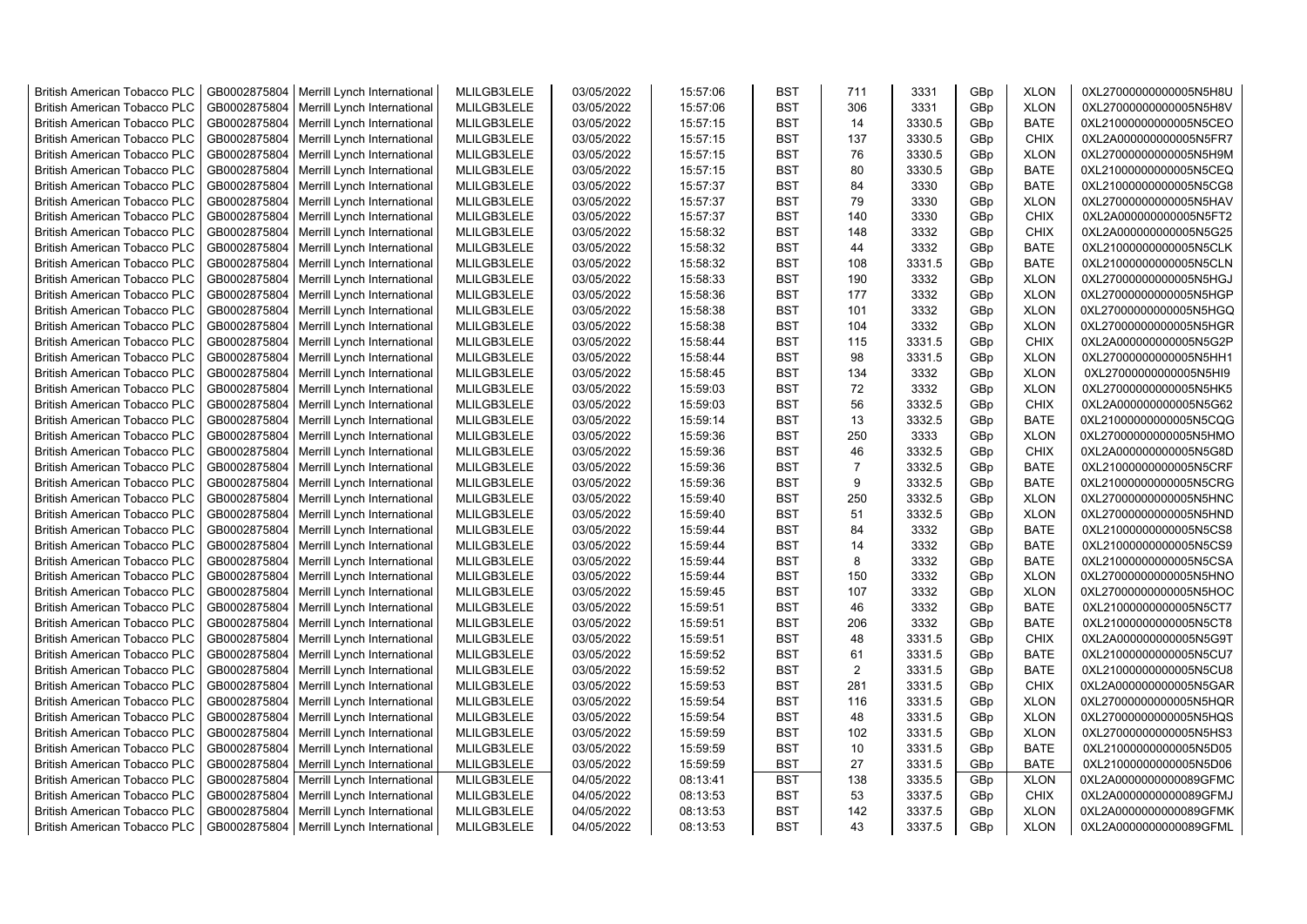| <b>British American Tobacco PLC</b> | GB0002875804 | Merrill Lynch International                | MLILGB3LELE | 03/05/2022 | 15:57:06 | <b>BST</b> | 711            | 3331   | GBp             | <b>XLON</b> | 0XL27000000000005N5H8U |
|-------------------------------------|--------------|--------------------------------------------|-------------|------------|----------|------------|----------------|--------|-----------------|-------------|------------------------|
| <b>British American Tobacco PLC</b> | GB0002875804 | Merrill Lynch International                | MLILGB3LELE | 03/05/2022 | 15:57:06 | <b>BST</b> | 306            | 3331   | GBp             | <b>XLON</b> | 0XL27000000000005N5H8V |
| <b>British American Tobacco PLC</b> | GB0002875804 | Merrill Lynch International                | MLILGB3LELE | 03/05/2022 | 15:57:15 | <b>BST</b> | 14             | 3330.5 | GBp             | <b>BATE</b> | 0XL21000000000005N5CEO |
| <b>British American Tobacco PLC</b> | GB0002875804 | Merrill Lynch International                | MLILGB3LELE | 03/05/2022 | 15:57:15 | <b>BST</b> | 137            | 3330.5 | GBp             | <b>CHIX</b> | 0XL2A000000000005N5FR7 |
| <b>British American Tobacco PLC</b> | GB0002875804 | Merrill Lynch International                | MLILGB3LELE | 03/05/2022 | 15:57:15 | <b>BST</b> | 76             | 3330.5 | GBp             | <b>XLON</b> | 0XL27000000000005N5H9M |
| <b>British American Tobacco PLC</b> | GB0002875804 | Merrill Lynch International                | MLILGB3LELE | 03/05/2022 | 15:57:15 | <b>BST</b> | 80             | 3330.5 | GBp             | <b>BATE</b> | 0XL21000000000005N5CEQ |
| <b>British American Tobacco PLC</b> | GB0002875804 | Merrill Lynch International                | MLILGB3LELE | 03/05/2022 | 15:57:37 | <b>BST</b> | 84             | 3330   | GBp             | <b>BATE</b> | 0XL21000000000005N5CG8 |
| <b>British American Tobacco PLC</b> | GB0002875804 | Merrill Lynch International                | MLILGB3LELE | 03/05/2022 | 15:57:37 | <b>BST</b> | 79             | 3330   | GBp             | <b>XLON</b> | 0XL27000000000005N5HAV |
| <b>British American Tobacco PLC</b> | GB0002875804 | Merrill Lynch International                | MLILGB3LELE | 03/05/2022 | 15:57:37 | <b>BST</b> | 140            | 3330   | GBp             | <b>CHIX</b> | 0XL2A000000000005N5FT2 |
| <b>British American Tobacco PLC</b> | GB0002875804 | Merrill Lynch International                | MLILGB3LELE | 03/05/2022 | 15:58:32 | <b>BST</b> | 148            | 3332   | GBp             | <b>CHIX</b> | 0XL2A000000000005N5G25 |
| <b>British American Tobacco PLC</b> | GB0002875804 | Merrill Lynch International                | MLILGB3LELE | 03/05/2022 | 15:58:32 | <b>BST</b> | 44             | 3332   | GBp             | <b>BATE</b> | 0XL21000000000005N5CLK |
| <b>British American Tobacco PLC</b> | GB0002875804 | Merrill Lynch International                | MLILGB3LELE | 03/05/2022 | 15:58:32 | <b>BST</b> | 108            | 3331.5 | GBp             | <b>BATE</b> | 0XL21000000000005N5CLN |
| <b>British American Tobacco PLC</b> | GB0002875804 | Merrill Lynch International                | MLILGB3LELE | 03/05/2022 | 15:58:33 | <b>BST</b> | 190            | 3332   | GB <sub>p</sub> | <b>XLON</b> | 0XL27000000000005N5HGJ |
| <b>British American Tobacco PLC</b> | GB0002875804 | Merrill Lynch International                | MLILGB3LELE | 03/05/2022 | 15:58:36 | <b>BST</b> | 177            | 3332   | GBp             | <b>XLON</b> | 0XL27000000000005N5HGP |
| <b>British American Tobacco PLC</b> | GB0002875804 | Merrill Lynch International                | MLILGB3LELE | 03/05/2022 | 15:58:38 | <b>BST</b> | 101            | 3332   | GBp             | <b>XLON</b> | 0XL27000000000005N5HGQ |
| <b>British American Tobacco PLC</b> | GB0002875804 | Merrill Lynch International                | MLILGB3LELE | 03/05/2022 | 15:58:38 | <b>BST</b> | 104            | 3332   | GBp             | <b>XLON</b> | 0XL27000000000005N5HGR |
| <b>British American Tobacco PLC</b> | GB0002875804 | Merrill Lynch International                | MLILGB3LELE | 03/05/2022 | 15:58:44 | <b>BST</b> | 115            | 3331.5 | GBp             | <b>CHIX</b> | 0XL2A000000000005N5G2P |
| <b>British American Tobacco PLC</b> | GB0002875804 | Merrill Lynch International                | MLILGB3LELE | 03/05/2022 | 15:58:44 | <b>BST</b> | 98             | 3331.5 | GBp             | <b>XLON</b> | 0XL27000000000005N5HH1 |
| <b>British American Tobacco PLC</b> | GB0002875804 | Merrill Lynch International                | MLILGB3LELE | 03/05/2022 | 15:58:45 | <b>BST</b> | 134            | 3332   | GBp             | <b>XLON</b> | 0XL27000000000005N5HI9 |
| <b>British American Tobacco PLC</b> | GB0002875804 | Merrill Lynch International                | MLILGB3LELE | 03/05/2022 | 15:59:03 | <b>BST</b> | 72             | 3332   | GBp             | <b>XLON</b> | 0XL27000000000005N5HK5 |
| <b>British American Tobacco PLC</b> | GB0002875804 | Merrill Lynch International                | MLILGB3LELE | 03/05/2022 | 15:59:03 | <b>BST</b> | 56             | 3332.5 | GBp             | <b>CHIX</b> | 0XL2A000000000005N5G62 |
| <b>British American Tobacco PLC</b> | GB0002875804 | Merrill Lynch International                | MLILGB3LELE | 03/05/2022 | 15:59:14 | <b>BST</b> | 13             | 3332.5 | GBp             | <b>BATE</b> | 0XL21000000000005N5CQG |
| <b>British American Tobacco PLC</b> | GB0002875804 | Merrill Lynch International                | MLILGB3LELE | 03/05/2022 | 15:59:36 | <b>BST</b> | 250            | 3333   | GBp             | <b>XLON</b> | 0XL27000000000005N5HMO |
| <b>British American Tobacco PLC</b> | GB0002875804 | Merrill Lynch International                | MLILGB3LELE | 03/05/2022 | 15:59:36 | <b>BST</b> | 46             | 3332.5 | GBp             | <b>CHIX</b> | 0XL2A000000000005N5G8D |
| <b>British American Tobacco PLC</b> | GB0002875804 | Merrill Lynch International                | MLILGB3LELE | 03/05/2022 | 15:59:36 | <b>BST</b> | $\overline{7}$ | 3332.5 | GBp             | <b>BATE</b> | 0XL21000000000005N5CRF |
| <b>British American Tobacco PLC</b> | GB0002875804 | Merrill Lynch International                | MLILGB3LELE | 03/05/2022 | 15:59:36 | <b>BST</b> | 9              | 3332.5 | GBp             | <b>BATE</b> | 0XL21000000000005N5CRG |
| <b>British American Tobacco PLC</b> | GB0002875804 | Merrill Lynch International                | MLILGB3LELE | 03/05/2022 | 15:59:40 | <b>BST</b> | 250            | 3332.5 | GBp             | <b>XLON</b> | 0XL27000000000005N5HNC |
| <b>British American Tobacco PLC</b> | GB0002875804 | Merrill Lynch International                | MLILGB3LELE | 03/05/2022 | 15:59:40 | <b>BST</b> | 51             | 3332.5 | GBp             | <b>XLON</b> | 0XL27000000000005N5HND |
| <b>British American Tobacco PLC</b> | GB0002875804 | Merrill Lynch International                | MLILGB3LELE | 03/05/2022 | 15:59:44 | <b>BST</b> | 84             | 3332   | GBp             | <b>BATE</b> | 0XL21000000000005N5CS8 |
| <b>British American Tobacco PLC</b> | GB0002875804 | Merrill Lynch International                | MLILGB3LELE | 03/05/2022 | 15:59:44 | <b>BST</b> | 14             | 3332   | GBp             | <b>BATE</b> | 0XL21000000000005N5CS9 |
| <b>British American Tobacco PLC</b> | GB0002875804 | Merrill Lynch International                | MLILGB3LELE | 03/05/2022 | 15:59:44 | <b>BST</b> | 8              | 3332   | GBp             | <b>BATE</b> | 0XL21000000000005N5CSA |
| <b>British American Tobacco PLC</b> | GB0002875804 | Merrill Lynch International                | MLILGB3LELE | 03/05/2022 | 15:59:44 | <b>BST</b> | 150            | 3332   | GBp             | <b>XLON</b> | 0XL27000000000005N5HNO |
| <b>British American Tobacco PLC</b> | GB0002875804 | Merrill Lynch International                | MLILGB3LELE | 03/05/2022 | 15:59:45 | <b>BST</b> | 107            | 3332   | GBp             | <b>XLON</b> | 0XL27000000000005N5HOC |
| <b>British American Tobacco PLC</b> | GB0002875804 | Merrill Lynch International                | MLILGB3LELE | 03/05/2022 | 15:59:51 | <b>BST</b> | 46             | 3332   | GBp             | <b>BATE</b> | 0XL21000000000005N5CT7 |
| <b>British American Tobacco PLC</b> | GB0002875804 | Merrill Lynch International                | MLILGB3LELE | 03/05/2022 | 15:59:51 | <b>BST</b> | 206            | 3332   | GBp             | <b>BATE</b> | 0XL21000000000005N5CT8 |
| <b>British American Tobacco PLC</b> | GB0002875804 | Merrill Lynch International                | MLILGB3LELE | 03/05/2022 | 15:59:51 | <b>BST</b> | 48             | 3331.5 | GBp             | <b>CHIX</b> | 0XL2A000000000005N5G9T |
| <b>British American Tobacco PLC</b> | GB0002875804 | Merrill Lynch International                | MLILGB3LELE | 03/05/2022 | 15:59:52 | <b>BST</b> | 61             | 3331.5 | GBp             | <b>BATE</b> | 0XL21000000000005N5CU7 |
| <b>British American Tobacco PLC</b> | GB0002875804 | Merrill Lynch International                | MLILGB3LELE | 03/05/2022 | 15:59:52 | <b>BST</b> | 2              | 3331.5 | GB <sub>p</sub> | <b>BATE</b> | 0XL21000000000005N5CU8 |
| <b>British American Tobacco PLC</b> | GB0002875804 | Merrill Lynch International                | MLILGB3LELE | 03/05/2022 | 15:59:53 | <b>BST</b> | 281            | 3331.5 | GBp             | <b>CHIX</b> | 0XL2A000000000005N5GAR |
| <b>British American Tobacco PLC</b> | GB0002875804 | Merrill Lynch International                | MLILGB3LELE | 03/05/2022 | 15:59:54 | <b>BST</b> | 116            | 3331.5 | GBp             | <b>XLON</b> | 0XL27000000000005N5HQR |
| <b>British American Tobacco PLC</b> | GB0002875804 | Merrill Lynch International                | MLILGB3LELE | 03/05/2022 | 15:59:54 | <b>BST</b> | 48             | 3331.5 | GBp             | <b>XLON</b> | 0XL27000000000005N5HQS |
| <b>British American Tobacco PLC</b> | GB0002875804 | Merrill Lynch International                | MLILGB3LELE | 03/05/2022 | 15:59:59 | <b>BST</b> | 102            | 3331.5 | GBp             | <b>XLON</b> | 0XL27000000000005N5HS3 |
| <b>British American Tobacco PLC</b> | GB0002875804 | Merrill Lynch International                | MLILGB3LELE | 03/05/2022 | 15:59:59 | <b>BST</b> | 10             | 3331.5 | GBp             | <b>BATE</b> | 0XL21000000000005N5D05 |
| <b>British American Tobacco PLC</b> | GB0002875804 | Merrill Lynch International                | MLILGB3LELE | 03/05/2022 | 15:59:59 | <b>BST</b> | 27             | 3331.5 | GBp             | <b>BATE</b> | 0XL21000000000005N5D06 |
| <b>British American Tobacco PLC</b> | GB0002875804 | Merrill Lynch International                | MLILGB3LELE | 04/05/2022 | 08:13:41 | <b>BST</b> | 138            | 3335.5 | GBp             | <b>XLON</b> | 0XL2A0000000000089GFMC |
| <b>British American Tobacco PLC</b> | GB0002875804 | Merrill Lynch International                | MLILGB3LELE | 04/05/2022 | 08:13:53 | <b>BST</b> | 53             | 3337.5 | GBp             | <b>CHIX</b> | 0XL2A0000000000089GFMJ |
| <b>British American Tobacco PLC</b> | GB0002875804 | Merrill Lynch International                | MLILGB3LELE | 04/05/2022 | 08:13:53 | <b>BST</b> | 142            | 3337.5 | GBp             | <b>XLON</b> | 0XL2A0000000000089GFMK |
| <b>British American Tobacco PLC</b> |              | GB0002875804   Merrill Lynch International | MLILGB3LELE | 04/05/2022 | 08:13:53 | <b>BST</b> | 43             | 3337.5 | GB <sub>p</sub> | <b>XLON</b> | 0XL2A0000000000089GFML |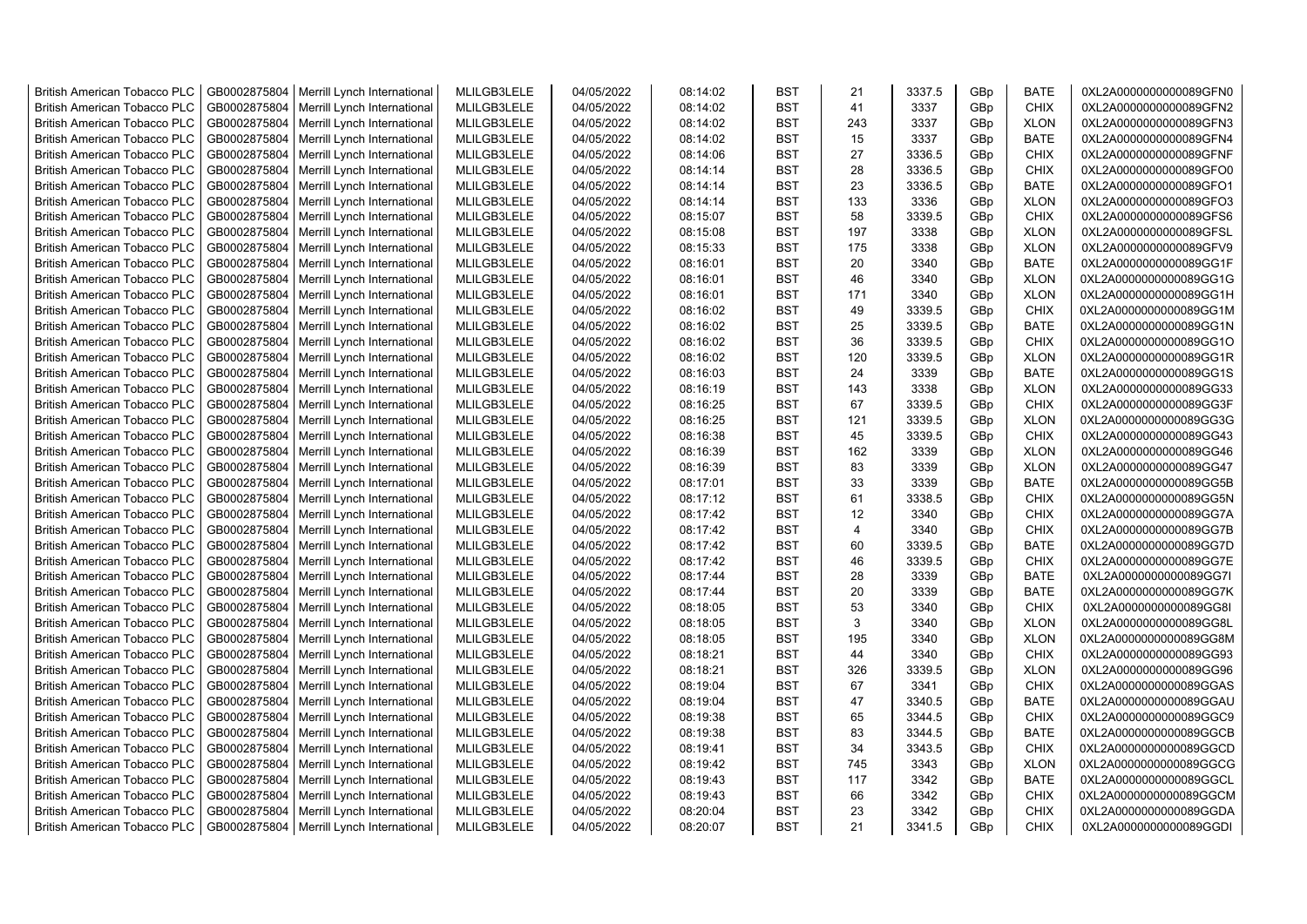| <b>British American Tobacco PLC</b> | GB0002875804 | Merrill Lynch International | MLILGB3LELE | 04/05/2022 | 08:14:02 | <b>BST</b> | 21                      | 3337.5 | GBp             | <b>BATE</b> | 0XL2A0000000000089GFN0 |
|-------------------------------------|--------------|-----------------------------|-------------|------------|----------|------------|-------------------------|--------|-----------------|-------------|------------------------|
| <b>British American Tobacco PLC</b> | GB0002875804 | Merrill Lynch International | MLILGB3LELE | 04/05/2022 | 08:14:02 | <b>BST</b> | 41                      | 3337   | GBp             | <b>CHIX</b> | 0XL2A0000000000089GFN2 |
| <b>British American Tobacco PLC</b> | GB0002875804 | Merrill Lynch International | MLILGB3LELE | 04/05/2022 | 08:14:02 | <b>BST</b> | 243                     | 3337   | GBp             | <b>XLON</b> | 0XL2A0000000000089GFN3 |
| <b>British American Tobacco PLC</b> | GB0002875804 | Merrill Lynch International | MLILGB3LELE | 04/05/2022 | 08:14:02 | <b>BST</b> | 15                      | 3337   | GBp             | <b>BATE</b> | 0XL2A0000000000089GFN4 |
| British American Tobacco PLC        | GB0002875804 | Merrill Lynch International | MLILGB3LELE | 04/05/2022 | 08:14:06 | <b>BST</b> | 27                      | 3336.5 | GBp             | <b>CHIX</b> | 0XL2A0000000000089GFNF |
| <b>British American Tobacco PLC</b> | GB0002875804 | Merrill Lynch International | MLILGB3LELE | 04/05/2022 | 08:14:14 | <b>BST</b> | 28                      | 3336.5 | GBp             | <b>CHIX</b> | 0XL2A0000000000089GFO0 |
| <b>British American Tobacco PLC</b> | GB0002875804 | Merrill Lynch International | MLILGB3LELE | 04/05/2022 | 08:14:14 | <b>BST</b> | 23                      | 3336.5 | GBp             | <b>BATE</b> | 0XL2A0000000000089GFO1 |
| <b>British American Tobacco PLC</b> | GB0002875804 | Merrill Lynch International | MLILGB3LELE | 04/05/2022 | 08:14:14 | <b>BST</b> | 133                     | 3336   | GBp             | <b>XLON</b> | 0XL2A0000000000089GFO3 |
| <b>British American Tobacco PLC</b> | GB0002875804 | Merrill Lynch International | MLILGB3LELE | 04/05/2022 | 08:15:07 | <b>BST</b> | 58                      | 3339.5 | GBp             | <b>CHIX</b> | 0XL2A0000000000089GFS6 |
| <b>British American Tobacco PLC</b> | GB0002875804 | Merrill Lynch International | MLILGB3LELE | 04/05/2022 | 08:15:08 | <b>BST</b> | 197                     | 3338   | GBp             | <b>XLON</b> | 0XL2A0000000000089GFSL |
| <b>British American Tobacco PLC</b> | GB0002875804 | Merrill Lynch International | MLILGB3LELE | 04/05/2022 | 08:15:33 | <b>BST</b> | 175                     | 3338   | GBp             | <b>XLON</b> | 0XL2A0000000000089GFV9 |
| British American Tobacco PLC        | GB0002875804 | Merrill Lynch International | MLILGB3LELE | 04/05/2022 | 08:16:01 | <b>BST</b> | 20                      | 3340   | GBp             | <b>BATE</b> | 0XL2A0000000000089GG1F |
| <b>British American Tobacco PLC</b> | GB0002875804 | Merrill Lynch International | MLILGB3LELE | 04/05/2022 | 08:16:01 | <b>BST</b> | 46                      | 3340   | GB <sub>p</sub> | <b>XLON</b> | 0XL2A0000000000089GG1G |
| <b>British American Tobacco PLC</b> | GB0002875804 | Merrill Lynch International | MLILGB3LELE | 04/05/2022 | 08:16:01 | <b>BST</b> | 171                     | 3340   | GBp             | <b>XLON</b> | 0XL2A0000000000089GG1H |
| <b>British American Tobacco PLC</b> | GB0002875804 | Merrill Lynch International | MLILGB3LELE | 04/05/2022 | 08:16:02 | <b>BST</b> | 49                      | 3339.5 | GBp             | <b>CHIX</b> | 0XL2A0000000000089GG1M |
| <b>British American Tobacco PLC</b> | GB0002875804 | Merrill Lynch International | MLILGB3LELE | 04/05/2022 | 08:16:02 | <b>BST</b> | 25                      | 3339.5 | GBp             | <b>BATE</b> | 0XL2A0000000000089GG1N |
| <b>British American Tobacco PLC</b> | GB0002875804 | Merrill Lynch International | MLILGB3LELE | 04/05/2022 | 08:16:02 | <b>BST</b> | 36                      | 3339.5 | GBp             | <b>CHIX</b> | 0XL2A0000000000089GG1O |
| <b>British American Tobacco PLC</b> | GB0002875804 | Merrill Lynch International | MLILGB3LELE | 04/05/2022 | 08:16:02 | <b>BST</b> | 120                     | 3339.5 | GBp             | <b>XLON</b> | 0XL2A0000000000089GG1R |
| <b>British American Tobacco PLC</b> | GB0002875804 | Merrill Lynch International | MLILGB3LELE | 04/05/2022 | 08:16:03 | <b>BST</b> | 24                      | 3339   | GBp             | <b>BATE</b> | 0XL2A0000000000089GG1S |
| <b>British American Tobacco PLC</b> | GB0002875804 | Merrill Lynch International | MLILGB3LELE | 04/05/2022 | 08:16:19 | <b>BST</b> | 143                     | 3338   | GBp             | <b>XLON</b> | 0XL2A0000000000089GG33 |
| <b>British American Tobacco PLC</b> | GB0002875804 | Merrill Lynch International | MLILGB3LELE | 04/05/2022 | 08:16:25 | <b>BST</b> | 67                      | 3339.5 | GBp             | <b>CHIX</b> | 0XL2A0000000000089GG3F |
| <b>British American Tobacco PLC</b> | GB0002875804 | Merrill Lynch International | MLILGB3LELE | 04/05/2022 | 08:16:25 | <b>BST</b> | 121                     | 3339.5 | GBp             | <b>XLON</b> | 0XL2A0000000000089GG3G |
| <b>British American Tobacco PLC</b> | GB0002875804 | Merrill Lynch International | MLILGB3LELE | 04/05/2022 | 08:16:38 | <b>BST</b> | 45                      | 3339.5 | GBp             | <b>CHIX</b> | 0XL2A0000000000089GG43 |
| <b>British American Tobacco PLC</b> | GB0002875804 | Merrill Lynch International | MLILGB3LELE | 04/05/2022 | 08:16:39 | <b>BST</b> | 162                     | 3339   | GBp             | <b>XLON</b> | 0XL2A0000000000089GG46 |
| <b>British American Tobacco PLC</b> | GB0002875804 | Merrill Lynch International | MLILGB3LELE | 04/05/2022 | 08:16:39 | <b>BST</b> | 83                      | 3339   | GBp             | <b>XLON</b> | 0XL2A0000000000089GG47 |
| British American Tobacco PLC        | GB0002875804 | Merrill Lynch International | MLILGB3LELE | 04/05/2022 | 08:17:01 | <b>BST</b> | 33                      | 3339   | GBp             | <b>BATE</b> | 0XL2A0000000000089GG5B |
| British American Tobacco PLC        | GB0002875804 | Merrill Lynch International | MLILGB3LELE | 04/05/2022 | 08:17:12 | <b>BST</b> | 61                      | 3338.5 | GBp             | <b>CHIX</b> | 0XL2A0000000000089GG5N |
| British American Tobacco PLC        | GB0002875804 | Merrill Lynch International | MLILGB3LELE | 04/05/2022 | 08:17:42 | <b>BST</b> | 12                      | 3340   | GBp             | <b>CHIX</b> | 0XL2A0000000000089GG7A |
| <b>British American Tobacco PLC</b> | GB0002875804 | Merrill Lynch International | MLILGB3LELE | 04/05/2022 | 08:17:42 | <b>BST</b> | $\overline{\mathbf{A}}$ | 3340   | GBp             | <b>CHIX</b> | 0XL2A0000000000089GG7B |
| <b>British American Tobacco PLC</b> | GB0002875804 | Merrill Lynch International | MLILGB3LELE | 04/05/2022 | 08:17:42 | <b>BST</b> | 60                      | 3339.5 | GBp             | <b>BATE</b> | 0XL2A0000000000089GG7D |
| <b>British American Tobacco PLC</b> | GB0002875804 | Merrill Lynch International | MLILGB3LELE | 04/05/2022 | 08:17:42 | <b>BST</b> | 46                      | 3339.5 | GBp             | <b>CHIX</b> | 0XL2A0000000000089GG7E |
| <b>British American Tobacco PLC</b> | GB0002875804 | Merrill Lynch International | MLILGB3LELE | 04/05/2022 | 08:17:44 | <b>BST</b> | 28                      | 3339   | GBp             | <b>BATE</b> | 0XL2A0000000000089GG7I |
| <b>British American Tobacco PLC</b> | GB0002875804 | Merrill Lynch International | MLILGB3LELE | 04/05/2022 | 08:17:44 | <b>BST</b> | 20                      | 3339   | GBp             | <b>BATE</b> | 0XL2A0000000000089GG7K |
| <b>British American Tobacco PLC</b> | GB0002875804 | Merrill Lynch International | MLILGB3LELE | 04/05/2022 | 08:18:05 | <b>BST</b> | 53                      | 3340   | GBp             | <b>CHIX</b> | 0XL2A0000000000089GG8I |
| British American Tobacco PLC        | GB0002875804 | Merrill Lynch International | MLILGB3LELE | 04/05/2022 | 08:18:05 | <b>BST</b> | 3                       | 3340   | GBp             | <b>XLON</b> | 0XL2A0000000000089GG8L |
| <b>British American Tobacco PLC</b> | GB0002875804 | Merrill Lynch International | MLILGB3LELE | 04/05/2022 | 08:18:05 | <b>BST</b> | 195                     | 3340   | GBp             | <b>XLON</b> | 0XL2A0000000000089GG8M |
| British American Tobacco PLC        | GB0002875804 | Merrill Lynch International | MLILGB3LELE | 04/05/2022 | 08:18:21 | <b>BST</b> | 44                      | 3340   | GBp             | <b>CHIX</b> | 0XL2A0000000000089GG93 |
| <b>British American Tobacco PLC</b> | GB0002875804 | Merrill Lynch International | MLILGB3LELE | 04/05/2022 | 08:18:21 | <b>BST</b> | 326                     | 3339.5 | GBp             | <b>XLON</b> | 0XL2A0000000000089GG96 |
| <b>British American Tobacco PLC</b> | GB0002875804 | Merrill Lynch International | MLILGB3LELE | 04/05/2022 | 08:19:04 | <b>BST</b> | 67                      | 3341   | GBp             | <b>CHIX</b> | 0XL2A0000000000089GGAS |
| <b>British American Tobacco PLC</b> | GB0002875804 | Merrill Lynch International | MLILGB3LELE | 04/05/2022 | 08:19:04 | <b>BST</b> | 47                      | 3340.5 | GBp             | <b>BATE</b> | 0XL2A0000000000089GGAU |
| British American Tobacco PLC        | GB0002875804 | Merrill Lynch International | MLILGB3LELE | 04/05/2022 | 08:19:38 | <b>BST</b> | 65                      | 3344.5 | GBp             | <b>CHIX</b> | 0XL2A0000000000089GGC9 |
| <b>British American Tobacco PLC</b> | GB0002875804 | Merrill Lynch International | MLILGB3LELE | 04/05/2022 | 08:19:38 | <b>BST</b> | 83                      | 3344.5 | GBp             | <b>BATE</b> | 0XL2A0000000000089GGCB |
| British American Tobacco PLC        | GB0002875804 | Merrill Lynch International | MLILGB3LELE | 04/05/2022 | 08:19:41 | <b>BST</b> | 34                      | 3343.5 | GBp             | <b>CHIX</b> | 0XL2A0000000000089GGCD |
| British American Tobacco PLC        | GB0002875804 | Merrill Lynch International | MLILGB3LELE | 04/05/2022 | 08:19:42 | <b>BST</b> | 745                     | 3343   | GBp             | <b>XLON</b> | 0XL2A0000000000089GGCG |
| <b>British American Tobacco PLC</b> | GB0002875804 | Merrill Lynch International | MLILGB3LELE | 04/05/2022 | 08:19:43 | <b>BST</b> | 117                     | 3342   | GBp             | <b>BATE</b> | 0XL2A0000000000089GGCL |
| <b>British American Tobacco PLC</b> | GB0002875804 | Merrill Lynch International | MLILGB3LELE | 04/05/2022 | 08:19:43 | <b>BST</b> | 66                      | 3342   | GBp             | <b>CHIX</b> | 0XL2A0000000000089GGCM |
| <b>British American Tobacco PLC</b> | GB0002875804 | Merrill Lynch International | MLILGB3LELE | 04/05/2022 | 08:20:04 | <b>BST</b> | 23                      | 3342   | GB <sub>p</sub> | <b>CHIX</b> | 0XL2A0000000000089GGDA |
| <b>British American Tobacco PLC</b> | GB0002875804 | Merrill Lynch International | MLILGB3LELE | 04/05/2022 | 08:20:07 | <b>BST</b> | 21                      | 3341.5 | GB <sub>p</sub> | <b>CHIX</b> | 0XL2A0000000000089GGDI |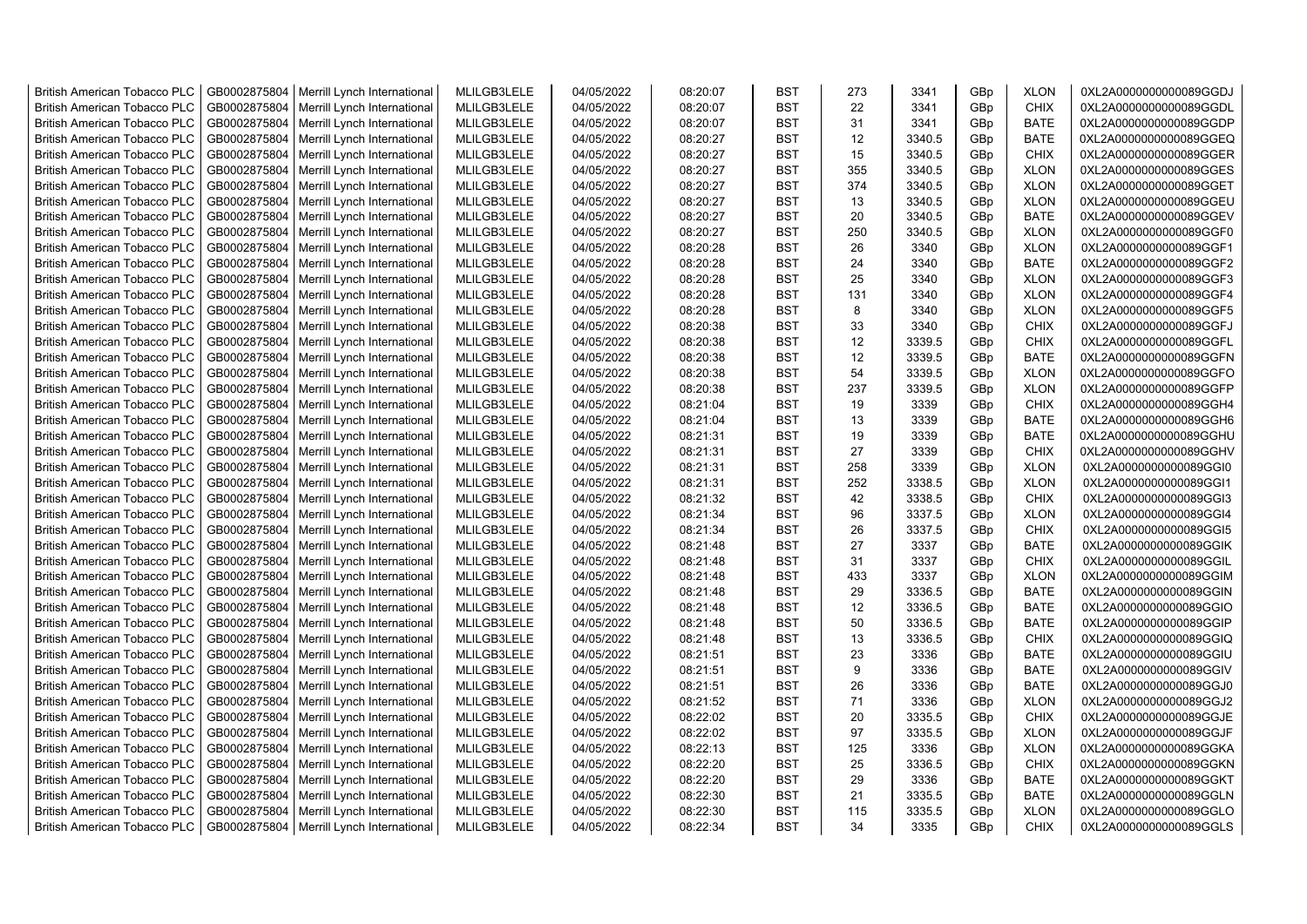| <b>British American Tobacco PLC</b> | GB0002875804 | Merrill Lynch International | MLILGB3LELE | 04/05/2022 | 08:20:07 | <b>BST</b> | 273 | 3341   | GBp             | <b>XLON</b> | 0XL2A0000000000089GGDJ |
|-------------------------------------|--------------|-----------------------------|-------------|------------|----------|------------|-----|--------|-----------------|-------------|------------------------|
| <b>British American Tobacco PLC</b> | GB0002875804 | Merrill Lynch International | MLILGB3LELE | 04/05/2022 | 08:20:07 | <b>BST</b> | 22  | 3341   | GBp             | <b>CHIX</b> | 0XL2A0000000000089GGDL |
| <b>British American Tobacco PLC</b> | GB0002875804 | Merrill Lynch International | MLILGB3LELE | 04/05/2022 | 08:20:07 | <b>BST</b> | 31  | 3341   | GBp             | <b>BATE</b> | 0XL2A0000000000089GGDP |
| <b>British American Tobacco PLC</b> | GB0002875804 | Merrill Lynch International | MLILGB3LELE | 04/05/2022 | 08:20:27 | <b>BST</b> | 12  | 3340.5 | GBp             | <b>BATE</b> | 0XL2A0000000000089GGEQ |
| <b>British American Tobacco PLC</b> | GB0002875804 | Merrill Lynch International | MLILGB3LELE | 04/05/2022 | 08:20:27 | <b>BST</b> | 15  | 3340.5 | GBp             | <b>CHIX</b> | 0XL2A0000000000089GGER |
| <b>British American Tobacco PLC</b> | GB0002875804 | Merrill Lynch International | MLILGB3LELE | 04/05/2022 | 08:20:27 | <b>BST</b> | 355 | 3340.5 | GBp             | <b>XLON</b> | 0XL2A0000000000089GGES |
| British American Tobacco PLC        | GB0002875804 | Merrill Lynch International | MLILGB3LELE | 04/05/2022 | 08:20:27 | <b>BST</b> | 374 | 3340.5 | GBp             | <b>XLON</b> | 0XL2A0000000000089GGET |
| <b>British American Tobacco PLC</b> | GB0002875804 | Merrill Lynch International | MLILGB3LELE | 04/05/2022 | 08:20:27 | <b>BST</b> | 13  | 3340.5 | GBp             | <b>XLON</b> | 0XL2A0000000000089GGEU |
| <b>British American Tobacco PLC</b> | GB0002875804 | Merrill Lynch International | MLILGB3LELE | 04/05/2022 | 08:20:27 | <b>BST</b> | 20  | 3340.5 | GBp             | <b>BATE</b> | 0XL2A0000000000089GGEV |
| <b>British American Tobacco PLC</b> | GB0002875804 | Merrill Lynch International | MLILGB3LELE | 04/05/2022 | 08:20:27 | <b>BST</b> | 250 | 3340.5 | GBp             | <b>XLON</b> | 0XL2A0000000000089GGF0 |
| <b>British American Tobacco PLC</b> | GB0002875804 | Merrill Lynch International | MLILGB3LELE | 04/05/2022 | 08:20:28 | <b>BST</b> | 26  | 3340   | GBp             | <b>XLON</b> | 0XL2A0000000000089GGF1 |
| <b>British American Tobacco PLC</b> | GB0002875804 | Merrill Lynch International | MLILGB3LELE | 04/05/2022 | 08:20:28 | <b>BST</b> | 24  | 3340   | GBp             | <b>BATE</b> | 0XL2A0000000000089GGF2 |
| <b>British American Tobacco PLC</b> | GB0002875804 | Merrill Lynch International | MLILGB3LELE | 04/05/2022 | 08:20:28 | <b>BST</b> | 25  | 3340   | GBp             | <b>XLON</b> | 0XL2A0000000000089GGF3 |
| <b>British American Tobacco PLC</b> | GB0002875804 | Merrill Lynch International | MLILGB3LELE | 04/05/2022 | 08:20:28 | <b>BST</b> | 131 | 3340   | GBp             | <b>XLON</b> | 0XL2A0000000000089GGF4 |
| <b>British American Tobacco PLC</b> | GB0002875804 | Merrill Lynch International | MLILGB3LELE | 04/05/2022 | 08:20:28 | <b>BST</b> | 8   | 3340   | GBp             | <b>XLON</b> | 0XL2A0000000000089GGF5 |
| <b>British American Tobacco PLC</b> | GB0002875804 | Merrill Lynch International | MLILGB3LELE | 04/05/2022 | 08:20:38 | <b>BST</b> | 33  | 3340   | GBp             | <b>CHIX</b> | 0XL2A0000000000089GGFJ |
| British American Tobacco PLC        | GB0002875804 | Merrill Lynch International | MLILGB3LELE | 04/05/2022 | 08:20:38 | <b>BST</b> | 12  | 3339.5 | GBp             | <b>CHIX</b> | 0XL2A0000000000089GGFL |
| <b>British American Tobacco PLC</b> | GB0002875804 | Merrill Lynch International | MLILGB3LELE | 04/05/2022 | 08:20:38 | <b>BST</b> | 12  | 3339.5 | GBp             | <b>BATE</b> | 0XL2A0000000000089GGFN |
| <b>British American Tobacco PLC</b> | GB0002875804 | Merrill Lynch International | MLILGB3LELE | 04/05/2022 | 08:20:38 | <b>BST</b> | 54  | 3339.5 | GBp             | <b>XLON</b> | 0XL2A0000000000089GGFO |
| <b>British American Tobacco PLC</b> | GB0002875804 | Merrill Lynch International | MLILGB3LELE | 04/05/2022 | 08:20:38 | <b>BST</b> | 237 | 3339.5 | GBp             | <b>XLON</b> | 0XL2A0000000000089GGFP |
| <b>British American Tobacco PLC</b> | GB0002875804 | Merrill Lynch International | MLILGB3LELE | 04/05/2022 | 08:21:04 | <b>BST</b> | 19  | 3339   | GBp             | <b>CHIX</b> | 0XL2A0000000000089GGH4 |
| <b>British American Tobacco PLC</b> | GB0002875804 | Merrill Lynch International | MLILGB3LELE | 04/05/2022 | 08:21:04 | <b>BST</b> | 13  | 3339   | GBp             | <b>BATE</b> | 0XL2A0000000000089GGH6 |
| British American Tobacco PLC        | GB0002875804 | Merrill Lynch International | MLILGB3LELE | 04/05/2022 | 08:21:31 | <b>BST</b> | 19  | 3339   | GBp             | <b>BATE</b> | 0XL2A0000000000089GGHU |
| <b>British American Tobacco PLC</b> | GB0002875804 | Merrill Lynch International | MLILGB3LELE | 04/05/2022 | 08:21:31 | <b>BST</b> | 27  | 3339   | GBp             | <b>CHIX</b> | 0XL2A0000000000089GGHV |
| <b>British American Tobacco PLC</b> | GB0002875804 | Merrill Lynch International | MLILGB3LELE | 04/05/2022 | 08:21:31 | <b>BST</b> | 258 | 3339   | GBp             | <b>XLON</b> | 0XL2A0000000000089GGI0 |
| <b>British American Tobacco PLC</b> | GB0002875804 | Merrill Lynch International | MLILGB3LELE | 04/05/2022 | 08:21:31 | <b>BST</b> | 252 | 3338.5 | GBp             | <b>XLON</b> | 0XL2A0000000000089GGI1 |
| <b>British American Tobacco PLC</b> | GB0002875804 | Merrill Lynch International | MLILGB3LELE | 04/05/2022 | 08:21:32 | <b>BST</b> | 42  | 3338.5 | GBp             | <b>CHIX</b> | 0XL2A0000000000089GGI3 |
| <b>British American Tobacco PLC</b> | GB0002875804 | Merrill Lynch International | MLILGB3LELE | 04/05/2022 | 08:21:34 | <b>BST</b> | 96  | 3337.5 | GBp             | <b>XLON</b> | 0XL2A0000000000089GGI4 |
| <b>British American Tobacco PLC</b> | GB0002875804 | Merrill Lynch International | MLILGB3LELE | 04/05/2022 | 08:21:34 | <b>BST</b> | 26  | 3337.5 | GBp             | <b>CHIX</b> | 0XL2A0000000000089GGI5 |
| <b>British American Tobacco PLC</b> | GB0002875804 | Merrill Lynch International | MLILGB3LELE | 04/05/2022 | 08:21:48 | <b>BST</b> | 27  | 3337   | GBp             | <b>BATE</b> | 0XL2A0000000000089GGIK |
| <b>British American Tobacco PLC</b> | GB0002875804 | Merrill Lynch International | MLILGB3LELE | 04/05/2022 | 08:21:48 | <b>BST</b> | 31  | 3337   | GBp             | <b>CHIX</b> | 0XL2A0000000000089GGIL |
| <b>British American Tobacco PLC</b> | GB0002875804 | Merrill Lynch International | MLILGB3LELE | 04/05/2022 | 08:21:48 | <b>BST</b> | 433 | 3337   | GBp             | <b>XLON</b> | 0XL2A0000000000089GGIM |
| <b>British American Tobacco PLC</b> | GB0002875804 | Merrill Lynch International | MLILGB3LELE | 04/05/2022 | 08:21:48 | <b>BST</b> | 29  | 3336.5 | GBp             | <b>BATE</b> | 0XL2A0000000000089GGIN |
| <b>British American Tobacco PLC</b> | GB0002875804 | Merrill Lynch International | MLILGB3LELE | 04/05/2022 | 08:21:48 | <b>BST</b> | 12  | 3336.5 | GBp             | <b>BATE</b> | 0XL2A0000000000089GGIO |
| <b>British American Tobacco PLC</b> | GB0002875804 | Merrill Lynch International | MLILGB3LELE | 04/05/2022 | 08:21:48 | <b>BST</b> | 50  | 3336.5 | GBp             | <b>BATE</b> | 0XL2A0000000000089GGIP |
| British American Tobacco PLC        | GB0002875804 | Merrill Lynch International | MLILGB3LELE | 04/05/2022 | 08:21:48 | <b>BST</b> | 13  | 3336.5 | GBp             | <b>CHIX</b> | 0XL2A0000000000089GGIQ |
| <b>British American Tobacco PLC</b> | GB0002875804 | Merrill Lynch International | MLILGB3LELE | 04/05/2022 | 08:21:51 | <b>BST</b> | 23  | 3336   | GBp             | <b>BATE</b> | 0XL2A0000000000089GGIU |
| British American Tobacco PLC        | GB0002875804 | Merrill Lynch International | MLILGB3LELE | 04/05/2022 | 08:21:51 | <b>BST</b> | 9   | 3336   | GBp             | <b>BATE</b> | 0XL2A0000000000089GGIV |
| British American Tobacco PLC        | GB0002875804 | Merrill Lynch International | MLILGB3LELE | 04/05/2022 | 08:21:51 | <b>BST</b> | 26  | 3336   | GBp             | <b>BATE</b> | 0XL2A0000000000089GGJ0 |
| <b>British American Tobacco PLC</b> | GB0002875804 | Merrill Lynch International | MLILGB3LELE | 04/05/2022 | 08:21:52 | <b>BST</b> | 71  | 3336   | GBp             | <b>XLON</b> | 0XL2A0000000000089GGJ2 |
| <b>British American Tobacco PLC</b> | GB0002875804 | Merrill Lynch International | MLILGB3LELE | 04/05/2022 | 08:22:02 | <b>BST</b> | 20  | 3335.5 | GBp             | <b>CHIX</b> | 0XL2A0000000000089GGJE |
| <b>British American Tobacco PLC</b> | GB0002875804 | Merrill Lynch International | MLILGB3LELE | 04/05/2022 | 08:22:02 | <b>BST</b> | 97  | 3335.5 | GBp             | <b>XLON</b> | 0XL2A0000000000089GGJF |
| <b>British American Tobacco PLC</b> | GB0002875804 | Merrill Lynch International | MLILGB3LELE | 04/05/2022 | 08:22:13 | <b>BST</b> | 125 | 3336   | GBp             | <b>XLON</b> | 0XL2A0000000000089GGKA |
| <b>British American Tobacco PLC</b> | GB0002875804 | Merrill Lynch International | MLILGB3LELE | 04/05/2022 | 08:22:20 | <b>BST</b> | 25  | 3336.5 | GBp             | <b>CHIX</b> | 0XL2A0000000000089GGKN |
| <b>British American Tobacco PLC</b> | GB0002875804 | Merrill Lynch International | MLILGB3LELE | 04/05/2022 | 08:22:20 | <b>BST</b> | 29  | 3336   | GBp             | <b>BATE</b> | 0XL2A0000000000089GGKT |
| <b>British American Tobacco PLC</b> | GB0002875804 | Merrill Lynch International | MLILGB3LELE | 04/05/2022 | 08:22:30 | <b>BST</b> | 21  | 3335.5 | GBp             | <b>BATE</b> | 0XL2A0000000000089GGLN |
| <b>British American Tobacco PLC</b> | GB0002875804 | Merrill Lynch International | MLILGB3LELE | 04/05/2022 | 08:22:30 | <b>BST</b> | 115 | 3335.5 | GBp             | <b>XLON</b> | 0XL2A0000000000089GGLO |
| <b>British American Tobacco PLC</b> | GB0002875804 | Merrill Lynch International | MLILGB3LELE | 04/05/2022 | 08:22:34 | <b>BST</b> | 34  | 3335   | GB <sub>p</sub> | <b>CHIX</b> | 0XL2A0000000000089GGLS |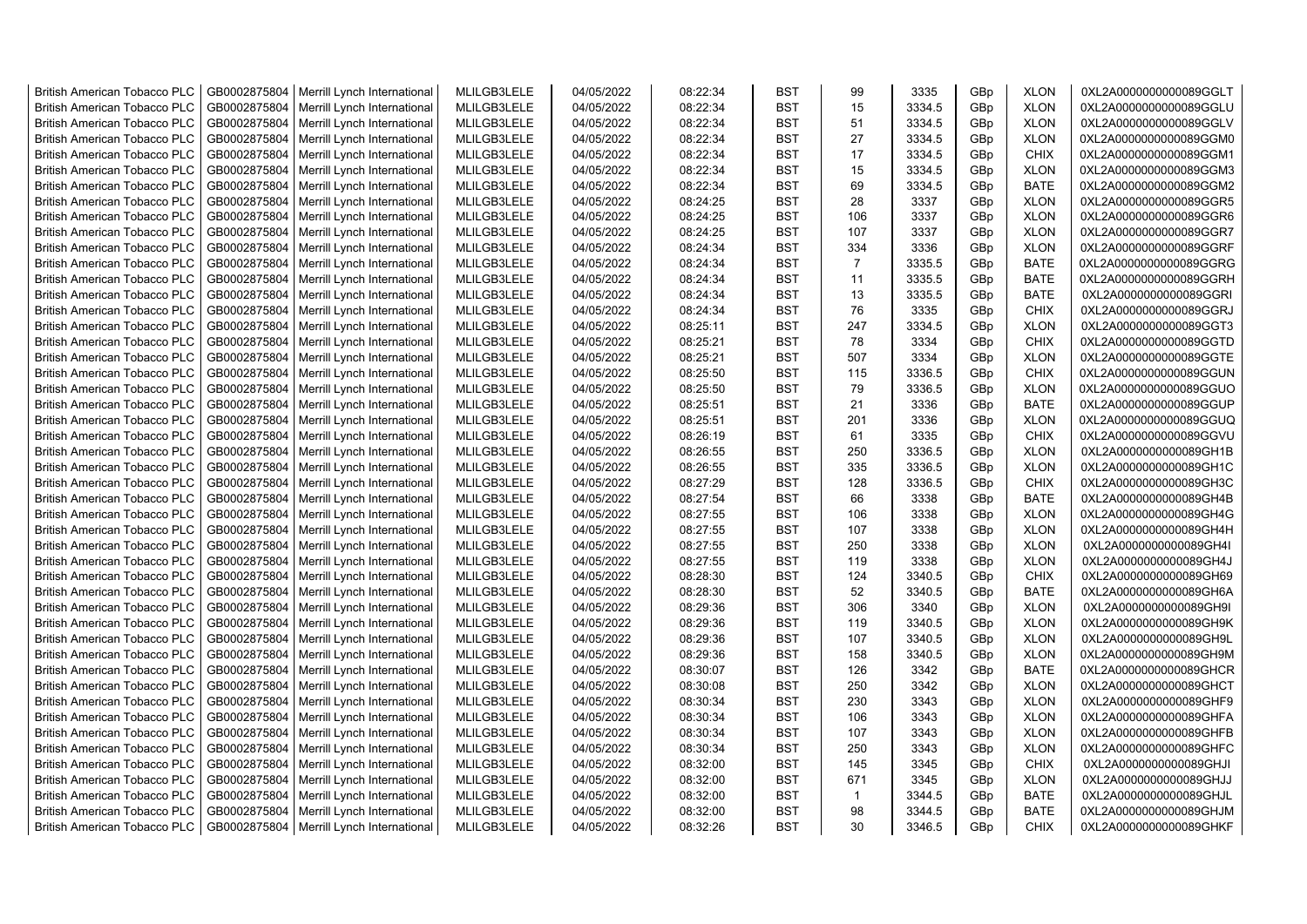| <b>British American Tobacco PLC</b> | GB0002875804 | Merrill Lynch International | MLILGB3LELE | 04/05/2022 | 08:22:34 | <b>BST</b> | 99             | 3335   | GBp             | <b>XLON</b> | 0XL2A0000000000089GGLT |
|-------------------------------------|--------------|-----------------------------|-------------|------------|----------|------------|----------------|--------|-----------------|-------------|------------------------|
| <b>British American Tobacco PLC</b> | GB0002875804 | Merrill Lynch International | MLILGB3LELE | 04/05/2022 | 08:22:34 | <b>BST</b> | 15             | 3334.5 | GBp             | <b>XLON</b> | 0XL2A0000000000089GGLU |
| <b>British American Tobacco PLC</b> | GB0002875804 | Merrill Lynch International | MLILGB3LELE | 04/05/2022 | 08:22:34 | <b>BST</b> | 51             | 3334.5 | GBp             | <b>XLON</b> | 0XL2A0000000000089GGLV |
| <b>British American Tobacco PLC</b> | GB0002875804 | Merrill Lynch International | MLILGB3LELE | 04/05/2022 | 08:22:34 | <b>BST</b> | 27             | 3334.5 | GBp             | <b>XLON</b> | 0XL2A0000000000089GGM0 |
| <b>British American Tobacco PLC</b> | GB0002875804 | Merrill Lynch International | MLILGB3LELE | 04/05/2022 | 08:22:34 | <b>BST</b> | 17             | 3334.5 | GBp             | <b>CHIX</b> | 0XL2A0000000000089GGM1 |
| <b>British American Tobacco PLC</b> | GB0002875804 | Merrill Lynch International | MLILGB3LELE | 04/05/2022 | 08:22:34 | <b>BST</b> | 15             | 3334.5 | GBp             | <b>XLON</b> | 0XL2A0000000000089GGM3 |
| <b>British American Tobacco PLC</b> | GB0002875804 | Merrill Lynch International | MLILGB3LELE | 04/05/2022 | 08:22:34 | <b>BST</b> | 69             | 3334.5 | GBp             | <b>BATE</b> | 0XL2A0000000000089GGM2 |
| <b>British American Tobacco PLC</b> | GB0002875804 | Merrill Lynch International | MLILGB3LELE | 04/05/2022 | 08:24:25 | <b>BST</b> | 28             | 3337   | GBp             | <b>XLON</b> | 0XL2A0000000000089GGR5 |
| <b>British American Tobacco PLC</b> | GB0002875804 | Merrill Lynch International | MLILGB3LELE | 04/05/2022 | 08:24:25 | <b>BST</b> | 106            | 3337   | GBp             | <b>XLON</b> | 0XL2A0000000000089GGR6 |
| <b>British American Tobacco PLC</b> | GB0002875804 | Merrill Lynch International | MLILGB3LELE | 04/05/2022 | 08:24:25 | <b>BST</b> | 107            | 3337   | GBp             | <b>XLON</b> | 0XL2A0000000000089GGR7 |
| British American Tobacco PLC        | GB0002875804 | Merrill Lynch International | MLILGB3LELE | 04/05/2022 | 08:24:34 | <b>BST</b> | 334            | 3336   | GBp             | <b>XLON</b> | 0XL2A0000000000089GGRF |
| <b>British American Tobacco PLC</b> | GB0002875804 | Merrill Lynch International | MLILGB3LELE | 04/05/2022 | 08:24:34 | <b>BST</b> | $\overline{7}$ | 3335.5 | GBp             | <b>BATE</b> | 0XL2A0000000000089GGRG |
| <b>British American Tobacco PLC</b> | GB0002875804 | Merrill Lynch International | MLILGB3LELE | 04/05/2022 | 08:24:34 | <b>BST</b> | 11             | 3335.5 | GBp             | <b>BATE</b> | 0XL2A0000000000089GGRH |
| <b>British American Tobacco PLC</b> | GB0002875804 | Merrill Lynch International | MLILGB3LELE | 04/05/2022 | 08:24:34 | <b>BST</b> | 13             | 3335.5 | GBp             | <b>BATE</b> | 0XL2A0000000000089GGRI |
| <b>British American Tobacco PLC</b> | GB0002875804 | Merrill Lynch International | MLILGB3LELE | 04/05/2022 | 08:24:34 | <b>BST</b> | 76             | 3335   | GBp             | <b>CHIX</b> | 0XL2A0000000000089GGRJ |
| <b>British American Tobacco PLC</b> | GB0002875804 | Merrill Lynch International | MLILGB3LELE | 04/05/2022 | 08:25:11 | <b>BST</b> | 247            | 3334.5 | GBp             | <b>XLON</b> | 0XL2A0000000000089GGT3 |
| <b>British American Tobacco PLC</b> | GB0002875804 | Merrill Lynch International | MLILGB3LELE | 04/05/2022 | 08:25:21 | <b>BST</b> | 78             | 3334   | GBp             | <b>CHIX</b> | 0XL2A0000000000089GGTD |
| <b>British American Tobacco PLC</b> | GB0002875804 | Merrill Lynch International | MLILGB3LELE | 04/05/2022 | 08:25:21 | <b>BST</b> | 507            | 3334   | GBp             | <b>XLON</b> | 0XL2A0000000000089GGTE |
| <b>British American Tobacco PLC</b> | GB0002875804 | Merrill Lynch International | MLILGB3LELE | 04/05/2022 | 08:25:50 | <b>BST</b> | 115            | 3336.5 | GBp             | <b>CHIX</b> | 0XL2A0000000000089GGUN |
| <b>British American Tobacco PLC</b> | GB0002875804 | Merrill Lynch International | MLILGB3LELE | 04/05/2022 | 08:25:50 | <b>BST</b> | 79             | 3336.5 | GBp             | <b>XLON</b> | 0XL2A0000000000089GGUO |
| <b>British American Tobacco PLC</b> | GB0002875804 | Merrill Lynch International | MLILGB3LELE | 04/05/2022 | 08:25:51 | <b>BST</b> | 21             | 3336   | GBp             | <b>BATE</b> | 0XL2A0000000000089GGUP |
| <b>British American Tobacco PLC</b> | GB0002875804 | Merrill Lynch International | MLILGB3LELE | 04/05/2022 | 08:25:51 | <b>BST</b> | 201            | 3336   | GBp             | <b>XLON</b> | 0XL2A0000000000089GGUQ |
| <b>British American Tobacco PLC</b> | GB0002875804 | Merrill Lynch International | MLILGB3LELE | 04/05/2022 | 08:26:19 | <b>BST</b> | 61             | 3335   | GBp             | <b>CHIX</b> | 0XL2A0000000000089GGVU |
| <b>British American Tobacco PLC</b> | GB0002875804 | Merrill Lynch International | MLILGB3LELE | 04/05/2022 | 08:26:55 | <b>BST</b> | 250            | 3336.5 | GBp             | <b>XLON</b> | 0XL2A0000000000089GH1B |
| <b>British American Tobacco PLC</b> | GB0002875804 | Merrill Lynch International | MLILGB3LELE | 04/05/2022 | 08:26:55 | <b>BST</b> | 335            | 3336.5 | GBp             | <b>XLON</b> | 0XL2A0000000000089GH1C |
| British American Tobacco PLC        | GB0002875804 | Merrill Lynch International | MLILGB3LELE | 04/05/2022 | 08:27:29 | <b>BST</b> | 128            | 3336.5 | GBp             | <b>CHIX</b> | 0XL2A0000000000089GH3C |
| British American Tobacco PLC        | GB0002875804 | Merrill Lynch International | MLILGB3LELE | 04/05/2022 | 08:27:54 | <b>BST</b> | 66             | 3338   | GBp             | <b>BATE</b> | 0XL2A0000000000089GH4B |
| British American Tobacco PLC        | GB0002875804 | Merrill Lynch International | MLILGB3LELE | 04/05/2022 | 08:27:55 | <b>BST</b> | 106            | 3338   | GBp             | <b>XLON</b> | 0XL2A0000000000089GH4G |
| <b>British American Tobacco PLC</b> | GB0002875804 | Merrill Lynch International | MLILGB3LELE | 04/05/2022 | 08:27:55 | <b>BST</b> | 107            | 3338   | GBp             | <b>XLON</b> | 0XL2A0000000000089GH4H |
| <b>British American Tobacco PLC</b> | GB0002875804 | Merrill Lynch International | MLILGB3LELE | 04/05/2022 | 08:27:55 | <b>BST</b> | 250            | 3338   | GBp             | <b>XLON</b> | 0XL2A0000000000089GH4I |
| <b>British American Tobacco PLC</b> | GB0002875804 | Merrill Lynch International | MLILGB3LELE | 04/05/2022 | 08:27:55 | <b>BST</b> | 119            | 3338   | GBp             | <b>XLON</b> | 0XL2A0000000000089GH4J |
| <b>British American Tobacco PLC</b> | GB0002875804 | Merrill Lynch International | MLILGB3LELE | 04/05/2022 | 08:28:30 | <b>BST</b> | 124            | 3340.5 | GBp             | <b>CHIX</b> | 0XL2A0000000000089GH69 |
| <b>British American Tobacco PLC</b> | GB0002875804 | Merrill Lynch International | MLILGB3LELE | 04/05/2022 | 08:28:30 | <b>BST</b> | 52             | 3340.5 | GBp             | <b>BATE</b> | 0XL2A0000000000089GH6A |
| <b>British American Tobacco PLC</b> | GB0002875804 | Merrill Lynch International | MLILGB3LELE | 04/05/2022 | 08:29:36 | <b>BST</b> | 306            | 3340   | GBp             | <b>XLON</b> | 0XL2A0000000000089GH9I |
| <b>British American Tobacco PLC</b> | GB0002875804 | Merrill Lynch International | MLILGB3LELE | 04/05/2022 | 08:29:36 | <b>BST</b> | 119            | 3340.5 | GBp             | <b>XLON</b> | 0XL2A0000000000089GH9K |
| <b>British American Tobacco PLC</b> | GB0002875804 | Merrill Lynch International | MLILGB3LELE | 04/05/2022 | 08:29:36 | <b>BST</b> | 107            | 3340.5 | GBp             | <b>XLON</b> | 0XL2A0000000000089GH9L |
| <b>British American Tobacco PLC</b> | GB0002875804 | Merrill Lynch International | MLILGB3LELE | 04/05/2022 | 08:29:36 | <b>BST</b> | 158            | 3340.5 | GBp             | <b>XLON</b> | 0XL2A0000000000089GH9M |
| <b>British American Tobacco PLC</b> | GB0002875804 | Merrill Lynch International | MLILGB3LELE | 04/05/2022 | 08:30:07 | <b>BST</b> | 126            | 3342   | GBp             | <b>BATE</b> | 0XL2A0000000000089GHCR |
| <b>British American Tobacco PLC</b> | GB0002875804 | Merrill Lynch International | MLILGB3LELE | 04/05/2022 | 08:30:08 | <b>BST</b> | 250            | 3342   | GBp             | <b>XLON</b> | 0XL2A0000000000089GHCT |
| <b>British American Tobacco PLC</b> | GB0002875804 | Merrill Lynch International | MLILGB3LELE | 04/05/2022 | 08:30:34 | <b>BST</b> | 230            | 3343   | GBp             | <b>XLON</b> | 0XL2A0000000000089GHF9 |
| British American Tobacco PLC        | GB0002875804 | Merrill Lynch International | MLILGB3LELE | 04/05/2022 | 08:30:34 | <b>BST</b> | 106            | 3343   | GBp             | <b>XLON</b> | 0XL2A0000000000089GHFA |
| <b>British American Tobacco PLC</b> | GB0002875804 | Merrill Lynch International | MLILGB3LELE | 04/05/2022 | 08:30:34 | <b>BST</b> | 107            | 3343   | GBp             | <b>XLON</b> | 0XL2A0000000000089GHFB |
| British American Tobacco PLC        | GB0002875804 | Merrill Lynch International | MLILGB3LELE | 04/05/2022 | 08:30:34 | <b>BST</b> | 250            | 3343   | GBp             | <b>XLON</b> | 0XL2A0000000000089GHFC |
| British American Tobacco PLC        | GB0002875804 | Merrill Lynch International | MLILGB3LELE | 04/05/2022 | 08:32:00 | <b>BST</b> | 145            | 3345   | GBp             | <b>CHIX</b> | 0XL2A0000000000089GHJI |
| <b>British American Tobacco PLC</b> | GB0002875804 | Merrill Lynch International | MLILGB3LELE | 04/05/2022 | 08:32:00 | <b>BST</b> | 671            | 3345   | GBp             | <b>XLON</b> | 0XL2A0000000000089GHJJ |
| <b>British American Tobacco PLC</b> | GB0002875804 | Merrill Lynch International | MLILGB3LELE | 04/05/2022 | 08:32:00 | <b>BST</b> | $\mathbf{1}$   | 3344.5 | GBp             | <b>BATE</b> | 0XL2A0000000000089GHJL |
| <b>British American Tobacco PLC</b> | GB0002875804 | Merrill Lynch International | MLILGB3LELE | 04/05/2022 | 08:32:00 | <b>BST</b> | 98             | 3344.5 | GBp             | <b>BATE</b> | 0XL2A0000000000089GHJM |
| <b>British American Tobacco PLC</b> | GB0002875804 | Merrill Lynch International | MLILGB3LELE | 04/05/2022 | 08:32:26 | <b>BST</b> | 30             | 3346.5 | GB <sub>p</sub> | <b>CHIX</b> | 0XL2A0000000000089GHKF |
|                                     |              |                             |             |            |          |            |                |        |                 |             |                        |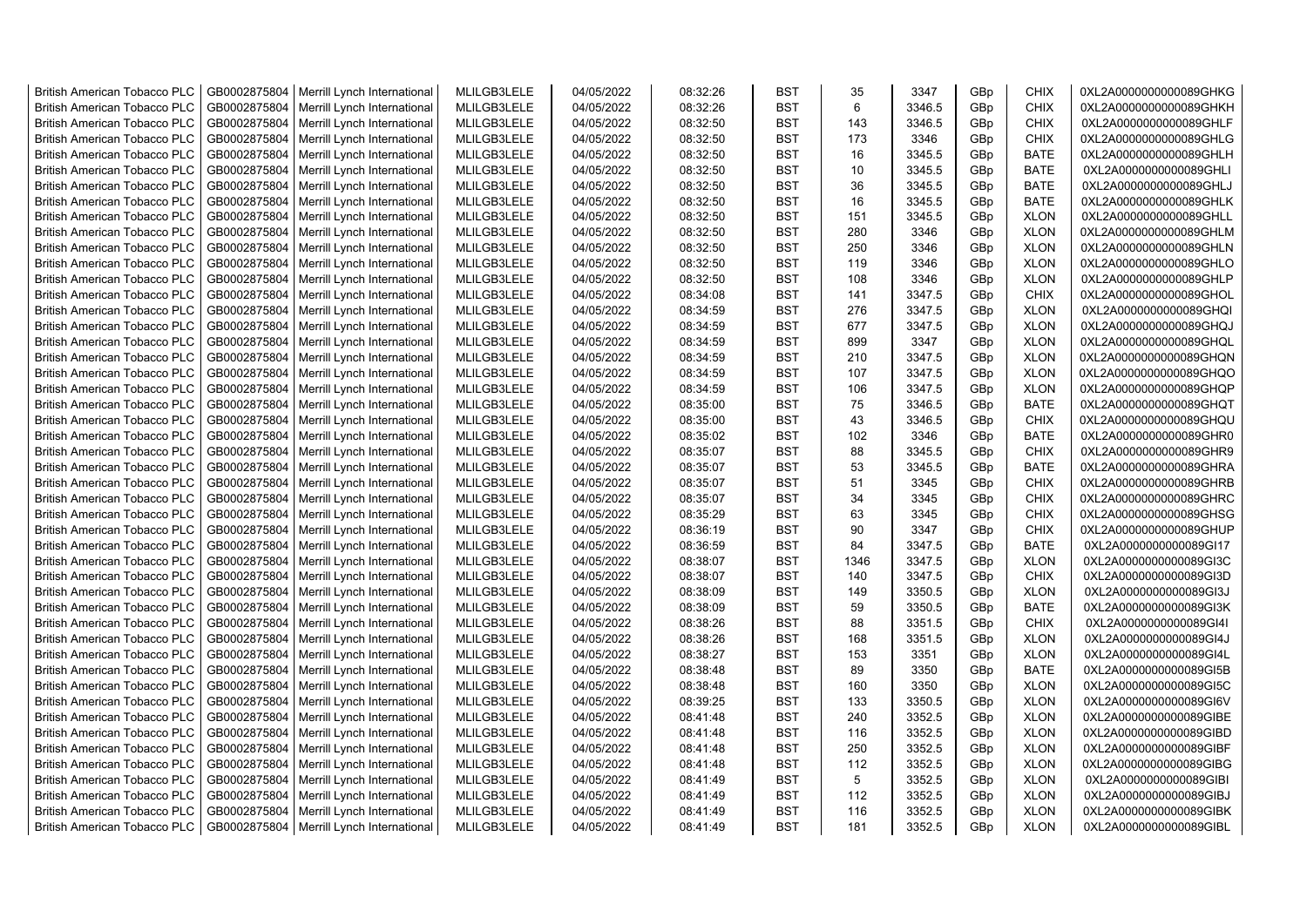| <b>British American Tobacco PLC</b>                                 | GB0002875804                 | Merrill Lynch International | MLILGB3LELE                | 04/05/2022               | 08:32:26             | <b>BST</b> | 35   | 3347             | GBp             | <b>CHIX</b>                | 0XL2A0000000000089GHKG                           |
|---------------------------------------------------------------------|------------------------------|-----------------------------|----------------------------|--------------------------|----------------------|------------|------|------------------|-----------------|----------------------------|--------------------------------------------------|
| <b>British American Tobacco PLC</b>                                 | GB0002875804                 | Merrill Lynch International | MLILGB3LELE                | 04/05/2022               | 08:32:26             | <b>BST</b> | 6    | 3346.5           | GBp             | <b>CHIX</b>                | 0XL2A0000000000089GHKH                           |
| <b>British American Tobacco PLC</b>                                 | GB0002875804                 | Merrill Lynch International | MLILGB3LELE                | 04/05/2022               | 08:32:50             | <b>BST</b> | 143  | 3346.5           | GBp             | <b>CHIX</b>                | 0XL2A0000000000089GHLF                           |
| <b>British American Tobacco PLC</b>                                 | GB0002875804                 | Merrill Lynch International | MLILGB3LELE                | 04/05/2022               | 08:32:50             | <b>BST</b> | 173  | 3346             | GBp             | <b>CHIX</b>                | 0XL2A0000000000089GHLG                           |
| <b>British American Tobacco PLC</b>                                 | GB0002875804                 | Merrill Lynch International | MLILGB3LELE                | 04/05/2022               | 08:32:50             | <b>BST</b> | 16   | 3345.5           | GBp             | <b>BATE</b>                | 0XL2A0000000000089GHLH                           |
| <b>British American Tobacco PLC</b>                                 | GB0002875804                 | Merrill Lynch International | MLILGB3LELE                | 04/05/2022               | 08:32:50             | <b>BST</b> | 10   | 3345.5           | GBp             | <b>BATE</b>                | 0XL2A0000000000089GHLI                           |
| <b>British American Tobacco PLC</b>                                 | GB0002875804                 | Merrill Lynch International | MLILGB3LELE                | 04/05/2022               | 08:32:50             | <b>BST</b> | 36   | 3345.5           | GBp             | <b>BATE</b>                | 0XL2A0000000000089GHLJ                           |
| <b>British American Tobacco PLC</b>                                 | GB0002875804                 | Merrill Lynch International | MLILGB3LELE                | 04/05/2022               | 08:32:50             | <b>BST</b> | 16   | 3345.5           | GBp             | <b>BATE</b>                | 0XL2A0000000000089GHLK                           |
| <b>British American Tobacco PLC</b>                                 | GB0002875804                 | Merrill Lynch International | MLILGB3LELE                | 04/05/2022               | 08:32:50             | <b>BST</b> | 151  | 3345.5           | GBp             | <b>XLON</b>                | 0XL2A0000000000089GHLL                           |
| <b>British American Tobacco PLC</b>                                 | GB0002875804                 | Merrill Lynch International | MLILGB3LELE                | 04/05/2022               | 08:32:50             | <b>BST</b> | 280  | 3346             | GBp             | <b>XLON</b>                | 0XL2A0000000000089GHLM                           |
| British American Tobacco PLC                                        | GB0002875804                 | Merrill Lynch International | MLILGB3LELE                | 04/05/2022               | 08:32:50             | <b>BST</b> | 250  | 3346             | GBp             | <b>XLON</b>                | 0XL2A0000000000089GHLN                           |
| <b>British American Tobacco PLC</b>                                 | GB0002875804                 | Merrill Lynch International | MLILGB3LELE                | 04/05/2022               | 08:32:50             | <b>BST</b> | 119  | 3346             | GBp             | <b>XLON</b>                | 0XL2A0000000000089GHLO                           |
| <b>British American Tobacco PLC</b>                                 | GB0002875804                 | Merrill Lynch International | MLILGB3LELE                | 04/05/2022               | 08:32:50             | <b>BST</b> | 108  | 3346             | GBp             | <b>XLON</b>                | 0XL2A0000000000089GHLP                           |
| <b>British American Tobacco PLC</b>                                 | GB0002875804                 | Merrill Lynch International | MLILGB3LELE                | 04/05/2022               | 08:34:08             | <b>BST</b> | 141  | 3347.5           | GBp             | <b>CHIX</b>                | 0XL2A0000000000089GHOL                           |
| <b>British American Tobacco PLC</b>                                 | GB0002875804                 | Merrill Lynch International | MLILGB3LELE                | 04/05/2022               | 08:34:59             | <b>BST</b> | 276  | 3347.5           | GBp             | <b>XLON</b>                | 0XL2A0000000000089GHQI                           |
| <b>British American Tobacco PLC</b>                                 | GB0002875804                 | Merrill Lynch International | MLILGB3LELE                | 04/05/2022               | 08:34:59             | <b>BST</b> | 677  | 3347.5           | GBp             | <b>XLON</b>                | 0XL2A0000000000089GHQJ                           |
| <b>British American Tobacco PLC</b>                                 | GB0002875804                 | Merrill Lynch International | MLILGB3LELE                | 04/05/2022               | 08:34:59             | <b>BST</b> | 899  | 3347             | GBp             | <b>XLON</b>                | 0XL2A0000000000089GHQL                           |
| <b>British American Tobacco PLC</b>                                 | GB0002875804                 | Merrill Lynch International | MLILGB3LELE                | 04/05/2022               | 08:34:59             | <b>BST</b> | 210  | 3347.5           | GBp             | <b>XLON</b>                | 0XL2A0000000000089GHQN                           |
| <b>British American Tobacco PLC</b>                                 | GB0002875804                 | Merrill Lynch International | MLILGB3LELE                | 04/05/2022               | 08:34:59             | <b>BST</b> | 107  | 3347.5           | GBp             | <b>XLON</b>                | 0XL2A0000000000089GHQO                           |
| <b>British American Tobacco PLC</b>                                 | GB0002875804                 | Merrill Lynch International | MLILGB3LELE                | 04/05/2022               | 08:34:59             | <b>BST</b> | 106  | 3347.5           | GBp             | <b>XLON</b>                | 0XL2A0000000000089GHQP                           |
| <b>British American Tobacco PLC</b>                                 | GB0002875804                 | Merrill Lynch International | MLILGB3LELE                | 04/05/2022               | 08:35:00             | <b>BST</b> | 75   | 3346.5           | GBp             | <b>BATE</b>                | 0XL2A0000000000089GHQT                           |
| <b>British American Tobacco PLC</b>                                 | GB0002875804                 | Merrill Lynch International | MLILGB3LELE                | 04/05/2022               | 08:35:00             | <b>BST</b> | 43   | 3346.5           | GBp             | <b>CHIX</b>                | 0XL2A0000000000089GHQU                           |
| <b>British American Tobacco PLC</b>                                 | GB0002875804                 | Merrill Lynch International | MLILGB3LELE                | 04/05/2022               | 08:35:02             | <b>BST</b> | 102  | 3346             | GBp             | <b>BATE</b>                | 0XL2A0000000000089GHR0                           |
| <b>British American Tobacco PLC</b>                                 | GB0002875804                 | Merrill Lynch International | MLILGB3LELE                | 04/05/2022               | 08:35:07             | <b>BST</b> | 88   | 3345.5           | GBp             | <b>CHIX</b>                | 0XL2A0000000000089GHR9                           |
| <b>British American Tobacco PLC</b>                                 | GB0002875804                 | Merrill Lynch International | MLILGB3LELE                | 04/05/2022               | 08:35:07             | <b>BST</b> | 53   | 3345.5           | GBp             | <b>BATE</b>                | 0XL2A0000000000089GHRA                           |
| British American Tobacco PLC                                        | GB0002875804                 | Merrill Lynch International | MLILGB3LELE                | 04/05/2022               | 08:35:07             | <b>BST</b> | 51   | 3345             | GBp             | <b>CHIX</b>                | 0XL2A0000000000089GHRB                           |
| British American Tobacco PLC                                        | GB0002875804                 | Merrill Lynch International | MLILGB3LELE                | 04/05/2022               | 08:35:07             | <b>BST</b> | 34   | 3345             | GBp             | <b>CHIX</b>                | 0XL2A0000000000089GHRC                           |
| British American Tobacco PLC                                        | GB0002875804                 | Merrill Lynch International | MLILGB3LELE                | 04/05/2022               | 08:35:29             | <b>BST</b> | 63   | 3345             | GBp             | <b>CHIX</b>                | 0XL2A0000000000089GHSG                           |
| <b>British American Tobacco PLC</b>                                 | GB0002875804                 | Merrill Lynch International | MLILGB3LELE                | 04/05/2022               | 08:36:19             | <b>BST</b> | 90   | 3347             | GBp             | <b>CHIX</b>                | 0XL2A0000000000089GHUP                           |
| <b>British American Tobacco PLC</b>                                 | GB0002875804                 | Merrill Lynch International | MLILGB3LELE                | 04/05/2022               | 08:36:59             | <b>BST</b> | 84   | 3347.5           | GBp             | <b>BATE</b>                | 0XL2A0000000000089GI17                           |
| <b>British American Tobacco PLC</b>                                 | GB0002875804                 | Merrill Lynch International | MLILGB3LELE                | 04/05/2022               | 08:38:07             | <b>BST</b> | 1346 | 3347.5           | GBp             | <b>XLON</b>                | 0XL2A0000000000089GI3C                           |
| <b>British American Tobacco PLC</b>                                 | GB0002875804                 | Merrill Lynch International | MLILGB3LELE                | 04/05/2022               | 08:38:07             | <b>BST</b> | 140  | 3347.5           | GBp             | <b>CHIX</b>                | 0XL2A0000000000089GI3D                           |
| <b>British American Tobacco PLC</b>                                 | GB0002875804                 | Merrill Lynch International | MLILGB3LELE                | 04/05/2022               | 08:38:09             | <b>BST</b> | 149  | 3350.5           | GBp             | <b>XLON</b>                | 0XL2A0000000000089GI3J                           |
| <b>British American Tobacco PLC</b>                                 | GB0002875804                 | Merrill Lynch International | MLILGB3LELE                | 04/05/2022               | 08:38:09             | <b>BST</b> | 59   | 3350.5           | GBp             | <b>BATE</b>                | 0XL2A0000000000089GI3K                           |
| <b>British American Tobacco PLC</b>                                 | GB0002875804                 | Merrill Lynch International | MLILGB3LELE                | 04/05/2022               | 08:38:26             | <b>BST</b> | 88   | 3351.5           | GBp             | <b>CHIX</b>                | 0XL2A0000000000089GI4I                           |
| <b>British American Tobacco PLC</b>                                 | GB0002875804                 | Merrill Lynch International | MLILGB3LELE                | 04/05/2022               | 08:38:26             | <b>BST</b> | 168  | 3351.5           | GBp             | <b>XLON</b>                | 0XL2A0000000000089GI4J                           |
| British American Tobacco PLC                                        | GB0002875804                 | Merrill Lynch International | MLILGB3LELE                | 04/05/2022               | 08:38:27             | <b>BST</b> | 153  | 3351             | GBp             | <b>XLON</b>                | 0XL2A0000000000089GI4L                           |
| <b>British American Tobacco PLC</b>                                 | GB0002875804                 | Merrill Lynch International | MLILGB3LELE                | 04/05/2022               | 08:38:48             | <b>BST</b> | 89   | 3350             | GBp             | <b>BATE</b>                | 0XL2A0000000000089GI5B                           |
| <b>British American Tobacco PLC</b>                                 | GB0002875804                 | Merrill Lynch International | MLILGB3LELE                | 04/05/2022               | 08:38:48             | <b>BST</b> | 160  | 3350             | GBp             | <b>XLON</b>                | 0XL2A0000000000089GI5C                           |
| <b>British American Tobacco PLC</b>                                 | GB0002875804                 | Merrill Lynch International | MLILGB3LELE                | 04/05/2022               | 08:39:25             | <b>BST</b> | 133  | 3350.5           | GBp             | <b>XLON</b>                | 0XL2A0000000000089GI6V                           |
| British American Tobacco PLC                                        | GB0002875804                 | Merrill Lynch International | MLILGB3LELE                | 04/05/2022               | 08:41:48             | <b>BST</b> | 240  | 3352.5           | GBp             | <b>XLON</b>                | 0XL2A0000000000089GIBE                           |
| <b>British American Tobacco PLC</b>                                 | GB0002875804                 |                             | MLILGB3LELE                | 04/05/2022               | 08:41:48             | <b>BST</b> | 116  | 3352.5           |                 | <b>XLON</b>                | 0XL2A0000000000089GIBD                           |
|                                                                     | GB0002875804                 | Merrill Lynch International | MLILGB3LELE                | 04/05/2022               |                      | <b>BST</b> | 250  | 3352.5           | GBp             | <b>XLON</b>                | 0XL2A0000000000089GIBF                           |
| British American Tobacco PLC                                        |                              | Merrill Lynch International |                            |                          | 08:41:48             | <b>BST</b> | 112  |                  | GBp             |                            |                                                  |
| British American Tobacco PLC<br><b>British American Tobacco PLC</b> | GB0002875804<br>GB0002875804 | Merrill Lynch International | MLILGB3LELE<br>MLILGB3LELE | 04/05/2022<br>04/05/2022 | 08:41:48<br>08:41:49 | <b>BST</b> | 5    | 3352.5<br>3352.5 | GBp<br>GBp      | <b>XLON</b><br><b>XLON</b> | 0XL2A0000000000089GIBG<br>0XL2A0000000000089GIBI |
| <b>British American Tobacco PLC</b>                                 | GB0002875804                 | Merrill Lynch International | MLILGB3LELE                | 04/05/2022               | 08:41:49             | <b>BST</b> | 112  | 3352.5           | GBp             | <b>XLON</b>                | 0XL2A0000000000089GIBJ                           |
| <b>British American Tobacco PLC</b>                                 | GB0002875804                 | Merrill Lynch International | MLILGB3LELE                | 04/05/2022               | 08:41:49             | <b>BST</b> | 116  | 3352.5           | GBp             | <b>XLON</b>                | 0XL2A0000000000089GIBK                           |
|                                                                     |                              | Merrill Lynch International | MLILGB3LELE                | 04/05/2022               | 08:41:49             | <b>BST</b> | 181  | 3352.5           | GB <sub>p</sub> | <b>XLON</b>                |                                                  |
| <b>British American Tobacco PLC</b>                                 | GB0002875804                 | Merrill Lynch International |                            |                          |                      |            |      |                  |                 |                            | 0XL2A0000000000089GIBL                           |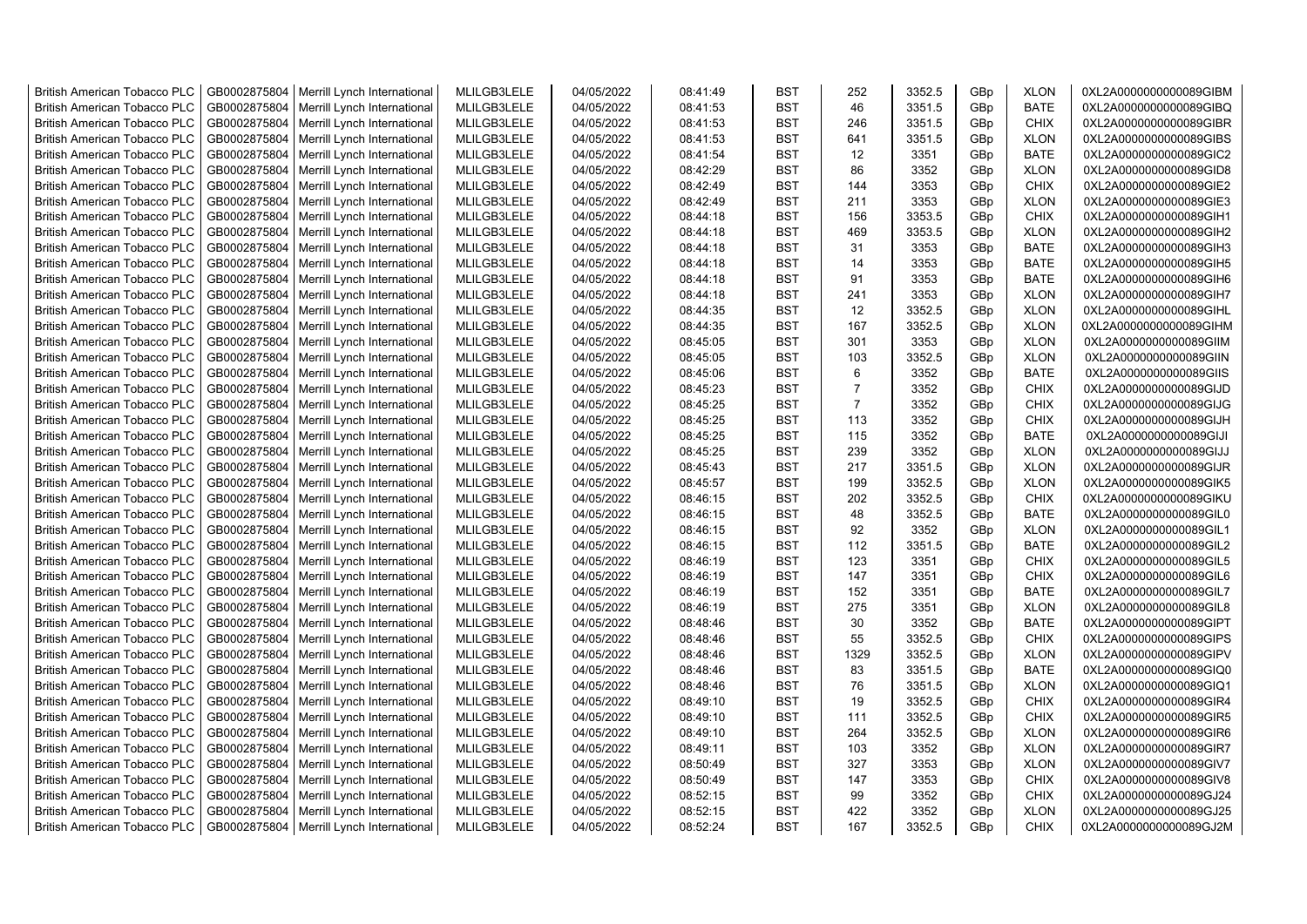| <b>British American Tobacco PLC</b> | GB0002875804 | Merrill Lynch International                | MLILGB3LELE | 04/05/2022 | 08:41:49 | <b>BST</b> | 252            | 3352.5 | GBp | <b>XLON</b> | 0XL2A0000000000089GIBM |
|-------------------------------------|--------------|--------------------------------------------|-------------|------------|----------|------------|----------------|--------|-----|-------------|------------------------|
| <b>British American Tobacco PLC</b> | GB0002875804 | Merrill Lynch International                | MLILGB3LELE | 04/05/2022 | 08:41:53 | <b>BST</b> | 46             | 3351.5 | GBp | <b>BATE</b> | 0XL2A0000000000089GIBQ |
| <b>British American Tobacco PLC</b> | GB0002875804 | Merrill Lynch International                | MLILGB3LELE | 04/05/2022 | 08:41:53 | <b>BST</b> | 246            | 3351.5 | GBp | <b>CHIX</b> | 0XL2A0000000000089GIBR |
| <b>British American Tobacco PLC</b> | GB0002875804 | Merrill Lynch International                | MLILGB3LELE | 04/05/2022 | 08:41:53 | <b>BST</b> | 641            | 3351.5 | GBp | <b>XLON</b> | 0XL2A0000000000089GIBS |
| <b>British American Tobacco PLC</b> | GB0002875804 | Merrill Lynch International                | MLILGB3LELE | 04/05/2022 | 08:41:54 | <b>BST</b> | 12             | 3351   | GBp | <b>BATE</b> | 0XL2A0000000000089GIC2 |
| <b>British American Tobacco PLC</b> | GB0002875804 | Merrill Lynch International                | MLILGB3LELE | 04/05/2022 | 08:42:29 | <b>BST</b> | 86             | 3352   | GBp | <b>XLON</b> | 0XL2A0000000000089GID8 |
| <b>British American Tobacco PLC</b> | GB0002875804 | Merrill Lynch International                | MLILGB3LELE | 04/05/2022 | 08:42:49 | <b>BST</b> | 144            | 3353   | GBp | <b>CHIX</b> | 0XL2A0000000000089GIE2 |
| <b>British American Tobacco PLC</b> | GB0002875804 | Merrill Lynch International                | MLILGB3LELE | 04/05/2022 | 08:42:49 | BST        | 211            | 3353   | GBp | <b>XLON</b> | 0XL2A0000000000089GIE3 |
| <b>British American Tobacco PLC</b> | GB0002875804 | Merrill Lynch International                | MLILGB3LELE | 04/05/2022 | 08:44:18 | <b>BST</b> | 156            | 3353.5 | GBp | <b>CHIX</b> | 0XL2A0000000000089GIH1 |
| <b>British American Tobacco PLC</b> | GB0002875804 | Merrill Lynch International                | MLILGB3LELE | 04/05/2022 | 08:44:18 | <b>BST</b> | 469            | 3353.5 | GBp | <b>XLON</b> | 0XL2A0000000000089GIH2 |
| <b>British American Tobacco PLC</b> | GB0002875804 | Merrill Lynch International                | MLILGB3LELE | 04/05/2022 | 08:44:18 | <b>BST</b> | 31             | 3353   | GBp | <b>BATE</b> | 0XL2A0000000000089GIH3 |
| <b>British American Tobacco PLC</b> | GB0002875804 | Merrill Lynch International                | MLILGB3LELE | 04/05/2022 | 08:44:18 | <b>BST</b> | 14             | 3353   | GBp | <b>BATE</b> | 0XL2A0000000000089GIH5 |
| <b>British American Tobacco PLC</b> | GB0002875804 | Merrill Lynch International                | MLILGB3LELE | 04/05/2022 | 08:44:18 | <b>BST</b> | 91             | 3353   | GBp | <b>BATE</b> | 0XL2A0000000000089GIH6 |
| <b>British American Tobacco PLC</b> | GB0002875804 | Merrill Lynch International                | MLILGB3LELE | 04/05/2022 | 08:44:18 | <b>BST</b> | 241            | 3353   | GBp | <b>XLON</b> | 0XL2A0000000000089GIH7 |
| <b>British American Tobacco PLC</b> |              |                                            | MLILGB3LELE | 04/05/2022 |          | <b>BST</b> | 12             | 3352.5 |     | <b>XLON</b> |                        |
|                                     | GB0002875804 | Merrill Lynch International                |             |            | 08:44:35 |            |                |        | GBp |             | 0XL2A0000000000089GIHL |
| <b>British American Tobacco PLC</b> | GB0002875804 | Merrill Lynch International                | MLILGB3LELE | 04/05/2022 | 08:44:35 | <b>BST</b> | 167            | 3352.5 | GBp | <b>XLON</b> | 0XL2A0000000000089GIHM |
| <b>British American Tobacco PLC</b> | GB0002875804 | Merrill Lynch International                | MLILGB3LELE | 04/05/2022 | 08:45:05 | <b>BST</b> | 301            | 3353   | GBp | <b>XLON</b> | 0XL2A0000000000089GIIM |
| <b>British American Tobacco PLC</b> | GB0002875804 | Merrill Lynch International                | MLILGB3LELE | 04/05/2022 | 08:45:05 | <b>BST</b> | 103            | 3352.5 | GBp | <b>XLON</b> | 0XL2A0000000000089GIIN |
| <b>British American Tobacco PLC</b> | GB0002875804 | Merrill Lynch International                | MLILGB3LELE | 04/05/2022 | 08:45:06 | <b>BST</b> | 6              | 3352   | GBp | <b>BATE</b> | 0XL2A0000000000089GIIS |
| <b>British American Tobacco PLC</b> | GB0002875804 | Merrill Lynch International                | MLILGB3LELE | 04/05/2022 | 08:45:23 | <b>BST</b> | $\overline{7}$ | 3352   | GBp | <b>CHIX</b> | 0XL2A0000000000089GIJD |
| <b>British American Tobacco PLC</b> | GB0002875804 | Merrill Lynch International                | MLILGB3LELE | 04/05/2022 | 08:45:25 | <b>BST</b> | $\overline{7}$ | 3352   | GBp | <b>CHIX</b> | 0XL2A0000000000089GIJG |
| <b>British American Tobacco PLC</b> | GB0002875804 | Merrill Lynch International                | MLILGB3LELE | 04/05/2022 | 08:45:25 | <b>BST</b> | 113            | 3352   | GBp | <b>CHIX</b> | 0XL2A0000000000089GIJH |
| <b>British American Tobacco PLC</b> | GB0002875804 | Merrill Lynch International                | MLILGB3LELE | 04/05/2022 | 08:45:25 | <b>BST</b> | 115            | 3352   | GBp | <b>BATE</b> | 0XL2A0000000000089GIJI |
| <b>British American Tobacco PLC</b> | GB0002875804 | Merrill Lynch International                | MLILGB3LELE | 04/05/2022 | 08:45:25 | <b>BST</b> | 239            | 3352   | GBp | <b>XLON</b> | 0XL2A0000000000089GIJJ |
| <b>British American Tobacco PLC</b> | GB0002875804 | Merrill Lynch International                | MLILGB3LELE | 04/05/2022 | 08:45:43 | BST        | 217            | 3351.5 | GBp | <b>XLON</b> | 0XL2A0000000000089GIJR |
| British American Tobacco PLC        | GB0002875804 | Merrill Lynch International                | MLILGB3LELE | 04/05/2022 | 08:45:57 | <b>BST</b> | 199            | 3352.5 | GBp | <b>XLON</b> | 0XL2A0000000000089GIK5 |
| <b>British American Tobacco PLC</b> | GB0002875804 | Merrill Lynch International                | MLILGB3LELE | 04/05/2022 | 08:46:15 | <b>BST</b> | 202            | 3352.5 | GBp | <b>CHIX</b> | 0XL2A0000000000089GIKU |
| <b>British American Tobacco PLC</b> | GB0002875804 | Merrill Lynch International                | MLILGB3LELE | 04/05/2022 | 08:46:15 | <b>BST</b> | 48             | 3352.5 | GBp | <b>BATE</b> | 0XL2A0000000000089GIL0 |
| <b>British American Tobacco PLC</b> | GB0002875804 | Merrill Lynch International                | MLILGB3LELE | 04/05/2022 | 08:46:15 | <b>BST</b> | 92             | 3352   | GBp | <b>XLON</b> | 0XL2A0000000000089GIL1 |
| <b>British American Tobacco PLC</b> | GB0002875804 | Merrill Lynch International                | MLILGB3LELE | 04/05/2022 | 08:46:15 | <b>BST</b> | 112            | 3351.5 | GBp | <b>BATE</b> | 0XL2A0000000000089GIL2 |
| <b>British American Tobacco PLC</b> | GB0002875804 | Merrill Lynch International                | MLILGB3LELE | 04/05/2022 | 08:46:19 | <b>BST</b> | 123            | 3351   | GBp | <b>CHIX</b> | 0XL2A0000000000089GIL5 |
| <b>British American Tobacco PLC</b> | GB0002875804 | Merrill Lynch International                | MLILGB3LELE | 04/05/2022 | 08:46:19 | <b>BST</b> | 147            | 3351   | GBp | <b>CHIX</b> | 0XL2A0000000000089GIL6 |
| <b>British American Tobacco PLC</b> | GB0002875804 | Merrill Lynch International                | MLILGB3LELE | 04/05/2022 | 08:46:19 | <b>BST</b> | 152            | 3351   | GBp | <b>BATE</b> | 0XL2A0000000000089GIL7 |
| <b>British American Tobacco PLC</b> | GB0002875804 | Merrill Lynch International                | MLILGB3LELE | 04/05/2022 | 08:46:19 | <b>BST</b> | 275            | 3351   | GBp | <b>XLON</b> | 0XL2A0000000000089GIL8 |
| <b>British American Tobacco PLC</b> | GB0002875804 | Merrill Lynch International                | MLILGB3LELE | 04/05/2022 | 08:48:46 | <b>BST</b> | 30             | 3352   | GBp | <b>BATE</b> | 0XL2A0000000000089GIPT |
| <b>British American Tobacco PLC</b> | GB0002875804 | Merrill Lynch International                | MLILGB3LELE | 04/05/2022 | 08:48:46 | <b>BST</b> | 55             | 3352.5 | GBp | <b>CHIX</b> | 0XL2A0000000000089GIPS |
| <b>British American Tobacco PLC</b> | GB0002875804 | Merrill Lynch International                | MLILGB3LELE | 04/05/2022 | 08:48:46 | <b>BST</b> | 1329           | 3352.5 | GBp | <b>XLON</b> | 0XL2A0000000000089GIPV |
| <b>British American Tobacco PLC</b> | GB0002875804 | Merrill Lynch International                | MLILGB3LELE | 04/05/2022 | 08:48:46 | <b>BST</b> | 83             | 3351.5 | GBp | <b>BATE</b> | 0XL2A0000000000089GIQ0 |
| <b>British American Tobacco PLC</b> | GB0002875804 | Merrill Lynch International                | MLILGB3LELE | 04/05/2022 | 08:48:46 | <b>BST</b> | 76             | 3351.5 | GBp | <b>XLON</b> | 0XL2A0000000000089GIQ1 |
| <b>British American Tobacco PLC</b> | GB0002875804 | Merrill Lynch International                | MLILGB3LELE | 04/05/2022 | 08:49:10 | <b>BST</b> | 19             | 3352.5 | GBp | <b>CHIX</b> | 0XL2A0000000000089GIR4 |
| <b>British American Tobacco PLC</b> | GB0002875804 | Merrill Lynch International                | MLILGB3LELE | 04/05/2022 | 08:49:10 | <b>BST</b> | 111            | 3352.5 | GBp | <b>CHIX</b> | 0XL2A0000000000089GIR5 |
| <b>British American Tobacco PLC</b> | GB0002875804 | Merrill Lynch International                | MLILGB3LELE | 04/05/2022 | 08:49:10 | <b>BST</b> | 264            | 3352.5 | GBp | <b>XLON</b> | 0XL2A0000000000089GIR6 |
| <b>British American Tobacco PLC</b> | GB0002875804 | Merrill Lynch International                | MLILGB3LELE | 04/05/2022 | 08:49:11 | <b>BST</b> | 103            | 3352   | GBp | <b>XLON</b> | 0XL2A0000000000089GIR7 |
| <b>British American Tobacco PLC</b> | GB0002875804 | Merrill Lynch International                | MLILGB3LELE | 04/05/2022 | 08:50:49 | <b>BST</b> | 327            | 3353   | GBp | <b>XLON</b> | 0XL2A0000000000089GIV7 |
| <b>British American Tobacco PLC</b> | GB0002875804 | Merrill Lynch International                | MLILGB3LELE | 04/05/2022 | 08:50:49 | <b>BST</b> | 147            | 3353   | GBp | <b>CHIX</b> | 0XL2A0000000000089GIV8 |
| <b>British American Tobacco PLC</b> | GB0002875804 | Merrill Lynch International                | MLILGB3LELE | 04/05/2022 | 08:52:15 | <b>BST</b> | 99             | 3352   | GBp | <b>CHIX</b> | 0XL2A0000000000089GJ24 |
| <b>British American Tobacco PLC</b> | GB0002875804 | Merrill Lynch International                | MLILGB3LELE | 04/05/2022 | 08:52:15 | <b>BST</b> | 422            | 3352   | GBp | <b>XLON</b> | 0XL2A0000000000089GJ25 |
| <b>British American Tobacco PLC</b> |              | GB0002875804   Merrill Lynch International | MLILGB3LELE | 04/05/2022 | 08:52:24 | <b>BST</b> | 167            | 3352.5 | GBp | <b>CHIX</b> | 0XL2A0000000000089GJ2M |
|                                     |              |                                            |             |            |          |            |                |        |     |             |                        |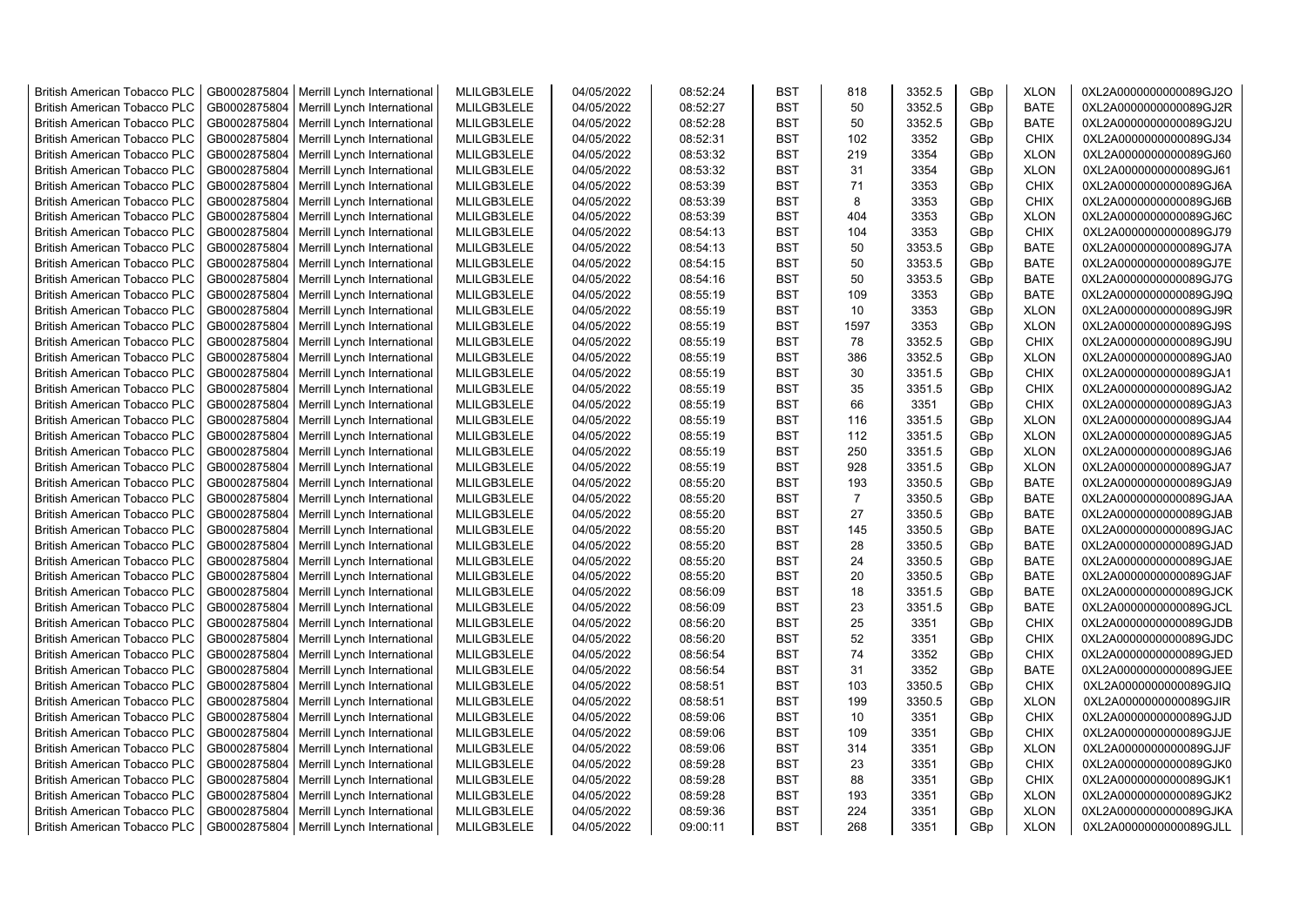| <b>British American Tobacco PLC</b> | GB0002875804 | Merrill Lynch International | MLILGB3LELE | 04/05/2022 | 08:52:24 | <b>BST</b> | 818            | 3352.5 | GBp | <b>XLON</b> | 0XL2A0000000000089GJ2O |
|-------------------------------------|--------------|-----------------------------|-------------|------------|----------|------------|----------------|--------|-----|-------------|------------------------|
| <b>British American Tobacco PLC</b> | GB0002875804 | Merrill Lynch International | MLILGB3LELE | 04/05/2022 | 08:52:27 | <b>BST</b> | 50             | 3352.5 | GBp | <b>BATE</b> | 0XL2A0000000000089GJ2R |
| <b>British American Tobacco PLC</b> | GB0002875804 | Merrill Lynch International | MLILGB3LELE | 04/05/2022 | 08:52:28 | <b>BST</b> | 50             | 3352.5 | GBp | <b>BATE</b> | 0XL2A0000000000089GJ2U |
| <b>British American Tobacco PLC</b> | GB0002875804 | Merrill Lynch International | MLILGB3LELE | 04/05/2022 | 08:52:31 | <b>BST</b> | 102            | 3352   | GBp | <b>CHIX</b> | 0XL2A0000000000089GJ34 |
| <b>British American Tobacco PLC</b> | GB0002875804 | Merrill Lynch International | MLILGB3LELE | 04/05/2022 | 08:53:32 | <b>BST</b> | 219            | 3354   | GBp | <b>XLON</b> | 0XL2A0000000000089GJ60 |
| <b>British American Tobacco PLC</b> | GB0002875804 | Merrill Lynch International | MLILGB3LELE | 04/05/2022 | 08:53:32 | <b>BST</b> | 31             | 3354   | GBp | <b>XLON</b> | 0XL2A0000000000089GJ61 |
| <b>British American Tobacco PLC</b> | GB0002875804 | Merrill Lynch International | MLILGB3LELE | 04/05/2022 | 08:53:39 | <b>BST</b> | 71             | 3353   | GBp | <b>CHIX</b> | 0XL2A0000000000089GJ6A |
| <b>British American Tobacco PLC</b> | GB0002875804 | Merrill Lynch International | MLILGB3LELE | 04/05/2022 | 08:53:39 | <b>BST</b> | 8              | 3353   | GBp | CHIX        | 0XL2A0000000000089GJ6B |
| <b>British American Tobacco PLC</b> | GB0002875804 | Merrill Lynch International | MLILGB3LELE | 04/05/2022 | 08:53:39 | <b>BST</b> | 404            | 3353   | GBp | <b>XLON</b> | 0XL2A0000000000089GJ6C |
| <b>British American Tobacco PLC</b> | GB0002875804 | Merrill Lynch International | MLILGB3LELE | 04/05/2022 | 08:54:13 | <b>BST</b> | 104            | 3353   | GBp | <b>CHIX</b> | 0XL2A0000000000089GJ79 |
| <b>British American Tobacco PLC</b> | GB0002875804 | Merrill Lynch International | MLILGB3LELE | 04/05/2022 | 08:54:13 | <b>BST</b> | 50             | 3353.5 | GBp | <b>BATE</b> | 0XL2A0000000000089GJ7A |
| <b>British American Tobacco PLC</b> | GB0002875804 | Merrill Lynch International | MLILGB3LELE | 04/05/2022 | 08:54:15 | <b>BST</b> | 50             | 3353.5 | GBp | <b>BATE</b> | 0XL2A0000000000089GJ7E |
| <b>British American Tobacco PLC</b> | GB0002875804 | Merrill Lynch International | MLILGB3LELE | 04/05/2022 | 08:54:16 | <b>BST</b> | 50             | 3353.5 | GBp | <b>BATE</b> | 0XL2A0000000000089GJ7G |
| <b>British American Tobacco PLC</b> | GB0002875804 | Merrill Lynch International | MLILGB3LELE | 04/05/2022 | 08:55:19 | <b>BST</b> | 109            | 3353   | GBp | <b>BATE</b> | 0XL2A0000000000089GJ9Q |
| <b>British American Tobacco PLC</b> | GB0002875804 | Merrill Lynch International | MLILGB3LELE | 04/05/2022 | 08:55:19 | <b>BST</b> | 10             | 3353   | GBp | <b>XLON</b> | 0XL2A0000000000089GJ9R |
| <b>British American Tobacco PLC</b> | GB0002875804 | Merrill Lynch International | MLILGB3LELE | 04/05/2022 | 08:55:19 | <b>BST</b> | 1597           | 3353   | GBp | <b>XLON</b> | 0XL2A0000000000089GJ9S |
| <b>British American Tobacco PLC</b> | GB0002875804 | Merrill Lynch International | MLILGB3LELE | 04/05/2022 | 08:55:19 | <b>BST</b> | 78             | 3352.5 | GBp | <b>CHIX</b> | 0XL2A0000000000089GJ9U |
| <b>British American Tobacco PLC</b> | GB0002875804 | Merrill Lynch International | MLILGB3LELE | 04/05/2022 | 08:55:19 | <b>BST</b> | 386            | 3352.5 | GBp | <b>XLON</b> | 0XL2A0000000000089GJA0 |
| <b>British American Tobacco PLC</b> | GB0002875804 | Merrill Lynch International | MLILGB3LELE | 04/05/2022 | 08:55:19 | <b>BST</b> | 30             | 3351.5 | GBp | <b>CHIX</b> | 0XL2A0000000000089GJA1 |
| <b>British American Tobacco PLC</b> | GB0002875804 | Merrill Lynch International | MLILGB3LELE | 04/05/2022 | 08:55:19 | <b>BST</b> | 35             | 3351.5 | GBp | <b>CHIX</b> | 0XL2A0000000000089GJA2 |
| <b>British American Tobacco PLC</b> | GB0002875804 | Merrill Lynch International | MLILGB3LELE | 04/05/2022 | 08:55:19 | <b>BST</b> | 66             | 3351   | GBp | <b>CHIX</b> | 0XL2A0000000000089GJA3 |
| <b>British American Tobacco PLC</b> | GB0002875804 | Merrill Lynch International | MLILGB3LELE | 04/05/2022 | 08:55:19 | <b>BST</b> | 116            | 3351.5 | GBp | <b>XLON</b> | 0XL2A0000000000089GJA4 |
| <b>British American Tobacco PLC</b> | GB0002875804 | Merrill Lynch International | MLILGB3LELE | 04/05/2022 | 08:55:19 | <b>BST</b> | 112            | 3351.5 | GBp | <b>XLON</b> | 0XL2A0000000000089GJA5 |
| <b>British American Tobacco PLC</b> | GB0002875804 | Merrill Lynch International | MLILGB3LELE | 04/05/2022 | 08:55:19 | BST        | 250            | 3351.5 | GBp | <b>XLON</b> | 0XL2A0000000000089GJA6 |
| <b>British American Tobacco PLC</b> | GB0002875804 | Merrill Lynch International | MLILGB3LELE | 04/05/2022 | 08:55:19 | <b>BST</b> | 928            | 3351.5 | GBp | <b>XLON</b> | 0XL2A0000000000089GJA7 |
| British American Tobacco PLC        | GB0002875804 | Merrill Lynch International | MLILGB3LELE | 04/05/2022 | 08:55:20 | <b>BST</b> | 193            | 3350.5 | GBp | <b>BATE</b> | 0XL2A0000000000089GJA9 |
| <b>British American Tobacco PLC</b> | GB0002875804 | Merrill Lynch International | MLILGB3LELE | 04/05/2022 | 08:55:20 | <b>BST</b> | $\overline{7}$ | 3350.5 | GBp | <b>BATE</b> | 0XL2A0000000000089GJAA |
| British American Tobacco PLC        | GB0002875804 | Merrill Lynch International | MLILGB3LELE | 04/05/2022 | 08:55:20 | <b>BST</b> | 27             | 3350.5 | GBp | <b>BATE</b> | 0XL2A0000000000089GJAB |
| <b>British American Tobacco PLC</b> | GB0002875804 | Merrill Lynch International | MLILGB3LELE | 04/05/2022 | 08:55:20 | <b>BST</b> | 145            | 3350.5 | GBp | <b>BATE</b> | 0XL2A0000000000089GJAC |
| <b>British American Tobacco PLC</b> | GB0002875804 | Merrill Lynch International | MLILGB3LELE | 04/05/2022 | 08:55:20 | <b>BST</b> | 28             | 3350.5 | GBp | <b>BATE</b> | 0XL2A0000000000089GJAD |
| <b>British American Tobacco PLC</b> | GB0002875804 | Merrill Lynch International | MLILGB3LELE | 04/05/2022 | 08:55:20 | <b>BST</b> | 24             | 3350.5 | GBp | <b>BATE</b> | 0XL2A0000000000089GJAE |
| <b>British American Tobacco PLC</b> | GB0002875804 | Merrill Lynch International | MLILGB3LELE | 04/05/2022 | 08:55:20 | <b>BST</b> | 20             | 3350.5 | GBp | <b>BATE</b> | 0XL2A0000000000089GJAF |
| <b>British American Tobacco PLC</b> | GB0002875804 | Merrill Lynch International | MLILGB3LELE | 04/05/2022 | 08:56:09 | <b>BST</b> | 18             | 3351.5 | GBp | BATE        | 0XL2A0000000000089GJCK |
| <b>British American Tobacco PLC</b> | GB0002875804 | Merrill Lynch International | MLILGB3LELE | 04/05/2022 | 08:56:09 | <b>BST</b> | 23             | 3351.5 | GBp | <b>BATE</b> | 0XL2A0000000000089GJCL |
| <b>British American Tobacco PLC</b> | GB0002875804 | Merrill Lynch International | MLILGB3LELE | 04/05/2022 | 08:56:20 | <b>BST</b> | 25             | 3351   | GBp | <b>CHIX</b> | 0XL2A0000000000089GJDB |
| <b>British American Tobacco PLC</b> | GB0002875804 | Merrill Lynch International | MLILGB3LELE | 04/05/2022 | 08:56:20 | <b>BST</b> | 52             | 3351   | GBp | <b>CHIX</b> | 0XL2A0000000000089GJDC |
| <b>British American Tobacco PLC</b> | GB0002875804 | Merrill Lynch International | MLILGB3LELE | 04/05/2022 | 08:56:54 | <b>BST</b> | 74             | 3352   | GBp | <b>CHIX</b> | 0XL2A0000000000089GJED |
| <b>British American Tobacco PLC</b> | GB0002875804 | Merrill Lynch International | MLILGB3LELE | 04/05/2022 | 08:56:54 | <b>BST</b> | 31             | 3352   | GBp | <b>BATE</b> | 0XL2A0000000000089GJEE |
| <b>British American Tobacco PLC</b> | GB0002875804 | Merrill Lynch International | MLILGB3LELE | 04/05/2022 | 08:58:51 | <b>BST</b> | 103            | 3350.5 | GBp | <b>CHIX</b> | 0XL2A0000000000089GJIQ |
| <b>British American Tobacco PLC</b> | GB0002875804 | Merrill Lynch International | MLILGB3LELE | 04/05/2022 | 08:58:51 | <b>BST</b> | 199            | 3350.5 | GBp | <b>XLON</b> | 0XL2A0000000000089GJIR |
| <b>British American Tobacco PLC</b> | GB0002875804 | Merrill Lynch International | MLILGB3LELE | 04/05/2022 | 08:59:06 | <b>BST</b> | 10             | 3351   | GBp | <b>CHIX</b> | 0XL2A0000000000089GJJD |
| <b>British American Tobacco PLC</b> | GB0002875804 | Merrill Lynch International | MLILGB3LELE | 04/05/2022 | 08:59:06 | <b>BST</b> | 109            | 3351   | GBp | <b>CHIX</b> | 0XL2A0000000000089GJJE |
| <b>British American Tobacco PLC</b> | GB0002875804 | Merrill Lynch International | MLILGB3LELE | 04/05/2022 | 08:59:06 | <b>BST</b> | 314            | 3351   | GBp | <b>XLON</b> | 0XL2A0000000000089GJJF |
| <b>British American Tobacco PLC</b> | GB0002875804 | Merrill Lynch International | MLILGB3LELE | 04/05/2022 | 08:59:28 | <b>BST</b> | 23             | 3351   | GBp | <b>CHIX</b> | 0XL2A0000000000089GJK0 |
| <b>British American Tobacco PLC</b> | GB0002875804 | Merrill Lynch International | MLILGB3LELE | 04/05/2022 | 08:59:28 | <b>BST</b> | 88             | 3351   | GBp | <b>CHIX</b> | 0XL2A0000000000089GJK1 |
| <b>British American Tobacco PLC</b> | GB0002875804 | Merrill Lynch International | MLILGB3LELE | 04/05/2022 | 08:59:28 | <b>BST</b> | 193            | 3351   | GBp | <b>XLON</b> | 0XL2A0000000000089GJK2 |
| <b>British American Tobacco PLC</b> | GB0002875804 | Merrill Lynch International | MLILGB3LELE | 04/05/2022 | 08:59:36 | <b>BST</b> | 224            | 3351   | GBp | <b>XLON</b> | 0XL2A0000000000089GJKA |
| <b>British American Tobacco PLC</b> | GB0002875804 | Merrill Lynch International | MLILGB3LELE | 04/05/2022 | 09:00:11 | <b>BST</b> | 268            | 3351   | GBp | <b>XLON</b> | 0XL2A0000000000089GJLL |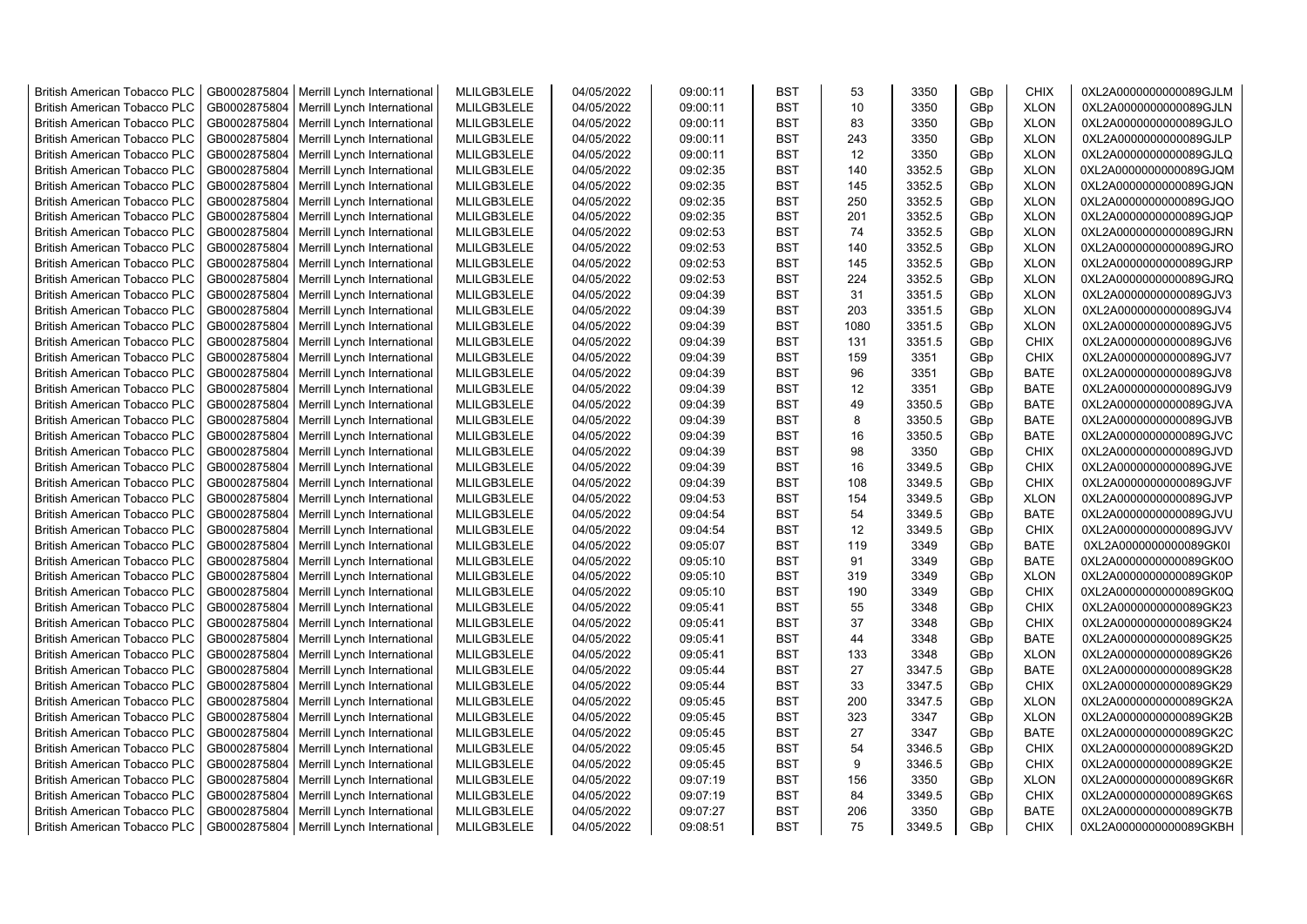| <b>British American Tobacco PLC</b> | GB0002875804 | Merrill Lynch International | MLILGB3LELE | 04/05/2022 | 09:00:11 | <b>BST</b> | 53   | 3350   | GBp | <b>CHIX</b> | 0XL2A0000000000089GJLM |
|-------------------------------------|--------------|-----------------------------|-------------|------------|----------|------------|------|--------|-----|-------------|------------------------|
| <b>British American Tobacco PLC</b> | GB0002875804 | Merrill Lynch International | MLILGB3LELE | 04/05/2022 | 09:00:11 | <b>BST</b> | 10   | 3350   | GBp | <b>XLON</b> | 0XL2A0000000000089GJLN |
| <b>British American Tobacco PLC</b> | GB0002875804 | Merrill Lynch International | MLILGB3LELE | 04/05/2022 | 09:00:11 | <b>BST</b> | 83   | 3350   | GBp | <b>XLON</b> | 0XL2A0000000000089GJLO |
| <b>British American Tobacco PLC</b> | GB0002875804 | Merrill Lynch International | MLILGB3LELE | 04/05/2022 | 09:00:11 | <b>BST</b> | 243  | 3350   | GBp | <b>XLON</b> | 0XL2A0000000000089GJLP |
| <b>British American Tobacco PLC</b> | GB0002875804 | Merrill Lynch International | MLILGB3LELE | 04/05/2022 | 09:00:11 | <b>BST</b> | 12   | 3350   | GBp | <b>XLON</b> | 0XL2A0000000000089GJLQ |
| <b>British American Tobacco PLC</b> | GB0002875804 | Merrill Lynch International | MLILGB3LELE | 04/05/2022 | 09:02:35 | <b>BST</b> | 140  | 3352.5 | GBp | <b>XLON</b> | 0XL2A0000000000089GJQM |
| <b>British American Tobacco PLC</b> | GB0002875804 | Merrill Lynch International | MLILGB3LELE | 04/05/2022 | 09:02:35 | <b>BST</b> | 145  | 3352.5 | GBp | <b>XLON</b> | 0XL2A0000000000089GJQN |
| <b>British American Tobacco PLC</b> | GB0002875804 | Merrill Lynch International | MLILGB3LELE | 04/05/2022 | 09:02:35 | <b>BST</b> | 250  | 3352.5 | GBp | <b>XLON</b> | 0XL2A0000000000089GJQO |
| <b>British American Tobacco PLC</b> | GB0002875804 | Merrill Lynch International | MLILGB3LELE | 04/05/2022 | 09:02:35 | <b>BST</b> | 201  | 3352.5 | GBp | <b>XLON</b> | 0XL2A0000000000089GJQP |
| <b>British American Tobacco PLC</b> | GB0002875804 | Merrill Lynch International | MLILGB3LELE | 04/05/2022 | 09:02:53 | <b>BST</b> | 74   | 3352.5 | GBp | <b>XLON</b> | 0XL2A0000000000089GJRN |
| <b>British American Tobacco PLC</b> | GB0002875804 | Merrill Lynch International | MLILGB3LELE | 04/05/2022 | 09:02:53 | <b>BST</b> | 140  | 3352.5 | GBp | <b>XLON</b> | 0XL2A0000000000089GJRO |
| <b>British American Tobacco PLC</b> | GB0002875804 | Merrill Lynch International | MLILGB3LELE | 04/05/2022 | 09:02:53 | <b>BST</b> | 145  | 3352.5 | GBp | <b>XLON</b> | 0XL2A0000000000089GJRP |
| <b>British American Tobacco PLC</b> | GB0002875804 | Merrill Lynch International | MLILGB3LELE | 04/05/2022 | 09:02:53 | <b>BST</b> | 224  | 3352.5 | GBp | <b>XLON</b> | 0XL2A0000000000089GJRQ |
| <b>British American Tobacco PLC</b> | GB0002875804 | Merrill Lynch International | MLILGB3LELE | 04/05/2022 | 09:04:39 | <b>BST</b> | 31   | 3351.5 | GBp | <b>XLON</b> | 0XL2A0000000000089GJV3 |
| <b>British American Tobacco PLC</b> | GB0002875804 | Merrill Lynch International | MLILGB3LELE | 04/05/2022 | 09:04:39 | <b>BST</b> | 203  | 3351.5 | GBp | <b>XLON</b> | 0XL2A0000000000089GJV4 |
| <b>British American Tobacco PLC</b> | GB0002875804 | Merrill Lynch International | MLILGB3LELE | 04/05/2022 | 09:04:39 | <b>BST</b> | 1080 | 3351.5 | GBp | <b>XLON</b> | 0XL2A0000000000089GJV5 |
| <b>British American Tobacco PLC</b> | GB0002875804 | Merrill Lynch International | MLILGB3LELE | 04/05/2022 | 09:04:39 | <b>BST</b> | 131  | 3351.5 | GBp | <b>CHIX</b> | 0XL2A0000000000089GJV6 |
| <b>British American Tobacco PLC</b> | GB0002875804 | Merrill Lynch International | MLILGB3LELE | 04/05/2022 | 09:04:39 | <b>BST</b> | 159  | 3351   | GBp | <b>CHIX</b> | 0XL2A0000000000089GJV7 |
| <b>British American Tobacco PLC</b> | GB0002875804 | Merrill Lynch International | MLILGB3LELE | 04/05/2022 | 09:04:39 | <b>BST</b> | 96   | 3351   | GBp | <b>BATE</b> | 0XL2A0000000000089GJV8 |
| <b>British American Tobacco PLC</b> | GB0002875804 | Merrill Lynch International | MLILGB3LELE | 04/05/2022 | 09:04:39 | <b>BST</b> | 12   | 3351   | GBp | <b>BATE</b> | 0XL2A0000000000089GJV9 |
| <b>British American Tobacco PLC</b> | GB0002875804 | Merrill Lynch International | MLILGB3LELE | 04/05/2022 | 09:04:39 | <b>BST</b> | 49   | 3350.5 | GBp | <b>BATE</b> | 0XL2A0000000000089GJVA |
| <b>British American Tobacco PLC</b> | GB0002875804 | Merrill Lynch International | MLILGB3LELE | 04/05/2022 | 09:04:39 | <b>BST</b> | 8    | 3350.5 | GBp | <b>BATE</b> | 0XL2A0000000000089GJVB |
| <b>British American Tobacco PLC</b> | GB0002875804 | Merrill Lynch International | MLILGB3LELE | 04/05/2022 | 09:04:39 | <b>BST</b> | 16   | 3350.5 | GBp | <b>BATE</b> | 0XL2A0000000000089GJVC |
| <b>British American Tobacco PLC</b> | GB0002875804 | Merrill Lynch International | MLILGB3LELE | 04/05/2022 | 09:04:39 | BST        | 98   | 3350   | GBp | <b>CHIX</b> | 0XL2A0000000000089GJVD |
| <b>British American Tobacco PLC</b> | GB0002875804 | Merrill Lynch International | MLILGB3LELE | 04/05/2022 | 09:04:39 | <b>BST</b> | 16   | 3349.5 | GBp | <b>CHIX</b> | 0XL2A0000000000089GJVE |
| <b>British American Tobacco PLC</b> | GB0002875804 | Merrill Lynch International | MLILGB3LELE | 04/05/2022 | 09:04:39 | <b>BST</b> | 108  | 3349.5 | GBp | <b>CHIX</b> | 0XL2A0000000000089GJVF |
| <b>British American Tobacco PLC</b> | GB0002875804 | Merrill Lynch International | MLILGB3LELE | 04/05/2022 | 09:04:53 | <b>BST</b> | 154  | 3349.5 | GBp | <b>XLON</b> | 0XL2A0000000000089GJVP |
| British American Tobacco PLC        | GB0002875804 | Merrill Lynch International | MLILGB3LELE | 04/05/2022 | 09:04:54 | <b>BST</b> | 54   | 3349.5 | GBp | <b>BATE</b> | 0XL2A0000000000089GJVU |
| <b>British American Tobacco PLC</b> | GB0002875804 | Merrill Lynch International | MLILGB3LELE | 04/05/2022 | 09:04:54 | <b>BST</b> | 12   | 3349.5 | GBp | <b>CHIX</b> | 0XL2A0000000000089GJVV |
| <b>British American Tobacco PLC</b> | GB0002875804 | Merrill Lynch International | MLILGB3LELE | 04/05/2022 | 09:05:07 | <b>BST</b> | 119  | 3349   | GBp | <b>BATE</b> | 0XL2A0000000000089GK0I |
| <b>British American Tobacco PLC</b> | GB0002875804 | Merrill Lynch International | MLILGB3LELE | 04/05/2022 | 09:05:10 | <b>BST</b> | 91   | 3349   | GBp | <b>BATE</b> | 0XL2A0000000000089GK0O |
| <b>British American Tobacco PLC</b> | GB0002875804 | Merrill Lynch International | MLILGB3LELE | 04/05/2022 | 09:05:10 | <b>BST</b> | 319  | 3349   | GBp | <b>XLON</b> | 0XL2A0000000000089GK0P |
| <b>British American Tobacco PLC</b> | GB0002875804 | Merrill Lynch International | MLILGB3LELE | 04/05/2022 | 09:05:10 | <b>BST</b> | 190  | 3349   | GBp | <b>CHIX</b> | 0XL2A0000000000089GK0Q |
| <b>British American Tobacco PLC</b> | GB0002875804 | Merrill Lynch International | MLILGB3LELE | 04/05/2022 | 09:05:41 | <b>BST</b> | 55   | 3348   | GBp | <b>CHIX</b> | 0XL2A0000000000089GK23 |
| <b>British American Tobacco PLC</b> | GB0002875804 | Merrill Lynch International | MLILGB3LELE | 04/05/2022 | 09:05:41 | <b>BST</b> | 37   | 3348   | GBp | <b>CHIX</b> | 0XL2A0000000000089GK24 |
| <b>British American Tobacco PLC</b> | GB0002875804 | Merrill Lynch International | MLILGB3LELE | 04/05/2022 | 09:05:41 | <b>BST</b> | 44   | 3348   | GBp | <b>BATE</b> | 0XL2A0000000000089GK25 |
| <b>British American Tobacco PLC</b> | GB0002875804 | Merrill Lynch International | MLILGB3LELE | 04/05/2022 | 09:05:41 | <b>BST</b> | 133  | 3348   | GBp | <b>XLON</b> | 0XL2A0000000000089GK26 |
| <b>British American Tobacco PLC</b> | GB0002875804 | Merrill Lynch International | MLILGB3LELE | 04/05/2022 | 09:05:44 | <b>BST</b> | 27   | 3347.5 | GBp | <b>BATE</b> | 0XL2A0000000000089GK28 |
| <b>British American Tobacco PLC</b> | GB0002875804 | Merrill Lynch International | MLILGB3LELE | 04/05/2022 | 09:05:44 | <b>BST</b> | 33   | 3347.5 | GBp | <b>CHIX</b> | 0XL2A0000000000089GK29 |
| <b>British American Tobacco PLC</b> | GB0002875804 | Merrill Lynch International | MLILGB3LELE | 04/05/2022 | 09:05:45 | <b>BST</b> | 200  | 3347.5 | GBp | <b>XLON</b> | 0XL2A0000000000089GK2A |
| <b>British American Tobacco PLC</b> | GB0002875804 | Merrill Lynch International | MLILGB3LELE | 04/05/2022 | 09:05:45 | <b>BST</b> | 323  | 3347   | GBp | <b>XLON</b> | 0XL2A0000000000089GK2B |
| <b>British American Tobacco PLC</b> | GB0002875804 | Merrill Lynch International | MLILGB3LELE | 04/05/2022 | 09:05:45 | <b>BST</b> | 27   | 3347   | GBp | <b>BATE</b> | 0XL2A0000000000089GK2C |
| <b>British American Tobacco PLC</b> | GB0002875804 | Merrill Lynch International | MLILGB3LELE | 04/05/2022 | 09:05:45 | <b>BST</b> | 54   | 3346.5 | GBp | <b>CHIX</b> | 0XL2A0000000000089GK2D |
| British American Tobacco PLC        | GB0002875804 | Merrill Lynch International | MLILGB3LELE | 04/05/2022 | 09:05:45 | <b>BST</b> | 9    | 3346.5 | GBp | <b>CHIX</b> | 0XL2A0000000000089GK2E |
| <b>British American Tobacco PLC</b> | GB0002875804 | Merrill Lynch International | MLILGB3LELE | 04/05/2022 | 09:07:19 | <b>BST</b> | 156  | 3350   | GBp | <b>XLON</b> | 0XL2A0000000000089GK6R |
| <b>British American Tobacco PLC</b> | GB0002875804 | Merrill Lynch International | MLILGB3LELE | 04/05/2022 | 09:07:19 | <b>BST</b> | 84   | 3349.5 | GBp | <b>CHIX</b> | 0XL2A0000000000089GK6S |
| <b>British American Tobacco PLC</b> | GB0002875804 | Merrill Lynch International | MLILGB3LELE | 04/05/2022 | 09:07:27 | <b>BST</b> | 206  | 3350   | GBp | <b>BATE</b> | 0XL2A0000000000089GK7B |
| <b>British American Tobacco PLC</b> | GB0002875804 | Merrill Lynch International | MLILGB3LELE | 04/05/2022 | 09:08:51 | <b>BST</b> | 75   | 3349.5 | GBp | <b>CHIX</b> | 0XL2A0000000000089GKBH |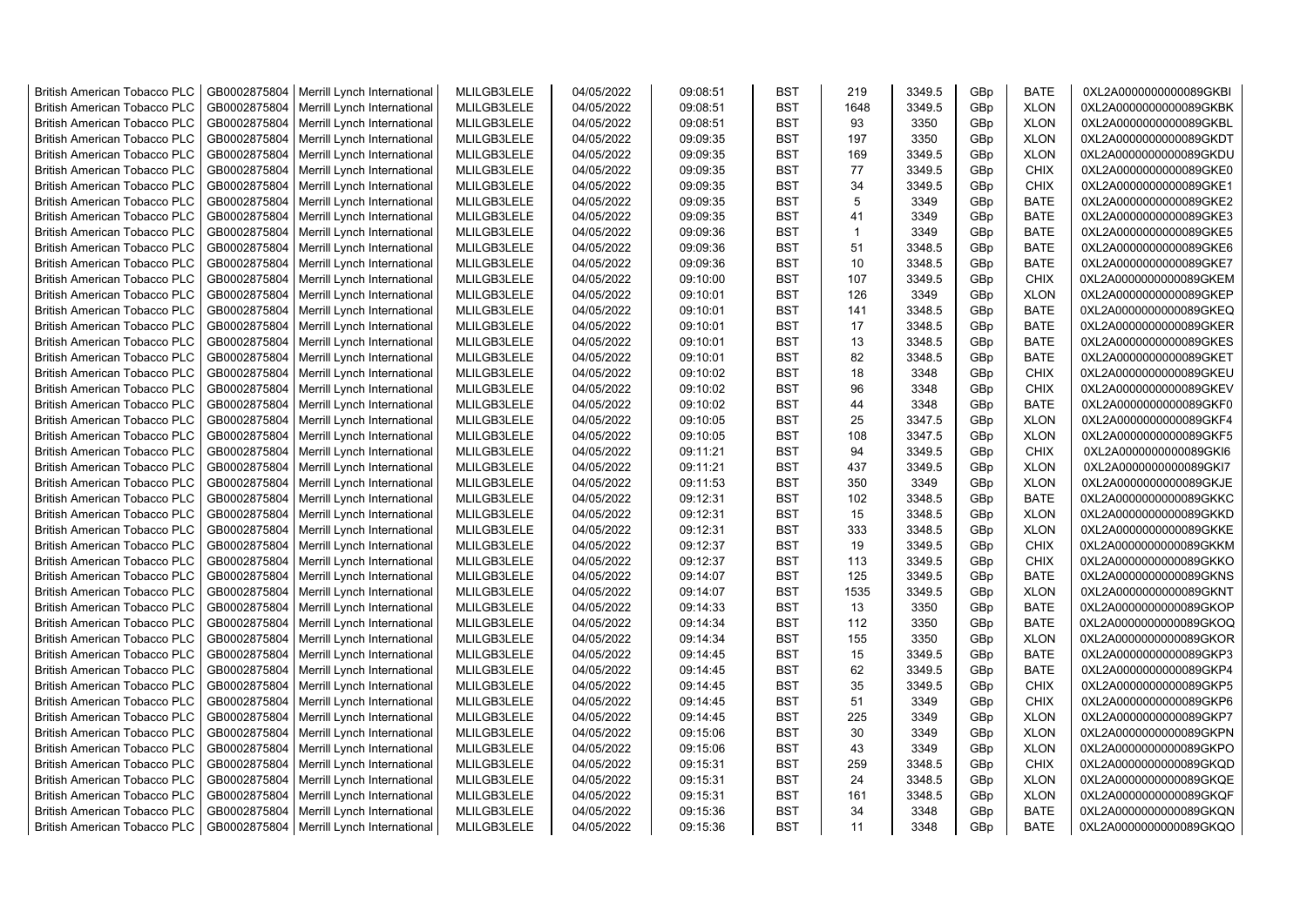| <b>British American Tobacco PLC</b> | GB0002875804 | Merrill Lynch International | MLILGB3LELE | 04/05/2022 | 09:08:51 | <b>BST</b> | 219          | 3349.5 | GBp             | <b>BATE</b> | 0XL2A0000000000089GKBI |
|-------------------------------------|--------------|-----------------------------|-------------|------------|----------|------------|--------------|--------|-----------------|-------------|------------------------|
| <b>British American Tobacco PLC</b> | GB0002875804 | Merrill Lynch International | MLILGB3LELE | 04/05/2022 | 09:08:51 | <b>BST</b> | 1648         | 3349.5 | GBp             | <b>XLON</b> | 0XL2A0000000000089GKBK |
| <b>British American Tobacco PLC</b> | GB0002875804 | Merrill Lynch International | MLILGB3LELE | 04/05/2022 | 09:08:51 | <b>BST</b> | 93           | 3350   | GBp             | <b>XLON</b> | 0XL2A0000000000089GKBL |
| <b>British American Tobacco PLC</b> | GB0002875804 | Merrill Lynch International | MLILGB3LELE | 04/05/2022 | 09:09:35 | <b>BST</b> | 197          | 3350   | GBp             | <b>XLON</b> | 0XL2A0000000000089GKDT |
| <b>British American Tobacco PLC</b> | GB0002875804 | Merrill Lynch International | MLILGB3LELE | 04/05/2022 | 09:09:35 | <b>BST</b> | 169          | 3349.5 | GBp             | <b>XLON</b> | 0XL2A0000000000089GKDU |
| <b>British American Tobacco PLC</b> | GB0002875804 | Merrill Lynch International | MLILGB3LELE | 04/05/2022 | 09:09:35 | <b>BST</b> | 77           | 3349.5 | GBp             | <b>CHIX</b> | 0XL2A0000000000089GKE0 |
| <b>British American Tobacco PLC</b> | GB0002875804 | Merrill Lynch International | MLILGB3LELE | 04/05/2022 | 09:09:35 | <b>BST</b> | 34           | 3349.5 | GBp             | <b>CHIX</b> | 0XL2A0000000000089GKE1 |
| <b>British American Tobacco PLC</b> | GB0002875804 | Merrill Lynch International | MLILGB3LELE | 04/05/2022 | 09:09:35 | <b>BST</b> | 5            | 3349   | GBp             | <b>BATE</b> | 0XL2A0000000000089GKE2 |
| <b>British American Tobacco PLC</b> | GB0002875804 | Merrill Lynch International | MLILGB3LELE | 04/05/2022 | 09:09:35 | <b>BST</b> | 41           | 3349   | GBp             | <b>BATE</b> | 0XL2A0000000000089GKE3 |
| British American Tobacco PLC        | GB0002875804 | Merrill Lynch International | MLILGB3LELE | 04/05/2022 | 09:09:36 | <b>BST</b> | $\mathbf{1}$ | 3349   | GBp             | <b>BATE</b> | 0XL2A0000000000089GKE5 |
| <b>British American Tobacco PLC</b> | GB0002875804 | Merrill Lynch International | MLILGB3LELE | 04/05/2022 | 09:09:36 | <b>BST</b> | 51           | 3348.5 | GBp             | <b>BATE</b> | 0XL2A0000000000089GKE6 |
| <b>British American Tobacco PLC</b> | GB0002875804 | Merrill Lynch International | MLILGB3LELE | 04/05/2022 | 09:09:36 | <b>BST</b> | 10           | 3348.5 | GBp             | <b>BATE</b> | 0XL2A0000000000089GKE7 |
| <b>British American Tobacco PLC</b> | GB0002875804 | Merrill Lynch International | MLILGB3LELE | 04/05/2022 | 09:10:00 | <b>BST</b> | 107          | 3349.5 | GBp             | <b>CHIX</b> | 0XL2A0000000000089GKEM |
| <b>British American Tobacco PLC</b> | GB0002875804 | Merrill Lynch International | MLILGB3LELE | 04/05/2022 | 09:10:01 | <b>BST</b> | 126          | 3349   | GBp             | <b>XLON</b> | 0XL2A0000000000089GKEP |
| British American Tobacco PLC        | GB0002875804 | Merrill Lynch International | MLILGB3LELE | 04/05/2022 | 09:10:01 | <b>BST</b> | 141          | 3348.5 | GBp             | <b>BATE</b> | 0XL2A0000000000089GKEQ |
| <b>British American Tobacco PLC</b> | GB0002875804 | Merrill Lynch International | MLILGB3LELE | 04/05/2022 | 09:10:01 | <b>BST</b> | 17           | 3348.5 | GBp             | <b>BATE</b> | 0XL2A0000000000089GKER |
| <b>British American Tobacco PLC</b> | GB0002875804 | Merrill Lynch International | MLILGB3LELE | 04/05/2022 | 09:10:01 | <b>BST</b> | 13           | 3348.5 | GBp             | <b>BATE</b> | 0XL2A0000000000089GKES |
| <b>British American Tobacco PLC</b> | GB0002875804 | Merrill Lynch International | MLILGB3LELE | 04/05/2022 | 09:10:01 | <b>BST</b> | 82           | 3348.5 | GBp             | <b>BATE</b> | 0XL2A0000000000089GKET |
| <b>British American Tobacco PLC</b> | GB0002875804 | Merrill Lynch International | MLILGB3LELE | 04/05/2022 | 09:10:02 | <b>BST</b> | 18           | 3348   | GBp             | <b>CHIX</b> | 0XL2A0000000000089GKEU |
| <b>British American Tobacco PLC</b> | GB0002875804 | Merrill Lynch International | MLILGB3LELE | 04/05/2022 | 09:10:02 | <b>BST</b> | 96           | 3348   | GBp             | <b>CHIX</b> | 0XL2A0000000000089GKEV |
| British American Tobacco PLC        | GB0002875804 | Merrill Lynch International | MLILGB3LELE | 04/05/2022 | 09:10:02 | <b>BST</b> | 44           | 3348   | GBp             | <b>BATE</b> | 0XL2A0000000000089GKF0 |
| <b>British American Tobacco PLC</b> | GB0002875804 | Merrill Lynch International | MLILGB3LELE | 04/05/2022 | 09:10:05 | <b>BST</b> | 25           | 3347.5 | GB <sub>p</sub> | <b>XLON</b> | 0XL2A0000000000089GKF4 |
| <b>British American Tobacco PLC</b> | GB0002875804 | Merrill Lynch International | MLILGB3LELE | 04/05/2022 | 09:10:05 | <b>BST</b> | 108          | 3347.5 | GBp             | <b>XLON</b> | 0XL2A0000000000089GKF5 |
| <b>British American Tobacco PLC</b> | GB0002875804 | Merrill Lynch International | MLILGB3LELE | 04/05/2022 | 09:11:21 | <b>BST</b> | 94           | 3349.5 | GBp             | <b>CHIX</b> | 0XL2A0000000000089GKI6 |
| <b>British American Tobacco PLC</b> | GB0002875804 | Merrill Lynch International | MLILGB3LELE | 04/05/2022 | 09:11:21 | <b>BST</b> | 437          | 3349.5 | GBp             | <b>XLON</b> | 0XL2A0000000000089GKI7 |
| <b>British American Tobacco PLC</b> | GB0002875804 | Merrill Lynch International | MLILGB3LELE | 04/05/2022 | 09:11:53 | <b>BST</b> | 350          | 3349   | GBp             | <b>XLON</b> | 0XL2A0000000000089GKJE |
| <b>British American Tobacco PLC</b> | GB0002875804 | Merrill Lynch International | MLILGB3LELE | 04/05/2022 | 09:12:31 | <b>BST</b> | 102          | 3348.5 | GBp             | <b>BATE</b> | 0XL2A0000000000089GKKC |
| British American Tobacco PLC        | GB0002875804 | Merrill Lynch International | MLILGB3LELE | 04/05/2022 | 09:12:31 | <b>BST</b> | 15           | 3348.5 | GBp             | <b>XLON</b> | 0XL2A0000000000089GKKD |
| <b>British American Tobacco PLC</b> | GB0002875804 | Merrill Lynch International | MLILGB3LELE | 04/05/2022 | 09:12:31 | <b>BST</b> | 333          | 3348.5 | GBp             | <b>XLON</b> | 0XL2A0000000000089GKKE |
| <b>British American Tobacco PLC</b> | GB0002875804 | Merrill Lynch International | MLILGB3LELE | 04/05/2022 | 09:12:37 | <b>BST</b> | 19           | 3349.5 | GBp             | <b>CHIX</b> | 0XL2A0000000000089GKKM |
| <b>British American Tobacco PLC</b> | GB0002875804 | Merrill Lynch International | MLILGB3LELE | 04/05/2022 | 09:12:37 | <b>BST</b> | 113          | 3349.5 | GBp             | <b>CHIX</b> | 0XL2A0000000000089GKKO |
| <b>British American Tobacco PLC</b> | GB0002875804 | Merrill Lynch International | MLILGB3LELE | 04/05/2022 | 09:14:07 | <b>BST</b> | 125          | 3349.5 | GBp             | <b>BATE</b> | 0XL2A0000000000089GKNS |
| <b>British American Tobacco PLC</b> | GB0002875804 | Merrill Lynch International | MLILGB3LELE | 04/05/2022 | 09:14:07 | <b>BST</b> | 1535         | 3349.5 | GBp             | <b>XLON</b> | 0XL2A0000000000089GKNT |
| British American Tobacco PLC        | GB0002875804 | Merrill Lynch International | MLILGB3LELE | 04/05/2022 | 09:14:33 | <b>BST</b> | 13           | 3350   | GBp             | <b>BATE</b> | 0XL2A0000000000089GKOP |
| <b>British American Tobacco PLC</b> | GB0002875804 | Merrill Lynch International | MLILGB3LELE | 04/05/2022 | 09:14:34 | <b>BST</b> | 112          | 3350   | GBp             | <b>BATE</b> | 0XL2A0000000000089GKOQ |
| <b>British American Tobacco PLC</b> | GB0002875804 | Merrill Lynch International | MLILGB3LELE | 04/05/2022 | 09:14:34 | <b>BST</b> | 155          | 3350   | GBp             | <b>XLON</b> | 0XL2A0000000000089GKOR |
| <b>British American Tobacco PLC</b> | GB0002875804 | Merrill Lynch International | MLILGB3LELE | 04/05/2022 | 09:14:45 | <b>BST</b> | 15           | 3349.5 | GBp             | <b>BATE</b> | 0XL2A0000000000089GKP3 |
| <b>British American Tobacco PLC</b> | GB0002875804 | Merrill Lynch International | MLILGB3LELE | 04/05/2022 | 09:14:45 | <b>BST</b> | 62           | 3349.5 | GBp             | <b>BATE</b> | 0XL2A0000000000089GKP4 |
| <b>British American Tobacco PLC</b> | GB0002875804 | Merrill Lynch International | MLILGB3LELE | 04/05/2022 | 09:14:45 | <b>BST</b> | 35           | 3349.5 | GBp             | <b>CHIX</b> | 0XL2A0000000000089GKP5 |
| <b>British American Tobacco PLC</b> | GB0002875804 | Merrill Lynch International | MLILGB3LELE | 04/05/2022 | 09:14:45 | <b>BST</b> | 51           | 3349   | GBp             | <b>CHIX</b> | 0XL2A0000000000089GKP6 |
| <b>British American Tobacco PLC</b> | GB0002875804 | Merrill Lynch International | MLILGB3LELE | 04/05/2022 | 09:14:45 | <b>BST</b> | 225          | 3349   | GBp             | <b>XLON</b> | 0XL2A0000000000089GKP7 |
| <b>British American Tobacco PLC</b> | GB0002875804 | Merrill Lynch International | MLILGB3LELE | 04/05/2022 | 09:15:06 | <b>BST</b> | 30           | 3349   | GBp             | <b>XLON</b> | 0XL2A0000000000089GKPN |
| <b>British American Tobacco PLC</b> | GB0002875804 | Merrill Lynch International | MLILGB3LELE | 04/05/2022 | 09:15:06 | <b>BST</b> | 43           | 3349   | GBp             | <b>XLON</b> | 0XL2A0000000000089GKPO |
| British American Tobacco PLC        | GB0002875804 | Merrill Lynch International | MLILGB3LELE | 04/05/2022 | 09:15:31 | <b>BST</b> | 259          | 3348.5 | GBp             | <b>CHIX</b> | 0XL2A0000000000089GKQD |
| British American Tobacco PLC        | GB0002875804 | Merrill Lynch International | MLILGB3LELE | 04/05/2022 | 09:15:31 | <b>BST</b> | 24           | 3348.5 | GBp             | <b>XLON</b> | 0XL2A0000000000089GKQE |
| <b>British American Tobacco PLC</b> | GB0002875804 | Merrill Lynch International | MLILGB3LELE | 04/05/2022 | 09:15:31 | <b>BST</b> | 161          | 3348.5 | GBp             | <b>XLON</b> | 0XL2A0000000000089GKQF |
| <b>British American Tobacco PLC</b> | GB0002875804 | Merrill Lynch International | MLILGB3LELE | 04/05/2022 | 09:15:36 | <b>BST</b> | 34           | 3348   | GBp             | <b>BATE</b> | 0XL2A0000000000089GKQN |
| <b>British American Tobacco PLC</b> | GB0002875804 | Merrill Lynch International | MLILGB3LELE | 04/05/2022 | 09:15:36 | <b>BST</b> | 11           | 3348   | GB <sub>p</sub> | <b>BATE</b> | 0XL2A0000000000089GKQO |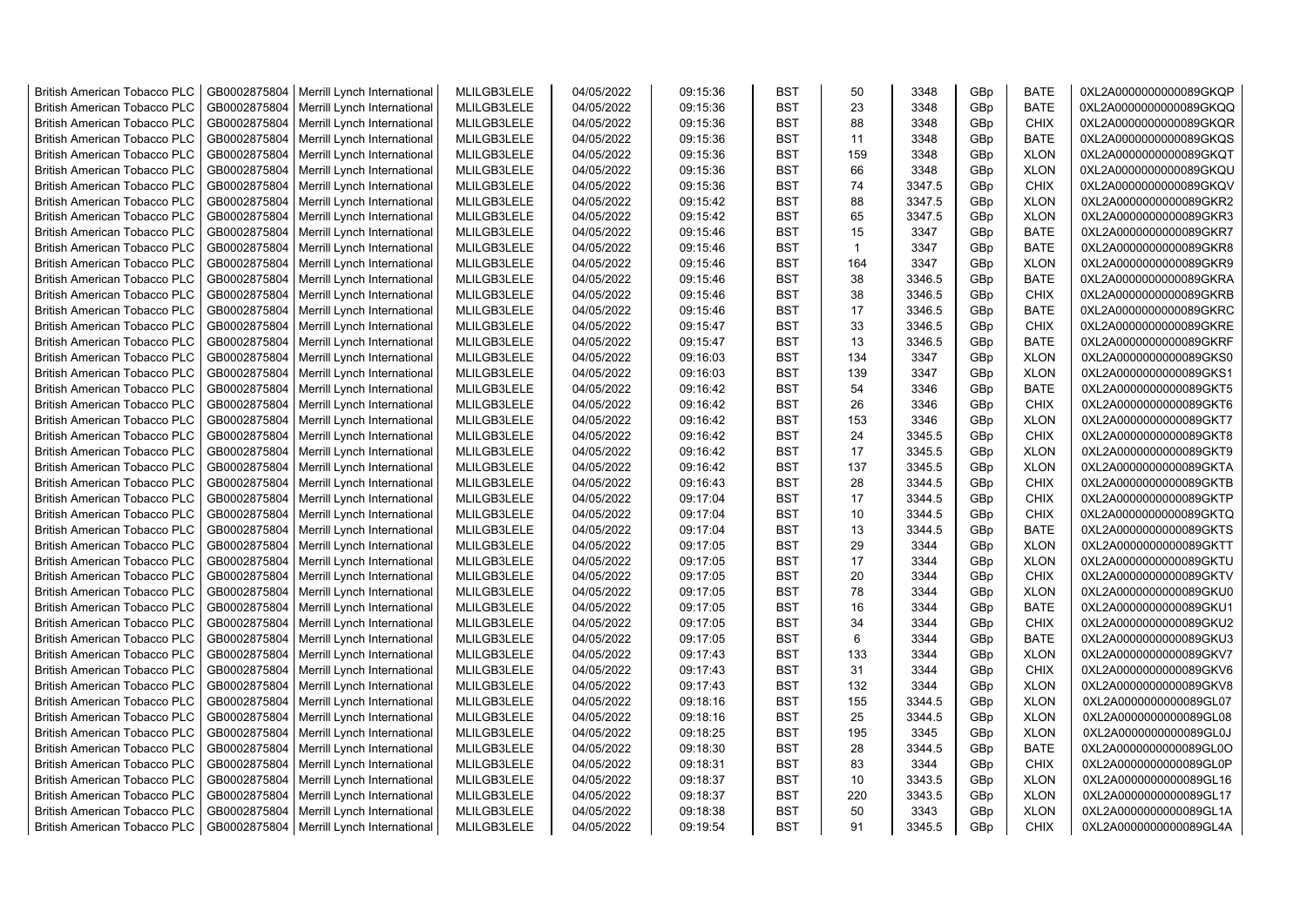| <b>British American Tobacco PLC</b> | GB0002875804 | Merrill Lynch International | MLILGB3LELE | 04/05/2022 | 09:15:36 | <b>BST</b> | 50  | 3348   | GBp             | <b>BATE</b> | 0XL2A0000000000089GKQP |
|-------------------------------------|--------------|-----------------------------|-------------|------------|----------|------------|-----|--------|-----------------|-------------|------------------------|
| <b>British American Tobacco PLC</b> | GB0002875804 | Merrill Lynch International | MLILGB3LELE | 04/05/2022 | 09:15:36 | <b>BST</b> | 23  | 3348   | GBp             | <b>BATE</b> | 0XL2A0000000000089GKQQ |
| <b>British American Tobacco PLC</b> | GB0002875804 | Merrill Lynch International | MLILGB3LELE | 04/05/2022 | 09:15:36 | <b>BST</b> | 88  | 3348   | GBp             | <b>CHIX</b> | 0XL2A0000000000089GKQR |
| <b>British American Tobacco PLC</b> | GB0002875804 | Merrill Lynch International | MLILGB3LELE | 04/05/2022 | 09:15:36 | <b>BST</b> | 11  | 3348   | GBp             | <b>BATE</b> | 0XL2A0000000000089GKQS |
| <b>British American Tobacco PLC</b> | GB0002875804 | Merrill Lynch International | MLILGB3LELE | 04/05/2022 | 09:15:36 | <b>BST</b> | 159 | 3348   | GBp             | <b>XLON</b> | 0XL2A0000000000089GKQT |
| <b>British American Tobacco PLC</b> | GB0002875804 | Merrill Lynch International | MLILGB3LELE | 04/05/2022 | 09:15:36 | <b>BST</b> | 66  | 3348   | GBp             | <b>XLON</b> | 0XL2A0000000000089GKQU |
| British American Tobacco PLC        | GB0002875804 | Merrill Lynch International | MLILGB3LELE | 04/05/2022 | 09:15:36 | <b>BST</b> | 74  | 3347.5 | GBp             | <b>CHIX</b> | 0XL2A0000000000089GKQV |
| <b>British American Tobacco PLC</b> | GB0002875804 | Merrill Lynch International | MLILGB3LELE | 04/05/2022 | 09:15:42 | <b>BST</b> | 88  | 3347.5 | GBp             | <b>XLON</b> | 0XL2A0000000000089GKR2 |
| <b>British American Tobacco PLC</b> | GB0002875804 | Merrill Lynch International | MLILGB3LELE | 04/05/2022 | 09:15:42 | <b>BST</b> | 65  | 3347.5 | GBp             | <b>XLON</b> | 0XL2A0000000000089GKR3 |
| <b>British American Tobacco PLC</b> | GB0002875804 | Merrill Lynch International | MLILGB3LELE | 04/05/2022 | 09:15:46 | <b>BST</b> | 15  | 3347   | GBp             | <b>BATE</b> | 0XL2A0000000000089GKR7 |
| <b>British American Tobacco PLC</b> | GB0002875804 | Merrill Lynch International | MLILGB3LELE | 04/05/2022 | 09:15:46 | <b>BST</b> | 1   | 3347   | GBp             | <b>BATE</b> | 0XL2A0000000000089GKR8 |
| <b>British American Tobacco PLC</b> | GB0002875804 | Merrill Lynch International | MLILGB3LELE | 04/05/2022 | 09:15:46 | <b>BST</b> | 164 | 3347   | GBp             | <b>XLON</b> | 0XL2A0000000000089GKR9 |
| <b>British American Tobacco PLC</b> | GB0002875804 | Merrill Lynch International | MLILGB3LELE | 04/05/2022 | 09:15:46 | <b>BST</b> | 38  | 3346.5 | GBp             | <b>BATE</b> | 0XL2A0000000000089GKRA |
| <b>British American Tobacco PLC</b> | GB0002875804 | Merrill Lynch International | MLILGB3LELE | 04/05/2022 | 09:15:46 | <b>BST</b> | 38  | 3346.5 | GBp             | <b>CHIX</b> | 0XL2A0000000000089GKRB |
| <b>British American Tobacco PLC</b> | GB0002875804 | Merrill Lynch International | MLILGB3LELE | 04/05/2022 | 09:15:46 | <b>BST</b> | 17  | 3346.5 | GBp             | <b>BATE</b> | 0XL2A0000000000089GKRC |
| <b>British American Tobacco PLC</b> | GB0002875804 | Merrill Lynch International | MLILGB3LELE | 04/05/2022 | 09:15:47 | <b>BST</b> | 33  | 3346.5 | GBp             | <b>CHIX</b> | 0XL2A0000000000089GKRE |
| British American Tobacco PLC        | GB0002875804 | Merrill Lynch International | MLILGB3LELE | 04/05/2022 | 09:15:47 | <b>BST</b> | 13  | 3346.5 | GBp             | <b>BATE</b> | 0XL2A0000000000089GKRF |
| <b>British American Tobacco PLC</b> | GB0002875804 | Merrill Lynch International | MLILGB3LELE | 04/05/2022 | 09:16:03 | <b>BST</b> | 134 | 3347   | GBp             | <b>XLON</b> | 0XL2A0000000000089GKS0 |
| <b>British American Tobacco PLC</b> | GB0002875804 | Merrill Lynch International | MLILGB3LELE | 04/05/2022 | 09:16:03 | <b>BST</b> | 139 | 3347   | GBp             | <b>XLON</b> | 0XL2A0000000000089GKS1 |
| <b>British American Tobacco PLC</b> | GB0002875804 | Merrill Lynch International | MLILGB3LELE | 04/05/2022 | 09:16:42 | <b>BST</b> | 54  | 3346   | GBp             | <b>BATE</b> | 0XL2A0000000000089GKT5 |
| <b>British American Tobacco PLC</b> | GB0002875804 | Merrill Lynch International | MLILGB3LELE | 04/05/2022 | 09:16:42 | <b>BST</b> | 26  | 3346   | GBp             | <b>CHIX</b> | 0XL2A0000000000089GKT6 |
| <b>British American Tobacco PLC</b> | GB0002875804 | Merrill Lynch International | MLILGB3LELE | 04/05/2022 | 09:16:42 | <b>BST</b> | 153 | 3346   | GBp             | <b>XLON</b> | 0XL2A0000000000089GKT7 |
| British American Tobacco PLC        | GB0002875804 | Merrill Lynch International | MLILGB3LELE | 04/05/2022 | 09:16:42 | <b>BST</b> | 24  | 3345.5 | GBp             | <b>CHIX</b> | 0XL2A0000000000089GKT8 |
| <b>British American Tobacco PLC</b> | GB0002875804 | Merrill Lynch International | MLILGB3LELE | 04/05/2022 | 09:16:42 | <b>BST</b> | 17  | 3345.5 | GBp             | <b>XLON</b> | 0XL2A0000000000089GKT9 |
| <b>British American Tobacco PLC</b> | GB0002875804 | Merrill Lynch International | MLILGB3LELE | 04/05/2022 | 09:16:42 | <b>BST</b> | 137 | 3345.5 | GBp             | <b>XLON</b> | 0XL2A0000000000089GKTA |
| <b>British American Tobacco PLC</b> | GB0002875804 | Merrill Lynch International | MLILGB3LELE | 04/05/2022 | 09:16:43 | <b>BST</b> | 28  | 3344.5 | GBp             | <b>CHIX</b> | 0XL2A0000000000089GKTB |
| <b>British American Tobacco PLC</b> | GB0002875804 | Merrill Lynch International | MLILGB3LELE | 04/05/2022 | 09:17:04 | <b>BST</b> | 17  | 3344.5 | GBp             | <b>CHIX</b> | 0XL2A0000000000089GKTP |
| <b>British American Tobacco PLC</b> | GB0002875804 | Merrill Lynch International | MLILGB3LELE | 04/05/2022 | 09:17:04 | <b>BST</b> | 10  | 3344.5 | GBp             | <b>CHIX</b> | 0XL2A0000000000089GKTQ |
| <b>British American Tobacco PLC</b> | GB0002875804 | Merrill Lynch International | MLILGB3LELE | 04/05/2022 | 09:17:04 | <b>BST</b> | 13  | 3344.5 | GBp             | <b>BATE</b> | 0XL2A0000000000089GKTS |
| <b>British American Tobacco PLC</b> | GB0002875804 | Merrill Lynch International | MLILGB3LELE | 04/05/2022 | 09:17:05 | <b>BST</b> | 29  | 3344   | GBp             | <b>XLON</b> | 0XL2A0000000000089GKTT |
| <b>British American Tobacco PLC</b> | GB0002875804 | Merrill Lynch International | MLILGB3LELE | 04/05/2022 | 09:17:05 | <b>BST</b> | 17  | 3344   | GBp             | <b>XLON</b> | 0XL2A0000000000089GKTU |
| <b>British American Tobacco PLC</b> | GB0002875804 | Merrill Lynch International | MLILGB3LELE | 04/05/2022 | 09:17:05 | <b>BST</b> | 20  | 3344   | GBp             | <b>CHIX</b> | 0XL2A0000000000089GKTV |
| <b>British American Tobacco PLC</b> | GB0002875804 | Merrill Lynch International | MLILGB3LELE | 04/05/2022 | 09:17:05 | <b>BST</b> | 78  | 3344   | GBp             | <b>XLON</b> | 0XL2A0000000000089GKU0 |
| <b>British American Tobacco PLC</b> | GB0002875804 | Merrill Lynch International | MLILGB3LELE | 04/05/2022 | 09:17:05 | <b>BST</b> | 16  | 3344   | GBp             | <b>BATE</b> | 0XL2A0000000000089GKU1 |
| <b>British American Tobacco PLC</b> | GB0002875804 | Merrill Lynch International | MLILGB3LELE | 04/05/2022 | 09:17:05 | <b>BST</b> | 34  | 3344   | GBp             | <b>CHIX</b> | 0XL2A0000000000089GKU2 |
| British American Tobacco PLC        | GB0002875804 | Merrill Lynch International | MLILGB3LELE | 04/05/2022 | 09:17:05 | <b>BST</b> | 6   | 3344   | GBp             | <b>BATE</b> | 0XL2A0000000000089GKU3 |
| <b>British American Tobacco PLC</b> | GB0002875804 | Merrill Lynch International | MLILGB3LELE | 04/05/2022 | 09:17:43 | <b>BST</b> | 133 | 3344   | GBp             | <b>XLON</b> | 0XL2A0000000000089GKV7 |
| <b>British American Tobacco PLC</b> | GB0002875804 | Merrill Lynch International | MLILGB3LELE | 04/05/2022 | 09:17:43 | <b>BST</b> | 31  | 3344   | GBp             | <b>CHIX</b> | 0XL2A0000000000089GKV6 |
| <b>British American Tobacco PLC</b> | GB0002875804 | Merrill Lynch International | MLILGB3LELE | 04/05/2022 | 09:17:43 | <b>BST</b> | 132 | 3344   | GBp             | <b>XLON</b> | 0XL2A0000000000089GKV8 |
| <b>British American Tobacco PLC</b> | GB0002875804 | Merrill Lynch International | MLILGB3LELE | 04/05/2022 | 09:18:16 | <b>BST</b> | 155 | 3344.5 | GBp             | <b>XLON</b> | 0XL2A0000000000089GL07 |
| <b>British American Tobacco PLC</b> | GB0002875804 | Merrill Lynch International | MLILGB3LELE | 04/05/2022 | 09:18:16 | <b>BST</b> | 25  | 3344.5 | GBp             | <b>XLON</b> | 0XL2A0000000000089GL08 |
| <b>British American Tobacco PLC</b> | GB0002875804 | Merrill Lynch International | MLILGB3LELE | 04/05/2022 | 09:18:25 | <b>BST</b> | 195 | 3345   | GBp             | <b>XLON</b> | 0XL2A0000000000089GL0J |
| <b>British American Tobacco PLC</b> | GB0002875804 | Merrill Lynch International | MLILGB3LELE | 04/05/2022 | 09:18:30 | <b>BST</b> | 28  | 3344.5 | GBp             | <b>BATE</b> | 0XL2A0000000000089GL0O |
| <b>British American Tobacco PLC</b> | GB0002875804 | Merrill Lynch International | MLILGB3LELE | 04/05/2022 | 09:18:31 | <b>BST</b> | 83  | 3344   | GBp             | <b>CHIX</b> | 0XL2A0000000000089GL0P |
| <b>British American Tobacco PLC</b> | GB0002875804 | Merrill Lynch International | MLILGB3LELE | 04/05/2022 | 09:18:37 | <b>BST</b> | 10  | 3343.5 | GBp             | <b>XLON</b> | 0XL2A0000000000089GL16 |
| <b>British American Tobacco PLC</b> | GB0002875804 | Merrill Lynch International | MLILGB3LELE | 04/05/2022 | 09:18:37 | <b>BST</b> | 220 | 3343.5 | GBp             | <b>XLON</b> | 0XL2A0000000000089GL17 |
| <b>British American Tobacco PLC</b> | GB0002875804 | Merrill Lynch International | MLILGB3LELE | 04/05/2022 | 09:18:38 | <b>BST</b> | 50  | 3343   | GBp             | <b>XLON</b> | 0XL2A0000000000089GL1A |
| <b>British American Tobacco PLC</b> | GB0002875804 | Merrill Lynch International | MLILGB3LELE | 04/05/2022 | 09:19:54 | <b>BST</b> | 91  | 3345.5 | GB <sub>p</sub> | <b>CHIX</b> | 0XL2A0000000000089GL4A |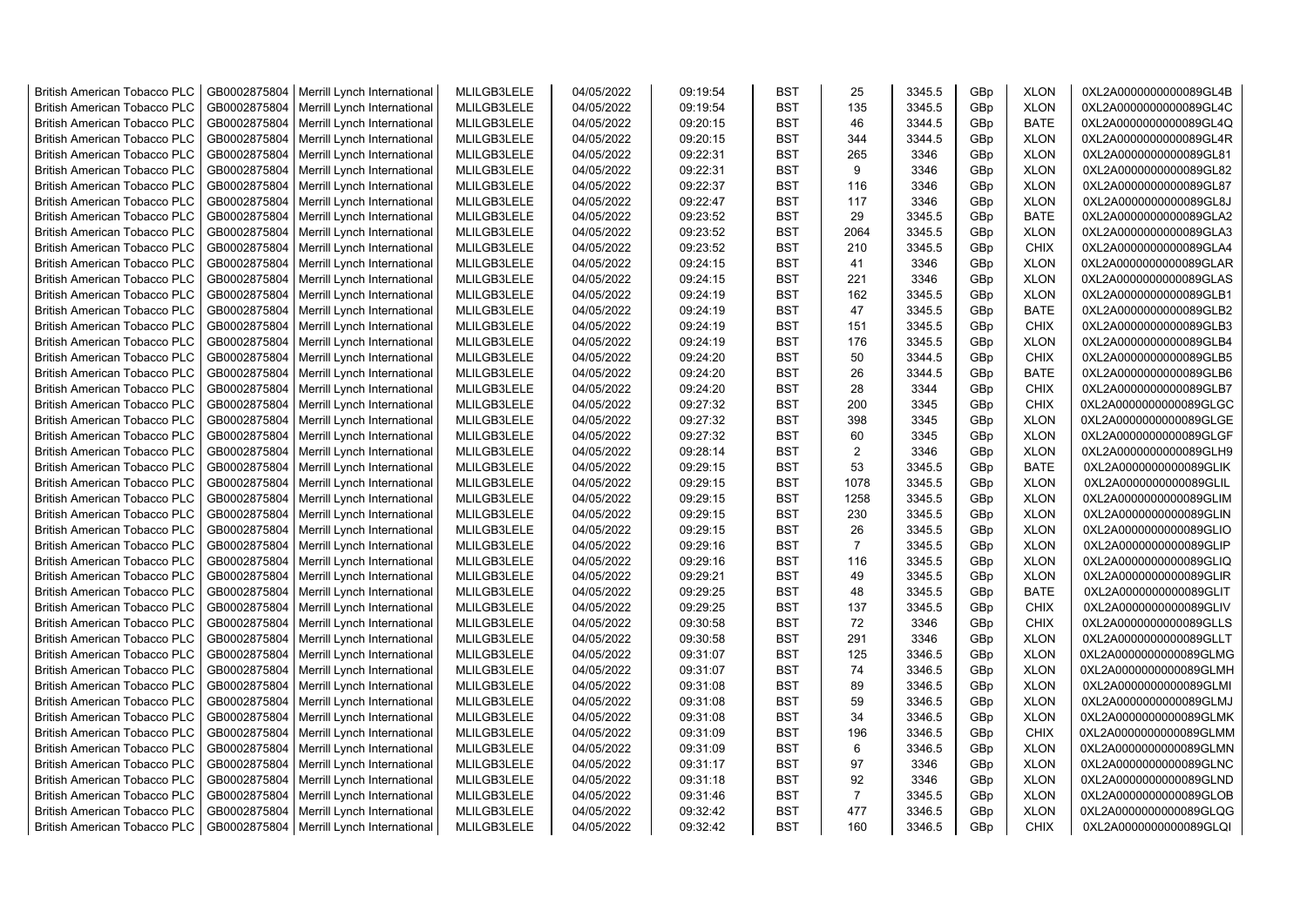| <b>British American Tobacco PLC</b> | GB0002875804 | Merrill Lynch International | MLILGB3LELE | 04/05/2022 | 09:19:54 | <b>BST</b> | 25             | 3345.5 | GBp             | <b>XLON</b> | 0XL2A0000000000089GL4B |
|-------------------------------------|--------------|-----------------------------|-------------|------------|----------|------------|----------------|--------|-----------------|-------------|------------------------|
| <b>British American Tobacco PLC</b> | GB0002875804 | Merrill Lynch International | MLILGB3LELE | 04/05/2022 | 09:19:54 | <b>BST</b> | 135            | 3345.5 | GBp             | <b>XLON</b> | 0XL2A0000000000089GL4C |
| <b>British American Tobacco PLC</b> | GB0002875804 | Merrill Lynch International | MLILGB3LELE | 04/05/2022 | 09:20:15 | <b>BST</b> | 46             | 3344.5 | GBp             | <b>BATE</b> | 0XL2A0000000000089GL4Q |
| <b>British American Tobacco PLC</b> | GB0002875804 | Merrill Lynch International | MLILGB3LELE | 04/05/2022 | 09:20:15 | <b>BST</b> | 344            | 3344.5 | GBp             | <b>XLON</b> | 0XL2A0000000000089GL4R |
| <b>British American Tobacco PLC</b> | GB0002875804 | Merrill Lynch International | MLILGB3LELE | 04/05/2022 | 09:22:31 | <b>BST</b> | 265            | 3346   | GBp             | <b>XLON</b> | 0XL2A0000000000089GL81 |
| <b>British American Tobacco PLC</b> | GB0002875804 | Merrill Lynch International | MLILGB3LELE | 04/05/2022 | 09:22:31 | <b>BST</b> | 9              | 3346   | GBp             | <b>XLON</b> | 0XL2A0000000000089GL82 |
| <b>British American Tobacco PLC</b> | GB0002875804 | Merrill Lynch International | MLILGB3LELE | 04/05/2022 | 09:22:37 | <b>BST</b> | 116            | 3346   | GBp             | <b>XLON</b> | 0XL2A0000000000089GL87 |
| <b>British American Tobacco PLC</b> | GB0002875804 | Merrill Lynch International | MLILGB3LELE | 04/05/2022 | 09:22:47 | <b>BST</b> | 117            | 3346   | GBp             | <b>XLON</b> | 0XL2A0000000000089GL8J |
| <b>British American Tobacco PLC</b> | GB0002875804 | Merrill Lynch International | MLILGB3LELE | 04/05/2022 | 09:23:52 | <b>BST</b> | 29             | 3345.5 | GBp             | <b>BATE</b> | 0XL2A0000000000089GLA2 |
| <b>British American Tobacco PLC</b> | GB0002875804 | Merrill Lynch International | MLILGB3LELE | 04/05/2022 | 09:23:52 | <b>BST</b> | 2064           | 3345.5 | GBp             | <b>XLON</b> | 0XL2A0000000000089GLA3 |
| <b>British American Tobacco PLC</b> | GB0002875804 | Merrill Lynch International | MLILGB3LELE | 04/05/2022 | 09:23:52 | <b>BST</b> | 210            | 3345.5 | GBp             | <b>CHIX</b> | 0XL2A0000000000089GLA4 |
| <b>British American Tobacco PLC</b> | GB0002875804 | Merrill Lynch International | MLILGB3LELE | 04/05/2022 | 09:24:15 | <b>BST</b> | 41             | 3346   | GBp             | <b>XLON</b> | 0XL2A0000000000089GLAR |
| <b>British American Tobacco PLC</b> | GB0002875804 | Merrill Lynch International | MLILGB3LELE | 04/05/2022 | 09:24:15 | <b>BST</b> | 221            | 3346   | GBp             | <b>XLON</b> | 0XL2A0000000000089GLAS |
| <b>British American Tobacco PLC</b> | GB0002875804 | Merrill Lynch International | MLILGB3LELE | 04/05/2022 | 09:24:19 | <b>BST</b> | 162            | 3345.5 | GBp             | <b>XLON</b> | 0XL2A0000000000089GLB1 |
| <b>British American Tobacco PLC</b> | GB0002875804 | Merrill Lynch International | MLILGB3LELE | 04/05/2022 | 09:24:19 | <b>BST</b> | 47             | 3345.5 | GBp             | <b>BATE</b> | 0XL2A0000000000089GLB2 |
| <b>British American Tobacco PLC</b> | GB0002875804 | Merrill Lynch International | MLILGB3LELE | 04/05/2022 | 09:24:19 | <b>BST</b> | 151            | 3345.5 | GBp             | <b>CHIX</b> | 0XL2A0000000000089GLB3 |
| <b>British American Tobacco PLC</b> | GB0002875804 | Merrill Lynch International | MLILGB3LELE | 04/05/2022 | 09:24:19 | <b>BST</b> | 176            | 3345.5 | GBp             | <b>XLON</b> | 0XL2A0000000000089GLB4 |
| <b>British American Tobacco PLC</b> | GB0002875804 | Merrill Lynch International | MLILGB3LELE | 04/05/2022 | 09:24:20 | <b>BST</b> | 50             | 3344.5 | GBp             | <b>CHIX</b> | 0XL2A0000000000089GLB5 |
| <b>British American Tobacco PLC</b> | GB0002875804 | Merrill Lynch International | MLILGB3LELE | 04/05/2022 | 09:24:20 | <b>BST</b> | 26             | 3344.5 | GBp             | <b>BATE</b> | 0XL2A0000000000089GLB6 |
| <b>British American Tobacco PLC</b> | GB0002875804 | Merrill Lynch International | MLILGB3LELE | 04/05/2022 | 09:24:20 | <b>BST</b> | 28             | 3344   | GBp             | <b>CHIX</b> | 0XL2A0000000000089GLB7 |
| <b>British American Tobacco PLC</b> | GB0002875804 | Merrill Lynch International | MLILGB3LELE | 04/05/2022 | 09:27:32 | <b>BST</b> | 200            | 3345   | GBp             | <b>CHIX</b> | 0XL2A0000000000089GLGC |
| <b>British American Tobacco PLC</b> | GB0002875804 | Merrill Lynch International | MLILGB3LELE | 04/05/2022 | 09:27:32 | <b>BST</b> | 398            | 3345   | GBp             | <b>XLON</b> | 0XL2A0000000000089GLGE |
| <b>British American Tobacco PLC</b> | GB0002875804 | Merrill Lynch International | MLILGB3LELE | 04/05/2022 | 09:27:32 | <b>BST</b> | 60             | 3345   | GBp             | <b>XLON</b> | 0XL2A0000000000089GLGF |
| <b>British American Tobacco PLC</b> | GB0002875804 | Merrill Lynch International | MLILGB3LELE | 04/05/2022 | 09:28:14 | <b>BST</b> | 2              | 3346   | GBp             | <b>XLON</b> | 0XL2A0000000000089GLH9 |
| <b>British American Tobacco PLC</b> | GB0002875804 | Merrill Lynch International | MLILGB3LELE | 04/05/2022 | 09:29:15 | <b>BST</b> | 53             | 3345.5 | GBp             | <b>BATE</b> | 0XL2A0000000000089GLIK |
| <b>British American Tobacco PLC</b> | GB0002875804 | Merrill Lynch International | MLILGB3LELE | 04/05/2022 | 09:29:15 | <b>BST</b> | 1078           | 3345.5 | GBp             | <b>XLON</b> | 0XL2A0000000000089GLIL |
| <b>British American Tobacco PLC</b> | GB0002875804 | Merrill Lynch International | MLILGB3LELE | 04/05/2022 | 09:29:15 | <b>BST</b> | 1258           | 3345.5 | GBp             | <b>XLON</b> | 0XL2A0000000000089GLIM |
| <b>British American Tobacco PLC</b> | GB0002875804 | Merrill Lynch International | MLILGB3LELE | 04/05/2022 | 09:29:15 | <b>BST</b> | 230            | 3345.5 | GBp             | <b>XLON</b> | 0XL2A0000000000089GLIN |
| <b>British American Tobacco PLC</b> | GB0002875804 | Merrill Lynch International | MLILGB3LELE | 04/05/2022 | 09:29:15 | BST        | 26             | 3345.5 | GBp             | <b>XLON</b> | 0XL2A0000000000089GLIO |
| <b>British American Tobacco PLC</b> | GB0002875804 | Merrill Lynch International | MLILGB3LELE | 04/05/2022 | 09:29:16 | <b>BST</b> | $\overline{7}$ | 3345.5 | GBp             | <b>XLON</b> | 0XL2A0000000000089GLIP |
| <b>British American Tobacco PLC</b> | GB0002875804 | Merrill Lynch International | MLILGB3LELE | 04/05/2022 | 09:29:16 | <b>BST</b> | 116            | 3345.5 | GBp             | <b>XLON</b> | 0XL2A0000000000089GLIQ |
| <b>British American Tobacco PLC</b> | GB0002875804 | Merrill Lynch International | MLILGB3LELE | 04/05/2022 | 09:29:21 | <b>BST</b> | 49             | 3345.5 | GBp             | <b>XLON</b> | 0XL2A0000000000089GLIR |
| <b>British American Tobacco PLC</b> | GB0002875804 | Merrill Lynch International | MLILGB3LELE | 04/05/2022 | 09:29:25 | BST        | 48             | 3345.5 | GBp             | <b>BATE</b> | 0XL2A0000000000089GLIT |
| <b>British American Tobacco PLC</b> | GB0002875804 | Merrill Lynch International | MLILGB3LELE | 04/05/2022 | 09:29:25 | <b>BST</b> | 137            | 3345.5 | GBp             | <b>CHIX</b> | 0XL2A0000000000089GLIV |
| <b>British American Tobacco PLC</b> | GB0002875804 | Merrill Lynch International | MLILGB3LELE | 04/05/2022 | 09:30:58 | <b>BST</b> | 72             | 3346   | GBp             | <b>CHIX</b> | 0XL2A0000000000089GLLS |
| <b>British American Tobacco PLC</b> | GB0002875804 | Merrill Lynch International | MLILGB3LELE | 04/05/2022 | 09:30:58 | <b>BST</b> | 291            | 3346   | GBp             | <b>XLON</b> | 0XL2A0000000000089GLLT |
| <b>British American Tobacco PLC</b> | GB0002875804 | Merrill Lynch International | MLILGB3LELE | 04/05/2022 | 09:31:07 | <b>BST</b> | 125            | 3346.5 | GBp             | <b>XLON</b> | 0XL2A0000000000089GLMG |
| <b>British American Tobacco PLC</b> | GB0002875804 | Merrill Lynch International | MLILGB3LELE | 04/05/2022 | 09:31:07 | <b>BST</b> | 74             | 3346.5 | GBp             | <b>XLON</b> | 0XL2A0000000000089GLMH |
| <b>British American Tobacco PLC</b> | GB0002875804 | Merrill Lynch International | MLILGB3LELE | 04/05/2022 | 09:31:08 | <b>BST</b> | 89             | 3346.5 | GBp             | <b>XLON</b> | 0XL2A0000000000089GLMI |
| <b>British American Tobacco PLC</b> | GB0002875804 | Merrill Lynch International | MLILGB3LELE | 04/05/2022 | 09:31:08 | <b>BST</b> | 59             | 3346.5 | GBp             | <b>XLON</b> | 0XL2A0000000000089GLMJ |
| <b>British American Tobacco PLC</b> | GB0002875804 | Merrill Lynch International | MLILGB3LELE | 04/05/2022 | 09:31:08 | <b>BST</b> | 34             | 3346.5 | GBp             | <b>XLON</b> | 0XL2A0000000000089GLMK |
| <b>British American Tobacco PLC</b> | GB0002875804 | Merrill Lynch International | MLILGB3LELE | 04/05/2022 | 09:31:09 | <b>BST</b> | 196            | 3346.5 | GBp             | <b>CHIX</b> | 0XL2A0000000000089GLMM |
| <b>British American Tobacco PLC</b> | GB0002875804 | Merrill Lynch International | MLILGB3LELE | 04/05/2022 | 09:31:09 | <b>BST</b> | 6              | 3346.5 | GBp             | <b>XLON</b> | 0XL2A0000000000089GLMN |
| <b>British American Tobacco PLC</b> | GB0002875804 | Merrill Lynch International | MLILGB3LELE | 04/05/2022 | 09:31:17 | <b>BST</b> | 97             | 3346   | GBp             | <b>XLON</b> | 0XL2A0000000000089GLNC |
| <b>British American Tobacco PLC</b> | GB0002875804 | Merrill Lynch International | MLILGB3LELE | 04/05/2022 | 09:31:18 | <b>BST</b> | 92             | 3346   | GBp             | <b>XLON</b> | 0XL2A0000000000089GLND |
| <b>British American Tobacco PLC</b> | GB0002875804 | Merrill Lynch International | MLILGB3LELE | 04/05/2022 | 09:31:46 | <b>BST</b> | $\overline{7}$ | 3345.5 | GBp             | <b>XLON</b> | 0XL2A0000000000089GLOB |
| <b>British American Tobacco PLC</b> | GB0002875804 | Merrill Lynch International | MLILGB3LELE | 04/05/2022 | 09:32:42 | <b>BST</b> | 477            | 3346.5 | GBp             | <b>XLON</b> | 0XL2A0000000000089GLQG |
| <b>British American Tobacco PLC</b> | GB0002875804 | Merrill Lynch International | MLILGB3LELE | 04/05/2022 | 09:32:42 | <b>BST</b> | 160            | 3346.5 | GB <sub>p</sub> | <b>CHIX</b> | 0XL2A0000000000089GLQI |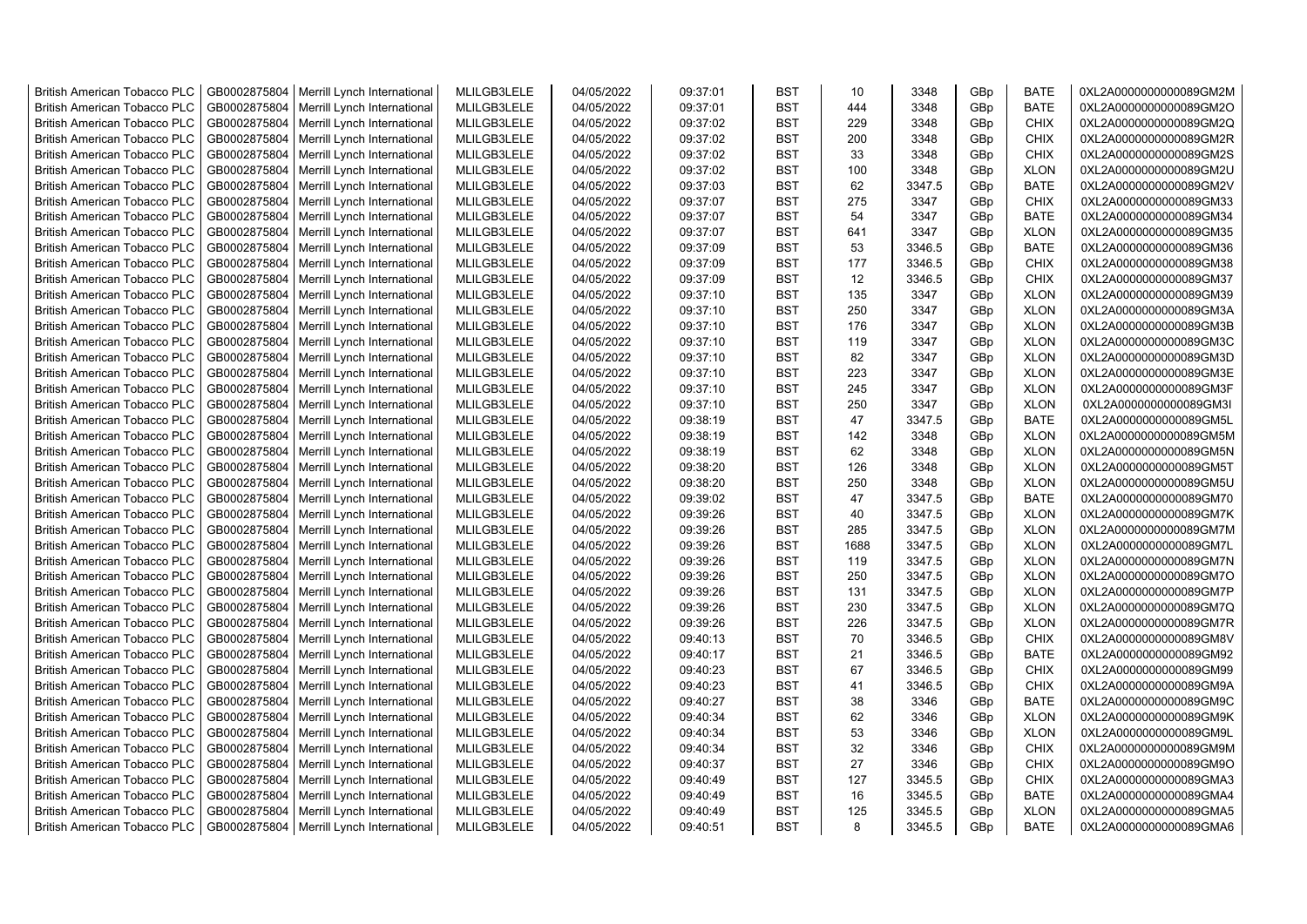| <b>British American Tobacco PLC</b> | GB0002875804 | Merrill Lynch International | MLILGB3LELE | 04/05/2022 | 09:37:01 | <b>BST</b> | 10   | 3348   | GBp             | <b>BATE</b> | 0XL2A0000000000089GM2M |
|-------------------------------------|--------------|-----------------------------|-------------|------------|----------|------------|------|--------|-----------------|-------------|------------------------|
| <b>British American Tobacco PLC</b> | GB0002875804 | Merrill Lynch International | MLILGB3LELE | 04/05/2022 | 09:37:01 | <b>BST</b> | 444  | 3348   | GBp             | <b>BATE</b> | 0XL2A0000000000089GM2O |
| <b>British American Tobacco PLC</b> | GB0002875804 | Merrill Lynch International | MLILGB3LELE | 04/05/2022 | 09:37:02 | <b>BST</b> | 229  | 3348   | GBp             | <b>CHIX</b> | 0XL2A0000000000089GM2Q |
| <b>British American Tobacco PLC</b> | GB0002875804 | Merrill Lynch International | MLILGB3LELE | 04/05/2022 | 09:37:02 | <b>BST</b> | 200  | 3348   | GBp             | <b>CHIX</b> | 0XL2A0000000000089GM2R |
| <b>British American Tobacco PLC</b> | GB0002875804 | Merrill Lynch International | MLILGB3LELE | 04/05/2022 | 09:37:02 | <b>BST</b> | 33   | 3348   | GB <sub>p</sub> | <b>CHIX</b> | 0XL2A0000000000089GM2S |
| <b>British American Tobacco PLC</b> | GB0002875804 | Merrill Lynch International | MLILGB3LELE | 04/05/2022 | 09:37:02 | <b>BST</b> | 100  | 3348   | GBp             | <b>XLON</b> | 0XL2A0000000000089GM2U |
| <b>British American Tobacco PLC</b> | GB0002875804 | Merrill Lynch International | MLILGB3LELE | 04/05/2022 | 09:37:03 | <b>BST</b> | 62   | 3347.5 | GBp             | <b>BATE</b> | 0XL2A0000000000089GM2V |
| <b>British American Tobacco PLC</b> | GB0002875804 | Merrill Lynch International | MLILGB3LELE | 04/05/2022 | 09:37:07 | <b>BST</b> | 275  | 3347   | GBp             | <b>CHIX</b> | 0XL2A0000000000089GM33 |
| <b>British American Tobacco PLC</b> | GB0002875804 | Merrill Lynch International | MLILGB3LELE | 04/05/2022 | 09:37:07 | <b>BST</b> | 54   | 3347   | GBp             | <b>BATE</b> | 0XL2A0000000000089GM34 |
| <b>British American Tobacco PLC</b> | GB0002875804 | Merrill Lynch International | MLILGB3LELE | 04/05/2022 | 09:37:07 | <b>BST</b> | 641  | 3347   | GBp             | <b>XLON</b> | 0XL2A0000000000089GM35 |
| <b>British American Tobacco PLC</b> | GB0002875804 | Merrill Lynch International | MLILGB3LELE | 04/05/2022 | 09:37:09 | <b>BST</b> | 53   | 3346.5 | GBp             | <b>BATE</b> | 0XL2A0000000000089GM36 |
| <b>British American Tobacco PLC</b> | GB0002875804 | Merrill Lynch International | MLILGB3LELE | 04/05/2022 | 09:37:09 | <b>BST</b> | 177  | 3346.5 | GBp             | <b>CHIX</b> | 0XL2A0000000000089GM38 |
| <b>British American Tobacco PLC</b> | GB0002875804 | Merrill Lynch International | MLILGB3LELE | 04/05/2022 | 09:37:09 | <b>BST</b> | 12   | 3346.5 | GBp             | <b>CHIX</b> | 0XL2A0000000000089GM37 |
| <b>British American Tobacco PLC</b> | GB0002875804 | Merrill Lynch International | MLILGB3LELE | 04/05/2022 | 09:37:10 | <b>BST</b> | 135  | 3347   | GBp             | <b>XLON</b> | 0XL2A0000000000089GM39 |
| <b>British American Tobacco PLC</b> | GB0002875804 | Merrill Lynch International | MLILGB3LELE | 04/05/2022 | 09:37:10 | <b>BST</b> | 250  | 3347   | GBp             | <b>XLON</b> | 0XL2A0000000000089GM3A |
| <b>British American Tobacco PLC</b> | GB0002875804 | Merrill Lynch International | MLILGB3LELE | 04/05/2022 | 09:37:10 | <b>BST</b> | 176  | 3347   | GBp             | <b>XLON</b> | 0XL2A0000000000089GM3B |
| <b>British American Tobacco PLC</b> | GB0002875804 | Merrill Lynch International | MLILGB3LELE | 04/05/2022 | 09:37:10 | <b>BST</b> | 119  | 3347   | GB <sub>p</sub> | <b>XLON</b> | 0XL2A0000000000089GM3C |
| <b>British American Tobacco PLC</b> | GB0002875804 | Merrill Lynch International | MLILGB3LELE | 04/05/2022 | 09:37:10 | <b>BST</b> | 82   | 3347   | GBp             | <b>XLON</b> | 0XL2A0000000000089GM3D |
| <b>British American Tobacco PLC</b> | GB0002875804 | Merrill Lynch International | MLILGB3LELE | 04/05/2022 | 09:37:10 | <b>BST</b> | 223  | 3347   | GBp             | <b>XLON</b> | 0XL2A0000000000089GM3E |
| <b>British American Tobacco PLC</b> | GB0002875804 | Merrill Lynch International | MLILGB3LELE | 04/05/2022 | 09:37:10 | <b>BST</b> | 245  | 3347   | GBp             | <b>XLON</b> | 0XL2A0000000000089GM3F |
| <b>British American Tobacco PLC</b> | GB0002875804 | Merrill Lynch International | MLILGB3LELE | 04/05/2022 | 09:37:10 | <b>BST</b> | 250  | 3347   | GBp             | <b>XLON</b> | 0XL2A0000000000089GM3I |
| <b>British American Tobacco PLC</b> | GB0002875804 | Merrill Lynch International | MLILGB3LELE | 04/05/2022 | 09:38:19 | <b>BST</b> | 47   | 3347.5 | GB <sub>p</sub> | <b>BATE</b> | 0XL2A0000000000089GM5L |
| <b>British American Tobacco PLC</b> | GB0002875804 | Merrill Lynch International | MLILGB3LELE | 04/05/2022 | 09:38:19 | <b>BST</b> | 142  | 3348   | GBp             | <b>XLON</b> | 0XL2A0000000000089GM5M |
| <b>British American Tobacco PLC</b> | GB0002875804 | Merrill Lynch International | MLILGB3LELE | 04/05/2022 | 09:38:19 | <b>BST</b> | 62   | 3348   | GBp             | <b>XLON</b> | 0XL2A0000000000089GM5N |
| <b>British American Tobacco PLC</b> | GB0002875804 | Merrill Lynch International | MLILGB3LELE | 04/05/2022 | 09:38:20 | <b>BST</b> | 126  | 3348   | GBp             | <b>XLON</b> | 0XL2A0000000000089GM5T |
| <b>British American Tobacco PLC</b> | GB0002875804 | Merrill Lynch International | MLILGB3LELE | 04/05/2022 | 09:38:20 | <b>BST</b> | 250  | 3348   | GBp             | <b>XLON</b> | 0XL2A0000000000089GM5U |
| British American Tobacco PLC        | GB0002875804 | Merrill Lynch International | MLILGB3LELE | 04/05/2022 | 09:39:02 | <b>BST</b> | 47   | 3347.5 | GBp             | <b>BATE</b> | 0XL2A0000000000089GM70 |
| <b>British American Tobacco PLC</b> | GB0002875804 | Merrill Lynch International | MLILGB3LELE | 04/05/2022 | 09:39:26 | <b>BST</b> | 40   | 3347.5 | GBp             | <b>XLON</b> | 0XL2A0000000000089GM7K |
| <b>British American Tobacco PLC</b> | GB0002875804 | Merrill Lynch International | MLILGB3LELE | 04/05/2022 | 09:39:26 | <b>BST</b> | 285  | 3347.5 | GBp             | <b>XLON</b> | 0XL2A0000000000089GM7M |
| <b>British American Tobacco PLC</b> | GB0002875804 | Merrill Lynch International | MLILGB3LELE | 04/05/2022 | 09:39:26 | <b>BST</b> | 1688 | 3347.5 | GBp             | <b>XLON</b> | 0XL2A0000000000089GM7L |
| <b>British American Tobacco PLC</b> | GB0002875804 | Merrill Lynch International | MLILGB3LELE | 04/05/2022 | 09:39:26 | <b>BST</b> | 119  | 3347.5 | GBp             | <b>XLON</b> | 0XL2A0000000000089GM7N |
| <b>British American Tobacco PLC</b> | GB0002875804 | Merrill Lynch International | MLILGB3LELE | 04/05/2022 | 09:39:26 | <b>BST</b> | 250  | 3347.5 | GBp             | <b>XLON</b> | 0XL2A0000000000089GM7O |
| <b>British American Tobacco PLC</b> | GB0002875804 | Merrill Lynch International | MLILGB3LELE | 04/05/2022 | 09:39:26 | <b>BST</b> | 131  | 3347.5 | GBp             | <b>XLON</b> | 0XL2A0000000000089GM7P |
| <b>British American Tobacco PLC</b> | GB0002875804 | Merrill Lynch International | MLILGB3LELE | 04/05/2022 | 09:39:26 | <b>BST</b> | 230  | 3347.5 | GBp             | <b>XLON</b> | 0XL2A0000000000089GM7Q |
| <b>British American Tobacco PLC</b> | GB0002875804 | Merrill Lynch International | MLILGB3LELE | 04/05/2022 | 09:39:26 | <b>BST</b> | 226  | 3347.5 | GBp             | <b>XLON</b> | 0XL2A0000000000089GM7R |
| <b>British American Tobacco PLC</b> | GB0002875804 | Merrill Lynch International | MLILGB3LELE | 04/05/2022 | 09:40:13 | <b>BST</b> | 70   | 3346.5 | GBp             | <b>CHIX</b> | 0XL2A0000000000089GM8V |
| <b>British American Tobacco PLC</b> | GB0002875804 | Merrill Lynch International | MLILGB3LELE | 04/05/2022 | 09:40:17 | <b>BST</b> | 21   | 3346.5 | GBp             | <b>BATE</b> | 0XL2A0000000000089GM92 |
| <b>British American Tobacco PLC</b> | GB0002875804 | Merrill Lynch International | MLILGB3LELE | 04/05/2022 | 09:40:23 | <b>BST</b> | 67   | 3346.5 | GBp             | <b>CHIX</b> | 0XL2A0000000000089GM99 |
| <b>British American Tobacco PLC</b> | GB0002875804 | Merrill Lynch International | MLILGB3LELE | 04/05/2022 | 09:40:23 | <b>BST</b> | 41   | 3346.5 | GB <sub>p</sub> | <b>CHIX</b> | 0XL2A0000000000089GM9A |
| <b>British American Tobacco PLC</b> | GB0002875804 | Merrill Lynch International | MLILGB3LELE | 04/05/2022 | 09:40:27 | <b>BST</b> | 38   | 3346   | GB <sub>p</sub> | <b>BATE</b> | 0XL2A0000000000089GM9C |
| <b>British American Tobacco PLC</b> | GB0002875804 | Merrill Lynch International | MLILGB3LELE | 04/05/2022 | 09:40:34 | <b>BST</b> | 62   | 3346   | GBp             | <b>XLON</b> | 0XL2A0000000000089GM9K |
| <b>British American Tobacco PLC</b> | GB0002875804 | Merrill Lynch International | MLILGB3LELE | 04/05/2022 | 09:40:34 | <b>BST</b> | 53   | 3346   | GBp             | <b>XLON</b> | 0XL2A0000000000089GM9L |
| <b>British American Tobacco PLC</b> | GB0002875804 | Merrill Lynch International | MLILGB3LELE | 04/05/2022 | 09:40:34 | <b>BST</b> | 32   | 3346   | GBp             | <b>CHIX</b> | 0XL2A0000000000089GM9M |
| <b>British American Tobacco PLC</b> | GB0002875804 | Merrill Lynch International | MLILGB3LELE | 04/05/2022 | 09:40:37 | <b>BST</b> | 27   | 3346   | GBp             | <b>CHIX</b> | 0XL2A0000000000089GM9O |
| <b>British American Tobacco PLC</b> | GB0002875804 | Merrill Lynch International | MLILGB3LELE | 04/05/2022 | 09:40:49 | <b>BST</b> | 127  | 3345.5 | GBp             | <b>CHIX</b> | 0XL2A0000000000089GMA3 |
| <b>British American Tobacco PLC</b> | GB0002875804 | Merrill Lynch International | MLILGB3LELE | 04/05/2022 | 09:40:49 | <b>BST</b> | 16   | 3345.5 | GBp             | <b>BATE</b> | 0XL2A0000000000089GMA4 |
| <b>British American Tobacco PLC</b> | GB0002875804 | Merrill Lynch International | MLILGB3LELE | 04/05/2022 | 09:40:49 | <b>BST</b> | 125  | 3345.5 | GBp             | <b>XLON</b> | 0XL2A0000000000089GMA5 |
| <b>British American Tobacco PLC</b> | GB0002875804 | Merrill Lynch International | MLILGB3LELE | 04/05/2022 | 09:40:51 | <b>BST</b> | 8    | 3345.5 | GBp             | <b>BATE</b> | 0XL2A0000000000089GMA6 |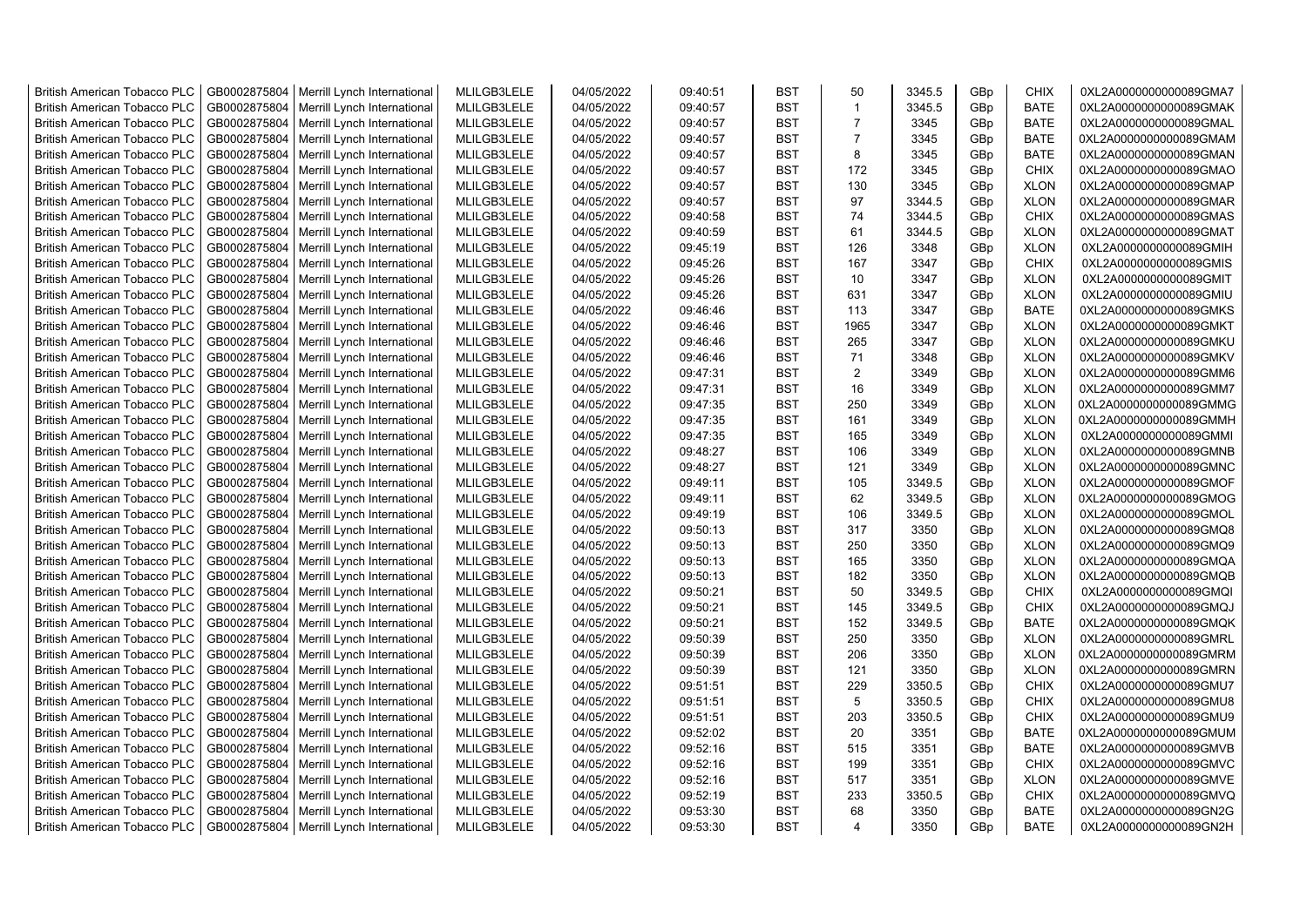| <b>British American Tobacco PLC</b> | GB0002875804 | Merrill Lynch International | MLILGB3LELE | 04/05/2022 | 09:40:51 | <b>BST</b> | 50             | 3345.5 | GBp | <b>CHIX</b> | 0XL2A0000000000089GMA7 |
|-------------------------------------|--------------|-----------------------------|-------------|------------|----------|------------|----------------|--------|-----|-------------|------------------------|
| <b>British American Tobacco PLC</b> | GB0002875804 | Merrill Lynch International | MLILGB3LELE | 04/05/2022 | 09:40:57 | <b>BST</b> | $\mathbf 1$    | 3345.5 | GBp | <b>BATE</b> | 0XL2A0000000000089GMAK |
| <b>British American Tobacco PLC</b> | GB0002875804 | Merrill Lynch International | MLILGB3LELE | 04/05/2022 | 09:40:57 | <b>BST</b> | $\overline{7}$ | 3345   | GBp | <b>BATE</b> | 0XL2A0000000000089GMAL |
| <b>British American Tobacco PLC</b> | GB0002875804 | Merrill Lynch International | MLILGB3LELE | 04/05/2022 | 09:40:57 | <b>BST</b> | $\overline{7}$ | 3345   | GBp | <b>BATE</b> | 0XL2A0000000000089GMAM |
| <b>British American Tobacco PLC</b> | GB0002875804 | Merrill Lynch International | MLILGB3LELE | 04/05/2022 | 09:40:57 | <b>BST</b> | 8              | 3345   | GBp | <b>BATE</b> | 0XL2A0000000000089GMAN |
| <b>British American Tobacco PLC</b> | GB0002875804 | Merrill Lynch International | MLILGB3LELE | 04/05/2022 | 09:40:57 | <b>BST</b> | 172            | 3345   | GBp | <b>CHIX</b> | 0XL2A0000000000089GMAO |
| <b>British American Tobacco PLC</b> | GB0002875804 | Merrill Lynch International | MLILGB3LELE | 04/05/2022 | 09:40:57 | <b>BST</b> | 130            | 3345   | GBp | <b>XLON</b> | 0XL2A0000000000089GMAP |
| <b>British American Tobacco PLC</b> | GB0002875804 | Merrill Lynch International | MLILGB3LELE | 04/05/2022 | 09:40:57 | BST        | 97             | 3344.5 | GBp | <b>XLON</b> | 0XL2A0000000000089GMAR |
| <b>British American Tobacco PLC</b> | GB0002875804 | Merrill Lynch International | MLILGB3LELE | 04/05/2022 | 09:40:58 | BST        | 74             | 3344.5 | GBp | <b>CHIX</b> | 0XL2A0000000000089GMAS |
| British American Tobacco PLC        | GB0002875804 | Merrill Lynch International | MLILGB3LELE | 04/05/2022 | 09:40:59 | <b>BST</b> | 61             | 3344.5 | GBp | <b>XLON</b> | 0XL2A0000000000089GMAT |
| <b>British American Tobacco PLC</b> | GB0002875804 | Merrill Lynch International | MLILGB3LELE | 04/05/2022 | 09:45:19 | <b>BST</b> | 126            | 3348   | GBp | <b>XLON</b> | 0XL2A0000000000089GMIH |
| British American Tobacco PLC        | GB0002875804 | Merrill Lynch International | MLILGB3LELE | 04/05/2022 | 09:45:26 | <b>BST</b> | 167            | 3347   | GBp | <b>CHIX</b> | 0XL2A0000000000089GMIS |
| <b>British American Tobacco PLC</b> | GB0002875804 | Merrill Lynch International | MLILGB3LELE | 04/05/2022 | 09:45:26 | <b>BST</b> | 10             | 3347   | GBp | <b>XLON</b> | 0XL2A0000000000089GMIT |
| <b>British American Tobacco PLC</b> | GB0002875804 | Merrill Lynch International | MLILGB3LELE | 04/05/2022 | 09:45:26 | <b>BST</b> | 631            | 3347   | GBp | <b>XLON</b> | 0XL2A0000000000089GMIU |
| <b>British American Tobacco PLC</b> | GB0002875804 | Merrill Lynch International | MLILGB3LELE | 04/05/2022 | 09:46:46 | <b>BST</b> | 113            | 3347   | GBp | <b>BATE</b> | 0XL2A0000000000089GMKS |
| <b>British American Tobacco PLC</b> | GB0002875804 | Merrill Lynch International | MLILGB3LELE | 04/05/2022 | 09:46:46 | <b>BST</b> | 1965           | 3347   | GBp | <b>XLON</b> | 0XL2A0000000000089GMKT |
| <b>British American Tobacco PLC</b> | GB0002875804 | Merrill Lynch International | MLILGB3LELE | 04/05/2022 | 09:46:46 | <b>BST</b> | 265            | 3347   | GBp | <b>XLON</b> | 0XL2A0000000000089GMKU |
| <b>British American Tobacco PLC</b> | GB0002875804 | Merrill Lynch International | MLILGB3LELE | 04/05/2022 | 09:46:46 | <b>BST</b> | 71             | 3348   | GBp | <b>XLON</b> | 0XL2A0000000000089GMKV |
| British American Tobacco PLC        | GB0002875804 | Merrill Lynch International | MLILGB3LELE | 04/05/2022 | 09:47:31 | <b>BST</b> | 2              | 3349   | GBp | <b>XLON</b> | 0XL2A0000000000089GMM6 |
| <b>British American Tobacco PLC</b> | GB0002875804 | Merrill Lynch International | MLILGB3LELE | 04/05/2022 | 09:47:31 | <b>BST</b> | 16             | 3349   | GBp | <b>XLON</b> | 0XL2A0000000000089GMM7 |
| <b>British American Tobacco PLC</b> | GB0002875804 | Merrill Lynch International | MLILGB3LELE | 04/05/2022 | 09:47:35 | <b>BST</b> | 250            | 3349   | GBp | <b>XLON</b> | 0XL2A0000000000089GMMG |
| <b>British American Tobacco PLC</b> | GB0002875804 | Merrill Lynch International | MLILGB3LELE | 04/05/2022 | 09:47:35 | <b>BST</b> | 161            | 3349   | GBp | <b>XLON</b> | 0XL2A0000000000089GMMH |
| <b>British American Tobacco PLC</b> | GB0002875804 | Merrill Lynch International | MLILGB3LELE | 04/05/2022 | 09:47:35 | <b>BST</b> | 165            | 3349   | GBp | <b>XLON</b> | 0XL2A0000000000089GMMI |
| <b>British American Tobacco PLC</b> | GB0002875804 | Merrill Lynch International | MLILGB3LELE | 04/05/2022 | 09:48:27 | BST        | 106            | 3349   | GBp | <b>XLON</b> | 0XL2A0000000000089GMNB |
| <b>British American Tobacco PLC</b> | GB0002875804 | Merrill Lynch International | MLILGB3LELE | 04/05/2022 | 09:48:27 | <b>BST</b> | 121            | 3349   | GBp | <b>XLON</b> | 0XL2A0000000000089GMNC |
| British American Tobacco PLC        | GB0002875804 | Merrill Lynch International | MLILGB3LELE | 04/05/2022 | 09:49:11 | <b>BST</b> | 105            | 3349.5 | GBp | <b>XLON</b> | 0XL2A0000000000089GMOF |
| British American Tobacco PLC        | GB0002875804 | Merrill Lynch International | MLILGB3LELE | 04/05/2022 | 09:49:11 | <b>BST</b> | 62             | 3349.5 | GBp | <b>XLON</b> | 0XL2A0000000000089GMOG |
| British American Tobacco PLC        | GB0002875804 | Merrill Lynch International | MLILGB3LELE | 04/05/2022 | 09:49:19 | <b>BST</b> | 106            | 3349.5 | GBp | <b>XLON</b> | 0XL2A0000000000089GMOL |
| <b>British American Tobacco PLC</b> | GB0002875804 | Merrill Lynch International | MLILGB3LELE | 04/05/2022 | 09:50:13 | <b>BST</b> | 317            | 3350   | GBp | <b>XLON</b> | 0XL2A0000000000089GMQ8 |
| <b>British American Tobacco PLC</b> | GB0002875804 | Merrill Lynch International | MLILGB3LELE | 04/05/2022 | 09:50:13 | <b>BST</b> | 250            | 3350   | GBp | <b>XLON</b> | 0XL2A0000000000089GMQ9 |
| British American Tobacco PLC        | GB0002875804 | Merrill Lynch International | MLILGB3LELE | 04/05/2022 | 09:50:13 | <b>BST</b> | 165            | 3350   | GBp | <b>XLON</b> | 0XL2A0000000000089GMQA |
| <b>British American Tobacco PLC</b> | GB0002875804 | Merrill Lynch International | MLILGB3LELE | 04/05/2022 | 09:50:13 | <b>BST</b> | 182            | 3350   | GBp | <b>XLON</b> | 0XL2A0000000000089GMQB |
| <b>British American Tobacco PLC</b> | GB0002875804 | Merrill Lynch International | MLILGB3LELE | 04/05/2022 | 09:50:21 | <b>BST</b> | 50             | 3349.5 | GBp | <b>CHIX</b> | 0XL2A0000000000089GMQI |
| <b>British American Tobacco PLC</b> | GB0002875804 | Merrill Lynch International | MLILGB3LELE | 04/05/2022 | 09:50:21 | <b>BST</b> | 145            | 3349.5 | GBp | <b>CHIX</b> | 0XL2A0000000000089GMQJ |
| <b>British American Tobacco PLC</b> | GB0002875804 | Merrill Lynch International | MLILGB3LELE | 04/05/2022 | 09:50:21 | <b>BST</b> | 152            | 3349.5 | GBp | <b>BATE</b> | 0XL2A0000000000089GMQK |
| <b>British American Tobacco PLC</b> | GB0002875804 | Merrill Lynch International | MLILGB3LELE | 04/05/2022 | 09:50:39 | <b>BST</b> | 250            | 3350   | GBp | <b>XLON</b> | 0XL2A0000000000089GMRL |
| <b>British American Tobacco PLC</b> | GB0002875804 | Merrill Lynch International | MLILGB3LELE | 04/05/2022 | 09:50:39 | <b>BST</b> | 206            | 3350   | GBp | <b>XLON</b> | 0XL2A0000000000089GMRM |
| <b>British American Tobacco PLC</b> | GB0002875804 | Merrill Lynch International | MLILGB3LELE | 04/05/2022 | 09:50:39 | <b>BST</b> | 121            | 3350   | GBp | <b>XLON</b> | 0XL2A0000000000089GMRN |
| <b>British American Tobacco PLC</b> | GB0002875804 | Merrill Lynch International | MLILGB3LELE | 04/05/2022 | 09:51:51 | <b>BST</b> | 229            | 3350.5 | GBp | <b>CHIX</b> | 0XL2A0000000000089GMU7 |
| <b>British American Tobacco PLC</b> | GB0002875804 | Merrill Lynch International | MLILGB3LELE | 04/05/2022 | 09:51:51 | <b>BST</b> | 5              | 3350.5 | GBp | <b>CHIX</b> | 0XL2A0000000000089GMU8 |
| <b>British American Tobacco PLC</b> | GB0002875804 | Merrill Lynch International | MLILGB3LELE | 04/05/2022 | 09:51:51 | <b>BST</b> | 203            | 3350.5 | GBp | <b>CHIX</b> | 0XL2A0000000000089GMU9 |
| <b>British American Tobacco PLC</b> | GB0002875804 | Merrill Lynch International | MLILGB3LELE | 04/05/2022 | 09:52:02 | <b>BST</b> | 20             | 3351   | GBp | <b>BATE</b> | 0XL2A0000000000089GMUM |
| British American Tobacco PLC        | GB0002875804 | Merrill Lynch International | MLILGB3LELE | 04/05/2022 | 09:52:16 | <b>BST</b> | 515            | 3351   | GBp | <b>BATE</b> | 0XL2A0000000000089GMVB |
| British American Tobacco PLC        | GB0002875804 | Merrill Lynch International | MLILGB3LELE | 04/05/2022 | 09:52:16 | <b>BST</b> | 199            | 3351   | GBp | <b>CHIX</b> | 0XL2A0000000000089GMVC |
| <b>British American Tobacco PLC</b> | GB0002875804 | Merrill Lynch International | MLILGB3LELE | 04/05/2022 | 09:52:16 | <b>BST</b> | 517            | 3351   | GBp | <b>XLON</b> | 0XL2A0000000000089GMVE |
| <b>British American Tobacco PLC</b> | GB0002875804 | Merrill Lynch International | MLILGB3LELE | 04/05/2022 | 09:52:19 | <b>BST</b> | 233            | 3350.5 | GBp | <b>CHIX</b> | 0XL2A0000000000089GMVQ |
| <b>British American Tobacco PLC</b> | GB0002875804 | Merrill Lynch International | MLILGB3LELE | 04/05/2022 | 09:53:30 | <b>BST</b> | 68             | 3350   | GBp | <b>BATE</b> | 0XL2A0000000000089GN2G |
| <b>British American Tobacco PLC</b> | GB0002875804 | Merrill Lynch International | MLILGB3LELE | 04/05/2022 | 09:53:30 | <b>BST</b> | 4              | 3350   | GBp | <b>BATE</b> | 0XL2A0000000000089GN2H |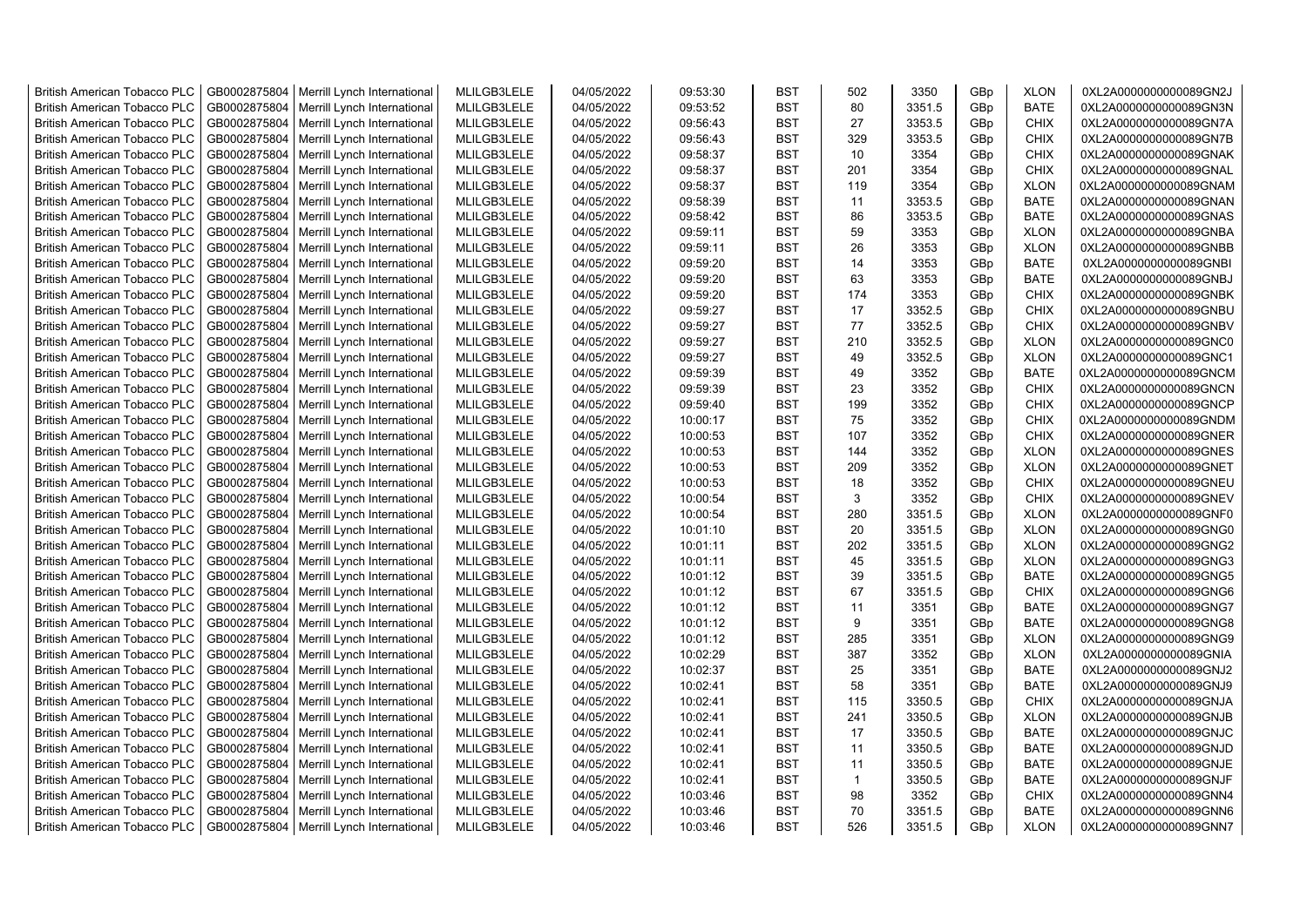| <b>British American Tobacco PLC</b> | GB0002875804 | Merrill Lynch International | MLILGB3LELE | 04/05/2022 | 09:53:30 | <b>BST</b> | 502          | 3350   | GBp             | <b>XLON</b> | 0XL2A0000000000089GN2J |
|-------------------------------------|--------------|-----------------------------|-------------|------------|----------|------------|--------------|--------|-----------------|-------------|------------------------|
| <b>British American Tobacco PLC</b> | GB0002875804 | Merrill Lynch International | MLILGB3LELE | 04/05/2022 | 09:53:52 | <b>BST</b> | 80           | 3351.5 | GBp             | <b>BATE</b> | 0XL2A0000000000089GN3N |
| <b>British American Tobacco PLC</b> | GB0002875804 | Merrill Lynch International | MLILGB3LELE | 04/05/2022 | 09:56:43 | <b>BST</b> | 27           | 3353.5 | GBp             | <b>CHIX</b> | 0XL2A0000000000089GN7A |
| <b>British American Tobacco PLC</b> | GB0002875804 | Merrill Lynch International | MLILGB3LELE | 04/05/2022 | 09:56:43 | <b>BST</b> | 329          | 3353.5 | GBp             | <b>CHIX</b> | 0XL2A0000000000089GN7B |
| British American Tobacco PLC        | GB0002875804 | Merrill Lynch International | MLILGB3LELE | 04/05/2022 | 09:58:37 | <b>BST</b> | 10           | 3354   | GBp             | <b>CHIX</b> | 0XL2A0000000000089GNAK |
| <b>British American Tobacco PLC</b> | GB0002875804 | Merrill Lynch International | MLILGB3LELE | 04/05/2022 | 09:58:37 | <b>BST</b> | 201          | 3354   | GBp             | <b>CHIX</b> | 0XL2A0000000000089GNAL |
| <b>British American Tobacco PLC</b> | GB0002875804 | Merrill Lynch International | MLILGB3LELE | 04/05/2022 | 09:58:37 | <b>BST</b> | 119          | 3354   | GBp             | <b>XLON</b> | 0XL2A0000000000089GNAM |
| <b>British American Tobacco PLC</b> | GB0002875804 | Merrill Lynch International | MLILGB3LELE | 04/05/2022 | 09:58:39 | <b>BST</b> | 11           | 3353.5 | GBp             | <b>BATE</b> | 0XL2A0000000000089GNAN |
| <b>British American Tobacco PLC</b> | GB0002875804 | Merrill Lynch International | MLILGB3LELE | 04/05/2022 | 09:58:42 | <b>BST</b> | 86           | 3353.5 | GBp             | <b>BATE</b> | 0XL2A0000000000089GNAS |
| <b>British American Tobacco PLC</b> | GB0002875804 | Merrill Lynch International | MLILGB3LELE | 04/05/2022 | 09:59:11 | <b>BST</b> | 59           | 3353   | GBp             | <b>XLON</b> | 0XL2A0000000000089GNBA |
| <b>British American Tobacco PLC</b> | GB0002875804 | Merrill Lynch International | MLILGB3LELE | 04/05/2022 | 09:59:11 | <b>BST</b> | 26           | 3353   | GBp             | <b>XLON</b> | 0XL2A0000000000089GNBB |
| British American Tobacco PLC        | GB0002875804 | Merrill Lynch International | MLILGB3LELE | 04/05/2022 | 09:59:20 | <b>BST</b> | 14           | 3353   | GBp             | <b>BATE</b> | 0XL2A0000000000089GNBI |
| <b>British American Tobacco PLC</b> | GB0002875804 | Merrill Lynch International | MLILGB3LELE | 04/05/2022 | 09:59:20 | <b>BST</b> | 63           | 3353   | GB <sub>p</sub> | <b>BATE</b> | 0XL2A0000000000089GNBJ |
| <b>British American Tobacco PLC</b> | GB0002875804 | Merrill Lynch International | MLILGB3LELE | 04/05/2022 | 09:59:20 | <b>BST</b> | 174          | 3353   | GBp             | <b>CHIX</b> | 0XL2A0000000000089GNBK |
|                                     |              |                             |             |            |          |            |              |        |                 |             |                        |
| <b>British American Tobacco PLC</b> | GB0002875804 | Merrill Lynch International | MLILGB3LELE | 04/05/2022 | 09:59:27 | <b>BST</b> | 17           | 3352.5 | GBp             | <b>CHIX</b> | 0XL2A0000000000089GNBU |
| <b>British American Tobacco PLC</b> | GB0002875804 | Merrill Lynch International | MLILGB3LELE | 04/05/2022 | 09:59:27 | <b>BST</b> | 77           | 3352.5 | GBp             | <b>CHIX</b> | 0XL2A0000000000089GNBV |
| <b>British American Tobacco PLC</b> | GB0002875804 | Merrill Lynch International | MLILGB3LELE | 04/05/2022 | 09:59:27 | <b>BST</b> | 210          | 3352.5 | GBp             | <b>XLON</b> | 0XL2A0000000000089GNC0 |
| <b>British American Tobacco PLC</b> | GB0002875804 | Merrill Lynch International | MLILGB3LELE | 04/05/2022 | 09:59:27 | <b>BST</b> | 49           | 3352.5 | GBp             | <b>XLON</b> | 0XL2A0000000000089GNC1 |
| <b>British American Tobacco PLC</b> | GB0002875804 | Merrill Lynch International | MLILGB3LELE | 04/05/2022 | 09:59:39 | <b>BST</b> | 49           | 3352   | GBp             | <b>BATE</b> | 0XL2A0000000000089GNCM |
| <b>British American Tobacco PLC</b> | GB0002875804 | Merrill Lynch International | MLILGB3LELE | 04/05/2022 | 09:59:39 | <b>BST</b> | 23           | 3352   | GBp             | <b>CHIX</b> | 0XL2A0000000000089GNCN |
| <b>British American Tobacco PLC</b> | GB0002875804 | Merrill Lynch International | MLILGB3LELE | 04/05/2022 | 09:59:40 | <b>BST</b> | 199          | 3352   | GBp             | <b>CHIX</b> | 0XL2A0000000000089GNCP |
| <b>British American Tobacco PLC</b> | GB0002875804 | Merrill Lynch International | MLILGB3LELE | 04/05/2022 | 10:00:17 | <b>BST</b> | 75           | 3352   | GBp             | <b>CHIX</b> | 0XL2A0000000000089GNDM |
| <b>British American Tobacco PLC</b> | GB0002875804 | Merrill Lynch International | MLILGB3LELE | 04/05/2022 | 10:00:53 | <b>BST</b> | 107          | 3352   | GBp             | <b>CHIX</b> | 0XL2A0000000000089GNER |
| <b>British American Tobacco PLC</b> | GB0002875804 | Merrill Lynch International | MLILGB3LELE | 04/05/2022 | 10:00:53 | <b>BST</b> | 144          | 3352   | GBp             | <b>XLON</b> | 0XL2A0000000000089GNES |
| <b>British American Tobacco PLC</b> | GB0002875804 | Merrill Lynch International | MLILGB3LELE | 04/05/2022 | 10:00:53 | <b>BST</b> | 209          | 3352   | GBp             | <b>XLON</b> | 0XL2A0000000000089GNET |
| British American Tobacco PLC        | GB0002875804 | Merrill Lynch International | MLILGB3LELE | 04/05/2022 | 10:00:53 | <b>BST</b> | 18           | 3352   | GBp             | <b>CHIX</b> | 0XL2A0000000000089GNEU |
| British American Tobacco PLC        | GB0002875804 | Merrill Lynch International | MLILGB3LELE | 04/05/2022 | 10:00:54 | <b>BST</b> | 3            | 3352   | GBp             | <b>CHIX</b> | 0XL2A0000000000089GNEV |
| British American Tobacco PLC        | GB0002875804 | Merrill Lynch International | MLILGB3LELE | 04/05/2022 | 10:00:54 | <b>BST</b> | 280          | 3351.5 | GBp             | <b>XLON</b> | 0XL2A0000000000089GNF0 |
| <b>British American Tobacco PLC</b> | GB0002875804 | Merrill Lynch International | MLILGB3LELE | 04/05/2022 | 10:01:10 | <b>BST</b> | 20           | 3351.5 | GBp             | <b>XLON</b> | 0XL2A0000000000089GNG0 |
| <b>British American Tobacco PLC</b> | GB0002875804 | Merrill Lynch International | MLILGB3LELE | 04/05/2022 | 10:01:11 | <b>BST</b> | 202          | 3351.5 | GBp             | <b>XLON</b> | 0XL2A0000000000089GNG2 |
| <b>British American Tobacco PLC</b> | GB0002875804 | Merrill Lynch International | MLILGB3LELE | 04/05/2022 | 10:01:11 | <b>BST</b> | 45           | 3351.5 | GBp             | <b>XLON</b> | 0XL2A0000000000089GNG3 |
| <b>British American Tobacco PLC</b> | GB0002875804 | Merrill Lynch International | MLILGB3LELE | 04/05/2022 | 10:01:12 | <b>BST</b> | 39           | 3351.5 | GBp             | <b>BATE</b> | 0XL2A0000000000089GNG5 |
| <b>British American Tobacco PLC</b> | GB0002875804 | Merrill Lynch International | MLILGB3LELE | 04/05/2022 | 10:01:12 | <b>BST</b> | 67           | 3351.5 | GBp             | <b>CHIX</b> | 0XL2A0000000000089GNG6 |
| <b>British American Tobacco PLC</b> | GB0002875804 | Merrill Lynch International | MLILGB3LELE | 04/05/2022 | 10:01:12 | <b>BST</b> | 11           | 3351   | GBp             | <b>BATE</b> | 0XL2A0000000000089GNG7 |
| British American Tobacco PLC        | GB0002875804 | Merrill Lynch International | MLILGB3LELE | 04/05/2022 | 10:01:12 | <b>BST</b> | 9            | 3351   | GBp             | <b>BATE</b> | 0XL2A0000000000089GNG8 |
| <b>British American Tobacco PLC</b> | GB0002875804 | Merrill Lynch International | MLILGB3LELE | 04/05/2022 | 10:01:12 | <b>BST</b> | 285          | 3351   | GBp             | <b>XLON</b> | 0XL2A0000000000089GNG9 |
| British American Tobacco PLC        | GB0002875804 | Merrill Lynch International | MLILGB3LELE | 04/05/2022 | 10:02:29 | <b>BST</b> | 387          | 3352   | GBp             | <b>XLON</b> | 0XL2A0000000000089GNIA |
| <b>British American Tobacco PLC</b> | GB0002875804 | Merrill Lynch International | MLILGB3LELE | 04/05/2022 | 10:02:37 | <b>BST</b> | 25           | 3351   | GBp             | <b>BATE</b> | 0XL2A0000000000089GNJ2 |
| <b>British American Tobacco PLC</b> | GB0002875804 | Merrill Lynch International | MLILGB3LELE | 04/05/2022 | 10:02:41 | <b>BST</b> | 58           | 3351   | GBp             | <b>BATE</b> | 0XL2A0000000000089GNJ9 |
| <b>British American Tobacco PLC</b> | GB0002875804 | Merrill Lynch International | MLILGB3LELE | 04/05/2022 | 10:02:41 | <b>BST</b> | 115          | 3350.5 | GBp             | <b>CHIX</b> | 0XL2A0000000000089GNJA |
| British American Tobacco PLC        | GB0002875804 | Merrill Lynch International | MLILGB3LELE | 04/05/2022 | 10:02:41 | <b>BST</b> | 241          | 3350.5 | GBp             | <b>XLON</b> | 0XL2A0000000000089GNJB |
| <b>British American Tobacco PLC</b> | GB0002875804 | Merrill Lynch International | MLILGB3LELE | 04/05/2022 | 10:02:41 | <b>BST</b> | 17           | 3350.5 | GBp             | <b>BATE</b> | 0XL2A0000000000089GNJC |
| British American Tobacco PLC        | GB0002875804 | Merrill Lynch International | MLILGB3LELE | 04/05/2022 | 10:02:41 | <b>BST</b> | 11           | 3350.5 | GBp             | <b>BATE</b> | 0XL2A0000000000089GNJD |
| British American Tobacco PLC        | GB0002875804 | Merrill Lynch International | MLILGB3LELE | 04/05/2022 | 10:02:41 | <b>BST</b> | 11           | 3350.5 | GBp             | <b>BATE</b> | 0XL2A0000000000089GNJE |
| <b>British American Tobacco PLC</b> | GB0002875804 | Merrill Lynch International | MLILGB3LELE | 04/05/2022 | 10:02:41 | <b>BST</b> | $\mathbf{1}$ | 3350.5 | GBp             | <b>BATE</b> | 0XL2A0000000000089GNJF |
| <b>British American Tobacco PLC</b> | GB0002875804 | Merrill Lynch International | MLILGB3LELE | 04/05/2022 | 10:03:46 | <b>BST</b> | 98           | 3352   | GBp             | <b>CHIX</b> | 0XL2A0000000000089GNN4 |
| <b>British American Tobacco PLC</b> | GB0002875804 | Merrill Lynch International | MLILGB3LELE | 04/05/2022 | 10:03:46 | <b>BST</b> | 70           | 3351.5 | GBp             | <b>BATE</b> | 0XL2A0000000000089GNN6 |
| <b>British American Tobacco PLC</b> | GB0002875804 | Merrill Lynch International | MLILGB3LELE | 04/05/2022 | 10:03:46 | <b>BST</b> | 526          | 3351.5 | GB <sub>p</sub> | <b>XLON</b> | 0XL2A0000000000089GNN7 |
|                                     |              |                             |             |            |          |            |              |        |                 |             |                        |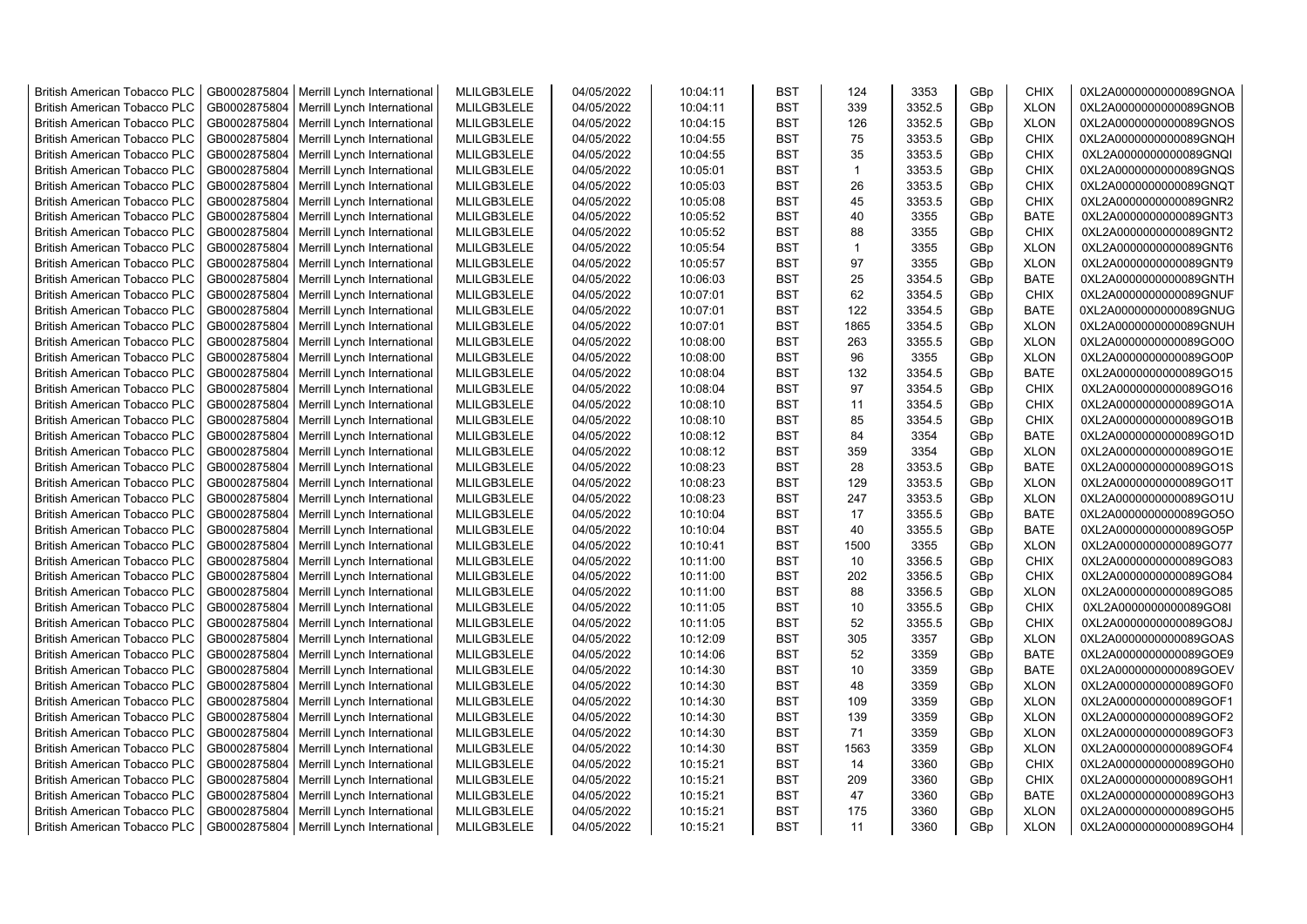| <b>British American Tobacco PLC</b> | GB0002875804 | Merrill Lynch International | MLILGB3LELE | 04/05/2022 | 10:04:11 | <b>BST</b> | 124          | 3353   | GBp             | <b>CHIX</b> | 0XL2A0000000000089GNOA |
|-------------------------------------|--------------|-----------------------------|-------------|------------|----------|------------|--------------|--------|-----------------|-------------|------------------------|
| <b>British American Tobacco PLC</b> | GB0002875804 | Merrill Lynch International | MLILGB3LELE | 04/05/2022 | 10:04:11 | <b>BST</b> | 339          | 3352.5 | GBp             | <b>XLON</b> | 0XL2A0000000000089GNOB |
| <b>British American Tobacco PLC</b> | GB0002875804 | Merrill Lynch International | MLILGB3LELE | 04/05/2022 | 10:04:15 | <b>BST</b> | 126          | 3352.5 | GBp             | <b>XLON</b> | 0XL2A0000000000089GNOS |
| <b>British American Tobacco PLC</b> | GB0002875804 | Merrill Lynch International | MLILGB3LELE | 04/05/2022 | 10:04:55 | <b>BST</b> | 75           | 3353.5 | GBp             | <b>CHIX</b> | 0XL2A0000000000089GNQH |
| <b>British American Tobacco PLC</b> | GB0002875804 | Merrill Lynch International | MLILGB3LELE | 04/05/2022 | 10:04:55 | <b>BST</b> | 35           | 3353.5 | GBp             | <b>CHIX</b> | 0XL2A0000000000089GNQI |
| <b>British American Tobacco PLC</b> | GB0002875804 | Merrill Lynch International | MLILGB3LELE | 04/05/2022 | 10:05:01 | <b>BST</b> | $\mathbf{1}$ | 3353.5 | GBp             | <b>CHIX</b> | 0XL2A0000000000089GNQS |
| <b>British American Tobacco PLC</b> | GB0002875804 | Merrill Lynch International | MLILGB3LELE | 04/05/2022 | 10:05:03 | <b>BST</b> | 26           | 3353.5 | GBp             | <b>CHIX</b> | 0XL2A0000000000089GNQT |
| <b>British American Tobacco PLC</b> | GB0002875804 | Merrill Lynch International | MLILGB3LELE | 04/05/2022 | 10:05:08 | BST        | 45           | 3353.5 | GBp             | <b>CHIX</b> | 0XL2A0000000000089GNR2 |
| <b>British American Tobacco PLC</b> | GB0002875804 | Merrill Lynch International | MLILGB3LELE | 04/05/2022 | 10:05:52 | BST        | 40           | 3355   | GBp             | <b>BATE</b> | 0XL2A0000000000089GNT3 |
| British American Tobacco PLC        | GB0002875804 | Merrill Lynch International | MLILGB3LELE | 04/05/2022 | 10:05:52 | <b>BST</b> | 88           | 3355   | GBp             | <b>CHIX</b> | 0XL2A0000000000089GNT2 |
| <b>British American Tobacco PLC</b> | GB0002875804 | Merrill Lynch International | MLILGB3LELE | 04/05/2022 | 10:05:54 | <b>BST</b> | $\mathbf 1$  | 3355   | GBp             | <b>XLON</b> | 0XL2A0000000000089GNT6 |
| British American Tobacco PLC        | GB0002875804 | Merrill Lynch International | MLILGB3LELE | 04/05/2022 | 10:05:57 | <b>BST</b> | 97           | 3355   | GBp             | <b>XLON</b> | 0XL2A0000000000089GNT9 |
| <b>British American Tobacco PLC</b> | GB0002875804 | Merrill Lynch International | MLILGB3LELE | 04/05/2022 | 10:06:03 | <b>BST</b> | 25           | 3354.5 | GBp             | <b>BATE</b> | 0XL2A0000000000089GNTH |
| <b>British American Tobacco PLC</b> | GB0002875804 | Merrill Lynch International | MLILGB3LELE | 04/05/2022 | 10:07:01 | <b>BST</b> | 62           | 3354.5 | GBp             | <b>CHIX</b> | 0XL2A0000000000089GNUF |
| <b>British American Tobacco PLC</b> | GB0002875804 | Merrill Lynch International | MLILGB3LELE | 04/05/2022 | 10:07:01 | <b>BST</b> | 122          | 3354.5 | GBp             | <b>BATE</b> | 0XL2A0000000000089GNUG |
| <b>British American Tobacco PLC</b> | GB0002875804 | Merrill Lynch International | MLILGB3LELE | 04/05/2022 | 10:07:01 | <b>BST</b> | 1865         | 3354.5 | GBp             | <b>XLON</b> | 0XL2A0000000000089GNUH |
| <b>British American Tobacco PLC</b> | GB0002875804 | Merrill Lynch International | MLILGB3LELE | 04/05/2022 | 10:08:00 | <b>BST</b> | 263          | 3355.5 | GBp             | <b>XLON</b> | 0XL2A0000000000089GO0O |
| <b>British American Tobacco PLC</b> | GB0002875804 | Merrill Lynch International | MLILGB3LELE | 04/05/2022 | 10:08:00 | <b>BST</b> | 96           | 3355   | GBp             | <b>XLON</b> | 0XL2A0000000000089GO0P |
| <b>British American Tobacco PLC</b> | GB0002875804 | Merrill Lynch International | MLILGB3LELE | 04/05/2022 | 10:08:04 | <b>BST</b> | 132          | 3354.5 | GBp             | <b>BATE</b> | 0XL2A0000000000089GO15 |
| <b>British American Tobacco PLC</b> | GB0002875804 | Merrill Lynch International | MLILGB3LELE | 04/05/2022 | 10:08:04 | <b>BST</b> | 97           | 3354.5 | GBp             | <b>CHIX</b> | 0XL2A0000000000089GO16 |
| <b>British American Tobacco PLC</b> | GB0002875804 | Merrill Lynch International | MLILGB3LELE | 04/05/2022 | 10:08:10 | <b>BST</b> | 11           | 3354.5 | GBp             | <b>CHIX</b> | 0XL2A0000000000089GO1A |
| <b>British American Tobacco PLC</b> | GB0002875804 | Merrill Lynch International | MLILGB3LELE | 04/05/2022 | 10:08:10 | <b>BST</b> | 85           | 3354.5 | GBp             | <b>CHIX</b> | 0XL2A0000000000089GO1B |
| <b>British American Tobacco PLC</b> | GB0002875804 | Merrill Lynch International | MLILGB3LELE | 04/05/2022 | 10:08:12 | <b>BST</b> | 84           | 3354   | GBp             | <b>BATE</b> | 0XL2A0000000000089GO1D |
| <b>British American Tobacco PLC</b> | GB0002875804 | Merrill Lynch International | MLILGB3LELE | 04/05/2022 | 10:08:12 | <b>BST</b> | 359          | 3354   | GBp             | <b>XLON</b> | 0XL2A0000000000089GO1E |
| <b>British American Tobacco PLC</b> | GB0002875804 | Merrill Lynch International | MLILGB3LELE | 04/05/2022 | 10:08:23 | BST        | 28           | 3353.5 | GBp             | <b>BATE</b> | 0XL2A0000000000089GO1S |
| British American Tobacco PLC        | GB0002875804 | Merrill Lynch International | MLILGB3LELE | 04/05/2022 | 10:08:23 | <b>BST</b> | 129          | 3353.5 | GBp             | <b>XLON</b> | 0XL2A0000000000089GO1T |
| British American Tobacco PLC        | GB0002875804 | Merrill Lynch International | MLILGB3LELE | 04/05/2022 | 10:08:23 | <b>BST</b> | 247          | 3353.5 | GBp             | <b>XLON</b> | 0XL2A0000000000089GO1U |
| British American Tobacco PLC        | GB0002875804 | Merrill Lynch International | MLILGB3LELE | 04/05/2022 | 10:10:04 | <b>BST</b> | 17           | 3355.5 | GBp             | <b>BATE</b> | 0XL2A0000000000089GO5O |
| <b>British American Tobacco PLC</b> | GB0002875804 | Merrill Lynch International | MLILGB3LELE | 04/05/2022 | 10:10:04 | <b>BST</b> | 40           | 3355.5 | GBp             | <b>BATE</b> | 0XL2A0000000000089GO5P |
| <b>British American Tobacco PLC</b> | GB0002875804 | Merrill Lynch International | MLILGB3LELE | 04/05/2022 | 10:10:41 | <b>BST</b> | 1500         | 3355   | GBp             | <b>XLON</b> | 0XL2A0000000000089GO77 |
| <b>British American Tobacco PLC</b> | GB0002875804 | Merrill Lynch International | MLILGB3LELE | 04/05/2022 | 10:11:00 | <b>BST</b> | 10           | 3356.5 | GBp             | <b>CHIX</b> | 0XL2A0000000000089GO83 |
| <b>British American Tobacco PLC</b> | GB0002875804 | Merrill Lynch International | MLILGB3LELE | 04/05/2022 | 10:11:00 | <b>BST</b> | 202          | 3356.5 | GBp             | <b>CHIX</b> | 0XL2A0000000000089GO84 |
| <b>British American Tobacco PLC</b> | GB0002875804 | Merrill Lynch International | MLILGB3LELE | 04/05/2022 | 10:11:00 | <b>BST</b> | 88           | 3356.5 | GBp             | <b>XLON</b> | 0XL2A0000000000089GO85 |
| <b>British American Tobacco PLC</b> | GB0002875804 | Merrill Lynch International | MLILGB3LELE | 04/05/2022 | 10:11:05 | <b>BST</b> | 10           | 3355.5 | GBp             | <b>CHIX</b> | 0XL2A0000000000089GO8I |
| <b>British American Tobacco PLC</b> | GB0002875804 | Merrill Lynch International | MLILGB3LELE | 04/05/2022 | 10:11:05 | <b>BST</b> | 52           | 3355.5 | GBp             | <b>CHIX</b> | 0XL2A0000000000089GO8J |
| <b>British American Tobacco PLC</b> | GB0002875804 | Merrill Lynch International | MLILGB3LELE | 04/05/2022 | 10:12:09 | <b>BST</b> | 305          | 3357   | GBp             | <b>XLON</b> | 0XL2A0000000000089GOAS |
| <b>British American Tobacco PLC</b> | GB0002875804 | Merrill Lynch International | MLILGB3LELE | 04/05/2022 | 10:14:06 | <b>BST</b> | 52           | 3359   | GBp             | <b>BATE</b> | 0XL2A0000000000089GOE9 |
| <b>British American Tobacco PLC</b> | GB0002875804 | Merrill Lynch International | MLILGB3LELE | 04/05/2022 | 10:14:30 | BST        | 10           | 3359   | GBp             | <b>BATE</b> | 0XL2A0000000000089GOEV |
| <b>British American Tobacco PLC</b> | GB0002875804 | Merrill Lynch International | MLILGB3LELE | 04/05/2022 | 10:14:30 | <b>BST</b> | 48           | 3359   | GBp             | <b>XLON</b> | 0XL2A0000000000089GOF0 |
| <b>British American Tobacco PLC</b> | GB0002875804 | Merrill Lynch International | MLILGB3LELE | 04/05/2022 | 10:14:30 | <b>BST</b> | 109          | 3359   | GBp             | <b>XLON</b> | 0XL2A0000000000089GOF1 |
| British American Tobacco PLC        | GB0002875804 | Merrill Lynch International | MLILGB3LELE | 04/05/2022 | 10:14:30 | <b>BST</b> | 139          | 3359   | GBp             | <b>XLON</b> | 0XL2A0000000000089GOF2 |
| <b>British American Tobacco PLC</b> | GB0002875804 | Merrill Lynch International | MLILGB3LELE | 04/05/2022 | 10:14:30 | <b>BST</b> | 71           | 3359   | GBp             | <b>XLON</b> | 0XL2A0000000000089GOF3 |
| British American Tobacco PLC        | GB0002875804 | Merrill Lynch International | MLILGB3LELE | 04/05/2022 | 10:14:30 | <b>BST</b> | 1563         | 3359   | GBp             | <b>XLON</b> | 0XL2A0000000000089GOF4 |
| British American Tobacco PLC        | GB0002875804 | Merrill Lynch International | MLILGB3LELE | 04/05/2022 | 10:15:21 | <b>BST</b> | 14           | 3360   | GBp             | CHIX        | 0XL2A0000000000089GOH0 |
| <b>British American Tobacco PLC</b> | GB0002875804 | Merrill Lynch International | MLILGB3LELE | 04/05/2022 | 10:15:21 | <b>BST</b> | 209          | 3360   | GBp             | <b>CHIX</b> | 0XL2A0000000000089GOH1 |
| <b>British American Tobacco PLC</b> | GB0002875804 | Merrill Lynch International | MLILGB3LELE | 04/05/2022 | 10:15:21 | <b>BST</b> | 47           | 3360   | GBp             | <b>BATE</b> | 0XL2A0000000000089GOH3 |
| <b>British American Tobacco PLC</b> | GB0002875804 | Merrill Lynch International | MLILGB3LELE | 04/05/2022 | 10:15:21 | <b>BST</b> | 175          | 3360   | GBp             | <b>XLON</b> | 0XL2A0000000000089GOH5 |
| <b>British American Tobacco PLC</b> | GB0002875804 | Merrill Lynch International | MLILGB3LELE | 04/05/2022 | 10:15:21 | <b>BST</b> | 11           | 3360   | GB <sub>p</sub> | <b>XLON</b> | 0XL2A0000000000089GOH4 |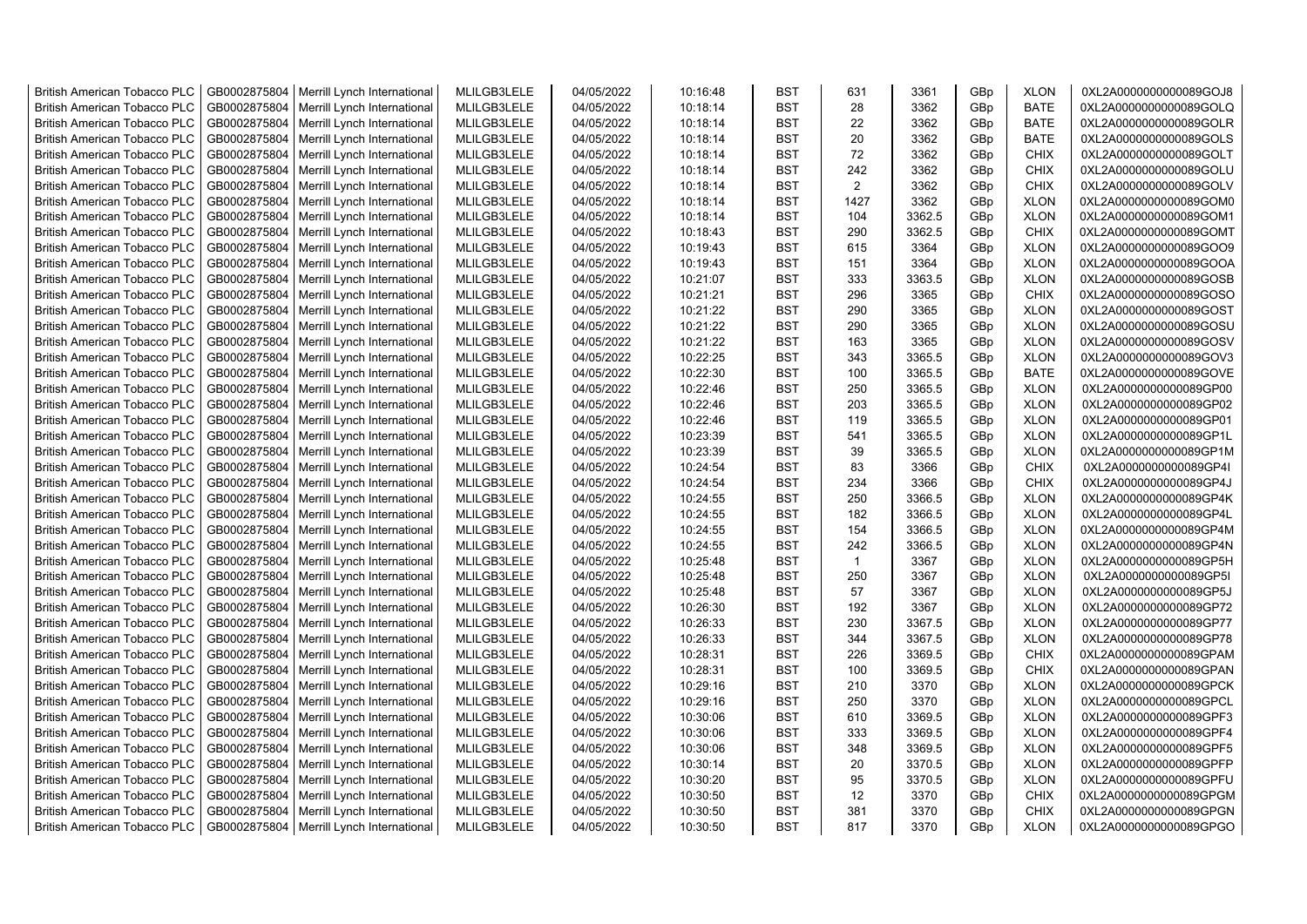| <b>British American Tobacco PLC</b> | GB0002875804 | Merrill Lynch International | MLILGB3LELE | 04/05/2022 | 10:16:48 | <b>BST</b> | 631            | 3361   | GBp             | <b>XLON</b> | 0XL2A0000000000089GOJ8 |
|-------------------------------------|--------------|-----------------------------|-------------|------------|----------|------------|----------------|--------|-----------------|-------------|------------------------|
| <b>British American Tobacco PLC</b> | GB0002875804 | Merrill Lynch International | MLILGB3LELE | 04/05/2022 | 10:18:14 | <b>BST</b> | 28             | 3362   | GBp             | <b>BATE</b> | 0XL2A0000000000089GOLQ |
| <b>British American Tobacco PLC</b> | GB0002875804 | Merrill Lynch International | MLILGB3LELE | 04/05/2022 | 10:18:14 | <b>BST</b> | 22             | 3362   | GBp             | <b>BATE</b> | 0XL2A0000000000089GOLR |
| <b>British American Tobacco PLC</b> | GB0002875804 | Merrill Lynch International | MLILGB3LELE | 04/05/2022 | 10:18:14 | <b>BST</b> | 20             | 3362   | GBp             | <b>BATE</b> | 0XL2A0000000000089GOLS |
| <b>British American Tobacco PLC</b> | GB0002875804 | Merrill Lynch International | MLILGB3LELE | 04/05/2022 | 10:18:14 | <b>BST</b> | 72             | 3362   | GBp             | <b>CHIX</b> | 0XL2A0000000000089GOLT |
| <b>British American Tobacco PLC</b> | GB0002875804 | Merrill Lynch International | MLILGB3LELE | 04/05/2022 | 10:18:14 | <b>BST</b> | 242            | 3362   | GBp             | <b>CHIX</b> | 0XL2A0000000000089GOLU |
| <b>British American Tobacco PLC</b> | GB0002875804 | Merrill Lynch International | MLILGB3LELE | 04/05/2022 | 10:18:14 | <b>BST</b> | $\overline{2}$ | 3362   | GBp             | <b>CHIX</b> | 0XL2A0000000000089GOLV |
| <b>British American Tobacco PLC</b> | GB0002875804 | Merrill Lynch International | MLILGB3LELE | 04/05/2022 | 10:18:14 | <b>BST</b> | 1427           | 3362   | GBp             | <b>XLON</b> | 0XL2A0000000000089GOM0 |
| <b>British American Tobacco PLC</b> | GB0002875804 | Merrill Lynch International | MLILGB3LELE | 04/05/2022 | 10:18:14 | <b>BST</b> | 104            | 3362.5 | GBp             | <b>XLON</b> | 0XL2A0000000000089GOM1 |
| British American Tobacco PLC        | GB0002875804 | Merrill Lynch International | MLILGB3LELE | 04/05/2022 | 10:18:43 | <b>BST</b> | 290            | 3362.5 | GBp             | <b>CHIX</b> | 0XL2A0000000000089GOMT |
| <b>British American Tobacco PLC</b> | GB0002875804 | Merrill Lynch International | MLILGB3LELE | 04/05/2022 | 10:19:43 | <b>BST</b> | 615            | 3364   | GBp             | <b>XLON</b> | 0XL2A0000000000089GOO9 |
| <b>British American Tobacco PLC</b> | GB0002875804 | Merrill Lynch International | MLILGB3LELE | 04/05/2022 | 10:19:43 | <b>BST</b> | 151            | 3364   | GBp             | <b>XLON</b> | 0XL2A0000000000089GOOA |
| <b>British American Tobacco PLC</b> | GB0002875804 | Merrill Lynch International | MLILGB3LELE | 04/05/2022 | 10:21:07 | <b>BST</b> | 333            | 3363.5 | GBp             | <b>XLON</b> | 0XL2A0000000000089GOSB |
|                                     | GB0002875804 |                             | MLILGB3LELE | 04/05/2022 | 10:21:21 | <b>BST</b> | 296            | 3365   | GBp             | <b>CHIX</b> | 0XL2A0000000000089GOSO |
| <b>British American Tobacco PLC</b> |              | Merrill Lynch International |             |            |          |            |                |        |                 |             |                        |
| <b>British American Tobacco PLC</b> | GB0002875804 | Merrill Lynch International | MLILGB3LELE | 04/05/2022 | 10:21:22 | <b>BST</b> | 290            | 3365   | GBp             | <b>XLON</b> | 0XL2A0000000000089GOST |
| <b>British American Tobacco PLC</b> | GB0002875804 | Merrill Lynch International | MLILGB3LELE | 04/05/2022 | 10:21:22 | <b>BST</b> | 290            | 3365   | GBp             | <b>XLON</b> | 0XL2A0000000000089GOSU |
| <b>British American Tobacco PLC</b> | GB0002875804 | Merrill Lynch International | MLILGB3LELE | 04/05/2022 | 10:21:22 | <b>BST</b> | 163            | 3365   | GBp             | <b>XLON</b> | 0XL2A0000000000089GOSV |
| <b>British American Tobacco PLC</b> | GB0002875804 | Merrill Lynch International | MLILGB3LELE | 04/05/2022 | 10:22:25 | <b>BST</b> | 343            | 3365.5 | GBp             | <b>XLON</b> | 0XL2A0000000000089GOV3 |
| <b>British American Tobacco PLC</b> | GB0002875804 | Merrill Lynch International | MLILGB3LELE | 04/05/2022 | 10:22:30 | <b>BST</b> | 100            | 3365.5 | GBp             | <b>BATE</b> | 0XL2A0000000000089GOVE |
| <b>British American Tobacco PLC</b> | GB0002875804 | Merrill Lynch International | MLILGB3LELE | 04/05/2022 | 10:22:46 | <b>BST</b> | 250            | 3365.5 | GBp             | <b>XLON</b> | 0XL2A0000000000089GP00 |
| British American Tobacco PLC        | GB0002875804 | Merrill Lynch International | MLILGB3LELE | 04/05/2022 | 10:22:46 | <b>BST</b> | 203            | 3365.5 | GBp             | <b>XLON</b> | 0XL2A0000000000089GP02 |
| <b>British American Tobacco PLC</b> | GB0002875804 | Merrill Lynch International | MLILGB3LELE | 04/05/2022 | 10:22:46 | <b>BST</b> | 119            | 3365.5 | GBp             | <b>XLON</b> | 0XL2A0000000000089GP01 |
| <b>British American Tobacco PLC</b> | GB0002875804 | Merrill Lynch International | MLILGB3LELE | 04/05/2022 | 10:23:39 | <b>BST</b> | 541            | 3365.5 | GBp             | <b>XLON</b> | 0XL2A0000000000089GP1L |
| <b>British American Tobacco PLC</b> | GB0002875804 | Merrill Lynch International | MLILGB3LELE | 04/05/2022 | 10:23:39 | <b>BST</b> | 39             | 3365.5 | GBp             | <b>XLON</b> | 0XL2A0000000000089GP1M |
| <b>British American Tobacco PLC</b> | GB0002875804 | Merrill Lynch International | MLILGB3LELE | 04/05/2022 | 10:24:54 | <b>BST</b> | 83             | 3366   | GBp             | <b>CHIX</b> | 0XL2A0000000000089GP4I |
| <b>British American Tobacco PLC</b> | GB0002875804 | Merrill Lynch International | MLILGB3LELE | 04/05/2022 | 10:24:54 | <b>BST</b> | 234            | 3366   | GBp             | <b>CHIX</b> | 0XL2A0000000000089GP4J |
| <b>British American Tobacco PLC</b> | GB0002875804 | Merrill Lynch International | MLILGB3LELE | 04/05/2022 | 10:24:55 | <b>BST</b> | 250            | 3366.5 | GBp             | <b>XLON</b> | 0XL2A0000000000089GP4K |
| British American Tobacco PLC        | GB0002875804 | Merrill Lynch International | MLILGB3LELE | 04/05/2022 | 10:24:55 | <b>BST</b> | 182            | 3366.5 | GBp             | <b>XLON</b> | 0XL2A0000000000089GP4L |
| <b>British American Tobacco PLC</b> | GB0002875804 | Merrill Lynch International | MLILGB3LELE | 04/05/2022 | 10:24:55 | <b>BST</b> | 154            | 3366.5 | GBp             | <b>XLON</b> | 0XL2A0000000000089GP4M |
| <b>British American Tobacco PLC</b> | GB0002875804 | Merrill Lynch International | MLILGB3LELE | 04/05/2022 | 10:24:55 | <b>BST</b> | 242            | 3366.5 | GBp             | <b>XLON</b> | 0XL2A0000000000089GP4N |
| <b>British American Tobacco PLC</b> | GB0002875804 | Merrill Lynch International | MLILGB3LELE | 04/05/2022 | 10:25:48 | <b>BST</b> | $\mathbf 1$    | 3367   | GBp             | <b>XLON</b> | 0XL2A0000000000089GP5H |
| <b>British American Tobacco PLC</b> | GB0002875804 | Merrill Lynch International | MLILGB3LELE | 04/05/2022 | 10:25:48 | <b>BST</b> | 250            | 3367   | GBp             | <b>XLON</b> | 0XL2A0000000000089GP5I |
| <b>British American Tobacco PLC</b> | GB0002875804 | Merrill Lynch International | MLILGB3LELE | 04/05/2022 | 10:25:48 | <b>BST</b> | 57             | 3367   | GBp             | <b>XLON</b> | 0XL2A0000000000089GP5J |
| British American Tobacco PLC        | GB0002875804 | Merrill Lynch International | MLILGB3LELE | 04/05/2022 | 10:26:30 | <b>BST</b> | 192            | 3367   | GBp             | <b>XLON</b> | 0XL2A0000000000089GP72 |
| <b>British American Tobacco PLC</b> | GB0002875804 | Merrill Lynch International | MLILGB3LELE | 04/05/2022 | 10:26:33 | <b>BST</b> | 230            | 3367.5 | GBp             | <b>XLON</b> | 0XL2A0000000000089GP77 |
| <b>British American Tobacco PLC</b> | GB0002875804 | Merrill Lynch International | MLILGB3LELE | 04/05/2022 | 10:26:33 | <b>BST</b> | 344            | 3367.5 | GBp             | <b>XLON</b> | 0XL2A0000000000089GP78 |
| <b>British American Tobacco PLC</b> | GB0002875804 | Merrill Lynch International | MLILGB3LELE | 04/05/2022 | 10:28:31 | <b>BST</b> | 226            | 3369.5 | GBp             | <b>CHIX</b> | 0XL2A0000000000089GPAM |
| <b>British American Tobacco PLC</b> | GB0002875804 | Merrill Lynch International | MLILGB3LELE | 04/05/2022 | 10:28:31 | <b>BST</b> | 100            | 3369.5 | GBp             | <b>CHIX</b> | 0XL2A0000000000089GPAN |
| <b>British American Tobacco PLC</b> | GB0002875804 | Merrill Lynch International | MLILGB3LELE | 04/05/2022 | 10:29:16 | <b>BST</b> | 210            | 3370   | GBp             | <b>XLON</b> | 0XL2A0000000000089GPCK |
| <b>British American Tobacco PLC</b> | GB0002875804 | Merrill Lynch International | MLILGB3LELE | 04/05/2022 | 10:29:16 | <b>BST</b> | 250            | 3370   | GBp             | <b>XLON</b> | 0XL2A0000000000089GPCL |
| <b>British American Tobacco PLC</b> | GB0002875804 | Merrill Lynch International | MLILGB3LELE | 04/05/2022 | 10:30:06 | <b>BST</b> | 610            | 3369.5 | GBp             | <b>XLON</b> | 0XL2A0000000000089GPF3 |
| <b>British American Tobacco PLC</b> | GB0002875804 | Merrill Lynch International | MLILGB3LELE | 04/05/2022 | 10:30:06 | <b>BST</b> | 333            | 3369.5 | GBp             | <b>XLON</b> | 0XL2A0000000000089GPF4 |
| <b>British American Tobacco PLC</b> | GB0002875804 | Merrill Lynch International | MLILGB3LELE | 04/05/2022 | 10:30:06 | <b>BST</b> | 348            | 3369.5 | GBp             | <b>XLON</b> | 0XL2A0000000000089GPF5 |
| British American Tobacco PLC        | GB0002875804 | Merrill Lynch International | MLILGB3LELE | 04/05/2022 | 10:30:14 | <b>BST</b> | 20             | 3370.5 | GBp             | <b>XLON</b> | 0XL2A0000000000089GPFP |
| British American Tobacco PLC        | GB0002875804 | Merrill Lynch International | MLILGB3LELE | 04/05/2022 | 10:30:20 | <b>BST</b> | 95             | 3370.5 | GBp             | <b>XLON</b> | 0XL2A0000000000089GPFU |
| <b>British American Tobacco PLC</b> | GB0002875804 | Merrill Lynch International | MLILGB3LELE | 04/05/2022 | 10:30:50 | <b>BST</b> | 12             | 3370   | GBp             | <b>CHIX</b> | 0XL2A0000000000089GPGM |
| <b>British American Tobacco PLC</b> | GB0002875804 | Merrill Lynch International | MLILGB3LELE | 04/05/2022 | 10:30:50 | <b>BST</b> | 381            | 3370   | GBp             | <b>CHIX</b> | 0XL2A0000000000089GPGN |
| <b>British American Tobacco PLC</b> | GB0002875804 | Merrill Lynch International | MLILGB3LELE | 04/05/2022 | 10:30:50 | <b>BST</b> | 817            | 3370   | GB <sub>p</sub> | <b>XLON</b> | 0XL2A0000000000089GPGO |
|                                     |              |                             |             |            |          |            |                |        |                 |             |                        |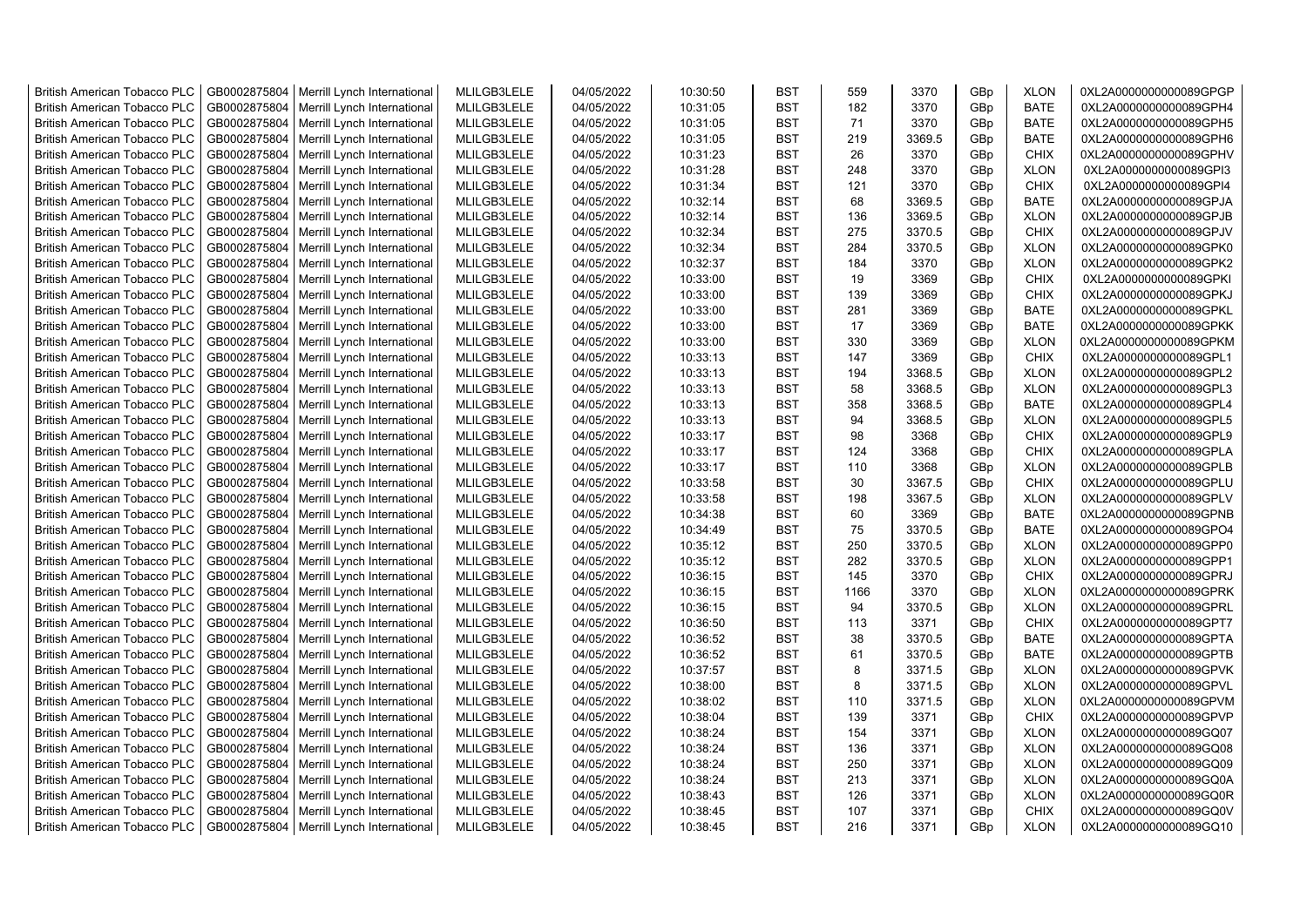| <b>British American Tobacco PLC</b> | GB0002875804 | Merrill Lynch International | MLILGB3LELE | 04/05/2022 | 10:30:50 | <b>BST</b> | 559  | 3370   | GBp | <b>XLON</b> | 0XL2A0000000000089GPGP |
|-------------------------------------|--------------|-----------------------------|-------------|------------|----------|------------|------|--------|-----|-------------|------------------------|
| <b>British American Tobacco PLC</b> | GB0002875804 | Merrill Lynch International | MLILGB3LELE | 04/05/2022 | 10:31:05 | <b>BST</b> | 182  | 3370   | GBp | <b>BATE</b> | 0XL2A0000000000089GPH4 |
| <b>British American Tobacco PLC</b> | GB0002875804 | Merrill Lynch International | MLILGB3LELE | 04/05/2022 | 10:31:05 | <b>BST</b> | 71   | 3370   | GBp | <b>BATE</b> | 0XL2A0000000000089GPH5 |
| <b>British American Tobacco PLC</b> | GB0002875804 | Merrill Lynch International | MLILGB3LELE | 04/05/2022 | 10:31:05 | <b>BST</b> | 219  | 3369.5 | GBp | <b>BATE</b> | 0XL2A0000000000089GPH6 |
| <b>British American Tobacco PLC</b> | GB0002875804 | Merrill Lynch International | MLILGB3LELE | 04/05/2022 | 10:31:23 | <b>BST</b> | 26   | 3370   | GBp | <b>CHIX</b> | 0XL2A0000000000089GPHV |
| <b>British American Tobacco PLC</b> | GB0002875804 | Merrill Lynch International | MLILGB3LELE | 04/05/2022 | 10:31:28 | <b>BST</b> | 248  | 3370   | GBp | <b>XLON</b> | 0XL2A0000000000089GPI3 |
| <b>British American Tobacco PLC</b> | GB0002875804 | Merrill Lynch International | MLILGB3LELE | 04/05/2022 | 10:31:34 | <b>BST</b> | 121  | 3370   | GBp | <b>CHIX</b> | 0XL2A0000000000089GPI4 |
| <b>British American Tobacco PLC</b> | GB0002875804 | Merrill Lynch International | MLILGB3LELE | 04/05/2022 | 10:32:14 | <b>BST</b> | 68   | 3369.5 | GBp | <b>BATE</b> | 0XL2A0000000000089GPJA |
| <b>British American Tobacco PLC</b> | GB0002875804 | Merrill Lynch International | MLILGB3LELE | 04/05/2022 | 10:32:14 | <b>BST</b> | 136  | 3369.5 | GBp | <b>XLON</b> | 0XL2A0000000000089GPJB |
| <b>British American Tobacco PLC</b> | GB0002875804 | Merrill Lynch International | MLILGB3LELE | 04/05/2022 | 10:32:34 | <b>BST</b> | 275  | 3370.5 | GBp | <b>CHIX</b> | 0XL2A0000000000089GPJV |
| British American Tobacco PLC        | GB0002875804 | Merrill Lynch International | MLILGB3LELE | 04/05/2022 | 10:32:34 | <b>BST</b> | 284  | 3370.5 | GBp | <b>XLON</b> | 0XL2A0000000000089GPK0 |
| <b>British American Tobacco PLC</b> | GB0002875804 | Merrill Lynch International | MLILGB3LELE | 04/05/2022 | 10:32:37 | <b>BST</b> | 184  | 3370   | GBp | <b>XLON</b> | 0XL2A0000000000089GPK2 |
| <b>British American Tobacco PLC</b> | GB0002875804 | Merrill Lynch International | MLILGB3LELE | 04/05/2022 | 10:33:00 | <b>BST</b> | 19   | 3369   | GBp | <b>CHIX</b> | 0XL2A0000000000089GPKI |
| <b>British American Tobacco PLC</b> | GB0002875804 | Merrill Lynch International | MLILGB3LELE | 04/05/2022 | 10:33:00 | <b>BST</b> | 139  | 3369   | GBp | <b>CHIX</b> | 0XL2A0000000000089GPKJ |
| <b>British American Tobacco PLC</b> | GB0002875804 | Merrill Lynch International | MLILGB3LELE | 04/05/2022 | 10:33:00 | <b>BST</b> | 281  | 3369   | GBp | <b>BATE</b> | 0XL2A0000000000089GPKL |
| <b>British American Tobacco PLC</b> | GB0002875804 | Merrill Lynch International | MLILGB3LELE | 04/05/2022 | 10:33:00 | <b>BST</b> | 17   | 3369   | GBp | <b>BATE</b> | 0XL2A0000000000089GPKK |
| <b>British American Tobacco PLC</b> | GB0002875804 | Merrill Lynch International | MLILGB3LELE | 04/05/2022 | 10:33:00 | <b>BST</b> | 330  | 3369   | GBp | <b>XLON</b> | 0XL2A0000000000089GPKM |
| <b>British American Tobacco PLC</b> | GB0002875804 | Merrill Lynch International | MLILGB3LELE | 04/05/2022 | 10:33:13 | <b>BST</b> | 147  | 3369   | GBp | <b>CHIX</b> | 0XL2A0000000000089GPL1 |
| <b>British American Tobacco PLC</b> | GB0002875804 | Merrill Lynch International | MLILGB3LELE | 04/05/2022 | 10:33:13 | <b>BST</b> | 194  | 3368.5 | GBp | <b>XLON</b> | 0XL2A0000000000089GPL2 |
| <b>British American Tobacco PLC</b> | GB0002875804 | Merrill Lynch International | MLILGB3LELE | 04/05/2022 | 10:33:13 | <b>BST</b> | 58   | 3368.5 | GBp | <b>XLON</b> | 0XL2A0000000000089GPL3 |
| <b>British American Tobacco PLC</b> | GB0002875804 | Merrill Lynch International | MLILGB3LELE | 04/05/2022 | 10:33:13 | <b>BST</b> | 358  | 3368.5 | GBp | <b>BATE</b> | 0XL2A0000000000089GPL4 |
| <b>British American Tobacco PLC</b> | GB0002875804 | Merrill Lynch International | MLILGB3LELE | 04/05/2022 | 10:33:13 | <b>BST</b> | 94   | 3368.5 | GBp | <b>XLON</b> | 0XL2A0000000000089GPL5 |
| <b>British American Tobacco PLC</b> | GB0002875804 | Merrill Lynch International | MLILGB3LELE | 04/05/2022 | 10:33:17 | <b>BST</b> | 98   | 3368   | GBp | <b>CHIX</b> | 0XL2A0000000000089GPL9 |
| <b>British American Tobacco PLC</b> | GB0002875804 | Merrill Lynch International | MLILGB3LELE | 04/05/2022 | 10:33:17 | <b>BST</b> | 124  | 3368   | GBp | <b>CHIX</b> | 0XL2A0000000000089GPLA |
| <b>British American Tobacco PLC</b> | GB0002875804 | Merrill Lynch International | MLILGB3LELE | 04/05/2022 | 10:33:17 | <b>BST</b> | 110  | 3368   | GBp | <b>XLON</b> | 0XL2A0000000000089GPLB |
| British American Tobacco PLC        | GB0002875804 | Merrill Lynch International | MLILGB3LELE | 04/05/2022 | 10:33:58 | <b>BST</b> | 30   | 3367.5 | GBp | <b>CHIX</b> | 0XL2A0000000000089GPLU |
| <b>British American Tobacco PLC</b> | GB0002875804 | Merrill Lynch International | MLILGB3LELE | 04/05/2022 | 10:33:58 | <b>BST</b> | 198  | 3367.5 | GBp | <b>XLON</b> | 0XL2A0000000000089GPLV |
| British American Tobacco PLC        | GB0002875804 | Merrill Lynch International | MLILGB3LELE | 04/05/2022 | 10:34:38 | <b>BST</b> | 60   | 3369   | GBp | <b>BATE</b> | 0XL2A0000000000089GPNB |
| <b>British American Tobacco PLC</b> | GB0002875804 | Merrill Lynch International | MLILGB3LELE | 04/05/2022 | 10:34:49 | <b>BST</b> | 75   | 3370.5 | GBp | <b>BATE</b> | 0XL2A0000000000089GPO4 |
| <b>British American Tobacco PLC</b> | GB0002875804 | Merrill Lynch International | MLILGB3LELE | 04/05/2022 | 10:35:12 | <b>BST</b> | 250  | 3370.5 | GBp | <b>XLON</b> | 0XL2A0000000000089GPP0 |
| <b>British American Tobacco PLC</b> | GB0002875804 | Merrill Lynch International | MLILGB3LELE | 04/05/2022 | 10:35:12 | <b>BST</b> | 282  | 3370.5 | GBp | <b>XLON</b> | 0XL2A0000000000089GPP1 |
| <b>British American Tobacco PLC</b> | GB0002875804 | Merrill Lynch International | MLILGB3LELE | 04/05/2022 | 10:36:15 | <b>BST</b> | 145  | 3370   | GBp | <b>CHIX</b> | 0XL2A0000000000089GPRJ |
| <b>British American Tobacco PLC</b> | GB0002875804 | Merrill Lynch International | MLILGB3LELE | 04/05/2022 | 10:36:15 | <b>BST</b> | 1166 | 3370   | GBp | <b>XLON</b> | 0XL2A0000000000089GPRK |
| <b>British American Tobacco PLC</b> | GB0002875804 | Merrill Lynch International | MLILGB3LELE | 04/05/2022 | 10:36:15 | <b>BST</b> | 94   | 3370.5 | GBp | <b>XLON</b> | 0XL2A0000000000089GPRL |
| <b>British American Tobacco PLC</b> | GB0002875804 | Merrill Lynch International | MLILGB3LELE | 04/05/2022 | 10:36:50 | <b>BST</b> | 113  | 3371   | GBp | <b>CHIX</b> | 0XL2A0000000000089GPT7 |
| <b>British American Tobacco PLC</b> | GB0002875804 | Merrill Lynch International | MLILGB3LELE | 04/05/2022 | 10:36:52 | <b>BST</b> | 38   | 3370.5 | GBp | <b>BATE</b> | 0XL2A0000000000089GPTA |
| <b>British American Tobacco PLC</b> | GB0002875804 | Merrill Lynch International | MLILGB3LELE | 04/05/2022 | 10:36:52 | <b>BST</b> | 61   | 3370.5 | GBp | <b>BATE</b> | 0XL2A0000000000089GPTB |
| <b>British American Tobacco PLC</b> | GB0002875804 | Merrill Lynch International | MLILGB3LELE | 04/05/2022 | 10:37:57 | <b>BST</b> | 8    | 3371.5 | GBp | <b>XLON</b> | 0XL2A0000000000089GPVK |
| <b>British American Tobacco PLC</b> | GB0002875804 | Merrill Lynch International | MLILGB3LELE | 04/05/2022 | 10:38:00 | <b>BST</b> | 8    | 3371.5 | GBp | <b>XLON</b> | 0XL2A0000000000089GPVL |
| <b>British American Tobacco PLC</b> | GB0002875804 | Merrill Lynch International | MLILGB3LELE | 04/05/2022 | 10:38:02 | <b>BST</b> | 110  | 3371.5 | GBp | <b>XLON</b> | 0XL2A0000000000089GPVM |
| <b>British American Tobacco PLC</b> | GB0002875804 | Merrill Lynch International | MLILGB3LELE | 04/05/2022 | 10:38:04 | <b>BST</b> | 139  | 3371   | GBp | <b>CHIX</b> | 0XL2A0000000000089GPVP |
| <b>British American Tobacco PLC</b> | GB0002875804 | Merrill Lynch International | MLILGB3LELE | 04/05/2022 | 10:38:24 | <b>BST</b> | 154  | 3371   | GBp | <b>XLON</b> | 0XL2A0000000000089GQ07 |
| British American Tobacco PLC        | GB0002875804 | Merrill Lynch International | MLILGB3LELE | 04/05/2022 | 10:38:24 | <b>BST</b> | 136  | 3371   | GBp | <b>XLON</b> | 0XL2A0000000000089GQ08 |
| British American Tobacco PLC        | GB0002875804 | Merrill Lynch International | MLILGB3LELE | 04/05/2022 | 10:38:24 | <b>BST</b> | 250  | 3371   | GBp | <b>XLON</b> | 0XL2A0000000000089GQ09 |
| <b>British American Tobacco PLC</b> | GB0002875804 | Merrill Lynch International | MLILGB3LELE | 04/05/2022 | 10:38:24 | <b>BST</b> | 213  | 3371   | GBp | <b>XLON</b> | 0XL2A0000000000089GQ0A |
| <b>British American Tobacco PLC</b> | GB0002875804 | Merrill Lynch International | MLILGB3LELE | 04/05/2022 | 10:38:43 | <b>BST</b> | 126  | 3371   | GBp | <b>XLON</b> | 0XL2A0000000000089GQ0R |
| <b>British American Tobacco PLC</b> | GB0002875804 | Merrill Lynch International | MLILGB3LELE | 04/05/2022 | 10:38:45 | <b>BST</b> | 107  | 3371   | GBp | <b>CHIX</b> | 0XL2A0000000000089GQ0V |
| <b>British American Tobacco PLC</b> | GB0002875804 | Merrill Lynch International | MLILGB3LELE | 04/05/2022 | 10:38:45 | <b>BST</b> | 216  | 3371   | GBp | <b>XLON</b> | 0XL2A0000000000089GQ10 |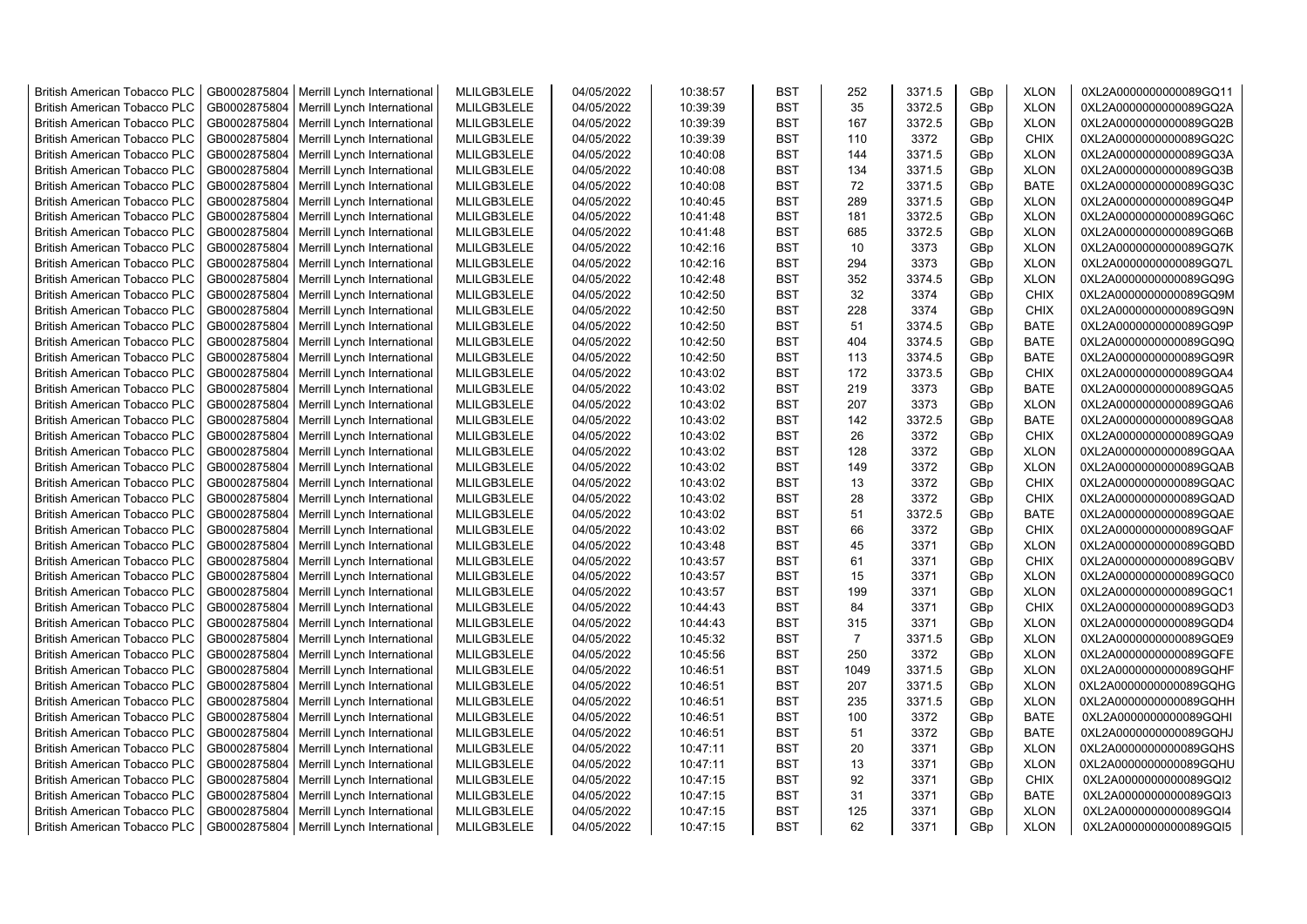| <b>British American Tobacco PLC</b> | GB0002875804 | Merrill Lynch International | MLILGB3LELE | 04/05/2022 | 10:38:57 | <b>BST</b>               | 252            | 3371.5 | GBp | <b>XLON</b> | 0XL2A0000000000089GQ11 |
|-------------------------------------|--------------|-----------------------------|-------------|------------|----------|--------------------------|----------------|--------|-----|-------------|------------------------|
| <b>British American Tobacco PLC</b> | GB0002875804 | Merrill Lynch International | MLILGB3LELE | 04/05/2022 | 10:39:39 | <b>BST</b>               | 35             | 3372.5 | GBp | <b>XLON</b> | 0XL2A0000000000089GQ2A |
| <b>British American Tobacco PLC</b> | GB0002875804 | Merrill Lynch International | MLILGB3LELE | 04/05/2022 | 10:39:39 | <b>BST</b>               | 167            | 3372.5 | GBp | <b>XLON</b> | 0XL2A0000000000089GQ2B |
| <b>British American Tobacco PLC</b> | GB0002875804 | Merrill Lynch International | MLILGB3LELE | 04/05/2022 | 10:39:39 | <b>BST</b>               | 110            | 3372   | GBp | <b>CHIX</b> | 0XL2A0000000000089GQ2C |
| <b>British American Tobacco PLC</b> | GB0002875804 | Merrill Lynch International | MLILGB3LELE | 04/05/2022 | 10:40:08 | <b>BST</b>               | 144            | 3371.5 | GBp | <b>XLON</b> | 0XL2A0000000000089GQ3A |
| <b>British American Tobacco PLC</b> | GB0002875804 | Merrill Lynch International | MLILGB3LELE | 04/05/2022 | 10:40:08 | <b>BST</b>               | 134            | 3371.5 | GBp | <b>XLON</b> | 0XL2A0000000000089GQ3B |
| <b>British American Tobacco PLC</b> | GB0002875804 | Merrill Lynch International | MLILGB3LELE | 04/05/2022 | 10:40:08 | <b>BST</b>               | 72             | 3371.5 | GBp | <b>BATE</b> | 0XL2A0000000000089GQ3C |
| <b>British American Tobacco PLC</b> | GB0002875804 | Merrill Lynch International | MLILGB3LELE | 04/05/2022 | 10:40:45 | <b>BST</b>               | 289            | 3371.5 | GBp | <b>XLON</b> | 0XL2A0000000000089GQ4P |
| <b>British American Tobacco PLC</b> | GB0002875804 | Merrill Lynch International | MLILGB3LELE | 04/05/2022 | 10:41:48 | <b>BST</b>               | 181            | 3372.5 | GBp | <b>XLON</b> | 0XL2A0000000000089GQ6C |
| <b>British American Tobacco PLC</b> | GB0002875804 | Merrill Lynch International | MLILGB3LELE | 04/05/2022 | 10:41:48 | <b>BST</b>               | 685            | 3372.5 | GBp | <b>XLON</b> | 0XL2A0000000000089GQ6B |
| <b>British American Tobacco PLC</b> | GB0002875804 | Merrill Lynch International | MLILGB3LELE | 04/05/2022 | 10:42:16 | <b>BST</b>               | 10             | 3373   | GBp | <b>XLON</b> | 0XL2A0000000000089GQ7K |
| <b>British American Tobacco PLC</b> | GB0002875804 | Merrill Lynch International | MLILGB3LELE | 04/05/2022 | 10:42:16 | <b>BST</b>               | 294            | 3373   | GBp | <b>XLON</b> | 0XL2A0000000000089GQ7L |
| <b>British American Tobacco PLC</b> | GB0002875804 | Merrill Lynch International | MLILGB3LELE | 04/05/2022 | 10:42:48 | <b>BST</b>               | 352            | 3374.5 | GBp | <b>XLON</b> | 0XL2A0000000000089GQ9G |
| <b>British American Tobacco PLC</b> | GB0002875804 | Merrill Lynch International | MLILGB3LELE | 04/05/2022 | 10:42:50 | <b>BST</b>               | 32             | 3374   | GBp | <b>CHIX</b> | 0XL2A0000000000089GQ9M |
| <b>British American Tobacco PLC</b> | GB0002875804 | Merrill Lynch International | MLILGB3LELE | 04/05/2022 | 10:42:50 | <b>BST</b>               | 228            | 3374   | GBp | <b>CHIX</b> | 0XL2A0000000000089GQ9N |
| <b>British American Tobacco PLC</b> | GB0002875804 | Merrill Lynch International | MLILGB3LELE | 04/05/2022 | 10:42:50 | <b>BST</b>               | 51             | 3374.5 | GBp | <b>BATE</b> | 0XL2A0000000000089GQ9P |
| <b>British American Tobacco PLC</b> | GB0002875804 | Merrill Lynch International | MLILGB3LELE | 04/05/2022 | 10:42:50 | <b>BST</b>               | 404            | 3374.5 | GBp | <b>BATE</b> | 0XL2A0000000000089GQ9Q |
| <b>British American Tobacco PLC</b> | GB0002875804 | Merrill Lynch International | MLILGB3LELE | 04/05/2022 | 10:42:50 | <b>BST</b>               | 113            | 3374.5 | GBp | <b>BATE</b> | 0XL2A0000000000089GQ9R |
| <b>British American Tobacco PLC</b> | GB0002875804 | Merrill Lynch International | MLILGB3LELE | 04/05/2022 | 10:43:02 | <b>BST</b>               | 172            | 3373.5 | GBp | <b>CHIX</b> | 0XL2A0000000000089GQA4 |
| <b>British American Tobacco PLC</b> | GB0002875804 | Merrill Lynch International | MLILGB3LELE | 04/05/2022 | 10:43:02 | <b>BST</b>               | 219            | 3373   | GBp | <b>BATE</b> | 0XL2A0000000000089GQA5 |
| <b>British American Tobacco PLC</b> | GB0002875804 | Merrill Lynch International | MLILGB3LELE | 04/05/2022 | 10:43:02 | <b>BST</b>               | 207            | 3373   | GBp | <b>XLON</b> | 0XL2A0000000000089GQA6 |
| <b>British American Tobacco PLC</b> | GB0002875804 | Merrill Lynch International | MLILGB3LELE | 04/05/2022 | 10:43:02 | <b>BST</b>               | 142            | 3372.5 | GBp | <b>BATE</b> | 0XL2A0000000000089GQA8 |
| <b>British American Tobacco PLC</b> | GB0002875804 | Merrill Lynch International | MLILGB3LELE | 04/05/2022 | 10:43:02 | <b>BST</b>               | 26             | 3372   | GBp | <b>CHIX</b> | 0XL2A0000000000089GQA9 |
| <b>British American Tobacco PLC</b> | GB0002875804 | Merrill Lynch International | MLILGB3LELE | 04/05/2022 | 10:43:02 | <b>BST</b>               | 128            | 3372   | GBp | <b>XLON</b> | 0XL2A0000000000089GQAA |
| <b>British American Tobacco PLC</b> | GB0002875804 | Merrill Lynch International | MLILGB3LELE | 04/05/2022 | 10:43:02 | <b>BST</b>               | 149            | 3372   | GBp | <b>XLON</b> | 0XL2A0000000000089GQAB |
| British American Tobacco PLC        | GB0002875804 | Merrill Lynch International | MLILGB3LELE | 04/05/2022 | 10:43:02 | <b>BST</b>               | 13             | 3372   | GBp | <b>CHIX</b> | 0XL2A0000000000089GQAC |
| British American Tobacco PLC        | GB0002875804 | Merrill Lynch International | MLILGB3LELE | 04/05/2022 | 10:43:02 | <b>BST</b>               | 28             | 3372   | GBp | <b>CHIX</b> | 0XL2A0000000000089GQAD |
| British American Tobacco PLC        | GB0002875804 | Merrill Lynch International | MLILGB3LELE | 04/05/2022 | 10:43:02 | <b>BST</b>               | 51             | 3372.5 | GBp | <b>BATE</b> | 0XL2A0000000000089GQAE |
| <b>British American Tobacco PLC</b> | GB0002875804 | Merrill Lynch International | MLILGB3LELE | 04/05/2022 | 10:43:02 | <b>BST</b>               | 66             | 3372   | GBp | <b>CHIX</b> | 0XL2A0000000000089GQAF |
| <b>British American Tobacco PLC</b> | GB0002875804 | Merrill Lynch International | MLILGB3LELE | 04/05/2022 | 10:43:48 | <b>BST</b>               | 45             | 3371   | GBp | <b>XLON</b> | 0XL2A0000000000089GQBD |
| <b>British American Tobacco PLC</b> | GB0002875804 | Merrill Lynch International | MLILGB3LELE | 04/05/2022 | 10:43:57 | <b>BST</b>               | 61             | 3371   | GBp | <b>CHIX</b> | 0XL2A0000000000089GQBV |
| <b>British American Tobacco PLC</b> | GB0002875804 | Merrill Lynch International | MLILGB3LELE | 04/05/2022 | 10:43:57 | <b>BST</b>               | 15             | 3371   | GBp | <b>XLON</b> | 0XL2A0000000000089GQC0 |
| <b>British American Tobacco PLC</b> | GB0002875804 | Merrill Lynch International | MLILGB3LELE | 04/05/2022 | 10:43:57 | <b>BST</b>               | 199            | 3371   | GBp | <b>XLON</b> | 0XL2A0000000000089GQC1 |
| <b>British American Tobacco PLC</b> | GB0002875804 | Merrill Lynch International | MLILGB3LELE | 04/05/2022 | 10:44:43 | <b>BST</b>               | 84             | 3371   | GBp | <b>CHIX</b> | 0XL2A0000000000089GQD3 |
| <b>British American Tobacco PLC</b> | GB0002875804 | Merrill Lynch International | MLILGB3LELE | 04/05/2022 | 10:44:43 | <b>BST</b>               | 315            | 3371   | GBp | <b>XLON</b> | 0XL2A0000000000089GQD4 |
| <b>British American Tobacco PLC</b> | GB0002875804 | Merrill Lynch International | MLILGB3LELE | 04/05/2022 | 10:45:32 | <b>BST</b>               | $\overline{7}$ | 3371.5 | GBp | <b>XLON</b> | 0XL2A0000000000089GQE9 |
| British American Tobacco PLC        | GB0002875804 | Merrill Lynch International | MLILGB3LELE | 04/05/2022 | 10:45:56 | <b>BST</b>               | 250            | 3372   | GBp | <b>XLON</b> | 0XL2A0000000000089GQFE |
| <b>British American Tobacco PLC</b> | GB0002875804 | Merrill Lynch International | MLILGB3LELE | 04/05/2022 | 10:46:51 | <b>BST</b>               | 1049           | 3371.5 | GBp | <b>XLON</b> | 0XL2A0000000000089GQHF |
| <b>British American Tobacco PLC</b> | GB0002875804 |                             | MLILGB3LELE | 04/05/2022 | 10:46:51 | <b>BST</b>               | 207            | 3371.5 | GBp | <b>XLON</b> | 0XL2A0000000000089GQHG |
|                                     | GB0002875804 | Merrill Lynch International | MLILGB3LELE | 04/05/2022 |          | <b>BST</b>               | 235            | 3371.5 |     | <b>XLON</b> |                        |
| <b>British American Tobacco PLC</b> |              | Merrill Lynch International |             |            | 10:46:51 |                          |                |        | GBp |             | 0XL2A0000000000089GQHH |
| British American Tobacco PLC        | GB0002875804 | Merrill Lynch International | MLILGB3LELE | 04/05/2022 | 10:46:51 | <b>BST</b>               | 100            | 3372   | GBp | <b>BATE</b> | 0XL2A0000000000089GQHI |
| <b>British American Tobacco PLC</b> | GB0002875804 | Merrill Lynch International | MLILGB3LELE | 04/05/2022 | 10:46:51 | <b>BST</b>               | 51             | 3372   | GBp | <b>BATE</b> | 0XL2A0000000000089GQHJ |
| British American Tobacco PLC        | GB0002875804 | Merrill Lynch International | MLILGB3LELE | 04/05/2022 | 10:47:11 | <b>BST</b>               | 20             | 3371   | GBp | <b>XLON</b> | 0XL2A0000000000089GQHS |
| British American Tobacco PLC        | GB0002875804 | Merrill Lynch International | MLILGB3LELE | 04/05/2022 | 10:47:11 | <b>BST</b><br><b>BST</b> | 13             | 3371   | GBp | <b>XLON</b> | 0XL2A0000000000089GQHU |
| <b>British American Tobacco PLC</b> | GB0002875804 | Merrill Lynch International | MLILGB3LELE | 04/05/2022 | 10:47:15 |                          | 92             | 3371   | GBp | <b>CHIX</b> | 0XL2A0000000000089GQI2 |
| <b>British American Tobacco PLC</b> | GB0002875804 | Merrill Lynch International | MLILGB3LELE | 04/05/2022 | 10:47:15 | <b>BST</b>               | 31             | 3371   | GBp | <b>BATE</b> | 0XL2A0000000000089GQI3 |
| <b>British American Tobacco PLC</b> | GB0002875804 | Merrill Lynch International | MLILGB3LELE | 04/05/2022 | 10:47:15 | <b>BST</b>               | 125            | 3371   | GBp | <b>XLON</b> | 0XL2A0000000000089GQI4 |
| <b>British American Tobacco PLC</b> | GB0002875804 | Merrill Lynch International | MLILGB3LELE | 04/05/2022 | 10:47:15 | <b>BST</b>               | 62             | 3371   | GBp | <b>XLON</b> | 0XL2A0000000000089GQI5 |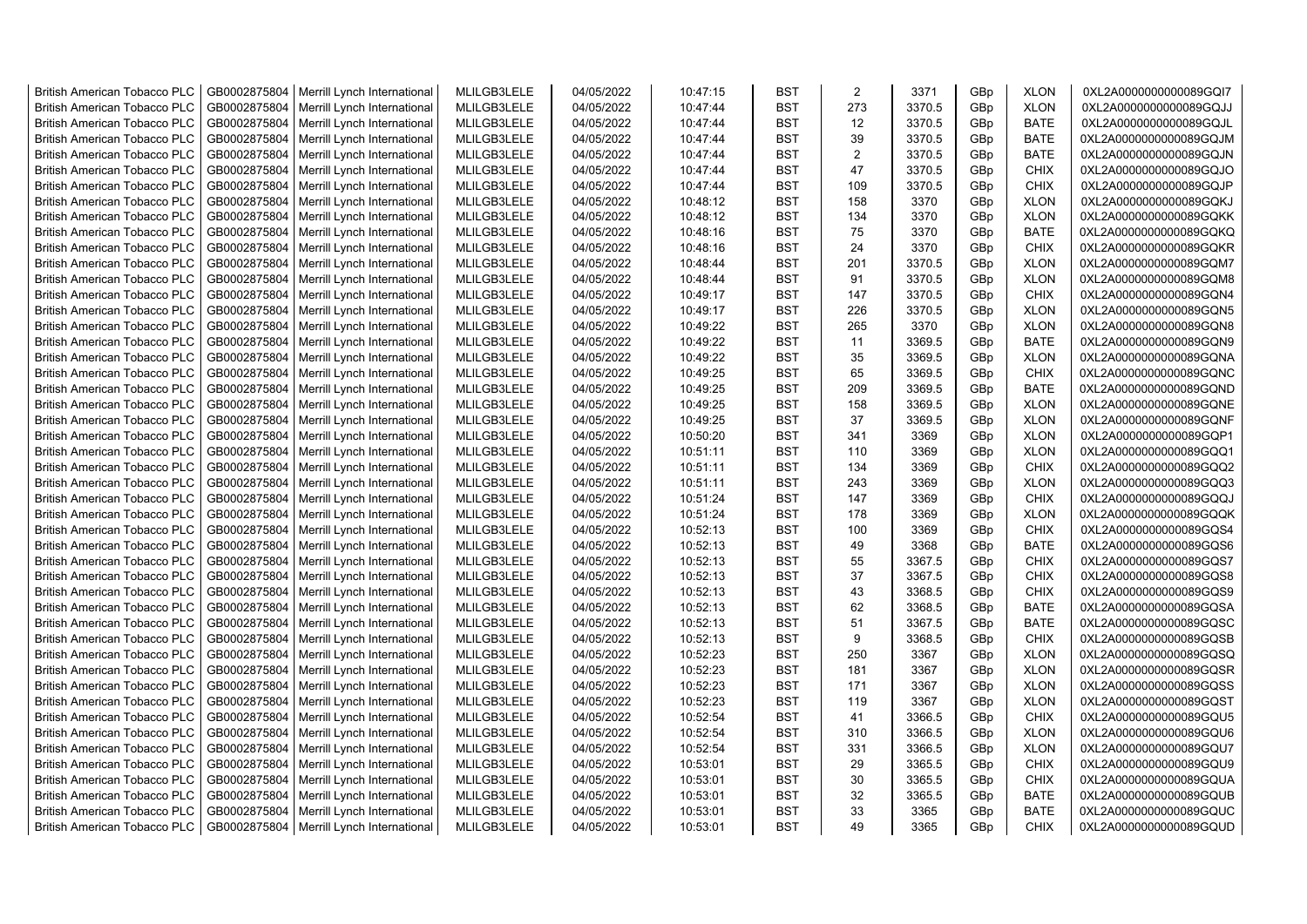| <b>British American Tobacco PLC</b> | GB0002875804 | Merrill Lynch International | MLILGB3LELE | 04/05/2022 | 10:47:15 | <b>BST</b> | 2   | 3371   | GBp             | <b>XLON</b> | 0XL2A0000000000089GQI7 |
|-------------------------------------|--------------|-----------------------------|-------------|------------|----------|------------|-----|--------|-----------------|-------------|------------------------|
| <b>British American Tobacco PLC</b> | GB0002875804 | Merrill Lynch International | MLILGB3LELE | 04/05/2022 | 10:47:44 | <b>BST</b> | 273 | 3370.5 | GBp             | <b>XLON</b> | 0XL2A0000000000089GQJJ |
| <b>British American Tobacco PLC</b> | GB0002875804 | Merrill Lynch International | MLILGB3LELE | 04/05/2022 | 10:47:44 | <b>BST</b> | 12  | 3370.5 | GBp             | <b>BATE</b> | 0XL2A0000000000089GQJL |
| <b>British American Tobacco PLC</b> | GB0002875804 | Merrill Lynch International | MLILGB3LELE | 04/05/2022 | 10:47:44 | <b>BST</b> | 39  | 3370.5 | GBp             | <b>BATE</b> | 0XL2A0000000000089GQJM |
| <b>British American Tobacco PLC</b> | GB0002875804 | Merrill Lynch International | MLILGB3LELE | 04/05/2022 | 10:47:44 | <b>BST</b> | 2   | 3370.5 | GBp             | <b>BATE</b> | 0XL2A0000000000089GQJN |
| <b>British American Tobacco PLC</b> | GB0002875804 | Merrill Lynch International | MLILGB3LELE | 04/05/2022 | 10:47:44 | <b>BST</b> | 47  | 3370.5 | GBp             | <b>CHIX</b> | 0XL2A0000000000089GQJO |
| <b>British American Tobacco PLC</b> | GB0002875804 | Merrill Lynch International | MLILGB3LELE | 04/05/2022 | 10:47:44 | <b>BST</b> | 109 | 3370.5 | GBp             | <b>CHIX</b> | 0XL2A0000000000089GQJP |
| <b>British American Tobacco PLC</b> | GB0002875804 | Merrill Lynch International | MLILGB3LELE | 04/05/2022 | 10:48:12 | <b>BST</b> | 158 | 3370   | GBp             | <b>XLON</b> | 0XL2A0000000000089GQKJ |
| <b>British American Tobacco PLC</b> | GB0002875804 | Merrill Lynch International | MLILGB3LELE | 04/05/2022 | 10:48:12 | <b>BST</b> | 134 | 3370   | GBp             | <b>XLON</b> | 0XL2A0000000000089GQKK |
| <b>British American Tobacco PLC</b> | GB0002875804 | Merrill Lynch International | MLILGB3LELE | 04/05/2022 | 10:48:16 | <b>BST</b> | 75  | 3370   | GBp             | <b>BATE</b> | 0XL2A0000000000089GQKQ |
| <b>British American Tobacco PLC</b> | GB0002875804 | Merrill Lynch International | MLILGB3LELE | 04/05/2022 | 10:48:16 | <b>BST</b> | 24  | 3370   | GBp             | <b>CHIX</b> | 0XL2A0000000000089GQKR |
| <b>British American Tobacco PLC</b> | GB0002875804 | Merrill Lynch International | MLILGB3LELE | 04/05/2022 | 10:48:44 | <b>BST</b> | 201 | 3370.5 | GBp             | <b>XLON</b> | 0XL2A0000000000089GQM7 |
| <b>British American Tobacco PLC</b> | GB0002875804 | Merrill Lynch International | MLILGB3LELE | 04/05/2022 | 10:48:44 | <b>BST</b> | 91  | 3370.5 | GBp             | <b>XLON</b> | 0XL2A0000000000089GQM8 |
| <b>British American Tobacco PLC</b> | GB0002875804 | Merrill Lynch International | MLILGB3LELE | 04/05/2022 | 10:49:17 | <b>BST</b> | 147 | 3370.5 | GBp             | <b>CHIX</b> | 0XL2A0000000000089GQN4 |
| <b>British American Tobacco PLC</b> | GB0002875804 | Merrill Lynch International | MLILGB3LELE | 04/05/2022 | 10:49:17 | <b>BST</b> | 226 | 3370.5 | GBp             | <b>XLON</b> | 0XL2A0000000000089GQN5 |
| <b>British American Tobacco PLC</b> | GB0002875804 | Merrill Lynch International | MLILGB3LELE | 04/05/2022 | 10:49:22 | <b>BST</b> | 265 | 3370   | GBp             | <b>XLON</b> | 0XL2A0000000000089GQN8 |
| British American Tobacco PLC        | GB0002875804 | Merrill Lynch International | MLILGB3LELE | 04/05/2022 | 10:49:22 | <b>BST</b> | 11  | 3369.5 | GBp             | <b>BATE</b> | 0XL2A0000000000089GQN9 |
| <b>British American Tobacco PLC</b> | GB0002875804 | Merrill Lynch International | MLILGB3LELE | 04/05/2022 | 10:49:22 | <b>BST</b> | 35  | 3369.5 | GBp             | <b>XLON</b> | 0XL2A0000000000089GQNA |
| <b>British American Tobacco PLC</b> | GB0002875804 | Merrill Lynch International | MLILGB3LELE | 04/05/2022 | 10:49:25 | <b>BST</b> | 65  | 3369.5 | GBp             | <b>CHIX</b> | 0XL2A0000000000089GQNC |
| <b>British American Tobacco PLC</b> | GB0002875804 | Merrill Lynch International | MLILGB3LELE | 04/05/2022 | 10:49:25 | <b>BST</b> | 209 | 3369.5 | GBp             | <b>BATE</b> | 0XL2A0000000000089GQND |
| <b>British American Tobacco PLC</b> | GB0002875804 | Merrill Lynch International | MLILGB3LELE | 04/05/2022 | 10:49:25 | <b>BST</b> | 158 | 3369.5 | GBp             | <b>XLON</b> | 0XL2A0000000000089GQNE |
| <b>British American Tobacco PLC</b> | GB0002875804 | Merrill Lynch International | MLILGB3LELE | 04/05/2022 | 10:49:25 | <b>BST</b> | 37  | 3369.5 | GBp             | <b>XLON</b> | 0XL2A0000000000089GQNF |
| British American Tobacco PLC        | GB0002875804 | Merrill Lynch International | MLILGB3LELE | 04/05/2022 | 10:50:20 | <b>BST</b> | 341 | 3369   | GBp             | <b>XLON</b> | 0XL2A0000000000089GQP1 |
| <b>British American Tobacco PLC</b> | GB0002875804 | Merrill Lynch International | MLILGB3LELE | 04/05/2022 | 10:51:11 | <b>BST</b> | 110 | 3369   | GBp             | <b>XLON</b> | 0XL2A0000000000089GQQ1 |
| <b>British American Tobacco PLC</b> | GB0002875804 | Merrill Lynch International | MLILGB3LELE | 04/05/2022 | 10:51:11 | <b>BST</b> | 134 | 3369   | GBp             | <b>CHIX</b> | 0XL2A0000000000089GQQ2 |
| <b>British American Tobacco PLC</b> | GB0002875804 | Merrill Lynch International | MLILGB3LELE | 04/05/2022 | 10:51:11 | <b>BST</b> | 243 | 3369   | GBp             | <b>XLON</b> | 0XL2A0000000000089GQQ3 |
| <b>British American Tobacco PLC</b> | GB0002875804 | Merrill Lynch International | MLILGB3LELE | 04/05/2022 | 10:51:24 | <b>BST</b> | 147 | 3369   | GBp             | <b>CHIX</b> | 0XL2A0000000000089GQQJ |
| <b>British American Tobacco PLC</b> | GB0002875804 | Merrill Lynch International | MLILGB3LELE | 04/05/2022 | 10:51:24 | <b>BST</b> | 178 | 3369   | GBp             | <b>XLON</b> | 0XL2A0000000000089GQQK |
| <b>British American Tobacco PLC</b> | GB0002875804 | Merrill Lynch International | MLILGB3LELE | 04/05/2022 | 10:52:13 | <b>BST</b> | 100 | 3369   | GBp             | <b>CHIX</b> | 0XL2A0000000000089GQS4 |
| <b>British American Tobacco PLC</b> | GB0002875804 | Merrill Lynch International | MLILGB3LELE | 04/05/2022 | 10:52:13 | <b>BST</b> | 49  | 3368   | GBp             | <b>BATE</b> | 0XL2A0000000000089GQS6 |
| <b>British American Tobacco PLC</b> | GB0002875804 | Merrill Lynch International | MLILGB3LELE | 04/05/2022 | 10:52:13 | <b>BST</b> | 55  | 3367.5 | GBp             | <b>CHIX</b> | 0XL2A0000000000089GQS7 |
| <b>British American Tobacco PLC</b> | GB0002875804 | Merrill Lynch International | MLILGB3LELE | 04/05/2022 | 10:52:13 | <b>BST</b> | 37  | 3367.5 | GBp             | <b>CHIX</b> | 0XL2A0000000000089GQS8 |
| <b>British American Tobacco PLC</b> | GB0002875804 | Merrill Lynch International | MLILGB3LELE | 04/05/2022 | 10:52:13 | <b>BST</b> | 43  | 3368.5 | GBp             | <b>CHIX</b> | 0XL2A0000000000089GQS9 |
| <b>British American Tobacco PLC</b> | GB0002875804 | Merrill Lynch International | MLILGB3LELE | 04/05/2022 | 10:52:13 | <b>BST</b> | 62  | 3368.5 | GBp             | <b>BATE</b> | 0XL2A0000000000089GQSA |
| <b>British American Tobacco PLC</b> | GB0002875804 | Merrill Lynch International | MLILGB3LELE | 04/05/2022 | 10:52:13 | <b>BST</b> | 51  | 3367.5 | GBp             | <b>BATE</b> | 0XL2A0000000000089GQSC |
| <b>British American Tobacco PLC</b> | GB0002875804 | Merrill Lynch International | MLILGB3LELE | 04/05/2022 | 10:52:13 | <b>BST</b> | 9   | 3368.5 | GBp             | <b>CHIX</b> | 0XL2A0000000000089GQSB |
| <b>British American Tobacco PLC</b> | GB0002875804 | Merrill Lynch International | MLILGB3LELE | 04/05/2022 | 10:52:23 | <b>BST</b> | 250 | 3367   | GBp             | <b>XLON</b> | 0XL2A0000000000089GQSQ |
| <b>British American Tobacco PLC</b> | GB0002875804 | Merrill Lynch International | MLILGB3LELE | 04/05/2022 | 10:52:23 | <b>BST</b> | 181 | 3367   | GBp             | <b>XLON</b> | 0XL2A0000000000089GQSR |
| <b>British American Tobacco PLC</b> | GB0002875804 | Merrill Lynch International | MLILGB3LELE | 04/05/2022 | 10:52:23 | <b>BST</b> | 171 | 3367   | GBp             | <b>XLON</b> | 0XL2A0000000000089GQSS |
| <b>British American Tobacco PLC</b> | GB0002875804 | Merrill Lynch International | MLILGB3LELE | 04/05/2022 | 10:52:23 | <b>BST</b> | 119 | 3367   | GBp             | <b>XLON</b> | 0XL2A0000000000089GQST |
| <b>British American Tobacco PLC</b> | GB0002875804 | Merrill Lynch International | MLILGB3LELE | 04/05/2022 | 10:52:54 | <b>BST</b> | 41  | 3366.5 | GBp             | <b>CHIX</b> | 0XL2A0000000000089GQU5 |
| <b>British American Tobacco PLC</b> | GB0002875804 | Merrill Lynch International | MLILGB3LELE | 04/05/2022 | 10:52:54 | <b>BST</b> | 310 | 3366.5 | GBp             | <b>XLON</b> | 0XL2A0000000000089GQU6 |
| <b>British American Tobacco PLC</b> | GB0002875804 | Merrill Lynch International | MLILGB3LELE | 04/05/2022 | 10:52:54 | <b>BST</b> | 331 | 3366.5 | GBp             | <b>XLON</b> | 0XL2A0000000000089GQU7 |
| <b>British American Tobacco PLC</b> | GB0002875804 | Merrill Lynch International | MLILGB3LELE | 04/05/2022 | 10:53:01 | <b>BST</b> | 29  | 3365.5 | GBp             | <b>CHIX</b> | 0XL2A0000000000089GQU9 |
| <b>British American Tobacco PLC</b> | GB0002875804 | Merrill Lynch International | MLILGB3LELE | 04/05/2022 | 10:53:01 | <b>BST</b> | 30  | 3365.5 | GBp             | <b>CHIX</b> | 0XL2A0000000000089GQUA |
| <b>British American Tobacco PLC</b> | GB0002875804 | Merrill Lynch International | MLILGB3LELE | 04/05/2022 | 10:53:01 | <b>BST</b> | 32  | 3365.5 | GBp             | <b>BATE</b> | 0XL2A0000000000089GQUB |
| <b>British American Tobacco PLC</b> | GB0002875804 | Merrill Lynch International | MLILGB3LELE | 04/05/2022 | 10:53:01 | <b>BST</b> | 33  | 3365   | GBp             | <b>BATE</b> | 0XL2A0000000000089GQUC |
| <b>British American Tobacco PLC</b> | GB0002875804 | Merrill Lynch International | MLILGB3LELE | 04/05/2022 | 10:53:01 | <b>BST</b> | 49  | 3365   | GB <sub>p</sub> | <b>CHIX</b> | 0XL2A0000000000089GQUD |
|                                     |              |                             |             |            |          |            |     |        |                 |             |                        |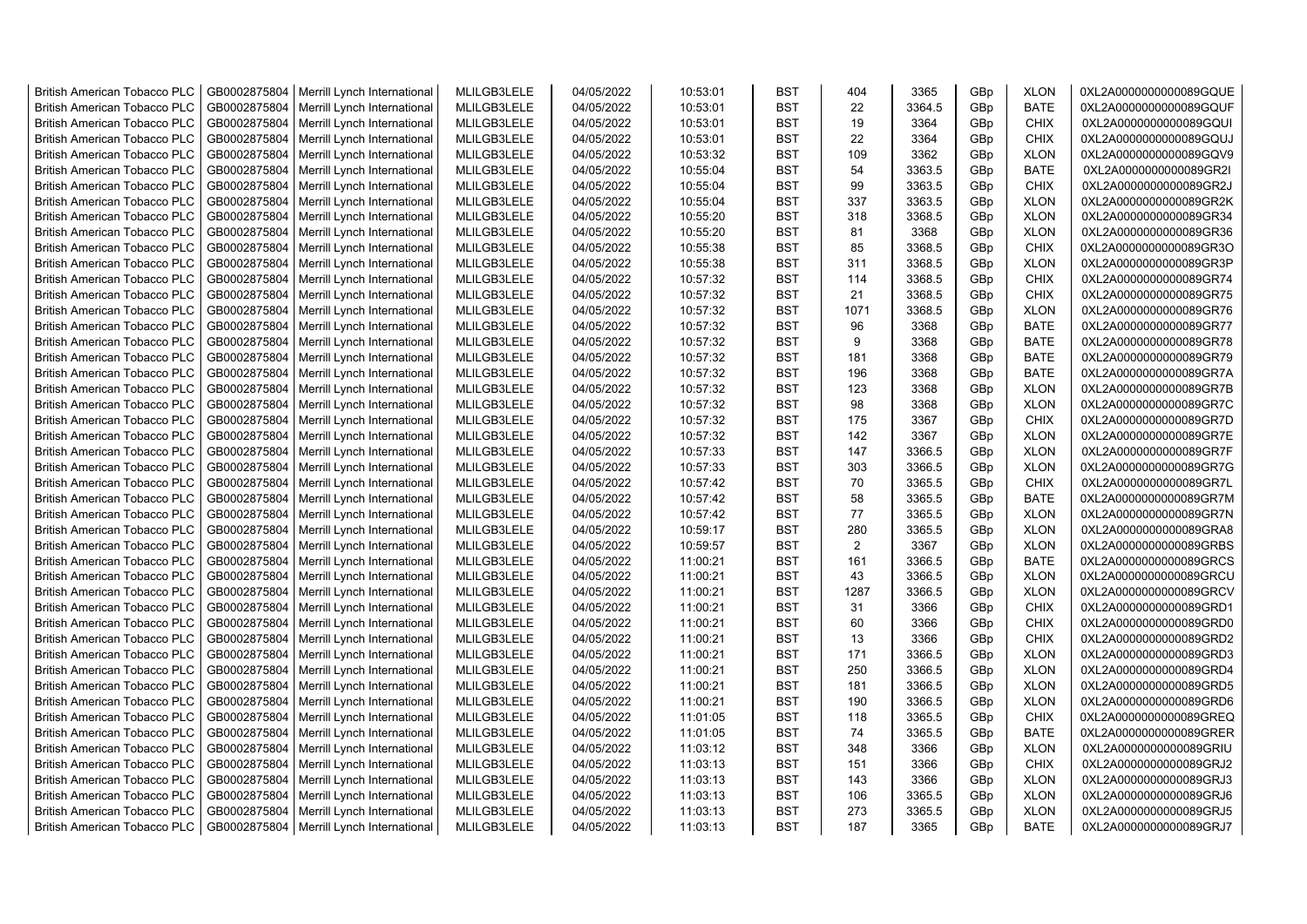| <b>British American Tobacco PLC</b> | GB0002875804 | Merrill Lynch International | MLILGB3LELE | 04/05/2022 | 10:53:01 | <b>BST</b> | 404            | 3365   | GBp             | <b>XLON</b> | 0XL2A0000000000089GQUE |
|-------------------------------------|--------------|-----------------------------|-------------|------------|----------|------------|----------------|--------|-----------------|-------------|------------------------|
| <b>British American Tobacco PLC</b> | GB0002875804 | Merrill Lynch International | MLILGB3LELE | 04/05/2022 | 10:53:01 | <b>BST</b> | 22             | 3364.5 | GBp             | <b>BATE</b> | 0XL2A0000000000089GQUF |
| <b>British American Tobacco PLC</b> | GB0002875804 | Merrill Lynch International | MLILGB3LELE | 04/05/2022 | 10:53:01 | <b>BST</b> | 19             | 3364   | GBp             | <b>CHIX</b> | 0XL2A0000000000089GQUI |
| <b>British American Tobacco PLC</b> | GB0002875804 | Merrill Lynch International | MLILGB3LELE | 04/05/2022 | 10:53:01 | <b>BST</b> | 22             | 3364   | GBp             | <b>CHIX</b> | 0XL2A0000000000089GQUJ |
| <b>British American Tobacco PLC</b> | GB0002875804 | Merrill Lynch International | MLILGB3LELE | 04/05/2022 | 10:53:32 | <b>BST</b> | 109            | 3362   | GBp             | <b>XLON</b> | 0XL2A0000000000089GQV9 |
| <b>British American Tobacco PLC</b> | GB0002875804 | Merrill Lynch International | MLILGB3LELE | 04/05/2022 | 10:55:04 | <b>BST</b> | 54             | 3363.5 | GBp             | <b>BATE</b> | 0XL2A0000000000089GR2I |
| British American Tobacco PLC        | GB0002875804 | Merrill Lynch International | MLILGB3LELE | 04/05/2022 | 10:55:04 | <b>BST</b> | 99             | 3363.5 | GBp             | <b>CHIX</b> | 0XL2A0000000000089GR2J |
| <b>British American Tobacco PLC</b> | GB0002875804 | Merrill Lynch International | MLILGB3LELE | 04/05/2022 | 10:55:04 | <b>BST</b> | 337            | 3363.5 | GBp             | <b>XLON</b> | 0XL2A0000000000089GR2K |
| <b>British American Tobacco PLC</b> | GB0002875804 | Merrill Lynch International | MLILGB3LELE | 04/05/2022 | 10:55:20 | <b>BST</b> | 318            | 3368.5 | GBp             | <b>XLON</b> | 0XL2A0000000000089GR34 |
| <b>British American Tobacco PLC</b> | GB0002875804 | Merrill Lynch International | MLILGB3LELE | 04/05/2022 | 10:55:20 | <b>BST</b> | 81             | 3368   | GBp             | <b>XLON</b> | 0XL2A0000000000089GR36 |
| <b>British American Tobacco PLC</b> | GB0002875804 | Merrill Lynch International | MLILGB3LELE | 04/05/2022 | 10:55:38 | <b>BST</b> | 85             | 3368.5 | GBp             | <b>CHIX</b> | 0XL2A0000000000089GR3O |
| <b>British American Tobacco PLC</b> | GB0002875804 | Merrill Lynch International | MLILGB3LELE | 04/05/2022 | 10:55:38 | <b>BST</b> | 311            | 3368.5 | GBp             | <b>XLON</b> | 0XL2A0000000000089GR3P |
| <b>British American Tobacco PLC</b> | GB0002875804 | Merrill Lynch International | MLILGB3LELE | 04/05/2022 | 10:57:32 | <b>BST</b> | 114            | 3368.5 | GBp             | <b>CHIX</b> | 0XL2A0000000000089GR74 |
| <b>British American Tobacco PLC</b> | GB0002875804 | Merrill Lynch International | MLILGB3LELE | 04/05/2022 | 10:57:32 | <b>BST</b> | 21             | 3368.5 | GBp             | <b>CHIX</b> | 0XL2A0000000000089GR75 |
| <b>British American Tobacco PLC</b> | GB0002875804 | Merrill Lynch International | MLILGB3LELE | 04/05/2022 | 10:57:32 | <b>BST</b> | 1071           | 3368.5 | GBp             | <b>XLON</b> | 0XL2A0000000000089GR76 |
| British American Tobacco PLC        | GB0002875804 | Merrill Lynch International | MLILGB3LELE | 04/05/2022 | 10:57:32 | <b>BST</b> | 96             | 3368   | GBp             | <b>BATE</b> | 0XL2A0000000000089GR77 |
| British American Tobacco PLC        | GB0002875804 | Merrill Lynch International | MLILGB3LELE | 04/05/2022 | 10:57:32 | <b>BST</b> | 9              | 3368   | GBp             | <b>BATE</b> | 0XL2A0000000000089GR78 |
| <b>British American Tobacco PLC</b> | GB0002875804 | Merrill Lynch International | MLILGB3LELE | 04/05/2022 | 10:57:32 | <b>BST</b> | 181            | 3368   | GBp             | <b>BATE</b> | 0XL2A0000000000089GR79 |
| <b>British American Tobacco PLC</b> | GB0002875804 | Merrill Lynch International | MLILGB3LELE | 04/05/2022 | 10:57:32 | <b>BST</b> | 196            | 3368   | GBp             | <b>BATE</b> | 0XL2A0000000000089GR7A |
| <b>British American Tobacco PLC</b> | GB0002875804 | Merrill Lynch International | MLILGB3LELE | 04/05/2022 | 10:57:32 | <b>BST</b> | 123            | 3368   | GBp             | <b>XLON</b> | 0XL2A0000000000089GR7B |
| <b>British American Tobacco PLC</b> | GB0002875804 | Merrill Lynch International | MLILGB3LELE | 04/05/2022 | 10:57:32 | <b>BST</b> | 98             | 3368   | GBp             | <b>XLON</b> | 0XL2A0000000000089GR7C |
| <b>British American Tobacco PLC</b> | GB0002875804 | Merrill Lynch International | MLILGB3LELE | 04/05/2022 | 10:57:32 | <b>BST</b> | 175            | 3367   | GBp             | <b>CHIX</b> | 0XL2A0000000000089GR7D |
| British American Tobacco PLC        | GB0002875804 | Merrill Lynch International | MLILGB3LELE | 04/05/2022 | 10:57:32 | <b>BST</b> | 142            | 3367   | GBp             | <b>XLON</b> | 0XL2A0000000000089GR7E |
| <b>British American Tobacco PLC</b> | GB0002875804 | Merrill Lynch International | MLILGB3LELE | 04/05/2022 | 10:57:33 | <b>BST</b> | 147            | 3366.5 | GBp             | <b>XLON</b> | 0XL2A0000000000089GR7F |
| <b>British American Tobacco PLC</b> | GB0002875804 | Merrill Lynch International | MLILGB3LELE | 04/05/2022 | 10:57:33 | <b>BST</b> | 303            | 3366.5 | GBp             | <b>XLON</b> | 0XL2A0000000000089GR7G |
| <b>British American Tobacco PLC</b> | GB0002875804 | Merrill Lynch International | MLILGB3LELE | 04/05/2022 | 10:57:42 | <b>BST</b> | 70             | 3365.5 | GBp             | <b>CHIX</b> | 0XL2A0000000000089GR7L |
| <b>British American Tobacco PLC</b> | GB0002875804 | Merrill Lynch International | MLILGB3LELE | 04/05/2022 | 10:57:42 | <b>BST</b> | 58             | 3365.5 | GBp             | <b>BATE</b> | 0XL2A0000000000089GR7M |
| <b>British American Tobacco PLC</b> | GB0002875804 | Merrill Lynch International | MLILGB3LELE | 04/05/2022 | 10:57:42 | <b>BST</b> | 77             | 3365.5 | GBp             | <b>XLON</b> | 0XL2A0000000000089GR7N |
| <b>British American Tobacco PLC</b> | GB0002875804 | Merrill Lynch International | MLILGB3LELE | 04/05/2022 | 10:59:17 | <b>BST</b> | 280            | 3365.5 | GBp             | <b>XLON</b> | 0XL2A0000000000089GRA8 |
| <b>British American Tobacco PLC</b> | GB0002875804 | Merrill Lynch International | MLILGB3LELE | 04/05/2022 | 10:59:57 | <b>BST</b> | $\overline{2}$ | 3367   | GBp             | <b>XLON</b> | 0XL2A0000000000089GRBS |
| <b>British American Tobacco PLC</b> | GB0002875804 | Merrill Lynch International | MLILGB3LELE | 04/05/2022 | 11:00:21 | <b>BST</b> | 161            | 3366.5 | GBp             | <b>BATE</b> | 0XL2A0000000000089GRCS |
| <b>British American Tobacco PLC</b> | GB0002875804 | Merrill Lynch International | MLILGB3LELE | 04/05/2022 | 11:00:21 | <b>BST</b> | 43             | 3366.5 | GBp             | <b>XLON</b> | 0XL2A0000000000089GRCU |
| <b>British American Tobacco PLC</b> | GB0002875804 | Merrill Lynch International | MLILGB3LELE | 04/05/2022 | 11:00:21 | <b>BST</b> | 1287           | 3366.5 | GBp             | <b>XLON</b> | 0XL2A0000000000089GRCV |
| <b>British American Tobacco PLC</b> | GB0002875804 | Merrill Lynch International | MLILGB3LELE | 04/05/2022 | 11:00:21 | <b>BST</b> | 31             | 3366   | GBp             | <b>CHIX</b> | 0XL2A0000000000089GRD1 |
| <b>British American Tobacco PLC</b> | GB0002875804 | Merrill Lynch International | MLILGB3LELE | 04/05/2022 | 11:00:21 | <b>BST</b> | 60             | 3366   | GBp             | <b>CHIX</b> | 0XL2A0000000000089GRD0 |
| British American Tobacco PLC        | GB0002875804 | Merrill Lynch International | MLILGB3LELE | 04/05/2022 | 11:00:21 | <b>BST</b> | 13             | 3366   | GBp             | <b>CHIX</b> | 0XL2A0000000000089GRD2 |
| <b>British American Tobacco PLC</b> | GB0002875804 | Merrill Lynch International | MLILGB3LELE | 04/05/2022 | 11:00:21 | <b>BST</b> | 171            | 3366.5 | GBp             | <b>XLON</b> | 0XL2A0000000000089GRD3 |
| <b>British American Tobacco PLC</b> | GB0002875804 | Merrill Lynch International | MLILGB3LELE | 04/05/2022 | 11:00:21 | <b>BST</b> | 250            | 3366.5 | GBp             | <b>XLON</b> | 0XL2A0000000000089GRD4 |
| <b>British American Tobacco PLC</b> | GB0002875804 | Merrill Lynch International | MLILGB3LELE | 04/05/2022 | 11:00:21 | <b>BST</b> | 181            | 3366.5 | GBp             | <b>XLON</b> | 0XL2A0000000000089GRD5 |
| <b>British American Tobacco PLC</b> | GB0002875804 | Merrill Lynch International | MLILGB3LELE | 04/05/2022 | 11:00:21 | <b>BST</b> | 190            | 3366.5 | GBp             | <b>XLON</b> | 0XL2A0000000000089GRD6 |
| <b>British American Tobacco PLC</b> | GB0002875804 | Merrill Lynch International | MLILGB3LELE | 04/05/2022 | 11:01:05 | <b>BST</b> | 118            | 3365.5 | GBp             | <b>CHIX</b> | 0XL2A0000000000089GREQ |
| <b>British American Tobacco PLC</b> | GB0002875804 | Merrill Lynch International | MLILGB3LELE | 04/05/2022 | 11:01:05 | <b>BST</b> | 74             | 3365.5 | GBp             | <b>BATE</b> | 0XL2A0000000000089GRER |
| <b>British American Tobacco PLC</b> | GB0002875804 | Merrill Lynch International | MLILGB3LELE | 04/05/2022 | 11:03:12 | <b>BST</b> | 348            | 3366   | GBp             | <b>XLON</b> | 0XL2A0000000000089GRIU |
| <b>British American Tobacco PLC</b> | GB0002875804 | Merrill Lynch International | MLILGB3LELE | 04/05/2022 | 11:03:13 | <b>BST</b> | 151            | 3366   | GBp             | <b>CHIX</b> | 0XL2A0000000000089GRJ2 |
| <b>British American Tobacco PLC</b> | GB0002875804 | Merrill Lynch International | MLILGB3LELE | 04/05/2022 | 11:03:13 | <b>BST</b> | 143            | 3366   | GBp             | <b>XLON</b> | 0XL2A0000000000089GRJ3 |
| <b>British American Tobacco PLC</b> | GB0002875804 | Merrill Lynch International | MLILGB3LELE | 04/05/2022 | 11:03:13 | <b>BST</b> | 106            | 3365.5 | GBp             | <b>XLON</b> | 0XL2A0000000000089GRJ6 |
| <b>British American Tobacco PLC</b> | GB0002875804 | Merrill Lynch International | MLILGB3LELE | 04/05/2022 | 11:03:13 | <b>BST</b> | 273            | 3365.5 | GBp             | <b>XLON</b> | 0XL2A0000000000089GRJ5 |
| <b>British American Tobacco PLC</b> | GB0002875804 | Merrill Lynch International | MLILGB3LELE | 04/05/2022 | 11:03:13 | <b>BST</b> | 187            | 3365   | GB <sub>p</sub> | <b>BATE</b> | 0XL2A0000000000089GRJ7 |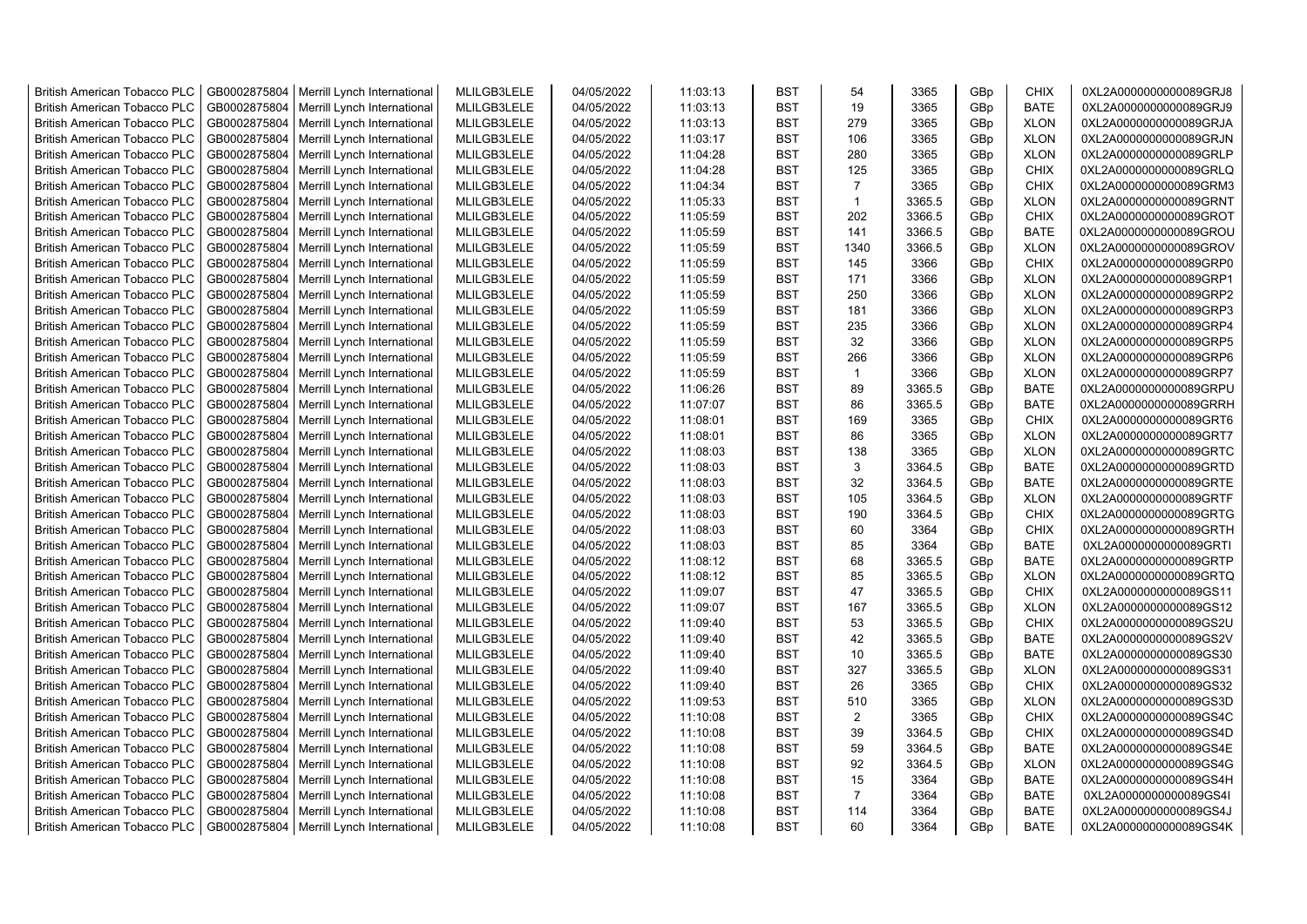| <b>British American Tobacco PLC</b> | GB0002875804 | Merrill Lynch International | MLILGB3LELE | 04/05/2022 | 11:03:13 | <b>BST</b> | 54             | 3365   | GBp | <b>CHIX</b> | 0XL2A0000000000089GRJ8 |
|-------------------------------------|--------------|-----------------------------|-------------|------------|----------|------------|----------------|--------|-----|-------------|------------------------|
| <b>British American Tobacco PLC</b> | GB0002875804 | Merrill Lynch International | MLILGB3LELE | 04/05/2022 | 11:03:13 | <b>BST</b> | 19             | 3365   | GBp | <b>BATE</b> | 0XL2A0000000000089GRJ9 |
| <b>British American Tobacco PLC</b> | GB0002875804 | Merrill Lynch International | MLILGB3LELE | 04/05/2022 | 11:03:13 | <b>BST</b> | 279            | 3365   | GBp | <b>XLON</b> | 0XL2A0000000000089GRJA |
| <b>British American Tobacco PLC</b> | GB0002875804 | Merrill Lynch International | MLILGB3LELE | 04/05/2022 | 11:03:17 | <b>BST</b> | 106            | 3365   | GBp | <b>XLON</b> | 0XL2A0000000000089GRJN |
| <b>British American Tobacco PLC</b> | GB0002875804 | Merrill Lynch International | MLILGB3LELE | 04/05/2022 | 11:04:28 | <b>BST</b> | 280            | 3365   | GBp | <b>XLON</b> | 0XL2A0000000000089GRLP |
| <b>British American Tobacco PLC</b> | GB0002875804 | Merrill Lynch International | MLILGB3LELE | 04/05/2022 | 11:04:28 | <b>BST</b> | 125            | 3365   | GBp | <b>CHIX</b> | 0XL2A0000000000089GRLQ |
| <b>British American Tobacco PLC</b> | GB0002875804 | Merrill Lynch International | MLILGB3LELE | 04/05/2022 | 11:04:34 | <b>BST</b> | $\overline{7}$ | 3365   | GBp | CHIX        | 0XL2A0000000000089GRM3 |
| <b>British American Tobacco PLC</b> | GB0002875804 | Merrill Lynch International | MLILGB3LELE | 04/05/2022 | 11:05:33 | <b>BST</b> | $\mathbf{1}$   | 3365.5 | GBp | <b>XLON</b> | 0XL2A0000000000089GRNT |
| <b>British American Tobacco PLC</b> | GB0002875804 | Merrill Lynch International | MLILGB3LELE | 04/05/2022 | 11:05:59 | <b>BST</b> | 202            | 3366.5 | GBp | <b>CHIX</b> | 0XL2A0000000000089GROT |
| <b>British American Tobacco PLC</b> | GB0002875804 | Merrill Lynch International | MLILGB3LELE | 04/05/2022 | 11:05:59 | <b>BST</b> | 141            | 3366.5 | GBp | <b>BATE</b> | 0XL2A0000000000089GROU |
| <b>British American Tobacco PLC</b> | GB0002875804 | Merrill Lynch International | MLILGB3LELE | 04/05/2022 | 11:05:59 | <b>BST</b> | 1340           | 3366.5 | GBp | <b>XLON</b> | 0XL2A0000000000089GROV |
| <b>British American Tobacco PLC</b> | GB0002875804 | Merrill Lynch International | MLILGB3LELE | 04/05/2022 | 11:05:59 | <b>BST</b> | 145            | 3366   | GBp | <b>CHIX</b> | 0XL2A0000000000089GRP0 |
| British American Tobacco PLC        | GB0002875804 | Merrill Lynch International | MLILGB3LELE | 04/05/2022 | 11:05:59 | <b>BST</b> | 171            | 3366   | GBp | <b>XLON</b> | 0XL2A0000000000089GRP1 |
|                                     |              |                             | MLILGB3LELE | 04/05/2022 |          | <b>BST</b> | 250            | 3366   |     | <b>XLON</b> |                        |
| <b>British American Tobacco PLC</b> | GB0002875804 | Merrill Lynch International |             |            | 11:05:59 |            |                |        | GBp |             | 0XL2A0000000000089GRP2 |
| <b>British American Tobacco PLC</b> | GB0002875804 | Merrill Lynch International | MLILGB3LELE | 04/05/2022 | 11:05:59 | <b>BST</b> | 181            | 3366   | GBp | <b>XLON</b> | 0XL2A0000000000089GRP3 |
| <b>British American Tobacco PLC</b> | GB0002875804 | Merrill Lynch International | MLILGB3LELE | 04/05/2022 | 11:05:59 | <b>BST</b> | 235            | 3366   | GBp | <b>XLON</b> | 0XL2A0000000000089GRP4 |
| <b>British American Tobacco PLC</b> | GB0002875804 | Merrill Lynch International | MLILGB3LELE | 04/05/2022 | 11:05:59 | <b>BST</b> | 32             | 3366   | GBp | <b>XLON</b> | 0XL2A0000000000089GRP5 |
| <b>British American Tobacco PLC</b> | GB0002875804 | Merrill Lynch International | MLILGB3LELE | 04/05/2022 | 11:05:59 | <b>BST</b> | 266            | 3366   | GBp | <b>XLON</b> | 0XL2A0000000000089GRP6 |
| <b>British American Tobacco PLC</b> | GB0002875804 | Merrill Lynch International | MLILGB3LELE | 04/05/2022 | 11:05:59 | <b>BST</b> | $\mathbf{1}$   | 3366   | GBp | <b>XLON</b> | 0XL2A0000000000089GRP7 |
| <b>British American Tobacco PLC</b> | GB0002875804 | Merrill Lynch International | MLILGB3LELE | 04/05/2022 | 11:06:26 | <b>BST</b> | 89             | 3365.5 | GBp | <b>BATE</b> | 0XL2A0000000000089GRPU |
| <b>British American Tobacco PLC</b> | GB0002875804 | Merrill Lynch International | MLILGB3LELE | 04/05/2022 | 11:07:07 | <b>BST</b> | 86             | 3365.5 | GBp | <b>BATE</b> | 0XL2A0000000000089GRRH |
| <b>British American Tobacco PLC</b> | GB0002875804 | Merrill Lynch International | MLILGB3LELE | 04/05/2022 | 11:08:01 | <b>BST</b> | 169            | 3365   | GBp | <b>CHIX</b> | 0XL2A0000000000089GRT6 |
| <b>British American Tobacco PLC</b> | GB0002875804 | Merrill Lynch International | MLILGB3LELE | 04/05/2022 | 11:08:01 | <b>BST</b> | 86             | 3365   | GBp | <b>XLON</b> | 0XL2A0000000000089GRT7 |
| <b>British American Tobacco PLC</b> | GB0002875804 | Merrill Lynch International | MLILGB3LELE | 04/05/2022 | 11:08:03 | <b>BST</b> | 138            | 3365   | GBp | <b>XLON</b> | 0XL2A0000000000089GRTC |
| <b>British American Tobacco PLC</b> | GB0002875804 | Merrill Lynch International | MLILGB3LELE | 04/05/2022 | 11:08:03 | <b>BST</b> | 3              | 3364.5 | GBp | <b>BATE</b> | 0XL2A0000000000089GRTD |
| <b>British American Tobacco PLC</b> | GB0002875804 | Merrill Lynch International | MLILGB3LELE | 04/05/2022 | 11:08:03 | <b>BST</b> | 32             | 3364.5 | GBp | <b>BATE</b> | 0XL2A0000000000089GRTE |
| <b>British American Tobacco PLC</b> | GB0002875804 | Merrill Lynch International | MLILGB3LELE | 04/05/2022 | 11:08:03 | <b>BST</b> | 105            | 3364.5 | GBp | <b>XLON</b> | 0XL2A0000000000089GRTF |
| British American Tobacco PLC        | GB0002875804 | Merrill Lynch International | MLILGB3LELE | 04/05/2022 | 11:08:03 | <b>BST</b> | 190            | 3364.5 | GBp | <b>CHIX</b> | 0XL2A0000000000089GRTG |
| <b>British American Tobacco PLC</b> | GB0002875804 | Merrill Lynch International | MLILGB3LELE | 04/05/2022 | 11:08:03 | <b>BST</b> | 60             | 3364   | GBp | <b>CHIX</b> | 0XL2A0000000000089GRTH |
| <b>British American Tobacco PLC</b> | GB0002875804 | Merrill Lynch International | MLILGB3LELE | 04/05/2022 | 11:08:03 | <b>BST</b> | 85             | 3364   | GBp | <b>BATE</b> | 0XL2A0000000000089GRTI |
| <b>British American Tobacco PLC</b> | GB0002875804 | Merrill Lynch International | MLILGB3LELE | 04/05/2022 | 11:08:12 | <b>BST</b> | 68             | 3365.5 | GBp | <b>BATE</b> | 0XL2A0000000000089GRTP |
| <b>British American Tobacco PLC</b> | GB0002875804 | Merrill Lynch International | MLILGB3LELE | 04/05/2022 | 11:08:12 | <b>BST</b> | 85             | 3365.5 | GBp | <b>XLON</b> | 0XL2A0000000000089GRTQ |
| <b>British American Tobacco PLC</b> | GB0002875804 | Merrill Lynch International | MLILGB3LELE | 04/05/2022 | 11:09:07 | <b>BST</b> | 47             | 3365.5 | GBp | <b>CHIX</b> | 0XL2A0000000000089GS11 |
| <b>British American Tobacco PLC</b> | GB0002875804 | Merrill Lynch International | MLILGB3LELE | 04/05/2022 | 11:09:07 | <b>BST</b> | 167            | 3365.5 | GBp | <b>XLON</b> | 0XL2A0000000000089GS12 |
| <b>British American Tobacco PLC</b> | GB0002875804 | Merrill Lynch International | MLILGB3LELE | 04/05/2022 | 11:09:40 | <b>BST</b> | 53             | 3365.5 | GBp | <b>CHIX</b> | 0XL2A0000000000089GS2U |
| <b>British American Tobacco PLC</b> | GB0002875804 | Merrill Lynch International | MLILGB3LELE | 04/05/2022 | 11:09:40 | <b>BST</b> | 42             | 3365.5 | GBp | <b>BATE</b> | 0XL2A0000000000089GS2V |
| <b>British American Tobacco PLC</b> | GB0002875804 | Merrill Lynch International | MLILGB3LELE | 04/05/2022 | 11:09:40 | <b>BST</b> | 10             | 3365.5 | GBp | <b>BATE</b> | 0XL2A0000000000089GS30 |
| <b>British American Tobacco PLC</b> | GB0002875804 | Merrill Lynch International | MLILGB3LELE | 04/05/2022 | 11:09:40 | <b>BST</b> | 327            | 3365.5 | GBp | <b>XLON</b> | 0XL2A0000000000089GS31 |
| <b>British American Tobacco PLC</b> | GB0002875804 | Merrill Lynch International | MLILGB3LELE | 04/05/2022 | 11:09:40 | <b>BST</b> | 26             | 3365   | GBp | <b>CHIX</b> | 0XL2A0000000000089GS32 |
| <b>British American Tobacco PLC</b> | GB0002875804 | Merrill Lynch International | MLILGB3LELE | 04/05/2022 | 11:09:53 | <b>BST</b> | 510            | 3365   | GBp | <b>XLON</b> | 0XL2A0000000000089GS3D |
| <b>British American Tobacco PLC</b> | GB0002875804 | Merrill Lynch International | MLILGB3LELE | 04/05/2022 | 11:10:08 | <b>BST</b> | $\overline{2}$ | 3365   | GBp | <b>CHIX</b> | 0XL2A0000000000089GS4C |
| <b>British American Tobacco PLC</b> | GB0002875804 | Merrill Lynch International | MLILGB3LELE | 04/05/2022 | 11:10:08 | <b>BST</b> | 39             | 3364.5 | GBp | <b>CHIX</b> | 0XL2A0000000000089GS4D |
| <b>British American Tobacco PLC</b> | GB0002875804 | Merrill Lynch International | MLILGB3LELE | 04/05/2022 | 11:10:08 | <b>BST</b> | 59             | 3364.5 | GBp | <b>BATE</b> | 0XL2A0000000000089GS4E |
| <b>British American Tobacco PLC</b> | GB0002875804 | Merrill Lynch International | MLILGB3LELE | 04/05/2022 | 11:10:08 | <b>BST</b> | 92             | 3364.5 | GBp | <b>XLON</b> | 0XL2A0000000000089GS4G |
| British American Tobacco PLC        | GB0002875804 | Merrill Lynch International | MLILGB3LELE | 04/05/2022 | 11:10:08 | <b>BST</b> | 15             | 3364   | GBp | BATE        | 0XL2A0000000000089GS4H |
| <b>British American Tobacco PLC</b> | GB0002875804 | Merrill Lynch International | MLILGB3LELE | 04/05/2022 | 11:10:08 | <b>BST</b> | $\overline{7}$ | 3364   | GBp | <b>BATE</b> | 0XL2A0000000000089GS4I |
| <b>British American Tobacco PLC</b> | GB0002875804 | Merrill Lynch International | MLILGB3LELE | 04/05/2022 | 11:10:08 | <b>BST</b> | 114            | 3364   | GBp | <b>BATE</b> | 0XL2A0000000000089GS4J |
| <b>British American Tobacco PLC</b> | GB0002875804 | Merrill Lynch International | MLILGB3LELE | 04/05/2022 | 11:10:08 | <b>BST</b> | 60             | 3364   | GBp | <b>BATE</b> | 0XL2A0000000000089GS4K |
|                                     |              |                             |             |            |          |            |                |        |     |             |                        |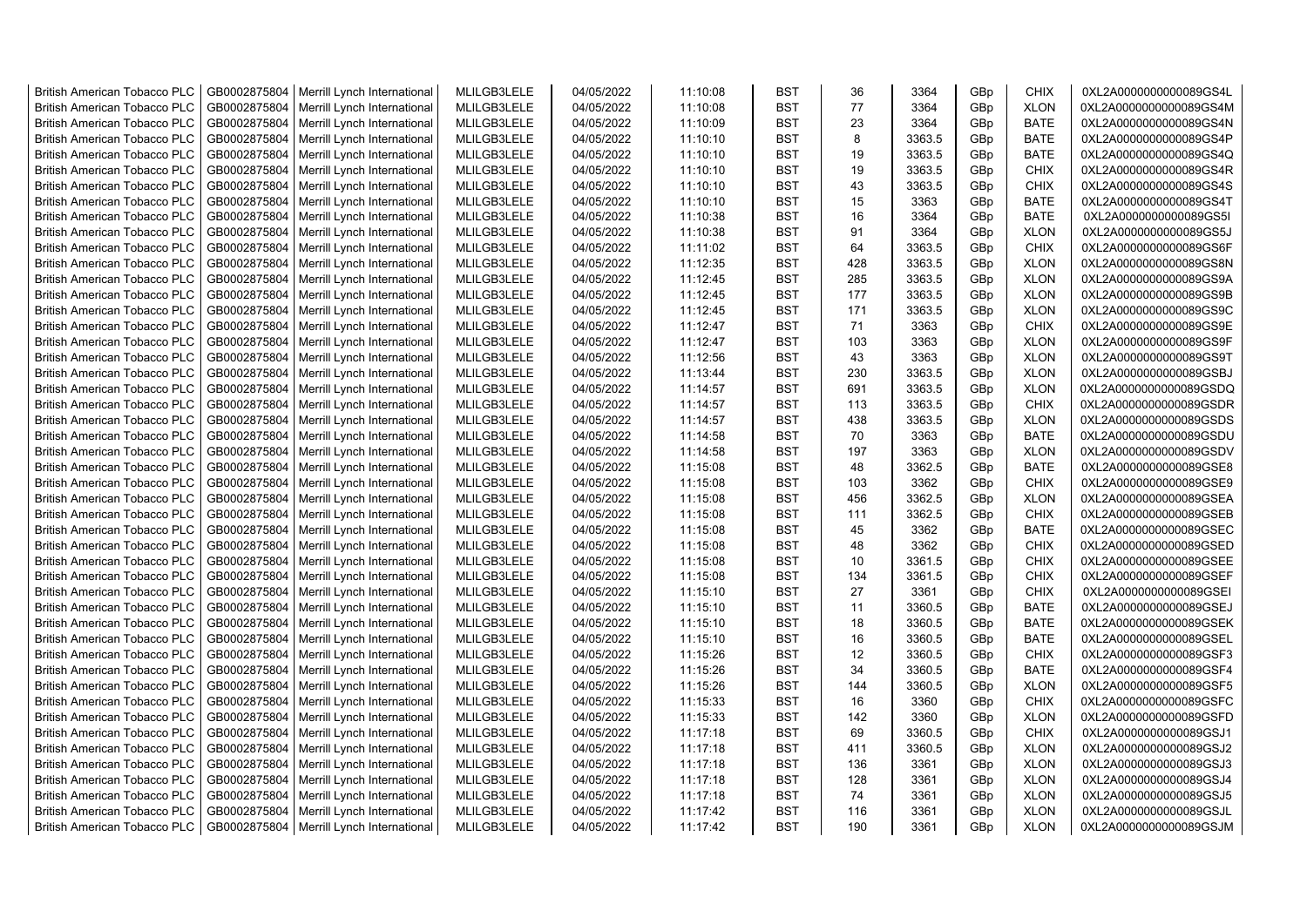| <b>British American Tobacco PLC</b> | GB0002875804 | Merrill Lynch International | MLILGB3LELE | 04/05/2022 | 11:10:08 | <b>BST</b> | 36  | 3364   | GBp | <b>CHIX</b> | 0XL2A0000000000089GS4L |
|-------------------------------------|--------------|-----------------------------|-------------|------------|----------|------------|-----|--------|-----|-------------|------------------------|
| <b>British American Tobacco PLC</b> | GB0002875804 | Merrill Lynch International | MLILGB3LELE | 04/05/2022 | 11:10:08 | <b>BST</b> | 77  | 3364   | GBp | <b>XLON</b> | 0XL2A0000000000089GS4M |
| <b>British American Tobacco PLC</b> | GB0002875804 | Merrill Lynch International | MLILGB3LELE | 04/05/2022 | 11:10:09 | <b>BST</b> | 23  | 3364   | GBp | <b>BATE</b> | 0XL2A0000000000089GS4N |
| <b>British American Tobacco PLC</b> | GB0002875804 | Merrill Lynch International | MLILGB3LELE | 04/05/2022 | 11:10:10 | <b>BST</b> | 8   | 3363.5 | GBp | <b>BATE</b> | 0XL2A0000000000089GS4P |
| <b>British American Tobacco PLC</b> | GB0002875804 | Merrill Lynch International | MLILGB3LELE | 04/05/2022 | 11:10:10 | <b>BST</b> | 19  | 3363.5 | GBp | <b>BATE</b> | 0XL2A0000000000089GS4Q |
| <b>British American Tobacco PLC</b> | GB0002875804 | Merrill Lynch International | MLILGB3LELE | 04/05/2022 | 11:10:10 | <b>BST</b> | 19  | 3363.5 | GBp | <b>CHIX</b> | 0XL2A0000000000089GS4R |
| <b>British American Tobacco PLC</b> | GB0002875804 | Merrill Lynch International | MLILGB3LELE | 04/05/2022 | 11:10:10 | <b>BST</b> | 43  | 3363.5 | GBp | <b>CHIX</b> | 0XL2A0000000000089GS4S |
| <b>British American Tobacco PLC</b> | GB0002875804 | Merrill Lynch International | MLILGB3LELE | 04/05/2022 | 11:10:10 | <b>BST</b> | 15  | 3363   | GBp | <b>BATE</b> | 0XL2A0000000000089GS4T |
| <b>British American Tobacco PLC</b> | GB0002875804 | Merrill Lynch International | MLILGB3LELE | 04/05/2022 | 11:10:38 | <b>BST</b> | 16  | 3364   | GBp | <b>BATE</b> | 0XL2A0000000000089GS5I |
| <b>British American Tobacco PLC</b> | GB0002875804 | Merrill Lynch International | MLILGB3LELE | 04/05/2022 | 11:10:38 | <b>BST</b> | 91  | 3364   | GBp | <b>XLON</b> | 0XL2A0000000000089GS5J |
| <b>British American Tobacco PLC</b> | GB0002875804 | Merrill Lynch International | MLILGB3LELE | 04/05/2022 | 11:11:02 | <b>BST</b> | 64  | 3363.5 | GBp | <b>CHIX</b> | 0XL2A0000000000089GS6F |
| <b>British American Tobacco PLC</b> | GB0002875804 | Merrill Lynch International | MLILGB3LELE | 04/05/2022 | 11:12:35 | <b>BST</b> | 428 | 3363.5 | GBp | <b>XLON</b> | 0XL2A0000000000089GS8N |
| <b>British American Tobacco PLC</b> | GB0002875804 | Merrill Lynch International | MLILGB3LELE | 04/05/2022 | 11:12:45 | <b>BST</b> | 285 | 3363.5 | GBp | <b>XLON</b> | 0XL2A0000000000089GS9A |
|                                     |              |                             | MLILGB3LELE | 04/05/2022 |          | <b>BST</b> | 177 | 3363.5 |     | <b>XLON</b> |                        |
| <b>British American Tobacco PLC</b> | GB0002875804 | Merrill Lynch International |             |            | 11:12:45 |            |     |        | GBp |             | 0XL2A0000000000089GS9B |
| <b>British American Tobacco PLC</b> | GB0002875804 | Merrill Lynch International | MLILGB3LELE | 04/05/2022 | 11:12:45 | <b>BST</b> | 171 | 3363.5 | GBp | <b>XLON</b> | 0XL2A0000000000089GS9C |
| <b>British American Tobacco PLC</b> | GB0002875804 | Merrill Lynch International | MLILGB3LELE | 04/05/2022 | 11:12:47 | <b>BST</b> | 71  | 3363   | GBp | <b>CHIX</b> | 0XL2A0000000000089GS9E |
| <b>British American Tobacco PLC</b> | GB0002875804 | Merrill Lynch International | MLILGB3LELE | 04/05/2022 | 11:12:47 | <b>BST</b> | 103 | 3363   | GBp | <b>XLON</b> | 0XL2A0000000000089GS9F |
| <b>British American Tobacco PLC</b> | GB0002875804 | Merrill Lynch International | MLILGB3LELE | 04/05/2022 | 11:12:56 | <b>BST</b> | 43  | 3363   | GBp | <b>XLON</b> | 0XL2A0000000000089GS9T |
| <b>British American Tobacco PLC</b> | GB0002875804 | Merrill Lynch International | MLILGB3LELE | 04/05/2022 | 11:13:44 | <b>BST</b> | 230 | 3363.5 | GBp | <b>XLON</b> | 0XL2A0000000000089GSBJ |
| <b>British American Tobacco PLC</b> | GB0002875804 | Merrill Lynch International | MLILGB3LELE | 04/05/2022 | 11:14:57 | <b>BST</b> | 691 | 3363.5 | GBp | <b>XLON</b> | 0XL2A0000000000089GSDQ |
| <b>British American Tobacco PLC</b> | GB0002875804 | Merrill Lynch International | MLILGB3LELE | 04/05/2022 | 11:14:57 | <b>BST</b> | 113 | 3363.5 | GBp | <b>CHIX</b> | 0XL2A0000000000089GSDR |
| <b>British American Tobacco PLC</b> | GB0002875804 | Merrill Lynch International | MLILGB3LELE | 04/05/2022 | 11:14:57 | <b>BST</b> | 438 | 3363.5 | GBp | <b>XLON</b> | 0XL2A0000000000089GSDS |
| <b>British American Tobacco PLC</b> | GB0002875804 | Merrill Lynch International | MLILGB3LELE | 04/05/2022 | 11:14:58 | <b>BST</b> | 70  | 3363   | GBp | <b>BATE</b> | 0XL2A0000000000089GSDU |
| <b>British American Tobacco PLC</b> | GB0002875804 | Merrill Lynch International | MLILGB3LELE | 04/05/2022 | 11:14:58 | <b>BST</b> | 197 | 3363   | GBp | <b>XLON</b> | 0XL2A0000000000089GSDV |
| <b>British American Tobacco PLC</b> | GB0002875804 | Merrill Lynch International | MLILGB3LELE | 04/05/2022 | 11:15:08 | <b>BST</b> | 48  | 3362.5 | GBp | <b>BATE</b> | 0XL2A0000000000089GSE8 |
| <b>British American Tobacco PLC</b> | GB0002875804 | Merrill Lynch International | MLILGB3LELE | 04/05/2022 | 11:15:08 | <b>BST</b> | 103 | 3362   | GBp | <b>CHIX</b> | 0XL2A0000000000089GSE9 |
| <b>British American Tobacco PLC</b> | GB0002875804 | Merrill Lynch International | MLILGB3LELE | 04/05/2022 | 11:15:08 | <b>BST</b> | 456 | 3362.5 | GBp | <b>XLON</b> | 0XL2A0000000000089GSEA |
| British American Tobacco PLC        | GB0002875804 | Merrill Lynch International | MLILGB3LELE | 04/05/2022 | 11:15:08 | <b>BST</b> | 111 | 3362.5 | GBp | <b>CHIX</b> | 0XL2A0000000000089GSEB |
| <b>British American Tobacco PLC</b> | GB0002875804 | Merrill Lynch International | MLILGB3LELE | 04/05/2022 | 11:15:08 | <b>BST</b> | 45  | 3362   | GBp | <b>BATE</b> | 0XL2A0000000000089GSEC |
| <b>British American Tobacco PLC</b> | GB0002875804 | Merrill Lynch International | MLILGB3LELE | 04/05/2022 | 11:15:08 | <b>BST</b> | 48  | 3362   | GBp | <b>CHIX</b> | 0XL2A0000000000089GSED |
| <b>British American Tobacco PLC</b> | GB0002875804 | Merrill Lynch International | MLILGB3LELE | 04/05/2022 | 11:15:08 | <b>BST</b> | 10  | 3361.5 | GBp | <b>CHIX</b> | 0XL2A0000000000089GSEE |
| <b>British American Tobacco PLC</b> | GB0002875804 | Merrill Lynch International | MLILGB3LELE | 04/05/2022 | 11:15:08 | <b>BST</b> | 134 | 3361.5 | GBp | <b>CHIX</b> | 0XL2A0000000000089GSEF |
| <b>British American Tobacco PLC</b> | GB0002875804 | Merrill Lynch International | MLILGB3LELE | 04/05/2022 | 11:15:10 | <b>BST</b> | 27  | 3361   | GBp | <b>CHIX</b> | 0XL2A0000000000089GSEI |
| <b>British American Tobacco PLC</b> | GB0002875804 | Merrill Lynch International | MLILGB3LELE | 04/05/2022 | 11:15:10 | <b>BST</b> | 11  | 3360.5 | GBp | <b>BATE</b> | 0XL2A0000000000089GSEJ |
| <b>British American Tobacco PLC</b> | GB0002875804 | Merrill Lynch International | MLILGB3LELE | 04/05/2022 | 11:15:10 | <b>BST</b> | 18  | 3360.5 | GBp | <b>BATE</b> | 0XL2A0000000000089GSEK |
| <b>British American Tobacco PLC</b> | GB0002875804 | Merrill Lynch International | MLILGB3LELE | 04/05/2022 | 11:15:10 | <b>BST</b> | 16  | 3360.5 | GBp | <b>BATE</b> | 0XL2A0000000000089GSEL |
| <b>British American Tobacco PLC</b> | GB0002875804 | Merrill Lynch International | MLILGB3LELE | 04/05/2022 | 11:15:26 | <b>BST</b> | 12  | 3360.5 | GBp | <b>CHIX</b> | 0XL2A0000000000089GSF3 |
| <b>British American Tobacco PLC</b> | GB0002875804 | Merrill Lynch International | MLILGB3LELE | 04/05/2022 | 11:15:26 | <b>BST</b> | 34  | 3360.5 | GBp | <b>BATE</b> | 0XL2A0000000000089GSF4 |
| <b>British American Tobacco PLC</b> | GB0002875804 | Merrill Lynch International | MLILGB3LELE | 04/05/2022 | 11:15:26 | <b>BST</b> | 144 | 3360.5 | GBp | <b>XLON</b> | 0XL2A0000000000089GSF5 |
| <b>British American Tobacco PLC</b> | GB0002875804 | Merrill Lynch International | MLILGB3LELE | 04/05/2022 | 11:15:33 | <b>BST</b> | 16  | 3360   | GBp | <b>CHIX</b> | 0XL2A0000000000089GSFC |
| <b>British American Tobacco PLC</b> | GB0002875804 | Merrill Lynch International | MLILGB3LELE | 04/05/2022 | 11:15:33 | <b>BST</b> | 142 | 3360   | GBp | <b>XLON</b> | 0XL2A0000000000089GSFD |
| <b>British American Tobacco PLC</b> | GB0002875804 | Merrill Lynch International | MLILGB3LELE | 04/05/2022 | 11:17:18 | <b>BST</b> | 69  | 3360.5 | GBp | <b>CHIX</b> | 0XL2A0000000000089GSJ1 |
| <b>British American Tobacco PLC</b> | GB0002875804 | Merrill Lynch International | MLILGB3LELE | 04/05/2022 | 11:17:18 | <b>BST</b> | 411 | 3360.5 | GBp | <b>XLON</b> | 0XL2A0000000000089GSJ2 |
| <b>British American Tobacco PLC</b> | GB0002875804 | Merrill Lynch International | MLILGB3LELE | 04/05/2022 | 11:17:18 | <b>BST</b> | 136 | 3361   | GBp | <b>XLON</b> | 0XL2A0000000000089GSJ3 |
| British American Tobacco PLC        | GB0002875804 | Merrill Lynch International | MLILGB3LELE | 04/05/2022 | 11:17:18 | <b>BST</b> | 128 | 3361   | GBp | <b>XLON</b> | 0XL2A0000000000089GSJ4 |
| <b>British American Tobacco PLC</b> | GB0002875804 | Merrill Lynch International | MLILGB3LELE | 04/05/2022 | 11:17:18 | <b>BST</b> | 74  | 3361   | GBp | <b>XLON</b> | 0XL2A0000000000089GSJ5 |
| <b>British American Tobacco PLC</b> | GB0002875804 | Merrill Lynch International | MLILGB3LELE | 04/05/2022 | 11:17:42 | <b>BST</b> | 116 | 3361   | GBp | <b>XLON</b> | 0XL2A0000000000089GSJL |
| <b>British American Tobacco PLC</b> | GB0002875804 | Merrill Lynch International | MLILGB3LELE | 04/05/2022 | 11:17:42 | <b>BST</b> | 190 | 3361   | GBp | <b>XLON</b> | 0XL2A0000000000089GSJM |
|                                     |              |                             |             |            |          |            |     |        |     |             |                        |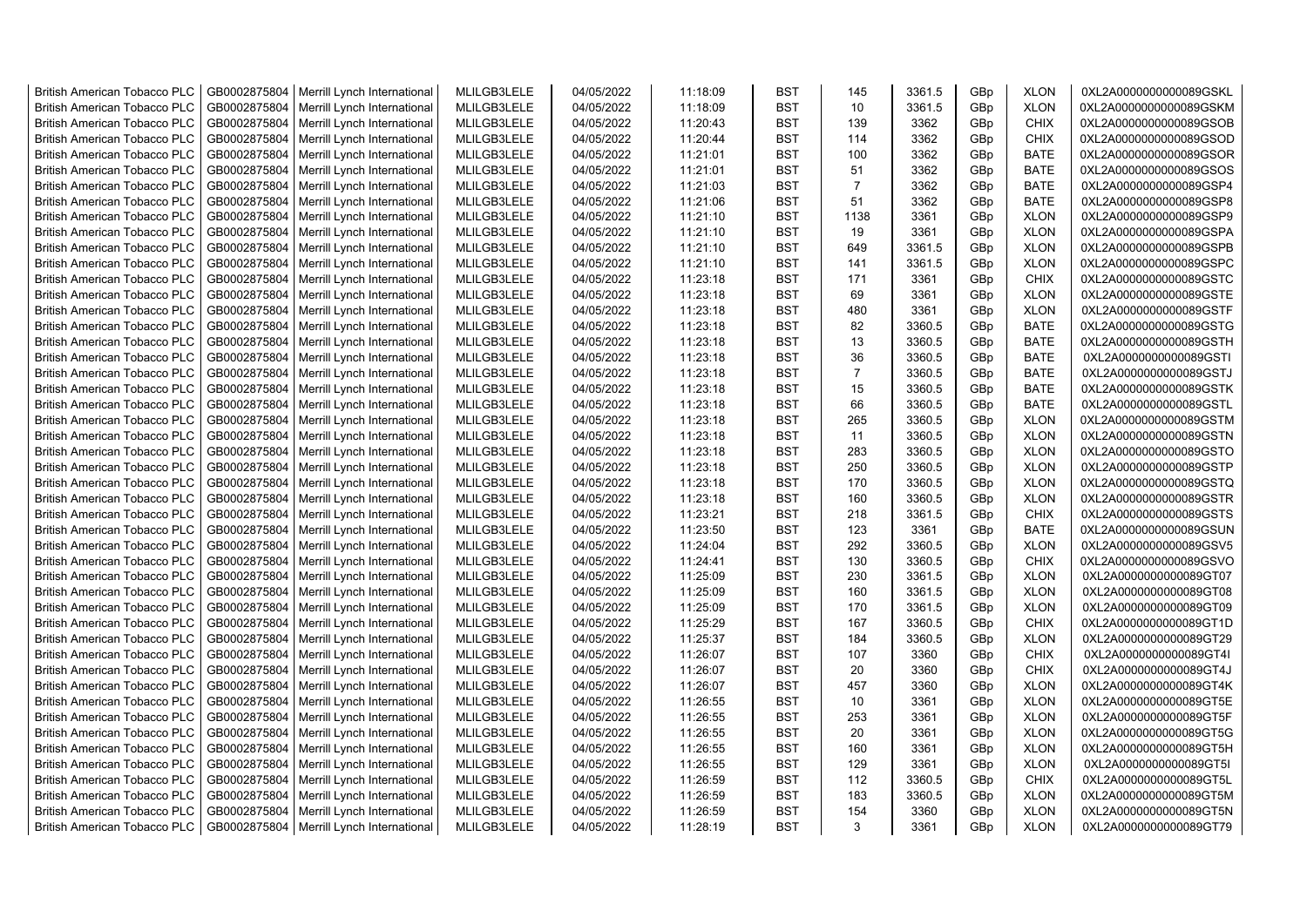| <b>British American Tobacco PLC</b> | GB0002875804 | Merrill Lynch International | MLILGB3LELE | 04/05/2022 | 11:18:09 | <b>BST</b> | 145            | 3361.5 | GBp | <b>XLON</b> | 0XL2A0000000000089GSKL |
|-------------------------------------|--------------|-----------------------------|-------------|------------|----------|------------|----------------|--------|-----|-------------|------------------------|
| <b>British American Tobacco PLC</b> | GB0002875804 | Merrill Lynch International | MLILGB3LELE | 04/05/2022 | 11:18:09 | <b>BST</b> | 10             | 3361.5 | GBp | <b>XLON</b> | 0XL2A0000000000089GSKM |
| <b>British American Tobacco PLC</b> | GB0002875804 | Merrill Lynch International | MLILGB3LELE | 04/05/2022 | 11:20:43 | <b>BST</b> | 139            | 3362   | GBp | <b>CHIX</b> | 0XL2A0000000000089GSOB |
| <b>British American Tobacco PLC</b> | GB0002875804 | Merrill Lynch International | MLILGB3LELE | 04/05/2022 | 11:20:44 | <b>BST</b> | 114            | 3362   | GBp | <b>CHIX</b> | 0XL2A0000000000089GSOD |
| <b>British American Tobacco PLC</b> | GB0002875804 | Merrill Lynch International | MLILGB3LELE | 04/05/2022 | 11:21:01 | <b>BST</b> | 100            | 3362   | GBp | <b>BATE</b> | 0XL2A0000000000089GSOR |
| <b>British American Tobacco PLC</b> | GB0002875804 | Merrill Lynch International | MLILGB3LELE | 04/05/2022 | 11:21:01 | <b>BST</b> | 51             | 3362   | GBp | <b>BATE</b> | 0XL2A0000000000089GSOS |
| <b>British American Tobacco PLC</b> | GB0002875804 | Merrill Lynch International | MLILGB3LELE | 04/05/2022 | 11:21:03 | <b>BST</b> | $\overline{7}$ | 3362   | GBp | <b>BATE</b> | 0XL2A0000000000089GSP4 |
| <b>British American Tobacco PLC</b> | GB0002875804 | Merrill Lynch International | MLILGB3LELE | 04/05/2022 | 11:21:06 | <b>BST</b> | 51             | 3362   | GBp | <b>BATE</b> | 0XL2A0000000000089GSP8 |
| <b>British American Tobacco PLC</b> | GB0002875804 | Merrill Lynch International | MLILGB3LELE | 04/05/2022 | 11:21:10 | <b>BST</b> | 1138           | 3361   | GBp | <b>XLON</b> | 0XL2A0000000000089GSP9 |
| <b>British American Tobacco PLC</b> | GB0002875804 | Merrill Lynch International | MLILGB3LELE | 04/05/2022 | 11:21:10 | <b>BST</b> | 19             | 3361   | GBp | <b>XLON</b> | 0XL2A0000000000089GSPA |
| <b>British American Tobacco PLC</b> | GB0002875804 | Merrill Lynch International | MLILGB3LELE | 04/05/2022 | 11:21:10 | <b>BST</b> | 649            | 3361.5 | GBp | <b>XLON</b> | 0XL2A0000000000089GSPB |
| <b>British American Tobacco PLC</b> | GB0002875804 | Merrill Lynch International | MLILGB3LELE | 04/05/2022 | 11:21:10 | <b>BST</b> | 141            | 3361.5 | GBp | <b>XLON</b> | 0XL2A0000000000089GSPC |
| <b>British American Tobacco PLC</b> | GB0002875804 | Merrill Lynch International | MLILGB3LELE | 04/05/2022 | 11:23:18 | <b>BST</b> | 171            | 3361   | GBp | <b>CHIX</b> | 0XL2A0000000000089GSTC |
| <b>British American Tobacco PLC</b> | GB0002875804 | Merrill Lynch International | MLILGB3LELE | 04/05/2022 | 11:23:18 | <b>BST</b> | 69             | 3361   | GBp | <b>XLON</b> | 0XL2A0000000000089GSTE |
| <b>British American Tobacco PLC</b> | GB0002875804 | Merrill Lynch International | MLILGB3LELE | 04/05/2022 | 11:23:18 | <b>BST</b> | 480            | 3361   | GBp | <b>XLON</b> | 0XL2A0000000000089GSTF |
| <b>British American Tobacco PLC</b> | GB0002875804 | Merrill Lynch International | MLILGB3LELE | 04/05/2022 | 11:23:18 | <b>BST</b> | 82             | 3360.5 | GBp | <b>BATE</b> | 0XL2A0000000000089GSTG |
| <b>British American Tobacco PLC</b> | GB0002875804 | Merrill Lynch International | MLILGB3LELE | 04/05/2022 | 11:23:18 | <b>BST</b> | 13             | 3360.5 | GBp | <b>BATE</b> | 0XL2A0000000000089GSTH |
| <b>British American Tobacco PLC</b> | GB0002875804 | Merrill Lynch International | MLILGB3LELE | 04/05/2022 | 11:23:18 | <b>BST</b> | 36             | 3360.5 | GBp | <b>BATE</b> | 0XL2A0000000000089GSTI |
| <b>British American Tobacco PLC</b> | GB0002875804 | Merrill Lynch International | MLILGB3LELE | 04/05/2022 | 11:23:18 | <b>BST</b> | $\overline{7}$ | 3360.5 | GBp | <b>BATE</b> | 0XL2A0000000000089GSTJ |
| <b>British American Tobacco PLC</b> | GB0002875804 | Merrill Lynch International | MLILGB3LELE | 04/05/2022 | 11:23:18 | <b>BST</b> | 15             | 3360.5 | GBp | <b>BATE</b> | 0XL2A0000000000089GSTK |
| <b>British American Tobacco PLC</b> | GB0002875804 | Merrill Lynch International | MLILGB3LELE | 04/05/2022 | 11:23:18 | <b>BST</b> | 66             | 3360.5 | GBp | <b>BATE</b> | 0XL2A0000000000089GSTL |
| <b>British American Tobacco PLC</b> | GB0002875804 | Merrill Lynch International | MLILGB3LELE | 04/05/2022 | 11:23:18 | <b>BST</b> | 265            | 3360.5 | GBp | <b>XLON</b> | 0XL2A0000000000089GSTM |
| <b>British American Tobacco PLC</b> | GB0002875804 | Merrill Lynch International | MLILGB3LELE | 04/05/2022 | 11:23:18 | <b>BST</b> | 11             | 3360.5 | GBp | <b>XLON</b> | 0XL2A0000000000089GSTN |
| <b>British American Tobacco PLC</b> | GB0002875804 | Merrill Lynch International | MLILGB3LELE | 04/05/2022 | 11:23:18 | <b>BST</b> | 283            | 3360.5 | GBp | <b>XLON</b> | 0XL2A0000000000089GSTO |
| <b>British American Tobacco PLC</b> | GB0002875804 | Merrill Lynch International | MLILGB3LELE | 04/05/2022 | 11:23:18 | <b>BST</b> | 250            | 3360.5 | GBp | <b>XLON</b> | 0XL2A0000000000089GSTP |
| British American Tobacco PLC        | GB0002875804 | Merrill Lynch International | MLILGB3LELE | 04/05/2022 | 11:23:18 | <b>BST</b> | 170            | 3360.5 | GBp | <b>XLON</b> | 0XL2A0000000000089GSTQ |
| British American Tobacco PLC        | GB0002875804 | Merrill Lynch International | MLILGB3LELE | 04/05/2022 | 11:23:18 | <b>BST</b> | 160            | 3360.5 | GBp | <b>XLON</b> | 0XL2A0000000000089GSTR |
| British American Tobacco PLC        | GB0002875804 | Merrill Lynch International | MLILGB3LELE | 04/05/2022 | 11:23:21 | <b>BST</b> | 218            | 3361.5 | GBp | <b>CHIX</b> | 0XL2A0000000000089GSTS |
| <b>British American Tobacco PLC</b> | GB0002875804 | Merrill Lynch International | MLILGB3LELE | 04/05/2022 | 11:23:50 | <b>BST</b> | 123            | 3361   | GBp | <b>BATE</b> | 0XL2A0000000000089GSUN |
| <b>British American Tobacco PLC</b> | GB0002875804 | Merrill Lynch International | MLILGB3LELE | 04/05/2022 | 11:24:04 | <b>BST</b> | 292            | 3360.5 | GBp | <b>XLON</b> | 0XL2A0000000000089GSV5 |
| <b>British American Tobacco PLC</b> | GB0002875804 | Merrill Lynch International | MLILGB3LELE | 04/05/2022 | 11:24:41 | <b>BST</b> | 130            | 3360.5 | GBp | <b>CHIX</b> | 0XL2A0000000000089GSVO |
| <b>British American Tobacco PLC</b> | GB0002875804 | Merrill Lynch International | MLILGB3LELE | 04/05/2022 | 11:25:09 | <b>BST</b> | 230            | 3361.5 | GBp | <b>XLON</b> | 0XL2A0000000000089GT07 |
| <b>British American Tobacco PLC</b> | GB0002875804 | Merrill Lynch International | MLILGB3LELE | 04/05/2022 | 11:25:09 | <b>BST</b> | 160            | 3361.5 | GBp | <b>XLON</b> | 0XL2A0000000000089GT08 |
| <b>British American Tobacco PLC</b> | GB0002875804 | Merrill Lynch International | MLILGB3LELE | 04/05/2022 | 11:25:09 | <b>BST</b> | 170            | 3361.5 | GBp | <b>XLON</b> | 0XL2A0000000000089GT09 |
| <b>British American Tobacco PLC</b> | GB0002875804 | Merrill Lynch International | MLILGB3LELE | 04/05/2022 | 11:25:29 | <b>BST</b> | 167            | 3360.5 | GBp | <b>CHIX</b> | 0XL2A0000000000089GT1D |
| <b>British American Tobacco PLC</b> | GB0002875804 | Merrill Lynch International | MLILGB3LELE | 04/05/2022 | 11:25:37 | <b>BST</b> | 184            | 3360.5 | GBp | <b>XLON</b> | 0XL2A0000000000089GT29 |
| <b>British American Tobacco PLC</b> | GB0002875804 | Merrill Lynch International | MLILGB3LELE | 04/05/2022 | 11:26:07 | <b>BST</b> | 107            | 3360   | GBp | CHIX        | 0XL2A0000000000089GT4I |
| <b>British American Tobacco PLC</b> | GB0002875804 | Merrill Lynch International | MLILGB3LELE | 04/05/2022 | 11:26:07 | <b>BST</b> | 20             | 3360   | GBp | <b>CHIX</b> | 0XL2A0000000000089GT4J |
| <b>British American Tobacco PLC</b> | GB0002875804 | Merrill Lynch International | MLILGB3LELE | 04/05/2022 | 11:26:07 | <b>BST</b> | 457            | 3360   | GBp | <b>XLON</b> | 0XL2A0000000000089GT4K |
| <b>British American Tobacco PLC</b> | GB0002875804 | Merrill Lynch International | MLILGB3LELE | 04/05/2022 | 11:26:55 | <b>BST</b> | 10             | 3361   | GBp | <b>XLON</b> | 0XL2A0000000000089GT5E |
| British American Tobacco PLC        | GB0002875804 | Merrill Lynch International | MLILGB3LELE | 04/05/2022 | 11:26:55 | <b>BST</b> | 253            | 3361   | GBp | <b>XLON</b> | 0XL2A0000000000089GT5F |
| <b>British American Tobacco PLC</b> | GB0002875804 | Merrill Lynch International | MLILGB3LELE | 04/05/2022 | 11:26:55 | <b>BST</b> | 20             | 3361   | GBp | <b>XLON</b> | 0XL2A0000000000089GT5G |
| British American Tobacco PLC        | GB0002875804 | Merrill Lynch International | MLILGB3LELE | 04/05/2022 | 11:26:55 | <b>BST</b> | 160            | 3361   | GBp | <b>XLON</b> | 0XL2A0000000000089GT5H |
| British American Tobacco PLC        | GB0002875804 | Merrill Lynch International | MLILGB3LELE | 04/05/2022 | 11:26:55 | <b>BST</b> | 129            | 3361   | GBp | <b>XLON</b> | 0XL2A0000000000089GT5I |
| <b>British American Tobacco PLC</b> | GB0002875804 | Merrill Lynch International | MLILGB3LELE | 04/05/2022 | 11:26:59 | <b>BST</b> | 112            | 3360.5 | GBp | <b>CHIX</b> | 0XL2A0000000000089GT5L |
| <b>British American Tobacco PLC</b> | GB0002875804 | Merrill Lynch International | MLILGB3LELE | 04/05/2022 | 11:26:59 | <b>BST</b> | 183            | 3360.5 | GBp | <b>XLON</b> | 0XL2A0000000000089GT5M |
| <b>British American Tobacco PLC</b> | GB0002875804 | Merrill Lynch International | MLILGB3LELE | 04/05/2022 | 11:26:59 | <b>BST</b> | 154            | 3360   | GBp | <b>XLON</b> | 0XL2A0000000000089GT5N |
| <b>British American Tobacco PLC</b> | GB0002875804 | Merrill Lynch International | MLILGB3LELE | 04/05/2022 | 11:28:19 | <b>BST</b> | 3              | 3361   | GBp | <b>XLON</b> | 0XL2A0000000000089GT79 |
|                                     |              |                             |             |            |          |            |                |        |     |             |                        |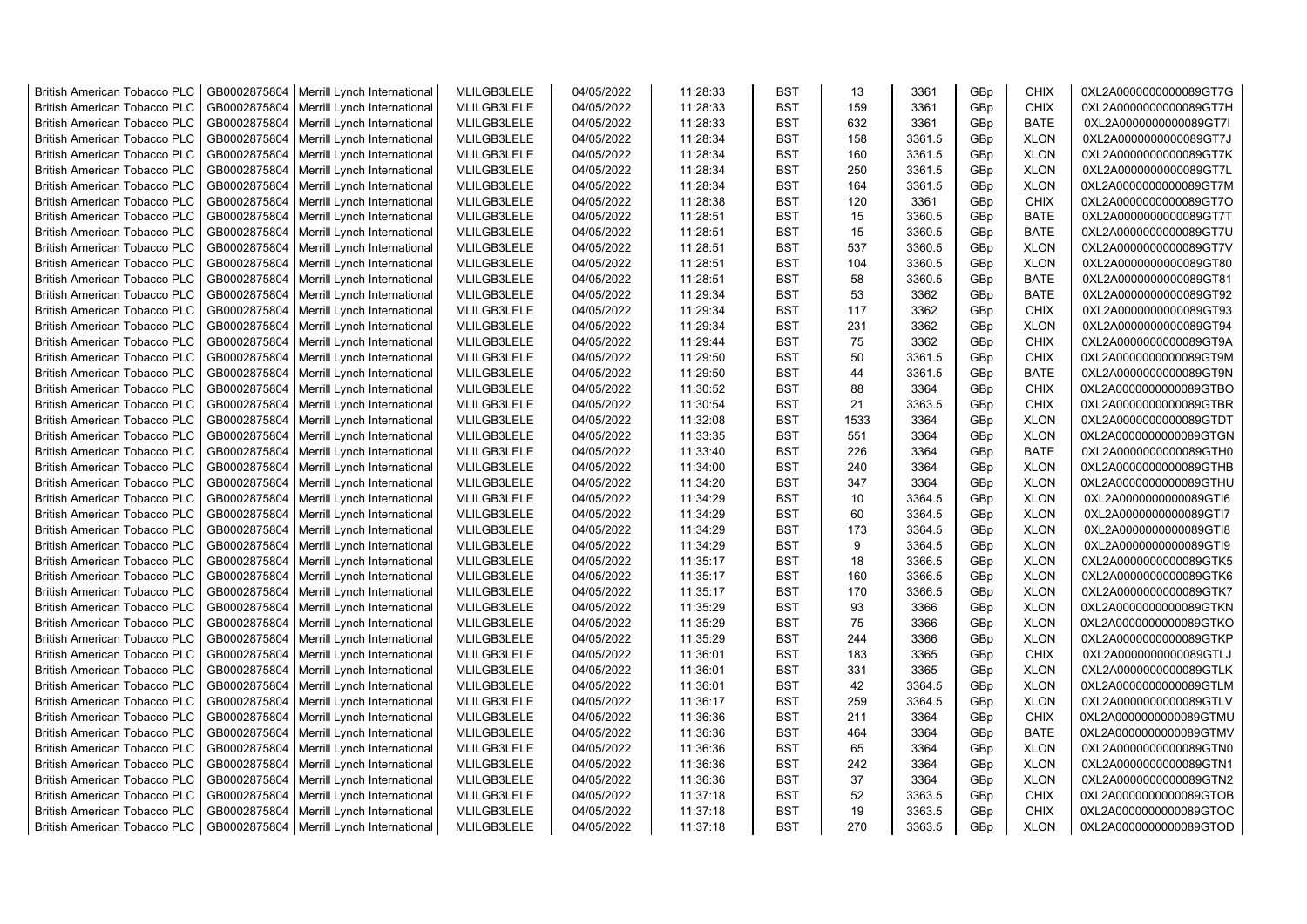| <b>British American Tobacco PLC</b> | GB0002875804 | Merrill Lynch International | MLILGB3LELE | 04/05/2022 | 11:28:33 | <b>BST</b> | 13   | 3361   | GBp             | <b>CHIX</b> | 0XL2A0000000000089GT7G |
|-------------------------------------|--------------|-----------------------------|-------------|------------|----------|------------|------|--------|-----------------|-------------|------------------------|
| <b>British American Tobacco PLC</b> | GB0002875804 | Merrill Lynch International | MLILGB3LELE | 04/05/2022 | 11:28:33 | <b>BST</b> | 159  | 3361   | GBp             | <b>CHIX</b> | 0XL2A0000000000089GT7H |
| <b>British American Tobacco PLC</b> | GB0002875804 | Merrill Lynch International | MLILGB3LELE | 04/05/2022 | 11:28:33 | <b>BST</b> | 632  | 3361   | GBp             | <b>BATE</b> | 0XL2A0000000000089GT7I |
| <b>British American Tobacco PLC</b> | GB0002875804 | Merrill Lynch International | MLILGB3LELE | 04/05/2022 | 11:28:34 | <b>BST</b> | 158  | 3361.5 | GBp             | <b>XLON</b> | 0XL2A0000000000089GT7J |
| <b>British American Tobacco PLC</b> | GB0002875804 | Merrill Lynch International | MLILGB3LELE | 04/05/2022 | 11:28:34 | <b>BST</b> | 160  | 3361.5 | GBp             | <b>XLON</b> | 0XL2A0000000000089GT7K |
| <b>British American Tobacco PLC</b> | GB0002875804 | Merrill Lynch International | MLILGB3LELE | 04/05/2022 | 11:28:34 | <b>BST</b> | 250  | 3361.5 | GBp             | <b>XLON</b> | 0XL2A0000000000089GT7L |
| <b>British American Tobacco PLC</b> | GB0002875804 | Merrill Lynch International | MLILGB3LELE | 04/05/2022 | 11:28:34 | <b>BST</b> | 164  | 3361.5 | GBp             | <b>XLON</b> | 0XL2A0000000000089GT7M |
| <b>British American Tobacco PLC</b> | GB0002875804 | Merrill Lynch International | MLILGB3LELE | 04/05/2022 | 11:28:38 | <b>BST</b> | 120  | 3361   | GBp             | <b>CHIX</b> | 0XL2A0000000000089GT7O |
| <b>British American Tobacco PLC</b> | GB0002875804 | Merrill Lynch International | MLILGB3LELE | 04/05/2022 | 11:28:51 | <b>BST</b> | 15   | 3360.5 | GBp             | BATE        | 0XL2A0000000000089GT7T |
| <b>British American Tobacco PLC</b> | GB0002875804 | Merrill Lynch International | MLILGB3LELE | 04/05/2022 | 11:28:51 | <b>BST</b> | 15   | 3360.5 | GBp             | <b>BATE</b> | 0XL2A0000000000089GT7U |
| <b>British American Tobacco PLC</b> | GB0002875804 | Merrill Lynch International | MLILGB3LELE | 04/05/2022 | 11:28:51 | <b>BST</b> | 537  | 3360.5 | GBp             | <b>XLON</b> | 0XL2A0000000000089GT7V |
| <b>British American Tobacco PLC</b> | GB0002875804 | Merrill Lynch International | MLILGB3LELE | 04/05/2022 | 11:28:51 | <b>BST</b> | 104  | 3360.5 | GBp             | <b>XLON</b> | 0XL2A0000000000089GT80 |
| <b>British American Tobacco PLC</b> | GB0002875804 | Merrill Lynch International | MLILGB3LELE | 04/05/2022 | 11:28:51 | <b>BST</b> | 58   | 3360.5 | GBp             | <b>BATE</b> | 0XL2A0000000000089GT81 |
| <b>British American Tobacco PLC</b> | GB0002875804 | Merrill Lynch International | MLILGB3LELE | 04/05/2022 | 11:29:34 | <b>BST</b> | 53   | 3362   | GBp             | <b>BATE</b> | 0XL2A0000000000089GT92 |
| <b>British American Tobacco PLC</b> | GB0002875804 | Merrill Lynch International | MLILGB3LELE | 04/05/2022 | 11:29:34 | <b>BST</b> | 117  | 3362   | GBp             | <b>CHIX</b> | 0XL2A0000000000089GT93 |
| <b>British American Tobacco PLC</b> | GB0002875804 | Merrill Lynch International | MLILGB3LELE | 04/05/2022 | 11:29:34 | <b>BST</b> | 231  | 3362   | GBp             | <b>XLON</b> | 0XL2A0000000000089GT94 |
| <b>British American Tobacco PLC</b> | GB0002875804 | Merrill Lynch International | MLILGB3LELE | 04/05/2022 | 11:29:44 | <b>BST</b> | 75   | 3362   | GBp             | <b>CHIX</b> | 0XL2A0000000000089GT9A |
| <b>British American Tobacco PLC</b> | GB0002875804 | Merrill Lynch International | MLILGB3LELE | 04/05/2022 | 11:29:50 | <b>BST</b> | 50   | 3361.5 | GBp             | <b>CHIX</b> | 0XL2A0000000000089GT9M |
| <b>British American Tobacco PLC</b> | GB0002875804 | Merrill Lynch International | MLILGB3LELE | 04/05/2022 | 11:29:50 | <b>BST</b> | 44   | 3361.5 | GBp             | <b>BATE</b> | 0XL2A0000000000089GT9N |
| <b>British American Tobacco PLC</b> | GB0002875804 | Merrill Lynch International | MLILGB3LELE | 04/05/2022 | 11:30:52 | <b>BST</b> | 88   | 3364   | GBp             | <b>CHIX</b> | 0XL2A0000000000089GTBO |
| <b>British American Tobacco PLC</b> | GB0002875804 | Merrill Lynch International | MLILGB3LELE | 04/05/2022 | 11:30:54 | <b>BST</b> | 21   | 3363.5 | GBp             | <b>CHIX</b> | 0XL2A0000000000089GTBR |
| <b>British American Tobacco PLC</b> | GB0002875804 | Merrill Lynch International | MLILGB3LELE | 04/05/2022 | 11:32:08 | <b>BST</b> | 1533 | 3364   | GBp             | <b>XLON</b> | 0XL2A0000000000089GTDT |
| <b>British American Tobacco PLC</b> | GB0002875804 | Merrill Lynch International | MLILGB3LELE | 04/05/2022 | 11:33:35 | <b>BST</b> | 551  | 3364   | GBp             | <b>XLON</b> | 0XL2A0000000000089GTGN |
| <b>British American Tobacco PLC</b> | GB0002875804 | Merrill Lynch International | MLILGB3LELE | 04/05/2022 | 11:33:40 | <b>BST</b> | 226  | 3364   | GBp             | <b>BATE</b> | 0XL2A0000000000089GTH0 |
| <b>British American Tobacco PLC</b> | GB0002875804 | Merrill Lynch International | MLILGB3LELE | 04/05/2022 | 11:34:00 | <b>BST</b> | 240  | 3364   | GBp             | <b>XLON</b> | 0XL2A0000000000089GTHB |
| <b>British American Tobacco PLC</b> | GB0002875804 | Merrill Lynch International | MLILGB3LELE | 04/05/2022 | 11:34:20 | <b>BST</b> | 347  | 3364   | GBp             | <b>XLON</b> | 0XL2A0000000000089GTHU |
| <b>British American Tobacco PLC</b> | GB0002875804 | Merrill Lynch International | MLILGB3LELE | 04/05/2022 | 11:34:29 | <b>BST</b> | 10   | 3364.5 |                 | <b>XLON</b> | 0XL2A0000000000089GTI6 |
| <b>British American Tobacco PLC</b> | GB0002875804 | Merrill Lynch International | MLILGB3LELE | 04/05/2022 | 11:34:29 | <b>BST</b> | 60   | 3364.5 | GBp<br>GBp      | <b>XLON</b> | 0XL2A0000000000089GTI7 |
|                                     | GB0002875804 |                             | MLILGB3LELE | 04/05/2022 | 11:34:29 | <b>BST</b> | 173  |        |                 |             | 0XL2A0000000000089GTI8 |
| <b>British American Tobacco PLC</b> |              | Merrill Lynch International |             |            |          | <b>BST</b> | 9    | 3364.5 | GBp             | <b>XLON</b> |                        |
| <b>British American Tobacco PLC</b> | GB0002875804 | Merrill Lynch International | MLILGB3LELE | 04/05/2022 | 11:34:29 |            |      | 3364.5 | GBp             | <b>XLON</b> | 0XL2A0000000000089GTI9 |
| <b>British American Tobacco PLC</b> | GB0002875804 | Merrill Lynch International | MLILGB3LELE | 04/05/2022 | 11:35:17 | <b>BST</b> | 18   | 3366.5 | GBp             | <b>XLON</b> | 0XL2A0000000000089GTK5 |
| <b>British American Tobacco PLC</b> | GB0002875804 | Merrill Lynch International | MLILGB3LELE | 04/05/2022 | 11:35:17 | <b>BST</b> | 160  | 3366.5 | GBp             | <b>XLON</b> | 0XL2A0000000000089GTK6 |
| <b>British American Tobacco PLC</b> | GB0002875804 | Merrill Lynch International | MLILGB3LELE | 04/05/2022 | 11:35:17 | BST        | 170  | 3366.5 | GBp             | <b>XLON</b> | 0XL2A0000000000089GTK7 |
| <b>British American Tobacco PLC</b> | GB0002875804 | Merrill Lynch International | MLILGB3LELE | 04/05/2022 | 11:35:29 | <b>BST</b> | 93   | 3366   | GBp             | <b>XLON</b> | 0XL2A0000000000089GTKN |
| <b>British American Tobacco PLC</b> | GB0002875804 | Merrill Lynch International | MLILGB3LELE | 04/05/2022 | 11:35:29 | <b>BST</b> | 75   | 3366   | GBp             | <b>XLON</b> | 0XL2A0000000000089GTKO |
| <b>British American Tobacco PLC</b> | GB0002875804 | Merrill Lynch International | MLILGB3LELE | 04/05/2022 | 11:35:29 | <b>BST</b> | 244  | 3366   | GBp             | <b>XLON</b> | 0XL2A0000000000089GTKP |
| <b>British American Tobacco PLC</b> | GB0002875804 | Merrill Lynch International | MLILGB3LELE | 04/05/2022 | 11:36:01 | <b>BST</b> | 183  | 3365   | GBp             | <b>CHIX</b> | 0XL2A0000000000089GTLJ |
| <b>British American Tobacco PLC</b> | GB0002875804 | Merrill Lynch International | MLILGB3LELE | 04/05/2022 | 11:36:01 | <b>BST</b> | 331  | 3365   | GBp             | <b>XLON</b> | 0XL2A0000000000089GTLK |
| <b>British American Tobacco PLC</b> | GB0002875804 | Merrill Lynch International | MLILGB3LELE | 04/05/2022 | 11:36:01 | <b>BST</b> | 42   | 3364.5 | GBp             | <b>XLON</b> | 0XL2A0000000000089GTLM |
| <b>British American Tobacco PLC</b> | GB0002875804 | Merrill Lynch International | MLILGB3LELE | 04/05/2022 | 11:36:17 | <b>BST</b> | 259  | 3364.5 | GBp             | <b>XLON</b> | 0XL2A0000000000089GTLV |
| <b>British American Tobacco PLC</b> | GB0002875804 | Merrill Lynch International | MLILGB3LELE | 04/05/2022 | 11:36:36 | <b>BST</b> | 211  | 3364   | GBp             | <b>CHIX</b> | 0XL2A0000000000089GTMU |
| <b>British American Tobacco PLC</b> | GB0002875804 | Merrill Lynch International | MLILGB3LELE | 04/05/2022 | 11:36:36 | <b>BST</b> | 464  | 3364   | GBp             | <b>BATE</b> | 0XL2A0000000000089GTMV |
| <b>British American Tobacco PLC</b> | GB0002875804 | Merrill Lynch International | MLILGB3LELE | 04/05/2022 | 11:36:36 | <b>BST</b> | 65   | 3364   | GBp             | <b>XLON</b> | 0XL2A0000000000089GTN0 |
| <b>British American Tobacco PLC</b> | GB0002875804 | Merrill Lynch International | MLILGB3LELE | 04/05/2022 | 11:36:36 | <b>BST</b> | 242  | 3364   | GBp             | <b>XLON</b> | 0XL2A0000000000089GTN1 |
| <b>British American Tobacco PLC</b> | GB0002875804 | Merrill Lynch International | MLILGB3LELE | 04/05/2022 | 11:36:36 | <b>BST</b> | 37   | 3364   | GBp             | <b>XLON</b> | 0XL2A0000000000089GTN2 |
| <b>British American Tobacco PLC</b> | GB0002875804 | Merrill Lynch International | MLILGB3LELE | 04/05/2022 | 11:37:18 | <b>BST</b> | 52   | 3363.5 | GBp             | <b>CHIX</b> | 0XL2A0000000000089GTOB |
| <b>British American Tobacco PLC</b> | GB0002875804 | Merrill Lynch International | MLILGB3LELE | 04/05/2022 | 11:37:18 | <b>BST</b> | 19   | 3363.5 | GBp             | <b>CHIX</b> | 0XL2A0000000000089GTOC |
| <b>British American Tobacco PLC</b> | GB0002875804 | Merrill Lynch International | MLILGB3LELE | 04/05/2022 | 11:37:18 | <b>BST</b> | 270  | 3363.5 | GB <sub>p</sub> | <b>XLON</b> | 0XL2A0000000000089GTOD |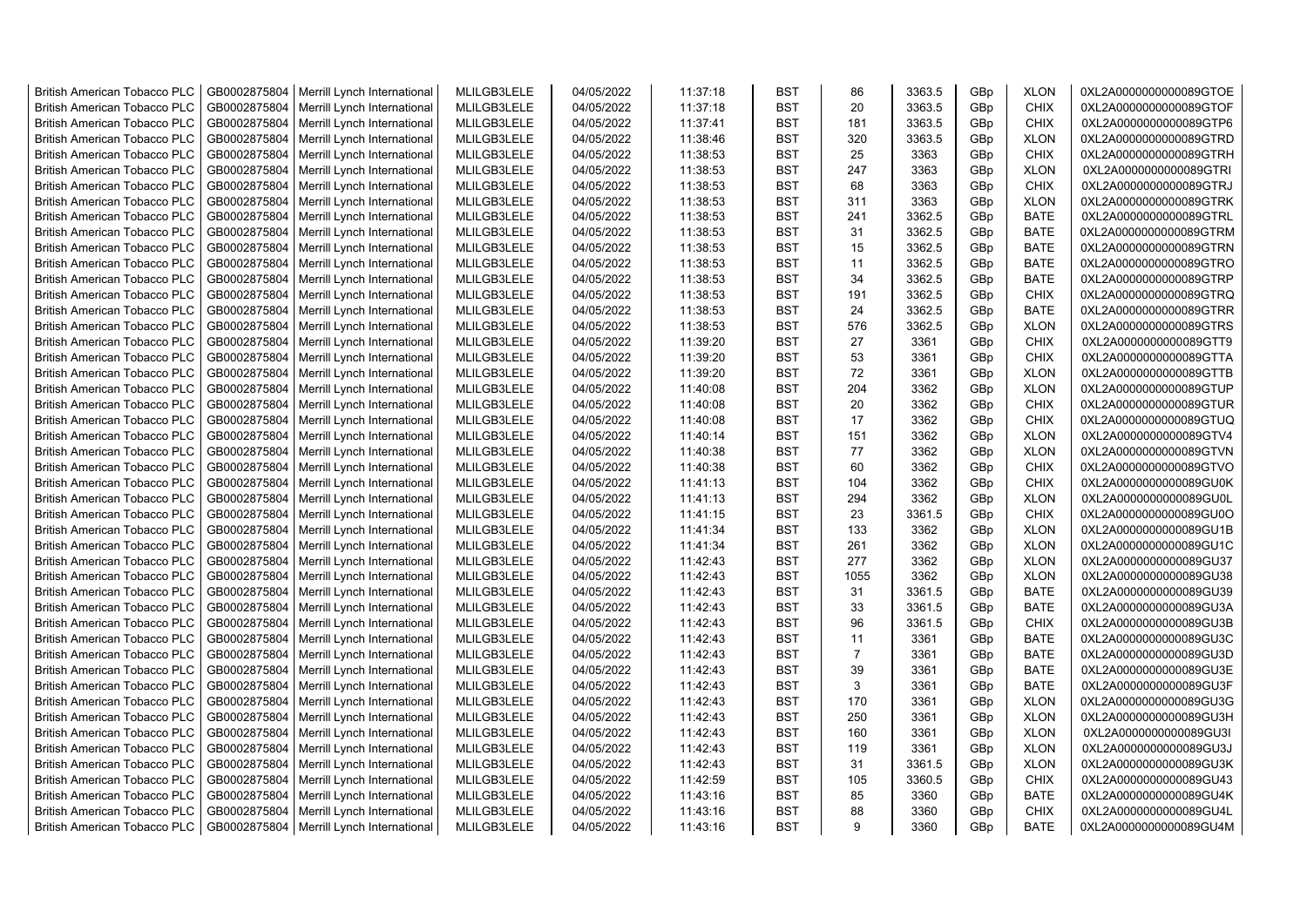| <b>British American Tobacco PLC</b> | GB0002875804 | Merrill Lynch International | MLILGB3LELE | 04/05/2022 | 11:37:18 | <b>BST</b> | 86             | 3363.5 | GBp | <b>XLON</b> | 0XL2A0000000000089GTOE |
|-------------------------------------|--------------|-----------------------------|-------------|------------|----------|------------|----------------|--------|-----|-------------|------------------------|
| <b>British American Tobacco PLC</b> | GB0002875804 | Merrill Lynch International | MLILGB3LELE | 04/05/2022 | 11:37:18 | <b>BST</b> | 20             | 3363.5 | GBp | <b>CHIX</b> | 0XL2A0000000000089GTOF |
| <b>British American Tobacco PLC</b> | GB0002875804 | Merrill Lynch International | MLILGB3LELE | 04/05/2022 | 11:37:41 | <b>BST</b> | 181            | 3363.5 | GBp | <b>CHIX</b> | 0XL2A0000000000089GTP6 |
| <b>British American Tobacco PLC</b> | GB0002875804 | Merrill Lynch International | MLILGB3LELE | 04/05/2022 | 11:38:46 | <b>BST</b> | 320            | 3363.5 | GBp | <b>XLON</b> | 0XL2A0000000000089GTRD |
| <b>British American Tobacco PLC</b> | GB0002875804 | Merrill Lynch International | MLILGB3LELE | 04/05/2022 | 11:38:53 | <b>BST</b> | 25             | 3363   | GBp | <b>CHIX</b> | 0XL2A0000000000089GTRH |
| <b>British American Tobacco PLC</b> | GB0002875804 | Merrill Lynch International | MLILGB3LELE | 04/05/2022 | 11:38:53 | <b>BST</b> | 247            | 3363   | GBp | <b>XLON</b> | 0XL2A0000000000089GTRI |
| <b>British American Tobacco PLC</b> | GB0002875804 | Merrill Lynch International | MLILGB3LELE | 04/05/2022 | 11:38:53 | <b>BST</b> | 68             | 3363   | GBp | <b>CHIX</b> | 0XL2A0000000000089GTRJ |
| <b>British American Tobacco PLC</b> | GB0002875804 | Merrill Lynch International | MLILGB3LELE | 04/05/2022 | 11:38:53 | <b>BST</b> | 311            | 3363   | GBp | <b>XLON</b> | 0XL2A0000000000089GTRK |
| <b>British American Tobacco PLC</b> | GB0002875804 | Merrill Lynch International | MLILGB3LELE | 04/05/2022 | 11:38:53 | <b>BST</b> | 241            | 3362.5 | GBp | <b>BATE</b> | 0XL2A0000000000089GTRL |
| <b>British American Tobacco PLC</b> | GB0002875804 | Merrill Lynch International | MLILGB3LELE | 04/05/2022 | 11:38:53 | <b>BST</b> | 31             | 3362.5 | GBp | <b>BATE</b> | 0XL2A0000000000089GTRM |
| <b>British American Tobacco PLC</b> | GB0002875804 | Merrill Lynch International | MLILGB3LELE | 04/05/2022 | 11:38:53 | <b>BST</b> | 15             | 3362.5 | GBp | <b>BATE</b> | 0XL2A0000000000089GTRN |
| <b>British American Tobacco PLC</b> | GB0002875804 | Merrill Lynch International | MLILGB3LELE | 04/05/2022 | 11:38:53 | <b>BST</b> | 11             | 3362.5 | GBp | <b>BATE</b> | 0XL2A0000000000089GTRO |
| <b>British American Tobacco PLC</b> | GB0002875804 | Merrill Lynch International | MLILGB3LELE | 04/05/2022 | 11:38:53 | <b>BST</b> | 34             | 3362.5 | GBp | <b>BATE</b> | 0XL2A0000000000089GTRP |
| <b>British American Tobacco PLC</b> | GB0002875804 | Merrill Lynch International | MLILGB3LELE | 04/05/2022 | 11:38:53 | <b>BST</b> | 191            | 3362.5 | GBp | <b>CHIX</b> | 0XL2A0000000000089GTRQ |
| <b>British American Tobacco PLC</b> | GB0002875804 | Merrill Lynch International | MLILGB3LELE | 04/05/2022 | 11:38:53 | <b>BST</b> | 24             | 3362.5 | GBp | <b>BATE</b> | 0XL2A0000000000089GTRR |
| <b>British American Tobacco PLC</b> | GB0002875804 | Merrill Lynch International | MLILGB3LELE | 04/05/2022 | 11:38:53 | <b>BST</b> | 576            | 3362.5 | GBp | <b>XLON</b> | 0XL2A0000000000089GTRS |
| <b>British American Tobacco PLC</b> | GB0002875804 | Merrill Lynch International | MLILGB3LELE | 04/05/2022 | 11:39:20 | <b>BST</b> | 27             | 3361   | GBp | <b>CHIX</b> | 0XL2A0000000000089GTT9 |
| <b>British American Tobacco PLC</b> | GB0002875804 | Merrill Lynch International | MLILGB3LELE | 04/05/2022 | 11:39:20 | <b>BST</b> | 53             | 3361   | GBp | <b>CHIX</b> | 0XL2A0000000000089GTTA |
| <b>British American Tobacco PLC</b> | GB0002875804 | Merrill Lynch International | MLILGB3LELE | 04/05/2022 | 11:39:20 | <b>BST</b> | 72             | 3361   | GBp | <b>XLON</b> | 0XL2A0000000000089GTTB |
| <b>British American Tobacco PLC</b> | GB0002875804 | Merrill Lynch International | MLILGB3LELE | 04/05/2022 | 11:40:08 | <b>BST</b> | 204            | 3362   | GBp | <b>XLON</b> | 0XL2A0000000000089GTUP |
| <b>British American Tobacco PLC</b> | GB0002875804 | Merrill Lynch International | MLILGB3LELE | 04/05/2022 | 11:40:08 | <b>BST</b> | 20             | 3362   | GBp | <b>CHIX</b> | 0XL2A0000000000089GTUR |
| <b>British American Tobacco PLC</b> | GB0002875804 | Merrill Lynch International | MLILGB3LELE | 04/05/2022 | 11:40:08 | <b>BST</b> | 17             | 3362   | GBp | <b>CHIX</b> | 0XL2A0000000000089GTUQ |
| <b>British American Tobacco PLC</b> | GB0002875804 | Merrill Lynch International | MLILGB3LELE | 04/05/2022 | 11:40:14 | <b>BST</b> | 151            | 3362   | GBp | <b>XLON</b> | 0XL2A0000000000089GTV4 |
| <b>British American Tobacco PLC</b> | GB0002875804 | Merrill Lynch International | MLILGB3LELE | 04/05/2022 | 11:40:38 | <b>BST</b> | 77             | 3362   | GBp | <b>XLON</b> | 0XL2A0000000000089GTVN |
| <b>British American Tobacco PLC</b> | GB0002875804 | Merrill Lynch International | MLILGB3LELE | 04/05/2022 | 11:40:38 | <b>BST</b> | 60             | 3362   | GBp | <b>CHIX</b> | 0XL2A0000000000089GTVO |
| British American Tobacco PLC        | GB0002875804 | Merrill Lynch International | MLILGB3LELE | 04/05/2022 | 11:41:13 | <b>BST</b> | 104            | 3362   | GBp | <b>CHIX</b> | 0XL2A0000000000089GU0K |
| British American Tobacco PLC        | GB0002875804 | Merrill Lynch International | MLILGB3LELE | 04/05/2022 | 11:41:13 | <b>BST</b> | 294            | 3362   | GBp | <b>XLON</b> | 0XL2A0000000000089GU0L |
| British American Tobacco PLC        | GB0002875804 | Merrill Lynch International | MLILGB3LELE | 04/05/2022 | 11:41:15 | <b>BST</b> | 23             | 3361.5 | GBp | <b>CHIX</b> | 0XL2A0000000000089GU0O |
| <b>British American Tobacco PLC</b> | GB0002875804 | Merrill Lynch International | MLILGB3LELE | 04/05/2022 | 11:41:34 | <b>BST</b> | 133            | 3362   | GBp | <b>XLON</b> | 0XL2A0000000000089GU1B |
| <b>British American Tobacco PLC</b> | GB0002875804 | Merrill Lynch International | MLILGB3LELE | 04/05/2022 | 11:41:34 | <b>BST</b> | 261            | 3362   | GBp | <b>XLON</b> | 0XL2A0000000000089GU1C |
| <b>British American Tobacco PLC</b> | GB0002875804 | Merrill Lynch International | MLILGB3LELE | 04/05/2022 | 11:42:43 | <b>BST</b> | 277            | 3362   | GBp | <b>XLON</b> | 0XL2A0000000000089GU37 |
| <b>British American Tobacco PLC</b> | GB0002875804 | Merrill Lynch International | MLILGB3LELE | 04/05/2022 | 11:42:43 | <b>BST</b> | 1055           | 3362   | GBp | <b>XLON</b> | 0XL2A0000000000089GU38 |
| <b>British American Tobacco PLC</b> | GB0002875804 | Merrill Lynch International | MLILGB3LELE | 04/05/2022 | 11:42:43 | <b>BST</b> | 31             | 3361.5 | GBp | <b>BATE</b> | 0XL2A0000000000089GU39 |
| <b>British American Tobacco PLC</b> | GB0002875804 | Merrill Lynch International | MLILGB3LELE | 04/05/2022 | 11:42:43 | <b>BST</b> | 33             | 3361.5 | GBp | <b>BATE</b> | 0XL2A0000000000089GU3A |
| <b>British American Tobacco PLC</b> | GB0002875804 | Merrill Lynch International | MLILGB3LELE | 04/05/2022 | 11:42:43 | <b>BST</b> | 96             | 3361.5 | GBp | <b>CHIX</b> | 0XL2A0000000000089GU3B |
| <b>British American Tobacco PLC</b> | GB0002875804 | Merrill Lynch International | MLILGB3LELE | 04/05/2022 | 11:42:43 | <b>BST</b> | 11             | 3361   | GBp | <b>BATE</b> | 0XL2A0000000000089GU3C |
| <b>British American Tobacco PLC</b> | GB0002875804 | Merrill Lynch International | MLILGB3LELE | 04/05/2022 | 11:42:43 | <b>BST</b> | $\overline{7}$ | 3361   | GBp | <b>BATE</b> | 0XL2A0000000000089GU3D |
| <b>British American Tobacco PLC</b> | GB0002875804 | Merrill Lynch International | MLILGB3LELE | 04/05/2022 | 11:42:43 | <b>BST</b> | 39             | 3361   | GBp | <b>BATE</b> | 0XL2A0000000000089GU3E |
| <b>British American Tobacco PLC</b> | GB0002875804 | Merrill Lynch International | MLILGB3LELE | 04/05/2022 | 11:42:43 | <b>BST</b> | 3              | 3361   | GBp | <b>BATE</b> | 0XL2A0000000000089GU3F |
| <b>British American Tobacco PLC</b> | GB0002875804 | Merrill Lynch International | MLILGB3LELE | 04/05/2022 | 11:42:43 | <b>BST</b> | 170            | 3361   | GBp | <b>XLON</b> | 0XL2A0000000000089GU3G |
| British American Tobacco PLC        | GB0002875804 | Merrill Lynch International | MLILGB3LELE | 04/05/2022 | 11:42:43 | <b>BST</b> | 250            | 3361   | GBp | <b>XLON</b> | 0XL2A0000000000089GU3H |
| <b>British American Tobacco PLC</b> | GB0002875804 | Merrill Lynch International | MLILGB3LELE | 04/05/2022 | 11:42:43 | <b>BST</b> | 160            | 3361   | GBp | <b>XLON</b> | 0XL2A0000000000089GU3I |
| British American Tobacco PLC        | GB0002875804 | Merrill Lynch International | MLILGB3LELE | 04/05/2022 | 11:42:43 | <b>BST</b> | 119            | 3361   | GBp | <b>XLON</b> | 0XL2A0000000000089GU3J |
| British American Tobacco PLC        | GB0002875804 | Merrill Lynch International | MLILGB3LELE | 04/05/2022 | 11:42:43 | <b>BST</b> | 31             | 3361.5 | GBp | <b>XLON</b> | 0XL2A0000000000089GU3K |
| <b>British American Tobacco PLC</b> | GB0002875804 | Merrill Lynch International | MLILGB3LELE | 04/05/2022 | 11:42:59 | <b>BST</b> | 105            | 3360.5 | GBp | <b>CHIX</b> | 0XL2A0000000000089GU43 |
| <b>British American Tobacco PLC</b> | GB0002875804 | Merrill Lynch International | MLILGB3LELE | 04/05/2022 | 11:43:16 | <b>BST</b> | 85             | 3360   | GBp | <b>BATE</b> | 0XL2A0000000000089GU4K |
| <b>British American Tobacco PLC</b> | GB0002875804 | Merrill Lynch International | MLILGB3LELE | 04/05/2022 | 11:43:16 | <b>BST</b> | 88             | 3360   | GBp | <b>CHIX</b> | 0XL2A0000000000089GU4L |
| <b>British American Tobacco PLC</b> | GB0002875804 | Merrill Lynch International | MLILGB3LELE | 04/05/2022 | 11:43:16 | <b>BST</b> | 9              | 3360   | GBp | <b>BATE</b> | 0XL2A0000000000089GU4M |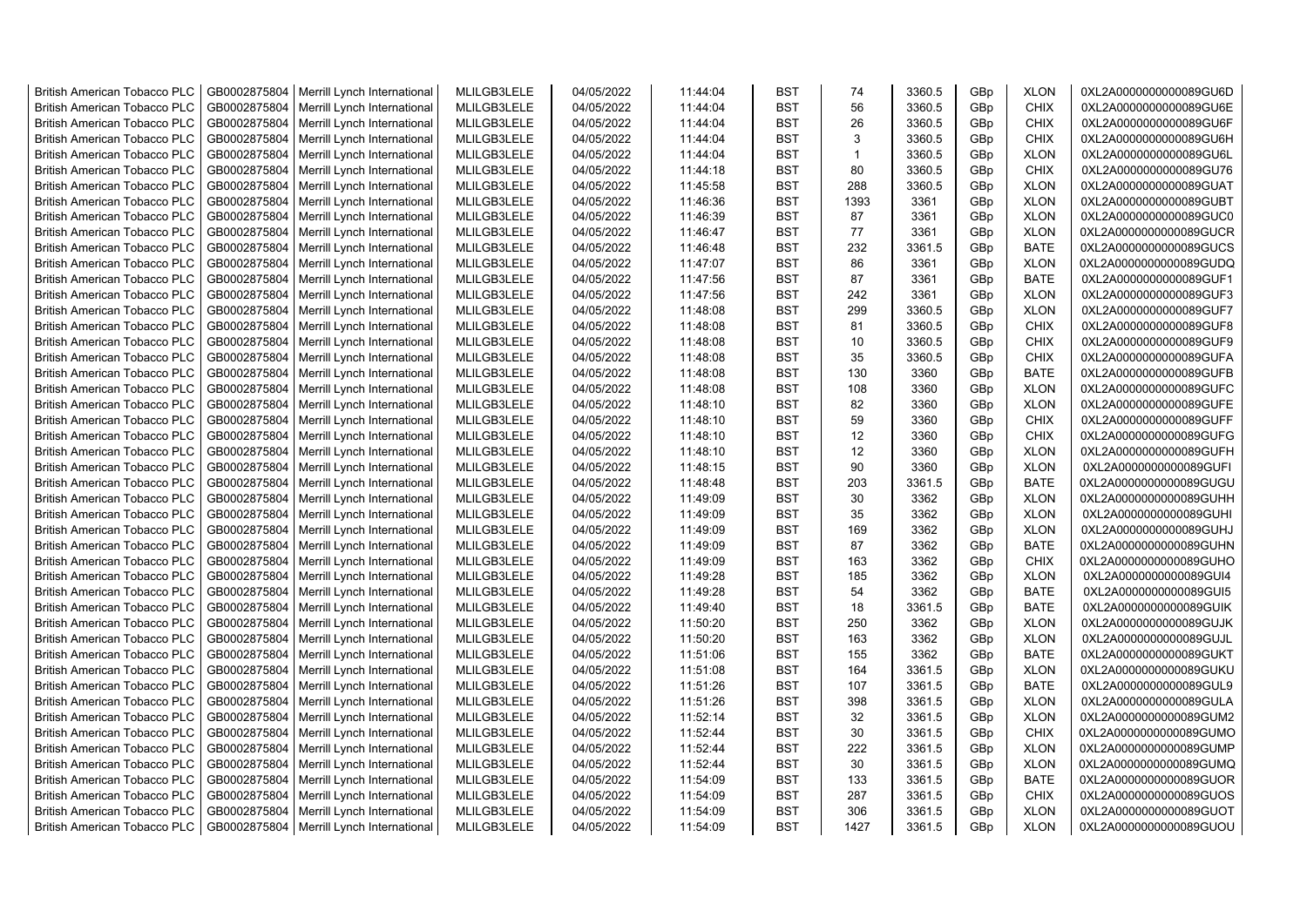| <b>British American Tobacco PLC</b> | GB0002875804 | Merrill Lynch International                | MLILGB3LELE | 04/05/2022 | 11:44:04 | <b>BST</b>               | 74           | 3360.5 | GBp             | <b>XLON</b> | 0XL2A0000000000089GU6D |
|-------------------------------------|--------------|--------------------------------------------|-------------|------------|----------|--------------------------|--------------|--------|-----------------|-------------|------------------------|
| <b>British American Tobacco PLC</b> | GB0002875804 | Merrill Lynch International                | MLILGB3LELE | 04/05/2022 | 11:44:04 | <b>BST</b>               | 56           | 3360.5 | GBp             | <b>CHIX</b> | 0XL2A0000000000089GU6E |
| <b>British American Tobacco PLC</b> | GB0002875804 | Merrill Lynch International                | MLILGB3LELE | 04/05/2022 | 11:44:04 | <b>BST</b>               | 26           | 3360.5 | GBp             | <b>CHIX</b> | 0XL2A0000000000089GU6F |
| <b>British American Tobacco PLC</b> | GB0002875804 | Merrill Lynch International                | MLILGB3LELE | 04/05/2022 | 11:44:04 | <b>BST</b>               | 3            | 3360.5 | GBp             | <b>CHIX</b> | 0XL2A0000000000089GU6H |
| <b>British American Tobacco PLC</b> | GB0002875804 | Merrill Lynch International                | MLILGB3LELE | 04/05/2022 | 11:44:04 | <b>BST</b>               | $\mathbf{1}$ | 3360.5 | GBp             | <b>XLON</b> | 0XL2A0000000000089GU6L |
| <b>British American Tobacco PLC</b> | GB0002875804 | Merrill Lynch International                | MLILGB3LELE | 04/05/2022 | 11:44:18 | <b>BST</b>               | 80           | 3360.5 | GBp             | <b>CHIX</b> | 0XL2A0000000000089GU76 |
| <b>British American Tobacco PLC</b> | GB0002875804 | Merrill Lynch International                | MLILGB3LELE | 04/05/2022 | 11:45:58 | <b>BST</b>               | 288          | 3360.5 | GBp             | <b>XLON</b> | 0XL2A0000000000089GUAT |
| <b>British American Tobacco PLC</b> | GB0002875804 | Merrill Lynch International                | MLILGB3LELE | 04/05/2022 | 11:46:36 | <b>BST</b>               | 1393         | 3361   | GBp             | <b>XLON</b> | 0XL2A0000000000089GUBT |
| <b>British American Tobacco PLC</b> | GB0002875804 | Merrill Lynch International                | MLILGB3LELE | 04/05/2022 | 11:46:39 | <b>BST</b>               | 87           | 3361   | GBp             | <b>XLON</b> | 0XL2A0000000000089GUC0 |
| <b>British American Tobacco PLC</b> | GB0002875804 | Merrill Lynch International                | MLILGB3LELE | 04/05/2022 | 11:46:47 | <b>BST</b>               | 77           | 3361   | GBp             | <b>XLON</b> | 0XL2A0000000000089GUCR |
| <b>British American Tobacco PLC</b> | GB0002875804 | Merrill Lynch International                | MLILGB3LELE | 04/05/2022 | 11:46:48 | <b>BST</b>               | 232          | 3361.5 | GBp             | <b>BATE</b> | 0XL2A0000000000089GUCS |
| <b>British American Tobacco PLC</b> | GB0002875804 | Merrill Lynch International                | MLILGB3LELE | 04/05/2022 | 11:47:07 | <b>BST</b>               | 86           | 3361   | GBp             | <b>XLON</b> | 0XL2A0000000000089GUDQ |
| <b>British American Tobacco PLC</b> | GB0002875804 | Merrill Lynch International                | MLILGB3LELE | 04/05/2022 | 11:47:56 | <b>BST</b>               | 87           | 3361   | GB <sub>p</sub> | <b>BATE</b> | 0XL2A0000000000089GUF1 |
| <b>British American Tobacco PLC</b> | GB0002875804 | Merrill Lynch International                | MLILGB3LELE | 04/05/2022 | 11:47:56 | <b>BST</b>               | 242          | 3361   | GBp             | <b>XLON</b> | 0XL2A0000000000089GUF3 |
| <b>British American Tobacco PLC</b> | GB0002875804 | Merrill Lynch International                | MLILGB3LELE | 04/05/2022 | 11:48:08 | <b>BST</b>               | 299          | 3360.5 | GBp             | <b>XLON</b> | 0XL2A0000000000089GUF7 |
| <b>British American Tobacco PLC</b> | GB0002875804 | Merrill Lynch International                | MLILGB3LELE | 04/05/2022 | 11:48:08 | <b>BST</b>               | 81           | 3360.5 | GBp             | <b>CHIX</b> | 0XL2A0000000000089GUF8 |
| <b>British American Tobacco PLC</b> | GB0002875804 | Merrill Lynch International                | MLILGB3LELE | 04/05/2022 | 11:48:08 | <b>BST</b>               | 10           | 3360.5 | GBp             | <b>CHIX</b> | 0XL2A0000000000089GUF9 |
| <b>British American Tobacco PLC</b> | GB0002875804 | Merrill Lynch International                | MLILGB3LELE | 04/05/2022 | 11:48:08 | <b>BST</b>               | 35           | 3360.5 | GBp             | <b>CHIX</b> | 0XL2A0000000000089GUFA |
| <b>British American Tobacco PLC</b> | GB0002875804 | Merrill Lynch International                | MLILGB3LELE | 04/05/2022 | 11:48:08 | <b>BST</b>               | 130          | 3360   | GBp             | <b>BATE</b> | 0XL2A0000000000089GUFB |
| <b>British American Tobacco PLC</b> | GB0002875804 | Merrill Lynch International                | MLILGB3LELE | 04/05/2022 | 11:48:08 | <b>BST</b>               | 108          | 3360   | GBp             | <b>XLON</b> | 0XL2A0000000000089GUFC |
| <b>British American Tobacco PLC</b> | GB0002875804 | Merrill Lynch International                | MLILGB3LELE | 04/05/2022 | 11:48:10 | <b>BST</b>               | 82           | 3360   | GBp             | <b>XLON</b> | 0XL2A0000000000089GUFE |
| <b>British American Tobacco PLC</b> | GB0002875804 | Merrill Lynch International                | MLILGB3LELE | 04/05/2022 | 11:48:10 | <b>BST</b>               | 59           | 3360   | GBp             | <b>CHIX</b> | 0XL2A0000000000089GUFF |
| <b>British American Tobacco PLC</b> | GB0002875804 | Merrill Lynch International                | MLILGB3LELE | 04/05/2022 | 11:48:10 | <b>BST</b>               | 12           | 3360   | GBp             | <b>CHIX</b> | 0XL2A0000000000089GUFG |
| <b>British American Tobacco PLC</b> | GB0002875804 | Merrill Lynch International                | MLILGB3LELE | 04/05/2022 | 11:48:10 | <b>BST</b>               | 12           | 3360   | GBp             | <b>XLON</b> | 0XL2A0000000000089GUFH |
| <b>British American Tobacco PLC</b> | GB0002875804 | Merrill Lynch International                | MLILGB3LELE | 04/05/2022 | 11:48:15 | <b>BST</b>               | 90           | 3360   | GBp             | <b>XLON</b> | 0XL2A0000000000089GUFI |
| <b>British American Tobacco PLC</b> | GB0002875804 | Merrill Lynch International                | MLILGB3LELE | 04/05/2022 | 11:48:48 | <b>BST</b>               | 203          | 3361.5 | GBp             | <b>BATE</b> | 0XL2A0000000000089GUGU |
| <b>British American Tobacco PLC</b> | GB0002875804 | Merrill Lynch International                | MLILGB3LELE | 04/05/2022 | 11:49:09 | <b>BST</b>               | 30           | 3362   | GBp             | <b>XLON</b> | 0XL2A0000000000089GUHH |
| <b>British American Tobacco PLC</b> | GB0002875804 | Merrill Lynch International                | MLILGB3LELE | 04/05/2022 | 11:49:09 | <b>BST</b>               | 35           | 3362   | GBp             | <b>XLON</b> | 0XL2A0000000000089GUHI |
| <b>British American Tobacco PLC</b> | GB0002875804 | Merrill Lynch International                | MLILGB3LELE | 04/05/2022 | 11:49:09 | <b>BST</b>               | 169          | 3362   | GBp             | <b>XLON</b> | 0XL2A0000000000089GUHJ |
| <b>British American Tobacco PLC</b> | GB0002875804 | Merrill Lynch International                | MLILGB3LELE | 04/05/2022 | 11:49:09 | <b>BST</b>               | 87           | 3362   | GB <sub>p</sub> | <b>BATE</b> | 0XL2A0000000000089GUHN |
| <b>British American Tobacco PLC</b> | GB0002875804 | Merrill Lynch International                | MLILGB3LELE | 04/05/2022 | 11:49:09 | <b>BST</b>               | 163          | 3362   | GBp             | <b>CHIX</b> | 0XL2A0000000000089GUHO |
| <b>British American Tobacco PLC</b> | GB0002875804 | Merrill Lynch International                | MLILGB3LELE | 04/05/2022 | 11:49:28 | <b>BST</b>               | 185          | 3362   | GBp             | <b>XLON</b> | 0XL2A0000000000089GUI4 |
| <b>British American Tobacco PLC</b> | GB0002875804 | Merrill Lynch International                | MLILGB3LELE | 04/05/2022 | 11:49:28 | <b>BST</b>               | 54           | 3362   | GBp             | <b>BATE</b> | 0XL2A0000000000089GUI5 |
| <b>British American Tobacco PLC</b> | GB0002875804 | Merrill Lynch International                | MLILGB3LELE | 04/05/2022 | 11:49:40 | <b>BST</b>               | 18           | 3361.5 | GBp             | <b>BATE</b> | 0XL2A0000000000089GUIK |
| <b>British American Tobacco PLC</b> | GB0002875804 | Merrill Lynch International                | MLILGB3LELE | 04/05/2022 | 11:50:20 | <b>BST</b>               | 250          | 3362   | GBp             | <b>XLON</b> | 0XL2A0000000000089GUJK |
| <b>British American Tobacco PLC</b> | GB0002875804 | Merrill Lynch International                | MLILGB3LELE | 04/05/2022 | 11:50:20 | <b>BST</b>               | 163          | 3362   | GBp             | <b>XLON</b> | 0XL2A0000000000089GUJL |
| <b>British American Tobacco PLC</b> | GB0002875804 | Merrill Lynch International                | MLILGB3LELE | 04/05/2022 | 11:51:06 | <b>BST</b>               | 155          | 3362   | GBp             | <b>BATE</b> | 0XL2A0000000000089GUKT |
| <b>British American Tobacco PLC</b> | GB0002875804 | Merrill Lynch International                | MLILGB3LELE | 04/05/2022 | 11:51:08 | <b>BST</b>               | 164          | 3361.5 | GBp             | <b>XLON</b> | 0XL2A0000000000089GUKU |
| <b>British American Tobacco PLC</b> | GB0002875804 | Merrill Lynch International                | MLILGB3LELE | 04/05/2022 | 11:51:26 | <b>BST</b>               | 107          | 3361.5 | GBp             | <b>BATE</b> | 0XL2A0000000000089GUL9 |
|                                     | GB0002875804 |                                            | MLILGB3LELE | 04/05/2022 |          | <b>BST</b>               | 398          | 3361.5 | GBp             | <b>XLON</b> |                        |
| <b>British American Tobacco PLC</b> |              | Merrill Lynch International                |             |            | 11:51:26 | <b>BST</b>               | 32           |        |                 |             | 0XL2A0000000000089GULA |
| <b>British American Tobacco PLC</b> | GB0002875804 | Merrill Lynch International                | MLILGB3LELE | 04/05/2022 | 11:52:14 |                          |              | 3361.5 | GBp             | <b>XLON</b> | 0XL2A0000000000089GUM2 |
| <b>British American Tobacco PLC</b> | GB0002875804 | Merrill Lynch International                | MLILGB3LELE | 04/05/2022 | 11:52:44 | <b>BST</b>               | 30           | 3361.5 | GBp             | <b>CHIX</b> | 0XL2A0000000000089GUMO |
| <b>British American Tobacco PLC</b> | GB0002875804 | Merrill Lynch International                | MLILGB3LELE | 04/05/2022 | 11:52:44 | <b>BST</b>               | 222          | 3361.5 | GBp             | <b>XLON</b> | 0XL2A0000000000089GUMP |
| <b>British American Tobacco PLC</b> | GB0002875804 | Merrill Lynch International                | MLILGB3LELE | 04/05/2022 | 11:52:44 | <b>BST</b><br><b>BST</b> | 30<br>133    | 3361.5 | GBp             | <b>XLON</b> | 0XL2A0000000000089GUMQ |
| <b>British American Tobacco PLC</b> | GB0002875804 | Merrill Lynch International                | MLILGB3LELE | 04/05/2022 | 11:54:09 |                          |              | 3361.5 | GBp             | <b>BATE</b> | 0XL2A0000000000089GUOR |
| <b>British American Tobacco PLC</b> | GB0002875804 | Merrill Lynch International                | MLILGB3LELE | 04/05/2022 | 11:54:09 | <b>BST</b>               | 287          | 3361.5 | GBp             | <b>CHIX</b> | 0XL2A0000000000089GUOS |
| <b>British American Tobacco PLC</b> | GB0002875804 | Merrill Lynch International                | MLILGB3LELE | 04/05/2022 | 11:54:09 | <b>BST</b>               | 306          | 3361.5 | GB <sub>p</sub> | <b>XLON</b> | 0XL2A0000000000089GUOT |
| <b>British American Tobacco PLC</b> |              | GB0002875804   Merrill Lynch International | MLILGB3LELE | 04/05/2022 | 11:54:09 | <b>BST</b>               | 1427         | 3361.5 | GBp             | <b>XLON</b> | 0XL2A0000000000089GUOU |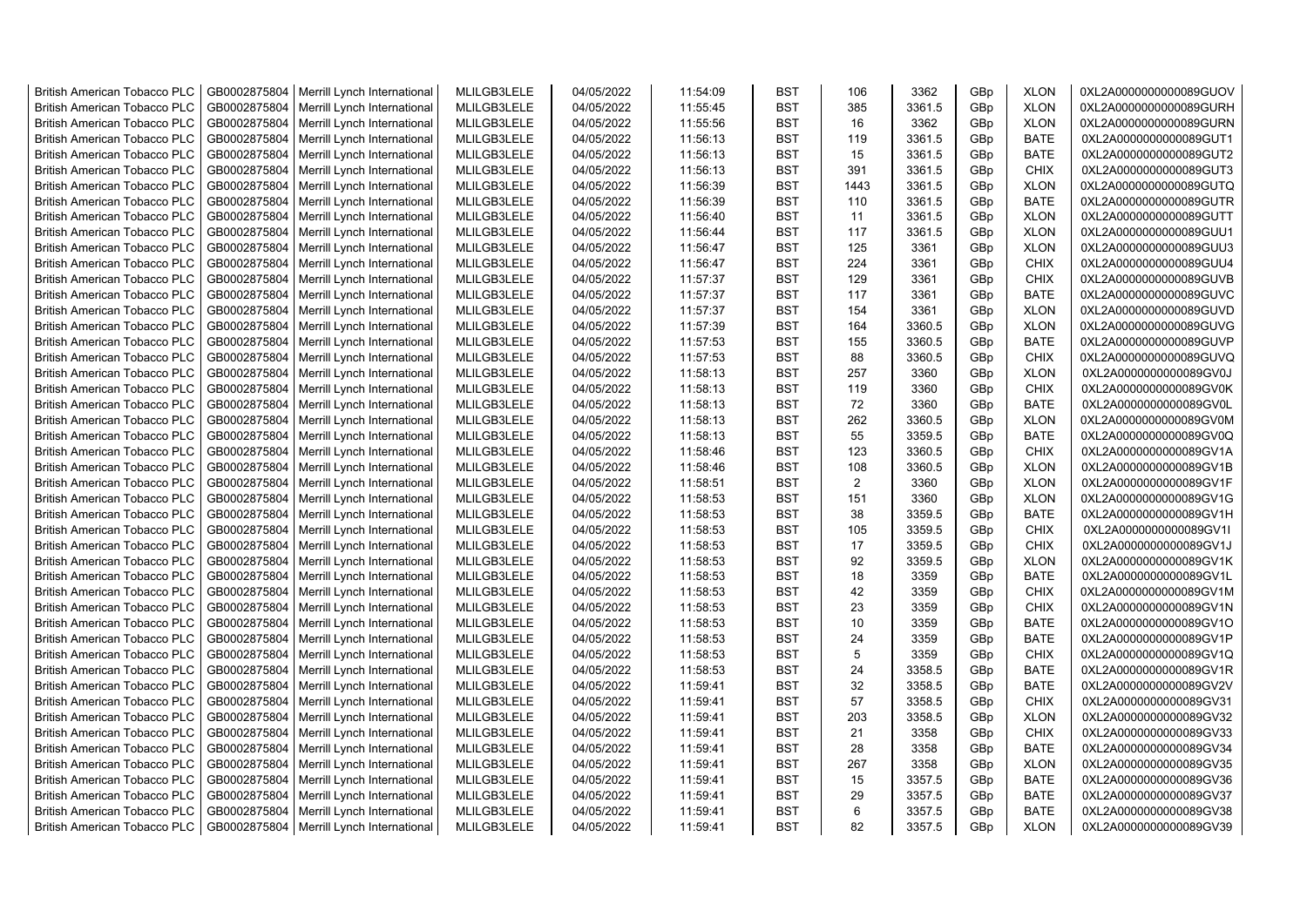| <b>British American Tobacco PLC</b> | GB0002875804 | Merrill Lynch International | MLILGB3LELE | 04/05/2022 | 11:54:09 | <b>BST</b> | 106            | 3362   | GBp             | <b>XLON</b> | 0XL2A0000000000089GUOV |
|-------------------------------------|--------------|-----------------------------|-------------|------------|----------|------------|----------------|--------|-----------------|-------------|------------------------|
| <b>British American Tobacco PLC</b> | GB0002875804 | Merrill Lynch International | MLILGB3LELE | 04/05/2022 | 11:55:45 | <b>BST</b> | 385            | 3361.5 | GBp             | <b>XLON</b> | 0XL2A0000000000089GURH |
| <b>British American Tobacco PLC</b> | GB0002875804 | Merrill Lynch International | MLILGB3LELE | 04/05/2022 | 11:55:56 | <b>BST</b> | 16             | 3362   | GBp             | <b>XLON</b> | 0XL2A0000000000089GURN |
| <b>British American Tobacco PLC</b> | GB0002875804 | Merrill Lynch International | MLILGB3LELE | 04/05/2022 | 11:56:13 | <b>BST</b> | 119            | 3361.5 | GBp             | <b>BATE</b> | 0XL2A0000000000089GUT1 |
| British American Tobacco PLC        | GB0002875804 | Merrill Lynch International | MLILGB3LELE | 04/05/2022 | 11:56:13 | <b>BST</b> | 15             | 3361.5 | GBp             | <b>BATE</b> | 0XL2A0000000000089GUT2 |
| <b>British American Tobacco PLC</b> | GB0002875804 | Merrill Lynch International | MLILGB3LELE | 04/05/2022 | 11:56:13 | <b>BST</b> | 391            | 3361.5 | GBp             | <b>CHIX</b> | 0XL2A0000000000089GUT3 |
| <b>British American Tobacco PLC</b> | GB0002875804 | Merrill Lynch International | MLILGB3LELE | 04/05/2022 | 11:56:39 | <b>BST</b> | 1443           | 3361.5 | GBp             | <b>XLON</b> | 0XL2A0000000000089GUTQ |
| <b>British American Tobacco PLC</b> | GB0002875804 | Merrill Lynch International | MLILGB3LELE | 04/05/2022 | 11:56:39 | <b>BST</b> | 110            | 3361.5 | GBp             | <b>BATE</b> | 0XL2A0000000000089GUTR |
| <b>British American Tobacco PLC</b> | GB0002875804 |                             | MLILGB3LELE | 04/05/2022 |          | <b>BST</b> | 11             | 3361.5 |                 | <b>XLON</b> |                        |
|                                     |              | Merrill Lynch International |             |            | 11:56:40 |            | 117            |        | GBp             |             | 0XL2A0000000000089GUTT |
| <b>British American Tobacco PLC</b> | GB0002875804 | Merrill Lynch International | MLILGB3LELE | 04/05/2022 | 11:56:44 | <b>BST</b> |                | 3361.5 | GBp             | <b>XLON</b> | 0XL2A0000000000089GUU1 |
| <b>British American Tobacco PLC</b> | GB0002875804 | Merrill Lynch International | MLILGB3LELE | 04/05/2022 | 11:56:47 | <b>BST</b> | 125            | 3361   | GBp             | <b>XLON</b> | 0XL2A0000000000089GUU3 |
| British American Tobacco PLC        | GB0002875804 | Merrill Lynch International | MLILGB3LELE | 04/05/2022 | 11:56:47 | <b>BST</b> | 224            | 3361   | GBp             | <b>CHIX</b> | 0XL2A0000000000089GUU4 |
| <b>British American Tobacco PLC</b> | GB0002875804 | Merrill Lynch International | MLILGB3LELE | 04/05/2022 | 11:57:37 | <b>BST</b> | 129            | 3361   | GB <sub>p</sub> | <b>CHIX</b> | 0XL2A0000000000089GUVB |
| <b>British American Tobacco PLC</b> | GB0002875804 | Merrill Lynch International | MLILGB3LELE | 04/05/2022 | 11:57:37 | <b>BST</b> | 117            | 3361   | GBp             | <b>BATE</b> | 0XL2A0000000000089GUVC |
| <b>British American Tobacco PLC</b> | GB0002875804 | Merrill Lynch International | MLILGB3LELE | 04/05/2022 | 11:57:37 | <b>BST</b> | 154            | 3361   | GBp             | <b>XLON</b> | 0XL2A0000000000089GUVD |
| <b>British American Tobacco PLC</b> | GB0002875804 | Merrill Lynch International | MLILGB3LELE | 04/05/2022 | 11:57:39 | <b>BST</b> | 164            | 3360.5 | GBp             | <b>XLON</b> | 0XL2A0000000000089GUVG |
| <b>British American Tobacco PLC</b> | GB0002875804 | Merrill Lynch International | MLILGB3LELE | 04/05/2022 | 11:57:53 | <b>BST</b> | 155            | 3360.5 | GBp             | <b>BATE</b> | 0XL2A0000000000089GUVP |
| <b>British American Tobacco PLC</b> | GB0002875804 | Merrill Lynch International | MLILGB3LELE | 04/05/2022 | 11:57:53 | <b>BST</b> | 88             | 3360.5 | GBp             | <b>CHIX</b> | 0XL2A0000000000089GUVQ |
| <b>British American Tobacco PLC</b> | GB0002875804 | Merrill Lynch International | MLILGB3LELE | 04/05/2022 | 11:58:13 | <b>BST</b> | 257            | 3360   | GBp             | <b>XLON</b> | 0XL2A0000000000089GV0J |
| <b>British American Tobacco PLC</b> | GB0002875804 | Merrill Lynch International | MLILGB3LELE | 04/05/2022 | 11:58:13 | <b>BST</b> | 119            | 3360   | GBp             | <b>CHIX</b> | 0XL2A0000000000089GV0K |
| <b>British American Tobacco PLC</b> | GB0002875804 | Merrill Lynch International | MLILGB3LELE | 04/05/2022 | 11:58:13 | <b>BST</b> | 72             | 3360   | GBp             | <b>BATE</b> | 0XL2A0000000000089GV0L |
| <b>British American Tobacco PLC</b> | GB0002875804 | Merrill Lynch International | MLILGB3LELE | 04/05/2022 | 11:58:13 | <b>BST</b> | 262            | 3360.5 | GBp             | <b>XLON</b> | 0XL2A0000000000089GV0M |
| <b>British American Tobacco PLC</b> | GB0002875804 | Merrill Lynch International | MLILGB3LELE | 04/05/2022 | 11:58:13 | <b>BST</b> | 55             | 3359.5 | GBp             | <b>BATE</b> | 0XL2A0000000000089GV0Q |
| <b>British American Tobacco PLC</b> | GB0002875804 | Merrill Lynch International | MLILGB3LELE | 04/05/2022 | 11:58:46 | <b>BST</b> | 123            | 3360.5 | GBp             | <b>CHIX</b> | 0XL2A0000000000089GV1A |
| <b>British American Tobacco PLC</b> | GB0002875804 | Merrill Lynch International | MLILGB3LELE | 04/05/2022 | 11:58:46 | <b>BST</b> | 108            | 3360.5 | GBp             | <b>XLON</b> | 0XL2A0000000000089GV1B |
| British American Tobacco PLC        | GB0002875804 | Merrill Lynch International | MLILGB3LELE | 04/05/2022 | 11:58:51 | <b>BST</b> | $\overline{2}$ | 3360   | GBp             | <b>XLON</b> | 0XL2A0000000000089GV1F |
| British American Tobacco PLC        | GB0002875804 | Merrill Lynch International | MLILGB3LELE | 04/05/2022 | 11:58:53 | <b>BST</b> | 151            | 3360   | GBp             | <b>XLON</b> | 0XL2A0000000000089GV1G |
| British American Tobacco PLC        | GB0002875804 | Merrill Lynch International | MLILGB3LELE | 04/05/2022 | 11:58:53 | <b>BST</b> | 38             | 3359.5 | GBp             | <b>BATE</b> | 0XL2A0000000000089GV1H |
| <b>British American Tobacco PLC</b> | GB0002875804 | Merrill Lynch International | MLILGB3LELE | 04/05/2022 | 11:58:53 | <b>BST</b> | 105            | 3359.5 | GBp             | <b>CHIX</b> | 0XL2A0000000000089GV1I |
| <b>British American Tobacco PLC</b> | GB0002875804 | Merrill Lynch International | MLILGB3LELE | 04/05/2022 | 11:58:53 | <b>BST</b> | 17             | 3359.5 | GBp             | <b>CHIX</b> | 0XL2A0000000000089GV1J |
| <b>British American Tobacco PLC</b> | GB0002875804 | Merrill Lynch International | MLILGB3LELE | 04/05/2022 | 11:58:53 | <b>BST</b> | 92             | 3359.5 | GBp             | <b>XLON</b> | 0XL2A0000000000089GV1K |
| <b>British American Tobacco PLC</b> | GB0002875804 | Merrill Lynch International | MLILGB3LELE | 04/05/2022 | 11:58:53 | <b>BST</b> | 18             | 3359   | GBp             | <b>BATE</b> | 0XL2A0000000000089GV1L |
| <b>British American Tobacco PLC</b> | GB0002875804 | Merrill Lynch International | MLILGB3LELE | 04/05/2022 | 11:58:53 | <b>BST</b> | 42             | 3359   | GBp             | <b>CHIX</b> | 0XL2A0000000000089GV1M |
| <b>British American Tobacco PLC</b> | GB0002875804 | Merrill Lynch International | MLILGB3LELE | 04/05/2022 | 11:58:53 | <b>BST</b> | 23             | 3359   | GBp             | <b>CHIX</b> | 0XL2A0000000000089GV1N |
|                                     | GB0002875804 |                             |             |            |          | <b>BST</b> | 10             |        |                 | <b>BATE</b> |                        |
| British American Tobacco PLC        |              | Merrill Lynch International | MLILGB3LELE | 04/05/2022 | 11:58:53 |            |                | 3359   | GBp             |             | 0XL2A0000000000089GV1O |
| <b>British American Tobacco PLC</b> | GB0002875804 | Merrill Lynch International | MLILGB3LELE | 04/05/2022 | 11:58:53 | <b>BST</b> | 24             | 3359   | GBp             | <b>BATE</b> | 0XL2A0000000000089GV1P |
| British American Tobacco PLC        | GB0002875804 | Merrill Lynch International | MLILGB3LELE | 04/05/2022 | 11:58:53 | <b>BST</b> | 5              | 3359   | GBp             | <b>CHIX</b> | 0XL2A0000000000089GV1Q |
| <b>British American Tobacco PLC</b> | GB0002875804 | Merrill Lynch International | MLILGB3LELE | 04/05/2022 | 11:58:53 | <b>BST</b> | 24             | 3358.5 | GBp             | <b>BATE</b> | 0XL2A0000000000089GV1R |
| <b>British American Tobacco PLC</b> | GB0002875804 | Merrill Lynch International | MLILGB3LELE | 04/05/2022 | 11:59:41 | <b>BST</b> | 32             | 3358.5 | GBp             | <b>BATE</b> | 0XL2A0000000000089GV2V |
| <b>British American Tobacco PLC</b> | GB0002875804 | Merrill Lynch International | MLILGB3LELE | 04/05/2022 | 11:59:41 | <b>BST</b> | 57             | 3358.5 | GBp             | <b>CHIX</b> | 0XL2A0000000000089GV31 |
| British American Tobacco PLC        | GB0002875804 | Merrill Lynch International | MLILGB3LELE | 04/05/2022 | 11:59:41 | <b>BST</b> | 203            | 3358.5 | GBp             | <b>XLON</b> | 0XL2A0000000000089GV32 |
| <b>British American Tobacco PLC</b> | GB0002875804 | Merrill Lynch International | MLILGB3LELE | 04/05/2022 | 11:59:41 | <b>BST</b> | 21             | 3358   | GBp             | <b>CHIX</b> | 0XL2A0000000000089GV33 |
| British American Tobacco PLC        | GB0002875804 | Merrill Lynch International | MLILGB3LELE | 04/05/2022 | 11:59:41 | <b>BST</b> | 28             | 3358   | GBp             | <b>BATE</b> | 0XL2A0000000000089GV34 |
| British American Tobacco PLC        | GB0002875804 | Merrill Lynch International | MLILGB3LELE | 04/05/2022 | 11:59:41 | <b>BST</b> | 267            | 3358   | GBp             | <b>XLON</b> | 0XL2A0000000000089GV35 |
| <b>British American Tobacco PLC</b> | GB0002875804 | Merrill Lynch International | MLILGB3LELE | 04/05/2022 | 11:59:41 | <b>BST</b> | 15             | 3357.5 | GBp             | <b>BATE</b> | 0XL2A0000000000089GV36 |
| <b>British American Tobacco PLC</b> | GB0002875804 | Merrill Lynch International | MLILGB3LELE | 04/05/2022 | 11:59:41 | <b>BST</b> | 29             | 3357.5 | GBp             | <b>BATE</b> | 0XL2A0000000000089GV37 |
| <b>British American Tobacco PLC</b> | GB0002875804 | Merrill Lynch International | MLILGB3LELE | 04/05/2022 | 11:59:41 | <b>BST</b> | 6              | 3357.5 | GBp             | <b>BATE</b> | 0XL2A0000000000089GV38 |
| <b>British American Tobacco PLC</b> | GB0002875804 | Merrill Lynch International | MLILGB3LELE | 04/05/2022 | 11:59:41 | <b>BST</b> | 82             | 3357.5 | GB <sub>p</sub> | <b>XLON</b> | 0XL2A0000000000089GV39 |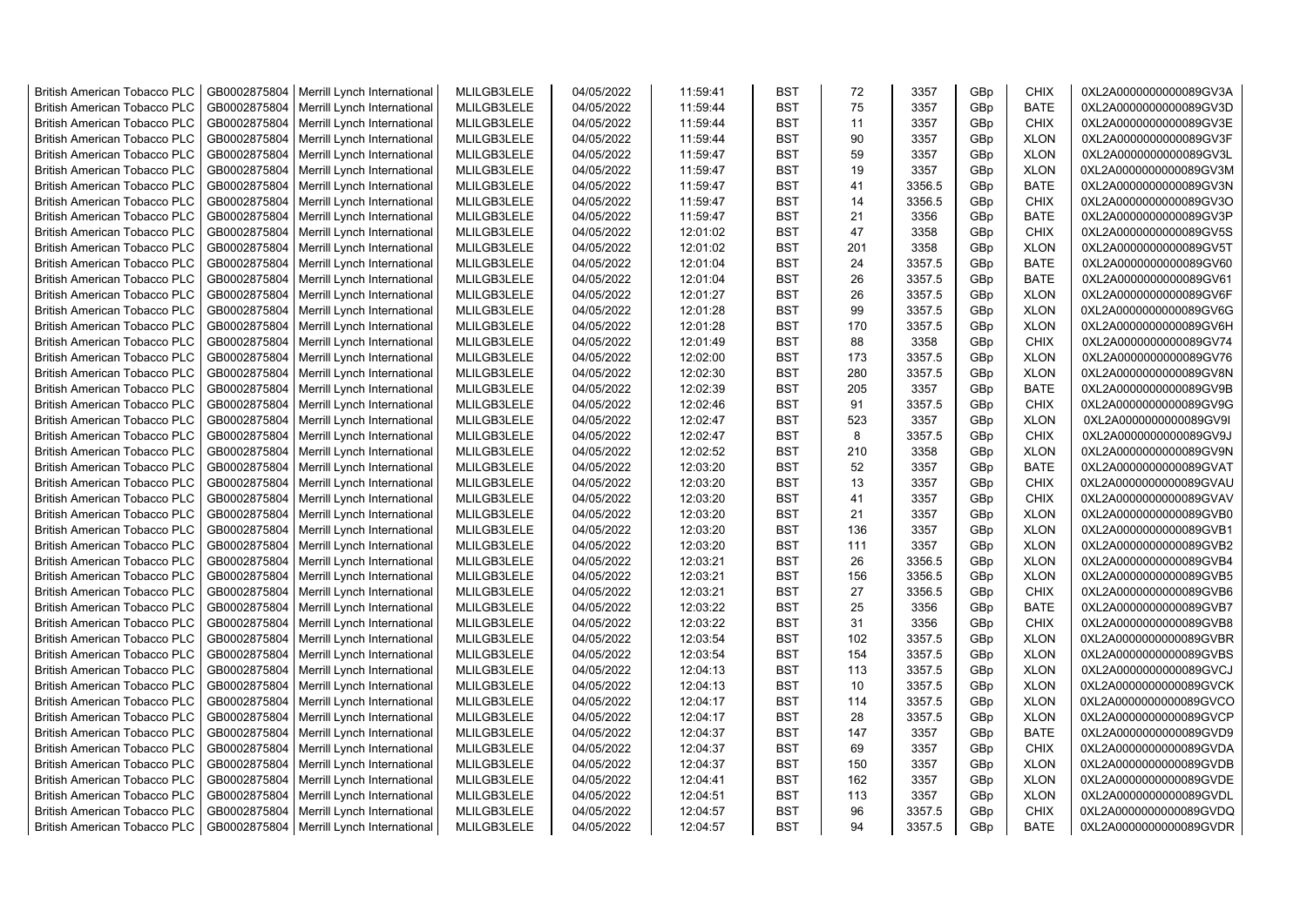| <b>British American Tobacco PLC</b> | GB0002875804 | Merrill Lynch International | MLILGB3LELE | 04/05/2022 | 11:59:41 | <b>BST</b> | 72  | 3357   | GBp             | <b>CHIX</b> | 0XL2A0000000000089GV3A |
|-------------------------------------|--------------|-----------------------------|-------------|------------|----------|------------|-----|--------|-----------------|-------------|------------------------|
| <b>British American Tobacco PLC</b> | GB0002875804 | Merrill Lynch International | MLILGB3LELE | 04/05/2022 | 11:59:44 | <b>BST</b> | 75  | 3357   | GBp             | <b>BATE</b> | 0XL2A0000000000089GV3D |
| <b>British American Tobacco PLC</b> | GB0002875804 | Merrill Lynch International | MLILGB3LELE | 04/05/2022 | 11:59:44 | <b>BST</b> | 11  | 3357   | GBp             | <b>CHIX</b> | 0XL2A0000000000089GV3E |
| <b>British American Tobacco PLC</b> | GB0002875804 | Merrill Lynch International | MLILGB3LELE | 04/05/2022 | 11:59:44 | <b>BST</b> | 90  | 3357   | GBp             | <b>XLON</b> | 0XL2A0000000000089GV3F |
| <b>British American Tobacco PLC</b> | GB0002875804 | Merrill Lynch International | MLILGB3LELE | 04/05/2022 | 11:59:47 | <b>BST</b> | 59  | 3357   | GBp             | <b>XLON</b> | 0XL2A0000000000089GV3L |
| <b>British American Tobacco PLC</b> | GB0002875804 | Merrill Lynch International | MLILGB3LELE | 04/05/2022 | 11:59:47 | <b>BST</b> | 19  | 3357   | GBp             | <b>XLON</b> | 0XL2A0000000000089GV3M |
| <b>British American Tobacco PLC</b> | GB0002875804 | Merrill Lynch International | MLILGB3LELE | 04/05/2022 | 11:59:47 | <b>BST</b> | 41  | 3356.5 | GBp             | <b>BATE</b> | 0XL2A0000000000089GV3N |
| <b>British American Tobacco PLC</b> | GB0002875804 | Merrill Lynch International | MLILGB3LELE | 04/05/2022 | 11:59:47 | <b>BST</b> | 14  | 3356.5 | GBp             | <b>CHIX</b> | 0XL2A0000000000089GV3O |
| <b>British American Tobacco PLC</b> | GB0002875804 | Merrill Lynch International | MLILGB3LELE | 04/05/2022 | 11:59:47 | <b>BST</b> | 21  | 3356   | GBp             | <b>BATE</b> | 0XL2A0000000000089GV3P |
| <b>British American Tobacco PLC</b> | GB0002875804 | Merrill Lynch International | MLILGB3LELE | 04/05/2022 | 12:01:02 | <b>BST</b> | 47  | 3358   | GBp             | <b>CHIX</b> | 0XL2A0000000000089GV5S |
| <b>British American Tobacco PLC</b> | GB0002875804 | Merrill Lynch International | MLILGB3LELE | 04/05/2022 | 12:01:02 | <b>BST</b> | 201 | 3358   | GBp             | <b>XLON</b> | 0XL2A0000000000089GV5T |
| <b>British American Tobacco PLC</b> | GB0002875804 | Merrill Lynch International | MLILGB3LELE | 04/05/2022 | 12:01:04 | <b>BST</b> | 24  | 3357.5 | GBp             | <b>BATE</b> | 0XL2A0000000000089GV60 |
| <b>British American Tobacco PLC</b> | GB0002875804 | Merrill Lynch International | MLILGB3LELE | 04/05/2022 | 12:01:04 | <b>BST</b> | 26  | 3357.5 | GBp             | <b>BATE</b> | 0XL2A0000000000089GV61 |
| <b>British American Tobacco PLC</b> | GB0002875804 | Merrill Lynch International | MLILGB3LELE | 04/05/2022 | 12:01:27 | <b>BST</b> | 26  | 3357.5 | GBp             | <b>XLON</b> | 0XL2A0000000000089GV6F |
| <b>British American Tobacco PLC</b> | GB0002875804 | Merrill Lynch International | MLILGB3LELE | 04/05/2022 | 12:01:28 | <b>BST</b> | 99  | 3357.5 | GBp             | <b>XLON</b> | 0XL2A0000000000089GV6G |
| <b>British American Tobacco PLC</b> | GB0002875804 | Merrill Lynch International | MLILGB3LELE | 04/05/2022 | 12:01:28 | <b>BST</b> | 170 | 3357.5 | GBp             | <b>XLON</b> | 0XL2A0000000000089GV6H |
| <b>British American Tobacco PLC</b> | GB0002875804 | Merrill Lynch International | MLILGB3LELE | 04/05/2022 | 12:01:49 | <b>BST</b> | 88  | 3358   | GBp             | <b>CHIX</b> | 0XL2A0000000000089GV74 |
| <b>British American Tobacco PLC</b> | GB0002875804 | Merrill Lynch International | MLILGB3LELE | 04/05/2022 | 12:02:00 | <b>BST</b> | 173 | 3357.5 | GBp             | <b>XLON</b> | 0XL2A0000000000089GV76 |
| <b>British American Tobacco PLC</b> | GB0002875804 | Merrill Lynch International | MLILGB3LELE | 04/05/2022 | 12:02:30 | <b>BST</b> | 280 | 3357.5 | GBp             | <b>XLON</b> | 0XL2A0000000000089GV8N |
| <b>British American Tobacco PLC</b> | GB0002875804 | Merrill Lynch International | MLILGB3LELE | 04/05/2022 | 12:02:39 | <b>BST</b> | 205 | 3357   | GBp             | <b>BATE</b> | 0XL2A0000000000089GV9B |
| <b>British American Tobacco PLC</b> | GB0002875804 | Merrill Lynch International | MLILGB3LELE | 04/05/2022 | 12:02:46 | <b>BST</b> | 91  | 3357.5 | GBp             | <b>CHIX</b> | 0XL2A0000000000089GV9G |
| <b>British American Tobacco PLC</b> | GB0002875804 | Merrill Lynch International | MLILGB3LELE | 04/05/2022 | 12:02:47 | <b>BST</b> | 523 | 3357   | GBp             | <b>XLON</b> | 0XL2A0000000000089GV9I |
| <b>British American Tobacco PLC</b> | GB0002875804 | Merrill Lynch International | MLILGB3LELE | 04/05/2022 | 12:02:47 | <b>BST</b> | 8   | 3357.5 | GBp             | <b>CHIX</b> | 0XL2A0000000000089GV9J |
| <b>British American Tobacco PLC</b> | GB0002875804 | Merrill Lynch International | MLILGB3LELE | 04/05/2022 | 12:02:52 | <b>BST</b> | 210 | 3358   | GBp             | <b>XLON</b> | 0XL2A0000000000089GV9N |
| <b>British American Tobacco PLC</b> | GB0002875804 | Merrill Lynch International | MLILGB3LELE | 04/05/2022 | 12:03:20 | <b>BST</b> | 52  | 3357   | GBp             | <b>BATE</b> | 0XL2A0000000000089GVAT |
| British American Tobacco PLC        | GB0002875804 | Merrill Lynch International | MLILGB3LELE | 04/05/2022 | 12:03:20 | <b>BST</b> | 13  | 3357   | GBp             | <b>CHIX</b> | 0XL2A0000000000089GVAU |
| <b>British American Tobacco PLC</b> | GB0002875804 | Merrill Lynch International | MLILGB3LELE | 04/05/2022 | 12:03:20 | <b>BST</b> | 41  | 3357   | GBp             | <b>CHIX</b> | 0XL2A0000000000089GVAV |
| British American Tobacco PLC        | GB0002875804 | Merrill Lynch International | MLILGB3LELE | 04/05/2022 | 12:03:20 | <b>BST</b> | 21  | 3357   | GBp             | <b>XLON</b> | 0XL2A0000000000089GVB0 |
| <b>British American Tobacco PLC</b> | GB0002875804 | Merrill Lynch International | MLILGB3LELE | 04/05/2022 | 12:03:20 | <b>BST</b> | 136 | 3357   | GBp             | <b>XLON</b> | 0XL2A0000000000089GVB1 |
| <b>British American Tobacco PLC</b> | GB0002875804 | Merrill Lynch International | MLILGB3LELE | 04/05/2022 | 12:03:20 | <b>BST</b> | 111 | 3357   | GBp             | <b>XLON</b> | 0XL2A0000000000089GVB2 |
| <b>British American Tobacco PLC</b> | GB0002875804 | Merrill Lynch International | MLILGB3LELE | 04/05/2022 | 12:03:21 | <b>BST</b> | 26  | 3356.5 | GBp             | <b>XLON</b> | 0XL2A0000000000089GVB4 |
| <b>British American Tobacco PLC</b> | GB0002875804 | Merrill Lynch International | MLILGB3LELE | 04/05/2022 | 12:03:21 | <b>BST</b> | 156 | 3356.5 | GBp             | <b>XLON</b> | 0XL2A0000000000089GVB5 |
| <b>British American Tobacco PLC</b> | GB0002875804 | Merrill Lynch International | MLILGB3LELE | 04/05/2022 | 12:03:21 | <b>BST</b> | 27  | 3356.5 | GBp             | <b>CHIX</b> | 0XL2A0000000000089GVB6 |
| <b>British American Tobacco PLC</b> | GB0002875804 | Merrill Lynch International | MLILGB3LELE | 04/05/2022 | 12:03:22 | <b>BST</b> | 25  | 3356   | GBp             | <b>BATE</b> | 0XL2A0000000000089GVB7 |
| <b>British American Tobacco PLC</b> | GB0002875804 | Merrill Lynch International | MLILGB3LELE | 04/05/2022 | 12:03:22 | <b>BST</b> | 31  | 3356   | GBp             | <b>CHIX</b> | 0XL2A0000000000089GVB8 |
| <b>British American Tobacco PLC</b> | GB0002875804 | Merrill Lynch International | MLILGB3LELE | 04/05/2022 | 12:03:54 | <b>BST</b> | 102 | 3357.5 | GBp             | <b>XLON</b> | 0XL2A0000000000089GVBR |
| <b>British American Tobacco PLC</b> | GB0002875804 | Merrill Lynch International | MLILGB3LELE | 04/05/2022 | 12:03:54 | <b>BST</b> | 154 | 3357.5 | GBp             | <b>XLON</b> | 0XL2A0000000000089GVBS |
| <b>British American Tobacco PLC</b> | GB0002875804 | Merrill Lynch International | MLILGB3LELE | 04/05/2022 | 12:04:13 | <b>BST</b> | 113 | 3357.5 | GBp             | <b>XLON</b> | 0XL2A0000000000089GVCJ |
| <b>British American Tobacco PLC</b> | GB0002875804 | Merrill Lynch International | MLILGB3LELE | 04/05/2022 | 12:04:13 | <b>BST</b> | 10  | 3357.5 | GBp             | <b>XLON</b> | 0XL2A0000000000089GVCK |
| <b>British American Tobacco PLC</b> | GB0002875804 | Merrill Lynch International | MLILGB3LELE | 04/05/2022 | 12:04:17 | <b>BST</b> | 114 | 3357.5 | GBp             | <b>XLON</b> | 0XL2A0000000000089GVCO |
| <b>British American Tobacco PLC</b> | GB0002875804 | Merrill Lynch International | MLILGB3LELE | 04/05/2022 | 12:04:17 | <b>BST</b> | 28  | 3357.5 | GBp             | <b>XLON</b> | 0XL2A0000000000089GVCP |
| <b>British American Tobacco PLC</b> | GB0002875804 | Merrill Lynch International | MLILGB3LELE | 04/05/2022 | 12:04:37 | <b>BST</b> | 147 | 3357   | GBp             | <b>BATE</b> | 0XL2A0000000000089GVD9 |
| British American Tobacco PLC        | GB0002875804 | Merrill Lynch International | MLILGB3LELE | 04/05/2022 | 12:04:37 | <b>BST</b> | 69  | 3357   | GBp             | <b>CHIX</b> | 0XL2A0000000000089GVDA |
| British American Tobacco PLC        | GB0002875804 | Merrill Lynch International | MLILGB3LELE | 04/05/2022 | 12:04:37 | <b>BST</b> | 150 | 3357   | GBp             | <b>XLON</b> | 0XL2A0000000000089GVDB |
| <b>British American Tobacco PLC</b> | GB0002875804 | Merrill Lynch International | MLILGB3LELE | 04/05/2022 | 12:04:41 | <b>BST</b> | 162 | 3357   | GBp             | <b>XLON</b> | 0XL2A0000000000089GVDE |
| <b>British American Tobacco PLC</b> | GB0002875804 | Merrill Lynch International | MLILGB3LELE | 04/05/2022 | 12:04:51 | <b>BST</b> | 113 | 3357   | GBp             | <b>XLON</b> | 0XL2A0000000000089GVDL |
| <b>British American Tobacco PLC</b> | GB0002875804 | Merrill Lynch International | MLILGB3LELE | 04/05/2022 | 12:04:57 | <b>BST</b> | 96  | 3357.5 | GBp             | <b>CHIX</b> | 0XL2A0000000000089GVDQ |
| <b>British American Tobacco PLC</b> | GB0002875804 | Merrill Lynch International | MLILGB3LELE | 04/05/2022 | 12:04:57 | <b>BST</b> | 94  | 3357.5 | GB <sub>p</sub> | <b>BATE</b> | 0XL2A0000000000089GVDR |
|                                     |              |                             |             |            |          |            |     |        |                 |             |                        |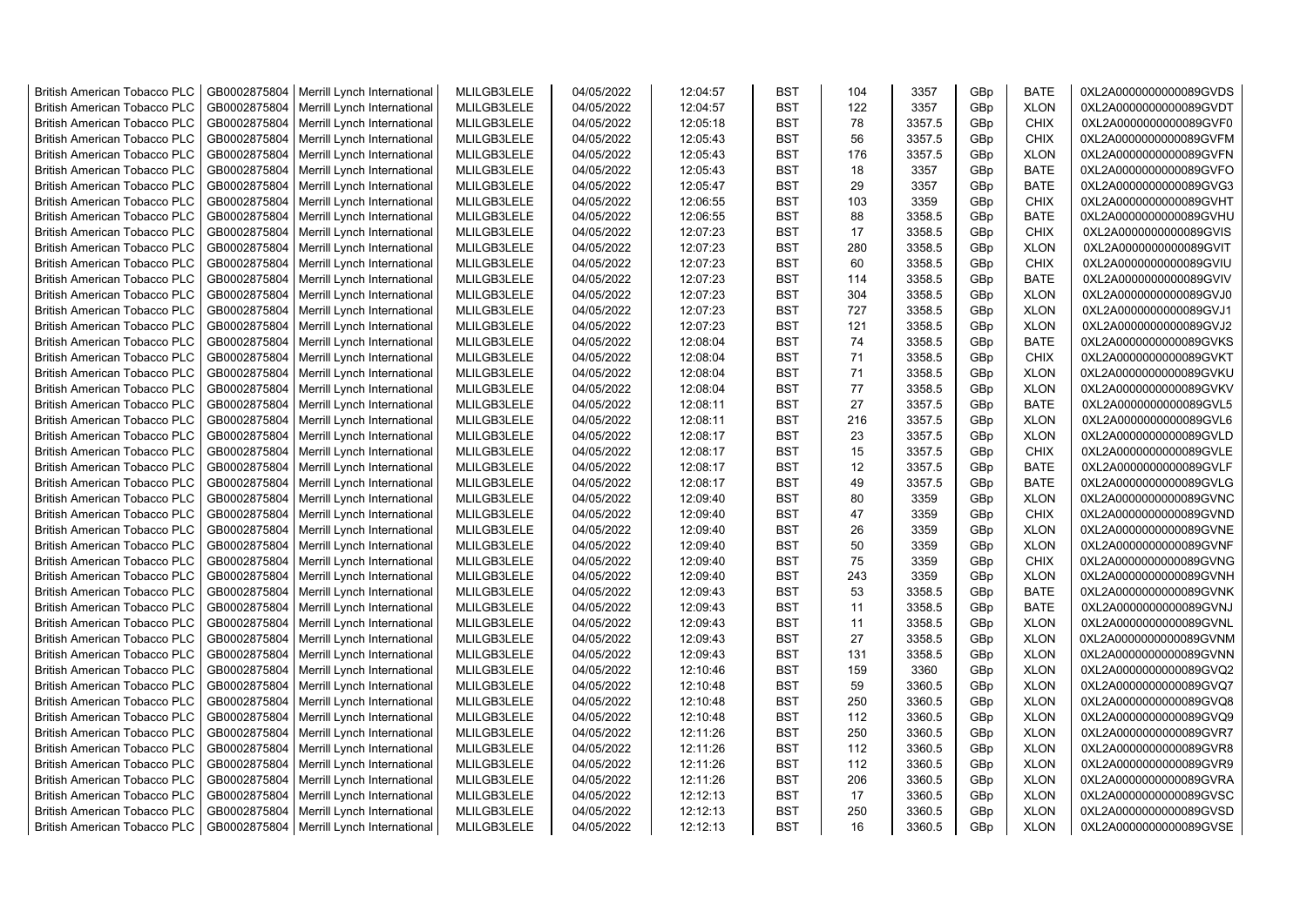| <b>British American Tobacco PLC</b>                                        | GB0002875804 | Merrill Lynch International | MLILGB3LELE                | 04/05/2022 | 12:04:57             | <b>BST</b>               | 104 | 3357   | GBp             | <b>BATE</b>                | 0XL2A0000000000089GVDS                           |
|----------------------------------------------------------------------------|--------------|-----------------------------|----------------------------|------------|----------------------|--------------------------|-----|--------|-----------------|----------------------------|--------------------------------------------------|
| <b>British American Tobacco PLC</b>                                        | GB0002875804 | Merrill Lynch International | MLILGB3LELE                | 04/05/2022 | 12:04:57             | <b>BST</b>               | 122 | 3357   | GBp             | <b>XLON</b>                | 0XL2A0000000000089GVDT                           |
| <b>British American Tobacco PLC</b>                                        | GB0002875804 | Merrill Lynch International | MLILGB3LELE                | 04/05/2022 | 12:05:18             | <b>BST</b>               | 78  | 3357.5 | GBp             | <b>CHIX</b>                | 0XL2A0000000000089GVF0                           |
| <b>British American Tobacco PLC</b>                                        | GB0002875804 | Merrill Lynch International | MLILGB3LELE                | 04/05/2022 | 12:05:43             | <b>BST</b>               | 56  | 3357.5 | GBp             | <b>CHIX</b>                | 0XL2A0000000000089GVFM                           |
| <b>British American Tobacco PLC</b>                                        | GB0002875804 | Merrill Lynch International | MLILGB3LELE                | 04/05/2022 | 12:05:43             | <b>BST</b>               | 176 | 3357.5 | GBp             | <b>XLON</b>                | 0XL2A0000000000089GVFN                           |
| <b>British American Tobacco PLC</b>                                        | GB0002875804 | Merrill Lynch International | MLILGB3LELE                | 04/05/2022 | 12:05:43             | <b>BST</b>               | 18  | 3357   | GBp             | <b>BATE</b>                | 0XL2A0000000000089GVFO                           |
| <b>British American Tobacco PLC</b>                                        | GB0002875804 | Merrill Lynch International | MLILGB3LELE                | 04/05/2022 | 12:05:47             | <b>BST</b>               | 29  | 3357   | GBp             | <b>BATE</b>                | 0XL2A0000000000089GVG3                           |
| <b>British American Tobacco PLC</b>                                        | GB0002875804 | Merrill Lynch International | MLILGB3LELE                | 04/05/2022 | 12:06:55             | <b>BST</b>               | 103 | 3359   | GBp             | <b>CHIX</b>                | 0XL2A0000000000089GVHT                           |
| <b>British American Tobacco PLC</b>                                        | GB0002875804 | Merrill Lynch International | MLILGB3LELE                | 04/05/2022 | 12:06:55             | <b>BST</b>               | 88  | 3358.5 | GBp             | <b>BATE</b>                | 0XL2A0000000000089GVHU                           |
| British American Tobacco PLC                                               | GB0002875804 | Merrill Lynch International | MLILGB3LELE                | 04/05/2022 | 12:07:23             | <b>BST</b>               | 17  | 3358.5 | GBp             | <b>CHIX</b>                | 0XL2A0000000000089GVIS                           |
| <b>British American Tobacco PLC</b>                                        | GB0002875804 | Merrill Lynch International | MLILGB3LELE                | 04/05/2022 | 12:07:23             | <b>BST</b>               | 280 | 3358.5 | GBp             | <b>XLON</b>                | 0XL2A0000000000089GVIT                           |
| <b>British American Tobacco PLC</b>                                        | GB0002875804 | Merrill Lynch International | MLILGB3LELE                | 04/05/2022 | 12:07:23             | <b>BST</b>               | 60  | 3358.5 | GBp             | <b>CHIX</b>                | 0XL2A0000000000089GVIU                           |
| <b>British American Tobacco PLC</b>                                        | GB0002875804 | Merrill Lynch International | MLILGB3LELE                | 04/05/2022 | 12:07:23             | <b>BST</b>               | 114 | 3358.5 | GBp             | <b>BATE</b>                | 0XL2A0000000000089GVIV                           |
| <b>British American Tobacco PLC</b>                                        | GB0002875804 | Merrill Lynch International | MLILGB3LELE                | 04/05/2022 | 12:07:23             | <b>BST</b>               | 304 | 3358.5 | GBp             | <b>XLON</b>                | 0XL2A0000000000089GVJ0                           |
| <b>British American Tobacco PLC</b>                                        | GB0002875804 | Merrill Lynch International | MLILGB3LELE                | 04/05/2022 | 12:07:23             | <b>BST</b>               | 727 | 3358.5 | GBp             | <b>XLON</b>                | 0XL2A0000000000089GVJ1                           |
| <b>British American Tobacco PLC</b>                                        | GB0002875804 | Merrill Lynch International | MLILGB3LELE                | 04/05/2022 | 12:07:23             | <b>BST</b>               | 121 | 3358.5 | GBp             | <b>XLON</b>                | 0XL2A0000000000089GVJ2                           |
| <b>British American Tobacco PLC</b>                                        | GB0002875804 | Merrill Lynch International | MLILGB3LELE                | 04/05/2022 | 12:08:04             | <b>BST</b>               | 74  | 3358.5 | GBp             | <b>BATE</b>                | 0XL2A0000000000089GVKS                           |
| <b>British American Tobacco PLC</b>                                        | GB0002875804 | Merrill Lynch International | MLILGB3LELE                | 04/05/2022 | 12:08:04             | <b>BST</b>               | 71  | 3358.5 | GBp             | <b>CHIX</b>                | 0XL2A0000000000089GVKT                           |
| <b>British American Tobacco PLC</b>                                        | GB0002875804 | Merrill Lynch International | MLILGB3LELE                | 04/05/2022 | 12:08:04             | <b>BST</b>               | 71  | 3358.5 | GBp             | <b>XLON</b>                | 0XL2A0000000000089GVKU                           |
| <b>British American Tobacco PLC</b>                                        | GB0002875804 | Merrill Lynch International | MLILGB3LELE                | 04/05/2022 | 12:08:04             | <b>BST</b>               | 77  | 3358.5 | GBp             | <b>XLON</b>                | 0XL2A0000000000089GVKV                           |
| British American Tobacco PLC                                               | GB0002875804 | Merrill Lynch International | MLILGB3LELE                | 04/05/2022 | 12:08:11             | <b>BST</b>               | 27  | 3357.5 | GBp             | <b>BATE</b>                | 0XL2A0000000000089GVL5                           |
| <b>British American Tobacco PLC</b>                                        | GB0002875804 | Merrill Lynch International | MLILGB3LELE                | 04/05/2022 | 12:08:11             | <b>BST</b>               | 216 | 3357.5 | GBp             | <b>XLON</b>                | 0XL2A0000000000089GVL6                           |
| <b>British American Tobacco PLC</b>                                        | GB0002875804 | Merrill Lynch International | MLILGB3LELE                | 04/05/2022 | 12:08:17             | <b>BST</b>               | 23  | 3357.5 | GBp             | <b>XLON</b>                | 0XL2A0000000000089GVLD                           |
| <b>British American Tobacco PLC</b>                                        | GB0002875804 | Merrill Lynch International | MLILGB3LELE                | 04/05/2022 | 12:08:17             | <b>BST</b>               | 15  | 3357.5 | GBp             | <b>CHIX</b>                | 0XL2A0000000000089GVLE                           |
| <b>British American Tobacco PLC</b>                                        | GB0002875804 | Merrill Lynch International | MLILGB3LELE                | 04/05/2022 | 12:08:17             | <b>BST</b>               | 12  | 3357.5 | GBp             | <b>BATE</b>                | 0XL2A0000000000089GVLF                           |
| <b>British American Tobacco PLC</b>                                        | GB0002875804 | Merrill Lynch International | MLILGB3LELE                | 04/05/2022 | 12:08:17             | <b>BST</b>               | 49  | 3357.5 | GBp             | <b>BATE</b>                | 0XL2A0000000000089GVLG                           |
| <b>British American Tobacco PLC</b>                                        | GB0002875804 | Merrill Lynch International | MLILGB3LELE                | 04/05/2022 | 12:09:40             | <b>BST</b>               | 80  | 3359   | GBp             | <b>XLON</b>                | 0XL2A0000000000089GVNC                           |
| British American Tobacco PLC                                               | GB0002875804 | Merrill Lynch International | MLILGB3LELE                | 04/05/2022 | 12:09:40             | <b>BST</b>               | 47  | 3359   | GBp             | <b>CHIX</b>                | 0XL2A0000000000089GVND                           |
| <b>British American Tobacco PLC</b>                                        | GB0002875804 |                             | MLILGB3LELE                | 04/05/2022 |                      | <b>BST</b>               | 26  | 3359   | GBp             | <b>XLON</b>                | 0XL2A0000000000089GVNE                           |
|                                                                            | GB0002875804 | Merrill Lynch International |                            | 04/05/2022 | 12:09:40<br>12:09:40 | <b>BST</b>               | 50  | 3359   | GBp             |                            | 0XL2A0000000000089GVNF                           |
| <b>British American Tobacco PLC</b>                                        | GB0002875804 | Merrill Lynch International | MLILGB3LELE<br>MLILGB3LELE | 04/05/2022 |                      | <b>BST</b>               | 75  | 3359   |                 | <b>XLON</b><br><b>CHIX</b> |                                                  |
| <b>British American Tobacco PLC</b><br><b>British American Tobacco PLC</b> |              | Merrill Lynch International |                            |            | 12:09:40             | <b>BST</b>               | 243 |        | GBp             |                            | 0XL2A0000000000089GVNG                           |
|                                                                            | GB0002875804 | Merrill Lynch International | MLILGB3LELE                | 04/05/2022 | 12:09:40<br>12:09:43 | <b>BST</b>               | 53  | 3359   | GBp             | <b>XLON</b>                | 0XL2A0000000000089GVNH<br>0XL2A0000000000089GVNK |
| <b>British American Tobacco PLC</b>                                        | GB0002875804 | Merrill Lynch International | MLILGB3LELE                | 04/05/2022 |                      |                          |     | 3358.5 | GBp             | <b>BATE</b>                |                                                  |
| British American Tobacco PLC                                               | GB0002875804 | Merrill Lynch International | MLILGB3LELE                | 04/05/2022 | 12:09:43             | <b>BST</b>               | 11  | 3358.5 | GBp             | <b>BATE</b>                | 0XL2A0000000000089GVNJ                           |
| <b>British American Tobacco PLC</b>                                        | GB0002875804 | Merrill Lynch International | MLILGB3LELE                | 04/05/2022 | 12:09:43             | <b>BST</b><br><b>BST</b> | 11  | 3358.5 | GBp             | <b>XLON</b>                | 0XL2A0000000000089GVNL                           |
| <b>British American Tobacco PLC</b>                                        | GB0002875804 | Merrill Lynch International | MLILGB3LELE                | 04/05/2022 | 12:09:43             |                          | 27  | 3358.5 | GBp             | <b>XLON</b>                | 0XL2A0000000000089GVNM                           |
| <b>British American Tobacco PLC</b>                                        | GB0002875804 | Merrill Lynch International | MLILGB3LELE                | 04/05/2022 | 12:09:43             | <b>BST</b>               | 131 | 3358.5 | GBp             | <b>XLON</b>                | 0XL2A0000000000089GVNN                           |
| <b>British American Tobacco PLC</b>                                        | GB0002875804 | Merrill Lynch International | MLILGB3LELE                | 04/05/2022 | 12:10:46             | <b>BST</b>               | 159 | 3360   | GBp             | <b>XLON</b>                | 0XL2A0000000000089GVQ2                           |
| <b>British American Tobacco PLC</b>                                        | GB0002875804 | Merrill Lynch International | MLILGB3LELE                | 04/05/2022 | 12:10:48             | <b>BST</b>               | 59  | 3360.5 | GBp             | <b>XLON</b>                | 0XL2A0000000000089GVQ7                           |
| <b>British American Tobacco PLC</b>                                        | GB0002875804 | Merrill Lynch International | MLILGB3LELE                | 04/05/2022 | 12:10:48             | <b>BST</b>               | 250 | 3360.5 | GBp             | <b>XLON</b>                | 0XL2A0000000000089GVQ8                           |
| <b>British American Tobacco PLC</b>                                        | GB0002875804 | Merrill Lynch International | MLILGB3LELE                | 04/05/2022 | 12:10:48             | <b>BST</b>               | 112 | 3360.5 | GBp             | <b>XLON</b>                | 0XL2A0000000000089GVQ9                           |
| <b>British American Tobacco PLC</b>                                        | GB0002875804 | Merrill Lynch International | MLILGB3LELE                | 04/05/2022 | 12:11:26             | <b>BST</b>               | 250 | 3360.5 | GBp             | <b>XLON</b>                | 0XL2A0000000000089GVR7                           |
| <b>British American Tobacco PLC</b>                                        | GB0002875804 | Merrill Lynch International | MLILGB3LELE                | 04/05/2022 | 12:11:26             | <b>BST</b>               | 112 | 3360.5 | GBp             | <b>XLON</b>                | 0XL2A0000000000089GVR8                           |
| British American Tobacco PLC                                               | GB0002875804 | Merrill Lynch International | MLILGB3LELE                | 04/05/2022 | 12:11:26             | <b>BST</b>               | 112 | 3360.5 | GBp             | <b>XLON</b>                | 0XL2A0000000000089GVR9                           |
| British American Tobacco PLC                                               | GB0002875804 | Merrill Lynch International | MLILGB3LELE                | 04/05/2022 | 12:11:26             | <b>BST</b>               | 206 | 3360.5 | GBp             | <b>XLON</b>                | 0XL2A0000000000089GVRA                           |
| <b>British American Tobacco PLC</b>                                        | GB0002875804 | Merrill Lynch International | MLILGB3LELE                | 04/05/2022 | 12:12:13             | <b>BST</b>               | 17  | 3360.5 | GBp             | <b>XLON</b>                | 0XL2A0000000000089GVSC                           |
| <b>British American Tobacco PLC</b>                                        | GB0002875804 | Merrill Lynch International | MLILGB3LELE                | 04/05/2022 | 12:12:13             | <b>BST</b>               | 250 | 3360.5 | GBp             | <b>XLON</b>                | 0XL2A0000000000089GVSD                           |
| <b>British American Tobacco PLC</b>                                        | GB0002875804 | Merrill Lynch International | MLILGB3LELE                | 04/05/2022 | 12:12:13             | <b>BST</b>               | 16  | 3360.5 | GB <sub>p</sub> | <b>XLON</b>                | 0XL2A0000000000089GVSE                           |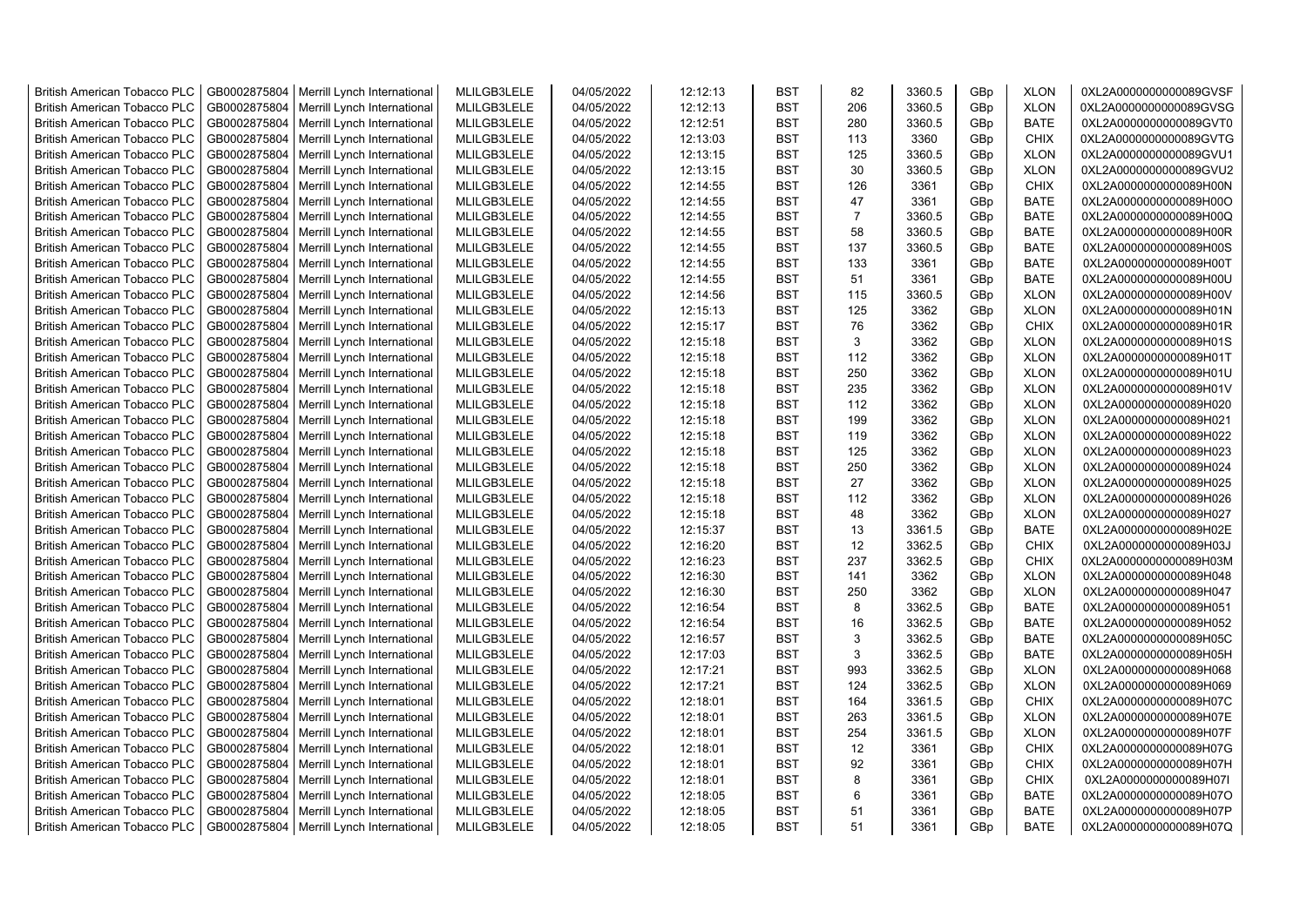| <b>British American Tobacco PLC</b> | GB0002875804 | Merrill Lynch International                | MLILGB3LELE | 04/05/2022 | 12:12:13 | <b>BST</b> | 82             | 3360.5 | GBp | <b>XLON</b> | 0XL2A0000000000089GVSF |
|-------------------------------------|--------------|--------------------------------------------|-------------|------------|----------|------------|----------------|--------|-----|-------------|------------------------|
| <b>British American Tobacco PLC</b> | GB0002875804 | Merrill Lynch International                | MLILGB3LELE | 04/05/2022 | 12:12:13 | <b>BST</b> | 206            | 3360.5 | GBp | <b>XLON</b> | 0XL2A0000000000089GVSG |
| <b>British American Tobacco PLC</b> | GB0002875804 | Merrill Lynch International                | MLILGB3LELE | 04/05/2022 | 12:12:51 | <b>BST</b> | 280            | 3360.5 | GBp | <b>BATE</b> | 0XL2A0000000000089GVT0 |
| <b>British American Tobacco PLC</b> | GB0002875804 | Merrill Lynch International                | MLILGB3LELE | 04/05/2022 | 12:13:03 | <b>BST</b> | 113            | 3360   | GBp | <b>CHIX</b> | 0XL2A0000000000089GVTG |
| <b>British American Tobacco PLC</b> | GB0002875804 | Merrill Lynch International                | MLILGB3LELE | 04/05/2022 | 12:13:15 | <b>BST</b> | 125            | 3360.5 | GBp | <b>XLON</b> | 0XL2A0000000000089GVU1 |
| <b>British American Tobacco PLC</b> | GB0002875804 | Merrill Lynch International                | MLILGB3LELE | 04/05/2022 | 12:13:15 | <b>BST</b> | 30             | 3360.5 | GBp | <b>XLON</b> | 0XL2A0000000000089GVU2 |
| <b>British American Tobacco PLC</b> | GB0002875804 | Merrill Lynch International                | MLILGB3LELE | 04/05/2022 | 12:14:55 | <b>BST</b> | 126            | 3361   | GBp | <b>CHIX</b> | 0XL2A0000000000089H00N |
| <b>British American Tobacco PLC</b> | GB0002875804 | Merrill Lynch International                | MLILGB3LELE | 04/05/2022 | 12:14:55 | BST        | 47             | 3361   | GBp | BATE        | 0XL2A0000000000089H00O |
| <b>British American Tobacco PLC</b> | GB0002875804 | Merrill Lynch International                | MLILGB3LELE | 04/05/2022 | 12:14:55 | <b>BST</b> | $\overline{7}$ | 3360.5 | GBp | <b>BATE</b> | 0XL2A0000000000089H00Q |
| <b>British American Tobacco PLC</b> | GB0002875804 | Merrill Lynch International                | MLILGB3LELE | 04/05/2022 | 12:14:55 | <b>BST</b> | 58             | 3360.5 | GBp | <b>BATE</b> | 0XL2A0000000000089H00R |
| <b>British American Tobacco PLC</b> | GB0002875804 | Merrill Lynch International                | MLILGB3LELE | 04/05/2022 | 12:14:55 | <b>BST</b> | 137            | 3360.5 | GBp | <b>BATE</b> | 0XL2A0000000000089H00S |
| <b>British American Tobacco PLC</b> | GB0002875804 | Merrill Lynch International                | MLILGB3LELE | 04/05/2022 | 12:14:55 | <b>BST</b> | 133            | 3361   | GBp | <b>BATE</b> | 0XL2A0000000000089H00T |
| <b>British American Tobacco PLC</b> | GB0002875804 | Merrill Lynch International                | MLILGB3LELE | 04/05/2022 | 12:14:55 | <b>BST</b> | 51             | 3361   | GBp | <b>BATE</b> | 0XL2A0000000000089H00U |
| <b>British American Tobacco PLC</b> | GB0002875804 | Merrill Lynch International                | MLILGB3LELE | 04/05/2022 | 12:14:56 | <b>BST</b> | 115            | 3360.5 | GBp | <b>XLON</b> | 0XL2A0000000000089H00V |
| <b>British American Tobacco PLC</b> | GB0002875804 | Merrill Lynch International                | MLILGB3LELE | 04/05/2022 | 12:15:13 | <b>BST</b> | 125            | 3362   | GBp | <b>XLON</b> | 0XL2A0000000000089H01N |
| <b>British American Tobacco PLC</b> | GB0002875804 | Merrill Lynch International                | MLILGB3LELE | 04/05/2022 | 12:15:17 | <b>BST</b> | 76             | 3362   | GBp | <b>CHIX</b> | 0XL2A0000000000089H01R |
| <b>British American Tobacco PLC</b> | GB0002875804 | Merrill Lynch International                | MLILGB3LELE | 04/05/2022 | 12:15:18 | <b>BST</b> | 3              | 3362   | GBp | <b>XLON</b> | 0XL2A0000000000089H01S |
| <b>British American Tobacco PLC</b> | GB0002875804 | Merrill Lynch International                | MLILGB3LELE | 04/05/2022 | 12:15:18 | <b>BST</b> | 112            | 3362   | GBp | <b>XLON</b> | 0XL2A0000000000089H01T |
| <b>British American Tobacco PLC</b> | GB0002875804 | Merrill Lynch International                | MLILGB3LELE | 04/05/2022 | 12:15:18 | <b>BST</b> | 250            | 3362   | GBp | <b>XLON</b> | 0XL2A0000000000089H01U |
| <b>British American Tobacco PLC</b> | GB0002875804 | Merrill Lynch International                | MLILGB3LELE | 04/05/2022 | 12:15:18 | BST        | 235            | 3362   | GBp | <b>XLON</b> | 0XL2A0000000000089H01V |
| <b>British American Tobacco PLC</b> | GB0002875804 | Merrill Lynch International                | MLILGB3LELE | 04/05/2022 | 12:15:18 | <b>BST</b> | 112            | 3362   | GBp | <b>XLON</b> | 0XL2A0000000000089H020 |
| <b>British American Tobacco PLC</b> | GB0002875804 | Merrill Lynch International                | MLILGB3LELE | 04/05/2022 | 12:15:18 | <b>BST</b> | 199            | 3362   | GBp | <b>XLON</b> | 0XL2A0000000000089H021 |
|                                     | GB0002875804 |                                            | MLILGB3LELE | 04/05/2022 |          | <b>BST</b> | 119            | 3362   |     |             |                        |
| <b>British American Tobacco PLC</b> |              | Merrill Lynch International                |             |            | 12:15:18 |            |                |        | GBp | <b>XLON</b> | 0XL2A0000000000089H022 |
| <b>British American Tobacco PLC</b> | GB0002875804 | Merrill Lynch International                | MLILGB3LELE | 04/05/2022 | 12:15:18 | BST        | 125            | 3362   | GBp | <b>XLON</b> | 0XL2A0000000000089H023 |
| <b>British American Tobacco PLC</b> | GB0002875804 | Merrill Lynch International                | MLILGB3LELE | 04/05/2022 | 12:15:18 | <b>BST</b> | 250            | 3362   | GBp | <b>XLON</b> | 0XL2A0000000000089H024 |
| <b>British American Tobacco PLC</b> | GB0002875804 | Merrill Lynch International                | MLILGB3LELE | 04/05/2022 | 12:15:18 | <b>BST</b> | 27             | 3362   | GBp | <b>XLON</b> | 0XL2A0000000000089H025 |
| British American Tobacco PLC        | GB0002875804 | Merrill Lynch International                | MLILGB3LELE | 04/05/2022 | 12:15:18 | <b>BST</b> | 112            | 3362   | GBp | <b>XLON</b> | 0XL2A0000000000089H026 |
| British American Tobacco PLC        | GB0002875804 | Merrill Lynch International                | MLILGB3LELE | 04/05/2022 | 12:15:18 | <b>BST</b> | 48             | 3362   | GBp | <b>XLON</b> | 0XL2A0000000000089H027 |
| <b>British American Tobacco PLC</b> | GB0002875804 | Merrill Lynch International                | MLILGB3LELE | 04/05/2022 | 12:15:37 | <b>BST</b> | 13             | 3361.5 | GBp | <b>BATE</b> | 0XL2A0000000000089H02E |
| <b>British American Tobacco PLC</b> | GB0002875804 | Merrill Lynch International                | MLILGB3LELE | 04/05/2022 | 12:16:20 | <b>BST</b> | 12             | 3362.5 | GBp | <b>CHIX</b> | 0XL2A0000000000089H03J |
| <b>British American Tobacco PLC</b> | GB0002875804 | Merrill Lynch International                | MLILGB3LELE | 04/05/2022 | 12:16:23 | <b>BST</b> | 237            | 3362.5 | GBp | <b>CHIX</b> | 0XL2A0000000000089H03M |
| <b>British American Tobacco PLC</b> | GB0002875804 | Merrill Lynch International                | MLILGB3LELE | 04/05/2022 | 12:16:30 | <b>BST</b> | 141            | 3362   | GBp | <b>XLON</b> | 0XL2A0000000000089H048 |
| <b>British American Tobacco PLC</b> | GB0002875804 | Merrill Lynch International                | MLILGB3LELE | 04/05/2022 | 12:16:30 | <b>BST</b> | 250            | 3362   | GBp | <b>XLON</b> | 0XL2A0000000000089H047 |
| <b>British American Tobacco PLC</b> | GB0002875804 | Merrill Lynch International                | MLILGB3LELE | 04/05/2022 | 12:16:54 | <b>BST</b> | 8              | 3362.5 | GBp | <b>BATE</b> | 0XL2A0000000000089H051 |
| <b>British American Tobacco PLC</b> | GB0002875804 | Merrill Lynch International                | MLILGB3LELE | 04/05/2022 | 12:16:54 | <b>BST</b> | 16             | 3362.5 | GBp | <b>BATE</b> | 0XL2A0000000000089H052 |
| <b>British American Tobacco PLC</b> | GB0002875804 | Merrill Lynch International                | MLILGB3LELE | 04/05/2022 | 12:16:57 | <b>BST</b> | 3              | 3362.5 | GBp | <b>BATE</b> | 0XL2A0000000000089H05C |
| <b>British American Tobacco PLC</b> | GB0002875804 | Merrill Lynch International                | MLILGB3LELE | 04/05/2022 | 12:17:03 | <b>BST</b> | 3              | 3362.5 | GBp | <b>BATE</b> | 0XL2A0000000000089H05H |
| <b>British American Tobacco PLC</b> | GB0002875804 | Merrill Lynch International                | MLILGB3LELE | 04/05/2022 | 12:17:21 | <b>BST</b> | 993            | 3362.5 | GBp | <b>XLON</b> | 0XL2A0000000000089H068 |
| <b>British American Tobacco PLC</b> | GB0002875804 | Merrill Lynch International                | MLILGB3LELE | 04/05/2022 | 12:17:21 | <b>BST</b> | 124            | 3362.5 | GBp | <b>XLON</b> | 0XL2A0000000000089H069 |
| <b>British American Tobacco PLC</b> | GB0002875804 | Merrill Lynch International                | MLILGB3LELE | 04/05/2022 | 12:18:01 | <b>BST</b> | 164            | 3361.5 | GBp | <b>CHIX</b> | 0XL2A0000000000089H07C |
| <b>British American Tobacco PLC</b> | GB0002875804 | Merrill Lynch International                | MLILGB3LELE | 04/05/2022 | 12:18:01 | <b>BST</b> | 263            | 3361.5 | GBp | <b>XLON</b> | 0XL2A0000000000089H07E |
| <b>British American Tobacco PLC</b> | GB0002875804 | Merrill Lynch International                | MLILGB3LELE | 04/05/2022 | 12:18:01 | <b>BST</b> | 254            | 3361.5 | GBp | <b>XLON</b> | 0XL2A0000000000089H07F |
| <b>British American Tobacco PLC</b> | GB0002875804 | Merrill Lynch International                | MLILGB3LELE | 04/05/2022 | 12:18:01 | <b>BST</b> | 12             | 3361   | GBp | <b>CHIX</b> | 0XL2A0000000000089H07G |
| <b>British American Tobacco PLC</b> | GB0002875804 | Merrill Lynch International                | MLILGB3LELE | 04/05/2022 | 12:18:01 | <b>BST</b> | 92             | 3361   | GBp | <b>CHIX</b> | 0XL2A0000000000089H07H |
| <b>British American Tobacco PLC</b> | GB0002875804 | Merrill Lynch International                | MLILGB3LELE | 04/05/2022 | 12:18:01 | <b>BST</b> | 8              | 3361   | GBp | <b>CHIX</b> | 0XL2A0000000000089H07I |
| <b>British American Tobacco PLC</b> | GB0002875804 | Merrill Lynch International                | MLILGB3LELE | 04/05/2022 | 12:18:05 | <b>BST</b> | 6              | 3361   | GBp | <b>BATE</b> | 0XL2A0000000000089H07O |
| <b>British American Tobacco PLC</b> | GB0002875804 | Merrill Lynch International                | MLILGB3LELE | 04/05/2022 | 12:18:05 | <b>BST</b> | 51             | 3361   | GBp | <b>BATE</b> | 0XL2A0000000000089H07P |
| <b>British American Tobacco PLC</b> |              | GB0002875804   Merrill Lynch International | MLILGB3LELE | 04/05/2022 | 12:18:05 | <b>BST</b> | 51             | 3361   | GBp | <b>BATE</b> | 0XL2A0000000000089H07Q |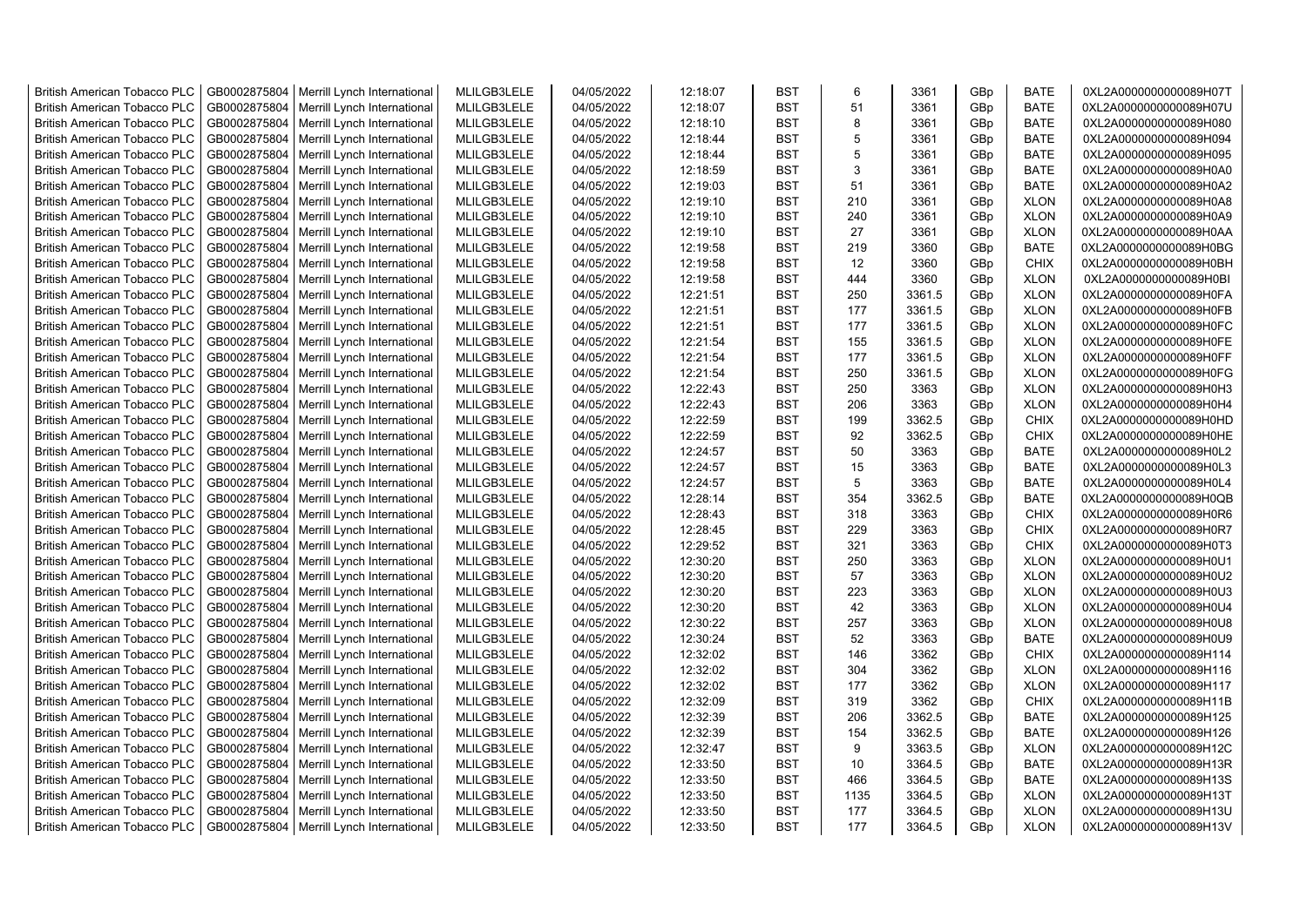| <b>British American Tobacco PLC</b>                                        | GB0002875804                 | Merrill Lynch International                                | MLILGB3LELE                | 04/05/2022               | 12:18:07             | <b>BST</b>               | 6          | 3361           | GBp             | <b>BATE</b>                | 0XL2A0000000000089H07T                           |
|----------------------------------------------------------------------------|------------------------------|------------------------------------------------------------|----------------------------|--------------------------|----------------------|--------------------------|------------|----------------|-----------------|----------------------------|--------------------------------------------------|
| <b>British American Tobacco PLC</b>                                        | GB0002875804                 | Merrill Lynch International                                | MLILGB3LELE                | 04/05/2022               | 12:18:07             | <b>BST</b>               | 51         | 3361           | GBp             | <b>BATE</b>                | 0XL2A0000000000089H07U                           |
| <b>British American Tobacco PLC</b>                                        | GB0002875804                 | Merrill Lynch International                                | MLILGB3LELE                | 04/05/2022               | 12:18:10             | <b>BST</b>               | 8          | 3361           | GBp             | <b>BATE</b>                | 0XL2A0000000000089H080                           |
| <b>British American Tobacco PLC</b>                                        | GB0002875804                 | Merrill Lynch International                                | MLILGB3LELE                | 04/05/2022               | 12:18:44             | <b>BST</b>               | 5          | 3361           | GBp             | <b>BATE</b>                | 0XL2A0000000000089H094                           |
| <b>British American Tobacco PLC</b>                                        | GB0002875804                 | Merrill Lynch International                                | MLILGB3LELE                | 04/05/2022               | 12:18:44             | <b>BST</b>               | 5          | 3361           | GBp             | <b>BATE</b>                | 0XL2A0000000000089H095                           |
| <b>British American Tobacco PLC</b>                                        | GB0002875804                 | Merrill Lynch International                                | MLILGB3LELE                | 04/05/2022               | 12:18:59             | <b>BST</b>               | 3          | 3361           | GBp             | <b>BATE</b>                | 0XL2A0000000000089H0A0                           |
| British American Tobacco PLC                                               | GB0002875804                 | Merrill Lynch International                                | MLILGB3LELE                | 04/05/2022               | 12:19:03             | <b>BST</b>               | 51         | 3361           | GBp             | <b>BATE</b>                | 0XL2A0000000000089H0A2                           |
| <b>British American Tobacco PLC</b>                                        | GB0002875804                 | Merrill Lynch International                                | MLILGB3LELE                | 04/05/2022               | 12:19:10             | <b>BST</b>               | 210        | 3361           | GBp             | <b>XLON</b>                | 0XL2A0000000000089H0A8                           |
| <b>British American Tobacco PLC</b>                                        | GB0002875804                 | Merrill Lynch International                                | MLILGB3LELE                | 04/05/2022               | 12:19:10             | <b>BST</b>               | 240        | 3361           | GBp             | <b>XLON</b>                | 0XL2A0000000000089H0A9                           |
| <b>British American Tobacco PLC</b>                                        | GB0002875804                 | Merrill Lynch International                                | MLILGB3LELE                | 04/05/2022               | 12:19:10             | <b>BST</b>               | 27         | 3361           | GBp             | <b>XLON</b>                | 0XL2A0000000000089H0AA                           |
| <b>British American Tobacco PLC</b>                                        | GB0002875804                 | Merrill Lynch International                                | MLILGB3LELE                | 04/05/2022               | 12:19:58             | <b>BST</b>               | 219        | 3360           | GBp             | <b>BATE</b>                | 0XL2A0000000000089H0BG                           |
| <b>British American Tobacco PLC</b>                                        | GB0002875804                 | Merrill Lynch International                                | MLILGB3LELE                | 04/05/2022               | 12:19:58             | <b>BST</b>               | 12         | 3360           | GBp             | <b>CHIX</b>                | 0XL2A0000000000089H0BH                           |
| <b>British American Tobacco PLC</b>                                        | GB0002875804                 | Merrill Lynch International                                | MLILGB3LELE                | 04/05/2022               | 12:19:58             | <b>BST</b>               | 444        | 3360           | GBp             | <b>XLON</b>                | 0XL2A0000000000089H0BI                           |
| <b>British American Tobacco PLC</b>                                        | GB0002875804                 | Merrill Lynch International                                | MLILGB3LELE                | 04/05/2022               | 12:21:51             | <b>BST</b>               | 250        | 3361.5         | GBp             | <b>XLON</b>                | 0XL2A0000000000089H0FA                           |
| <b>British American Tobacco PLC</b>                                        | GB0002875804                 | Merrill Lynch International                                | MLILGB3LELE                | 04/05/2022               | 12:21:51             | <b>BST</b>               | 177        | 3361.5         | GBp             | <b>XLON</b>                | 0XL2A0000000000089H0FB                           |
| <b>British American Tobacco PLC</b>                                        | GB0002875804                 | Merrill Lynch International                                | MLILGB3LELE                | 04/05/2022               | 12:21:51             | <b>BST</b>               | 177        | 3361.5         | GBp             | <b>XLON</b>                | 0XL2A0000000000089H0FC                           |
| <b>British American Tobacco PLC</b>                                        | GB0002875804                 | Merrill Lynch International                                | MLILGB3LELE                | 04/05/2022               | 12:21:54             | <b>BST</b>               | 155        | 3361.5         | GBp             | <b>XLON</b>                | 0XL2A0000000000089H0FE                           |
| <b>British American Tobacco PLC</b>                                        | GB0002875804                 | Merrill Lynch International                                | MLILGB3LELE                | 04/05/2022               | 12:21:54             | <b>BST</b>               | 177        | 3361.5         | GBp             | <b>XLON</b>                | 0XL2A0000000000089H0FF                           |
| <b>British American Tobacco PLC</b>                                        | GB0002875804                 | Merrill Lynch International                                | MLILGB3LELE                | 04/05/2022               | 12:21:54             | <b>BST</b>               | 250        | 3361.5         | GBp             | <b>XLON</b>                | 0XL2A0000000000089H0FG                           |
| <b>British American Tobacco PLC</b>                                        | GB0002875804                 | Merrill Lynch International                                | MLILGB3LELE                | 04/05/2022               | 12:22:43             | <b>BST</b>               | 250        | 3363           | GBp             | <b>XLON</b>                | 0XL2A0000000000089H0H3                           |
| <b>British American Tobacco PLC</b>                                        | GB0002875804                 | Merrill Lynch International                                | MLILGB3LELE                | 04/05/2022               | 12:22:43             | <b>BST</b>               | 206        | 3363           | GBp             | <b>XLON</b>                | 0XL2A0000000000089H0H4                           |
| <b>British American Tobacco PLC</b>                                        | GB0002875804                 | Merrill Lynch International                                | MLILGB3LELE                | 04/05/2022               | 12:22:59             | <b>BST</b>               | 199        | 3362.5         | GBp             | <b>CHIX</b>                | 0XL2A0000000000089H0HD                           |
| <b>British American Tobacco PLC</b>                                        | GB0002875804                 | Merrill Lynch International                                | MLILGB3LELE                | 04/05/2022               | 12:22:59             | <b>BST</b>               | 92         | 3362.5         | GBp             | <b>CHIX</b>                | 0XL2A0000000000089H0HE                           |
|                                                                            |                              |                                                            |                            |                          |                      | <b>BST</b>               | 50         |                |                 | <b>BATE</b>                |                                                  |
| <b>British American Tobacco PLC</b>                                        | GB0002875804                 | Merrill Lynch International                                | MLILGB3LELE                | 04/05/2022               | 12:24:57             |                          |            | 3363           | GBp             |                            | 0XL2A0000000000089H0L2                           |
| <b>British American Tobacco PLC</b><br><b>British American Tobacco PLC</b> | GB0002875804<br>GB0002875804 | Merrill Lynch International<br>Merrill Lynch International | MLILGB3LELE<br>MLILGB3LELE | 04/05/2022<br>04/05/2022 | 12:24:57<br>12:24:57 | <b>BST</b><br><b>BST</b> | 15<br>5    | 3363<br>3363   | GBp<br>GBp      | <b>BATE</b><br><b>BATE</b> | 0XL2A0000000000089H0L3<br>0XL2A0000000000089H0L4 |
|                                                                            |                              |                                                            |                            |                          |                      | <b>BST</b>               |            |                |                 |                            |                                                  |
| <b>British American Tobacco PLC</b>                                        | GB0002875804<br>GB0002875804 | Merrill Lynch International                                | MLILGB3LELE<br>MLILGB3LELE | 04/05/2022<br>04/05/2022 | 12:28:14             | <b>BST</b>               | 354<br>318 | 3362.5<br>3363 | GBp             | <b>BATE</b><br><b>CHIX</b> | 0XL2A0000000000089H0QB                           |
| <b>British American Tobacco PLC</b>                                        |                              | Merrill Lynch International                                |                            |                          | 12:28:43             |                          |            |                | GBp             |                            | 0XL2A0000000000089H0R6                           |
| <b>British American Tobacco PLC</b>                                        | GB0002875804                 | Merrill Lynch International                                | MLILGB3LELE                | 04/05/2022               | 12:28:45             | <b>BST</b>               | 229        | 3363           | GBp             | <b>CHIX</b>                | 0XL2A0000000000089H0R7                           |
| <b>British American Tobacco PLC</b>                                        | GB0002875804                 | Merrill Lynch International                                | MLILGB3LELE                | 04/05/2022               | 12:29:52             | <b>BST</b>               | 321        | 3363           | GBp             | <b>CHIX</b>                | 0XL2A0000000000089H0T3                           |
| <b>British American Tobacco PLC</b>                                        | GB0002875804                 | Merrill Lynch International                                | MLILGB3LELE                | 04/05/2022               | 12:30:20             | <b>BST</b>               | 250        | 3363           | GBp             | <b>XLON</b>                | 0XL2A0000000000089H0U1                           |
| <b>British American Tobacco PLC</b>                                        | GB0002875804                 | Merrill Lynch International                                | MLILGB3LELE                | 04/05/2022               | 12:30:20             | <b>BST</b>               | 57         | 3363           | GBp             | <b>XLON</b>                | 0XL2A0000000000089H0U2                           |
| <b>British American Tobacco PLC</b>                                        | GB0002875804                 | Merrill Lynch International                                | MLILGB3LELE                | 04/05/2022               | 12:30:20             | BST                      | 223        | 3363           | GBp             | <b>XLON</b>                | 0XL2A0000000000089H0U3                           |
| <b>British American Tobacco PLC</b>                                        | GB0002875804                 | Merrill Lynch International                                | MLILGB3LELE                | 04/05/2022               | 12:30:20             | <b>BST</b>               | 42         | 3363           | GBp             | <b>XLON</b>                | 0XL2A0000000000089H0U4                           |
| <b>British American Tobacco PLC</b>                                        | GB0002875804                 | Merrill Lynch International                                | MLILGB3LELE                | 04/05/2022               | 12:30:22             | <b>BST</b>               | 257        | 3363           | GBp             | <b>XLON</b>                | 0XL2A0000000000089H0U8                           |
| <b>British American Tobacco PLC</b>                                        | GB0002875804                 | Merrill Lynch International                                | MLILGB3LELE                | 04/05/2022               | 12:30:24             | <b>BST</b>               | 52         | 3363           | GBp             | <b>BATE</b>                | 0XL2A0000000000089H0U9                           |
| <b>British American Tobacco PLC</b>                                        | GB0002875804                 | Merrill Lynch International                                | MLILGB3LELE                | 04/05/2022               | 12:32:02             | <b>BST</b>               | 146        | 3362           | GBp             | <b>CHIX</b>                | 0XL2A0000000000089H114                           |
| <b>British American Tobacco PLC</b>                                        | GB0002875804                 | Merrill Lynch International                                | MLILGB3LELE                | 04/05/2022               | 12:32:02             | <b>BST</b>               | 304        | 3362           | GBp             | <b>XLON</b>                | 0XL2A0000000000089H116                           |
| <b>British American Tobacco PLC</b>                                        | GB0002875804                 | Merrill Lynch International                                | MLILGB3LELE                | 04/05/2022               | 12:32:02             | <b>BST</b>               | 177        | 3362           | GBp             | <b>XLON</b>                | 0XL2A0000000000089H117                           |
| <b>British American Tobacco PLC</b>                                        | GB0002875804                 | Merrill Lynch International                                | MLILGB3LELE                | 04/05/2022               | 12:32:09             | <b>BST</b>               | 319        | 3362           | GBp             | <b>CHIX</b>                | 0XL2A0000000000089H11B                           |
| <b>British American Tobacco PLC</b>                                        | GB0002875804                 | Merrill Lynch International                                | MLILGB3LELE                | 04/05/2022               | 12:32:39             | <b>BST</b>               | 206        | 3362.5         | GBp             | <b>BATE</b>                | 0XL2A0000000000089H125                           |
| <b>British American Tobacco PLC</b>                                        | GB0002875804                 | Merrill Lynch International                                | MLILGB3LELE                | 04/05/2022               | 12:32:39             | <b>BST</b>               | 154        | 3362.5         | GBp             | <b>BATE</b>                | 0XL2A0000000000089H126                           |
| <b>British American Tobacco PLC</b>                                        | GB0002875804                 | Merrill Lynch International                                | MLILGB3LELE                | 04/05/2022               | 12:32:47             | <b>BST</b>               | 9          | 3363.5         | GBp             | <b>XLON</b>                | 0XL2A0000000000089H12C                           |
| <b>British American Tobacco PLC</b>                                        | GB0002875804                 | Merrill Lynch International                                | MLILGB3LELE                | 04/05/2022               | 12:33:50             | <b>BST</b>               | 10         | 3364.5         | GBp             | <b>BATE</b>                | 0XL2A0000000000089H13R                           |
| <b>British American Tobacco PLC</b>                                        | GB0002875804                 | Merrill Lynch International                                | MLILGB3LELE                | 04/05/2022               | 12:33:50             | <b>BST</b>               | 466        | 3364.5         | GBp             | <b>BATE</b>                | 0XL2A0000000000089H13S                           |
| <b>British American Tobacco PLC</b>                                        | GB0002875804                 | Merrill Lynch International                                | MLILGB3LELE                | 04/05/2022               | 12:33:50             | <b>BST</b>               | 1135       | 3364.5         | GBp             | <b>XLON</b>                | 0XL2A0000000000089H13T                           |
| <b>British American Tobacco PLC</b>                                        | GB0002875804                 | Merrill Lynch International                                | MLILGB3LELE                | 04/05/2022               | 12:33:50             | <b>BST</b>               | 177        | 3364.5         | GBp             | <b>XLON</b>                | 0XL2A0000000000089H13U                           |
| <b>British American Tobacco PLC</b>                                        |                              | GB0002875804   Merrill Lynch International                 | MLILGB3LELE                | 04/05/2022               | 12:33:50             | <b>BST</b>               | 177        | 3364.5         | GB <sub>p</sub> | <b>XLON</b>                | 0XL2A0000000000089H13V                           |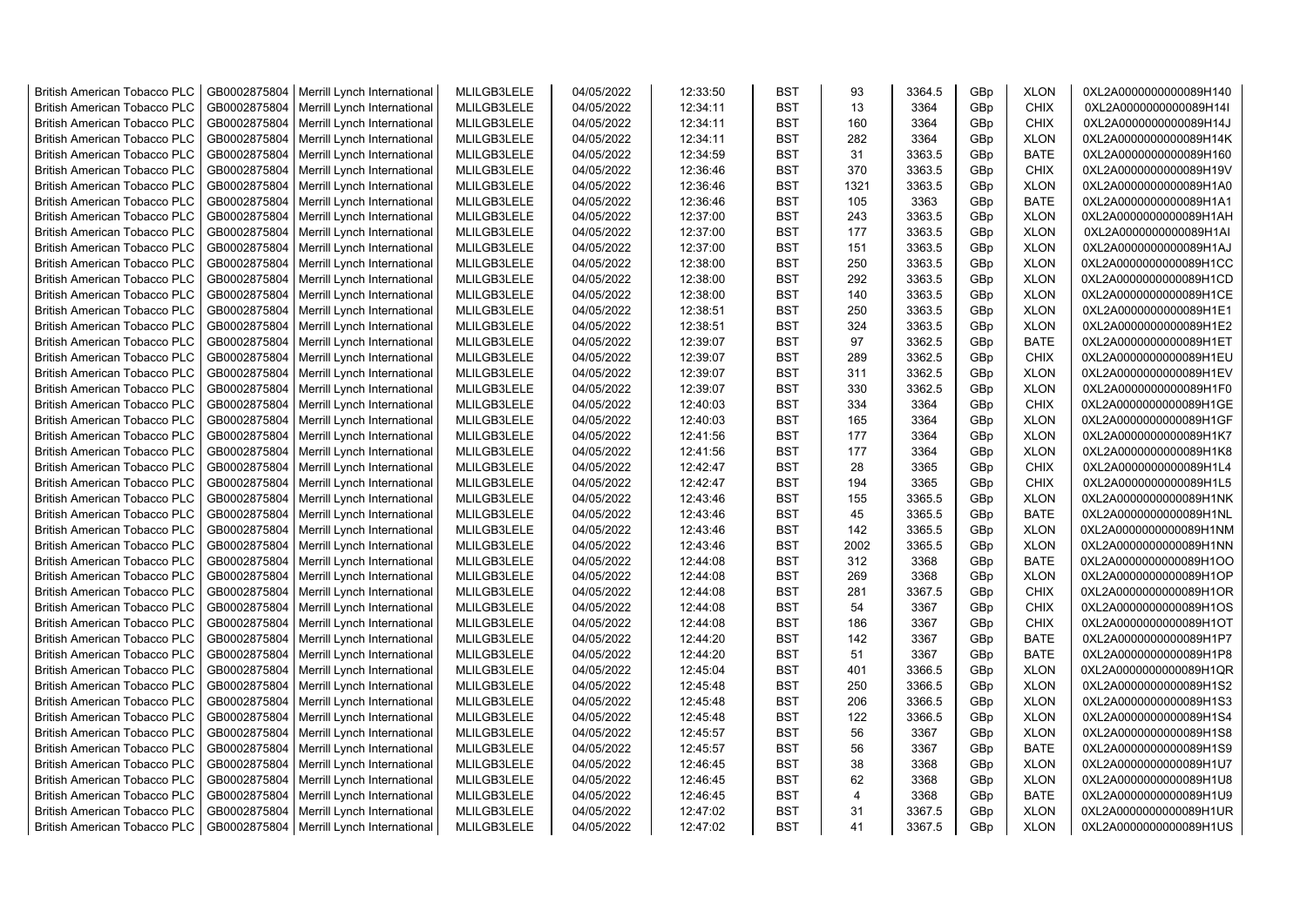| <b>British American Tobacco PLC</b> | GB0002875804 | Merrill Lynch International | MLILGB3LELE | 04/05/2022 | 12:33:50 | <b>BST</b> | 93             | 3364.5 | GBp | <b>XLON</b> | 0XL2A0000000000089H140 |
|-------------------------------------|--------------|-----------------------------|-------------|------------|----------|------------|----------------|--------|-----|-------------|------------------------|
| <b>British American Tobacco PLC</b> | GB0002875804 | Merrill Lynch International | MLILGB3LELE | 04/05/2022 | 12:34:11 | <b>BST</b> | 13             | 3364   | GBp | <b>CHIX</b> | 0XL2A0000000000089H14I |
| <b>British American Tobacco PLC</b> | GB0002875804 | Merrill Lynch International | MLILGB3LELE | 04/05/2022 | 12:34:11 | <b>BST</b> | 160            | 3364   | GBp | <b>CHIX</b> | 0XL2A0000000000089H14J |
| <b>British American Tobacco PLC</b> | GB0002875804 | Merrill Lynch International | MLILGB3LELE | 04/05/2022 | 12:34:11 | <b>BST</b> | 282            | 3364   | GBp | <b>XLON</b> | 0XL2A0000000000089H14K |
| <b>British American Tobacco PLC</b> | GB0002875804 | Merrill Lynch International | MLILGB3LELE | 04/05/2022 | 12:34:59 | <b>BST</b> | 31             | 3363.5 | GBp | <b>BATE</b> | 0XL2A0000000000089H160 |
| <b>British American Tobacco PLC</b> | GB0002875804 | Merrill Lynch International | MLILGB3LELE | 04/05/2022 | 12:36:46 | <b>BST</b> | 370            | 3363.5 | GBp | <b>CHIX</b> | 0XL2A0000000000089H19V |
| <b>British American Tobacco PLC</b> | GB0002875804 | Merrill Lynch International | MLILGB3LELE | 04/05/2022 | 12:36:46 | <b>BST</b> | 1321           | 3363.5 | GBp | <b>XLON</b> | 0XL2A0000000000089H1A0 |
| <b>British American Tobacco PLC</b> | GB0002875804 | Merrill Lynch International | MLILGB3LELE | 04/05/2022 | 12:36:46 | <b>BST</b> | 105            | 3363   | GBp | BATE        | 0XL2A0000000000089H1A1 |
| <b>British American Tobacco PLC</b> | GB0002875804 | Merrill Lynch International | MLILGB3LELE | 04/05/2022 | 12:37:00 | <b>BST</b> | 243            | 3363.5 | GBp | <b>XLON</b> | 0XL2A0000000000089H1AH |
| <b>British American Tobacco PLC</b> | GB0002875804 | Merrill Lynch International | MLILGB3LELE | 04/05/2022 | 12:37:00 | <b>BST</b> | 177            | 3363.5 | GBp | <b>XLON</b> | 0XL2A0000000000089H1AI |
| <b>British American Tobacco PLC</b> | GB0002875804 | Merrill Lynch International | MLILGB3LELE | 04/05/2022 | 12:37:00 | <b>BST</b> | 151            | 3363.5 | GBp | <b>XLON</b> | 0XL2A0000000000089H1AJ |
| <b>British American Tobacco PLC</b> | GB0002875804 | Merrill Lynch International | MLILGB3LELE | 04/05/2022 | 12:38:00 | <b>BST</b> | 250            | 3363.5 | GBp | <b>XLON</b> | 0XL2A0000000000089H1CC |
| <b>British American Tobacco PLC</b> | GB0002875804 | Merrill Lynch International | MLILGB3LELE | 04/05/2022 | 12:38:00 | <b>BST</b> | 292            | 3363.5 | GBp | <b>XLON</b> | 0XL2A0000000000089H1CD |
| <b>British American Tobacco PLC</b> | GB0002875804 | Merrill Lynch International | MLILGB3LELE | 04/05/2022 | 12:38:00 | <b>BST</b> | 140            | 3363.5 | GBp | <b>XLON</b> | 0XL2A0000000000089H1CE |
| <b>British American Tobacco PLC</b> | GB0002875804 | Merrill Lynch International | MLILGB3LELE | 04/05/2022 | 12:38:51 | <b>BST</b> | 250            | 3363.5 | GBp | <b>XLON</b> | 0XL2A0000000000089H1E1 |
| <b>British American Tobacco PLC</b> | GB0002875804 | Merrill Lynch International | MLILGB3LELE | 04/05/2022 | 12:38:51 | <b>BST</b> | 324            | 3363.5 | GBp | <b>XLON</b> | 0XL2A0000000000089H1E2 |
| <b>British American Tobacco PLC</b> | GB0002875804 | Merrill Lynch International | MLILGB3LELE | 04/05/2022 | 12:39:07 | <b>BST</b> | 97             | 3362.5 | GBp | BATE        | 0XL2A0000000000089H1ET |
| <b>British American Tobacco PLC</b> | GB0002875804 | Merrill Lynch International | MLILGB3LELE | 04/05/2022 | 12:39:07 | <b>BST</b> | 289            | 3362.5 | GBp | <b>CHIX</b> | 0XL2A0000000000089H1EU |
| <b>British American Tobacco PLC</b> | GB0002875804 | Merrill Lynch International | MLILGB3LELE | 04/05/2022 | 12:39:07 | <b>BST</b> | 311            | 3362.5 | GBp | <b>XLON</b> | 0XL2A0000000000089H1EV |
| British American Tobacco PLC        | GB0002875804 | Merrill Lynch International | MLILGB3LELE | 04/05/2022 | 12:39:07 | <b>BST</b> | 330            | 3362.5 | GBp | <b>XLON</b> | 0XL2A0000000000089H1F0 |
| <b>British American Tobacco PLC</b> | GB0002875804 | Merrill Lynch International | MLILGB3LELE | 04/05/2022 | 12:40:03 | <b>BST</b> | 334            | 3364   | GBp | <b>CHIX</b> | 0XL2A0000000000089H1GE |
| <b>British American Tobacco PLC</b> | GB0002875804 | Merrill Lynch International | MLILGB3LELE | 04/05/2022 | 12:40:03 | <b>BST</b> | 165            | 3364   | GBp | <b>XLON</b> | 0XL2A0000000000089H1GF |
| <b>British American Tobacco PLC</b> | GB0002875804 | Merrill Lynch International | MLILGB3LELE | 04/05/2022 | 12:41:56 | <b>BST</b> | 177            | 3364   | GBp | <b>XLON</b> | 0XL2A0000000000089H1K7 |
| <b>British American Tobacco PLC</b> | GB0002875804 | Merrill Lynch International | MLILGB3LELE | 04/05/2022 | 12:41:56 | <b>BST</b> | 177            | 3364   | GBp | <b>XLON</b> | 0XL2A0000000000089H1K8 |
| <b>British American Tobacco PLC</b> | GB0002875804 | Merrill Lynch International | MLILGB3LELE | 04/05/2022 | 12:42:47 | <b>BST</b> | 28             | 3365   | GBp | <b>CHIX</b> | 0XL2A0000000000089H1L4 |
| <b>British American Tobacco PLC</b> | GB0002875804 | Merrill Lynch International | MLILGB3LELE | 04/05/2022 | 12:42:47 | <b>BST</b> | 194            | 3365   | GBp | <b>CHIX</b> | 0XL2A0000000000089H1L5 |
| <b>British American Tobacco PLC</b> | GB0002875804 | Merrill Lynch International | MLILGB3LELE | 04/05/2022 | 12:43:46 | <b>BST</b> | 155            | 3365.5 | GBp | <b>XLON</b> | 0XL2A0000000000089H1NK |
| <b>British American Tobacco PLC</b> | GB0002875804 | Merrill Lynch International | MLILGB3LELE | 04/05/2022 | 12:43:46 | <b>BST</b> | 45             | 3365.5 | GBp | <b>BATE</b> | 0XL2A0000000000089H1NL |
| <b>British American Tobacco PLC</b> | GB0002875804 | Merrill Lynch International | MLILGB3LELE | 04/05/2022 | 12:43:46 | BST        | 142            | 3365.5 | GBp | <b>XLON</b> | 0XL2A0000000000089H1NM |
| <b>British American Tobacco PLC</b> | GB0002875804 | Merrill Lynch International | MLILGB3LELE | 04/05/2022 | 12:43:46 | <b>BST</b> | 2002           | 3365.5 | GBp | <b>XLON</b> | 0XL2A0000000000089H1NN |
| <b>British American Tobacco PLC</b> | GB0002875804 | Merrill Lynch International | MLILGB3LELE | 04/05/2022 | 12:44:08 | <b>BST</b> | 312            | 3368   | GBp | <b>BATE</b> | 0XL2A0000000000089H1OO |
| <b>British American Tobacco PLC</b> | GB0002875804 | Merrill Lynch International | MLILGB3LELE | 04/05/2022 | 12:44:08 | <b>BST</b> | 269            | 3368   | GBp | <b>XLON</b> | 0XL2A0000000000089H1OP |
| <b>British American Tobacco PLC</b> | GB0002875804 | Merrill Lynch International | MLILGB3LELE | 04/05/2022 | 12:44:08 | <b>BST</b> | 281            | 3367.5 | GBp | <b>CHIX</b> | 0XL2A0000000000089H1OR |
| <b>British American Tobacco PLC</b> | GB0002875804 | Merrill Lynch International | MLILGB3LELE | 04/05/2022 | 12:44:08 | <b>BST</b> | 54             | 3367   | GBp | <b>CHIX</b> | 0XL2A0000000000089H1OS |
| <b>British American Tobacco PLC</b> | GB0002875804 | Merrill Lynch International | MLILGB3LELE | 04/05/2022 | 12:44:08 | <b>BST</b> | 186            | 3367   | GBp | <b>CHIX</b> | 0XL2A0000000000089H1OT |
| <b>British American Tobacco PLC</b> | GB0002875804 | Merrill Lynch International | MLILGB3LELE | 04/05/2022 | 12:44:20 | <b>BST</b> | 142            | 3367   | GBp | <b>BATE</b> | 0XL2A0000000000089H1P7 |
| <b>British American Tobacco PLC</b> | GB0002875804 | Merrill Lynch International | MLILGB3LELE | 04/05/2022 | 12:44:20 | <b>BST</b> | 51             | 3367   | GBp | <b>BATE</b> | 0XL2A0000000000089H1P8 |
| <b>British American Tobacco PLC</b> | GB0002875804 | Merrill Lynch International | MLILGB3LELE | 04/05/2022 | 12:45:04 | <b>BST</b> | 401            | 3366.5 | GBp | <b>XLON</b> | 0XL2A0000000000089H1QR |
| <b>British American Tobacco PLC</b> | GB0002875804 | Merrill Lynch International | MLILGB3LELE | 04/05/2022 | 12:45:48 | <b>BST</b> | 250            | 3366.5 | GBp | <b>XLON</b> | 0XL2A0000000000089H1S2 |
| <b>British American Tobacco PLC</b> | GB0002875804 | Merrill Lynch International | MLILGB3LELE | 04/05/2022 | 12:45:48 | <b>BST</b> | 206            | 3366.5 | GBp | <b>XLON</b> | 0XL2A0000000000089H1S3 |
| <b>British American Tobacco PLC</b> | GB0002875804 | Merrill Lynch International | MLILGB3LELE | 04/05/2022 | 12:45:48 | <b>BST</b> | 122            | 3366.5 | GBp | <b>XLON</b> | 0XL2A0000000000089H1S4 |
| <b>British American Tobacco PLC</b> | GB0002875804 | Merrill Lynch International | MLILGB3LELE | 04/05/2022 | 12:45:57 | <b>BST</b> | 56             | 3367   | GBp | <b>XLON</b> | 0XL2A0000000000089H1S8 |
| British American Tobacco PLC        | GB0002875804 | Merrill Lynch International | MLILGB3LELE | 04/05/2022 | 12:45:57 | <b>BST</b> | 56             | 3367   | GBp | <b>BATE</b> | 0XL2A0000000000089H1S9 |
| <b>British American Tobacco PLC</b> | GB0002875804 | Merrill Lynch International | MLILGB3LELE | 04/05/2022 | 12:46:45 | <b>BST</b> | 38             | 3368   | GBp | <b>XLON</b> | 0XL2A0000000000089H1U7 |
| <b>British American Tobacco PLC</b> | GB0002875804 | Merrill Lynch International | MLILGB3LELE | 04/05/2022 | 12:46:45 | <b>BST</b> | 62             | 3368   | GBp | <b>XLON</b> | 0XL2A0000000000089H1U8 |
| <b>British American Tobacco PLC</b> | GB0002875804 | Merrill Lynch International | MLILGB3LELE | 04/05/2022 | 12:46:45 | <b>BST</b> | $\overline{4}$ | 3368   | GBp | <b>BATE</b> | 0XL2A0000000000089H1U9 |
| <b>British American Tobacco PLC</b> | GB0002875804 | Merrill Lynch International | MLILGB3LELE | 04/05/2022 | 12:47:02 | <b>BST</b> | 31             | 3367.5 | GBp | <b>XLON</b> | 0XL2A0000000000089H1UR |
| <b>British American Tobacco PLC</b> | GB0002875804 | Merrill Lynch International | MLILGB3LELE | 04/05/2022 | 12:47:02 | <b>BST</b> | 41             | 3367.5 | GBp | <b>XLON</b> | 0XL2A0000000000089H1US |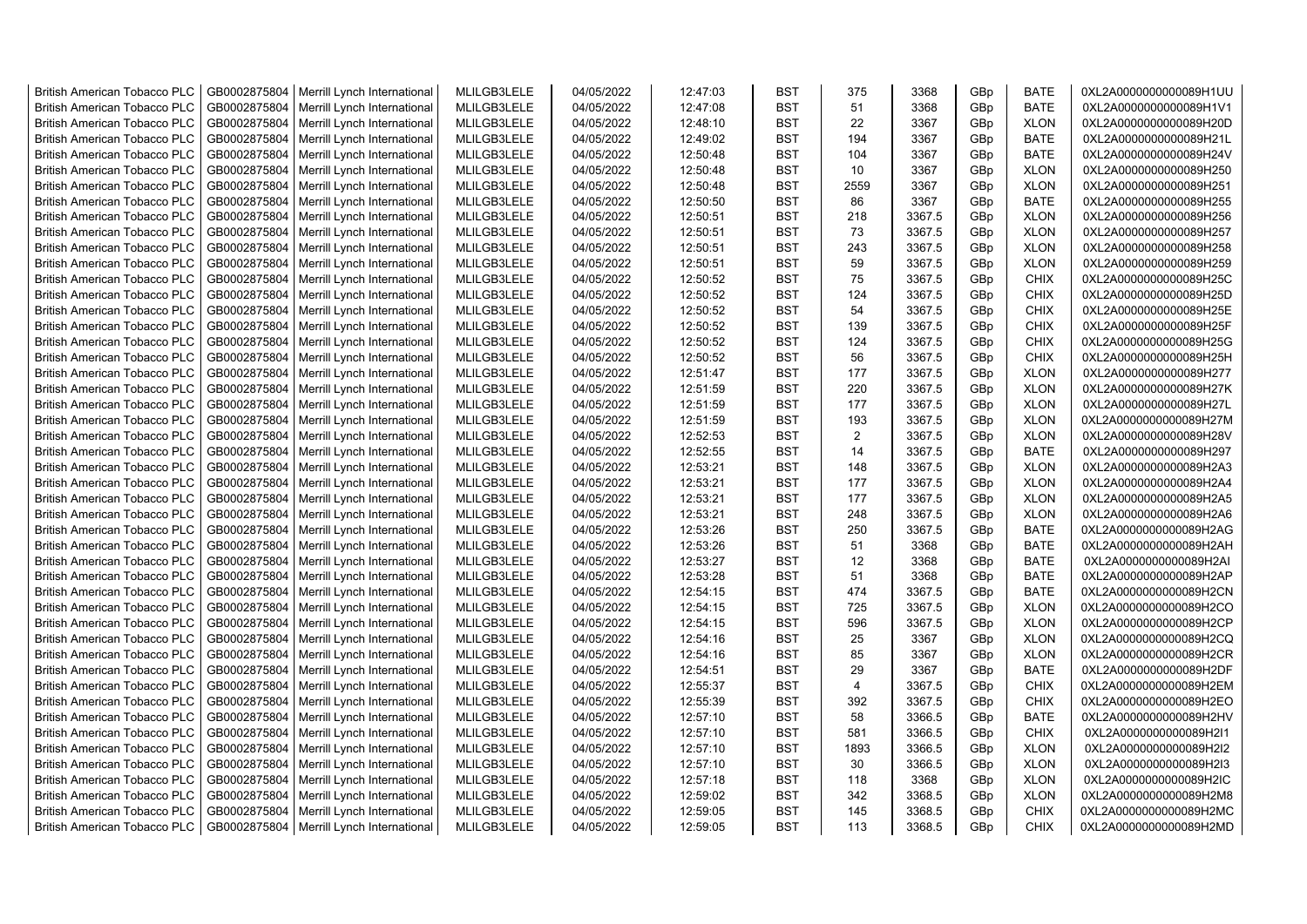| <b>British American Tobacco PLC</b> | GB0002875804 | Merrill Lynch International | MLILGB3LELE | 04/05/2022 | 12:47:03 | <b>BST</b> | 375            | 3368   | GBp | <b>BATE</b> | 0XL2A0000000000089H1UU |
|-------------------------------------|--------------|-----------------------------|-------------|------------|----------|------------|----------------|--------|-----|-------------|------------------------|
| <b>British American Tobacco PLC</b> | GB0002875804 | Merrill Lynch International | MLILGB3LELE | 04/05/2022 | 12:47:08 | <b>BST</b> | 51             | 3368   | GBp | <b>BATE</b> | 0XL2A0000000000089H1V1 |
| <b>British American Tobacco PLC</b> | GB0002875804 | Merrill Lynch International | MLILGB3LELE | 04/05/2022 | 12:48:10 | <b>BST</b> | 22             | 3367   | GBp | <b>XLON</b> | 0XL2A0000000000089H20D |
| <b>British American Tobacco PLC</b> | GB0002875804 | Merrill Lynch International | MLILGB3LELE | 04/05/2022 | 12:49:02 | <b>BST</b> | 194            | 3367   | GBp | <b>BATE</b> | 0XL2A0000000000089H21L |
| British American Tobacco PLC        | GB0002875804 | Merrill Lynch International | MLILGB3LELE | 04/05/2022 | 12:50:48 | <b>BST</b> | 104            | 3367   | GBp | <b>BATE</b> | 0XL2A0000000000089H24V |
| <b>British American Tobacco PLC</b> | GB0002875804 | Merrill Lynch International | MLILGB3LELE | 04/05/2022 | 12:50:48 | <b>BST</b> | 10             | 3367   | GBp | <b>XLON</b> | 0XL2A0000000000089H250 |
| <b>British American Tobacco PLC</b> | GB0002875804 | Merrill Lynch International | MLILGB3LELE | 04/05/2022 | 12:50:48 | <b>BST</b> | 2559           | 3367   | GBp | <b>XLON</b> | 0XL2A0000000000089H251 |
| <b>British American Tobacco PLC</b> | GB0002875804 | Merrill Lynch International | MLILGB3LELE | 04/05/2022 | 12:50:50 | <b>BST</b> | 86             | 3367   | GBp | <b>BATE</b> | 0XL2A0000000000089H255 |
| <b>British American Tobacco PLC</b> | GB0002875804 | Merrill Lynch International | MLILGB3LELE | 04/05/2022 | 12:50:51 | <b>BST</b> | 218            | 3367.5 | GBp | <b>XLON</b> | 0XL2A0000000000089H256 |
| <b>British American Tobacco PLC</b> | GB0002875804 | Merrill Lynch International | MLILGB3LELE | 04/05/2022 | 12:50:51 | <b>BST</b> | 73             | 3367.5 | GBp | <b>XLON</b> | 0XL2A0000000000089H257 |
| <b>British American Tobacco PLC</b> | GB0002875804 | Merrill Lynch International | MLILGB3LELE | 04/05/2022 | 12:50:51 | <b>BST</b> | 243            | 3367.5 | GBp | <b>XLON</b> | 0XL2A0000000000089H258 |
| <b>British American Tobacco PLC</b> | GB0002875804 | Merrill Lynch International | MLILGB3LELE | 04/05/2022 | 12:50:51 | <b>BST</b> | 59             | 3367.5 | GBp | <b>XLON</b> | 0XL2A0000000000089H259 |
| <b>British American Tobacco PLC</b> | GB0002875804 | Merrill Lynch International | MLILGB3LELE | 04/05/2022 | 12:50:52 | <b>BST</b> | 75             | 3367.5 | GBp | <b>CHIX</b> | 0XL2A0000000000089H25C |
| <b>British American Tobacco PLC</b> | GB0002875804 | Merrill Lynch International | MLILGB3LELE | 04/05/2022 | 12:50:52 | <b>BST</b> | 124            | 3367.5 | GBp | <b>CHIX</b> | 0XL2A0000000000089H25D |
| <b>British American Tobacco PLC</b> | GB0002875804 | Merrill Lynch International | MLILGB3LELE | 04/05/2022 | 12:50:52 | <b>BST</b> | 54             | 3367.5 | GBp | <b>CHIX</b> | 0XL2A0000000000089H25E |
| <b>British American Tobacco PLC</b> | GB0002875804 | Merrill Lynch International | MLILGB3LELE | 04/05/2022 | 12:50:52 | <b>BST</b> | 139            | 3367.5 | GBp | <b>CHIX</b> | 0XL2A0000000000089H25F |
| <b>British American Tobacco PLC</b> | GB0002875804 | Merrill Lynch International | MLILGB3LELE | 04/05/2022 | 12:50:52 | <b>BST</b> | 124            | 3367.5 | GBp | CHIX        | 0XL2A0000000000089H25G |
| <b>British American Tobacco PLC</b> | GB0002875804 | Merrill Lynch International | MLILGB3LELE | 04/05/2022 | 12:50:52 | <b>BST</b> | 56             | 3367.5 | GBp | <b>CHIX</b> | 0XL2A0000000000089H25H |
| <b>British American Tobacco PLC</b> | GB0002875804 | Merrill Lynch International | MLILGB3LELE | 04/05/2022 | 12:51:47 | <b>BST</b> | 177            | 3367.5 | GBp | <b>XLON</b> | 0XL2A0000000000089H277 |
| <b>British American Tobacco PLC</b> | GB0002875804 | Merrill Lynch International | MLILGB3LELE | 04/05/2022 | 12:51:59 | <b>BST</b> | 220            | 3367.5 | GBp | <b>XLON</b> | 0XL2A0000000000089H27K |
| <b>British American Tobacco PLC</b> | GB0002875804 | Merrill Lynch International | MLILGB3LELE | 04/05/2022 | 12:51:59 | <b>BST</b> | 177            | 3367.5 | GBp | <b>XLON</b> | 0XL2A0000000000089H27L |
| <b>British American Tobacco PLC</b> | GB0002875804 | Merrill Lynch International | MLILGB3LELE | 04/05/2022 | 12:51:59 | <b>BST</b> | 193            | 3367.5 | GBp | <b>XLON</b> | 0XL2A0000000000089H27M |
| <b>British American Tobacco PLC</b> | GB0002875804 | Merrill Lynch International | MLILGB3LELE | 04/05/2022 | 12:52:53 | <b>BST</b> | 2              | 3367.5 | GBp | <b>XLON</b> | 0XL2A0000000000089H28V |
| <b>British American Tobacco PLC</b> | GB0002875804 | Merrill Lynch International | MLILGB3LELE | 04/05/2022 | 12:52:55 | <b>BST</b> | 14             | 3367.5 | GBp | <b>BATE</b> | 0XL2A0000000000089H297 |
| <b>British American Tobacco PLC</b> | GB0002875804 | Merrill Lynch International | MLILGB3LELE | 04/05/2022 | 12:53:21 | <b>BST</b> | 148            | 3367.5 | GBp | <b>XLON</b> | 0XL2A0000000000089H2A3 |
| <b>British American Tobacco PLC</b> | GB0002875804 | Merrill Lynch International | MLILGB3LELE | 04/05/2022 | 12:53:21 | <b>BST</b> | 177            | 3367.5 | GBp | <b>XLON</b> | 0XL2A0000000000089H2A4 |
| <b>British American Tobacco PLC</b> | GB0002875804 | Merrill Lynch International | MLILGB3LELE | 04/05/2022 | 12:53:21 | <b>BST</b> | 177            | 3367.5 | GBp | <b>XLON</b> | 0XL2A0000000000089H2A5 |
| <b>British American Tobacco PLC</b> | GB0002875804 | Merrill Lynch International | MLILGB3LELE | 04/05/2022 | 12:53:21 | <b>BST</b> | 248            | 3367.5 | GBp | <b>XLON</b> | 0XL2A0000000000089H2A6 |
| <b>British American Tobacco PLC</b> | GB0002875804 | Merrill Lynch International | MLILGB3LELE | 04/05/2022 | 12:53:26 | <b>BST</b> | 250            | 3367.5 | GBp | <b>BATE</b> | 0XL2A0000000000089H2AG |
| <b>British American Tobacco PLC</b> | GB0002875804 | Merrill Lynch International | MLILGB3LELE | 04/05/2022 | 12:53:26 | <b>BST</b> | 51             | 3368   | GBp | <b>BATE</b> | 0XL2A0000000000089H2AH |
| <b>British American Tobacco PLC</b> | GB0002875804 | Merrill Lynch International | MLILGB3LELE | 04/05/2022 | 12:53:27 | <b>BST</b> | 12             | 3368   | GBp | <b>BATE</b> | 0XL2A0000000000089H2AI |
| <b>British American Tobacco PLC</b> | GB0002875804 | Merrill Lynch International | MLILGB3LELE | 04/05/2022 | 12:53:28 | <b>BST</b> | 51             | 3368   | GBp | <b>BATE</b> | 0XL2A0000000000089H2AP |
| <b>British American Tobacco PLC</b> | GB0002875804 | Merrill Lynch International | MLILGB3LELE | 04/05/2022 | 12:54:15 | <b>BST</b> | 474            | 3367.5 | GBp | <b>BATE</b> | 0XL2A0000000000089H2CN |
| <b>British American Tobacco PLC</b> | GB0002875804 | Merrill Lynch International | MLILGB3LELE | 04/05/2022 | 12:54:15 | <b>BST</b> | 725            | 3367.5 | GBp | <b>XLON</b> | 0XL2A0000000000089H2CO |
| <b>British American Tobacco PLC</b> | GB0002875804 | Merrill Lynch International | MLILGB3LELE | 04/05/2022 | 12:54:15 | <b>BST</b> | 596            | 3367.5 | GBp | <b>XLON</b> | 0XL2A0000000000089H2CP |
| <b>British American Tobacco PLC</b> | GB0002875804 | Merrill Lynch International | MLILGB3LELE | 04/05/2022 | 12:54:16 | <b>BST</b> | 25             | 3367   | GBp | <b>XLON</b> | 0XL2A0000000000089H2CQ |
| <b>British American Tobacco PLC</b> | GB0002875804 | Merrill Lynch International | MLILGB3LELE | 04/05/2022 | 12:54:16 | <b>BST</b> | 85             | 3367   | GBp | <b>XLON</b> | 0XL2A0000000000089H2CR |
| <b>British American Tobacco PLC</b> | GB0002875804 | Merrill Lynch International | MLILGB3LELE | 04/05/2022 | 12:54:51 | <b>BST</b> | 29             | 3367   | GBp | <b>BATE</b> | 0XL2A0000000000089H2DF |
| <b>British American Tobacco PLC</b> | GB0002875804 | Merrill Lynch International | MLILGB3LELE | 04/05/2022 | 12:55:37 | <b>BST</b> | $\overline{4}$ | 3367.5 | GBp | <b>CHIX</b> | 0XL2A0000000000089H2EM |
| <b>British American Tobacco PLC</b> | GB0002875804 | Merrill Lynch International | MLILGB3LELE | 04/05/2022 | 12:55:39 | <b>BST</b> | 392            | 3367.5 | GBp | <b>CHIX</b> | 0XL2A0000000000089H2EO |
| <b>British American Tobacco PLC</b> | GB0002875804 | Merrill Lynch International | MLILGB3LELE | 04/05/2022 | 12:57:10 | <b>BST</b> | 58             | 3366.5 | GBp | <b>BATE</b> | 0XL2A0000000000089H2HV |
| <b>British American Tobacco PLC</b> | GB0002875804 | Merrill Lynch International | MLILGB3LELE | 04/05/2022 | 12:57:10 | <b>BST</b> | 581            | 3366.5 | GBp | <b>CHIX</b> | 0XL2A0000000000089H2I1 |
| <b>British American Tobacco PLC</b> | GB0002875804 | Merrill Lynch International | MLILGB3LELE | 04/05/2022 | 12:57:10 | <b>BST</b> | 1893           | 3366.5 | GBp | <b>XLON</b> | 0XL2A0000000000089H2I2 |
| <b>British American Tobacco PLC</b> | GB0002875804 | Merrill Lynch International | MLILGB3LELE | 04/05/2022 | 12:57:10 | <b>BST</b> | 30             | 3366.5 | GBp | <b>XLON</b> | 0XL2A0000000000089H2I3 |
| <b>British American Tobacco PLC</b> | GB0002875804 | Merrill Lynch International | MLILGB3LELE | 04/05/2022 | 12:57:18 | <b>BST</b> | 118            | 3368   | GBp | <b>XLON</b> | 0XL2A0000000000089H2IC |
| <b>British American Tobacco PLC</b> | GB0002875804 | Merrill Lynch International | MLILGB3LELE | 04/05/2022 | 12:59:02 | <b>BST</b> | 342            | 3368.5 | GBp | <b>XLON</b> | 0XL2A0000000000089H2M8 |
| <b>British American Tobacco PLC</b> | GB0002875804 | Merrill Lynch International | MLILGB3LELE | 04/05/2022 | 12:59:05 | <b>BST</b> | 145            | 3368.5 | GBp | <b>CHIX</b> | 0XL2A0000000000089H2MC |
| <b>British American Tobacco PLC</b> | GB0002875804 | Merrill Lynch International | MLILGB3LELE | 04/05/2022 | 12:59:05 | <b>BST</b> | 113            | 3368.5 | GBp | <b>CHIX</b> | 0XL2A0000000000089H2MD |
|                                     |              |                             |             |            |          |            |                |        |     |             |                        |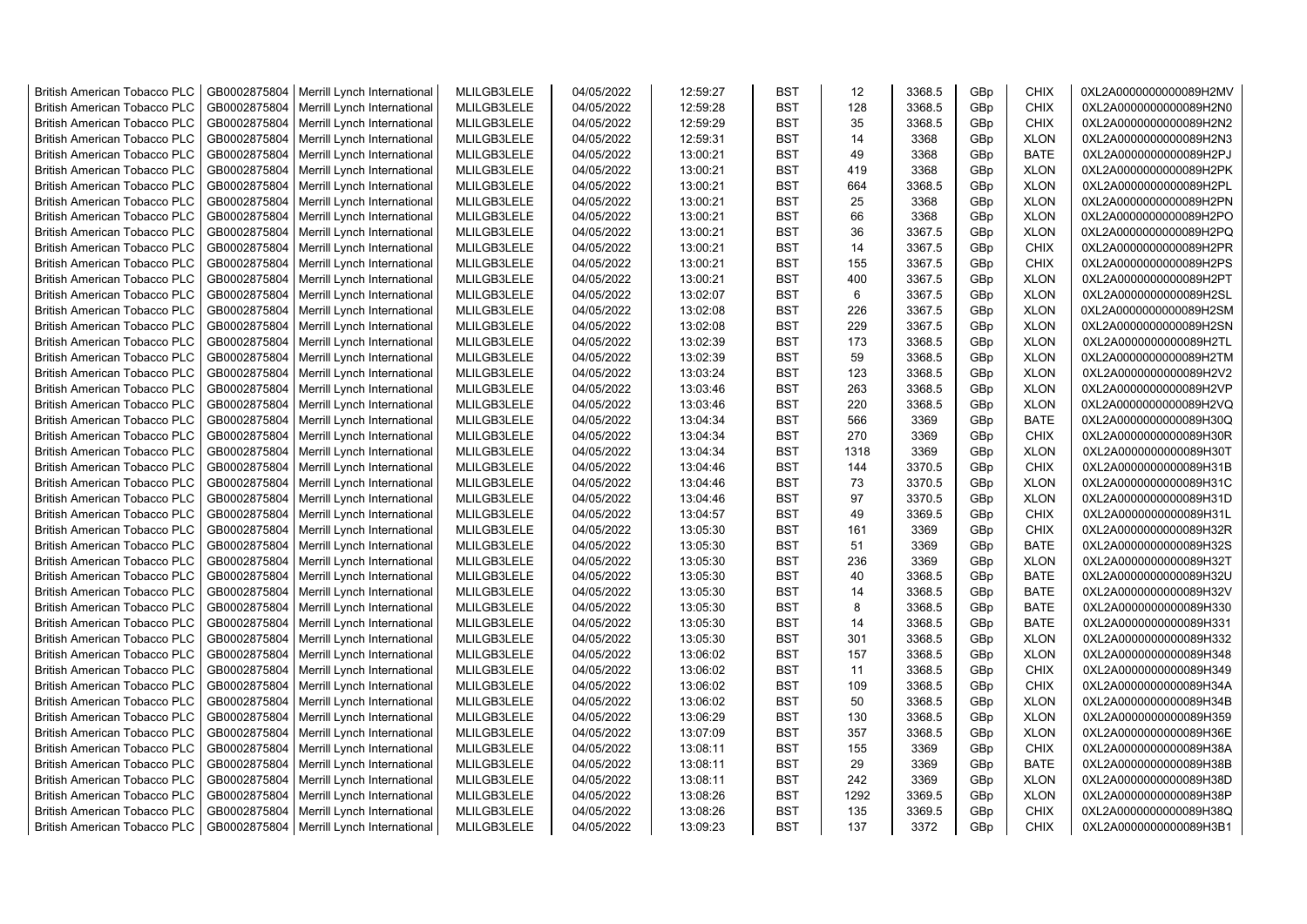| <b>British American Tobacco PLC</b> | GB0002875804 | Merrill Lynch International                | MLILGB3LELE | 04/05/2022 | 12:59:27 | <b>BST</b> | 12   | 3368.5 | GBp | <b>CHIX</b> | 0XL2A0000000000089H2MV |
|-------------------------------------|--------------|--------------------------------------------|-------------|------------|----------|------------|------|--------|-----|-------------|------------------------|
| <b>British American Tobacco PLC</b> | GB0002875804 | Merrill Lynch International                | MLILGB3LELE | 04/05/2022 | 12:59:28 | <b>BST</b> | 128  | 3368.5 | GBp | <b>CHIX</b> | 0XL2A0000000000089H2N0 |
| <b>British American Tobacco PLC</b> | GB0002875804 | Merrill Lynch International                | MLILGB3LELE | 04/05/2022 | 12:59:29 | <b>BST</b> | 35   | 3368.5 | GBp | <b>CHIX</b> | 0XL2A0000000000089H2N2 |
| <b>British American Tobacco PLC</b> | GB0002875804 | Merrill Lynch International                | MLILGB3LELE | 04/05/2022 | 12:59:31 | <b>BST</b> | 14   | 3368   | GBp | <b>XLON</b> | 0XL2A0000000000089H2N3 |
| <b>British American Tobacco PLC</b> | GB0002875804 | Merrill Lynch International                | MLILGB3LELE | 04/05/2022 | 13:00:21 | <b>BST</b> | 49   | 3368   | GBp | <b>BATE</b> | 0XL2A0000000000089H2PJ |
| <b>British American Tobacco PLC</b> | GB0002875804 | Merrill Lynch International                | MLILGB3LELE | 04/05/2022 | 13:00:21 | <b>BST</b> | 419  | 3368   | GBp | <b>XLON</b> | 0XL2A0000000000089H2PK |
| <b>British American Tobacco PLC</b> | GB0002875804 | Merrill Lynch International                | MLILGB3LELE | 04/05/2022 | 13:00:21 | <b>BST</b> | 664  | 3368.5 | GBp | <b>XLON</b> | 0XL2A0000000000089H2PL |
| <b>British American Tobacco PLC</b> | GB0002875804 | Merrill Lynch International                | MLILGB3LELE | 04/05/2022 | 13:00:21 | <b>BST</b> | 25   | 3368   | GBp | <b>XLON</b> | 0XL2A0000000000089H2PN |
| <b>British American Tobacco PLC</b> | GB0002875804 | Merrill Lynch International                | MLILGB3LELE | 04/05/2022 | 13:00:21 | <b>BST</b> | 66   | 3368   | GBp | <b>XLON</b> | 0XL2A0000000000089H2PO |
| <b>British American Tobacco PLC</b> | GB0002875804 | Merrill Lynch International                | MLILGB3LELE | 04/05/2022 | 13:00:21 | <b>BST</b> | 36   | 3367.5 | GBp | <b>XLON</b> | 0XL2A0000000000089H2PQ |
| <b>British American Tobacco PLC</b> | GB0002875804 | Merrill Lynch International                | MLILGB3LELE | 04/05/2022 | 13:00:21 | <b>BST</b> | 14   | 3367.5 | GBp | <b>CHIX</b> | 0XL2A0000000000089H2PR |
| <b>British American Tobacco PLC</b> | GB0002875804 | Merrill Lynch International                | MLILGB3LELE | 04/05/2022 | 13:00:21 | <b>BST</b> | 155  | 3367.5 | GBp | <b>CHIX</b> | 0XL2A0000000000089H2PS |
| <b>British American Tobacco PLC</b> | GB0002875804 | Merrill Lynch International                | MLILGB3LELE | 04/05/2022 | 13:00:21 | <b>BST</b> | 400  | 3367.5 | GBp | <b>XLON</b> | 0XL2A0000000000089H2PT |
| <b>British American Tobacco PLC</b> | GB0002875804 | Merrill Lynch International                | MLILGB3LELE | 04/05/2022 | 13:02:07 | <b>BST</b> | 6    | 3367.5 | GBp | <b>XLON</b> | 0XL2A0000000000089H2SL |
| <b>British American Tobacco PLC</b> | GB0002875804 | Merrill Lynch International                | MLILGB3LELE | 04/05/2022 | 13:02:08 | <b>BST</b> | 226  | 3367.5 | GBp | <b>XLON</b> | 0XL2A0000000000089H2SM |
| <b>British American Tobacco PLC</b> | GB0002875804 | Merrill Lynch International                | MLILGB3LELE | 04/05/2022 | 13:02:08 | <b>BST</b> | 229  | 3367.5 | GBp | <b>XLON</b> | 0XL2A0000000000089H2SN |
| <b>British American Tobacco PLC</b> | GB0002875804 | Merrill Lynch International                | MLILGB3LELE | 04/05/2022 | 13:02:39 | <b>BST</b> | 173  | 3368.5 | GBp | <b>XLON</b> | 0XL2A0000000000089H2TL |
| <b>British American Tobacco PLC</b> | GB0002875804 | Merrill Lynch International                | MLILGB3LELE | 04/05/2022 | 13:02:39 | <b>BST</b> | 59   | 3368.5 | GBp | <b>XLON</b> | 0XL2A0000000000089H2TM |
| <b>British American Tobacco PLC</b> | GB0002875804 | Merrill Lynch International                | MLILGB3LELE | 04/05/2022 | 13:03:24 | <b>BST</b> | 123  | 3368.5 | GBp | <b>XLON</b> | 0XL2A0000000000089H2V2 |
| <b>British American Tobacco PLC</b> | GB0002875804 | Merrill Lynch International                | MLILGB3LELE | 04/05/2022 | 13:03:46 | <b>BST</b> | 263  | 3368.5 | GBp | <b>XLON</b> | 0XL2A0000000000089H2VP |
| <b>British American Tobacco PLC</b> | GB0002875804 | Merrill Lynch International                | MLILGB3LELE | 04/05/2022 | 13:03:46 | <b>BST</b> | 220  | 3368.5 | GBp | <b>XLON</b> | 0XL2A0000000000089H2VQ |
| <b>British American Tobacco PLC</b> | GB0002875804 | Merrill Lynch International                | MLILGB3LELE | 04/05/2022 | 13:04:34 | <b>BST</b> | 566  | 3369   | GBp | <b>BATE</b> | 0XL2A0000000000089H30Q |
| <b>British American Tobacco PLC</b> | GB0002875804 | Merrill Lynch International                | MLILGB3LELE | 04/05/2022 | 13:04:34 | <b>BST</b> | 270  | 3369   | GBp | <b>CHIX</b> | 0XL2A0000000000089H30R |
| <b>British American Tobacco PLC</b> | GB0002875804 | Merrill Lynch International                | MLILGB3LELE | 04/05/2022 | 13:04:34 | <b>BST</b> | 1318 | 3369   | GBp | <b>XLON</b> | 0XL2A0000000000089H30T |
| <b>British American Tobacco PLC</b> | GB0002875804 | Merrill Lynch International                | MLILGB3LELE | 04/05/2022 | 13:04:46 | <b>BST</b> | 144  | 3370.5 | GBp | <b>CHIX</b> | 0XL2A0000000000089H31B |
| <b>British American Tobacco PLC</b> | GB0002875804 | Merrill Lynch International                | MLILGB3LELE | 04/05/2022 | 13:04:46 | <b>BST</b> | 73   | 3370.5 | GBp | <b>XLON</b> | 0XL2A0000000000089H31C |
| <b>British American Tobacco PLC</b> | GB0002875804 | Merrill Lynch International                | MLILGB3LELE | 04/05/2022 | 13:04:46 | <b>BST</b> | 97   | 3370.5 | GBp | <b>XLON</b> | 0XL2A0000000000089H31D |
| <b>British American Tobacco PLC</b> | GB0002875804 | Merrill Lynch International                | MLILGB3LELE | 04/05/2022 | 13:04:57 | <b>BST</b> | 49   | 3369.5 | GBp | <b>CHIX</b> | 0XL2A0000000000089H31L |
| <b>British American Tobacco PLC</b> | GB0002875804 | Merrill Lynch International                | MLILGB3LELE | 04/05/2022 | 13:05:30 | <b>BST</b> | 161  | 3369   | GBp | CHIX        | 0XL2A0000000000089H32R |
| <b>British American Tobacco PLC</b> | GB0002875804 | Merrill Lynch International                | MLILGB3LELE | 04/05/2022 | 13:05:30 | <b>BST</b> | 51   | 3369   | GBp | <b>BATE</b> | 0XL2A0000000000089H32S |
| <b>British American Tobacco PLC</b> | GB0002875804 | Merrill Lynch International                | MLILGB3LELE | 04/05/2022 | 13:05:30 | <b>BST</b> | 236  | 3369   | GBp | <b>XLON</b> | 0XL2A0000000000089H32T |
| British American Tobacco PLC        | GB0002875804 | Merrill Lynch International                | MLILGB3LELE | 04/05/2022 | 13:05:30 | <b>BST</b> | 40   | 3368.5 | GBp | <b>BATE</b> | 0XL2A0000000000089H32U |
| <b>British American Tobacco PLC</b> | GB0002875804 | Merrill Lynch International                | MLILGB3LELE | 04/05/2022 | 13:05:30 | <b>BST</b> | 14   | 3368.5 | GBp | <b>BATE</b> | 0XL2A0000000000089H32V |
| <b>British American Tobacco PLC</b> | GB0002875804 | Merrill Lynch International                | MLILGB3LELE | 04/05/2022 | 13:05:30 | <b>BST</b> | 8    | 3368.5 | GBp | <b>BATE</b> | 0XL2A0000000000089H330 |
| <b>British American Tobacco PLC</b> | GB0002875804 | Merrill Lynch International                | MLILGB3LELE | 04/05/2022 | 13:05:30 | <b>BST</b> | 14   | 3368.5 | GBp | <b>BATE</b> | 0XL2A0000000000089H331 |
| <b>British American Tobacco PLC</b> | GB0002875804 | Merrill Lynch International                | MLILGB3LELE | 04/05/2022 | 13:05:30 | <b>BST</b> | 301  | 3368.5 | GBp | <b>XLON</b> | 0XL2A0000000000089H332 |
| <b>British American Tobacco PLC</b> | GB0002875804 | Merrill Lynch International                | MLILGB3LELE | 04/05/2022 | 13:06:02 | <b>BST</b> | 157  | 3368.5 | GBp | <b>XLON</b> | 0XL2A0000000000089H348 |
| <b>British American Tobacco PLC</b> | GB0002875804 | Merrill Lynch International                | MLILGB3LELE | 04/05/2022 | 13:06:02 | <b>BST</b> | 11   | 3368.5 | GBp | <b>CHIX</b> | 0XL2A0000000000089H349 |
| <b>British American Tobacco PLC</b> | GB0002875804 | Merrill Lynch International                | MLILGB3LELE | 04/05/2022 | 13:06:02 | <b>BST</b> | 109  | 3368.5 | GBp | CHIX        | 0XL2A0000000000089H34A |
| <b>British American Tobacco PLC</b> | GB0002875804 | Merrill Lynch International                | MLILGB3LELE | 04/05/2022 | 13:06:02 | <b>BST</b> | 50   | 3368.5 | GBp | <b>XLON</b> | 0XL2A0000000000089H34B |
| <b>British American Tobacco PLC</b> | GB0002875804 | Merrill Lynch International                | MLILGB3LELE | 04/05/2022 | 13:06:29 | <b>BST</b> | 130  | 3368.5 | GBp | <b>XLON</b> | 0XL2A0000000000089H359 |
| <b>British American Tobacco PLC</b> | GB0002875804 | Merrill Lynch International                | MLILGB3LELE | 04/05/2022 | 13:07:09 | <b>BST</b> | 357  | 3368.5 | GBp | <b>XLON</b> | 0XL2A0000000000089H36E |
| <b>British American Tobacco PLC</b> | GB0002875804 | Merrill Lynch International                | MLILGB3LELE | 04/05/2022 | 13:08:11 | <b>BST</b> | 155  | 3369   | GBp | <b>CHIX</b> | 0XL2A0000000000089H38A |
| <b>British American Tobacco PLC</b> | GB0002875804 | Merrill Lynch International                | MLILGB3LELE | 04/05/2022 | 13:08:11 | <b>BST</b> | 29   | 3369   | GBp | <b>BATE</b> | 0XL2A0000000000089H38B |
| <b>British American Tobacco PLC</b> | GB0002875804 | Merrill Lynch International                | MLILGB3LELE | 04/05/2022 | 13:08:11 | <b>BST</b> | 242  | 3369   | GBp | <b>XLON</b> | 0XL2A0000000000089H38D |
| <b>British American Tobacco PLC</b> | GB0002875804 | Merrill Lynch International                | MLILGB3LELE | 04/05/2022 | 13:08:26 | <b>BST</b> | 1292 | 3369.5 | GBp | <b>XLON</b> | 0XL2A0000000000089H38P |
| <b>British American Tobacco PLC</b> | GB0002875804 | Merrill Lynch International                | MLILGB3LELE | 04/05/2022 | 13:08:26 | <b>BST</b> | 135  | 3369.5 | GBp | <b>CHIX</b> | 0XL2A0000000000089H38Q |
| <b>British American Tobacco PLC</b> |              | GB0002875804   Merrill Lynch International | MLILGB3LELE | 04/05/2022 | 13:09:23 | <b>BST</b> | 137  | 3372   | GBp | <b>CHIX</b> | 0XL2A0000000000089H3B1 |
|                                     |              |                                            |             |            |          |            |      |        |     |             |                        |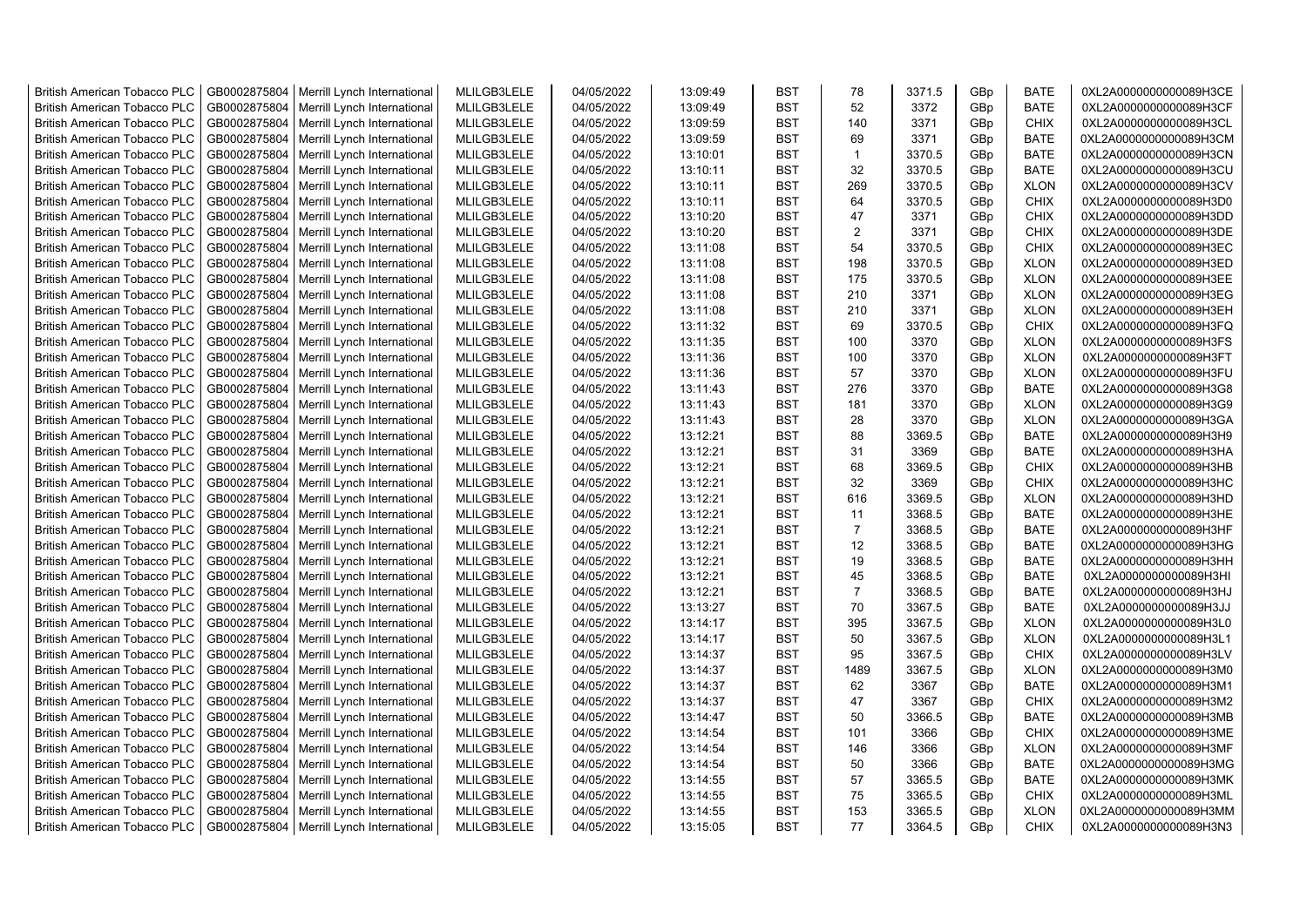| <b>British American Tobacco PLC</b> | GB0002875804 | Merrill Lynch International                | MLILGB3LELE | 04/05/2022 | 13:09:49 | <b>BST</b> | 78             | 3371.5 | GBp             | <b>BATE</b> | 0XL2A0000000000089H3CE |
|-------------------------------------|--------------|--------------------------------------------|-------------|------------|----------|------------|----------------|--------|-----------------|-------------|------------------------|
| <b>British American Tobacco PLC</b> | GB0002875804 | Merrill Lynch International                | MLILGB3LELE | 04/05/2022 | 13:09:49 | <b>BST</b> | 52             | 3372   | GBp             | <b>BATE</b> | 0XL2A0000000000089H3CF |
| <b>British American Tobacco PLC</b> | GB0002875804 | Merrill Lynch International                | MLILGB3LELE | 04/05/2022 | 13:09:59 | <b>BST</b> | 140            | 3371   | GBp             | <b>CHIX</b> | 0XL2A0000000000089H3CL |
| <b>British American Tobacco PLC</b> | GB0002875804 | Merrill Lynch International                | MLILGB3LELE | 04/05/2022 | 13:09:59 | <b>BST</b> | 69             | 3371   | GBp             | <b>BATE</b> | 0XL2A0000000000089H3CM |
| <b>British American Tobacco PLC</b> | GB0002875804 | Merrill Lynch International                | MLILGB3LELE | 04/05/2022 | 13:10:01 | <b>BST</b> | $\mathbf{1}$   | 3370.5 | GBp             | <b>BATE</b> | 0XL2A0000000000089H3CN |
| <b>British American Tobacco PLC</b> | GB0002875804 | Merrill Lynch International                | MLILGB3LELE | 04/05/2022 | 13:10:11 | <b>BST</b> | 32             | 3370.5 | GBp             | <b>BATE</b> | 0XL2A0000000000089H3CU |
| <b>British American Tobacco PLC</b> | GB0002875804 | Merrill Lynch International                | MLILGB3LELE | 04/05/2022 | 13:10:11 | <b>BST</b> | 269            | 3370.5 | GBp             | <b>XLON</b> | 0XL2A0000000000089H3CV |
| <b>British American Tobacco PLC</b> | GB0002875804 | Merrill Lynch International                | MLILGB3LELE | 04/05/2022 | 13:10:11 | <b>BST</b> | 64             | 3370.5 | GBp             | <b>CHIX</b> | 0XL2A0000000000089H3D0 |
| <b>British American Tobacco PLC</b> | GB0002875804 | Merrill Lynch International                | MLILGB3LELE | 04/05/2022 | 13:10:20 | <b>BST</b> | 47             | 3371   | GBp             | <b>CHIX</b> | 0XL2A0000000000089H3DD |
| <b>British American Tobacco PLC</b> | GB0002875804 | Merrill Lynch International                | MLILGB3LELE | 04/05/2022 | 13:10:20 | <b>BST</b> | $\overline{2}$ | 3371   | GBp             | <b>CHIX</b> | 0XL2A0000000000089H3DE |
| <b>British American Tobacco PLC</b> | GB0002875804 | Merrill Lynch International                | MLILGB3LELE | 04/05/2022 | 13:11:08 | <b>BST</b> | 54             | 3370.5 | GBp             | <b>CHIX</b> | 0XL2A0000000000089H3EC |
| <b>British American Tobacco PLC</b> | GB0002875804 | Merrill Lynch International                | MLILGB3LELE | 04/05/2022 | 13:11:08 | <b>BST</b> | 198            | 3370.5 | GBp             | <b>XLON</b> | 0XL2A0000000000089H3ED |
| <b>British American Tobacco PLC</b> | GB0002875804 | Merrill Lynch International                | MLILGB3LELE | 04/05/2022 | 13:11:08 | <b>BST</b> | 175            | 3370.5 | GBp             | <b>XLON</b> | 0XL2A0000000000089H3EE |
| <b>British American Tobacco PLC</b> | GB0002875804 | Merrill Lynch International                | MLILGB3LELE | 04/05/2022 | 13:11:08 | <b>BST</b> | 210            | 3371   | GBp             | <b>XLON</b> | 0XL2A0000000000089H3EG |
|                                     |              |                                            | MLILGB3LELE |            |          | <b>BST</b> | 210            |        |                 |             |                        |
| <b>British American Tobacco PLC</b> | GB0002875804 | Merrill Lynch International                |             | 04/05/2022 | 13:11:08 |            |                | 3371   | GBp             | <b>XLON</b> | 0XL2A0000000000089H3EH |
| <b>British American Tobacco PLC</b> | GB0002875804 | Merrill Lynch International                | MLILGB3LELE | 04/05/2022 | 13:11:32 | BST        | 69             | 3370.5 | GBp             | <b>CHIX</b> | 0XL2A0000000000089H3FQ |
| <b>British American Tobacco PLC</b> | GB0002875804 | Merrill Lynch International                | MLILGB3LELE | 04/05/2022 | 13:11:35 | BST        | 100            | 3370   | GBp             | <b>XLON</b> | 0XL2A0000000000089H3FS |
| <b>British American Tobacco PLC</b> | GB0002875804 | Merrill Lynch International                | MLILGB3LELE | 04/05/2022 | 13:11:36 | <b>BST</b> | 100            | 3370   | GBp             | <b>XLON</b> | 0XL2A0000000000089H3FT |
| <b>British American Tobacco PLC</b> | GB0002875804 | Merrill Lynch International                | MLILGB3LELE | 04/05/2022 | 13:11:36 | <b>BST</b> | 57             | 3370   | GBp             | <b>XLON</b> | 0XL2A0000000000089H3FU |
| <b>British American Tobacco PLC</b> | GB0002875804 | Merrill Lynch International                | MLILGB3LELE | 04/05/2022 | 13:11:43 | <b>BST</b> | 276            | 3370   | GBp             | <b>BATE</b> | 0XL2A0000000000089H3G8 |
| <b>British American Tobacco PLC</b> | GB0002875804 | Merrill Lynch International                | MLILGB3LELE | 04/05/2022 | 13:11:43 | <b>BST</b> | 181            | 3370   | GBp             | <b>XLON</b> | 0XL2A0000000000089H3G9 |
| <b>British American Tobacco PLC</b> | GB0002875804 | Merrill Lynch International                | MLILGB3LELE | 04/05/2022 | 13:11:43 | <b>BST</b> | 28             | 3370   | GBp             | <b>XLON</b> | 0XL2A0000000000089H3GA |
| <b>British American Tobacco PLC</b> | GB0002875804 | Merrill Lynch International                | MLILGB3LELE | 04/05/2022 | 13:12:21 | <b>BST</b> | 88             | 3369.5 | GBp             | <b>BATE</b> | 0XL2A0000000000089H3H9 |
| <b>British American Tobacco PLC</b> | GB0002875804 | Merrill Lynch International                | MLILGB3LELE | 04/05/2022 | 13:12:21 | <b>BST</b> | 31             | 3369   | GBp             | <b>BATE</b> | 0XL2A0000000000089H3HA |
| <b>British American Tobacco PLC</b> | GB0002875804 | Merrill Lynch International                | MLILGB3LELE | 04/05/2022 | 13:12:21 | <b>BST</b> | 68             | 3369.5 | GBp             | <b>CHIX</b> | 0XL2A0000000000089H3HB |
| <b>British American Tobacco PLC</b> | GB0002875804 | Merrill Lynch International                | MLILGB3LELE | 04/05/2022 | 13:12:21 | <b>BST</b> | 32             | 3369   | GBp             | <b>CHIX</b> | 0XL2A0000000000089H3HC |
| <b>British American Tobacco PLC</b> | GB0002875804 | Merrill Lynch International                | MLILGB3LELE | 04/05/2022 | 13:12:21 | <b>BST</b> | 616            | 3369.5 | GBp             | <b>XLON</b> | 0XL2A0000000000089H3HD |
| <b>British American Tobacco PLC</b> | GB0002875804 | Merrill Lynch International                | MLILGB3LELE | 04/05/2022 | 13:12:21 | <b>BST</b> | 11             | 3368.5 | GBp             | <b>BATE</b> | 0XL2A0000000000089H3HE |
| <b>British American Tobacco PLC</b> | GB0002875804 | Merrill Lynch International                | MLILGB3LELE | 04/05/2022 | 13:12:21 | BST        | $\overline{7}$ | 3368.5 | GBp             | <b>BATE</b> | 0XL2A0000000000089H3HF |
| <b>British American Tobacco PLC</b> | GB0002875804 | Merrill Lynch International                | MLILGB3LELE | 04/05/2022 | 13:12:21 | <b>BST</b> | 12             | 3368.5 | GBp             | <b>BATE</b> | 0XL2A0000000000089H3HG |
| <b>British American Tobacco PLC</b> | GB0002875804 | Merrill Lynch International                | MLILGB3LELE | 04/05/2022 | 13:12:21 | <b>BST</b> | 19             | 3368.5 | GBp             | <b>BATE</b> | 0XL2A0000000000089H3HH |
| <b>British American Tobacco PLC</b> | GB0002875804 | Merrill Lynch International                | MLILGB3LELE | 04/05/2022 | 13:12:21 | <b>BST</b> | 45             | 3368.5 | GBp             | <b>BATE</b> | 0XL2A0000000000089H3HI |
| <b>British American Tobacco PLC</b> | GB0002875804 | Merrill Lynch International                | MLILGB3LELE | 04/05/2022 | 13:12:21 | <b>BST</b> | $\overline{7}$ | 3368.5 | GBp             | <b>BATE</b> | 0XL2A0000000000089H3HJ |
| <b>British American Tobacco PLC</b> | GB0002875804 | Merrill Lynch International                | MLILGB3LELE | 04/05/2022 | 13:13:27 | <b>BST</b> | 70             | 3367.5 | GBp             | <b>BATE</b> | 0XL2A0000000000089H3JJ |
| <b>British American Tobacco PLC</b> | GB0002875804 | Merrill Lynch International                | MLILGB3LELE | 04/05/2022 | 13:14:17 | <b>BST</b> | 395            | 3367.5 | GBp             | <b>XLON</b> | 0XL2A0000000000089H3L0 |
| <b>British American Tobacco PLC</b> | GB0002875804 | Merrill Lynch International                | MLILGB3LELE | 04/05/2022 | 13:14:17 | <b>BST</b> | 50             | 3367.5 | GBp             | <b>XLON</b> | 0XL2A0000000000089H3L1 |
| <b>British American Tobacco PLC</b> | GB0002875804 | Merrill Lynch International                | MLILGB3LELE | 04/05/2022 | 13:14:37 | <b>BST</b> | 95             | 3367.5 | GBp             | <b>CHIX</b> | 0XL2A0000000000089H3LV |
| British American Tobacco PLC        | GB0002875804 | Merrill Lynch International                | MLILGB3LELE | 04/05/2022 | 13:14:37 | <b>BST</b> | 1489           | 3367.5 | GBp             | <b>XLON</b> | 0XL2A0000000000089H3M0 |
| <b>British American Tobacco PLC</b> | GB0002875804 | Merrill Lynch International                | MLILGB3LELE | 04/05/2022 | 13:14:37 | <b>BST</b> | 62             | 3367   | GBp             | <b>BATE</b> | 0XL2A0000000000089H3M1 |
| <b>British American Tobacco PLC</b> | GB0002875804 | Merrill Lynch International                | MLILGB3LELE | 04/05/2022 | 13:14:37 | <b>BST</b> | 47             | 3367   | GBp             | <b>CHIX</b> | 0XL2A0000000000089H3M2 |
| <b>British American Tobacco PLC</b> | GB0002875804 | Merrill Lynch International                | MLILGB3LELE | 04/05/2022 | 13:14:47 | <b>BST</b> | 50             | 3366.5 | GBp             | <b>BATE</b> | 0XL2A0000000000089H3MB |
| <b>British American Tobacco PLC</b> | GB0002875804 | Merrill Lynch International                | MLILGB3LELE | 04/05/2022 | 13:14:54 | <b>BST</b> | 101            | 3366   | GBp             | <b>CHIX</b> | 0XL2A0000000000089H3ME |
| <b>British American Tobacco PLC</b> | GB0002875804 | Merrill Lynch International                | MLILGB3LELE | 04/05/2022 | 13:14:54 | <b>BST</b> | 146            | 3366   | GBp             | <b>XLON</b> | 0XL2A0000000000089H3MF |
| <b>British American Tobacco PLC</b> | GB0002875804 | Merrill Lynch International                | MLILGB3LELE | 04/05/2022 | 13:14:54 | <b>BST</b> | 50             | 3366   | GBp             | <b>BATE</b> | 0XL2A0000000000089H3MG |
| <b>British American Tobacco PLC</b> | GB0002875804 | Merrill Lynch International                | MLILGB3LELE | 04/05/2022 | 13:14:55 | <b>BST</b> | 57             | 3365.5 | GBp             | <b>BATE</b> | 0XL2A0000000000089H3MK |
| <b>British American Tobacco PLC</b> | GB0002875804 | Merrill Lynch International                | MLILGB3LELE | 04/05/2022 | 13:14:55 | <b>BST</b> | 75             | 3365.5 | GBp             | <b>CHIX</b> | 0XL2A0000000000089H3ML |
| <b>British American Tobacco PLC</b> | GB0002875804 | Merrill Lynch International                | MLILGB3LELE | 04/05/2022 | 13:14:55 | <b>BST</b> | 153            | 3365.5 | GBp             | <b>XLON</b> | 0XL2A0000000000089H3MM |
| <b>British American Tobacco PLC</b> |              | GB0002875804   Merrill Lynch International | MLILGB3LELE | 04/05/2022 | 13:15:05 | <b>BST</b> | 77             | 3364.5 | GB <sub>p</sub> | <b>CHIX</b> | 0XL2A0000000000089H3N3 |
|                                     |              |                                            |             |            |          |            |                |        |                 |             |                        |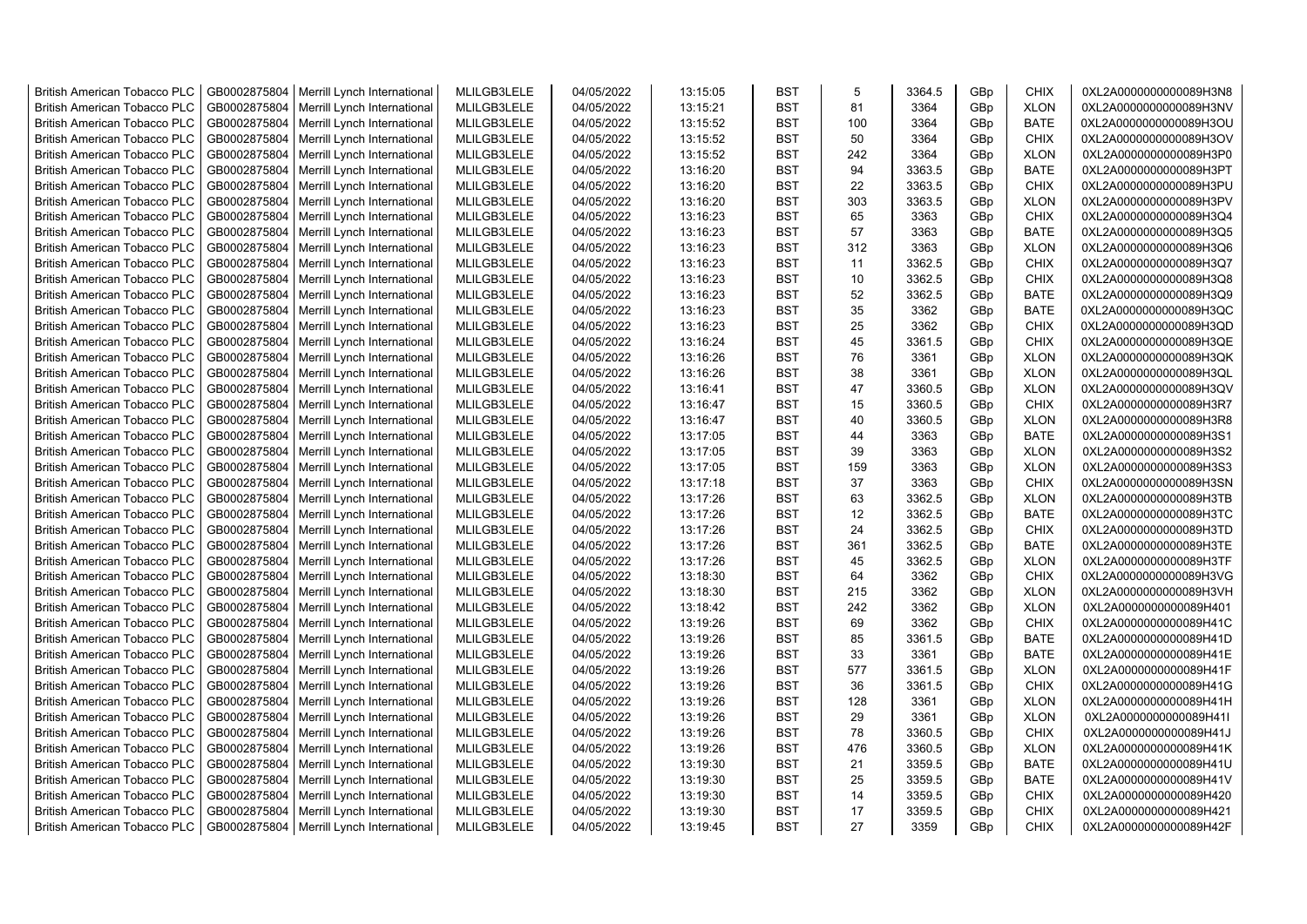| <b>British American Tobacco PLC</b> | GB0002875804 | Merrill Lynch International | MLILGB3LELE | 04/05/2022 | 13:15:05 | <b>BST</b> | 5   | 3364.5           | GBp | <b>CHIX</b> | 0XL2A0000000000089H3N8 |
|-------------------------------------|--------------|-----------------------------|-------------|------------|----------|------------|-----|------------------|-----|-------------|------------------------|
| <b>British American Tobacco PLC</b> | GB0002875804 | Merrill Lynch International | MLILGB3LELE | 04/05/2022 | 13:15:21 | <b>BST</b> | 81  | 3364             | GBp | <b>XLON</b> | 0XL2A0000000000089H3NV |
| <b>British American Tobacco PLC</b> | GB0002875804 | Merrill Lynch International | MLILGB3LELE | 04/05/2022 | 13:15:52 | <b>BST</b> | 100 | 3364             | GBp | <b>BATE</b> | 0XL2A0000000000089H3OU |
| <b>British American Tobacco PLC</b> | GB0002875804 | Merrill Lynch International | MLILGB3LELE | 04/05/2022 | 13:15:52 | <b>BST</b> | 50  | 3364             | GBp | <b>CHIX</b> | 0XL2A0000000000089H3OV |
| British American Tobacco PLC        | GB0002875804 | Merrill Lynch International | MLILGB3LELE | 04/05/2022 | 13:15:52 | <b>BST</b> | 242 | 3364             | GBp | <b>XLON</b> | 0XL2A0000000000089H3P0 |
| <b>British American Tobacco PLC</b> | GB0002875804 | Merrill Lynch International | MLILGB3LELE | 04/05/2022 | 13:16:20 | <b>BST</b> | 94  | 3363.5           | GBp | <b>BATE</b> | 0XL2A0000000000089H3PT |
| <b>British American Tobacco PLC</b> | GB0002875804 | Merrill Lynch International | MLILGB3LELE | 04/05/2022 | 13:16:20 | <b>BST</b> | 22  | 3363.5           | GBp | <b>CHIX</b> | 0XL2A0000000000089H3PU |
| <b>British American Tobacco PLC</b> | GB0002875804 | Merrill Lynch International | MLILGB3LELE | 04/05/2022 | 13:16:20 | <b>BST</b> | 303 | 3363.5           | GBp | <b>XLON</b> | 0XL2A0000000000089H3PV |
| <b>British American Tobacco PLC</b> | GB0002875804 | Merrill Lynch International | MLILGB3LELE | 04/05/2022 | 13:16:23 | <b>BST</b> | 65  | 3363             | GBp | <b>CHIX</b> | 0XL2A0000000000089H3Q4 |
| <b>British American Tobacco PLC</b> | GB0002875804 | Merrill Lynch International | MLILGB3LELE | 04/05/2022 | 13:16:23 | <b>BST</b> | 57  | 3363             | GBp | <b>BATE</b> | 0XL2A0000000000089H3Q5 |
| <b>British American Tobacco PLC</b> | GB0002875804 | Merrill Lynch International | MLILGB3LELE | 04/05/2022 | 13:16:23 | <b>BST</b> | 312 | 3363             | GBp | <b>XLON</b> | 0XL2A0000000000089H3Q6 |
| <b>British American Tobacco PLC</b> | GB0002875804 | Merrill Lynch International | MLILGB3LELE | 04/05/2022 | 13:16:23 | <b>BST</b> | 11  | 3362.5           | GBp | <b>CHIX</b> | 0XL2A0000000000089H3Q7 |
| <b>British American Tobacco PLC</b> | GB0002875804 | Merrill Lynch International | MLILGB3LELE | 04/05/2022 | 13:16:23 | <b>BST</b> | 10  | 3362.5           | GBp | <b>CHIX</b> | 0XL2A0000000000089H3Q8 |
| <b>British American Tobacco PLC</b> | GB0002875804 | Merrill Lynch International | MLILGB3LELE | 04/05/2022 | 13:16:23 | <b>BST</b> | 52  | 3362.5           | GBp | <b>BATE</b> | 0XL2A0000000000089H3Q9 |
| <b>British American Tobacco PLC</b> | GB0002875804 | Merrill Lynch International | MLILGB3LELE | 04/05/2022 | 13:16:23 | <b>BST</b> | 35  | 3362             | GBp | <b>BATE</b> | 0XL2A0000000000089H3QC |
| <b>British American Tobacco PLC</b> | GB0002875804 | Merrill Lynch International | MLILGB3LELE | 04/05/2022 | 13:16:23 | <b>BST</b> | 25  | 3362             | GBp | <b>CHIX</b> | 0XL2A0000000000089H3QD |
| <b>British American Tobacco PLC</b> | GB0002875804 | Merrill Lynch International | MLILGB3LELE | 04/05/2022 | 13:16:24 | <b>BST</b> | 45  | 3361.5           | GBp | CHIX        | 0XL2A0000000000089H3QE |
| <b>British American Tobacco PLC</b> | GB0002875804 | Merrill Lynch International | MLILGB3LELE | 04/05/2022 | 13:16:26 | <b>BST</b> | 76  | 3361             | GBp | <b>XLON</b> | 0XL2A0000000000089H3QK |
| <b>British American Tobacco PLC</b> | GB0002875804 | Merrill Lynch International | MLILGB3LELE | 04/05/2022 | 13:16:26 | <b>BST</b> | 38  | 3361             | GBp | <b>XLON</b> | 0XL2A0000000000089H3QL |
| <b>British American Tobacco PLC</b> | GB0002875804 | Merrill Lynch International | MLILGB3LELE | 04/05/2022 | 13:16:41 | <b>BST</b> | 47  | 3360.5           | GBp | <b>XLON</b> | 0XL2A0000000000089H3QV |
| <b>British American Tobacco PLC</b> | GB0002875804 | Merrill Lynch International | MLILGB3LELE | 04/05/2022 | 13:16:47 | <b>BST</b> | 15  | 3360.5           | GBp | <b>CHIX</b> | 0XL2A0000000000089H3R7 |
| <b>British American Tobacco PLC</b> | GB0002875804 | Merrill Lynch International | MLILGB3LELE | 04/05/2022 | 13:16:47 | <b>BST</b> | 40  | 3360.5           | GBp | <b>XLON</b> | 0XL2A0000000000089H3R8 |
| British American Tobacco PLC        | GB0002875804 | Merrill Lynch International | MLILGB3LELE | 04/05/2022 | 13:17:05 | <b>BST</b> | 44  | 3363             | GBp | <b>BATE</b> | 0XL2A0000000000089H3S1 |
| <b>British American Tobacco PLC</b> | GB0002875804 | Merrill Lynch International | MLILGB3LELE | 04/05/2022 | 13:17:05 | <b>BST</b> | 39  | 3363             | GBp | <b>XLON</b> | 0XL2A0000000000089H3S2 |
| <b>British American Tobacco PLC</b> | GB0002875804 | Merrill Lynch International | MLILGB3LELE | 04/05/2022 | 13:17:05 | <b>BST</b> | 159 | 3363             | GBp | <b>XLON</b> | 0XL2A0000000000089H3S3 |
| <b>British American Tobacco PLC</b> | GB0002875804 | Merrill Lynch International | MLILGB3LELE | 04/05/2022 | 13:17:18 | <b>BST</b> | 37  | 3363             | GBp | <b>CHIX</b> | 0XL2A0000000000089H3SN |
| <b>British American Tobacco PLC</b> | GB0002875804 | Merrill Lynch International | MLILGB3LELE | 04/05/2022 | 13:17:26 | <b>BST</b> | 63  | 3362.5           | GBp | <b>XLON</b> | 0XL2A0000000000089H3TB |
| <b>British American Tobacco PLC</b> | GB0002875804 | Merrill Lynch International | MLILGB3LELE | 04/05/2022 | 13:17:26 | <b>BST</b> | 12  | 3362.5           | GBp | <b>BATE</b> | 0XL2A0000000000089H3TC |
|                                     | GB0002875804 |                             | MLILGB3LELE | 04/05/2022 | 13:17:26 | <b>BST</b> | 24  |                  |     | <b>CHIX</b> | 0XL2A0000000000089H3TD |
| <b>British American Tobacco PLC</b> |              | Merrill Lynch International |             |            |          | <b>BST</b> |     | 3362.5<br>3362.5 | GBp |             |                        |
| <b>British American Tobacco PLC</b> | GB0002875804 | Merrill Lynch International | MLILGB3LELE | 04/05/2022 | 13:17:26 |            | 361 |                  | GBp | <b>BATE</b> | 0XL2A0000000000089H3TE |
| <b>British American Tobacco PLC</b> | GB0002875804 | Merrill Lynch International | MLILGB3LELE | 04/05/2022 | 13:17:26 | <b>BST</b> | 45  | 3362.5           | GBp | <b>XLON</b> | 0XL2A0000000000089H3TF |
| <b>British American Tobacco PLC</b> | GB0002875804 | Merrill Lynch International | MLILGB3LELE | 04/05/2022 | 13:18:30 | <b>BST</b> | 64  | 3362             | GBp | <b>CHIX</b> | 0XL2A0000000000089H3VG |
| <b>British American Tobacco PLC</b> | GB0002875804 | Merrill Lynch International | MLILGB3LELE | 04/05/2022 | 13:18:30 | <b>BST</b> | 215 | 3362             | GBp | <b>XLON</b> | 0XL2A0000000000089H3VH |
| <b>British American Tobacco PLC</b> | GB0002875804 | Merrill Lynch International | MLILGB3LELE | 04/05/2022 | 13:18:42 | <b>BST</b> | 242 | 3362             | GBp | <b>XLON</b> | 0XL2A0000000000089H401 |
| <b>British American Tobacco PLC</b> | GB0002875804 | Merrill Lynch International | MLILGB3LELE | 04/05/2022 | 13:19:26 | <b>BST</b> | 69  | 3362             | GBp | <b>CHIX</b> | 0XL2A0000000000089H41C |
| <b>British American Tobacco PLC</b> | GB0002875804 | Merrill Lynch International | MLILGB3LELE | 04/05/2022 | 13:19:26 | <b>BST</b> | 85  | 3361.5           | GBp | <b>BATE</b> | 0XL2A0000000000089H41D |
| <b>British American Tobacco PLC</b> | GB0002875804 | Merrill Lynch International | MLILGB3LELE | 04/05/2022 | 13:19:26 | <b>BST</b> | 33  | 3361             | GBp | <b>BATE</b> | 0XL2A0000000000089H41E |
| <b>British American Tobacco PLC</b> | GB0002875804 | Merrill Lynch International | MLILGB3LELE | 04/05/2022 | 13:19:26 | <b>BST</b> | 577 | 3361.5           | GBp | <b>XLON</b> | 0XL2A0000000000089H41F |
| <b>British American Tobacco PLC</b> | GB0002875804 | Merrill Lynch International | MLILGB3LELE | 04/05/2022 | 13:19:26 | <b>BST</b> | 36  | 3361.5           | GBp | <b>CHIX</b> | 0XL2A0000000000089H41G |
| <b>British American Tobacco PLC</b> | GB0002875804 | Merrill Lynch International | MLILGB3LELE | 04/05/2022 | 13:19:26 | <b>BST</b> | 128 | 3361             | GBp | <b>XLON</b> | 0XL2A0000000000089H41H |
| <b>British American Tobacco PLC</b> | GB0002875804 | Merrill Lynch International | MLILGB3LELE | 04/05/2022 | 13:19:26 | <b>BST</b> | 29  | 3361             | GBp | <b>XLON</b> | 0XL2A0000000000089H41I |
| <b>British American Tobacco PLC</b> | GB0002875804 | Merrill Lynch International | MLILGB3LELE | 04/05/2022 | 13:19:26 | <b>BST</b> | 78  | 3360.5           | GBp | <b>CHIX</b> | 0XL2A0000000000089H41J |
| <b>British American Tobacco PLC</b> | GB0002875804 | Merrill Lynch International | MLILGB3LELE | 04/05/2022 | 13:19:26 | <b>BST</b> | 476 | 3360.5           | GBp | <b>XLON</b> | 0XL2A0000000000089H41K |
| <b>British American Tobacco PLC</b> | GB0002875804 | Merrill Lynch International | MLILGB3LELE | 04/05/2022 | 13:19:30 | <b>BST</b> | 21  | 3359.5           | GBp | <b>BATE</b> | 0XL2A0000000000089H41U |
| <b>British American Tobacco PLC</b> | GB0002875804 | Merrill Lynch International | MLILGB3LELE | 04/05/2022 | 13:19:30 | <b>BST</b> | 25  | 3359.5           | GBp | <b>BATE</b> | 0XL2A0000000000089H41V |
| <b>British American Tobacco PLC</b> | GB0002875804 | Merrill Lynch International | MLILGB3LELE | 04/05/2022 | 13:19:30 | <b>BST</b> | 14  | 3359.5           | GBp | <b>CHIX</b> | 0XL2A0000000000089H420 |
| <b>British American Tobacco PLC</b> | GB0002875804 | Merrill Lynch International | MLILGB3LELE | 04/05/2022 | 13:19:30 | <b>BST</b> | 17  | 3359.5           | GBp | CHIX        | 0XL2A0000000000089H421 |
| <b>British American Tobacco PLC</b> | GB0002875804 | Merrill Lynch International | MLILGB3LELE | 04/05/2022 | 13:19:45 | <b>BST</b> | 27  | 3359             | GBp | <b>CHIX</b> | 0XL2A0000000000089H42F |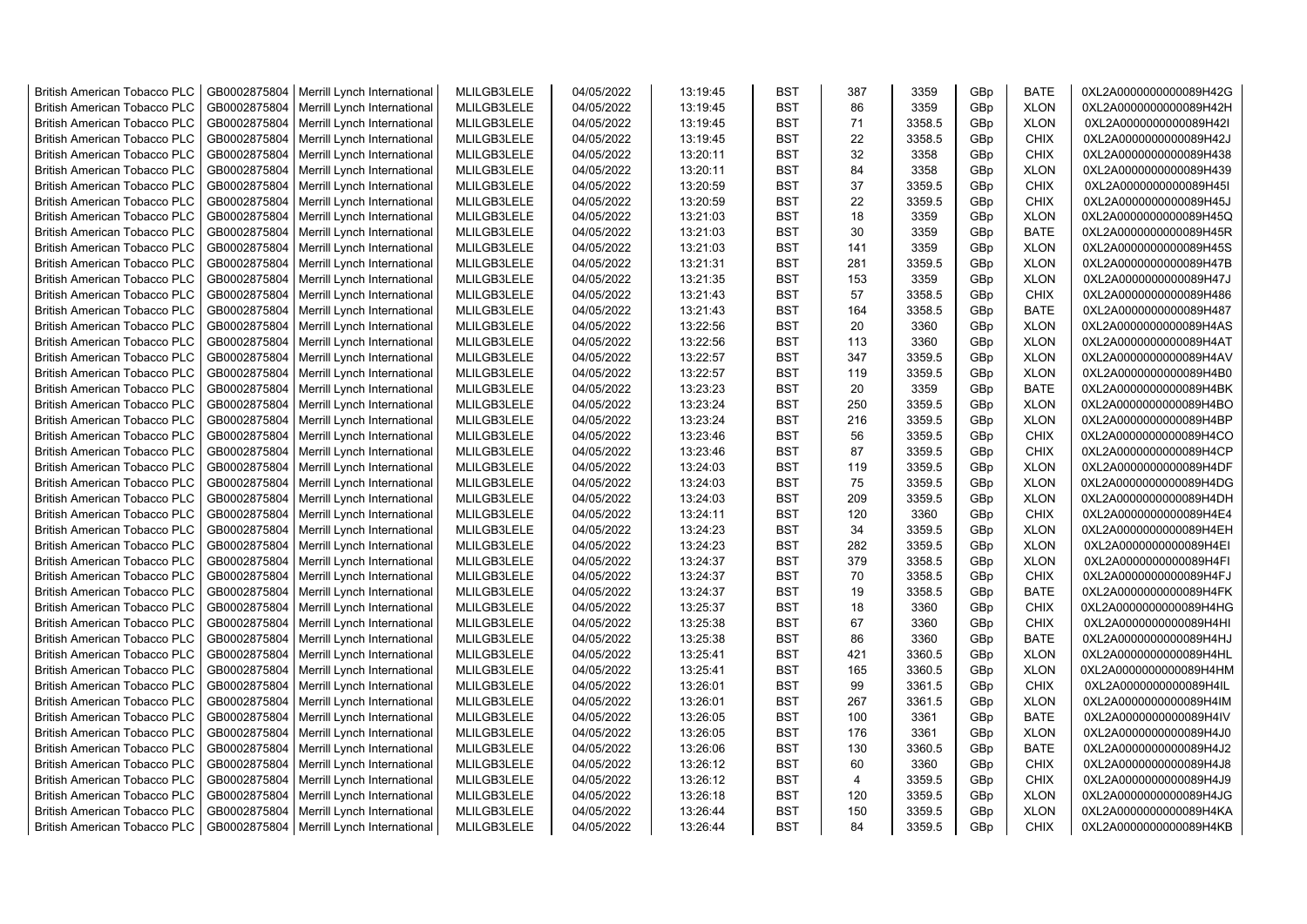| <b>British American Tobacco PLC</b> | GB0002875804 | Merrill Lynch International                                | MLILGB3LELE | 04/05/2022 | 13:19:45             | <b>BST</b> | 387            | 3359   | GBp             | <b>BATE</b> | 0XL2A0000000000089H42G                           |
|-------------------------------------|--------------|------------------------------------------------------------|-------------|------------|----------------------|------------|----------------|--------|-----------------|-------------|--------------------------------------------------|
| <b>British American Tobacco PLC</b> | GB0002875804 | Merrill Lynch International                                | MLILGB3LELE | 04/05/2022 | 13:19:45             | <b>BST</b> | 86             | 3359   | GBp             | <b>XLON</b> | 0XL2A0000000000089H42H                           |
| <b>British American Tobacco PLC</b> | GB0002875804 | Merrill Lynch International                                | MLILGB3LELE | 04/05/2022 | 13:19:45             | <b>BST</b> | 71             | 3358.5 | GBp             | <b>XLON</b> | 0XL2A0000000000089H42I                           |
| <b>British American Tobacco PLC</b> | GB0002875804 | Merrill Lynch International                                | MLILGB3LELE | 04/05/2022 | 13:19:45             | <b>BST</b> | 22             | 3358.5 | GBp             | <b>CHIX</b> | 0XL2A0000000000089H42J                           |
| <b>British American Tobacco PLC</b> | GB0002875804 | Merrill Lynch International                                | MLILGB3LELE | 04/05/2022 | 13:20:11             | <b>BST</b> | 32             | 3358   | GBp             | <b>CHIX</b> | 0XL2A0000000000089H438                           |
| <b>British American Tobacco PLC</b> | GB0002875804 | Merrill Lynch International                                | MLILGB3LELE | 04/05/2022 | 13:20:11             | <b>BST</b> | 84             | 3358   | GBp             | <b>XLON</b> | 0XL2A0000000000089H439                           |
| <b>British American Tobacco PLC</b> | GB0002875804 | Merrill Lynch International                                | MLILGB3LELE | 04/05/2022 | 13:20:59             | <b>BST</b> | 37             | 3359.5 | GBp             | <b>CHIX</b> | 0XL2A0000000000089H45I                           |
| <b>British American Tobacco PLC</b> | GB0002875804 | Merrill Lynch International                                | MLILGB3LELE | 04/05/2022 | 13:20:59             | <b>BST</b> | 22             | 3359.5 | GBp             | <b>CHIX</b> | 0XL2A0000000000089H45J                           |
| <b>British American Tobacco PLC</b> | GB0002875804 | Merrill Lynch International                                | MLILGB3LELE | 04/05/2022 | 13:21:03             | <b>BST</b> | 18             | 3359   | GBp             | <b>XLON</b> | 0XL2A0000000000089H45Q                           |
| <b>British American Tobacco PLC</b> | GB0002875804 | Merrill Lynch International                                | MLILGB3LELE | 04/05/2022 | 13:21:03             | <b>BST</b> | 30             | 3359   | GBp             | <b>BATE</b> | 0XL2A0000000000089H45R                           |
| <b>British American Tobacco PLC</b> | GB0002875804 | Merrill Lynch International                                | MLILGB3LELE | 04/05/2022 | 13:21:03             | <b>BST</b> | 141            | 3359   | GBp             | <b>XLON</b> | 0XL2A0000000000089H45S                           |
| <b>British American Tobacco PLC</b> | GB0002875804 | Merrill Lynch International                                | MLILGB3LELE | 04/05/2022 | 13:21:31             | <b>BST</b> | 281            | 3359.5 | GBp             | <b>XLON</b> | 0XL2A0000000000089H47B                           |
| <b>British American Tobacco PLC</b> | GB0002875804 | Merrill Lynch International                                | MLILGB3LELE | 04/05/2022 | 13:21:35             | <b>BST</b> | 153            | 3359   | GBp             | <b>XLON</b> | 0XL2A0000000000089H47J                           |
| <b>British American Tobacco PLC</b> | GB0002875804 | Merrill Lynch International                                | MLILGB3LELE | 04/05/2022 | 13:21:43             | <b>BST</b> | 57             | 3358.5 | GBp             | <b>CHIX</b> | 0XL2A0000000000089H486                           |
| <b>British American Tobacco PLC</b> | GB0002875804 | Merrill Lynch International                                | MLILGB3LELE | 04/05/2022 | 13:21:43             | <b>BST</b> | 164            | 3358.5 | GBp             | <b>BATE</b> | 0XL2A0000000000089H487                           |
| <b>British American Tobacco PLC</b> | GB0002875804 | Merrill Lynch International                                | MLILGB3LELE | 04/05/2022 | 13:22:56             | <b>BST</b> | 20             | 3360   | GBp             | <b>XLON</b> | 0XL2A0000000000089H4AS                           |
| <b>British American Tobacco PLC</b> | GB0002875804 | Merrill Lynch International                                | MLILGB3LELE | 04/05/2022 | 13:22:56             | <b>BST</b> | 113            | 3360   | GBp             | <b>XLON</b> | 0XL2A0000000000089H4AT                           |
| <b>British American Tobacco PLC</b> | GB0002875804 | Merrill Lynch International                                | MLILGB3LELE | 04/05/2022 | 13:22:57             | <b>BST</b> | 347            | 3359.5 | GBp             | <b>XLON</b> | 0XL2A0000000000089H4AV                           |
| <b>British American Tobacco PLC</b> | GB0002875804 | Merrill Lynch International                                | MLILGB3LELE | 04/05/2022 | 13:22:57             | <b>BST</b> | 119            | 3359.5 | GBp             | <b>XLON</b> | 0XL2A0000000000089H4B0                           |
| <b>British American Tobacco PLC</b> | GB0002875804 | Merrill Lynch International                                | MLILGB3LELE | 04/05/2022 | 13:23:23             | <b>BST</b> | 20             | 3359   | GBp             | <b>BATE</b> | 0XL2A0000000000089H4BK                           |
| <b>British American Tobacco PLC</b> | GB0002875804 | Merrill Lynch International                                | MLILGB3LELE | 04/05/2022 | 13:23:24             | <b>BST</b> | 250            | 3359.5 | GBp             | <b>XLON</b> | 0XL2A0000000000089H4BO                           |
| <b>British American Tobacco PLC</b> | GB0002875804 | Merrill Lynch International                                | MLILGB3LELE | 04/05/2022 | 13:23:24             | <b>BST</b> | 216            | 3359.5 | GBp             | <b>XLON</b> | 0XL2A0000000000089H4BP                           |
| <b>British American Tobacco PLC</b> | GB0002875804 | Merrill Lynch International                                | MLILGB3LELE | 04/05/2022 | 13:23:46             | <b>BST</b> | 56             | 3359.5 | GBp             | <b>CHIX</b> | 0XL2A0000000000089H4CO                           |
| <b>British American Tobacco PLC</b> | GB0002875804 | Merrill Lynch International                                | MLILGB3LELE | 04/05/2022 | 13:23:46             | <b>BST</b> | 87             | 3359.5 | GBp             | <b>CHIX</b> | 0XL2A0000000000089H4CP                           |
| <b>British American Tobacco PLC</b> | GB0002875804 | Merrill Lynch International                                | MLILGB3LELE | 04/05/2022 | 13:24:03             | <b>BST</b> | 119            | 3359.5 | GBp             | <b>XLON</b> | 0XL2A0000000000089H4DF                           |
| <b>British American Tobacco PLC</b> | GB0002875804 | Merrill Lynch International                                | MLILGB3LELE | 04/05/2022 | 13:24:03             | <b>BST</b> | 75             | 3359.5 | GBp             | <b>XLON</b> | 0XL2A0000000000089H4DG                           |
| <b>British American Tobacco PLC</b> | GB0002875804 | Merrill Lynch International                                | MLILGB3LELE | 04/05/2022 | 13:24:03             | <b>BST</b> | 209            | 3359.5 | GBp             | <b>XLON</b> | 0XL2A0000000000089H4DH                           |
| <b>British American Tobacco PLC</b> | GB0002875804 | Merrill Lynch International                                | MLILGB3LELE | 04/05/2022 | 13:24:11             | <b>BST</b> | 120            | 3360   | GBp             | <b>CHIX</b> | 0XL2A0000000000089H4E4                           |
| <b>British American Tobacco PLC</b> | GB0002875804 | Merrill Lynch International                                | MLILGB3LELE | 04/05/2022 | 13:24:23             | <b>BST</b> | 34             | 3359.5 | GBp             | <b>XLON</b> | 0XL2A0000000000089H4EH                           |
| <b>British American Tobacco PLC</b> | GB0002875804 | Merrill Lynch International                                | MLILGB3LELE | 04/05/2022 | 13:24:23             | <b>BST</b> | 282            | 3359.5 | GBp             | <b>XLON</b> | 0XL2A0000000000089H4EI                           |
| <b>British American Tobacco PLC</b> | GB0002875804 | Merrill Lynch International                                | MLILGB3LELE | 04/05/2022 | 13:24:37             | <b>BST</b> | 379            | 3358.5 | GBp             | <b>XLON</b> | 0XL2A0000000000089H4FI                           |
| <b>British American Tobacco PLC</b> | GB0002875804 | Merrill Lynch International                                | MLILGB3LELE | 04/05/2022 | 13:24:37             | <b>BST</b> | 70             | 3358.5 | GBp             | <b>CHIX</b> | 0XL2A0000000000089H4FJ                           |
| <b>British American Tobacco PLC</b> | GB0002875804 | Merrill Lynch International                                | MLILGB3LELE | 04/05/2022 | 13:24:37             | <b>BST</b> | 19             | 3358.5 | GBp             | <b>BATE</b> | 0XL2A0000000000089H4FK                           |
| <b>British American Tobacco PLC</b> | GB0002875804 | Merrill Lynch International                                | MLILGB3LELE | 04/05/2022 | 13:25:37             | <b>BST</b> | 18             | 3360   | GBp             | <b>CHIX</b> | 0XL2A0000000000089H4HG                           |
| <b>British American Tobacco PLC</b> | GB0002875804 | Merrill Lynch International                                | MLILGB3LELE | 04/05/2022 | 13:25:38             | <b>BST</b> | 67             | 3360   | GBp             | <b>CHIX</b> | 0XL2A0000000000089H4HI                           |
| <b>British American Tobacco PLC</b> | GB0002875804 | Merrill Lynch International                                | MLILGB3LELE | 04/05/2022 | 13:25:38             | <b>BST</b> | 86             | 3360   | GBp             | <b>BATE</b> | 0XL2A0000000000089H4HJ                           |
| <b>British American Tobacco PLC</b> | GB0002875804 | Merrill Lynch International                                | MLILGB3LELE | 04/05/2022 | 13:25:41             | <b>BST</b> | 421            | 3360.5 | GBp             | <b>XLON</b> | 0XL2A0000000000089H4HL                           |
| <b>British American Tobacco PLC</b> | GB0002875804 | Merrill Lynch International                                | MLILGB3LELE | 04/05/2022 | 13:25:41             | <b>BST</b> | 165            | 3360.5 | GBp             | <b>XLON</b> | 0XL2A0000000000089H4HM                           |
| <b>British American Tobacco PLC</b> | GB0002875804 | Merrill Lynch International                                | MLILGB3LELE | 04/05/2022 | 13:26:01             | <b>BST</b> | 99             | 3361.5 | GBp             | <b>CHIX</b> | 0XL2A0000000000089H4IL                           |
| <b>British American Tobacco PLC</b> | GB0002875804 | Merrill Lynch International                                | MLILGB3LELE | 04/05/2022 | 13:26:01             | <b>BST</b> | 267            | 3361.5 | GBp             | <b>XLON</b> | 0XL2A0000000000089H4IM                           |
| <b>British American Tobacco PLC</b> | GB0002875804 | Merrill Lynch International                                | MLILGB3LELE | 04/05/2022 | 13:26:05             | <b>BST</b> | 100            | 3361   | GBp             | <b>BATE</b> | 0XL2A0000000000089H4IV                           |
| <b>British American Tobacco PLC</b> | GB0002875804 | Merrill Lynch International                                | MLILGB3LELE | 04/05/2022 | 13:26:05             | <b>BST</b> | 176            | 3361   | GBp             | <b>XLON</b> | 0XL2A0000000000089H4J0                           |
| <b>British American Tobacco PLC</b> | GB0002875804 |                                                            | MLILGB3LELE | 04/05/2022 |                      | <b>BST</b> | 130            | 3360.5 |                 | <b>BATE</b> |                                                  |
| <b>British American Tobacco PLC</b> | GB0002875804 | Merrill Lynch International<br>Merrill Lynch International | MLILGB3LELE | 04/05/2022 | 13:26:06<br>13:26:12 | <b>BST</b> | 60             | 3360   | GBp<br>GBp      | <b>CHIX</b> | 0XL2A0000000000089H4J2<br>0XL2A0000000000089H4J8 |
| British American Tobacco PLC        | GB0002875804 | Merrill Lynch International                                | MLILGB3LELE | 04/05/2022 | 13:26:12             | <b>BST</b> | $\overline{4}$ | 3359.5 | GBp             | <b>CHIX</b> | 0XL2A0000000000089H4J9                           |
| <b>British American Tobacco PLC</b> | GB0002875804 | Merrill Lynch International                                | MLILGB3LELE | 04/05/2022 | 13:26:18             | <b>BST</b> | 120            | 3359.5 | GBp             | <b>XLON</b> | 0XL2A0000000000089H4JG                           |
| <b>British American Tobacco PLC</b> | GB0002875804 | Merrill Lynch International                                | MLILGB3LELE | 04/05/2022 | 13:26:44             | <b>BST</b> | 150            | 3359.5 | GBp             | <b>XLON</b> | 0XL2A0000000000089H4KA                           |
| <b>British American Tobacco PLC</b> |              | GB0002875804   Merrill Lynch International                 | MLILGB3LELE | 04/05/2022 | 13:26:44             | <b>BST</b> | 84             | 3359.5 | GB <sub>p</sub> | <b>CHIX</b> | 0XL2A0000000000089H4KB                           |
|                                     |              |                                                            |             |            |                      |            |                |        |                 |             |                                                  |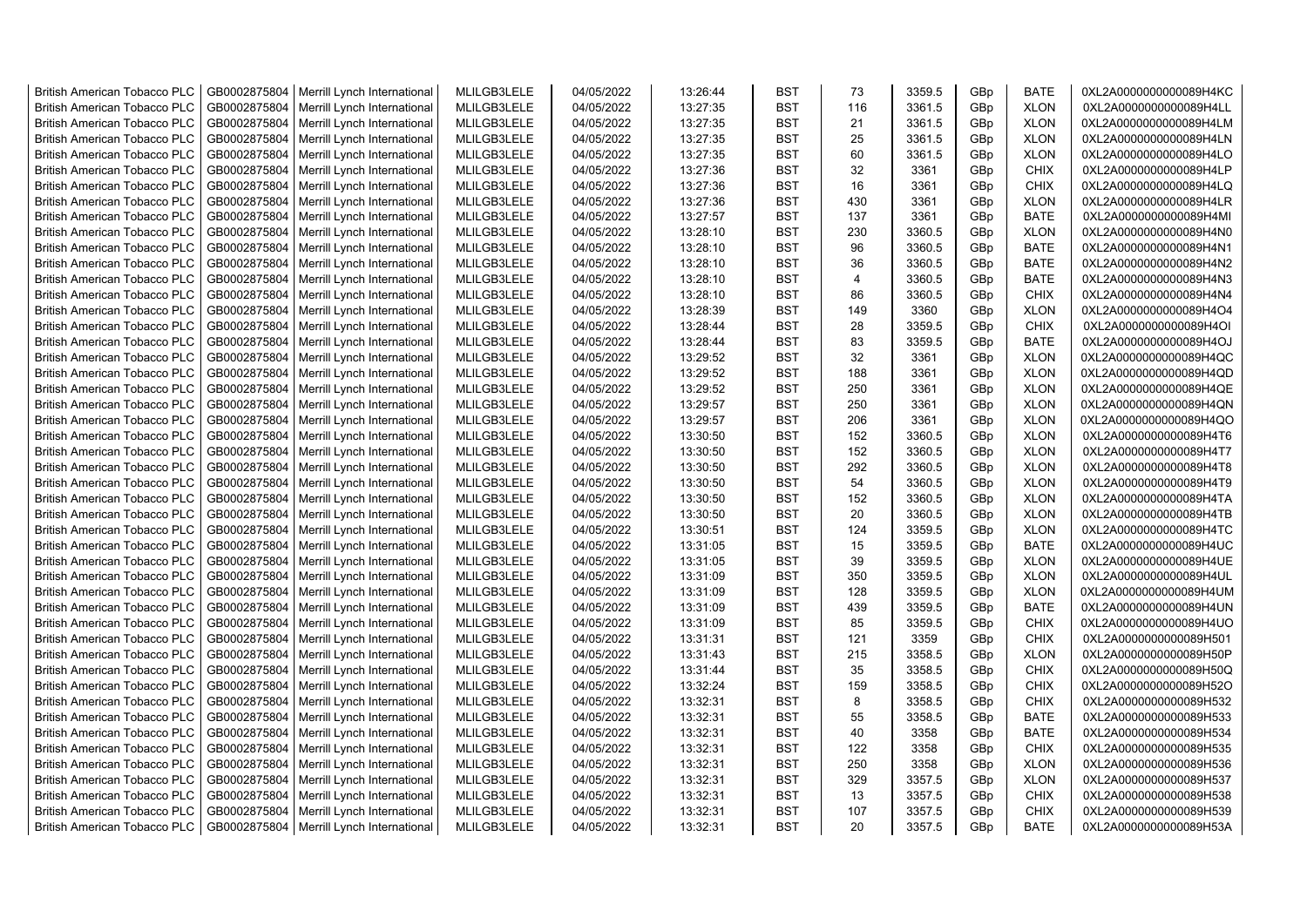| <b>British American Tobacco PLC</b> | GB0002875804 | Merrill Lynch International | MLILGB3LELE | 04/05/2022 | 13:26:44 | <b>BST</b> | 73             | 3359.5 | GBp             | <b>BATE</b> | 0XL2A0000000000089H4KC |
|-------------------------------------|--------------|-----------------------------|-------------|------------|----------|------------|----------------|--------|-----------------|-------------|------------------------|
| <b>British American Tobacco PLC</b> | GB0002875804 | Merrill Lynch International | MLILGB3LELE | 04/05/2022 | 13:27:35 | <b>BST</b> | 116            | 3361.5 | GBp             | <b>XLON</b> | 0XL2A0000000000089H4LL |
| <b>British American Tobacco PLC</b> | GB0002875804 | Merrill Lynch International | MLILGB3LELE | 04/05/2022 | 13:27:35 | <b>BST</b> | 21             | 3361.5 | GBp             | <b>XLON</b> | 0XL2A0000000000089H4LM |
| <b>British American Tobacco PLC</b> | GB0002875804 | Merrill Lynch International | MLILGB3LELE | 04/05/2022 | 13:27:35 | <b>BST</b> | 25             | 3361.5 | GBp             | <b>XLON</b> | 0XL2A0000000000089H4LN |
| <b>British American Tobacco PLC</b> | GB0002875804 | Merrill Lynch International | MLILGB3LELE | 04/05/2022 | 13:27:35 | <b>BST</b> | 60             | 3361.5 | GBp             | <b>XLON</b> | 0XL2A0000000000089H4LO |
| <b>British American Tobacco PLC</b> | GB0002875804 | Merrill Lynch International | MLILGB3LELE | 04/05/2022 | 13:27:36 | <b>BST</b> | 32             | 3361   | GBp             | <b>CHIX</b> | 0XL2A0000000000089H4LP |
| <b>British American Tobacco PLC</b> | GB0002875804 | Merrill Lynch International | MLILGB3LELE | 04/05/2022 | 13:27:36 | <b>BST</b> | 16             | 3361   | GBp             | CHIX        | 0XL2A0000000000089H4LQ |
| <b>British American Tobacco PLC</b> | GB0002875804 | Merrill Lynch International | MLILGB3LELE | 04/05/2022 | 13:27:36 | <b>BST</b> | 430            | 3361   | GBp             | <b>XLON</b> | 0XL2A0000000000089H4LR |
| <b>British American Tobacco PLC</b> | GB0002875804 | Merrill Lynch International | MLILGB3LELE | 04/05/2022 | 13:27:57 | <b>BST</b> | 137            | 3361   | GBp             | <b>BATE</b> | 0XL2A0000000000089H4MI |
| <b>British American Tobacco PLC</b> | GB0002875804 | Merrill Lynch International | MLILGB3LELE | 04/05/2022 | 13:28:10 | <b>BST</b> | 230            | 3360.5 | GBp             | <b>XLON</b> | 0XL2A0000000000089H4N0 |
| <b>British American Tobacco PLC</b> | GB0002875804 | Merrill Lynch International | MLILGB3LELE | 04/05/2022 | 13:28:10 | <b>BST</b> | 96             | 3360.5 | GBp             | <b>BATE</b> | 0XL2A0000000000089H4N1 |
| <b>British American Tobacco PLC</b> | GB0002875804 | Merrill Lynch International | MLILGB3LELE | 04/05/2022 | 13:28:10 | <b>BST</b> | 36             | 3360.5 | GBp             | <b>BATE</b> | 0XL2A0000000000089H4N2 |
| British American Tobacco PLC        | GB0002875804 | Merrill Lynch International | MLILGB3LELE | 04/05/2022 | 13:28:10 | <b>BST</b> | $\overline{4}$ | 3360.5 | GBp             | <b>BATE</b> | 0XL2A0000000000089H4N3 |
| <b>British American Tobacco PLC</b> | GB0002875804 | Merrill Lynch International | MLILGB3LELE | 04/05/2022 | 13:28:10 | <b>BST</b> | 86             | 3360.5 | GBp             | <b>CHIX</b> | 0XL2A0000000000089H4N4 |
| <b>British American Tobacco PLC</b> | GB0002875804 | Merrill Lynch International | MLILGB3LELE | 04/05/2022 | 13:28:39 | <b>BST</b> | 149            | 3360   | GBp             | <b>XLON</b> | 0XL2A0000000000089H4O4 |
| <b>British American Tobacco PLC</b> | GB0002875804 | Merrill Lynch International | MLILGB3LELE | 04/05/2022 | 13:28:44 | <b>BST</b> | 28             | 3359.5 | GBp             | <b>CHIX</b> | 0XL2A0000000000089H4OI |
| <b>British American Tobacco PLC</b> | GB0002875804 | Merrill Lynch International | MLILGB3LELE | 04/05/2022 | 13:28:44 | <b>BST</b> | 83             | 3359.5 | GBp             | BATE        | 0XL2A0000000000089H4OJ |
| <b>British American Tobacco PLC</b> | GB0002875804 | Merrill Lynch International | MLILGB3LELE | 04/05/2022 | 13:29:52 | <b>BST</b> | 32             | 3361   | GBp             | <b>XLON</b> | 0XL2A0000000000089H4QC |
| <b>British American Tobacco PLC</b> | GB0002875804 | Merrill Lynch International | MLILGB3LELE | 04/05/2022 | 13:29:52 | <b>BST</b> | 188            | 3361   | GBp             | <b>XLON</b> | 0XL2A0000000000089H4QD |
| <b>British American Tobacco PLC</b> | GB0002875804 | Merrill Lynch International | MLILGB3LELE | 04/05/2022 | 13:29:52 | <b>BST</b> | 250            | 3361   | GBp             | <b>XLON</b> | 0XL2A0000000000089H4QE |
| <b>British American Tobacco PLC</b> | GB0002875804 | Merrill Lynch International | MLILGB3LELE | 04/05/2022 | 13:29:57 | <b>BST</b> | 250            | 3361   | GBp             | <b>XLON</b> | 0XL2A0000000000089H4QN |
| <b>British American Tobacco PLC</b> | GB0002875804 | Merrill Lynch International | MLILGB3LELE | 04/05/2022 | 13:29:57 | <b>BST</b> | 206            | 3361   | GBp             | <b>XLON</b> | 0XL2A0000000000089H4QO |
| <b>British American Tobacco PLC</b> | GB0002875804 | Merrill Lynch International | MLILGB3LELE | 04/05/2022 | 13:30:50 | <b>BST</b> | 152            | 3360.5 | GBp             | <b>XLON</b> | 0XL2A0000000000089H4T6 |
| <b>British American Tobacco PLC</b> | GB0002875804 | Merrill Lynch International | MLILGB3LELE | 04/05/2022 | 13:30:50 | <b>BST</b> | 152            | 3360.5 | GBp             | <b>XLON</b> | 0XL2A0000000000089H4T7 |
| <b>British American Tobacco PLC</b> | GB0002875804 | Merrill Lynch International | MLILGB3LELE | 04/05/2022 | 13:30:50 | <b>BST</b> | 292            | 3360.5 | GBp             | <b>XLON</b> | 0XL2A0000000000089H4T8 |
| <b>British American Tobacco PLC</b> | GB0002875804 | Merrill Lynch International | MLILGB3LELE | 04/05/2022 | 13:30:50 | <b>BST</b> | 54             | 3360.5 | GBp             | <b>XLON</b> | 0XL2A0000000000089H4T9 |
| <b>British American Tobacco PLC</b> | GB0002875804 | Merrill Lynch International | MLILGB3LELE | 04/05/2022 | 13:30:50 | <b>BST</b> | 152            | 3360.5 | GBp             | <b>XLON</b> | 0XL2A0000000000089H4TA |
| British American Tobacco PLC        | GB0002875804 | Merrill Lynch International | MLILGB3LELE | 04/05/2022 | 13:30:50 | <b>BST</b> | 20             | 3360.5 | GBp             | <b>XLON</b> | 0XL2A0000000000089H4TB |
| <b>British American Tobacco PLC</b> | GB0002875804 | Merrill Lynch International | MLILGB3LELE | 04/05/2022 | 13:30:51 | <b>BST</b> | 124            | 3359.5 | GBp             | <b>XLON</b> | 0XL2A0000000000089H4TC |
| <b>British American Tobacco PLC</b> | GB0002875804 | Merrill Lynch International | MLILGB3LELE | 04/05/2022 | 13:31:05 | <b>BST</b> | 15             | 3359.5 | GBp             | <b>BATE</b> | 0XL2A0000000000089H4UC |
| <b>British American Tobacco PLC</b> | GB0002875804 | Merrill Lynch International | MLILGB3LELE | 04/05/2022 | 13:31:05 | <b>BST</b> | 39             | 3359.5 | GBp             | <b>XLON</b> | 0XL2A0000000000089H4UE |
| <b>British American Tobacco PLC</b> | GB0002875804 | Merrill Lynch International | MLILGB3LELE | 04/05/2022 | 13:31:09 | <b>BST</b> | 350            | 3359.5 | GBp             | <b>XLON</b> | 0XL2A0000000000089H4UL |
| <b>British American Tobacco PLC</b> | GB0002875804 | Merrill Lynch International | MLILGB3LELE | 04/05/2022 | 13:31:09 | <b>BST</b> | 128            | 3359.5 | GBp             | <b>XLON</b> | 0XL2A0000000000089H4UM |
| <b>British American Tobacco PLC</b> | GB0002875804 | Merrill Lynch International | MLILGB3LELE | 04/05/2022 | 13:31:09 | <b>BST</b> | 439            | 3359.5 | GBp             | <b>BATE</b> | 0XL2A0000000000089H4UN |
| <b>British American Tobacco PLC</b> | GB0002875804 | Merrill Lynch International | MLILGB3LELE | 04/05/2022 | 13:31:09 | <b>BST</b> | 85             | 3359.5 | GBp             | <b>CHIX</b> | 0XL2A0000000000089H4UO |
| <b>British American Tobacco PLC</b> | GB0002875804 | Merrill Lynch International | MLILGB3LELE | 04/05/2022 | 13:31:31 | <b>BST</b> | 121            | 3359   | GBp             | <b>CHIX</b> | 0XL2A0000000000089H501 |
| <b>British American Tobacco PLC</b> | GB0002875804 | Merrill Lynch International | MLILGB3LELE | 04/05/2022 | 13:31:43 | <b>BST</b> | 215            | 3358.5 | GBp             | <b>XLON</b> | 0XL2A0000000000089H50P |
| <b>British American Tobacco PLC</b> | GB0002875804 | Merrill Lynch International | MLILGB3LELE | 04/05/2022 | 13:31:44 | <b>BST</b> | 35             | 3358.5 | GBp             | <b>CHIX</b> | 0XL2A0000000000089H50Q |
| <b>British American Tobacco PLC</b> | GB0002875804 | Merrill Lynch International | MLILGB3LELE | 04/05/2022 | 13:32:24 | <b>BST</b> | 159            | 3358.5 | GBp             | <b>CHIX</b> | 0XL2A0000000000089H52O |
| <b>British American Tobacco PLC</b> | GB0002875804 | Merrill Lynch International | MLILGB3LELE | 04/05/2022 | 13:32:31 | <b>BST</b> | 8              | 3358.5 | GBp             | <b>CHIX</b> | 0XL2A0000000000089H532 |
| <b>British American Tobacco PLC</b> | GB0002875804 | Merrill Lynch International | MLILGB3LELE | 04/05/2022 | 13:32:31 | <b>BST</b> | 55             | 3358.5 | GBp             | BATE        | 0XL2A0000000000089H533 |
| <b>British American Tobacco PLC</b> | GB0002875804 | Merrill Lynch International | MLILGB3LELE | 04/05/2022 | 13:32:31 | <b>BST</b> | 40             | 3358   | GBp             | <b>BATE</b> | 0XL2A0000000000089H534 |
| <b>British American Tobacco PLC</b> | GB0002875804 | Merrill Lynch International | MLILGB3LELE | 04/05/2022 | 13:32:31 | <b>BST</b> | 122            | 3358   | GBp             | <b>CHIX</b> | 0XL2A0000000000089H535 |
| <b>British American Tobacco PLC</b> | GB0002875804 | Merrill Lynch International | MLILGB3LELE | 04/05/2022 | 13:32:31 | <b>BST</b> | 250            | 3358   | GBp             | <b>XLON</b> | 0XL2A0000000000089H536 |
| British American Tobacco PLC        | GB0002875804 | Merrill Lynch International | MLILGB3LELE | 04/05/2022 | 13:32:31 | <b>BST</b> | 329            | 3357.5 | GBp             | <b>XLON</b> | 0XL2A0000000000089H537 |
| <b>British American Tobacco PLC</b> | GB0002875804 | Merrill Lynch International | MLILGB3LELE | 04/05/2022 | 13:32:31 | <b>BST</b> | 13             | 3357.5 | GBp             | <b>CHIX</b> | 0XL2A0000000000089H538 |
| <b>British American Tobacco PLC</b> | GB0002875804 | Merrill Lynch International | MLILGB3LELE | 04/05/2022 | 13:32:31 | <b>BST</b> | 107            | 3357.5 | GBp             | <b>CHIX</b> | 0XL2A0000000000089H539 |
| <b>British American Tobacco PLC</b> | GB0002875804 | Merrill Lynch International | MLILGB3LELE | 04/05/2022 | 13:32:31 | <b>BST</b> | 20             | 3357.5 | GB <sub>p</sub> | <b>BATE</b> | 0XL2A0000000000089H53A |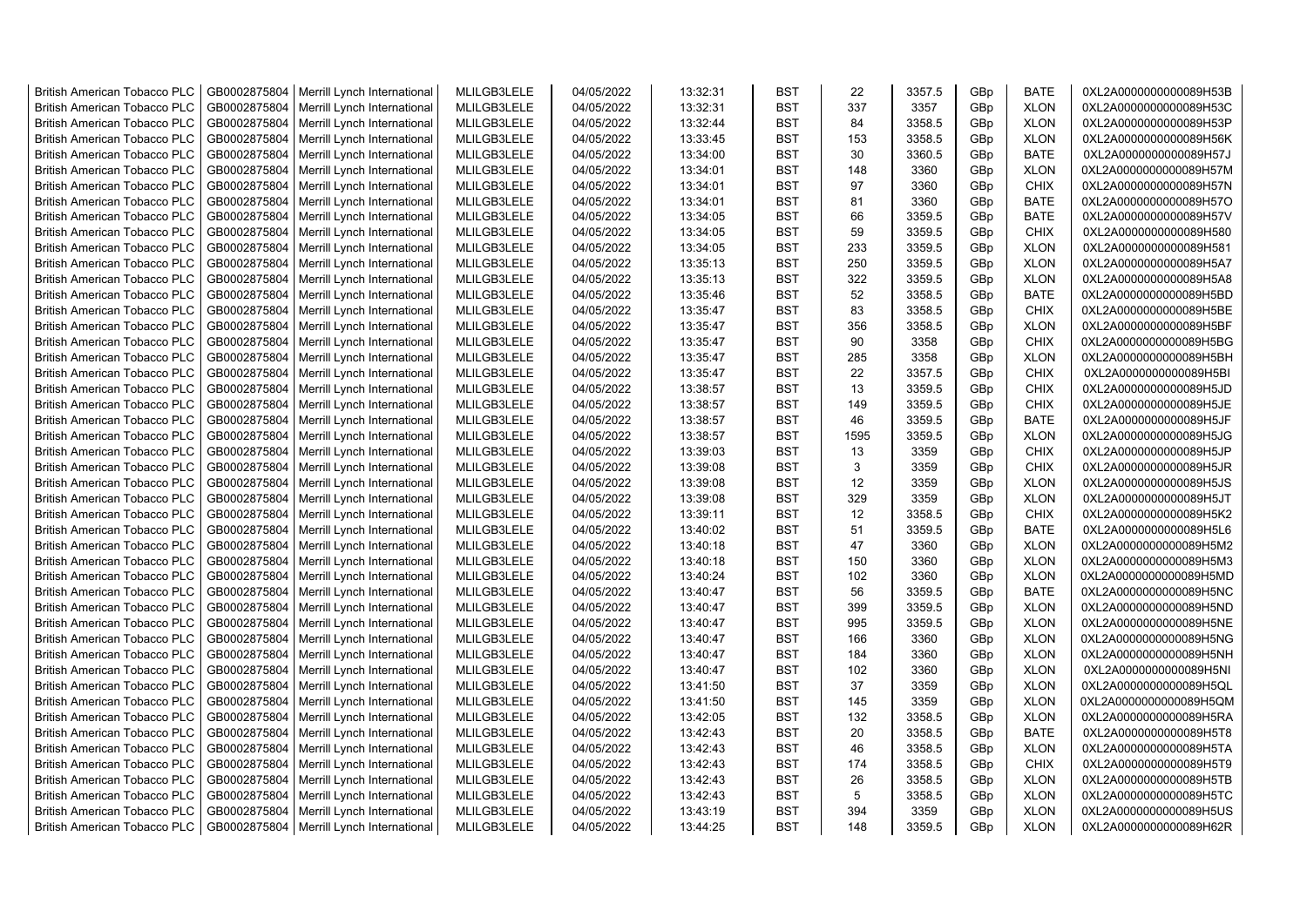| <b>British American Tobacco PLC</b> | GB0002875804 | Merrill Lynch International                                | MLILGB3LELE | 04/05/2022 | 13:32:31 | <b>BST</b> | 22   | 3357.5       | GBp | <b>BATE</b> | 0XL2A0000000000089H53B |
|-------------------------------------|--------------|------------------------------------------------------------|-------------|------------|----------|------------|------|--------------|-----|-------------|------------------------|
| <b>British American Tobacco PLC</b> | GB0002875804 | Merrill Lynch International                                | MLILGB3LELE | 04/05/2022 | 13:32:31 | <b>BST</b> | 337  | 3357         | GBp | <b>XLON</b> | 0XL2A0000000000089H53C |
| <b>British American Tobacco PLC</b> | GB0002875804 | Merrill Lynch International                                | MLILGB3LELE | 04/05/2022 | 13:32:44 | <b>BST</b> | 84   | 3358.5       | GBp | <b>XLON</b> | 0XL2A0000000000089H53P |
| <b>British American Tobacco PLC</b> | GB0002875804 | Merrill Lynch International                                | MLILGB3LELE | 04/05/2022 | 13:33:45 | <b>BST</b> | 153  | 3358.5       | GBp | <b>XLON</b> | 0XL2A0000000000089H56K |
| <b>British American Tobacco PLC</b> | GB0002875804 | Merrill Lynch International                                | MLILGB3LELE | 04/05/2022 | 13:34:00 | <b>BST</b> | 30   | 3360.5       | GBp | <b>BATE</b> | 0XL2A0000000000089H57J |
| <b>British American Tobacco PLC</b> | GB0002875804 | Merrill Lynch International                                | MLILGB3LELE | 04/05/2022 | 13:34:01 | <b>BST</b> | 148  | 3360         | GBp | <b>XLON</b> | 0XL2A0000000000089H57M |
| <b>British American Tobacco PLC</b> | GB0002875804 | Merrill Lynch International                                | MLILGB3LELE | 04/05/2022 | 13:34:01 | <b>BST</b> | 97   | 3360         | GBp | <b>CHIX</b> | 0XL2A0000000000089H57N |
| <b>British American Tobacco PLC</b> | GB0002875804 | Merrill Lynch International                                | MLILGB3LELE | 04/05/2022 | 13:34:01 | <b>BST</b> | 81   | 3360         | GBp | <b>BATE</b> | 0XL2A0000000000089H57O |
| <b>British American Tobacco PLC</b> | GB0002875804 | Merrill Lynch International                                | MLILGB3LELE | 04/05/2022 | 13:34:05 | <b>BST</b> | 66   | 3359.5       | GBp | <b>BATE</b> | 0XL2A0000000000089H57V |
| <b>British American Tobacco PLC</b> | GB0002875804 | Merrill Lynch International                                | MLILGB3LELE | 04/05/2022 | 13:34:05 | <b>BST</b> | 59   | 3359.5       | GBp | <b>CHIX</b> | 0XL2A0000000000089H580 |
| <b>British American Tobacco PLC</b> | GB0002875804 | Merrill Lynch International                                | MLILGB3LELE | 04/05/2022 | 13:34:05 | <b>BST</b> | 233  | 3359.5       | GBp | <b>XLON</b> | 0XL2A0000000000089H581 |
| <b>British American Tobacco PLC</b> | GB0002875804 | Merrill Lynch International                                | MLILGB3LELE | 04/05/2022 | 13:35:13 | <b>BST</b> | 250  | 3359.5       | GBp | <b>XLON</b> | 0XL2A0000000000089H5A7 |
| <b>British American Tobacco PLC</b> | GB0002875804 | Merrill Lynch International                                | MLILGB3LELE | 04/05/2022 | 13:35:13 | <b>BST</b> | 322  | 3359.5       | GBp | <b>XLON</b> | 0XL2A0000000000089H5A8 |
| <b>British American Tobacco PLC</b> | GB0002875804 | Merrill Lynch International                                | MLILGB3LELE | 04/05/2022 | 13:35:46 | <b>BST</b> | 52   | 3358.5       | GBp | <b>BATE</b> | 0XL2A0000000000089H5BD |
| <b>British American Tobacco PLC</b> | GB0002875804 | Merrill Lynch International                                | MLILGB3LELE | 04/05/2022 | 13:35:47 | <b>BST</b> | 83   | 3358.5       | GBp | <b>CHIX</b> | 0XL2A0000000000089H5BE |
| <b>British American Tobacco PLC</b> | GB0002875804 | Merrill Lynch International                                | MLILGB3LELE | 04/05/2022 | 13:35:47 | <b>BST</b> | 356  | 3358.5       | GBp | <b>XLON</b> | 0XL2A0000000000089H5BF |
| <b>British American Tobacco PLC</b> | GB0002875804 | Merrill Lynch International                                | MLILGB3LELE | 04/05/2022 | 13:35:47 | <b>BST</b> | 90   | 3358         | GBp | <b>CHIX</b> | 0XL2A0000000000089H5BG |
| <b>British American Tobacco PLC</b> | GB0002875804 | Merrill Lynch International                                | MLILGB3LELE | 04/05/2022 | 13:35:47 | <b>BST</b> | 285  | 3358         | GBp | <b>XLON</b> | 0XL2A0000000000089H5BH |
| <b>British American Tobacco PLC</b> | GB0002875804 | Merrill Lynch International                                | MLILGB3LELE | 04/05/2022 | 13:35:47 | <b>BST</b> | 22   | 3357.5       | GBp | <b>CHIX</b> | 0XL2A0000000000089H5BI |
| <b>British American Tobacco PLC</b> | GB0002875804 | Merrill Lynch International                                | MLILGB3LELE | 04/05/2022 | 13:38:57 | <b>BST</b> | 13   | 3359.5       | GBp | CHIX        | 0XL2A0000000000089H5JD |
| <b>British American Tobacco PLC</b> | GB0002875804 | Merrill Lynch International                                | MLILGB3LELE | 04/05/2022 | 13:38:57 | <b>BST</b> | 149  | 3359.5       | GBp | CHIX        | 0XL2A0000000000089H5JE |
| <b>British American Tobacco PLC</b> | GB0002875804 | Merrill Lynch International                                | MLILGB3LELE | 04/05/2022 | 13:38:57 | <b>BST</b> | 46   | 3359.5       | GBp | <b>BATE</b> | 0XL2A0000000000089H5JF |
| <b>British American Tobacco PLC</b> | GB0002875804 | Merrill Lynch International                                | MLILGB3LELE | 04/05/2022 | 13:38:57 | <b>BST</b> | 1595 | 3359.5       | GBp | <b>XLON</b> | 0XL2A0000000000089H5JG |
| <b>British American Tobacco PLC</b> | GB0002875804 | Merrill Lynch International                                | MLILGB3LELE | 04/05/2022 | 13:39:03 | <b>BST</b> | 13   | 3359         | GBp | CHIX        | 0XL2A0000000000089H5JP |
| <b>British American Tobacco PLC</b> | GB0002875804 | Merrill Lynch International                                | MLILGB3LELE | 04/05/2022 | 13:39:08 | <b>BST</b> | 3    | 3359         | GBp | <b>CHIX</b> | 0XL2A0000000000089H5JR |
| <b>British American Tobacco PLC</b> | GB0002875804 | Merrill Lynch International                                | MLILGB3LELE | 04/05/2022 | 13:39:08 | <b>BST</b> | 12   | 3359         | GBp | <b>XLON</b> | 0XL2A0000000000089H5JS |
| <b>British American Tobacco PLC</b> | GB0002875804 | Merrill Lynch International                                | MLILGB3LELE | 04/05/2022 | 13:39:08 | <b>BST</b> | 329  | 3359         | GBp | <b>XLON</b> | 0XL2A0000000000089H5JT |
| <b>British American Tobacco PLC</b> | GB0002875804 | Merrill Lynch International                                | MLILGB3LELE | 04/05/2022 | 13:39:11 | <b>BST</b> | 12   | 3358.5       | GBp | <b>CHIX</b> | 0XL2A0000000000089H5K2 |
| <b>British American Tobacco PLC</b> | GB0002875804 | Merrill Lynch International                                | MLILGB3LELE | 04/05/2022 | 13:40:02 | <b>BST</b> | 51   | 3359.5       | GBp | <b>BATE</b> | 0XL2A0000000000089H5L6 |
| <b>British American Tobacco PLC</b> | GB0002875804 | Merrill Lynch International                                | MLILGB3LELE | 04/05/2022 | 13:40:18 | <b>BST</b> | 47   | 3360         | GBp | <b>XLON</b> | 0XL2A0000000000089H5M2 |
| <b>British American Tobacco PLC</b> | GB0002875804 | Merrill Lynch International                                | MLILGB3LELE | 04/05/2022 | 13:40:18 | <b>BST</b> | 150  | 3360         | GBp | <b>XLON</b> | 0XL2A0000000000089H5M3 |
| British American Tobacco PLC        | GB0002875804 |                                                            | MLILGB3LELE | 04/05/2022 | 13:40:24 | <b>BST</b> | 102  | 3360         | GBp | <b>XLON</b> | 0XL2A0000000000089H5MD |
| <b>British American Tobacco PLC</b> | GB0002875804 | Merrill Lynch International<br>Merrill Lynch International | MLILGB3LELE | 04/05/2022 | 13:40:47 | <b>BST</b> | 56   | 3359.5       | GBp | <b>BATE</b> | 0XL2A0000000000089H5NC |
|                                     |              |                                                            |             |            |          | <b>BST</b> | 399  |              |     |             |                        |
| <b>British American Tobacco PLC</b> | GB0002875804 | Merrill Lynch International                                | MLILGB3LELE | 04/05/2022 | 13:40:47 | <b>BST</b> | 995  | 3359.5       | GBp | <b>XLON</b> | 0XL2A0000000000089H5ND |
| <b>British American Tobacco PLC</b> | GB0002875804 | Merrill Lynch International                                | MLILGB3LELE | 04/05/2022 | 13:40:47 | <b>BST</b> | 166  | 3359.5       | GBp | <b>XLON</b> | 0XL2A0000000000089H5NE |
| <b>British American Tobacco PLC</b> | GB0002875804 | Merrill Lynch International                                | MLILGB3LELE | 04/05/2022 | 13:40:47 |            |      | 3360         | GBp | <b>XLON</b> | 0XL2A0000000000089H5NG |
| <b>British American Tobacco PLC</b> | GB0002875804 | Merrill Lynch International                                | MLILGB3LELE | 04/05/2022 | 13:40:47 | <b>BST</b> | 184  | 3360         | GBp | <b>XLON</b> | 0XL2A0000000000089H5NH |
| <b>British American Tobacco PLC</b> | GB0002875804 | Merrill Lynch International                                | MLILGB3LELE | 04/05/2022 | 13:40:47 | <b>BST</b> | 102  | 3360<br>3359 | GBp | <b>XLON</b> | 0XL2A0000000000089H5NI |
| <b>British American Tobacco PLC</b> | GB0002875804 | Merrill Lynch International                                | MLILGB3LELE | 04/05/2022 | 13:41:50 | <b>BST</b> | 37   |              | GBp | <b>XLON</b> | 0XL2A0000000000089H5QL |
| <b>British American Tobacco PLC</b> | GB0002875804 | Merrill Lynch International                                | MLILGB3LELE | 04/05/2022 | 13:41:50 | <b>BST</b> | 145  | 3359         | GBp | <b>XLON</b> | 0XL2A0000000000089H5QM |
| <b>British American Tobacco PLC</b> | GB0002875804 | Merrill Lynch International                                | MLILGB3LELE | 04/05/2022 | 13:42:05 | <b>BST</b> | 132  | 3358.5       | GBp | <b>XLON</b> | 0XL2A0000000000089H5RA |
| <b>British American Tobacco PLC</b> | GB0002875804 | Merrill Lynch International                                | MLILGB3LELE | 04/05/2022 | 13:42:43 | <b>BST</b> | 20   | 3358.5       | GBp | <b>BATE</b> | 0XL2A0000000000089H5T8 |
| <b>British American Tobacco PLC</b> | GB0002875804 | Merrill Lynch International                                | MLILGB3LELE | 04/05/2022 | 13:42:43 | <b>BST</b> | 46   | 3358.5       | GBp | <b>XLON</b> | 0XL2A0000000000089H5TA |
| <b>British American Tobacco PLC</b> | GB0002875804 | Merrill Lynch International                                | MLILGB3LELE | 04/05/2022 | 13:42:43 | <b>BST</b> | 174  | 3358.5       | GBp | <b>CHIX</b> | 0XL2A0000000000089H5T9 |
| <b>British American Tobacco PLC</b> | GB0002875804 | Merrill Lynch International                                | MLILGB3LELE | 04/05/2022 | 13:42:43 | <b>BST</b> | 26   | 3358.5       | GBp | <b>XLON</b> | 0XL2A0000000000089H5TB |
| <b>British American Tobacco PLC</b> | GB0002875804 | Merrill Lynch International                                | MLILGB3LELE | 04/05/2022 | 13:42:43 | <b>BST</b> | 5    | 3358.5       | GBp | <b>XLON</b> | 0XL2A0000000000089H5TC |
| <b>British American Tobacco PLC</b> | GB0002875804 | Merrill Lynch International                                | MLILGB3LELE | 04/05/2022 | 13:43:19 | <b>BST</b> | 394  | 3359         | GBp | <b>XLON</b> | 0XL2A0000000000089H5US |
| <b>British American Tobacco PLC</b> |              | GB0002875804   Merrill Lynch International                 | MLILGB3LELE | 04/05/2022 | 13:44:25 | <b>BST</b> | 148  | 3359.5       | GBp | <b>XLON</b> | 0XL2A0000000000089H62R |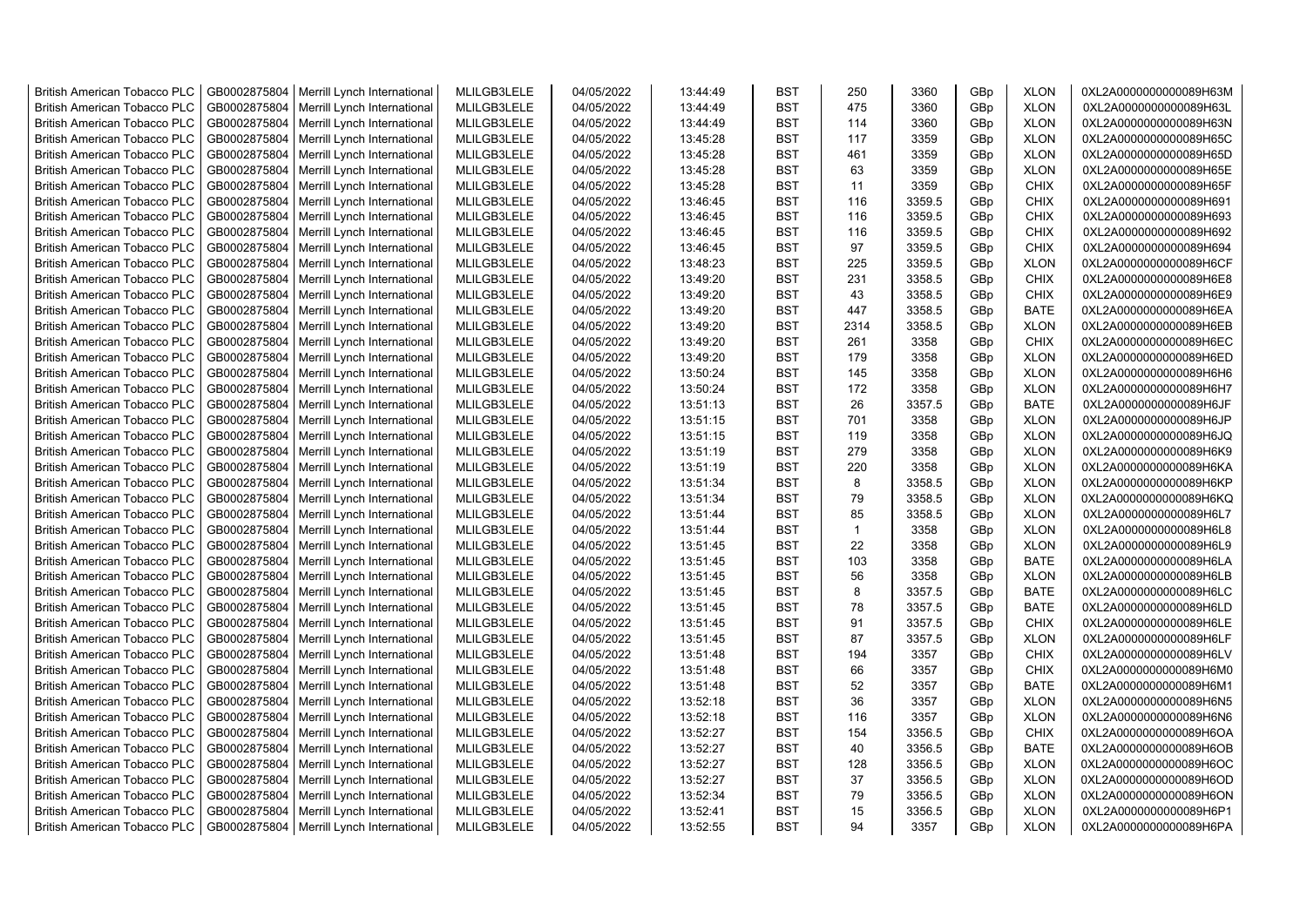| <b>British American Tobacco PLC</b> | GB0002875804 | Merrill Lynch International                | MLILGB3LELE | 04/05/2022 | 13:44:49 | <b>BST</b> | 250          | 3360   | GBp | <b>XLON</b> | 0XL2A0000000000089H63M |
|-------------------------------------|--------------|--------------------------------------------|-------------|------------|----------|------------|--------------|--------|-----|-------------|------------------------|
| <b>British American Tobacco PLC</b> | GB0002875804 | Merrill Lynch International                | MLILGB3LELE | 04/05/2022 | 13:44:49 | <b>BST</b> | 475          | 3360   | GBp | <b>XLON</b> | 0XL2A0000000000089H63L |
| <b>British American Tobacco PLC</b> | GB0002875804 | Merrill Lynch International                | MLILGB3LELE | 04/05/2022 | 13:44:49 | <b>BST</b> | 114          | 3360   | GBp | <b>XLON</b> | 0XL2A0000000000089H63N |
| <b>British American Tobacco PLC</b> | GB0002875804 | Merrill Lynch International                | MLILGB3LELE | 04/05/2022 | 13:45:28 | <b>BST</b> | 117          | 3359   | GBp | <b>XLON</b> | 0XL2A0000000000089H65C |
| <b>British American Tobacco PLC</b> | GB0002875804 | Merrill Lynch International                | MLILGB3LELE | 04/05/2022 | 13:45:28 | <b>BST</b> | 461          | 3359   | GBp | <b>XLON</b> | 0XL2A0000000000089H65D |
| <b>British American Tobacco PLC</b> | GB0002875804 | Merrill Lynch International                | MLILGB3LELE | 04/05/2022 | 13:45:28 | <b>BST</b> | 63           | 3359   | GBp | <b>XLON</b> | 0XL2A0000000000089H65E |
| <b>British American Tobacco PLC</b> | GB0002875804 | Merrill Lynch International                | MLILGB3LELE | 04/05/2022 | 13:45:28 | <b>BST</b> | 11           | 3359   | GBp | CHIX        | 0XL2A0000000000089H65F |
| <b>British American Tobacco PLC</b> | GB0002875804 | Merrill Lynch International                | MLILGB3LELE | 04/05/2022 | 13:46:45 | <b>BST</b> | 116          | 3359.5 | GBp | CHIX        | 0XL2A0000000000089H691 |
| <b>British American Tobacco PLC</b> | GB0002875804 | Merrill Lynch International                | MLILGB3LELE | 04/05/2022 | 13:46:45 | <b>BST</b> | 116          | 3359.5 | GBp | <b>CHIX</b> | 0XL2A0000000000089H693 |
| <b>British American Tobacco PLC</b> | GB0002875804 | Merrill Lynch International                | MLILGB3LELE | 04/05/2022 | 13:46:45 | <b>BST</b> | 116          | 3359.5 | GBp | <b>CHIX</b> | 0XL2A0000000000089H692 |
| <b>British American Tobacco PLC</b> | GB0002875804 | Merrill Lynch International                | MLILGB3LELE | 04/05/2022 | 13:46:45 | <b>BST</b> | 97           | 3359.5 | GBp | <b>CHIX</b> | 0XL2A0000000000089H694 |
| <b>British American Tobacco PLC</b> | GB0002875804 | Merrill Lynch International                | MLILGB3LELE | 04/05/2022 | 13:48:23 | <b>BST</b> | 225          | 3359.5 | GBp | <b>XLON</b> | 0XL2A0000000000089H6CF |
| <b>British American Tobacco PLC</b> | GB0002875804 | Merrill Lynch International                | MLILGB3LELE | 04/05/2022 | 13:49:20 | <b>BST</b> | 231          | 3358.5 | GBp | <b>CHIX</b> | 0XL2A0000000000089H6E8 |
| <b>British American Tobacco PLC</b> | GB0002875804 | Merrill Lynch International                | MLILGB3LELE | 04/05/2022 | 13:49:20 | <b>BST</b> | 43           | 3358.5 | GBp | <b>CHIX</b> | 0XL2A0000000000089H6E9 |
| <b>British American Tobacco PLC</b> | GB0002875804 | Merrill Lynch International                | MLILGB3LELE | 04/05/2022 | 13:49:20 | <b>BST</b> | 447          | 3358.5 | GBp | <b>BATE</b> | 0XL2A0000000000089H6EA |
| <b>British American Tobacco PLC</b> | GB0002875804 | Merrill Lynch International                | MLILGB3LELE | 04/05/2022 | 13:49:20 | <b>BST</b> | 2314         | 3358.5 | GBp | <b>XLON</b> | 0XL2A0000000000089H6EB |
| <b>British American Tobacco PLC</b> | GB0002875804 | Merrill Lynch International                | MLILGB3LELE | 04/05/2022 | 13:49:20 | <b>BST</b> | 261          | 3358   | GBp | <b>CHIX</b> | 0XL2A0000000000089H6EC |
| <b>British American Tobacco PLC</b> | GB0002875804 | Merrill Lynch International                | MLILGB3LELE | 04/05/2022 | 13:49:20 | <b>BST</b> | 179          | 3358   | GBp | <b>XLON</b> | 0XL2A0000000000089H6ED |
| <b>British American Tobacco PLC</b> | GB0002875804 | Merrill Lynch International                | MLILGB3LELE | 04/05/2022 | 13:50:24 | <b>BST</b> | 145          | 3358   | GBp | <b>XLON</b> | 0XL2A0000000000089H6H6 |
| <b>British American Tobacco PLC</b> | GB0002875804 | Merrill Lynch International                | MLILGB3LELE | 04/05/2022 | 13:50:24 | <b>BST</b> | 172          | 3358   | GBp | <b>XLON</b> | 0XL2A0000000000089H6H7 |
| <b>British American Tobacco PLC</b> | GB0002875804 | Merrill Lynch International                | MLILGB3LELE | 04/05/2022 | 13:51:13 | <b>BST</b> | 26           | 3357.5 | GBp | <b>BATE</b> | 0XL2A0000000000089H6JF |
| <b>British American Tobacco PLC</b> | GB0002875804 | Merrill Lynch International                | MLILGB3LELE | 04/05/2022 | 13:51:15 | <b>BST</b> | 701          | 3358   | GBp | <b>XLON</b> | 0XL2A0000000000089H6JP |
| <b>British American Tobacco PLC</b> | GB0002875804 | Merrill Lynch International                | MLILGB3LELE | 04/05/2022 | 13:51:15 | <b>BST</b> | 119          | 3358   | GBp | <b>XLON</b> | 0XL2A0000000000089H6JQ |
| <b>British American Tobacco PLC</b> | GB0002875804 | Merrill Lynch International                | MLILGB3LELE | 04/05/2022 | 13:51:19 | <b>BST</b> | 279          | 3358   | GBp | <b>XLON</b> | 0XL2A0000000000089H6K9 |
| <b>British American Tobacco PLC</b> | GB0002875804 | Merrill Lynch International                | MLILGB3LELE | 04/05/2022 | 13:51:19 | <b>BST</b> | 220          | 3358   | GBp | <b>XLON</b> | 0XL2A0000000000089H6KA |
| <b>British American Tobacco PLC</b> | GB0002875804 | Merrill Lynch International                | MLILGB3LELE | 04/05/2022 | 13:51:34 | <b>BST</b> | 8            | 3358.5 | GBp | <b>XLON</b> | 0XL2A0000000000089H6KP |
| <b>British American Tobacco PLC</b> | GB0002875804 | Merrill Lynch International                | MLILGB3LELE | 04/05/2022 | 13:51:34 | <b>BST</b> | 79           | 3358.5 | GBp | <b>XLON</b> | 0XL2A0000000000089H6KQ |
| <b>British American Tobacco PLC</b> | GB0002875804 | Merrill Lynch International                | MLILGB3LELE | 04/05/2022 | 13:51:44 | <b>BST</b> | 85           | 3358.5 | GBp | <b>XLON</b> | 0XL2A0000000000089H6L7 |
| <b>British American Tobacco PLC</b> | GB0002875804 | Merrill Lynch International                | MLILGB3LELE | 04/05/2022 | 13:51:44 | <b>BST</b> | $\mathbf{1}$ | 3358   | GBp | <b>XLON</b> | 0XL2A0000000000089H6L8 |
| <b>British American Tobacco PLC</b> | GB0002875804 | Merrill Lynch International                | MLILGB3LELE | 04/05/2022 | 13:51:45 | <b>BST</b> | 22           | 3358   | GBp | <b>XLON</b> | 0XL2A0000000000089H6L9 |
| <b>British American Tobacco PLC</b> | GB0002875804 | Merrill Lynch International                | MLILGB3LELE | 04/05/2022 | 13:51:45 | <b>BST</b> | 103          | 3358   | GBp | <b>BATE</b> | 0XL2A0000000000089H6LA |
| British American Tobacco PLC        | GB0002875804 | Merrill Lynch International                | MLILGB3LELE | 04/05/2022 | 13:51:45 | <b>BST</b> | 56           | 3358   | GBp | <b>XLON</b> | 0XL2A0000000000089H6LB |
| <b>British American Tobacco PLC</b> | GB0002875804 | Merrill Lynch International                | MLILGB3LELE | 04/05/2022 | 13:51:45 | <b>BST</b> | 8            | 3357.5 | GBp | <b>BATE</b> | 0XL2A0000000000089H6LC |
| <b>British American Tobacco PLC</b> | GB0002875804 | Merrill Lynch International                | MLILGB3LELE | 04/05/2022 | 13:51:45 | <b>BST</b> | 78           | 3357.5 | GBp | <b>BATE</b> | 0XL2A0000000000089H6LD |
| <b>British American Tobacco PLC</b> | GB0002875804 | Merrill Lynch International                | MLILGB3LELE | 04/05/2022 | 13:51:45 | <b>BST</b> | 91           | 3357.5 | GBp | <b>CHIX</b> | 0XL2A0000000000089H6LE |
| <b>British American Tobacco PLC</b> | GB0002875804 | Merrill Lynch International                | MLILGB3LELE | 04/05/2022 | 13:51:45 | <b>BST</b> | 87           | 3357.5 | GBp | <b>XLON</b> | 0XL2A0000000000089H6LF |
| <b>British American Tobacco PLC</b> | GB0002875804 | Merrill Lynch International                | MLILGB3LELE | 04/05/2022 | 13:51:48 | <b>BST</b> | 194          | 3357   | GBp | <b>CHIX</b> | 0XL2A0000000000089H6LV |
| <b>British American Tobacco PLC</b> | GB0002875804 | Merrill Lynch International                | MLILGB3LELE | 04/05/2022 | 13:51:48 | <b>BST</b> | 66           | 3357   | GBp | CHIX        | 0XL2A0000000000089H6M0 |
| <b>British American Tobacco PLC</b> | GB0002875804 | Merrill Lynch International                | MLILGB3LELE | 04/05/2022 | 13:51:48 | <b>BST</b> | 52           | 3357   | GBp | <b>BATE</b> | 0XL2A0000000000089H6M1 |
| <b>British American Tobacco PLC</b> | GB0002875804 | Merrill Lynch International                | MLILGB3LELE | 04/05/2022 | 13:52:18 | <b>BST</b> | 36           | 3357   | GBp | <b>XLON</b> | 0XL2A0000000000089H6N5 |
| <b>British American Tobacco PLC</b> | GB0002875804 | Merrill Lynch International                | MLILGB3LELE | 04/05/2022 | 13:52:18 | <b>BST</b> | 116          | 3357   | GBp | <b>XLON</b> | 0XL2A0000000000089H6N6 |
| <b>British American Tobacco PLC</b> | GB0002875804 | Merrill Lynch International                | MLILGB3LELE | 04/05/2022 | 13:52:27 | <b>BST</b> | 154          | 3356.5 | GBp | <b>CHIX</b> | 0XL2A0000000000089H6OA |
| <b>British American Tobacco PLC</b> | GB0002875804 | Merrill Lynch International                | MLILGB3LELE | 04/05/2022 | 13:52:27 | <b>BST</b> | 40           | 3356.5 | GBp | <b>BATE</b> | 0XL2A0000000000089H6OB |
| <b>British American Tobacco PLC</b> | GB0002875804 | Merrill Lynch International                | MLILGB3LELE | 04/05/2022 | 13:52:27 | <b>BST</b> | 128          | 3356.5 | GBp | <b>XLON</b> | 0XL2A0000000000089H6OC |
| <b>British American Tobacco PLC</b> | GB0002875804 | Merrill Lynch International                | MLILGB3LELE | 04/05/2022 | 13:52:27 | <b>BST</b> | 37           | 3356.5 | GBp | <b>XLON</b> | 0XL2A0000000000089H6OD |
| <b>British American Tobacco PLC</b> | GB0002875804 | Merrill Lynch International                | MLILGB3LELE | 04/05/2022 | 13:52:34 | <b>BST</b> | 79           | 3356.5 | GBp | <b>XLON</b> | 0XL2A0000000000089H6ON |
| <b>British American Tobacco PLC</b> | GB0002875804 | Merrill Lynch International                | MLILGB3LELE | 04/05/2022 | 13:52:41 | <b>BST</b> | 15           | 3356.5 | GBp | <b>XLON</b> | 0XL2A0000000000089H6P1 |
| <b>British American Tobacco PLC</b> |              | GB0002875804   Merrill Lynch International | MLILGB3LELE | 04/05/2022 | 13:52:55 | <b>BST</b> | 94           | 3357   | GBp | <b>XLON</b> | 0XL2A0000000000089H6PA |
|                                     |              |                                            |             |            |          |            |              |        |     |             |                        |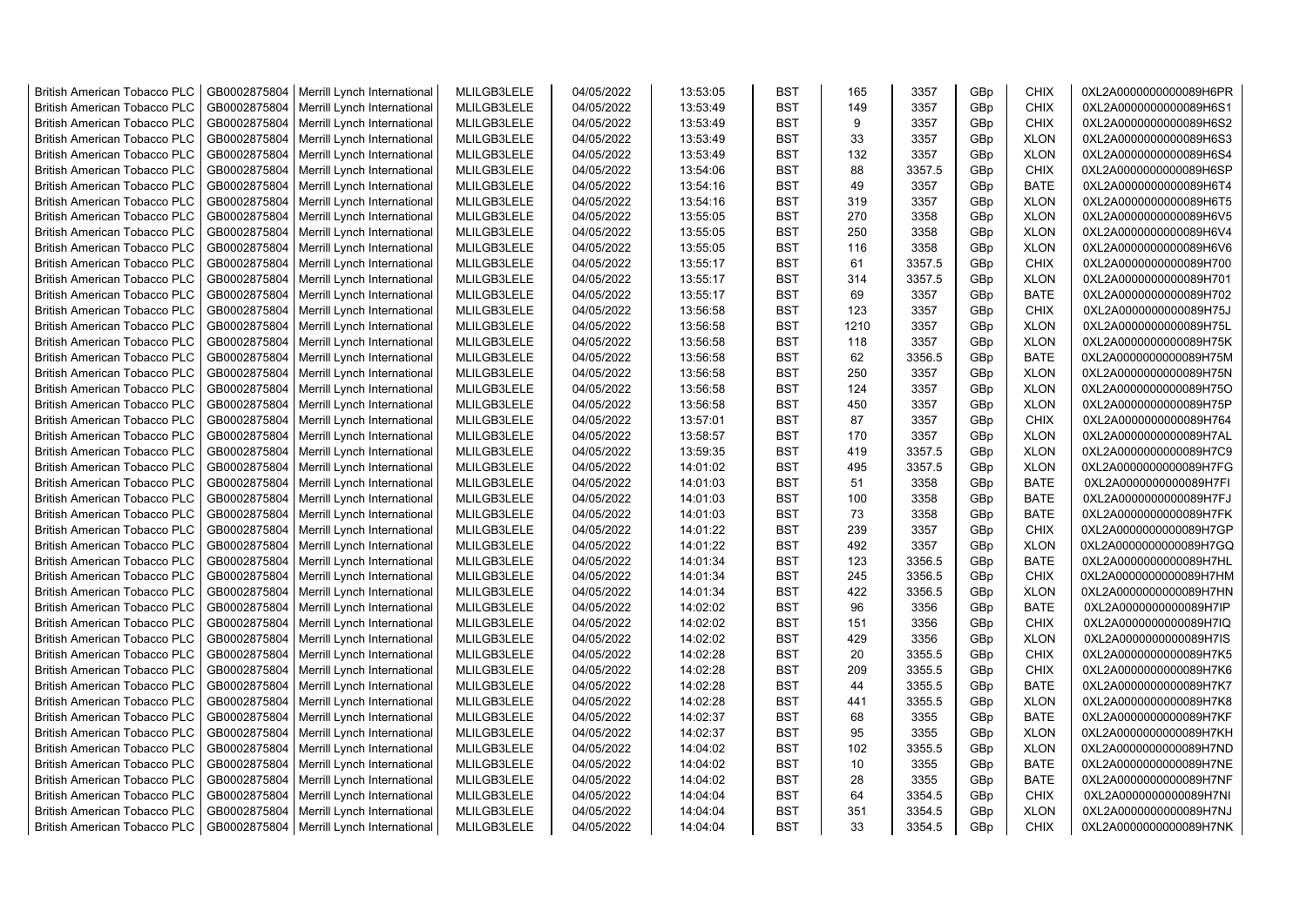| <b>British American Tobacco PLC</b> | GB0002875804 | Merrill Lynch International                | MLILGB3LELE | 04/05/2022 | 13:53:05 | <b>BST</b> | 165  | 3357   | GBp | CHIX        | 0XL2A0000000000089H6PR |
|-------------------------------------|--------------|--------------------------------------------|-------------|------------|----------|------------|------|--------|-----|-------------|------------------------|
| <b>British American Tobacco PLC</b> | GB0002875804 | Merrill Lynch International                | MLILGB3LELE | 04/05/2022 | 13:53:49 | <b>BST</b> | 149  | 3357   | GBp | <b>CHIX</b> | 0XL2A0000000000089H6S1 |
| <b>British American Tobacco PLC</b> | GB0002875804 | Merrill Lynch International                | MLILGB3LELE | 04/05/2022 | 13:53:49 | <b>BST</b> | 9    | 3357   | GBp | <b>CHIX</b> | 0XL2A0000000000089H6S2 |
| <b>British American Tobacco PLC</b> | GB0002875804 | Merrill Lynch International                | MLILGB3LELE | 04/05/2022 | 13:53:49 | <b>BST</b> | 33   | 3357   | GBp | <b>XLON</b> | 0XL2A0000000000089H6S3 |
| <b>British American Tobacco PLC</b> | GB0002875804 | Merrill Lynch International                | MLILGB3LELE | 04/05/2022 | 13:53:49 | <b>BST</b> | 132  | 3357   | GBp | <b>XLON</b> | 0XL2A0000000000089H6S4 |
| <b>British American Tobacco PLC</b> | GB0002875804 | Merrill Lynch International                | MLILGB3LELE | 04/05/2022 | 13:54:06 | <b>BST</b> | 88   | 3357.5 | GBp | <b>CHIX</b> | 0XL2A0000000000089H6SP |
| <b>British American Tobacco PLC</b> | GB0002875804 | Merrill Lynch International                | MLILGB3LELE | 04/05/2022 | 13:54:16 | <b>BST</b> | 49   | 3357   | GBp | <b>BATE</b> | 0XL2A0000000000089H6T4 |
| <b>British American Tobacco PLC</b> | GB0002875804 | Merrill Lynch International                | MLILGB3LELE | 04/05/2022 | 13:54:16 | <b>BST</b> | 319  | 3357   | GBp | <b>XLON</b> | 0XL2A0000000000089H6T5 |
| <b>British American Tobacco PLC</b> | GB0002875804 | Merrill Lynch International                | MLILGB3LELE | 04/05/2022 | 13:55:05 | <b>BST</b> | 270  | 3358   | GBp | <b>XLON</b> | 0XL2A0000000000089H6V5 |
| <b>British American Tobacco PLC</b> | GB0002875804 | Merrill Lynch International                | MLILGB3LELE | 04/05/2022 | 13:55:05 | <b>BST</b> | 250  | 3358   | GBp | <b>XLON</b> | 0XL2A0000000000089H6V4 |
| <b>British American Tobacco PLC</b> | GB0002875804 | Merrill Lynch International                | MLILGB3LELE | 04/05/2022 | 13:55:05 | <b>BST</b> | 116  | 3358   | GBp | <b>XLON</b> | 0XL2A0000000000089H6V6 |
| <b>British American Tobacco PLC</b> | GB0002875804 | Merrill Lynch International                | MLILGB3LELE | 04/05/2022 | 13:55:17 | <b>BST</b> | 61   | 3357.5 | GBp | <b>CHIX</b> | 0XL2A0000000000089H700 |
| <b>British American Tobacco PLC</b> | GB0002875804 | Merrill Lynch International                | MLILGB3LELE | 04/05/2022 | 13:55:17 | <b>BST</b> | 314  | 3357.5 | GBp | <b>XLON</b> | 0XL2A0000000000089H701 |
| <b>British American Tobacco PLC</b> | GB0002875804 | Merrill Lynch International                | MLILGB3LELE | 04/05/2022 | 13:55:17 | <b>BST</b> | 69   | 3357   | GBp | <b>BATE</b> | 0XL2A0000000000089H702 |
|                                     |              |                                            | MLILGB3LELE |            |          | <b>BST</b> | 123  |        |     | <b>CHIX</b> |                        |
| <b>British American Tobacco PLC</b> | GB0002875804 | Merrill Lynch International                |             | 04/05/2022 | 13:56:58 |            |      | 3357   | GBp |             | 0XL2A0000000000089H75J |
| <b>British American Tobacco PLC</b> | GB0002875804 | Merrill Lynch International                | MLILGB3LELE | 04/05/2022 | 13:56:58 | <b>BST</b> | 1210 | 3357   | GBp | <b>XLON</b> | 0XL2A0000000000089H75L |
| <b>British American Tobacco PLC</b> | GB0002875804 | Merrill Lynch International                | MLILGB3LELE | 04/05/2022 | 13:56:58 | <b>BST</b> | 118  | 3357   | GBp | <b>XLON</b> | 0XL2A0000000000089H75K |
| <b>British American Tobacco PLC</b> | GB0002875804 | Merrill Lynch International                | MLILGB3LELE | 04/05/2022 | 13:56:58 | <b>BST</b> | 62   | 3356.5 | GBp | <b>BATE</b> | 0XL2A0000000000089H75M |
| <b>British American Tobacco PLC</b> | GB0002875804 | Merrill Lynch International                | MLILGB3LELE | 04/05/2022 | 13:56:58 | <b>BST</b> | 250  | 3357   | GBp | <b>XLON</b> | 0XL2A0000000000089H75N |
| <b>British American Tobacco PLC</b> | GB0002875804 | Merrill Lynch International                | MLILGB3LELE | 04/05/2022 | 13:56:58 | <b>BST</b> | 124  | 3357   | GBp | <b>XLON</b> | 0XL2A0000000000089H75O |
| <b>British American Tobacco PLC</b> | GB0002875804 | Merrill Lynch International                | MLILGB3LELE | 04/05/2022 | 13:56:58 | <b>BST</b> | 450  | 3357   | GBp | <b>XLON</b> | 0XL2A0000000000089H75P |
| British American Tobacco PLC        | GB0002875804 | Merrill Lynch International                | MLILGB3LELE | 04/05/2022 | 13:57:01 | <b>BST</b> | 87   | 3357   | GBp | <b>CHIX</b> | 0XL2A0000000000089H764 |
| <b>British American Tobacco PLC</b> | GB0002875804 | Merrill Lynch International                | MLILGB3LELE | 04/05/2022 | 13:58:57 | <b>BST</b> | 170  | 3357   | GBp | <b>XLON</b> | 0XL2A0000000000089H7AL |
| <b>British American Tobacco PLC</b> | GB0002875804 | Merrill Lynch International                | MLILGB3LELE | 04/05/2022 | 13:59:35 | <b>BST</b> | 419  | 3357.5 | GBp | <b>XLON</b> | 0XL2A0000000000089H7C9 |
| <b>British American Tobacco PLC</b> | GB0002875804 | Merrill Lynch International                | MLILGB3LELE | 04/05/2022 | 14:01:02 | <b>BST</b> | 495  | 3357.5 | GBp | <b>XLON</b> | 0XL2A0000000000089H7FG |
| <b>British American Tobacco PLC</b> | GB0002875804 | Merrill Lynch International                | MLILGB3LELE | 04/05/2022 | 14:01:03 | BST        | 51   | 3358   | GBp | <b>BATE</b> | 0XL2A0000000000089H7FI |
| <b>British American Tobacco PLC</b> | GB0002875804 | Merrill Lynch International                | MLILGB3LELE | 04/05/2022 | 14:01:03 | <b>BST</b> | 100  | 3358   | GBp | <b>BATE</b> | 0XL2A0000000000089H7FJ |
| <b>British American Tobacco PLC</b> | GB0002875804 | Merrill Lynch International                | MLILGB3LELE | 04/05/2022 | 14:01:03 | <b>BST</b> | 73   | 3358   | GBp | <b>BATE</b> | 0XL2A0000000000089H7FK |
| <b>British American Tobacco PLC</b> | GB0002875804 | Merrill Lynch International                | MLILGB3LELE | 04/05/2022 | 14:01:22 | <b>BST</b> | 239  | 3357   | GBp | <b>CHIX</b> | 0XL2A0000000000089H7GP |
| <b>British American Tobacco PLC</b> | GB0002875804 | Merrill Lynch International                | MLILGB3LELE | 04/05/2022 | 14:01:22 | <b>BST</b> | 492  | 3357   | GBp | <b>XLON</b> | 0XL2A0000000000089H7GQ |
| <b>British American Tobacco PLC</b> | GB0002875804 | Merrill Lynch International                | MLILGB3LELE | 04/05/2022 | 14:01:34 | <b>BST</b> | 123  | 3356.5 | GBp | <b>BATE</b> | 0XL2A0000000000089H7HL |
| <b>British American Tobacco PLC</b> | GB0002875804 | Merrill Lynch International                | MLILGB3LELE | 04/05/2022 | 14:01:34 | <b>BST</b> | 245  | 3356.5 | GBp | <b>CHIX</b> | 0XL2A0000000000089H7HM |
| <b>British American Tobacco PLC</b> | GB0002875804 | Merrill Lynch International                | MLILGB3LELE | 04/05/2022 | 14:01:34 | <b>BST</b> | 422  | 3356.5 | GBp | <b>XLON</b> | 0XL2A0000000000089H7HN |
| <b>British American Tobacco PLC</b> | GB0002875804 | Merrill Lynch International                | MLILGB3LELE | 04/05/2022 | 14:02:02 | <b>BST</b> | 96   | 3356   | GBp | <b>BATE</b> | 0XL2A0000000000089H7IP |
| <b>British American Tobacco PLC</b> | GB0002875804 | Merrill Lynch International                | MLILGB3LELE | 04/05/2022 | 14:02:02 | <b>BST</b> | 151  | 3356   | GBp | <b>CHIX</b> | 0XL2A0000000000089H7IQ |
| <b>British American Tobacco PLC</b> | GB0002875804 | Merrill Lynch International                | MLILGB3LELE | 04/05/2022 | 14:02:02 | <b>BST</b> | 429  | 3356   | GBp | <b>XLON</b> | 0XL2A0000000000089H7IS |
| <b>British American Tobacco PLC</b> | GB0002875804 | Merrill Lynch International                | MLILGB3LELE | 04/05/2022 | 14:02:28 | <b>BST</b> | 20   | 3355.5 | GBp | <b>CHIX</b> | 0XL2A0000000000089H7K5 |
| <b>British American Tobacco PLC</b> | GB0002875804 | Merrill Lynch International                | MLILGB3LELE | 04/05/2022 | 14:02:28 | <b>BST</b> | 209  | 3355.5 | GBp | CHIX        | 0XL2A0000000000089H7K6 |
| <b>British American Tobacco PLC</b> | GB0002875804 | Merrill Lynch International                | MLILGB3LELE | 04/05/2022 | 14:02:28 | <b>BST</b> | 44   | 3355.5 | GBp | <b>BATE</b> | 0XL2A0000000000089H7K7 |
| <b>British American Tobacco PLC</b> | GB0002875804 | Merrill Lynch International                | MLILGB3LELE | 04/05/2022 | 14:02:28 | <b>BST</b> | 441  | 3355.5 | GBp | <b>XLON</b> | 0XL2A0000000000089H7K8 |
| <b>British American Tobacco PLC</b> | GB0002875804 | Merrill Lynch International                | MLILGB3LELE | 04/05/2022 | 14:02:37 | <b>BST</b> | 68   | 3355   | GBp | <b>BATE</b> | 0XL2A0000000000089H7KF |
| <b>British American Tobacco PLC</b> | GB0002875804 | Merrill Lynch International                | MLILGB3LELE | 04/05/2022 | 14:02:37 | <b>BST</b> | 95   | 3355   | GBp | <b>XLON</b> | 0XL2A0000000000089H7KH |
| <b>British American Tobacco PLC</b> | GB0002875804 | Merrill Lynch International                | MLILGB3LELE | 04/05/2022 | 14:04:02 | <b>BST</b> | 102  | 3355.5 | GBp | <b>XLON</b> | 0XL2A0000000000089H7ND |
| <b>British American Tobacco PLC</b> | GB0002875804 | Merrill Lynch International                | MLILGB3LELE | 04/05/2022 | 14:04:02 | <b>BST</b> | 10   | 3355   | GBp | <b>BATE</b> | 0XL2A0000000000089H7NE |
| <b>British American Tobacco PLC</b> | GB0002875804 | Merrill Lynch International                | MLILGB3LELE | 04/05/2022 | 14:04:02 | <b>BST</b> | 28   | 3355   | GBp | <b>BATE</b> | 0XL2A0000000000089H7NF |
| <b>British American Tobacco PLC</b> | GB0002875804 | Merrill Lynch International                | MLILGB3LELE | 04/05/2022 | 14:04:04 | <b>BST</b> | 64   | 3354.5 | GBp | <b>CHIX</b> | 0XL2A0000000000089H7NI |
| <b>British American Tobacco PLC</b> | GB0002875804 | Merrill Lynch International                | MLILGB3LELE | 04/05/2022 | 14:04:04 | <b>BST</b> | 351  | 3354.5 | GBp | <b>XLON</b> | 0XL2A0000000000089H7NJ |
| <b>British American Tobacco PLC</b> |              | GB0002875804   Merrill Lynch International | MLILGB3LELE | 04/05/2022 | 14:04:04 | <b>BST</b> | 33   | 3354.5 | GBp | <b>CHIX</b> | 0XL2A0000000000089H7NK |
|                                     |              |                                            |             |            |          |            |      |        |     |             |                        |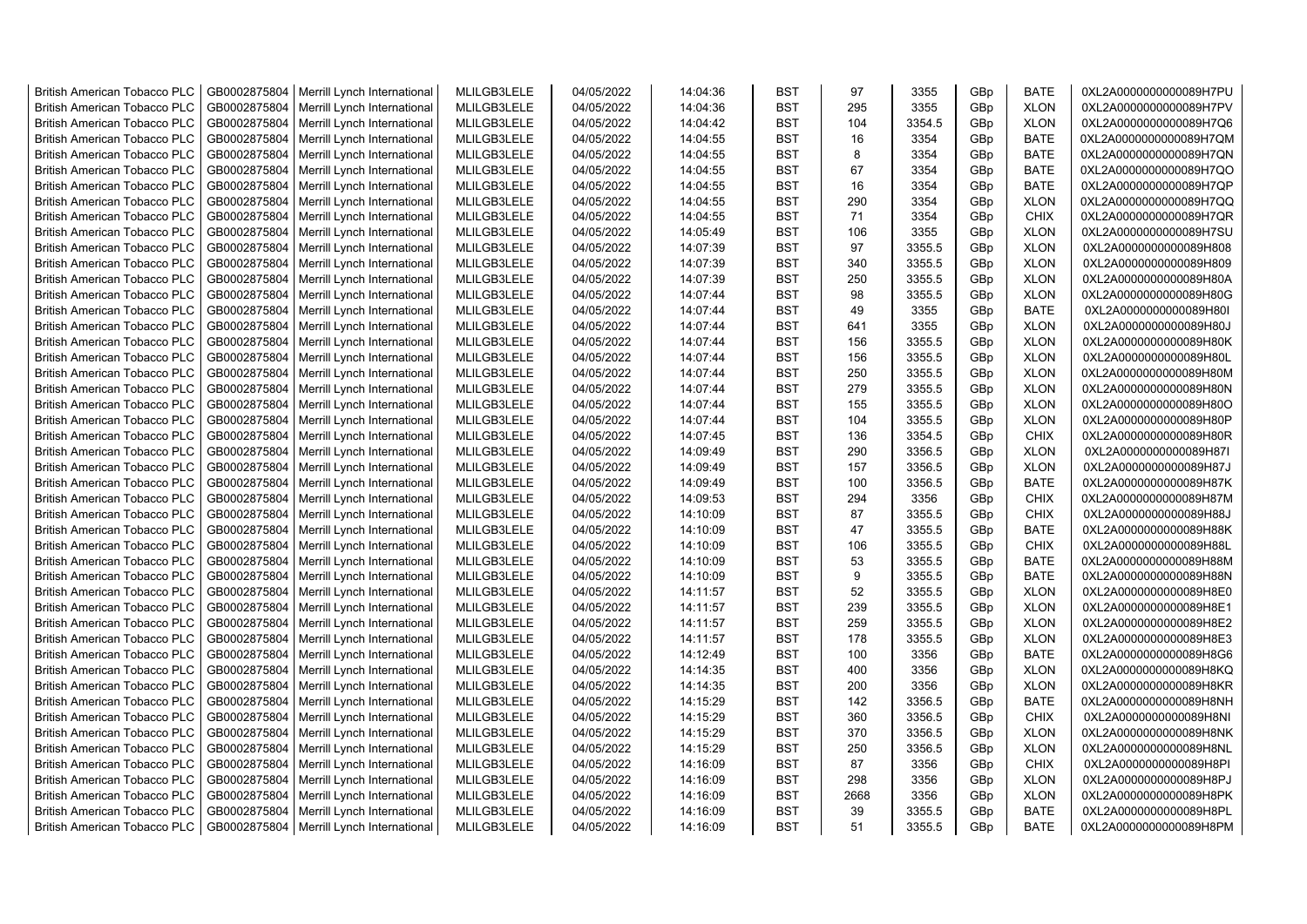| <b>British American Tobacco PLC</b> | GB0002875804 | Merrill Lynch International | MLILGB3LELE | 04/05/2022 | 14:04:36 | <b>BST</b> | 97   | 3355   | GBp | <b>BATE</b> | 0XL2A0000000000089H7PU |
|-------------------------------------|--------------|-----------------------------|-------------|------------|----------|------------|------|--------|-----|-------------|------------------------|
| <b>British American Tobacco PLC</b> | GB0002875804 | Merrill Lynch International | MLILGB3LELE | 04/05/2022 | 14:04:36 | <b>BST</b> | 295  | 3355   | GBp | <b>XLON</b> | 0XL2A0000000000089H7PV |
| <b>British American Tobacco PLC</b> | GB0002875804 | Merrill Lynch International | MLILGB3LELE | 04/05/2022 | 14:04:42 | <b>BST</b> | 104  | 3354.5 | GBp | <b>XLON</b> | 0XL2A0000000000089H7Q6 |
| <b>British American Tobacco PLC</b> | GB0002875804 | Merrill Lynch International | MLILGB3LELE | 04/05/2022 | 14:04:55 | <b>BST</b> | 16   | 3354   | GBp | <b>BATE</b> | 0XL2A0000000000089H7QM |
| <b>British American Tobacco PLC</b> | GB0002875804 | Merrill Lynch International | MLILGB3LELE | 04/05/2022 | 14:04:55 | <b>BST</b> | 8    | 3354   | GBp | <b>BATE</b> | 0XL2A0000000000089H7QN |
| <b>British American Tobacco PLC</b> | GB0002875804 | Merrill Lynch International | MLILGB3LELE | 04/05/2022 | 14:04:55 | <b>BST</b> | 67   | 3354   | GBp | <b>BATE</b> | 0XL2A0000000000089H7QO |
| <b>British American Tobacco PLC</b> | GB0002875804 | Merrill Lynch International | MLILGB3LELE | 04/05/2022 | 14:04:55 | <b>BST</b> | 16   | 3354   | GBp | <b>BATE</b> | 0XL2A0000000000089H7QP |
| <b>British American Tobacco PLC</b> | GB0002875804 | Merrill Lynch International | MLILGB3LELE | 04/05/2022 | 14:04:55 | <b>BST</b> | 290  | 3354   | GBp | <b>XLON</b> | 0XL2A0000000000089H7QQ |
| <b>British American Tobacco PLC</b> | GB0002875804 | Merrill Lynch International | MLILGB3LELE | 04/05/2022 | 14:04:55 | <b>BST</b> | 71   | 3354   | GBp | <b>CHIX</b> | 0XL2A0000000000089H7QR |
| <b>British American Tobacco PLC</b> | GB0002875804 | Merrill Lynch International | MLILGB3LELE | 04/05/2022 | 14:05:49 | <b>BST</b> | 106  | 3355   | GBp | <b>XLON</b> | 0XL2A0000000000089H7SU |
| <b>British American Tobacco PLC</b> | GB0002875804 | Merrill Lynch International | MLILGB3LELE | 04/05/2022 | 14:07:39 | <b>BST</b> | 97   | 3355.5 | GBp | <b>XLON</b> | 0XL2A0000000000089H808 |
| <b>British American Tobacco PLC</b> | GB0002875804 | Merrill Lynch International | MLILGB3LELE | 04/05/2022 | 14:07:39 | <b>BST</b> | 340  | 3355.5 | GBp | <b>XLON</b> | 0XL2A0000000000089H809 |
| British American Tobacco PLC        | GB0002875804 | Merrill Lynch International | MLILGB3LELE | 04/05/2022 | 14:07:39 | <b>BST</b> | 250  | 3355.5 | GBp | <b>XLON</b> | 0XL2A0000000000089H80A |
|                                     |              |                             | MLILGB3LELE |            |          | <b>BST</b> | 98   | 3355.5 |     |             |                        |
| <b>British American Tobacco PLC</b> | GB0002875804 | Merrill Lynch International |             | 04/05/2022 | 14:07:44 |            |      |        | GBp | <b>XLON</b> | 0XL2A0000000000089H80G |
| <b>British American Tobacco PLC</b> | GB0002875804 | Merrill Lynch International | MLILGB3LELE | 04/05/2022 | 14:07:44 | <b>BST</b> | 49   | 3355   | GBp | <b>BATE</b> | 0XL2A0000000000089H80I |
| <b>British American Tobacco PLC</b> | GB0002875804 | Merrill Lynch International | MLILGB3LELE | 04/05/2022 | 14:07:44 | <b>BST</b> | 641  | 3355   | GBp | <b>XLON</b> | 0XL2A0000000000089H80J |
| <b>British American Tobacco PLC</b> | GB0002875804 | Merrill Lynch International | MLILGB3LELE | 04/05/2022 | 14:07:44 | <b>BST</b> | 156  | 3355.5 | GBp | <b>XLON</b> | 0XL2A0000000000089H80K |
| <b>British American Tobacco PLC</b> | GB0002875804 | Merrill Lynch International | MLILGB3LELE | 04/05/2022 | 14:07:44 | <b>BST</b> | 156  | 3355.5 | GBp | <b>XLON</b> | 0XL2A0000000000089H80L |
| <b>British American Tobacco PLC</b> | GB0002875804 | Merrill Lynch International | MLILGB3LELE | 04/05/2022 | 14:07:44 | <b>BST</b> | 250  | 3355.5 | GBp | <b>XLON</b> | 0XL2A0000000000089H80M |
| <b>British American Tobacco PLC</b> | GB0002875804 | Merrill Lynch International | MLILGB3LELE | 04/05/2022 | 14:07:44 | <b>BST</b> | 279  | 3355.5 | GBp | <b>XLON</b> | 0XL2A0000000000089H80N |
| <b>British American Tobacco PLC</b> | GB0002875804 | Merrill Lynch International | MLILGB3LELE | 04/05/2022 | 14:07:44 | <b>BST</b> | 155  | 3355.5 | GBp | <b>XLON</b> | 0XL2A0000000000089H80O |
| <b>British American Tobacco PLC</b> | GB0002875804 | Merrill Lynch International | MLILGB3LELE | 04/05/2022 | 14:07:44 | <b>BST</b> | 104  | 3355.5 | GBp | <b>XLON</b> | 0XL2A0000000000089H80P |
| <b>British American Tobacco PLC</b> | GB0002875804 | Merrill Lynch International | MLILGB3LELE | 04/05/2022 | 14:07:45 | <b>BST</b> | 136  | 3354.5 | GBp | <b>CHIX</b> | 0XL2A0000000000089H80R |
| <b>British American Tobacco PLC</b> | GB0002875804 | Merrill Lynch International | MLILGB3LELE | 04/05/2022 | 14:09:49 | <b>BST</b> | 290  | 3356.5 | GBp | <b>XLON</b> | 0XL2A0000000000089H87I |
| <b>British American Tobacco PLC</b> | GB0002875804 | Merrill Lynch International | MLILGB3LELE | 04/05/2022 | 14:09:49 | <b>BST</b> | 157  | 3356.5 | GBp | <b>XLON</b> | 0XL2A0000000000089H87J |
| <b>British American Tobacco PLC</b> | GB0002875804 | Merrill Lynch International | MLILGB3LELE | 04/05/2022 | 14:09:49 | <b>BST</b> | 100  | 3356.5 | GBp | <b>BATE</b> | 0XL2A0000000000089H87K |
| <b>British American Tobacco PLC</b> | GB0002875804 | Merrill Lynch International | MLILGB3LELE | 04/05/2022 | 14:09:53 | <b>BST</b> | 294  | 3356   | GBp | <b>CHIX</b> | 0XL2A0000000000089H87M |
| British American Tobacco PLC        | GB0002875804 | Merrill Lynch International | MLILGB3LELE | 04/05/2022 | 14:10:09 | <b>BST</b> | 87   | 3355.5 | GBp | <b>CHIX</b> | 0XL2A0000000000089H88J |
| <b>British American Tobacco PLC</b> | GB0002875804 | Merrill Lynch International | MLILGB3LELE | 04/05/2022 | 14:10:09 | <b>BST</b> | 47   | 3355.5 | GBp | <b>BATE</b> | 0XL2A0000000000089H88K |
| <b>British American Tobacco PLC</b> | GB0002875804 | Merrill Lynch International | MLILGB3LELE | 04/05/2022 | 14:10:09 | <b>BST</b> | 106  | 3355.5 | GBp | <b>CHIX</b> | 0XL2A0000000000089H88L |
| <b>British American Tobacco PLC</b> | GB0002875804 | Merrill Lynch International | MLILGB3LELE | 04/05/2022 | 14:10:09 | <b>BST</b> | 53   | 3355.5 | GBp | <b>BATE</b> | 0XL2A0000000000089H88M |
| <b>British American Tobacco PLC</b> | GB0002875804 | Merrill Lynch International | MLILGB3LELE | 04/05/2022 | 14:10:09 | <b>BST</b> | 9    | 3355.5 | GBp | <b>BATE</b> | 0XL2A0000000000089H88N |
| <b>British American Tobacco PLC</b> | GB0002875804 | Merrill Lynch International | MLILGB3LELE | 04/05/2022 | 14:11:57 | <b>BST</b> | 52   | 3355.5 | GBp | <b>XLON</b> | 0XL2A0000000000089H8E0 |
| <b>British American Tobacco PLC</b> | GB0002875804 | Merrill Lynch International | MLILGB3LELE | 04/05/2022 | 14:11:57 | <b>BST</b> | 239  | 3355.5 | GBp | <b>XLON</b> | 0XL2A0000000000089H8E1 |
| <b>British American Tobacco PLC</b> | GB0002875804 | Merrill Lynch International | MLILGB3LELE | 04/05/2022 | 14:11:57 | <b>BST</b> | 259  | 3355.5 | GBp | <b>XLON</b> | 0XL2A0000000000089H8E2 |
| <b>British American Tobacco PLC</b> | GB0002875804 | Merrill Lynch International | MLILGB3LELE | 04/05/2022 | 14:11:57 | <b>BST</b> | 178  | 3355.5 | GBp | <b>XLON</b> | 0XL2A0000000000089H8E3 |
| <b>British American Tobacco PLC</b> | GB0002875804 | Merrill Lynch International | MLILGB3LELE | 04/05/2022 | 14:12:49 | <b>BST</b> | 100  | 3356   | GBp | <b>BATE</b> | 0XL2A0000000000089H8G6 |
| <b>British American Tobacco PLC</b> | GB0002875804 | Merrill Lynch International | MLILGB3LELE | 04/05/2022 | 14:14:35 | <b>BST</b> | 400  | 3356   | GBp | <b>XLON</b> | 0XL2A0000000000089H8KQ |
| <b>British American Tobacco PLC</b> | GB0002875804 | Merrill Lynch International | MLILGB3LELE | 04/05/2022 | 14:14:35 | <b>BST</b> | 200  | 3356   | GBp | <b>XLON</b> | 0XL2A0000000000089H8KR |
| <b>British American Tobacco PLC</b> | GB0002875804 | Merrill Lynch International | MLILGB3LELE | 04/05/2022 | 14:15:29 | <b>BST</b> | 142  | 3356.5 | GBp | <b>BATE</b> | 0XL2A0000000000089H8NH |
| <b>British American Tobacco PLC</b> | GB0002875804 | Merrill Lynch International | MLILGB3LELE | 04/05/2022 | 14:15:29 | <b>BST</b> | 360  | 3356.5 | GBp | <b>CHIX</b> | 0XL2A0000000000089H8NI |
| <b>British American Tobacco PLC</b> | GB0002875804 | Merrill Lynch International | MLILGB3LELE | 04/05/2022 | 14:15:29 | <b>BST</b> | 370  | 3356.5 | GBp | <b>XLON</b> | 0XL2A0000000000089H8NK |
| <b>British American Tobacco PLC</b> | GB0002875804 | Merrill Lynch International | MLILGB3LELE | 04/05/2022 | 14:15:29 | <b>BST</b> | 250  | 3356.5 | GBp | <b>XLON</b> | 0XL2A0000000000089H8NL |
| <b>British American Tobacco PLC</b> | GB0002875804 | Merrill Lynch International | MLILGB3LELE | 04/05/2022 | 14:16:09 | <b>BST</b> | 87   | 3356   | GBp | <b>CHIX</b> | 0XL2A0000000000089H8PI |
| British American Tobacco PLC        | GB0002875804 | Merrill Lynch International | MLILGB3LELE | 04/05/2022 | 14:16:09 | <b>BST</b> | 298  | 3356   | GBp | <b>XLON</b> | 0XL2A0000000000089H8PJ |
| <b>British American Tobacco PLC</b> | GB0002875804 | Merrill Lynch International | MLILGB3LELE | 04/05/2022 | 14:16:09 | <b>BST</b> | 2668 | 3356   | GBp | <b>XLON</b> | 0XL2A0000000000089H8PK |
| <b>British American Tobacco PLC</b> | GB0002875804 | Merrill Lynch International | MLILGB3LELE | 04/05/2022 | 14:16:09 | <b>BST</b> | 39   | 3355.5 | GBp | <b>BATE</b> | 0XL2A0000000000089H8PL |
| <b>British American Tobacco PLC</b> | GB0002875804 | Merrill Lynch International | MLILGB3LELE | 04/05/2022 | 14:16:09 | <b>BST</b> | 51   | 3355.5 | GBp | <b>BATE</b> | 0XL2A0000000000089H8PM |
|                                     |              |                             |             |            |          |            |      |        |     |             |                        |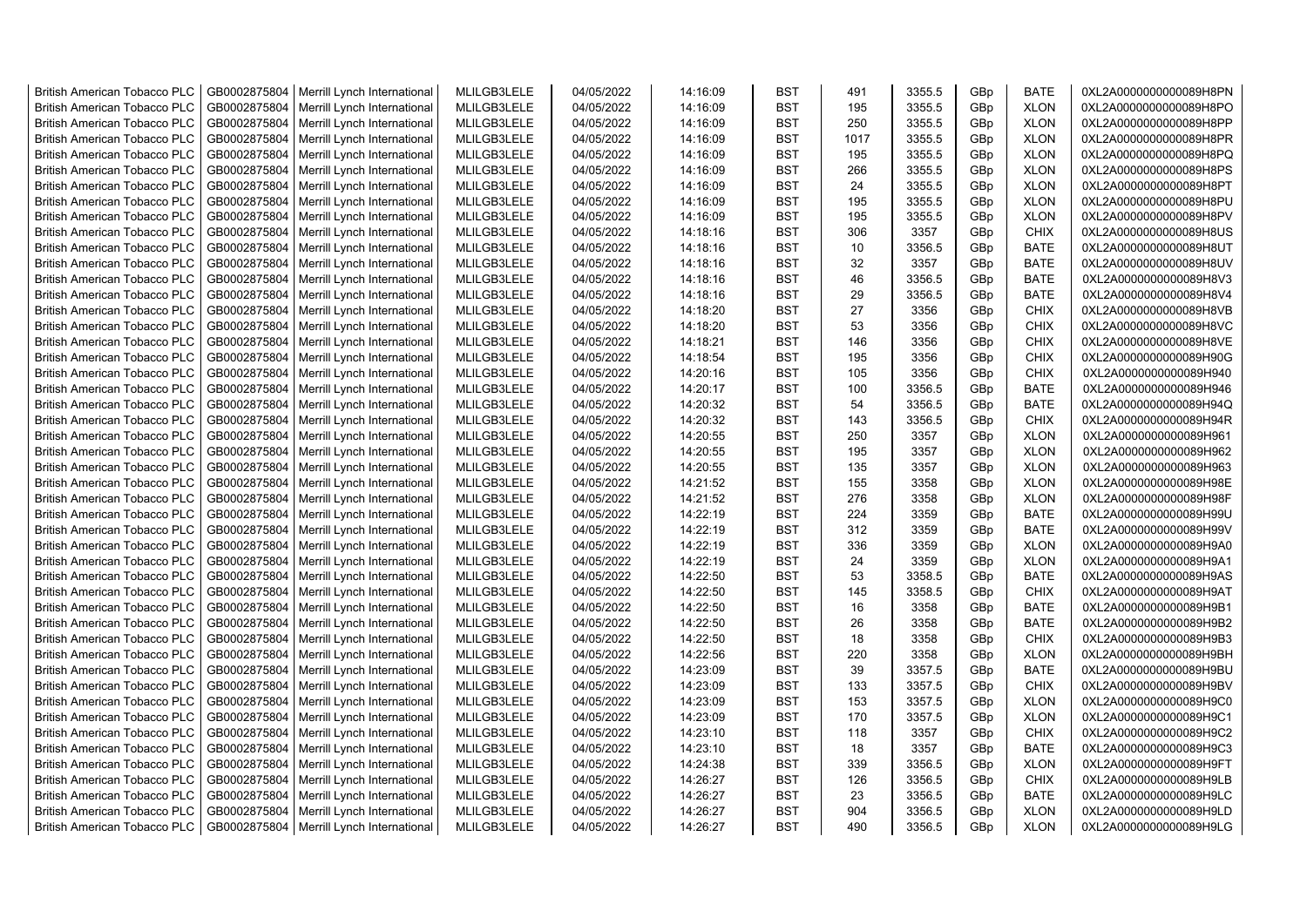| <b>British American Tobacco PLC</b>                                        | GB0002875804                 | Merrill Lynch International                                | MLILGB3LELE                | 04/05/2022               | 14:16:09             | <b>BST</b>               | 491       | 3355.5           | GBp        | <b>BATE</b>                | 0XL2A0000000000089H8PN                           |
|----------------------------------------------------------------------------|------------------------------|------------------------------------------------------------|----------------------------|--------------------------|----------------------|--------------------------|-----------|------------------|------------|----------------------------|--------------------------------------------------|
| <b>British American Tobacco PLC</b>                                        | GB0002875804                 | Merrill Lynch International                                | MLILGB3LELE                | 04/05/2022               | 14:16:09             | <b>BST</b>               | 195       | 3355.5           | GBp        | <b>XLON</b>                | 0XL2A0000000000089H8PO                           |
| <b>British American Tobacco PLC</b>                                        | GB0002875804                 | Merrill Lynch International                                | MLILGB3LELE                | 04/05/2022               | 14:16:09             | <b>BST</b>               | 250       | 3355.5           | GBp        | <b>XLON</b>                | 0XL2A0000000000089H8PP                           |
| <b>British American Tobacco PLC</b>                                        | GB0002875804                 | Merrill Lynch International                                | MLILGB3LELE                | 04/05/2022               | 14:16:09             | <b>BST</b>               | 1017      | 3355.5           | GBp        | <b>XLON</b>                | 0XL2A0000000000089H8PR                           |
| <b>British American Tobacco PLC</b>                                        | GB0002875804                 | Merrill Lynch International                                | MLILGB3LELE                | 04/05/2022               | 14:16:09             | <b>BST</b>               | 195       | 3355.5           | GBp        | <b>XLON</b>                | 0XL2A0000000000089H8PQ                           |
| <b>British American Tobacco PLC</b>                                        | GB0002875804                 | Merrill Lynch International                                | MLILGB3LELE                | 04/05/2022               | 14:16:09             | <b>BST</b>               | 266       | 3355.5           | GBp        | <b>XLON</b>                | 0XL2A0000000000089H8PS                           |
| <b>British American Tobacco PLC</b>                                        | GB0002875804                 | Merrill Lynch International                                | MLILGB3LELE                | 04/05/2022               | 14:16:09             | BST                      | 24        | 3355.5           | GBp        | <b>XLON</b>                | 0XL2A0000000000089H8PT                           |
| <b>British American Tobacco PLC</b>                                        | GB0002875804                 | Merrill Lynch International                                | MLILGB3LELE                | 04/05/2022               | 14:16:09             | <b>BST</b>               | 195       | 3355.5           | GBp        | <b>XLON</b>                | 0XL2A0000000000089H8PU                           |
| <b>British American Tobacco PLC</b>                                        | GB0002875804                 | Merrill Lynch International                                | MLILGB3LELE                | 04/05/2022               | 14:16:09             | <b>BST</b>               | 195       | 3355.5           | GBp        | <b>XLON</b>                | 0XL2A0000000000089H8PV                           |
| <b>British American Tobacco PLC</b>                                        | GB0002875804                 | Merrill Lynch International                                | MLILGB3LELE                | 04/05/2022               | 14:18:16             | <b>BST</b>               | 306       | 3357             | GBp        | <b>CHIX</b>                | 0XL2A0000000000089H8US                           |
| <b>British American Tobacco PLC</b>                                        | GB0002875804                 | Merrill Lynch International                                | MLILGB3LELE                | 04/05/2022               | 14:18:16             | <b>BST</b>               | 10        | 3356.5           | GBp        | <b>BATE</b>                | 0XL2A0000000000089H8UT                           |
| <b>British American Tobacco PLC</b>                                        | GB0002875804                 | Merrill Lynch International                                | MLILGB3LELE                | 04/05/2022               | 14:18:16             | <b>BST</b>               | 32        | 3357             | GBp        | <b>BATE</b>                | 0XL2A0000000000089H8UV                           |
| British American Tobacco PLC                                               | GB0002875804                 | Merrill Lynch International                                | MLILGB3LELE                | 04/05/2022               | 14:18:16             | <b>BST</b>               | 46        | 3356.5           | GBp        | <b>BATE</b>                | 0XL2A0000000000089H8V3                           |
| <b>British American Tobacco PLC</b>                                        | GB0002875804                 | Merrill Lynch International                                | MLILGB3LELE                | 04/05/2022               | 14:18:16             | <b>BST</b>               | 29        | 3356.5           | GBp        | <b>BATE</b>                | 0XL2A0000000000089H8V4                           |
| <b>British American Tobacco PLC</b>                                        | GB0002875804                 | Merrill Lynch International                                | MLILGB3LELE                | 04/05/2022               | 14:18:20             | <b>BST</b>               | 27        | 3356             | GBp        | <b>CHIX</b>                | 0XL2A0000000000089H8VB                           |
| <b>British American Tobacco PLC</b>                                        | GB0002875804                 | Merrill Lynch International                                | MLILGB3LELE                | 04/05/2022               | 14:18:20             | <b>BST</b>               | 53        | 3356             | GBp        | CHIX                       | 0XL2A0000000000089H8VC                           |
| <b>British American Tobacco PLC</b>                                        | GB0002875804                 | Merrill Lynch International                                | MLILGB3LELE                | 04/05/2022               | 14:18:21             | <b>BST</b>               | 146       | 3356             | GBp        | CHIX                       | 0XL2A0000000000089H8VE                           |
| <b>British American Tobacco PLC</b>                                        | GB0002875804                 | Merrill Lynch International                                | MLILGB3LELE                | 04/05/2022               | 14:18:54             | <b>BST</b>               | 195       | 3356             | GBp        | CHIX                       | 0XL2A0000000000089H90G                           |
| <b>British American Tobacco PLC</b>                                        | GB0002875804                 | Merrill Lynch International                                | MLILGB3LELE                | 04/05/2022               | 14:20:16             | <b>BST</b>               | 105       | 3356             | GBp        | <b>CHIX</b>                | 0XL2A0000000000089H940                           |
| <b>British American Tobacco PLC</b>                                        | GB0002875804                 | Merrill Lynch International                                | MLILGB3LELE                | 04/05/2022               | 14:20:17             | <b>BST</b>               | 100       | 3356.5           | GBp        | <b>BATE</b>                | 0XL2A0000000000089H946                           |
| <b>British American Tobacco PLC</b>                                        | GB0002875804                 | Merrill Lynch International                                | MLILGB3LELE                | 04/05/2022               | 14:20:32             | <b>BST</b>               | 54        | 3356.5           | GBp        | <b>BATE</b>                | 0XL2A0000000000089H94Q                           |
| <b>British American Tobacco PLC</b>                                        | GB0002875804                 | Merrill Lynch International                                | MLILGB3LELE                | 04/05/2022               | 14:20:32             | <b>BST</b>               | 143       | 3356.5           | GBp        | <b>CHIX</b>                | 0XL2A0000000000089H94R                           |
| <b>British American Tobacco PLC</b>                                        | GB0002875804                 | Merrill Lynch International                                | MLILGB3LELE                | 04/05/2022               | 14:20:55             | <b>BST</b>               | 250       | 3357             | GBp        | <b>XLON</b>                | 0XL2A0000000000089H961                           |
| <b>British American Tobacco PLC</b>                                        | GB0002875804                 | Merrill Lynch International                                | MLILGB3LELE                | 04/05/2022               | 14:20:55             | <b>BST</b>               | 195       | 3357             | GBp        | <b>XLON</b>                | 0XL2A0000000000089H962                           |
| <b>British American Tobacco PLC</b>                                        | GB0002875804                 | Merrill Lynch International                                | MLILGB3LELE                | 04/05/2022               | 14:20:55             | <b>BST</b>               | 135       | 3357             | GBp        | <b>XLON</b>                | 0XL2A0000000000089H963                           |
| <b>British American Tobacco PLC</b>                                        | GB0002875804                 | Merrill Lynch International                                | MLILGB3LELE                | 04/05/2022               | 14:21:52             | <b>BST</b>               | 155       | 3358             | GBp        | <b>XLON</b>                | 0XL2A0000000000089H98E                           |
| <b>British American Tobacco PLC</b>                                        | GB0002875804                 | Merrill Lynch International                                | MLILGB3LELE                | 04/05/2022               | 14:21:52             | <b>BST</b>               | 276       | 3358             | GBp        | <b>XLON</b>                | 0XL2A0000000000089H98F                           |
| <b>British American Tobacco PLC</b>                                        | GB0002875804                 | Merrill Lynch International                                | MLILGB3LELE                | 04/05/2022               | 14:22:19             | <b>BST</b>               | 224       | 3359             | GBp        | <b>BATE</b>                | 0XL2A0000000000089H99U                           |
| <b>British American Tobacco PLC</b>                                        | GB0002875804                 | Merrill Lynch International                                | MLILGB3LELE                | 04/05/2022               | 14:22:19             | <b>BST</b>               | 312       | 3359             | GBp        | <b>BATE</b>                | 0XL2A0000000000089H99V                           |
| <b>British American Tobacco PLC</b>                                        | GB0002875804                 | Merrill Lynch International                                | MLILGB3LELE                | 04/05/2022               | 14:22:19             | <b>BST</b>               | 336       | 3359             | GBp        | <b>XLON</b>                | 0XL2A0000000000089H9A0                           |
| <b>British American Tobacco PLC</b>                                        | GB0002875804                 |                                                            | MLILGB3LELE                | 04/05/2022               | 14:22:19             | <b>BST</b>               | 24        | 3359             | GBp        | <b>XLON</b>                | 0XL2A0000000000089H9A1                           |
| <b>British American Tobacco PLC</b>                                        | GB0002875804                 | Merrill Lynch International<br>Merrill Lynch International | MLILGB3LELE                | 04/05/2022               | 14:22:50             | <b>BST</b>               | 53        | 3358.5           | GBp        | <b>BATE</b>                | 0XL2A0000000000089H9AS                           |
| <b>British American Tobacco PLC</b>                                        | GB0002875804                 | Merrill Lynch International                                | MLILGB3LELE                | 04/05/2022               | 14:22:50             | <b>BST</b>               | 145       | 3358.5           | GBp        | <b>CHIX</b>                | 0XL2A0000000000089H9AT                           |
| <b>British American Tobacco PLC</b>                                        | GB0002875804                 | Merrill Lynch International                                | MLILGB3LELE                | 04/05/2022               | 14:22:50             | <b>BST</b>               | 16        | 3358             | GBp        | <b>BATE</b>                | 0XL2A0000000000089H9B1                           |
| <b>British American Tobacco PLC</b>                                        | GB0002875804                 | Merrill Lynch International                                | MLILGB3LELE                | 04/05/2022               | 14:22:50             | <b>BST</b>               | 26        | 3358             | GBp        | <b>BATE</b>                | 0XL2A0000000000089H9B2                           |
| <b>British American Tobacco PLC</b>                                        | GB0002875804                 | Merrill Lynch International                                | MLILGB3LELE                | 04/05/2022               | 14:22:50             | <b>BST</b>               | 18        | 3358             | GBp        | <b>CHIX</b>                | 0XL2A0000000000089H9B3                           |
| <b>British American Tobacco PLC</b>                                        | GB0002875804                 | Merrill Lynch International                                | MLILGB3LELE                | 04/05/2022               | 14:22:56             | <b>BST</b>               | 220       | 3358             | GBp        | <b>XLON</b>                | 0XL2A0000000000089H9BH                           |
| <b>British American Tobacco PLC</b>                                        | GB0002875804                 | Merrill Lynch International                                | MLILGB3LELE                | 04/05/2022               | 14:23:09             | <b>BST</b>               | 39        | 3357.5           | GBp        | <b>BATE</b>                | 0XL2A0000000000089H9BU                           |
| <b>British American Tobacco PLC</b>                                        | GB0002875804                 | Merrill Lynch International                                | MLILGB3LELE                | 04/05/2022               | 14:23:09             | <b>BST</b>               | 133       | 3357.5           | GBp        | <b>CHIX</b>                | 0XL2A0000000000089H9BV                           |
| <b>British American Tobacco PLC</b>                                        | GB0002875804                 | Merrill Lynch International                                | MLILGB3LELE                | 04/05/2022               | 14:23:09             | <b>BST</b>               | 153       | 3357.5           | GBp        | <b>XLON</b>                | 0XL2A0000000000089H9C0                           |
| <b>British American Tobacco PLC</b>                                        | GB0002875804                 |                                                            |                            |                          |                      | <b>BST</b>               | 170       |                  |            | <b>XLON</b>                |                                                  |
|                                                                            | GB0002875804                 | Merrill Lynch International                                | MLILGB3LELE                | 04/05/2022               | 14:23:09             | <b>BST</b>               | 118       | 3357.5           | GBp        | CHIX                       | 0XL2A0000000000089H9C1<br>0XL2A0000000000089H9C2 |
| <b>British American Tobacco PLC</b>                                        |                              | Merrill Lynch International                                | MLILGB3LELE                | 04/05/2022               | 14:23:10             |                          |           | 3357             | GBp        |                            |                                                  |
| <b>British American Tobacco PLC</b>                                        | GB0002875804                 | Merrill Lynch International                                | MLILGB3LELE                | 04/05/2022               | 14:23:10             | <b>BST</b><br><b>BST</b> | 18<br>339 | 3357             | GBp        | <b>BATE</b>                | 0XL2A0000000000089H9C3                           |
| <b>British American Tobacco PLC</b><br><b>British American Tobacco PLC</b> | GB0002875804<br>GB0002875804 | Merrill Lynch International                                | MLILGB3LELE<br>MLILGB3LELE | 04/05/2022<br>04/05/2022 | 14:24:38<br>14:26:27 | <b>BST</b>               | 126       | 3356.5<br>3356.5 | GBp<br>GBp | <b>XLON</b><br><b>CHIX</b> | 0XL2A0000000000089H9FT<br>0XL2A0000000000089H9LB |
| <b>British American Tobacco PLC</b>                                        | GB0002875804                 | Merrill Lynch International<br>Merrill Lynch International | MLILGB3LELE                | 04/05/2022               | 14:26:27             | <b>BST</b>               | 23        | 3356.5           | GBp        | <b>BATE</b>                | 0XL2A0000000000089H9LC                           |
|                                                                            |                              |                                                            | MLILGB3LELE                | 04/05/2022               | 14:26:27             | <b>BST</b>               | 904       | 3356.5           |            | <b>XLON</b>                |                                                  |
| <b>British American Tobacco PLC</b>                                        | GB0002875804                 | Merrill Lynch International                                |                            |                          |                      | <b>BST</b>               | 490       |                  | GBp        | <b>XLON</b>                | 0XL2A0000000000089H9LD                           |
| <b>British American Tobacco PLC</b>                                        |                              | GB0002875804   Merrill Lynch International                 | MLILGB3LELE                | 04/05/2022               | 14:26:27             |                          |           | 3356.5           | GBp        |                            | 0XL2A0000000000089H9LG                           |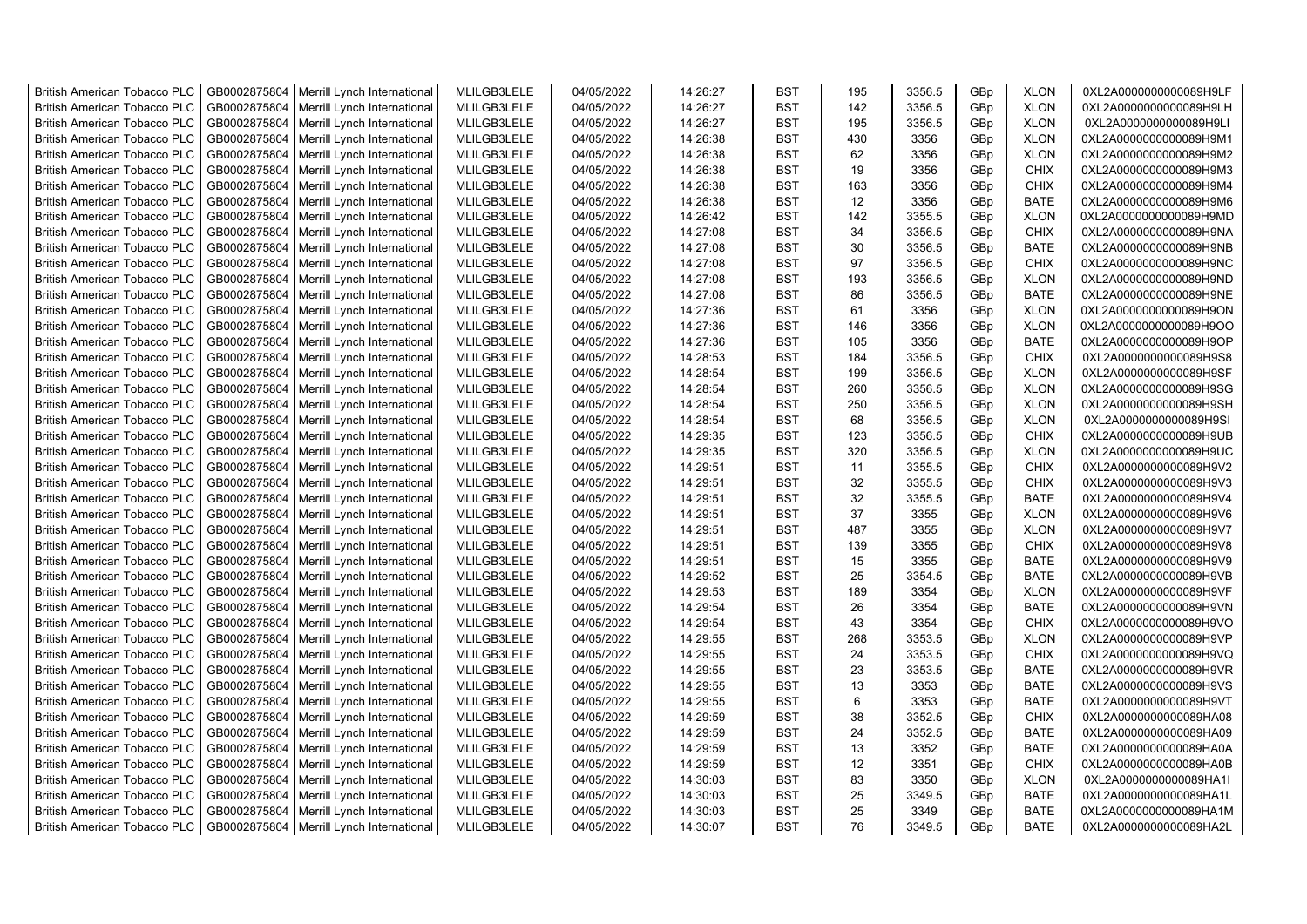| <b>British American Tobacco PLC</b> | GB0002875804 | Merrill Lynch International                | MLILGB3LELE | 04/05/2022 | 14:26:27 | <b>BST</b> | 195            | 3356.5 | GBp | <b>XLON</b> | 0XL2A0000000000089H9LF |
|-------------------------------------|--------------|--------------------------------------------|-------------|------------|----------|------------|----------------|--------|-----|-------------|------------------------|
| <b>British American Tobacco PLC</b> | GB0002875804 | Merrill Lynch International                | MLILGB3LELE | 04/05/2022 | 14:26:27 | <b>BST</b> | 142            | 3356.5 | GBp | <b>XLON</b> | 0XL2A0000000000089H9LH |
| <b>British American Tobacco PLC</b> | GB0002875804 | Merrill Lynch International                | MLILGB3LELE | 04/05/2022 | 14:26:27 | <b>BST</b> | 195            | 3356.5 | GBp | <b>XLON</b> | 0XL2A0000000000089H9LI |
| <b>British American Tobacco PLC</b> | GB0002875804 | Merrill Lynch International                | MLILGB3LELE | 04/05/2022 | 14:26:38 | <b>BST</b> | 430            | 3356   | GBp | <b>XLON</b> | 0XL2A0000000000089H9M1 |
| <b>British American Tobacco PLC</b> | GB0002875804 | Merrill Lynch International                | MLILGB3LELE | 04/05/2022 | 14:26:38 | <b>BST</b> | 62             | 3356   | GBp | <b>XLON</b> | 0XL2A0000000000089H9M2 |
| <b>British American Tobacco PLC</b> | GB0002875804 | Merrill Lynch International                | MLILGB3LELE | 04/05/2022 | 14:26:38 | <b>BST</b> | 19             | 3356   | GBp | <b>CHIX</b> | 0XL2A0000000000089H9M3 |
| <b>British American Tobacco PLC</b> | GB0002875804 | Merrill Lynch International                | MLILGB3LELE | 04/05/2022 | 14:26:38 | <b>BST</b> | 163            | 3356   | GBp | CHIX        | 0XL2A0000000000089H9M4 |
| <b>British American Tobacco PLC</b> | GB0002875804 | Merrill Lynch International                | MLILGB3LELE | 04/05/2022 | 14:26:38 | <b>BST</b> | 12             | 3356   | GBp | <b>BATE</b> | 0XL2A0000000000089H9M6 |
| <b>British American Tobacco PLC</b> | GB0002875804 | Merrill Lynch International                | MLILGB3LELE | 04/05/2022 | 14:26:42 | <b>BST</b> | 142            | 3355.5 | GBp | <b>XLON</b> | 0XL2A0000000000089H9MD |
| <b>British American Tobacco PLC</b> | GB0002875804 | Merrill Lynch International                | MLILGB3LELE | 04/05/2022 | 14:27:08 | <b>BST</b> | 34             | 3356.5 | GBp | <b>CHIX</b> | 0XL2A0000000000089H9NA |
| <b>British American Tobacco PLC</b> | GB0002875804 | Merrill Lynch International                | MLILGB3LELE | 04/05/2022 | 14:27:08 | <b>BST</b> | 30             | 3356.5 | GBp | <b>BATE</b> | 0XL2A0000000000089H9NB |
| <b>British American Tobacco PLC</b> | GB0002875804 | Merrill Lynch International                | MLILGB3LELE | 04/05/2022 | 14:27:08 | <b>BST</b> | 97             | 3356.5 | GBp | <b>CHIX</b> | 0XL2A0000000000089H9NC |
| <b>British American Tobacco PLC</b> | GB0002875804 | Merrill Lynch International                | MLILGB3LELE | 04/05/2022 | 14:27:08 | <b>BST</b> | 193            | 3356.5 | GBp | <b>XLON</b> | 0XL2A0000000000089H9ND |
| <b>British American Tobacco PLC</b> | GB0002875804 | Merrill Lynch International                | MLILGB3LELE | 04/05/2022 | 14:27:08 | <b>BST</b> | 86             | 3356.5 | GBp | <b>BATE</b> | 0XL2A0000000000089H9NE |
| <b>British American Tobacco PLC</b> | GB0002875804 | Merrill Lynch International                | MLILGB3LELE | 04/05/2022 | 14:27:36 | <b>BST</b> | 61             | 3356   | GBp | <b>XLON</b> | 0XL2A0000000000089H9ON |
| <b>British American Tobacco PLC</b> | GB0002875804 | Merrill Lynch International                | MLILGB3LELE | 04/05/2022 | 14:27:36 | <b>BST</b> | 146            | 3356   | GBp | <b>XLON</b> | 0XL2A0000000000089H9OO |
| <b>British American Tobacco PLC</b> | GB0002875804 | Merrill Lynch International                | MLILGB3LELE | 04/05/2022 | 14:27:36 | <b>BST</b> | 105            | 3356   | GBp | <b>BATE</b> | 0XL2A0000000000089H9OP |
| <b>British American Tobacco PLC</b> | GB0002875804 | Merrill Lynch International                | MLILGB3LELE | 04/05/2022 | 14:28:53 | <b>BST</b> | 184            | 3356.5 | GBp | <b>CHIX</b> | 0XL2A0000000000089H9S8 |
| <b>British American Tobacco PLC</b> | GB0002875804 | Merrill Lynch International                | MLILGB3LELE | 04/05/2022 | 14:28:54 | <b>BST</b> | 199            | 3356.5 | GBp | <b>XLON</b> | 0XL2A0000000000089H9SF |
| <b>British American Tobacco PLC</b> | GB0002875804 | Merrill Lynch International                | MLILGB3LELE | 04/05/2022 | 14:28:54 | <b>BST</b> | 260            | 3356.5 | GBp | <b>XLON</b> | 0XL2A0000000000089H9SG |
| <b>British American Tobacco PLC</b> | GB0002875804 | Merrill Lynch International                | MLILGB3LELE | 04/05/2022 | 14:28:54 | <b>BST</b> | 250            | 3356.5 | GBp | <b>XLON</b> | 0XL2A0000000000089H9SH |
| <b>British American Tobacco PLC</b> | GB0002875804 | Merrill Lynch International                | MLILGB3LELE | 04/05/2022 | 14:28:54 | <b>BST</b> | 68             | 3356.5 | GBp | <b>XLON</b> | 0XL2A0000000000089H9SI |
| <b>British American Tobacco PLC</b> | GB0002875804 | Merrill Lynch International                | MLILGB3LELE | 04/05/2022 | 14:29:35 | <b>BST</b> | 123            | 3356.5 | GBp | <b>CHIX</b> | 0XL2A0000000000089H9UB |
| <b>British American Tobacco PLC</b> | GB0002875804 | Merrill Lynch International                | MLILGB3LELE | 04/05/2022 | 14:29:35 | <b>BST</b> | 320            | 3356.5 | GBp | <b>XLON</b> | 0XL2A0000000000089H9UC |
| <b>British American Tobacco PLC</b> | GB0002875804 | Merrill Lynch International                | MLILGB3LELE | 04/05/2022 | 14:29:51 | <b>BST</b> | 11             | 3355.5 | GBp | <b>CHIX</b> | 0XL2A0000000000089H9V2 |
| <b>British American Tobacco PLC</b> | GB0002875804 | Merrill Lynch International                | MLILGB3LELE | 04/05/2022 | 14:29:51 | <b>BST</b> | 32             | 3355.5 | GBp | <b>CHIX</b> | 0XL2A0000000000089H9V3 |
| <b>British American Tobacco PLC</b> | GB0002875804 | Merrill Lynch International                | MLILGB3LELE | 04/05/2022 | 14:29:51 | <b>BST</b> | 32             | 3355.5 | GBp | <b>BATE</b> | 0XL2A0000000000089H9V4 |
| <b>British American Tobacco PLC</b> | GB0002875804 | Merrill Lynch International                | MLILGB3LELE | 04/05/2022 | 14:29:51 | <b>BST</b> | 37             | 3355   | GBp | <b>XLON</b> | 0XL2A0000000000089H9V6 |
| <b>British American Tobacco PLC</b> | GB0002875804 | Merrill Lynch International                | MLILGB3LELE | 04/05/2022 | 14:29:51 | <b>BST</b> | 487            | 3355   | GBp | <b>XLON</b> | 0XL2A0000000000089H9V7 |
| <b>British American Tobacco PLC</b> | GB0002875804 | Merrill Lynch International                | MLILGB3LELE | 04/05/2022 | 14:29:51 | <b>BST</b> | 139            | 3355   | GBp | <b>CHIX</b> | 0XL2A0000000000089H9V8 |
| <b>British American Tobacco PLC</b> | GB0002875804 | Merrill Lynch International                | MLILGB3LELE | 04/05/2022 | 14:29:51 | <b>BST</b> | 15             | 3355   | GBp | <b>BATE</b> | 0XL2A0000000000089H9V9 |
| British American Tobacco PLC        | GB0002875804 | Merrill Lynch International                | MLILGB3LELE | 04/05/2022 | 14:29:52 | <b>BST</b> | 25             | 3354.5 | GBp | <b>BATE</b> | 0XL2A0000000000089H9VB |
| <b>British American Tobacco PLC</b> | GB0002875804 | Merrill Lynch International                | MLILGB3LELE | 04/05/2022 | 14:29:53 | <b>BST</b> | 189            | 3354   | GBp | <b>XLON</b> | 0XL2A0000000000089H9VF |
| <b>British American Tobacco PLC</b> | GB0002875804 | Merrill Lynch International                | MLILGB3LELE | 04/05/2022 | 14:29:54 | <b>BST</b> | 26             | 3354   | GBp | <b>BATE</b> | 0XL2A0000000000089H9VN |
| <b>British American Tobacco PLC</b> | GB0002875804 | Merrill Lynch International                | MLILGB3LELE | 04/05/2022 | 14:29:54 | <b>BST</b> | 43             | 3354   | GBp | <b>CHIX</b> | 0XL2A0000000000089H9VO |
| <b>British American Tobacco PLC</b> | GB0002875804 | Merrill Lynch International                | MLILGB3LELE | 04/05/2022 | 14:29:55 | <b>BST</b> | 268            | 3353.5 | GBp | <b>XLON</b> | 0XL2A0000000000089H9VP |
| <b>British American Tobacco PLC</b> | GB0002875804 | Merrill Lynch International                | MLILGB3LELE | 04/05/2022 | 14:29:55 | <b>BST</b> | 24             | 3353.5 | GBp | <b>CHIX</b> | 0XL2A0000000000089H9VQ |
| <b>British American Tobacco PLC</b> | GB0002875804 | Merrill Lynch International                | MLILGB3LELE | 04/05/2022 | 14:29:55 | <b>BST</b> | 23             | 3353.5 | GBp | <b>BATE</b> | 0XL2A0000000000089H9VR |
| <b>British American Tobacco PLC</b> | GB0002875804 | Merrill Lynch International                | MLILGB3LELE | 04/05/2022 | 14:29:55 | <b>BST</b> | 13             | 3353   | GBp | <b>BATE</b> | 0XL2A0000000000089H9VS |
| <b>British American Tobacco PLC</b> | GB0002875804 | Merrill Lynch International                | MLILGB3LELE | 04/05/2022 | 14:29:55 | <b>BST</b> | $6\phantom{1}$ | 3353   | GBp | <b>BATE</b> | 0XL2A0000000000089H9VT |
| <b>British American Tobacco PLC</b> | GB0002875804 | Merrill Lynch International                | MLILGB3LELE | 04/05/2022 | 14:29:59 | <b>BST</b> | 38             | 3352.5 | GBp | <b>CHIX</b> | 0XL2A0000000000089HA08 |
| <b>British American Tobacco PLC</b> | GB0002875804 | Merrill Lynch International                | MLILGB3LELE | 04/05/2022 | 14:29:59 | <b>BST</b> | 24             | 3352.5 | GBp | <b>BATE</b> | 0XL2A0000000000089HA09 |
| <b>British American Tobacco PLC</b> | GB0002875804 | Merrill Lynch International                | MLILGB3LELE | 04/05/2022 | 14:29:59 | <b>BST</b> | 13             | 3352   | GBp | <b>BATE</b> | 0XL2A0000000000089HA0A |
| <b>British American Tobacco PLC</b> | GB0002875804 | Merrill Lynch International                | MLILGB3LELE | 04/05/2022 | 14:29:59 | <b>BST</b> | 12             | 3351   | GBp | <b>CHIX</b> | 0XL2A0000000000089HA0B |
| <b>British American Tobacco PLC</b> | GB0002875804 | Merrill Lynch International                | MLILGB3LELE | 04/05/2022 | 14:30:03 | <b>BST</b> | 83             | 3350   | GBp | <b>XLON</b> | 0XL2A0000000000089HA1I |
| <b>British American Tobacco PLC</b> | GB0002875804 | Merrill Lynch International                | MLILGB3LELE | 04/05/2022 | 14:30:03 | <b>BST</b> | 25             | 3349.5 | GBp | <b>BATE</b> | 0XL2A0000000000089HA1L |
| <b>British American Tobacco PLC</b> | GB0002875804 | Merrill Lynch International                | MLILGB3LELE | 04/05/2022 | 14:30:03 | <b>BST</b> | 25             | 3349   | GBp | <b>BATE</b> | 0XL2A0000000000089HA1M |
| <b>British American Tobacco PLC</b> |              | GB0002875804   Merrill Lynch International | MLILGB3LELE | 04/05/2022 | 14:30:07 | <b>BST</b> | 76             | 3349.5 | GBp | <b>BATE</b> | 0XL2A0000000000089HA2L |
|                                     |              |                                            |             |            |          |            |                |        |     |             |                        |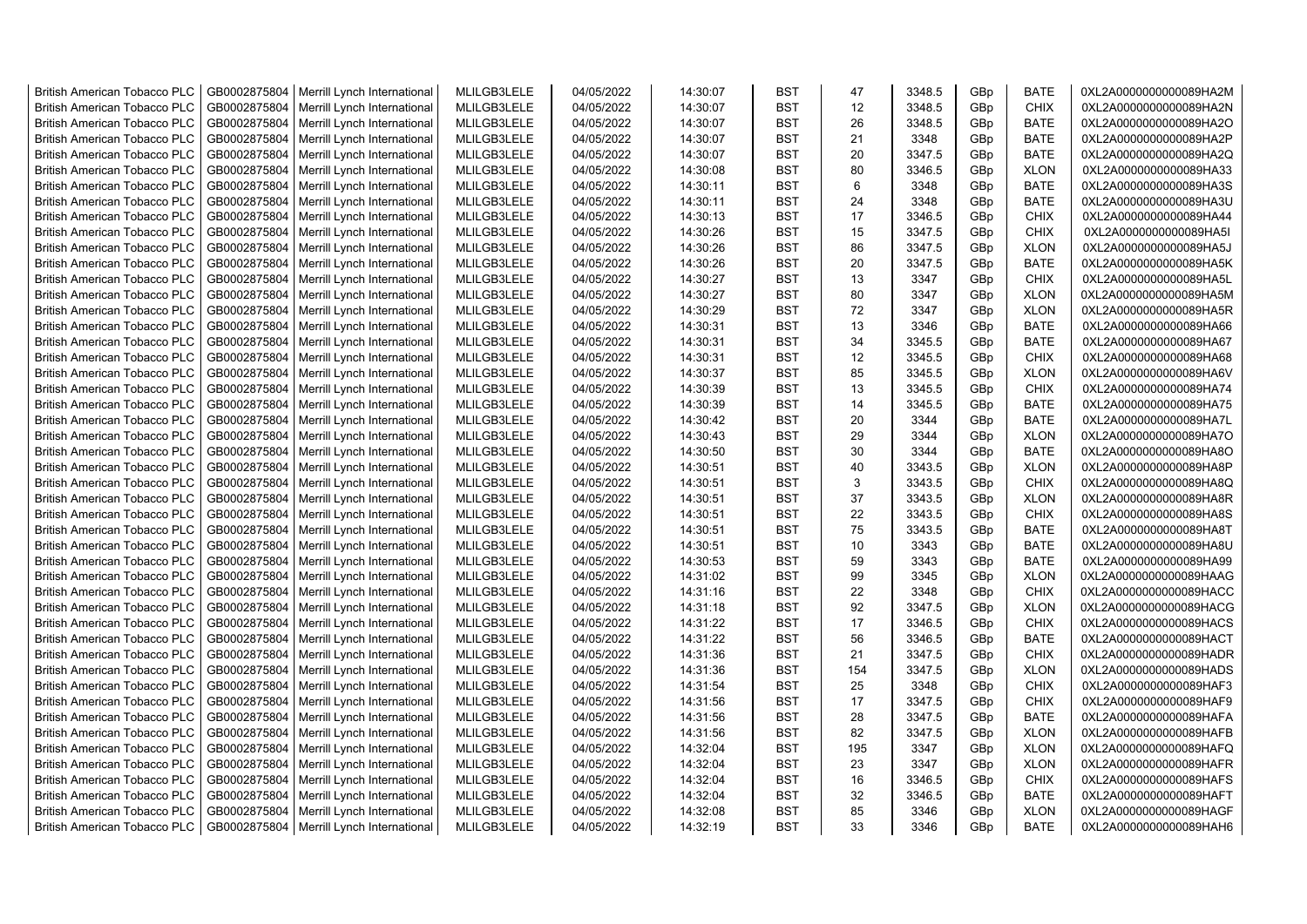| <b>British American Tobacco PLC</b> | GB0002875804 | Merrill Lynch International | MLILGB3LELE | 04/05/2022 | 14:30:07 | <b>BST</b> | 47  | 3348.5 | GBp             | <b>BATE</b> | 0XL2A0000000000089HA2M |
|-------------------------------------|--------------|-----------------------------|-------------|------------|----------|------------|-----|--------|-----------------|-------------|------------------------|
| <b>British American Tobacco PLC</b> | GB0002875804 | Merrill Lynch International | MLILGB3LELE | 04/05/2022 | 14:30:07 | <b>BST</b> | 12  | 3348.5 | GBp             | <b>CHIX</b> | 0XL2A0000000000089HA2N |
| <b>British American Tobacco PLC</b> | GB0002875804 | Merrill Lynch International | MLILGB3LELE | 04/05/2022 | 14:30:07 | <b>BST</b> | 26  | 3348.5 | GBp             | <b>BATE</b> | 0XL2A0000000000089HA2O |
| <b>British American Tobacco PLC</b> | GB0002875804 | Merrill Lynch International | MLILGB3LELE | 04/05/2022 | 14:30:07 | <b>BST</b> | 21  | 3348   | GBp             | <b>BATE</b> | 0XL2A0000000000089HA2P |
| <b>British American Tobacco PLC</b> | GB0002875804 | Merrill Lynch International | MLILGB3LELE | 04/05/2022 | 14:30:07 | <b>BST</b> | 20  | 3347.5 | GBp             | <b>BATE</b> | 0XL2A0000000000089HA2Q |
| <b>British American Tobacco PLC</b> | GB0002875804 | Merrill Lynch International | MLILGB3LELE | 04/05/2022 | 14:30:08 | <b>BST</b> | 80  | 3346.5 | GBp             | <b>XLON</b> | 0XL2A0000000000089HA33 |
| <b>British American Tobacco PLC</b> | GB0002875804 | Merrill Lynch International | MLILGB3LELE | 04/05/2022 | 14:30:11 | <b>BST</b> | 6   | 3348   | GBp             | <b>BATE</b> | 0XL2A0000000000089HA3S |
| <b>British American Tobacco PLC</b> | GB0002875804 | Merrill Lynch International | MLILGB3LELE | 04/05/2022 | 14:30:11 | <b>BST</b> | 24  | 3348   | GBp             | <b>BATE</b> | 0XL2A0000000000089HA3U |
| <b>British American Tobacco PLC</b> | GB0002875804 | Merrill Lynch International | MLILGB3LELE | 04/05/2022 | 14:30:13 | <b>BST</b> | 17  | 3346.5 | GBp             | <b>CHIX</b> | 0XL2A0000000000089HA44 |
| <b>British American Tobacco PLC</b> | GB0002875804 | Merrill Lynch International | MLILGB3LELE | 04/05/2022 | 14:30:26 | <b>BST</b> | 15  | 3347.5 | GBp             | <b>CHIX</b> | 0XL2A0000000000089HA5I |
| <b>British American Tobacco PLC</b> | GB0002875804 | Merrill Lynch International | MLILGB3LELE | 04/05/2022 | 14:30:26 | <b>BST</b> | 86  | 3347.5 | GBp             | <b>XLON</b> | 0XL2A0000000000089HA5J |
| <b>British American Tobacco PLC</b> | GB0002875804 | Merrill Lynch International | MLILGB3LELE | 04/05/2022 | 14:30:26 | <b>BST</b> | 20  | 3347.5 | GBp             | <b>BATE</b> | 0XL2A0000000000089HA5K |
| <b>British American Tobacco PLC</b> | GB0002875804 | Merrill Lynch International | MLILGB3LELE | 04/05/2022 | 14:30:27 | <b>BST</b> | 13  | 3347   | GBp             | <b>CHIX</b> | 0XL2A0000000000089HA5L |
| <b>British American Tobacco PLC</b> | GB0002875804 | Merrill Lynch International | MLILGB3LELE | 04/05/2022 | 14:30:27 | <b>BST</b> | 80  | 3347   | GBp             | <b>XLON</b> | 0XL2A0000000000089HA5M |
| <b>British American Tobacco PLC</b> | GB0002875804 | Merrill Lynch International | MLILGB3LELE | 04/05/2022 | 14:30:29 | <b>BST</b> | 72  | 3347   | GBp             | <b>XLON</b> | 0XL2A0000000000089HA5R |
| <b>British American Tobacco PLC</b> | GB0002875804 | Merrill Lynch International | MLILGB3LELE | 04/05/2022 | 14:30:31 | <b>BST</b> | 13  | 3346   | GBp             | <b>BATE</b> | 0XL2A0000000000089HA66 |
| <b>British American Tobacco PLC</b> | GB0002875804 | Merrill Lynch International | MLILGB3LELE | 04/05/2022 | 14:30:31 | <b>BST</b> | 34  | 3345.5 | GBp             | <b>BATE</b> | 0XL2A0000000000089HA67 |
| <b>British American Tobacco PLC</b> | GB0002875804 | Merrill Lynch International | MLILGB3LELE | 04/05/2022 | 14:30:31 | <b>BST</b> | 12  | 3345.5 | GBp             | <b>CHIX</b> | 0XL2A0000000000089HA68 |
| <b>British American Tobacco PLC</b> | GB0002875804 | Merrill Lynch International | MLILGB3LELE | 04/05/2022 | 14:30:37 | <b>BST</b> | 85  | 3345.5 | GBp             | <b>XLON</b> | 0XL2A0000000000089HA6V |
| <b>British American Tobacco PLC</b> | GB0002875804 | Merrill Lynch International | MLILGB3LELE | 04/05/2022 | 14:30:39 | <b>BST</b> | 13  | 3345.5 | GBp             | <b>CHIX</b> | 0XL2A0000000000089HA74 |
| <b>British American Tobacco PLC</b> | GB0002875804 | Merrill Lynch International | MLILGB3LELE | 04/05/2022 | 14:30:39 | <b>BST</b> | 14  | 3345.5 | GBp             | <b>BATE</b> | 0XL2A0000000000089HA75 |
| <b>British American Tobacco PLC</b> | GB0002875804 | Merrill Lynch International | MLILGB3LELE | 04/05/2022 | 14:30:42 | <b>BST</b> | 20  | 3344   | GBp             | <b>BATE</b> | 0XL2A0000000000089HA7L |
| British American Tobacco PLC        | GB0002875804 | Merrill Lynch International | MLILGB3LELE | 04/05/2022 | 14:30:43 | <b>BST</b> | 29  | 3344   | GBp             | <b>XLON</b> | 0XL2A0000000000089HA7O |
| British American Tobacco PLC        | GB0002875804 | Merrill Lynch International | MLILGB3LELE | 04/05/2022 | 14:30:50 | <b>BST</b> | 30  | 3344   | GBp             | <b>BATE</b> | 0XL2A0000000000089HA8O |
| <b>British American Tobacco PLC</b> | GB0002875804 | Merrill Lynch International | MLILGB3LELE | 04/05/2022 | 14:30:51 | <b>BST</b> | 40  | 3343.5 | GBp             | <b>XLON</b> | 0XL2A0000000000089HA8P |
| <b>British American Tobacco PLC</b> | GB0002875804 | Merrill Lynch International | MLILGB3LELE | 04/05/2022 | 14:30:51 | <b>BST</b> | 3   | 3343.5 | GBp             | <b>CHIX</b> | 0XL2A0000000000089HA8Q |
| <b>British American Tobacco PLC</b> | GB0002875804 | Merrill Lynch International | MLILGB3LELE | 04/05/2022 | 14:30:51 | <b>BST</b> | 37  | 3343.5 | GBp             | <b>XLON</b> | 0XL2A0000000000089HA8R |
| <b>British American Tobacco PLC</b> | GB0002875804 | Merrill Lynch International | MLILGB3LELE | 04/05/2022 | 14:30:51 | <b>BST</b> | 22  | 3343.5 | GBp             | <b>CHIX</b> | 0XL2A0000000000089HA8S |
| <b>British American Tobacco PLC</b> | GB0002875804 | Merrill Lynch International | MLILGB3LELE | 04/05/2022 | 14:30:51 | BST        | 75  | 3343.5 | GBp             | <b>BATE</b> | 0XL2A0000000000089HA8T |
| <b>British American Tobacco PLC</b> | GB0002875804 | Merrill Lynch International | MLILGB3LELE | 04/05/2022 | 14:30:51 | <b>BST</b> | 10  | 3343   | GBp             | <b>BATE</b> | 0XL2A0000000000089HA8U |
| <b>British American Tobacco PLC</b> | GB0002875804 | Merrill Lynch International | MLILGB3LELE | 04/05/2022 | 14:30:53 | <b>BST</b> | 59  | 3343   | GBp             | <b>BATE</b> | 0XL2A0000000000089HA99 |
| <b>British American Tobacco PLC</b> | GB0002875804 | Merrill Lynch International | MLILGB3LELE | 04/05/2022 | 14:31:02 | <b>BST</b> | 99  | 3345   | GBp             | <b>XLON</b> | 0XL2A0000000000089HAAG |
| <b>British American Tobacco PLC</b> | GB0002875804 | Merrill Lynch International | MLILGB3LELE | 04/05/2022 | 14:31:16 | <b>BST</b> | 22  | 3348   | GBp             | <b>CHIX</b> | 0XL2A0000000000089HACC |
| <b>British American Tobacco PLC</b> | GB0002875804 | Merrill Lynch International | MLILGB3LELE | 04/05/2022 | 14:31:18 | <b>BST</b> | 92  | 3347.5 | GBp             | <b>XLON</b> | 0XL2A0000000000089HACG |
| <b>British American Tobacco PLC</b> | GB0002875804 | Merrill Lynch International | MLILGB3LELE | 04/05/2022 | 14:31:22 | <b>BST</b> | 17  | 3346.5 | GBp             | <b>CHIX</b> | 0XL2A0000000000089HACS |
| <b>British American Tobacco PLC</b> | GB0002875804 | Merrill Lynch International | MLILGB3LELE | 04/05/2022 | 14:31:22 | <b>BST</b> | 56  | 3346.5 | GBp             | <b>BATE</b> | 0XL2A0000000000089HACT |
| <b>British American Tobacco PLC</b> | GB0002875804 | Merrill Lynch International | MLILGB3LELE | 04/05/2022 | 14:31:36 | <b>BST</b> | 21  | 3347.5 | GBp             | <b>CHIX</b> | 0XL2A0000000000089HADR |
| <b>British American Tobacco PLC</b> | GB0002875804 | Merrill Lynch International | MLILGB3LELE | 04/05/2022 | 14:31:36 | <b>BST</b> | 154 | 3347.5 | GBp             | <b>XLON</b> | 0XL2A0000000000089HADS |
| <b>British American Tobacco PLC</b> | GB0002875804 | Merrill Lynch International | MLILGB3LELE | 04/05/2022 | 14:31:54 | <b>BST</b> | 25  | 3348   | GBp             | <b>CHIX</b> | 0XL2A0000000000089HAF3 |
| <b>British American Tobacco PLC</b> | GB0002875804 | Merrill Lynch International | MLILGB3LELE | 04/05/2022 | 14:31:56 | <b>BST</b> | 17  | 3347.5 | GBp             | <b>CHIX</b> | 0XL2A0000000000089HAF9 |
| <b>British American Tobacco PLC</b> | GB0002875804 | Merrill Lynch International | MLILGB3LELE | 04/05/2022 | 14:31:56 | <b>BST</b> | 28  | 3347.5 | GBp             | <b>BATE</b> | 0XL2A0000000000089HAFA |
| <b>British American Tobacco PLC</b> | GB0002875804 | Merrill Lynch International | MLILGB3LELE | 04/05/2022 | 14:31:56 | <b>BST</b> | 82  | 3347.5 | GBp             | <b>XLON</b> | 0XL2A0000000000089HAFB |
| <b>British American Tobacco PLC</b> | GB0002875804 | Merrill Lynch International | MLILGB3LELE | 04/05/2022 | 14:32:04 | <b>BST</b> | 195 | 3347   | GBp             | <b>XLON</b> | 0XL2A0000000000089HAFQ |
| <b>British American Tobacco PLC</b> | GB0002875804 | Merrill Lynch International | MLILGB3LELE | 04/05/2022 | 14:32:04 | <b>BST</b> | 23  | 3347   | GBp             | <b>XLON</b> | 0XL2A0000000000089HAFR |
| <b>British American Tobacco PLC</b> | GB0002875804 | Merrill Lynch International | MLILGB3LELE | 04/05/2022 | 14:32:04 | <b>BST</b> | 16  | 3346.5 | GBp             | <b>CHIX</b> | 0XL2A0000000000089HAFS |
| <b>British American Tobacco PLC</b> | GB0002875804 | Merrill Lynch International | MLILGB3LELE | 04/05/2022 | 14:32:04 | <b>BST</b> | 32  | 3346.5 | GBp             | <b>BATE</b> | 0XL2A0000000000089HAFT |
| <b>British American Tobacco PLC</b> | GB0002875804 | Merrill Lynch International | MLILGB3LELE | 04/05/2022 | 14:32:08 | <b>BST</b> | 85  | 3346   | GBp             | <b>XLON</b> | 0XL2A0000000000089HAGF |
| <b>British American Tobacco PLC</b> | GB0002875804 | Merrill Lynch International | MLILGB3LELE | 04/05/2022 | 14:32:19 | <b>BST</b> | 33  | 3346   | GB <sub>p</sub> | <b>BATE</b> | 0XL2A0000000000089HAH6 |
|                                     |              |                             |             |            |          |            |     |        |                 |             |                        |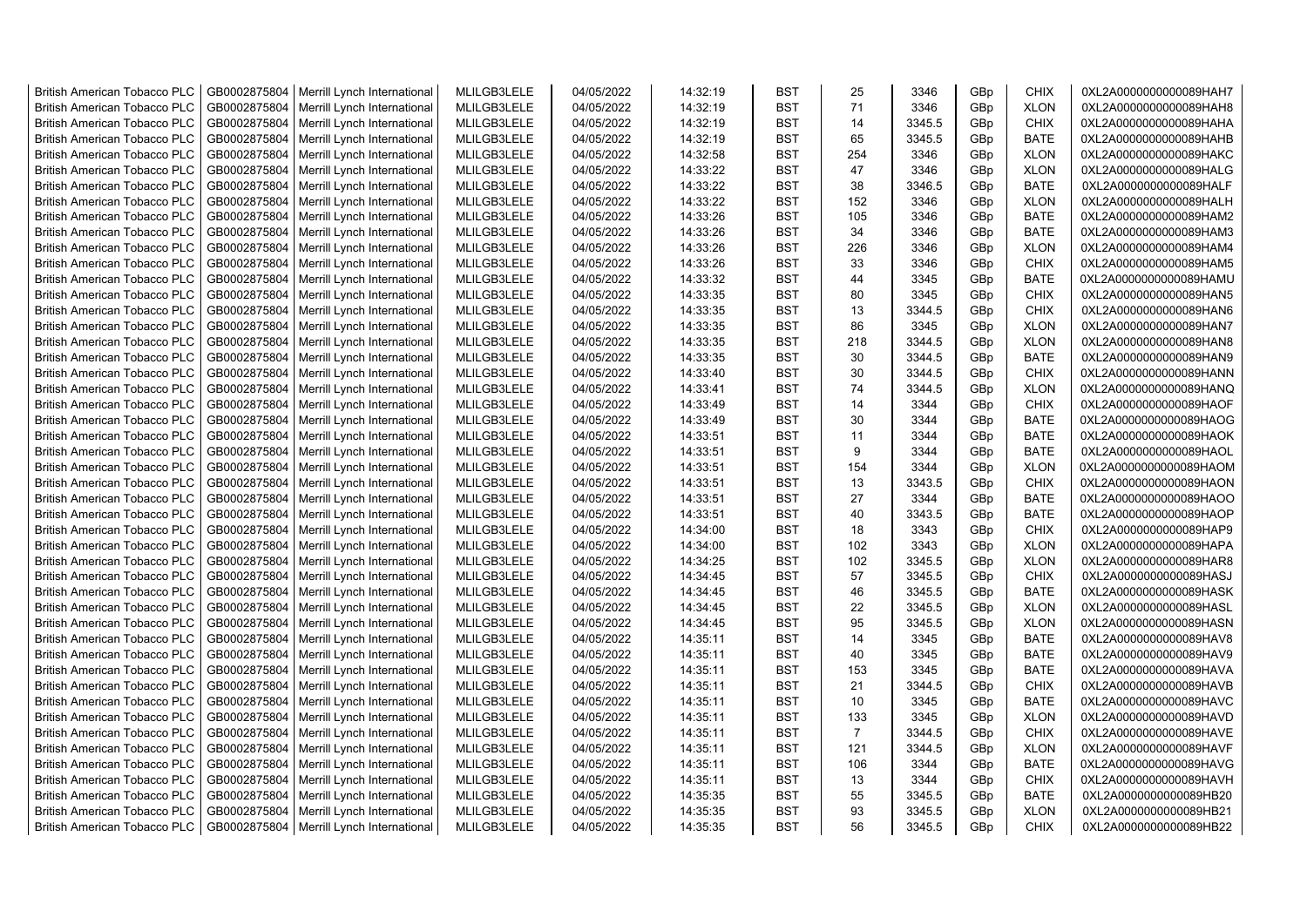| <b>British American Tobacco PLC</b> | GB0002875804 | Merrill Lynch International | MLILGB3LELE | 04/05/2022 | 14:32:19 | <b>BST</b> | 25             | 3346   | GBp             | <b>CHIX</b> | 0XL2A0000000000089HAH7 |
|-------------------------------------|--------------|-----------------------------|-------------|------------|----------|------------|----------------|--------|-----------------|-------------|------------------------|
| <b>British American Tobacco PLC</b> | GB0002875804 | Merrill Lynch International | MLILGB3LELE | 04/05/2022 | 14:32:19 | <b>BST</b> | 71             | 3346   | GBp             | <b>XLON</b> | 0XL2A0000000000089HAH8 |
| <b>British American Tobacco PLC</b> | GB0002875804 | Merrill Lynch International | MLILGB3LELE | 04/05/2022 | 14:32:19 | <b>BST</b> | 14             | 3345.5 | GBp             | <b>CHIX</b> | 0XL2A0000000000089HAHA |
| <b>British American Tobacco PLC</b> | GB0002875804 | Merrill Lynch International | MLILGB3LELE | 04/05/2022 | 14:32:19 | <b>BST</b> | 65             | 3345.5 | GBp             | <b>BATE</b> | 0XL2A0000000000089HAHB |
| <b>British American Tobacco PLC</b> | GB0002875804 | Merrill Lynch International | MLILGB3LELE | 04/05/2022 | 14:32:58 | <b>BST</b> | 254            | 3346   | GBp             | <b>XLON</b> | 0XL2A0000000000089HAKC |
| <b>British American Tobacco PLC</b> | GB0002875804 | Merrill Lynch International | MLILGB3LELE | 04/05/2022 | 14:33:22 | <b>BST</b> | 47             | 3346   | GBp             | <b>XLON</b> | 0XL2A0000000000089HALG |
| <b>British American Tobacco PLC</b> | GB0002875804 | Merrill Lynch International | MLILGB3LELE | 04/05/2022 | 14:33:22 | <b>BST</b> | 38             | 3346.5 | GBp             | <b>BATE</b> | 0XL2A0000000000089HALF |
| <b>British American Tobacco PLC</b> | GB0002875804 | Merrill Lynch International | MLILGB3LELE | 04/05/2022 | 14:33:22 | <b>BST</b> | 152            | 3346   | GBp             | <b>XLON</b> | 0XL2A0000000000089HALH |
| <b>British American Tobacco PLC</b> | GB0002875804 | Merrill Lynch International | MLILGB3LELE | 04/05/2022 | 14:33:26 | <b>BST</b> | 105            | 3346   | GBp             | <b>BATE</b> | 0XL2A0000000000089HAM2 |
| <b>British American Tobacco PLC</b> | GB0002875804 | Merrill Lynch International | MLILGB3LELE | 04/05/2022 | 14:33:26 | <b>BST</b> | 34             | 3346   | GBp             | <b>BATE</b> | 0XL2A0000000000089HAM3 |
| <b>British American Tobacco PLC</b> | GB0002875804 | Merrill Lynch International | MLILGB3LELE | 04/05/2022 | 14:33:26 | <b>BST</b> | 226            | 3346   | GBp             | <b>XLON</b> | 0XL2A0000000000089HAM4 |
| <b>British American Tobacco PLC</b> | GB0002875804 | Merrill Lynch International | MLILGB3LELE | 04/05/2022 | 14:33:26 | <b>BST</b> | 33             | 3346   | GBp             | <b>CHIX</b> | 0XL2A0000000000089HAM5 |
| <b>British American Tobacco PLC</b> | GB0002875804 | Merrill Lynch International | MLILGB3LELE | 04/05/2022 | 14:33:32 | <b>BST</b> | 44             | 3345   | GBp             | <b>BATE</b> | 0XL2A0000000000089HAMU |
| <b>British American Tobacco PLC</b> | GB0002875804 | Merrill Lynch International | MLILGB3LELE | 04/05/2022 | 14:33:35 | <b>BST</b> | 80             | 3345   | GBp             | <b>CHIX</b> | 0XL2A0000000000089HAN5 |
| <b>British American Tobacco PLC</b> | GB0002875804 | Merrill Lynch International | MLILGB3LELE | 04/05/2022 | 14:33:35 | <b>BST</b> | 13             | 3344.5 | GBp             | <b>CHIX</b> | 0XL2A0000000000089HAN6 |
| <b>British American Tobacco PLC</b> | GB0002875804 | Merrill Lynch International | MLILGB3LELE | 04/05/2022 | 14:33:35 | <b>BST</b> | 86             | 3345   | GBp             | <b>XLON</b> | 0XL2A0000000000089HAN7 |
| <b>British American Tobacco PLC</b> | GB0002875804 | Merrill Lynch International | MLILGB3LELE | 04/05/2022 | 14:33:35 | <b>BST</b> | 218            | 3344.5 | GBp             | <b>XLON</b> | 0XL2A0000000000089HAN8 |
| <b>British American Tobacco PLC</b> | GB0002875804 | Merrill Lynch International | MLILGB3LELE | 04/05/2022 | 14:33:35 | <b>BST</b> | 30             | 3344.5 | GBp             | <b>BATE</b> | 0XL2A0000000000089HAN9 |
| <b>British American Tobacco PLC</b> | GB0002875804 | Merrill Lynch International | MLILGB3LELE | 04/05/2022 | 14:33:40 | <b>BST</b> | 30             | 3344.5 | GBp             | <b>CHIX</b> | 0XL2A0000000000089HANN |
| <b>British American Tobacco PLC</b> | GB0002875804 | Merrill Lynch International | MLILGB3LELE | 04/05/2022 | 14:33:41 | <b>BST</b> | 74             | 3344.5 | GBp             | <b>XLON</b> | 0XL2A0000000000089HANQ |
| <b>British American Tobacco PLC</b> | GB0002875804 | Merrill Lynch International | MLILGB3LELE | 04/05/2022 | 14:33:49 | <b>BST</b> | 14             | 3344   | GBp             | <b>CHIX</b> | 0XL2A0000000000089HAOF |
| <b>British American Tobacco PLC</b> | GB0002875804 | Merrill Lynch International | MLILGB3LELE | 04/05/2022 | 14:33:49 | <b>BST</b> | 30             | 3344   | GBp             | <b>BATE</b> | 0XL2A0000000000089HAOG |
| British American Tobacco PLC        | GB0002875804 | Merrill Lynch International | MLILGB3LELE | 04/05/2022 | 14:33:51 | <b>BST</b> | 11             | 3344   | GBp             | <b>BATE</b> | 0XL2A0000000000089HAOK |
| <b>British American Tobacco PLC</b> | GB0002875804 | Merrill Lynch International | MLILGB3LELE | 04/05/2022 | 14:33:51 | <b>BST</b> | 9              | 3344   | GBp             | <b>BATE</b> | 0XL2A0000000000089HAOL |
| <b>British American Tobacco PLC</b> | GB0002875804 | Merrill Lynch International | MLILGB3LELE | 04/05/2022 | 14:33:51 | <b>BST</b> | 154            | 3344   | GBp             | <b>XLON</b> | 0XL2A0000000000089HAOM |
| <b>British American Tobacco PLC</b> | GB0002875804 | Merrill Lynch International | MLILGB3LELE | 04/05/2022 | 14:33:51 | <b>BST</b> | 13             | 3343.5 | GBp             | <b>CHIX</b> | 0XL2A0000000000089HAON |
| <b>British American Tobacco PLC</b> | GB0002875804 | Merrill Lynch International | MLILGB3LELE | 04/05/2022 | 14:33:51 | <b>BST</b> | 27             | 3344   | GBp             | <b>BATE</b> | 0XL2A0000000000089HAOO |
| <b>British American Tobacco PLC</b> | GB0002875804 | Merrill Lynch International | MLILGB3LELE | 04/05/2022 | 14:33:51 | <b>BST</b> | 40             | 3343.5 | GBp             | <b>BATE</b> | 0XL2A0000000000089HAOP |
| <b>British American Tobacco PLC</b> | GB0002875804 | Merrill Lynch International | MLILGB3LELE | 04/05/2022 | 14:34:00 | BST        | 18             | 3343   | GBp             | <b>CHIX</b> | 0XL2A0000000000089HAP9 |
| <b>British American Tobacco PLC</b> | GB0002875804 | Merrill Lynch International | MLILGB3LELE | 04/05/2022 | 14:34:00 | <b>BST</b> | 102            | 3343   | GBp             | <b>XLON</b> | 0XL2A0000000000089HAPA |
| <b>British American Tobacco PLC</b> | GB0002875804 | Merrill Lynch International | MLILGB3LELE | 04/05/2022 | 14:34:25 | <b>BST</b> | 102            | 3345.5 | GBp             | <b>XLON</b> | 0XL2A0000000000089HAR8 |
| <b>British American Tobacco PLC</b> | GB0002875804 | Merrill Lynch International | MLILGB3LELE | 04/05/2022 | 14:34:45 | <b>BST</b> | 57             | 3345.5 | GBp             | <b>CHIX</b> | 0XL2A0000000000089HASJ |
| <b>British American Tobacco PLC</b> | GB0002875804 | Merrill Lynch International | MLILGB3LELE | 04/05/2022 | 14:34:45 | BST        | 46             | 3345.5 | GBp             | <b>BATE</b> | 0XL2A0000000000089HASK |
| <b>British American Tobacco PLC</b> | GB0002875804 | Merrill Lynch International | MLILGB3LELE | 04/05/2022 | 14:34:45 | <b>BST</b> | 22             | 3345.5 | GBp             | <b>XLON</b> | 0XL2A0000000000089HASL |
| <b>British American Tobacco PLC</b> | GB0002875804 | Merrill Lynch International | MLILGB3LELE | 04/05/2022 | 14:34:45 | <b>BST</b> | 95             | 3345.5 | GBp             | <b>XLON</b> | 0XL2A0000000000089HASN |
| <b>British American Tobacco PLC</b> | GB0002875804 | Merrill Lynch International | MLILGB3LELE | 04/05/2022 | 14:35:11 | <b>BST</b> | 14             | 3345   | GBp             | <b>BATE</b> | 0XL2A0000000000089HAV8 |
| <b>British American Tobacco PLC</b> | GB0002875804 | Merrill Lynch International | MLILGB3LELE | 04/05/2022 | 14:35:11 | <b>BST</b> | 40             | 3345   | GBp             | <b>BATE</b> | 0XL2A0000000000089HAV9 |
| <b>British American Tobacco PLC</b> | GB0002875804 | Merrill Lynch International | MLILGB3LELE | 04/05/2022 | 14:35:11 | <b>BST</b> | 153            | 3345   | GBp             | BATE        | 0XL2A0000000000089HAVA |
| <b>British American Tobacco PLC</b> | GB0002875804 | Merrill Lynch International | MLILGB3LELE | 04/05/2022 | 14:35:11 | <b>BST</b> | 21             | 3344.5 | GBp             | <b>CHIX</b> | 0XL2A0000000000089HAVB |
| <b>British American Tobacco PLC</b> | GB0002875804 | Merrill Lynch International | MLILGB3LELE | 04/05/2022 | 14:35:11 | <b>BST</b> | 10             | 3345   | GBp             | <b>BATE</b> | 0XL2A0000000000089HAVC |
| <b>British American Tobacco PLC</b> | GB0002875804 | Merrill Lynch International | MLILGB3LELE | 04/05/2022 | 14:35:11 | <b>BST</b> | 133            | 3345   | GBp             | <b>XLON</b> | 0XL2A0000000000089HAVD |
| <b>British American Tobacco PLC</b> | GB0002875804 | Merrill Lynch International | MLILGB3LELE | 04/05/2022 | 14:35:11 | <b>BST</b> | $\overline{7}$ | 3344.5 | GBp             | <b>CHIX</b> | 0XL2A0000000000089HAVE |
| <b>British American Tobacco PLC</b> | GB0002875804 | Merrill Lynch International | MLILGB3LELE | 04/05/2022 | 14:35:11 | <b>BST</b> | 121            | 3344.5 | GBp             | <b>XLON</b> | 0XL2A0000000000089HAVF |
| <b>British American Tobacco PLC</b> | GB0002875804 | Merrill Lynch International | MLILGB3LELE | 04/05/2022 | 14:35:11 | <b>BST</b> | 106            | 3344   | GBp             | <b>BATE</b> | 0XL2A0000000000089HAVG |
| <b>British American Tobacco PLC</b> | GB0002875804 | Merrill Lynch International | MLILGB3LELE | 04/05/2022 | 14:35:11 | <b>BST</b> | 13             | 3344   | GBp             | <b>CHIX</b> | 0XL2A0000000000089HAVH |
| <b>British American Tobacco PLC</b> | GB0002875804 | Merrill Lynch International | MLILGB3LELE | 04/05/2022 | 14:35:35 | <b>BST</b> | 55             | 3345.5 | GBp             | <b>BATE</b> | 0XL2A0000000000089HB20 |
| <b>British American Tobacco PLC</b> | GB0002875804 | Merrill Lynch International | MLILGB3LELE | 04/05/2022 | 14:35:35 | <b>BST</b> | 93             | 3345.5 | GBp             | <b>XLON</b> | 0XL2A0000000000089HB21 |
| <b>British American Tobacco PLC</b> | GB0002875804 | Merrill Lynch International | MLILGB3LELE | 04/05/2022 | 14:35:35 | <b>BST</b> | 56             | 3345.5 | GB <sub>p</sub> | <b>CHIX</b> | 0XL2A0000000000089HB22 |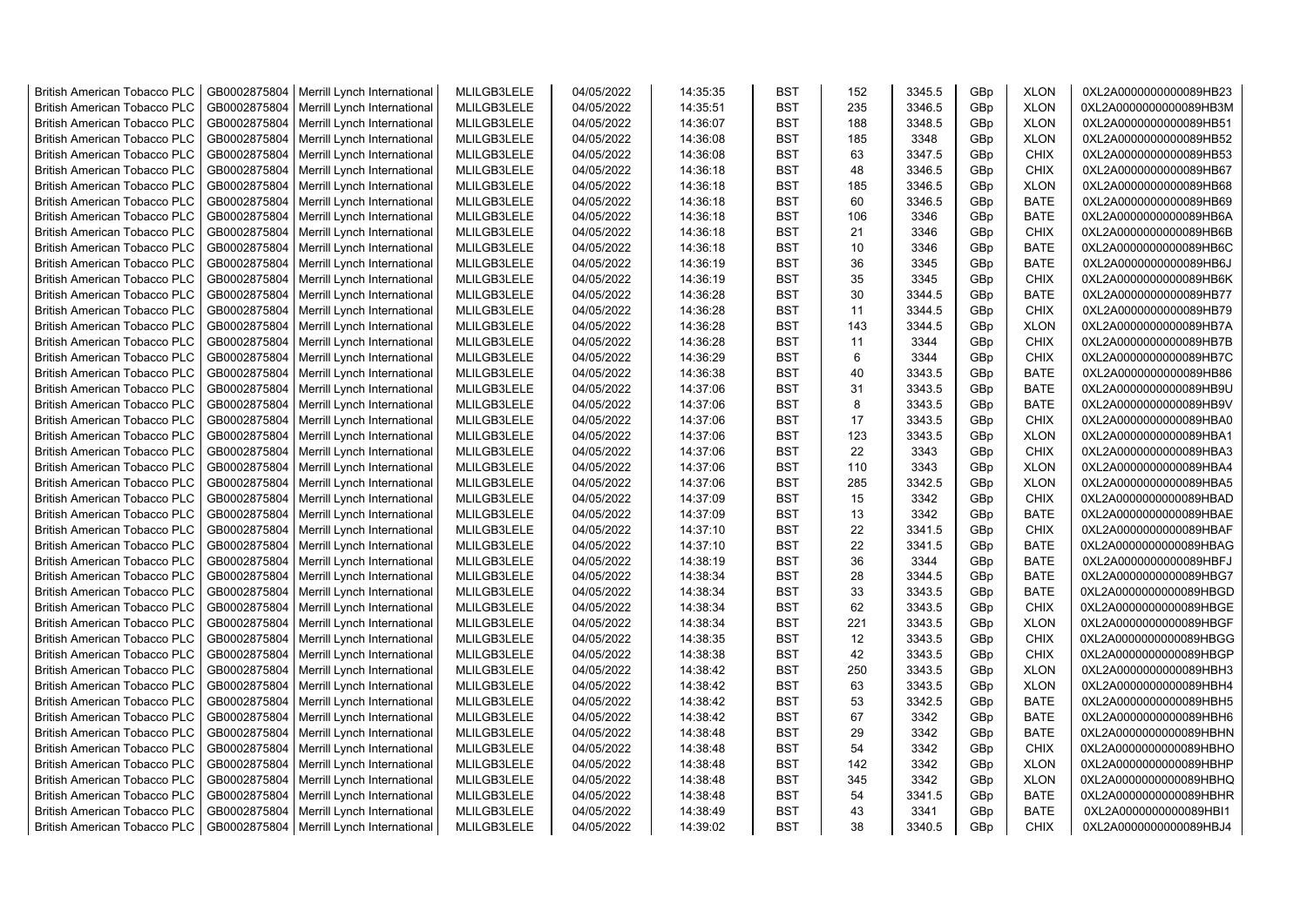| <b>British American Tobacco PLC</b> | GB0002875804 | Merrill Lynch International                | MLILGB3LELE | 04/05/2022 | 14:35:35 | <b>BST</b> | 152 | 3345.5 | GBp             | <b>XLON</b> | 0XL2A0000000000089HB23 |
|-------------------------------------|--------------|--------------------------------------------|-------------|------------|----------|------------|-----|--------|-----------------|-------------|------------------------|
| <b>British American Tobacco PLC</b> | GB0002875804 | Merrill Lynch International                | MLILGB3LELE | 04/05/2022 | 14:35:51 | <b>BST</b> | 235 | 3346.5 | GBp             | <b>XLON</b> | 0XL2A0000000000089HB3M |
| <b>British American Tobacco PLC</b> | GB0002875804 | Merrill Lynch International                | MLILGB3LELE | 04/05/2022 | 14:36:07 | <b>BST</b> | 188 | 3348.5 | GBp             | <b>XLON</b> | 0XL2A0000000000089HB51 |
| <b>British American Tobacco PLC</b> | GB0002875804 | Merrill Lynch International                | MLILGB3LELE | 04/05/2022 | 14:36:08 | <b>BST</b> | 185 | 3348   | GBp             | <b>XLON</b> | 0XL2A0000000000089HB52 |
| <b>British American Tobacco PLC</b> | GB0002875804 | Merrill Lynch International                | MLILGB3LELE | 04/05/2022 | 14:36:08 | <b>BST</b> | 63  | 3347.5 | GBp             | <b>CHIX</b> | 0XL2A0000000000089HB53 |
| <b>British American Tobacco PLC</b> | GB0002875804 | Merrill Lynch International                | MLILGB3LELE | 04/05/2022 | 14:36:18 | <b>BST</b> | 48  | 3346.5 | GBp             | <b>CHIX</b> | 0XL2A0000000000089HB67 |
| <b>British American Tobacco PLC</b> | GB0002875804 | Merrill Lynch International                | MLILGB3LELE | 04/05/2022 | 14:36:18 | <b>BST</b> | 185 | 3346.5 | GBp             | <b>XLON</b> | 0XL2A0000000000089HB68 |
| <b>British American Tobacco PLC</b> | GB0002875804 | Merrill Lynch International                | MLILGB3LELE | 04/05/2022 | 14:36:18 | BST        | 60  | 3346.5 | GBp             | <b>BATE</b> | 0XL2A0000000000089HB69 |
| <b>British American Tobacco PLC</b> | GB0002875804 | Merrill Lynch International                | MLILGB3LELE | 04/05/2022 | 14:36:18 | <b>BST</b> | 106 | 3346   | GBp             | <b>BATE</b> | 0XL2A0000000000089HB6A |
| <b>British American Tobacco PLC</b> | GB0002875804 | Merrill Lynch International                | MLILGB3LELE | 04/05/2022 | 14:36:18 | <b>BST</b> | 21  | 3346   | GBp             | <b>CHIX</b> | 0XL2A0000000000089HB6B |
| <b>British American Tobacco PLC</b> | GB0002875804 | Merrill Lynch International                | MLILGB3LELE | 04/05/2022 | 14:36:18 | <b>BST</b> | 10  | 3346   | GBp             | <b>BATE</b> | 0XL2A0000000000089HB6C |
| <b>British American Tobacco PLC</b> | GB0002875804 | Merrill Lynch International                | MLILGB3LELE | 04/05/2022 | 14:36:19 | <b>BST</b> | 36  | 3345   | GBp             | <b>BATE</b> | 0XL2A0000000000089HB6J |
| <b>British American Tobacco PLC</b> | GB0002875804 | Merrill Lynch International                | MLILGB3LELE | 04/05/2022 | 14:36:19 | <b>BST</b> | 35  | 3345   | GBp             | <b>CHIX</b> | 0XL2A0000000000089HB6K |
| <b>British American Tobacco PLC</b> | GB0002875804 | Merrill Lynch International                | MLILGB3LELE | 04/05/2022 | 14:36:28 | <b>BST</b> | 30  | 3344.5 | GBp             | <b>BATE</b> | 0XL2A0000000000089HB77 |
| <b>British American Tobacco PLC</b> | GB0002875804 | Merrill Lynch International                | MLILGB3LELE | 04/05/2022 | 14:36:28 | <b>BST</b> | 11  | 3344.5 | GBp             | <b>CHIX</b> | 0XL2A0000000000089HB79 |
| <b>British American Tobacco PLC</b> | GB0002875804 | Merrill Lynch International                | MLILGB3LELE | 04/05/2022 | 14:36:28 | <b>BST</b> | 143 | 3344.5 | GBp             | <b>XLON</b> | 0XL2A0000000000089HB7A |
| <b>British American Tobacco PLC</b> | GB0002875804 | Merrill Lynch International                | MLILGB3LELE | 04/05/2022 | 14:36:28 | <b>BST</b> | 11  | 3344   | GBp             | <b>CHIX</b> | 0XL2A0000000000089HB7B |
| <b>British American Tobacco PLC</b> | GB0002875804 | Merrill Lynch International                | MLILGB3LELE | 04/05/2022 | 14:36:29 | <b>BST</b> | 6   | 3344   | GBp             | <b>CHIX</b> | 0XL2A0000000000089HB7C |
| <b>British American Tobacco PLC</b> | GB0002875804 | Merrill Lynch International                | MLILGB3LELE | 04/05/2022 | 14:36:38 | <b>BST</b> | 40  | 3343.5 | GBp             | <b>BATE</b> | 0XL2A0000000000089HB86 |
| <b>British American Tobacco PLC</b> | GB0002875804 | Merrill Lynch International                | MLILGB3LELE | 04/05/2022 | 14:37:06 | BST        | 31  | 3343.5 | GBp             | <b>BATE</b> | 0XL2A0000000000089HB9U |
| <b>British American Tobacco PLC</b> | GB0002875804 | Merrill Lynch International                | MLILGB3LELE | 04/05/2022 | 14:37:06 | <b>BST</b> | 8   | 3343.5 | GBp             | <b>BATE</b> | 0XL2A0000000000089HB9V |
| <b>British American Tobacco PLC</b> | GB0002875804 | Merrill Lynch International                | MLILGB3LELE | 04/05/2022 | 14:37:06 | <b>BST</b> | 17  | 3343.5 | GBp             | <b>CHIX</b> | 0XL2A0000000000089HBA0 |
|                                     | GB0002875804 |                                            | MLILGB3LELE | 04/05/2022 | 14:37:06 | <b>BST</b> | 123 |        |                 |             |                        |
| <b>British American Tobacco PLC</b> |              | Merrill Lynch International                |             |            |          |            |     | 3343.5 | GBp             | <b>XLON</b> | 0XL2A0000000000089HBA1 |
| <b>British American Tobacco PLC</b> | GB0002875804 | Merrill Lynch International                | MLILGB3LELE | 04/05/2022 | 14:37:06 | BST        | 22  | 3343   | GBp             | <b>CHIX</b> | 0XL2A0000000000089HBA3 |
| <b>British American Tobacco PLC</b> | GB0002875804 | Merrill Lynch International                | MLILGB3LELE | 04/05/2022 | 14:37:06 | <b>BST</b> | 110 | 3343   | GBp             | <b>XLON</b> | 0XL2A0000000000089HBA4 |
| <b>British American Tobacco PLC</b> | GB0002875804 | Merrill Lynch International                | MLILGB3LELE | 04/05/2022 | 14:37:06 | <b>BST</b> | 285 | 3342.5 | GBp             | <b>XLON</b> | 0XL2A0000000000089HBA5 |
| <b>British American Tobacco PLC</b> | GB0002875804 | Merrill Lynch International                | MLILGB3LELE | 04/05/2022 | 14:37:09 | <b>BST</b> | 15  | 3342   | GBp             | <b>CHIX</b> | 0XL2A0000000000089HBAD |
| British American Tobacco PLC        | GB0002875804 | Merrill Lynch International                | MLILGB3LELE | 04/05/2022 | 14:37:09 | <b>BST</b> | 13  | 3342   | GBp             | <b>BATE</b> | 0XL2A0000000000089HBAE |
| <b>British American Tobacco PLC</b> | GB0002875804 | Merrill Lynch International                | MLILGB3LELE | 04/05/2022 | 14:37:10 | <b>BST</b> | 22  | 3341.5 | GBp             | <b>CHIX</b> | 0XL2A0000000000089HBAF |
| <b>British American Tobacco PLC</b> | GB0002875804 | Merrill Lynch International                | MLILGB3LELE | 04/05/2022 | 14:37:10 | <b>BST</b> | 22  | 3341.5 | GBp             | <b>BATE</b> | 0XL2A0000000000089HBAG |
| <b>British American Tobacco PLC</b> | GB0002875804 | Merrill Lynch International                | MLILGB3LELE | 04/05/2022 | 14:38:19 | <b>BST</b> | 36  | 3344   | GBp             | <b>BATE</b> | 0XL2A0000000000089HBFJ |
| <b>British American Tobacco PLC</b> | GB0002875804 | Merrill Lynch International                | MLILGB3LELE | 04/05/2022 | 14:38:34 | <b>BST</b> | 28  | 3344.5 | GBp             | <b>BATE</b> | 0XL2A0000000000089HBG7 |
| <b>British American Tobacco PLC</b> | GB0002875804 | Merrill Lynch International                | MLILGB3LELE | 04/05/2022 | 14:38:34 | <b>BST</b> | 33  | 3343.5 | GBp             | <b>BATE</b> | 0XL2A0000000000089HBGD |
| <b>British American Tobacco PLC</b> | GB0002875804 | Merrill Lynch International                | MLILGB3LELE | 04/05/2022 | 14:38:34 | <b>BST</b> | 62  | 3343.5 | GBp             | <b>CHIX</b> | 0XL2A0000000000089HBGE |
| <b>British American Tobacco PLC</b> | GB0002875804 | Merrill Lynch International                | MLILGB3LELE | 04/05/2022 | 14:38:34 | <b>BST</b> | 221 | 3343.5 | GBp             | <b>XLON</b> | 0XL2A0000000000089HBGF |
| <b>British American Tobacco PLC</b> | GB0002875804 | Merrill Lynch International                | MLILGB3LELE | 04/05/2022 | 14:38:35 | <b>BST</b> | 12  | 3343.5 | GBp             | <b>CHIX</b> | 0XL2A0000000000089HBGG |
| <b>British American Tobacco PLC</b> | GB0002875804 | Merrill Lynch International                | MLILGB3LELE | 04/05/2022 | 14:38:38 | <b>BST</b> | 42  | 3343.5 | GBp             | <b>CHIX</b> | 0XL2A0000000000089HBGP |
| <b>British American Tobacco PLC</b> | GB0002875804 | Merrill Lynch International                | MLILGB3LELE | 04/05/2022 | 14:38:42 | <b>BST</b> | 250 | 3343.5 | GBp             | <b>XLON</b> | 0XL2A0000000000089HBH3 |
| <b>British American Tobacco PLC</b> | GB0002875804 | Merrill Lynch International                | MLILGB3LELE | 04/05/2022 | 14:38:42 | <b>BST</b> | 63  | 3343.5 | GBp             | <b>XLON</b> | 0XL2A0000000000089HBH4 |
| <b>British American Tobacco PLC</b> | GB0002875804 | Merrill Lynch International                | MLILGB3LELE | 04/05/2022 | 14:38:42 | <b>BST</b> | 53  | 3342.5 | GBp             | <b>BATE</b> | 0XL2A0000000000089HBH5 |
| <b>British American Tobacco PLC</b> | GB0002875804 | Merrill Lynch International                | MLILGB3LELE | 04/05/2022 | 14:38:42 | <b>BST</b> | 67  | 3342   | GBp             | <b>BATE</b> | 0XL2A0000000000089HBH6 |
| <b>British American Tobacco PLC</b> | GB0002875804 | Merrill Lynch International                | MLILGB3LELE | 04/05/2022 | 14:38:48 | <b>BST</b> | 29  | 3342   | GBp             | <b>BATE</b> | 0XL2A0000000000089HBHN |
| <b>British American Tobacco PLC</b> | GB0002875804 | Merrill Lynch International                | MLILGB3LELE | 04/05/2022 | 14:38:48 | <b>BST</b> | 54  | 3342   | GBp             | <b>CHIX</b> | 0XL2A0000000000089HBHO |
| <b>British American Tobacco PLC</b> | GB0002875804 | Merrill Lynch International                | MLILGB3LELE | 04/05/2022 | 14:38:48 | <b>BST</b> | 142 | 3342   | GBp             | <b>XLON</b> | 0XL2A0000000000089HBHP |
| <b>British American Tobacco PLC</b> | GB0002875804 | Merrill Lynch International                | MLILGB3LELE | 04/05/2022 | 14:38:48 | <b>BST</b> | 345 | 3342   | GBp             | <b>XLON</b> | 0XL2A0000000000089HBHQ |
| <b>British American Tobacco PLC</b> | GB0002875804 | Merrill Lynch International                | MLILGB3LELE | 04/05/2022 | 14:38:48 | <b>BST</b> | 54  | 3341.5 | GBp             | <b>BATE</b> | 0XL2A0000000000089HBHR |
| <b>British American Tobacco PLC</b> | GB0002875804 | Merrill Lynch International                | MLILGB3LELE | 04/05/2022 | 14:38:49 | <b>BST</b> | 43  | 3341   | GBp             | <b>BATE</b> | 0XL2A0000000000089HBI1 |
| <b>British American Tobacco PLC</b> |              | GB0002875804   Merrill Lynch International | MLILGB3LELE | 04/05/2022 | 14:39:02 | <b>BST</b> | 38  | 3340.5 | GB <sub>p</sub> | <b>CHIX</b> | 0XL2A0000000000089HBJ4 |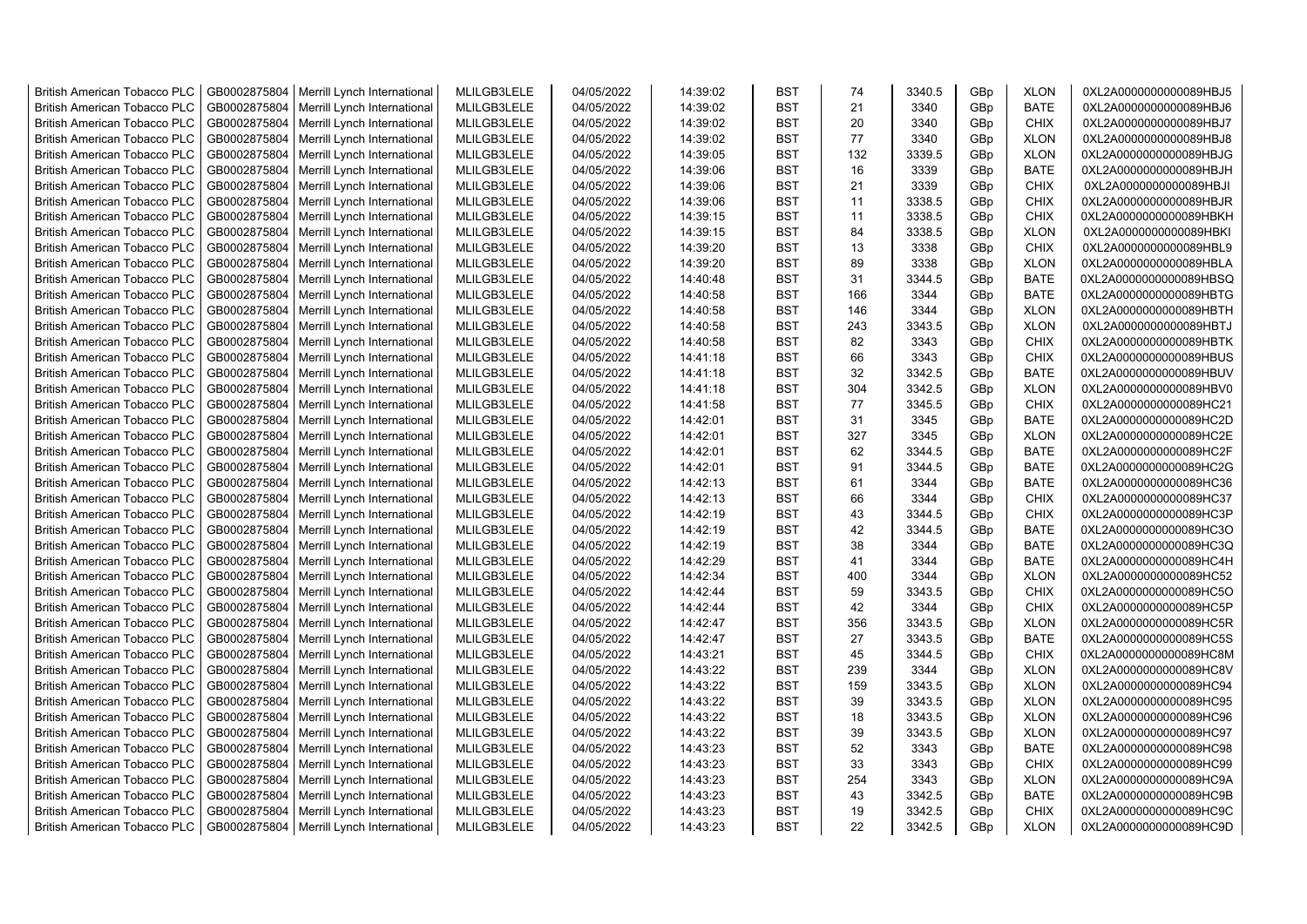| <b>British American Tobacco PLC</b> | GB0002875804 | Merrill Lynch International | MLILGB3LELE | 04/05/2022 | 14:39:02 | <b>BST</b> | 74  | 3340.5 | GBp             | <b>XLON</b> | 0XL2A0000000000089HBJ5 |
|-------------------------------------|--------------|-----------------------------|-------------|------------|----------|------------|-----|--------|-----------------|-------------|------------------------|
| <b>British American Tobacco PLC</b> | GB0002875804 | Merrill Lynch International | MLILGB3LELE | 04/05/2022 | 14:39:02 | <b>BST</b> | 21  | 3340   | GBp             | <b>BATE</b> | 0XL2A0000000000089HBJ6 |
| <b>British American Tobacco PLC</b> | GB0002875804 | Merrill Lynch International | MLILGB3LELE | 04/05/2022 | 14:39:02 | <b>BST</b> | 20  | 3340   | GBp             | <b>CHIX</b> | 0XL2A0000000000089HBJ7 |
| <b>British American Tobacco PLC</b> | GB0002875804 | Merrill Lynch International | MLILGB3LELE | 04/05/2022 | 14:39:02 | <b>BST</b> | 77  | 3340   | GBp             | <b>XLON</b> | 0XL2A0000000000089HBJ8 |
| <b>British American Tobacco PLC</b> | GB0002875804 | Merrill Lynch International | MLILGB3LELE | 04/05/2022 | 14:39:05 | <b>BST</b> | 132 | 3339.5 | GBp             | <b>XLON</b> | 0XL2A0000000000089HBJG |
| <b>British American Tobacco PLC</b> | GB0002875804 | Merrill Lynch International | MLILGB3LELE | 04/05/2022 | 14:39:06 | <b>BST</b> | 16  | 3339   | GBp             | <b>BATE</b> | 0XL2A0000000000089HBJH |
| <b>British American Tobacco PLC</b> | GB0002875804 | Merrill Lynch International | MLILGB3LELE | 04/05/2022 | 14:39:06 | <b>BST</b> | 21  | 3339   | GBp             | <b>CHIX</b> | 0XL2A0000000000089HBJI |
| <b>British American Tobacco PLC</b> | GB0002875804 | Merrill Lynch International | MLILGB3LELE | 04/05/2022 | 14:39:06 | <b>BST</b> | 11  | 3338.5 | GBp             | <b>CHIX</b> | 0XL2A0000000000089HBJR |
| <b>British American Tobacco PLC</b> | GB0002875804 | Merrill Lynch International | MLILGB3LELE | 04/05/2022 | 14:39:15 | <b>BST</b> | 11  | 3338.5 | GBp             | <b>CHIX</b> | 0XL2A0000000000089HBKH |
| <b>British American Tobacco PLC</b> | GB0002875804 | Merrill Lynch International | MLILGB3LELE | 04/05/2022 | 14:39:15 | <b>BST</b> | 84  | 3338.5 | GBp             | <b>XLON</b> | 0XL2A0000000000089HBKI |
| <b>British American Tobacco PLC</b> | GB0002875804 | Merrill Lynch International | MLILGB3LELE | 04/05/2022 | 14:39:20 | <b>BST</b> | 13  | 3338   | GBp             | <b>CHIX</b> | 0XL2A0000000000089HBL9 |
| <b>British American Tobacco PLC</b> | GB0002875804 | Merrill Lynch International | MLILGB3LELE | 04/05/2022 | 14:39:20 | <b>BST</b> | 89  | 3338   | GBp             | <b>XLON</b> | 0XL2A0000000000089HBLA |
| <b>British American Tobacco PLC</b> | GB0002875804 | Merrill Lynch International | MLILGB3LELE | 04/05/2022 | 14:40:48 | <b>BST</b> | 31  | 3344.5 | GBp             | <b>BATE</b> | 0XL2A0000000000089HBSQ |
| <b>British American Tobacco PLC</b> | GB0002875804 | Merrill Lynch International | MLILGB3LELE | 04/05/2022 | 14:40:58 | <b>BST</b> | 166 | 3344   | GBp             | <b>BATE</b> | 0XL2A0000000000089HBTG |
| <b>British American Tobacco PLC</b> | GB0002875804 | Merrill Lynch International | MLILGB3LELE | 04/05/2022 | 14:40:58 | <b>BST</b> | 146 | 3344   | GBp             | <b>XLON</b> | 0XL2A0000000000089HBTH |
| <b>British American Tobacco PLC</b> | GB0002875804 | Merrill Lynch International | MLILGB3LELE | 04/05/2022 | 14:40:58 | <b>BST</b> | 243 | 3343.5 | GBp             | <b>XLON</b> | 0XL2A0000000000089HBTJ |
| <b>British American Tobacco PLC</b> | GB0002875804 | Merrill Lynch International | MLILGB3LELE | 04/05/2022 | 14:40:58 | <b>BST</b> | 82  | 3343   | GBp             | <b>CHIX</b> | 0XL2A0000000000089HBTK |
| <b>British American Tobacco PLC</b> | GB0002875804 | Merrill Lynch International | MLILGB3LELE | 04/05/2022 | 14:41:18 | <b>BST</b> | 66  | 3343   | GBp             | <b>CHIX</b> | 0XL2A0000000000089HBUS |
| <b>British American Tobacco PLC</b> | GB0002875804 | Merrill Lynch International | MLILGB3LELE | 04/05/2022 | 14:41:18 | <b>BST</b> | 32  | 3342.5 | GBp             | <b>BATE</b> | 0XL2A0000000000089HBUV |
| <b>British American Tobacco PLC</b> | GB0002875804 | Merrill Lynch International | MLILGB3LELE | 04/05/2022 | 14:41:18 | <b>BST</b> | 304 | 3342.5 | GBp             | <b>XLON</b> | 0XL2A0000000000089HBV0 |
| <b>British American Tobacco PLC</b> | GB0002875804 | Merrill Lynch International | MLILGB3LELE | 04/05/2022 | 14:41:58 | <b>BST</b> | 77  | 3345.5 | GBp             | <b>CHIX</b> | 0XL2A0000000000089HC21 |
| <b>British American Tobacco PLC</b> | GB0002875804 | Merrill Lynch International | MLILGB3LELE | 04/05/2022 | 14:42:01 | <b>BST</b> | 31  | 3345   | GBp             | <b>BATE</b> | 0XL2A0000000000089HC2D |
| British American Tobacco PLC        | GB0002875804 | Merrill Lynch International | MLILGB3LELE | 04/05/2022 | 14:42:01 | <b>BST</b> | 327 | 3345   | GBp             | <b>XLON</b> | 0XL2A0000000000089HC2E |
| <b>British American Tobacco PLC</b> | GB0002875804 | Merrill Lynch International | MLILGB3LELE | 04/05/2022 | 14:42:01 | <b>BST</b> | 62  | 3344.5 | GBp             | <b>BATE</b> | 0XL2A0000000000089HC2F |
| <b>British American Tobacco PLC</b> | GB0002875804 | Merrill Lynch International | MLILGB3LELE | 04/05/2022 | 14:42:01 | <b>BST</b> | 91  | 3344.5 | GBp             | <b>BATE</b> | 0XL2A0000000000089HC2G |
| <b>British American Tobacco PLC</b> | GB0002875804 | Merrill Lynch International | MLILGB3LELE | 04/05/2022 | 14:42:13 | <b>BST</b> | 61  | 3344   | GBp             | BATE        | 0XL2A0000000000089HC36 |
| <b>British American Tobacco PLC</b> | GB0002875804 | Merrill Lynch International | MLILGB3LELE | 04/05/2022 | 14:42:13 | <b>BST</b> | 66  | 3344   | GBp             | <b>CHIX</b> | 0XL2A0000000000089HC37 |
| <b>British American Tobacco PLC</b> | GB0002875804 | Merrill Lynch International | MLILGB3LELE | 04/05/2022 | 14:42:19 | <b>BST</b> | 43  | 3344.5 | GBp             | <b>CHIX</b> | 0XL2A0000000000089HC3P |
| <b>British American Tobacco PLC</b> | GB0002875804 | Merrill Lynch International | MLILGB3LELE | 04/05/2022 | 14:42:19 | <b>BST</b> | 42  | 3344.5 | GBp             | <b>BATE</b> | 0XL2A0000000000089HC3O |
| <b>British American Tobacco PLC</b> | GB0002875804 | Merrill Lynch International | MLILGB3LELE | 04/05/2022 | 14:42:19 | <b>BST</b> | 38  | 3344   | GBp             | <b>BATE</b> | 0XL2A0000000000089HC3Q |
| <b>British American Tobacco PLC</b> | GB0002875804 | Merrill Lynch International | MLILGB3LELE | 04/05/2022 | 14:42:29 | <b>BST</b> | 41  | 3344   | GBp             | <b>BATE</b> | 0XL2A0000000000089HC4H |
| <b>British American Tobacco PLC</b> | GB0002875804 | Merrill Lynch International | MLILGB3LELE | 04/05/2022 | 14:42:34 | <b>BST</b> | 400 | 3344   | GBp             | <b>XLON</b> | 0XL2A0000000000089HC52 |
| <b>British American Tobacco PLC</b> | GB0002875804 | Merrill Lynch International | MLILGB3LELE | 04/05/2022 | 14:42:44 | BST        | 59  | 3343.5 | GBp             | <b>CHIX</b> | 0XL2A0000000000089HC5O |
| <b>British American Tobacco PLC</b> | GB0002875804 | Merrill Lynch International | MLILGB3LELE | 04/05/2022 | 14:42:44 | <b>BST</b> | 42  | 3344   | GBp             | <b>CHIX</b> | 0XL2A0000000000089HC5P |
| <b>British American Tobacco PLC</b> | GB0002875804 | Merrill Lynch International | MLILGB3LELE | 04/05/2022 | 14:42:47 | <b>BST</b> | 356 | 3343.5 | GBp             | <b>XLON</b> | 0XL2A0000000000089HC5R |
| <b>British American Tobacco PLC</b> | GB0002875804 | Merrill Lynch International | MLILGB3LELE | 04/05/2022 | 14:42:47 | <b>BST</b> | 27  | 3343.5 | GBp             | <b>BATE</b> | 0XL2A0000000000089HC5S |
| <b>British American Tobacco PLC</b> | GB0002875804 | Merrill Lynch International | MLILGB3LELE | 04/05/2022 | 14:43:21 | <b>BST</b> | 45  | 3344.5 | GBp             | <b>CHIX</b> | 0XL2A0000000000089HC8M |
| <b>British American Tobacco PLC</b> | GB0002875804 | Merrill Lynch International | MLILGB3LELE | 04/05/2022 | 14:43:22 | <b>BST</b> | 239 | 3344   | GBp             | <b>XLON</b> | 0XL2A0000000000089HC8V |
| <b>British American Tobacco PLC</b> | GB0002875804 | Merrill Lynch International | MLILGB3LELE | 04/05/2022 | 14:43:22 | <b>BST</b> | 159 | 3343.5 | GBp             | <b>XLON</b> | 0XL2A0000000000089HC94 |
| <b>British American Tobacco PLC</b> | GB0002875804 | Merrill Lynch International | MLILGB3LELE | 04/05/2022 | 14:43:22 | <b>BST</b> | 39  | 3343.5 | GBp             | <b>XLON</b> | 0XL2A0000000000089HC95 |
| <b>British American Tobacco PLC</b> | GB0002875804 | Merrill Lynch International | MLILGB3LELE | 04/05/2022 | 14:43:22 | <b>BST</b> | 18  | 3343.5 | GBp             | <b>XLON</b> | 0XL2A0000000000089HC96 |
| <b>British American Tobacco PLC</b> | GB0002875804 | Merrill Lynch International | MLILGB3LELE | 04/05/2022 | 14:43:22 | <b>BST</b> | 39  | 3343.5 | GBp             | <b>XLON</b> | 0XL2A0000000000089HC97 |
| <b>British American Tobacco PLC</b> | GB0002875804 | Merrill Lynch International | MLILGB3LELE | 04/05/2022 | 14:43:23 | <b>BST</b> | 52  | 3343   | GBp             | <b>BATE</b> | 0XL2A0000000000089HC98 |
| <b>British American Tobacco PLC</b> | GB0002875804 | Merrill Lynch International | MLILGB3LELE | 04/05/2022 | 14:43:23 | <b>BST</b> | 33  | 3343   | GBp             | <b>CHIX</b> | 0XL2A0000000000089HC99 |
| <b>British American Tobacco PLC</b> | GB0002875804 | Merrill Lynch International | MLILGB3LELE | 04/05/2022 | 14:43:23 | <b>BST</b> | 254 | 3343   | GBp             | <b>XLON</b> | 0XL2A0000000000089HC9A |
| <b>British American Tobacco PLC</b> | GB0002875804 | Merrill Lynch International | MLILGB3LELE | 04/05/2022 | 14:43:23 | <b>BST</b> | 43  | 3342.5 | GBp             | <b>BATE</b> | 0XL2A0000000000089HC9B |
| <b>British American Tobacco PLC</b> | GB0002875804 | Merrill Lynch International | MLILGB3LELE | 04/05/2022 | 14:43:23 | <b>BST</b> | 19  | 3342.5 | GBp             | <b>CHIX</b> | 0XL2A0000000000089HC9C |
| <b>British American Tobacco PLC</b> | GB0002875804 | Merrill Lynch International | MLILGB3LELE | 04/05/2022 | 14:43:23 | <b>BST</b> | 22  | 3342.5 | GB <sub>p</sub> | <b>XLON</b> | 0XL2A0000000000089HC9D |
|                                     |              |                             |             |            |          |            |     |        |                 |             |                        |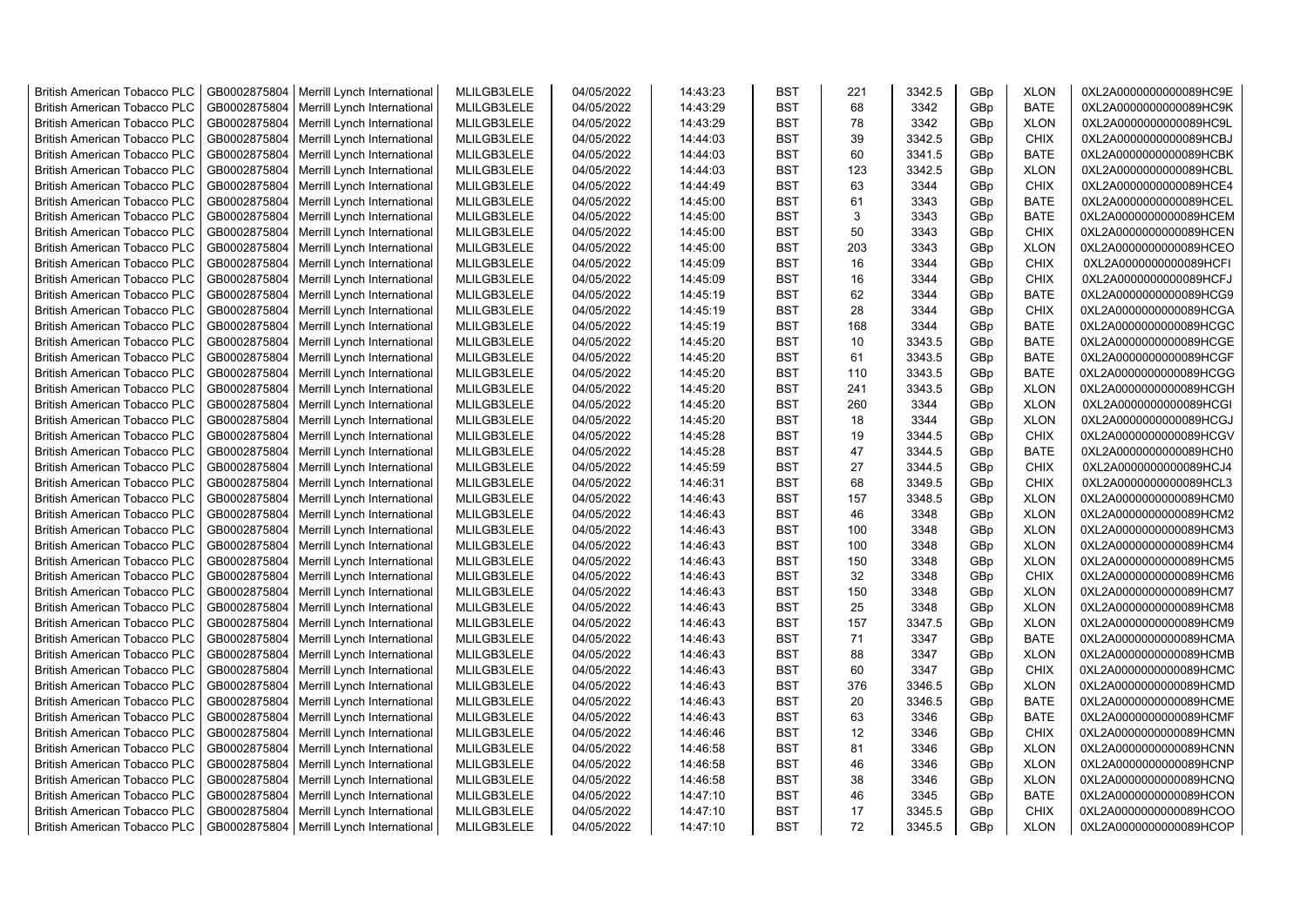| <b>British American Tobacco PLC</b> | GB0002875804 | Merrill Lynch International | MLILGB3LELE | 04/05/2022 | 14:43:23 | <b>BST</b> | 221 | 3342.5 | GBp             | <b>XLON</b> | 0XL2A0000000000089HC9E |
|-------------------------------------|--------------|-----------------------------|-------------|------------|----------|------------|-----|--------|-----------------|-------------|------------------------|
| <b>British American Tobacco PLC</b> | GB0002875804 | Merrill Lynch International | MLILGB3LELE | 04/05/2022 | 14:43:29 | <b>BST</b> | 68  | 3342   | GBp             | <b>BATE</b> | 0XL2A0000000000089HC9K |
| <b>British American Tobacco PLC</b> | GB0002875804 | Merrill Lynch International | MLILGB3LELE | 04/05/2022 | 14:43:29 | <b>BST</b> | 78  | 3342   | GBp             | <b>XLON</b> | 0XL2A0000000000089HC9L |
| <b>British American Tobacco PLC</b> | GB0002875804 | Merrill Lynch International | MLILGB3LELE | 04/05/2022 | 14:44:03 | <b>BST</b> | 39  | 3342.5 | GBp             | <b>CHIX</b> | 0XL2A0000000000089HCBJ |
| <b>British American Tobacco PLC</b> | GB0002875804 | Merrill Lynch International | MLILGB3LELE | 04/05/2022 | 14:44:03 | <b>BST</b> | 60  | 3341.5 | GBp             | <b>BATE</b> | 0XL2A0000000000089HCBK |
| <b>British American Tobacco PLC</b> | GB0002875804 | Merrill Lynch International | MLILGB3LELE | 04/05/2022 | 14:44:03 | <b>BST</b> | 123 | 3342.5 | GBp             | <b>XLON</b> | 0XL2A0000000000089HCBL |
| <b>British American Tobacco PLC</b> | GB0002875804 | Merrill Lynch International | MLILGB3LELE | 04/05/2022 | 14:44:49 | <b>BST</b> | 63  | 3344   | GBp             | <b>CHIX</b> | 0XL2A0000000000089HCE4 |
| <b>British American Tobacco PLC</b> | GB0002875804 | Merrill Lynch International | MLILGB3LELE | 04/05/2022 | 14:45:00 | <b>BST</b> | 61  | 3343   | GBp             | <b>BATE</b> | 0XL2A0000000000089HCEL |
| <b>British American Tobacco PLC</b> | GB0002875804 | Merrill Lynch International | MLILGB3LELE | 04/05/2022 | 14:45:00 | <b>BST</b> | 3   | 3343   | GBp             | <b>BATE</b> | 0XL2A0000000000089HCEM |
| <b>British American Tobacco PLC</b> | GB0002875804 | Merrill Lynch International | MLILGB3LELE | 04/05/2022 | 14:45:00 | <b>BST</b> | 50  | 3343   | GBp             | <b>CHIX</b> | 0XL2A0000000000089HCEN |
| <b>British American Tobacco PLC</b> | GB0002875804 | Merrill Lynch International | MLILGB3LELE | 04/05/2022 | 14:45:00 | <b>BST</b> | 203 | 3343   | GBp             | <b>XLON</b> | 0XL2A0000000000089HCEO |
| <b>British American Tobacco PLC</b> | GB0002875804 | Merrill Lynch International | MLILGB3LELE | 04/05/2022 | 14:45:09 | <b>BST</b> | 16  | 3344   | GBp             | <b>CHIX</b> | 0XL2A0000000000089HCFI |
| <b>British American Tobacco PLC</b> | GB0002875804 | Merrill Lynch International | MLILGB3LELE | 04/05/2022 | 14:45:09 | <b>BST</b> | 16  | 3344   | GBp             | <b>CHIX</b> | 0XL2A0000000000089HCFJ |
| <b>British American Tobacco PLC</b> | GB0002875804 | Merrill Lynch International | MLILGB3LELE | 04/05/2022 | 14:45:19 | <b>BST</b> | 62  | 3344   | GBp             | <b>BATE</b> | 0XL2A0000000000089HCG9 |
| <b>British American Tobacco PLC</b> | GB0002875804 | Merrill Lynch International | MLILGB3LELE | 04/05/2022 | 14:45:19 | <b>BST</b> | 28  | 3344   | GBp             | <b>CHIX</b> | 0XL2A0000000000089HCGA |
| <b>British American Tobacco PLC</b> | GB0002875804 | Merrill Lynch International | MLILGB3LELE | 04/05/2022 | 14:45:19 | <b>BST</b> | 168 | 3344   | GBp             | <b>BATE</b> | 0XL2A0000000000089HCGC |
| <b>British American Tobacco PLC</b> | GB0002875804 | Merrill Lynch International | MLILGB3LELE | 04/05/2022 | 14:45:20 | <b>BST</b> | 10  | 3343.5 | GBp             | <b>BATE</b> | 0XL2A0000000000089HCGE |
| <b>British American Tobacco PLC</b> | GB0002875804 | Merrill Lynch International | MLILGB3LELE | 04/05/2022 | 14:45:20 | <b>BST</b> | 61  | 3343.5 | GBp             | <b>BATE</b> | 0XL2A0000000000089HCGF |
| <b>British American Tobacco PLC</b> | GB0002875804 | Merrill Lynch International | MLILGB3LELE | 04/05/2022 | 14:45:20 | <b>BST</b> | 110 | 3343.5 | GBp             | <b>BATE</b> | 0XL2A0000000000089HCGG |
| <b>British American Tobacco PLC</b> | GB0002875804 | Merrill Lynch International | MLILGB3LELE | 04/05/2022 | 14:45:20 | <b>BST</b> | 241 | 3343.5 | GBp             | <b>XLON</b> | 0XL2A0000000000089HCGH |
| <b>British American Tobacco PLC</b> | GB0002875804 | Merrill Lynch International | MLILGB3LELE | 04/05/2022 | 14:45:20 | <b>BST</b> | 260 | 3344   | GBp             | <b>XLON</b> | 0XL2A0000000000089HCGI |
| <b>British American Tobacco PLC</b> | GB0002875804 | Merrill Lynch International | MLILGB3LELE | 04/05/2022 | 14:45:20 | <b>BST</b> | 18  | 3344   | GBp             | <b>XLON</b> | 0XL2A0000000000089HCGJ |
| <b>British American Tobacco PLC</b> | GB0002875804 | Merrill Lynch International | MLILGB3LELE | 04/05/2022 | 14:45:28 | <b>BST</b> | 19  | 3344.5 | GBp             | <b>CHIX</b> | 0XL2A0000000000089HCGV |
| <b>British American Tobacco PLC</b> | GB0002875804 | Merrill Lynch International | MLILGB3LELE | 04/05/2022 | 14:45:28 | <b>BST</b> | 47  | 3344.5 | GBp             | <b>BATE</b> | 0XL2A0000000000089HCH0 |
| <b>British American Tobacco PLC</b> | GB0002875804 | Merrill Lynch International | MLILGB3LELE | 04/05/2022 | 14:45:59 | <b>BST</b> | 27  | 3344.5 | GBp             | <b>CHIX</b> | 0XL2A0000000000089HCJ4 |
| British American Tobacco PLC        | GB0002875804 | Merrill Lynch International | MLILGB3LELE | 04/05/2022 | 14:46:31 | <b>BST</b> | 68  | 3349.5 | GBp             | <b>CHIX</b> | 0XL2A0000000000089HCL3 |
| British American Tobacco PLC        | GB0002875804 | Merrill Lynch International | MLILGB3LELE | 04/05/2022 | 14:46:43 | <b>BST</b> | 157 | 3348.5 | GBp             | <b>XLON</b> | 0XL2A0000000000089HCM0 |
| British American Tobacco PLC        | GB0002875804 | Merrill Lynch International | MLILGB3LELE | 04/05/2022 | 14:46:43 | <b>BST</b> | 46  | 3348   | GBp             | <b>XLON</b> | 0XL2A0000000000089HCM2 |
| <b>British American Tobacco PLC</b> | GB0002875804 | Merrill Lynch International | MLILGB3LELE | 04/05/2022 | 14:46:43 | <b>BST</b> | 100 | 3348   | GBp             | <b>XLON</b> | 0XL2A0000000000089HCM3 |
| <b>British American Tobacco PLC</b> | GB0002875804 | Merrill Lynch International | MLILGB3LELE | 04/05/2022 | 14:46:43 | <b>BST</b> | 100 | 3348   | GBp             | <b>XLON</b> | 0XL2A0000000000089HCM4 |
| <b>British American Tobacco PLC</b> | GB0002875804 | Merrill Lynch International | MLILGB3LELE | 04/05/2022 | 14:46:43 | <b>BST</b> | 150 | 3348   | GBp             | <b>XLON</b> | 0XL2A0000000000089HCM5 |
| <b>British American Tobacco PLC</b> | GB0002875804 | Merrill Lynch International | MLILGB3LELE | 04/05/2022 | 14:46:43 | <b>BST</b> | 32  | 3348   | GBp             | <b>CHIX</b> | 0XL2A0000000000089HCM6 |
| <b>British American Tobacco PLC</b> | GB0002875804 | Merrill Lynch International | MLILGB3LELE | 04/05/2022 | 14:46:43 | <b>BST</b> | 150 | 3348   | GBp             | <b>XLON</b> | 0XL2A0000000000089HCM7 |
| <b>British American Tobacco PLC</b> | GB0002875804 | Merrill Lynch International | MLILGB3LELE | 04/05/2022 | 14:46:43 | <b>BST</b> | 25  | 3348   | GBp             | <b>XLON</b> | 0XL2A0000000000089HCM8 |
| <b>British American Tobacco PLC</b> | GB0002875804 | Merrill Lynch International | MLILGB3LELE | 04/05/2022 | 14:46:43 | <b>BST</b> | 157 | 3347.5 | GBp             | <b>XLON</b> | 0XL2A0000000000089HCM9 |
| <b>British American Tobacco PLC</b> | GB0002875804 | Merrill Lynch International | MLILGB3LELE | 04/05/2022 | 14:46:43 | <b>BST</b> | 71  | 3347   | GBp             | <b>BATE</b> | 0XL2A0000000000089HCMA |
| British American Tobacco PLC        | GB0002875804 | Merrill Lynch International | MLILGB3LELE | 04/05/2022 | 14:46:43 | <b>BST</b> | 88  | 3347   | GBp             | <b>XLON</b> | 0XL2A0000000000089HCMB |
| <b>British American Tobacco PLC</b> | GB0002875804 | Merrill Lynch International | MLILGB3LELE | 04/05/2022 | 14:46:43 | <b>BST</b> | 60  | 3347   | GBp             | <b>CHIX</b> | 0XL2A0000000000089HCMC |
| <b>British American Tobacco PLC</b> | GB0002875804 | Merrill Lynch International | MLILGB3LELE | 04/05/2022 | 14:46:43 | <b>BST</b> | 376 | 3346.5 | GBp             | <b>XLON</b> | 0XL2A0000000000089HCMD |
| <b>British American Tobacco PLC</b> | GB0002875804 | Merrill Lynch International | MLILGB3LELE | 04/05/2022 | 14:46:43 | <b>BST</b> | 20  | 3346.5 | GBp             | <b>BATE</b> | 0XL2A0000000000089HCME |
| British American Tobacco PLC        | GB0002875804 | Merrill Lynch International | MLILGB3LELE | 04/05/2022 | 14:46:43 | <b>BST</b> | 63  | 3346   | GBp             | <b>BATE</b> | 0XL2A0000000000089HCMF |
| <b>British American Tobacco PLC</b> | GB0002875804 | Merrill Lynch International | MLILGB3LELE | 04/05/2022 | 14:46:46 | <b>BST</b> | 12  | 3346   | GBp             | <b>CHIX</b> | 0XL2A0000000000089HCMN |
| British American Tobacco PLC        | GB0002875804 | Merrill Lynch International | MLILGB3LELE | 04/05/2022 | 14:46:58 | <b>BST</b> | 81  | 3346   | GBp             | <b>XLON</b> | 0XL2A0000000000089HCNN |
| British American Tobacco PLC        | GB0002875804 | Merrill Lynch International | MLILGB3LELE | 04/05/2022 | 14:46:58 | <b>BST</b> | 46  | 3346   | GBp             | <b>XLON</b> | 0XL2A0000000000089HCNP |
| <b>British American Tobacco PLC</b> | GB0002875804 | Merrill Lynch International | MLILGB3LELE | 04/05/2022 | 14:46:58 | <b>BST</b> | 38  | 3346   | GBp             | <b>XLON</b> | 0XL2A0000000000089HCNQ |
| <b>British American Tobacco PLC</b> | GB0002875804 | Merrill Lynch International | MLILGB3LELE | 04/05/2022 | 14:47:10 | <b>BST</b> | 46  | 3345   | GBp             | <b>BATE</b> | 0XL2A0000000000089HCON |
| <b>British American Tobacco PLC</b> | GB0002875804 | Merrill Lynch International | MLILGB3LELE | 04/05/2022 | 14:47:10 | <b>BST</b> | 17  | 3345.5 | GBp             | <b>CHIX</b> | 0XL2A0000000000089HCOO |
| <b>British American Tobacco PLC</b> | GB0002875804 | Merrill Lynch International | MLILGB3LELE | 04/05/2022 | 14:47:10 | <b>BST</b> | 72  | 3345.5 | GB <sub>p</sub> | <b>XLON</b> | 0XL2A0000000000089HCOP |
|                                     |              |                             |             |            |          |            |     |        |                 |             |                        |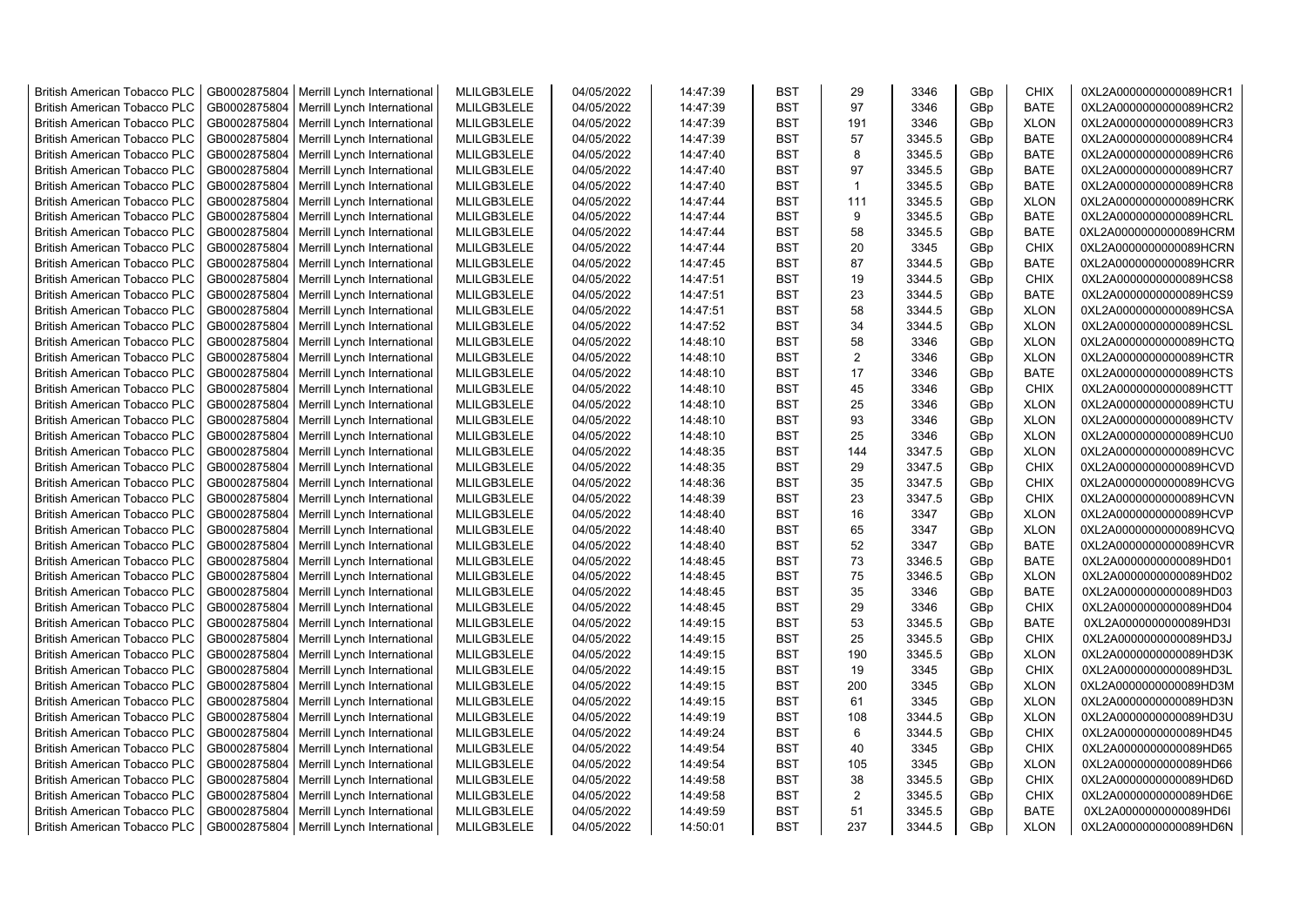| <b>British American Tobacco PLC</b> | GB0002875804 | Merrill Lynch International | MLILGB3LELE | 04/05/2022 | 14:47:39 | <b>BST</b> | 29             | 3346   | GBp | <b>CHIX</b> | 0XL2A0000000000089HCR1 |
|-------------------------------------|--------------|-----------------------------|-------------|------------|----------|------------|----------------|--------|-----|-------------|------------------------|
| <b>British American Tobacco PLC</b> | GB0002875804 | Merrill Lynch International | MLILGB3LELE | 04/05/2022 | 14:47:39 | <b>BST</b> | 97             | 3346   | GBp | <b>BATE</b> | 0XL2A0000000000089HCR2 |
| <b>British American Tobacco PLC</b> | GB0002875804 | Merrill Lynch International | MLILGB3LELE | 04/05/2022 | 14:47:39 | <b>BST</b> | 191            | 3346   | GBp | <b>XLON</b> | 0XL2A0000000000089HCR3 |
| <b>British American Tobacco PLC</b> | GB0002875804 | Merrill Lynch International | MLILGB3LELE | 04/05/2022 | 14:47:39 | <b>BST</b> | 57             | 3345.5 | GBp | <b>BATE</b> | 0XL2A0000000000089HCR4 |
| <b>British American Tobacco PLC</b> | GB0002875804 | Merrill Lynch International | MLILGB3LELE | 04/05/2022 | 14:47:40 | <b>BST</b> | 8              | 3345.5 | GBp | <b>BATE</b> | 0XL2A0000000000089HCR6 |
| <b>British American Tobacco PLC</b> | GB0002875804 | Merrill Lynch International | MLILGB3LELE | 04/05/2022 | 14:47:40 | <b>BST</b> | 97             | 3345.5 | GBp | <b>BATE</b> | 0XL2A0000000000089HCR7 |
| <b>British American Tobacco PLC</b> | GB0002875804 | Merrill Lynch International | MLILGB3LELE | 04/05/2022 | 14:47:40 | <b>BST</b> | $\mathbf{1}$   | 3345.5 | GBp | <b>BATE</b> | 0XL2A0000000000089HCR8 |
| <b>British American Tobacco PLC</b> | GB0002875804 | Merrill Lynch International | MLILGB3LELE | 04/05/2022 | 14:47:44 | <b>BST</b> | 111            | 3345.5 | GBp | <b>XLON</b> | 0XL2A0000000000089HCRK |
| <b>British American Tobacco PLC</b> | GB0002875804 | Merrill Lynch International | MLILGB3LELE | 04/05/2022 | 14:47:44 | <b>BST</b> | 9              | 3345.5 | GBp | <b>BATE</b> | 0XL2A0000000000089HCRL |
| <b>British American Tobacco PLC</b> | GB0002875804 | Merrill Lynch International | MLILGB3LELE | 04/05/2022 | 14:47:44 | <b>BST</b> | 58             | 3345.5 | GBp | <b>BATE</b> | 0XL2A0000000000089HCRM |
| <b>British American Tobacco PLC</b> | GB0002875804 | Merrill Lynch International | MLILGB3LELE | 04/05/2022 | 14:47:44 | <b>BST</b> | 20             | 3345   | GBp | <b>CHIX</b> | 0XL2A0000000000089HCRN |
| <b>British American Tobacco PLC</b> | GB0002875804 | Merrill Lynch International | MLILGB3LELE | 04/05/2022 | 14:47:45 | <b>BST</b> | 87             | 3344.5 | GBp | <b>BATE</b> | 0XL2A0000000000089HCRR |
| <b>British American Tobacco PLC</b> | GB0002875804 | Merrill Lynch International | MLILGB3LELE | 04/05/2022 | 14:47:51 | <b>BST</b> | 19             | 3344.5 | GBp | <b>CHIX</b> | 0XL2A0000000000089HCS8 |
| <b>British American Tobacco PLC</b> | GB0002875804 | Merrill Lynch International | MLILGB3LELE | 04/05/2022 | 14:47:51 | <b>BST</b> | 23             | 3344.5 | GBp | <b>BATE</b> | 0XL2A0000000000089HCS9 |
|                                     |              |                             |             |            |          |            |                |        |     |             |                        |
| <b>British American Tobacco PLC</b> | GB0002875804 | Merrill Lynch International | MLILGB3LELE | 04/05/2022 | 14:47:51 | <b>BST</b> | 58             | 3344.5 | GBp | <b>XLON</b> | 0XL2A0000000000089HCSA |
| <b>British American Tobacco PLC</b> | GB0002875804 | Merrill Lynch International | MLILGB3LELE | 04/05/2022 | 14:47:52 | <b>BST</b> | 34             | 3344.5 | GBp | <b>XLON</b> | 0XL2A0000000000089HCSL |
| <b>British American Tobacco PLC</b> | GB0002875804 | Merrill Lynch International | MLILGB3LELE | 04/05/2022 | 14:48:10 | <b>BST</b> | 58             | 3346   | GBp | <b>XLON</b> | 0XL2A0000000000089HCTQ |
| <b>British American Tobacco PLC</b> | GB0002875804 | Merrill Lynch International | MLILGB3LELE | 04/05/2022 | 14:48:10 | <b>BST</b> | 2              | 3346   | GBp | <b>XLON</b> | 0XL2A0000000000089HCTR |
| <b>British American Tobacco PLC</b> | GB0002875804 | Merrill Lynch International | MLILGB3LELE | 04/05/2022 | 14:48:10 | <b>BST</b> | 17             | 3346   | GBp | <b>BATE</b> | 0XL2A0000000000089HCTS |
| <b>British American Tobacco PLC</b> | GB0002875804 | Merrill Lynch International | MLILGB3LELE | 04/05/2022 | 14:48:10 | <b>BST</b> | 45             | 3346   | GBp | <b>CHIX</b> | 0XL2A0000000000089HCTT |
| <b>British American Tobacco PLC</b> | GB0002875804 | Merrill Lynch International | MLILGB3LELE | 04/05/2022 | 14:48:10 | <b>BST</b> | 25             | 3346   | GBp | <b>XLON</b> | 0XL2A0000000000089HCTU |
| <b>British American Tobacco PLC</b> | GB0002875804 | Merrill Lynch International | MLILGB3LELE | 04/05/2022 | 14:48:10 | <b>BST</b> | 93             | 3346   | GBp | <b>XLON</b> | 0XL2A0000000000089HCTV |
| <b>British American Tobacco PLC</b> | GB0002875804 | Merrill Lynch International | MLILGB3LELE | 04/05/2022 | 14:48:10 | <b>BST</b> | 25             | 3346   | GBp | <b>XLON</b> | 0XL2A0000000000089HCU0 |
| <b>British American Tobacco PLC</b> | GB0002875804 | Merrill Lynch International | MLILGB3LELE | 04/05/2022 | 14:48:35 | BST        | 144            | 3347.5 | GBp | <b>XLON</b> | 0XL2A0000000000089HCVC |
| <b>British American Tobacco PLC</b> | GB0002875804 | Merrill Lynch International | MLILGB3LELE | 04/05/2022 | 14:48:35 | <b>BST</b> | 29             | 3347.5 | GBp | <b>CHIX</b> | 0XL2A0000000000089HCVD |
| British American Tobacco PLC        | GB0002875804 | Merrill Lynch International | MLILGB3LELE | 04/05/2022 | 14:48:36 | <b>BST</b> | 35             | 3347.5 | GBp | <b>CHIX</b> | 0XL2A0000000000089HCVG |
| <b>British American Tobacco PLC</b> | GB0002875804 | Merrill Lynch International | MLILGB3LELE | 04/05/2022 | 14:48:39 | <b>BST</b> | 23             | 3347.5 | GBp | <b>CHIX</b> | 0XL2A0000000000089HCVN |
| British American Tobacco PLC        | GB0002875804 | Merrill Lynch International | MLILGB3LELE | 04/05/2022 | 14:48:40 | <b>BST</b> | 16             | 3347   | GBp | <b>XLON</b> | 0XL2A0000000000089HCVP |
| <b>British American Tobacco PLC</b> | GB0002875804 | Merrill Lynch International | MLILGB3LELE | 04/05/2022 | 14:48:40 | <b>BST</b> | 65             | 3347   | GBp | <b>XLON</b> | 0XL2A0000000000089HCVQ |
| <b>British American Tobacco PLC</b> | GB0002875804 | Merrill Lynch International | MLILGB3LELE | 04/05/2022 | 14:48:40 | <b>BST</b> | 52             | 3347   | GBp | <b>BATE</b> | 0XL2A0000000000089HCVR |
| <b>British American Tobacco PLC</b> | GB0002875804 | Merrill Lynch International | MLILGB3LELE | 04/05/2022 | 14:48:45 | <b>BST</b> | 73             | 3346.5 | GBp | <b>BATE</b> | 0XL2A0000000000089HD01 |
| <b>British American Tobacco PLC</b> | GB0002875804 | Merrill Lynch International | MLILGB3LELE | 04/05/2022 | 14:48:45 | <b>BST</b> | 75             | 3346.5 | GBp | <b>XLON</b> | 0XL2A0000000000089HD02 |
| <b>British American Tobacco PLC</b> | GB0002875804 | Merrill Lynch International | MLILGB3LELE | 04/05/2022 | 14:48:45 | <b>BST</b> | 35             | 3346   | GBp | <b>BATE</b> | 0XL2A0000000000089HD03 |
| <b>British American Tobacco PLC</b> | GB0002875804 | Merrill Lynch International | MLILGB3LELE | 04/05/2022 | 14:48:45 | <b>BST</b> | 29             | 3346   | GBp | <b>CHIX</b> | 0XL2A0000000000089HD04 |
| <b>British American Tobacco PLC</b> | GB0002875804 | Merrill Lynch International | MLILGB3LELE | 04/05/2022 | 14:49:15 | <b>BST</b> | 53             | 3345.5 | GBp | <b>BATE</b> | 0XL2A0000000000089HD3I |
| <b>British American Tobacco PLC</b> | GB0002875804 | Merrill Lynch International | MLILGB3LELE | 04/05/2022 | 14:49:15 | <b>BST</b> | 25             | 3345.5 | GBp | <b>CHIX</b> | 0XL2A0000000000089HD3J |
| <b>British American Tobacco PLC</b> | GB0002875804 | Merrill Lynch International | MLILGB3LELE | 04/05/2022 | 14:49:15 | <b>BST</b> | 190            | 3345.5 | GBp | <b>XLON</b> | 0XL2A0000000000089HD3K |
| <b>British American Tobacco PLC</b> | GB0002875804 | Merrill Lynch International | MLILGB3LELE | 04/05/2022 | 14:49:15 | <b>BST</b> | 19             | 3345   | GBp | <b>CHIX</b> | 0XL2A0000000000089HD3L |
| <b>British American Tobacco PLC</b> | GB0002875804 | Merrill Lynch International | MLILGB3LELE | 04/05/2022 | 14:49:15 | <b>BST</b> | 200            | 3345   | GBp | <b>XLON</b> | 0XL2A0000000000089HD3M |
| <b>British American Tobacco PLC</b> | GB0002875804 | Merrill Lynch International | MLILGB3LELE | 04/05/2022 | 14:49:15 | <b>BST</b> | 61             | 3345   | GBp | <b>XLON</b> | 0XL2A0000000000089HD3N |
| <b>British American Tobacco PLC</b> | GB0002875804 | Merrill Lynch International | MLILGB3LELE | 04/05/2022 | 14:49:19 | <b>BST</b> | 108            | 3344.5 | GBp | <b>XLON</b> | 0XL2A0000000000089HD3U |
| <b>British American Tobacco PLC</b> | GB0002875804 | Merrill Lynch International | MLILGB3LELE | 04/05/2022 | 14:49:24 | <b>BST</b> | 6              | 3344.5 | GBp | <b>CHIX</b> | 0XL2A0000000000089HD45 |
| <b>British American Tobacco PLC</b> | GB0002875804 | Merrill Lynch International | MLILGB3LELE | 04/05/2022 | 14:49:54 | <b>BST</b> | 40             | 3345   | GBp | <b>CHIX</b> | 0XL2A0000000000089HD65 |
| British American Tobacco PLC        | GB0002875804 | Merrill Lynch International | MLILGB3LELE | 04/05/2022 | 14:49:54 | <b>BST</b> | 105            | 3345   | GBp | <b>XLON</b> | 0XL2A0000000000089HD66 |
| <b>British American Tobacco PLC</b> | GB0002875804 | Merrill Lynch International | MLILGB3LELE | 04/05/2022 | 14:49:58 | <b>BST</b> | 38             | 3345.5 | GBp | <b>CHIX</b> | 0XL2A0000000000089HD6D |
| <b>British American Tobacco PLC</b> | GB0002875804 | Merrill Lynch International | MLILGB3LELE | 04/05/2022 | 14:49:58 | <b>BST</b> | $\overline{2}$ | 3345.5 | GBp | <b>CHIX</b> | 0XL2A0000000000089HD6E |
| <b>British American Tobacco PLC</b> | GB0002875804 | Merrill Lynch International | MLILGB3LELE | 04/05/2022 | 14:49:59 | <b>BST</b> | 51             | 3345.5 | GBp | <b>BATE</b> | 0XL2A0000000000089HD6I |
| <b>British American Tobacco PLC</b> | GB0002875804 | Merrill Lynch International | MLILGB3LELE | 04/05/2022 | 14:50:01 | <b>BST</b> | 237            | 3344.5 | GBp | <b>XLON</b> | 0XL2A0000000000089HD6N |
|                                     |              |                             |             |            |          |            |                |        |     |             |                        |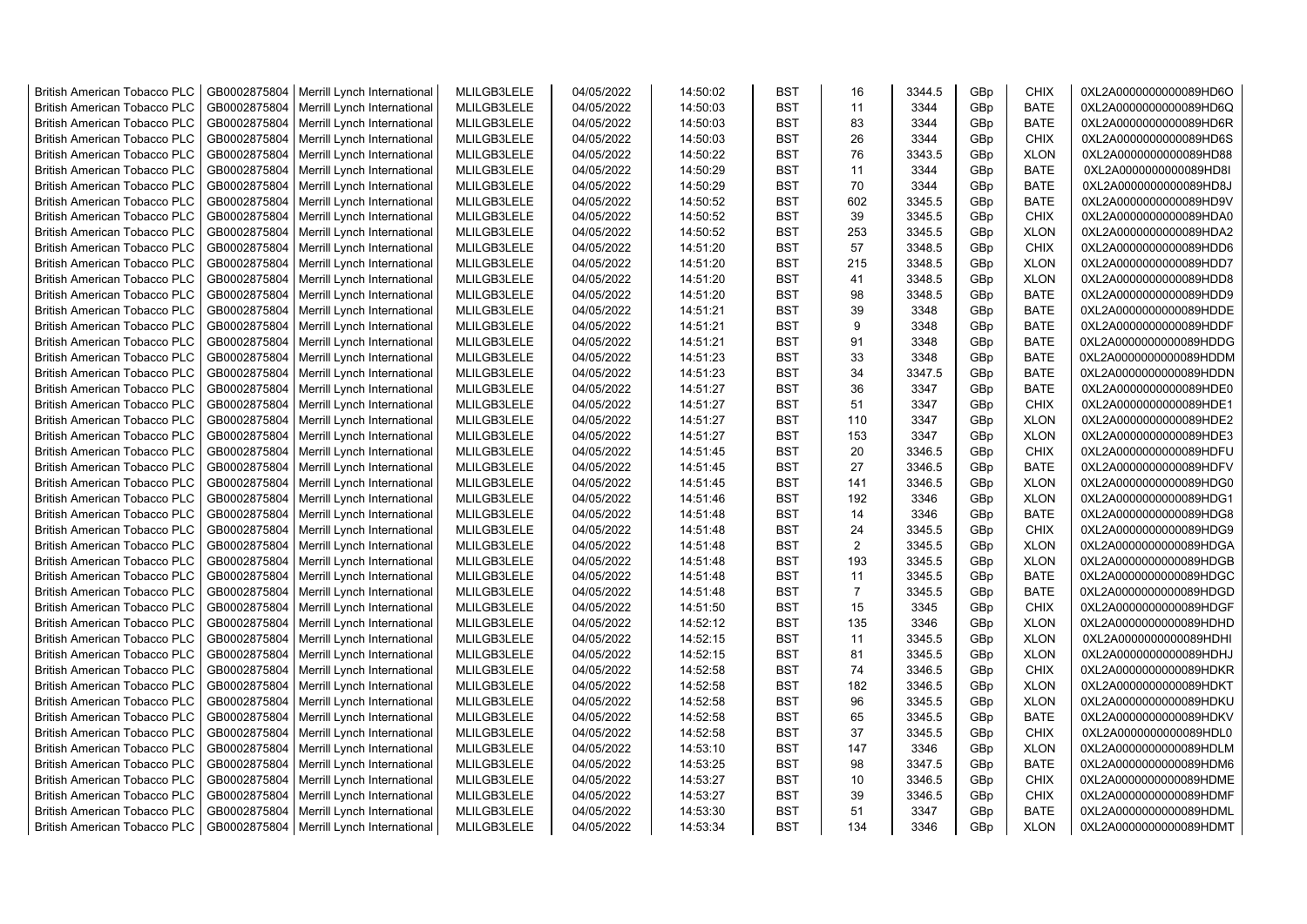| <b>British American Tobacco PLC</b>                                 | GB0002875804                 | Merrill Lynch International | MLILGB3LELE                | 04/05/2022               | 14:50:02             | <b>BST</b>               | 16             | 3344.5           | GBp | <b>CHIX</b>                | 0XL2A0000000000089HD6O                           |
|---------------------------------------------------------------------|------------------------------|-----------------------------|----------------------------|--------------------------|----------------------|--------------------------|----------------|------------------|-----|----------------------------|--------------------------------------------------|
| <b>British American Tobacco PLC</b>                                 | GB0002875804                 | Merrill Lynch International | MLILGB3LELE                | 04/05/2022               | 14:50:03             | <b>BST</b>               | 11             | 3344             | GBp | <b>BATE</b>                | 0XL2A0000000000089HD6Q                           |
| <b>British American Tobacco PLC</b>                                 | GB0002875804                 | Merrill Lynch International | MLILGB3LELE                | 04/05/2022               | 14:50:03             | <b>BST</b>               | 83             | 3344             | GBp | <b>BATE</b>                | 0XL2A0000000000089HD6R                           |
| <b>British American Tobacco PLC</b>                                 | GB0002875804                 | Merrill Lynch International | MLILGB3LELE                | 04/05/2022               | 14:50:03             | <b>BST</b>               | 26             | 3344             | GBp | <b>CHIX</b>                | 0XL2A0000000000089HD6S                           |
| <b>British American Tobacco PLC</b>                                 | GB0002875804                 | Merrill Lynch International | MLILGB3LELE                | 04/05/2022               | 14:50:22             | <b>BST</b>               | 76             | 3343.5           | GBp | <b>XLON</b>                | 0XL2A0000000000089HD88                           |
| <b>British American Tobacco PLC</b>                                 | GB0002875804                 | Merrill Lynch International | MLILGB3LELE                | 04/05/2022               | 14:50:29             | <b>BST</b>               | 11             | 3344             | GBp | <b>BATE</b>                | 0XL2A0000000000089HD8I                           |
| <b>British American Tobacco PLC</b>                                 | GB0002875804                 | Merrill Lynch International | MLILGB3LELE                | 04/05/2022               | 14:50:29             | <b>BST</b>               | 70             | 3344             | GBp | <b>BATE</b>                | 0XL2A0000000000089HD8J                           |
| <b>British American Tobacco PLC</b>                                 | GB0002875804                 | Merrill Lynch International | MLILGB3LELE                | 04/05/2022               | 14:50:52             | <b>BST</b>               | 602            | 3345.5           | GBp | <b>BATE</b>                | 0XL2A0000000000089HD9V                           |
| <b>British American Tobacco PLC</b>                                 | GB0002875804                 | Merrill Lynch International | MLILGB3LELE                | 04/05/2022               | 14:50:52             | <b>BST</b>               | 39             | 3345.5           | GBp | <b>CHIX</b>                | 0XL2A0000000000089HDA0                           |
| <b>British American Tobacco PLC</b>                                 | GB0002875804                 | Merrill Lynch International | MLILGB3LELE                | 04/05/2022               | 14:50:52             | <b>BST</b>               | 253            | 3345.5           | GBp | <b>XLON</b>                | 0XL2A0000000000089HDA2                           |
| <b>British American Tobacco PLC</b>                                 | GB0002875804                 | Merrill Lynch International | MLILGB3LELE                | 04/05/2022               | 14:51:20             | <b>BST</b>               | 57             | 3348.5           | GBp | <b>CHIX</b>                | 0XL2A0000000000089HDD6                           |
| <b>British American Tobacco PLC</b>                                 | GB0002875804                 | Merrill Lynch International | MLILGB3LELE                | 04/05/2022               | 14:51:20             | <b>BST</b>               | 215            | 3348.5           | GBp | <b>XLON</b>                | 0XL2A0000000000089HDD7                           |
| <b>British American Tobacco PLC</b>                                 | GB0002875804                 | Merrill Lynch International | MLILGB3LELE                | 04/05/2022               | 14:51:20             | <b>BST</b>               | 41             | 3348.5           | GBp | <b>XLON</b>                | 0XL2A0000000000089HDD8                           |
| <b>British American Tobacco PLC</b>                                 | GB0002875804                 | Merrill Lynch International | MLILGB3LELE                | 04/05/2022               | 14:51:20             | <b>BST</b>               | 98             | 3348.5           | GBp | <b>BATE</b>                | 0XL2A0000000000089HDD9                           |
| <b>British American Tobacco PLC</b>                                 | GB0002875804                 | Merrill Lynch International | MLILGB3LELE                | 04/05/2022               | 14:51:21             | <b>BST</b>               | 39             | 3348             | GBp | <b>BATE</b>                | 0XL2A0000000000089HDDE                           |
| <b>British American Tobacco PLC</b>                                 | GB0002875804                 | Merrill Lynch International | MLILGB3LELE                | 04/05/2022               | 14:51:21             | <b>BST</b>               | 9              | 3348             | GBp | <b>BATE</b>                | 0XL2A0000000000089HDDF                           |
| <b>British American Tobacco PLC</b>                                 | GB0002875804                 | Merrill Lynch International | MLILGB3LELE                | 04/05/2022               | 14:51:21             | <b>BST</b>               | 91             | 3348             | GBp | BATE                       | 0XL2A0000000000089HDDG                           |
| <b>British American Tobacco PLC</b>                                 | GB0002875804                 | Merrill Lynch International | MLILGB3LELE                | 04/05/2022               | 14:51:23             | <b>BST</b>               | 33             | 3348             | GBp | <b>BATE</b>                | 0XL2A0000000000089HDDM                           |
| <b>British American Tobacco PLC</b>                                 | GB0002875804                 | Merrill Lynch International | MLILGB3LELE                | 04/05/2022               | 14:51:23             | <b>BST</b>               | 34             | 3347.5           | GBp | <b>BATE</b>                | 0XL2A0000000000089HDDN                           |
| <b>British American Tobacco PLC</b>                                 | GB0002875804                 | Merrill Lynch International | MLILGB3LELE                | 04/05/2022               | 14:51:27             | <b>BST</b>               | 36             | 3347             | GBp | <b>BATE</b>                | 0XL2A0000000000089HDE0                           |
| <b>British American Tobacco PLC</b>                                 | GB0002875804                 | Merrill Lynch International | MLILGB3LELE                | 04/05/2022               | 14:51:27             | <b>BST</b>               | 51             | 3347             | GBp | <b>CHIX</b>                | 0XL2A0000000000089HDE1                           |
| <b>British American Tobacco PLC</b>                                 | GB0002875804                 | Merrill Lynch International | MLILGB3LELE                | 04/05/2022               | 14:51:27             | <b>BST</b>               | 110            | 3347             | GBp | <b>XLON</b>                | 0XL2A0000000000089HDE2                           |
| <b>British American Tobacco PLC</b>                                 | GB0002875804                 | Merrill Lynch International | MLILGB3LELE                | 04/05/2022               | 14:51:27             | <b>BST</b>               | 153            | 3347             | GBp | <b>XLON</b>                | 0XL2A0000000000089HDE3                           |
| <b>British American Tobacco PLC</b>                                 | GB0002875804                 | Merrill Lynch International | MLILGB3LELE                | 04/05/2022               | 14:51:45             | BST                      | 20             | 3346.5           | GBp | <b>CHIX</b>                | 0XL2A0000000000089HDFU                           |
| <b>British American Tobacco PLC</b>                                 | GB0002875804                 | Merrill Lynch International | MLILGB3LELE                | 04/05/2022               | 14:51:45             | <b>BST</b>               | 27             | 3346.5           | GBp | <b>BATE</b>                | 0XL2A0000000000089HDFV                           |
| British American Tobacco PLC                                        | GB0002875804                 | Merrill Lynch International | MLILGB3LELE                | 04/05/2022               | 14:51:45             | <b>BST</b>               | 141            | 3346.5           | GBp | <b>XLON</b>                | 0XL2A0000000000089HDG0                           |
| <b>British American Tobacco PLC</b>                                 | GB0002875804                 | Merrill Lynch International | MLILGB3LELE                | 04/05/2022               | 14:51:46             | <b>BST</b>               | 192            | 3346             | GBp | <b>XLON</b>                | 0XL2A0000000000089HDG1                           |
| British American Tobacco PLC                                        | GB0002875804                 | Merrill Lynch International | MLILGB3LELE                | 04/05/2022               | 14:51:48             | <b>BST</b>               | 14             | 3346             | GBp | <b>BATE</b>                | 0XL2A0000000000089HDG8                           |
| <b>British American Tobacco PLC</b>                                 | GB0002875804                 | Merrill Lynch International | MLILGB3LELE                | 04/05/2022               | 14:51:48             | <b>BST</b>               | 24             | 3345.5           | GBp | <b>CHIX</b>                | 0XL2A0000000000089HDG9                           |
| <b>British American Tobacco PLC</b>                                 | GB0002875804                 | Merrill Lynch International | MLILGB3LELE                | 04/05/2022               | 14:51:48             | <b>BST</b>               | 2              | 3345.5           | GBp | <b>XLON</b>                | 0XL2A0000000000089HDGA                           |
| <b>British American Tobacco PLC</b>                                 | GB0002875804                 | Merrill Lynch International | MLILGB3LELE                | 04/05/2022               | 14:51:48             | <b>BST</b>               | 193            | 3345.5           | GBp | <b>XLON</b>                | 0XL2A0000000000089HDGB                           |
| <b>British American Tobacco PLC</b>                                 | GB0002875804                 | Merrill Lynch International | MLILGB3LELE                | 04/05/2022               | 14:51:48             | <b>BST</b>               | 11             | 3345.5           | GBp | <b>BATE</b>                | 0XL2A0000000000089HDGC                           |
| <b>British American Tobacco PLC</b>                                 | GB0002875804                 | Merrill Lynch International | MLILGB3LELE                | 04/05/2022               | 14:51:48             | <b>BST</b>               | $\overline{7}$ | 3345.5           | GBp | <b>BATE</b>                | 0XL2A0000000000089HDGD                           |
| <b>British American Tobacco PLC</b>                                 | GB0002875804                 | Merrill Lynch International | MLILGB3LELE                | 04/05/2022               | 14:51:50             | <b>BST</b>               | 15             | 3345             | GBp | <b>CHIX</b>                | 0XL2A0000000000089HDGF                           |
| <b>British American Tobacco PLC</b>                                 | GB0002875804                 | Merrill Lynch International | MLILGB3LELE                | 04/05/2022               | 14:52:12             | <b>BST</b>               | 135            | 3346             | GBp | <b>XLON</b>                | 0XL2A0000000000089HDHD                           |
| <b>British American Tobacco PLC</b>                                 | GB0002875804                 | Merrill Lynch International | MLILGB3LELE                | 04/05/2022               | 14:52:15             | <b>BST</b>               | 11             | 3345.5           | GBp | <b>XLON</b>                | 0XL2A0000000000089HDHI                           |
| <b>British American Tobacco PLC</b>                                 | GB0002875804                 | Merrill Lynch International | MLILGB3LELE                | 04/05/2022               | 14:52:15             | <b>BST</b>               | 81             | 3345.5           | GBp | <b>XLON</b>                | 0XL2A0000000000089HDHJ                           |
| <b>British American Tobacco PLC</b>                                 | GB0002875804                 | Merrill Lynch International | MLILGB3LELE                | 04/05/2022               | 14:52:58             | <b>BST</b>               | 74             | 3346.5           | GBp | <b>CHIX</b>                | 0XL2A0000000000089HDKR                           |
| <b>British American Tobacco PLC</b>                                 | GB0002875804                 | Merrill Lynch International | MLILGB3LELE                | 04/05/2022               | 14:52:58             | <b>BST</b>               | 182            | 3346.5           | GBp | <b>XLON</b>                | 0XL2A0000000000089HDKT                           |
| <b>British American Tobacco PLC</b>                                 | GB0002875804                 | Merrill Lynch International | MLILGB3LELE                | 04/05/2022               | 14:52:58             | <b>BST</b>               | 96             | 3345.5           | GBp | <b>XLON</b>                | 0XL2A0000000000089HDKU                           |
| <b>British American Tobacco PLC</b>                                 | GB0002875804                 | Merrill Lynch International | MLILGB3LELE                | 04/05/2022               | 14:52:58             | <b>BST</b>               | 65             | 3345.5           | GBp | BATE                       | 0XL2A0000000000089HDKV                           |
| <b>British American Tobacco PLC</b>                                 | GB0002875804                 | Merrill Lynch International | MLILGB3LELE                | 04/05/2022               | 14:52:58             | <b>BST</b>               | 37             | 3345.5           | GBp | <b>CHIX</b>                | 0XL2A0000000000089HDL0                           |
|                                                                     |                              |                             |                            |                          |                      | <b>BST</b>               | 147            |                  |     |                            |                                                  |
| <b>British American Tobacco PLC</b>                                 | GB0002875804                 | Merrill Lynch International | MLILGB3LELE                | 04/05/2022               | 14:53:10             | <b>BST</b>               | 98             | 3346             | GBp | <b>XLON</b>                | 0XL2A0000000000089HDLM                           |
| British American Tobacco PLC<br><b>British American Tobacco PLC</b> | GB0002875804<br>GB0002875804 | Merrill Lynch International | MLILGB3LELE<br>MLILGB3LELE | 04/05/2022<br>04/05/2022 | 14:53:25<br>14:53:27 | <b>BST</b>               | 10             | 3347.5<br>3346.5 | GBp | <b>BATE</b><br><b>CHIX</b> | 0XL2A0000000000089HDM6<br>0XL2A0000000000089HDME |
|                                                                     |                              | Merrill Lynch International | MLILGB3LELE                |                          |                      |                          |                |                  | GBp |                            |                                                  |
| <b>British American Tobacco PLC</b>                                 | GB0002875804                 | Merrill Lynch International |                            | 04/05/2022               | 14:53:27             | <b>BST</b><br><b>BST</b> | 39             | 3346.5           | GBp | <b>CHIX</b>                | 0XL2A0000000000089HDMF                           |
| <b>British American Tobacco PLC</b>                                 | GB0002875804                 | Merrill Lynch International | MLILGB3LELE                | 04/05/2022               | 14:53:30             | <b>BST</b>               | 51<br>134      | 3347             | GBp | <b>BATE</b>                | 0XL2A0000000000089HDML                           |
| <b>British American Tobacco PLC</b>                                 | GB0002875804                 | Merrill Lynch International | MLILGB3LELE                | 04/05/2022               | 14:53:34             |                          |                | 3346             | GBp | <b>XLON</b>                | 0XL2A0000000000089HDMT                           |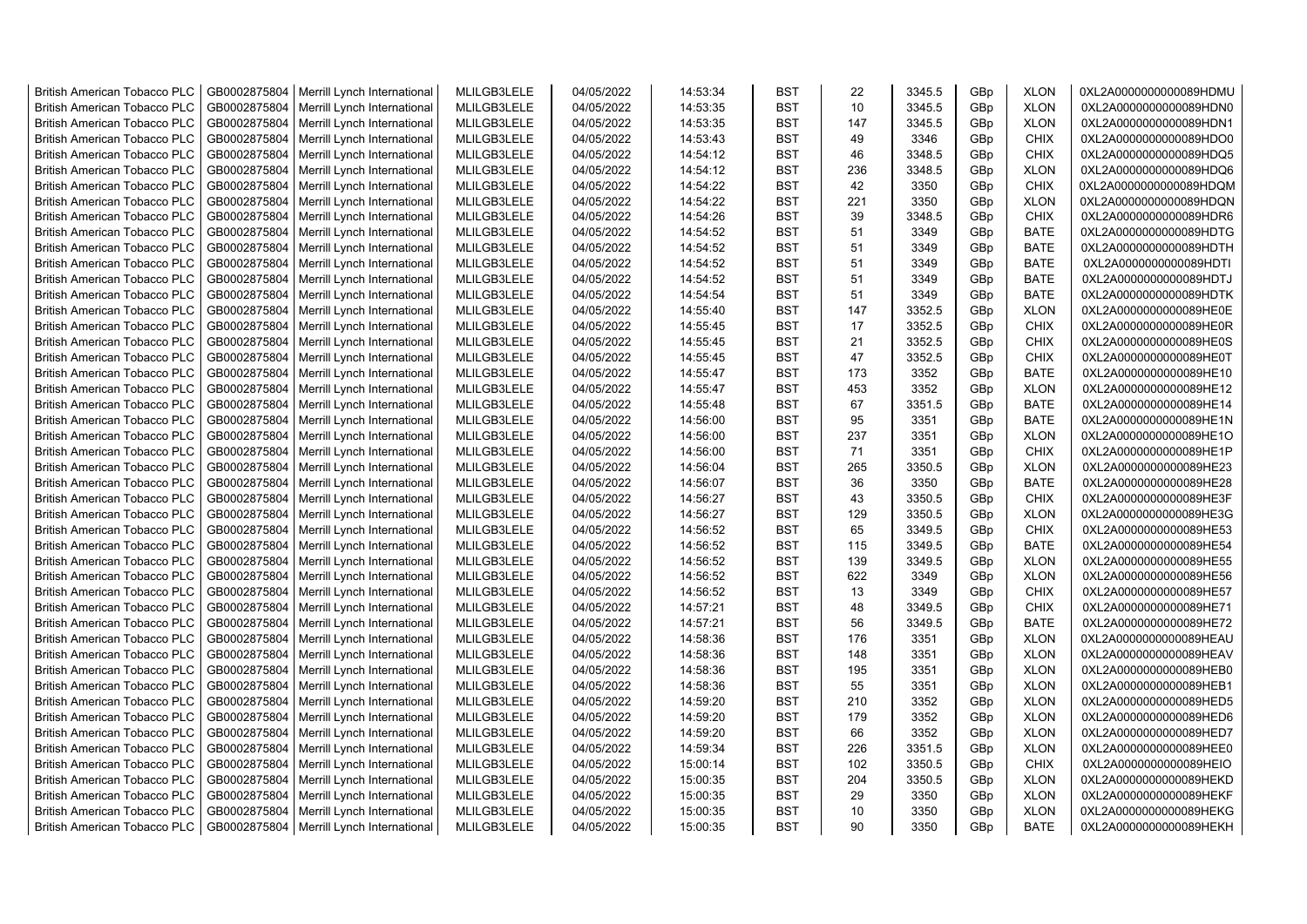| <b>British American Tobacco PLC</b> | GB0002875804 | Merrill Lynch International | MLILGB3LELE | 04/05/2022 | 14:53:34 | <b>BST</b> | 22  | 3345.5 | GBp | <b>XLON</b> | 0XL2A0000000000089HDMU |
|-------------------------------------|--------------|-----------------------------|-------------|------------|----------|------------|-----|--------|-----|-------------|------------------------|
| <b>British American Tobacco PLC</b> | GB0002875804 | Merrill Lynch International | MLILGB3LELE | 04/05/2022 | 14:53:35 | <b>BST</b> | 10  | 3345.5 | GBp | <b>XLON</b> | 0XL2A0000000000089HDN0 |
| <b>British American Tobacco PLC</b> | GB0002875804 | Merrill Lynch International | MLILGB3LELE | 04/05/2022 | 14:53:35 | <b>BST</b> | 147 | 3345.5 | GBp | <b>XLON</b> | 0XL2A0000000000089HDN1 |
| <b>British American Tobacco PLC</b> | GB0002875804 | Merrill Lynch International | MLILGB3LELE | 04/05/2022 | 14:53:43 | <b>BST</b> | 49  | 3346   | GBp | <b>CHIX</b> | 0XL2A0000000000089HDO0 |
| <b>British American Tobacco PLC</b> | GB0002875804 | Merrill Lynch International | MLILGB3LELE | 04/05/2022 | 14:54:12 | <b>BST</b> | 46  | 3348.5 | GBp | <b>CHIX</b> | 0XL2A0000000000089HDQ5 |
| <b>British American Tobacco PLC</b> | GB0002875804 | Merrill Lynch International | MLILGB3LELE | 04/05/2022 | 14:54:12 | <b>BST</b> | 236 | 3348.5 | GBp | <b>XLON</b> | 0XL2A0000000000089HDQ6 |
| <b>British American Tobacco PLC</b> | GB0002875804 | Merrill Lynch International | MLILGB3LELE | 04/05/2022 | 14:54:22 | <b>BST</b> | 42  | 3350   | GBp | <b>CHIX</b> | 0XL2A0000000000089HDQM |
| <b>British American Tobacco PLC</b> | GB0002875804 | Merrill Lynch International | MLILGB3LELE | 04/05/2022 | 14:54:22 | <b>BST</b> | 221 | 3350   | GBp | <b>XLON</b> | 0XL2A0000000000089HDQN |
| <b>British American Tobacco PLC</b> | GB0002875804 | Merrill Lynch International | MLILGB3LELE | 04/05/2022 | 14:54:26 | <b>BST</b> | 39  | 3348.5 | GBp | <b>CHIX</b> | 0XL2A0000000000089HDR6 |
| <b>British American Tobacco PLC</b> | GB0002875804 | Merrill Lynch International | MLILGB3LELE | 04/05/2022 | 14:54:52 | <b>BST</b> | 51  | 3349   | GBp | <b>BATE</b> | 0XL2A0000000000089HDTG |
| British American Tobacco PLC        | GB0002875804 | Merrill Lynch International | MLILGB3LELE | 04/05/2022 | 14:54:52 | <b>BST</b> | 51  | 3349   | GBp | <b>BATE</b> | 0XL2A0000000000089HDTH |
| <b>British American Tobacco PLC</b> | GB0002875804 | Merrill Lynch International | MLILGB3LELE | 04/05/2022 | 14:54:52 | <b>BST</b> | 51  | 3349   | GBp | <b>BATE</b> | 0XL2A0000000000089HDTI |
| <b>British American Tobacco PLC</b> | GB0002875804 | Merrill Lynch International | MLILGB3LELE | 04/05/2022 | 14:54:52 | <b>BST</b> | 51  | 3349   | GBp | <b>BATE</b> | 0XL2A0000000000089HDTJ |
| <b>British American Tobacco PLC</b> | GB0002875804 | Merrill Lynch International | MLILGB3LELE | 04/05/2022 | 14:54:54 | <b>BST</b> | 51  | 3349   | GBp | <b>BATE</b> | 0XL2A0000000000089HDTK |
| <b>British American Tobacco PLC</b> | GB0002875804 | Merrill Lynch International | MLILGB3LELE | 04/05/2022 | 14:55:40 | <b>BST</b> | 147 | 3352.5 | GBp | <b>XLON</b> | 0XL2A0000000000089HE0E |
| <b>British American Tobacco PLC</b> | GB0002875804 | Merrill Lynch International | MLILGB3LELE | 04/05/2022 | 14:55:45 | <b>BST</b> | 17  | 3352.5 | GBp | <b>CHIX</b> | 0XL2A0000000000089HE0R |
| <b>British American Tobacco PLC</b> | GB0002875804 | Merrill Lynch International | MLILGB3LELE | 04/05/2022 | 14:55:45 | <b>BST</b> | 21  | 3352.5 | GBp | <b>CHIX</b> | 0XL2A0000000000089HE0S |
| <b>British American Tobacco PLC</b> | GB0002875804 | Merrill Lynch International | MLILGB3LELE | 04/05/2022 | 14:55:45 | <b>BST</b> | 47  | 3352.5 | GBp | <b>CHIX</b> | 0XL2A0000000000089HE0T |
| <b>British American Tobacco PLC</b> | GB0002875804 | Merrill Lynch International | MLILGB3LELE | 04/05/2022 | 14:55:47 | <b>BST</b> | 173 | 3352   | GBp | <b>BATE</b> | 0XL2A0000000000089HE10 |
| <b>British American Tobacco PLC</b> | GB0002875804 | Merrill Lynch International | MLILGB3LELE | 04/05/2022 | 14:55:47 | <b>BST</b> | 453 | 3352   | GBp | <b>XLON</b> | 0XL2A0000000000089HE12 |
| <b>British American Tobacco PLC</b> | GB0002875804 | Merrill Lynch International | MLILGB3LELE | 04/05/2022 | 14:55:48 | <b>BST</b> | 67  | 3351.5 | GBp | <b>BATE</b> | 0XL2A0000000000089HE14 |
| <b>British American Tobacco PLC</b> | GB0002875804 | Merrill Lynch International | MLILGB3LELE | 04/05/2022 | 14:56:00 | <b>BST</b> | 95  | 3351   | GBp | <b>BATE</b> | 0XL2A0000000000089HE1N |
| <b>British American Tobacco PLC</b> | GB0002875804 | Merrill Lynch International | MLILGB3LELE | 04/05/2022 | 14:56:00 | <b>BST</b> | 237 | 3351   | GBp | <b>XLON</b> | 0XL2A0000000000089HE1O |
| <b>British American Tobacco PLC</b> | GB0002875804 | Merrill Lynch International | MLILGB3LELE | 04/05/2022 | 14:56:00 | <b>BST</b> | 71  | 3351   | GBp | <b>CHIX</b> | 0XL2A0000000000089HE1P |
| <b>British American Tobacco PLC</b> | GB0002875804 | Merrill Lynch International | MLILGB3LELE | 04/05/2022 | 14:56:04 | <b>BST</b> | 265 | 3350.5 | GBp | <b>XLON</b> | 0XL2A0000000000089HE23 |
| British American Tobacco PLC        | GB0002875804 | Merrill Lynch International | MLILGB3LELE | 04/05/2022 | 14:56:07 | <b>BST</b> | 36  | 3350   | GBp | <b>BATE</b> | 0XL2A0000000000089HE28 |
| British American Tobacco PLC        | GB0002875804 | Merrill Lynch International | MLILGB3LELE | 04/05/2022 | 14:56:27 | <b>BST</b> | 43  | 3350.5 | GBp | <b>CHIX</b> | 0XL2A0000000000089HE3F |
| British American Tobacco PLC        | GB0002875804 | Merrill Lynch International | MLILGB3LELE | 04/05/2022 | 14:56:27 | <b>BST</b> | 129 | 3350.5 | GBp | <b>XLON</b> | 0XL2A0000000000089HE3G |
| <b>British American Tobacco PLC</b> | GB0002875804 | Merrill Lynch International | MLILGB3LELE | 04/05/2022 | 14:56:52 | <b>BST</b> | 65  | 3349.5 | GBp | <b>CHIX</b> | 0XL2A0000000000089HE53 |
| <b>British American Tobacco PLC</b> | GB0002875804 | Merrill Lynch International | MLILGB3LELE | 04/05/2022 | 14:56:52 | <b>BST</b> | 115 | 3349.5 | GBp | <b>BATE</b> | 0XL2A0000000000089HE54 |
| <b>British American Tobacco PLC</b> | GB0002875804 | Merrill Lynch International | MLILGB3LELE | 04/05/2022 | 14:56:52 | <b>BST</b> | 139 | 3349.5 | GBp | <b>XLON</b> | 0XL2A0000000000089HE55 |
| <b>British American Tobacco PLC</b> | GB0002875804 | Merrill Lynch International | MLILGB3LELE | 04/05/2022 | 14:56:52 | <b>BST</b> | 622 | 3349   | GBp | <b>XLON</b> | 0XL2A0000000000089HE56 |
| <b>British American Tobacco PLC</b> | GB0002875804 | Merrill Lynch International | MLILGB3LELE | 04/05/2022 | 14:56:52 | <b>BST</b> | 13  | 3349   | GBp | <b>CHIX</b> | 0XL2A0000000000089HE57 |
| <b>British American Tobacco PLC</b> | GB0002875804 | Merrill Lynch International | MLILGB3LELE | 04/05/2022 | 14:57:21 | <b>BST</b> | 48  | 3349.5 | GBp | <b>CHIX</b> | 0XL2A0000000000089HE71 |
| <b>British American Tobacco PLC</b> | GB0002875804 | Merrill Lynch International | MLILGB3LELE | 04/05/2022 | 14:57:21 | <b>BST</b> | 56  | 3349.5 | GBp | <b>BATE</b> | 0XL2A0000000000089HE72 |
| <b>British American Tobacco PLC</b> | GB0002875804 | Merrill Lynch International | MLILGB3LELE | 04/05/2022 | 14:58:36 | <b>BST</b> | 176 | 3351   | GBp | <b>XLON</b> | 0XL2A0000000000089HEAU |
| British American Tobacco PLC        | GB0002875804 | Merrill Lynch International | MLILGB3LELE | 04/05/2022 | 14:58:36 | <b>BST</b> | 148 | 3351   | GBp | <b>XLON</b> | 0XL2A0000000000089HEAV |
| <b>British American Tobacco PLC</b> | GB0002875804 | Merrill Lynch International | MLILGB3LELE | 04/05/2022 | 14:58:36 | <b>BST</b> | 195 | 3351   | GBp | <b>XLON</b> | 0XL2A0000000000089HEB0 |
| <b>British American Tobacco PLC</b> | GB0002875804 | Merrill Lynch International | MLILGB3LELE | 04/05/2022 | 14:58:36 | <b>BST</b> | 55  | 3351   | GBp | <b>XLON</b> | 0XL2A0000000000089HEB1 |
| <b>British American Tobacco PLC</b> | GB0002875804 | Merrill Lynch International | MLILGB3LELE | 04/05/2022 | 14:59:20 | <b>BST</b> | 210 | 3352   | GBp | <b>XLON</b> | 0XL2A0000000000089HED5 |
| British American Tobacco PLC        | GB0002875804 | Merrill Lynch International | MLILGB3LELE | 04/05/2022 | 14:59:20 | <b>BST</b> | 179 | 3352   | GBp | <b>XLON</b> | 0XL2A0000000000089HED6 |
| <b>British American Tobacco PLC</b> | GB0002875804 | Merrill Lynch International | MLILGB3LELE | 04/05/2022 | 14:59:20 | <b>BST</b> | 66  | 3352   | GBp | <b>XLON</b> | 0XL2A0000000000089HED7 |
| British American Tobacco PLC        | GB0002875804 | Merrill Lynch International | MLILGB3LELE | 04/05/2022 | 14:59:34 | <b>BST</b> | 226 | 3351.5 | GBp | <b>XLON</b> | 0XL2A0000000000089HEE0 |
| British American Tobacco PLC        | GB0002875804 | Merrill Lynch International | MLILGB3LELE | 04/05/2022 | 15:00:14 | <b>BST</b> | 102 | 3350.5 | GBp | <b>CHIX</b> | 0XL2A0000000000089HEIO |
| <b>British American Tobacco PLC</b> | GB0002875804 | Merrill Lynch International | MLILGB3LELE | 04/05/2022 | 15:00:35 | <b>BST</b> | 204 | 3350.5 | GBp | <b>XLON</b> | 0XL2A0000000000089HEKD |
| <b>British American Tobacco PLC</b> | GB0002875804 | Merrill Lynch International | MLILGB3LELE | 04/05/2022 | 15:00:35 | <b>BST</b> | 29  | 3350   | GBp | <b>XLON</b> | 0XL2A0000000000089HEKF |
| <b>British American Tobacco PLC</b> | GB0002875804 | Merrill Lynch International | MLILGB3LELE | 04/05/2022 | 15:00:35 | <b>BST</b> | 10  | 3350   | GBp | <b>XLON</b> | 0XL2A0000000000089HEKG |
| <b>British American Tobacco PLC</b> | GB0002875804 | Merrill Lynch International | MLILGB3LELE | 04/05/2022 | 15:00:35 | <b>BST</b> | 90  | 3350   | GBp | <b>BATE</b> | 0XL2A0000000000089HEKH |
|                                     |              |                             |             |            |          |            |     |        |     |             |                        |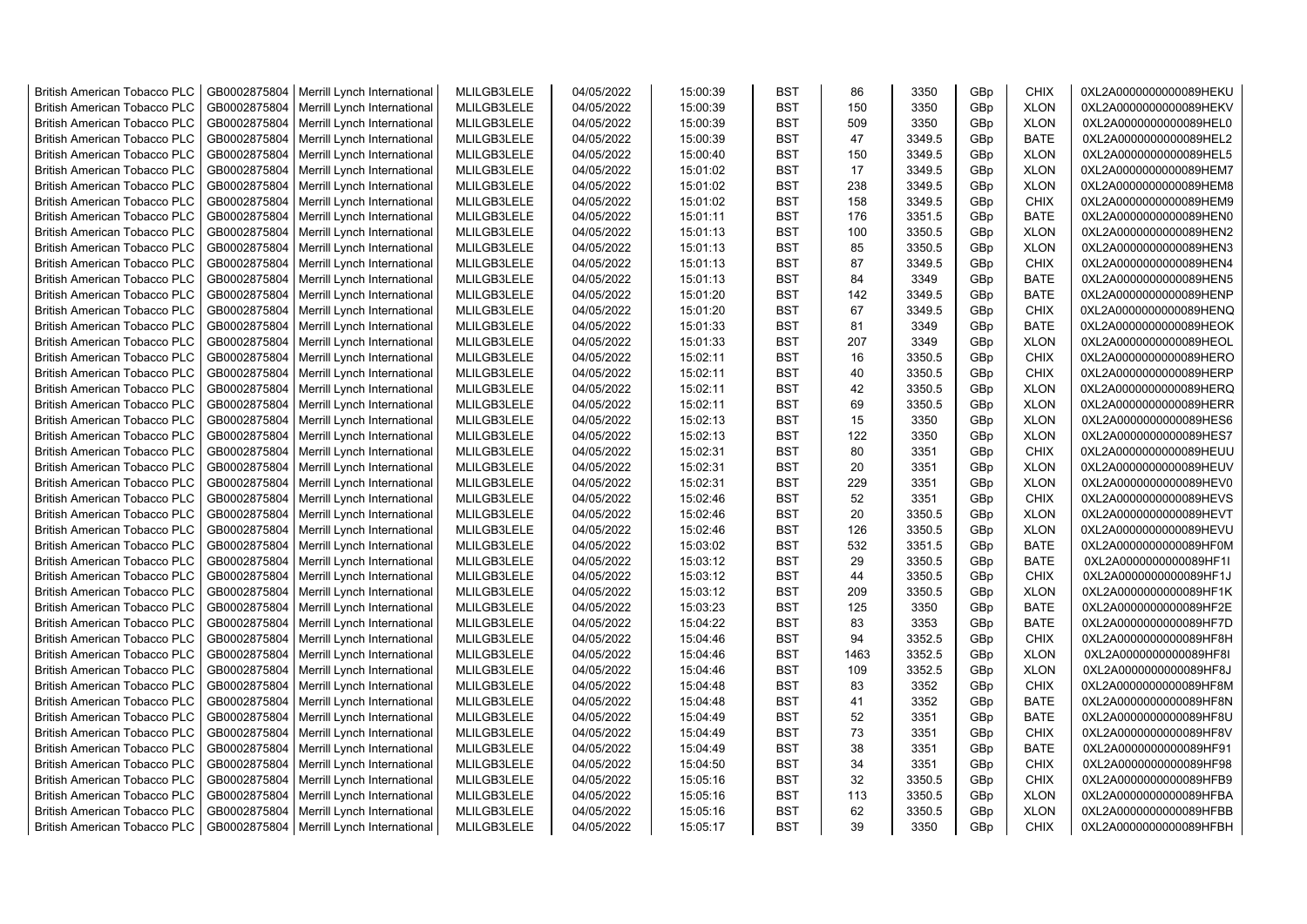| <b>British American Tobacco PLC</b> | GB0002875804 | Merrill Lynch International | MLILGB3LELE | 04/05/2022 | 15:00:39 | <b>BST</b> | 86   | 3350   | GBp | <b>CHIX</b> | 0XL2A0000000000089HEKU |
|-------------------------------------|--------------|-----------------------------|-------------|------------|----------|------------|------|--------|-----|-------------|------------------------|
| <b>British American Tobacco PLC</b> | GB0002875804 | Merrill Lynch International | MLILGB3LELE | 04/05/2022 | 15:00:39 | <b>BST</b> | 150  | 3350   | GBp | <b>XLON</b> | 0XL2A0000000000089HEKV |
| <b>British American Tobacco PLC</b> | GB0002875804 | Merrill Lynch International | MLILGB3LELE | 04/05/2022 | 15:00:39 | <b>BST</b> | 509  | 3350   | GBp | <b>XLON</b> | 0XL2A0000000000089HEL0 |
| <b>British American Tobacco PLC</b> | GB0002875804 | Merrill Lynch International | MLILGB3LELE | 04/05/2022 | 15:00:39 | <b>BST</b> | 47   | 3349.5 | GBp | <b>BATE</b> | 0XL2A0000000000089HEL2 |
| <b>British American Tobacco PLC</b> | GB0002875804 | Merrill Lynch International | MLILGB3LELE | 04/05/2022 | 15:00:40 | <b>BST</b> | 150  | 3349.5 | GBp | <b>XLON</b> | 0XL2A0000000000089HEL5 |
| <b>British American Tobacco PLC</b> | GB0002875804 | Merrill Lynch International | MLILGB3LELE | 04/05/2022 | 15:01:02 | <b>BST</b> | 17   | 3349.5 | GBp | <b>XLON</b> | 0XL2A0000000000089HEM7 |
| <b>British American Tobacco PLC</b> | GB0002875804 | Merrill Lynch International | MLILGB3LELE | 04/05/2022 | 15:01:02 | <b>BST</b> | 238  | 3349.5 | GBp | <b>XLON</b> | 0XL2A0000000000089HEM8 |
| <b>British American Tobacco PLC</b> | GB0002875804 | Merrill Lynch International | MLILGB3LELE | 04/05/2022 | 15:01:02 | <b>BST</b> | 158  | 3349.5 | GBp | <b>CHIX</b> | 0XL2A0000000000089HEM9 |
| <b>British American Tobacco PLC</b> | GB0002875804 | Merrill Lynch International | MLILGB3LELE | 04/05/2022 | 15:01:11 | <b>BST</b> | 176  | 3351.5 | GBp | <b>BATE</b> | 0XL2A0000000000089HEN0 |
| <b>British American Tobacco PLC</b> | GB0002875804 | Merrill Lynch International | MLILGB3LELE | 04/05/2022 | 15:01:13 | <b>BST</b> | 100  | 3350.5 | GBp | <b>XLON</b> | 0XL2A0000000000089HEN2 |
| <b>British American Tobacco PLC</b> | GB0002875804 | Merrill Lynch International | MLILGB3LELE | 04/05/2022 | 15:01:13 | <b>BST</b> | 85   | 3350.5 | GBp | <b>XLON</b> | 0XL2A0000000000089HEN3 |
| <b>British American Tobacco PLC</b> | GB0002875804 | Merrill Lynch International | MLILGB3LELE | 04/05/2022 | 15:01:13 | <b>BST</b> | 87   | 3349.5 | GBp | <b>CHIX</b> | 0XL2A0000000000089HEN4 |
| <b>British American Tobacco PLC</b> | GB0002875804 | Merrill Lynch International | MLILGB3LELE | 04/05/2022 | 15:01:13 | <b>BST</b> | 84   | 3349   | GBp | BATE        | 0XL2A0000000000089HEN5 |
| <b>British American Tobacco PLC</b> | GB0002875804 | Merrill Lynch International | MLILGB3LELE | 04/05/2022 | 15:01:20 | <b>BST</b> | 142  | 3349.5 | GBp | <b>BATE</b> | 0XL2A0000000000089HENP |
| <b>British American Tobacco PLC</b> | GB0002875804 | Merrill Lynch International | MLILGB3LELE | 04/05/2022 | 15:01:20 | <b>BST</b> | 67   | 3349.5 | GBp | <b>CHIX</b> | 0XL2A0000000000089HENQ |
| <b>British American Tobacco PLC</b> | GB0002875804 | Merrill Lynch International | MLILGB3LELE | 04/05/2022 | 15:01:33 | <b>BST</b> | 81   | 3349   | GBp | <b>BATE</b> | 0XL2A0000000000089HEOK |
| <b>British American Tobacco PLC</b> | GB0002875804 | Merrill Lynch International | MLILGB3LELE | 04/05/2022 | 15:01:33 | <b>BST</b> | 207  | 3349   | GBp | <b>XLON</b> | 0XL2A0000000000089HEOL |
| <b>British American Tobacco PLC</b> | GB0002875804 | Merrill Lynch International | MLILGB3LELE | 04/05/2022 | 15:02:11 | <b>BST</b> | 16   | 3350.5 | GBp | <b>CHIX</b> | 0XL2A0000000000089HERO |
| <b>British American Tobacco PLC</b> | GB0002875804 | Merrill Lynch International | MLILGB3LELE | 04/05/2022 | 15:02:11 | <b>BST</b> | 40   | 3350.5 | GBp | <b>CHIX</b> | 0XL2A0000000000089HERP |
| <b>British American Tobacco PLC</b> | GB0002875804 | Merrill Lynch International | MLILGB3LELE | 04/05/2022 | 15:02:11 | <b>BST</b> | 42   | 3350.5 | GBp | <b>XLON</b> | 0XL2A0000000000089HERQ |
| <b>British American Tobacco PLC</b> | GB0002875804 | Merrill Lynch International | MLILGB3LELE | 04/05/2022 | 15:02:11 | <b>BST</b> | 69   | 3350.5 | GBp | <b>XLON</b> | 0XL2A0000000000089HERR |
| <b>British American Tobacco PLC</b> | GB0002875804 | Merrill Lynch International | MLILGB3LELE | 04/05/2022 | 15:02:13 | <b>BST</b> | 15   | 3350   | GBp | <b>XLON</b> | 0XL2A0000000000089HES6 |
| <b>British American Tobacco PLC</b> | GB0002875804 | Merrill Lynch International | MLILGB3LELE | 04/05/2022 | 15:02:13 | <b>BST</b> | 122  | 3350   | GBp | <b>XLON</b> | 0XL2A0000000000089HES7 |
| <b>British American Tobacco PLC</b> | GB0002875804 | Merrill Lynch International | MLILGB3LELE | 04/05/2022 | 15:02:31 | BST        | 80   | 3351   | GBp | <b>CHIX</b> | 0XL2A0000000000089HEUU |
| <b>British American Tobacco PLC</b> | GB0002875804 | Merrill Lynch International | MLILGB3LELE | 04/05/2022 | 15:02:31 | <b>BST</b> | 20   | 3351   | GBp | <b>XLON</b> | 0XL2A0000000000089HEUV |
| <b>British American Tobacco PLC</b> | GB0002875804 | Merrill Lynch International | MLILGB3LELE | 04/05/2022 | 15:02:31 | <b>BST</b> | 229  | 3351   | GBp | <b>XLON</b> | 0XL2A0000000000089HEV0 |
| <b>British American Tobacco PLC</b> | GB0002875804 | Merrill Lynch International | MLILGB3LELE | 04/05/2022 | 15:02:46 | <b>BST</b> | 52   | 3351   | GBp | <b>CHIX</b> | 0XL2A0000000000089HEVS |
| British American Tobacco PLC        | GB0002875804 | Merrill Lynch International | MLILGB3LELE | 04/05/2022 | 15:02:46 | <b>BST</b> | 20   | 3350.5 | GBp | <b>XLON</b> | 0XL2A0000000000089HEVT |
| <b>British American Tobacco PLC</b> | GB0002875804 | Merrill Lynch International | MLILGB3LELE | 04/05/2022 | 15:02:46 | <b>BST</b> | 126  | 3350.5 | GBp | <b>XLON</b> | 0XL2A0000000000089HEVU |
| <b>British American Tobacco PLC</b> | GB0002875804 | Merrill Lynch International | MLILGB3LELE | 04/05/2022 | 15:03:02 | <b>BST</b> | 532  | 3351.5 | GBp | <b>BATE</b> | 0XL2A0000000000089HF0M |
| <b>British American Tobacco PLC</b> | GB0002875804 | Merrill Lynch International | MLILGB3LELE | 04/05/2022 | 15:03:12 | <b>BST</b> | 29   | 3350.5 | GBp | <b>BATE</b> | 0XL2A0000000000089HF1I |
| <b>British American Tobacco PLC</b> | GB0002875804 | Merrill Lynch International | MLILGB3LELE | 04/05/2022 | 15:03:12 | <b>BST</b> | 44   | 3350.5 | GBp | <b>CHIX</b> | 0XL2A0000000000089HF1J |
| <b>British American Tobacco PLC</b> | GB0002875804 | Merrill Lynch International | MLILGB3LELE | 04/05/2022 | 15:03:12 | <b>BST</b> | 209  | 3350.5 | GBp | <b>XLON</b> | 0XL2A0000000000089HF1K |
| <b>British American Tobacco PLC</b> | GB0002875804 | Merrill Lynch International | MLILGB3LELE | 04/05/2022 | 15:03:23 | <b>BST</b> | 125  | 3350   | GBp | <b>BATE</b> | 0XL2A0000000000089HF2E |
| <b>British American Tobacco PLC</b> | GB0002875804 | Merrill Lynch International | MLILGB3LELE | 04/05/2022 | 15:04:22 | <b>BST</b> | 83   | 3353   | GBp | <b>BATE</b> | 0XL2A0000000000089HF7D |
| <b>British American Tobacco PLC</b> | GB0002875804 | Merrill Lynch International | MLILGB3LELE | 04/05/2022 | 15:04:46 | <b>BST</b> | 94   | 3352.5 | GBp | <b>CHIX</b> | 0XL2A0000000000089HF8H |
| <b>British American Tobacco PLC</b> | GB0002875804 | Merrill Lynch International | MLILGB3LELE | 04/05/2022 | 15:04:46 | <b>BST</b> | 1463 | 3352.5 | GBp | <b>XLON</b> | 0XL2A0000000000089HF8I |
| <b>British American Tobacco PLC</b> | GB0002875804 | Merrill Lynch International | MLILGB3LELE | 04/05/2022 | 15:04:46 | <b>BST</b> | 109  | 3352.5 | GBp | <b>XLON</b> | 0XL2A0000000000089HF8J |
| <b>British American Tobacco PLC</b> | GB0002875804 | Merrill Lynch International | MLILGB3LELE | 04/05/2022 | 15:04:48 | <b>BST</b> | 83   | 3352   | GBp | <b>CHIX</b> | 0XL2A0000000000089HF8M |
| <b>British American Tobacco PLC</b> | GB0002875804 | Merrill Lynch International | MLILGB3LELE | 04/05/2022 | 15:04:48 | <b>BST</b> | 41   | 3352   | GBp | <b>BATE</b> | 0XL2A0000000000089HF8N |
| <b>British American Tobacco PLC</b> | GB0002875804 | Merrill Lynch International | MLILGB3LELE | 04/05/2022 | 15:04:49 | <b>BST</b> | 52   | 3351   | GBp | <b>BATE</b> | 0XL2A0000000000089HF8U |
| <b>British American Tobacco PLC</b> | GB0002875804 | Merrill Lynch International | MLILGB3LELE | 04/05/2022 | 15:04:49 | <b>BST</b> | 73   | 3351   | GBp | <b>CHIX</b> | 0XL2A0000000000089HF8V |
| <b>British American Tobacco PLC</b> | GB0002875804 | Merrill Lynch International | MLILGB3LELE | 04/05/2022 | 15:04:49 | <b>BST</b> | 38   | 3351   | GBp | <b>BATE</b> | 0XL2A0000000000089HF91 |
| British American Tobacco PLC        | GB0002875804 | Merrill Lynch International | MLILGB3LELE | 04/05/2022 | 15:04:50 | <b>BST</b> | 34   | 3351   | GBp | <b>CHIX</b> | 0XL2A0000000000089HF98 |
| <b>British American Tobacco PLC</b> | GB0002875804 | Merrill Lynch International | MLILGB3LELE | 04/05/2022 | 15:05:16 | <b>BST</b> | 32   | 3350.5 | GBp | <b>CHIX</b> | 0XL2A0000000000089HFB9 |
| <b>British American Tobacco PLC</b> | GB0002875804 | Merrill Lynch International | MLILGB3LELE | 04/05/2022 | 15:05:16 | <b>BST</b> | 113  | 3350.5 | GBp | <b>XLON</b> | 0XL2A0000000000089HFBA |
| <b>British American Tobacco PLC</b> | GB0002875804 | Merrill Lynch International | MLILGB3LELE | 04/05/2022 | 15:05:16 | <b>BST</b> | 62   | 3350.5 | GBp | <b>XLON</b> | 0XL2A0000000000089HFBB |
| <b>British American Tobacco PLC</b> | GB0002875804 | Merrill Lynch International | MLILGB3LELE | 04/05/2022 | 15:05:17 | <b>BST</b> | 39   | 3350   | GBp | <b>CHIX</b> | 0XL2A0000000000089HFBH |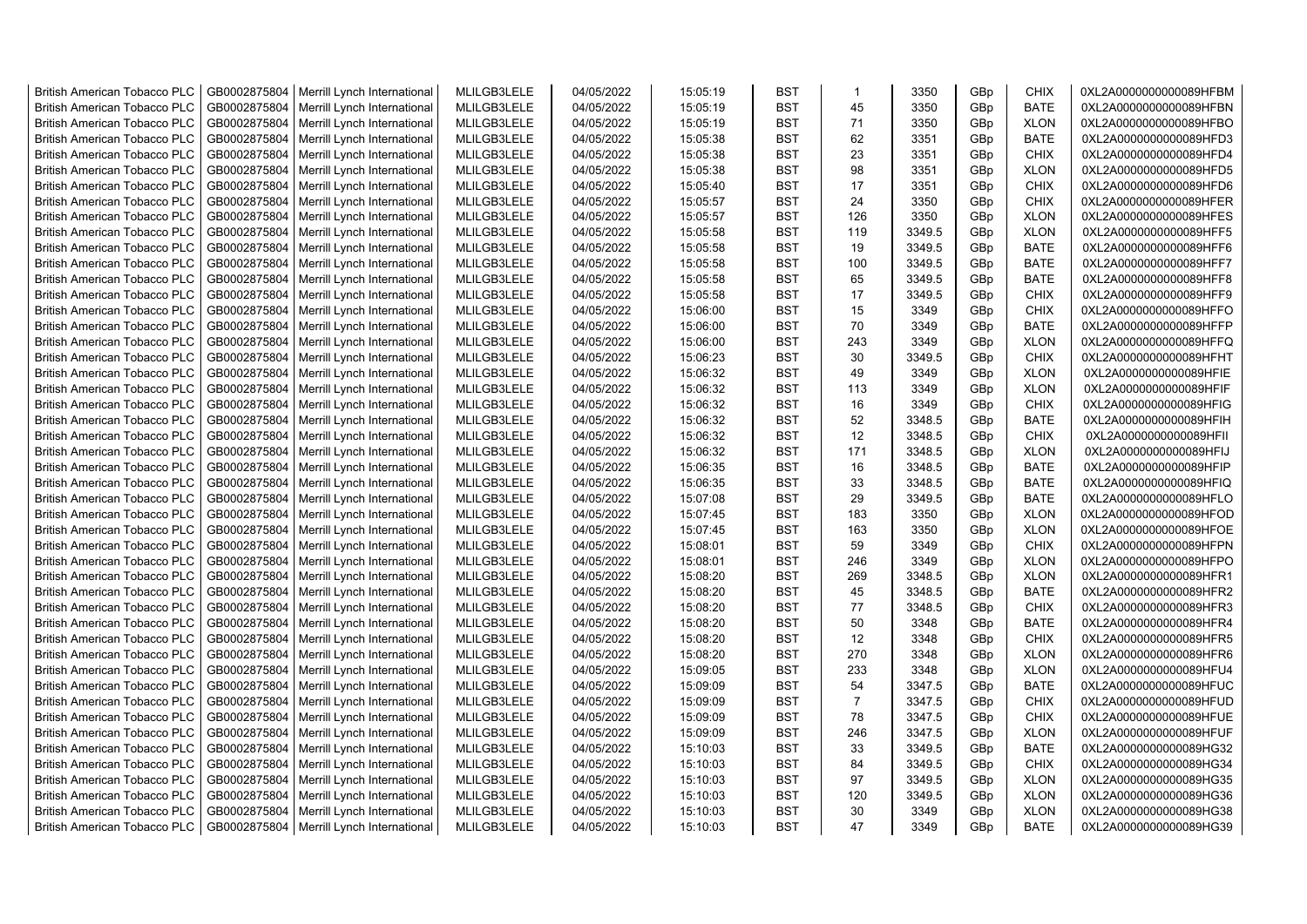| <b>British American Tobacco PLC</b> | GB0002875804 | Merrill Lynch International                | MLILGB3LELE | 04/05/2022 | 15:05:19 | <b>BST</b> | $\mathbf{1}$   | 3350   | GBp | <b>CHIX</b> | 0XL2A0000000000089HFBM |
|-------------------------------------|--------------|--------------------------------------------|-------------|------------|----------|------------|----------------|--------|-----|-------------|------------------------|
| <b>British American Tobacco PLC</b> | GB0002875804 | Merrill Lynch International                | MLILGB3LELE | 04/05/2022 | 15:05:19 | <b>BST</b> | 45             | 3350   | GBp | <b>BATE</b> | 0XL2A0000000000089HFBN |
| <b>British American Tobacco PLC</b> | GB0002875804 | Merrill Lynch International                | MLILGB3LELE | 04/05/2022 | 15:05:19 | <b>BST</b> | 71             | 3350   | GBp | <b>XLON</b> | 0XL2A0000000000089HFBO |
| <b>British American Tobacco PLC</b> | GB0002875804 | Merrill Lynch International                | MLILGB3LELE | 04/05/2022 | 15:05:38 | <b>BST</b> | 62             | 3351   | GBp | <b>BATE</b> | 0XL2A0000000000089HFD3 |
| <b>British American Tobacco PLC</b> | GB0002875804 | Merrill Lynch International                | MLILGB3LELE | 04/05/2022 | 15:05:38 | <b>BST</b> | 23             | 3351   | GBp | <b>CHIX</b> | 0XL2A0000000000089HFD4 |
| <b>British American Tobacco PLC</b> | GB0002875804 | Merrill Lynch International                | MLILGB3LELE | 04/05/2022 | 15:05:38 | <b>BST</b> | 98             | 3351   | GBp | <b>XLON</b> | 0XL2A0000000000089HFD5 |
| <b>British American Tobacco PLC</b> | GB0002875804 | Merrill Lynch International                | MLILGB3LELE | 04/05/2022 | 15:05:40 | BST        | 17             | 3351   | GBp | <b>CHIX</b> | 0XL2A0000000000089HFD6 |
| <b>British American Tobacco PLC</b> | GB0002875804 | Merrill Lynch International                | MLILGB3LELE | 04/05/2022 | 15:05:57 | <b>BST</b> | 24             | 3350   | GBp | <b>CHIX</b> | 0XL2A0000000000089HFER |
| <b>British American Tobacco PLC</b> | GB0002875804 | Merrill Lynch International                | MLILGB3LELE | 04/05/2022 | 15:05:57 | <b>BST</b> | 126            | 3350   | GBp | <b>XLON</b> | 0XL2A0000000000089HFES |
| <b>British American Tobacco PLC</b> | GB0002875804 | Merrill Lynch International                | MLILGB3LELE | 04/05/2022 | 15:05:58 | <b>BST</b> | 119            | 3349.5 | GBp | <b>XLON</b> | 0XL2A0000000000089HFF5 |
| <b>British American Tobacco PLC</b> | GB0002875804 | Merrill Lynch International                | MLILGB3LELE | 04/05/2022 | 15:05:58 | <b>BST</b> | 19             | 3349.5 | GBp | <b>BATE</b> | 0XL2A0000000000089HFF6 |
| <b>British American Tobacco PLC</b> | GB0002875804 | Merrill Lynch International                | MLILGB3LELE | 04/05/2022 | 15:05:58 | <b>BST</b> | 100            | 3349.5 | GBp | <b>BATE</b> | 0XL2A0000000000089HFF7 |
| <b>British American Tobacco PLC</b> | GB0002875804 | Merrill Lynch International                | MLILGB3LELE | 04/05/2022 | 15:05:58 | <b>BST</b> | 65             | 3349.5 | GBp | <b>BATE</b> | 0XL2A0000000000089HFF8 |
| <b>British American Tobacco PLC</b> | GB0002875804 | Merrill Lynch International                | MLILGB3LELE | 04/05/2022 | 15:05:58 | <b>BST</b> | 17             | 3349.5 | GBp | <b>CHIX</b> | 0XL2A0000000000089HFF9 |
| <b>British American Tobacco PLC</b> | GB0002875804 | Merrill Lynch International                | MLILGB3LELE | 04/05/2022 | 15:06:00 | <b>BST</b> | 15             | 3349   | GBp | <b>CHIX</b> | 0XL2A0000000000089HFFO |
| <b>British American Tobacco PLC</b> | GB0002875804 | Merrill Lynch International                | MLILGB3LELE | 04/05/2022 | 15:06:00 | <b>BST</b> | 70             | 3349   | GBp | <b>BATE</b> | 0XL2A0000000000089HFFP |
| <b>British American Tobacco PLC</b> | GB0002875804 | Merrill Lynch International                | MLILGB3LELE | 04/05/2022 | 15:06:00 | <b>BST</b> | 243            | 3349   | GBp | <b>XLON</b> | 0XL2A0000000000089HFFQ |
| <b>British American Tobacco PLC</b> | GB0002875804 | Merrill Lynch International                | MLILGB3LELE | 04/05/2022 | 15:06:23 | <b>BST</b> | 30             | 3349.5 | GBp | <b>CHIX</b> | 0XL2A0000000000089HFHT |
| <b>British American Tobacco PLC</b> | GB0002875804 | Merrill Lynch International                | MLILGB3LELE | 04/05/2022 | 15:06:32 | <b>BST</b> | 49             | 3349   | GBp | <b>XLON</b> | 0XL2A0000000000089HFIE |
| <b>British American Tobacco PLC</b> | GB0002875804 | Merrill Lynch International                | MLILGB3LELE | 04/05/2022 | 15:06:32 | <b>BST</b> | 113            | 3349   | GBp | <b>XLON</b> | 0XL2A0000000000089HFIF |
| <b>British American Tobacco PLC</b> | GB0002875804 | Merrill Lynch International                | MLILGB3LELE | 04/05/2022 | 15:06:32 | <b>BST</b> | 16             | 3349   | GBp | <b>CHIX</b> | 0XL2A0000000000089HFIG |
| <b>British American Tobacco PLC</b> | GB0002875804 | Merrill Lynch International                | MLILGB3LELE | 04/05/2022 | 15:06:32 | <b>BST</b> | 52             | 3348.5 | GBp | <b>BATE</b> | 0XL2A0000000000089HFIH |
|                                     |              |                                            |             |            |          | <b>BST</b> | 12             | 3348.5 |     | <b>CHIX</b> |                        |
| <b>British American Tobacco PLC</b> | GB0002875804 | Merrill Lynch International                | MLILGB3LELE | 04/05/2022 | 15:06:32 |            |                |        | GBp |             | 0XL2A0000000000089HFII |
| <b>British American Tobacco PLC</b> | GB0002875804 | Merrill Lynch International                | MLILGB3LELE | 04/05/2022 | 15:06:32 | <b>BST</b> | 171            | 3348.5 | GBp | <b>XLON</b> | 0XL2A0000000000089HFIJ |
| <b>British American Tobacco PLC</b> | GB0002875804 | Merrill Lynch International                | MLILGB3LELE | 04/05/2022 | 15:06:35 | <b>BST</b> | 16             | 3348.5 | GBp | <b>BATE</b> | 0XL2A0000000000089HFIP |
| <b>British American Tobacco PLC</b> | GB0002875804 | Merrill Lynch International                | MLILGB3LELE | 04/05/2022 | 15:06:35 | <b>BST</b> | 33             | 3348.5 | GBp | <b>BATE</b> | 0XL2A0000000000089HFIQ |
| <b>British American Tobacco PLC</b> | GB0002875804 | Merrill Lynch International                | MLILGB3LELE | 04/05/2022 | 15:07:08 | <b>BST</b> | 29             | 3349.5 | GBp | <b>BATE</b> | 0XL2A0000000000089HFLO |
| <b>British American Tobacco PLC</b> | GB0002875804 | Merrill Lynch International                | MLILGB3LELE | 04/05/2022 | 15:07:45 | <b>BST</b> | 183            | 3350   | GBp | <b>XLON</b> | 0XL2A0000000000089HFOD |
| <b>British American Tobacco PLC</b> | GB0002875804 | Merrill Lynch International                | MLILGB3LELE | 04/05/2022 | 15:07:45 | <b>BST</b> | 163            | 3350   | GBp | <b>XLON</b> | 0XL2A0000000000089HFOE |
| <b>British American Tobacco PLC</b> | GB0002875804 | Merrill Lynch International                | MLILGB3LELE | 04/05/2022 | 15:08:01 | <b>BST</b> | 59             | 3349   | GBp | <b>CHIX</b> | 0XL2A0000000000089HFPN |
| <b>British American Tobacco PLC</b> | GB0002875804 | Merrill Lynch International                | MLILGB3LELE | 04/05/2022 | 15:08:01 | <b>BST</b> | 246            | 3349   | GBp | <b>XLON</b> | 0XL2A0000000000089HFPO |
| <b>British American Tobacco PLC</b> | GB0002875804 | Merrill Lynch International                | MLILGB3LELE | 04/05/2022 | 15:08:20 | <b>BST</b> | 269            | 3348.5 | GBp | <b>XLON</b> | 0XL2A0000000000089HFR1 |
| <b>British American Tobacco PLC</b> | GB0002875804 | Merrill Lynch International                | MLILGB3LELE | 04/05/2022 | 15:08:20 | <b>BST</b> | 45             | 3348.5 | GBp | <b>BATE</b> | 0XL2A0000000000089HFR2 |
| <b>British American Tobacco PLC</b> | GB0002875804 | Merrill Lynch International                | MLILGB3LELE | 04/05/2022 | 15:08:20 | <b>BST</b> | 77             | 3348.5 | GBp | <b>CHIX</b> | 0XL2A0000000000089HFR3 |
| <b>British American Tobacco PLC</b> | GB0002875804 | Merrill Lynch International                | MLILGB3LELE | 04/05/2022 | 15:08:20 | <b>BST</b> | 50             | 3348   | GBp | <b>BATE</b> | 0XL2A0000000000089HFR4 |
| <b>British American Tobacco PLC</b> | GB0002875804 | Merrill Lynch International                | MLILGB3LELE | 04/05/2022 | 15:08:20 | <b>BST</b> | 12             | 3348   | GBp | <b>CHIX</b> | 0XL2A0000000000089HFR5 |
| <b>British American Tobacco PLC</b> | GB0002875804 | Merrill Lynch International                | MLILGB3LELE | 04/05/2022 | 15:08:20 | <b>BST</b> | 270            | 3348   | GBp | <b>XLON</b> | 0XL2A0000000000089HFR6 |
| <b>British American Tobacco PLC</b> | GB0002875804 | Merrill Lynch International                | MLILGB3LELE | 04/05/2022 | 15:09:05 | <b>BST</b> | 233            | 3348   | GBp | <b>XLON</b> | 0XL2A0000000000089HFU4 |
| <b>British American Tobacco PLC</b> | GB0002875804 | Merrill Lynch International                | MLILGB3LELE | 04/05/2022 | 15:09:09 | <b>BST</b> | 54             | 3347.5 | GBp | <b>BATE</b> | 0XL2A0000000000089HFUC |
| <b>British American Tobacco PLC</b> | GB0002875804 | Merrill Lynch International                | MLILGB3LELE | 04/05/2022 | 15:09:09 | <b>BST</b> | $\overline{7}$ | 3347.5 | GBp | <b>CHIX</b> | 0XL2A0000000000089HFUD |
| <b>British American Tobacco PLC</b> | GB0002875804 | Merrill Lynch International                | MLILGB3LELE | 04/05/2022 | 15:09:09 | <b>BST</b> | 78             | 3347.5 | GBp | <b>CHIX</b> | 0XL2A0000000000089HFUE |
| <b>British American Tobacco PLC</b> | GB0002875804 | Merrill Lynch International                | MLILGB3LELE | 04/05/2022 | 15:09:09 | <b>BST</b> | 246            | 3347.5 | GBp | <b>XLON</b> | 0XL2A0000000000089HFUF |
| <b>British American Tobacco PLC</b> | GB0002875804 | Merrill Lynch International                | MLILGB3LELE | 04/05/2022 | 15:10:03 | <b>BST</b> | 33             | 3349.5 | GBp | <b>BATE</b> | 0XL2A0000000000089HG32 |
| <b>British American Tobacco PLC</b> | GB0002875804 | Merrill Lynch International                | MLILGB3LELE | 04/05/2022 | 15:10:03 | <b>BST</b> | 84             | 3349.5 | GBp | <b>CHIX</b> | 0XL2A0000000000089HG34 |
| British American Tobacco PLC        | GB0002875804 | Merrill Lynch International                | MLILGB3LELE | 04/05/2022 | 15:10:03 | <b>BST</b> | 97             | 3349.5 | GBp | <b>XLON</b> | 0XL2A0000000000089HG35 |
| <b>British American Tobacco PLC</b> | GB0002875804 | Merrill Lynch International                | MLILGB3LELE | 04/05/2022 | 15:10:03 | <b>BST</b> | 120            | 3349.5 | GBp | <b>XLON</b> | 0XL2A0000000000089HG36 |
| <b>British American Tobacco PLC</b> | GB0002875804 | Merrill Lynch International                | MLILGB3LELE | 04/05/2022 | 15:10:03 | <b>BST</b> | 30             | 3349   | GBp | <b>XLON</b> | 0XL2A0000000000089HG38 |
| <b>British American Tobacco PLC</b> |              | GB0002875804   Merrill Lynch International | MLILGB3LELE | 04/05/2022 | 15:10:03 | <b>BST</b> | 47             | 3349   | GBp | <b>BATE</b> | 0XL2A0000000000089HG39 |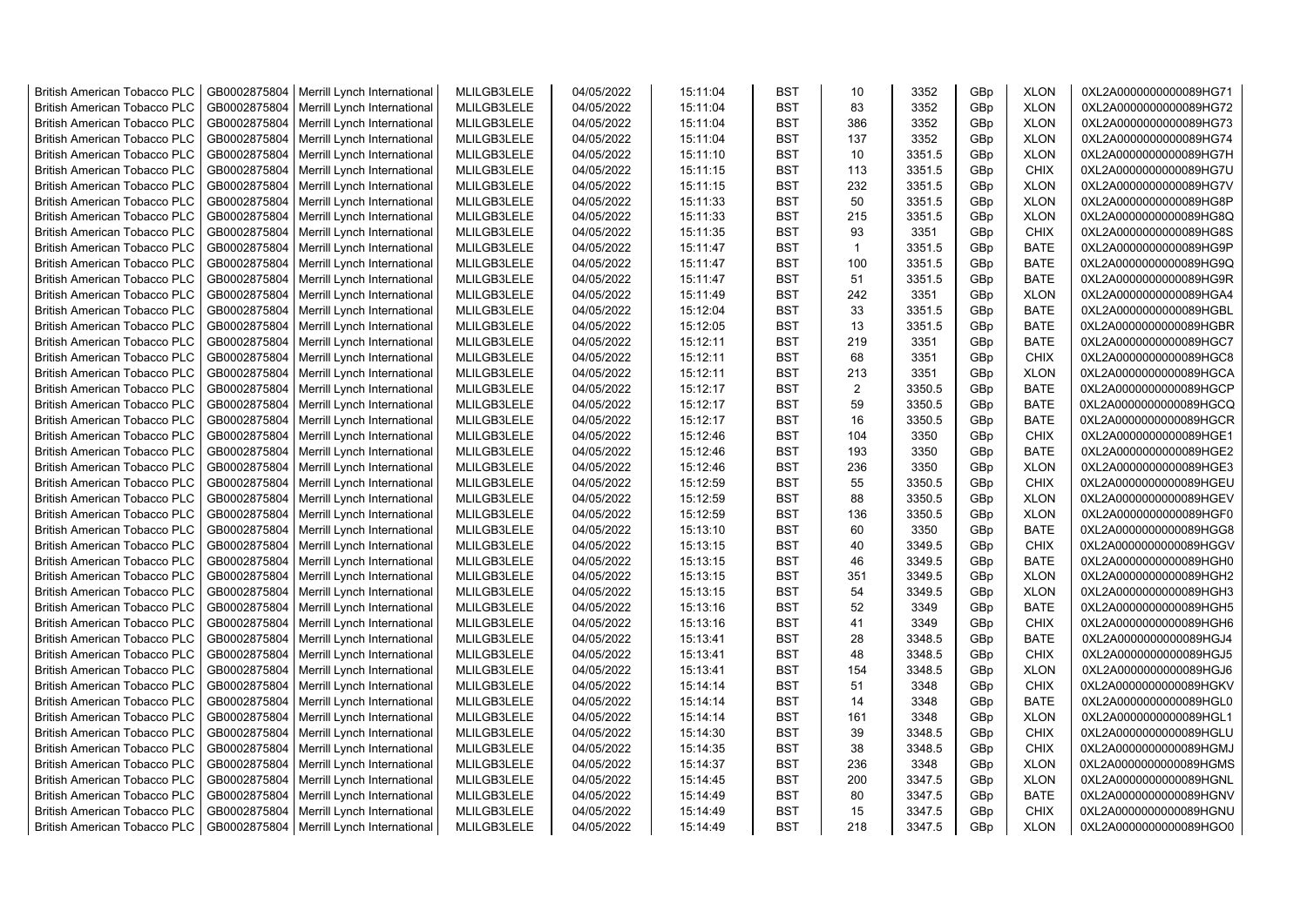| <b>British American Tobacco PLC</b> | GB0002875804 | Merrill Lynch International | MLILGB3LELE | 04/05/2022 | 15:11:04 | <b>BST</b> | 10             | 3352   | GBp | <b>XLON</b> | 0XL2A0000000000089HG71 |
|-------------------------------------|--------------|-----------------------------|-------------|------------|----------|------------|----------------|--------|-----|-------------|------------------------|
| <b>British American Tobacco PLC</b> | GB0002875804 | Merrill Lynch International | MLILGB3LELE | 04/05/2022 | 15:11:04 | <b>BST</b> | 83             | 3352   | GBp | <b>XLON</b> | 0XL2A0000000000089HG72 |
| <b>British American Tobacco PLC</b> | GB0002875804 | Merrill Lynch International | MLILGB3LELE | 04/05/2022 | 15:11:04 | <b>BST</b> | 386            | 3352   | GBp | <b>XLON</b> | 0XL2A0000000000089HG73 |
| <b>British American Tobacco PLC</b> | GB0002875804 | Merrill Lynch International | MLILGB3LELE | 04/05/2022 | 15:11:04 | <b>BST</b> | 137            | 3352   | GBp | <b>XLON</b> | 0XL2A0000000000089HG74 |
| <b>British American Tobacco PLC</b> | GB0002875804 | Merrill Lynch International | MLILGB3LELE | 04/05/2022 | 15:11:10 | <b>BST</b> | 10             | 3351.5 | GBp | <b>XLON</b> | 0XL2A0000000000089HG7H |
| <b>British American Tobacco PLC</b> | GB0002875804 | Merrill Lynch International | MLILGB3LELE | 04/05/2022 | 15:11:15 | <b>BST</b> | 113            | 3351.5 | GBp | <b>CHIX</b> | 0XL2A0000000000089HG7U |
| <b>British American Tobacco PLC</b> | GB0002875804 | Merrill Lynch International | MLILGB3LELE | 04/05/2022 | 15:11:15 | <b>BST</b> | 232            | 3351.5 | GBp | <b>XLON</b> | 0XL2A0000000000089HG7V |
| <b>British American Tobacco PLC</b> | GB0002875804 | Merrill Lynch International | MLILGB3LELE | 04/05/2022 | 15:11:33 | <b>BST</b> | 50             | 3351.5 | GBp | <b>XLON</b> | 0XL2A0000000000089HG8P |
| <b>British American Tobacco PLC</b> | GB0002875804 | Merrill Lynch International | MLILGB3LELE | 04/05/2022 | 15:11:33 | <b>BST</b> | 215            | 3351.5 | GBp | <b>XLON</b> | 0XL2A0000000000089HG8Q |
| <b>British American Tobacco PLC</b> | GB0002875804 | Merrill Lynch International | MLILGB3LELE | 04/05/2022 | 15:11:35 | <b>BST</b> | 93             | 3351   | GBp | <b>CHIX</b> | 0XL2A0000000000089HG8S |
| <b>British American Tobacco PLC</b> | GB0002875804 | Merrill Lynch International | MLILGB3LELE | 04/05/2022 | 15:11:47 | <b>BST</b> | $\mathbf{1}$   | 3351.5 | GBp | <b>BATE</b> | 0XL2A0000000000089HG9P |
| <b>British American Tobacco PLC</b> | GB0002875804 | Merrill Lynch International | MLILGB3LELE | 04/05/2022 | 15:11:47 | <b>BST</b> | 100            | 3351.5 | GBp | <b>BATE</b> | 0XL2A0000000000089HG9Q |
| <b>British American Tobacco PLC</b> | GB0002875804 | Merrill Lynch International | MLILGB3LELE | 04/05/2022 | 15:11:47 | <b>BST</b> | 51             | 3351.5 | GBp | <b>BATE</b> | 0XL2A0000000000089HG9R |
| <b>British American Tobacco PLC</b> | GB0002875804 | Merrill Lynch International | MLILGB3LELE | 04/05/2022 | 15:11:49 | <b>BST</b> | 242            | 3351   | GBp | <b>XLON</b> | 0XL2A0000000000089HGA4 |
| <b>British American Tobacco PLC</b> | GB0002875804 | Merrill Lynch International | MLILGB3LELE | 04/05/2022 | 15:12:04 | <b>BST</b> | 33             | 3351.5 | GBp | <b>BATE</b> | 0XL2A0000000000089HGBL |
| <b>British American Tobacco PLC</b> | GB0002875804 | Merrill Lynch International | MLILGB3LELE | 04/05/2022 | 15:12:05 | <b>BST</b> | 13             | 3351.5 | GBp | <b>BATE</b> | 0XL2A0000000000089HGBR |
| <b>British American Tobacco PLC</b> | GB0002875804 | Merrill Lynch International | MLILGB3LELE | 04/05/2022 | 15:12:11 | <b>BST</b> | 219            | 3351   | GBp | <b>BATE</b> | 0XL2A0000000000089HGC7 |
| <b>British American Tobacco PLC</b> | GB0002875804 | Merrill Lynch International | MLILGB3LELE | 04/05/2022 | 15:12:11 | <b>BST</b> | 68             | 3351   | GBp | <b>CHIX</b> | 0XL2A0000000000089HGC8 |
| <b>British American Tobacco PLC</b> | GB0002875804 | Merrill Lynch International | MLILGB3LELE | 04/05/2022 | 15:12:11 | <b>BST</b> | 213            | 3351   | GBp | <b>XLON</b> | 0XL2A0000000000089HGCA |
| <b>British American Tobacco PLC</b> | GB0002875804 | Merrill Lynch International | MLILGB3LELE | 04/05/2022 | 15:12:17 | <b>BST</b> | $\overline{2}$ | 3350.5 | GBp | <b>BATE</b> | 0XL2A0000000000089HGCP |
| <b>British American Tobacco PLC</b> | GB0002875804 | Merrill Lynch International | MLILGB3LELE | 04/05/2022 | 15:12:17 | <b>BST</b> | 59             | 3350.5 | GBp | <b>BATE</b> | 0XL2A0000000000089HGCQ |
| <b>British American Tobacco PLC</b> | GB0002875804 | Merrill Lynch International | MLILGB3LELE | 04/05/2022 | 15:12:17 | <b>BST</b> | 16             | 3350.5 | GBp | <b>BATE</b> | 0XL2A0000000000089HGCR |
| <b>British American Tobacco PLC</b> | GB0002875804 | Merrill Lynch International | MLILGB3LELE | 04/05/2022 | 15:12:46 | <b>BST</b> | 104            | 3350   | GBp | <b>CHIX</b> | 0XL2A0000000000089HGE1 |
| <b>British American Tobacco PLC</b> | GB0002875804 | Merrill Lynch International | MLILGB3LELE | 04/05/2022 | 15:12:46 | BST        | 193            | 3350   | GBp | <b>BATE</b> | 0XL2A0000000000089HGE2 |
| <b>British American Tobacco PLC</b> | GB0002875804 | Merrill Lynch International | MLILGB3LELE | 04/05/2022 | 15:12:46 | <b>BST</b> | 236            | 3350   | GBp | <b>XLON</b> | 0XL2A0000000000089HGE3 |
| <b>British American Tobacco PLC</b> | GB0002875804 | Merrill Lynch International | MLILGB3LELE | 04/05/2022 | 15:12:59 | <b>BST</b> | 55             | 3350.5 | GBp | <b>CHIX</b> | 0XL2A0000000000089HGEU |
| <b>British American Tobacco PLC</b> | GB0002875804 | Merrill Lynch International | MLILGB3LELE | 04/05/2022 | 15:12:59 | <b>BST</b> | 88             | 3350.5 | GBp | <b>XLON</b> | 0XL2A0000000000089HGEV |
| British American Tobacco PLC        | GB0002875804 | Merrill Lynch International | MLILGB3LELE | 04/05/2022 | 15:12:59 | <b>BST</b> | 136            | 3350.5 | GBp | <b>XLON</b> | 0XL2A0000000000089HGF0 |
| <b>British American Tobacco PLC</b> | GB0002875804 | Merrill Lynch International | MLILGB3LELE | 04/05/2022 | 15:13:10 | <b>BST</b> | 60             | 3350   | GBp | <b>BATE</b> | 0XL2A0000000000089HGG8 |
| <b>British American Tobacco PLC</b> | GB0002875804 | Merrill Lynch International | MLILGB3LELE | 04/05/2022 | 15:13:15 | <b>BST</b> | 40             | 3349.5 | GBp | <b>CHIX</b> | 0XL2A0000000000089HGGV |
| <b>British American Tobacco PLC</b> | GB0002875804 | Merrill Lynch International | MLILGB3LELE | 04/05/2022 | 15:13:15 | <b>BST</b> | 46             | 3349.5 | GBp | <b>BATE</b> | 0XL2A0000000000089HGH0 |
| <b>British American Tobacco PLC</b> | GB0002875804 | Merrill Lynch International | MLILGB3LELE | 04/05/2022 | 15:13:15 | <b>BST</b> | 351            | 3349.5 | GBp | <b>XLON</b> | 0XL2A0000000000089HGH2 |
| <b>British American Tobacco PLC</b> | GB0002875804 | Merrill Lynch International | MLILGB3LELE | 04/05/2022 | 15:13:15 | <b>BST</b> | 54             | 3349.5 | GBp | <b>XLON</b> | 0XL2A0000000000089HGH3 |
| <b>British American Tobacco PLC</b> | GB0002875804 | Merrill Lynch International | MLILGB3LELE | 04/05/2022 | 15:13:16 | <b>BST</b> | 52             | 3349   | GBp | <b>BATE</b> | 0XL2A0000000000089HGH5 |
| <b>British American Tobacco PLC</b> | GB0002875804 | Merrill Lynch International | MLILGB3LELE | 04/05/2022 | 15:13:16 | <b>BST</b> | 41             | 3349   | GBp | <b>CHIX</b> | 0XL2A0000000000089HGH6 |
| <b>British American Tobacco PLC</b> | GB0002875804 | Merrill Lynch International | MLILGB3LELE | 04/05/2022 | 15:13:41 | <b>BST</b> | 28             | 3348.5 | GBp | <b>BATE</b> | 0XL2A0000000000089HGJ4 |
| <b>British American Tobacco PLC</b> | GB0002875804 | Merrill Lynch International | MLILGB3LELE | 04/05/2022 | 15:13:41 | <b>BST</b> | 48             | 3348.5 | GBp | <b>CHIX</b> | 0XL2A0000000000089HGJ5 |
| <b>British American Tobacco PLC</b> | GB0002875804 | Merrill Lynch International | MLILGB3LELE | 04/05/2022 | 15:13:41 | <b>BST</b> | 154            | 3348.5 | GBp | <b>XLON</b> | 0XL2A0000000000089HGJ6 |
| <b>British American Tobacco PLC</b> | GB0002875804 | Merrill Lynch International | MLILGB3LELE | 04/05/2022 | 15:14:14 | <b>BST</b> | 51             | 3348   | GBp | <b>CHIX</b> | 0XL2A0000000000089HGKV |
| <b>British American Tobacco PLC</b> | GB0002875804 | Merrill Lynch International | MLILGB3LELE | 04/05/2022 | 15:14:14 | <b>BST</b> | 14             | 3348   | GBp | <b>BATE</b> | 0XL2A0000000000089HGL0 |
| <b>British American Tobacco PLC</b> | GB0002875804 | Merrill Lynch International | MLILGB3LELE | 04/05/2022 | 15:14:14 | <b>BST</b> | 161            | 3348   | GBp | <b>XLON</b> | 0XL2A0000000000089HGL1 |
| <b>British American Tobacco PLC</b> | GB0002875804 | Merrill Lynch International | MLILGB3LELE | 04/05/2022 | 15:14:30 | <b>BST</b> | 39             | 3348.5 | GBp | <b>CHIX</b> | 0XL2A0000000000089HGLU |
| British American Tobacco PLC        | GB0002875804 | Merrill Lynch International | MLILGB3LELE | 04/05/2022 | 15:14:35 | <b>BST</b> | 38             | 3348.5 | GBp | <b>CHIX</b> | 0XL2A0000000000089HGMJ |
| British American Tobacco PLC        | GB0002875804 | Merrill Lynch International | MLILGB3LELE | 04/05/2022 | 15:14:37 | <b>BST</b> | 236            | 3348   | GBp | <b>XLON</b> | 0XL2A0000000000089HGMS |
| <b>British American Tobacco PLC</b> | GB0002875804 | Merrill Lynch International | MLILGB3LELE | 04/05/2022 | 15:14:45 | <b>BST</b> | 200            | 3347.5 | GBp | <b>XLON</b> | 0XL2A0000000000089HGNL |
| <b>British American Tobacco PLC</b> | GB0002875804 | Merrill Lynch International | MLILGB3LELE | 04/05/2022 | 15:14:49 | <b>BST</b> | 80             | 3347.5 | GBp | <b>BATE</b> | 0XL2A0000000000089HGNV |
| <b>British American Tobacco PLC</b> | GB0002875804 |                             | MLILGB3LELE | 04/05/2022 | 15:14:49 | <b>BST</b> | 15             | 3347.5 | GBp | <b>CHIX</b> | 0XL2A0000000000089HGNU |
|                                     |              | Merrill Lynch International | MLILGB3LELE | 04/05/2022 | 15:14:49 | <b>BST</b> | 218            | 3347.5 |     | <b>XLON</b> |                        |
| <b>British American Tobacco PLC</b> | GB0002875804 | Merrill Lynch International |             |            |          |            |                |        | GBp |             | 0XL2A0000000000089HGO0 |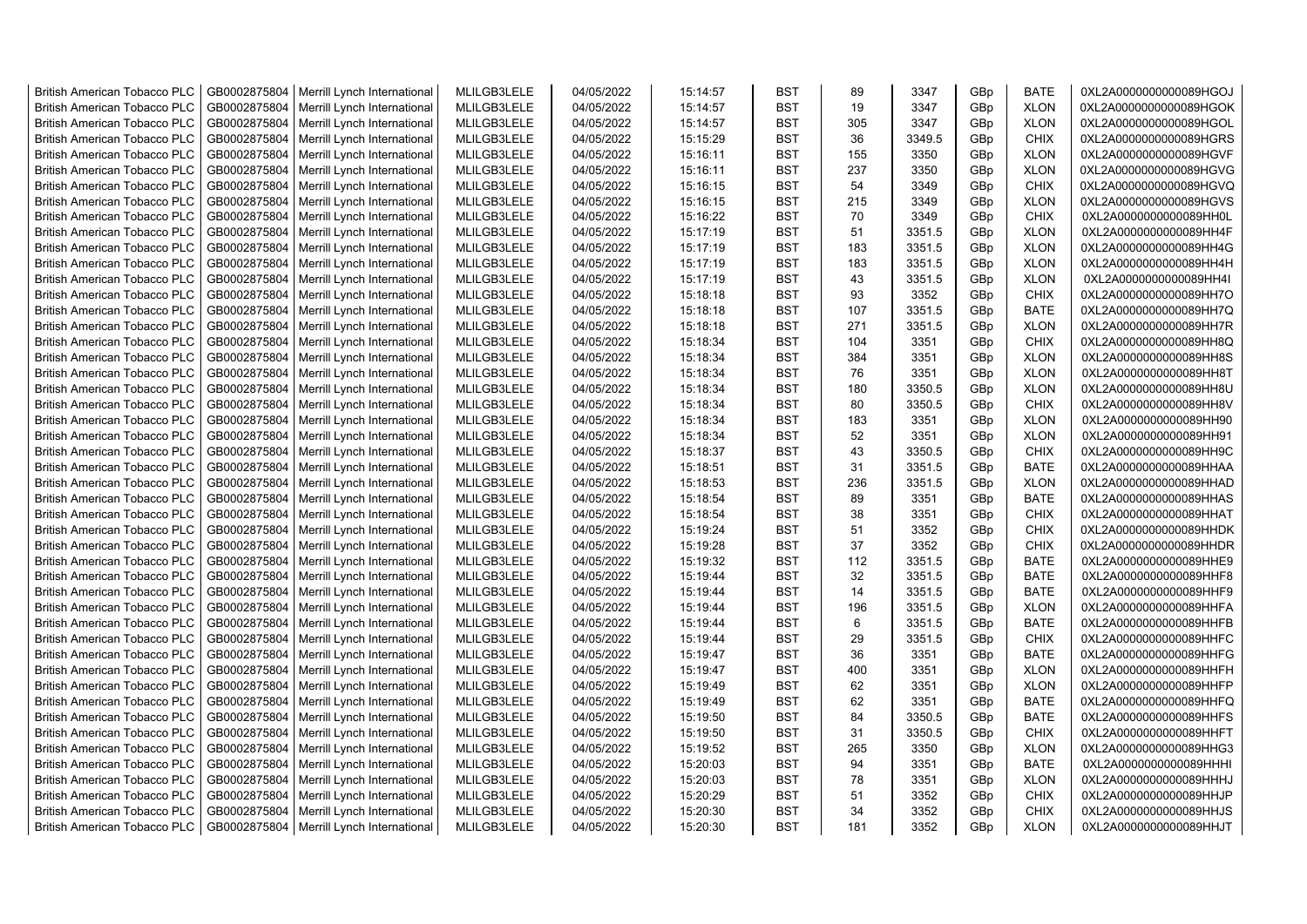| <b>British American Tobacco PLC</b> | GB0002875804 | Merrill Lynch International                                | MLILGB3LELE | 04/05/2022               | 15:14:57 | <b>BST</b> | 89  | 3347   | GBp | <b>BATE</b> | 0XL2A0000000000089HGOJ |
|-------------------------------------|--------------|------------------------------------------------------------|-------------|--------------------------|----------|------------|-----|--------|-----|-------------|------------------------|
| <b>British American Tobacco PLC</b> | GB0002875804 | Merrill Lynch International                                | MLILGB3LELE | 04/05/2022               | 15:14:57 | <b>BST</b> | 19  | 3347   | GBp | <b>XLON</b> | 0XL2A0000000000089HGOK |
| <b>British American Tobacco PLC</b> | GB0002875804 | Merrill Lynch International                                | MLILGB3LELE | 04/05/2022               | 15:14:57 | <b>BST</b> | 305 | 3347   | GBp | <b>XLON</b> | 0XL2A0000000000089HGOL |
| <b>British American Tobacco PLC</b> | GB0002875804 | Merrill Lynch International                                | MLILGB3LELE | 04/05/2022               | 15:15:29 | <b>BST</b> | 36  | 3349.5 | GBp | <b>CHIX</b> | 0XL2A0000000000089HGRS |
| <b>British American Tobacco PLC</b> | GB0002875804 | Merrill Lynch International                                | MLILGB3LELE | 04/05/2022               | 15:16:11 | <b>BST</b> | 155 | 3350   | GBp | <b>XLON</b> | 0XL2A0000000000089HGVF |
| <b>British American Tobacco PLC</b> | GB0002875804 | Merrill Lynch International                                | MLILGB3LELE | 04/05/2022               | 15:16:11 | <b>BST</b> | 237 | 3350   | GBp | <b>XLON</b> | 0XL2A0000000000089HGVG |
| <b>British American Tobacco PLC</b> | GB0002875804 | Merrill Lynch International                                | MLILGB3LELE | 04/05/2022               | 15:16:15 | <b>BST</b> | 54  | 3349   | GBp | <b>CHIX</b> | 0XL2A0000000000089HGVQ |
| <b>British American Tobacco PLC</b> | GB0002875804 | Merrill Lynch International                                | MLILGB3LELE | 04/05/2022               | 15:16:15 | <b>BST</b> | 215 | 3349   | GBp | <b>XLON</b> | 0XL2A0000000000089HGVS |
| <b>British American Tobacco PLC</b> | GB0002875804 | Merrill Lynch International                                | MLILGB3LELE | 04/05/2022               | 15:16:22 | <b>BST</b> | 70  | 3349   | GBp | <b>CHIX</b> | 0XL2A0000000000089HH0L |
| <b>British American Tobacco PLC</b> | GB0002875804 | Merrill Lynch International                                | MLILGB3LELE | 04/05/2022               | 15:17:19 | <b>BST</b> | 51  | 3351.5 | GBp | <b>XLON</b> | 0XL2A0000000000089HH4F |
| <b>British American Tobacco PLC</b> | GB0002875804 | Merrill Lynch International                                | MLILGB3LELE | 04/05/2022               | 15:17:19 | <b>BST</b> | 183 | 3351.5 | GBp | <b>XLON</b> | 0XL2A0000000000089HH4G |
| <b>British American Tobacco PLC</b> | GB0002875804 | Merrill Lynch International                                | MLILGB3LELE | 04/05/2022               | 15:17:19 | <b>BST</b> | 183 | 3351.5 | GBp | <b>XLON</b> | 0XL2A0000000000089HH4H |
| <b>British American Tobacco PLC</b> | GB0002875804 | Merrill Lynch International                                | MLILGB3LELE | 04/05/2022               | 15:17:19 | <b>BST</b> | 43  | 3351.5 | GBp | <b>XLON</b> | 0XL2A0000000000089HH4I |
| <b>British American Tobacco PLC</b> | GB0002875804 | Merrill Lynch International                                | MLILGB3LELE | 04/05/2022               | 15:18:18 | <b>BST</b> | 93  | 3352   | GBp | <b>CHIX</b> | 0XL2A0000000000089HH7O |
| <b>British American Tobacco PLC</b> | GB0002875804 | Merrill Lynch International                                | MLILGB3LELE | 04/05/2022               | 15:18:18 | <b>BST</b> | 107 | 3351.5 | GBp | <b>BATE</b> | 0XL2A0000000000089HH7Q |
| British American Tobacco PLC        | GB0002875804 | Merrill Lynch International                                | MLILGB3LELE | 04/05/2022               | 15:18:18 | <b>BST</b> | 271 | 3351.5 | GBp | <b>XLON</b> | 0XL2A0000000000089HH7R |
| British American Tobacco PLC        | GB0002875804 | Merrill Lynch International                                | MLILGB3LELE | 04/05/2022               | 15:18:34 | <b>BST</b> | 104 | 3351   | GBp | <b>CHIX</b> | 0XL2A0000000000089HH8Q |
| <b>British American Tobacco PLC</b> | GB0002875804 | Merrill Lynch International                                | MLILGB3LELE | 04/05/2022               | 15:18:34 | <b>BST</b> | 384 | 3351   | GBp | <b>XLON</b> | 0XL2A0000000000089HH8S |
| <b>British American Tobacco PLC</b> | GB0002875804 | Merrill Lynch International                                | MLILGB3LELE | 04/05/2022               | 15:18:34 | <b>BST</b> | 76  | 3351   | GBp | <b>XLON</b> | 0XL2A0000000000089HH8T |
| <b>British American Tobacco PLC</b> | GB0002875804 | Merrill Lynch International                                | MLILGB3LELE | 04/05/2022               | 15:18:34 | <b>BST</b> | 180 | 3350.5 | GBp | <b>XLON</b> | 0XL2A0000000000089HH8U |
| <b>British American Tobacco PLC</b> | GB0002875804 | Merrill Lynch International                                | MLILGB3LELE | 04/05/2022               | 15:18:34 | <b>BST</b> | 80  | 3350.5 | GBp | <b>CHIX</b> | 0XL2A0000000000089HH8V |
| <b>British American Tobacco PLC</b> | GB0002875804 | Merrill Lynch International                                | MLILGB3LELE | 04/05/2022               | 15:18:34 | <b>BST</b> | 183 | 3351   | GBp | <b>XLON</b> | 0XL2A0000000000089HH90 |
| <b>British American Tobacco PLC</b> | GB0002875804 | Merrill Lynch International                                | MLILGB3LELE | 04/05/2022               | 15:18:34 | <b>BST</b> | 52  | 3351   | GBp | <b>XLON</b> | 0XL2A0000000000089HH91 |
| <b>British American Tobacco PLC</b> | GB0002875804 | Merrill Lynch International                                | MLILGB3LELE | 04/05/2022               | 15:18:37 | <b>BST</b> | 43  | 3350.5 | GBp | <b>CHIX</b> | 0XL2A0000000000089HH9C |
| <b>British American Tobacco PLC</b> | GB0002875804 | Merrill Lynch International                                | MLILGB3LELE | 04/05/2022               | 15:18:51 | <b>BST</b> | 31  | 3351.5 | GBp | <b>BATE</b> | 0XL2A0000000000089HHAA |
| <b>British American Tobacco PLC</b> | GB0002875804 | Merrill Lynch International                                | MLILGB3LELE | 04/05/2022               | 15:18:53 | <b>BST</b> | 236 | 3351.5 | GBp | <b>XLON</b> | 0XL2A0000000000089HHAD |
| <b>British American Tobacco PLC</b> | GB0002875804 | Merrill Lynch International                                | MLILGB3LELE | 04/05/2022               | 15:18:54 | <b>BST</b> | 89  | 3351   | GBp | <b>BATE</b> | 0XL2A0000000000089HHAS |
| <b>British American Tobacco PLC</b> | GB0002875804 | Merrill Lynch International                                | MLILGB3LELE | 04/05/2022               | 15:18:54 | <b>BST</b> | 38  | 3351   | GBp | <b>CHIX</b> | 0XL2A0000000000089HHAT |
| <b>British American Tobacco PLC</b> | GB0002875804 | Merrill Lynch International                                | MLILGB3LELE | 04/05/2022               | 15:19:24 | <b>BST</b> | 51  | 3352   | GBp | <b>CHIX</b> | 0XL2A0000000000089HHDK |
| <b>British American Tobacco PLC</b> | GB0002875804 | Merrill Lynch International                                | MLILGB3LELE | 04/05/2022               | 15:19:28 | <b>BST</b> | 37  | 3352   | GBp | <b>CHIX</b> | 0XL2A0000000000089HHDR |
| <b>British American Tobacco PLC</b> | GB0002875804 | Merrill Lynch International                                | MLILGB3LELE | 04/05/2022               | 15:19:32 | <b>BST</b> | 112 | 3351.5 | GBp | <b>BATE</b> | 0XL2A0000000000089HHE9 |
| <b>British American Tobacco PLC</b> | GB0002875804 | Merrill Lynch International                                | MLILGB3LELE | 04/05/2022               | 15:19:44 | <b>BST</b> | 32  | 3351.5 | GBp | <b>BATE</b> | 0XL2A0000000000089HHF8 |
| <b>British American Tobacco PLC</b> | GB0002875804 | Merrill Lynch International                                | MLILGB3LELE | 04/05/2022               | 15:19:44 | <b>BST</b> | 14  | 3351.5 | GBp | <b>BATE</b> | 0XL2A0000000000089HHF9 |
| <b>British American Tobacco PLC</b> | GB0002875804 | Merrill Lynch International                                | MLILGB3LELE | 04/05/2022               | 15:19:44 | <b>BST</b> | 196 | 3351.5 | GBp | <b>XLON</b> | 0XL2A0000000000089HHFA |
| <b>British American Tobacco PLC</b> | GB0002875804 | Merrill Lynch International                                | MLILGB3LELE | 04/05/2022               | 15:19:44 | <b>BST</b> | 6   | 3351.5 | GBp | <b>BATE</b> | 0XL2A0000000000089HHFB |
| British American Tobacco PLC        | GB0002875804 | Merrill Lynch International                                | MLILGB3LELE | 04/05/2022               | 15:19:44 | <b>BST</b> | 29  | 3351.5 | GBp | <b>CHIX</b> | 0XL2A0000000000089HHFC |
| <b>British American Tobacco PLC</b> | GB0002875804 | Merrill Lynch International                                | MLILGB3LELE | 04/05/2022               | 15:19:47 | <b>BST</b> | 36  | 3351   | GBp | <b>BATE</b> | 0XL2A0000000000089HHFG |
| <b>British American Tobacco PLC</b> | GB0002875804 | Merrill Lynch International                                | MLILGB3LELE | 04/05/2022               | 15:19:47 | <b>BST</b> | 400 | 3351   | GBp | <b>XLON</b> | 0XL2A0000000000089HHFH |
| <b>British American Tobacco PLC</b> | GB0002875804 | Merrill Lynch International                                | MLILGB3LELE | 04/05/2022               | 15:19:49 | <b>BST</b> | 62  | 3351   | GBp | <b>XLON</b> | 0XL2A0000000000089HHFP |
| <b>British American Tobacco PLC</b> | GB0002875804 | Merrill Lynch International                                | MLILGB3LELE | 04/05/2022               | 15:19:49 | <b>BST</b> | 62  | 3351   | GBp | <b>BATE</b> | 0XL2A0000000000089HHFQ |
| <b>British American Tobacco PLC</b> | GB0002875804 | Merrill Lynch International                                | MLILGB3LELE | 04/05/2022               | 15:19:50 | <b>BST</b> | 84  | 3350.5 | GBp | <b>BATE</b> | 0XL2A0000000000089HHFS |
| <b>British American Tobacco PLC</b> | GB0002875804 | Merrill Lynch International                                | MLILGB3LELE | 04/05/2022               | 15:19:50 | <b>BST</b> | 31  | 3350.5 | GBp | <b>CHIX</b> | 0XL2A0000000000089HHFT |
| <b>British American Tobacco PLC</b> | GB0002875804 | Merrill Lynch International                                | MLILGB3LELE | 04/05/2022               | 15:19:52 | <b>BST</b> | 265 | 3350   | GBp | <b>XLON</b> | 0XL2A0000000000089HHG3 |
| <b>British American Tobacco PLC</b> | GB0002875804 | Merrill Lynch International                                | MLILGB3LELE | 04/05/2022               | 15:20:03 | <b>BST</b> | 94  | 3351   | GBp | <b>BATE</b> | 0XL2A0000000000089HHHI |
| <b>British American Tobacco PLC</b> | GB0002875804 | Merrill Lynch International                                | MLILGB3LELE | 04/05/2022               | 15:20:03 | <b>BST</b> | 78  | 3351   | GBp | <b>XLON</b> | 0XL2A0000000000089HHHJ |
| <b>British American Tobacco PLC</b> |              |                                                            |             |                          |          |            |     |        |     |             |                        |
|                                     | GB0002875804 |                                                            | MLILGB3LELE |                          | 15:20:29 | <b>BST</b> | 51  | 3352   | GBp | <b>CHIX</b> | 0XL2A0000000000089HHJP |
| <b>British American Tobacco PLC</b> | GB0002875804 | Merrill Lynch International<br>Merrill Lynch International | MLILGB3LELE | 04/05/2022<br>04/05/2022 | 15:20:30 | <b>BST</b> | 34  | 3352   | GBp | <b>CHIX</b> | 0XL2A0000000000089HHJS |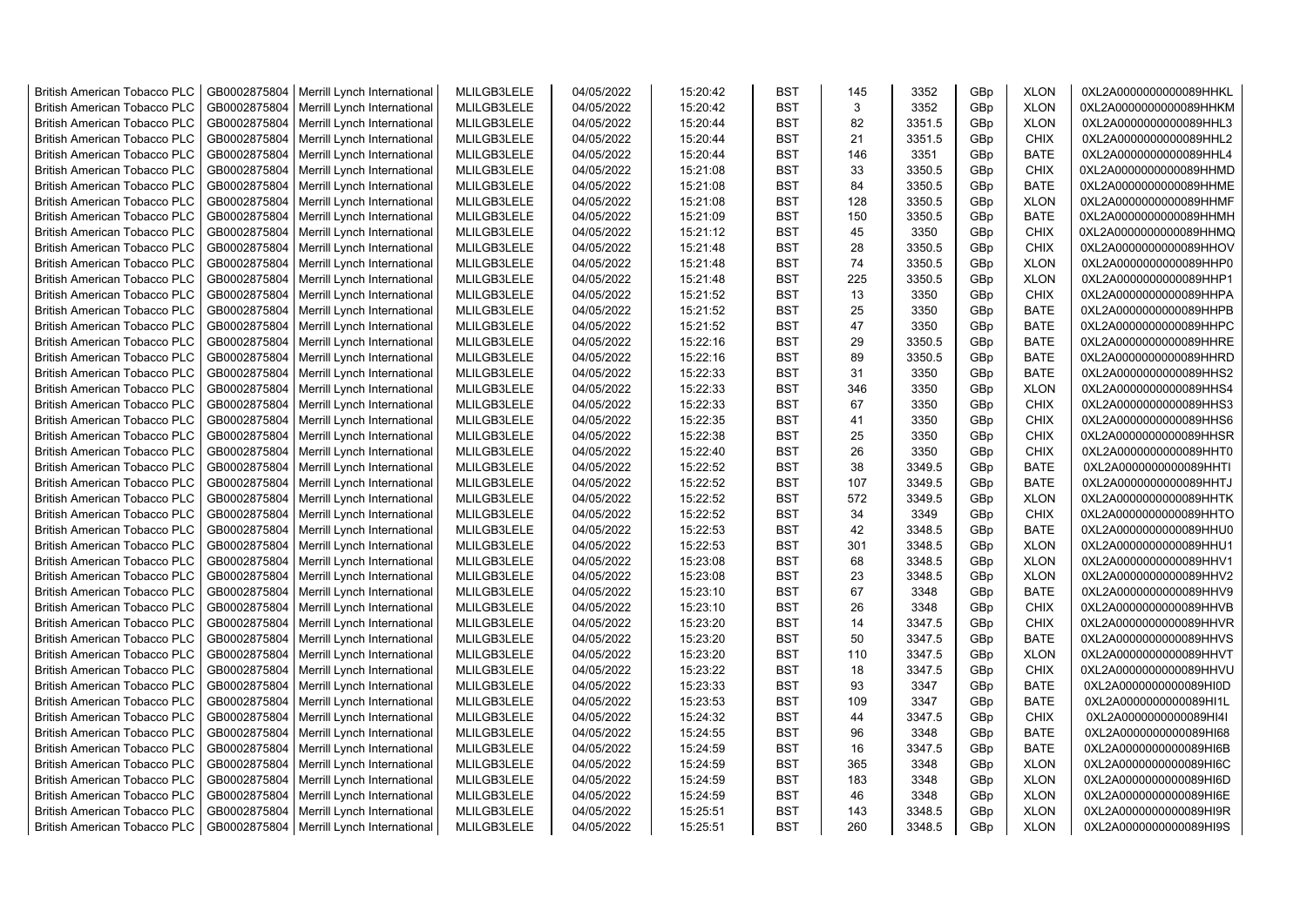| <b>British American Tobacco PLC</b> | GB0002875804 | Merrill Lynch International                | MLILGB3LELE | 04/05/2022 | 15:20:42 | <b>BST</b> | 145 | 3352   | GBp             | <b>XLON</b> | 0XL2A0000000000089HHKL |
|-------------------------------------|--------------|--------------------------------------------|-------------|------------|----------|------------|-----|--------|-----------------|-------------|------------------------|
| <b>British American Tobacco PLC</b> | GB0002875804 | Merrill Lynch International                | MLILGB3LELE | 04/05/2022 | 15:20:42 | <b>BST</b> | 3   | 3352   | GBp             | <b>XLON</b> | 0XL2A0000000000089HHKM |
| <b>British American Tobacco PLC</b> | GB0002875804 | Merrill Lynch International                | MLILGB3LELE | 04/05/2022 | 15:20:44 | <b>BST</b> | 82  | 3351.5 | GBp             | <b>XLON</b> | 0XL2A0000000000089HHL3 |
| <b>British American Tobacco PLC</b> | GB0002875804 | Merrill Lynch International                | MLILGB3LELE | 04/05/2022 | 15:20:44 | <b>BST</b> | 21  | 3351.5 | GBp             | <b>CHIX</b> | 0XL2A0000000000089HHL2 |
| <b>British American Tobacco PLC</b> | GB0002875804 | Merrill Lynch International                | MLILGB3LELE | 04/05/2022 | 15:20:44 | <b>BST</b> | 146 | 3351   | GBp             | <b>BATE</b> | 0XL2A0000000000089HHL4 |
| <b>British American Tobacco PLC</b> | GB0002875804 | Merrill Lynch International                | MLILGB3LELE | 04/05/2022 | 15:21:08 | <b>BST</b> | 33  | 3350.5 | GBp             | <b>CHIX</b> | 0XL2A0000000000089HHMD |
| British American Tobacco PLC        | GB0002875804 | Merrill Lynch International                | MLILGB3LELE | 04/05/2022 | 15:21:08 | <b>BST</b> | 84  | 3350.5 | GBp             | <b>BATE</b> | 0XL2A0000000000089HHME |
| <b>British American Tobacco PLC</b> | GB0002875804 | Merrill Lynch International                | MLILGB3LELE | 04/05/2022 | 15:21:08 | <b>BST</b> | 128 | 3350.5 | GBp             | <b>XLON</b> | 0XL2A0000000000089HHMF |
| <b>British American Tobacco PLC</b> | GB0002875804 | Merrill Lynch International                | MLILGB3LELE | 04/05/2022 | 15:21:09 | <b>BST</b> | 150 | 3350.5 | GBp             | <b>BATE</b> | 0XL2A0000000000089HHMH |
| <b>British American Tobacco PLC</b> | GB0002875804 | Merrill Lynch International                | MLILGB3LELE | 04/05/2022 | 15:21:12 | <b>BST</b> | 45  | 3350   | GBp             | <b>CHIX</b> | 0XL2A0000000000089HHMQ |
| <b>British American Tobacco PLC</b> | GB0002875804 | Merrill Lynch International                | MLILGB3LELE | 04/05/2022 | 15:21:48 | <b>BST</b> | 28  | 3350.5 | GBp             | <b>CHIX</b> | 0XL2A0000000000089HHOV |
| <b>British American Tobacco PLC</b> | GB0002875804 | Merrill Lynch International                | MLILGB3LELE | 04/05/2022 | 15:21:48 | <b>BST</b> | 74  | 3350.5 | GBp             | <b>XLON</b> | 0XL2A0000000000089HHP0 |
| <b>British American Tobacco PLC</b> | GB0002875804 | Merrill Lynch International                | MLILGB3LELE | 04/05/2022 | 15:21:48 | BST        | 225 | 3350.5 | GBp             | <b>XLON</b> | 0XL2A0000000000089HHP1 |
| <b>British American Tobacco PLC</b> | GB0002875804 | Merrill Lynch International                | MLILGB3LELE | 04/05/2022 | 15:21:52 | <b>BST</b> | 13  | 3350   | GBp             | <b>CHIX</b> | 0XL2A0000000000089HHPA |
| <b>British American Tobacco PLC</b> | GB0002875804 | Merrill Lynch International                | MLILGB3LELE | 04/05/2022 | 15:21:52 | <b>BST</b> | 25  | 3350   | GBp             | <b>BATE</b> | 0XL2A0000000000089HHPB |
| <b>British American Tobacco PLC</b> | GB0002875804 | Merrill Lynch International                | MLILGB3LELE | 04/05/2022 | 15:21:52 | <b>BST</b> | 47  | 3350   | GBp             | <b>BATE</b> | 0XL2A0000000000089HHPC |
| <b>British American Tobacco PLC</b> | GB0002875804 | Merrill Lynch International                | MLILGB3LELE | 04/05/2022 | 15:22:16 | <b>BST</b> | 29  | 3350.5 | GBp             | <b>BATE</b> | 0XL2A0000000000089HHRE |
| <b>British American Tobacco PLC</b> | GB0002875804 | Merrill Lynch International                | MLILGB3LELE | 04/05/2022 | 15:22:16 | <b>BST</b> | 89  | 3350.5 | GBp             | <b>BATE</b> | 0XL2A0000000000089HHRD |
| <b>British American Tobacco PLC</b> | GB0002875804 | Merrill Lynch International                | MLILGB3LELE | 04/05/2022 | 15:22:33 | <b>BST</b> | 31  | 3350   | GBp             | <b>BATE</b> | 0XL2A0000000000089HHS2 |
| <b>British American Tobacco PLC</b> | GB0002875804 | Merrill Lynch International                | MLILGB3LELE | 04/05/2022 | 15:22:33 | <b>BST</b> | 346 | 3350   | GBp             | <b>XLON</b> | 0XL2A0000000000089HHS4 |
| <b>British American Tobacco PLC</b> | GB0002875804 | Merrill Lynch International                | MLILGB3LELE | 04/05/2022 | 15:22:33 | <b>BST</b> | 67  | 3350   | GBp             | <b>CHIX</b> | 0XL2A0000000000089HHS3 |
| <b>British American Tobacco PLC</b> | GB0002875804 | Merrill Lynch International                | MLILGB3LELE | 04/05/2022 | 15:22:35 | <b>BST</b> | 41  | 3350   | GBp             | <b>CHIX</b> | 0XL2A0000000000089HHS6 |
| British American Tobacco PLC        | GB0002875804 | Merrill Lynch International                | MLILGB3LELE | 04/05/2022 | 15:22:38 | <b>BST</b> | 25  | 3350   | GBp             | <b>CHIX</b> | 0XL2A0000000000089HHSR |
| <b>British American Tobacco PLC</b> | GB0002875804 | Merrill Lynch International                | MLILGB3LELE | 04/05/2022 | 15:22:40 | <b>BST</b> | 26  | 3350   | GBp             | <b>CHIX</b> | 0XL2A0000000000089HHT0 |
| <b>British American Tobacco PLC</b> | GB0002875804 | Merrill Lynch International                | MLILGB3LELE | 04/05/2022 | 15:22:52 | <b>BST</b> | 38  | 3349.5 | GBp             | BATE        | 0XL2A0000000000089HHTI |
| <b>British American Tobacco PLC</b> | GB0002875804 | Merrill Lynch International                | MLILGB3LELE | 04/05/2022 | 15:22:52 | <b>BST</b> | 107 | 3349.5 | GBp             | BATE        | 0XL2A0000000000089HHTJ |
| <b>British American Tobacco PLC</b> | GB0002875804 | Merrill Lynch International                | MLILGB3LELE | 04/05/2022 | 15:22:52 | <b>BST</b> | 572 | 3349.5 | GBp             | <b>XLON</b> | 0XL2A0000000000089HHTK |
| <b>British American Tobacco PLC</b> | GB0002875804 | Merrill Lynch International                | MLILGB3LELE | 04/05/2022 | 15:22:52 | <b>BST</b> | 34  | 3349   | GBp             | <b>CHIX</b> | 0XL2A0000000000089HHTO |
| <b>British American Tobacco PLC</b> | GB0002875804 | Merrill Lynch International                | MLILGB3LELE | 04/05/2022 | 15:22:53 | <b>BST</b> | 42  | 3348.5 | GBp             | <b>BATE</b> | 0XL2A0000000000089HHU0 |
| <b>British American Tobacco PLC</b> | GB0002875804 | Merrill Lynch International                | MLILGB3LELE | 04/05/2022 | 15:22:53 | <b>BST</b> | 301 | 3348.5 | GBp             | <b>XLON</b> | 0XL2A0000000000089HHU1 |
| <b>British American Tobacco PLC</b> | GB0002875804 | Merrill Lynch International                | MLILGB3LELE | 04/05/2022 | 15:23:08 | <b>BST</b> | 68  | 3348.5 | GBp             | <b>XLON</b> | 0XL2A0000000000089HHV1 |
| <b>British American Tobacco PLC</b> | GB0002875804 | Merrill Lynch International                | MLILGB3LELE | 04/05/2022 | 15:23:08 | <b>BST</b> | 23  | 3348.5 | GBp             | <b>XLON</b> | 0XL2A0000000000089HHV2 |
| <b>British American Tobacco PLC</b> | GB0002875804 | Merrill Lynch International                | MLILGB3LELE | 04/05/2022 | 15:23:10 | <b>BST</b> | 67  | 3348   | GBp             | <b>BATE</b> | 0XL2A0000000000089HHV9 |
| <b>British American Tobacco PLC</b> | GB0002875804 | Merrill Lynch International                | MLILGB3LELE | 04/05/2022 | 15:23:10 | BST        | 26  | 3348   | GBp             | <b>CHIX</b> | 0XL2A0000000000089HHVB |
| <b>British American Tobacco PLC</b> | GB0002875804 | Merrill Lynch International                | MLILGB3LELE | 04/05/2022 | 15:23:20 | <b>BST</b> | 14  | 3347.5 | GBp             | <b>CHIX</b> | 0XL2A0000000000089HHVR |
| British American Tobacco PLC        | GB0002875804 | Merrill Lynch International                | MLILGB3LELE | 04/05/2022 | 15:23:20 | <b>BST</b> | 50  | 3347.5 | GBp             | <b>BATE</b> | 0XL2A0000000000089HHVS |
| <b>British American Tobacco PLC</b> | GB0002875804 | Merrill Lynch International                | MLILGB3LELE | 04/05/2022 | 15:23:20 | <b>BST</b> | 110 | 3347.5 | GBp             | <b>XLON</b> | 0XL2A0000000000089HHVT |
| <b>British American Tobacco PLC</b> | GB0002875804 | Merrill Lynch International                | MLILGB3LELE | 04/05/2022 | 15:23:22 | <b>BST</b> | 18  | 3347.5 | GBp             | <b>CHIX</b> | 0XL2A0000000000089HHVU |
| <b>British American Tobacco PLC</b> | GB0002875804 | Merrill Lynch International                | MLILGB3LELE | 04/05/2022 | 15:23:33 | <b>BST</b> | 93  | 3347   | GBp             | <b>BATE</b> | 0XL2A0000000000089HI0D |
| <b>British American Tobacco PLC</b> | GB0002875804 | Merrill Lynch International                | MLILGB3LELE | 04/05/2022 | 15:23:53 | <b>BST</b> | 109 | 3347   | GBp             | <b>BATE</b> | 0XL2A0000000000089HI1L |
| <b>British American Tobacco PLC</b> | GB0002875804 | Merrill Lynch International                | MLILGB3LELE | 04/05/2022 | 15:24:32 | <b>BST</b> | 44  | 3347.5 | GBp             | <b>CHIX</b> | 0XL2A0000000000089HI4I |
| <b>British American Tobacco PLC</b> | GB0002875804 | Merrill Lynch International                | MLILGB3LELE | 04/05/2022 | 15:24:55 | <b>BST</b> | 96  | 3348   | GBp             | BATE        | 0XL2A0000000000089HI68 |
| <b>British American Tobacco PLC</b> | GB0002875804 | Merrill Lynch International                | MLILGB3LELE | 04/05/2022 | 15:24:59 | <b>BST</b> | 16  | 3347.5 | GBp             | <b>BATE</b> | 0XL2A0000000000089HI6B |
| <b>British American Tobacco PLC</b> | GB0002875804 | Merrill Lynch International                | MLILGB3LELE | 04/05/2022 | 15:24:59 | <b>BST</b> | 365 | 3348   | GBp             | <b>XLON</b> | 0XL2A0000000000089HI6C |
| <b>British American Tobacco PLC</b> | GB0002875804 | Merrill Lynch International                | MLILGB3LELE | 04/05/2022 | 15:24:59 | <b>BST</b> | 183 | 3348   | GBp             | <b>XLON</b> | 0XL2A0000000000089HI6D |
| <b>British American Tobacco PLC</b> | GB0002875804 | Merrill Lynch International                | MLILGB3LELE | 04/05/2022 | 15:24:59 | <b>BST</b> | 46  | 3348   | GBp             | <b>XLON</b> | 0XL2A0000000000089HI6E |
| <b>British American Tobacco PLC</b> | GB0002875804 | Merrill Lynch International                | MLILGB3LELE | 04/05/2022 | 15:25:51 | <b>BST</b> | 143 | 3348.5 | GBp             | <b>XLON</b> | 0XL2A0000000000089HI9R |
| <b>British American Tobacco PLC</b> |              | GB0002875804   Merrill Lynch International | MLILGB3LELE | 04/05/2022 | 15:25:51 | <b>BST</b> | 260 | 3348.5 | GB <sub>p</sub> | <b>XLON</b> | 0XL2A0000000000089HI9S |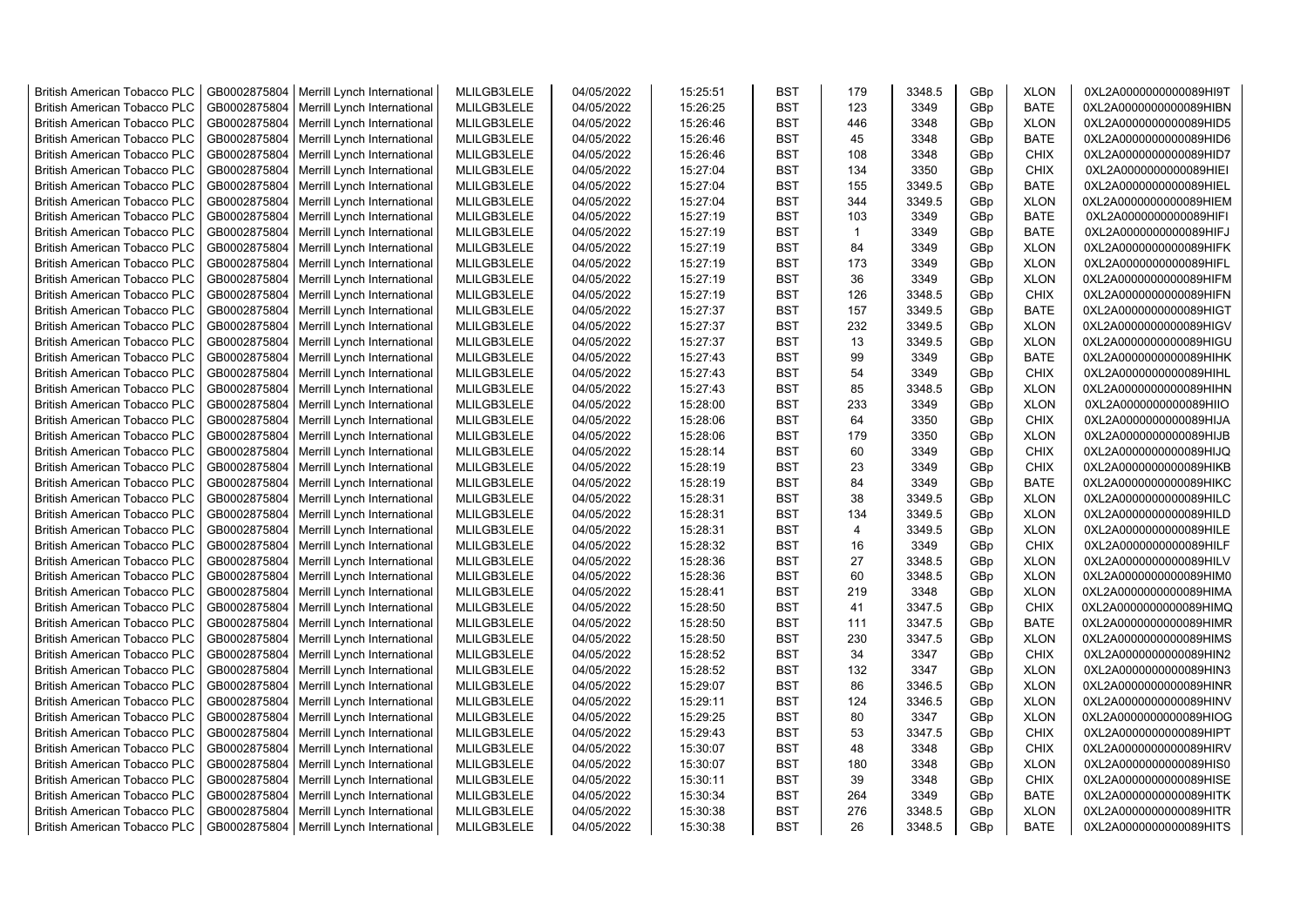| <b>British American Tobacco PLC</b> | GB0002875804 | Merrill Lynch International                | MLILGB3LELE | 04/05/2022 | 15:25:51 | <b>BST</b> | 179            | 3348.5 | GBp             | <b>XLON</b> | 0XL2A0000000000089HI9T |
|-------------------------------------|--------------|--------------------------------------------|-------------|------------|----------|------------|----------------|--------|-----------------|-------------|------------------------|
| <b>British American Tobacco PLC</b> | GB0002875804 | Merrill Lynch International                | MLILGB3LELE | 04/05/2022 | 15:26:25 | <b>BST</b> | 123            | 3349   | GBp             | <b>BATE</b> | 0XL2A0000000000089HIBN |
| <b>British American Tobacco PLC</b> | GB0002875804 | Merrill Lynch International                | MLILGB3LELE | 04/05/2022 | 15:26:46 | <b>BST</b> | 446            | 3348   | GBp             | <b>XLON</b> | 0XL2A0000000000089HID5 |
| <b>British American Tobacco PLC</b> | GB0002875804 | Merrill Lynch International                | MLILGB3LELE | 04/05/2022 | 15:26:46 | <b>BST</b> | 45             | 3348   | GBp             | <b>BATE</b> | 0XL2A0000000000089HID6 |
| <b>British American Tobacco PLC</b> | GB0002875804 | Merrill Lynch International                | MLILGB3LELE | 04/05/2022 | 15:26:46 | <b>BST</b> | 108            | 3348   | GBp             | <b>CHIX</b> | 0XL2A0000000000089HID7 |
| <b>British American Tobacco PLC</b> | GB0002875804 | Merrill Lynch International                | MLILGB3LELE | 04/05/2022 | 15:27:04 | <b>BST</b> | 134            | 3350   | GBp             | <b>CHIX</b> | 0XL2A0000000000089HIEI |
| <b>British American Tobacco PLC</b> | GB0002875804 | Merrill Lynch International                | MLILGB3LELE | 04/05/2022 | 15:27:04 | BST        | 155            | 3349.5 | GBp             | <b>BATE</b> | 0XL2A0000000000089HIEL |
| British American Tobacco PLC        | GB0002875804 | Merrill Lynch International                | MLILGB3LELE | 04/05/2022 | 15:27:04 | <b>BST</b> | 344            | 3349.5 | GBp             | <b>XLON</b> | 0XL2A0000000000089HIEM |
| <b>British American Tobacco PLC</b> | GB0002875804 | Merrill Lynch International                | MLILGB3LELE | 04/05/2022 | 15:27:19 | <b>BST</b> | 103            | 3349   | GBp             | <b>BATE</b> | 0XL2A0000000000089HIFI |
| <b>British American Tobacco PLC</b> | GB0002875804 | Merrill Lynch International                | MLILGB3LELE | 04/05/2022 | 15:27:19 | <b>BST</b> | $\mathbf{1}$   | 3349   | GBp             | <b>BATE</b> | 0XL2A0000000000089HIFJ |
| <b>British American Tobacco PLC</b> | GB0002875804 | Merrill Lynch International                | MLILGB3LELE | 04/05/2022 | 15:27:19 | <b>BST</b> | 84             | 3349   | GBp             | <b>XLON</b> | 0XL2A0000000000089HIFK |
| <b>British American Tobacco PLC</b> | GB0002875804 | Merrill Lynch International                | MLILGB3LELE | 04/05/2022 | 15:27:19 | <b>BST</b> | 173            | 3349   | GBp             | <b>XLON</b> | 0XL2A0000000000089HIFL |
| <b>British American Tobacco PLC</b> | GB0002875804 | Merrill Lynch International                | MLILGB3LELE | 04/05/2022 | 15:27:19 | <b>BST</b> | 36             | 3349   | GBp             | <b>XLON</b> | 0XL2A0000000000089HIFM |
|                                     |              |                                            |             |            |          | <b>BST</b> | 126            |        |                 | <b>CHIX</b> |                        |
| <b>British American Tobacco PLC</b> | GB0002875804 | Merrill Lynch International                | MLILGB3LELE | 04/05/2022 | 15:27:19 |            |                | 3348.5 | GBp             |             | 0XL2A0000000000089HIFN |
| <b>British American Tobacco PLC</b> | GB0002875804 | Merrill Lynch International                | MLILGB3LELE | 04/05/2022 | 15:27:37 | <b>BST</b> | 157            | 3349.5 | GBp             | <b>BATE</b> | 0XL2A0000000000089HIGT |
| <b>British American Tobacco PLC</b> | GB0002875804 | Merrill Lynch International                | MLILGB3LELE | 04/05/2022 | 15:27:37 | <b>BST</b> | 232            | 3349.5 | GBp             | <b>XLON</b> | 0XL2A0000000000089HIGV |
| <b>British American Tobacco PLC</b> | GB0002875804 | Merrill Lynch International                | MLILGB3LELE | 04/05/2022 | 15:27:37 | <b>BST</b> | 13             | 3349.5 | GBp             | <b>XLON</b> | 0XL2A0000000000089HIGU |
| <b>British American Tobacco PLC</b> | GB0002875804 | Merrill Lynch International                | MLILGB3LELE | 04/05/2022 | 15:27:43 | <b>BST</b> | 99             | 3349   | GBp             | <b>BATE</b> | 0XL2A0000000000089HIHK |
| <b>British American Tobacco PLC</b> | GB0002875804 | Merrill Lynch International                | MLILGB3LELE | 04/05/2022 | 15:27:43 | <b>BST</b> | 54             | 3349   | GBp             | <b>CHIX</b> | 0XL2A0000000000089HIHL |
| <b>British American Tobacco PLC</b> | GB0002875804 | Merrill Lynch International                | MLILGB3LELE | 04/05/2022 | 15:27:43 | <b>BST</b> | 85             | 3348.5 | GBp             | <b>XLON</b> | 0XL2A0000000000089HIHN |
| <b>British American Tobacco PLC</b> | GB0002875804 | Merrill Lynch International                | MLILGB3LELE | 04/05/2022 | 15:28:00 | <b>BST</b> | 233            | 3349   | GBp             | <b>XLON</b> | 0XL2A0000000000089HIIO |
| <b>British American Tobacco PLC</b> | GB0002875804 | Merrill Lynch International                | MLILGB3LELE | 04/05/2022 | 15:28:06 | <b>BST</b> | 64             | 3350   | GBp             | <b>CHIX</b> | 0XL2A0000000000089HIJA |
| <b>British American Tobacco PLC</b> | GB0002875804 | Merrill Lynch International                | MLILGB3LELE | 04/05/2022 | 15:28:06 | <b>BST</b> | 179            | 3350   | GBp             | <b>XLON</b> | 0XL2A0000000000089HIJB |
| <b>British American Tobacco PLC</b> | GB0002875804 | Merrill Lynch International                | MLILGB3LELE | 04/05/2022 | 15:28:14 | <b>BST</b> | 60             | 3349   | GBp             | <b>CHIX</b> | 0XL2A0000000000089HIJQ |
| <b>British American Tobacco PLC</b> | GB0002875804 | Merrill Lynch International                | MLILGB3LELE | 04/05/2022 | 15:28:19 | <b>BST</b> | 23             | 3349   | GBp             | <b>CHIX</b> | 0XL2A0000000000089HIKB |
| <b>British American Tobacco PLC</b> | GB0002875804 | Merrill Lynch International                | MLILGB3LELE | 04/05/2022 | 15:28:19 | <b>BST</b> | 84             | 3349   | GBp             | <b>BATE</b> | 0XL2A0000000000089HIKC |
| <b>British American Tobacco PLC</b> | GB0002875804 | Merrill Lynch International                | MLILGB3LELE | 04/05/2022 | 15:28:31 | <b>BST</b> | 38             | 3349.5 | GBp             | <b>XLON</b> | 0XL2A0000000000089HILC |
| <b>British American Tobacco PLC</b> | GB0002875804 | Merrill Lynch International                | MLILGB3LELE | 04/05/2022 | 15:28:31 | <b>BST</b> | 134            | 3349.5 | GBp             | <b>XLON</b> | 0XL2A0000000000089HILD |
| <b>British American Tobacco PLC</b> | GB0002875804 | Merrill Lynch International                | MLILGB3LELE | 04/05/2022 | 15:28:31 | <b>BST</b> | $\overline{4}$ | 3349.5 | GBp             | <b>XLON</b> | 0XL2A0000000000089HILE |
| <b>British American Tobacco PLC</b> | GB0002875804 | Merrill Lynch International                | MLILGB3LELE | 04/05/2022 | 15:28:32 | <b>BST</b> | 16             | 3349   | GBp             | <b>CHIX</b> | 0XL2A0000000000089HILF |
| <b>British American Tobacco PLC</b> | GB0002875804 | Merrill Lynch International                | MLILGB3LELE | 04/05/2022 | 15:28:36 | <b>BST</b> | 27             | 3348.5 | GBp             | <b>XLON</b> | 0XL2A0000000000089HILV |
| <b>British American Tobacco PLC</b> | GB0002875804 | Merrill Lynch International                | MLILGB3LELE | 04/05/2022 | 15:28:36 | <b>BST</b> | 60             | 3348.5 | GBp             | <b>XLON</b> | 0XL2A0000000000089HIM0 |
| <b>British American Tobacco PLC</b> | GB0002875804 | Merrill Lynch International                | MLILGB3LELE | 04/05/2022 | 15:28:41 | <b>BST</b> | 219            | 3348   | GBp             | <b>XLON</b> | 0XL2A0000000000089HIMA |
| <b>British American Tobacco PLC</b> | GB0002875804 | Merrill Lynch International                | MLILGB3LELE | 04/05/2022 | 15:28:50 | <b>BST</b> | 41             | 3347.5 | GBp             | <b>CHIX</b> | 0XL2A0000000000089HIMQ |
| <b>British American Tobacco PLC</b> | GB0002875804 | Merrill Lynch International                | MLILGB3LELE | 04/05/2022 | 15:28:50 | <b>BST</b> | 111            | 3347.5 | GBp             | <b>BATE</b> | 0XL2A0000000000089HIMR |
| <b>British American Tobacco PLC</b> | GB0002875804 | Merrill Lynch International                | MLILGB3LELE | 04/05/2022 | 15:28:50 | <b>BST</b> | 230            | 3347.5 | GBp             | <b>XLON</b> | 0XL2A0000000000089HIMS |
| <b>British American Tobacco PLC</b> | GB0002875804 | Merrill Lynch International                | MLILGB3LELE | 04/05/2022 | 15:28:52 | <b>BST</b> | 34             | 3347   | GBp             | <b>CHIX</b> | 0XL2A0000000000089HIN2 |
| <b>British American Tobacco PLC</b> | GB0002875804 | Merrill Lynch International                | MLILGB3LELE | 04/05/2022 | 15:28:52 | <b>BST</b> | 132            | 3347   | GBp             | <b>XLON</b> | 0XL2A0000000000089HIN3 |
| <b>British American Tobacco PLC</b> | GB0002875804 | Merrill Lynch International                | MLILGB3LELE | 04/05/2022 | 15:29:07 | <b>BST</b> | 86             | 3346.5 | GBp             | <b>XLON</b> | 0XL2A0000000000089HINR |
| <b>British American Tobacco PLC</b> | GB0002875804 | Merrill Lynch International                | MLILGB3LELE | 04/05/2022 | 15:29:11 | <b>BST</b> | 124            | 3346.5 | GBp             | <b>XLON</b> | 0XL2A0000000000089HINV |
| <b>British American Tobacco PLC</b> | GB0002875804 | Merrill Lynch International                | MLILGB3LELE | 04/05/2022 | 15:29:25 | <b>BST</b> | 80             | 3347   | GBp             | <b>XLON</b> | 0XL2A0000000000089HIOG |
| <b>British American Tobacco PLC</b> | GB0002875804 | Merrill Lynch International                | MLILGB3LELE | 04/05/2022 | 15:29:43 | <b>BST</b> | 53             | 3347.5 | GBp             | <b>CHIX</b> | 0XL2A0000000000089HIPT |
| <b>British American Tobacco PLC</b> | GB0002875804 | Merrill Lynch International                | MLILGB3LELE | 04/05/2022 | 15:30:07 | <b>BST</b> | 48             | 3348   | GBp             | <b>CHIX</b> | 0XL2A0000000000089HIRV |
| <b>British American Tobacco PLC</b> | GB0002875804 | Merrill Lynch International                | MLILGB3LELE | 04/05/2022 | 15:30:07 | <b>BST</b> | 180            | 3348   | GBp             | <b>XLON</b> | 0XL2A0000000000089HIS0 |
| <b>British American Tobacco PLC</b> | GB0002875804 | Merrill Lynch International                | MLILGB3LELE | 04/05/2022 | 15:30:11 | <b>BST</b> | 39             | 3348   | GBp             | <b>CHIX</b> | 0XL2A0000000000089HISE |
| <b>British American Tobacco PLC</b> | GB0002875804 | Merrill Lynch International                | MLILGB3LELE | 04/05/2022 | 15:30:34 | <b>BST</b> | 264            | 3349   | GBp             | <b>BATE</b> | 0XL2A0000000000089HITK |
| <b>British American Tobacco PLC</b> | GB0002875804 | Merrill Lynch International                | MLILGB3LELE | 04/05/2022 | 15:30:38 | <b>BST</b> | 276            | 3348.5 | GBp             | <b>XLON</b> | 0XL2A0000000000089HITR |
| <b>British American Tobacco PLC</b> |              | GB0002875804   Merrill Lynch International | MLILGB3LELE | 04/05/2022 | 15:30:38 | <b>BST</b> | 26             | 3348.5 | GB <sub>p</sub> | <b>BATE</b> | 0XL2A0000000000089HITS |
|                                     |              |                                            |             |            |          |            |                |        |                 |             |                        |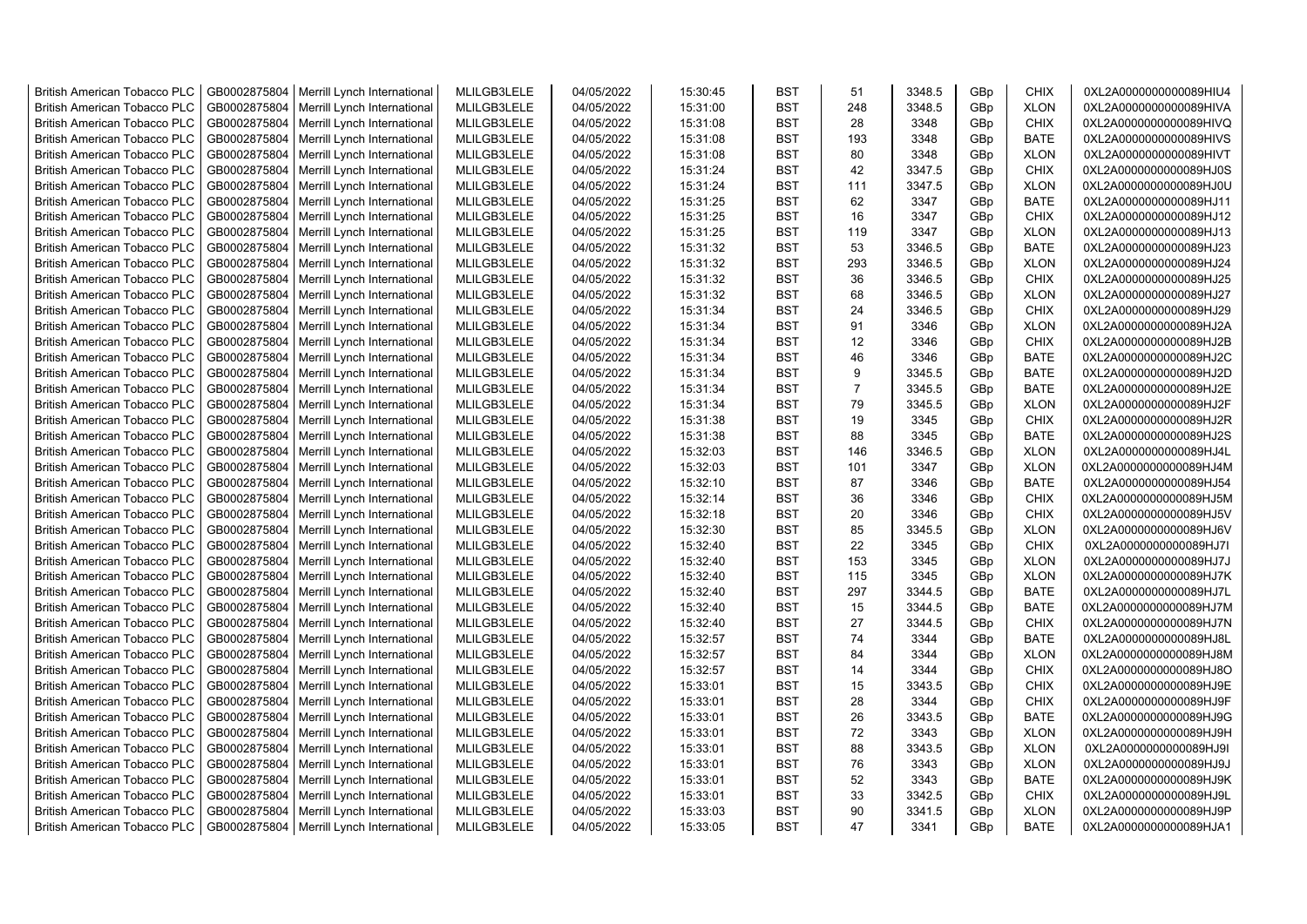| <b>British American Tobacco PLC</b> | GB0002875804 | Merrill Lynch International                | MLILGB3LELE | 04/05/2022 | 15:30:45 | <b>BST</b> | 51             | 3348.5 | GBp | <b>CHIX</b> | 0XL2A0000000000089HIU4 |
|-------------------------------------|--------------|--------------------------------------------|-------------|------------|----------|------------|----------------|--------|-----|-------------|------------------------|
| <b>British American Tobacco PLC</b> | GB0002875804 | Merrill Lynch International                | MLILGB3LELE | 04/05/2022 | 15:31:00 | <b>BST</b> | 248            | 3348.5 | GBp | <b>XLON</b> | 0XL2A0000000000089HIVA |
| <b>British American Tobacco PLC</b> | GB0002875804 | Merrill Lynch International                | MLILGB3LELE | 04/05/2022 | 15:31:08 | <b>BST</b> | 28             | 3348   | GBp | <b>CHIX</b> | 0XL2A0000000000089HIVQ |
| <b>British American Tobacco PLC</b> | GB0002875804 | Merrill Lynch International                | MLILGB3LELE | 04/05/2022 | 15:31:08 | <b>BST</b> | 193            | 3348   | GBp | <b>BATE</b> | 0XL2A0000000000089HIVS |
| <b>British American Tobacco PLC</b> | GB0002875804 | Merrill Lynch International                | MLILGB3LELE | 04/05/2022 | 15:31:08 | <b>BST</b> | 80             | 3348   | GBp | <b>XLON</b> | 0XL2A0000000000089HIVT |
| <b>British American Tobacco PLC</b> | GB0002875804 | Merrill Lynch International                | MLILGB3LELE | 04/05/2022 | 15:31:24 | <b>BST</b> | 42             | 3347.5 | GBp | <b>CHIX</b> | 0XL2A0000000000089HJ0S |
| <b>British American Tobacco PLC</b> | GB0002875804 | Merrill Lynch International                | MLILGB3LELE | 04/05/2022 | 15:31:24 | <b>BST</b> | 111            | 3347.5 | GBp | <b>XLON</b> | 0XL2A0000000000089HJ0U |
| <b>British American Tobacco PLC</b> | GB0002875804 | Merrill Lynch International                | MLILGB3LELE | 04/05/2022 | 15:31:25 | BST        | 62             | 3347   | GBp | <b>BATE</b> | 0XL2A0000000000089HJ11 |
| <b>British American Tobacco PLC</b> | GB0002875804 | Merrill Lynch International                | MLILGB3LELE | 04/05/2022 | 15:31:25 | <b>BST</b> | 16             | 3347   | GBp | <b>CHIX</b> | 0XL2A0000000000089HJ12 |
| <b>British American Tobacco PLC</b> | GB0002875804 | Merrill Lynch International                | MLILGB3LELE | 04/05/2022 | 15:31:25 | <b>BST</b> | 119            | 3347   | GBp | <b>XLON</b> | 0XL2A0000000000089HJ13 |
| <b>British American Tobacco PLC</b> | GB0002875804 | Merrill Lynch International                | MLILGB3LELE | 04/05/2022 | 15:31:32 | <b>BST</b> | 53             | 3346.5 | GBp | <b>BATE</b> | 0XL2A0000000000089HJ23 |
| <b>British American Tobacco PLC</b> | GB0002875804 | Merrill Lynch International                | MLILGB3LELE | 04/05/2022 | 15:31:32 | <b>BST</b> | 293            | 3346.5 | GBp | <b>XLON</b> | 0XL2A0000000000089HJ24 |
| <b>British American Tobacco PLC</b> | GB0002875804 | Merrill Lynch International                | MLILGB3LELE | 04/05/2022 | 15:31:32 | <b>BST</b> | 36             | 3346.5 | GBp | <b>CHIX</b> | 0XL2A0000000000089HJ25 |
| <b>British American Tobacco PLC</b> | GB0002875804 | Merrill Lynch International                | MLILGB3LELE | 04/05/2022 | 15:31:32 | <b>BST</b> | 68             | 3346.5 | GBp | <b>XLON</b> | 0XL2A0000000000089HJ27 |
| <b>British American Tobacco PLC</b> | GB0002875804 | Merrill Lynch International                | MLILGB3LELE | 04/05/2022 | 15:31:34 | <b>BST</b> | 24             | 3346.5 | GBp | <b>CHIX</b> | 0XL2A0000000000089HJ29 |
| <b>British American Tobacco PLC</b> | GB0002875804 | Merrill Lynch International                | MLILGB3LELE | 04/05/2022 | 15:31:34 | <b>BST</b> | 91             | 3346   | GBp | <b>XLON</b> | 0XL2A0000000000089HJ2A |
| <b>British American Tobacco PLC</b> | GB0002875804 | Merrill Lynch International                | MLILGB3LELE | 04/05/2022 | 15:31:34 | <b>BST</b> | 12             | 3346   | GBp | <b>CHIX</b> | 0XL2A0000000000089HJ2B |
| <b>British American Tobacco PLC</b> | GB0002875804 | Merrill Lynch International                | MLILGB3LELE | 04/05/2022 | 15:31:34 | <b>BST</b> | 46             | 3346   | GBp | <b>BATE</b> | 0XL2A0000000000089HJ2C |
| <b>British American Tobacco PLC</b> | GB0002875804 | Merrill Lynch International                | MLILGB3LELE | 04/05/2022 | 15:31:34 | <b>BST</b> | 9              | 3345.5 | GBp | <b>BATE</b> | 0XL2A0000000000089HJ2D |
| <b>British American Tobacco PLC</b> | GB0002875804 | Merrill Lynch International                | MLILGB3LELE | 04/05/2022 | 15:31:34 | <b>BST</b> | $\overline{7}$ | 3345.5 | GBp | <b>BATE</b> | 0XL2A0000000000089HJ2E |
| <b>British American Tobacco PLC</b> | GB0002875804 | Merrill Lynch International                | MLILGB3LELE | 04/05/2022 | 15:31:34 | <b>BST</b> | 79             | 3345.5 | GBp | <b>XLON</b> | 0XL2A0000000000089HJ2F |
| <b>British American Tobacco PLC</b> | GB0002875804 | Merrill Lynch International                | MLILGB3LELE | 04/05/2022 | 15:31:38 | <b>BST</b> | 19             | 3345   | GBp | <b>CHIX</b> | 0XL2A0000000000089HJ2R |
| <b>British American Tobacco PLC</b> | GB0002875804 | Merrill Lynch International                | MLILGB3LELE | 04/05/2022 | 15:31:38 | <b>BST</b> | 88             | 3345   | GBp | <b>BATE</b> | 0XL2A0000000000089HJ2S |
| <b>British American Tobacco PLC</b> | GB0002875804 | Merrill Lynch International                | MLILGB3LELE | 04/05/2022 | 15:32:03 | <b>BST</b> | 146            | 3346.5 | GBp | <b>XLON</b> | 0XL2A0000000000089HJ4L |
| <b>British American Tobacco PLC</b> | GB0002875804 | Merrill Lynch International                | MLILGB3LELE | 04/05/2022 | 15:32:03 | BST        | 101            | 3347   | GBp | <b>XLON</b> | 0XL2A0000000000089HJ4M |
| British American Tobacco PLC        | GB0002875804 | Merrill Lynch International                | MLILGB3LELE | 04/05/2022 | 15:32:10 | <b>BST</b> | 87             | 3346   | GBp | <b>BATE</b> | 0XL2A0000000000089HJ54 |
| <b>British American Tobacco PLC</b> | GB0002875804 | Merrill Lynch International                | MLILGB3LELE | 04/05/2022 | 15:32:14 | <b>BST</b> | 36             | 3346   | GBp | <b>CHIX</b> | 0XL2A0000000000089HJ5M |
| <b>British American Tobacco PLC</b> | GB0002875804 | Merrill Lynch International                | MLILGB3LELE | 04/05/2022 | 15:32:18 | <b>BST</b> | 20             | 3346   | GBp | <b>CHIX</b> | 0XL2A0000000000089HJ5V |
| <b>British American Tobacco PLC</b> | GB0002875804 | Merrill Lynch International                | MLILGB3LELE | 04/05/2022 | 15:32:30 | <b>BST</b> | 85             | 3345.5 | GBp | <b>XLON</b> | 0XL2A0000000000089HJ6V |
| <b>British American Tobacco PLC</b> | GB0002875804 | Merrill Lynch International                | MLILGB3LELE | 04/05/2022 | 15:32:40 | <b>BST</b> | 22             | 3345   | GBp | <b>CHIX</b> | 0XL2A0000000000089HJ7I |
| <b>British American Tobacco PLC</b> | GB0002875804 | Merrill Lynch International                | MLILGB3LELE | 04/05/2022 | 15:32:40 | <b>BST</b> | 153            | 3345   | GBp | <b>XLON</b> | 0XL2A0000000000089HJ7J |
| <b>British American Tobacco PLC</b> | GB0002875804 | Merrill Lynch International                | MLILGB3LELE | 04/05/2022 | 15:32:40 | <b>BST</b> | 115            | 3345   | GBp | <b>XLON</b> | 0XL2A0000000000089HJ7K |
| <b>British American Tobacco PLC</b> | GB0002875804 | Merrill Lynch International                | MLILGB3LELE | 04/05/2022 | 15:32:40 | <b>BST</b> | 297            | 3344.5 | GBp | <b>BATE</b> | 0XL2A0000000000089HJ7L |
| <b>British American Tobacco PLC</b> | GB0002875804 | Merrill Lynch International                | MLILGB3LELE | 04/05/2022 | 15:32:40 | <b>BST</b> | 15             | 3344.5 | GBp | <b>BATE</b> | 0XL2A0000000000089HJ7M |
| <b>British American Tobacco PLC</b> | GB0002875804 | Merrill Lynch International                | MLILGB3LELE | 04/05/2022 | 15:32:40 | <b>BST</b> | 27             | 3344.5 | GBp | <b>CHIX</b> | 0XL2A0000000000089HJ7N |
| <b>British American Tobacco PLC</b> | GB0002875804 | Merrill Lynch International                | MLILGB3LELE | 04/05/2022 | 15:32:57 | <b>BST</b> | 74             | 3344   | GBp | <b>BATE</b> | 0XL2A0000000000089HJ8L |
| <b>British American Tobacco PLC</b> | GB0002875804 | Merrill Lynch International                | MLILGB3LELE | 04/05/2022 | 15:32:57 | <b>BST</b> | 84             | 3344   | GBp | <b>XLON</b> | 0XL2A0000000000089HJ8M |
| <b>British American Tobacco PLC</b> | GB0002875804 | Merrill Lynch International                | MLILGB3LELE | 04/05/2022 | 15:32:57 | <b>BST</b> | 14             | 3344   | GBp | <b>CHIX</b> | 0XL2A0000000000089HJ8O |
| <b>British American Tobacco PLC</b> | GB0002875804 | Merrill Lynch International                | MLILGB3LELE | 04/05/2022 | 15:33:01 | <b>BST</b> | 15             | 3343.5 | GBp | <b>CHIX</b> | 0XL2A0000000000089HJ9E |
| <b>British American Tobacco PLC</b> | GB0002875804 | Merrill Lynch International                | MLILGB3LELE | 04/05/2022 | 15:33:01 | <b>BST</b> | 28             | 3344   | GBp | <b>CHIX</b> | 0XL2A0000000000089HJ9F |
| <b>British American Tobacco PLC</b> | GB0002875804 | Merrill Lynch International                | MLILGB3LELE | 04/05/2022 | 15:33:01 | <b>BST</b> | 26             | 3343.5 | GBp | <b>BATE</b> | 0XL2A0000000000089HJ9G |
| <b>British American Tobacco PLC</b> | GB0002875804 | Merrill Lynch International                | MLILGB3LELE | 04/05/2022 | 15:33:01 | <b>BST</b> | 72             | 3343   | GBp | <b>XLON</b> | 0XL2A0000000000089HJ9H |
| <b>British American Tobacco PLC</b> | GB0002875804 | Merrill Lynch International                | MLILGB3LELE | 04/05/2022 | 15:33:01 | <b>BST</b> | 88             | 3343.5 | GBp | <b>XLON</b> | 0XL2A0000000000089HJ9I |
| <b>British American Tobacco PLC</b> | GB0002875804 | Merrill Lynch International                | MLILGB3LELE | 04/05/2022 | 15:33:01 | <b>BST</b> | 76             | 3343   | GBp | <b>XLON</b> | 0XL2A0000000000089HJ9J |
| <b>British American Tobacco PLC</b> | GB0002875804 | Merrill Lynch International                | MLILGB3LELE | 04/05/2022 | 15:33:01 | <b>BST</b> | 52             | 3343   | GBp | <b>BATE</b> | 0XL2A0000000000089HJ9K |
| <b>British American Tobacco PLC</b> | GB0002875804 | Merrill Lynch International                | MLILGB3LELE | 04/05/2022 | 15:33:01 | <b>BST</b> | 33             | 3342.5 | GBp | <b>CHIX</b> | 0XL2A0000000000089HJ9L |
| <b>British American Tobacco PLC</b> | GB0002875804 | Merrill Lynch International                | MLILGB3LELE | 04/05/2022 | 15:33:03 | <b>BST</b> | 90             | 3341.5 | GBp | <b>XLON</b> | 0XL2A0000000000089HJ9P |
| <b>British American Tobacco PLC</b> |              | GB0002875804   Merrill Lynch International | MLILGB3LELE | 04/05/2022 | 15:33:05 | <b>BST</b> | 47             | 3341   | GBp | <b>BATE</b> | 0XL2A0000000000089HJA1 |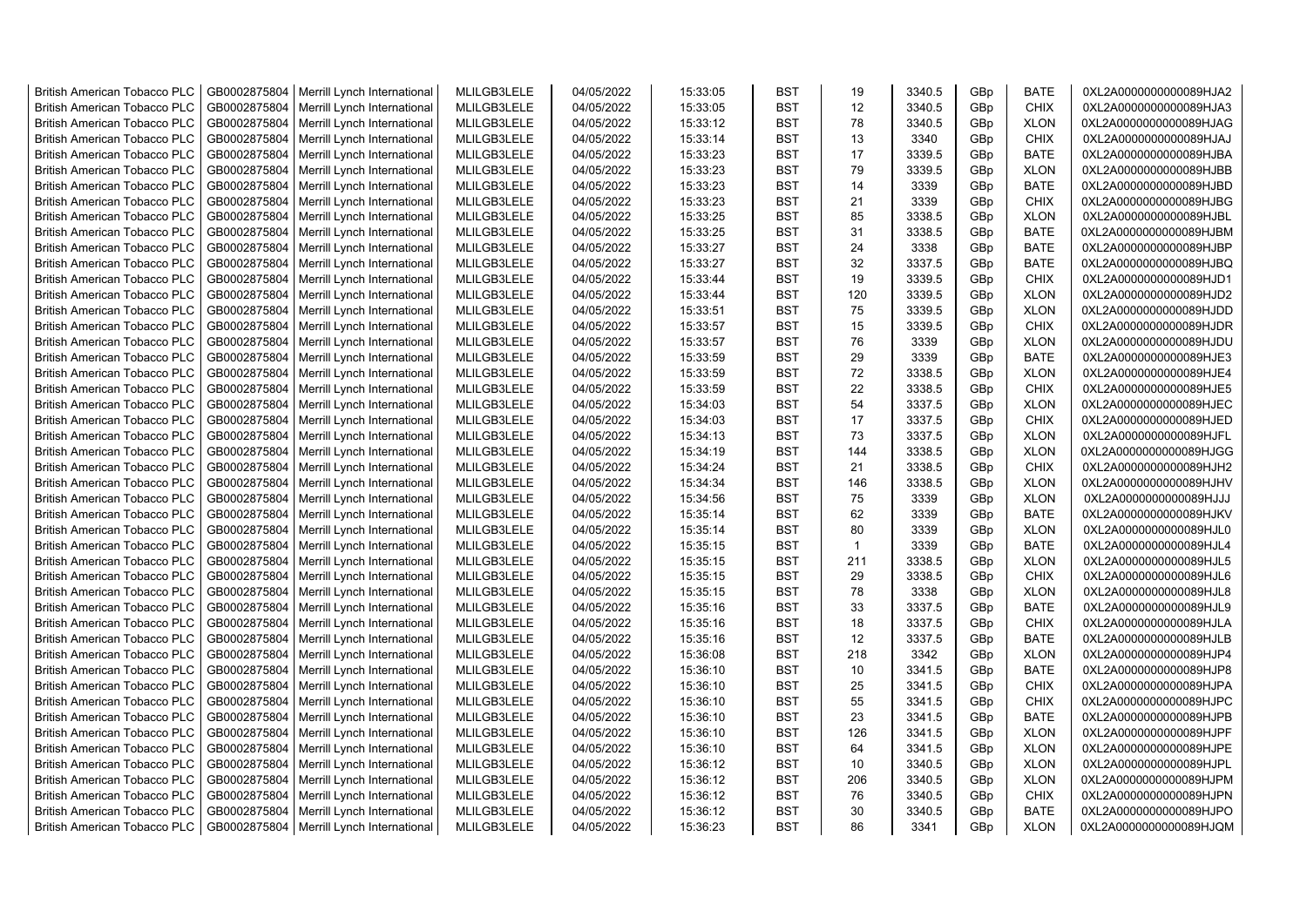| <b>British American Tobacco PLC</b>                                        | GB0002875804                 | Merrill Lynch International                | MLILGB3LELE                | 04/05/2022               | 15:33:05             | <b>BST</b>               | 19           | 3340.5           | GBp        | <b>BATE</b>                | 0XL2A0000000000089HJA2                           |
|----------------------------------------------------------------------------|------------------------------|--------------------------------------------|----------------------------|--------------------------|----------------------|--------------------------|--------------|------------------|------------|----------------------------|--------------------------------------------------|
| <b>British American Tobacco PLC</b>                                        | GB0002875804                 | Merrill Lynch International                | MLILGB3LELE                | 04/05/2022               | 15:33:05             | <b>BST</b>               | 12           | 3340.5           | GBp        | <b>CHIX</b>                | 0XL2A0000000000089HJA3                           |
| <b>British American Tobacco PLC</b>                                        | GB0002875804                 | Merrill Lynch International                | MLILGB3LELE                | 04/05/2022               | 15:33:12             | <b>BST</b>               | 78           | 3340.5           | GBp        | <b>XLON</b>                | 0XL2A0000000000089HJAG                           |
| <b>British American Tobacco PLC</b>                                        | GB0002875804                 | Merrill Lynch International                | MLILGB3LELE                | 04/05/2022               | 15:33:14             | <b>BST</b>               | 13           | 3340             | GBp        | <b>CHIX</b>                | 0XL2A0000000000089HJAJ                           |
| <b>British American Tobacco PLC</b>                                        | GB0002875804                 | Merrill Lynch International                | MLILGB3LELE                | 04/05/2022               | 15:33:23             | <b>BST</b>               | 17           | 3339.5           | GBp        | <b>BATE</b>                | 0XL2A0000000000089HJBA                           |
| <b>British American Tobacco PLC</b>                                        | GB0002875804                 | Merrill Lynch International                | MLILGB3LELE                | 04/05/2022               | 15:33:23             | <b>BST</b>               | 79           | 3339.5           | GBp        | <b>XLON</b>                | 0XL2A0000000000089HJBB                           |
| <b>British American Tobacco PLC</b>                                        | GB0002875804                 | Merrill Lynch International                | MLILGB3LELE                | 04/05/2022               | 15:33:23             | <b>BST</b>               | 14           | 3339             | GBp        | <b>BATE</b>                | 0XL2A0000000000089HJBD                           |
| <b>British American Tobacco PLC</b>                                        | GB0002875804                 | Merrill Lynch International                | MLILGB3LELE                | 04/05/2022               | 15:33:23             | <b>BST</b>               | 21           | 3339             | GBp        | CHIX                       | 0XL2A0000000000089HJBG                           |
| <b>British American Tobacco PLC</b>                                        | GB0002875804                 | Merrill Lynch International                | MLILGB3LELE                | 04/05/2022               | 15:33:25             | <b>BST</b>               | 85           | 3338.5           | GBp        | <b>XLON</b>                | 0XL2A0000000000089HJBL                           |
| <b>British American Tobacco PLC</b>                                        | GB0002875804                 | Merrill Lynch International                | MLILGB3LELE                | 04/05/2022               | 15:33:25             | <b>BST</b>               | 31           | 3338.5           | GBp        | <b>BATE</b>                | 0XL2A0000000000089HJBM                           |
| <b>British American Tobacco PLC</b>                                        | GB0002875804                 | Merrill Lynch International                | MLILGB3LELE                | 04/05/2022               | 15:33:27             | <b>BST</b>               | 24           | 3338             | GBp        | <b>BATE</b>                | 0XL2A0000000000089HJBP                           |
| <b>British American Tobacco PLC</b>                                        | GB0002875804                 | Merrill Lynch International                | MLILGB3LELE                | 04/05/2022               | 15:33:27             | <b>BST</b>               | 32           | 3337.5           | GBp        | <b>BATE</b>                | 0XL2A0000000000089HJBQ                           |
| <b>British American Tobacco PLC</b>                                        | GB0002875804                 | Merrill Lynch International                | MLILGB3LELE                | 04/05/2022               | 15:33:44             | <b>BST</b>               | 19           | 3339.5           | GBp        | <b>CHIX</b>                | 0XL2A0000000000089HJD1                           |
| <b>British American Tobacco PLC</b>                                        | GB0002875804                 | Merrill Lynch International                | MLILGB3LELE                | 04/05/2022               | 15:33:44             | <b>BST</b>               | 120          | 3339.5           | GBp        | <b>XLON</b>                | 0XL2A0000000000089HJD2                           |
| <b>British American Tobacco PLC</b>                                        | GB0002875804                 | Merrill Lynch International                | MLILGB3LELE                | 04/05/2022               | 15:33:51             | <b>BST</b>               | 75           | 3339.5           | GBp        | <b>XLON</b>                | 0XL2A0000000000089HJDD                           |
| <b>British American Tobacco PLC</b>                                        | GB0002875804                 | Merrill Lynch International                | MLILGB3LELE                | 04/05/2022               | 15:33:57             | <b>BST</b>               | 15           | 3339.5           | GBp        | <b>CHIX</b>                | 0XL2A0000000000089HJDR                           |
| <b>British American Tobacco PLC</b>                                        | GB0002875804                 | Merrill Lynch International                | MLILGB3LELE                | 04/05/2022               | 15:33:57             | <b>BST</b>               | 76           | 3339             | GBp        | <b>XLON</b>                | 0XL2A0000000000089HJDU                           |
| <b>British American Tobacco PLC</b>                                        | GB0002875804                 | Merrill Lynch International                | MLILGB3LELE                | 04/05/2022               | 15:33:59             | <b>BST</b>               | 29           | 3339             | GBp        | <b>BATE</b>                | 0XL2A0000000000089HJE3                           |
| <b>British American Tobacco PLC</b>                                        | GB0002875804                 | Merrill Lynch International                | MLILGB3LELE                | 04/05/2022               | 15:33:59             | <b>BST</b>               | 72           | 3338.5           | GBp        | <b>XLON</b>                | 0XL2A0000000000089HJE4                           |
| <b>British American Tobacco PLC</b>                                        | GB0002875804                 | Merrill Lynch International                | MLILGB3LELE                | 04/05/2022               | 15:33:59             | <b>BST</b>               | 22           | 3338.5           | GBp        | <b>CHIX</b>                | 0XL2A0000000000089HJE5                           |
| <b>British American Tobacco PLC</b>                                        | GB0002875804                 | Merrill Lynch International                | MLILGB3LELE                | 04/05/2022               | 15:34:03             | <b>BST</b>               | 54           | 3337.5           | GBp        | <b>XLON</b>                | 0XL2A0000000000089HJEC                           |
| <b>British American Tobacco PLC</b>                                        | GB0002875804                 | Merrill Lynch International                | MLILGB3LELE                | 04/05/2022               | 15:34:03             | <b>BST</b>               | 17           | 3337.5           | GBp        | <b>CHIX</b>                | 0XL2A0000000000089HJED                           |
| <b>British American Tobacco PLC</b>                                        | GB0002875804                 | Merrill Lynch International                | MLILGB3LELE                | 04/05/2022               | 15:34:13             | <b>BST</b>               | 73           | 3337.5           | GBp        | <b>XLON</b>                | 0XL2A0000000000089HJFL                           |
| <b>British American Tobacco PLC</b>                                        | GB0002875804                 | Merrill Lynch International                | MLILGB3LELE                | 04/05/2022               | 15:34:19             | <b>BST</b>               | 144          | 3338.5           | GBp        | <b>XLON</b>                | 0XL2A0000000000089HJGG                           |
| <b>British American Tobacco PLC</b>                                        | GB0002875804                 | Merrill Lynch International                | MLILGB3LELE                | 04/05/2022               | 15:34:24             | <b>BST</b>               | 21           | 3338.5           | GBp        | <b>CHIX</b>                | 0XL2A0000000000089HJH2                           |
| <b>British American Tobacco PLC</b>                                        | GB0002875804                 | Merrill Lynch International                | MLILGB3LELE                | 04/05/2022               | 15:34:34             | <b>BST</b>               | 146          | 3338.5           | GBp        | <b>XLON</b>                | 0XL2A0000000000089HJHV                           |
| <b>British American Tobacco PLC</b>                                        | GB0002875804                 | Merrill Lynch International                | MLILGB3LELE                | 04/05/2022               | 15:34:56             | <b>BST</b>               | 75           | 3339             | GBp        | <b>XLON</b>                | 0XL2A0000000000089HJJJ                           |
| <b>British American Tobacco PLC</b>                                        | GB0002875804                 | Merrill Lynch International                | MLILGB3LELE                | 04/05/2022               | 15:35:14             | <b>BST</b>               | 62           | 3339             | GBp        | <b>BATE</b>                | 0XL2A0000000000089HJKV                           |
| <b>British American Tobacco PLC</b>                                        | GB0002875804                 | Merrill Lynch International                | MLILGB3LELE                | 04/05/2022               | 15:35:14             | <b>BST</b>               | 80           | 3339             | GBp        | <b>XLON</b>                | 0XL2A0000000000089HJL0                           |
| <b>British American Tobacco PLC</b>                                        | GB0002875804                 | Merrill Lynch International                | MLILGB3LELE                | 04/05/2022               | 15:35:15             | <b>BST</b>               | $\mathbf{1}$ | 3339             | GBp        | <b>BATE</b>                | 0XL2A0000000000089HJL4                           |
| <b>British American Tobacco PLC</b>                                        | GB0002875804                 | Merrill Lynch International                | MLILGB3LELE                | 04/05/2022               | 15:35:15             | <b>BST</b>               | 211          | 3338.5           | GBp        | <b>XLON</b>                | 0XL2A0000000000089HJL5                           |
| <b>British American Tobacco PLC</b>                                        | GB0002875804                 | Merrill Lynch International                | MLILGB3LELE                | 04/05/2022               | 15:35:15             | <b>BST</b>               | 29           | 3338.5           | GBp        | <b>CHIX</b>                | 0XL2A0000000000089HJL6                           |
| <b>British American Tobacco PLC</b>                                        | GB0002875804                 | Merrill Lynch International                | MLILGB3LELE                | 04/05/2022               | 15:35:15             | <b>BST</b>               | 78           | 3338             | GBp        | <b>XLON</b>                | 0XL2A0000000000089HJL8                           |
| <b>British American Tobacco PLC</b>                                        | GB0002875804                 | Merrill Lynch International                | MLILGB3LELE                | 04/05/2022               | 15:35:16             | <b>BST</b>               | 33           | 3337.5           | GBp        | <b>BATE</b>                | 0XL2A0000000000089HJL9                           |
| <b>British American Tobacco PLC</b>                                        | GB0002875804                 | Merrill Lynch International                | MLILGB3LELE                | 04/05/2022               | 15:35:16             | <b>BST</b>               | 18           | 3337.5           | GBp        | <b>CHIX</b>                | 0XL2A0000000000089HJLA                           |
| <b>British American Tobacco PLC</b>                                        | GB0002875804                 | Merrill Lynch International                | MLILGB3LELE                | 04/05/2022               | 15:35:16             | <b>BST</b>               | 12           | 3337.5           | GBp        | <b>BATE</b>                | 0XL2A0000000000089HJLB                           |
| <b>British American Tobacco PLC</b>                                        | GB0002875804                 | Merrill Lynch International                | MLILGB3LELE                | 04/05/2022               | 15:36:08             | <b>BST</b>               | 218          | 3342             | GBp        | <b>XLON</b>                | 0XL2A0000000000089HJP4                           |
| <b>British American Tobacco PLC</b>                                        | GB0002875804                 | Merrill Lynch International                | MLILGB3LELE                | 04/05/2022               | 15:36:10             | <b>BST</b>               | 10           | 3341.5           | GBp        | <b>BATE</b>                | 0XL2A0000000000089HJP8                           |
| <b>British American Tobacco PLC</b>                                        | GB0002875804                 | Merrill Lynch International                | MLILGB3LELE                | 04/05/2022               | 15:36:10             | <b>BST</b>               | 25           | 3341.5           | GBp        | CHIX                       | 0XL2A0000000000089HJPA                           |
| <b>British American Tobacco PLC</b>                                        | GB0002875804                 | Merrill Lynch International                | MLILGB3LELE                | 04/05/2022               | 15:36:10             | <b>BST</b>               | 55           | 3341.5           | GBp        | <b>CHIX</b>                | 0XL2A0000000000089HJPC                           |
| <b>British American Tobacco PLC</b>                                        | GB0002875804                 | Merrill Lynch International                | MLILGB3LELE                | 04/05/2022               | 15:36:10             | <b>BST</b>               | 23           | 3341.5           | GBp        | <b>BATE</b>                | 0XL2A0000000000089HJPB                           |
| <b>British American Tobacco PLC</b>                                        | GB0002875804                 | Merrill Lynch International                | MLILGB3LELE                | 04/05/2022               | 15:36:10             | <b>BST</b>               | 126          | 3341.5           | GBp        | <b>XLON</b>                | 0XL2A0000000000089HJPF                           |
|                                                                            |                              |                                            |                            |                          |                      | <b>BST</b>               |              |                  |            |                            |                                                  |
| <b>British American Tobacco PLC</b>                                        | GB0002875804                 | Merrill Lynch International                | MLILGB3LELE                | 04/05/2022               | 15:36:10             | <b>BST</b>               | 64<br>10     | 3341.5           | GBp        | <b>XLON</b>                | 0XL2A0000000000089HJPE                           |
| <b>British American Tobacco PLC</b><br><b>British American Tobacco PLC</b> | GB0002875804<br>GB0002875804 | Merrill Lynch International                | MLILGB3LELE<br>MLILGB3LELE | 04/05/2022<br>04/05/2022 | 15:36:12<br>15:36:12 | <b>BST</b>               | 206          | 3340.5<br>3340.5 | GBp<br>GBp | <b>XLON</b><br><b>XLON</b> | 0XL2A0000000000089HJPL<br>0XL2A0000000000089HJPM |
|                                                                            |                              | Merrill Lynch International                |                            |                          |                      |                          | 76           | 3340.5           |            | <b>CHIX</b>                |                                                  |
| <b>British American Tobacco PLC</b>                                        | GB0002875804                 | Merrill Lynch International                | MLILGB3LELE                | 04/05/2022               | 15:36:12             | <b>BST</b>               | 30           |                  | GBp        | <b>BATE</b>                | 0XL2A0000000000089HJPN                           |
| <b>British American Tobacco PLC</b>                                        | GB0002875804                 | Merrill Lynch International                | MLILGB3LELE                | 04/05/2022               | 15:36:12             | <b>BST</b><br><b>BST</b> |              | 3340.5           | GBp        |                            | 0XL2A0000000000089HJPO                           |
| <b>British American Tobacco PLC</b>                                        |                              | GB0002875804   Merrill Lynch International | MLILGB3LELE                | 04/05/2022               | 15:36:23             |                          | 86           | 3341             | GBp        | <b>XLON</b>                | 0XL2A0000000000089HJQM                           |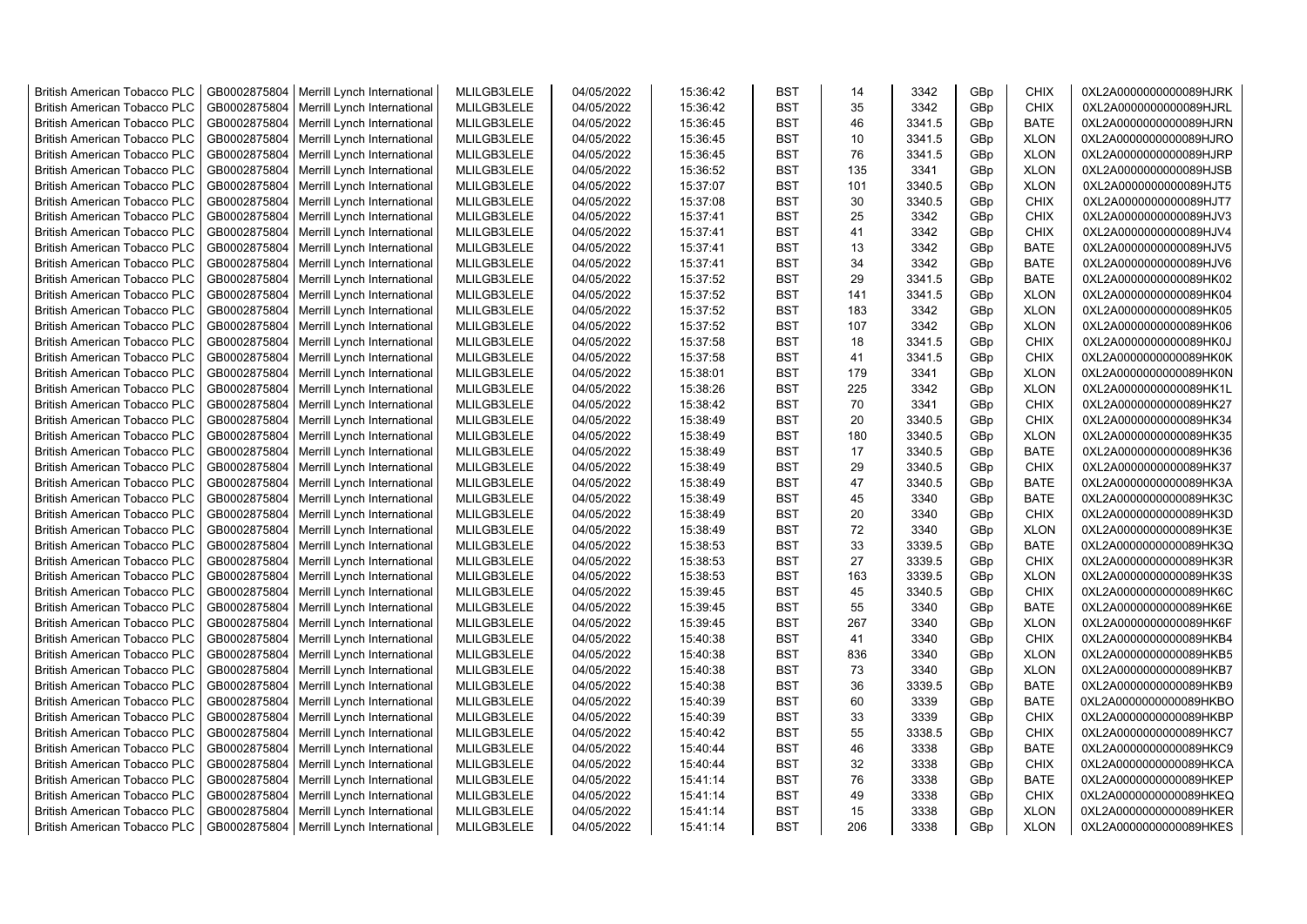| <b>British American Tobacco PLC</b> | GB0002875804 | Merrill Lynch International | MLILGB3LELE | 04/05/2022 | 15:36:42 | <b>BST</b> | 14  | 3342   | GBp | <b>CHIX</b> | 0XL2A0000000000089HJRK |
|-------------------------------------|--------------|-----------------------------|-------------|------------|----------|------------|-----|--------|-----|-------------|------------------------|
| <b>British American Tobacco PLC</b> | GB0002875804 | Merrill Lynch International | MLILGB3LELE | 04/05/2022 | 15:36:42 | <b>BST</b> | 35  | 3342   | GBp | <b>CHIX</b> | 0XL2A0000000000089HJRL |
| <b>British American Tobacco PLC</b> | GB0002875804 | Merrill Lynch International | MLILGB3LELE | 04/05/2022 | 15:36:45 | <b>BST</b> | 46  | 3341.5 | GBp | <b>BATE</b> | 0XL2A0000000000089HJRN |
| <b>British American Tobacco PLC</b> | GB0002875804 | Merrill Lynch International | MLILGB3LELE | 04/05/2022 | 15:36:45 | <b>BST</b> | 10  | 3341.5 | GBp | <b>XLON</b> | 0XL2A0000000000089HJRO |
| <b>British American Tobacco PLC</b> | GB0002875804 | Merrill Lynch International | MLILGB3LELE | 04/05/2022 | 15:36:45 | <b>BST</b> | 76  | 3341.5 | GBp | <b>XLON</b> | 0XL2A0000000000089HJRP |
| <b>British American Tobacco PLC</b> | GB0002875804 | Merrill Lynch International | MLILGB3LELE | 04/05/2022 | 15:36:52 | <b>BST</b> | 135 | 3341   | GBp | <b>XLON</b> | 0XL2A0000000000089HJSB |
| <b>British American Tobacco PLC</b> | GB0002875804 | Merrill Lynch International | MLILGB3LELE | 04/05/2022 | 15:37:07 | <b>BST</b> | 101 | 3340.5 | GBp | <b>XLON</b> | 0XL2A0000000000089HJT5 |
| <b>British American Tobacco PLC</b> | GB0002875804 | Merrill Lynch International | MLILGB3LELE | 04/05/2022 | 15:37:08 | <b>BST</b> | 30  | 3340.5 | GBp | <b>CHIX</b> | 0XL2A0000000000089HJT7 |
| <b>British American Tobacco PLC</b> | GB0002875804 | Merrill Lynch International | MLILGB3LELE | 04/05/2022 | 15:37:41 | <b>BST</b> | 25  | 3342   | GBp | <b>CHIX</b> | 0XL2A0000000000089HJV3 |
| <b>British American Tobacco PLC</b> | GB0002875804 | Merrill Lynch International | MLILGB3LELE | 04/05/2022 | 15:37:41 | <b>BST</b> | 41  | 3342   | GBp | <b>CHIX</b> | 0XL2A0000000000089HJV4 |
| <b>British American Tobacco PLC</b> | GB0002875804 | Merrill Lynch International | MLILGB3LELE | 04/05/2022 | 15:37:41 | <b>BST</b> | 13  | 3342   | GBp | <b>BATE</b> | 0XL2A0000000000089HJV5 |
| <b>British American Tobacco PLC</b> | GB0002875804 | Merrill Lynch International | MLILGB3LELE | 04/05/2022 | 15:37:41 | <b>BST</b> | 34  | 3342   | GBp | <b>BATE</b> | 0XL2A0000000000089HJV6 |
| <b>British American Tobacco PLC</b> | GB0002875804 | Merrill Lynch International | MLILGB3LELE | 04/05/2022 | 15:37:52 | <b>BST</b> | 29  | 3341.5 | GBp | <b>BATE</b> | 0XL2A0000000000089HK02 |
| <b>British American Tobacco PLC</b> | GB0002875804 | Merrill Lynch International | MLILGB3LELE | 04/05/2022 | 15:37:52 | <b>BST</b> | 141 | 3341.5 | GBp | <b>XLON</b> | 0XL2A0000000000089HK04 |
| <b>British American Tobacco PLC</b> | GB0002875804 | Merrill Lynch International | MLILGB3LELE | 04/05/2022 | 15:37:52 | <b>BST</b> | 183 | 3342   | GBp | <b>XLON</b> | 0XL2A0000000000089HK05 |
| <b>British American Tobacco PLC</b> | GB0002875804 | Merrill Lynch International | MLILGB3LELE | 04/05/2022 | 15:37:52 | <b>BST</b> | 107 | 3342   | GBp | <b>XLON</b> | 0XL2A0000000000089HK06 |
| <b>British American Tobacco PLC</b> | GB0002875804 | Merrill Lynch International | MLILGB3LELE | 04/05/2022 | 15:37:58 | <b>BST</b> | 18  | 3341.5 | GBp | <b>CHIX</b> | 0XL2A0000000000089HK0J |
| <b>British American Tobacco PLC</b> | GB0002875804 | Merrill Lynch International | MLILGB3LELE | 04/05/2022 | 15:37:58 | <b>BST</b> | 41  | 3341.5 | GBp | <b>CHIX</b> | 0XL2A0000000000089HK0K |
| <b>British American Tobacco PLC</b> | GB0002875804 | Merrill Lynch International | MLILGB3LELE | 04/05/2022 | 15:38:01 | <b>BST</b> | 179 | 3341   | GBp | <b>XLON</b> | 0XL2A0000000000089HK0N |
| <b>British American Tobacco PLC</b> | GB0002875804 | Merrill Lynch International | MLILGB3LELE | 04/05/2022 | 15:38:26 | BST        | 225 | 3342   | GBp | <b>XLON</b> | 0XL2A0000000000089HK1L |
| <b>British American Tobacco PLC</b> | GB0002875804 | Merrill Lynch International | MLILGB3LELE | 04/05/2022 | 15:38:42 | <b>BST</b> | 70  | 3341   | GBp | <b>CHIX</b> | 0XL2A0000000000089HK27 |
| <b>British American Tobacco PLC</b> | GB0002875804 | Merrill Lynch International | MLILGB3LELE | 04/05/2022 | 15:38:49 | <b>BST</b> | 20  | 3340.5 | GBp | <b>CHIX</b> | 0XL2A0000000000089HK34 |
| <b>British American Tobacco PLC</b> | GB0002875804 | Merrill Lynch International | MLILGB3LELE | 04/05/2022 | 15:38:49 | <b>BST</b> | 180 | 3340.5 | GBp | <b>XLON</b> | 0XL2A0000000000089HK35 |
| <b>British American Tobacco PLC</b> | GB0002875804 | Merrill Lynch International | MLILGB3LELE | 04/05/2022 | 15:38:49 | BST        | 17  | 3340.5 | GBp | <b>BATE</b> | 0XL2A0000000000089HK36 |
| <b>British American Tobacco PLC</b> | GB0002875804 | Merrill Lynch International | MLILGB3LELE | 04/05/2022 | 15:38:49 | <b>BST</b> | 29  | 3340.5 | GBp | <b>CHIX</b> | 0XL2A0000000000089HK37 |
| British American Tobacco PLC        | GB0002875804 | Merrill Lynch International | MLILGB3LELE | 04/05/2022 | 15:38:49 | <b>BST</b> | 47  | 3340.5 | GBp | BATE        | 0XL2A0000000000089HK3A |
| <b>British American Tobacco PLC</b> | GB0002875804 | Merrill Lynch International | MLILGB3LELE | 04/05/2022 | 15:38:49 | <b>BST</b> | 45  | 3340   | GBp | <b>BATE</b> | 0XL2A0000000000089HK3C |
| <b>British American Tobacco PLC</b> | GB0002875804 | Merrill Lynch International | MLILGB3LELE | 04/05/2022 | 15:38:49 | <b>BST</b> | 20  | 3340   | GBp | <b>CHIX</b> | 0XL2A0000000000089HK3D |
| <b>British American Tobacco PLC</b> | GB0002875804 | Merrill Lynch International | MLILGB3LELE | 04/05/2022 | 15:38:49 | <b>BST</b> | 72  | 3340   | GBp | <b>XLON</b> | 0XL2A0000000000089HK3E |
| <b>British American Tobacco PLC</b> | GB0002875804 | Merrill Lynch International | MLILGB3LELE | 04/05/2022 | 15:38:53 | <b>BST</b> | 33  | 3339.5 | GBp | <b>BATE</b> | 0XL2A0000000000089HK3Q |
| <b>British American Tobacco PLC</b> | GB0002875804 | Merrill Lynch International | MLILGB3LELE | 04/05/2022 | 15:38:53 | <b>BST</b> | 27  | 3339.5 | GBp | <b>CHIX</b> | 0XL2A0000000000089HK3R |
| <b>British American Tobacco PLC</b> | GB0002875804 | Merrill Lynch International | MLILGB3LELE | 04/05/2022 | 15:38:53 | <b>BST</b> | 163 | 3339.5 | GBp | <b>XLON</b> | 0XL2A0000000000089HK3S |
| <b>British American Tobacco PLC</b> | GB0002875804 | Merrill Lynch International | MLILGB3LELE | 04/05/2022 | 15:39:45 | <b>BST</b> | 45  | 3340.5 | GBp | <b>CHIX</b> | 0XL2A0000000000089HK6C |
| <b>British American Tobacco PLC</b> | GB0002875804 | Merrill Lynch International | MLILGB3LELE | 04/05/2022 | 15:39:45 | <b>BST</b> | 55  | 3340   | GBp | <b>BATE</b> | 0XL2A0000000000089HK6E |
| <b>British American Tobacco PLC</b> | GB0002875804 | Merrill Lynch International | MLILGB3LELE | 04/05/2022 | 15:39:45 | <b>BST</b> | 267 | 3340   | GBp | <b>XLON</b> | 0XL2A0000000000089HK6F |
| <b>British American Tobacco PLC</b> | GB0002875804 | Merrill Lynch International | MLILGB3LELE | 04/05/2022 | 15:40:38 | <b>BST</b> | 41  | 3340   | GBp | <b>CHIX</b> | 0XL2A0000000000089HKB4 |
| <b>British American Tobacco PLC</b> | GB0002875804 | Merrill Lynch International | MLILGB3LELE | 04/05/2022 | 15:40:38 | <b>BST</b> | 836 | 3340   | GBp | <b>XLON</b> | 0XL2A0000000000089HKB5 |
| <b>British American Tobacco PLC</b> | GB0002875804 | Merrill Lynch International | MLILGB3LELE | 04/05/2022 | 15:40:38 | <b>BST</b> | 73  | 3340   | GBp | <b>XLON</b> | 0XL2A0000000000089HKB7 |
| <b>British American Tobacco PLC</b> | GB0002875804 | Merrill Lynch International | MLILGB3LELE | 04/05/2022 | 15:40:38 | <b>BST</b> | 36  | 3339.5 | GBp | <b>BATE</b> | 0XL2A0000000000089HKB9 |
| <b>British American Tobacco PLC</b> | GB0002875804 | Merrill Lynch International | MLILGB3LELE | 04/05/2022 | 15:40:39 | <b>BST</b> | 60  | 3339   | GBp | <b>BATE</b> | 0XL2A0000000000089HKBO |
| <b>British American Tobacco PLC</b> | GB0002875804 | Merrill Lynch International | MLILGB3LELE | 04/05/2022 | 15:40:39 | <b>BST</b> | 33  | 3339   | GBp | <b>CHIX</b> | 0XL2A0000000000089HKBP |
| <b>British American Tobacco PLC</b> | GB0002875804 | Merrill Lynch International | MLILGB3LELE | 04/05/2022 | 15:40:42 | <b>BST</b> | 55  | 3338.5 | GBp | <b>CHIX</b> | 0XL2A0000000000089HKC7 |
| <b>British American Tobacco PLC</b> | GB0002875804 | Merrill Lynch International | MLILGB3LELE | 04/05/2022 | 15:40:44 | <b>BST</b> | 46  | 3338   | GBp | <b>BATE</b> | 0XL2A0000000000089HKC9 |
| British American Tobacco PLC        | GB0002875804 | Merrill Lynch International | MLILGB3LELE | 04/05/2022 | 15:40:44 | <b>BST</b> | 32  | 3338   | GBp | <b>CHIX</b> | 0XL2A0000000000089HKCA |
| <b>British American Tobacco PLC</b> | GB0002875804 | Merrill Lynch International | MLILGB3LELE | 04/05/2022 | 15:41:14 | <b>BST</b> | 76  | 3338   | GBp | <b>BATE</b> | 0XL2A0000000000089HKEP |
| <b>British American Tobacco PLC</b> | GB0002875804 | Merrill Lynch International | MLILGB3LELE | 04/05/2022 | 15:41:14 | <b>BST</b> | 49  | 3338   | GBp | <b>CHIX</b> | 0XL2A0000000000089HKEQ |
| <b>British American Tobacco PLC</b> | GB0002875804 | Merrill Lynch International | MLILGB3LELE | 04/05/2022 | 15:41:14 | <b>BST</b> | 15  | 3338   | GBp | <b>XLON</b> | 0XL2A0000000000089HKER |
| <b>British American Tobacco PLC</b> | GB0002875804 | Merrill Lynch International | MLILGB3LELE | 04/05/2022 | 15:41:14 | <b>BST</b> | 206 | 3338   | GBp | <b>XLON</b> | 0XL2A0000000000089HKES |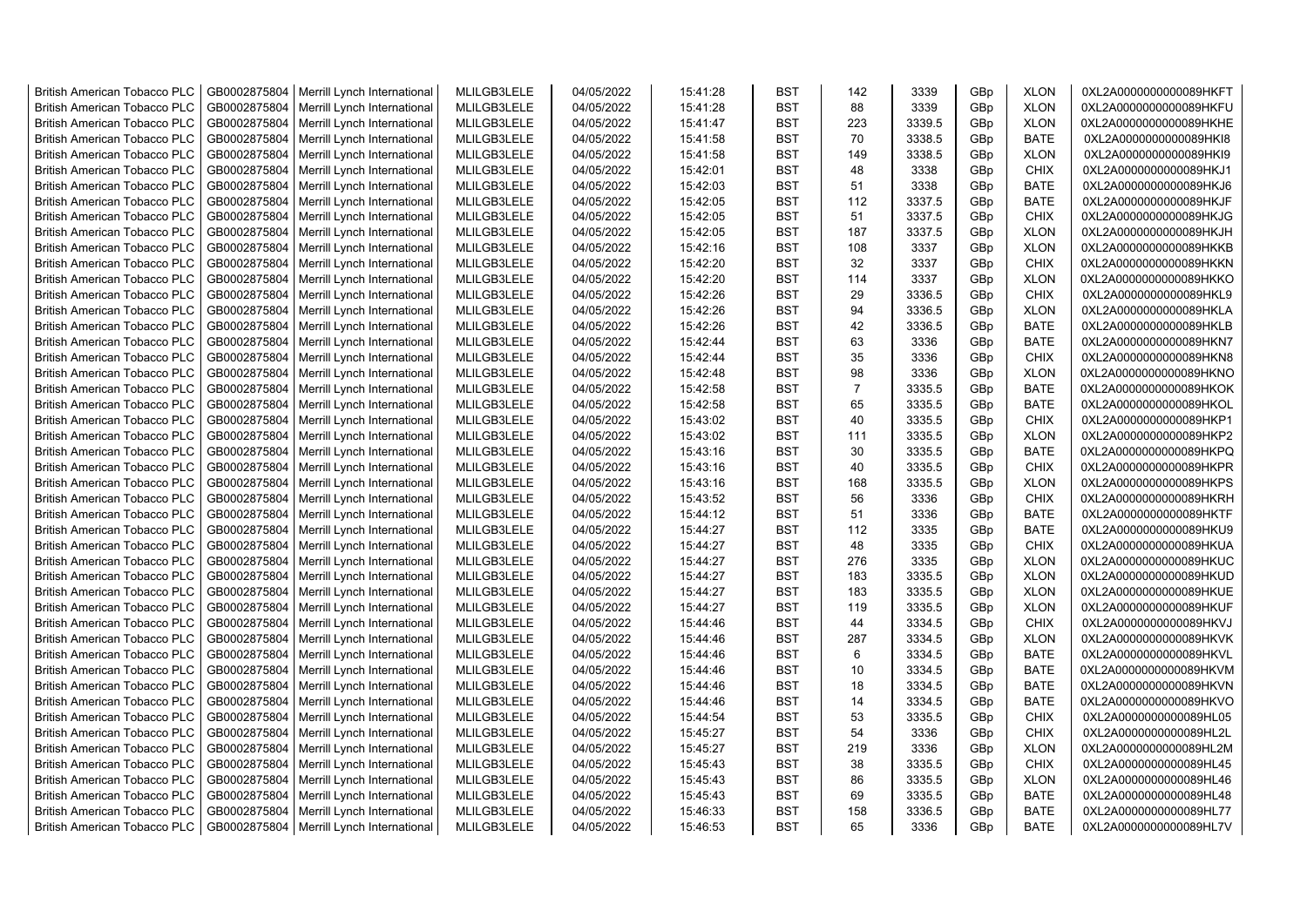| <b>British American Tobacco PLC</b> | GB0002875804 | Merrill Lynch International | MLILGB3LELE | 04/05/2022 | 15:41:28 | <b>BST</b> | 142            | 3339   | GBp | <b>XLON</b> | 0XL2A0000000000089HKFT |
|-------------------------------------|--------------|-----------------------------|-------------|------------|----------|------------|----------------|--------|-----|-------------|------------------------|
| <b>British American Tobacco PLC</b> | GB0002875804 | Merrill Lynch International | MLILGB3LELE | 04/05/2022 | 15:41:28 | <b>BST</b> | 88             | 3339   | GBp | <b>XLON</b> | 0XL2A0000000000089HKFU |
| <b>British American Tobacco PLC</b> | GB0002875804 | Merrill Lynch International | MLILGB3LELE | 04/05/2022 | 15:41:47 | <b>BST</b> | 223            | 3339.5 | GBp | <b>XLON</b> | 0XL2A0000000000089HKHE |
| <b>British American Tobacco PLC</b> | GB0002875804 | Merrill Lynch International | MLILGB3LELE | 04/05/2022 | 15:41:58 | <b>BST</b> | 70             | 3338.5 | GBp | <b>BATE</b> | 0XL2A0000000000089HKI8 |
| <b>British American Tobacco PLC</b> | GB0002875804 | Merrill Lynch International | MLILGB3LELE | 04/05/2022 | 15:41:58 | <b>BST</b> | 149            | 3338.5 | GBp | <b>XLON</b> | 0XL2A0000000000089HKI9 |
| <b>British American Tobacco PLC</b> | GB0002875804 | Merrill Lynch International | MLILGB3LELE | 04/05/2022 | 15:42:01 | <b>BST</b> | 48             | 3338   | GBp | <b>CHIX</b> | 0XL2A0000000000089HKJ1 |
| <b>British American Tobacco PLC</b> | GB0002875804 | Merrill Lynch International | MLILGB3LELE | 04/05/2022 | 15:42:03 | <b>BST</b> | 51             | 3338   | GBp | <b>BATE</b> | 0XL2A0000000000089HKJ6 |
| <b>British American Tobacco PLC</b> | GB0002875804 | Merrill Lynch International | MLILGB3LELE | 04/05/2022 | 15:42:05 | <b>BST</b> | 112            | 3337.5 | GBp | <b>BATE</b> | 0XL2A0000000000089HKJF |
| <b>British American Tobacco PLC</b> | GB0002875804 | Merrill Lynch International | MLILGB3LELE | 04/05/2022 | 15:42:05 | <b>BST</b> | 51             | 3337.5 | GBp | <b>CHIX</b> | 0XL2A0000000000089HKJG |
| <b>British American Tobacco PLC</b> | GB0002875804 | Merrill Lynch International | MLILGB3LELE | 04/05/2022 | 15:42:05 | <b>BST</b> | 187            | 3337.5 | GBp | <b>XLON</b> | 0XL2A0000000000089HKJH |
| <b>British American Tobacco PLC</b> | GB0002875804 | Merrill Lynch International | MLILGB3LELE | 04/05/2022 | 15:42:16 | <b>BST</b> | 108            | 3337   | GBp | <b>XLON</b> | 0XL2A0000000000089HKKB |
| <b>British American Tobacco PLC</b> | GB0002875804 | Merrill Lynch International | MLILGB3LELE | 04/05/2022 | 15:42:20 | <b>BST</b> | 32             | 3337   | GBp | <b>CHIX</b> | 0XL2A0000000000089HKKN |
| British American Tobacco PLC        | GB0002875804 | Merrill Lynch International | MLILGB3LELE | 04/05/2022 | 15:42:20 | <b>BST</b> | 114            | 3337   | GBp | <b>XLON</b> | 0XL2A0000000000089HKKO |
|                                     |              |                             | MLILGB3LELE |            |          | <b>BST</b> | 29             | 3336.5 |     | <b>CHIX</b> |                        |
| <b>British American Tobacco PLC</b> | GB0002875804 | Merrill Lynch International |             | 04/05/2022 | 15:42:26 |            |                |        | GBp |             | 0XL2A0000000000089HKL9 |
| <b>British American Tobacco PLC</b> | GB0002875804 | Merrill Lynch International | MLILGB3LELE | 04/05/2022 | 15:42:26 | <b>BST</b> | 94             | 3336.5 | GBp | <b>XLON</b> | 0XL2A0000000000089HKLA |
| <b>British American Tobacco PLC</b> | GB0002875804 | Merrill Lynch International | MLILGB3LELE | 04/05/2022 | 15:42:26 | <b>BST</b> | 42             | 3336.5 | GBp | <b>BATE</b> | 0XL2A0000000000089HKLB |
| <b>British American Tobacco PLC</b> | GB0002875804 | Merrill Lynch International | MLILGB3LELE | 04/05/2022 | 15:42:44 | <b>BST</b> | 63             | 3336   | GBp | BATE        | 0XL2A0000000000089HKN7 |
| <b>British American Tobacco PLC</b> | GB0002875804 | Merrill Lynch International | MLILGB3LELE | 04/05/2022 | 15:42:44 | <b>BST</b> | 35             | 3336   | GBp | <b>CHIX</b> | 0XL2A0000000000089HKN8 |
| <b>British American Tobacco PLC</b> | GB0002875804 | Merrill Lynch International | MLILGB3LELE | 04/05/2022 | 15:42:48 | <b>BST</b> | 98             | 3336   | GBp | <b>XLON</b> | 0XL2A0000000000089HKNO |
| <b>British American Tobacco PLC</b> | GB0002875804 | Merrill Lynch International | MLILGB3LELE | 04/05/2022 | 15:42:58 | <b>BST</b> | $\overline{7}$ | 3335.5 | GBp | <b>BATE</b> | 0XL2A0000000000089HKOK |
| <b>British American Tobacco PLC</b> | GB0002875804 | Merrill Lynch International | MLILGB3LELE | 04/05/2022 | 15:42:58 | <b>BST</b> | 65             | 3335.5 | GBp | <b>BATE</b> | 0XL2A0000000000089HKOL |
| <b>British American Tobacco PLC</b> | GB0002875804 | Merrill Lynch International | MLILGB3LELE | 04/05/2022 | 15:43:02 | <b>BST</b> | 40             | 3335.5 | GBp | <b>CHIX</b> | 0XL2A0000000000089HKP1 |
| <b>British American Tobacco PLC</b> | GB0002875804 | Merrill Lynch International | MLILGB3LELE | 04/05/2022 | 15:43:02 | <b>BST</b> | 111            | 3335.5 | GBp | <b>XLON</b> | 0XL2A0000000000089HKP2 |
| <b>British American Tobacco PLC</b> | GB0002875804 | Merrill Lynch International | MLILGB3LELE | 04/05/2022 | 15:43:16 | <b>BST</b> | 30             | 3335.5 | GBp | <b>BATE</b> | 0XL2A0000000000089HKPQ |
| <b>British American Tobacco PLC</b> | GB0002875804 | Merrill Lynch International | MLILGB3LELE | 04/05/2022 | 15:43:16 | <b>BST</b> | 40             | 3335.5 | GBp | <b>CHIX</b> | 0XL2A0000000000089HKPR |
| <b>British American Tobacco PLC</b> | GB0002875804 | Merrill Lynch International | MLILGB3LELE | 04/05/2022 | 15:43:16 | <b>BST</b> | 168            | 3335.5 | GBp | <b>XLON</b> | 0XL2A0000000000089HKPS |
| <b>British American Tobacco PLC</b> | GB0002875804 | Merrill Lynch International | MLILGB3LELE | 04/05/2022 | 15:43:52 | <b>BST</b> | 56             | 3336   | GBp | <b>CHIX</b> | 0XL2A0000000000089HKRH |
| British American Tobacco PLC        | GB0002875804 | Merrill Lynch International | MLILGB3LELE | 04/05/2022 | 15:44:12 | <b>BST</b> | 51             | 3336   | GBp | <b>BATE</b> | 0XL2A0000000000089HKTF |
| <b>British American Tobacco PLC</b> | GB0002875804 | Merrill Lynch International | MLILGB3LELE | 04/05/2022 | 15:44:27 | <b>BST</b> | 112            | 3335   | GBp | <b>BATE</b> | 0XL2A0000000000089HKU9 |
| <b>British American Tobacco PLC</b> | GB0002875804 | Merrill Lynch International | MLILGB3LELE | 04/05/2022 | 15:44:27 | <b>BST</b> | 48             | 3335   | GBp | <b>CHIX</b> | 0XL2A0000000000089HKUA |
| <b>British American Tobacco PLC</b> | GB0002875804 | Merrill Lynch International | MLILGB3LELE | 04/05/2022 | 15:44:27 | <b>BST</b> | 276            | 3335   | GBp | <b>XLON</b> | 0XL2A0000000000089HKUC |
| <b>British American Tobacco PLC</b> | GB0002875804 | Merrill Lynch International | MLILGB3LELE | 04/05/2022 | 15:44:27 | <b>BST</b> | 183            | 3335.5 | GBp | <b>XLON</b> | 0XL2A0000000000089HKUD |
| <b>British American Tobacco PLC</b> | GB0002875804 | Merrill Lynch International | MLILGB3LELE | 04/05/2022 | 15:44:27 | <b>BST</b> | 183            | 3335.5 | GBp | <b>XLON</b> | 0XL2A0000000000089HKUE |
| <b>British American Tobacco PLC</b> | GB0002875804 | Merrill Lynch International | MLILGB3LELE | 04/05/2022 | 15:44:27 | <b>BST</b> | 119            | 3335.5 | GBp | <b>XLON</b> | 0XL2A0000000000089HKUF |
| <b>British American Tobacco PLC</b> | GB0002875804 | Merrill Lynch International | MLILGB3LELE | 04/05/2022 | 15:44:46 | <b>BST</b> | 44             | 3334.5 | GBp | <b>CHIX</b> | 0XL2A0000000000089HKVJ |
| <b>British American Tobacco PLC</b> | GB0002875804 | Merrill Lynch International | MLILGB3LELE | 04/05/2022 | 15:44:46 | <b>BST</b> | 287            | 3334.5 | GBp | <b>XLON</b> | 0XL2A0000000000089HKVK |
| <b>British American Tobacco PLC</b> | GB0002875804 | Merrill Lynch International | MLILGB3LELE | 04/05/2022 | 15:44:46 | <b>BST</b> | 6              | 3334.5 | GBp | <b>BATE</b> | 0XL2A0000000000089HKVL |
| <b>British American Tobacco PLC</b> | GB0002875804 | Merrill Lynch International | MLILGB3LELE | 04/05/2022 | 15:44:46 | <b>BST</b> | 10             | 3334.5 | GBp | <b>BATE</b> | 0XL2A0000000000089HKVM |
| <b>British American Tobacco PLC</b> | GB0002875804 | Merrill Lynch International | MLILGB3LELE | 04/05/2022 | 15:44:46 | <b>BST</b> | 18             | 3334.5 | GBp | <b>BATE</b> | 0XL2A0000000000089HKVN |
| <b>British American Tobacco PLC</b> | GB0002875804 | Merrill Lynch International | MLILGB3LELE | 04/05/2022 | 15:44:46 | <b>BST</b> | 14             | 3334.5 | GBp | <b>BATE</b> | 0XL2A0000000000089HKVO |
| <b>British American Tobacco PLC</b> | GB0002875804 | Merrill Lynch International | MLILGB3LELE | 04/05/2022 | 15:44:54 | <b>BST</b> | 53             | 3335.5 | GBp | <b>CHIX</b> | 0XL2A0000000000089HL05 |
| <b>British American Tobacco PLC</b> | GB0002875804 | Merrill Lynch International | MLILGB3LELE | 04/05/2022 | 15:45:27 | <b>BST</b> | 54             | 3336   | GBp | <b>CHIX</b> | 0XL2A0000000000089HL2L |
| <b>British American Tobacco PLC</b> | GB0002875804 | Merrill Lynch International | MLILGB3LELE | 04/05/2022 | 15:45:27 | <b>BST</b> | 219            | 3336   | GBp | <b>XLON</b> | 0XL2A0000000000089HL2M |
| <b>British American Tobacco PLC</b> | GB0002875804 | Merrill Lynch International | MLILGB3LELE | 04/05/2022 | 15:45:43 | <b>BST</b> | 38             | 3335.5 | GBp | <b>CHIX</b> | 0XL2A0000000000089HL45 |
| British American Tobacco PLC        | GB0002875804 | Merrill Lynch International | MLILGB3LELE | 04/05/2022 | 15:45:43 | <b>BST</b> | 86             | 3335.5 | GBp | <b>XLON</b> | 0XL2A0000000000089HL46 |
| <b>British American Tobacco PLC</b> | GB0002875804 | Merrill Lynch International | MLILGB3LELE | 04/05/2022 | 15:45:43 | <b>BST</b> | 69             | 3335.5 | GBp | <b>BATE</b> | 0XL2A0000000000089HL48 |
| <b>British American Tobacco PLC</b> | GB0002875804 | Merrill Lynch International | MLILGB3LELE | 04/05/2022 | 15:46:33 | <b>BST</b> | 158            | 3336.5 | GBp | <b>BATE</b> | 0XL2A0000000000089HL77 |
| <b>British American Tobacco PLC</b> | GB0002875804 | Merrill Lynch International | MLILGB3LELE | 04/05/2022 | 15:46:53 | <b>BST</b> | 65             | 3336   | GBp | <b>BATE</b> | 0XL2A0000000000089HL7V |
|                                     |              |                             |             |            |          |            |                |        |     |             |                        |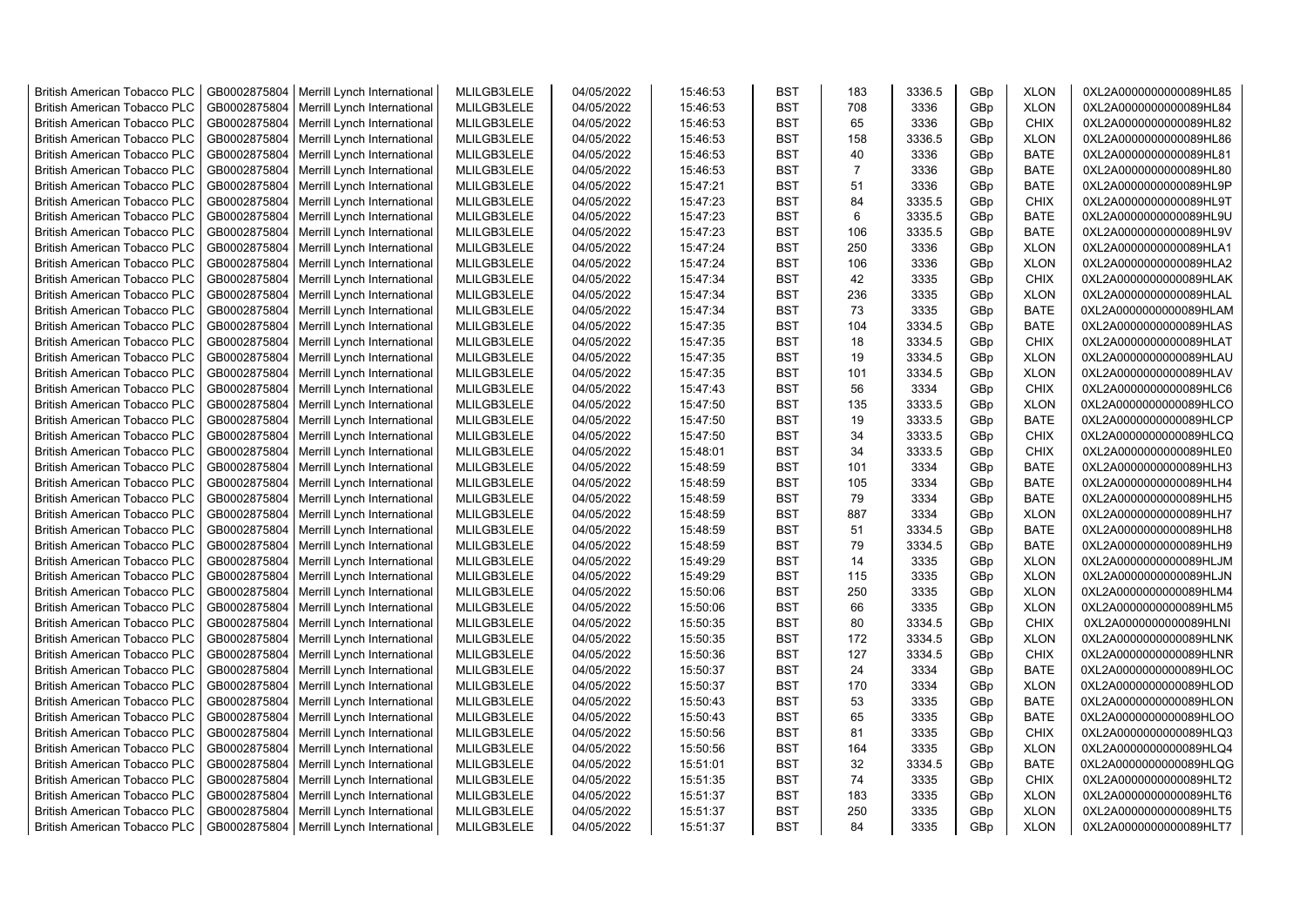| <b>British American Tobacco PLC</b> | GB0002875804 | Merrill Lynch International                | MLILGB3LELE | 04/05/2022 | 15:46:53 | <b>BST</b> | 183            | 3336.5 | GBp | <b>XLON</b> | 0XL2A0000000000089HL85 |
|-------------------------------------|--------------|--------------------------------------------|-------------|------------|----------|------------|----------------|--------|-----|-------------|------------------------|
| <b>British American Tobacco PLC</b> | GB0002875804 | Merrill Lynch International                | MLILGB3LELE | 04/05/2022 | 15:46:53 | <b>BST</b> | 708            | 3336   | GBp | <b>XLON</b> | 0XL2A0000000000089HL84 |
| <b>British American Tobacco PLC</b> | GB0002875804 | Merrill Lynch International                | MLILGB3LELE | 04/05/2022 | 15:46:53 | <b>BST</b> | 65             | 3336   | GBp | <b>CHIX</b> | 0XL2A0000000000089HL82 |
| <b>British American Tobacco PLC</b> | GB0002875804 | Merrill Lynch International                | MLILGB3LELE | 04/05/2022 | 15:46:53 | <b>BST</b> | 158            | 3336.5 | GBp | <b>XLON</b> | 0XL2A0000000000089HL86 |
| <b>British American Tobacco PLC</b> | GB0002875804 | Merrill Lynch International                | MLILGB3LELE | 04/05/2022 | 15:46:53 | <b>BST</b> | 40             | 3336   | GBp | <b>BATE</b> | 0XL2A0000000000089HL81 |
| <b>British American Tobacco PLC</b> | GB0002875804 | Merrill Lynch International                | MLILGB3LELE | 04/05/2022 | 15:46:53 | <b>BST</b> | $\overline{7}$ | 3336   | GBp | <b>BATE</b> | 0XL2A0000000000089HL80 |
| <b>British American Tobacco PLC</b> | GB0002875804 | Merrill Lynch International                | MLILGB3LELE | 04/05/2022 | 15:47:21 | <b>BST</b> | 51             | 3336   | GBp | <b>BATE</b> | 0XL2A0000000000089HL9P |
| <b>British American Tobacco PLC</b> | GB0002875804 | Merrill Lynch International                | MLILGB3LELE | 04/05/2022 | 15:47:23 | <b>BST</b> | 84             | 3335.5 | GBp | <b>CHIX</b> | 0XL2A0000000000089HL9T |
| <b>British American Tobacco PLC</b> | GB0002875804 | Merrill Lynch International                | MLILGB3LELE | 04/05/2022 | 15:47:23 | <b>BST</b> | 6              | 3335.5 | GBp | <b>BATE</b> | 0XL2A0000000000089HL9U |
| <b>British American Tobacco PLC</b> |              |                                            |             |            |          | <b>BST</b> | 106            |        |     | <b>BATE</b> |                        |
|                                     | GB0002875804 | Merrill Lynch International                | MLILGB3LELE | 04/05/2022 | 15:47:23 |            |                | 3335.5 | GBp |             | 0XL2A0000000000089HL9V |
| <b>British American Tobacco PLC</b> | GB0002875804 | Merrill Lynch International                | MLILGB3LELE | 04/05/2022 | 15:47:24 | <b>BST</b> | 250            | 3336   | GBp | <b>XLON</b> | 0XL2A0000000000089HLA1 |
| <b>British American Tobacco PLC</b> | GB0002875804 | Merrill Lynch International                | MLILGB3LELE | 04/05/2022 | 15:47:24 | <b>BST</b> | 106            | 3336   | GBp | <b>XLON</b> | 0XL2A0000000000089HLA2 |
| British American Tobacco PLC        | GB0002875804 | Merrill Lynch International                | MLILGB3LELE | 04/05/2022 | 15:47:34 | <b>BST</b> | 42             | 3335   | GBp | <b>CHIX</b> | 0XL2A0000000000089HLAK |
| <b>British American Tobacco PLC</b> | GB0002875804 | Merrill Lynch International                | MLILGB3LELE | 04/05/2022 | 15:47:34 | <b>BST</b> | 236            | 3335   | GBp | <b>XLON</b> | 0XL2A0000000000089HLAL |
| <b>British American Tobacco PLC</b> | GB0002875804 | Merrill Lynch International                | MLILGB3LELE | 04/05/2022 | 15:47:34 | <b>BST</b> | 73             | 3335   | GBp | <b>BATE</b> | 0XL2A0000000000089HLAM |
| <b>British American Tobacco PLC</b> | GB0002875804 | Merrill Lynch International                | MLILGB3LELE | 04/05/2022 | 15:47:35 | <b>BST</b> | 104            | 3334.5 | GBp | <b>BATE</b> | 0XL2A0000000000089HLAS |
| <b>British American Tobacco PLC</b> | GB0002875804 | Merrill Lynch International                | MLILGB3LELE | 04/05/2022 | 15:47:35 | <b>BST</b> | 18             | 3334.5 | GBp | CHIX        | 0XL2A0000000000089HLAT |
| <b>British American Tobacco PLC</b> | GB0002875804 | Merrill Lynch International                | MLILGB3LELE | 04/05/2022 | 15:47:35 | <b>BST</b> | 19             | 3334.5 | GBp | <b>XLON</b> | 0XL2A0000000000089HLAU |
| <b>British American Tobacco PLC</b> | GB0002875804 | Merrill Lynch International                | MLILGB3LELE | 04/05/2022 | 15:47:35 | <b>BST</b> | 101            | 3334.5 | GBp | <b>XLON</b> | 0XL2A0000000000089HLAV |
| <b>British American Tobacco PLC</b> | GB0002875804 | Merrill Lynch International                | MLILGB3LELE | 04/05/2022 | 15:47:43 | <b>BST</b> | 56             | 3334   | GBp | <b>CHIX</b> | 0XL2A0000000000089HLC6 |
| <b>British American Tobacco PLC</b> | GB0002875804 | Merrill Lynch International                | MLILGB3LELE | 04/05/2022 | 15:47:50 | <b>BST</b> | 135            | 3333.5 | GBp | <b>XLON</b> | 0XL2A0000000000089HLCO |
| <b>British American Tobacco PLC</b> | GB0002875804 | Merrill Lynch International                | MLILGB3LELE | 04/05/2022 | 15:47:50 | <b>BST</b> | 19             | 3333.5 | GBp | <b>BATE</b> | 0XL2A0000000000089HLCP |
| <b>British American Tobacco PLC</b> | GB0002875804 | Merrill Lynch International                | MLILGB3LELE | 04/05/2022 | 15:47:50 | <b>BST</b> | 34             | 3333.5 | GBp | <b>CHIX</b> | 0XL2A0000000000089HLCQ |
| <b>British American Tobacco PLC</b> | GB0002875804 | Merrill Lynch International                | MLILGB3LELE | 04/05/2022 | 15:48:01 | <b>BST</b> | 34             | 3333.5 | GBp | <b>CHIX</b> | 0XL2A0000000000089HLE0 |
| <b>British American Tobacco PLC</b> | GB0002875804 | Merrill Lynch International                | MLILGB3LELE | 04/05/2022 | 15:48:59 | <b>BST</b> | 101            | 3334   | GBp | <b>BATE</b> | 0XL2A0000000000089HLH3 |
| <b>British American Tobacco PLC</b> | GB0002875804 | Merrill Lynch International                | MLILGB3LELE | 04/05/2022 | 15:48:59 | <b>BST</b> | 105            | 3334   | GBp | <b>BATE</b> | 0XL2A0000000000089HLH4 |
| <b>British American Tobacco PLC</b> | GB0002875804 | Merrill Lynch International                | MLILGB3LELE | 04/05/2022 | 15:48:59 | <b>BST</b> | 79             | 3334   | GBp | <b>BATE</b> | 0XL2A0000000000089HLH5 |
| <b>British American Tobacco PLC</b> | GB0002875804 | Merrill Lynch International                | MLILGB3LELE | 04/05/2022 | 15:48:59 | <b>BST</b> | 887            | 3334   | GBp | <b>XLON</b> | 0XL2A0000000000089HLH7 |
| <b>British American Tobacco PLC</b> | GB0002875804 | Merrill Lynch International                | MLILGB3LELE | 04/05/2022 | 15:48:59 | <b>BST</b> | 51             | 3334.5 | GBp | <b>BATE</b> | 0XL2A0000000000089HLH8 |
| <b>British American Tobacco PLC</b> | GB0002875804 | Merrill Lynch International                | MLILGB3LELE | 04/05/2022 | 15:48:59 | <b>BST</b> | 79             | 3334.5 | GBp | <b>BATE</b> | 0XL2A0000000000089HLH9 |
| <b>British American Tobacco PLC</b> | GB0002875804 |                                            | MLILGB3LELE | 04/05/2022 | 15:49:29 | <b>BST</b> | 14             | 3335   | GBp | <b>XLON</b> |                        |
|                                     |              | Merrill Lynch International                |             |            |          | <b>BST</b> |                |        |     |             | 0XL2A0000000000089HLJM |
| <b>British American Tobacco PLC</b> | GB0002875804 | Merrill Lynch International                | MLILGB3LELE | 04/05/2022 | 15:49:29 |            | 115            | 3335   | GBp | <b>XLON</b> | 0XL2A0000000000089HLJN |
| <b>British American Tobacco PLC</b> | GB0002875804 | Merrill Lynch International                | MLILGB3LELE | 04/05/2022 | 15:50:06 | <b>BST</b> | 250            | 3335   | GBp | <b>XLON</b> | 0XL2A0000000000089HLM4 |
| <b>British American Tobacco PLC</b> | GB0002875804 | Merrill Lynch International                | MLILGB3LELE | 04/05/2022 | 15:50:06 | <b>BST</b> | 66             | 3335   | GBp | <b>XLON</b> | 0XL2A0000000000089HLM5 |
| <b>British American Tobacco PLC</b> | GB0002875804 | Merrill Lynch International                | MLILGB3LELE | 04/05/2022 | 15:50:35 | <b>BST</b> | 80             | 3334.5 | GBp | <b>CHIX</b> | 0XL2A0000000000089HLNI |
| <b>British American Tobacco PLC</b> | GB0002875804 | Merrill Lynch International                | MLILGB3LELE | 04/05/2022 | 15:50:35 | <b>BST</b> | 172            | 3334.5 | GBp | <b>XLON</b> | 0XL2A0000000000089HLNK |
| <b>British American Tobacco PLC</b> | GB0002875804 | Merrill Lynch International                | MLILGB3LELE | 04/05/2022 | 15:50:36 | <b>BST</b> | 127            | 3334.5 | GBp | <b>CHIX</b> | 0XL2A0000000000089HLNR |
| <b>British American Tobacco PLC</b> | GB0002875804 | Merrill Lynch International                | MLILGB3LELE | 04/05/2022 | 15:50:37 | <b>BST</b> | 24             | 3334   | GBp | <b>BATE</b> | 0XL2A0000000000089HLOC |
| <b>British American Tobacco PLC</b> | GB0002875804 | Merrill Lynch International                | MLILGB3LELE | 04/05/2022 | 15:50:37 | <b>BST</b> | 170            | 3334   | GBp | <b>XLON</b> | 0XL2A0000000000089HLOD |
| <b>British American Tobacco PLC</b> | GB0002875804 | Merrill Lynch International                | MLILGB3LELE | 04/05/2022 | 15:50:43 | <b>BST</b> | 53             | 3335   | GBp | <b>BATE</b> | 0XL2A0000000000089HLON |
| <b>British American Tobacco PLC</b> | GB0002875804 | Merrill Lynch International                | MLILGB3LELE | 04/05/2022 | 15:50:43 | <b>BST</b> | 65             | 3335   | GBp | <b>BATE</b> | 0XL2A0000000000089HLOO |
| <b>British American Tobacco PLC</b> | GB0002875804 | Merrill Lynch International                | MLILGB3LELE | 04/05/2022 | 15:50:56 | <b>BST</b> | 81             | 3335   | GBp | <b>CHIX</b> | 0XL2A0000000000089HLQ3 |
| <b>British American Tobacco PLC</b> | GB0002875804 | Merrill Lynch International                | MLILGB3LELE | 04/05/2022 | 15:50:56 | <b>BST</b> | 164            | 3335   | GBp | <b>XLON</b> | 0XL2A0000000000089HLQ4 |
| <b>British American Tobacco PLC</b> | GB0002875804 | Merrill Lynch International                | MLILGB3LELE | 04/05/2022 | 15:51:01 | <b>BST</b> | 32             | 3334.5 | GBp | <b>BATE</b> | 0XL2A0000000000089HLQG |
| <b>British American Tobacco PLC</b> | GB0002875804 | Merrill Lynch International                | MLILGB3LELE | 04/05/2022 | 15:51:35 | <b>BST</b> | 74             | 3335   | GBp | <b>CHIX</b> | 0XL2A0000000000089HLT2 |
| <b>British American Tobacco PLC</b> | GB0002875804 | Merrill Lynch International                | MLILGB3LELE | 04/05/2022 | 15:51:37 | <b>BST</b> | 183            | 3335   | GBp | <b>XLON</b> | 0XL2A0000000000089HLT6 |
| <b>British American Tobacco PLC</b> | GB0002875804 | Merrill Lynch International                | MLILGB3LELE | 04/05/2022 | 15:51:37 | <b>BST</b> | 250            | 3335   | GBp | <b>XLON</b> | 0XL2A0000000000089HLT5 |
| <b>British American Tobacco PLC</b> |              | GB0002875804   Merrill Lynch International | MLILGB3LELE | 04/05/2022 | 15:51:37 | <b>BST</b> | 84             | 3335   | GBp | <b>XLON</b> | 0XL2A0000000000089HLT7 |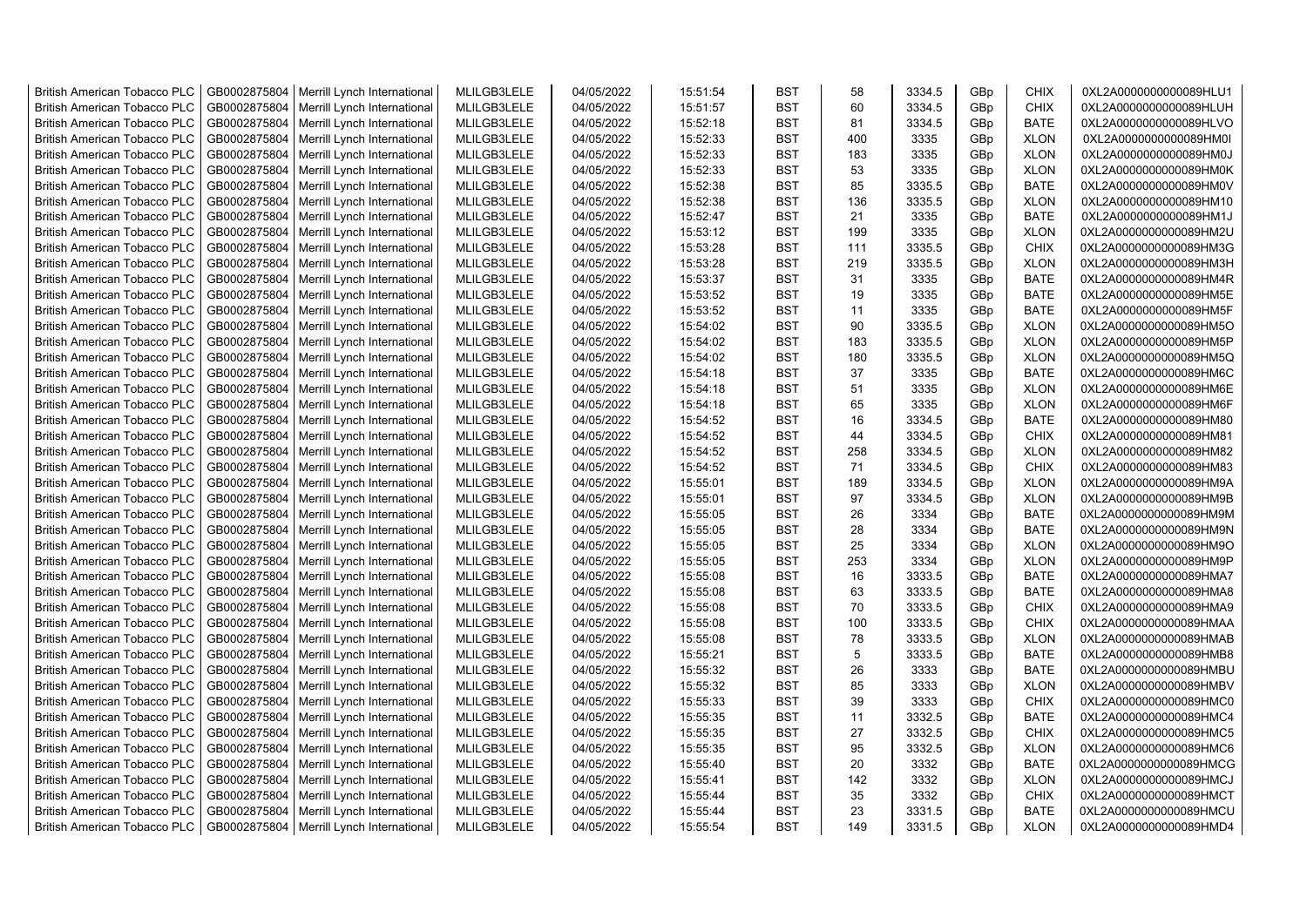| <b>British American Tobacco PLC</b> | GB0002875804 | Merrill Lynch International | MLILGB3LELE | 04/05/2022 | 15:51:54 | <b>BST</b> | 58  | 3334.5 | GBp | <b>CHIX</b> | 0XL2A0000000000089HLU1 |
|-------------------------------------|--------------|-----------------------------|-------------|------------|----------|------------|-----|--------|-----|-------------|------------------------|
| <b>British American Tobacco PLC</b> | GB0002875804 | Merrill Lynch International | MLILGB3LELE | 04/05/2022 | 15:51:57 | <b>BST</b> | 60  | 3334.5 | GBp | <b>CHIX</b> | 0XL2A0000000000089HLUH |
| <b>British American Tobacco PLC</b> | GB0002875804 | Merrill Lynch International | MLILGB3LELE | 04/05/2022 | 15:52:18 | <b>BST</b> | 81  | 3334.5 | GBp | <b>BATE</b> | 0XL2A0000000000089HLVO |
| <b>British American Tobacco PLC</b> | GB0002875804 | Merrill Lynch International | MLILGB3LELE | 04/05/2022 | 15:52:33 | <b>BST</b> | 400 | 3335   | GBp | <b>XLON</b> | 0XL2A0000000000089HM0I |
| <b>British American Tobacco PLC</b> | GB0002875804 | Merrill Lynch International | MLILGB3LELE | 04/05/2022 | 15:52:33 | <b>BST</b> | 183 | 3335   | GBp | <b>XLON</b> | 0XL2A0000000000089HM0J |
| <b>British American Tobacco PLC</b> | GB0002875804 | Merrill Lynch International | MLILGB3LELE | 04/05/2022 | 15:52:33 | <b>BST</b> | 53  | 3335   | GBp | <b>XLON</b> | 0XL2A0000000000089HM0K |
| <b>British American Tobacco PLC</b> | GB0002875804 | Merrill Lynch International | MLILGB3LELE | 04/05/2022 | 15:52:38 | <b>BST</b> | 85  | 3335.5 | GBp | <b>BATE</b> | 0XL2A0000000000089HM0V |
| <b>British American Tobacco PLC</b> | GB0002875804 | Merrill Lynch International | MLILGB3LELE | 04/05/2022 | 15:52:38 | <b>BST</b> | 136 | 3335.5 | GBp | <b>XLON</b> | 0XL2A0000000000089HM10 |
| <b>British American Tobacco PLC</b> | GB0002875804 | Merrill Lynch International | MLILGB3LELE | 04/05/2022 | 15:52:47 | <b>BST</b> | 21  | 3335   | GBp | <b>BATE</b> | 0XL2A0000000000089HM1J |
| <b>British American Tobacco PLC</b> | GB0002875804 | Merrill Lynch International | MLILGB3LELE | 04/05/2022 | 15:53:12 | <b>BST</b> | 199 | 3335   | GBp | <b>XLON</b> | 0XL2A0000000000089HM2U |
| <b>British American Tobacco PLC</b> | GB0002875804 | Merrill Lynch International | MLILGB3LELE | 04/05/2022 | 15:53:28 | <b>BST</b> | 111 | 3335.5 | GBp | <b>CHIX</b> | 0XL2A0000000000089HM3G |
| <b>British American Tobacco PLC</b> | GB0002875804 | Merrill Lynch International | MLILGB3LELE | 04/05/2022 | 15:53:28 | <b>BST</b> | 219 | 3335.5 | GBp | <b>XLON</b> | 0XL2A0000000000089HM3H |
| <b>British American Tobacco PLC</b> | GB0002875804 | Merrill Lynch International | MLILGB3LELE | 04/05/2022 | 15:53:37 | <b>BST</b> | 31  | 3335   | GBp | BATE        | 0XL2A0000000000089HM4R |
| <b>British American Tobacco PLC</b> | GB0002875804 | Merrill Lynch International | MLILGB3LELE | 04/05/2022 | 15:53:52 | <b>BST</b> | 19  | 3335   | GBp | <b>BATE</b> | 0XL2A0000000000089HM5E |
| <b>British American Tobacco PLC</b> | GB0002875804 | Merrill Lynch International | MLILGB3LELE | 04/05/2022 | 15:53:52 | <b>BST</b> | 11  | 3335   | GBp | <b>BATE</b> | 0XL2A0000000000089HM5F |
| <b>British American Tobacco PLC</b> | GB0002875804 | Merrill Lynch International | MLILGB3LELE | 04/05/2022 | 15:54:02 | <b>BST</b> | 90  | 3335.5 | GBp | <b>XLON</b> | 0XL2A0000000000089HM5O |
| <b>British American Tobacco PLC</b> | GB0002875804 | Merrill Lynch International | MLILGB3LELE | 04/05/2022 | 15:54:02 | <b>BST</b> | 183 | 3335.5 | GBp | <b>XLON</b> | 0XL2A0000000000089HM5P |
| <b>British American Tobacco PLC</b> | GB0002875804 | Merrill Lynch International | MLILGB3LELE | 04/05/2022 | 15:54:02 | <b>BST</b> | 180 | 3335.5 | GBp | <b>XLON</b> | 0XL2A0000000000089HM5Q |
| <b>British American Tobacco PLC</b> | GB0002875804 | Merrill Lynch International | MLILGB3LELE | 04/05/2022 | 15:54:18 | <b>BST</b> | 37  | 3335   | GBp | <b>BATE</b> | 0XL2A0000000000089HM6C |
| <b>British American Tobacco PLC</b> | GB0002875804 | Merrill Lynch International | MLILGB3LELE | 04/05/2022 | 15:54:18 | <b>BST</b> | 51  | 3335   | GBp | <b>XLON</b> | 0XL2A0000000000089HM6E |
| <b>British American Tobacco PLC</b> | GB0002875804 | Merrill Lynch International | MLILGB3LELE | 04/05/2022 | 15:54:18 | <b>BST</b> | 65  | 3335   | GBp | <b>XLON</b> | 0XL2A0000000000089HM6F |
| <b>British American Tobacco PLC</b> | GB0002875804 | Merrill Lynch International | MLILGB3LELE | 04/05/2022 | 15:54:52 | <b>BST</b> | 16  | 3334.5 | GBp | <b>BATE</b> | 0XL2A0000000000089HM80 |
| <b>British American Tobacco PLC</b> | GB0002875804 | Merrill Lynch International | MLILGB3LELE | 04/05/2022 | 15:54:52 | <b>BST</b> | 44  | 3334.5 | GBp | <b>CHIX</b> | 0XL2A0000000000089HM81 |
| <b>British American Tobacco PLC</b> | GB0002875804 | Merrill Lynch International | MLILGB3LELE | 04/05/2022 | 15:54:52 | BST        | 258 | 3334.5 | GBp | <b>XLON</b> | 0XL2A0000000000089HM82 |
| <b>British American Tobacco PLC</b> | GB0002875804 | Merrill Lynch International | MLILGB3LELE | 04/05/2022 | 15:54:52 | <b>BST</b> | 71  | 3334.5 | GBp | <b>CHIX</b> | 0XL2A0000000000089HM83 |
| British American Tobacco PLC        | GB0002875804 | Merrill Lynch International | MLILGB3LELE | 04/05/2022 | 15:55:01 | <b>BST</b> | 189 | 3334.5 | GBp | <b>XLON</b> | 0XL2A0000000000089HM9A |
| <b>British American Tobacco PLC</b> | GB0002875804 | Merrill Lynch International | MLILGB3LELE | 04/05/2022 | 15:55:01 | <b>BST</b> | 97  | 3334.5 | GBp | <b>XLON</b> | 0XL2A0000000000089HM9B |
| <b>British American Tobacco PLC</b> | GB0002875804 | Merrill Lynch International | MLILGB3LELE | 04/05/2022 | 15:55:05 | <b>BST</b> | 26  | 3334   | GBp | <b>BATE</b> | 0XL2A0000000000089HM9M |
| <b>British American Tobacco PLC</b> | GB0002875804 | Merrill Lynch International | MLILGB3LELE | 04/05/2022 | 15:55:05 | <b>BST</b> | 28  | 3334   | GBp | <b>BATE</b> | 0XL2A0000000000089HM9N |
| <b>British American Tobacco PLC</b> | GB0002875804 | Merrill Lynch International | MLILGB3LELE | 04/05/2022 | 15:55:05 | <b>BST</b> | 25  | 3334   | GBp | <b>XLON</b> | 0XL2A0000000000089HM9O |
| <b>British American Tobacco PLC</b> | GB0002875804 | Merrill Lynch International | MLILGB3LELE | 04/05/2022 | 15:55:05 | <b>BST</b> | 253 | 3334   | GBp | <b>XLON</b> | 0XL2A0000000000089HM9P |
| <b>British American Tobacco PLC</b> | GB0002875804 | Merrill Lynch International | MLILGB3LELE | 04/05/2022 | 15:55:08 | <b>BST</b> | 16  | 3333.5 | GBp | <b>BATE</b> | 0XL2A0000000000089HMA7 |
| <b>British American Tobacco PLC</b> | GB0002875804 | Merrill Lynch International | MLILGB3LELE | 04/05/2022 | 15:55:08 | <b>BST</b> | 63  | 3333.5 | GBp | BATE        | 0XL2A0000000000089HMA8 |
| <b>British American Tobacco PLC</b> | GB0002875804 | Merrill Lynch International | MLILGB3LELE | 04/05/2022 | 15:55:08 | <b>BST</b> | 70  | 3333.5 | GBp | <b>CHIX</b> | 0XL2A0000000000089HMA9 |
| <b>British American Tobacco PLC</b> | GB0002875804 | Merrill Lynch International | MLILGB3LELE | 04/05/2022 | 15:55:08 | <b>BST</b> | 100 | 3333.5 | GBp | <b>CHIX</b> | 0XL2A0000000000089HMAA |
| <b>British American Tobacco PLC</b> | GB0002875804 | Merrill Lynch International | MLILGB3LELE | 04/05/2022 | 15:55:08 | <b>BST</b> | 78  | 3333.5 | GBp | <b>XLON</b> | 0XL2A0000000000089HMAB |
| <b>British American Tobacco PLC</b> | GB0002875804 | Merrill Lynch International | MLILGB3LELE | 04/05/2022 | 15:55:21 | <b>BST</b> | 5   | 3333.5 | GBp | <b>BATE</b> | 0XL2A0000000000089HMB8 |
| <b>British American Tobacco PLC</b> | GB0002875804 | Merrill Lynch International | MLILGB3LELE | 04/05/2022 | 15:55:32 | <b>BST</b> | 26  | 3333   | GBp | <b>BATE</b> | 0XL2A0000000000089HMBU |
| <b>British American Tobacco PLC</b> | GB0002875804 | Merrill Lynch International | MLILGB3LELE | 04/05/2022 | 15:55:32 | <b>BST</b> | 85  | 3333   | GBp | <b>XLON</b> | 0XL2A0000000000089HMBV |
| <b>British American Tobacco PLC</b> | GB0002875804 | Merrill Lynch International | MLILGB3LELE | 04/05/2022 | 15:55:33 | <b>BST</b> | 39  | 3333   | GBp | <b>CHIX</b> | 0XL2A0000000000089HMC0 |
| <b>British American Tobacco PLC</b> | GB0002875804 | Merrill Lynch International | MLILGB3LELE | 04/05/2022 | 15:55:35 | <b>BST</b> | 11  | 3332.5 | GBp | <b>BATE</b> | 0XL2A0000000000089HMC4 |
| <b>British American Tobacco PLC</b> | GB0002875804 | Merrill Lynch International | MLILGB3LELE | 04/05/2022 | 15:55:35 | <b>BST</b> | 27  | 3332.5 | GBp | <b>CHIX</b> | 0XL2A0000000000089HMC5 |
| <b>British American Tobacco PLC</b> | GB0002875804 | Merrill Lynch International | MLILGB3LELE | 04/05/2022 | 15:55:35 | <b>BST</b> | 95  | 3332.5 | GBp | <b>XLON</b> | 0XL2A0000000000089HMC6 |
| British American Tobacco PLC        | GB0002875804 | Merrill Lynch International | MLILGB3LELE | 04/05/2022 | 15:55:40 | <b>BST</b> | 20  | 3332   | GBp | <b>BATE</b> | 0XL2A0000000000089HMCG |
| <b>British American Tobacco PLC</b> | GB0002875804 | Merrill Lynch International | MLILGB3LELE | 04/05/2022 | 15:55:41 | <b>BST</b> | 142 | 3332   | GBp | <b>XLON</b> | 0XL2A0000000000089HMCJ |
| <b>British American Tobacco PLC</b> | GB0002875804 | Merrill Lynch International | MLILGB3LELE | 04/05/2022 | 15:55:44 | <b>BST</b> | 35  | 3332   | GBp | <b>CHIX</b> | 0XL2A0000000000089HMCT |
| <b>British American Tobacco PLC</b> | GB0002875804 | Merrill Lynch International | MLILGB3LELE | 04/05/2022 | 15:55:44 | <b>BST</b> | 23  | 3331.5 | GBp | <b>BATE</b> | 0XL2A0000000000089HMCU |
| <b>British American Tobacco PLC</b> | GB0002875804 | Merrill Lynch International | MLILGB3LELE | 04/05/2022 | 15:55:54 | <b>BST</b> | 149 | 3331.5 | GBp | <b>XLON</b> | 0XL2A0000000000089HMD4 |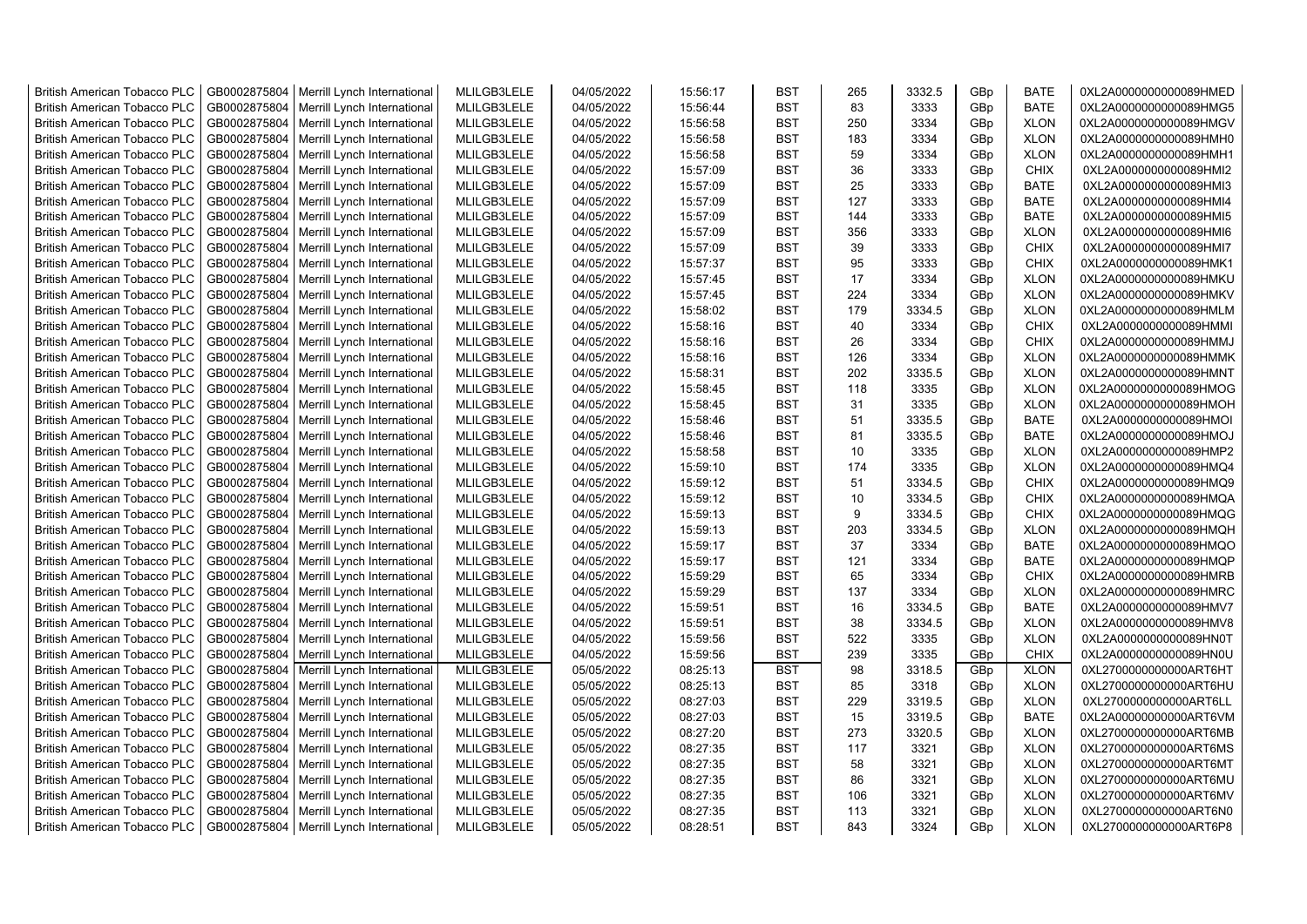| <b>British American Tobacco PLC</b> | GB0002875804 | Merrill Lynch International | MLILGB3LELE | 04/05/2022 | 15:56:17 | <b>BST</b> | 265 | 3332.5 | GBp | <b>BATE</b> | 0XL2A0000000000089HMED |
|-------------------------------------|--------------|-----------------------------|-------------|------------|----------|------------|-----|--------|-----|-------------|------------------------|
| <b>British American Tobacco PLC</b> | GB0002875804 | Merrill Lynch International | MLILGB3LELE | 04/05/2022 | 15:56:44 | <b>BST</b> | 83  | 3333   | GBp | <b>BATE</b> | 0XL2A0000000000089HMG5 |
| <b>British American Tobacco PLC</b> | GB0002875804 | Merrill Lynch International | MLILGB3LELE | 04/05/2022 | 15:56:58 | <b>BST</b> | 250 | 3334   | GBp | <b>XLON</b> | 0XL2A0000000000089HMGV |
| <b>British American Tobacco PLC</b> | GB0002875804 | Merrill Lynch International | MLILGB3LELE | 04/05/2022 | 15:56:58 | <b>BST</b> | 183 | 3334   | GBp | <b>XLON</b> | 0XL2A0000000000089HMH0 |
| <b>British American Tobacco PLC</b> | GB0002875804 | Merrill Lynch International | MLILGB3LELE | 04/05/2022 | 15:56:58 | <b>BST</b> | 59  | 3334   | GBp | <b>XLON</b> | 0XL2A0000000000089HMH1 |
| <b>British American Tobacco PLC</b> | GB0002875804 | Merrill Lynch International | MLILGB3LELE | 04/05/2022 | 15:57:09 | <b>BST</b> | 36  | 3333   | GBp | <b>CHIX</b> | 0XL2A0000000000089HMI2 |
| <b>British American Tobacco PLC</b> | GB0002875804 | Merrill Lynch International | MLILGB3LELE | 04/05/2022 | 15:57:09 | <b>BST</b> | 25  | 3333   | GBp | <b>BATE</b> | 0XL2A0000000000089HMI3 |
| <b>British American Tobacco PLC</b> | GB0002875804 | Merrill Lynch International | MLILGB3LELE | 04/05/2022 | 15:57:09 | <b>BST</b> | 127 | 3333   | GBp | <b>BATE</b> | 0XL2A0000000000089HMI4 |
| <b>British American Tobacco PLC</b> | GB0002875804 | Merrill Lynch International | MLILGB3LELE | 04/05/2022 | 15:57:09 | <b>BST</b> | 144 | 3333   | GBp | <b>BATE</b> | 0XL2A0000000000089HMI5 |
| <b>British American Tobacco PLC</b> | GB0002875804 | Merrill Lynch International | MLILGB3LELE | 04/05/2022 | 15:57:09 | <b>BST</b> | 356 | 3333   | GBp | <b>XLON</b> | 0XL2A0000000000089HMI6 |
| <b>British American Tobacco PLC</b> | GB0002875804 | Merrill Lynch International | MLILGB3LELE | 04/05/2022 | 15:57:09 | <b>BST</b> | 39  | 3333   | GBp | <b>CHIX</b> | 0XL2A0000000000089HMI7 |
| <b>British American Tobacco PLC</b> | GB0002875804 | Merrill Lynch International | MLILGB3LELE | 04/05/2022 | 15:57:37 | <b>BST</b> | 95  | 3333   | GBp | <b>CHIX</b> | 0XL2A0000000000089HMK1 |
| <b>British American Tobacco PLC</b> | GB0002875804 | Merrill Lynch International | MLILGB3LELE | 04/05/2022 | 15:57:45 | <b>BST</b> | 17  | 3334   | GBp | <b>XLON</b> | 0XL2A0000000000089HMKU |
| <b>British American Tobacco PLC</b> | GB0002875804 | Merrill Lynch International | MLILGB3LELE | 04/05/2022 | 15:57:45 | <b>BST</b> | 224 | 3334   | GBp | <b>XLON</b> | 0XL2A0000000000089HMKV |
| <b>British American Tobacco PLC</b> | GB0002875804 | Merrill Lynch International | MLILGB3LELE | 04/05/2022 | 15:58:02 | <b>BST</b> | 179 | 3334.5 | GBp | <b>XLON</b> | 0XL2A0000000000089HMLM |
| <b>British American Tobacco PLC</b> | GB0002875804 | Merrill Lynch International | MLILGB3LELE | 04/05/2022 | 15:58:16 | <b>BST</b> | 40  | 3334   | GBp | <b>CHIX</b> | 0XL2A0000000000089HMMI |
| <b>British American Tobacco PLC</b> | GB0002875804 | Merrill Lynch International | MLILGB3LELE | 04/05/2022 | 15:58:16 | <b>BST</b> | 26  | 3334   | GBp | <b>CHIX</b> | 0XL2A0000000000089HMMJ |
| <b>British American Tobacco PLC</b> | GB0002875804 | Merrill Lynch International | MLILGB3LELE | 04/05/2022 | 15:58:16 | <b>BST</b> | 126 | 3334   | GBp | <b>XLON</b> | 0XL2A0000000000089HMMK |
| <b>British American Tobacco PLC</b> | GB0002875804 | Merrill Lynch International | MLILGB3LELE | 04/05/2022 | 15:58:31 | <b>BST</b> | 202 | 3335.5 | GBp | <b>XLON</b> | 0XL2A0000000000089HMNT |
| <b>British American Tobacco PLC</b> | GB0002875804 | Merrill Lynch International | MLILGB3LELE | 04/05/2022 | 15:58:45 | <b>BST</b> | 118 | 3335   | GBp | <b>XLON</b> | 0XL2A0000000000089HMOG |
| <b>British American Tobacco PLC</b> | GB0002875804 | Merrill Lynch International | MLILGB3LELE | 04/05/2022 | 15:58:45 | <b>BST</b> | 31  | 3335   | GBp | <b>XLON</b> | 0XL2A0000000000089HMOH |
| <b>British American Tobacco PLC</b> | GB0002875804 | Merrill Lynch International | MLILGB3LELE | 04/05/2022 | 15:58:46 | <b>BST</b> | 51  | 3335.5 | GBp | <b>BATE</b> | 0XL2A0000000000089HMOI |
| <b>British American Tobacco PLC</b> | GB0002875804 | Merrill Lynch International | MLILGB3LELE | 04/05/2022 | 15:58:46 | <b>BST</b> | 81  | 3335.5 | GBp | <b>BATE</b> | 0XL2A0000000000089HMOJ |
| <b>British American Tobacco PLC</b> | GB0002875804 | Merrill Lynch International | MLILGB3LELE | 04/05/2022 | 15:58:58 | <b>BST</b> | 10  | 3335   | GBp | <b>XLON</b> | 0XL2A0000000000089HMP2 |
| <b>British American Tobacco PLC</b> | GB0002875804 | Merrill Lynch International | MLILGB3LELE | 04/05/2022 | 15:59:10 | <b>BST</b> | 174 | 3335   | GBp | <b>XLON</b> | 0XL2A0000000000089HMQ4 |
| <b>British American Tobacco PLC</b> | GB0002875804 | Merrill Lynch International | MLILGB3LELE | 04/05/2022 | 15:59:12 | <b>BST</b> | 51  | 3334.5 | GBp | <b>CHIX</b> | 0XL2A0000000000089HMQ9 |
| <b>British American Tobacco PLC</b> | GB0002875804 | Merrill Lynch International | MLILGB3LELE | 04/05/2022 | 15:59:12 | <b>BST</b> | 10  | 3334.5 | GBp | <b>CHIX</b> | 0XL2A0000000000089HMQA |
| <b>British American Tobacco PLC</b> | GB0002875804 | Merrill Lynch International | MLILGB3LELE | 04/05/2022 | 15:59:13 | <b>BST</b> | 9   | 3334.5 | GBp | <b>CHIX</b> | 0XL2A0000000000089HMQG |
| <b>British American Tobacco PLC</b> | GB0002875804 | Merrill Lynch International | MLILGB3LELE | 04/05/2022 | 15:59:13 | <b>BST</b> | 203 | 3334.5 | GBp | <b>XLON</b> | 0XL2A0000000000089HMQH |
| British American Tobacco PLC        | GB0002875804 | Merrill Lynch International | MLILGB3LELE | 04/05/2022 | 15:59:17 | <b>BST</b> | 37  | 3334   | GBp | <b>BATE</b> | 0XL2A0000000000089HMQO |
| <b>British American Tobacco PLC</b> | GB0002875804 | Merrill Lynch International | MLILGB3LELE | 04/05/2022 | 15:59:17 | <b>BST</b> | 121 | 3334   | GBp | <b>BATE</b> | 0XL2A0000000000089HMQP |
| <b>British American Tobacco PLC</b> | GB0002875804 | Merrill Lynch International | MLILGB3LELE | 04/05/2022 | 15:59:29 | <b>BST</b> | 65  | 3334   | GBp | <b>CHIX</b> | 0XL2A0000000000089HMRB |
| <b>British American Tobacco PLC</b> | GB0002875804 | Merrill Lynch International | MLILGB3LELE | 04/05/2022 | 15:59:29 | <b>BST</b> | 137 | 3334   | GBp | <b>XLON</b> | 0XL2A0000000000089HMRC |
| <b>British American Tobacco PLC</b> | GB0002875804 | Merrill Lynch International | MLILGB3LELE | 04/05/2022 | 15:59:51 | <b>BST</b> | 16  | 3334.5 | GBp | <b>BATE</b> | 0XL2A0000000000089HMV7 |
| <b>British American Tobacco PLC</b> | GB0002875804 | Merrill Lynch International | MLILGB3LELE | 04/05/2022 | 15:59:51 | <b>BST</b> | 38  | 3334.5 | GBp | <b>XLON</b> | 0XL2A0000000000089HMV8 |
| <b>British American Tobacco PLC</b> | GB0002875804 | Merrill Lynch International | MLILGB3LELE | 04/05/2022 | 15:59:56 | <b>BST</b> | 522 | 3335   | GBp | <b>XLON</b> | 0XL2A0000000000089HN0T |
| <b>British American Tobacco PLC</b> | GB0002875804 | Merrill Lynch International | MLILGB3LELE | 04/05/2022 | 15:59:56 | <b>BST</b> | 239 | 3335   | GBp | <b>CHIX</b> | 0XL2A0000000000089HN0U |
| <b>British American Tobacco PLC</b> | GB0002875804 | Merrill Lynch International | MLILGB3LELE | 05/05/2022 | 08:25:13 | <b>BST</b> | 98  | 3318.5 | GBp | <b>XLON</b> | 0XL2700000000000ART6HT |
| <b>British American Tobacco PLC</b> | GB0002875804 | Merrill Lynch International | MLILGB3LELE | 05/05/2022 | 08:25:13 | <b>BST</b> | 85  | 3318   | GBp | <b>XLON</b> | 0XL2700000000000ART6HU |
| <b>British American Tobacco PLC</b> | GB0002875804 | Merrill Lynch International | MLILGB3LELE | 05/05/2022 | 08:27:03 | <b>BST</b> | 229 | 3319.5 | GBp | <b>XLON</b> | 0XL2700000000000ART6LL |
| <b>British American Tobacco PLC</b> | GB0002875804 | Merrill Lynch International | MLILGB3LELE | 05/05/2022 | 08:27:03 | <b>BST</b> | 15  | 3319.5 | GBp | <b>BATE</b> | 0XL2A00000000000ART6VM |
| <b>British American Tobacco PLC</b> | GB0002875804 | Merrill Lynch International | MLILGB3LELE | 05/05/2022 | 08:27:20 | <b>BST</b> | 273 | 3320.5 | GBp | <b>XLON</b> | 0XL2700000000000ART6MB |
| <b>British American Tobacco PLC</b> | GB0002875804 | Merrill Lynch International | MLILGB3LELE | 05/05/2022 | 08:27:35 | <b>BST</b> | 117 | 3321   | GBp | <b>XLON</b> | 0XL2700000000000ART6MS |
| <b>British American Tobacco PLC</b> | GB0002875804 | Merrill Lynch International | MLILGB3LELE | 05/05/2022 | 08:27:35 | <b>BST</b> | 58  | 3321   | GBp | <b>XLON</b> | 0XL2700000000000ART6MT |
| <b>British American Tobacco PLC</b> | GB0002875804 | Merrill Lynch International | MLILGB3LELE | 05/05/2022 | 08:27:35 | <b>BST</b> | 86  | 3321   | GBp | <b>XLON</b> | 0XL2700000000000ART6MU |
| <b>British American Tobacco PLC</b> | GB0002875804 | Merrill Lynch International | MLILGB3LELE | 05/05/2022 | 08:27:35 | <b>BST</b> | 106 | 3321   | GBp | <b>XLON</b> | 0XL2700000000000ART6MV |
| <b>British American Tobacco PLC</b> | GB0002875804 | Merrill Lynch International | MLILGB3LELE | 05/05/2022 | 08:27:35 | <b>BST</b> | 113 | 3321   | GBp | <b>XLON</b> | 0XL2700000000000ART6N0 |
| <b>British American Tobacco PLC</b> | GB0002875804 | Merrill Lynch International | MLILGB3LELE | 05/05/2022 | 08:28:51 | <b>BST</b> | 843 | 3324   | GBp | <b>XLON</b> | 0XL2700000000000ART6P8 |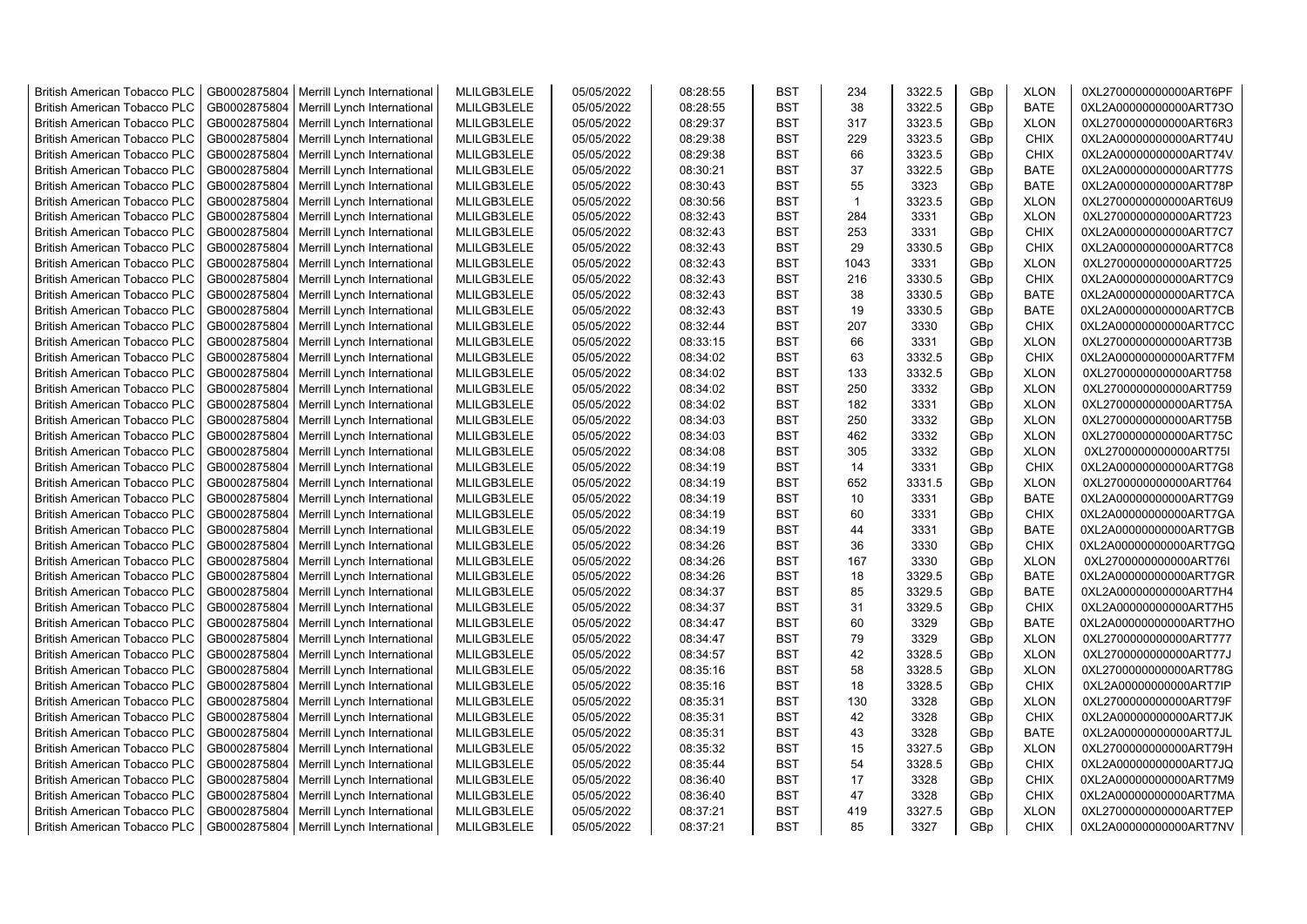| <b>British American Tobacco PLC</b> | GB0002875804 | Merrill Lynch International | MLILGB3LELE | 05/05/2022 | 08:28:55 | <b>BST</b> | 234          | 3322.5 | GBp             | <b>XLON</b> | 0XL2700000000000ART6PF |
|-------------------------------------|--------------|-----------------------------|-------------|------------|----------|------------|--------------|--------|-----------------|-------------|------------------------|
| <b>British American Tobacco PLC</b> | GB0002875804 | Merrill Lynch International | MLILGB3LELE | 05/05/2022 | 08:28:55 | <b>BST</b> | 38           | 3322.5 | GBp             | <b>BATE</b> | 0XL2A00000000000ART73O |
| <b>British American Tobacco PLC</b> | GB0002875804 | Merrill Lynch International | MLILGB3LELE | 05/05/2022 | 08:29:37 | <b>BST</b> | 317          | 3323.5 | GBp             | <b>XLON</b> | 0XL2700000000000ART6R3 |
| <b>British American Tobacco PLC</b> | GB0002875804 | Merrill Lynch International | MLILGB3LELE | 05/05/2022 | 08:29:38 | <b>BST</b> | 229          | 3323.5 | GBp             | <b>CHIX</b> | 0XL2A00000000000ART74U |
| <b>British American Tobacco PLC</b> | GB0002875804 | Merrill Lynch International | MLILGB3LELE | 05/05/2022 | 08:29:38 | <b>BST</b> | 66           | 3323.5 | GBp             | <b>CHIX</b> | 0XL2A00000000000ART74V |
| <b>British American Tobacco PLC</b> | GB0002875804 | Merrill Lynch International | MLILGB3LELE | 05/05/2022 | 08:30:21 | <b>BST</b> | 37           | 3322.5 | GBp             | <b>BATE</b> | 0XL2A00000000000ART77S |
| <b>British American Tobacco PLC</b> | GB0002875804 | Merrill Lynch International | MLILGB3LELE | 05/05/2022 | 08:30:43 | <b>BST</b> | 55           | 3323   | GBp             | <b>BATE</b> | 0XL2A00000000000ART78P |
| <b>British American Tobacco PLC</b> | GB0002875804 | Merrill Lynch International | MLILGB3LELE | 05/05/2022 | 08:30:56 | <b>BST</b> | $\mathbf{1}$ | 3323.5 | GBp             | <b>XLON</b> | 0XL2700000000000ART6U9 |
| <b>British American Tobacco PLC</b> | GB0002875804 | Merrill Lynch International | MLILGB3LELE | 05/05/2022 | 08:32:43 | <b>BST</b> | 284          | 3331   | GBp             | <b>XLON</b> | 0XL2700000000000ART723 |
| <b>British American Tobacco PLC</b> | GB0002875804 | Merrill Lynch International | MLILGB3LELE | 05/05/2022 | 08:32:43 | <b>BST</b> | 253          | 3331   | GBp             | <b>CHIX</b> | 0XL2A00000000000ART7C7 |
| <b>British American Tobacco PLC</b> | GB0002875804 | Merrill Lynch International | MLILGB3LELE | 05/05/2022 | 08:32:43 | <b>BST</b> | 29           | 3330.5 | GBp             | <b>CHIX</b> | 0XL2A00000000000ART7C8 |
| <b>British American Tobacco PLC</b> | GB0002875804 | Merrill Lynch International | MLILGB3LELE | 05/05/2022 | 08:32:43 | <b>BST</b> | 1043         | 3331   | GBp             | <b>XLON</b> | 0XL2700000000000ART725 |
| <b>British American Tobacco PLC</b> | GB0002875804 | Merrill Lynch International | MLILGB3LELE | 05/05/2022 | 08:32:43 | <b>BST</b> | 216          | 3330.5 | GBp             | <b>CHIX</b> | 0XL2A00000000000ART7C9 |
| <b>British American Tobacco PLC</b> | GB0002875804 | Merrill Lynch International | MLILGB3LELE | 05/05/2022 | 08:32:43 | <b>BST</b> | 38           | 3330.5 | GBp             | <b>BATE</b> | 0XL2A00000000000ART7CA |
| <b>British American Tobacco PLC</b> | GB0002875804 | Merrill Lynch International | MLILGB3LELE | 05/05/2022 | 08:32:43 | <b>BST</b> | 19           | 3330.5 | GBp             | <b>BATE</b> | 0XL2A00000000000ART7CB |
| <b>British American Tobacco PLC</b> | GB0002875804 | Merrill Lynch International | MLILGB3LELE | 05/05/2022 | 08:32:44 | <b>BST</b> | 207          | 3330   | GBp             | <b>CHIX</b> | 0XL2A00000000000ART7CC |
| <b>British American Tobacco PLC</b> | GB0002875804 | Merrill Lynch International | MLILGB3LELE | 05/05/2022 | 08:33:15 | <b>BST</b> | 66           | 3331   | GBp             | <b>XLON</b> | 0XL2700000000000ART73B |
| <b>British American Tobacco PLC</b> | GB0002875804 | Merrill Lynch International | MLILGB3LELE | 05/05/2022 | 08:34:02 | <b>BST</b> | 63           | 3332.5 | GBp             | <b>CHIX</b> | 0XL2A00000000000ART7FM |
| <b>British American Tobacco PLC</b> | GB0002875804 | Merrill Lynch International | MLILGB3LELE | 05/05/2022 | 08:34:02 | <b>BST</b> | 133          | 3332.5 | GBp             | <b>XLON</b> | 0XL2700000000000ART758 |
| <b>British American Tobacco PLC</b> | GB0002875804 | Merrill Lynch International | MLILGB3LELE | 05/05/2022 | 08:34:02 | <b>BST</b> | 250          | 3332   | GBp             | <b>XLON</b> | 0XL2700000000000ART759 |
| <b>British American Tobacco PLC</b> | GB0002875804 | Merrill Lynch International | MLILGB3LELE | 05/05/2022 | 08:34:02 | <b>BST</b> | 182          | 3331   | GBp             | <b>XLON</b> | 0XL2700000000000ART75A |
| <b>British American Tobacco PLC</b> | GB0002875804 | Merrill Lynch International | MLILGB3LELE | 05/05/2022 | 08:34:03 | <b>BST</b> | 250          | 3332   | GBp             | <b>XLON</b> | 0XL2700000000000ART75B |
| <b>British American Tobacco PLC</b> | GB0002875804 | Merrill Lynch International | MLILGB3LELE | 05/05/2022 | 08:34:03 | <b>BST</b> | 462          | 3332   | GBp             | <b>XLON</b> | 0XL2700000000000ART75C |
| <b>British American Tobacco PLC</b> | GB0002875804 | Merrill Lynch International | MLILGB3LELE | 05/05/2022 | 08:34:08 | <b>BST</b> | 305          | 3332   | GBp             | <b>XLON</b> | 0XL2700000000000ART75I |
| <b>British American Tobacco PLC</b> | GB0002875804 | Merrill Lynch International | MLILGB3LELE | 05/05/2022 | 08:34:19 | BST        | 14           | 3331   | GBp             | <b>CHIX</b> | 0XL2A00000000000ART7G8 |
| <b>British American Tobacco PLC</b> | GB0002875804 | Merrill Lynch International | MLILGB3LELE | 05/05/2022 | 08:34:19 | <b>BST</b> | 652          | 3331.5 | GBp             | <b>XLON</b> | 0XL2700000000000ART764 |
| <b>British American Tobacco PLC</b> | GB0002875804 | Merrill Lynch International | MLILGB3LELE | 05/05/2022 | 08:34:19 | <b>BST</b> | 10           | 3331   | GBp             | <b>BATE</b> | 0XL2A00000000000ART7G9 |
| <b>British American Tobacco PLC</b> | GB0002875804 | Merrill Lynch International | MLILGB3LELE | 05/05/2022 | 08:34:19 | <b>BST</b> | 60           | 3331   | GBp             | <b>CHIX</b> | 0XL2A00000000000ART7GA |
| <b>British American Tobacco PLC</b> | GB0002875804 | Merrill Lynch International | MLILGB3LELE | 05/05/2022 | 08:34:19 | <b>BST</b> | 44           | 3331   | GBp             | <b>BATE</b> | 0XL2A00000000000ART7GB |
| <b>British American Tobacco PLC</b> | GB0002875804 | Merrill Lynch International | MLILGB3LELE | 05/05/2022 | 08:34:26 | <b>BST</b> | 36           | 3330   | GBp             | <b>CHIX</b> | 0XL2A00000000000ART7GQ |
| <b>British American Tobacco PLC</b> | GB0002875804 | Merrill Lynch International | MLILGB3LELE | 05/05/2022 | 08:34:26 | <b>BST</b> | 167          | 3330   | GBp             | <b>XLON</b> | 0XL2700000000000ART76I |
| <b>British American Tobacco PLC</b> | GB0002875804 | Merrill Lynch International | MLILGB3LELE | 05/05/2022 | 08:34:26 | <b>BST</b> | 18           | 3329.5 | GBp             | BATE        | 0XL2A00000000000ART7GR |
| <b>British American Tobacco PLC</b> | GB0002875804 | Merrill Lynch International | MLILGB3LELE | 05/05/2022 | 08:34:37 | <b>BST</b> | 85           | 3329.5 | GBp             | BATE        | 0XL2A00000000000ART7H4 |
| <b>British American Tobacco PLC</b> | GB0002875804 | Merrill Lynch International | MLILGB3LELE | 05/05/2022 | 08:34:37 | <b>BST</b> | 31           | 3329.5 | GBp             | <b>CHIX</b> | 0XL2A00000000000ART7H5 |
| <b>British American Tobacco PLC</b> | GB0002875804 | Merrill Lynch International | MLILGB3LELE | 05/05/2022 | 08:34:47 | <b>BST</b> | 60           | 3329   | GBp             | <b>BATE</b> | 0XL2A00000000000ART7HO |
| <b>British American Tobacco PLC</b> | GB0002875804 | Merrill Lynch International | MLILGB3LELE | 05/05/2022 | 08:34:47 | <b>BST</b> | 79           | 3329   | GBp             | <b>XLON</b> | 0XL2700000000000ART777 |
| <b>British American Tobacco PLC</b> | GB0002875804 | Merrill Lynch International | MLILGB3LELE | 05/05/2022 | 08:34:57 | <b>BST</b> | 42           | 3328.5 | GBp             | <b>XLON</b> | 0XL2700000000000ART77J |
| <b>British American Tobacco PLC</b> | GB0002875804 | Merrill Lynch International | MLILGB3LELE | 05/05/2022 | 08:35:16 | <b>BST</b> | 58           | 3328.5 | GBp             | <b>XLON</b> | 0XL2700000000000ART78G |
| <b>British American Tobacco PLC</b> | GB0002875804 | Merrill Lynch International | MLILGB3LELE | 05/05/2022 | 08:35:16 | <b>BST</b> | 18           | 3328.5 | GBp             | <b>CHIX</b> | 0XL2A00000000000ART7IP |
| <b>British American Tobacco PLC</b> | GB0002875804 | Merrill Lynch International | MLILGB3LELE | 05/05/2022 | 08:35:31 | <b>BST</b> | 130          | 3328   | GBp             | <b>XLON</b> | 0XL2700000000000ART79F |
| <b>British American Tobacco PLC</b> | GB0002875804 | Merrill Lynch International | MLILGB3LELE | 05/05/2022 | 08:35:31 | <b>BST</b> | 42           | 3328   | GBp             | <b>CHIX</b> | 0XL2A00000000000ART7JK |
| <b>British American Tobacco PLC</b> | GB0002875804 | Merrill Lynch International | MLILGB3LELE | 05/05/2022 | 08:35:31 | <b>BST</b> | 43           | 3328   | GBp             | BATE        | 0XL2A00000000000ART7JL |
| <b>British American Tobacco PLC</b> | GB0002875804 | Merrill Lynch International | MLILGB3LELE | 05/05/2022 | 08:35:32 | <b>BST</b> | 15           | 3327.5 | GBp             | <b>XLON</b> | 0XL2700000000000ART79H |
| <b>British American Tobacco PLC</b> | GB0002875804 | Merrill Lynch International | MLILGB3LELE | 05/05/2022 | 08:35:44 | <b>BST</b> | 54           | 3328.5 | GBp             | <b>CHIX</b> | 0XL2A00000000000ART7JQ |
| <b>British American Tobacco PLC</b> | GB0002875804 | Merrill Lynch International | MLILGB3LELE | 05/05/2022 | 08:36:40 | <b>BST</b> | 17           | 3328   | GBp             | <b>CHIX</b> | 0XL2A00000000000ART7M9 |
| <b>British American Tobacco PLC</b> | GB0002875804 | Merrill Lynch International | MLILGB3LELE | 05/05/2022 | 08:36:40 | <b>BST</b> | 47           | 3328   | GBp             | <b>CHIX</b> | 0XL2A00000000000ART7MA |
| <b>British American Tobacco PLC</b> | GB0002875804 | Merrill Lynch International | MLILGB3LELE | 05/05/2022 | 08:37:21 | <b>BST</b> | 419          | 3327.5 | GBp             | <b>XLON</b> | 0XL2700000000000ART7EP |
| <b>British American Tobacco PLC</b> | GB0002875804 | Merrill Lynch International | MLILGB3LELE | 05/05/2022 | 08:37:21 | <b>BST</b> | 85           | 3327   | GB <sub>p</sub> | <b>CHIX</b> | 0XL2A00000000000ART7NV |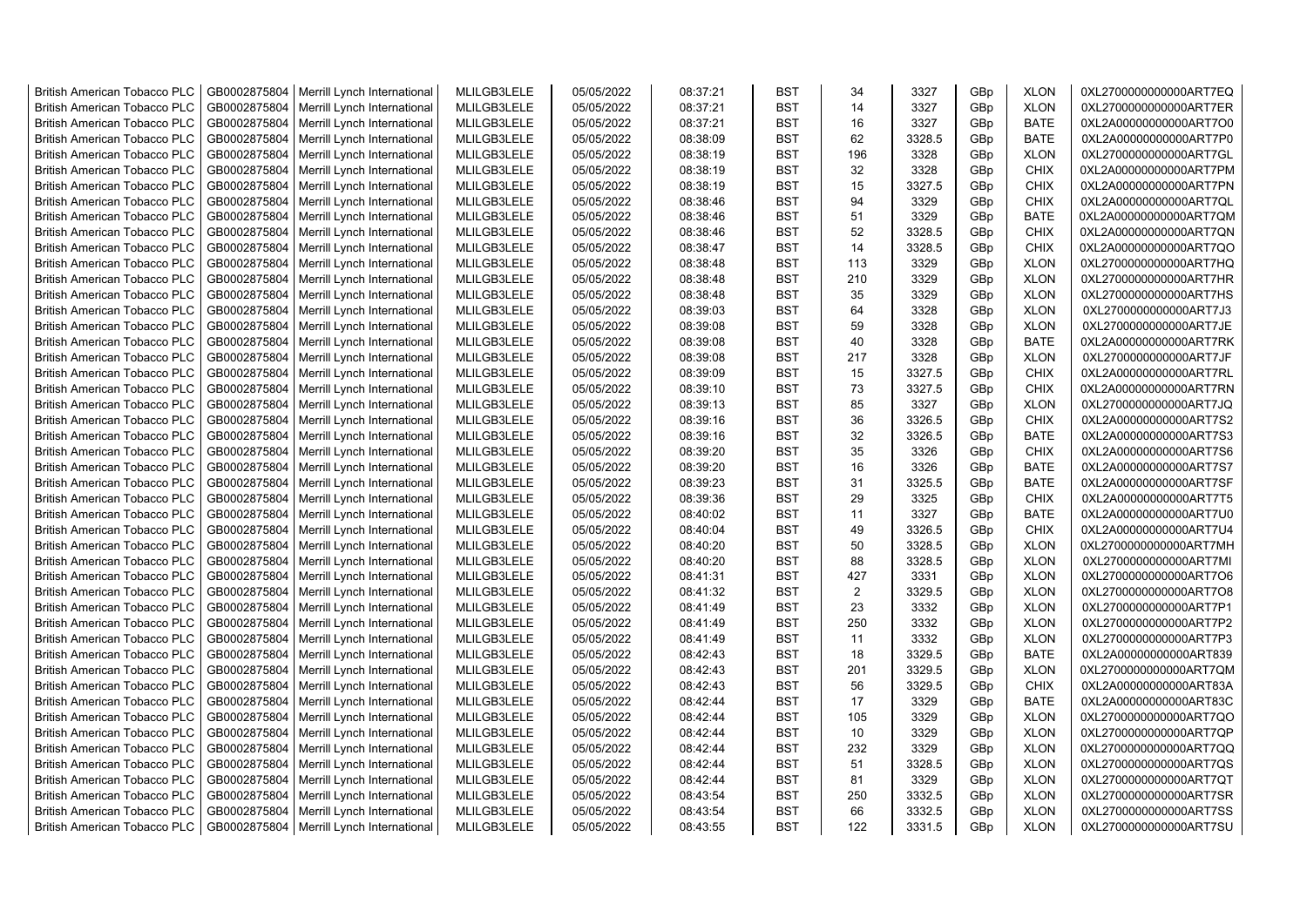| <b>British American Tobacco PLC</b> | GB0002875804 | Merrill Lynch International | MLILGB3LELE | 05/05/2022 | 08:37:21 | <b>BST</b> | 34             | 3327   | GBp             | <b>XLON</b> | 0XL2700000000000ART7EQ |
|-------------------------------------|--------------|-----------------------------|-------------|------------|----------|------------|----------------|--------|-----------------|-------------|------------------------|
| <b>British American Tobacco PLC</b> | GB0002875804 | Merrill Lynch International | MLILGB3LELE | 05/05/2022 | 08:37:21 | <b>BST</b> | 14             | 3327   | GBp             | <b>XLON</b> | 0XL2700000000000ART7ER |
| <b>British American Tobacco PLC</b> | GB0002875804 | Merrill Lynch International | MLILGB3LELE | 05/05/2022 | 08:37:21 | <b>BST</b> | 16             | 3327   | GBp             | <b>BATE</b> | 0XL2A00000000000ART7O0 |
| <b>British American Tobacco PLC</b> | GB0002875804 | Merrill Lynch International | MLILGB3LELE | 05/05/2022 | 08:38:09 | <b>BST</b> | 62             | 3328.5 | GBp             | <b>BATE</b> | 0XL2A00000000000ART7P0 |
| <b>British American Tobacco PLC</b> | GB0002875804 | Merrill Lynch International | MLILGB3LELE | 05/05/2022 | 08:38:19 | <b>BST</b> | 196            | 3328   | GBp             | <b>XLON</b> | 0XL2700000000000ART7GL |
| <b>British American Tobacco PLC</b> | GB0002875804 | Merrill Lynch International | MLILGB3LELE | 05/05/2022 | 08:38:19 | <b>BST</b> | 32             | 3328   | GBp             | <b>CHIX</b> | 0XL2A00000000000ART7PM |
| British American Tobacco PLC        | GB0002875804 | Merrill Lynch International | MLILGB3LELE | 05/05/2022 | 08:38:19 | <b>BST</b> | 15             | 3327.5 | GBp             | <b>CHIX</b> | 0XL2A00000000000ART7PN |
| <b>British American Tobacco PLC</b> | GB0002875804 | Merrill Lynch International | MLILGB3LELE | 05/05/2022 | 08:38:46 | <b>BST</b> | 94             | 3329   | GBp             | <b>CHIX</b> | 0XL2A00000000000ART7QL |
| <b>British American Tobacco PLC</b> | GB0002875804 | Merrill Lynch International | MLILGB3LELE | 05/05/2022 | 08:38:46 | <b>BST</b> | 51             | 3329   | GBp             | <b>BATE</b> | 0XL2A00000000000ART7QM |
| <b>British American Tobacco PLC</b> | GB0002875804 | Merrill Lynch International | MLILGB3LELE | 05/05/2022 | 08:38:46 | <b>BST</b> | 52             | 3328.5 | GBp             | <b>CHIX</b> | 0XL2A00000000000ART7QN |
| <b>British American Tobacco PLC</b> | GB0002875804 | Merrill Lynch International | MLILGB3LELE | 05/05/2022 | 08:38:47 | <b>BST</b> | 14             | 3328.5 | GBp             | <b>CHIX</b> | 0XL2A00000000000ART7QO |
| <b>British American Tobacco PLC</b> | GB0002875804 | Merrill Lynch International | MLILGB3LELE | 05/05/2022 | 08:38:48 | <b>BST</b> | 113            | 3329   | GBp             | <b>XLON</b> | 0XL2700000000000ART7HQ |
| <b>British American Tobacco PLC</b> | GB0002875804 | Merrill Lynch International | MLILGB3LELE | 05/05/2022 | 08:38:48 | <b>BST</b> | 210            | 3329   | GBp             | <b>XLON</b> | 0XL2700000000000ART7HR |
| <b>British American Tobacco PLC</b> | GB0002875804 | Merrill Lynch International | MLILGB3LELE | 05/05/2022 | 08:38:48 | <b>BST</b> | 35             | 3329   | GBp             | <b>XLON</b> | 0XL2700000000000ART7HS |
| <b>British American Tobacco PLC</b> | GB0002875804 | Merrill Lynch International | MLILGB3LELE | 05/05/2022 | 08:39:03 | <b>BST</b> | 64             | 3328   | GBp             | <b>XLON</b> | 0XL2700000000000ART7J3 |
| <b>British American Tobacco PLC</b> | GB0002875804 | Merrill Lynch International | MLILGB3LELE | 05/05/2022 | 08:39:08 | <b>BST</b> | 59             | 3328   | GBp             | <b>XLON</b> | 0XL2700000000000ART7JE |
| British American Tobacco PLC        | GB0002875804 | Merrill Lynch International | MLILGB3LELE | 05/05/2022 | 08:39:08 | <b>BST</b> | 40             | 3328   | GBp             | <b>BATE</b> | 0XL2A00000000000ART7RK |
| <b>British American Tobacco PLC</b> | GB0002875804 | Merrill Lynch International | MLILGB3LELE | 05/05/2022 | 08:39:08 | <b>BST</b> | 217            | 3328   | GBp             | <b>XLON</b> | 0XL2700000000000ART7JF |
| <b>British American Tobacco PLC</b> | GB0002875804 | Merrill Lynch International | MLILGB3LELE | 05/05/2022 | 08:39:09 | <b>BST</b> | 15             | 3327.5 | GBp             | <b>CHIX</b> | 0XL2A00000000000ART7RL |
| <b>British American Tobacco PLC</b> | GB0002875804 | Merrill Lynch International | MLILGB3LELE | 05/05/2022 | 08:39:10 | <b>BST</b> | 73             | 3327.5 | GBp             | <b>CHIX</b> | 0XL2A00000000000ART7RN |
| <b>British American Tobacco PLC</b> | GB0002875804 | Merrill Lynch International | MLILGB3LELE | 05/05/2022 | 08:39:13 | <b>BST</b> | 85             | 3327   | GBp             | <b>XLON</b> | 0XL2700000000000ART7JQ |
| <b>British American Tobacco PLC</b> | GB0002875804 | Merrill Lynch International | MLILGB3LELE | 05/05/2022 | 08:39:16 | <b>BST</b> | 36             | 3326.5 | GBp             | <b>CHIX</b> | 0XL2A00000000000ART7S2 |
| British American Tobacco PLC        | GB0002875804 | Merrill Lynch International | MLILGB3LELE | 05/05/2022 | 08:39:16 | <b>BST</b> | 32             | 3326.5 | GBp             | <b>BATE</b> | 0XL2A00000000000ART7S3 |
| <b>British American Tobacco PLC</b> | GB0002875804 | Merrill Lynch International | MLILGB3LELE | 05/05/2022 | 08:39:20 | <b>BST</b> | 35             | 3326   | GBp             | <b>CHIX</b> | 0XL2A00000000000ART7S6 |
| <b>British American Tobacco PLC</b> | GB0002875804 | Merrill Lynch International | MLILGB3LELE | 05/05/2022 | 08:39:20 | <b>BST</b> | 16             | 3326   | GBp             | <b>BATE</b> | 0XL2A00000000000ART7S7 |
| <b>British American Tobacco PLC</b> | GB0002875804 | Merrill Lynch International | MLILGB3LELE | 05/05/2022 | 08:39:23 | <b>BST</b> | 31             | 3325.5 | GBp             | <b>BATE</b> | 0XL2A00000000000ART7SF |
| <b>British American Tobacco PLC</b> | GB0002875804 | Merrill Lynch International | MLILGB3LELE | 05/05/2022 | 08:39:36 | <b>BST</b> | 29             | 3325   | GBp             | <b>CHIX</b> | 0XL2A00000000000ART7T5 |
| <b>British American Tobacco PLC</b> | GB0002875804 | Merrill Lynch International | MLILGB3LELE | 05/05/2022 | 08:40:02 | <b>BST</b> | 11             | 3327   | GBp             | <b>BATE</b> | 0XL2A00000000000ART7U0 |
| <b>British American Tobacco PLC</b> | GB0002875804 | Merrill Lynch International | MLILGB3LELE | 05/05/2022 | 08:40:04 | <b>BST</b> | 49             | 3326.5 | GBp             | <b>CHIX</b> | 0XL2A00000000000ART7U4 |
| <b>British American Tobacco PLC</b> | GB0002875804 | Merrill Lynch International | MLILGB3LELE | 05/05/2022 | 08:40:20 | <b>BST</b> | 50             | 3328.5 | GBp             | <b>XLON</b> | 0XL2700000000000ART7MH |
| <b>British American Tobacco PLC</b> | GB0002875804 | Merrill Lynch International | MLILGB3LELE | 05/05/2022 | 08:40:20 | <b>BST</b> | 88             | 3328.5 | GBp             | <b>XLON</b> | 0XL2700000000000ART7MI |
| <b>British American Tobacco PLC</b> | GB0002875804 | Merrill Lynch International | MLILGB3LELE | 05/05/2022 | 08:41:31 | <b>BST</b> | 427            | 3331   | GBp             | <b>XLON</b> | 0XL2700000000000ART7O6 |
| <b>British American Tobacco PLC</b> | GB0002875804 | Merrill Lynch International | MLILGB3LELE | 05/05/2022 | 08:41:32 | <b>BST</b> | $\overline{2}$ | 3329.5 | GBp             | <b>XLON</b> | 0XL2700000000000ART7O8 |
| <b>British American Tobacco PLC</b> | GB0002875804 | Merrill Lynch International | MLILGB3LELE | 05/05/2022 | 08:41:49 | <b>BST</b> | 23             | 3332   | GBp             | <b>XLON</b> | 0XL2700000000000ART7P1 |
| <b>British American Tobacco PLC</b> | GB0002875804 | Merrill Lynch International | MLILGB3LELE | 05/05/2022 | 08:41:49 | <b>BST</b> | 250            | 3332   | GBp             | <b>XLON</b> | 0XL2700000000000ART7P2 |
| British American Tobacco PLC        | GB0002875804 | Merrill Lynch International | MLILGB3LELE | 05/05/2022 | 08:41:49 | <b>BST</b> | 11             | 3332   | GBp             | <b>XLON</b> | 0XL2700000000000ART7P3 |
| <b>British American Tobacco PLC</b> | GB0002875804 | Merrill Lynch International | MLILGB3LELE | 05/05/2022 | 08:42:43 | <b>BST</b> | 18             | 3329.5 | GBp             | <b>BATE</b> | 0XL2A00000000000ART839 |
| <b>British American Tobacco PLC</b> | GB0002875804 | Merrill Lynch International | MLILGB3LELE | 05/05/2022 | 08:42:43 | <b>BST</b> | 201            | 3329.5 | GBp             | <b>XLON</b> | 0XL2700000000000ART7QM |
| British American Tobacco PLC        | GB0002875804 | Merrill Lynch International | MLILGB3LELE | 05/05/2022 | 08:42:43 | <b>BST</b> | 56             | 3329.5 | GB <sub>p</sub> | <b>CHIX</b> | 0XL2A00000000000ART83A |
| <b>British American Tobacco PLC</b> | GB0002875804 | Merrill Lynch International | MLILGB3LELE | 05/05/2022 | 08:42:44 | <b>BST</b> | 17             | 3329   | GBp             | <b>BATE</b> | 0XL2A00000000000ART83C |
| <b>British American Tobacco PLC</b> | GB0002875804 | Merrill Lynch International | MLILGB3LELE | 05/05/2022 | 08:42:44 | <b>BST</b> | 105            | 3329   | GBp             | <b>XLON</b> | 0XL2700000000000ART7QO |
| <b>British American Tobacco PLC</b> | GB0002875804 | Merrill Lynch International | MLILGB3LELE | 05/05/2022 | 08:42:44 | <b>BST</b> | 10             | 3329   | GBp             | <b>XLON</b> | 0XL2700000000000ART7QP |
| <b>British American Tobacco PLC</b> | GB0002875804 | Merrill Lynch International | MLILGB3LELE | 05/05/2022 | 08:42:44 | <b>BST</b> | 232            | 3329   | GBp             | <b>XLON</b> | 0XL2700000000000ART7QQ |
| <b>British American Tobacco PLC</b> | GB0002875804 | Merrill Lynch International | MLILGB3LELE | 05/05/2022 | 08:42:44 | <b>BST</b> | 51             | 3328.5 | GBp             | <b>XLON</b> | 0XL2700000000000ART7QS |
| <b>British American Tobacco PLC</b> | GB0002875804 | Merrill Lynch International | MLILGB3LELE | 05/05/2022 | 08:42:44 | <b>BST</b> | 81             | 3329   | GBp             | <b>XLON</b> | 0XL2700000000000ART7QT |
| <b>British American Tobacco PLC</b> | GB0002875804 | Merrill Lynch International | MLILGB3LELE | 05/05/2022 | 08:43:54 | <b>BST</b> | 250            | 3332.5 | GBp             | <b>XLON</b> | 0XL2700000000000ART7SR |
| <b>British American Tobacco PLC</b> | GB0002875804 | Merrill Lynch International | MLILGB3LELE | 05/05/2022 | 08:43:54 | <b>BST</b> | 66             | 3332.5 | GBp             | <b>XLON</b> | 0XL2700000000000ART7SS |
| <b>British American Tobacco PLC</b> | GB0002875804 | Merrill Lynch International | MLILGB3LELE | 05/05/2022 | 08:43:55 | <b>BST</b> | 122            | 3331.5 | GB <sub>p</sub> | <b>XLON</b> | 0XL2700000000000ART7SU |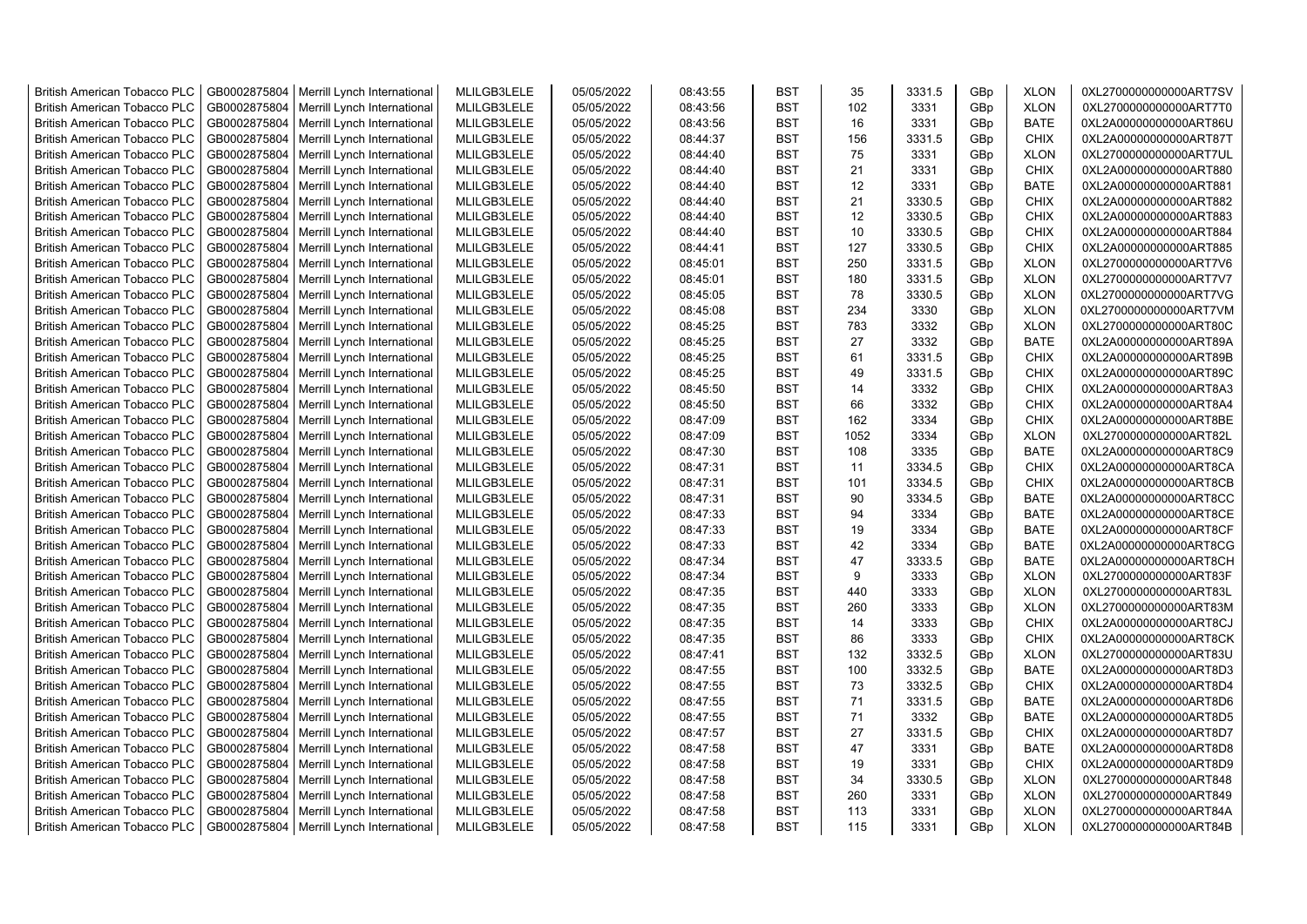| <b>British American Tobacco PLC</b>                                        | GB0002875804 | Merrill Lynch International | MLILGB3LELE | 05/05/2022 | 08:43:55 | <b>BST</b>               | 35   | 3331.5 | GBp             | <b>XLON</b>                | 0XL2700000000000ART7SV                           |
|----------------------------------------------------------------------------|--------------|-----------------------------|-------------|------------|----------|--------------------------|------|--------|-----------------|----------------------------|--------------------------------------------------|
| <b>British American Tobacco PLC</b>                                        | GB0002875804 | Merrill Lynch International | MLILGB3LELE | 05/05/2022 | 08:43:56 | <b>BST</b>               | 102  | 3331   | GBp             | <b>XLON</b>                | 0XL2700000000000ART7T0                           |
| <b>British American Tobacco PLC</b>                                        | GB0002875804 | Merrill Lynch International | MLILGB3LELE | 05/05/2022 | 08:43:56 | <b>BST</b>               | 16   | 3331   | GBp             | <b>BATE</b>                | 0XL2A00000000000ART86U                           |
| <b>British American Tobacco PLC</b>                                        | GB0002875804 | Merrill Lynch International | MLILGB3LELE | 05/05/2022 | 08:44:37 | <b>BST</b>               | 156  | 3331.5 | GBp             | <b>CHIX</b>                | 0XL2A00000000000ART87T                           |
| <b>British American Tobacco PLC</b>                                        | GB0002875804 | Merrill Lynch International | MLILGB3LELE | 05/05/2022 | 08:44:40 | <b>BST</b>               | 75   | 3331   | GBp             | <b>XLON</b>                | 0XL2700000000000ART7UL                           |
| <b>British American Tobacco PLC</b>                                        | GB0002875804 | Merrill Lynch International | MLILGB3LELE | 05/05/2022 | 08:44:40 | <b>BST</b>               | 21   | 3331   | GBp             | <b>CHIX</b>                | 0XL2A00000000000ART880                           |
| <b>British American Tobacco PLC</b>                                        | GB0002875804 | Merrill Lynch International | MLILGB3LELE | 05/05/2022 | 08:44:40 | <b>BST</b>               | 12   | 3331   | GBp             | <b>BATE</b>                | 0XL2A00000000000ART881                           |
| <b>British American Tobacco PLC</b>                                        | GB0002875804 | Merrill Lynch International | MLILGB3LELE | 05/05/2022 | 08:44:40 | <b>BST</b>               | 21   | 3330.5 | GBp             | <b>CHIX</b>                | 0XL2A00000000000ART882                           |
| <b>British American Tobacco PLC</b>                                        | GB0002875804 | Merrill Lynch International | MLILGB3LELE | 05/05/2022 | 08:44:40 | <b>BST</b>               | 12   | 3330.5 | GBp             | <b>CHIX</b>                | 0XL2A00000000000ART883                           |
| <b>British American Tobacco PLC</b>                                        | GB0002875804 | Merrill Lynch International | MLILGB3LELE | 05/05/2022 | 08:44:40 | <b>BST</b>               | 10   | 3330.5 | GBp             | <b>CHIX</b>                | 0XL2A00000000000ART884                           |
| <b>British American Tobacco PLC</b>                                        | GB0002875804 | Merrill Lynch International | MLILGB3LELE | 05/05/2022 | 08:44:41 | <b>BST</b>               | 127  | 3330.5 | GBp             | <b>CHIX</b>                | 0XL2A00000000000ART885                           |
| <b>British American Tobacco PLC</b>                                        | GB0002875804 | Merrill Lynch International | MLILGB3LELE | 05/05/2022 | 08:45:01 | <b>BST</b>               | 250  | 3331.5 | GBp             | <b>XLON</b>                | 0XL2700000000000ART7V6                           |
| <b>British American Tobacco PLC</b>                                        | GB0002875804 | Merrill Lynch International | MLILGB3LELE | 05/05/2022 | 08:45:01 | <b>BST</b>               | 180  | 3331.5 | GBp             | <b>XLON</b>                | 0XL2700000000000ART7V7                           |
| <b>British American Tobacco PLC</b>                                        | GB0002875804 | Merrill Lynch International | MLILGB3LELE | 05/05/2022 | 08:45:05 | <b>BST</b>               | 78   | 3330.5 | GBp             | <b>XLON</b>                | 0XL2700000000000ART7VG                           |
| <b>British American Tobacco PLC</b>                                        | GB0002875804 | Merrill Lynch International | MLILGB3LELE | 05/05/2022 | 08:45:08 | <b>BST</b>               | 234  | 3330   | GBp             | <b>XLON</b>                | 0XL2700000000000ART7VM                           |
| <b>British American Tobacco PLC</b>                                        | GB0002875804 | Merrill Lynch International | MLILGB3LELE | 05/05/2022 | 08:45:25 | <b>BST</b>               | 783  | 3332   | GBp             | <b>XLON</b>                | 0XL2700000000000ART80C                           |
| <b>British American Tobacco PLC</b>                                        | GB0002875804 | Merrill Lynch International | MLILGB3LELE | 05/05/2022 | 08:45:25 | <b>BST</b>               | 27   | 3332   | GBp             | <b>BATE</b>                | 0XL2A00000000000ART89A                           |
| <b>British American Tobacco PLC</b>                                        | GB0002875804 | Merrill Lynch International | MLILGB3LELE | 05/05/2022 | 08:45:25 | <b>BST</b>               | 61   | 3331.5 | GBp             | <b>CHIX</b>                | 0XL2A00000000000ART89B                           |
| <b>British American Tobacco PLC</b>                                        | GB0002875804 | Merrill Lynch International | MLILGB3LELE | 05/05/2022 | 08:45:25 | <b>BST</b>               | 49   | 3331.5 | GBp             | <b>CHIX</b>                | 0XL2A00000000000ART89C                           |
| <b>British American Tobacco PLC</b>                                        | GB0002875804 | Merrill Lynch International | MLILGB3LELE | 05/05/2022 | 08:45:50 | <b>BST</b>               | 14   | 3332   | GBp             | <b>CHIX</b>                | 0XL2A00000000000ART8A3                           |
| <b>British American Tobacco PLC</b>                                        | GB0002875804 | Merrill Lynch International | MLILGB3LELE | 05/05/2022 | 08:45:50 | <b>BST</b>               | 66   | 3332   | GBp             | <b>CHIX</b>                | 0XL2A00000000000ART8A4                           |
| <b>British American Tobacco PLC</b>                                        | GB0002875804 | Merrill Lynch International | MLILGB3LELE | 05/05/2022 | 08:47:09 | <b>BST</b>               | 162  | 3334   | GBp             | <b>CHIX</b>                | 0XL2A00000000000ART8BE                           |
| <b>British American Tobacco PLC</b>                                        | GB0002875804 | Merrill Lynch International | MLILGB3LELE | 05/05/2022 | 08:47:09 | <b>BST</b>               | 1052 | 3334   | GBp             | <b>XLON</b>                | 0XL2700000000000ART82L                           |
| <b>British American Tobacco PLC</b>                                        | GB0002875804 | Merrill Lynch International | MLILGB3LELE | 05/05/2022 | 08:47:30 | <b>BST</b>               | 108  | 3335   | GBp             | <b>BATE</b>                | 0XL2A00000000000ART8C9                           |
| <b>British American Tobacco PLC</b>                                        | GB0002875804 | Merrill Lynch International | MLILGB3LELE | 05/05/2022 | 08:47:31 | <b>BST</b>               | 11   | 3334.5 | GBp             | <b>CHIX</b>                | 0XL2A00000000000ART8CA                           |
| <b>British American Tobacco PLC</b>                                        | GB0002875804 | Merrill Lynch International | MLILGB3LELE | 05/05/2022 | 08:47:31 | <b>BST</b>               | 101  | 3334.5 | GBp             | <b>CHIX</b>                | 0XL2A00000000000ART8CB                           |
| <b>British American Tobacco PLC</b>                                        | GB0002875804 | Merrill Lynch International | MLILGB3LELE | 05/05/2022 | 08:47:31 | <b>BST</b>               | 90   | 3334.5 | GBp             | <b>BATE</b>                | 0XL2A00000000000ART8CC                           |
| <b>British American Tobacco PLC</b>                                        | GB0002875804 | Merrill Lynch International | MLILGB3LELE | 05/05/2022 | 08:47:33 | <b>BST</b>               | 94   | 3334   | GBp             | <b>BATE</b>                | 0XL2A00000000000ART8CE                           |
| <b>British American Tobacco PLC</b>                                        | GB0002875804 | Merrill Lynch International | MLILGB3LELE | 05/05/2022 | 08:47:33 | <b>BST</b>               | 19   | 3334   | GBp             | <b>BATE</b>                | 0XL2A00000000000ART8CF                           |
| <b>British American Tobacco PLC</b>                                        | GB0002875804 | Merrill Lynch International | MLILGB3LELE | 05/05/2022 | 08:47:33 | <b>BST</b>               | 42   | 3334   | GBp             | <b>BATE</b>                | 0XL2A00000000000ART8CG                           |
| <b>British American Tobacco PLC</b>                                        | GB0002875804 | Merrill Lynch International | MLILGB3LELE | 05/05/2022 | 08:47:34 | <b>BST</b>               | 47   | 3333.5 | GBp             | <b>BATE</b>                | 0XL2A00000000000ART8CH                           |
| <b>British American Tobacco PLC</b>                                        | GB0002875804 | Merrill Lynch International | MLILGB3LELE | 05/05/2022 | 08:47:34 | <b>BST</b>               | 9    | 3333   | GBp             | <b>XLON</b>                | 0XL2700000000000ART83F                           |
| <b>British American Tobacco PLC</b>                                        | GB0002875804 | Merrill Lynch International | MLILGB3LELE | 05/05/2022 | 08:47:35 | BST                      | 440  | 3333   |                 | <b>XLON</b>                | 0XL2700000000000ART83L                           |
| <b>British American Tobacco PLC</b>                                        | GB0002875804 | Merrill Lynch International | MLILGB3LELE | 05/05/2022 | 08:47:35 | <b>BST</b>               | 260  | 3333   | GBp             |                            |                                                  |
|                                                                            | GB0002875804 | Merrill Lynch International | MLILGB3LELE | 05/05/2022 | 08:47:35 | <b>BST</b>               | 14   | 3333   | GBp             | <b>XLON</b><br><b>CHIX</b> | 0XL2700000000000ART83M<br>0XL2A00000000000ART8CJ |
| <b>British American Tobacco PLC</b><br><b>British American Tobacco PLC</b> | GB0002875804 | Merrill Lynch International | MLILGB3LELE | 05/05/2022 | 08:47:35 | <b>BST</b>               | 86   | 3333   | GBp<br>GBp      | <b>CHIX</b>                | 0XL2A00000000000ART8CK                           |
| <b>British American Tobacco PLC</b>                                        | GB0002875804 |                             | MLILGB3LELE | 05/05/2022 | 08:47:41 | <b>BST</b>               | 132  | 3332.5 |                 | <b>XLON</b>                | 0XL2700000000000ART83U                           |
|                                                                            |              | Merrill Lynch International |             |            |          |                          | 100  |        | GBp             |                            |                                                  |
| <b>British American Tobacco PLC</b>                                        | GB0002875804 | Merrill Lynch International | MLILGB3LELE | 05/05/2022 | 08:47:55 | <b>BST</b><br><b>BST</b> | 73   | 3332.5 | GBp             | BATE                       | 0XL2A00000000000ART8D3                           |
| <b>British American Tobacco PLC</b>                                        | GB0002875804 | Merrill Lynch International | MLILGB3LELE | 05/05/2022 | 08:47:55 |                          |      | 3332.5 | GBp             | <b>CHIX</b>                | 0XL2A00000000000ART8D4                           |
| <b>British American Tobacco PLC</b>                                        | GB0002875804 | Merrill Lynch International | MLILGB3LELE | 05/05/2022 | 08:47:55 | <b>BST</b>               | 71   | 3331.5 | GBp             | <b>BATE</b>                | 0XL2A00000000000ART8D6                           |
| <b>British American Tobacco PLC</b>                                        | GB0002875804 | Merrill Lynch International | MLILGB3LELE | 05/05/2022 | 08:47:55 | <b>BST</b>               | 71   | 3332   | GBp             | <b>BATE</b>                | 0XL2A00000000000ART8D5                           |
| <b>British American Tobacco PLC</b>                                        | GB0002875804 | Merrill Lynch International | MLILGB3LELE | 05/05/2022 | 08:47:57 | <b>BST</b>               | 27   | 3331.5 | GBp             | <b>CHIX</b>                | 0XL2A00000000000ART8D7                           |
| <b>British American Tobacco PLC</b>                                        | GB0002875804 | Merrill Lynch International | MLILGB3LELE | 05/05/2022 | 08:47:58 | <b>BST</b>               | 47   | 3331   | GBp             | <b>BATE</b>                | 0XL2A00000000000ART8D8                           |
| <b>British American Tobacco PLC</b>                                        | GB0002875804 | Merrill Lynch International | MLILGB3LELE | 05/05/2022 | 08:47:58 | <b>BST</b>               | 19   | 3331   | GBp             | <b>CHIX</b>                | 0XL2A00000000000ART8D9                           |
| <b>British American Tobacco PLC</b>                                        | GB0002875804 | Merrill Lynch International | MLILGB3LELE | 05/05/2022 | 08:47:58 | <b>BST</b>               | 34   | 3330.5 | GBp             | <b>XLON</b>                | 0XL2700000000000ART848                           |
| <b>British American Tobacco PLC</b>                                        | GB0002875804 | Merrill Lynch International | MLILGB3LELE | 05/05/2022 | 08:47:58 | <b>BST</b>               | 260  | 3331   | GBp             | <b>XLON</b>                | 0XL2700000000000ART849                           |
| <b>British American Tobacco PLC</b>                                        | GB0002875804 | Merrill Lynch International | MLILGB3LELE | 05/05/2022 | 08:47:58 | <b>BST</b>               | 113  | 3331   | GBp             | <b>XLON</b>                | 0XL2700000000000ART84A                           |
| <b>British American Tobacco PLC</b>                                        | GB0002875804 | Merrill Lynch International | MLILGB3LELE | 05/05/2022 | 08:47:58 | <b>BST</b>               | 115  | 3331   | GB <sub>p</sub> | <b>XLON</b>                | 0XL2700000000000ART84B                           |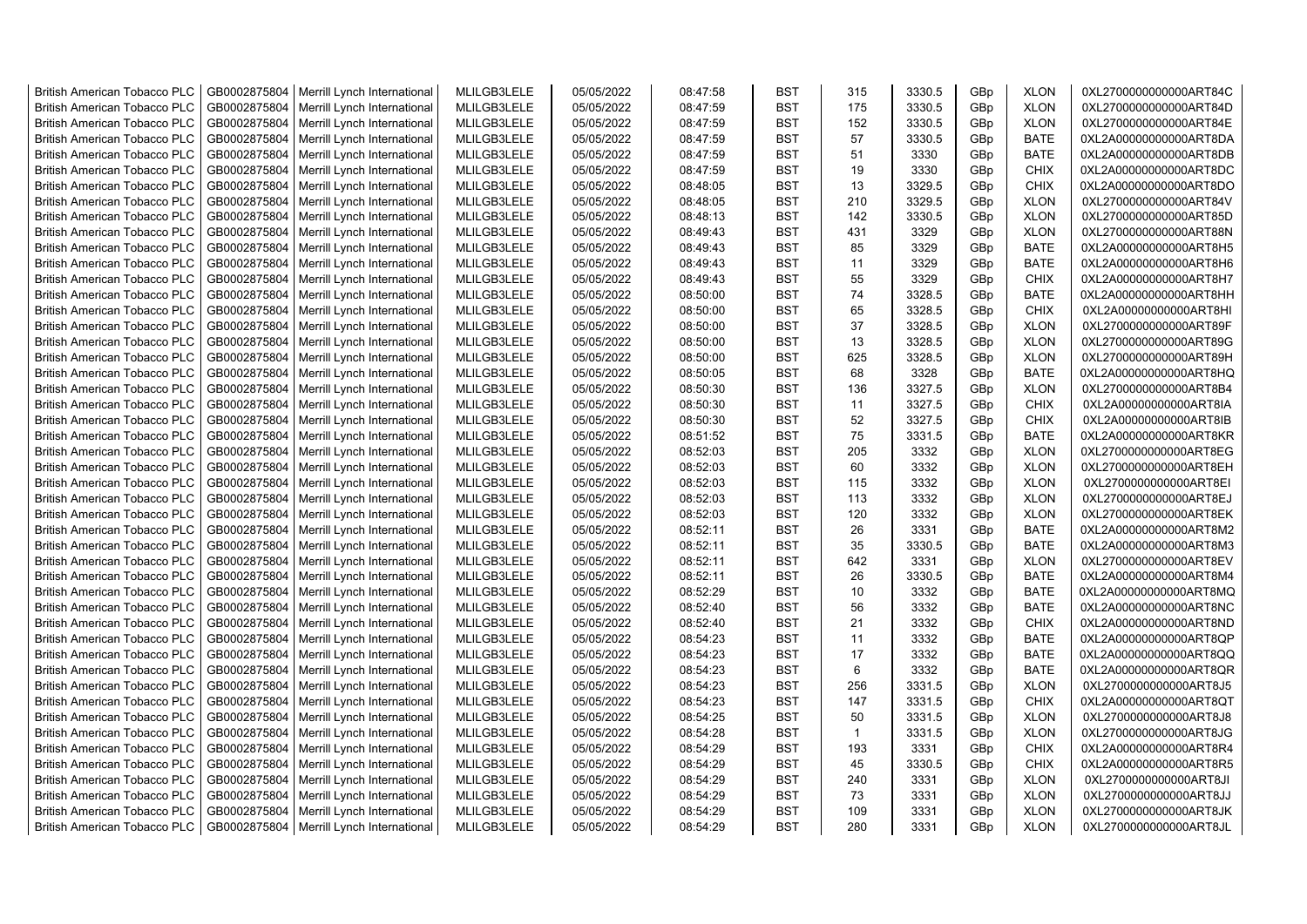| <b>British American Tobacco PLC</b> | GB0002875804 | Merrill Lynch International | MLILGB3LELE | 05/05/2022 | 08:47:58 | <b>BST</b> | 315          | 3330.5 | GBp | <b>XLON</b> | 0XL2700000000000ART84C |
|-------------------------------------|--------------|-----------------------------|-------------|------------|----------|------------|--------------|--------|-----|-------------|------------------------|
| <b>British American Tobacco PLC</b> | GB0002875804 | Merrill Lynch International | MLILGB3LELE | 05/05/2022 | 08:47:59 | <b>BST</b> | 175          | 3330.5 | GBp | <b>XLON</b> | 0XL2700000000000ART84D |
| <b>British American Tobacco PLC</b> | GB0002875804 | Merrill Lynch International | MLILGB3LELE | 05/05/2022 | 08:47:59 | <b>BST</b> | 152          | 3330.5 | GBp | <b>XLON</b> | 0XL2700000000000ART84E |
| <b>British American Tobacco PLC</b> | GB0002875804 | Merrill Lynch International | MLILGB3LELE | 05/05/2022 | 08:47:59 | <b>BST</b> | 57           | 3330.5 | GBp | <b>BATE</b> | 0XL2A00000000000ART8DA |
| <b>British American Tobacco PLC</b> | GB0002875804 | Merrill Lynch International | MLILGB3LELE | 05/05/2022 | 08:47:59 | <b>BST</b> | 51           | 3330   | GBp | <b>BATE</b> | 0XL2A00000000000ART8DB |
| <b>British American Tobacco PLC</b> | GB0002875804 | Merrill Lynch International | MLILGB3LELE | 05/05/2022 | 08:47:59 | <b>BST</b> | 19           | 3330   | GBp | <b>CHIX</b> | 0XL2A00000000000ART8DC |
| <b>British American Tobacco PLC</b> | GB0002875804 | Merrill Lynch International | MLILGB3LELE | 05/05/2022 | 08:48:05 | <b>BST</b> | 13           | 3329.5 | GBp | <b>CHIX</b> | 0XL2A00000000000ART8DO |
| <b>British American Tobacco PLC</b> | GB0002875804 | Merrill Lynch International | MLILGB3LELE | 05/05/2022 | 08:48:05 | <b>BST</b> | 210          | 3329.5 | GBp | <b>XLON</b> | 0XL2700000000000ART84V |
| <b>British American Tobacco PLC</b> | GB0002875804 | Merrill Lynch International | MLILGB3LELE | 05/05/2022 | 08:48:13 | <b>BST</b> | 142          | 3330.5 | GBp | <b>XLON</b> | 0XL2700000000000ART85D |
| <b>British American Tobacco PLC</b> | GB0002875804 | Merrill Lynch International | MLILGB3LELE | 05/05/2022 | 08:49:43 | <b>BST</b> | 431          | 3329   |     | <b>XLON</b> | 0XL2700000000000ART88N |
|                                     |              |                             |             |            |          |            |              |        | GBp |             |                        |
| <b>British American Tobacco PLC</b> | GB0002875804 | Merrill Lynch International | MLILGB3LELE | 05/05/2022 | 08:49:43 | <b>BST</b> | 85           | 3329   | GBp | <b>BATE</b> | 0XL2A00000000000ART8H5 |
| <b>British American Tobacco PLC</b> | GB0002875804 | Merrill Lynch International | MLILGB3LELE | 05/05/2022 | 08:49:43 | <b>BST</b> | 11           | 3329   | GBp | <b>BATE</b> | 0XL2A00000000000ART8H6 |
| <b>British American Tobacco PLC</b> | GB0002875804 | Merrill Lynch International | MLILGB3LELE | 05/05/2022 | 08:49:43 | <b>BST</b> | 55           | 3329   | GBp | <b>CHIX</b> | 0XL2A00000000000ART8H7 |
| <b>British American Tobacco PLC</b> | GB0002875804 | Merrill Lynch International | MLILGB3LELE | 05/05/2022 | 08:50:00 | <b>BST</b> | 74           | 3328.5 | GBp | <b>BATE</b> | 0XL2A00000000000ART8HH |
| <b>British American Tobacco PLC</b> | GB0002875804 | Merrill Lynch International | MLILGB3LELE | 05/05/2022 | 08:50:00 | <b>BST</b> | 65           | 3328.5 | GBp | <b>CHIX</b> | 0XL2A00000000000ART8HI |
| <b>British American Tobacco PLC</b> | GB0002875804 | Merrill Lynch International | MLILGB3LELE | 05/05/2022 | 08:50:00 | <b>BST</b> | 37           | 3328.5 | GBp | <b>XLON</b> | 0XL2700000000000ART89F |
| <b>British American Tobacco PLC</b> | GB0002875804 | Merrill Lynch International | MLILGB3LELE | 05/05/2022 | 08:50:00 | <b>BST</b> | 13           | 3328.5 | GBp | <b>XLON</b> | 0XL2700000000000ART89G |
| <b>British American Tobacco PLC</b> | GB0002875804 | Merrill Lynch International | MLILGB3LELE | 05/05/2022 | 08:50:00 | <b>BST</b> | 625          | 3328.5 | GBp | <b>XLON</b> | 0XL2700000000000ART89H |
| <b>British American Tobacco PLC</b> | GB0002875804 | Merrill Lynch International | MLILGB3LELE | 05/05/2022 | 08:50:05 | <b>BST</b> | 68           | 3328   | GBp | <b>BATE</b> | 0XL2A00000000000ART8HQ |
| <b>British American Tobacco PLC</b> | GB0002875804 | Merrill Lynch International | MLILGB3LELE | 05/05/2022 | 08:50:30 | BST        | 136          | 3327.5 | GBp | <b>XLON</b> | 0XL2700000000000ART8B4 |
| <b>British American Tobacco PLC</b> | GB0002875804 | Merrill Lynch International | MLILGB3LELE | 05/05/2022 | 08:50:30 | <b>BST</b> | 11           | 3327.5 | GBp | <b>CHIX</b> | 0XL2A00000000000ART8IA |
| <b>British American Tobacco PLC</b> | GB0002875804 | Merrill Lynch International | MLILGB3LELE | 05/05/2022 | 08:50:30 | <b>BST</b> | 52           | 3327.5 | GBp | <b>CHIX</b> | 0XL2A00000000000ART8IB |
| <b>British American Tobacco PLC</b> | GB0002875804 | Merrill Lynch International | MLILGB3LELE | 05/05/2022 | 08:51:52 | <b>BST</b> | 75           | 3331.5 | GBp | <b>BATE</b> | 0XL2A00000000000ART8KR |
| <b>British American Tobacco PLC</b> | GB0002875804 | Merrill Lynch International | MLILGB3LELE | 05/05/2022 | 08:52:03 | BST        | 205          | 3332   | GBp | <b>XLON</b> | 0XL2700000000000ART8EG |
| <b>British American Tobacco PLC</b> | GB0002875804 | Merrill Lynch International | MLILGB3LELE | 05/05/2022 | 08:52:03 | <b>BST</b> | 60           | 3332   | GBp | <b>XLON</b> | 0XL2700000000000ART8EH |
| British American Tobacco PLC        | GB0002875804 | Merrill Lynch International | MLILGB3LELE | 05/05/2022 | 08:52:03 | <b>BST</b> | 115          | 3332   | GBp | <b>XLON</b> | 0XL2700000000000ART8EI |
| <b>British American Tobacco PLC</b> | GB0002875804 | Merrill Lynch International | MLILGB3LELE | 05/05/2022 | 08:52:03 | <b>BST</b> | 113          | 3332   | GBp | <b>XLON</b> | 0XL2700000000000ART8EJ |
| British American Tobacco PLC        | GB0002875804 | Merrill Lynch International | MLILGB3LELE | 05/05/2022 | 08:52:03 | <b>BST</b> | 120          | 3332   | GBp | <b>XLON</b> | 0XL2700000000000ART8EK |
| <b>British American Tobacco PLC</b> | GB0002875804 | Merrill Lynch International | MLILGB3LELE | 05/05/2022 | 08:52:11 | <b>BST</b> | 26           | 3331   | GBp | <b>BATE</b> | 0XL2A00000000000ART8M2 |
| <b>British American Tobacco PLC</b> | GB0002875804 | Merrill Lynch International | MLILGB3LELE | 05/05/2022 | 08:52:11 | <b>BST</b> | 35           | 3330.5 | GBp | <b>BATE</b> | 0XL2A00000000000ART8M3 |
| <b>British American Tobacco PLC</b> | GB0002875804 | Merrill Lynch International | MLILGB3LELE | 05/05/2022 | 08:52:11 | <b>BST</b> | 642          | 3331   | GBp | <b>XLON</b> | 0XL2700000000000ART8EV |
| <b>British American Tobacco PLC</b> | GB0002875804 | Merrill Lynch International | MLILGB3LELE | 05/05/2022 | 08:52:11 | <b>BST</b> | 26           | 3330.5 | GBp | <b>BATE</b> | 0XL2A00000000000ART8M4 |
| <b>British American Tobacco PLC</b> | GB0002875804 | Merrill Lynch International | MLILGB3LELE | 05/05/2022 | 08:52:29 | <b>BST</b> | 10           | 3332   | GBp | <b>BATE</b> | 0XL2A00000000000ART8MQ |
| <b>British American Tobacco PLC</b> | GB0002875804 | Merrill Lynch International | MLILGB3LELE | 05/05/2022 | 08:52:40 | <b>BST</b> | 56           | 3332   | GBp | <b>BATE</b> | 0XL2A00000000000ART8NC |
| <b>British American Tobacco PLC</b> | GB0002875804 | Merrill Lynch International | MLILGB3LELE | 05/05/2022 | 08:52:40 | <b>BST</b> | 21           | 3332   | GBp | <b>CHIX</b> | 0XL2A00000000000ART8ND |
| <b>British American Tobacco PLC</b> | GB0002875804 | Merrill Lynch International | MLILGB3LELE | 05/05/2022 | 08:54:23 | <b>BST</b> | 11           | 3332   | GBp | <b>BATE</b> | 0XL2A00000000000ART8QP |
| <b>British American Tobacco PLC</b> | GB0002875804 | Merrill Lynch International | MLILGB3LELE | 05/05/2022 | 08:54:23 | <b>BST</b> | 17           | 3332   | GBp | <b>BATE</b> | 0XL2A00000000000ART8QQ |
| <b>British American Tobacco PLC</b> | GB0002875804 | Merrill Lynch International | MLILGB3LELE | 05/05/2022 | 08:54:23 | <b>BST</b> | 6            | 3332   | GBp | <b>BATE</b> | 0XL2A00000000000ART8QR |
| <b>British American Tobacco PLC</b> | GB0002875804 | Merrill Lynch International | MLILGB3LELE | 05/05/2022 | 08:54:23 | <b>BST</b> | 256          | 3331.5 | GBp | <b>XLON</b> | 0XL2700000000000ART8J5 |
| <b>British American Tobacco PLC</b> | GB0002875804 | Merrill Lynch International | MLILGB3LELE | 05/05/2022 | 08:54:23 | <b>BST</b> | 147          | 3331.5 | GBp | <b>CHIX</b> | 0XL2A00000000000ART8QT |
| <b>British American Tobacco PLC</b> | GB0002875804 | Merrill Lynch International | MLILGB3LELE | 05/05/2022 | 08:54:25 | <b>BST</b> | 50           | 3331.5 | GBp | <b>XLON</b> | 0XL2700000000000ART8J8 |
|                                     |              |                             |             |            | 08:54:28 | <b>BST</b> | $\mathbf{1}$ |        |     |             | 0XL2700000000000ART8JG |
| <b>British American Tobacco PLC</b> | GB0002875804 | Merrill Lynch International | MLILGB3LELE | 05/05/2022 |          |            |              | 3331.5 | GBp | <b>XLON</b> |                        |
| <b>British American Tobacco PLC</b> | GB0002875804 | Merrill Lynch International | MLILGB3LELE | 05/05/2022 | 08:54:29 | <b>BST</b> | 193          | 3331   | GBp | <b>CHIX</b> | 0XL2A00000000000ART8R4 |
| <b>British American Tobacco PLC</b> | GB0002875804 | Merrill Lynch International | MLILGB3LELE | 05/05/2022 | 08:54:29 | <b>BST</b> | 45           | 3330.5 | GBp | <b>CHIX</b> | 0XL2A00000000000ART8R5 |
| <b>British American Tobacco PLC</b> | GB0002875804 | Merrill Lynch International | MLILGB3LELE | 05/05/2022 | 08:54:29 | <b>BST</b> | 240          | 3331   | GBp | <b>XLON</b> | 0XL2700000000000ART8JI |
| <b>British American Tobacco PLC</b> | GB0002875804 | Merrill Lynch International | MLILGB3LELE | 05/05/2022 | 08:54:29 | <b>BST</b> | 73           | 3331   | GBp | <b>XLON</b> | 0XL2700000000000ART8JJ |
| <b>British American Tobacco PLC</b> | GB0002875804 | Merrill Lynch International | MLILGB3LELE | 05/05/2022 | 08:54:29 | <b>BST</b> | 109          | 3331   | GBp | <b>XLON</b> | 0XL2700000000000ART8JK |
| <b>British American Tobacco PLC</b> | GB0002875804 | Merrill Lynch International | MLILGB3LELE | 05/05/2022 | 08:54:29 | <b>BST</b> | 280          | 3331   | GBp | <b>XLON</b> | 0XL2700000000000ART8JL |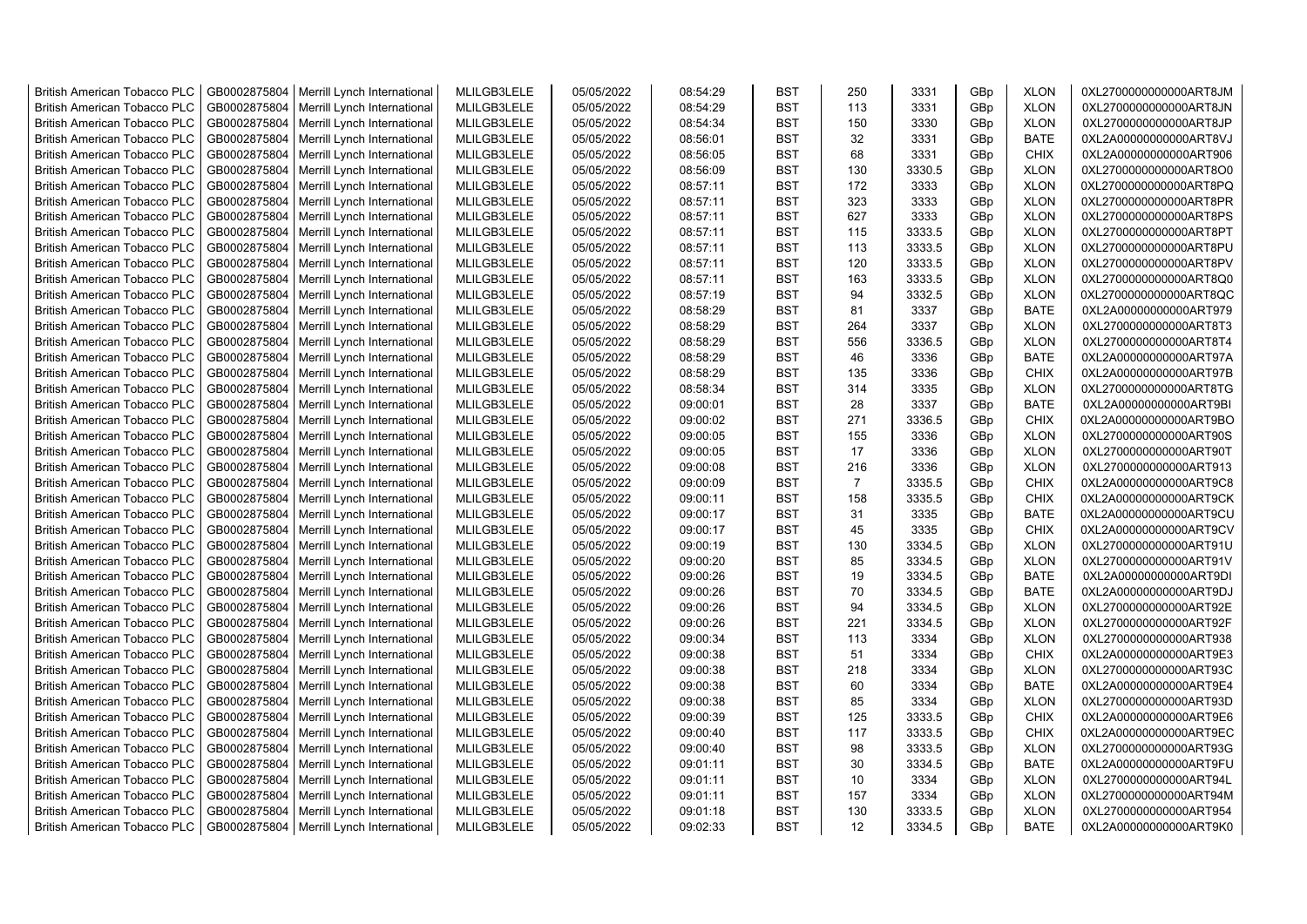| <b>British American Tobacco PLC</b> | GB0002875804 | Merrill Lynch International                | MLILGB3LELE | 05/05/2022 | 08:54:29 | <b>BST</b> | 250            | 3331   | GBp | <b>XLON</b> | 0XL2700000000000ART8JM |
|-------------------------------------|--------------|--------------------------------------------|-------------|------------|----------|------------|----------------|--------|-----|-------------|------------------------|
| <b>British American Tobacco PLC</b> | GB0002875804 | Merrill Lynch International                | MLILGB3LELE | 05/05/2022 | 08:54:29 | <b>BST</b> | 113            | 3331   | GBp | <b>XLON</b> | 0XL2700000000000ART8JN |
| <b>British American Tobacco PLC</b> | GB0002875804 | Merrill Lynch International                | MLILGB3LELE | 05/05/2022 | 08:54:34 | <b>BST</b> | 150            | 3330   | GBp | <b>XLON</b> | 0XL2700000000000ART8JP |
| <b>British American Tobacco PLC</b> | GB0002875804 | Merrill Lynch International                | MLILGB3LELE | 05/05/2022 | 08:56:01 | <b>BST</b> | 32             | 3331   | GBp | <b>BATE</b> | 0XL2A00000000000ART8VJ |
| <b>British American Tobacco PLC</b> | GB0002875804 | Merrill Lynch International                | MLILGB3LELE | 05/05/2022 | 08:56:05 | <b>BST</b> | 68             | 3331   | GBp | <b>CHIX</b> | 0XL2A00000000000ART906 |
| <b>British American Tobacco PLC</b> | GB0002875804 | Merrill Lynch International                | MLILGB3LELE | 05/05/2022 | 08:56:09 | <b>BST</b> | 130            | 3330.5 | GBp | <b>XLON</b> | 0XL2700000000000ART8O0 |
| <b>British American Tobacco PLC</b> | GB0002875804 | Merrill Lynch International                | MLILGB3LELE | 05/05/2022 | 08:57:11 | <b>BST</b> | 172            | 3333   | GBp | <b>XLON</b> | 0XL2700000000000ART8PQ |
| <b>British American Tobacco PLC</b> | GB0002875804 | Merrill Lynch International                | MLILGB3LELE | 05/05/2022 | 08:57:11 | <b>BST</b> | 323            | 3333   | GBp | <b>XLON</b> | 0XL2700000000000ART8PR |
| <b>British American Tobacco PLC</b> | GB0002875804 | Merrill Lynch International                | MLILGB3LELE | 05/05/2022 | 08:57:11 | <b>BST</b> | 627            | 3333   | GBp | <b>XLON</b> | 0XL2700000000000ART8PS |
| <b>British American Tobacco PLC</b> | GB0002875804 | Merrill Lynch International                | MLILGB3LELE | 05/05/2022 | 08:57:11 | <b>BST</b> | 115            | 3333.5 | GBp | <b>XLON</b> | 0XL2700000000000ART8PT |
| <b>British American Tobacco PLC</b> | GB0002875804 | Merrill Lynch International                | MLILGB3LELE | 05/05/2022 | 08:57:11 | <b>BST</b> | 113            | 3333.5 | GBp | <b>XLON</b> | 0XL2700000000000ART8PU |
| <b>British American Tobacco PLC</b> | GB0002875804 | Merrill Lynch International                | MLILGB3LELE | 05/05/2022 | 08:57:11 | <b>BST</b> | 120            | 3333.5 | GBp | <b>XLON</b> | 0XL2700000000000ART8PV |
| <b>British American Tobacco PLC</b> | GB0002875804 | Merrill Lynch International                | MLILGB3LELE | 05/05/2022 | 08:57:11 | <b>BST</b> | 163            | 3333.5 | GBp | <b>XLON</b> | 0XL2700000000000ART8Q0 |
| <b>British American Tobacco PLC</b> | GB0002875804 | Merrill Lynch International                | MLILGB3LELE | 05/05/2022 | 08:57:19 | <b>BST</b> | 94             | 3332.5 | GBp | <b>XLON</b> | 0XL2700000000000ART8QC |
| <b>British American Tobacco PLC</b> | GB0002875804 | Merrill Lynch International                | MLILGB3LELE | 05/05/2022 | 08:58:29 | <b>BST</b> | 81             | 3337   | GBp | <b>BATE</b> | 0XL2A00000000000ART979 |
| <b>British American Tobacco PLC</b> | GB0002875804 | Merrill Lynch International                | MLILGB3LELE | 05/05/2022 | 08:58:29 | <b>BST</b> | 264            | 3337   | GBp | <b>XLON</b> | 0XL2700000000000ART8T3 |
| <b>British American Tobacco PLC</b> | GB0002875804 | Merrill Lynch International                | MLILGB3LELE | 05/05/2022 | 08:58:29 | <b>BST</b> | 556            | 3336.5 | GBp | <b>XLON</b> | 0XL2700000000000ART8T4 |
| <b>British American Tobacco PLC</b> | GB0002875804 | Merrill Lynch International                | MLILGB3LELE | 05/05/2022 | 08:58:29 | <b>BST</b> | 46             | 3336   | GBp | <b>BATE</b> | 0XL2A00000000000ART97A |
| <b>British American Tobacco PLC</b> | GB0002875804 | Merrill Lynch International                | MLILGB3LELE | 05/05/2022 | 08:58:29 | <b>BST</b> | 135            | 3336   | GBp | <b>CHIX</b> | 0XL2A00000000000ART97B |
| <b>British American Tobacco PLC</b> | GB0002875804 | Merrill Lynch International                | MLILGB3LELE | 05/05/2022 | 08:58:34 | <b>BST</b> | 314            | 3335   | GBp | <b>XLON</b> | 0XL2700000000000ART8TG |
| <b>British American Tobacco PLC</b> | GB0002875804 | Merrill Lynch International                | MLILGB3LELE | 05/05/2022 | 09:00:01 | <b>BST</b> | 28             | 3337   | GBp | <b>BATE</b> | 0XL2A00000000000ART9BI |
| <b>British American Tobacco PLC</b> | GB0002875804 | Merrill Lynch International                | MLILGB3LELE | 05/05/2022 | 09:00:02 | <b>BST</b> | 271            | 3336.5 | GBp | <b>CHIX</b> | 0XL2A00000000000ART9BO |
| <b>British American Tobacco PLC</b> |              |                                            |             |            |          | <b>BST</b> |                |        |     |             |                        |
|                                     | GB0002875804 | Merrill Lynch International                | MLILGB3LELE | 05/05/2022 | 09:00:05 |            | 155            | 3336   | GBp | <b>XLON</b> | 0XL2700000000000ART90S |
| <b>British American Tobacco PLC</b> | GB0002875804 | Merrill Lynch International                | MLILGB3LELE | 05/05/2022 | 09:00:05 | <b>BST</b> | 17             | 3336   | GBp | <b>XLON</b> | 0XL2700000000000ART90T |
| <b>British American Tobacco PLC</b> | GB0002875804 | Merrill Lynch International                | MLILGB3LELE | 05/05/2022 | 09:00:08 | <b>BST</b> | 216            | 3336   | GBp | <b>XLON</b> | 0XL2700000000000ART913 |
| <b>British American Tobacco PLC</b> | GB0002875804 | Merrill Lynch International                | MLILGB3LELE | 05/05/2022 | 09:00:09 | <b>BST</b> | $\overline{7}$ | 3335.5 | GBp | CHIX        | 0XL2A00000000000ART9C8 |
| <b>British American Tobacco PLC</b> | GB0002875804 | Merrill Lynch International                | MLILGB3LELE | 05/05/2022 | 09:00:11 | <b>BST</b> | 158            | 3335.5 | GBp | <b>CHIX</b> | 0XL2A00000000000ART9CK |
| <b>British American Tobacco PLC</b> | GB0002875804 | Merrill Lynch International                | MLILGB3LELE | 05/05/2022 | 09:00:17 | <b>BST</b> | 31             | 3335   | GBp | <b>BATE</b> | 0XL2A00000000000ART9CU |
| <b>British American Tobacco PLC</b> | GB0002875804 | Merrill Lynch International                | MLILGB3LELE | 05/05/2022 | 09:00:17 | <b>BST</b> | 45             | 3335   | GBp | <b>CHIX</b> | 0XL2A00000000000ART9CV |
| <b>British American Tobacco PLC</b> | GB0002875804 | Merrill Lynch International                | MLILGB3LELE | 05/05/2022 | 09:00:19 | <b>BST</b> | 130            | 3334.5 | GBp | <b>XLON</b> | 0XL2700000000000ART91U |
| <b>British American Tobacco PLC</b> | GB0002875804 | Merrill Lynch International                | MLILGB3LELE | 05/05/2022 | 09:00:20 | <b>BST</b> | 85             | 3334.5 | GBp | <b>XLON</b> | 0XL2700000000000ART91V |
| <b>British American Tobacco PLC</b> | GB0002875804 | Merrill Lynch International                | MLILGB3LELE | 05/05/2022 | 09:00:26 | <b>BST</b> | 19             | 3334.5 | GBp | <b>BATE</b> | 0XL2A00000000000ART9DI |
| <b>British American Tobacco PLC</b> | GB0002875804 | Merrill Lynch International                | MLILGB3LELE | 05/05/2022 | 09:00:26 | <b>BST</b> | 70             | 3334.5 | GBp | <b>BATE</b> | 0XL2A00000000000ART9DJ |
| <b>British American Tobacco PLC</b> | GB0002875804 | Merrill Lynch International                | MLILGB3LELE | 05/05/2022 | 09:00:26 | <b>BST</b> | 94             | 3334.5 | GBp | <b>XLON</b> | 0XL2700000000000ART92E |
| <b>British American Tobacco PLC</b> | GB0002875804 | Merrill Lynch International                | MLILGB3LELE | 05/05/2022 | 09:00:26 | <b>BST</b> | 221            | 3334.5 | GBp | <b>XLON</b> | 0XL2700000000000ART92F |
| <b>British American Tobacco PLC</b> | GB0002875804 | Merrill Lynch International                | MLILGB3LELE | 05/05/2022 | 09:00:34 | <b>BST</b> | 113            | 3334   | GBp | <b>XLON</b> | 0XL2700000000000ART938 |
| <b>British American Tobacco PLC</b> | GB0002875804 | Merrill Lynch International                | MLILGB3LELE | 05/05/2022 | 09:00:38 | <b>BST</b> | 51             | 3334   | GBp | <b>CHIX</b> | 0XL2A00000000000ART9E3 |
| <b>British American Tobacco PLC</b> | GB0002875804 | Merrill Lynch International                | MLILGB3LELE | 05/05/2022 | 09:00:38 | <b>BST</b> | 218            | 3334   | GBp | <b>XLON</b> | 0XL2700000000000ART93C |
| <b>British American Tobacco PLC</b> | GB0002875804 | Merrill Lynch International                | MLILGB3LELE | 05/05/2022 | 09:00:38 | <b>BST</b> | 60             | 3334   | GBp | <b>BATE</b> | 0XL2A00000000000ART9E4 |
| <b>British American Tobacco PLC</b> | GB0002875804 | Merrill Lynch International                | MLILGB3LELE | 05/05/2022 | 09:00:38 | <b>BST</b> | 85             | 3334   | GBp | <b>XLON</b> | 0XL2700000000000ART93D |
| <b>British American Tobacco PLC</b> | GB0002875804 | Merrill Lynch International                | MLILGB3LELE | 05/05/2022 | 09:00:39 | <b>BST</b> | 125            | 3333.5 | GBp | <b>CHIX</b> | 0XL2A00000000000ART9E6 |
| <b>British American Tobacco PLC</b> | GB0002875804 | Merrill Lynch International                | MLILGB3LELE | 05/05/2022 | 09:00:40 | <b>BST</b> | 117            | 3333.5 | GBp | <b>CHIX</b> | 0XL2A00000000000ART9EC |
| <b>British American Tobacco PLC</b> | GB0002875804 | Merrill Lynch International                | MLILGB3LELE | 05/05/2022 | 09:00:40 | <b>BST</b> | 98             | 3333.5 | GBp | <b>XLON</b> | 0XL2700000000000ART93G |
| <b>British American Tobacco PLC</b> | GB0002875804 | Merrill Lynch International                | MLILGB3LELE | 05/05/2022 | 09:01:11 | <b>BST</b> | 30             | 3334.5 | GBp | <b>BATE</b> | 0XL2A00000000000ART9FU |
| <b>British American Tobacco PLC</b> | GB0002875804 | Merrill Lynch International                | MLILGB3LELE | 05/05/2022 | 09:01:11 | <b>BST</b> | 10             | 3334   | GBp | <b>XLON</b> | 0XL2700000000000ART94L |
| <b>British American Tobacco PLC</b> | GB0002875804 | Merrill Lynch International                | MLILGB3LELE | 05/05/2022 | 09:01:11 | <b>BST</b> | 157            | 3334   | GBp | <b>XLON</b> | 0XL2700000000000ART94M |
| <b>British American Tobacco PLC</b> | GB0002875804 | Merrill Lynch International                | MLILGB3LELE | 05/05/2022 | 09:01:18 | <b>BST</b> | 130            | 3333.5 | GBp | <b>XLON</b> | 0XL2700000000000ART954 |
| <b>British American Tobacco PLC</b> |              | GB0002875804   Merrill Lynch International | MLILGB3LELE | 05/05/2022 | 09:02:33 | <b>BST</b> | 12             | 3334.5 | GBp | <b>BATE</b> | 0XL2A00000000000ART9K0 |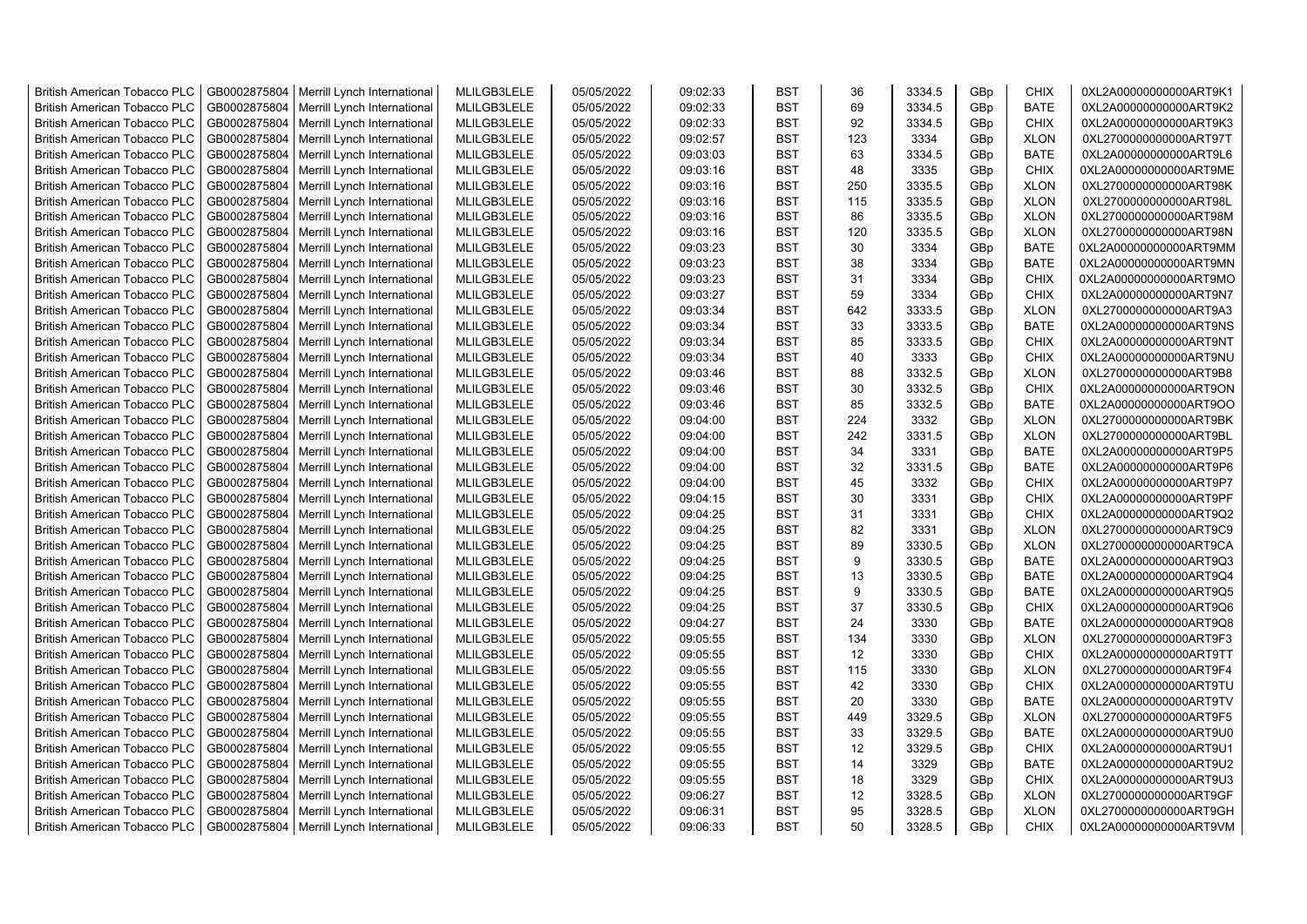| <b>British American Tobacco PLC</b> | GB0002875804 | Merrill Lynch International | MLILGB3LELE | 05/05/2022 | 09:02:33 | <b>BST</b> | 36  | 3334.5 | GBp             | <b>CHIX</b> | 0XL2A00000000000ART9K1 |
|-------------------------------------|--------------|-----------------------------|-------------|------------|----------|------------|-----|--------|-----------------|-------------|------------------------|
| <b>British American Tobacco PLC</b> | GB0002875804 | Merrill Lynch International | MLILGB3LELE | 05/05/2022 | 09:02:33 | <b>BST</b> | 69  | 3334.5 | GBp             | <b>BATE</b> | 0XL2A00000000000ART9K2 |
| <b>British American Tobacco PLC</b> | GB0002875804 | Merrill Lynch International | MLILGB3LELE | 05/05/2022 | 09:02:33 | <b>BST</b> | 92  | 3334.5 | GBp             | <b>CHIX</b> | 0XL2A00000000000ART9K3 |
| <b>British American Tobacco PLC</b> | GB0002875804 | Merrill Lynch International | MLILGB3LELE | 05/05/2022 | 09:02:57 | <b>BST</b> | 123 | 3334   | GBp             | <b>XLON</b> | 0XL2700000000000ART97T |
| <b>British American Tobacco PLC</b> | GB0002875804 | Merrill Lynch International | MLILGB3LELE | 05/05/2022 | 09:03:03 | <b>BST</b> | 63  | 3334.5 | GBp             | <b>BATE</b> | 0XL2A00000000000ART9L6 |
| <b>British American Tobacco PLC</b> | GB0002875804 | Merrill Lynch International | MLILGB3LELE | 05/05/2022 | 09:03:16 | <b>BST</b> | 48  | 3335   | GBp             | <b>CHIX</b> | 0XL2A00000000000ART9ME |
| British American Tobacco PLC        | GB0002875804 | Merrill Lynch International | MLILGB3LELE | 05/05/2022 | 09:03:16 | <b>BST</b> | 250 | 3335.5 | GBp             | <b>XLON</b> | 0XL2700000000000ART98K |
| <b>British American Tobacco PLC</b> | GB0002875804 | Merrill Lynch International | MLILGB3LELE | 05/05/2022 | 09:03:16 | <b>BST</b> | 115 | 3335.5 | GBp             | <b>XLON</b> | 0XL2700000000000ART98L |
| <b>British American Tobacco PLC</b> | GB0002875804 | Merrill Lynch International | MLILGB3LELE | 05/05/2022 | 09:03:16 | <b>BST</b> | 86  | 3335.5 | GBp             | <b>XLON</b> | 0XL2700000000000ART98M |
| <b>British American Tobacco PLC</b> | GB0002875804 | Merrill Lynch International | MLILGB3LELE | 05/05/2022 | 09:03:16 | <b>BST</b> | 120 | 3335.5 | GBp             | <b>XLON</b> | 0XL2700000000000ART98N |
| <b>British American Tobacco PLC</b> | GB0002875804 | Merrill Lynch International | MLILGB3LELE | 05/05/2022 | 09:03:23 | <b>BST</b> | 30  | 3334   | GBp             | <b>BATE</b> | 0XL2A00000000000ART9MM |
| <b>British American Tobacco PLC</b> | GB0002875804 | Merrill Lynch International | MLILGB3LELE | 05/05/2022 | 09:03:23 | <b>BST</b> | 38  | 3334   | GBp             | <b>BATE</b> | 0XL2A00000000000ART9MN |
| <b>British American Tobacco PLC</b> | GB0002875804 | Merrill Lynch International | MLILGB3LELE | 05/05/2022 | 09:03:23 | <b>BST</b> | 31  | 3334   | GBp             | <b>CHIX</b> | 0XL2A00000000000ART9MO |
| <b>British American Tobacco PLC</b> | GB0002875804 | Merrill Lynch International | MLILGB3LELE | 05/05/2022 | 09:03:27 | <b>BST</b> | 59  | 3334   | GBp             | <b>CHIX</b> | 0XL2A00000000000ART9N7 |
| <b>British American Tobacco PLC</b> | GB0002875804 | Merrill Lynch International | MLILGB3LELE | 05/05/2022 | 09:03:34 | <b>BST</b> | 642 | 3333.5 | GBp             | <b>XLON</b> | 0XL2700000000000ART9A3 |
| <b>British American Tobacco PLC</b> | GB0002875804 | Merrill Lynch International | MLILGB3LELE | 05/05/2022 | 09:03:34 | <b>BST</b> | 33  | 3333.5 | GBp             | <b>BATE</b> | 0XL2A00000000000ART9NS |
| British American Tobacco PLC        | GB0002875804 | Merrill Lynch International | MLILGB3LELE | 05/05/2022 | 09:03:34 | <b>BST</b> | 85  | 3333.5 | GBp             | <b>CHIX</b> | 0XL2A00000000000ART9NT |
| <b>British American Tobacco PLC</b> | GB0002875804 | Merrill Lynch International | MLILGB3LELE | 05/05/2022 | 09:03:34 | <b>BST</b> | 40  | 3333   | GBp             | <b>CHIX</b> | 0XL2A00000000000ART9NU |
| <b>British American Tobacco PLC</b> | GB0002875804 | Merrill Lynch International | MLILGB3LELE | 05/05/2022 | 09:03:46 | <b>BST</b> | 88  | 3332.5 | GBp             | <b>XLON</b> | 0XL2700000000000ART9B8 |
| <b>British American Tobacco PLC</b> | GB0002875804 | Merrill Lynch International | MLILGB3LELE | 05/05/2022 | 09:03:46 | <b>BST</b> | 30  | 3332.5 | GBp             | <b>CHIX</b> | 0XL2A00000000000ART9ON |
| <b>British American Tobacco PLC</b> | GB0002875804 | Merrill Lynch International | MLILGB3LELE | 05/05/2022 | 09:03:46 | <b>BST</b> | 85  | 3332.5 | GBp             | <b>BATE</b> | 0XL2A00000000000ART9OO |
| <b>British American Tobacco PLC</b> | GB0002875804 | Merrill Lynch International | MLILGB3LELE | 05/05/2022 | 09:04:00 | <b>BST</b> | 224 | 3332   | GBp             | <b>XLON</b> | 0XL2700000000000ART9BK |
| British American Tobacco PLC        | GB0002875804 | Merrill Lynch International | MLILGB3LELE | 05/05/2022 | 09:04:00 | <b>BST</b> | 242 | 3331.5 | GBp             | <b>XLON</b> | 0XL2700000000000ART9BL |
| <b>British American Tobacco PLC</b> | GB0002875804 | Merrill Lynch International | MLILGB3LELE | 05/05/2022 | 09:04:00 | <b>BST</b> | 34  | 3331   | GBp             | <b>BATE</b> | 0XL2A00000000000ART9P5 |
| <b>British American Tobacco PLC</b> | GB0002875804 | Merrill Lynch International | MLILGB3LELE | 05/05/2022 | 09:04:00 | <b>BST</b> | 32  | 3331.5 | GBp             | <b>BATE</b> | 0XL2A00000000000ART9P6 |
| <b>British American Tobacco PLC</b> | GB0002875804 | Merrill Lynch International | MLILGB3LELE | 05/05/2022 | 09:04:00 | <b>BST</b> | 45  | 3332   | GBp             | <b>CHIX</b> | 0XL2A00000000000ART9P7 |
| <b>British American Tobacco PLC</b> | GB0002875804 | Merrill Lynch International | MLILGB3LELE | 05/05/2022 | 09:04:15 | <b>BST</b> | 30  | 3331   | GBp             | <b>CHIX</b> | 0XL2A00000000000ART9PF |
| <b>British American Tobacco PLC</b> | GB0002875804 | Merrill Lynch International | MLILGB3LELE | 05/05/2022 | 09:04:25 | <b>BST</b> | 31  | 3331   | GBp             | <b>CHIX</b> | 0XL2A00000000000ART9Q2 |
| <b>British American Tobacco PLC</b> | GB0002875804 | Merrill Lynch International | MLILGB3LELE | 05/05/2022 | 09:04:25 | <b>BST</b> | 82  | 3331   | GBp             | <b>XLON</b> | 0XL2700000000000ART9C9 |
| <b>British American Tobacco PLC</b> | GB0002875804 | Merrill Lynch International | MLILGB3LELE | 05/05/2022 | 09:04:25 | <b>BST</b> | 89  | 3330.5 | GBp             | <b>XLON</b> | 0XL2700000000000ART9CA |
| <b>British American Tobacco PLC</b> | GB0002875804 | Merrill Lynch International | MLILGB3LELE | 05/05/2022 | 09:04:25 | <b>BST</b> | 9   | 3330.5 | GBp             | <b>BATE</b> | 0XL2A00000000000ART9Q3 |
| <b>British American Tobacco PLC</b> | GB0002875804 | Merrill Lynch International | MLILGB3LELE | 05/05/2022 | 09:04:25 | <b>BST</b> | 13  | 3330.5 | GBp             | <b>BATE</b> | 0XL2A00000000000ART9Q4 |
| <b>British American Tobacco PLC</b> | GB0002875804 | Merrill Lynch International | MLILGB3LELE | 05/05/2022 | 09:04:25 | <b>BST</b> | 9   | 3330.5 | GBp             | <b>BATE</b> | 0XL2A00000000000ART9Q5 |
| <b>British American Tobacco PLC</b> | GB0002875804 | Merrill Lynch International | MLILGB3LELE | 05/05/2022 | 09:04:25 | <b>BST</b> | 37  | 3330.5 | GBp             | <b>CHIX</b> | 0XL2A00000000000ART9Q6 |
| <b>British American Tobacco PLC</b> | GB0002875804 | Merrill Lynch International | MLILGB3LELE | 05/05/2022 | 09:04:27 | <b>BST</b> | 24  | 3330   | GBp             | <b>BATE</b> | 0XL2A00000000000ART9Q8 |
| British American Tobacco PLC        | GB0002875804 | Merrill Lynch International | MLILGB3LELE | 05/05/2022 | 09:05:55 | <b>BST</b> | 134 | 3330   | GBp             | <b>XLON</b> | 0XL2700000000000ART9F3 |
| <b>British American Tobacco PLC</b> | GB0002875804 | Merrill Lynch International | MLILGB3LELE | 05/05/2022 | 09:05:55 | <b>BST</b> | 12  | 3330   | GBp             | <b>CHIX</b> | 0XL2A00000000000ART9TT |
| <b>British American Tobacco PLC</b> | GB0002875804 | Merrill Lynch International | MLILGB3LELE | 05/05/2022 | 09:05:55 | <b>BST</b> | 115 | 3330   | GBp             | <b>XLON</b> | 0XL2700000000000ART9F4 |
| <b>British American Tobacco PLC</b> | GB0002875804 | Merrill Lynch International | MLILGB3LELE | 05/05/2022 | 09:05:55 | <b>BST</b> | 42  | 3330   | GBp             | <b>CHIX</b> | 0XL2A00000000000ART9TU |
| <b>British American Tobacco PLC</b> | GB0002875804 | Merrill Lynch International | MLILGB3LELE | 05/05/2022 | 09:05:55 | <b>BST</b> | 20  | 3330   | GBp             | <b>BATE</b> | 0XL2A00000000000ART9TV |
| <b>British American Tobacco PLC</b> | GB0002875804 | Merrill Lynch International | MLILGB3LELE | 05/05/2022 | 09:05:55 | <b>BST</b> | 449 | 3329.5 | GBp             | <b>XLON</b> | 0XL2700000000000ART9F5 |
| <b>British American Tobacco PLC</b> | GB0002875804 | Merrill Lynch International | MLILGB3LELE | 05/05/2022 | 09:05:55 | <b>BST</b> | 33  | 3329.5 | GBp             | <b>BATE</b> | 0XL2A00000000000ART9U0 |
| <b>British American Tobacco PLC</b> | GB0002875804 | Merrill Lynch International | MLILGB3LELE | 05/05/2022 | 09:05:55 | <b>BST</b> | 12  | 3329.5 | GBp             | <b>CHIX</b> | 0XL2A00000000000ART9U1 |
| <b>British American Tobacco PLC</b> | GB0002875804 | Merrill Lynch International | MLILGB3LELE | 05/05/2022 | 09:05:55 | <b>BST</b> | 14  | 3329   | GBp             | <b>BATE</b> | 0XL2A00000000000ART9U2 |
| <b>British American Tobacco PLC</b> | GB0002875804 | Merrill Lynch International | MLILGB3LELE | 05/05/2022 | 09:05:55 | <b>BST</b> | 18  | 3329   | GBp             | <b>CHIX</b> | 0XL2A00000000000ART9U3 |
| <b>British American Tobacco PLC</b> | GB0002875804 | Merrill Lynch International | MLILGB3LELE | 05/05/2022 | 09:06:27 | <b>BST</b> | 12  | 3328.5 | GBp             | <b>XLON</b> | 0XL2700000000000ART9GF |
| <b>British American Tobacco PLC</b> | GB0002875804 | Merrill Lynch International | MLILGB3LELE | 05/05/2022 | 09:06:31 | <b>BST</b> | 95  | 3328.5 | GBp             | <b>XLON</b> | 0XL2700000000000ART9GH |
| <b>British American Tobacco PLC</b> | GB0002875804 | Merrill Lynch International | MLILGB3LELE | 05/05/2022 | 09:06:33 | <b>BST</b> | 50  | 3328.5 | GB <sub>p</sub> | <b>CHIX</b> | 0XL2A00000000000ART9VM |
|                                     |              |                             |             |            |          |            |     |        |                 |             |                        |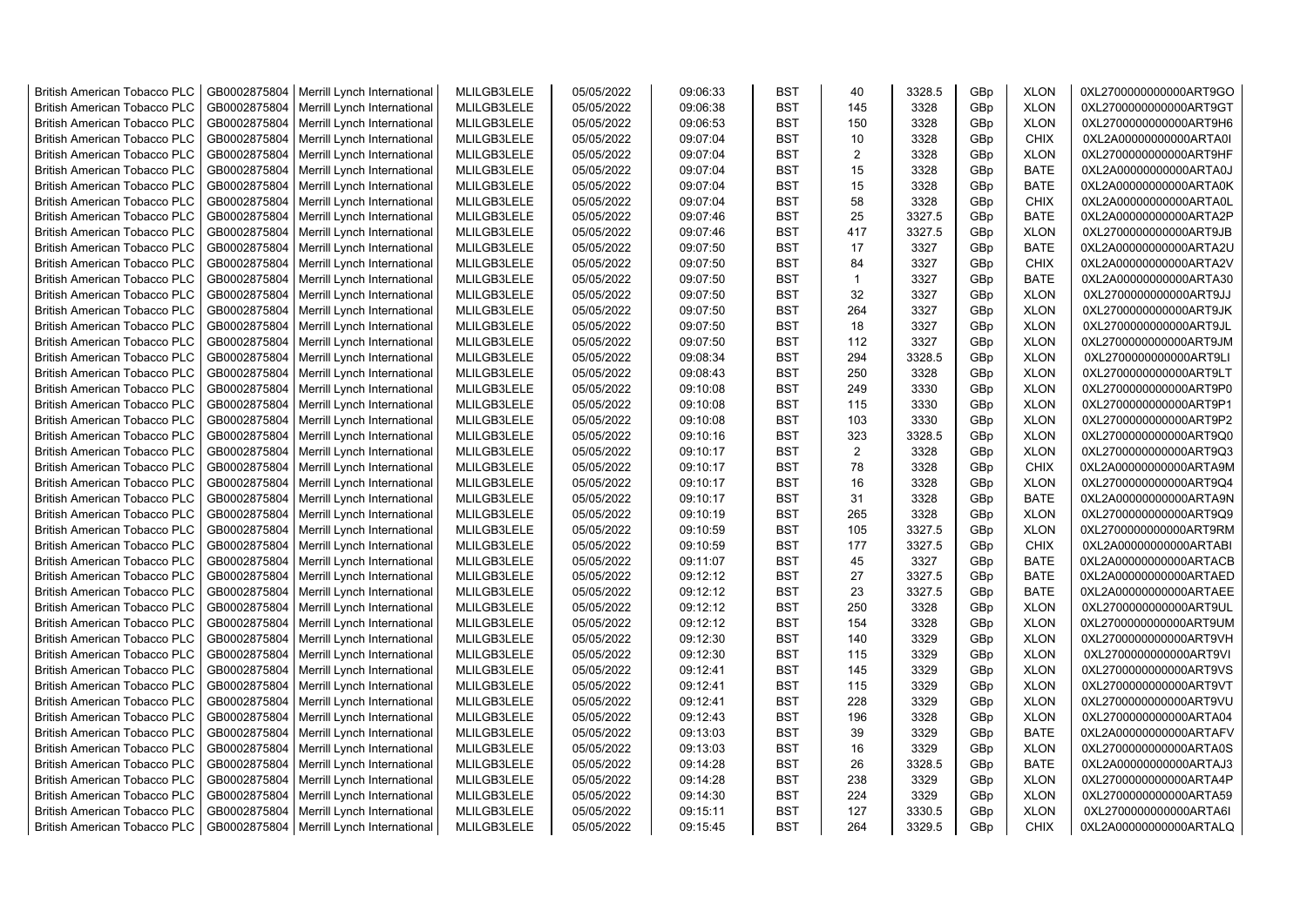| <b>British American Tobacco PLC</b> | GB0002875804 | Merrill Lynch International                                | MLILGB3LELE | 05/05/2022 | 09:06:33 | <b>BST</b> | 40           | 3328.5 | GBp             | <b>XLON</b> | 0XL2700000000000ART9GO |
|-------------------------------------|--------------|------------------------------------------------------------|-------------|------------|----------|------------|--------------|--------|-----------------|-------------|------------------------|
| <b>British American Tobacco PLC</b> | GB0002875804 | Merrill Lynch International                                | MLILGB3LELE | 05/05/2022 | 09:06:38 | <b>BST</b> | 145          | 3328   | GBp             | <b>XLON</b> | 0XL2700000000000ART9GT |
| <b>British American Tobacco PLC</b> | GB0002875804 | Merrill Lynch International                                | MLILGB3LELE | 05/05/2022 | 09:06:53 | <b>BST</b> | 150          | 3328   | GBp             | <b>XLON</b> | 0XL2700000000000ART9H6 |
| <b>British American Tobacco PLC</b> | GB0002875804 | Merrill Lynch International                                | MLILGB3LELE | 05/05/2022 | 09:07:04 | <b>BST</b> | 10           | 3328   | GBp             | <b>CHIX</b> | 0XL2A00000000000ARTA0I |
| <b>British American Tobacco PLC</b> | GB0002875804 | Merrill Lynch International                                | MLILGB3LELE | 05/05/2022 | 09:07:04 | <b>BST</b> | 2            | 3328   | GBp             | <b>XLON</b> | 0XL2700000000000ART9HF |
| <b>British American Tobacco PLC</b> | GB0002875804 | Merrill Lynch International                                | MLILGB3LELE | 05/05/2022 | 09:07:04 | <b>BST</b> | 15           | 3328   | GBp             | <b>BATE</b> | 0XL2A00000000000ARTA0J |
| British American Tobacco PLC        | GB0002875804 | Merrill Lynch International                                | MLILGB3LELE | 05/05/2022 | 09:07:04 | <b>BST</b> | 15           | 3328   | GBp             | <b>BATE</b> | 0XL2A00000000000ARTA0K |
| <b>British American Tobacco PLC</b> | GB0002875804 | Merrill Lynch International                                | MLILGB3LELE | 05/05/2022 | 09:07:04 | <b>BST</b> | 58           | 3328   | GBp             | <b>CHIX</b> | 0XL2A00000000000ARTA0L |
| <b>British American Tobacco PLC</b> | GB0002875804 | Merrill Lynch International                                | MLILGB3LELE | 05/05/2022 | 09:07:46 | <b>BST</b> | 25           | 3327.5 | GBp             | <b>BATE</b> | 0XL2A00000000000ARTA2P |
| <b>British American Tobacco PLC</b> | GB0002875804 | Merrill Lynch International                                | MLILGB3LELE | 05/05/2022 | 09:07:46 | <b>BST</b> | 417          | 3327.5 | GBp             | <b>XLON</b> | 0XL2700000000000ART9JB |
| <b>British American Tobacco PLC</b> | GB0002875804 | Merrill Lynch International                                | MLILGB3LELE | 05/05/2022 | 09:07:50 | <b>BST</b> | 17           | 3327   | GBp             | <b>BATE</b> | 0XL2A00000000000ARTA2U |
| <b>British American Tobacco PLC</b> | GB0002875804 | Merrill Lynch International                                | MLILGB3LELE | 05/05/2022 | 09:07:50 | <b>BST</b> | 84           | 3327   | GBp             | <b>CHIX</b> | 0XL2A00000000000ARTA2V |
| <b>British American Tobacco PLC</b> | GB0002875804 | Merrill Lynch International                                | MLILGB3LELE | 05/05/2022 | 09:07:50 | <b>BST</b> | $\mathbf{1}$ | 3327   | GBp             | <b>BATE</b> | 0XL2A00000000000ARTA30 |
| <b>British American Tobacco PLC</b> | GB0002875804 | Merrill Lynch International                                | MLILGB3LELE | 05/05/2022 | 09:07:50 | <b>BST</b> | 32           | 3327   | GBp             | <b>XLON</b> | 0XL2700000000000ART9JJ |
| <b>British American Tobacco PLC</b> | GB0002875804 | Merrill Lynch International                                | MLILGB3LELE | 05/05/2022 | 09:07:50 | <b>BST</b> | 264          | 3327   | GBp             | <b>XLON</b> | 0XL2700000000000ART9JK |
| British American Tobacco PLC        | GB0002875804 | Merrill Lynch International                                | MLILGB3LELE | 05/05/2022 | 09:07:50 | <b>BST</b> | 18           | 3327   | GBp             | <b>XLON</b> | 0XL2700000000000ART9JL |
| British American Tobacco PLC        | GB0002875804 | Merrill Lynch International                                | MLILGB3LELE | 05/05/2022 | 09:07:50 | <b>BST</b> | 112          | 3327   | GBp             | <b>XLON</b> | 0XL2700000000000ART9JM |
| <b>British American Tobacco PLC</b> | GB0002875804 | Merrill Lynch International                                | MLILGB3LELE | 05/05/2022 | 09:08:34 | <b>BST</b> | 294          | 3328.5 | GBp             | <b>XLON</b> | 0XL2700000000000ART9LI |
| <b>British American Tobacco PLC</b> | GB0002875804 | Merrill Lynch International                                | MLILGB3LELE | 05/05/2022 | 09:08:43 | <b>BST</b> | 250          | 3328   | GBp             | <b>XLON</b> | 0XL2700000000000ART9LT |
| <b>British American Tobacco PLC</b> | GB0002875804 | Merrill Lynch International                                | MLILGB3LELE | 05/05/2022 | 09:10:08 | <b>BST</b> | 249          | 3330   | GBp             | <b>XLON</b> | 0XL2700000000000ART9P0 |
| <b>British American Tobacco PLC</b> | GB0002875804 | Merrill Lynch International                                | MLILGB3LELE | 05/05/2022 | 09:10:08 | <b>BST</b> | 115          | 3330   | GBp             | <b>XLON</b> | 0XL2700000000000ART9P1 |
| <b>British American Tobacco PLC</b> | GB0002875804 | Merrill Lynch International                                | MLILGB3LELE | 05/05/2022 | 09:10:08 | <b>BST</b> | 103          | 3330   | GBp             | <b>XLON</b> | 0XL2700000000000ART9P2 |
| British American Tobacco PLC        | GB0002875804 | Merrill Lynch International                                | MLILGB3LELE | 05/05/2022 | 09:10:16 | <b>BST</b> | 323          | 3328.5 | GBp             | <b>XLON</b> | 0XL2700000000000ART9Q0 |
| <b>British American Tobacco PLC</b> | GB0002875804 | Merrill Lynch International                                | MLILGB3LELE | 05/05/2022 | 09:10:17 | <b>BST</b> | 2            | 3328   | GBp             | <b>XLON</b> | 0XL2700000000000ART9Q3 |
| <b>British American Tobacco PLC</b> | GB0002875804 | Merrill Lynch International                                | MLILGB3LELE | 05/05/2022 | 09:10:17 | <b>BST</b> | 78           | 3328   | GBp             | <b>CHIX</b> | 0XL2A00000000000ARTA9M |
| <b>British American Tobacco PLC</b> | GB0002875804 | Merrill Lynch International                                | MLILGB3LELE | 05/05/2022 | 09:10:17 | <b>BST</b> | 16           | 3328   | GBp             | <b>XLON</b> | 0XL2700000000000ART9Q4 |
| <b>British American Tobacco PLC</b> | GB0002875804 | Merrill Lynch International                                | MLILGB3LELE | 05/05/2022 | 09:10:17 | <b>BST</b> | 31           | 3328   | GBp             | <b>BATE</b> | 0XL2A00000000000ARTA9N |
| <b>British American Tobacco PLC</b> | GB0002875804 | Merrill Lynch International                                | MLILGB3LELE | 05/05/2022 | 09:10:19 | <b>BST</b> | 265          | 3328   | GBp             | <b>XLON</b> | 0XL2700000000000ART9Q9 |
| <b>British American Tobacco PLC</b> | GB0002875804 | Merrill Lynch International                                | MLILGB3LELE | 05/05/2022 | 09:10:59 | <b>BST</b> | 105          | 3327.5 | GBp             | <b>XLON</b> | 0XL2700000000000ART9RM |
| <b>British American Tobacco PLC</b> | GB0002875804 | Merrill Lynch International                                | MLILGB3LELE | 05/05/2022 | 09:10:59 | <b>BST</b> | 177          | 3327.5 | GBp             | <b>CHIX</b> | 0XL2A00000000000ARTABI |
| <b>British American Tobacco PLC</b> | GB0002875804 | Merrill Lynch International                                | MLILGB3LELE | 05/05/2022 | 09:11:07 | <b>BST</b> | 45           | 3327   | GBp             | <b>BATE</b> | 0XL2A00000000000ARTACB |
| <b>British American Tobacco PLC</b> | GB0002875804 | Merrill Lynch International                                | MLILGB3LELE | 05/05/2022 | 09:12:12 | <b>BST</b> | 27           | 3327.5 | GBp             | <b>BATE</b> | 0XL2A00000000000ARTAED |
| <b>British American Tobacco PLC</b> | GB0002875804 | Merrill Lynch International                                | MLILGB3LELE | 05/05/2022 | 09:12:12 | <b>BST</b> | 23           | 3327.5 | GBp             | <b>BATE</b> | 0XL2A00000000000ARTAEE |
| <b>British American Tobacco PLC</b> | GB0002875804 | Merrill Lynch International                                | MLILGB3LELE | 05/05/2022 | 09:12:12 | <b>BST</b> | 250          | 3328   | GBp             | <b>XLON</b> | 0XL2700000000000ART9UL |
| <b>British American Tobacco PLC</b> | GB0002875804 | Merrill Lynch International                                | MLILGB3LELE | 05/05/2022 | 09:12:12 | <b>BST</b> | 154          | 3328   | GBp             | <b>XLON</b> | 0XL2700000000000ART9UM |
| British American Tobacco PLC        | GB0002875804 | Merrill Lynch International                                | MLILGB3LELE | 05/05/2022 | 09:12:30 | <b>BST</b> | 140          | 3329   | GBp             | <b>XLON</b> | 0XL2700000000000ART9VH |
| <b>British American Tobacco PLC</b> | GB0002875804 | Merrill Lynch International                                | MLILGB3LELE | 05/05/2022 | 09:12:30 | <b>BST</b> | 115          | 3329   | GBp             | <b>XLON</b> | 0XL2700000000000ART9VI |
| <b>British American Tobacco PLC</b> | GB0002875804 | Merrill Lynch International                                | MLILGB3LELE | 05/05/2022 | 09:12:41 | <b>BST</b> | 145          | 3329   | GBp             | <b>XLON</b> | 0XL2700000000000ART9VS |
| <b>British American Tobacco PLC</b> | GB0002875804 | Merrill Lynch International                                | MLILGB3LELE | 05/05/2022 | 09:12:41 | <b>BST</b> | 115          | 3329   | GBp             | <b>XLON</b> | 0XL2700000000000ART9VT |
| <b>British American Tobacco PLC</b> | GB0002875804 | Merrill Lynch International                                | MLILGB3LELE | 05/05/2022 | 09:12:41 | <b>BST</b> | 228          | 3329   | GBp             | <b>XLON</b> | 0XL2700000000000ART9VU |
| <b>British American Tobacco PLC</b> | GB0002875804 | Merrill Lynch International                                | MLILGB3LELE | 05/05/2022 | 09:12:43 | <b>BST</b> | 196          | 3328   | GBp             | <b>XLON</b> | 0XL2700000000000ARTA04 |
| <b>British American Tobacco PLC</b> | GB0002875804 | Merrill Lynch International                                | MLILGB3LELE | 05/05/2022 | 09:13:03 | <b>BST</b> | 39           | 3329   | GBp             | <b>BATE</b> | 0XL2A00000000000ARTAFV |
| <b>British American Tobacco PLC</b> | GB0002875804 | Merrill Lynch International                                | MLILGB3LELE | 05/05/2022 | 09:13:03 | <b>BST</b> | 16           | 3329   | GBp             | <b>XLON</b> | 0XL2700000000000ARTA0S |
| <b>British American Tobacco PLC</b> | GB0002875804 | Merrill Lynch International                                | MLILGB3LELE | 05/05/2022 | 09:14:28 | <b>BST</b> | 26           | 3328.5 | GBp             | <b>BATE</b> | 0XL2A00000000000ARTAJ3 |
| <b>British American Tobacco PLC</b> | GB0002875804 | Merrill Lynch International                                | MLILGB3LELE | 05/05/2022 | 09:14:28 | <b>BST</b> | 238          | 3329   | GBp             | <b>XLON</b> | 0XL2700000000000ARTA4P |
| <b>British American Tobacco PLC</b> | GB0002875804 |                                                            | MLILGB3LELE | 05/05/2022 | 09:14:30 | <b>BST</b> | 224          | 3329   | GBp             | <b>XLON</b> | 0XL2700000000000ARTA59 |
| <b>British American Tobacco PLC</b> | GB0002875804 | Merrill Lynch International<br>Merrill Lynch International | MLILGB3LELE | 05/05/2022 | 09:15:11 | <b>BST</b> | 127          | 3330.5 | GBp             | <b>XLON</b> | 0XL2700000000000ARTA6I |
|                                     |              |                                                            |             |            | 09:15:45 | <b>BST</b> | 264          | 3329.5 | GB <sub>p</sub> | <b>CHIX</b> |                        |
| <b>British American Tobacco PLC</b> | GB0002875804 | Merrill Lynch International                                | MLILGB3LELE | 05/05/2022 |          |            |              |        |                 |             | 0XL2A00000000000ARTALQ |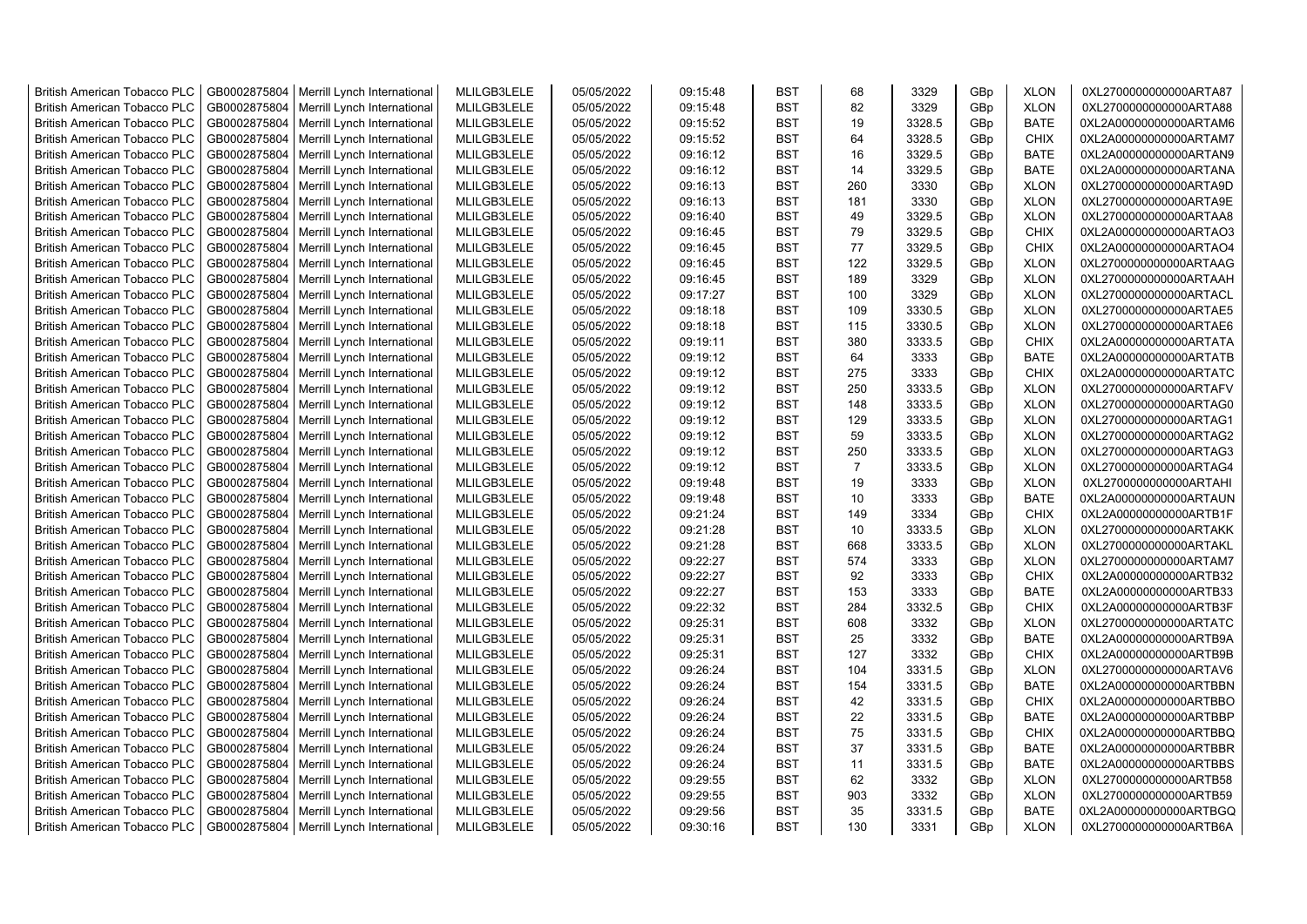| <b>British American Tobacco PLC</b> | GB0002875804 | Merrill Lynch International | MLILGB3LELE | 05/05/2022 | 09:15:48 | <b>BST</b> | 68             | 3329   | GBp | <b>XLON</b> | 0XL2700000000000ARTA87 |
|-------------------------------------|--------------|-----------------------------|-------------|------------|----------|------------|----------------|--------|-----|-------------|------------------------|
| <b>British American Tobacco PLC</b> | GB0002875804 | Merrill Lynch International | MLILGB3LELE | 05/05/2022 | 09:15:48 | <b>BST</b> | 82             | 3329   | GBp | <b>XLON</b> | 0XL2700000000000ARTA88 |
| <b>British American Tobacco PLC</b> | GB0002875804 | Merrill Lynch International | MLILGB3LELE | 05/05/2022 | 09:15:52 | <b>BST</b> | 19             | 3328.5 | GBp | <b>BATE</b> | 0XL2A00000000000ARTAM6 |
| <b>British American Tobacco PLC</b> | GB0002875804 | Merrill Lynch International | MLILGB3LELE | 05/05/2022 | 09:15:52 | <b>BST</b> | 64             | 3328.5 | GBp | <b>CHIX</b> | 0XL2A00000000000ARTAM7 |
| <b>British American Tobacco PLC</b> | GB0002875804 | Merrill Lynch International | MLILGB3LELE | 05/05/2022 | 09:16:12 | <b>BST</b> | 16             | 3329.5 | GBp | <b>BATE</b> | 0XL2A00000000000ARTAN9 |
| <b>British American Tobacco PLC</b> | GB0002875804 | Merrill Lynch International | MLILGB3LELE | 05/05/2022 | 09:16:12 | <b>BST</b> | 14             | 3329.5 | GBp | <b>BATE</b> | 0XL2A00000000000ARTANA |
| <b>British American Tobacco PLC</b> | GB0002875804 | Merrill Lynch International | MLILGB3LELE | 05/05/2022 | 09:16:13 | <b>BST</b> | 260            | 3330   | GBp | <b>XLON</b> | 0XL2700000000000ARTA9D |
| <b>British American Tobacco PLC</b> | GB0002875804 | Merrill Lynch International | MLILGB3LELE | 05/05/2022 | 09:16:13 | <b>BST</b> | 181            | 3330   | GBp | <b>XLON</b> | 0XL2700000000000ARTA9E |
| <b>British American Tobacco PLC</b> | GB0002875804 | Merrill Lynch International | MLILGB3LELE | 05/05/2022 | 09:16:40 | <b>BST</b> | 49             | 3329.5 | GBp | <b>XLON</b> | 0XL2700000000000ARTAA8 |
| <b>British American Tobacco PLC</b> | GB0002875804 | Merrill Lynch International | MLILGB3LELE | 05/05/2022 | 09:16:45 | <b>BST</b> | 79             | 3329.5 | GBp | <b>CHIX</b> | 0XL2A00000000000ARTAO3 |
| British American Tobacco PLC        | GB0002875804 | Merrill Lynch International | MLILGB3LELE | 05/05/2022 | 09:16:45 | <b>BST</b> | 77             | 3329.5 | GBp | <b>CHIX</b> | 0XL2A00000000000ARTAO4 |
| <b>British American Tobacco PLC</b> | GB0002875804 | Merrill Lynch International | MLILGB3LELE | 05/05/2022 | 09:16:45 | <b>BST</b> | 122            | 3329.5 | GBp | <b>XLON</b> | 0XL2700000000000ARTAAG |
| <b>British American Tobacco PLC</b> | GB0002875804 | Merrill Lynch International | MLILGB3LELE | 05/05/2022 | 09:16:45 | <b>BST</b> | 189            | 3329   | GBp | <b>XLON</b> | 0XL2700000000000ARTAAH |
| <b>British American Tobacco PLC</b> | GB0002875804 | Merrill Lynch International | MLILGB3LELE | 05/05/2022 | 09:17:27 | <b>BST</b> | 100            | 3329   | GBp | <b>XLON</b> | 0XL2700000000000ARTACL |
| <b>British American Tobacco PLC</b> | GB0002875804 | Merrill Lynch International | MLILGB3LELE | 05/05/2022 | 09:18:18 | <b>BST</b> | 109            | 3330.5 | GBp | <b>XLON</b> | 0XL2700000000000ARTAE5 |
| <b>British American Tobacco PLC</b> | GB0002875804 | Merrill Lynch International | MLILGB3LELE | 05/05/2022 | 09:18:18 | <b>BST</b> | 115            | 3330.5 | GBp | <b>XLON</b> | 0XL2700000000000ARTAE6 |
| <b>British American Tobacco PLC</b> | GB0002875804 | Merrill Lynch International | MLILGB3LELE | 05/05/2022 | 09:19:11 | <b>BST</b> | 380            | 3333.5 | GBp | <b>CHIX</b> | 0XL2A00000000000ARTATA |
| <b>British American Tobacco PLC</b> | GB0002875804 | Merrill Lynch International | MLILGB3LELE | 05/05/2022 | 09:19:12 | <b>BST</b> | 64             | 3333   | GBp | <b>BATE</b> | 0XL2A00000000000ARTATB |
| <b>British American Tobacco PLC</b> | GB0002875804 | Merrill Lynch International | MLILGB3LELE | 05/05/2022 | 09:19:12 | <b>BST</b> | 275            | 3333   | GBp | <b>CHIX</b> | 0XL2A00000000000ARTATC |
| <b>British American Tobacco PLC</b> | GB0002875804 | Merrill Lynch International | MLILGB3LELE | 05/05/2022 | 09:19:12 | <b>BST</b> | 250            | 3333.5 | GBp | <b>XLON</b> | 0XL2700000000000ARTAFV |
| <b>British American Tobacco PLC</b> | GB0002875804 | Merrill Lynch International | MLILGB3LELE | 05/05/2022 | 09:19:12 | <b>BST</b> | 148            | 3333.5 | GBp | <b>XLON</b> | 0XL2700000000000ARTAG0 |
| <b>British American Tobacco PLC</b> | GB0002875804 | Merrill Lynch International | MLILGB3LELE | 05/05/2022 | 09:19:12 | <b>BST</b> | 129            | 3333.5 | GBp | <b>XLON</b> | 0XL2700000000000ARTAG1 |
| <b>British American Tobacco PLC</b> | GB0002875804 | Merrill Lynch International | MLILGB3LELE | 05/05/2022 | 09:19:12 | <b>BST</b> | 59             | 3333.5 | GBp | <b>XLON</b> | 0XL2700000000000ARTAG2 |
| <b>British American Tobacco PLC</b> | GB0002875804 | Merrill Lynch International | MLILGB3LELE | 05/05/2022 | 09:19:12 | <b>BST</b> | 250            | 3333.5 | GBp | <b>XLON</b> | 0XL2700000000000ARTAG3 |
| <b>British American Tobacco PLC</b> | GB0002875804 | Merrill Lynch International | MLILGB3LELE | 05/05/2022 | 09:19:12 | <b>BST</b> | $\overline{7}$ | 3333.5 | GBp | <b>XLON</b> | 0XL2700000000000ARTAG4 |
| British American Tobacco PLC        | GB0002875804 | Merrill Lynch International | MLILGB3LELE | 05/05/2022 | 09:19:48 | <b>BST</b> | 19             | 3333   | GBp | <b>XLON</b> | 0XL2700000000000ARTAHI |
| British American Tobacco PLC        | GB0002875804 | Merrill Lynch International | MLILGB3LELE | 05/05/2022 | 09:19:48 | <b>BST</b> | 10             | 3333   | GBp | <b>BATE</b> | 0XL2A00000000000ARTAUN |
| British American Tobacco PLC        | GB0002875804 | Merrill Lynch International | MLILGB3LELE | 05/05/2022 | 09:21:24 | <b>BST</b> | 149            | 3334   | GBp | <b>CHIX</b> | 0XL2A00000000000ARTB1F |
| <b>British American Tobacco PLC</b> | GB0002875804 | Merrill Lynch International | MLILGB3LELE | 05/05/2022 | 09:21:28 | <b>BST</b> | 10             | 3333.5 | GBp | <b>XLON</b> | 0XL2700000000000ARTAKK |
| <b>British American Tobacco PLC</b> | GB0002875804 | Merrill Lynch International | MLILGB3LELE | 05/05/2022 | 09:21:28 | <b>BST</b> | 668            | 3333.5 | GBp | <b>XLON</b> | 0XL2700000000000ARTAKL |
| <b>British American Tobacco PLC</b> | GB0002875804 | Merrill Lynch International | MLILGB3LELE | 05/05/2022 | 09:22:27 | <b>BST</b> | 574            | 3333   | GBp | <b>XLON</b> | 0XL2700000000000ARTAM7 |
| <b>British American Tobacco PLC</b> | GB0002875804 | Merrill Lynch International | MLILGB3LELE | 05/05/2022 | 09:22:27 | <b>BST</b> | 92             | 3333   | GBp | <b>CHIX</b> | 0XL2A00000000000ARTB32 |
| <b>British American Tobacco PLC</b> | GB0002875804 | Merrill Lynch International | MLILGB3LELE | 05/05/2022 | 09:22:27 | <b>BST</b> | 153            | 3333   | GBp | <b>BATE</b> | 0XL2A00000000000ARTB33 |
| <b>British American Tobacco PLC</b> | GB0002875804 | Merrill Lynch International | MLILGB3LELE | 05/05/2022 | 09:22:32 | <b>BST</b> | 284            | 3332.5 | GBp | <b>CHIX</b> | 0XL2A00000000000ARTB3F |
| <b>British American Tobacco PLC</b> | GB0002875804 | Merrill Lynch International | MLILGB3LELE | 05/05/2022 | 09:25:31 | <b>BST</b> | 608            | 3332   | GBp | <b>XLON</b> | 0XL2700000000000ARTATC |
| <b>British American Tobacco PLC</b> | GB0002875804 | Merrill Lynch International | MLILGB3LELE | 05/05/2022 | 09:25:31 | <b>BST</b> | 25             | 3332   | GBp | <b>BATE</b> | 0XL2A00000000000ARTB9A |
| <b>British American Tobacco PLC</b> | GB0002875804 | Merrill Lynch International | MLILGB3LELE | 05/05/2022 | 09:25:31 | <b>BST</b> | 127            | 3332   | GBp | <b>CHIX</b> | 0XL2A00000000000ARTB9B |
| <b>British American Tobacco PLC</b> | GB0002875804 | Merrill Lynch International | MLILGB3LELE | 05/05/2022 | 09:26:24 | <b>BST</b> | 104            | 3331.5 | GBp | <b>XLON</b> | 0XL2700000000000ARTAV6 |
| <b>British American Tobacco PLC</b> | GB0002875804 | Merrill Lynch International | MLILGB3LELE | 05/05/2022 | 09:26:24 | <b>BST</b> | 154            | 3331.5 | GBp | <b>BATE</b> | 0XL2A00000000000ARTBBN |
| <b>British American Tobacco PLC</b> | GB0002875804 | Merrill Lynch International | MLILGB3LELE | 05/05/2022 | 09:26:24 | <b>BST</b> | 42             | 3331.5 | GBp | <b>CHIX</b> | 0XL2A00000000000ARTBBO |
| British American Tobacco PLC        | GB0002875804 | Merrill Lynch International | MLILGB3LELE | 05/05/2022 | 09:26:24 | <b>BST</b> | 22             | 3331.5 | GBp | <b>BATE</b> | 0XL2A00000000000ARTBBP |
| <b>British American Tobacco PLC</b> | GB0002875804 | Merrill Lynch International | MLILGB3LELE | 05/05/2022 | 09:26:24 | <b>BST</b> | 75             | 3331.5 | GBp | <b>CHIX</b> | 0XL2A00000000000ARTBBQ |
| British American Tobacco PLC        | GB0002875804 | Merrill Lynch International | MLILGB3LELE | 05/05/2022 | 09:26:24 | <b>BST</b> | 37             | 3331.5 | GBp | <b>BATE</b> | 0XL2A00000000000ARTBBR |
| British American Tobacco PLC        | GB0002875804 | Merrill Lynch International | MLILGB3LELE | 05/05/2022 | 09:26:24 | <b>BST</b> | 11             | 3331.5 | GBp | <b>BATE</b> | 0XL2A00000000000ARTBBS |
| <b>British American Tobacco PLC</b> | GB0002875804 | Merrill Lynch International | MLILGB3LELE | 05/05/2022 | 09:29:55 | <b>BST</b> | 62             | 3332   | GBp | <b>XLON</b> | 0XL2700000000000ARTB58 |
| <b>British American Tobacco PLC</b> | GB0002875804 | Merrill Lynch International | MLILGB3LELE | 05/05/2022 | 09:29:55 | <b>BST</b> | 903            | 3332   | GBp | <b>XLON</b> | 0XL2700000000000ARTB59 |
| <b>British American Tobacco PLC</b> | GB0002875804 | Merrill Lynch International | MLILGB3LELE | 05/05/2022 | 09:29:56 | <b>BST</b> | 35             | 3331.5 | GBp | <b>BATE</b> | 0XL2A00000000000ARTBGQ |
| <b>British American Tobacco PLC</b> | GB0002875804 | Merrill Lynch International | MLILGB3LELE | 05/05/2022 | 09:30:16 | <b>BST</b> | 130            | 3331   | GBp | <b>XLON</b> | 0XL2700000000000ARTB6A |
|                                     |              |                             |             |            |          |            |                |        |     |             |                        |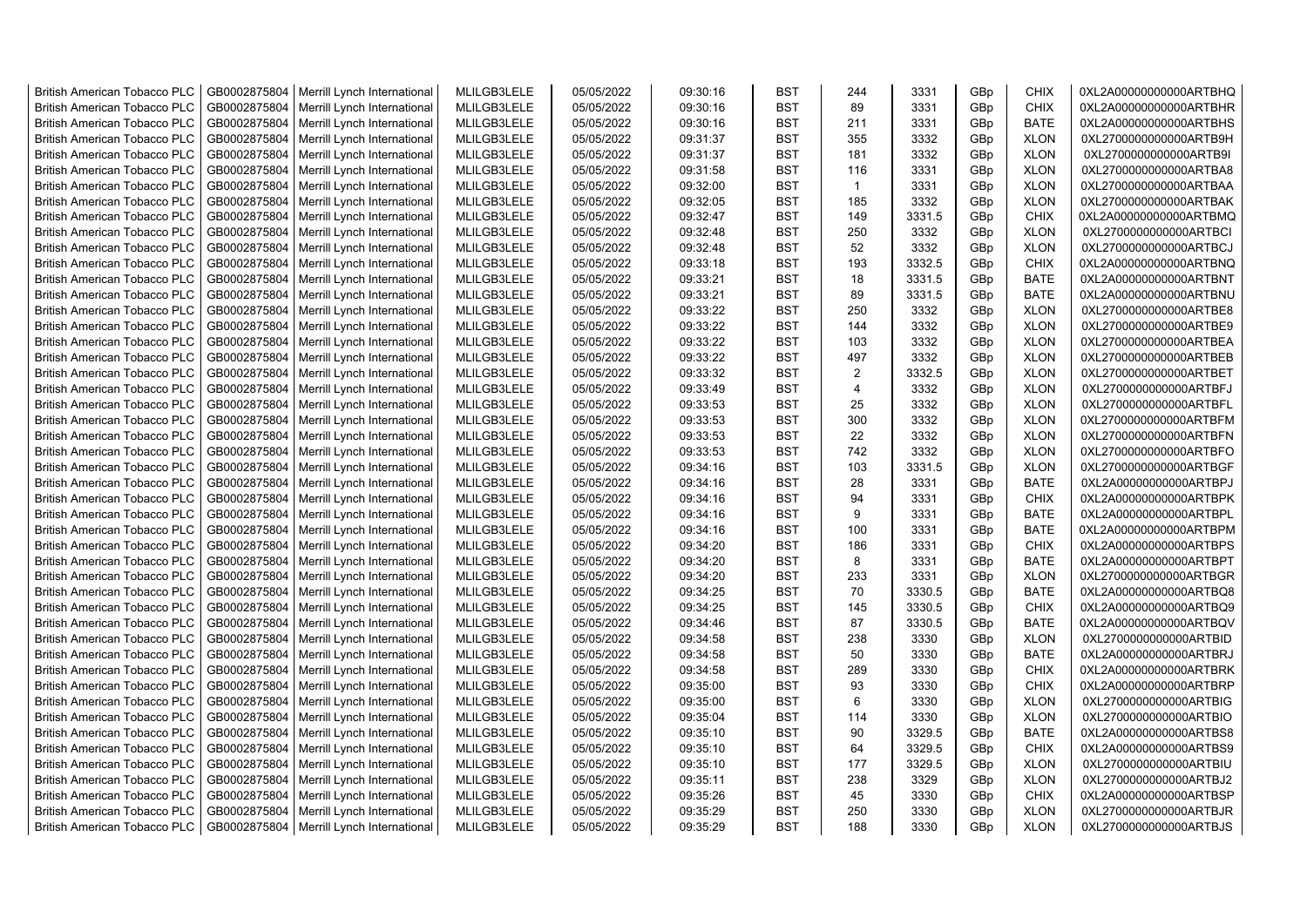| <b>British American Tobacco PLC</b> | GB0002875804 | Merrill Lynch International | MLILGB3LELE | 05/05/2022 | 09:30:16 | <b>BST</b> | 244            | 3331   | GBp             | <b>CHIX</b> | 0XL2A00000000000ARTBHQ |
|-------------------------------------|--------------|-----------------------------|-------------|------------|----------|------------|----------------|--------|-----------------|-------------|------------------------|
| <b>British American Tobacco PLC</b> | GB0002875804 | Merrill Lynch International | MLILGB3LELE | 05/05/2022 | 09:30:16 | <b>BST</b> | 89             | 3331   | GBp             | <b>CHIX</b> | 0XL2A00000000000ARTBHR |
| <b>British American Tobacco PLC</b> | GB0002875804 | Merrill Lynch International | MLILGB3LELE | 05/05/2022 | 09:30:16 | <b>BST</b> | 211            | 3331   | GBp             | <b>BATE</b> | 0XL2A00000000000ARTBHS |
| <b>British American Tobacco PLC</b> | GB0002875804 | Merrill Lynch International | MLILGB3LELE | 05/05/2022 | 09:31:37 | <b>BST</b> | 355            | 3332   | GBp             | <b>XLON</b> | 0XL2700000000000ARTB9H |
| <b>British American Tobacco PLC</b> | GB0002875804 | Merrill Lynch International | MLILGB3LELE | 05/05/2022 | 09:31:37 | <b>BST</b> | 181            | 3332   | GBp             | <b>XLON</b> | 0XL2700000000000ARTB9I |
| <b>British American Tobacco PLC</b> | GB0002875804 | Merrill Lynch International | MLILGB3LELE | 05/05/2022 | 09:31:58 | <b>BST</b> | 116            | 3331   | GBp             | <b>XLON</b> | 0XL2700000000000ARTBA8 |
| <b>British American Tobacco PLC</b> | GB0002875804 | Merrill Lynch International | MLILGB3LELE | 05/05/2022 | 09:32:00 | <b>BST</b> | $\mathbf{1}$   | 3331   | GBp             | <b>XLON</b> | 0XL2700000000000ARTBAA |
| <b>British American Tobacco PLC</b> | GB0002875804 | Merrill Lynch International | MLILGB3LELE | 05/05/2022 | 09:32:05 | <b>BST</b> | 185            | 3332   | GBp             | <b>XLON</b> | 0XL2700000000000ARTBAK |
| <b>British American Tobacco PLC</b> | GB0002875804 | Merrill Lynch International | MLILGB3LELE | 05/05/2022 | 09:32:47 | <b>BST</b> | 149            | 3331.5 | GBp             | <b>CHIX</b> | 0XL2A00000000000ARTBMQ |
| <b>British American Tobacco PLC</b> | GB0002875804 | Merrill Lynch International | MLILGB3LELE | 05/05/2022 | 09:32:48 | <b>BST</b> | 250            | 3332   | GBp             | <b>XLON</b> | 0XL2700000000000ARTBCI |
| <b>British American Tobacco PLC</b> | GB0002875804 | Merrill Lynch International | MLILGB3LELE | 05/05/2022 | 09:32:48 | <b>BST</b> | 52             | 3332   | GBp             | <b>XLON</b> | 0XL2700000000000ARTBCJ |
| <b>British American Tobacco PLC</b> | GB0002875804 | Merrill Lynch International | MLILGB3LELE | 05/05/2022 | 09:33:18 | <b>BST</b> | 193            | 3332.5 | GBp             | CHIX        | 0XL2A00000000000ARTBNQ |
| <b>British American Tobacco PLC</b> | GB0002875804 | Merrill Lynch International | MLILGB3LELE | 05/05/2022 | 09:33:21 | BST        | 18             | 3331.5 | GBp             | <b>BATE</b> | 0XL2A00000000000ARTBNT |
| <b>British American Tobacco PLC</b> | GB0002875804 | Merrill Lynch International | MLILGB3LELE | 05/05/2022 | 09:33:21 | <b>BST</b> | 89             | 3331.5 | GBp             | <b>BATE</b> | 0XL2A00000000000ARTBNU |
| <b>British American Tobacco PLC</b> | GB0002875804 | Merrill Lynch International | MLILGB3LELE | 05/05/2022 | 09:33:22 | <b>BST</b> | 250            | 3332   | GBp             | <b>XLON</b> | 0XL2700000000000ARTBE8 |
| <b>British American Tobacco PLC</b> | GB0002875804 | Merrill Lynch International | MLILGB3LELE | 05/05/2022 | 09:33:22 | <b>BST</b> | 144            | 3332   | GBp             | <b>XLON</b> | 0XL2700000000000ARTBE9 |
| British American Tobacco PLC        | GB0002875804 | Merrill Lynch International | MLILGB3LELE | 05/05/2022 | 09:33:22 | <b>BST</b> | 103            | 3332   | GBp             | <b>XLON</b> | 0XL2700000000000ARTBEA |
| <b>British American Tobacco PLC</b> | GB0002875804 | Merrill Lynch International | MLILGB3LELE | 05/05/2022 | 09:33:22 | <b>BST</b> | 497            | 3332   | GBp             | <b>XLON</b> | 0XL2700000000000ARTBEB |
| <b>British American Tobacco PLC</b> | GB0002875804 | Merrill Lynch International | MLILGB3LELE | 05/05/2022 | 09:33:32 | <b>BST</b> | $\overline{2}$ | 3332.5 | GBp             | <b>XLON</b> | 0XL2700000000000ARTBET |
| <b>British American Tobacco PLC</b> | GB0002875804 | Merrill Lynch International | MLILGB3LELE | 05/05/2022 | 09:33:49 | <b>BST</b> | 4              | 3332   | GBp             | <b>XLON</b> | 0XL2700000000000ARTBFJ |
| <b>British American Tobacco PLC</b> | GB0002875804 | Merrill Lynch International | MLILGB3LELE | 05/05/2022 | 09:33:53 | <b>BST</b> | 25             | 3332   | GBp             | <b>XLON</b> | 0XL2700000000000ARTBFL |
| <b>British American Tobacco PLC</b> | GB0002875804 | Merrill Lynch International | MLILGB3LELE | 05/05/2022 | 09:33:53 | <b>BST</b> | 300            | 3332   | GBp             | <b>XLON</b> | 0XL2700000000000ARTBFM |
| <b>British American Tobacco PLC</b> | GB0002875804 | Merrill Lynch International | MLILGB3LELE | 05/05/2022 | 09:33:53 | <b>BST</b> | 22             | 3332   | GBp             | <b>XLON</b> | 0XL2700000000000ARTBFN |
| <b>British American Tobacco PLC</b> | GB0002875804 | Merrill Lynch International | MLILGB3LELE | 05/05/2022 | 09:33:53 | <b>BST</b> | 742            | 3332   | GBp             | <b>XLON</b> | 0XL2700000000000ARTBFO |
| <b>British American Tobacco PLC</b> | GB0002875804 | Merrill Lynch International | MLILGB3LELE | 05/05/2022 | 09:34:16 | <b>BST</b> | 103            | 3331.5 | GBp             | <b>XLON</b> | 0XL2700000000000ARTBGF |
| <b>British American Tobacco PLC</b> | GB0002875804 | Merrill Lynch International | MLILGB3LELE | 05/05/2022 | 09:34:16 | <b>BST</b> | 28             | 3331   | GBp             | <b>BATE</b> | 0XL2A00000000000ARTBPJ |
| <b>British American Tobacco PLC</b> | GB0002875804 | Merrill Lynch International | MLILGB3LELE | 05/05/2022 | 09:34:16 | <b>BST</b> | 94             | 3331   | GBp             | <b>CHIX</b> | 0XL2A00000000000ARTBPK |
| <b>British American Tobacco PLC</b> | GB0002875804 | Merrill Lynch International | MLILGB3LELE | 05/05/2022 | 09:34:16 | <b>BST</b> | 9              | 3331   | GBp             | <b>BATE</b> | 0XL2A00000000000ARTBPL |
| <b>British American Tobacco PLC</b> | GB0002875804 | Merrill Lynch International | MLILGB3LELE | 05/05/2022 | 09:34:16 | <b>BST</b> | 100            | 3331   | GBp             | <b>BATE</b> | 0XL2A00000000000ARTBPM |
| <b>British American Tobacco PLC</b> | GB0002875804 | Merrill Lynch International | MLILGB3LELE | 05/05/2022 | 09:34:20 | <b>BST</b> | 186            | 3331   | GBp             | <b>CHIX</b> | 0XL2A00000000000ARTBPS |
| <b>British American Tobacco PLC</b> | GB0002875804 | Merrill Lynch International | MLILGB3LELE | 05/05/2022 | 09:34:20 | <b>BST</b> | 8              | 3331   | GBp             | <b>BATE</b> | 0XL2A00000000000ARTBPT |
| <b>British American Tobacco PLC</b> | GB0002875804 | Merrill Lynch International | MLILGB3LELE | 05/05/2022 | 09:34:20 | <b>BST</b> | 233            | 3331   | GBp             | <b>XLON</b> | 0XL2700000000000ARTBGR |
| <b>British American Tobacco PLC</b> | GB0002875804 | Merrill Lynch International | MLILGB3LELE | 05/05/2022 | 09:34:25 | <b>BST</b> | 70             | 3330.5 | GBp             | <b>BATE</b> | 0XL2A00000000000ARTBQ8 |
| <b>British American Tobacco PLC</b> | GB0002875804 | Merrill Lynch International | MLILGB3LELE | 05/05/2022 | 09:34:25 | BST        | 145            | 3330.5 | GBp             | <b>CHIX</b> | 0XL2A00000000000ARTBQ9 |
| <b>British American Tobacco PLC</b> | GB0002875804 | Merrill Lynch International | MLILGB3LELE | 05/05/2022 | 09:34:46 | <b>BST</b> | 87             | 3330.5 | GBp             | <b>BATE</b> | 0XL2A00000000000ARTBQV |
| British American Tobacco PLC        | GB0002875804 | Merrill Lynch International | MLILGB3LELE | 05/05/2022 | 09:34:58 | <b>BST</b> | 238            | 3330   | GBp             | <b>XLON</b> | 0XL2700000000000ARTBID |
| British American Tobacco PLC        | GB0002875804 | Merrill Lynch International | MLILGB3LELE | 05/05/2022 | 09:34:58 | <b>BST</b> | 50             | 3330   | GBp             | <b>BATE</b> | 0XL2A00000000000ARTBRJ |
| British American Tobacco PLC        | GB0002875804 | Merrill Lynch International | MLILGB3LELE | 05/05/2022 | 09:34:58 | <b>BST</b> | 289            | 3330   | GBp             | <b>CHIX</b> | 0XL2A00000000000ARTBRK |
| <b>British American Tobacco PLC</b> | GB0002875804 | Merrill Lynch International | MLILGB3LELE | 05/05/2022 | 09:35:00 | <b>BST</b> | 93             | 3330   | GBp             | <b>CHIX</b> | 0XL2A00000000000ARTBRP |
| <b>British American Tobacco PLC</b> | GB0002875804 | Merrill Lynch International | MLILGB3LELE | 05/05/2022 | 09:35:00 | <b>BST</b> | 6              | 3330   | GBp             | <b>XLON</b> | 0XL2700000000000ARTBIG |
| <b>British American Tobacco PLC</b> | GB0002875804 | Merrill Lynch International | MLILGB3LELE | 05/05/2022 | 09:35:04 | <b>BST</b> | 114            | 3330   | GBp             | <b>XLON</b> | 0XL2700000000000ARTBIO |
| <b>British American Tobacco PLC</b> | GB0002875804 | Merrill Lynch International | MLILGB3LELE | 05/05/2022 | 09:35:10 | <b>BST</b> | 90             | 3329.5 | GBp             | <b>BATE</b> | 0XL2A00000000000ARTBS8 |
| <b>British American Tobacco PLC</b> | GB0002875804 | Merrill Lynch International | MLILGB3LELE | 05/05/2022 | 09:35:10 | <b>BST</b> | 64             | 3329.5 | GBp             | <b>CHIX</b> | 0XL2A00000000000ARTBS9 |
| <b>British American Tobacco PLC</b> | GB0002875804 | Merrill Lynch International | MLILGB3LELE | 05/05/2022 | 09:35:10 | <b>BST</b> | 177            | 3329.5 | GBp             | <b>XLON</b> | 0XL2700000000000ARTBIU |
| <b>British American Tobacco PLC</b> | GB0002875804 | Merrill Lynch International | MLILGB3LELE | 05/05/2022 | 09:35:11 | <b>BST</b> | 238            | 3329   | GBp             | <b>XLON</b> | 0XL2700000000000ARTBJ2 |
| <b>British American Tobacco PLC</b> | GB0002875804 | Merrill Lynch International | MLILGB3LELE | 05/05/2022 | 09:35:26 | <b>BST</b> | 45             | 3330   | GBp             | <b>CHIX</b> | 0XL2A00000000000ARTBSP |
| <b>British American Tobacco PLC</b> | GB0002875804 | Merrill Lynch International | MLILGB3LELE | 05/05/2022 | 09:35:29 | <b>BST</b> | 250            | 3330   | GBp             | <b>XLON</b> | 0XL2700000000000ARTBJR |
| <b>British American Tobacco PLC</b> | GB0002875804 | Merrill Lynch International | MLILGB3LELE | 05/05/2022 | 09:35:29 | <b>BST</b> | 188            | 3330   | GB <sub>p</sub> | <b>XLON</b> | 0XL2700000000000ARTBJS |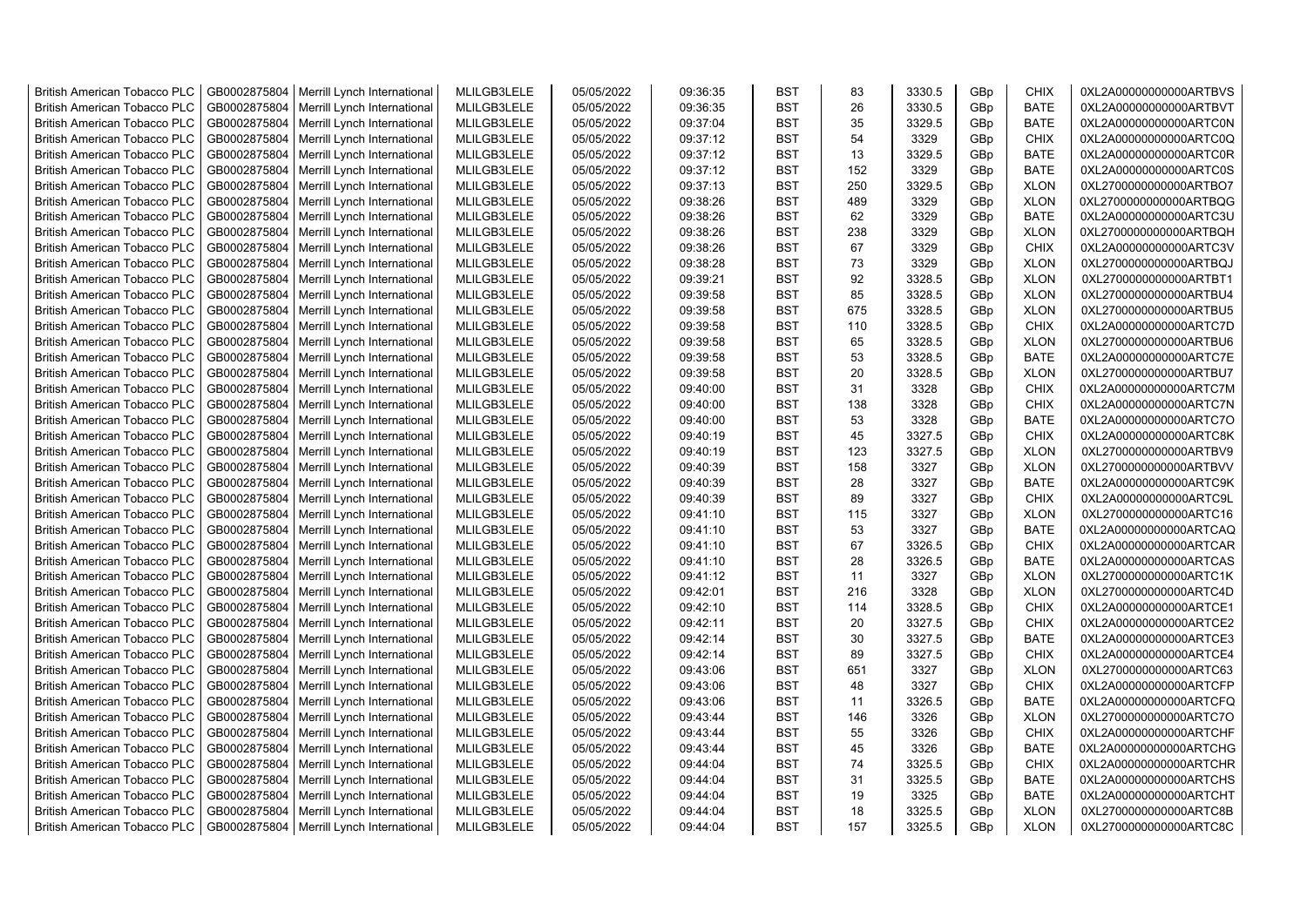| <b>British American Tobacco PLC</b>                                        | GB0002875804                 | Merrill Lynch International | MLILGB3LELE                | 05/05/2022               | 09:36:35 | <b>BST</b>               | 83       | 3330.5         | GBp             | <b>CHIX</b>                | 0XL2A00000000000ARTBVS                           |
|----------------------------------------------------------------------------|------------------------------|-----------------------------|----------------------------|--------------------------|----------|--------------------------|----------|----------------|-----------------|----------------------------|--------------------------------------------------|
| <b>British American Tobacco PLC</b>                                        | GB0002875804                 | Merrill Lynch International | MLILGB3LELE                | 05/05/2022               | 09:36:35 | <b>BST</b>               | 26       | 3330.5         | GBp             | <b>BATE</b>                | 0XL2A00000000000ARTBVT                           |
| <b>British American Tobacco PLC</b>                                        | GB0002875804                 | Merrill Lynch International | MLILGB3LELE                | 05/05/2022               | 09:37:04 | <b>BST</b>               | 35       | 3329.5         | GBp             | <b>BATE</b>                | 0XL2A00000000000ARTC0N                           |
| <b>British American Tobacco PLC</b>                                        | GB0002875804                 | Merrill Lynch International | MLILGB3LELE                | 05/05/2022               | 09:37:12 | <b>BST</b>               | 54       | 3329           | GBp             | <b>CHIX</b>                | 0XL2A00000000000ARTC0Q                           |
| <b>British American Tobacco PLC</b>                                        | GB0002875804                 | Merrill Lynch International | MLILGB3LELE                | 05/05/2022               | 09:37:12 | <b>BST</b>               | 13       | 3329.5         | GB <sub>p</sub> | <b>BATE</b>                | 0XL2A00000000000ARTC0R                           |
| <b>British American Tobacco PLC</b>                                        | GB0002875804                 | Merrill Lynch International | MLILGB3LELE                | 05/05/2022               | 09:37:12 | <b>BST</b>               | 152      | 3329           | GBp             | <b>BATE</b>                | 0XL2A00000000000ARTC0S                           |
| <b>British American Tobacco PLC</b>                                        | GB0002875804                 | Merrill Lynch International | MLILGB3LELE                | 05/05/2022               | 09:37:13 | <b>BST</b>               | 250      | 3329.5         | GBp             | <b>XLON</b>                | 0XL2700000000000ARTBO7                           |
| <b>British American Tobacco PLC</b>                                        | GB0002875804                 | Merrill Lynch International | MLILGB3LELE                | 05/05/2022               | 09:38:26 | <b>BST</b>               | 489      | 3329           | GBp             | <b>XLON</b>                | 0XL2700000000000ARTBQG                           |
| <b>British American Tobacco PLC</b>                                        | GB0002875804                 | Merrill Lynch International | MLILGB3LELE                | 05/05/2022               | 09:38:26 | <b>BST</b>               | 62       | 3329           | GBp             | <b>BATE</b>                | 0XL2A00000000000ARTC3U                           |
| <b>British American Tobacco PLC</b>                                        | GB0002875804                 | Merrill Lynch International | MLILGB3LELE                | 05/05/2022               | 09:38:26 | <b>BST</b>               | 238      | 3329           | GBp             | <b>XLON</b>                | 0XL2700000000000ARTBQH                           |
| <b>British American Tobacco PLC</b>                                        | GB0002875804                 | Merrill Lynch International | MLILGB3LELE                | 05/05/2022               | 09:38:26 | <b>BST</b>               | 67       | 3329           | GBp             | <b>CHIX</b>                | 0XL2A00000000000ARTC3V                           |
| <b>British American Tobacco PLC</b>                                        | GB0002875804                 | Merrill Lynch International | MLILGB3LELE                | 05/05/2022               | 09:38:28 | <b>BST</b>               | 73       | 3329           | GBp             | <b>XLON</b>                | 0XL2700000000000ARTBQJ                           |
| <b>British American Tobacco PLC</b>                                        | GB0002875804                 | Merrill Lynch International | MLILGB3LELE                | 05/05/2022               | 09:39:21 | <b>BST</b>               | 92       | 3328.5         | GBp             | <b>XLON</b>                | 0XL2700000000000ARTBT1                           |
| <b>British American Tobacco PLC</b>                                        | GB0002875804                 | Merrill Lynch International | MLILGB3LELE                | 05/05/2022               | 09:39:58 | <b>BST</b>               | 85       | 3328.5         | GBp             | <b>XLON</b>                | 0XL2700000000000ARTBU4                           |
| <b>British American Tobacco PLC</b>                                        | GB0002875804                 | Merrill Lynch International | MLILGB3LELE                | 05/05/2022               | 09:39:58 | <b>BST</b>               | 675      | 3328.5         | GBp             | <b>XLON</b>                | 0XL2700000000000ARTBU5                           |
| <b>British American Tobacco PLC</b>                                        | GB0002875804                 | Merrill Lynch International | MLILGB3LELE                | 05/05/2022               | 09:39:58 | <b>BST</b>               | 110      | 3328.5         | GBp             | <b>CHIX</b>                | 0XL2A00000000000ARTC7D                           |
| <b>British American Tobacco PLC</b>                                        | GB0002875804                 | Merrill Lynch International | MLILGB3LELE                | 05/05/2022               | 09:39:58 | <b>BST</b>               | 65       | 3328.5         | GBp             | <b>XLON</b>                | 0XL2700000000000ARTBU6                           |
| <b>British American Tobacco PLC</b>                                        | GB0002875804                 | Merrill Lynch International | MLILGB3LELE                | 05/05/2022               | 09:39:58 | <b>BST</b>               | 53       | 3328.5         | GBp             | <b>BATE</b>                | 0XL2A00000000000ARTC7E                           |
| <b>British American Tobacco PLC</b>                                        | GB0002875804                 | Merrill Lynch International | MLILGB3LELE                | 05/05/2022               | 09:39:58 | <b>BST</b>               | 20       | 3328.5         | GBp             | <b>XLON</b>                | 0XL2700000000000ARTBU7                           |
| <b>British American Tobacco PLC</b>                                        | GB0002875804                 | Merrill Lynch International | MLILGB3LELE                | 05/05/2022               | 09:40:00 | <b>BST</b>               | 31       | 3328           | GBp             | <b>CHIX</b>                | 0XL2A00000000000ARTC7M                           |
| <b>British American Tobacco PLC</b>                                        | GB0002875804                 | Merrill Lynch International | MLILGB3LELE                | 05/05/2022               | 09:40:00 | <b>BST</b>               | 138      | 3328           | GBp             | <b>CHIX</b>                | 0XL2A00000000000ARTC7N                           |
| <b>British American Tobacco PLC</b>                                        | GB0002875804                 | Merrill Lynch International | MLILGB3LELE                | 05/05/2022               | 09:40:00 | <b>BST</b>               | 53       | 3328           | GB <sub>p</sub> | <b>BATE</b>                | 0XL2A00000000000ARTC7O                           |
| <b>British American Tobacco PLC</b>                                        | GB0002875804                 | Merrill Lynch International | MLILGB3LELE                | 05/05/2022               | 09:40:19 | <b>BST</b>               | 45       | 3327.5         | GBp             | <b>CHIX</b>                | 0XL2A00000000000ARTC8K                           |
| <b>British American Tobacco PLC</b>                                        | GB0002875804                 | Merrill Lynch International | MLILGB3LELE                | 05/05/2022               | 09:40:19 | <b>BST</b>               | 123      | 3327.5         | GBp             | <b>XLON</b>                | 0XL2700000000000ARTBV9                           |
| <b>British American Tobacco PLC</b>                                        | GB0002875804                 | Merrill Lynch International | MLILGB3LELE                | 05/05/2022               | 09:40:39 | <b>BST</b>               | 158      | 3327           | GBp             | <b>XLON</b>                | 0XL2700000000000ARTBVV                           |
| <b>British American Tobacco PLC</b>                                        | GB0002875804                 | Merrill Lynch International | MLILGB3LELE                | 05/05/2022               | 09:40:39 | <b>BST</b>               | 28       | 3327           | GBp             | <b>BATE</b>                | 0XL2A00000000000ARTC9K                           |
| <b>British American Tobacco PLC</b>                                        | GB0002875804                 | Merrill Lynch International | MLILGB3LELE                | 05/05/2022               | 09:40:39 | <b>BST</b>               | 89       | 3327           | GBp             | <b>CHIX</b>                | 0XL2A00000000000ARTC9L                           |
| <b>British American Tobacco PLC</b>                                        | GB0002875804                 | Merrill Lynch International | MLILGB3LELE                | 05/05/2022               | 09:41:10 | <b>BST</b>               | 115      | 3327           | GBp             | <b>XLON</b>                | 0XL2700000000000ARTC16                           |
| <b>British American Tobacco PLC</b>                                        | GB0002875804                 | Merrill Lynch International | MLILGB3LELE                | 05/05/2022               | 09:41:10 | <b>BST</b>               | 53       | 3327           | GBp             | <b>BATE</b>                | 0XL2A00000000000ARTCAQ                           |
| <b>British American Tobacco PLC</b>                                        | GB0002875804                 | Merrill Lynch International | MLILGB3LELE                | 05/05/2022               | 09:41:10 | <b>BST</b>               | 67       | 3326.5         | GBp             | <b>CHIX</b>                | 0XL2A00000000000ARTCAR                           |
| <b>British American Tobacco PLC</b>                                        | GB0002875804                 | Merrill Lynch International | MLILGB3LELE                | 05/05/2022               | 09:41:10 | <b>BST</b>               | 28       | 3326.5         | GBp             | <b>BATE</b>                | 0XL2A00000000000ARTCAS                           |
| <b>British American Tobacco PLC</b>                                        | GB0002875804                 | Merrill Lynch International | MLILGB3LELE                | 05/05/2022               | 09:41:12 | <b>BST</b>               | 11       | 3327           | GBp             | <b>XLON</b>                | 0XL2700000000000ARTC1K                           |
| <b>British American Tobacco PLC</b>                                        | GB0002875804                 | Merrill Lynch International | MLILGB3LELE                | 05/05/2022               | 09:42:01 | <b>BST</b>               | 216      | 3328           | GBp             | <b>XLON</b>                | 0XL2700000000000ARTC4D                           |
| <b>British American Tobacco PLC</b>                                        | GB0002875804                 | Merrill Lynch International | MLILGB3LELE                | 05/05/2022               | 09:42:10 | <b>BST</b>               | 114      | 3328.5         | GBp             | <b>CHIX</b>                | 0XL2A00000000000ARTCE1                           |
| <b>British American Tobacco PLC</b>                                        | GB0002875804                 | Merrill Lynch International | MLILGB3LELE                | 05/05/2022               | 09:42:11 | <b>BST</b>               | 20       | 3327.5         | GBp             | <b>CHIX</b>                | 0XL2A00000000000ARTCE2                           |
| <b>British American Tobacco PLC</b>                                        | GB0002875804                 | Merrill Lynch International | MLILGB3LELE                | 05/05/2022               | 09:42:14 | <b>BST</b>               | 30       | 3327.5         | GBp             | <b>BATE</b>                | 0XL2A00000000000ARTCE3                           |
| <b>British American Tobacco PLC</b>                                        | GB0002875804                 | Merrill Lynch International | MLILGB3LELE                | 05/05/2022               | 09:42:14 | <b>BST</b>               | 89       | 3327.5         | GBp             | <b>CHIX</b>                | 0XL2A00000000000ARTCE4                           |
| <b>British American Tobacco PLC</b>                                        | GB0002875804                 | Merrill Lynch International | MLILGB3LELE                | 05/05/2022               | 09:43:06 | <b>BST</b>               | 651      | 3327           | GBp             | <b>XLON</b>                | 0XL2700000000000ARTC63                           |
| <b>British American Tobacco PLC</b>                                        | GB0002875804                 | Merrill Lynch International | MLILGB3LELE                | 05/05/2022               | 09:43:06 | <b>BST</b>               | 48       | 3327           | GB <sub>p</sub> | <b>CHIX</b>                | 0XL2A00000000000ARTCFP                           |
| <b>British American Tobacco PLC</b>                                        | GB0002875804                 | Merrill Lynch International | MLILGB3LELE                | 05/05/2022               | 09:43:06 | <b>BST</b>               | 11       | 3326.5         | GB <sub>p</sub> | <b>BATE</b>                | 0XL2A00000000000ARTCFQ                           |
| <b>British American Tobacco PLC</b>                                        | GB0002875804                 | Merrill Lynch International | MLILGB3LELE                | 05/05/2022               | 09:43:44 | <b>BST</b>               | 146      | 3326           | GBp             | <b>XLON</b>                | 0XL2700000000000ARTC7O                           |
| <b>British American Tobacco PLC</b>                                        | GB0002875804                 | Merrill Lynch International | MLILGB3LELE                | 05/05/2022               | 09:43:44 | <b>BST</b>               | 55       | 3326           | GBp             | <b>CHIX</b>                | 0XL2A00000000000ARTCHF                           |
|                                                                            |                              |                             |                            |                          |          |                          |          |                |                 |                            |                                                  |
| <b>British American Tobacco PLC</b>                                        | GB0002875804                 | Merrill Lynch International | MLILGB3LELE                | 05/05/2022               | 09:43:44 | <b>BST</b><br><b>BST</b> | 45<br>74 | 3326           | GBp             | <b>BATE</b>                | 0XL2A00000000000ARTCHG                           |
| <b>British American Tobacco PLC</b>                                        | GB0002875804<br>GB0002875804 | Merrill Lynch International | MLILGB3LELE<br>MLILGB3LELE | 05/05/2022<br>05/05/2022 | 09:44:04 | <b>BST</b>               | 31       | 3325.5         | GBp             | <b>CHIX</b><br><b>BATE</b> | 0XL2A00000000000ARTCHR<br>0XL2A00000000000ARTCHS |
| <b>British American Tobacco PLC</b><br><b>British American Tobacco PLC</b> |                              | Merrill Lynch International | MLILGB3LELE                | 05/05/2022               | 09:44:04 | <b>BST</b>               | 19       | 3325.5<br>3325 | GBp             | <b>BATE</b>                | 0XL2A00000000000ARTCHT                           |
|                                                                            | GB0002875804                 | Merrill Lynch International | MLILGB3LELE                |                          | 09:44:04 |                          | 18       | 3325.5         | GBp             |                            |                                                  |
| <b>British American Tobacco PLC</b>                                        | GB0002875804                 | Merrill Lynch International | MLILGB3LELE                | 05/05/2022               | 09:44:04 | <b>BST</b><br><b>BST</b> |          | 3325.5         | GBp<br>GBp      | <b>XLON</b><br><b>XLON</b> | 0XL2700000000000ARTC8B                           |
| <b>British American Tobacco PLC</b>                                        | GB0002875804                 | Merrill Lynch International |                            | 05/05/2022               | 09:44:04 |                          | 157      |                |                 |                            | 0XL2700000000000ARTC8C                           |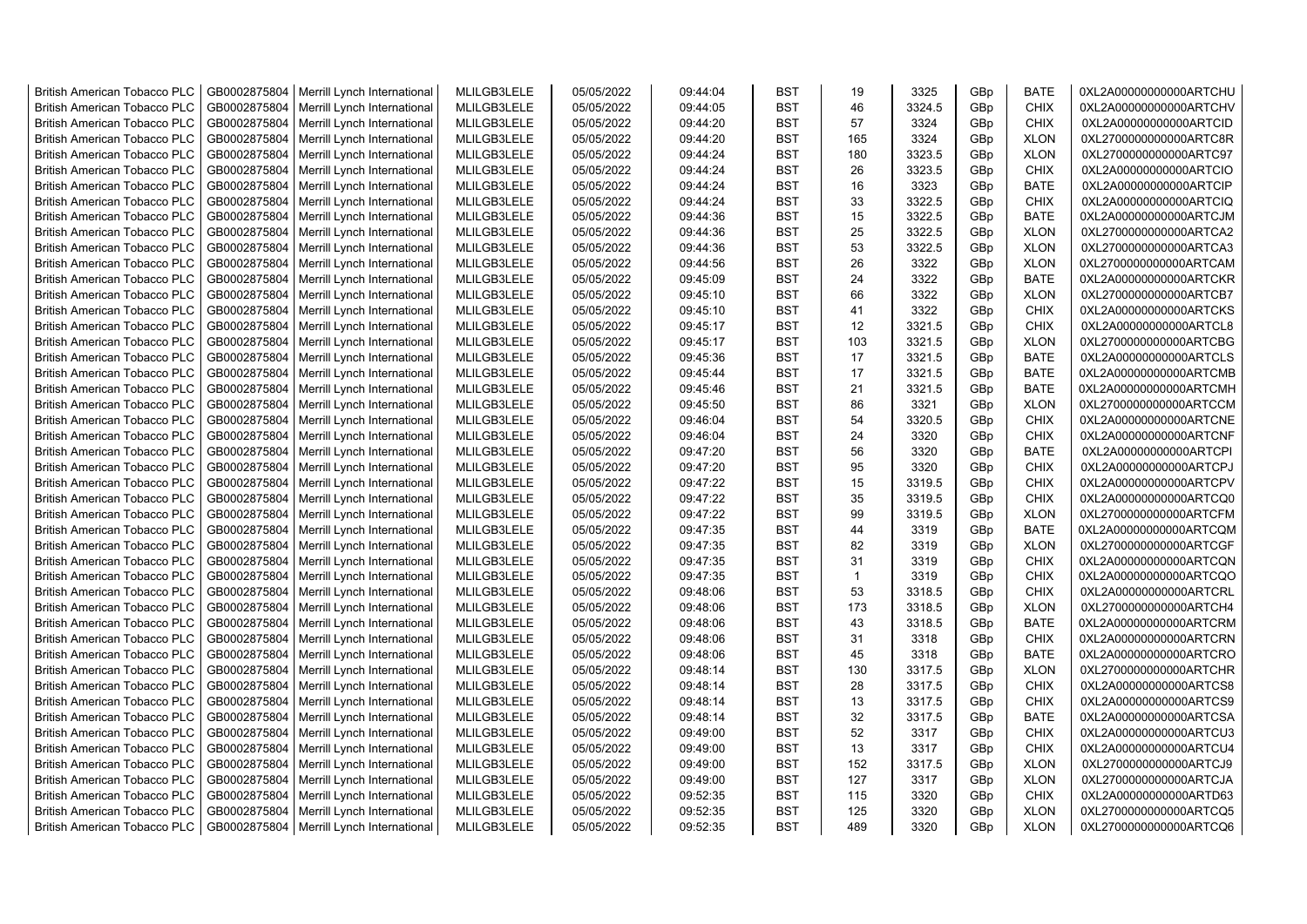| <b>British American Tobacco PLC</b> | GB0002875804 | Merrill Lynch International | MLILGB3LELE | 05/05/2022 | 09:44:04 | <b>BST</b> | 19  | 3325   | GBp             | <b>BATE</b> | 0XL2A00000000000ARTCHU |
|-------------------------------------|--------------|-----------------------------|-------------|------------|----------|------------|-----|--------|-----------------|-------------|------------------------|
| <b>British American Tobacco PLC</b> | GB0002875804 | Merrill Lynch International | MLILGB3LELE | 05/05/2022 | 09:44:05 | <b>BST</b> | 46  | 3324.5 | GBp             | <b>CHIX</b> | 0XL2A00000000000ARTCHV |
| <b>British American Tobacco PLC</b> | GB0002875804 | Merrill Lynch International | MLILGB3LELE | 05/05/2022 | 09:44:20 | <b>BST</b> | 57  | 3324   | GBp             | <b>CHIX</b> | 0XL2A00000000000ARTCID |
| <b>British American Tobacco PLC</b> | GB0002875804 | Merrill Lynch International | MLILGB3LELE | 05/05/2022 | 09:44:20 | <b>BST</b> | 165 | 3324   | GBp             | <b>XLON</b> | 0XL2700000000000ARTC8R |
| <b>British American Tobacco PLC</b> | GB0002875804 | Merrill Lynch International | MLILGB3LELE | 05/05/2022 | 09:44:24 | <b>BST</b> | 180 | 3323.5 | GBp             | <b>XLON</b> | 0XL2700000000000ARTC97 |
| <b>British American Tobacco PLC</b> | GB0002875804 | Merrill Lynch International | MLILGB3LELE | 05/05/2022 | 09:44:24 | <b>BST</b> | 26  | 3323.5 | GBp             | <b>CHIX</b> | 0XL2A00000000000ARTCIO |
| <b>British American Tobacco PLC</b> | GB0002875804 | Merrill Lynch International | MLILGB3LELE | 05/05/2022 | 09:44:24 | <b>BST</b> | 16  | 3323   | GBp             | <b>BATE</b> | 0XL2A00000000000ARTCIP |
| <b>British American Tobacco PLC</b> | GB0002875804 | Merrill Lynch International | MLILGB3LELE | 05/05/2022 | 09:44:24 | <b>BST</b> | 33  | 3322.5 | GBp             | <b>CHIX</b> | 0XL2A00000000000ARTCIQ |
| <b>British American Tobacco PLC</b> | GB0002875804 | Merrill Lynch International | MLILGB3LELE | 05/05/2022 | 09:44:36 | <b>BST</b> | 15  | 3322.5 | GBp             | <b>BATE</b> | 0XL2A00000000000ARTCJM |
| <b>British American Tobacco PLC</b> | GB0002875804 | Merrill Lynch International | MLILGB3LELE | 05/05/2022 | 09:44:36 | <b>BST</b> | 25  | 3322.5 | GBp             | <b>XLON</b> | 0XL2700000000000ARTCA2 |
| <b>British American Tobacco PLC</b> | GB0002875804 | Merrill Lynch International | MLILGB3LELE | 05/05/2022 | 09:44:36 | <b>BST</b> | 53  | 3322.5 | GBp             | <b>XLON</b> | 0XL2700000000000ARTCA3 |
| <b>British American Tobacco PLC</b> | GB0002875804 | Merrill Lynch International | MLILGB3LELE | 05/05/2022 | 09:44:56 | <b>BST</b> | 26  | 3322   | GBp             | <b>XLON</b> | 0XL2700000000000ARTCAM |
| <b>British American Tobacco PLC</b> | GB0002875804 | Merrill Lynch International | MLILGB3LELE | 05/05/2022 | 09:45:09 | BST        | 24  | 3322   | GBp             | <b>BATE</b> | 0XL2A00000000000ARTCKR |
| <b>British American Tobacco PLC</b> | GB0002875804 | Merrill Lynch International | MLILGB3LELE | 05/05/2022 | 09:45:10 | <b>BST</b> | 66  | 3322   | GBp             | <b>XLON</b> | 0XL2700000000000ARTCB7 |
| <b>British American Tobacco PLC</b> | GB0002875804 | Merrill Lynch International | MLILGB3LELE | 05/05/2022 | 09:45:10 | <b>BST</b> | 41  | 3322   | GBp             | <b>CHIX</b> | 0XL2A00000000000ARTCKS |
| <b>British American Tobacco PLC</b> | GB0002875804 | Merrill Lynch International | MLILGB3LELE | 05/05/2022 | 09:45:17 | <b>BST</b> | 12  | 3321.5 | GBp             | <b>CHIX</b> | 0XL2A00000000000ARTCL8 |
| British American Tobacco PLC        | GB0002875804 | Merrill Lynch International | MLILGB3LELE | 05/05/2022 | 09:45:17 | <b>BST</b> | 103 | 3321.5 | GBp             | <b>XLON</b> | 0XL2700000000000ARTCBG |
| <b>British American Tobacco PLC</b> | GB0002875804 | Merrill Lynch International | MLILGB3LELE | 05/05/2022 | 09:45:36 | <b>BST</b> | 17  | 3321.5 | GBp             | <b>BATE</b> | 0XL2A00000000000ARTCLS |
| <b>British American Tobacco PLC</b> | GB0002875804 | Merrill Lynch International | MLILGB3LELE | 05/05/2022 | 09:45:44 | <b>BST</b> | 17  | 3321.5 | GBp             | <b>BATE</b> | 0XL2A00000000000ARTCMB |
| <b>British American Tobacco PLC</b> | GB0002875804 | Merrill Lynch International | MLILGB3LELE | 05/05/2022 | 09:45:46 | <b>BST</b> | 21  | 3321.5 | GBp             | <b>BATE</b> | 0XL2A00000000000ARTCMH |
| <b>British American Tobacco PLC</b> | GB0002875804 | Merrill Lynch International | MLILGB3LELE | 05/05/2022 | 09:45:50 | <b>BST</b> | 86  | 3321   | GBp             | <b>XLON</b> | 0XL2700000000000ARTCCM |
| <b>British American Tobacco PLC</b> | GB0002875804 | Merrill Lynch International | MLILGB3LELE | 05/05/2022 | 09:46:04 | <b>BST</b> | 54  | 3320.5 | GBp             | <b>CHIX</b> | 0XL2A00000000000ARTCNE |
| <b>British American Tobacco PLC</b> | GB0002875804 | Merrill Lynch International | MLILGB3LELE | 05/05/2022 | 09:46:04 | <b>BST</b> | 24  | 3320   | GBp             | <b>CHIX</b> | 0XL2A00000000000ARTCNF |
| <b>British American Tobacco PLC</b> | GB0002875804 | Merrill Lynch International | MLILGB3LELE | 05/05/2022 | 09:47:20 | <b>BST</b> | 56  | 3320   | GBp             | <b>BATE</b> | 0XL2A00000000000ARTCPI |
| <b>British American Tobacco PLC</b> | GB0002875804 | Merrill Lynch International | MLILGB3LELE | 05/05/2022 | 09:47:20 | <b>BST</b> | 95  | 3320   | GBp             | <b>CHIX</b> | 0XL2A00000000000ARTCPJ |
| <b>British American Tobacco PLC</b> | GB0002875804 | Merrill Lynch International | MLILGB3LELE | 05/05/2022 | 09:47:22 | <b>BST</b> | 15  | 3319.5 | GBp             | <b>CHIX</b> | 0XL2A00000000000ARTCPV |
| <b>British American Tobacco PLC</b> | GB0002875804 | Merrill Lynch International | MLILGB3LELE | 05/05/2022 | 09:47:22 | <b>BST</b> | 35  | 3319.5 | GBp             | <b>CHIX</b> | 0XL2A00000000000ARTCQ0 |
| <b>British American Tobacco PLC</b> | GB0002875804 | Merrill Lynch International | MLILGB3LELE | 05/05/2022 | 09:47:22 | <b>BST</b> | 99  | 3319.5 | GBp             | <b>XLON</b> | 0XL2700000000000ARTCFM |
| <b>British American Tobacco PLC</b> | GB0002875804 | Merrill Lynch International | MLILGB3LELE | 05/05/2022 | 09:47:35 | <b>BST</b> | 44  | 3319   | GBp             | <b>BATE</b> | 0XL2A00000000000ARTCQM |
| <b>British American Tobacco PLC</b> | GB0002875804 | Merrill Lynch International | MLILGB3LELE | 05/05/2022 | 09:47:35 | <b>BST</b> | 82  | 3319   | GBp             | <b>XLON</b> | 0XL2700000000000ARTCGF |
| <b>British American Tobacco PLC</b> | GB0002875804 | Merrill Lynch International | MLILGB3LELE | 05/05/2022 | 09:47:35 | <b>BST</b> | 31  | 3319   | GBp             | <b>CHIX</b> | 0XL2A00000000000ARTCQN |
| <b>British American Tobacco PLC</b> | GB0002875804 | Merrill Lynch International | MLILGB3LELE | 05/05/2022 | 09:47:35 | <b>BST</b> | 1   | 3319   | GBp             | <b>CHIX</b> | 0XL2A00000000000ARTCQO |
| <b>British American Tobacco PLC</b> | GB0002875804 | Merrill Lynch International | MLILGB3LELE | 05/05/2022 | 09:48:06 | <b>BST</b> | 53  | 3318.5 | GBp             | <b>CHIX</b> | 0XL2A00000000000ARTCRL |
| <b>British American Tobacco PLC</b> | GB0002875804 | Merrill Lynch International | MLILGB3LELE | 05/05/2022 | 09:48:06 | BST        | 173 | 3318.5 | GBp             | <b>XLON</b> | 0XL2700000000000ARTCH4 |
| <b>British American Tobacco PLC</b> | GB0002875804 | Merrill Lynch International | MLILGB3LELE | 05/05/2022 | 09:48:06 | <b>BST</b> | 43  | 3318.5 | GBp             | <b>BATE</b> | 0XL2A00000000000ARTCRM |
| British American Tobacco PLC        | GB0002875804 | Merrill Lynch International | MLILGB3LELE | 05/05/2022 | 09:48:06 | <b>BST</b> | 31  | 3318   | GBp             | <b>CHIX</b> | 0XL2A00000000000ARTCRN |
| British American Tobacco PLC        | GB0002875804 | Merrill Lynch International | MLILGB3LELE | 05/05/2022 | 09:48:06 | <b>BST</b> | 45  | 3318   | GBp             | <b>BATE</b> | 0XL2A00000000000ARTCRO |
| British American Tobacco PLC        | GB0002875804 | Merrill Lynch International | MLILGB3LELE | 05/05/2022 | 09:48:14 | <b>BST</b> | 130 | 3317.5 | GBp             | <b>XLON</b> | 0XL2700000000000ARTCHR |
| <b>British American Tobacco PLC</b> | GB0002875804 | Merrill Lynch International | MLILGB3LELE | 05/05/2022 | 09:48:14 | <b>BST</b> | 28  | 3317.5 | GBp             | <b>CHIX</b> | 0XL2A00000000000ARTCS8 |
| <b>British American Tobacco PLC</b> | GB0002875804 | Merrill Lynch International | MLILGB3LELE | 05/05/2022 | 09:48:14 | <b>BST</b> | 13  | 3317.5 | GBp             | <b>CHIX</b> | 0XL2A00000000000ARTCS9 |
| <b>British American Tobacco PLC</b> | GB0002875804 | Merrill Lynch International | MLILGB3LELE | 05/05/2022 | 09:48:14 | <b>BST</b> | 32  | 3317.5 | GBp             | <b>BATE</b> | 0XL2A00000000000ARTCSA |
| <b>British American Tobacco PLC</b> | GB0002875804 | Merrill Lynch International | MLILGB3LELE | 05/05/2022 | 09:49:00 | <b>BST</b> | 52  | 3317   | GBp             | <b>CHIX</b> | 0XL2A00000000000ARTCU3 |
| <b>British American Tobacco PLC</b> | GB0002875804 | Merrill Lynch International | MLILGB3LELE | 05/05/2022 | 09:49:00 | <b>BST</b> | 13  | 3317   | GBp             | <b>CHIX</b> | 0XL2A00000000000ARTCU4 |
| <b>British American Tobacco PLC</b> | GB0002875804 | Merrill Lynch International | MLILGB3LELE | 05/05/2022 | 09:49:00 | <b>BST</b> | 152 | 3317.5 | GBp             | <b>XLON</b> | 0XL2700000000000ARTCJ9 |
| <b>British American Tobacco PLC</b> | GB0002875804 | Merrill Lynch International | MLILGB3LELE | 05/05/2022 | 09:49:00 | <b>BST</b> | 127 | 3317   | GBp             | <b>XLON</b> | 0XL2700000000000ARTCJA |
| <b>British American Tobacco PLC</b> | GB0002875804 | Merrill Lynch International | MLILGB3LELE | 05/05/2022 | 09:52:35 | <b>BST</b> | 115 | 3320   | GBp             | <b>CHIX</b> | 0XL2A00000000000ARTD63 |
| <b>British American Tobacco PLC</b> | GB0002875804 | Merrill Lynch International | MLILGB3LELE | 05/05/2022 | 09:52:35 | <b>BST</b> | 125 | 3320   | GBp             | <b>XLON</b> | 0XL2700000000000ARTCQ5 |
| <b>British American Tobacco PLC</b> | GB0002875804 | Merrill Lynch International | MLILGB3LELE | 05/05/2022 | 09:52:35 | <b>BST</b> | 489 | 3320   | GB <sub>p</sub> | <b>XLON</b> | 0XL2700000000000ARTCQ6 |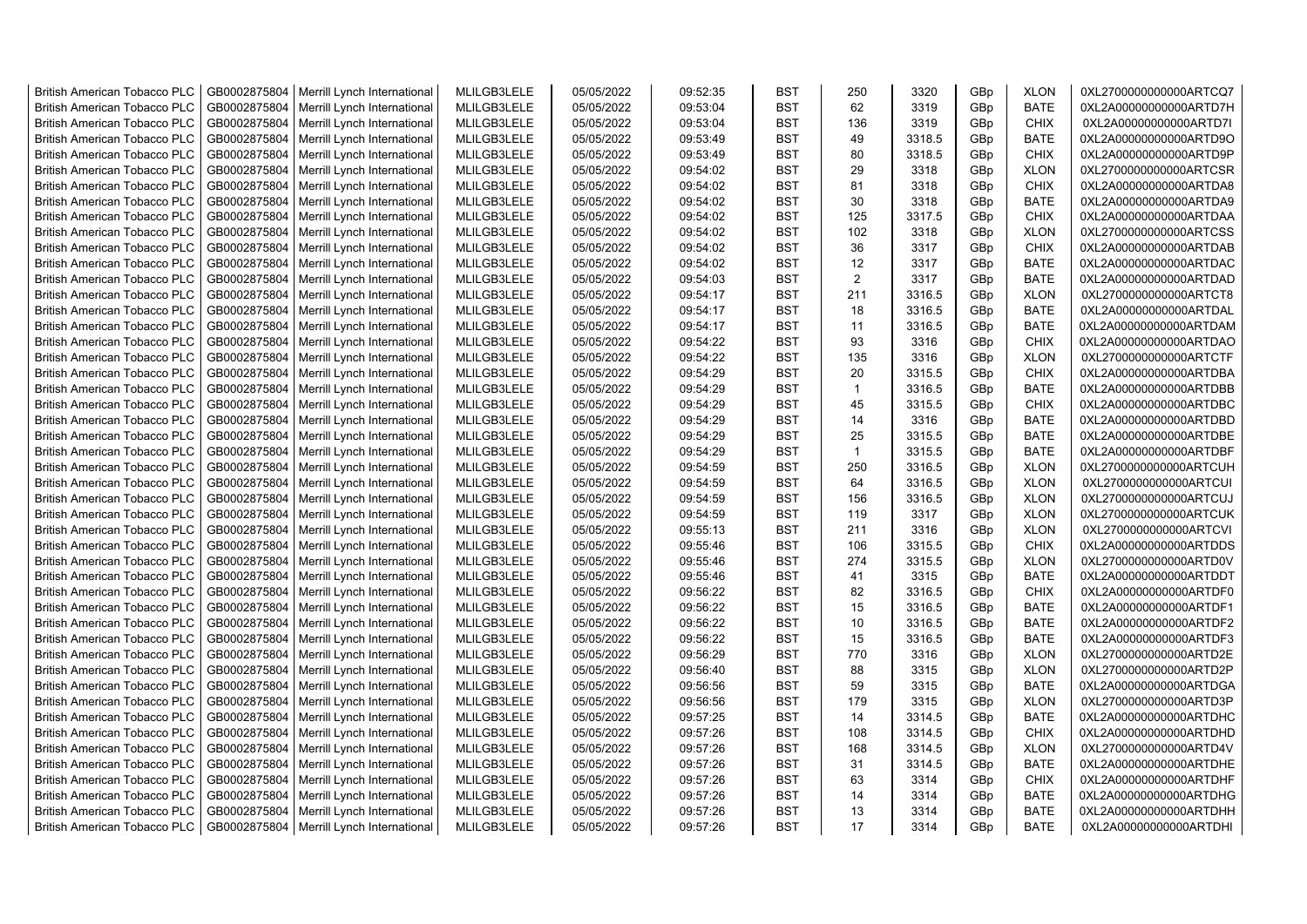| <b>British American Tobacco PLC</b> | GB0002875804 | Merrill Lynch International                                | MLILGB3LELE | 05/05/2022 | 09:52:35 | <b>BST</b> | 250          | 3320   | GBp             | <b>XLON</b> | 0XL2700000000000ARTCQ7 |
|-------------------------------------|--------------|------------------------------------------------------------|-------------|------------|----------|------------|--------------|--------|-----------------|-------------|------------------------|
| <b>British American Tobacco PLC</b> | GB0002875804 | Merrill Lynch International                                | MLILGB3LELE | 05/05/2022 | 09:53:04 | <b>BST</b> | 62           | 3319   | GBp             | <b>BATE</b> | 0XL2A00000000000ARTD7H |
| <b>British American Tobacco PLC</b> | GB0002875804 | Merrill Lynch International                                | MLILGB3LELE | 05/05/2022 | 09:53:04 | <b>BST</b> | 136          | 3319   | GBp             | <b>CHIX</b> | 0XL2A00000000000ARTD7I |
| <b>British American Tobacco PLC</b> | GB0002875804 | Merrill Lynch International                                | MLILGB3LELE | 05/05/2022 | 09:53:49 | <b>BST</b> | 49           | 3318.5 | GBp             | <b>BATE</b> | 0XL2A00000000000ARTD9O |
| <b>British American Tobacco PLC</b> | GB0002875804 | Merrill Lynch International                                | MLILGB3LELE | 05/05/2022 | 09:53:49 | <b>BST</b> | 80           | 3318.5 | GB <sub>p</sub> | <b>CHIX</b> | 0XL2A00000000000ARTD9P |
| <b>British American Tobacco PLC</b> | GB0002875804 | Merrill Lynch International                                | MLILGB3LELE | 05/05/2022 | 09:54:02 | <b>BST</b> | 29           | 3318   | GBp             | <b>XLON</b> | 0XL2700000000000ARTCSR |
| <b>British American Tobacco PLC</b> | GB0002875804 | Merrill Lynch International                                | MLILGB3LELE | 05/05/2022 | 09:54:02 | <b>BST</b> | 81           | 3318   | GBp             | <b>CHIX</b> | 0XL2A00000000000ARTDA8 |
| <b>British American Tobacco PLC</b> | GB0002875804 | Merrill Lynch International                                | MLILGB3LELE | 05/05/2022 | 09:54:02 | <b>BST</b> | 30           | 3318   | GBp             | <b>BATE</b> | 0XL2A00000000000ARTDA9 |
| <b>British American Tobacco PLC</b> | GB0002875804 | Merrill Lynch International                                | MLILGB3LELE | 05/05/2022 | 09:54:02 | <b>BST</b> | 125          | 3317.5 | GBp             | <b>CHIX</b> | 0XL2A00000000000ARTDAA |
| <b>British American Tobacco PLC</b> | GB0002875804 | Merrill Lynch International                                | MLILGB3LELE | 05/05/2022 | 09:54:02 | <b>BST</b> | 102          | 3318   | GBp             | <b>XLON</b> | 0XL2700000000000ARTCSS |
| <b>British American Tobacco PLC</b> | GB0002875804 | Merrill Lynch International                                | MLILGB3LELE | 05/05/2022 | 09:54:02 | <b>BST</b> | 36           | 3317   | GBp             | <b>CHIX</b> | 0XL2A00000000000ARTDAB |
| <b>British American Tobacco PLC</b> | GB0002875804 | Merrill Lynch International                                | MLILGB3LELE | 05/05/2022 | 09:54:02 | <b>BST</b> | 12           | 3317   | GBp             | <b>BATE</b> | 0XL2A00000000000ARTDAC |
| <b>British American Tobacco PLC</b> | GB0002875804 | Merrill Lynch International                                | MLILGB3LELE | 05/05/2022 | 09:54:03 | <b>BST</b> | 2            | 3317   | GB <sub>p</sub> | <b>BATE</b> | 0XL2A00000000000ARTDAD |
| <b>British American Tobacco PLC</b> | GB0002875804 | Merrill Lynch International                                | MLILGB3LELE | 05/05/2022 | 09:54:17 | <b>BST</b> | 211          | 3316.5 | GBp             | <b>XLON</b> | 0XL2700000000000ARTCT8 |
| <b>British American Tobacco PLC</b> | GB0002875804 | Merrill Lynch International                                | MLILGB3LELE | 05/05/2022 | 09:54:17 | <b>BST</b> | 18           | 3316.5 | GB <sub>p</sub> | <b>BATE</b> | 0XL2A00000000000ARTDAL |
| <b>British American Tobacco PLC</b> | GB0002875804 | Merrill Lynch International                                | MLILGB3LELE | 05/05/2022 | 09:54:17 | <b>BST</b> | 11           | 3316.5 | GBp             | <b>BATE</b> | 0XL2A00000000000ARTDAM |
| <b>British American Tobacco PLC</b> | GB0002875804 | Merrill Lynch International                                | MLILGB3LELE | 05/05/2022 | 09:54:22 | <b>BST</b> | 93           | 3316   | GBp             | <b>CHIX</b> | 0XL2A00000000000ARTDAO |
| <b>British American Tobacco PLC</b> | GB0002875804 | Merrill Lynch International                                | MLILGB3LELE | 05/05/2022 | 09:54:22 | <b>BST</b> | 135          | 3316   | GBp             | <b>XLON</b> | 0XL2700000000000ARTCTF |
| <b>British American Tobacco PLC</b> | GB0002875804 | Merrill Lynch International                                | MLILGB3LELE | 05/05/2022 | 09:54:29 | <b>BST</b> | 20           | 3315.5 | GBp             | <b>CHIX</b> | 0XL2A00000000000ARTDBA |
| <b>British American Tobacco PLC</b> | GB0002875804 | Merrill Lynch International                                | MLILGB3LELE | 05/05/2022 | 09:54:29 | <b>BST</b> | $\mathbf 1$  | 3316.5 | GBp             | <b>BATE</b> | 0XL2A00000000000ARTDBB |
| <b>British American Tobacco PLC</b> | GB0002875804 | Merrill Lynch International                                | MLILGB3LELE | 05/05/2022 | 09:54:29 | <b>BST</b> | 45           | 3315.5 | GBp             | <b>CHIX</b> | 0XL2A00000000000ARTDBC |
| <b>British American Tobacco PLC</b> | GB0002875804 | Merrill Lynch International                                | MLILGB3LELE | 05/05/2022 | 09:54:29 | <b>BST</b> | 14           | 3316   | GBp             | <b>BATE</b> | 0XL2A00000000000ARTDBD |
| <b>British American Tobacco PLC</b> | GB0002875804 | Merrill Lynch International                                | MLILGB3LELE | 05/05/2022 | 09:54:29 | <b>BST</b> | 25           | 3315.5 | GBp             | <b>BATE</b> | 0XL2A00000000000ARTDBE |
| <b>British American Tobacco PLC</b> | GB0002875804 | Merrill Lynch International                                | MLILGB3LELE | 05/05/2022 | 09:54:29 | <b>BST</b> | $\mathbf{1}$ | 3315.5 | GBp             | <b>BATE</b> | 0XL2A00000000000ARTDBF |
| <b>British American Tobacco PLC</b> | GB0002875804 | Merrill Lynch International                                | MLILGB3LELE | 05/05/2022 | 09:54:59 | <b>BST</b> | 250          | 3316.5 | GBp             | <b>XLON</b> | 0XL2700000000000ARTCUH |
| <b>British American Tobacco PLC</b> | GB0002875804 | Merrill Lynch International                                | MLILGB3LELE | 05/05/2022 | 09:54:59 | <b>BST</b> | 64           | 3316.5 | GBp             | <b>XLON</b> | 0XL2700000000000ARTCUI |
| <b>British American Tobacco PLC</b> | GB0002875804 | Merrill Lynch International                                | MLILGB3LELE | 05/05/2022 | 09:54:59 | <b>BST</b> | 156          | 3316.5 | GBp             | <b>XLON</b> | 0XL2700000000000ARTCUJ |
| <b>British American Tobacco PLC</b> | GB0002875804 |                                                            | MLILGB3LELE | 05/05/2022 |          | <b>BST</b> | 119          | 3317   | GBp             | <b>XLON</b> | 0XL2700000000000ARTCUK |
| <b>British American Tobacco PLC</b> | GB0002875804 | Merrill Lynch International<br>Merrill Lynch International | MLILGB3LELE | 05/05/2022 | 09:54:59 | <b>BST</b> | 211          |        |                 | <b>XLON</b> | 0XL2700000000000ARTCVI |
|                                     |              |                                                            |             |            | 09:55:13 | <b>BST</b> | 106          | 3316   | GBp             |             |                        |
| <b>British American Tobacco PLC</b> | GB0002875804 | Merrill Lynch International                                | MLILGB3LELE | 05/05/2022 | 09:55:46 |            | 274          | 3315.5 | GB <sub>p</sub> | <b>CHIX</b> | 0XL2A00000000000ARTDDS |
| <b>British American Tobacco PLC</b> | GB0002875804 | Merrill Lynch International                                | MLILGB3LELE | 05/05/2022 | 09:55:46 | <b>BST</b> |              | 3315.5 | GBp             | <b>XLON</b> | 0XL2700000000000ARTD0V |
| <b>British American Tobacco PLC</b> | GB0002875804 | Merrill Lynch International                                | MLILGB3LELE | 05/05/2022 | 09:55:46 | <b>BST</b> | 41           | 3315   | GBp             | <b>BATE</b> | 0XL2A00000000000ARTDDT |
| <b>British American Tobacco PLC</b> | GB0002875804 | Merrill Lynch International                                | MLILGB3LELE | 05/05/2022 | 09:56:22 | <b>BST</b> | 82           | 3316.5 | GBp             | <b>CHIX</b> | 0XL2A00000000000ARTDF0 |
| <b>British American Tobacco PLC</b> | GB0002875804 | Merrill Lynch International                                | MLILGB3LELE | 05/05/2022 | 09:56:22 | <b>BST</b> | 15           | 3316.5 | GBp             | <b>BATE</b> | 0XL2A00000000000ARTDF1 |
| <b>British American Tobacco PLC</b> | GB0002875804 | Merrill Lynch International                                | MLILGB3LELE | 05/05/2022 | 09:56:22 | <b>BST</b> | 10           | 3316.5 | GBp             | <b>BATE</b> | 0XL2A00000000000ARTDF2 |
| <b>British American Tobacco PLC</b> | GB0002875804 | Merrill Lynch International                                | MLILGB3LELE | 05/05/2022 | 09:56:22 | <b>BST</b> | 15           | 3316.5 | GBp             | <b>BATE</b> | 0XL2A00000000000ARTDF3 |
| <b>British American Tobacco PLC</b> | GB0002875804 | Merrill Lynch International                                | MLILGB3LELE | 05/05/2022 | 09:56:29 | <b>BST</b> | 770          | 3316   | GBp             | <b>XLON</b> | 0XL2700000000000ARTD2E |
| <b>British American Tobacco PLC</b> | GB0002875804 | Merrill Lynch International                                | MLILGB3LELE | 05/05/2022 | 09:56:40 | <b>BST</b> | 88           | 3315   | GBp             | <b>XLON</b> | 0XL2700000000000ARTD2P |
| <b>British American Tobacco PLC</b> | GB0002875804 | Merrill Lynch International                                | MLILGB3LELE | 05/05/2022 | 09:56:56 | <b>BST</b> | 59           | 3315   | GBp             | <b>BATE</b> | 0XL2A00000000000ARTDGA |
| <b>British American Tobacco PLC</b> | GB0002875804 | Merrill Lynch International                                | MLILGB3LELE | 05/05/2022 | 09:56:56 | <b>BST</b> | 179          | 3315   | GBp             | <b>XLON</b> | 0XL2700000000000ARTD3P |
| <b>British American Tobacco PLC</b> | GB0002875804 | Merrill Lynch International                                | MLILGB3LELE | 05/05/2022 | 09:57:25 | <b>BST</b> | 14           | 3314.5 | GBp             | <b>BATE</b> | 0XL2A00000000000ARTDHC |
| <b>British American Tobacco PLC</b> | GB0002875804 | Merrill Lynch International                                | MLILGB3LELE | 05/05/2022 | 09:57:26 | <b>BST</b> | 108          | 3314.5 | GBp             | <b>CHIX</b> | 0XL2A00000000000ARTDHD |
| <b>British American Tobacco PLC</b> | GB0002875804 | Merrill Lynch International                                | MLILGB3LELE | 05/05/2022 | 09:57:26 | <b>BST</b> | 168          | 3314.5 | GBp             | <b>XLON</b> | 0XL2700000000000ARTD4V |
| <b>British American Tobacco PLC</b> | GB0002875804 | Merrill Lynch International                                | MLILGB3LELE | 05/05/2022 | 09:57:26 | <b>BST</b> | 31           | 3314.5 | GBp             | <b>BATE</b> | 0XL2A00000000000ARTDHE |
| <b>British American Tobacco PLC</b> | GB0002875804 | Merrill Lynch International                                | MLILGB3LELE | 05/05/2022 | 09:57:26 | <b>BST</b> | 63           | 3314   | GBp             | <b>CHIX</b> | 0XL2A00000000000ARTDHF |
| <b>British American Tobacco PLC</b> | GB0002875804 | Merrill Lynch International                                | MLILGB3LELE | 05/05/2022 | 09:57:26 | <b>BST</b> | 14           | 3314   | GBp             | <b>BATE</b> | 0XL2A00000000000ARTDHG |
| <b>British American Tobacco PLC</b> | GB0002875804 | Merrill Lynch International                                | MLILGB3LELE | 05/05/2022 | 09:57:26 | <b>BST</b> | 13           | 3314   | GB <sub>p</sub> | <b>BATE</b> | 0XL2A00000000000ARTDHH |
| <b>British American Tobacco PLC</b> |              | GB0002875804   Merrill Lynch International                 | MLILGB3LELE | 05/05/2022 | 09:57:26 | <b>BST</b> | 17           | 3314   | GBp             | <b>BATE</b> | 0XL2A00000000000ARTDHI |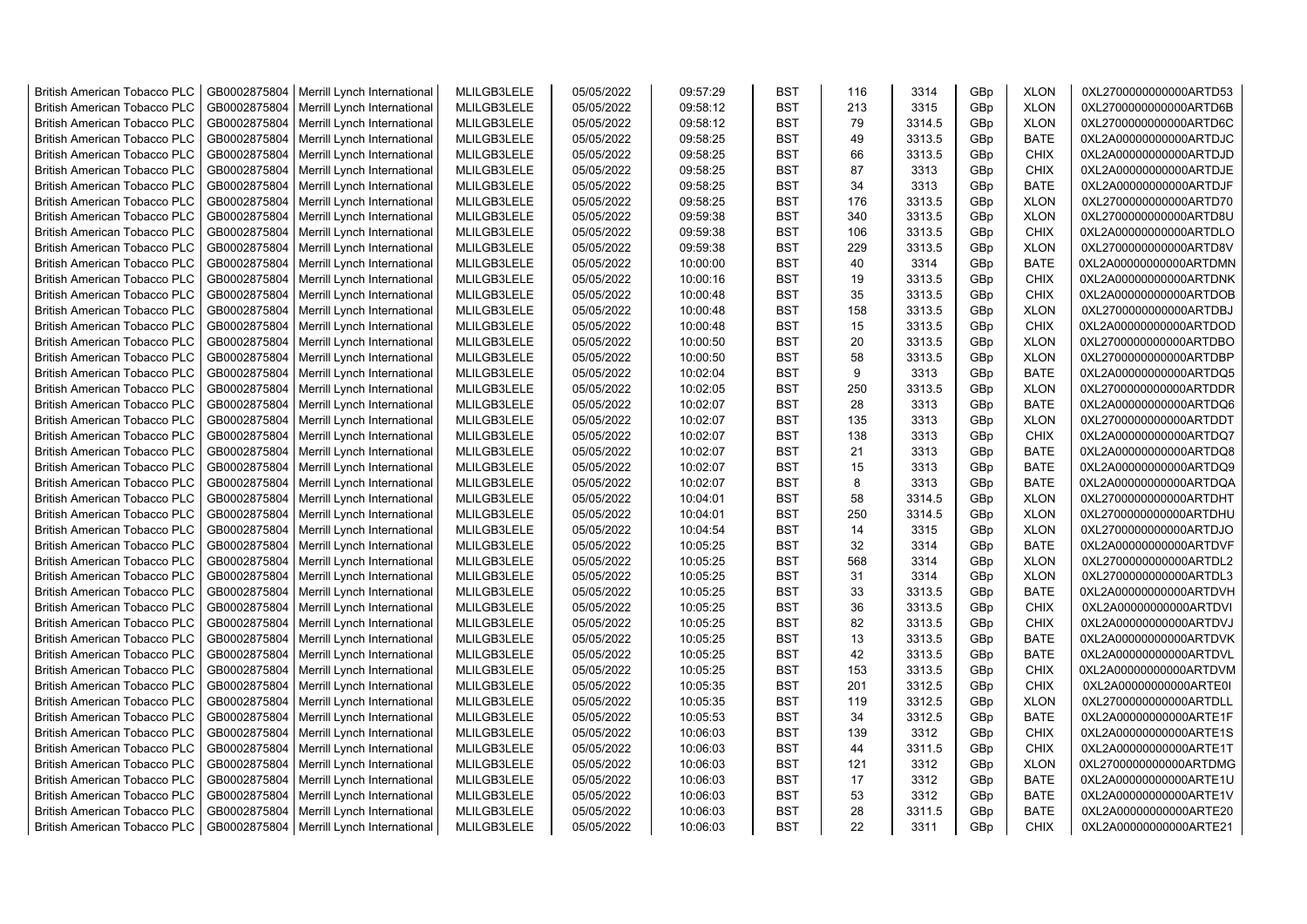| <b>British American Tobacco PLC</b> | GB0002875804 | Merrill Lynch International | MLILGB3LELE | 05/05/2022 | 09:57:29 | <b>BST</b>               | 116 | 3314   | GBp             | <b>XLON</b> | 0XL2700000000000ARTD53 |
|-------------------------------------|--------------|-----------------------------|-------------|------------|----------|--------------------------|-----|--------|-----------------|-------------|------------------------|
| <b>British American Tobacco PLC</b> | GB0002875804 | Merrill Lynch International | MLILGB3LELE | 05/05/2022 | 09:58:12 | <b>BST</b>               | 213 | 3315   | GBp             | <b>XLON</b> | 0XL2700000000000ARTD6B |
| <b>British American Tobacco PLC</b> | GB0002875804 | Merrill Lynch International | MLILGB3LELE | 05/05/2022 | 09:58:12 | <b>BST</b>               | 79  | 3314.5 | GBp             | <b>XLON</b> | 0XL2700000000000ARTD6C |
| <b>British American Tobacco PLC</b> | GB0002875804 | Merrill Lynch International | MLILGB3LELE | 05/05/2022 | 09:58:25 | <b>BST</b>               | 49  | 3313.5 | GBp             | <b>BATE</b> | 0XL2A00000000000ARTDJC |
| <b>British American Tobacco PLC</b> | GB0002875804 | Merrill Lynch International | MLILGB3LELE | 05/05/2022 | 09:58:25 | <b>BST</b>               | 66  | 3313.5 | GBp             | <b>CHIX</b> | 0XL2A00000000000ARTDJD |
| <b>British American Tobacco PLC</b> | GB0002875804 | Merrill Lynch International | MLILGB3LELE | 05/05/2022 | 09:58:25 | <b>BST</b>               | 87  | 3313   | GBp             | <b>CHIX</b> | 0XL2A00000000000ARTDJE |
| British American Tobacco PLC        | GB0002875804 | Merrill Lynch International | MLILGB3LELE | 05/05/2022 | 09:58:25 | <b>BST</b>               | 34  | 3313   | GBp             | <b>BATE</b> | 0XL2A00000000000ARTDJF |
| <b>British American Tobacco PLC</b> | GB0002875804 | Merrill Lynch International | MLILGB3LELE | 05/05/2022 | 09:58:25 | <b>BST</b>               | 176 | 3313.5 | GBp             | <b>XLON</b> | 0XL2700000000000ARTD70 |
| <b>British American Tobacco PLC</b> | GB0002875804 | Merrill Lynch International | MLILGB3LELE | 05/05/2022 | 09:59:38 | <b>BST</b>               | 340 | 3313.5 | GBp             | <b>XLON</b> | 0XL2700000000000ARTD8U |
| <b>British American Tobacco PLC</b> | GB0002875804 | Merrill Lynch International | MLILGB3LELE | 05/05/2022 | 09:59:38 | <b>BST</b>               | 106 | 3313.5 | GBp             | <b>CHIX</b> | 0XL2A00000000000ARTDLO |
| <b>British American Tobacco PLC</b> | GB0002875804 | Merrill Lynch International | MLILGB3LELE | 05/05/2022 | 09:59:38 | <b>BST</b>               | 229 | 3313.5 | GBp             | <b>XLON</b> | 0XL2700000000000ARTD8V |
| <b>British American Tobacco PLC</b> | GB0002875804 | Merrill Lynch International | MLILGB3LELE | 05/05/2022 | 10:00:00 | <b>BST</b>               | 40  | 3314   | GBp             | <b>BATE</b> | 0XL2A00000000000ARTDMN |
| <b>British American Tobacco PLC</b> | GB0002875804 | Merrill Lynch International | MLILGB3LELE | 05/05/2022 | 10:00:16 | <b>BST</b>               | 19  | 3313.5 | GBp             | <b>CHIX</b> | 0XL2A00000000000ARTDNK |
| <b>British American Tobacco PLC</b> | GB0002875804 | Merrill Lynch International | MLILGB3LELE | 05/05/2022 | 10:00:48 | <b>BST</b>               | 35  | 3313.5 | GBp             | <b>CHIX</b> | 0XL2A00000000000ARTDOB |
| <b>British American Tobacco PLC</b> | GB0002875804 | Merrill Lynch International | MLILGB3LELE | 05/05/2022 | 10:00:48 | <b>BST</b>               | 158 | 3313.5 | GBp             | <b>XLON</b> | 0XL2700000000000ARTDBJ |
| <b>British American Tobacco PLC</b> | GB0002875804 | Merrill Lynch International | MLILGB3LELE | 05/05/2022 | 10:00:48 | <b>BST</b>               | 15  | 3313.5 | GBp             | <b>CHIX</b> | 0XL2A00000000000ARTDOD |
| British American Tobacco PLC        | GB0002875804 | Merrill Lynch International | MLILGB3LELE | 05/05/2022 | 10:00:50 | <b>BST</b>               | 20  | 3313.5 | GBp             | <b>XLON</b> | 0XL2700000000000ARTDBO |
| <b>British American Tobacco PLC</b> | GB0002875804 | Merrill Lynch International | MLILGB3LELE | 05/05/2022 | 10:00:50 | <b>BST</b>               | 58  | 3313.5 | GBp             | <b>XLON</b> | 0XL2700000000000ARTDBP |
| <b>British American Tobacco PLC</b> | GB0002875804 | Merrill Lynch International | MLILGB3LELE | 05/05/2022 | 10:02:04 | <b>BST</b>               | 9   | 3313   | GBp             | <b>BATE</b> | 0XL2A00000000000ARTDQ5 |
| <b>British American Tobacco PLC</b> | GB0002875804 | Merrill Lynch International | MLILGB3LELE | 05/05/2022 | 10:02:05 | <b>BST</b>               | 250 | 3313.5 | GBp             | <b>XLON</b> | 0XL2700000000000ARTDDR |
| <b>British American Tobacco PLC</b> | GB0002875804 | Merrill Lynch International | MLILGB3LELE | 05/05/2022 | 10:02:07 | <b>BST</b>               | 28  | 3313   | GBp             | <b>BATE</b> | 0XL2A00000000000ARTDQ6 |
| <b>British American Tobacco PLC</b> | GB0002875804 | Merrill Lynch International | MLILGB3LELE | 05/05/2022 | 10:02:07 | <b>BST</b>               | 135 | 3313   | GBp             | <b>XLON</b> | 0XL2700000000000ARTDDT |
| <b>British American Tobacco PLC</b> | GB0002875804 | Merrill Lynch International | MLILGB3LELE | 05/05/2022 | 10:02:07 | <b>BST</b>               | 138 | 3313   | GBp             | <b>CHIX</b> | 0XL2A00000000000ARTDQ7 |
| <b>British American Tobacco PLC</b> | GB0002875804 | Merrill Lynch International | MLILGB3LELE | 05/05/2022 | 10:02:07 | <b>BST</b>               | 21  | 3313   | GBp             | <b>BATE</b> | 0XL2A00000000000ARTDQ8 |
| <b>British American Tobacco PLC</b> | GB0002875804 | Merrill Lynch International | MLILGB3LELE | 05/05/2022 | 10:02:07 | <b>BST</b>               | 15  | 3313   | GBp             | <b>BATE</b> | 0XL2A00000000000ARTDQ9 |
| <b>British American Tobacco PLC</b> | GB0002875804 | Merrill Lynch International | MLILGB3LELE | 05/05/2022 | 10:02:07 | <b>BST</b>               | 8   | 3313   | GBp             | <b>BATE</b> | 0XL2A00000000000ARTDQA |
| <b>British American Tobacco PLC</b> | GB0002875804 | Merrill Lynch International | MLILGB3LELE | 05/05/2022 | 10:04:01 | <b>BST</b>               | 58  | 3314.5 | GBp             | <b>XLON</b> | 0XL2700000000000ARTDHT |
| <b>British American Tobacco PLC</b> | GB0002875804 | Merrill Lynch International | MLILGB3LELE | 05/05/2022 | 10:04:01 | <b>BST</b>               | 250 | 3314.5 | GBp             | <b>XLON</b> | 0XL2700000000000ARTDHU |
| <b>British American Tobacco PLC</b> | GB0002875804 | Merrill Lynch International | MLILGB3LELE | 05/05/2022 | 10:04:54 | <b>BST</b>               | 14  | 3315   | GBp             | <b>XLON</b> | 0XL2700000000000ARTDJO |
| <b>British American Tobacco PLC</b> | GB0002875804 | Merrill Lynch International | MLILGB3LELE | 05/05/2022 | 10:05:25 | <b>BST</b>               | 32  | 3314   | GBp             | <b>BATE</b> | 0XL2A00000000000ARTDVF |
| <b>British American Tobacco PLC</b> | GB0002875804 | Merrill Lynch International | MLILGB3LELE | 05/05/2022 | 10:05:25 | <b>BST</b>               | 568 | 3314   | GBp             | <b>XLON</b> | 0XL2700000000000ARTDL2 |
| <b>British American Tobacco PLC</b> | GB0002875804 | Merrill Lynch International | MLILGB3LELE | 05/05/2022 | 10:05:25 | <b>BST</b>               | 31  | 3314   | GBp             | <b>XLON</b> | 0XL2700000000000ARTDL3 |
| <b>British American Tobacco PLC</b> | GB0002875804 | Merrill Lynch International | MLILGB3LELE | 05/05/2022 | 10:05:25 | <b>BST</b>               | 33  | 3313.5 | GBp             | <b>BATE</b> | 0XL2A00000000000ARTDVH |
| <b>British American Tobacco PLC</b> | GB0002875804 | Merrill Lynch International | MLILGB3LELE | 05/05/2022 | 10:05:25 | <b>BST</b>               | 36  | 3313.5 |                 | <b>CHIX</b> | 0XL2A00000000000ARTDVI |
| <b>British American Tobacco PLC</b> | GB0002875804 | Merrill Lynch International | MLILGB3LELE | 05/05/2022 | 10:05:25 | <b>BST</b>               | 82  | 3313.5 | GBp<br>GBp      | <b>CHIX</b> | 0XL2A00000000000ARTDVJ |
| British American Tobacco PLC        | GB0002875804 | Merrill Lynch International | MLILGB3LELE | 05/05/2022 | 10:05:25 | <b>BST</b>               | 13  | 3313.5 | GBp             | <b>BATE</b> | 0XL2A00000000000ARTDVK |
|                                     | GB0002875804 | Merrill Lynch International | MLILGB3LELE | 05/05/2022 | 10:05:25 | <b>BST</b>               | 42  | 3313.5 | GBp             | <b>BATE</b> | 0XL2A00000000000ARTDVL |
| <b>British American Tobacco PLC</b> |              |                             |             |            |          |                          | 153 |        |                 |             |                        |
| <b>British American Tobacco PLC</b> | GB0002875804 | Merrill Lynch International | MLILGB3LELE | 05/05/2022 | 10:05:25 | <b>BST</b><br><b>BST</b> | 201 | 3313.5 | GBp             | <b>CHIX</b> | 0XL2A00000000000ARTDVM |
| <b>British American Tobacco PLC</b> | GB0002875804 | Merrill Lynch International | MLILGB3LELE | 05/05/2022 | 10:05:35 |                          | 119 | 3312.5 | GBp             | <b>CHIX</b> | 0XL2A00000000000ARTE0I |
| <b>British American Tobacco PLC</b> | GB0002875804 | Merrill Lynch International | MLILGB3LELE | 05/05/2022 | 10:05:35 | <b>BST</b>               |     | 3312.5 | GBp             | <b>XLON</b> | 0XL2700000000000ARTDLL |
| <b>British American Tobacco PLC</b> | GB0002875804 | Merrill Lynch International | MLILGB3LELE | 05/05/2022 | 10:05:53 | <b>BST</b>               | 34  | 3312.5 | GBp             | <b>BATE</b> | 0XL2A00000000000ARTE1F |
| <b>British American Tobacco PLC</b> | GB0002875804 | Merrill Lynch International | MLILGB3LELE | 05/05/2022 | 10:06:03 | <b>BST</b>               | 139 | 3312   | GBp             | <b>CHIX</b> | 0XL2A00000000000ARTE1S |
| <b>British American Tobacco PLC</b> | GB0002875804 | Merrill Lynch International | MLILGB3LELE | 05/05/2022 | 10:06:03 | <b>BST</b>               | 44  | 3311.5 | GBp             | <b>CHIX</b> | 0XL2A00000000000ARTE1T |
| <b>British American Tobacco PLC</b> | GB0002875804 | Merrill Lynch International | MLILGB3LELE | 05/05/2022 | 10:06:03 | <b>BST</b>               | 121 | 3312   | GBp             | <b>XLON</b> | 0XL2700000000000ARTDMG |
| <b>British American Tobacco PLC</b> | GB0002875804 | Merrill Lynch International | MLILGB3LELE | 05/05/2022 | 10:06:03 | <b>BST</b>               | 17  | 3312   | GBp             | <b>BATE</b> | 0XL2A00000000000ARTE1U |
| <b>British American Tobacco PLC</b> | GB0002875804 | Merrill Lynch International | MLILGB3LELE | 05/05/2022 | 10:06:03 | <b>BST</b>               | 53  | 3312   | GBp             | <b>BATE</b> | 0XL2A00000000000ARTE1V |
| <b>British American Tobacco PLC</b> | GB0002875804 | Merrill Lynch International | MLILGB3LELE | 05/05/2022 | 10:06:03 | <b>BST</b>               | 28  | 3311.5 | GBp             | <b>BATE</b> | 0XL2A00000000000ARTE20 |
| <b>British American Tobacco PLC</b> | GB0002875804 | Merrill Lynch International | MLILGB3LELE | 05/05/2022 | 10:06:03 | <b>BST</b>               | 22  | 3311   | GB <sub>p</sub> | <b>CHIX</b> | 0XL2A00000000000ARTE21 |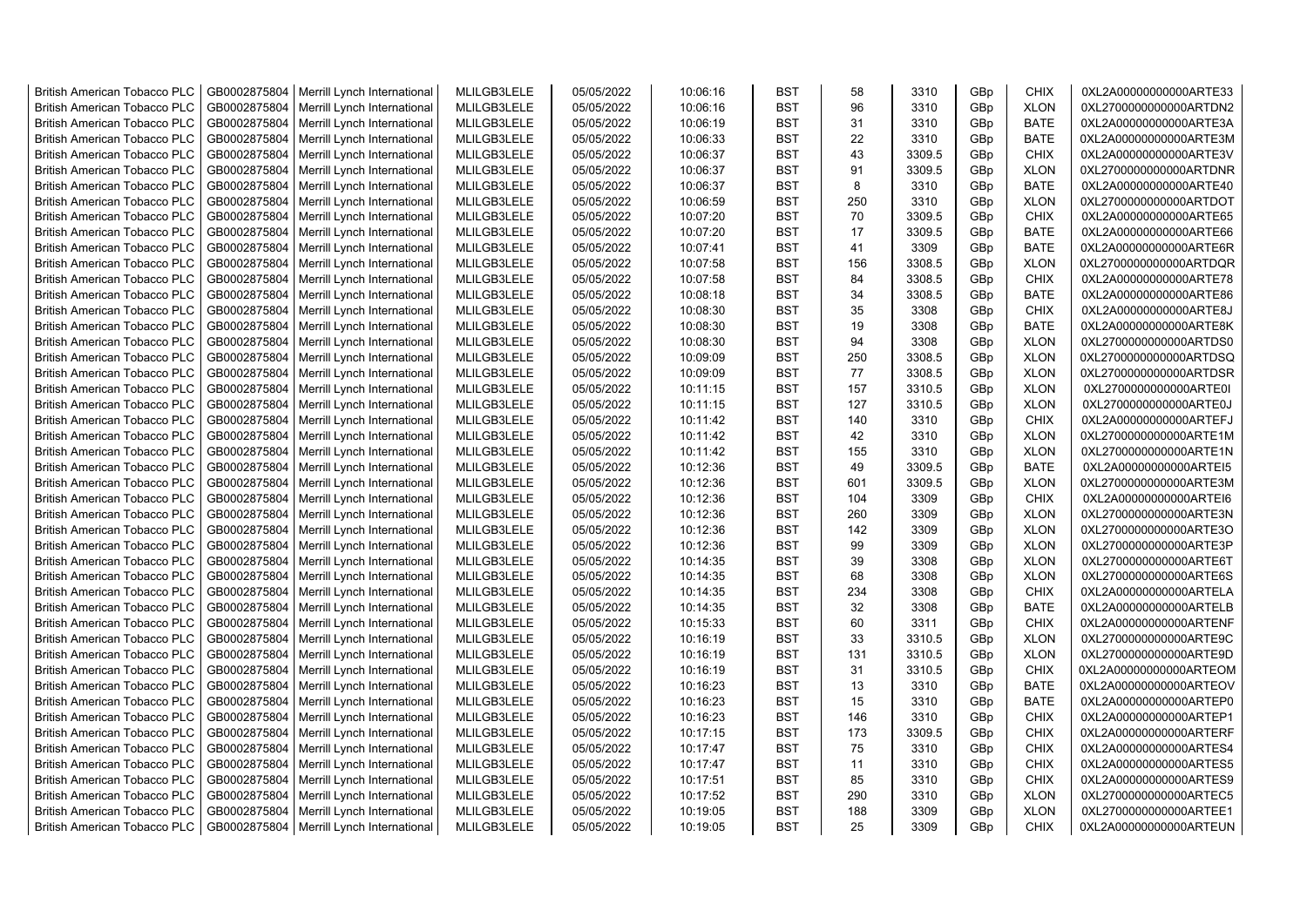| <b>British American Tobacco PLC</b> | GB0002875804 | Merrill Lynch International                | MLILGB3LELE | 05/05/2022 | 10:06:16 | <b>BST</b> | 58  | 3310   | GBp             | <b>CHIX</b> | 0XL2A00000000000ARTE33 |
|-------------------------------------|--------------|--------------------------------------------|-------------|------------|----------|------------|-----|--------|-----------------|-------------|------------------------|
| <b>British American Tobacco PLC</b> | GB0002875804 | Merrill Lynch International                | MLILGB3LELE | 05/05/2022 | 10:06:16 | <b>BST</b> | 96  | 3310   | GBp             | <b>XLON</b> | 0XL2700000000000ARTDN2 |
| <b>British American Tobacco PLC</b> | GB0002875804 | Merrill Lynch International                | MLILGB3LELE | 05/05/2022 | 10:06:19 | <b>BST</b> | 31  | 3310   | GBp             | <b>BATE</b> | 0XL2A00000000000ARTE3A |
| <b>British American Tobacco PLC</b> | GB0002875804 | Merrill Lynch International                | MLILGB3LELE | 05/05/2022 | 10:06:33 | <b>BST</b> | 22  | 3310   | GBp             | <b>BATE</b> | 0XL2A00000000000ARTE3M |
| <b>British American Tobacco PLC</b> | GB0002875804 | Merrill Lynch International                | MLILGB3LELE | 05/05/2022 | 10:06:37 | <b>BST</b> | 43  | 3309.5 | GBp             | <b>CHIX</b> | 0XL2A00000000000ARTE3V |
| <b>British American Tobacco PLC</b> | GB0002875804 | Merrill Lynch International                | MLILGB3LELE | 05/05/2022 | 10:06:37 | <b>BST</b> | 91  | 3309.5 | GBp             | <b>XLON</b> | 0XL2700000000000ARTDNR |
| <b>British American Tobacco PLC</b> | GB0002875804 | Merrill Lynch International                | MLILGB3LELE | 05/05/2022 | 10:06:37 | <b>BST</b> | 8   | 3310   | GBp             | <b>BATE</b> | 0XL2A00000000000ARTE40 |
| <b>British American Tobacco PLC</b> | GB0002875804 | Merrill Lynch International                | MLILGB3LELE | 05/05/2022 | 10:06:59 | <b>BST</b> | 250 | 3310   | GBp             | <b>XLON</b> | 0XL2700000000000ARTDOT |
| <b>British American Tobacco PLC</b> | GB0002875804 | Merrill Lynch International                | MLILGB3LELE | 05/05/2022 | 10:07:20 | <b>BST</b> | 70  | 3309.5 | GBp             | <b>CHIX</b> | 0XL2A00000000000ARTE65 |
| <b>British American Tobacco PLC</b> | GB0002875804 | Merrill Lynch International                | MLILGB3LELE | 05/05/2022 | 10:07:20 | <b>BST</b> | 17  | 3309.5 | GBp             | <b>BATE</b> | 0XL2A00000000000ARTE66 |
| <b>British American Tobacco PLC</b> | GB0002875804 | Merrill Lynch International                | MLILGB3LELE | 05/05/2022 | 10:07:41 | <b>BST</b> | 41  | 3309   | GBp             | <b>BATE</b> | 0XL2A00000000000ARTE6R |
| <b>British American Tobacco PLC</b> | GB0002875804 | Merrill Lynch International                | MLILGB3LELE | 05/05/2022 | 10:07:58 | <b>BST</b> | 156 | 3308.5 | GBp             | <b>XLON</b> | 0XL2700000000000ARTDQR |
| <b>British American Tobacco PLC</b> | GB0002875804 | Merrill Lynch International                | MLILGB3LELE | 05/05/2022 | 10:07:58 | <b>BST</b> | 84  | 3308.5 | GB <sub>p</sub> | <b>CHIX</b> | 0XL2A00000000000ARTE78 |
| <b>British American Tobacco PLC</b> | GB0002875804 | Merrill Lynch International                | MLILGB3LELE | 05/05/2022 | 10:08:18 | <b>BST</b> | 34  | 3308.5 | GBp             | <b>BATE</b> | 0XL2A00000000000ARTE86 |
| <b>British American Tobacco PLC</b> | GB0002875804 | Merrill Lynch International                | MLILGB3LELE | 05/05/2022 | 10:08:30 | <b>BST</b> | 35  | 3308   | GBp             | <b>CHIX</b> | 0XL2A00000000000ARTE8J |
| <b>British American Tobacco PLC</b> | GB0002875804 | Merrill Lynch International                | MLILGB3LELE | 05/05/2022 | 10:08:30 | <b>BST</b> | 19  | 3308   | GBp             | <b>BATE</b> | 0XL2A00000000000ARTE8K |
| <b>British American Tobacco PLC</b> | GB0002875804 | Merrill Lynch International                | MLILGB3LELE | 05/05/2022 | 10:08:30 | <b>BST</b> | 94  | 3308   | GBp             | <b>XLON</b> | 0XL2700000000000ARTDS0 |
| <b>British American Tobacco PLC</b> | GB0002875804 | Merrill Lynch International                | MLILGB3LELE | 05/05/2022 | 10:09:09 | <b>BST</b> | 250 | 3308.5 | GBp             | <b>XLON</b> | 0XL2700000000000ARTDSQ |
| <b>British American Tobacco PLC</b> | GB0002875804 | Merrill Lynch International                | MLILGB3LELE | 05/05/2022 | 10:09:09 | <b>BST</b> | 77  | 3308.5 | GBp             | <b>XLON</b> | 0XL2700000000000ARTDSR |
| <b>British American Tobacco PLC</b> | GB0002875804 | Merrill Lynch International                | MLILGB3LELE | 05/05/2022 | 10:11:15 | <b>BST</b> | 157 | 3310.5 | GBp             | <b>XLON</b> | 0XL2700000000000ARTE0I |
| <b>British American Tobacco PLC</b> | GB0002875804 | Merrill Lynch International                | MLILGB3LELE | 05/05/2022 | 10:11:15 | <b>BST</b> | 127 | 3310.5 | GBp             | <b>XLON</b> | 0XL2700000000000ARTE0J |
| <b>British American Tobacco PLC</b> | GB0002875804 | Merrill Lynch International                | MLILGB3LELE | 05/05/2022 | 10:11:42 | <b>BST</b> | 140 | 3310   | GBp             | <b>CHIX</b> | 0XL2A00000000000ARTEFJ |
| <b>British American Tobacco PLC</b> | GB0002875804 | Merrill Lynch International                | MLILGB3LELE | 05/05/2022 | 10:11:42 | <b>BST</b> | 42  | 3310   | GBp             | <b>XLON</b> | 0XL2700000000000ARTE1M |
| <b>British American Tobacco PLC</b> | GB0002875804 | Merrill Lynch International                | MLILGB3LELE | 05/05/2022 | 10:11:42 | <b>BST</b> | 155 | 3310   | GBp             | <b>XLON</b> | 0XL2700000000000ARTE1N |
| <b>British American Tobacco PLC</b> | GB0002875804 | Merrill Lynch International                | MLILGB3LELE | 05/05/2022 | 10:12:36 | <b>BST</b> | 49  | 3309.5 | GBp             | <b>BATE</b> | 0XL2A00000000000ARTEI5 |
| <b>British American Tobacco PLC</b> | GB0002875804 | Merrill Lynch International                | MLILGB3LELE | 05/05/2022 | 10:12:36 | <b>BST</b> | 601 | 3309.5 | GBp             | <b>XLON</b> | 0XL2700000000000ARTE3M |
| <b>British American Tobacco PLC</b> | GB0002875804 | Merrill Lynch International                | MLILGB3LELE | 05/05/2022 | 10:12:36 | <b>BST</b> | 104 | 3309   | GBp             | <b>CHIX</b> | 0XL2A00000000000ARTEI6 |
| <b>British American Tobacco PLC</b> | GB0002875804 | Merrill Lynch International                | MLILGB3LELE | 05/05/2022 | 10:12:36 | <b>BST</b> | 260 | 3309   | GBp             | <b>XLON</b> | 0XL2700000000000ARTE3N |
| <b>British American Tobacco PLC</b> | GB0002875804 | Merrill Lynch International                | MLILGB3LELE | 05/05/2022 | 10:12:36 | <b>BST</b> | 142 | 3309   | GBp             | <b>XLON</b> | 0XL2700000000000ARTE3O |
| <b>British American Tobacco PLC</b> | GB0002875804 | Merrill Lynch International                | MLILGB3LELE | 05/05/2022 | 10:12:36 | <b>BST</b> | 99  | 3309   | GB <sub>p</sub> | <b>XLON</b> | 0XL2700000000000ARTE3P |
| <b>British American Tobacco PLC</b> | GB0002875804 | Merrill Lynch International                | MLILGB3LELE | 05/05/2022 | 10:14:35 | <b>BST</b> | 39  | 3308   | GB <sub>p</sub> | <b>XLON</b> | 0XL2700000000000ARTE6T |
| <b>British American Tobacco PLC</b> | GB0002875804 | Merrill Lynch International                | MLILGB3LELE | 05/05/2022 | 10:14:35 | <b>BST</b> | 68  | 3308   | GBp             | <b>XLON</b> | 0XL2700000000000ARTE6S |
| <b>British American Tobacco PLC</b> | GB0002875804 | Merrill Lynch International                | MLILGB3LELE | 05/05/2022 | 10:14:35 | <b>BST</b> | 234 | 3308   | GBp             | <b>CHIX</b> | 0XL2A00000000000ARTELA |
| <b>British American Tobacco PLC</b> | GB0002875804 | Merrill Lynch International                | MLILGB3LELE | 05/05/2022 | 10:14:35 | <b>BST</b> | 32  | 3308   | GBp             | <b>BATE</b> | 0XL2A00000000000ARTELB |
| <b>British American Tobacco PLC</b> | GB0002875804 | Merrill Lynch International                | MLILGB3LELE | 05/05/2022 | 10:15:33 | <b>BST</b> | 60  | 3311   | GBp             | <b>CHIX</b> | 0XL2A00000000000ARTENF |
| <b>British American Tobacco PLC</b> | GB0002875804 | Merrill Lynch International                | MLILGB3LELE | 05/05/2022 | 10:16:19 | <b>BST</b> | 33  | 3310.5 | GBp             | <b>XLON</b> | 0XL2700000000000ARTE9C |
| <b>British American Tobacco PLC</b> | GB0002875804 | Merrill Lynch International                | MLILGB3LELE | 05/05/2022 | 10:16:19 | <b>BST</b> | 131 | 3310.5 | GBp             | <b>XLON</b> | 0XL2700000000000ARTE9D |
| <b>British American Tobacco PLC</b> | GB0002875804 | Merrill Lynch International                | MLILGB3LELE | 05/05/2022 | 10:16:19 | <b>BST</b> | 31  | 3310.5 | GBp             | <b>CHIX</b> | 0XL2A00000000000ARTEOM |
| <b>British American Tobacco PLC</b> | GB0002875804 | Merrill Lynch International                | MLILGB3LELE | 05/05/2022 | 10:16:23 | <b>BST</b> | 13  | 3310   | GBp             | <b>BATE</b> | 0XL2A00000000000ARTEOV |
| <b>British American Tobacco PLC</b> | GB0002875804 | Merrill Lynch International                | MLILGB3LELE | 05/05/2022 | 10:16:23 | <b>BST</b> | 15  | 3310   | GBp             | <b>BATE</b> | 0XL2A00000000000ARTEP0 |
| <b>British American Tobacco PLC</b> | GB0002875804 | Merrill Lynch International                | MLILGB3LELE | 05/05/2022 | 10:16:23 | <b>BST</b> | 146 | 3310   | GBp             | <b>CHIX</b> | 0XL2A00000000000ARTEP1 |
| <b>British American Tobacco PLC</b> | GB0002875804 | Merrill Lynch International                | MLILGB3LELE | 05/05/2022 | 10:17:15 | <b>BST</b> | 173 | 3309.5 | GBp             | <b>CHIX</b> | 0XL2A00000000000ARTERF |
| <b>British American Tobacco PLC</b> | GB0002875804 | Merrill Lynch International                | MLILGB3LELE | 05/05/2022 | 10:17:47 | <b>BST</b> | 75  | 3310   | GBp             | <b>CHIX</b> | 0XL2A00000000000ARTES4 |
| <b>British American Tobacco PLC</b> | GB0002875804 | Merrill Lynch International                | MLILGB3LELE | 05/05/2022 | 10:17:47 | <b>BST</b> | 11  | 3310   | GBp             | <b>CHIX</b> | 0XL2A00000000000ARTES5 |
| <b>British American Tobacco PLC</b> | GB0002875804 | Merrill Lynch International                | MLILGB3LELE | 05/05/2022 | 10:17:51 | <b>BST</b> | 85  | 3310   | GBp             | <b>CHIX</b> | 0XL2A00000000000ARTES9 |
| <b>British American Tobacco PLC</b> | GB0002875804 | Merrill Lynch International                | MLILGB3LELE | 05/05/2022 | 10:17:52 | <b>BST</b> | 290 | 3310   | GBp             | <b>XLON</b> | 0XL2700000000000ARTEC5 |
| <b>British American Tobacco PLC</b> | GB0002875804 | Merrill Lynch International                | MLILGB3LELE | 05/05/2022 | 10:19:05 | <b>BST</b> | 188 | 3309   | GB <sub>p</sub> | <b>XLON</b> | 0XL2700000000000ARTEE1 |
| <b>British American Tobacco PLC</b> |              | GB0002875804   Merrill Lynch International | MLILGB3LELE | 05/05/2022 | 10:19:05 | <b>BST</b> | 25  | 3309   | GBp             | <b>CHIX</b> | 0XL2A00000000000ARTEUN |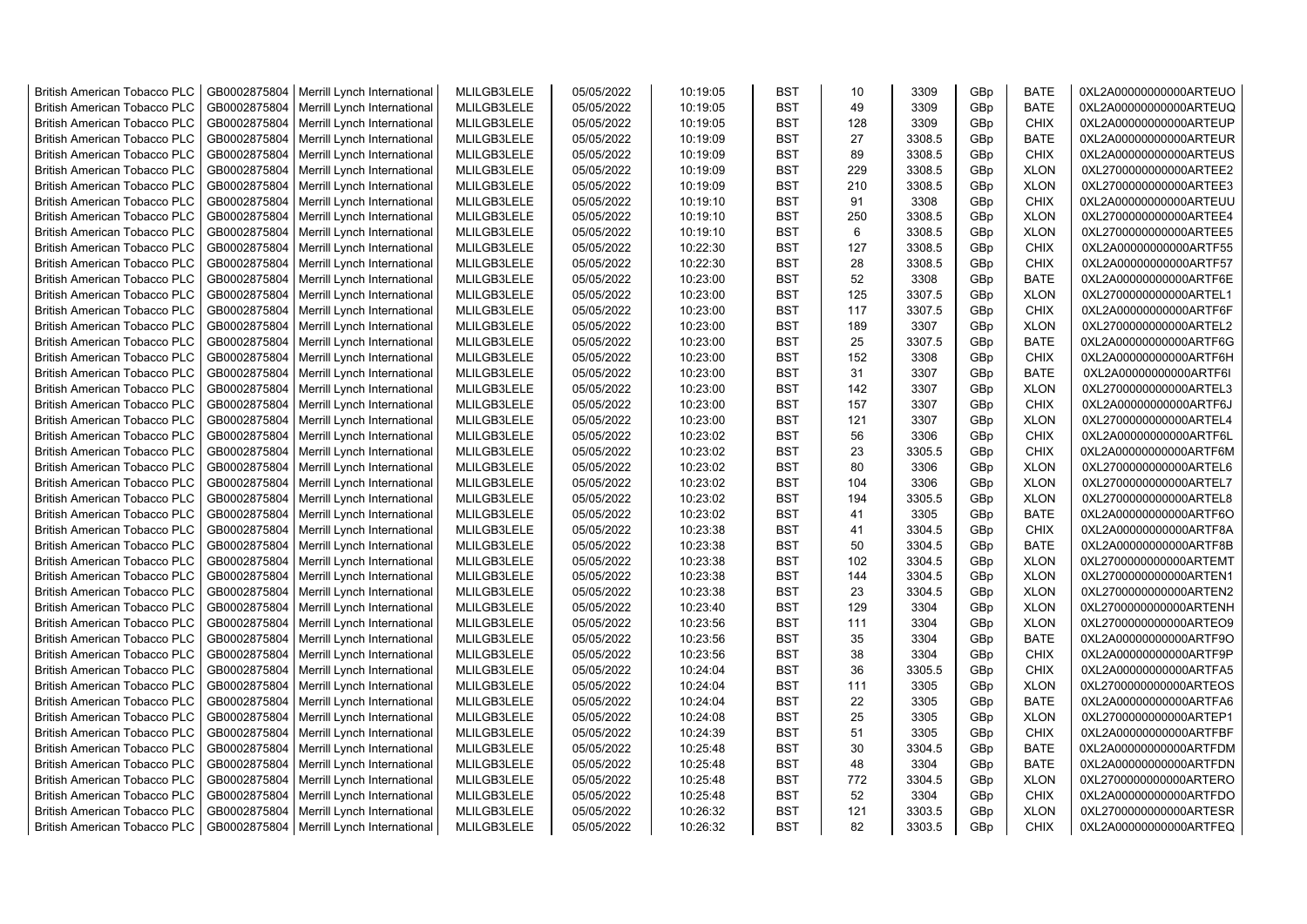| <b>British American Tobacco PLC</b> | GB0002875804 | Merrill Lynch International | MLILGB3LELE | 05/05/2022 | 10:19:05 | <b>BST</b> | 10  | 3309   | GBp             | <b>BATE</b> | 0XL2A00000000000ARTEUO |
|-------------------------------------|--------------|-----------------------------|-------------|------------|----------|------------|-----|--------|-----------------|-------------|------------------------|
| <b>British American Tobacco PLC</b> | GB0002875804 | Merrill Lynch International | MLILGB3LELE | 05/05/2022 | 10:19:05 | <b>BST</b> | 49  | 3309   | GBp             | <b>BATE</b> | 0XL2A00000000000ARTEUQ |
| <b>British American Tobacco PLC</b> | GB0002875804 | Merrill Lynch International | MLILGB3LELE | 05/05/2022 | 10:19:05 | <b>BST</b> | 128 | 3309   | GBp             | <b>CHIX</b> | 0XL2A00000000000ARTEUP |
| <b>British American Tobacco PLC</b> | GB0002875804 | Merrill Lynch International | MLILGB3LELE | 05/05/2022 | 10:19:09 | <b>BST</b> | 27  | 3308.5 | GBp             | <b>BATE</b> | 0XL2A00000000000ARTEUR |
| <b>British American Tobacco PLC</b> | GB0002875804 | Merrill Lynch International | MLILGB3LELE | 05/05/2022 | 10:19:09 | <b>BST</b> | 89  | 3308.5 | GB <sub>p</sub> | <b>CHIX</b> | 0XL2A00000000000ARTEUS |
| <b>British American Tobacco PLC</b> | GB0002875804 | Merrill Lynch International | MLILGB3LELE | 05/05/2022 | 10:19:09 | <b>BST</b> | 229 | 3308.5 | GBp             | <b>XLON</b> | 0XL2700000000000ARTEE2 |
| <b>British American Tobacco PLC</b> | GB0002875804 | Merrill Lynch International | MLILGB3LELE | 05/05/2022 | 10:19:09 | <b>BST</b> | 210 | 3308.5 | GBp             | <b>XLON</b> | 0XL2700000000000ARTEE3 |
| <b>British American Tobacco PLC</b> | GB0002875804 | Merrill Lynch International | MLILGB3LELE | 05/05/2022 | 10:19:10 | <b>BST</b> | 91  | 3308   | GBp             | <b>CHIX</b> | 0XL2A00000000000ARTEUU |
| <b>British American Tobacco PLC</b> | GB0002875804 | Merrill Lynch International | MLILGB3LELE | 05/05/2022 | 10:19:10 | <b>BST</b> | 250 | 3308.5 | GBp             | <b>XLON</b> | 0XL2700000000000ARTEE4 |
| <b>British American Tobacco PLC</b> | GB0002875804 | Merrill Lynch International | MLILGB3LELE | 05/05/2022 | 10:19:10 | <b>BST</b> | 6   | 3308.5 | GBp             | <b>XLON</b> | 0XL2700000000000ARTEE5 |
| <b>British American Tobacco PLC</b> | GB0002875804 | Merrill Lynch International | MLILGB3LELE | 05/05/2022 | 10:22:30 | <b>BST</b> | 127 | 3308.5 | GBp             | <b>CHIX</b> | 0XL2A00000000000ARTF55 |
| <b>British American Tobacco PLC</b> | GB0002875804 | Merrill Lynch International | MLILGB3LELE | 05/05/2022 | 10:22:30 | <b>BST</b> | 28  | 3308.5 | GBp             | <b>CHIX</b> | 0XL2A00000000000ARTF57 |
| <b>British American Tobacco PLC</b> | GB0002875804 | Merrill Lynch International | MLILGB3LELE | 05/05/2022 | 10:23:00 | <b>BST</b> | 52  | 3308   | GBp             | <b>BATE</b> | 0XL2A00000000000ARTF6E |
|                                     | GB0002875804 | Merrill Lynch International | MLILGB3LELE | 05/05/2022 | 10:23:00 | <b>BST</b> | 125 | 3307.5 | GBp             | <b>XLON</b> | 0XL2700000000000ARTEL1 |
| <b>British American Tobacco PLC</b> |              |                             |             |            |          |            | 117 |        |                 |             |                        |
| <b>British American Tobacco PLC</b> | GB0002875804 | Merrill Lynch International | MLILGB3LELE | 05/05/2022 | 10:23:00 | <b>BST</b> |     | 3307.5 | GBp             | <b>CHIX</b> | 0XL2A00000000000ARTF6F |
| <b>British American Tobacco PLC</b> | GB0002875804 | Merrill Lynch International | MLILGB3LELE | 05/05/2022 | 10:23:00 | <b>BST</b> | 189 | 3307   | GBp             | <b>XLON</b> | 0XL2700000000000ARTEL2 |
| <b>British American Tobacco PLC</b> | GB0002875804 | Merrill Lynch International | MLILGB3LELE | 05/05/2022 | 10:23:00 | <b>BST</b> | 25  | 3307.5 | GB <sub>p</sub> | <b>BATE</b> | 0XL2A00000000000ARTF6G |
| <b>British American Tobacco PLC</b> | GB0002875804 | Merrill Lynch International | MLILGB3LELE | 05/05/2022 | 10:23:00 | <b>BST</b> | 152 | 3308   | GBp             | <b>CHIX</b> | 0XL2A00000000000ARTF6H |
| <b>British American Tobacco PLC</b> | GB0002875804 | Merrill Lynch International | MLILGB3LELE | 05/05/2022 | 10:23:00 | <b>BST</b> | 31  | 3307   | GBp             | <b>BATE</b> | 0XL2A00000000000ARTF6I |
| <b>British American Tobacco PLC</b> | GB0002875804 | Merrill Lynch International | MLILGB3LELE | 05/05/2022 | 10:23:00 | <b>BST</b> | 142 | 3307   | GBp             | <b>XLON</b> | 0XL2700000000000ARTEL3 |
| <b>British American Tobacco PLC</b> | GB0002875804 | Merrill Lynch International | MLILGB3LELE | 05/05/2022 | 10:23:00 | <b>BST</b> | 157 | 3307   | GBp             | <b>CHIX</b> | 0XL2A00000000000ARTF6J |
| <b>British American Tobacco PLC</b> | GB0002875804 | Merrill Lynch International | MLILGB3LELE | 05/05/2022 | 10:23:00 | <b>BST</b> | 121 | 3307   | GB <sub>p</sub> | <b>XLON</b> | 0XL2700000000000ARTEL4 |
| <b>British American Tobacco PLC</b> | GB0002875804 | Merrill Lynch International | MLILGB3LELE | 05/05/2022 | 10:23:02 | <b>BST</b> | 56  | 3306   | GBp             | <b>CHIX</b> | 0XL2A00000000000ARTF6L |
| <b>British American Tobacco PLC</b> | GB0002875804 | Merrill Lynch International | MLILGB3LELE | 05/05/2022 | 10:23:02 | <b>BST</b> | 23  | 3305.5 | GBp             | <b>CHIX</b> | 0XL2A00000000000ARTF6M |
| <b>British American Tobacco PLC</b> | GB0002875804 | Merrill Lynch International | MLILGB3LELE | 05/05/2022 | 10:23:02 | <b>BST</b> | 80  | 3306   | GBp             | <b>XLON</b> | 0XL2700000000000ARTEL6 |
| <b>British American Tobacco PLC</b> | GB0002875804 | Merrill Lynch International | MLILGB3LELE | 05/05/2022 | 10:23:02 | <b>BST</b> | 104 | 3306   | GBp             | <b>XLON</b> | 0XL2700000000000ARTEL7 |
| <b>British American Tobacco PLC</b> | GB0002875804 | Merrill Lynch International | MLILGB3LELE | 05/05/2022 | 10:23:02 | <b>BST</b> | 194 | 3305.5 | GBp             | <b>XLON</b> | 0XL2700000000000ARTEL8 |
| <b>British American Tobacco PLC</b> | GB0002875804 | Merrill Lynch International | MLILGB3LELE | 05/05/2022 | 10:23:02 | <b>BST</b> | 41  | 3305   | GBp             | <b>BATE</b> | 0XL2A00000000000ARTF6O |
| <b>British American Tobacco PLC</b> | GB0002875804 | Merrill Lynch International | MLILGB3LELE | 05/05/2022 | 10:23:38 | <b>BST</b> | 41  | 3304.5 | GBp             | <b>CHIX</b> | 0XL2A00000000000ARTF8A |
| <b>British American Tobacco PLC</b> | GB0002875804 | Merrill Lynch International | MLILGB3LELE | 05/05/2022 | 10:23:38 | <b>BST</b> | 50  | 3304.5 | GBp             | <b>BATE</b> | 0XL2A00000000000ARTF8B |
| <b>British American Tobacco PLC</b> | GB0002875804 | Merrill Lynch International | MLILGB3LELE | 05/05/2022 | 10:23:38 | <b>BST</b> | 102 | 3304.5 | GBp             | <b>XLON</b> | 0XL2700000000000ARTEMT |
| <b>British American Tobacco PLC</b> | GB0002875804 | Merrill Lynch International | MLILGB3LELE | 05/05/2022 | 10:23:38 | <b>BST</b> | 144 | 3304.5 | GBp             | <b>XLON</b> | 0XL2700000000000ARTEN1 |
| <b>British American Tobacco PLC</b> | GB0002875804 | Merrill Lynch International | MLILGB3LELE | 05/05/2022 | 10:23:38 | <b>BST</b> | 23  | 3304.5 | GBp             | <b>XLON</b> | 0XL2700000000000ARTEN2 |
| <b>British American Tobacco PLC</b> | GB0002875804 | Merrill Lynch International | MLILGB3LELE | 05/05/2022 | 10:23:40 | <b>BST</b> | 129 | 3304   | GBp             | <b>XLON</b> | 0XL2700000000000ARTENH |
| <b>British American Tobacco PLC</b> | GB0002875804 | Merrill Lynch International | MLILGB3LELE | 05/05/2022 | 10:23:56 | <b>BST</b> | 111 | 3304   | GBp             | <b>XLON</b> | 0XL2700000000000ARTEO9 |
| <b>British American Tobacco PLC</b> | GB0002875804 | Merrill Lynch International | MLILGB3LELE | 05/05/2022 | 10:23:56 | <b>BST</b> | 35  | 3304   | GBp             | <b>BATE</b> | 0XL2A00000000000ARTF9O |
| <b>British American Tobacco PLC</b> | GB0002875804 | Merrill Lynch International | MLILGB3LELE | 05/05/2022 | 10:23:56 | <b>BST</b> | 38  | 3304   | GBp             | <b>CHIX</b> | 0XL2A00000000000ARTF9P |
| <b>British American Tobacco PLC</b> | GB0002875804 | Merrill Lynch International | MLILGB3LELE | 05/05/2022 | 10:24:04 | <b>BST</b> | 36  | 3305.5 | GBp             | <b>CHIX</b> | 0XL2A00000000000ARTFA5 |
| <b>British American Tobacco PLC</b> | GB0002875804 | Merrill Lynch International | MLILGB3LELE | 05/05/2022 | 10:24:04 | <b>BST</b> | 111 | 3305   | GB <sub>p</sub> | <b>XLON</b> | 0XL2700000000000ARTEOS |
| <b>British American Tobacco PLC</b> | GB0002875804 | Merrill Lynch International | MLILGB3LELE | 05/05/2022 | 10:24:04 | <b>BST</b> | 22  | 3305   | GBp             | <b>BATE</b> | 0XL2A00000000000ARTFA6 |
| <b>British American Tobacco PLC</b> | GB0002875804 | Merrill Lynch International | MLILGB3LELE | 05/05/2022 | 10:24:08 | <b>BST</b> | 25  | 3305   | GBp             | <b>XLON</b> | 0XL2700000000000ARTEP1 |
| <b>British American Tobacco PLC</b> | GB0002875804 | Merrill Lynch International | MLILGB3LELE | 05/05/2022 | 10:24:39 | <b>BST</b> | 51  | 3305   | GBp             | <b>CHIX</b> | 0XL2A00000000000ARTFBF |
| <b>British American Tobacco PLC</b> | GB0002875804 | Merrill Lynch International | MLILGB3LELE | 05/05/2022 | 10:25:48 | <b>BST</b> | 30  | 3304.5 | GBp             | <b>BATE</b> | 0XL2A00000000000ARTFDM |
| <b>British American Tobacco PLC</b> | GB0002875804 | Merrill Lynch International | MLILGB3LELE | 05/05/2022 | 10:25:48 | <b>BST</b> | 48  | 3304   | GBp             | <b>BATE</b> | 0XL2A00000000000ARTFDN |
| <b>British American Tobacco PLC</b> | GB0002875804 | Merrill Lynch International | MLILGB3LELE | 05/05/2022 | 10:25:48 | <b>BST</b> | 772 | 3304.5 | GBp             | <b>XLON</b> | 0XL2700000000000ARTERO |
| <b>British American Tobacco PLC</b> | GB0002875804 | Merrill Lynch International | MLILGB3LELE | 05/05/2022 | 10:25:48 | <b>BST</b> | 52  | 3304   | GBp             | <b>CHIX</b> | 0XL2A00000000000ARTFDO |
| <b>British American Tobacco PLC</b> | GB0002875804 | Merrill Lynch International | MLILGB3LELE | 05/05/2022 | 10:26:32 | <b>BST</b> | 121 | 3303.5 | GBp             | <b>XLON</b> | 0XL2700000000000ARTESR |
| <b>British American Tobacco PLC</b> | GB0002875804 | Merrill Lynch International | MLILGB3LELE | 05/05/2022 | 10:26:32 | <b>BST</b> | 82  | 3303.5 | GBp             | <b>CHIX</b> | 0XL2A00000000000ARTFEQ |
|                                     |              |                             |             |            |          |            |     |        |                 |             |                        |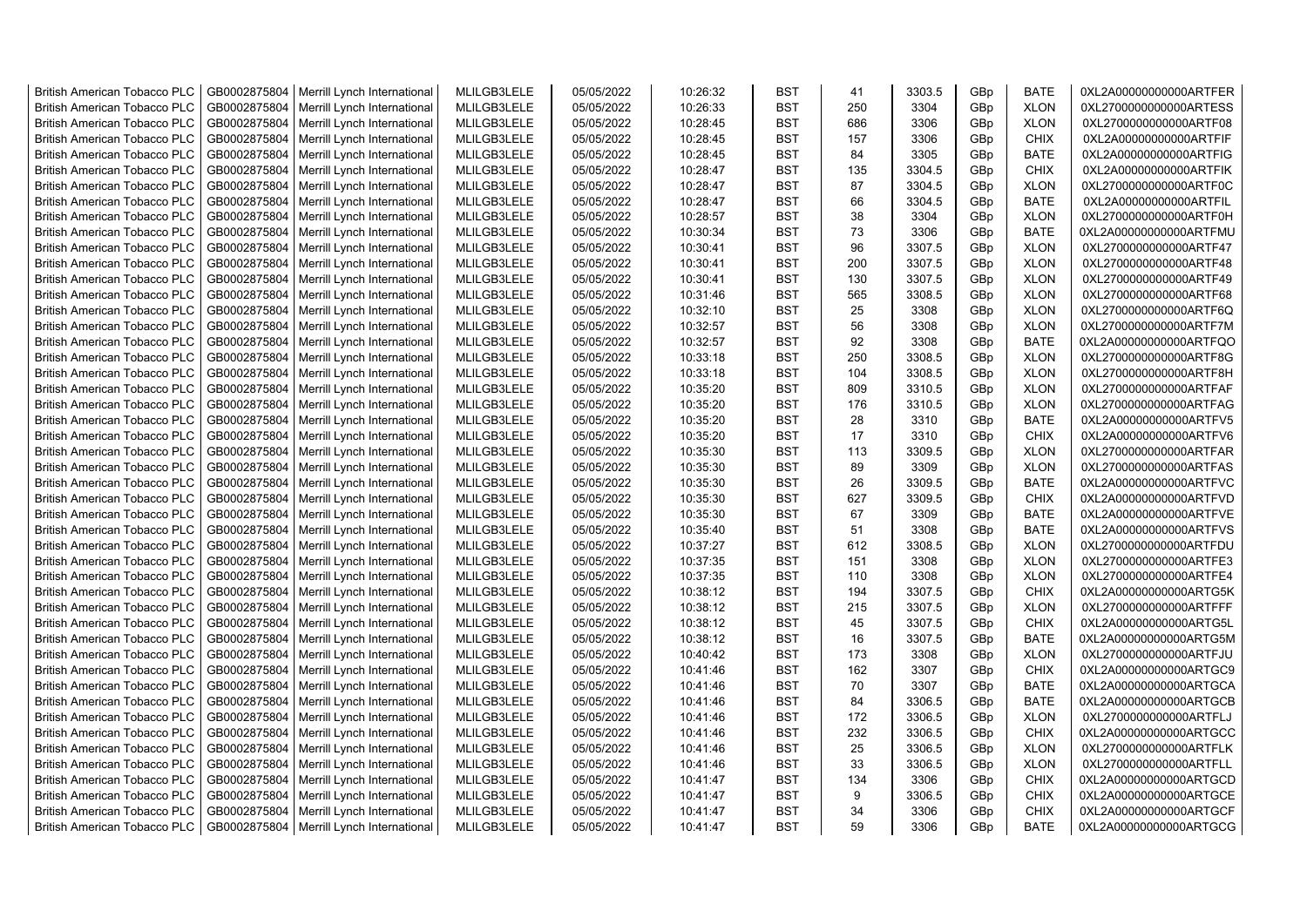| <b>British American Tobacco PLC</b> | GB0002875804 | Merrill Lynch International | MLILGB3LELE | 05/05/2022 | 10:26:32 | <b>BST</b> | 41  | 3303.5 | GBp             | <b>BATE</b>                | 0XL2A00000000000ARTFER |
|-------------------------------------|--------------|-----------------------------|-------------|------------|----------|------------|-----|--------|-----------------|----------------------------|------------------------|
| <b>British American Tobacco PLC</b> | GB0002875804 | Merrill Lynch International | MLILGB3LELE | 05/05/2022 | 10:26:33 | <b>BST</b> | 250 | 3304   | GBp             | <b>XLON</b>                | 0XL2700000000000ARTESS |
| <b>British American Tobacco PLC</b> | GB0002875804 | Merrill Lynch International | MLILGB3LELE | 05/05/2022 | 10:28:45 | <b>BST</b> | 686 | 3306   | GBp             | <b>XLON</b>                | 0XL2700000000000ARTF08 |
| <b>British American Tobacco PLC</b> | GB0002875804 | Merrill Lynch International | MLILGB3LELE | 05/05/2022 | 10:28:45 | <b>BST</b> | 157 | 3306   | GBp             | <b>CHIX</b>                | 0XL2A00000000000ARTFIF |
| British American Tobacco PLC        | GB0002875804 | Merrill Lynch International | MLILGB3LELE | 05/05/2022 | 10:28:45 | <b>BST</b> | 84  | 3305   | GBp             | <b>BATE</b>                | 0XL2A00000000000ARTFIG |
| <b>British American Tobacco PLC</b> | GB0002875804 | Merrill Lynch International | MLILGB3LELE | 05/05/2022 | 10:28:47 | <b>BST</b> | 135 | 3304.5 | GBp             | <b>CHIX</b>                | 0XL2A00000000000ARTFIK |
| <b>British American Tobacco PLC</b> | GB0002875804 | Merrill Lynch International | MLILGB3LELE | 05/05/2022 | 10:28:47 | <b>BST</b> | 87  | 3304.5 | GBp             | <b>XLON</b>                | 0XL2700000000000ARTF0C |
| <b>British American Tobacco PLC</b> | GB0002875804 | Merrill Lynch International | MLILGB3LELE | 05/05/2022 | 10:28:47 | <b>BST</b> | 66  | 3304.5 | GBp             | <b>BATE</b>                | 0XL2A00000000000ARTFIL |
| <b>British American Tobacco PLC</b> | GB0002875804 | Merrill Lynch International | MLILGB3LELE | 05/05/2022 | 10:28:57 | <b>BST</b> | 38  | 3304   | GBp             | <b>XLON</b>                | 0XL2700000000000ARTF0H |
| <b>British American Tobacco PLC</b> | GB0002875804 | Merrill Lynch International | MLILGB3LELE | 05/05/2022 | 10:30:34 | <b>BST</b> | 73  | 3306   | GBp             | <b>BATE</b>                | 0XL2A00000000000ARTFMU |
| <b>British American Tobacco PLC</b> | GB0002875804 | Merrill Lynch International | MLILGB3LELE | 05/05/2022 | 10:30:41 | <b>BST</b> | 96  | 3307.5 | GBp             | <b>XLON</b>                | 0XL2700000000000ARTF47 |
| British American Tobacco PLC        | GB0002875804 | Merrill Lynch International | MLILGB3LELE | 05/05/2022 | 10:30:41 | <b>BST</b> | 200 | 3307.5 | GBp             | <b>XLON</b>                | 0XL2700000000000ARTF48 |
| <b>British American Tobacco PLC</b> | GB0002875804 | Merrill Lynch International | MLILGB3LELE | 05/05/2022 | 10:30:41 | <b>BST</b> | 130 | 3307.5 | GB <sub>p</sub> | <b>XLON</b>                | 0XL2700000000000ARTF49 |
| <b>British American Tobacco PLC</b> | GB0002875804 | Merrill Lynch International | MLILGB3LELE | 05/05/2022 | 10:31:46 | <b>BST</b> | 565 | 3308.5 | GBp             | <b>XLON</b>                | 0XL2700000000000ARTF68 |
| <b>British American Tobacco PLC</b> | GB0002875804 | Merrill Lynch International | MLILGB3LELE | 05/05/2022 | 10:32:10 | <b>BST</b> | 25  | 3308   | GBp             | <b>XLON</b>                | 0XL2700000000000ARTF6Q |
| <b>British American Tobacco PLC</b> | GB0002875804 | Merrill Lynch International | MLILGB3LELE | 05/05/2022 | 10:32:57 | <b>BST</b> | 56  | 3308   | GBp             | <b>XLON</b>                | 0XL2700000000000ARTF7M |
| <b>British American Tobacco PLC</b> | GB0002875804 | Merrill Lynch International | MLILGB3LELE | 05/05/2022 | 10:32:57 | <b>BST</b> | 92  | 3308   | GBp             | <b>BATE</b>                | 0XL2A00000000000ARTFQO |
| <b>British American Tobacco PLC</b> | GB0002875804 | Merrill Lynch International | MLILGB3LELE | 05/05/2022 | 10:33:18 | <b>BST</b> | 250 | 3308.5 | GBp             | <b>XLON</b>                | 0XL2700000000000ARTF8G |
| British American Tobacco PLC        | GB0002875804 | Merrill Lynch International | MLILGB3LELE | 05/05/2022 | 10:33:18 | <b>BST</b> | 104 | 3308.5 | GBp             | <b>XLON</b>                | 0XL2700000000000ARTF8H |
| <b>British American Tobacco PLC</b> | GB0002875804 | Merrill Lynch International | MLILGB3LELE | 05/05/2022 | 10:35:20 | <b>BST</b> | 809 | 3310.5 | GBp             | <b>XLON</b>                | 0XL2700000000000ARTFAF |
| <b>British American Tobacco PLC</b> | GB0002875804 | Merrill Lynch International | MLILGB3LELE | 05/05/2022 | 10:35:20 | <b>BST</b> | 176 | 3310.5 | GBp             | <b>XLON</b>                | 0XL2700000000000ARTFAG |
| <b>British American Tobacco PLC</b> | GB0002875804 | Merrill Lynch International | MLILGB3LELE | 05/05/2022 | 10:35:20 | <b>BST</b> | 28  | 3310   | GBp             | <b>BATE</b>                | 0XL2A00000000000ARTFV5 |
| <b>British American Tobacco PLC</b> | GB0002875804 | Merrill Lynch International | MLILGB3LELE | 05/05/2022 | 10:35:20 | <b>BST</b> | 17  | 3310   | GBp             | <b>CHIX</b>                | 0XL2A00000000000ARTFV6 |
| <b>British American Tobacco PLC</b> | GB0002875804 | Merrill Lynch International | MLILGB3LELE | 05/05/2022 | 10:35:30 | <b>BST</b> | 113 | 3309.5 | GBp             | <b>XLON</b>                | 0XL2700000000000ARTFAR |
| <b>British American Tobacco PLC</b> | GB0002875804 | Merrill Lynch International | MLILGB3LELE | 05/05/2022 | 10:35:30 | <b>BST</b> | 89  | 3309   | GBp             |                            | 0XL2700000000000ARTFAS |
| British American Tobacco PLC        | GB0002875804 | Merrill Lynch International | MLILGB3LELE | 05/05/2022 | 10:35:30 | <b>BST</b> | 26  | 3309.5 | GBp             | <b>XLON</b><br><b>BATE</b> | 0XL2A00000000000ARTFVC |
| <b>British American Tobacco PLC</b> | GB0002875804 | Merrill Lynch International | MLILGB3LELE | 05/05/2022 | 10:35:30 | <b>BST</b> | 627 | 3309.5 | GBp             | <b>CHIX</b>                | 0XL2A00000000000ARTFVD |
|                                     | GB0002875804 |                             | MLILGB3LELE | 05/05/2022 | 10:35:30 | <b>BST</b> | 67  | 3309   |                 | <b>BATE</b>                | 0XL2A00000000000ARTFVE |
| British American Tobacco PLC        | GB0002875804 | Merrill Lynch International | MLILGB3LELE | 05/05/2022 |          | <b>BST</b> | 51  |        | GBp             | <b>BATE</b>                |                        |
| <b>British American Tobacco PLC</b> |              | Merrill Lynch International |             |            | 10:35:40 | <b>BST</b> | 612 | 3308   | GBp             |                            | 0XL2A00000000000ARTFVS |
| <b>British American Tobacco PLC</b> | GB0002875804 | Merrill Lynch International | MLILGB3LELE | 05/05/2022 | 10:37:27 |            |     | 3308.5 | GBp             | <b>XLON</b>                | 0XL2700000000000ARTFDU |
| <b>British American Tobacco PLC</b> | GB0002875804 | Merrill Lynch International | MLILGB3LELE | 05/05/2022 | 10:37:35 | <b>BST</b> | 151 | 3308   | GBp             | <b>XLON</b>                | 0XL2700000000000ARTFE3 |
| <b>British American Tobacco PLC</b> | GB0002875804 | Merrill Lynch International | MLILGB3LELE | 05/05/2022 | 10:37:35 | <b>BST</b> | 110 | 3308   | GBp             | <b>XLON</b>                | 0XL2700000000000ARTFE4 |
| <b>British American Tobacco PLC</b> | GB0002875804 | Merrill Lynch International | MLILGB3LELE | 05/05/2022 | 10:38:12 | <b>BST</b> | 194 | 3307.5 | GBp             | <b>CHIX</b>                | 0XL2A00000000000ARTG5K |
| <b>British American Tobacco PLC</b> | GB0002875804 | Merrill Lynch International | MLILGB3LELE | 05/05/2022 | 10:38:12 | <b>BST</b> | 215 | 3307.5 | GBp             | <b>XLON</b>                | 0XL2700000000000ARTFFF |
| <b>British American Tobacco PLC</b> | GB0002875804 | Merrill Lynch International | MLILGB3LELE | 05/05/2022 | 10:38:12 | <b>BST</b> | 45  | 3307.5 | GBp             | <b>CHIX</b>                | 0XL2A00000000000ARTG5L |
| <b>British American Tobacco PLC</b> | GB0002875804 | Merrill Lynch International | MLILGB3LELE | 05/05/2022 | 10:38:12 | <b>BST</b> | 16  | 3307.5 | GBp             | <b>BATE</b>                | 0XL2A00000000000ARTG5M |
| British American Tobacco PLC        | GB0002875804 | Merrill Lynch International | MLILGB3LELE | 05/05/2022 | 10:40:42 | <b>BST</b> | 173 | 3308   | GBp             | <b>XLON</b>                | 0XL2700000000000ARTFJU |
| <b>British American Tobacco PLC</b> | GB0002875804 | Merrill Lynch International | MLILGB3LELE | 05/05/2022 | 10:41:46 | <b>BST</b> | 162 | 3307   | GBp             | <b>CHIX</b>                | 0XL2A00000000000ARTGC9 |
| <b>British American Tobacco PLC</b> | GB0002875804 | Merrill Lynch International | MLILGB3LELE | 05/05/2022 | 10:41:46 | <b>BST</b> | 70  | 3307   | GBp             | <b>BATE</b>                | 0XL2A00000000000ARTGCA |
| <b>British American Tobacco PLC</b> | GB0002875804 | Merrill Lynch International | MLILGB3LELE | 05/05/2022 | 10:41:46 | <b>BST</b> | 84  | 3306.5 | GBp             | <b>BATE</b>                | 0XL2A00000000000ARTGCB |
| British American Tobacco PLC        | GB0002875804 | Merrill Lynch International | MLILGB3LELE | 05/05/2022 | 10:41:46 | <b>BST</b> | 172 | 3306.5 | GBp             | <b>XLON</b>                | 0XL2700000000000ARTFLJ |
| <b>British American Tobacco PLC</b> | GB0002875804 | Merrill Lynch International | MLILGB3LELE | 05/05/2022 | 10:41:46 | <b>BST</b> | 232 | 3306.5 | GBp             | <b>CHIX</b>                | 0XL2A00000000000ARTGCC |
| British American Tobacco PLC        | GB0002875804 | Merrill Lynch International | MLILGB3LELE | 05/05/2022 | 10:41:46 | <b>BST</b> | 25  | 3306.5 | GBp             | <b>XLON</b>                | 0XL2700000000000ARTFLK |
| British American Tobacco PLC        | GB0002875804 | Merrill Lynch International | MLILGB3LELE | 05/05/2022 | 10:41:46 | <b>BST</b> | 33  | 3306.5 | GBp             | <b>XLON</b>                | 0XL2700000000000ARTFLL |
| <b>British American Tobacco PLC</b> | GB0002875804 | Merrill Lynch International | MLILGB3LELE | 05/05/2022 | 10:41:47 | <b>BST</b> | 134 | 3306   | GBp             | <b>CHIX</b>                | 0XL2A00000000000ARTGCD |
| <b>British American Tobacco PLC</b> | GB0002875804 | Merrill Lynch International | MLILGB3LELE | 05/05/2022 | 10:41:47 | <b>BST</b> | 9   | 3306.5 | GBp             | <b>CHIX</b>                | 0XL2A00000000000ARTGCE |
| <b>British American Tobacco PLC</b> | GB0002875804 | Merrill Lynch International | MLILGB3LELE | 05/05/2022 | 10:41:47 | <b>BST</b> | 34  | 3306   | GB <sub>p</sub> | <b>CHIX</b>                | 0XL2A00000000000ARTGCF |
| <b>British American Tobacco PLC</b> | GB0002875804 | Merrill Lynch International | MLILGB3LELE | 05/05/2022 | 10:41:47 | <b>BST</b> | 59  | 3306   | GB <sub>p</sub> | <b>BATE</b>                | 0XL2A00000000000ARTGCG |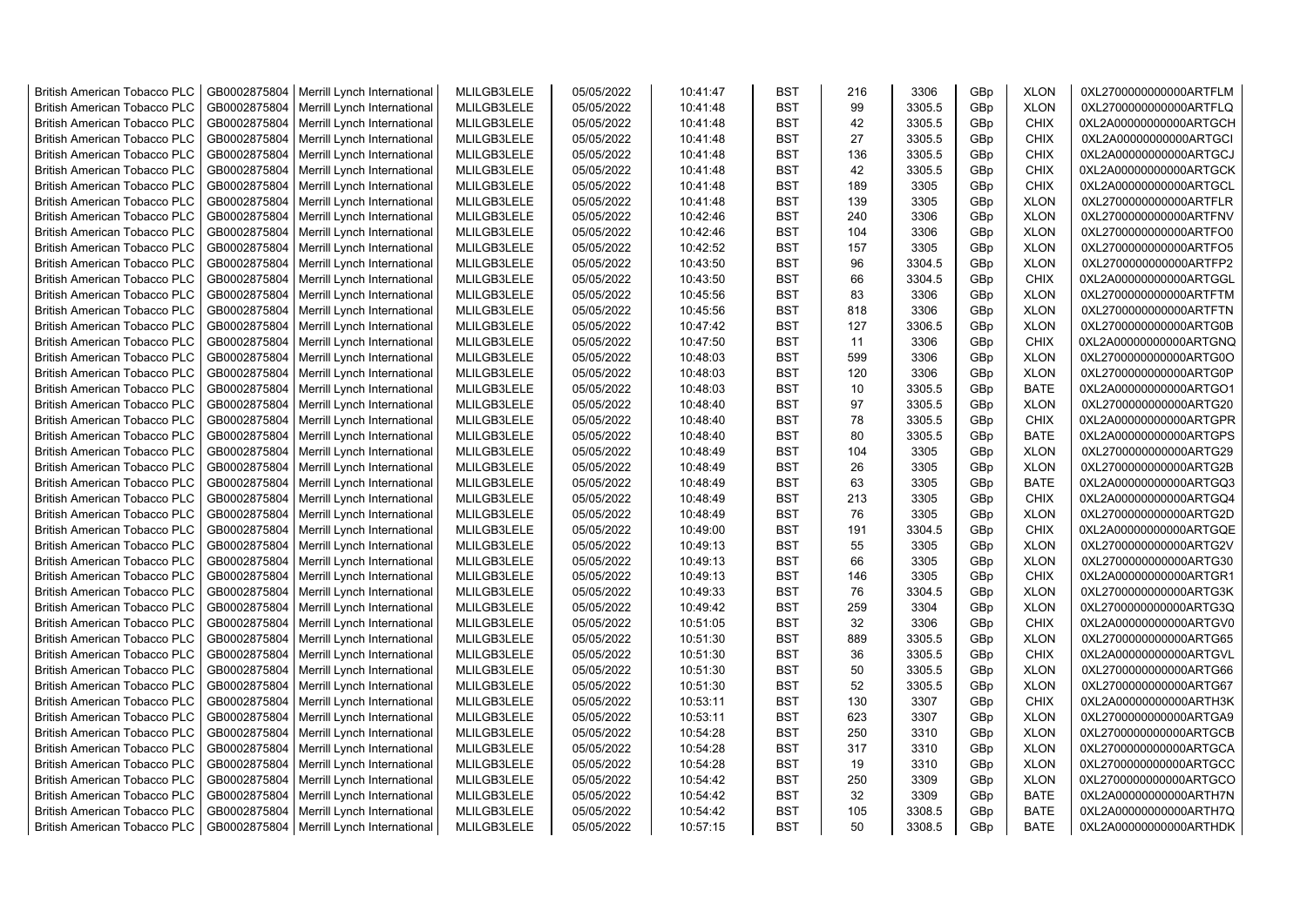| <b>British American Tobacco PLC</b> | GB0002875804 | Merrill Lynch International | MLILGB3LELE | 05/05/2022 | 10:41:47 | <b>BST</b> | 216 | 3306   | GBp             | <b>XLON</b> | 0XL2700000000000ARTFLM |
|-------------------------------------|--------------|-----------------------------|-------------|------------|----------|------------|-----|--------|-----------------|-------------|------------------------|
| <b>British American Tobacco PLC</b> | GB0002875804 | Merrill Lynch International | MLILGB3LELE | 05/05/2022 | 10:41:48 | <b>BST</b> | 99  | 3305.5 | GBp             | <b>XLON</b> | 0XL2700000000000ARTFLQ |
| <b>British American Tobacco PLC</b> | GB0002875804 | Merrill Lynch International | MLILGB3LELE | 05/05/2022 | 10:41:48 | <b>BST</b> | 42  | 3305.5 | GBp             | <b>CHIX</b> | 0XL2A00000000000ARTGCH |
| <b>British American Tobacco PLC</b> | GB0002875804 | Merrill Lynch International | MLILGB3LELE | 05/05/2022 | 10:41:48 | <b>BST</b> | 27  | 3305.5 | GBp             | <b>CHIX</b> | 0XL2A00000000000ARTGCI |
| <b>British American Tobacco PLC</b> | GB0002875804 | Merrill Lynch International | MLILGB3LELE | 05/05/2022 | 10:41:48 | <b>BST</b> | 136 | 3305.5 | GBp             | <b>CHIX</b> | 0XL2A00000000000ARTGCJ |
| <b>British American Tobacco PLC</b> | GB0002875804 | Merrill Lynch International | MLILGB3LELE | 05/05/2022 | 10:41:48 | <b>BST</b> | 42  | 3305.5 | GBp             | <b>CHIX</b> | 0XL2A00000000000ARTGCK |
| <b>British American Tobacco PLC</b> | GB0002875804 | Merrill Lynch International | MLILGB3LELE | 05/05/2022 | 10:41:48 | <b>BST</b> | 189 | 3305   | GBp             | <b>CHIX</b> | 0XL2A00000000000ARTGCL |
| <b>British American Tobacco PLC</b> | GB0002875804 | Merrill Lynch International | MLILGB3LELE | 05/05/2022 | 10:41:48 | <b>BST</b> | 139 | 3305   | GBp             | <b>XLON</b> | 0XL2700000000000ARTFLR |
| <b>British American Tobacco PLC</b> | GB0002875804 | Merrill Lynch International | MLILGB3LELE | 05/05/2022 | 10:42:46 | <b>BST</b> | 240 | 3306   | GBp             | <b>XLON</b> | 0XL2700000000000ARTFNV |
| <b>British American Tobacco PLC</b> | GB0002875804 | Merrill Lynch International | MLILGB3LELE | 05/05/2022 | 10:42:46 | <b>BST</b> | 104 | 3306   | GBp             | <b>XLON</b> | 0XL2700000000000ARTFO0 |
| <b>British American Tobacco PLC</b> | GB0002875804 | Merrill Lynch International | MLILGB3LELE | 05/05/2022 | 10:42:52 | <b>BST</b> | 157 | 3305   | GBp             | <b>XLON</b> | 0XL2700000000000ARTFO5 |
| <b>British American Tobacco PLC</b> | GB0002875804 | Merrill Lynch International | MLILGB3LELE | 05/05/2022 | 10:43:50 | <b>BST</b> | 96  | 3304.5 | GBp             | <b>XLON</b> | 0XL2700000000000ARTFP2 |
| <b>British American Tobacco PLC</b> | GB0002875804 | Merrill Lynch International | MLILGB3LELE | 05/05/2022 | 10:43:50 | BST        | 66  | 3304.5 | GBp             | <b>CHIX</b> | 0XL2A00000000000ARTGGL |
| <b>British American Tobacco PLC</b> | GB0002875804 | Merrill Lynch International | MLILGB3LELE | 05/05/2022 | 10:45:56 | <b>BST</b> | 83  | 3306   | GBp             | <b>XLON</b> | 0XL2700000000000ARTFTM |
| <b>British American Tobacco PLC</b> | GB0002875804 | Merrill Lynch International | MLILGB3LELE | 05/05/2022 | 10:45:56 | <b>BST</b> | 818 | 3306   | GBp             | <b>XLON</b> | 0XL2700000000000ARTFTN |
| <b>British American Tobacco PLC</b> | GB0002875804 | Merrill Lynch International | MLILGB3LELE | 05/05/2022 | 10:47:42 | <b>BST</b> | 127 | 3306.5 | GBp             | <b>XLON</b> | 0XL2700000000000ARTG0B |
| British American Tobacco PLC        | GB0002875804 | Merrill Lynch International | MLILGB3LELE | 05/05/2022 | 10:47:50 | <b>BST</b> | 11  | 3306   | GBp             | <b>CHIX</b> | 0XL2A00000000000ARTGNQ |
| <b>British American Tobacco PLC</b> | GB0002875804 | Merrill Lynch International | MLILGB3LELE | 05/05/2022 | 10:48:03 | <b>BST</b> | 599 | 3306   | GBp             | <b>XLON</b> | 0XL2700000000000ARTG0O |
| <b>British American Tobacco PLC</b> | GB0002875804 | Merrill Lynch International | MLILGB3LELE | 05/05/2022 | 10:48:03 | <b>BST</b> | 120 | 3306   | GBp             | <b>XLON</b> | 0XL2700000000000ARTG0P |
| <b>British American Tobacco PLC</b> | GB0002875804 | Merrill Lynch International | MLILGB3LELE | 05/05/2022 | 10:48:03 | <b>BST</b> | 10  | 3305.5 | GBp             | <b>BATE</b> | 0XL2A00000000000ARTGO1 |
| <b>British American Tobacco PLC</b> | GB0002875804 | Merrill Lynch International | MLILGB3LELE | 05/05/2022 | 10:48:40 | <b>BST</b> | 97  | 3305.5 | GBp             | <b>XLON</b> | 0XL2700000000000ARTG20 |
| <b>British American Tobacco PLC</b> | GB0002875804 | Merrill Lynch International | MLILGB3LELE | 05/05/2022 | 10:48:40 | <b>BST</b> | 78  | 3305.5 | GBp             | <b>CHIX</b> | 0XL2A00000000000ARTGPR |
| <b>British American Tobacco PLC</b> | GB0002875804 | Merrill Lynch International | MLILGB3LELE | 05/05/2022 | 10:48:40 | <b>BST</b> | 80  | 3305.5 | GBp             | <b>BATE</b> | 0XL2A00000000000ARTGPS |
| <b>British American Tobacco PLC</b> | GB0002875804 | Merrill Lynch International | MLILGB3LELE | 05/05/2022 | 10:48:49 | <b>BST</b> | 104 | 3305   | GBp             | <b>XLON</b> | 0XL2700000000000ARTG29 |
| <b>British American Tobacco PLC</b> | GB0002875804 | Merrill Lynch International | MLILGB3LELE | 05/05/2022 | 10:48:49 | <b>BST</b> | 26  | 3305   | GBp             | <b>XLON</b> | 0XL2700000000000ARTG2B |
| <b>British American Tobacco PLC</b> | GB0002875804 | Merrill Lynch International | MLILGB3LELE | 05/05/2022 | 10:48:49 | <b>BST</b> | 63  | 3305   | GBp             | <b>BATE</b> | 0XL2A00000000000ARTGQ3 |
| <b>British American Tobacco PLC</b> | GB0002875804 | Merrill Lynch International | MLILGB3LELE | 05/05/2022 | 10:48:49 | <b>BST</b> | 213 | 3305   | GBp             | <b>CHIX</b> | 0XL2A00000000000ARTGQ4 |
| <b>British American Tobacco PLC</b> | GB0002875804 | Merrill Lynch International | MLILGB3LELE | 05/05/2022 | 10:48:49 | <b>BST</b> | 76  | 3305   | GBp             | <b>XLON</b> | 0XL2700000000000ARTG2D |
| <b>British American Tobacco PLC</b> | GB0002875804 | Merrill Lynch International | MLILGB3LELE | 05/05/2022 | 10:49:00 | <b>BST</b> | 191 | 3304.5 | GBp             | CHIX        | 0XL2A00000000000ARTGQE |
| <b>British American Tobacco PLC</b> | GB0002875804 | Merrill Lynch International | MLILGB3LELE | 05/05/2022 | 10:49:13 | <b>BST</b> | 55  | 3305   | GBp             | <b>XLON</b> | 0XL2700000000000ARTG2V |
| <b>British American Tobacco PLC</b> | GB0002875804 | Merrill Lynch International | MLILGB3LELE | 05/05/2022 | 10:49:13 | <b>BST</b> | 66  | 3305   | GBp             | <b>XLON</b> | 0XL2700000000000ARTG30 |
| <b>British American Tobacco PLC</b> | GB0002875804 | Merrill Lynch International | MLILGB3LELE | 05/05/2022 | 10:49:13 | <b>BST</b> | 146 | 3305   | GBp             | CHIX        | 0XL2A00000000000ARTGR1 |
| <b>British American Tobacco PLC</b> | GB0002875804 | Merrill Lynch International | MLILGB3LELE | 05/05/2022 | 10:49:33 | <b>BST</b> | 76  | 3304.5 | GBp             | <b>XLON</b> | 0XL2700000000000ARTG3K |
| <b>British American Tobacco PLC</b> | GB0002875804 | Merrill Lynch International | MLILGB3LELE | 05/05/2022 | 10:49:42 | BST        | 259 | 3304   | GBp             | <b>XLON</b> | 0XL2700000000000ARTG3Q |
| <b>British American Tobacco PLC</b> | GB0002875804 | Merrill Lynch International | MLILGB3LELE | 05/05/2022 | 10:51:05 | <b>BST</b> | 32  | 3306   | GBp             | CHIX        | 0XL2A00000000000ARTGV0 |
| British American Tobacco PLC        | GB0002875804 | Merrill Lynch International | MLILGB3LELE | 05/05/2022 | 10:51:30 | <b>BST</b> | 889 | 3305.5 | GBp             | <b>XLON</b> | 0XL2700000000000ARTG65 |
| <b>British American Tobacco PLC</b> | GB0002875804 | Merrill Lynch International | MLILGB3LELE | 05/05/2022 | 10:51:30 | <b>BST</b> | 36  | 3305.5 | GBp             | CHIX        | 0XL2A00000000000ARTGVL |
| British American Tobacco PLC        | GB0002875804 | Merrill Lynch International | MLILGB3LELE | 05/05/2022 | 10:51:30 | <b>BST</b> | 50  | 3305.5 | GBp             | <b>XLON</b> | 0XL2700000000000ARTG66 |
| <b>British American Tobacco PLC</b> | GB0002875804 | Merrill Lynch International | MLILGB3LELE | 05/05/2022 | 10:51:30 | <b>BST</b> | 52  | 3305.5 | GBp             | <b>XLON</b> | 0XL2700000000000ARTG67 |
| <b>British American Tobacco PLC</b> | GB0002875804 | Merrill Lynch International | MLILGB3LELE | 05/05/2022 | 10:53:11 | <b>BST</b> | 130 | 3307   | GB <sub>p</sub> | <b>CHIX</b> | 0XL2A00000000000ARTH3K |
| <b>British American Tobacco PLC</b> | GB0002875804 | Merrill Lynch International | MLILGB3LELE | 05/05/2022 | 10:53:11 | <b>BST</b> | 623 | 3307   | GBp             | <b>XLON</b> | 0XL2700000000000ARTGA9 |
| <b>British American Tobacco PLC</b> | GB0002875804 | Merrill Lynch International | MLILGB3LELE | 05/05/2022 | 10:54:28 | <b>BST</b> | 250 | 3310   | GBp             | <b>XLON</b> | 0XL2700000000000ARTGCB |
| <b>British American Tobacco PLC</b> | GB0002875804 | Merrill Lynch International | MLILGB3LELE | 05/05/2022 | 10:54:28 | <b>BST</b> | 317 | 3310   | GBp             | <b>XLON</b> | 0XL2700000000000ARTGCA |
| <b>British American Tobacco PLC</b> | GB0002875804 | Merrill Lynch International | MLILGB3LELE | 05/05/2022 | 10:54:28 | <b>BST</b> | 19  | 3310   | GBp             | <b>XLON</b> | 0XL2700000000000ARTGCC |
| <b>British American Tobacco PLC</b> | GB0002875804 | Merrill Lynch International | MLILGB3LELE | 05/05/2022 | 10:54:42 | <b>BST</b> | 250 | 3309   | GBp             | <b>XLON</b> | 0XL2700000000000ARTGCO |
| <b>British American Tobacco PLC</b> | GB0002875804 | Merrill Lynch International | MLILGB3LELE | 05/05/2022 | 10:54:42 | <b>BST</b> | 32  | 3309   | GBp             | <b>BATE</b> | 0XL2A00000000000ARTH7N |
| <b>British American Tobacco PLC</b> | GB0002875804 | Merrill Lynch International | MLILGB3LELE | 05/05/2022 | 10:54:42 | <b>BST</b> | 105 | 3308.5 | GBp             | <b>BATE</b> | 0XL2A00000000000ARTH7Q |
| <b>British American Tobacco PLC</b> | GB0002875804 | Merrill Lynch International | MLILGB3LELE | 05/05/2022 | 10:57:15 | <b>BST</b> | 50  | 3308.5 | GB <sub>p</sub> | <b>BATE</b> | 0XL2A00000000000ARTHDK |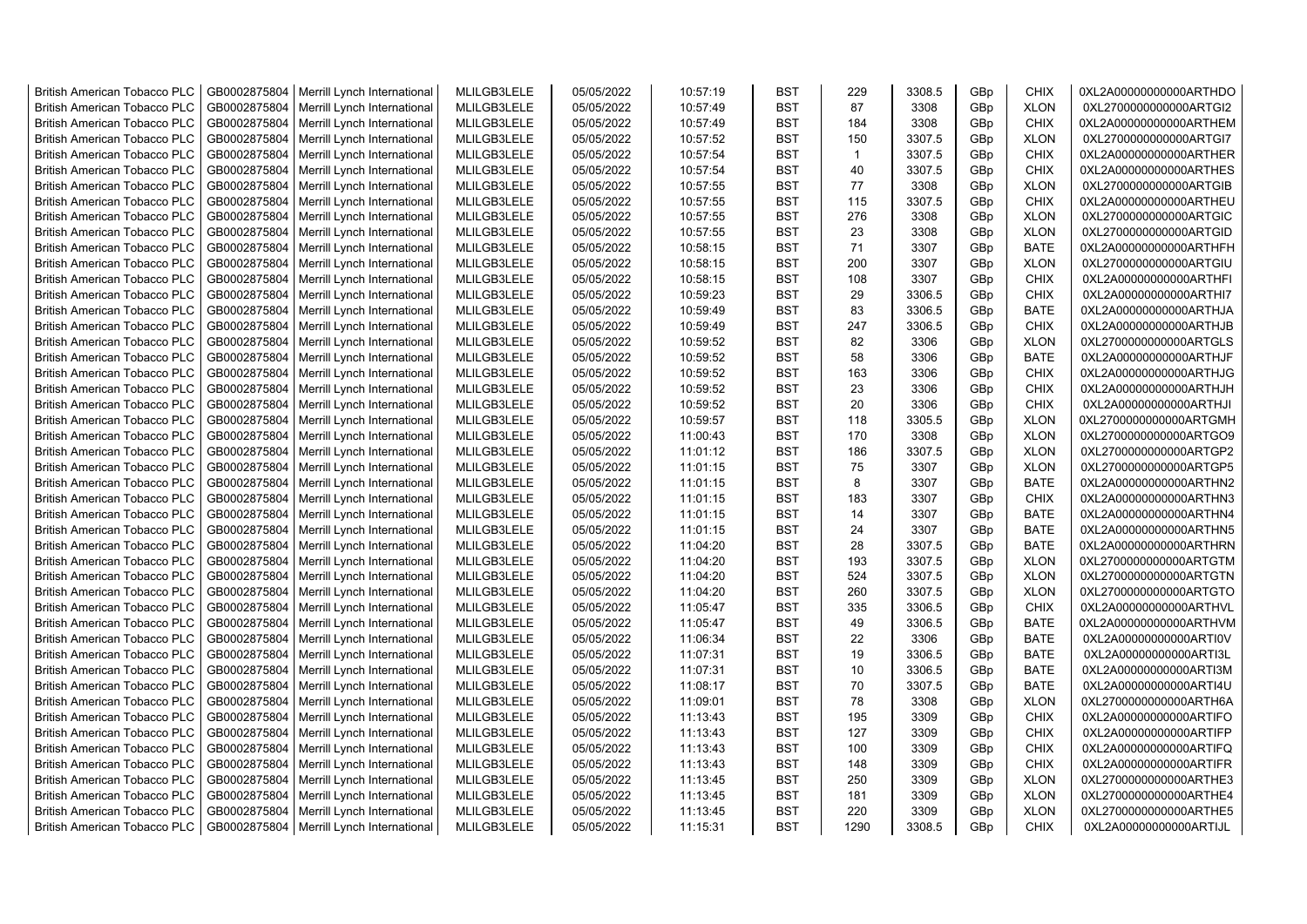| <b>British American Tobacco PLC</b> | GB0002875804 | Merrill Lynch International | MLILGB3LELE | 05/05/2022 | 10:57:19 | <b>BST</b> | 229          | 3308.5 | GBp             | <b>CHIX</b> | 0XL2A00000000000ARTHDO |
|-------------------------------------|--------------|-----------------------------|-------------|------------|----------|------------|--------------|--------|-----------------|-------------|------------------------|
| <b>British American Tobacco PLC</b> | GB0002875804 | Merrill Lynch International | MLILGB3LELE | 05/05/2022 | 10:57:49 | <b>BST</b> | 87           | 3308   | GBp             | <b>XLON</b> | 0XL2700000000000ARTGI2 |
| <b>British American Tobacco PLC</b> | GB0002875804 | Merrill Lynch International | MLILGB3LELE | 05/05/2022 | 10:57:49 | <b>BST</b> | 184          | 3308   | GBp             | <b>CHIX</b> | 0XL2A00000000000ARTHEM |
| <b>British American Tobacco PLC</b> | GB0002875804 | Merrill Lynch International | MLILGB3LELE | 05/05/2022 | 10:57:52 | <b>BST</b> | 150          | 3307.5 | GBp             | <b>XLON</b> | 0XL2700000000000ARTGI7 |
| <b>British American Tobacco PLC</b> | GB0002875804 | Merrill Lynch International | MLILGB3LELE | 05/05/2022 | 10:57:54 | <b>BST</b> | $\mathbf{1}$ | 3307.5 | GBp             | <b>CHIX</b> | 0XL2A00000000000ARTHER |
| <b>British American Tobacco PLC</b> | GB0002875804 | Merrill Lynch International | MLILGB3LELE | 05/05/2022 | 10:57:54 | <b>BST</b> | 40           | 3307.5 | GBp             | <b>CHIX</b> | 0XL2A00000000000ARTHES |
| <b>British American Tobacco PLC</b> | GB0002875804 | Merrill Lynch International | MLILGB3LELE | 05/05/2022 | 10:57:55 | <b>BST</b> | 77           | 3308   | GBp             | <b>XLON</b> | 0XL2700000000000ARTGIB |
| <b>British American Tobacco PLC</b> | GB0002875804 | Merrill Lynch International | MLILGB3LELE | 05/05/2022 | 10:57:55 | <b>BST</b> | 115          | 3307.5 | GBp             | <b>CHIX</b> | 0XL2A00000000000ARTHEU |
| <b>British American Tobacco PLC</b> | GB0002875804 | Merrill Lynch International | MLILGB3LELE | 05/05/2022 | 10:57:55 | <b>BST</b> | 276          | 3308   | GBp             | <b>XLON</b> | 0XL2700000000000ARTGIC |
| <b>British American Tobacco PLC</b> | GB0002875804 | Merrill Lynch International | MLILGB3LELE | 05/05/2022 | 10:57:55 | <b>BST</b> | 23           | 3308   | GBp             | <b>XLON</b> | 0XL2700000000000ARTGID |
| <b>British American Tobacco PLC</b> | GB0002875804 | Merrill Lynch International | MLILGB3LELE | 05/05/2022 | 10:58:15 | <b>BST</b> | 71           | 3307   | GBp             | <b>BATE</b> | 0XL2A00000000000ARTHFH |
| <b>British American Tobacco PLC</b> | GB0002875804 | Merrill Lynch International | MLILGB3LELE | 05/05/2022 | 10:58:15 | <b>BST</b> | 200          | 3307   | GBp             | <b>XLON</b> | 0XL2700000000000ARTGIU |
| <b>British American Tobacco PLC</b> | GB0002875804 | Merrill Lynch International | MLILGB3LELE | 05/05/2022 | 10:58:15 | <b>BST</b> | 108          | 3307   | GBp             | <b>CHIX</b> | 0XL2A00000000000ARTHFI |
| <b>British American Tobacco PLC</b> | GB0002875804 | Merrill Lynch International | MLILGB3LELE | 05/05/2022 | 10:59:23 | <b>BST</b> | 29           | 3306.5 | GBp             | <b>CHIX</b> | 0XL2A00000000000ARTHI7 |
| <b>British American Tobacco PLC</b> | GB0002875804 | Merrill Lynch International | MLILGB3LELE | 05/05/2022 | 10:59:49 | <b>BST</b> | 83           | 3306.5 | GBp             | <b>BATE</b> | 0XL2A00000000000ARTHJA |
| <b>British American Tobacco PLC</b> | GB0002875804 | Merrill Lynch International | MLILGB3LELE | 05/05/2022 | 10:59:49 | <b>BST</b> | 247          | 3306.5 | GBp             | <b>CHIX</b> | 0XL2A00000000000ARTHJB |
| British American Tobacco PLC        | GB0002875804 | Merrill Lynch International | MLILGB3LELE | 05/05/2022 | 10:59:52 | <b>BST</b> | 82           | 3306   | GBp             | <b>XLON</b> | 0XL2700000000000ARTGLS |
| <b>British American Tobacco PLC</b> | GB0002875804 | Merrill Lynch International | MLILGB3LELE | 05/05/2022 | 10:59:52 | <b>BST</b> | 58           | 3306   | GBp             | <b>BATE</b> | 0XL2A00000000000ARTHJF |
| <b>British American Tobacco PLC</b> | GB0002875804 | Merrill Lynch International | MLILGB3LELE | 05/05/2022 | 10:59:52 | <b>BST</b> | 163          | 3306   | GBp             | <b>CHIX</b> | 0XL2A00000000000ARTHJG |
| <b>British American Tobacco PLC</b> | GB0002875804 | Merrill Lynch International | MLILGB3LELE | 05/05/2022 | 10:59:52 | <b>BST</b> | 23           | 3306   | GBp             | <b>CHIX</b> | 0XL2A00000000000ARTHJH |
| <b>British American Tobacco PLC</b> | GB0002875804 | Merrill Lynch International | MLILGB3LELE | 05/05/2022 | 10:59:52 | <b>BST</b> | 20           | 3306   | GBp             | <b>CHIX</b> | 0XL2A00000000000ARTHJI |
| <b>British American Tobacco PLC</b> | GB0002875804 | Merrill Lynch International | MLILGB3LELE | 05/05/2022 | 10:59:57 | <b>BST</b> | 118          | 3305.5 | GBp             | <b>XLON</b> | 0XL2700000000000ARTGMH |
| <b>British American Tobacco PLC</b> | GB0002875804 | Merrill Lynch International | MLILGB3LELE | 05/05/2022 | 11:00:43 | <b>BST</b> | 170          | 3308   | GBp             | <b>XLON</b> | 0XL2700000000000ARTGO9 |
| <b>British American Tobacco PLC</b> | GB0002875804 | Merrill Lynch International | MLILGB3LELE | 05/05/2022 | 11:01:12 | <b>BST</b> | 186          | 3307.5 | GBp             | <b>XLON</b> | 0XL2700000000000ARTGP2 |
| <b>British American Tobacco PLC</b> | GB0002875804 | Merrill Lynch International | MLILGB3LELE | 05/05/2022 | 11:01:15 | <b>BST</b> | 75           | 3307   | GBp             | <b>XLON</b> | 0XL2700000000000ARTGP5 |
| <b>British American Tobacco PLC</b> | GB0002875804 | Merrill Lynch International | MLILGB3LELE | 05/05/2022 | 11:01:15 | <b>BST</b> | 8            | 3307   | GBp             | <b>BATE</b> | 0XL2A00000000000ARTHN2 |
| <b>British American Tobacco PLC</b> | GB0002875804 | Merrill Lynch International | MLILGB3LELE | 05/05/2022 | 11:01:15 | <b>BST</b> | 183          | 3307   | GBp             | <b>CHIX</b> | 0XL2A00000000000ARTHN3 |
| <b>British American Tobacco PLC</b> | GB0002875804 | Merrill Lynch International | MLILGB3LELE | 05/05/2022 | 11:01:15 | <b>BST</b> | 14           | 3307   | GBp             | <b>BATE</b> | 0XL2A00000000000ARTHN4 |
| <b>British American Tobacco PLC</b> | GB0002875804 |                             | MLILGB3LELE | 05/05/2022 |          | <b>BST</b> | 24           | 3307   | GBp             | <b>BATE</b> | 0XL2A00000000000ARTHN5 |
|                                     |              | Merrill Lynch International |             |            | 11:01:15 |            |              |        |                 |             |                        |
| <b>British American Tobacco PLC</b> | GB0002875804 | Merrill Lynch International | MLILGB3LELE | 05/05/2022 | 11:04:20 | <b>BST</b> | 28           | 3307.5 | GBp             | <b>BATE</b> | 0XL2A00000000000ARTHRN |
| <b>British American Tobacco PLC</b> | GB0002875804 | Merrill Lynch International | MLILGB3LELE | 05/05/2022 | 11:04:20 | <b>BST</b> | 193          | 3307.5 | GBp             | <b>XLON</b> | 0XL2700000000000ARTGTM |
| <b>British American Tobacco PLC</b> | GB0002875804 | Merrill Lynch International | MLILGB3LELE | 05/05/2022 | 11:04:20 | <b>BST</b> | 524          | 3307.5 | GBp             | <b>XLON</b> | 0XL2700000000000ARTGTN |
| <b>British American Tobacco PLC</b> | GB0002875804 | Merrill Lynch International | MLILGB3LELE | 05/05/2022 | 11:04:20 | <b>BST</b> | 260          | 3307.5 | GBp             | <b>XLON</b> | 0XL2700000000000ARTGTO |
| <b>British American Tobacco PLC</b> | GB0002875804 | Merrill Lynch International | MLILGB3LELE | 05/05/2022 | 11:05:47 | BST        | 335          | 3306.5 | GBp             | <b>CHIX</b> | 0XL2A00000000000ARTHVL |
| <b>British American Tobacco PLC</b> | GB0002875804 | Merrill Lynch International | MLILGB3LELE | 05/05/2022 | 11:05:47 | <b>BST</b> | 49           | 3306.5 | GBp             | <b>BATE</b> | 0XL2A00000000000ARTHVM |
| British American Tobacco PLC        | GB0002875804 | Merrill Lynch International | MLILGB3LELE | 05/05/2022 | 11:06:34 | <b>BST</b> | 22           | 3306   | GBp             | <b>BATE</b> | 0XL2A00000000000ARTI0V |
| British American Tobacco PLC        | GB0002875804 | Merrill Lynch International | MLILGB3LELE | 05/05/2022 | 11:07:31 | <b>BST</b> | 19           | 3306.5 | GBp             | <b>BATE</b> | 0XL2A00000000000ARTI3L |
| British American Tobacco PLC        | GB0002875804 | Merrill Lynch International | MLILGB3LELE | 05/05/2022 | 11:07:31 | <b>BST</b> | 10           | 3306.5 | GBp             | <b>BATE</b> | 0XL2A00000000000ARTI3M |
| <b>British American Tobacco PLC</b> | GB0002875804 | Merrill Lynch International | MLILGB3LELE | 05/05/2022 | 11:08:17 | <b>BST</b> | 70           | 3307.5 | GBp             | <b>BATE</b> | 0XL2A00000000000ARTI4U |
| <b>British American Tobacco PLC</b> | GB0002875804 | Merrill Lynch International | MLILGB3LELE | 05/05/2022 | 11:09:01 | <b>BST</b> | 78           | 3308   | GB <sub>p</sub> | <b>XLON</b> | 0XL2700000000000ARTH6A |
| <b>British American Tobacco PLC</b> | GB0002875804 | Merrill Lynch International | MLILGB3LELE | 05/05/2022 | 11:13:43 | <b>BST</b> | 195          | 3309   | GBp             | <b>CHIX</b> | 0XL2A00000000000ARTIFO |
| <b>British American Tobacco PLC</b> | GB0002875804 | Merrill Lynch International | MLILGB3LELE | 05/05/2022 | 11:13:43 | <b>BST</b> | 127          | 3309   | GBp             | <b>CHIX</b> | 0XL2A00000000000ARTIFP |
| <b>British American Tobacco PLC</b> | GB0002875804 | Merrill Lynch International | MLILGB3LELE | 05/05/2022 | 11:13:43 | <b>BST</b> | 100          | 3309   | GBp             | <b>CHIX</b> | 0XL2A00000000000ARTIFQ |
| <b>British American Tobacco PLC</b> | GB0002875804 | Merrill Lynch International | MLILGB3LELE | 05/05/2022 | 11:13:43 | <b>BST</b> | 148          | 3309   | GBp             | <b>CHIX</b> | 0XL2A00000000000ARTIFR |
| <b>British American Tobacco PLC</b> | GB0002875804 | Merrill Lynch International | MLILGB3LELE | 05/05/2022 | 11:13:45 | <b>BST</b> | 250          | 3309   | GBp             | <b>XLON</b> | 0XL2700000000000ARTHE3 |
| <b>British American Tobacco PLC</b> | GB0002875804 | Merrill Lynch International | MLILGB3LELE | 05/05/2022 | 11:13:45 | <b>BST</b> | 181          | 3309   | GBp             | <b>XLON</b> | 0XL2700000000000ARTHE4 |
| <b>British American Tobacco PLC</b> | GB0002875804 | Merrill Lynch International | MLILGB3LELE | 05/05/2022 | 11:13:45 | <b>BST</b> | 220          | 3309   | GBp             | <b>XLON</b> | 0XL2700000000000ARTHE5 |
| <b>British American Tobacco PLC</b> | GB0002875804 | Merrill Lynch International | MLILGB3LELE | 05/05/2022 | 11:15:31 | <b>BST</b> | 1290         | 3308.5 | GB <sub>p</sub> | <b>CHIX</b> | 0XL2A00000000000ARTIJL |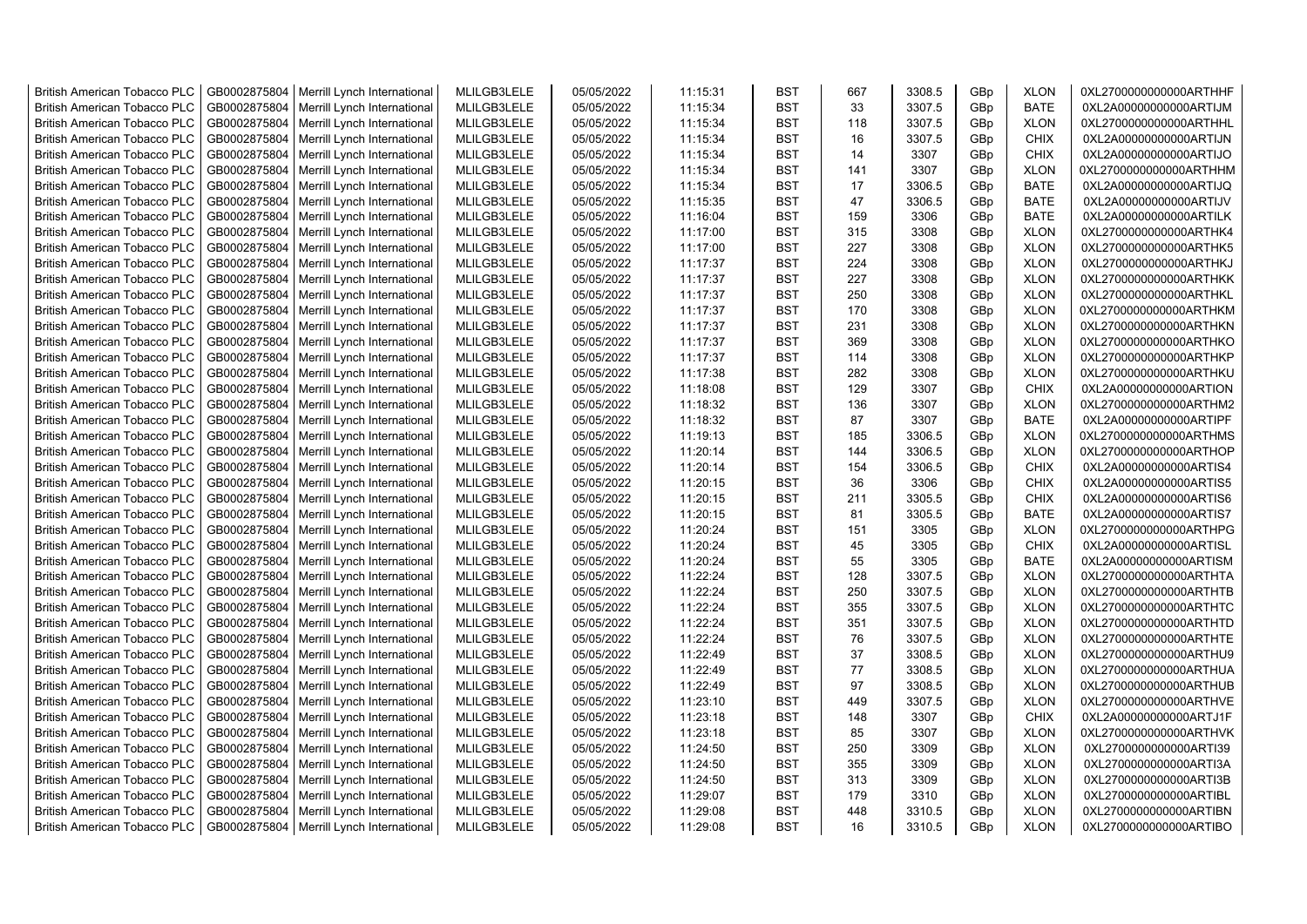| <b>British American Tobacco PLC</b> | GB0002875804 | Merrill Lynch International | MLILGB3LELE | 05/05/2022 | 11:15:31 | <b>BST</b> | 667 | 3308.5 | GBp             | <b>XLON</b> | 0XL2700000000000ARTHHF |
|-------------------------------------|--------------|-----------------------------|-------------|------------|----------|------------|-----|--------|-----------------|-------------|------------------------|
| <b>British American Tobacco PLC</b> | GB0002875804 | Merrill Lynch International | MLILGB3LELE | 05/05/2022 | 11:15:34 | <b>BST</b> | 33  | 3307.5 | GBp             | <b>BATE</b> | 0XL2A00000000000ARTIJM |
| <b>British American Tobacco PLC</b> | GB0002875804 | Merrill Lynch International | MLILGB3LELE | 05/05/2022 | 11:15:34 | <b>BST</b> | 118 | 3307.5 | GBp             | <b>XLON</b> | 0XL2700000000000ARTHHL |
| <b>British American Tobacco PLC</b> | GB0002875804 | Merrill Lynch International | MLILGB3LELE | 05/05/2022 | 11:15:34 | <b>BST</b> | 16  | 3307.5 | GBp             | <b>CHIX</b> | 0XL2A00000000000ARTIJN |
| <b>British American Tobacco PLC</b> | GB0002875804 | Merrill Lynch International | MLILGB3LELE | 05/05/2022 | 11:15:34 | <b>BST</b> | 14  | 3307   | GBp             | <b>CHIX</b> | 0XL2A00000000000ARTIJO |
| <b>British American Tobacco PLC</b> | GB0002875804 | Merrill Lynch International | MLILGB3LELE | 05/05/2022 | 11:15:34 | <b>BST</b> | 141 | 3307   | GBp             | <b>XLON</b> | 0XL2700000000000ARTHHM |
| <b>British American Tobacco PLC</b> | GB0002875804 | Merrill Lynch International | MLILGB3LELE | 05/05/2022 | 11:15:34 | <b>BST</b> | 17  | 3306.5 | GBp             | <b>BATE</b> | 0XL2A00000000000ARTIJQ |
| <b>British American Tobacco PLC</b> | GB0002875804 | Merrill Lynch International | MLILGB3LELE | 05/05/2022 | 11:15:35 | <b>BST</b> | 47  | 3306.5 | GBp             | <b>BATE</b> | 0XL2A00000000000ARTIJV |
| <b>British American Tobacco PLC</b> | GB0002875804 | Merrill Lynch International | MLILGB3LELE | 05/05/2022 | 11:16:04 | <b>BST</b> | 159 | 3306   | GBp             | <b>BATE</b> | 0XL2A00000000000ARTILK |
| <b>British American Tobacco PLC</b> | GB0002875804 | Merrill Lynch International | MLILGB3LELE | 05/05/2022 | 11:17:00 | <b>BST</b> | 315 | 3308   | GBp             | <b>XLON</b> | 0XL2700000000000ARTHK4 |
| <b>British American Tobacco PLC</b> | GB0002875804 | Merrill Lynch International | MLILGB3LELE | 05/05/2022 | 11:17:00 | <b>BST</b> | 227 | 3308   | GBp             | <b>XLON</b> | 0XL2700000000000ARTHK5 |
| <b>British American Tobacco PLC</b> | GB0002875804 | Merrill Lynch International | MLILGB3LELE | 05/05/2022 | 11:17:37 | <b>BST</b> | 224 | 3308   | GBp             | <b>XLON</b> | 0XL2700000000000ARTHKJ |
| <b>British American Tobacco PLC</b> | GB0002875804 | Merrill Lynch International | MLILGB3LELE | 05/05/2022 | 11:17:37 | <b>BST</b> | 227 | 3308   | GBp             | <b>XLON</b> | 0XL2700000000000ARTHKK |
| <b>British American Tobacco PLC</b> | GB0002875804 | Merrill Lynch International | MLILGB3LELE | 05/05/2022 | 11:17:37 | <b>BST</b> | 250 | 3308   | GBp             | <b>XLON</b> | 0XL2700000000000ARTHKL |
| <b>British American Tobacco PLC</b> | GB0002875804 | Merrill Lynch International | MLILGB3LELE | 05/05/2022 | 11:17:37 | <b>BST</b> | 170 | 3308   | GBp             | <b>XLON</b> | 0XL2700000000000ARTHKM |
| <b>British American Tobacco PLC</b> | GB0002875804 | Merrill Lynch International | MLILGB3LELE | 05/05/2022 | 11:17:37 | <b>BST</b> | 231 | 3308   | GBp             | <b>XLON</b> | 0XL2700000000000ARTHKN |
| <b>British American Tobacco PLC</b> | GB0002875804 | Merrill Lynch International | MLILGB3LELE | 05/05/2022 | 11:17:37 | <b>BST</b> | 369 | 3308   | GBp             | <b>XLON</b> | 0XL2700000000000ARTHKO |
| <b>British American Tobacco PLC</b> | GB0002875804 | Merrill Lynch International | MLILGB3LELE | 05/05/2022 | 11:17:37 | <b>BST</b> | 114 | 3308   | GBp             | <b>XLON</b> | 0XL2700000000000ARTHKP |
| <b>British American Tobacco PLC</b> | GB0002875804 | Merrill Lynch International | MLILGB3LELE | 05/05/2022 | 11:17:38 | <b>BST</b> | 282 | 3308   | GBp             | <b>XLON</b> | 0XL2700000000000ARTHKU |
| <b>British American Tobacco PLC</b> | GB0002875804 | Merrill Lynch International | MLILGB3LELE | 05/05/2022 | 11:18:08 | <b>BST</b> | 129 | 3307   | GBp             | <b>CHIX</b> | 0XL2A00000000000ARTION |
| <b>British American Tobacco PLC</b> | GB0002875804 | Merrill Lynch International | MLILGB3LELE | 05/05/2022 | 11:18:32 | <b>BST</b> | 136 | 3307   | GBp             | <b>XLON</b> | 0XL2700000000000ARTHM2 |
| <b>British American Tobacco PLC</b> | GB0002875804 | Merrill Lynch International | MLILGB3LELE | 05/05/2022 | 11:18:32 | <b>BST</b> | 87  | 3307   | GBp             | <b>BATE</b> | 0XL2A00000000000ARTIPF |
| <b>British American Tobacco PLC</b> | GB0002875804 | Merrill Lynch International | MLILGB3LELE | 05/05/2022 | 11:19:13 | <b>BST</b> | 185 | 3306.5 | GBp             | <b>XLON</b> | 0XL2700000000000ARTHMS |
| <b>British American Tobacco PLC</b> | GB0002875804 | Merrill Lynch International | MLILGB3LELE | 05/05/2022 | 11:20:14 | <b>BST</b> | 144 | 3306.5 | GBp             | <b>XLON</b> | 0XL2700000000000ARTHOP |
| <b>British American Tobacco PLC</b> | GB0002875804 | Merrill Lynch International | MLILGB3LELE | 05/05/2022 | 11:20:14 | <b>BST</b> | 154 | 3306.5 | GBp             | <b>CHIX</b> | 0XL2A00000000000ARTIS4 |
| British American Tobacco PLC        | GB0002875804 | Merrill Lynch International | MLILGB3LELE | 05/05/2022 | 11:20:15 | <b>BST</b> | 36  | 3306   | GBp             | <b>CHIX</b> | 0XL2A00000000000ARTIS5 |
| <b>British American Tobacco PLC</b> | GB0002875804 | Merrill Lynch International | MLILGB3LELE | 05/05/2022 | 11:20:15 | <b>BST</b> | 211 | 3305.5 | GBp             | <b>CHIX</b> | 0XL2A00000000000ARTIS6 |
| British American Tobacco PLC        | GB0002875804 | Merrill Lynch International | MLILGB3LELE | 05/05/2022 | 11:20:15 | <b>BST</b> | 81  | 3305.5 | GBp             | <b>BATE</b> | 0XL2A00000000000ARTIS7 |
| <b>British American Tobacco PLC</b> | GB0002875804 | Merrill Lynch International | MLILGB3LELE | 05/05/2022 | 11:20:24 | <b>BST</b> | 151 | 3305   | GBp             | <b>XLON</b> | 0XL2700000000000ARTHPG |
| <b>British American Tobacco PLC</b> | GB0002875804 | Merrill Lynch International | MLILGB3LELE | 05/05/2022 | 11:20:24 | <b>BST</b> | 45  | 3305   | GBp             | <b>CHIX</b> | 0XL2A00000000000ARTISL |
| <b>British American Tobacco PLC</b> | GB0002875804 | Merrill Lynch International | MLILGB3LELE | 05/05/2022 | 11:20:24 | <b>BST</b> | 55  | 3305   | GBp             | <b>BATE</b> | 0XL2A00000000000ARTISM |
| <b>British American Tobacco PLC</b> | GB0002875804 | Merrill Lynch International | MLILGB3LELE | 05/05/2022 | 11:22:24 | <b>BST</b> | 128 | 3307.5 | GBp             | <b>XLON</b> | 0XL2700000000000ARTHTA |
| <b>British American Tobacco PLC</b> | GB0002875804 | Merrill Lynch International | MLILGB3LELE | 05/05/2022 | 11:22:24 | <b>BST</b> | 250 | 3307.5 | GBp             | <b>XLON</b> | 0XL2700000000000ARTHTB |
| <b>British American Tobacco PLC</b> | GB0002875804 | Merrill Lynch International | MLILGB3LELE | 05/05/2022 | 11:22:24 | <b>BST</b> | 355 | 3307.5 | GBp             | <b>XLON</b> | 0XL2700000000000ARTHTC |
| <b>British American Tobacco PLC</b> | GB0002875804 | Merrill Lynch International | MLILGB3LELE | 05/05/2022 | 11:22:24 | <b>BST</b> | 351 | 3307.5 | GBp             | <b>XLON</b> | 0XL2700000000000ARTHTD |
| <b>British American Tobacco PLC</b> | GB0002875804 | Merrill Lynch International | MLILGB3LELE | 05/05/2022 | 11:22:24 | <b>BST</b> | 76  | 3307.5 | GBp             | <b>XLON</b> | 0XL2700000000000ARTHTE |
| <b>British American Tobacco PLC</b> | GB0002875804 | Merrill Lynch International | MLILGB3LELE | 05/05/2022 | 11:22:49 | <b>BST</b> | 37  | 3308.5 | GBp             | <b>XLON</b> | 0XL2700000000000ARTHU9 |
| <b>British American Tobacco PLC</b> | GB0002875804 | Merrill Lynch International | MLILGB3LELE | 05/05/2022 | 11:22:49 | <b>BST</b> | 77  | 3308.5 | GBp             | <b>XLON</b> | 0XL2700000000000ARTHUA |
| <b>British American Tobacco PLC</b> | GB0002875804 | Merrill Lynch International | MLILGB3LELE | 05/05/2022 | 11:22:49 | <b>BST</b> | 97  | 3308.5 | GBp             | <b>XLON</b> | 0XL2700000000000ARTHUB |
| <b>British American Tobacco PLC</b> | GB0002875804 | Merrill Lynch International | MLILGB3LELE | 05/05/2022 | 11:23:10 | <b>BST</b> | 449 | 3307.5 | GBp             | <b>XLON</b> | 0XL2700000000000ARTHVE |
| British American Tobacco PLC        | GB0002875804 | Merrill Lynch International | MLILGB3LELE | 05/05/2022 | 11:23:18 | <b>BST</b> | 148 | 3307   | GBp             | <b>CHIX</b> | 0XL2A00000000000ARTJ1F |
| <b>British American Tobacco PLC</b> | GB0002875804 | Merrill Lynch International | MLILGB3LELE | 05/05/2022 | 11:23:18 | <b>BST</b> | 85  | 3307   | GBp             | <b>XLON</b> | 0XL2700000000000ARTHVK |
| British American Tobacco PLC        | GB0002875804 | Merrill Lynch International | MLILGB3LELE | 05/05/2022 | 11:24:50 | <b>BST</b> | 250 | 3309   | GBp             | <b>XLON</b> | 0XL2700000000000ARTI39 |
| British American Tobacco PLC        | GB0002875804 | Merrill Lynch International | MLILGB3LELE | 05/05/2022 | 11:24:50 | <b>BST</b> | 355 | 3309   | GBp             | <b>XLON</b> | 0XL2700000000000ARTI3A |
| <b>British American Tobacco PLC</b> | GB0002875804 | Merrill Lynch International | MLILGB3LELE | 05/05/2022 | 11:24:50 | <b>BST</b> | 313 | 3309   | GBp             | <b>XLON</b> | 0XL2700000000000ARTI3B |
| <b>British American Tobacco PLC</b> | GB0002875804 | Merrill Lynch International | MLILGB3LELE | 05/05/2022 | 11:29:07 | <b>BST</b> | 179 | 3310   | GBp             | <b>XLON</b> | 0XL2700000000000ARTIBL |
| <b>British American Tobacco PLC</b> | GB0002875804 | Merrill Lynch International | MLILGB3LELE | 05/05/2022 | 11:29:08 | <b>BST</b> | 448 | 3310.5 | GBp             | <b>XLON</b> | 0XL2700000000000ARTIBN |
| <b>British American Tobacco PLC</b> | GB0002875804 | Merrill Lynch International | MLILGB3LELE | 05/05/2022 | 11:29:08 | <b>BST</b> | 16  | 3310.5 | GB <sub>p</sub> | <b>XLON</b> | 0XL2700000000000ARTIBO |
|                                     |              |                             |             |            |          |            |     |        |                 |             |                        |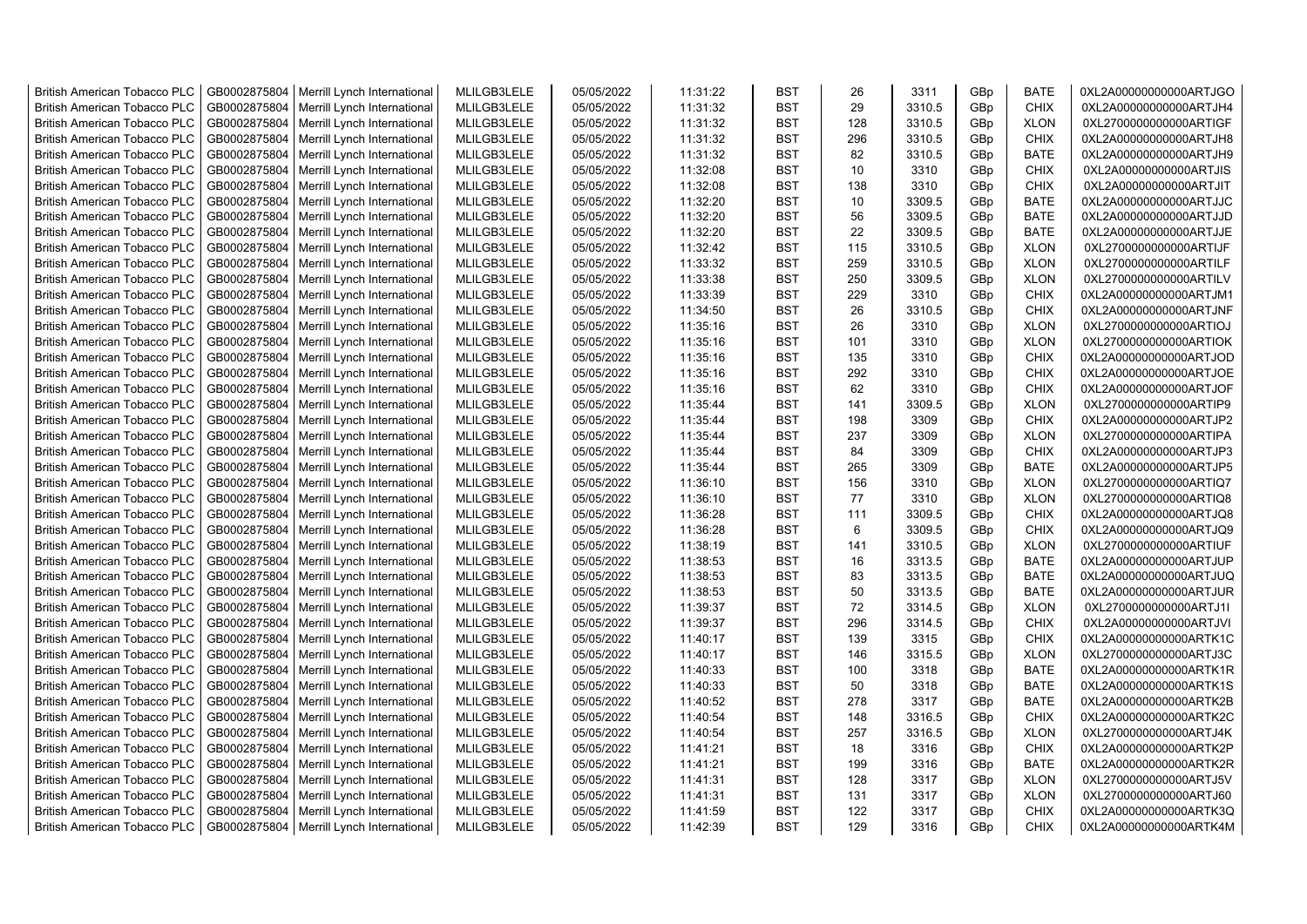| <b>British American Tobacco PLC</b> | GB0002875804 | Merrill Lynch International | MLILGB3LELE | 05/05/2022 | 11:31:22 | <b>BST</b> | 26  | 3311   | GBp             | <b>BATE</b> | 0XL2A00000000000ARTJGO |
|-------------------------------------|--------------|-----------------------------|-------------|------------|----------|------------|-----|--------|-----------------|-------------|------------------------|
| <b>British American Tobacco PLC</b> | GB0002875804 | Merrill Lynch International | MLILGB3LELE | 05/05/2022 | 11:31:32 | <b>BST</b> | 29  | 3310.5 | GBp             | <b>CHIX</b> | 0XL2A00000000000ARTJH4 |
| <b>British American Tobacco PLC</b> | GB0002875804 | Merrill Lynch International | MLILGB3LELE | 05/05/2022 | 11:31:32 | <b>BST</b> | 128 | 3310.5 | GBp             | <b>XLON</b> | 0XL2700000000000ARTIGF |
| <b>British American Tobacco PLC</b> | GB0002875804 | Merrill Lynch International | MLILGB3LELE | 05/05/2022 | 11:31:32 | <b>BST</b> | 296 | 3310.5 | GBp             | <b>CHIX</b> | 0XL2A00000000000ARTJH8 |
| <b>British American Tobacco PLC</b> | GB0002875804 | Merrill Lynch International | MLILGB3LELE | 05/05/2022 | 11:31:32 | <b>BST</b> | 82  | 3310.5 | GBp             | <b>BATE</b> | 0XL2A00000000000ARTJH9 |
| <b>British American Tobacco PLC</b> | GB0002875804 | Merrill Lynch International | MLILGB3LELE | 05/05/2022 | 11:32:08 | <b>BST</b> | 10  | 3310   | GBp             | <b>CHIX</b> | 0XL2A00000000000ARTJIS |
| <b>British American Tobacco PLC</b> | GB0002875804 | Merrill Lynch International | MLILGB3LELE | 05/05/2022 | 11:32:08 | <b>BST</b> | 138 | 3310   | GBp             | <b>CHIX</b> | 0XL2A00000000000ARTJIT |
| <b>British American Tobacco PLC</b> | GB0002875804 | Merrill Lynch International | MLILGB3LELE | 05/05/2022 | 11:32:20 | <b>BST</b> | 10  | 3309.5 | GBp             | <b>BATE</b> | 0XL2A00000000000ARTJJC |
| <b>British American Tobacco PLC</b> | GB0002875804 | Merrill Lynch International | MLILGB3LELE | 05/05/2022 | 11:32:20 | <b>BST</b> | 56  | 3309.5 | GBp             | <b>BATE</b> | 0XL2A00000000000ARTJJD |
| <b>British American Tobacco PLC</b> | GB0002875804 | Merrill Lynch International | MLILGB3LELE | 05/05/2022 | 11:32:20 | <b>BST</b> | 22  | 3309.5 | GBp             | <b>BATE</b> | 0XL2A00000000000ARTJJE |
| British American Tobacco PLC        | GB0002875804 | Merrill Lynch International | MLILGB3LELE | 05/05/2022 | 11:32:42 | <b>BST</b> | 115 | 3310.5 | GBp             | <b>XLON</b> | 0XL2700000000000ARTIJF |
| <b>British American Tobacco PLC</b> | GB0002875804 | Merrill Lynch International | MLILGB3LELE | 05/05/2022 | 11:33:32 | <b>BST</b> | 259 | 3310.5 | GBp             | <b>XLON</b> | 0XL2700000000000ARTILF |
| <b>British American Tobacco PLC</b> | GB0002875804 | Merrill Lynch International | MLILGB3LELE | 05/05/2022 | 11:33:38 | <b>BST</b> | 250 | 3309.5 | GBp             | <b>XLON</b> | 0XL2700000000000ARTILV |
| <b>British American Tobacco PLC</b> | GB0002875804 | Merrill Lynch International | MLILGB3LELE | 05/05/2022 | 11:33:39 | <b>BST</b> | 229 | 3310   | GBp             | <b>CHIX</b> | 0XL2A00000000000ARTJM1 |
| <b>British American Tobacco PLC</b> | GB0002875804 | Merrill Lynch International | MLILGB3LELE | 05/05/2022 | 11:34:50 | <b>BST</b> | 26  | 3310.5 | GBp             | <b>CHIX</b> | 0XL2A00000000000ARTJNF |
| <b>British American Tobacco PLC</b> | GB0002875804 | Merrill Lynch International | MLILGB3LELE | 05/05/2022 | 11:35:16 | <b>BST</b> | 26  | 3310   | GBp             | <b>XLON</b> | 0XL2700000000000ARTIOJ |
| <b>British American Tobacco PLC</b> | GB0002875804 | Merrill Lynch International | MLILGB3LELE | 05/05/2022 | 11:35:16 | <b>BST</b> | 101 | 3310   | GBp             | <b>XLON</b> | 0XL2700000000000ARTIOK |
| <b>British American Tobacco PLC</b> | GB0002875804 | Merrill Lynch International | MLILGB3LELE | 05/05/2022 | 11:35:16 | <b>BST</b> | 135 | 3310   | GBp             | <b>CHIX</b> | 0XL2A00000000000ARTJOD |
| <b>British American Tobacco PLC</b> | GB0002875804 | Merrill Lynch International | MLILGB3LELE | 05/05/2022 | 11:35:16 | <b>BST</b> | 292 | 3310   | GBp             | <b>CHIX</b> | 0XL2A00000000000ARTJOE |
| <b>British American Tobacco PLC</b> | GB0002875804 | Merrill Lynch International | MLILGB3LELE | 05/05/2022 | 11:35:16 | <b>BST</b> | 62  | 3310   | GBp             | <b>CHIX</b> | 0XL2A00000000000ARTJOF |
| <b>British American Tobacco PLC</b> | GB0002875804 | Merrill Lynch International | MLILGB3LELE | 05/05/2022 | 11:35:44 | <b>BST</b> | 141 | 3309.5 | GBp             | <b>XLON</b> | 0XL2700000000000ARTIP9 |
| <b>British American Tobacco PLC</b> | GB0002875804 | Merrill Lynch International | MLILGB3LELE | 05/05/2022 | 11:35:44 | <b>BST</b> | 198 | 3309   | GBp             | <b>CHIX</b> | 0XL2A00000000000ARTJP2 |
| <b>British American Tobacco PLC</b> | GB0002875804 | Merrill Lynch International | MLILGB3LELE | 05/05/2022 | 11:35:44 | <b>BST</b> | 237 | 3309   | GBp             | <b>XLON</b> | 0XL2700000000000ARTIPA |
| <b>British American Tobacco PLC</b> | GB0002875804 | Merrill Lynch International | MLILGB3LELE | 05/05/2022 | 11:35:44 | <b>BST</b> | 84  | 3309   | GBp             | <b>CHIX</b> | 0XL2A00000000000ARTJP3 |
| <b>British American Tobacco PLC</b> | GB0002875804 | Merrill Lynch International | MLILGB3LELE | 05/05/2022 | 11:35:44 | <b>BST</b> | 265 | 3309   | GBp             | <b>BATE</b> | 0XL2A00000000000ARTJP5 |
| British American Tobacco PLC        | GB0002875804 | Merrill Lynch International | MLILGB3LELE | 05/05/2022 | 11:36:10 | <b>BST</b> | 156 | 3310   | GBp             | <b>XLON</b> | 0XL2700000000000ARTIQ7 |
| <b>British American Tobacco PLC</b> | GB0002875804 | Merrill Lynch International | MLILGB3LELE | 05/05/2022 | 11:36:10 | <b>BST</b> | 77  | 3310   | GBp             | <b>XLON</b> | 0XL2700000000000ARTIQ8 |
| British American Tobacco PLC        | GB0002875804 | Merrill Lynch International | MLILGB3LELE | 05/05/2022 | 11:36:28 | <b>BST</b> | 111 | 3309.5 | GBp             | <b>CHIX</b> | 0XL2A00000000000ARTJQ8 |
| <b>British American Tobacco PLC</b> | GB0002875804 | Merrill Lynch International | MLILGB3LELE | 05/05/2022 | 11:36:28 | <b>BST</b> | 6   | 3309.5 | GBp             | <b>CHIX</b> | 0XL2A00000000000ARTJQ9 |
| <b>British American Tobacco PLC</b> | GB0002875804 | Merrill Lynch International | MLILGB3LELE | 05/05/2022 | 11:38:19 | <b>BST</b> | 141 | 3310.5 | GBp             | <b>XLON</b> | 0XL2700000000000ARTIUF |
| <b>British American Tobacco PLC</b> | GB0002875804 | Merrill Lynch International | MLILGB3LELE | 05/05/2022 | 11:38:53 | <b>BST</b> | 16  | 3313.5 | GBp             | <b>BATE</b> | 0XL2A00000000000ARTJUP |
| <b>British American Tobacco PLC</b> | GB0002875804 | Merrill Lynch International | MLILGB3LELE | 05/05/2022 | 11:38:53 | <b>BST</b> | 83  | 3313.5 | GBp             | <b>BATE</b> | 0XL2A00000000000ARTJUQ |
| <b>British American Tobacco PLC</b> | GB0002875804 | Merrill Lynch International | MLILGB3LELE | 05/05/2022 | 11:38:53 | <b>BST</b> | 50  | 3313.5 | GBp             | <b>BATE</b> | 0XL2A00000000000ARTJUR |
| <b>British American Tobacco PLC</b> | GB0002875804 | Merrill Lynch International | MLILGB3LELE | 05/05/2022 | 11:39:37 | <b>BST</b> | 72  | 3314.5 | GBp             | <b>XLON</b> | 0XL2700000000000ARTJ1I |
| <b>British American Tobacco PLC</b> | GB0002875804 | Merrill Lynch International | MLILGB3LELE | 05/05/2022 | 11:39:37 | <b>BST</b> | 296 | 3314.5 | GBp             | <b>CHIX</b> | 0XL2A00000000000ARTJVI |
| <b>British American Tobacco PLC</b> | GB0002875804 | Merrill Lynch International | MLILGB3LELE | 05/05/2022 | 11:40:17 | <b>BST</b> | 139 | 3315   | GBp             | <b>CHIX</b> | 0XL2A00000000000ARTK1C |
| British American Tobacco PLC        | GB0002875804 | Merrill Lynch International | MLILGB3LELE | 05/05/2022 | 11:40:17 | <b>BST</b> | 146 | 3315.5 | GBp             | <b>XLON</b> | 0XL2700000000000ARTJ3C |
| <b>British American Tobacco PLC</b> | GB0002875804 | Merrill Lynch International | MLILGB3LELE | 05/05/2022 | 11:40:33 | <b>BST</b> | 100 | 3318   | GBp             | <b>BATE</b> | 0XL2A00000000000ARTK1R |
| <b>British American Tobacco PLC</b> | GB0002875804 | Merrill Lynch International | MLILGB3LELE | 05/05/2022 | 11:40:33 | <b>BST</b> | 50  | 3318   | GBp             | <b>BATE</b> | 0XL2A00000000000ARTK1S |
| <b>British American Tobacco PLC</b> | GB0002875804 | Merrill Lynch International | MLILGB3LELE | 05/05/2022 | 11:40:52 | <b>BST</b> | 278 | 3317   | GBp             | <b>BATE</b> | 0XL2A00000000000ARTK2B |
| British American Tobacco PLC        | GB0002875804 | Merrill Lynch International | MLILGB3LELE | 05/05/2022 | 11:40:54 | <b>BST</b> | 148 | 3316.5 | GBp             | <b>CHIX</b> | 0XL2A00000000000ARTK2C |
| <b>British American Tobacco PLC</b> | GB0002875804 | Merrill Lynch International | MLILGB3LELE | 05/05/2022 | 11:40:54 | <b>BST</b> | 257 | 3316.5 | GBp             | <b>XLON</b> | 0XL2700000000000ARTJ4K |
| British American Tobacco PLC        | GB0002875804 | Merrill Lynch International | MLILGB3LELE | 05/05/2022 | 11:41:21 | <b>BST</b> | 18  | 3316   | GBp             | <b>CHIX</b> | 0XL2A00000000000ARTK2P |
| British American Tobacco PLC        | GB0002875804 | Merrill Lynch International | MLILGB3LELE | 05/05/2022 | 11:41:21 | <b>BST</b> | 199 | 3316   | GBp             | <b>BATE</b> | 0XL2A00000000000ARTK2R |
| <b>British American Tobacco PLC</b> | GB0002875804 | Merrill Lynch International | MLILGB3LELE | 05/05/2022 | 11:41:31 | <b>BST</b> | 128 | 3317   | GBp             | <b>XLON</b> | 0XL2700000000000ARTJ5V |
| <b>British American Tobacco PLC</b> | GB0002875804 | Merrill Lynch International | MLILGB3LELE | 05/05/2022 | 11:41:31 | <b>BST</b> | 131 | 3317   | GBp             | <b>XLON</b> | 0XL2700000000000ARTJ60 |
| <b>British American Tobacco PLC</b> | GB0002875804 | Merrill Lynch International | MLILGB3LELE | 05/05/2022 | 11:41:59 | <b>BST</b> | 122 | 3317   | GBp             | <b>CHIX</b> | 0XL2A00000000000ARTK3Q |
| <b>British American Tobacco PLC</b> | GB0002875804 | Merrill Lynch International | MLILGB3LELE | 05/05/2022 | 11:42:39 | <b>BST</b> | 129 | 3316   | GB <sub>p</sub> | <b>CHIX</b> | 0XL2A00000000000ARTK4M |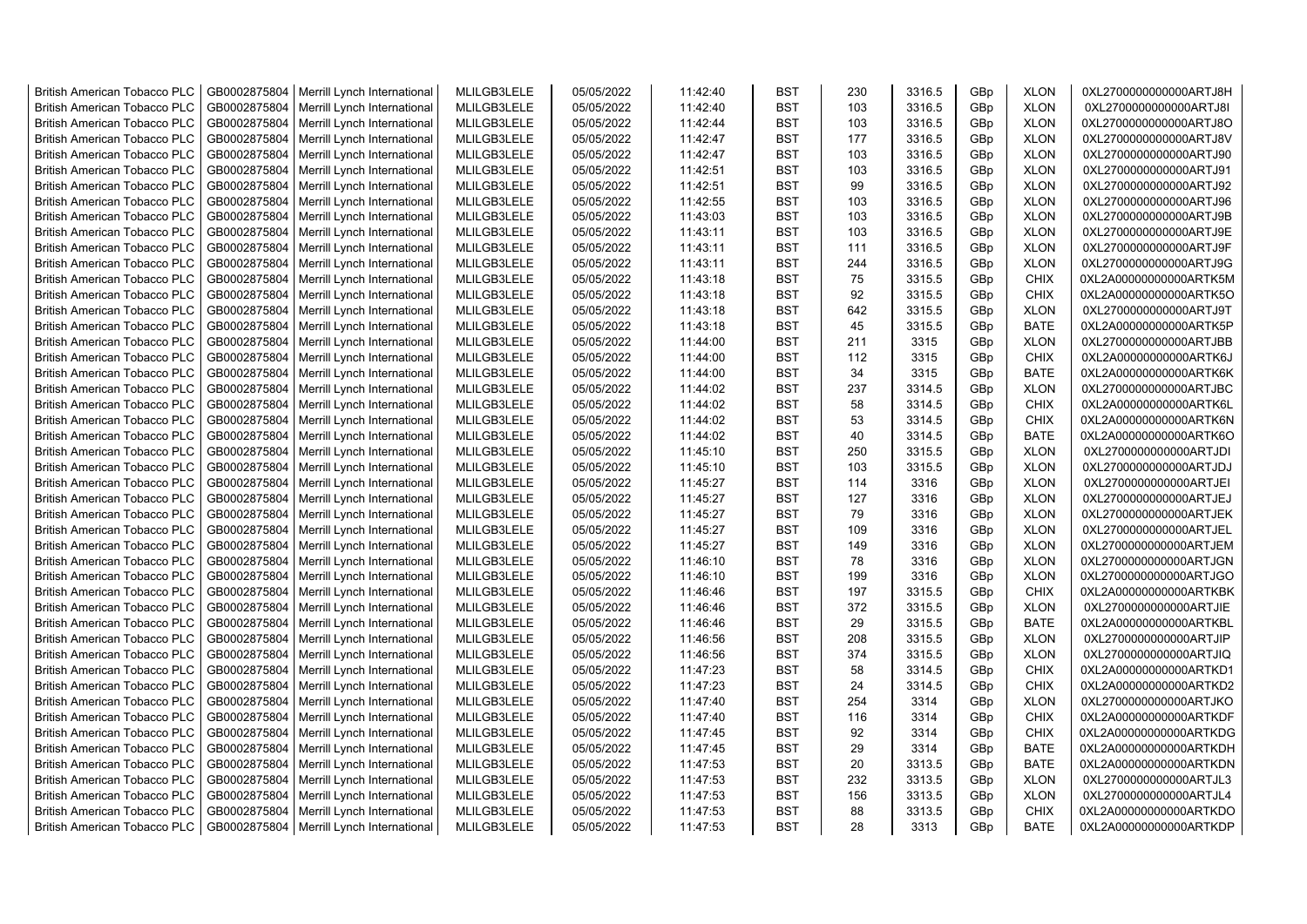| <b>British American Tobacco PLC</b> | GB0002875804 | Merrill Lynch International | MLILGB3LELE | 05/05/2022 | 11:42:40 | <b>BST</b> | 230 | 3316.5 | GBp | <b>XLON</b> | 0XL2700000000000ARTJ8H |
|-------------------------------------|--------------|-----------------------------|-------------|------------|----------|------------|-----|--------|-----|-------------|------------------------|
| <b>British American Tobacco PLC</b> | GB0002875804 | Merrill Lynch International | MLILGB3LELE | 05/05/2022 | 11:42:40 | <b>BST</b> | 103 | 3316.5 | GBp | <b>XLON</b> | 0XL2700000000000ARTJ8I |
| <b>British American Tobacco PLC</b> | GB0002875804 | Merrill Lynch International | MLILGB3LELE | 05/05/2022 | 11:42:44 | <b>BST</b> | 103 | 3316.5 | GBp | <b>XLON</b> | 0XL2700000000000ARTJ8O |
| <b>British American Tobacco PLC</b> | GB0002875804 | Merrill Lynch International | MLILGB3LELE | 05/05/2022 | 11:42:47 | <b>BST</b> | 177 | 3316.5 | GBp | <b>XLON</b> | 0XL2700000000000ARTJ8V |
| <b>British American Tobacco PLC</b> | GB0002875804 | Merrill Lynch International | MLILGB3LELE | 05/05/2022 | 11:42:47 | <b>BST</b> | 103 | 3316.5 | GBp | <b>XLON</b> | 0XL2700000000000ARTJ90 |
| <b>British American Tobacco PLC</b> | GB0002875804 | Merrill Lynch International | MLILGB3LELE | 05/05/2022 | 11:42:51 | <b>BST</b> | 103 | 3316.5 | GBp | <b>XLON</b> | 0XL2700000000000ARTJ91 |
| <b>British American Tobacco PLC</b> | GB0002875804 | Merrill Lynch International | MLILGB3LELE | 05/05/2022 | 11:42:51 | <b>BST</b> | 99  | 3316.5 | GBp | <b>XLON</b> | 0XL2700000000000ARTJ92 |
| <b>British American Tobacco PLC</b> | GB0002875804 | Merrill Lynch International | MLILGB3LELE | 05/05/2022 | 11:42:55 | <b>BST</b> | 103 | 3316.5 | GBp | <b>XLON</b> | 0XL2700000000000ARTJ96 |
| <b>British American Tobacco PLC</b> | GB0002875804 | Merrill Lynch International | MLILGB3LELE | 05/05/2022 | 11:43:03 | <b>BST</b> | 103 | 3316.5 | GBp | <b>XLON</b> | 0XL2700000000000ARTJ9B |
| <b>British American Tobacco PLC</b> | GB0002875804 | Merrill Lynch International | MLILGB3LELE | 05/05/2022 | 11:43:11 | <b>BST</b> | 103 | 3316.5 | GBp | <b>XLON</b> | 0XL2700000000000ARTJ9E |
| <b>British American Tobacco PLC</b> | GB0002875804 | Merrill Lynch International | MLILGB3LELE | 05/05/2022 | 11:43:11 | <b>BST</b> | 111 | 3316.5 | GBp | <b>XLON</b> | 0XL2700000000000ARTJ9F |
| <b>British American Tobacco PLC</b> | GB0002875804 | Merrill Lynch International | MLILGB3LELE | 05/05/2022 | 11:43:11 | <b>BST</b> | 244 | 3316.5 | GBp | <b>XLON</b> | 0XL2700000000000ARTJ9G |
| <b>British American Tobacco PLC</b> | GB0002875804 | Merrill Lynch International | MLILGB3LELE | 05/05/2022 | 11:43:18 | <b>BST</b> | 75  | 3315.5 | GBp | <b>CHIX</b> | 0XL2A00000000000ARTK5M |
| <b>British American Tobacco PLC</b> | GB0002875804 | Merrill Lynch International | MLILGB3LELE | 05/05/2022 | 11:43:18 | <b>BST</b> | 92  | 3315.5 | GBp | <b>CHIX</b> | 0XL2A00000000000ARTK5O |
| <b>British American Tobacco PLC</b> | GB0002875804 | Merrill Lynch International | MLILGB3LELE | 05/05/2022 | 11:43:18 | BST        | 642 | 3315.5 | GBp | <b>XLON</b> | 0XL2700000000000ARTJ9T |
| <b>British American Tobacco PLC</b> | GB0002875804 | Merrill Lynch International | MLILGB3LELE | 05/05/2022 | 11:43:18 | <b>BST</b> | 45  | 3315.5 | GBp | <b>BATE</b> | 0XL2A00000000000ARTK5P |
| British American Tobacco PLC        | GB0002875804 | Merrill Lynch International | MLILGB3LELE | 05/05/2022 | 11:44:00 | <b>BST</b> | 211 | 3315   | GBp | <b>XLON</b> | 0XL2700000000000ARTJBB |
| <b>British American Tobacco PLC</b> | GB0002875804 | Merrill Lynch International | MLILGB3LELE | 05/05/2022 | 11:44:00 | <b>BST</b> | 112 | 3315   | GBp | <b>CHIX</b> | 0XL2A00000000000ARTK6J |
| British American Tobacco PLC        | GB0002875804 | Merrill Lynch International | MLILGB3LELE | 05/05/2022 | 11:44:00 | <b>BST</b> | 34  | 3315   | GBp | <b>BATE</b> | 0XL2A00000000000ARTK6K |
| <b>British American Tobacco PLC</b> | GB0002875804 | Merrill Lynch International | MLILGB3LELE | 05/05/2022 | 11:44:02 | <b>BST</b> | 237 | 3314.5 | GBp | <b>XLON</b> | 0XL2700000000000ARTJBC |
| <b>British American Tobacco PLC</b> | GB0002875804 | Merrill Lynch International | MLILGB3LELE | 05/05/2022 | 11:44:02 | <b>BST</b> | 58  | 3314.5 | GBp | <b>CHIX</b> | 0XL2A00000000000ARTK6L |
| <b>British American Tobacco PLC</b> | GB0002875804 | Merrill Lynch International | MLILGB3LELE | 05/05/2022 | 11:44:02 | <b>BST</b> | 53  | 3314.5 | GBp | <b>CHIX</b> | 0XL2A00000000000ARTK6N |
| <b>British American Tobacco PLC</b> | GB0002875804 | Merrill Lynch International | MLILGB3LELE | 05/05/2022 | 11:44:02 | <b>BST</b> | 40  | 3314.5 | GBp | <b>BATE</b> | 0XL2A00000000000ARTK6O |
| <b>British American Tobacco PLC</b> | GB0002875804 | Merrill Lynch International | MLILGB3LELE | 05/05/2022 | 11:45:10 | <b>BST</b> | 250 | 3315.5 | GBp | <b>XLON</b> | 0XL2700000000000ARTJDI |
| <b>British American Tobacco PLC</b> | GB0002875804 | Merrill Lynch International | MLILGB3LELE | 05/05/2022 | 11:45:10 | <b>BST</b> | 103 | 3315.5 | GBp | <b>XLON</b> | 0XL2700000000000ARTJDJ |
| <b>British American Tobacco PLC</b> | GB0002875804 | Merrill Lynch International | MLILGB3LELE | 05/05/2022 | 11:45:27 | <b>BST</b> | 114 | 3316   | GBp | <b>XLON</b> | 0XL2700000000000ARTJEI |
| <b>British American Tobacco PLC</b> | GB0002875804 | Merrill Lynch International | MLILGB3LELE | 05/05/2022 | 11:45:27 | <b>BST</b> | 127 | 3316   | GBp | <b>XLON</b> | 0XL2700000000000ARTJEJ |
| <b>British American Tobacco PLC</b> | GB0002875804 | Merrill Lynch International | MLILGB3LELE | 05/05/2022 | 11:45:27 | <b>BST</b> | 79  | 3316   | GBp | <b>XLON</b> | 0XL2700000000000ARTJEK |
| <b>British American Tobacco PLC</b> | GB0002875804 | Merrill Lynch International | MLILGB3LELE | 05/05/2022 | 11:45:27 | <b>BST</b> | 109 | 3316   | GBp | <b>XLON</b> | 0XL2700000000000ARTJEL |
| <b>British American Tobacco PLC</b> | GB0002875804 | Merrill Lynch International | MLILGB3LELE | 05/05/2022 | 11:45:27 | <b>BST</b> | 149 | 3316   | GBp | <b>XLON</b> | 0XL2700000000000ARTJEM |
| <b>British American Tobacco PLC</b> | GB0002875804 | Merrill Lynch International | MLILGB3LELE | 05/05/2022 | 11:46:10 | <b>BST</b> | 78  | 3316   | GBp | <b>XLON</b> | 0XL2700000000000ARTJGN |
| <b>British American Tobacco PLC</b> | GB0002875804 | Merrill Lynch International | MLILGB3LELE | 05/05/2022 | 11:46:10 | <b>BST</b> | 199 | 3316   | GBp | <b>XLON</b> | 0XL2700000000000ARTJGO |
| <b>British American Tobacco PLC</b> | GB0002875804 | Merrill Lynch International | MLILGB3LELE | 05/05/2022 | 11:46:46 | <b>BST</b> | 197 | 3315.5 | GBp | <b>CHIX</b> | 0XL2A00000000000ARTKBK |
| <b>British American Tobacco PLC</b> | GB0002875804 | Merrill Lynch International | MLILGB3LELE | 05/05/2022 | 11:46:46 | <b>BST</b> | 372 | 3315.5 | GBp | <b>XLON</b> | 0XL2700000000000ARTJIE |
| <b>British American Tobacco PLC</b> | GB0002875804 | Merrill Lynch International | MLILGB3LELE | 05/05/2022 | 11:46:46 | <b>BST</b> | 29  | 3315.5 | GBp | <b>BATE</b> | 0XL2A00000000000ARTKBL |
| <b>British American Tobacco PLC</b> | GB0002875804 | Merrill Lynch International | MLILGB3LELE | 05/05/2022 | 11:46:56 | <b>BST</b> | 208 | 3315.5 | GBp | <b>XLON</b> | 0XL2700000000000ARTJIP |
| <b>British American Tobacco PLC</b> | GB0002875804 | Merrill Lynch International | MLILGB3LELE | 05/05/2022 | 11:46:56 | <b>BST</b> | 374 | 3315.5 | GBp | <b>XLON</b> | 0XL2700000000000ARTJIQ |
| <b>British American Tobacco PLC</b> | GB0002875804 | Merrill Lynch International | MLILGB3LELE | 05/05/2022 | 11:47:23 | <b>BST</b> | 58  | 3314.5 | GBp | <b>CHIX</b> | 0XL2A00000000000ARTKD1 |
| <b>British American Tobacco PLC</b> | GB0002875804 | Merrill Lynch International | MLILGB3LELE | 05/05/2022 | 11:47:23 | <b>BST</b> | 24  | 3314.5 | GBp | <b>CHIX</b> | 0XL2A00000000000ARTKD2 |
| <b>British American Tobacco PLC</b> | GB0002875804 | Merrill Lynch International | MLILGB3LELE | 05/05/2022 | 11:47:40 | <b>BST</b> | 254 | 3314   | GBp | <b>XLON</b> | 0XL2700000000000ARTJKO |
| <b>British American Tobacco PLC</b> | GB0002875804 | Merrill Lynch International | MLILGB3LELE | 05/05/2022 | 11:47:40 | <b>BST</b> | 116 | 3314   | GBp | <b>CHIX</b> | 0XL2A00000000000ARTKDF |
| <b>British American Tobacco PLC</b> | GB0002875804 | Merrill Lynch International | MLILGB3LELE | 05/05/2022 | 11:47:45 | <b>BST</b> | 92  | 3314   | GBp | <b>CHIX</b> | 0XL2A00000000000ARTKDG |
| <b>British American Tobacco PLC</b> | GB0002875804 | Merrill Lynch International | MLILGB3LELE | 05/05/2022 | 11:47:45 | <b>BST</b> | 29  | 3314   | GBp | <b>BATE</b> | 0XL2A00000000000ARTKDH |
| <b>British American Tobacco PLC</b> | GB0002875804 | Merrill Lynch International | MLILGB3LELE | 05/05/2022 | 11:47:53 | <b>BST</b> | 20  | 3313.5 | GBp | <b>BATE</b> | 0XL2A00000000000ARTKDN |
| <b>British American Tobacco PLC</b> | GB0002875804 | Merrill Lynch International | MLILGB3LELE | 05/05/2022 | 11:47:53 | <b>BST</b> | 232 | 3313.5 | GBp | <b>XLON</b> | 0XL2700000000000ARTJL3 |
| <b>British American Tobacco PLC</b> | GB0002875804 | Merrill Lynch International | MLILGB3LELE | 05/05/2022 | 11:47:53 | <b>BST</b> | 156 | 3313.5 | GBp | <b>XLON</b> | 0XL2700000000000ARTJL4 |
| <b>British American Tobacco PLC</b> | GB0002875804 | Merrill Lynch International | MLILGB3LELE | 05/05/2022 | 11:47:53 | <b>BST</b> | 88  | 3313.5 | GBp | <b>CHIX</b> | 0XL2A00000000000ARTKDO |
| <b>British American Tobacco PLC</b> | GB0002875804 | Merrill Lynch International | MLILGB3LELE | 05/05/2022 | 11:47:53 | <b>BST</b> | 28  | 3313   | GBp | <b>BATE</b> | 0XL2A00000000000ARTKDP |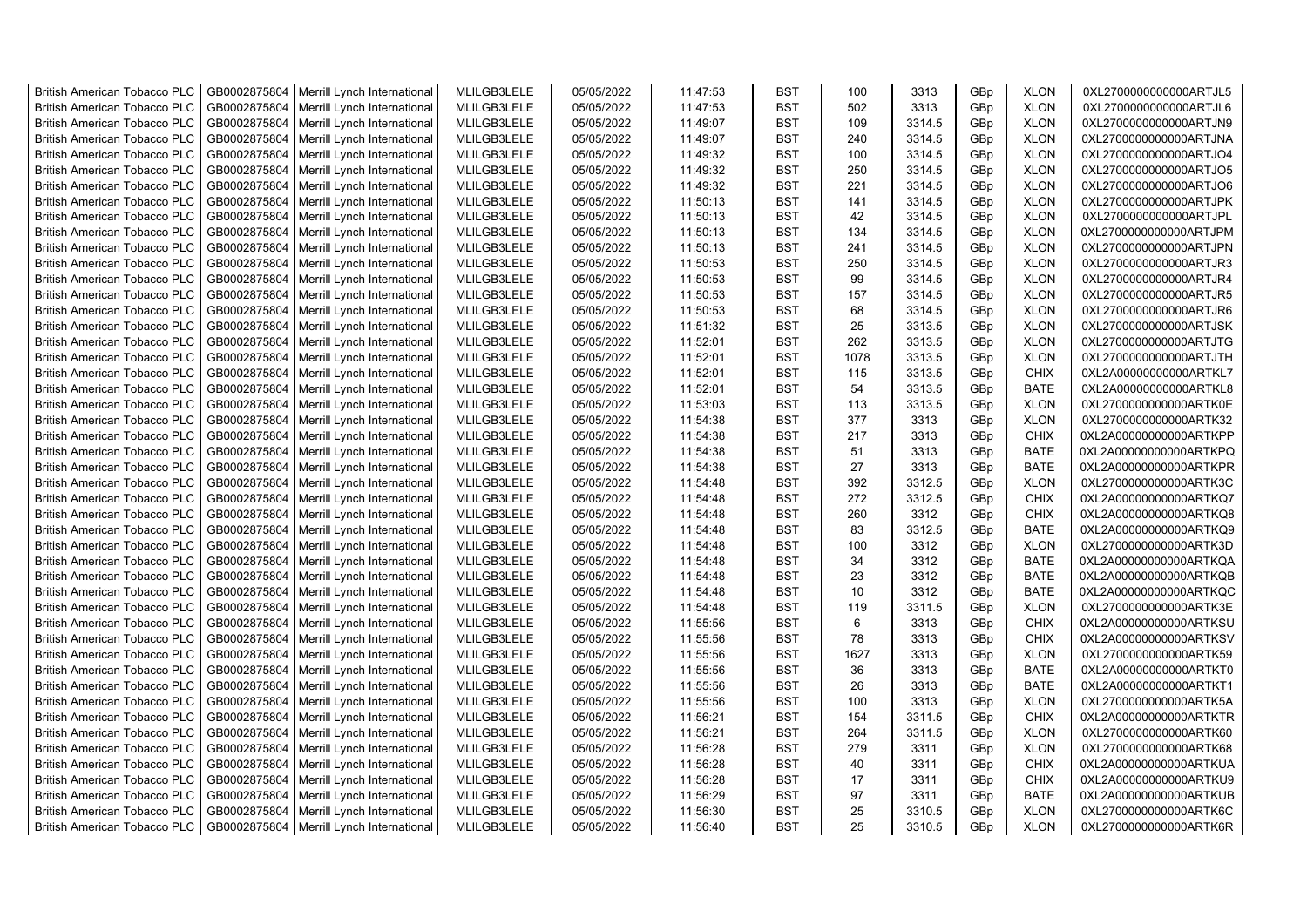| <b>British American Tobacco PLC</b> | GB0002875804                 | Merrill Lynch International                | MLILGB3LELE | 05/05/2022 | 11:47:53 | <b>BST</b>               | 100        | 3313           | GBp             | <b>XLON</b> | 0XL2700000000000ARTJL5 |
|-------------------------------------|------------------------------|--------------------------------------------|-------------|------------|----------|--------------------------|------------|----------------|-----------------|-------------|------------------------|
| <b>British American Tobacco PLC</b> | GB0002875804                 | Merrill Lynch International                | MLILGB3LELE | 05/05/2022 | 11:47:53 | <b>BST</b>               | 502        | 3313           | GBp             | <b>XLON</b> | 0XL2700000000000ARTJL6 |
| <b>British American Tobacco PLC</b> | GB0002875804                 | Merrill Lynch International                | MLILGB3LELE | 05/05/2022 | 11:49:07 | <b>BST</b>               | 109        | 3314.5         | GBp             | <b>XLON</b> | 0XL2700000000000ARTJN9 |
| <b>British American Tobacco PLC</b> | GB0002875804                 | Merrill Lynch International                | MLILGB3LELE | 05/05/2022 | 11:49:07 | <b>BST</b>               | 240        | 3314.5         | GBp             | <b>XLON</b> | 0XL2700000000000ARTJNA |
| <b>British American Tobacco PLC</b> | GB0002875804                 | Merrill Lynch International                | MLILGB3LELE | 05/05/2022 | 11:49:32 | <b>BST</b>               | 100        | 3314.5         | GBp             | <b>XLON</b> | 0XL2700000000000ARTJO4 |
| <b>British American Tobacco PLC</b> | GB0002875804                 | Merrill Lynch International                | MLILGB3LELE | 05/05/2022 | 11:49:32 | <b>BST</b>               | 250        | 3314.5         | GBp             | <b>XLON</b> | 0XL2700000000000ARTJO5 |
| British American Tobacco PLC        | GB0002875804                 | Merrill Lynch International                | MLILGB3LELE | 05/05/2022 | 11:49:32 | <b>BST</b>               | 221        | 3314.5         | GBp             | <b>XLON</b> | 0XL2700000000000ARTJO6 |
| <b>British American Tobacco PLC</b> | GB0002875804                 | Merrill Lynch International                | MLILGB3LELE | 05/05/2022 | 11:50:13 | <b>BST</b>               | 141        | 3314.5         | GBp             | <b>XLON</b> | 0XL2700000000000ARTJPK |
| <b>British American Tobacco PLC</b> | GB0002875804                 | Merrill Lynch International                | MLILGB3LELE | 05/05/2022 | 11:50:13 | <b>BST</b>               | 42         | 3314.5         | GBp             | <b>XLON</b> | 0XL2700000000000ARTJPL |
| <b>British American Tobacco PLC</b> | GB0002875804                 | Merrill Lynch International                | MLILGB3LELE | 05/05/2022 | 11:50:13 | <b>BST</b>               | 134        | 3314.5         | GBp             | <b>XLON</b> | 0XL2700000000000ARTJPM |
| <b>British American Tobacco PLC</b> | GB0002875804                 | Merrill Lynch International                | MLILGB3LELE | 05/05/2022 | 11:50:13 | <b>BST</b>               | 241        | 3314.5         | GBp             | <b>XLON</b> | 0XL2700000000000ARTJPN |
| <b>British American Tobacco PLC</b> | GB0002875804                 | Merrill Lynch International                | MLILGB3LELE | 05/05/2022 | 11:50:53 | <b>BST</b>               | 250        | 3314.5         | GBp             | <b>XLON</b> | 0XL2700000000000ARTJR3 |
| <b>British American Tobacco PLC</b> | GB0002875804                 | Merrill Lynch International                | MLILGB3LELE | 05/05/2022 | 11:50:53 | BST                      | 99         | 3314.5         | GBp             | <b>XLON</b> | 0XL2700000000000ARTJR4 |
| <b>British American Tobacco PLC</b> | GB0002875804                 | Merrill Lynch International                | MLILGB3LELE | 05/05/2022 | 11:50:53 | <b>BST</b>               | 157        | 3314.5         | GBp             | <b>XLON</b> | 0XL2700000000000ARTJR5 |
| <b>British American Tobacco PLC</b> | GB0002875804                 | Merrill Lynch International                | MLILGB3LELE | 05/05/2022 | 11:50:53 | <b>BST</b>               | 68         | 3314.5         | GBp             | <b>XLON</b> | 0XL2700000000000ARTJR6 |
| <b>British American Tobacco PLC</b> | GB0002875804                 | Merrill Lynch International                | MLILGB3LELE | 05/05/2022 | 11:51:32 | <b>BST</b>               | 25         | 3313.5         | GBp             | <b>XLON</b> | 0XL2700000000000ARTJSK |
| <b>British American Tobacco PLC</b> | GB0002875804                 | Merrill Lynch International                | MLILGB3LELE | 05/05/2022 | 11:52:01 | <b>BST</b>               | 262        | 3313.5         | GBp             | <b>XLON</b> | 0XL2700000000000ARTJTG |
| <b>British American Tobacco PLC</b> | GB0002875804                 | Merrill Lynch International                | MLILGB3LELE | 05/05/2022 | 11:52:01 | <b>BST</b>               | 1078       | 3313.5         | GBp             | <b>XLON</b> | 0XL2700000000000ARTJTH |
| <b>British American Tobacco PLC</b> | GB0002875804                 | Merrill Lynch International                | MLILGB3LELE | 05/05/2022 | 11:52:01 | <b>BST</b>               | 115        | 3313.5         | GBp             | <b>CHIX</b> | 0XL2A00000000000ARTKL7 |
| <b>British American Tobacco PLC</b> | GB0002875804                 | Merrill Lynch International                | MLILGB3LELE | 05/05/2022 | 11:52:01 | <b>BST</b>               | 54         | 3313.5         | GBp             | <b>BATE</b> | 0XL2A00000000000ARTKL8 |
| <b>British American Tobacco PLC</b> | GB0002875804                 | Merrill Lynch International                | MLILGB3LELE | 05/05/2022 | 11:53:03 | <b>BST</b>               | 113        | 3313.5         | GBp             | <b>XLON</b> | 0XL2700000000000ARTK0E |
| <b>British American Tobacco PLC</b> | GB0002875804                 | Merrill Lynch International                | MLILGB3LELE | 05/05/2022 | 11:54:38 | <b>BST</b>               | 377        | 3313           | GBp             | <b>XLON</b> | 0XL2700000000000ARTK32 |
| <b>British American Tobacco PLC</b> | GB0002875804                 | Merrill Lynch International                | MLILGB3LELE | 05/05/2022 | 11:54:38 | <b>BST</b>               | 217        | 3313           | GBp             | <b>CHIX</b> | 0XL2A00000000000ARTKPP |
| <b>British American Tobacco PLC</b> |                              |                                            |             |            |          | <b>BST</b>               | 51         |                |                 |             |                        |
|                                     | GB0002875804                 | Merrill Lynch International                | MLILGB3LELE | 05/05/2022 | 11:54:38 |                          |            | 3313           | GBp             | <b>BATE</b> | 0XL2A00000000000ARTKPQ |
| <b>British American Tobacco PLC</b> | GB0002875804                 | Merrill Lynch International                | MLILGB3LELE | 05/05/2022 | 11:54:38 | <b>BST</b>               | 27         | 3313           | GBp             | <b>BATE</b> | 0XL2A00000000000ARTKPR |
| <b>British American Tobacco PLC</b> | GB0002875804                 | Merrill Lynch International                | MLILGB3LELE | 05/05/2022 | 11:54:48 | <b>BST</b><br><b>BST</b> | 392<br>272 | 3312.5         | GBp             | <b>XLON</b> | 0XL2700000000000ARTK3C |
| <b>British American Tobacco PLC</b> | GB0002875804<br>GB0002875804 | Merrill Lynch International                | MLILGB3LELE | 05/05/2022 | 11:54:48 | <b>BST</b>               | 260        | 3312.5<br>3312 | GBp             | <b>CHIX</b> | 0XL2A00000000000ARTKQ7 |
| <b>British American Tobacco PLC</b> |                              | Merrill Lynch International                | MLILGB3LELE | 05/05/2022 | 11:54:48 |                          |            |                | GBp             | <b>CHIX</b> | 0XL2A00000000000ARTKQ8 |
| <b>British American Tobacco PLC</b> | GB0002875804                 | Merrill Lynch International                | MLILGB3LELE | 05/05/2022 | 11:54:48 | <b>BST</b>               | 83         | 3312.5         | GBp             | <b>BATE</b> | 0XL2A00000000000ARTKQ9 |
| <b>British American Tobacco PLC</b> | GB0002875804                 | Merrill Lynch International                | MLILGB3LELE | 05/05/2022 | 11:54:48 | <b>BST</b>               | 100        | 3312           | GBp             | <b>XLON</b> | 0XL2700000000000ARTK3D |
| <b>British American Tobacco PLC</b> | GB0002875804                 | Merrill Lynch International                | MLILGB3LELE | 05/05/2022 | 11:54:48 | <b>BST</b>               | 34         | 3312           | GBp             | <b>BATE</b> | 0XL2A00000000000ARTKQA |
| <b>British American Tobacco PLC</b> | GB0002875804                 | Merrill Lynch International                | MLILGB3LELE | 05/05/2022 | 11:54:48 | <b>BST</b>               | 23         | 3312           | GBp             | <b>BATE</b> | 0XL2A00000000000ARTKQB |
| <b>British American Tobacco PLC</b> | GB0002875804                 | Merrill Lynch International                | MLILGB3LELE | 05/05/2022 | 11:54:48 | <b>BST</b>               | 10         | 3312           | GBp             | <b>BATE</b> | 0XL2A00000000000ARTKQC |
| <b>British American Tobacco PLC</b> | GB0002875804                 | Merrill Lynch International                | MLILGB3LELE | 05/05/2022 | 11:54:48 | <b>BST</b>               | 119        | 3311.5         | GBp             | <b>XLON</b> | 0XL2700000000000ARTK3E |
| <b>British American Tobacco PLC</b> | GB0002875804                 | Merrill Lynch International                | MLILGB3LELE | 05/05/2022 | 11:55:56 | <b>BST</b>               | 6          | 3313           | GBp             | <b>CHIX</b> | 0XL2A00000000000ARTKSU |
| British American Tobacco PLC        | GB0002875804                 | Merrill Lynch International                | MLILGB3LELE | 05/05/2022 | 11:55:56 | <b>BST</b>               | 78         | 3313           | GBp             | <b>CHIX</b> | 0XL2A00000000000ARTKSV |
| <b>British American Tobacco PLC</b> | GB0002875804                 | Merrill Lynch International                | MLILGB3LELE | 05/05/2022 | 11:55:56 | <b>BST</b>               | 1627       | 3313           | GBp             | <b>XLON</b> | 0XL2700000000000ARTK59 |
| <b>British American Tobacco PLC</b> | GB0002875804                 | Merrill Lynch International                | MLILGB3LELE | 05/05/2022 | 11:55:56 | <b>BST</b>               | 36         | 3313           | GBp             | <b>BATE</b> | 0XL2A00000000000ARTKT0 |
| <b>British American Tobacco PLC</b> | GB0002875804                 | Merrill Lynch International                | MLILGB3LELE | 05/05/2022 | 11:55:56 | <b>BST</b>               | 26         | 3313           | GBp             | <b>BATE</b> | 0XL2A00000000000ARTKT1 |
| <b>British American Tobacco PLC</b> | GB0002875804                 | Merrill Lynch International                | MLILGB3LELE | 05/05/2022 | 11:55:56 | <b>BST</b>               | 100        | 3313           | GBp             | <b>XLON</b> | 0XL2700000000000ARTK5A |
| <b>British American Tobacco PLC</b> | GB0002875804                 | Merrill Lynch International                | MLILGB3LELE | 05/05/2022 | 11:56:21 | <b>BST</b>               | 154        | 3311.5         | GBp             | <b>CHIX</b> | 0XL2A00000000000ARTKTR |
| <b>British American Tobacco PLC</b> | GB0002875804                 | Merrill Lynch International                | MLILGB3LELE | 05/05/2022 | 11:56:21 | <b>BST</b>               | 264        | 3311.5         | GBp             | <b>XLON</b> | 0XL2700000000000ARTK60 |
| <b>British American Tobacco PLC</b> | GB0002875804                 | Merrill Lynch International                | MLILGB3LELE | 05/05/2022 | 11:56:28 | <b>BST</b>               | 279        | 3311           | GBp             | <b>XLON</b> | 0XL2700000000000ARTK68 |
| <b>British American Tobacco PLC</b> | GB0002875804                 | Merrill Lynch International                | MLILGB3LELE | 05/05/2022 | 11:56:28 | <b>BST</b>               | 40         | 3311           | GBp             | <b>CHIX</b> | 0XL2A00000000000ARTKUA |
| <b>British American Tobacco PLC</b> | GB0002875804                 | Merrill Lynch International                | MLILGB3LELE | 05/05/2022 | 11:56:28 | <b>BST</b>               | 17         | 3311           | GBp             | <b>CHIX</b> | 0XL2A00000000000ARTKU9 |
| <b>British American Tobacco PLC</b> | GB0002875804                 | Merrill Lynch International                | MLILGB3LELE | 05/05/2022 | 11:56:29 | <b>BST</b>               | 97         | 3311           | GBp             | <b>BATE</b> | 0XL2A00000000000ARTKUB |
| <b>British American Tobacco PLC</b> | GB0002875804                 | Merrill Lynch International                | MLILGB3LELE | 05/05/2022 | 11:56:30 | <b>BST</b>               | 25         | 3310.5         | GBp             | <b>XLON</b> | 0XL2700000000000ARTK6C |
| <b>British American Tobacco PLC</b> |                              | GB0002875804   Merrill Lynch International | MLILGB3LELE | 05/05/2022 | 11:56:40 | <b>BST</b>               | 25         | 3310.5         | GB <sub>p</sub> | <b>XLON</b> | 0XL2700000000000ARTK6R |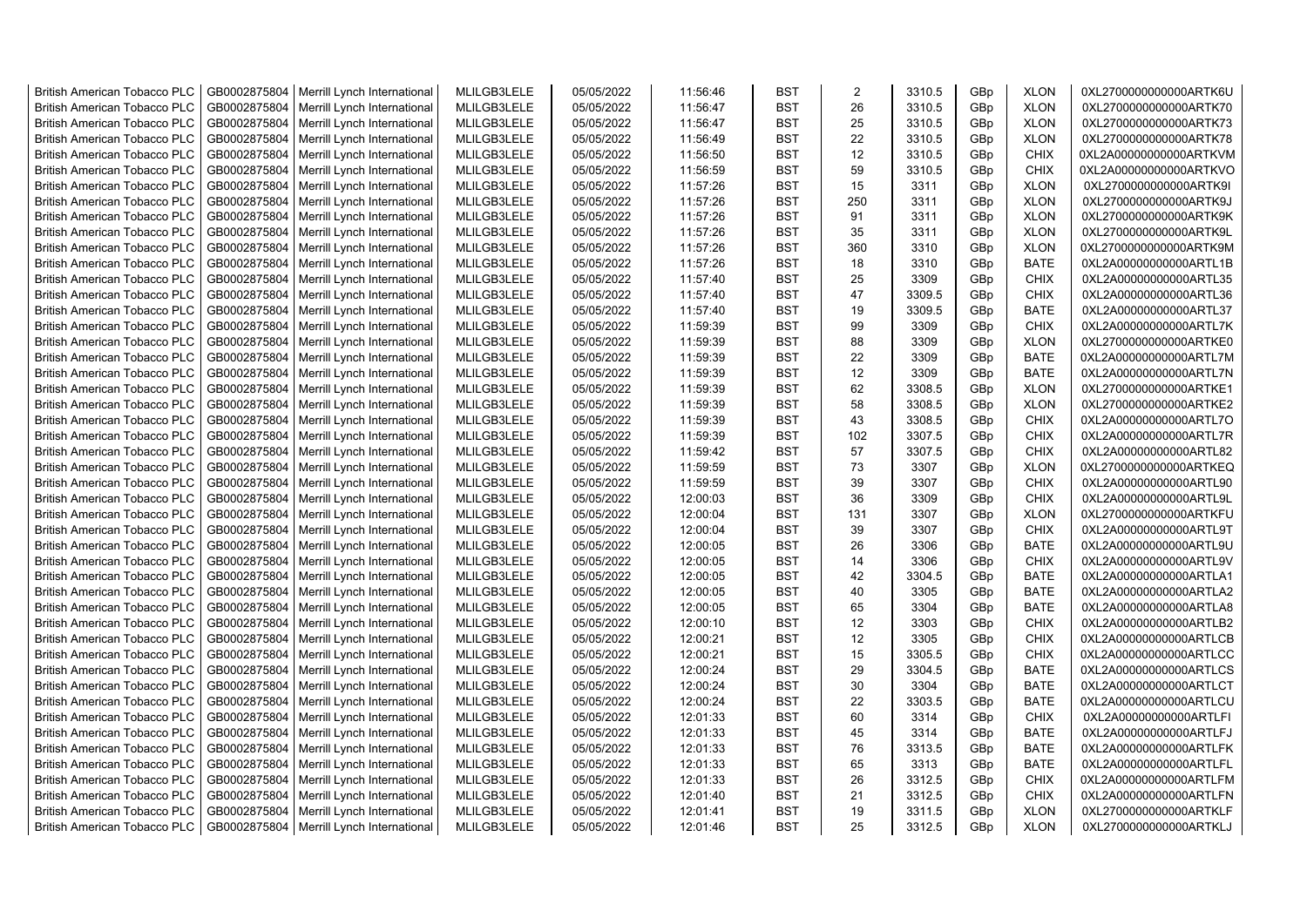| <b>British American Tobacco PLC</b> | GB0002875804 | Merrill Lynch International | MLILGB3LELE | 05/05/2022 | 11:56:46 | <b>BST</b> | 2   | 3310.5 | GBp             | <b>XLON</b> | 0XL2700000000000ARTK6U |
|-------------------------------------|--------------|-----------------------------|-------------|------------|----------|------------|-----|--------|-----------------|-------------|------------------------|
| <b>British American Tobacco PLC</b> | GB0002875804 | Merrill Lynch International | MLILGB3LELE | 05/05/2022 | 11:56:47 | <b>BST</b> | 26  | 3310.5 | GBp             | <b>XLON</b> | 0XL2700000000000ARTK70 |
| <b>British American Tobacco PLC</b> | GB0002875804 | Merrill Lynch International | MLILGB3LELE | 05/05/2022 | 11:56:47 | <b>BST</b> | 25  | 3310.5 | GBp             | <b>XLON</b> | 0XL2700000000000ARTK73 |
| <b>British American Tobacco PLC</b> | GB0002875804 | Merrill Lynch International | MLILGB3LELE | 05/05/2022 | 11:56:49 | <b>BST</b> | 22  | 3310.5 | GBp             | <b>XLON</b> | 0XL2700000000000ARTK78 |
| <b>British American Tobacco PLC</b> | GB0002875804 | Merrill Lynch International | MLILGB3LELE | 05/05/2022 | 11:56:50 | <b>BST</b> | 12  | 3310.5 | GBp             | <b>CHIX</b> | 0XL2A00000000000ARTKVM |
| <b>British American Tobacco PLC</b> | GB0002875804 | Merrill Lynch International | MLILGB3LELE | 05/05/2022 | 11:56:59 | <b>BST</b> | 59  | 3310.5 | GBp             | <b>CHIX</b> | 0XL2A00000000000ARTKVO |
| British American Tobacco PLC        | GB0002875804 | Merrill Lynch International | MLILGB3LELE | 05/05/2022 | 11:57:26 | <b>BST</b> | 15  | 3311   | GBp             | <b>XLON</b> | 0XL2700000000000ARTK9I |
| <b>British American Tobacco PLC</b> | GB0002875804 | Merrill Lynch International | MLILGB3LELE | 05/05/2022 | 11:57:26 | <b>BST</b> | 250 | 3311   | GBp             | <b>XLON</b> | 0XL2700000000000ARTK9J |
| <b>British American Tobacco PLC</b> | GB0002875804 | Merrill Lynch International | MLILGB3LELE | 05/05/2022 | 11:57:26 | <b>BST</b> | 91  | 3311   | GBp             | <b>XLON</b> | 0XL2700000000000ARTK9K |
| <b>British American Tobacco PLC</b> | GB0002875804 | Merrill Lynch International | MLILGB3LELE | 05/05/2022 | 11:57:26 | <b>BST</b> | 35  | 3311   | GBp             | <b>XLON</b> | 0XL2700000000000ARTK9L |
| <b>British American Tobacco PLC</b> | GB0002875804 | Merrill Lynch International | MLILGB3LELE | 05/05/2022 | 11:57:26 | <b>BST</b> | 360 | 3310   | GBp             | <b>XLON</b> | 0XL2700000000000ARTK9M |
| <b>British American Tobacco PLC</b> | GB0002875804 | Merrill Lynch International | MLILGB3LELE | 05/05/2022 | 11:57:26 | <b>BST</b> | 18  | 3310   | GBp             | <b>BATE</b> | 0XL2A00000000000ARTL1B |
| <b>British American Tobacco PLC</b> | GB0002875804 | Merrill Lynch International | MLILGB3LELE | 05/05/2022 | 11:57:40 | <b>BST</b> | 25  | 3309   | GBp             | <b>CHIX</b> | 0XL2A00000000000ARTL35 |
| <b>British American Tobacco PLC</b> | GB0002875804 | Merrill Lynch International | MLILGB3LELE | 05/05/2022 | 11:57:40 | <b>BST</b> | 47  | 3309.5 | GBp             | <b>CHIX</b> | 0XL2A00000000000ARTL36 |
| <b>British American Tobacco PLC</b> | GB0002875804 | Merrill Lynch International | MLILGB3LELE | 05/05/2022 | 11:57:40 | <b>BST</b> | 19  | 3309.5 | GBp             | <b>BATE</b> | 0XL2A00000000000ARTL37 |
| <b>British American Tobacco PLC</b> | GB0002875804 | Merrill Lynch International | MLILGB3LELE | 05/05/2022 | 11:59:39 | <b>BST</b> | 99  | 3309   | GBp             | <b>CHIX</b> | 0XL2A00000000000ARTL7K |
| British American Tobacco PLC        | GB0002875804 | Merrill Lynch International | MLILGB3LELE | 05/05/2022 | 11:59:39 | <b>BST</b> | 88  | 3309   | GBp             | <b>XLON</b> | 0XL2700000000000ARTKE0 |
| <b>British American Tobacco PLC</b> | GB0002875804 | Merrill Lynch International | MLILGB3LELE | 05/05/2022 | 11:59:39 | <b>BST</b> | 22  | 3309   | GBp             | <b>BATE</b> | 0XL2A00000000000ARTL7M |
| <b>British American Tobacco PLC</b> | GB0002875804 | Merrill Lynch International | MLILGB3LELE | 05/05/2022 | 11:59:39 | <b>BST</b> | 12  | 3309   | GBp             | <b>BATE</b> | 0XL2A00000000000ARTL7N |
| <b>British American Tobacco PLC</b> | GB0002875804 | Merrill Lynch International | MLILGB3LELE | 05/05/2022 | 11:59:39 | <b>BST</b> | 62  | 3308.5 | GBp             | <b>XLON</b> | 0XL2700000000000ARTKE1 |
| <b>British American Tobacco PLC</b> | GB0002875804 | Merrill Lynch International | MLILGB3LELE | 05/05/2022 | 11:59:39 | <b>BST</b> | 58  | 3308.5 | GBp             | <b>XLON</b> | 0XL2700000000000ARTKE2 |
| <b>British American Tobacco PLC</b> | GB0002875804 | Merrill Lynch International | MLILGB3LELE | 05/05/2022 | 11:59:39 | <b>BST</b> | 43  | 3308.5 | GBp             | <b>CHIX</b> | 0XL2A00000000000ARTL7O |
| <b>British American Tobacco PLC</b> | GB0002875804 | Merrill Lynch International | MLILGB3LELE | 05/05/2022 | 11:59:39 | <b>BST</b> | 102 | 3307.5 | GBp             | <b>CHIX</b> | 0XL2A00000000000ARTL7R |
| <b>British American Tobacco PLC</b> | GB0002875804 | Merrill Lynch International | MLILGB3LELE | 05/05/2022 | 11:59:42 | <b>BST</b> | 57  | 3307.5 | GBp             | <b>CHIX</b> | 0XL2A00000000000ARTL82 |
| <b>British American Tobacco PLC</b> | GB0002875804 | Merrill Lynch International | MLILGB3LELE | 05/05/2022 | 11:59:59 | <b>BST</b> | 73  | 3307   | GBp             | <b>XLON</b> | 0XL2700000000000ARTKEQ |
| <b>British American Tobacco PLC</b> | GB0002875804 | Merrill Lynch International | MLILGB3LELE | 05/05/2022 | 11:59:59 | <b>BST</b> | 39  | 3307   | GBp             | <b>CHIX</b> | 0XL2A00000000000ARTL90 |
| <b>British American Tobacco PLC</b> | GB0002875804 | Merrill Lynch International | MLILGB3LELE | 05/05/2022 | 12:00:03 | <b>BST</b> | 36  | 3309   | GBp             | <b>CHIX</b> | 0XL2A00000000000ARTL9L |
| <b>British American Tobacco PLC</b> | GB0002875804 | Merrill Lynch International | MLILGB3LELE | 05/05/2022 | 12:00:04 | <b>BST</b> | 131 | 3307   | GBp             | <b>XLON</b> | 0XL2700000000000ARTKFU |
| <b>British American Tobacco PLC</b> | GB0002875804 | Merrill Lynch International | MLILGB3LELE | 05/05/2022 | 12:00:04 | <b>BST</b> | 39  | 3307   | GBp             | <b>CHIX</b> | 0XL2A00000000000ARTL9T |
| <b>British American Tobacco PLC</b> | GB0002875804 | Merrill Lynch International | MLILGB3LELE | 05/05/2022 | 12:00:05 | <b>BST</b> | 26  | 3306   | GBp             | <b>BATE</b> | 0XL2A00000000000ARTL9U |
| <b>British American Tobacco PLC</b> | GB0002875804 | Merrill Lynch International | MLILGB3LELE | 05/05/2022 | 12:00:05 | <b>BST</b> | 14  | 3306   | GBp             | <b>CHIX</b> | 0XL2A00000000000ARTL9V |
| <b>British American Tobacco PLC</b> | GB0002875804 | Merrill Lynch International | MLILGB3LELE | 05/05/2022 | 12:00:05 | <b>BST</b> | 42  | 3304.5 | GBp             | <b>BATE</b> | 0XL2A00000000000ARTLA1 |
| <b>British American Tobacco PLC</b> | GB0002875804 | Merrill Lynch International | MLILGB3LELE | 05/05/2022 | 12:00:05 | <b>BST</b> | 40  | 3305   | GBp             | <b>BATE</b> | 0XL2A00000000000ARTLA2 |
| <b>British American Tobacco PLC</b> | GB0002875804 | Merrill Lynch International | MLILGB3LELE | 05/05/2022 | 12:00:05 | <b>BST</b> | 65  | 3304   | GBp             | <b>BATE</b> | 0XL2A00000000000ARTLA8 |
| <b>British American Tobacco PLC</b> | GB0002875804 | Merrill Lynch International | MLILGB3LELE | 05/05/2022 | 12:00:10 | <b>BST</b> | 12  | 3303   | GBp             | <b>CHIX</b> | 0XL2A00000000000ARTLB2 |
| <b>British American Tobacco PLC</b> | GB0002875804 | Merrill Lynch International | MLILGB3LELE | 05/05/2022 | 12:00:21 | <b>BST</b> | 12  | 3305   | GBp             | <b>CHIX</b> | 0XL2A00000000000ARTLCB |
| <b>British American Tobacco PLC</b> | GB0002875804 | Merrill Lynch International | MLILGB3LELE | 05/05/2022 | 12:00:21 | <b>BST</b> | 15  | 3305.5 | GBp             | <b>CHIX</b> | 0XL2A00000000000ARTLCC |
| <b>British American Tobacco PLC</b> | GB0002875804 | Merrill Lynch International | MLILGB3LELE | 05/05/2022 | 12:00:24 | <b>BST</b> | 29  | 3304.5 | GBp             | <b>BATE</b> | 0XL2A00000000000ARTLCS |
| <b>British American Tobacco PLC</b> | GB0002875804 | Merrill Lynch International | MLILGB3LELE | 05/05/2022 | 12:00:24 | <b>BST</b> | 30  | 3304   | GBp             | <b>BATE</b> | 0XL2A00000000000ARTLCT |
| <b>British American Tobacco PLC</b> | GB0002875804 | Merrill Lynch International | MLILGB3LELE | 05/05/2022 | 12:00:24 | <b>BST</b> | 22  | 3303.5 | GBp             | <b>BATE</b> | 0XL2A00000000000ARTLCU |
| <b>British American Tobacco PLC</b> | GB0002875804 | Merrill Lynch International | MLILGB3LELE | 05/05/2022 | 12:01:33 | <b>BST</b> | 60  | 3314   | GBp             | <b>CHIX</b> | 0XL2A00000000000ARTLFI |
| <b>British American Tobacco PLC</b> | GB0002875804 | Merrill Lynch International | MLILGB3LELE | 05/05/2022 | 12:01:33 | <b>BST</b> | 45  | 3314   | GBp             | <b>BATE</b> | 0XL2A00000000000ARTLFJ |
| <b>British American Tobacco PLC</b> | GB0002875804 | Merrill Lynch International | MLILGB3LELE | 05/05/2022 | 12:01:33 | <b>BST</b> | 76  | 3313.5 | GBp             | <b>BATE</b> | 0XL2A00000000000ARTLFK |
| <b>British American Tobacco PLC</b> | GB0002875804 | Merrill Lynch International | MLILGB3LELE | 05/05/2022 | 12:01:33 | <b>BST</b> | 65  | 3313   | GBp             | <b>BATE</b> | 0XL2A00000000000ARTLFL |
| <b>British American Tobacco PLC</b> | GB0002875804 | Merrill Lynch International | MLILGB3LELE | 05/05/2022 | 12:01:33 | <b>BST</b> | 26  | 3312.5 | GBp             | <b>CHIX</b> | 0XL2A00000000000ARTLFM |
| <b>British American Tobacco PLC</b> | GB0002875804 | Merrill Lynch International | MLILGB3LELE | 05/05/2022 | 12:01:40 | <b>BST</b> | 21  | 3312.5 | GBp             | <b>CHIX</b> | 0XL2A00000000000ARTLFN |
| <b>British American Tobacco PLC</b> | GB0002875804 | Merrill Lynch International | MLILGB3LELE | 05/05/2022 | 12:01:41 | <b>BST</b> | 19  | 3311.5 | GBp             | <b>XLON</b> | 0XL2700000000000ARTKLF |
| <b>British American Tobacco PLC</b> | GB0002875804 | Merrill Lynch International | MLILGB3LELE | 05/05/2022 | 12:01:46 | <b>BST</b> | 25  | 3312.5 | GB <sub>p</sub> | <b>XLON</b> | 0XL2700000000000ARTKLJ |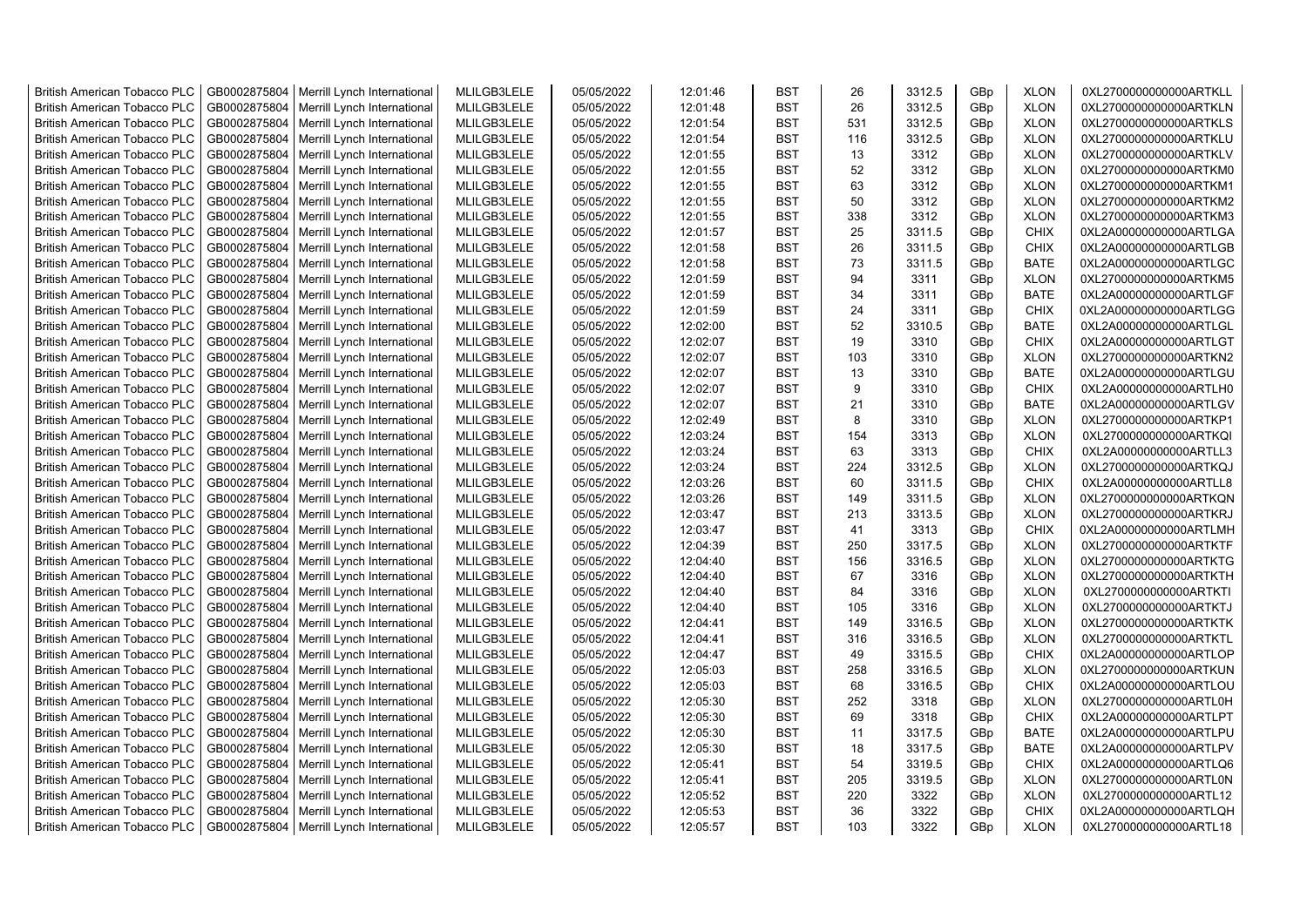| <b>British American Tobacco PLC</b> | GB0002875804 | Merrill Lynch International                                | MLILGB3LELE | 05/05/2022               | 12:01:46 | <b>BST</b> | 26  | 3312.5 | GBp             | <b>XLON</b> | 0XL2700000000000ARTKLL |
|-------------------------------------|--------------|------------------------------------------------------------|-------------|--------------------------|----------|------------|-----|--------|-----------------|-------------|------------------------|
| <b>British American Tobacco PLC</b> | GB0002875804 | Merrill Lynch International                                | MLILGB3LELE | 05/05/2022               | 12:01:48 | <b>BST</b> | 26  | 3312.5 | GBp             | <b>XLON</b> | 0XL2700000000000ARTKLN |
| <b>British American Tobacco PLC</b> | GB0002875804 | Merrill Lynch International                                | MLILGB3LELE | 05/05/2022               | 12:01:54 | <b>BST</b> | 531 | 3312.5 | GBp             | <b>XLON</b> | 0XL2700000000000ARTKLS |
| <b>British American Tobacco PLC</b> | GB0002875804 | Merrill Lynch International                                | MLILGB3LELE | 05/05/2022               | 12:01:54 | <b>BST</b> | 116 | 3312.5 | GBp             | <b>XLON</b> | 0XL2700000000000ARTKLU |
| <b>British American Tobacco PLC</b> | GB0002875804 | Merrill Lynch International                                | MLILGB3LELE | 05/05/2022               | 12:01:55 | <b>BST</b> | 13  | 3312   | GBp             | <b>XLON</b> | 0XL2700000000000ARTKLV |
| <b>British American Tobacco PLC</b> | GB0002875804 | Merrill Lynch International                                | MLILGB3LELE | 05/05/2022               | 12:01:55 | <b>BST</b> | 52  | 3312   | GBp             | <b>XLON</b> | 0XL2700000000000ARTKM0 |
| British American Tobacco PLC        | GB0002875804 | Merrill Lynch International                                | MLILGB3LELE | 05/05/2022               | 12:01:55 | <b>BST</b> | 63  | 3312   | GBp             | <b>XLON</b> | 0XL2700000000000ARTKM1 |
| <b>British American Tobacco PLC</b> | GB0002875804 | Merrill Lynch International                                | MLILGB3LELE | 05/05/2022               | 12:01:55 | <b>BST</b> | 50  | 3312   | GBp             | <b>XLON</b> | 0XL2700000000000ARTKM2 |
| <b>British American Tobacco PLC</b> | GB0002875804 | Merrill Lynch International                                | MLILGB3LELE | 05/05/2022               | 12:01:55 | <b>BST</b> | 338 | 3312   | GBp             | <b>XLON</b> | 0XL2700000000000ARTKM3 |
| <b>British American Tobacco PLC</b> | GB0002875804 | Merrill Lynch International                                | MLILGB3LELE | 05/05/2022               | 12:01:57 | <b>BST</b> | 25  | 3311.5 | GBp             | <b>CHIX</b> | 0XL2A00000000000ARTLGA |
| <b>British American Tobacco PLC</b> | GB0002875804 | Merrill Lynch International                                | MLILGB3LELE | 05/05/2022               | 12:01:58 | <b>BST</b> | 26  | 3311.5 | GBp             | <b>CHIX</b> | 0XL2A00000000000ARTLGB |
| <b>British American Tobacco PLC</b> | GB0002875804 | Merrill Lynch International                                | MLILGB3LELE | 05/05/2022               | 12:01:58 | <b>BST</b> | 73  | 3311.5 | GBp             | <b>BATE</b> | 0XL2A00000000000ARTLGC |
| <b>British American Tobacco PLC</b> | GB0002875804 | Merrill Lynch International                                | MLILGB3LELE | 05/05/2022               | 12:01:59 | <b>BST</b> | 94  | 3311   | GBp             | <b>XLON</b> | 0XL2700000000000ARTKM5 |
| <b>British American Tobacco PLC</b> | GB0002875804 | Merrill Lynch International                                | MLILGB3LELE | 05/05/2022               | 12:01:59 | <b>BST</b> | 34  | 3311   | GBp             | <b>BATE</b> | 0XL2A00000000000ARTLGF |
| <b>British American Tobacco PLC</b> | GB0002875804 | Merrill Lynch International                                | MLILGB3LELE | 05/05/2022               | 12:01:59 | <b>BST</b> | 24  | 3311   | GBp             | <b>CHIX</b> | 0XL2A00000000000ARTLGG |
| British American Tobacco PLC        | GB0002875804 | Merrill Lynch International                                | MLILGB3LELE | 05/05/2022               | 12:02:00 | <b>BST</b> | 52  | 3310.5 | GBp             | <b>BATE</b> | 0XL2A00000000000ARTLGL |
| British American Tobacco PLC        | GB0002875804 | Merrill Lynch International                                | MLILGB3LELE | 05/05/2022               | 12:02:07 | <b>BST</b> | 19  | 3310   | GBp             | <b>CHIX</b> | 0XL2A00000000000ARTLGT |
| <b>British American Tobacco PLC</b> | GB0002875804 | Merrill Lynch International                                | MLILGB3LELE | 05/05/2022               | 12:02:07 | <b>BST</b> | 103 | 3310   | GBp             | <b>XLON</b> | 0XL2700000000000ARTKN2 |
| <b>British American Tobacco PLC</b> | GB0002875804 | Merrill Lynch International                                | MLILGB3LELE | 05/05/2022               | 12:02:07 | <b>BST</b> | 13  | 3310   | GBp             | <b>BATE</b> | 0XL2A00000000000ARTLGU |
| <b>British American Tobacco PLC</b> | GB0002875804 | Merrill Lynch International                                | MLILGB3LELE | 05/05/2022               | 12:02:07 | <b>BST</b> | 9   | 3310   | GBp             | <b>CHIX</b> | 0XL2A00000000000ARTLH0 |
| <b>British American Tobacco PLC</b> | GB0002875804 | Merrill Lynch International                                | MLILGB3LELE | 05/05/2022               | 12:02:07 | <b>BST</b> | 21  | 3310   | GBp             | <b>BATE</b> | 0XL2A00000000000ARTLGV |
| <b>British American Tobacco PLC</b> | GB0002875804 | Merrill Lynch International                                | MLILGB3LELE | 05/05/2022               | 12:02:49 | <b>BST</b> | 8   | 3310   | GBp             | <b>XLON</b> | 0XL2700000000000ARTKP1 |
| <b>British American Tobacco PLC</b> | GB0002875804 | Merrill Lynch International                                | MLILGB3LELE | 05/05/2022               | 12:03:24 | <b>BST</b> | 154 | 3313   | GBp             | <b>XLON</b> | 0XL2700000000000ARTKQI |
| <b>British American Tobacco PLC</b> | GB0002875804 | Merrill Lynch International                                | MLILGB3LELE | 05/05/2022               | 12:03:24 | <b>BST</b> | 63  | 3313   | GBp             | <b>CHIX</b> | 0XL2A00000000000ARTLL3 |
| <b>British American Tobacco PLC</b> | GB0002875804 | Merrill Lynch International                                | MLILGB3LELE | 05/05/2022               | 12:03:24 | <b>BST</b> | 224 | 3312.5 | GBp             | <b>XLON</b> | 0XL2700000000000ARTKQJ |
| <b>British American Tobacco PLC</b> | GB0002875804 | Merrill Lynch International                                | MLILGB3LELE | 05/05/2022               | 12:03:26 | <b>BST</b> | 60  | 3311.5 | GBp             | <b>CHIX</b> | 0XL2A00000000000ARTLL8 |
| <b>British American Tobacco PLC</b> | GB0002875804 | Merrill Lynch International                                | MLILGB3LELE | 05/05/2022               | 12:03:26 | <b>BST</b> | 149 | 3311.5 | GBp             | <b>XLON</b> | 0XL2700000000000ARTKQN |
| <b>British American Tobacco PLC</b> | GB0002875804 | Merrill Lynch International                                | MLILGB3LELE | 05/05/2022               | 12:03:47 | <b>BST</b> | 213 | 3313.5 | GBp             | <b>XLON</b> | 0XL2700000000000ARTKRJ |
| <b>British American Tobacco PLC</b> | GB0002875804 | Merrill Lynch International                                | MLILGB3LELE | 05/05/2022               | 12:03:47 | <b>BST</b> | 41  | 3313   | GBp             | <b>CHIX</b> | 0XL2A00000000000ARTLMH |
| <b>British American Tobacco PLC</b> | GB0002875804 | Merrill Lynch International                                | MLILGB3LELE | 05/05/2022               | 12:04:39 | <b>BST</b> | 250 | 3317.5 | GBp             | <b>XLON</b> | 0XL2700000000000ARTKTF |
| <b>British American Tobacco PLC</b> | GB0002875804 | Merrill Lynch International                                | MLILGB3LELE | 05/05/2022               | 12:04:40 | <b>BST</b> | 156 | 3316.5 | GBp             | <b>XLON</b> | 0XL2700000000000ARTKTG |
| <b>British American Tobacco PLC</b> | GB0002875804 | Merrill Lynch International                                | MLILGB3LELE | 05/05/2022               | 12:04:40 | <b>BST</b> | 67  | 3316   | GBp             | <b>XLON</b> | 0XL2700000000000ARTKTH |
| <b>British American Tobacco PLC</b> | GB0002875804 | Merrill Lynch International                                | MLILGB3LELE | 05/05/2022               | 12:04:40 | <b>BST</b> | 84  | 3316   | GBp             | <b>XLON</b> | 0XL2700000000000ARTKTI |
| <b>British American Tobacco PLC</b> | GB0002875804 | Merrill Lynch International                                | MLILGB3LELE | 05/05/2022               | 12:04:40 | <b>BST</b> | 105 | 3316   | GBp             | <b>XLON</b> | 0XL2700000000000ARTKTJ |
| <b>British American Tobacco PLC</b> | GB0002875804 | Merrill Lynch International                                | MLILGB3LELE | 05/05/2022               | 12:04:41 | <b>BST</b> | 149 | 3316.5 | GBp             | <b>XLON</b> | 0XL2700000000000ARTKTK |
| British American Tobacco PLC        | GB0002875804 | Merrill Lynch International                                | MLILGB3LELE | 05/05/2022               | 12:04:41 | <b>BST</b> | 316 | 3316.5 | GBp             | <b>XLON</b> | 0XL2700000000000ARTKTL |
| <b>British American Tobacco PLC</b> | GB0002875804 | Merrill Lynch International                                | MLILGB3LELE | 05/05/2022               | 12:04:47 | <b>BST</b> | 49  | 3315.5 | GBp             | <b>CHIX</b> | 0XL2A00000000000ARTLOP |
| <b>British American Tobacco PLC</b> | GB0002875804 | Merrill Lynch International                                | MLILGB3LELE | 05/05/2022               | 12:05:03 | <b>BST</b> | 258 | 3316.5 | GBp             | <b>XLON</b> | 0XL2700000000000ARTKUN |
| <b>British American Tobacco PLC</b> | GB0002875804 | Merrill Lynch International                                | MLILGB3LELE | 05/05/2022               | 12:05:03 | <b>BST</b> | 68  | 3316.5 | GBp             | <b>CHIX</b> | 0XL2A00000000000ARTLOU |
| <b>British American Tobacco PLC</b> | GB0002875804 | Merrill Lynch International                                | MLILGB3LELE | 05/05/2022               | 12:05:30 | <b>BST</b> | 252 | 3318   | GBp             | <b>XLON</b> | 0XL2700000000000ARTL0H |
| <b>British American Tobacco PLC</b> | GB0002875804 | Merrill Lynch International                                | MLILGB3LELE | 05/05/2022               | 12:05:30 | <b>BST</b> | 69  | 3318   | GBp             | <b>CHIX</b> | 0XL2A00000000000ARTLPT |
| <b>British American Tobacco PLC</b> | GB0002875804 | Merrill Lynch International                                | MLILGB3LELE | 05/05/2022               | 12:05:30 | <b>BST</b> | 11  | 3317.5 | GBp             | <b>BATE</b> | 0XL2A00000000000ARTLPU |
| <b>British American Tobacco PLC</b> | GB0002875804 | Merrill Lynch International                                | MLILGB3LELE | 05/05/2022               | 12:05:30 | <b>BST</b> | 18  | 3317.5 | GBp             | <b>BATE</b> | 0XL2A00000000000ARTLPV |
| <b>British American Tobacco PLC</b> | GB0002875804 | Merrill Lynch International                                | MLILGB3LELE | 05/05/2022               | 12:05:41 | <b>BST</b> | 54  | 3319.5 | GBp             | <b>CHIX</b> | 0XL2A00000000000ARTLQ6 |
| <b>British American Tobacco PLC</b> | GB0002875804 | Merrill Lynch International                                | MLILGB3LELE | 05/05/2022               | 12:05:41 | <b>BST</b> | 205 | 3319.5 | GBp             | <b>XLON</b> | 0XL2700000000000ARTL0N |
| <b>British American Tobacco PLC</b> | GB0002875804 |                                                            | MLILGB3LELE |                          | 12:05:52 | <b>BST</b> | 220 | 3322   | GBp             | <b>XLON</b> | 0XL2700000000000ARTL12 |
| <b>British American Tobacco PLC</b> | GB0002875804 | Merrill Lynch International<br>Merrill Lynch International | MLILGB3LELE | 05/05/2022<br>05/05/2022 | 12:05:53 | <b>BST</b> | 36  | 3322   | GBp             | <b>CHIX</b> | 0XL2A00000000000ARTLQH |
|                                     |              |                                                            |             |                          | 12:05:57 | <b>BST</b> | 103 | 3322   | GB <sub>p</sub> | <b>XLON</b> |                        |
| <b>British American Tobacco PLC</b> | GB0002875804 | Merrill Lynch International                                | MLILGB3LELE | 05/05/2022               |          |            |     |        |                 |             | 0XL2700000000000ARTL18 |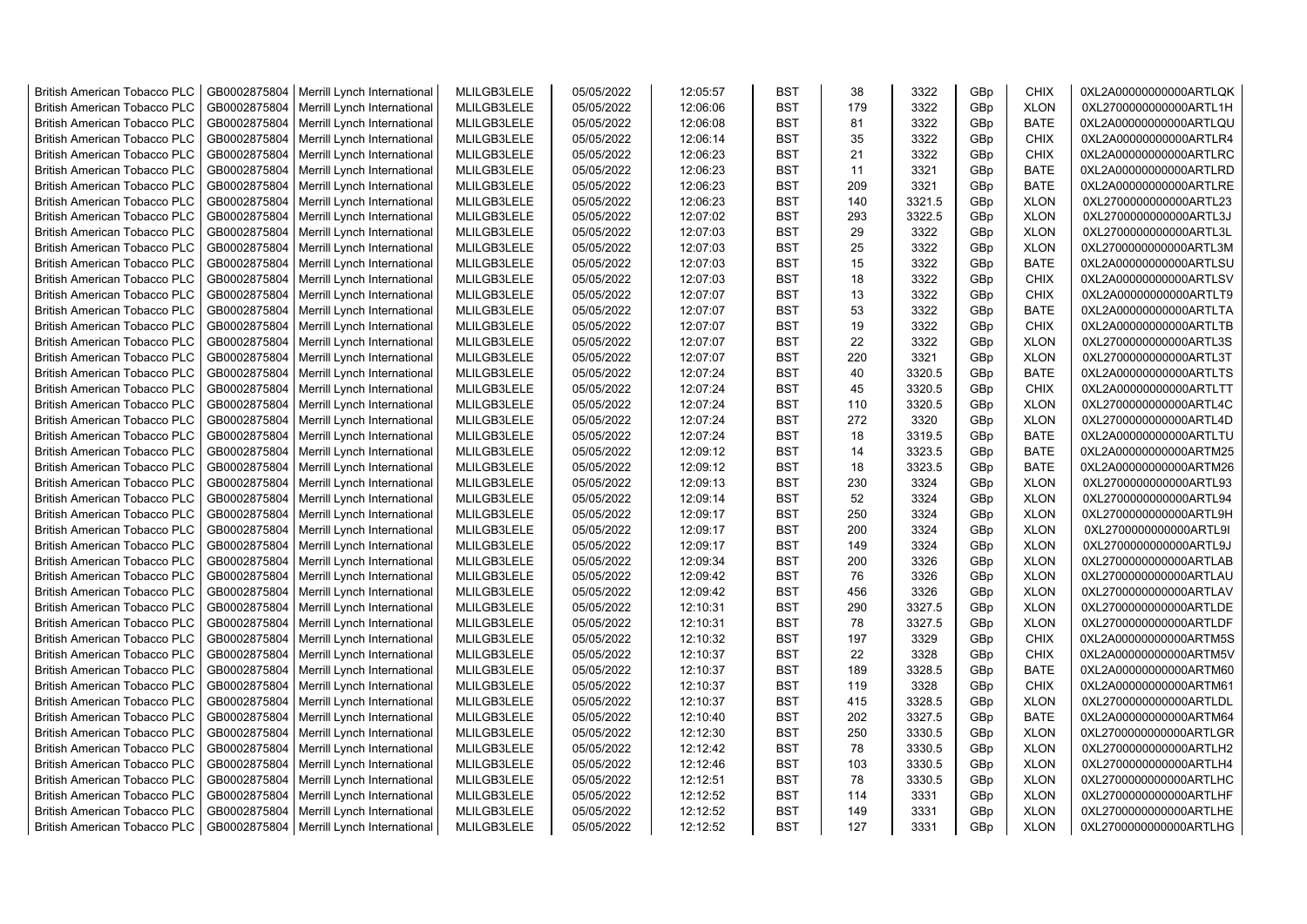| <b>British American Tobacco PLC</b> | GB0002875804 | Merrill Lynch International | MLILGB3LELE | 05/05/2022 | 12:05:57 | <b>BST</b>               | 38        | 3322   | GBp             | <b>CHIX</b> | 0XL2A00000000000ARTLQK |
|-------------------------------------|--------------|-----------------------------|-------------|------------|----------|--------------------------|-----------|--------|-----------------|-------------|------------------------|
| <b>British American Tobacco PLC</b> | GB0002875804 | Merrill Lynch International | MLILGB3LELE | 05/05/2022 | 12:06:06 | <b>BST</b>               | 179       | 3322   | GBp             | <b>XLON</b> | 0XL2700000000000ARTL1H |
| <b>British American Tobacco PLC</b> | GB0002875804 | Merrill Lynch International | MLILGB3LELE | 05/05/2022 | 12:06:08 | <b>BST</b>               | 81        | 3322   | GBp             | <b>BATE</b> | 0XL2A00000000000ARTLQU |
| <b>British American Tobacco PLC</b> | GB0002875804 | Merrill Lynch International | MLILGB3LELE | 05/05/2022 | 12:06:14 | <b>BST</b>               | 35        | 3322   | GBp             | <b>CHIX</b> | 0XL2A00000000000ARTLR4 |
| British American Tobacco PLC        | GB0002875804 | Merrill Lynch International | MLILGB3LELE | 05/05/2022 | 12:06:23 | <b>BST</b>               | 21        | 3322   | GBp             | <b>CHIX</b> | 0XL2A00000000000ARTLRC |
| <b>British American Tobacco PLC</b> | GB0002875804 | Merrill Lynch International | MLILGB3LELE | 05/05/2022 | 12:06:23 | <b>BST</b>               | 11        | 3321   | GBp             | <b>BATE</b> | 0XL2A00000000000ARTLRD |
| <b>British American Tobacco PLC</b> | GB0002875804 | Merrill Lynch International | MLILGB3LELE | 05/05/2022 | 12:06:23 | <b>BST</b>               | 209       | 3321   | GBp             | <b>BATE</b> | 0XL2A00000000000ARTLRE |
| <b>British American Tobacco PLC</b> | GB0002875804 | Merrill Lynch International | MLILGB3LELE | 05/05/2022 | 12:06:23 | <b>BST</b>               | 140       | 3321.5 | GBp             | <b>XLON</b> | 0XL2700000000000ARTL23 |
| <b>British American Tobacco PLC</b> | GB0002875804 | Merrill Lynch International | MLILGB3LELE | 05/05/2022 | 12:07:02 | <b>BST</b>               | 293       | 3322.5 | GBp             | <b>XLON</b> | 0XL2700000000000ARTL3J |
| British American Tobacco PLC        | GB0002875804 | Merrill Lynch International | MLILGB3LELE | 05/05/2022 | 12:07:03 | <b>BST</b>               | 29        | 3322   | GBp             | <b>XLON</b> | 0XL2700000000000ARTL3L |
| <b>British American Tobacco PLC</b> | GB0002875804 | Merrill Lynch International | MLILGB3LELE | 05/05/2022 | 12:07:03 | <b>BST</b>               | 25        | 3322   | GBp             | <b>XLON</b> | 0XL2700000000000ARTL3M |
| British American Tobacco PLC        | GB0002875804 | Merrill Lynch International | MLILGB3LELE | 05/05/2022 | 12:07:03 | <b>BST</b>               | 15        | 3322   | GBp             | <b>BATE</b> | 0XL2A00000000000ARTLSU |
| <b>British American Tobacco PLC</b> | GB0002875804 | Merrill Lynch International | MLILGB3LELE | 05/05/2022 | 12:07:03 | <b>BST</b>               | 18        | 3322   | GB <sub>p</sub> | <b>CHIX</b> | 0XL2A00000000000ARTLSV |
| <b>British American Tobacco PLC</b> | GB0002875804 | Merrill Lynch International | MLILGB3LELE | 05/05/2022 | 12:07:07 | <b>BST</b>               | 13        | 3322   | GBp             | <b>CHIX</b> | 0XL2A00000000000ARTLT9 |
| <b>British American Tobacco PLC</b> | GB0002875804 | Merrill Lynch International | MLILGB3LELE | 05/05/2022 | 12:07:07 | <b>BST</b>               | 53        | 3322   | GBp             | <b>BATE</b> | 0XL2A00000000000ARTLTA |
| <b>British American Tobacco PLC</b> | GB0002875804 | Merrill Lynch International | MLILGB3LELE | 05/05/2022 | 12:07:07 | <b>BST</b>               | 19        | 3322   | GBp             | <b>CHIX</b> | 0XL2A00000000000ARTLTB |
| <b>British American Tobacco PLC</b> | GB0002875804 | Merrill Lynch International | MLILGB3LELE | 05/05/2022 | 12:07:07 | <b>BST</b>               | 22        | 3322   | GBp             | <b>XLON</b> | 0XL2700000000000ARTL3S |
| <b>British American Tobacco PLC</b> | GB0002875804 | Merrill Lynch International | MLILGB3LELE | 05/05/2022 | 12:07:07 | <b>BST</b>               | 220       | 3321   | GBp             | <b>XLON</b> | 0XL2700000000000ARTL3T |
| British American Tobacco PLC        | GB0002875804 | Merrill Lynch International | MLILGB3LELE | 05/05/2022 | 12:07:24 | <b>BST</b>               | 40        | 3320.5 | GBp             | <b>BATE</b> | 0XL2A00000000000ARTLTS |
| <b>British American Tobacco PLC</b> | GB0002875804 | Merrill Lynch International | MLILGB3LELE | 05/05/2022 | 12:07:24 | <b>BST</b>               | 45        | 3320.5 | GBp             | <b>CHIX</b> | 0XL2A00000000000ARTLTT |
| <b>British American Tobacco PLC</b> | GB0002875804 | Merrill Lynch International | MLILGB3LELE | 05/05/2022 | 12:07:24 | <b>BST</b>               | 110       | 3320.5 | GBp             | <b>XLON</b> | 0XL2700000000000ARTL4C |
| <b>British American Tobacco PLC</b> | GB0002875804 | Merrill Lynch International | MLILGB3LELE | 05/05/2022 | 12:07:24 | <b>BST</b>               | 272       | 3320   | GBp             | <b>XLON</b> | 0XL2700000000000ARTL4D |
| <b>British American Tobacco PLC</b> | GB0002875804 |                             | MLILGB3LELE | 05/05/2022 | 12:07:24 | <b>BST</b>               | 18        | 3319.5 | GBp             | <b>BATE</b> |                        |
|                                     |              | Merrill Lynch International |             |            |          |                          |           |        |                 |             | 0XL2A00000000000ARTLTU |
| <b>British American Tobacco PLC</b> | GB0002875804 | Merrill Lynch International | MLILGB3LELE | 05/05/2022 | 12:09:12 | <b>BST</b>               | 14        | 3323.5 | GBp             | <b>BATE</b> | 0XL2A00000000000ARTM25 |
| <b>British American Tobacco PLC</b> | GB0002875804 | Merrill Lynch International | MLILGB3LELE | 05/05/2022 | 12:09:12 | <b>BST</b><br><b>BST</b> | 18<br>230 | 3323.5 | GBp             | <b>BATE</b> | 0XL2A00000000000ARTM26 |
| British American Tobacco PLC        | GB0002875804 | Merrill Lynch International | MLILGB3LELE | 05/05/2022 | 12:09:13 |                          |           | 3324   | GBp             | <b>XLON</b> | 0XL2700000000000ARTL93 |
| British American Tobacco PLC        | GB0002875804 | Merrill Lynch International | MLILGB3LELE | 05/05/2022 | 12:09:14 | <b>BST</b>               | 52        | 3324   | GBp             | <b>XLON</b> | 0XL2700000000000ARTL94 |
| British American Tobacco PLC        | GB0002875804 | Merrill Lynch International | MLILGB3LELE | 05/05/2022 | 12:09:17 | <b>BST</b>               | 250       | 3324   | GBp             | <b>XLON</b> | 0XL2700000000000ARTL9H |
| <b>British American Tobacco PLC</b> | GB0002875804 | Merrill Lynch International | MLILGB3LELE | 05/05/2022 | 12:09:17 | <b>BST</b>               | 200       | 3324   | GBp             | <b>XLON</b> | 0XL2700000000000ARTL9I |
| <b>British American Tobacco PLC</b> | GB0002875804 | Merrill Lynch International | MLILGB3LELE | 05/05/2022 | 12:09:17 | <b>BST</b>               | 149       | 3324   | GBp             | <b>XLON</b> | 0XL2700000000000ARTL9J |
| <b>British American Tobacco PLC</b> | GB0002875804 | Merrill Lynch International | MLILGB3LELE | 05/05/2022 | 12:09:34 | <b>BST</b>               | 200       | 3326   | GBp             | <b>XLON</b> | 0XL2700000000000ARTLAB |
| <b>British American Tobacco PLC</b> | GB0002875804 | Merrill Lynch International | MLILGB3LELE | 05/05/2022 | 12:09:42 | <b>BST</b>               | 76        | 3326   | GBp             | <b>XLON</b> | 0XL2700000000000ARTLAU |
| <b>British American Tobacco PLC</b> | GB0002875804 | Merrill Lynch International | MLILGB3LELE | 05/05/2022 | 12:09:42 | <b>BST</b>               | 456       | 3326   | GBp             | <b>XLON</b> | 0XL2700000000000ARTLAV |
| <b>British American Tobacco PLC</b> | GB0002875804 | Merrill Lynch International | MLILGB3LELE | 05/05/2022 | 12:10:31 | <b>BST</b>               | 290       | 3327.5 | GBp             | <b>XLON</b> | 0XL2700000000000ARTLDE |
| British American Tobacco PLC        | GB0002875804 | Merrill Lynch International | MLILGB3LELE | 05/05/2022 | 12:10:31 | <b>BST</b>               | 78        | 3327.5 | GBp             | <b>XLON</b> | 0XL2700000000000ARTLDF |
| <b>British American Tobacco PLC</b> | GB0002875804 | Merrill Lynch International | MLILGB3LELE | 05/05/2022 | 12:10:32 | <b>BST</b>               | 197       | 3329   | GBp             | <b>CHIX</b> | 0XL2A00000000000ARTM5S |
| British American Tobacco PLC        | GB0002875804 | Merrill Lynch International | MLILGB3LELE | 05/05/2022 | 12:10:37 | <b>BST</b>               | 22        | 3328   | GBp             | <b>CHIX</b> | 0XL2A00000000000ARTM5V |
| <b>British American Tobacco PLC</b> | GB0002875804 | Merrill Lynch International | MLILGB3LELE | 05/05/2022 | 12:10:37 | <b>BST</b>               | 189       | 3328.5 | GBp             | <b>BATE</b> | 0XL2A00000000000ARTM60 |
| <b>British American Tobacco PLC</b> | GB0002875804 | Merrill Lynch International | MLILGB3LELE | 05/05/2022 | 12:10:37 | <b>BST</b>               | 119       | 3328   | GBp             | <b>CHIX</b> | 0XL2A00000000000ARTM61 |
| <b>British American Tobacco PLC</b> | GB0002875804 | Merrill Lynch International | MLILGB3LELE | 05/05/2022 | 12:10:37 | <b>BST</b>               | 415       | 3328.5 | GBp             | <b>XLON</b> | 0XL2700000000000ARTLDL |
| <b>British American Tobacco PLC</b> | GB0002875804 | Merrill Lynch International | MLILGB3LELE | 05/05/2022 | 12:10:40 | <b>BST</b>               | 202       | 3327.5 | GBp             | <b>BATE</b> | 0XL2A00000000000ARTM64 |
| <b>British American Tobacco PLC</b> | GB0002875804 | Merrill Lynch International | MLILGB3LELE | 05/05/2022 | 12:12:30 | <b>BST</b>               | 250       | 3330.5 | GBp             | <b>XLON</b> | 0XL2700000000000ARTLGR |
| British American Tobacco PLC        | GB0002875804 | Merrill Lynch International | MLILGB3LELE | 05/05/2022 | 12:12:42 | <b>BST</b>               | 78        | 3330.5 | GBp             | <b>XLON</b> | 0XL2700000000000ARTLH2 |
| British American Tobacco PLC        | GB0002875804 | Merrill Lynch International | MLILGB3LELE | 05/05/2022 | 12:12:46 | <b>BST</b>               | 103       | 3330.5 | GBp             | <b>XLON</b> | 0XL2700000000000ARTLH4 |
| <b>British American Tobacco PLC</b> | GB0002875804 | Merrill Lynch International | MLILGB3LELE | 05/05/2022 | 12:12:51 | <b>BST</b>               | 78        | 3330.5 | GBp             | <b>XLON</b> | 0XL2700000000000ARTLHC |
| <b>British American Tobacco PLC</b> | GB0002875804 | Merrill Lynch International | MLILGB3LELE | 05/05/2022 | 12:12:52 | <b>BST</b>               | 114       | 3331   | GBp             | <b>XLON</b> | 0XL2700000000000ARTLHF |
| <b>British American Tobacco PLC</b> | GB0002875804 | Merrill Lynch International | MLILGB3LELE | 05/05/2022 | 12:12:52 | <b>BST</b>               | 149       | 3331   | GB <sub>p</sub> | <b>XLON</b> | 0XL2700000000000ARTLHE |
| <b>British American Tobacco PLC</b> | GB0002875804 | Merrill Lynch International | MLILGB3LELE | 05/05/2022 | 12:12:52 | <b>BST</b>               | 127       | 3331   | GBp             | <b>XLON</b> | 0XL2700000000000ARTLHG |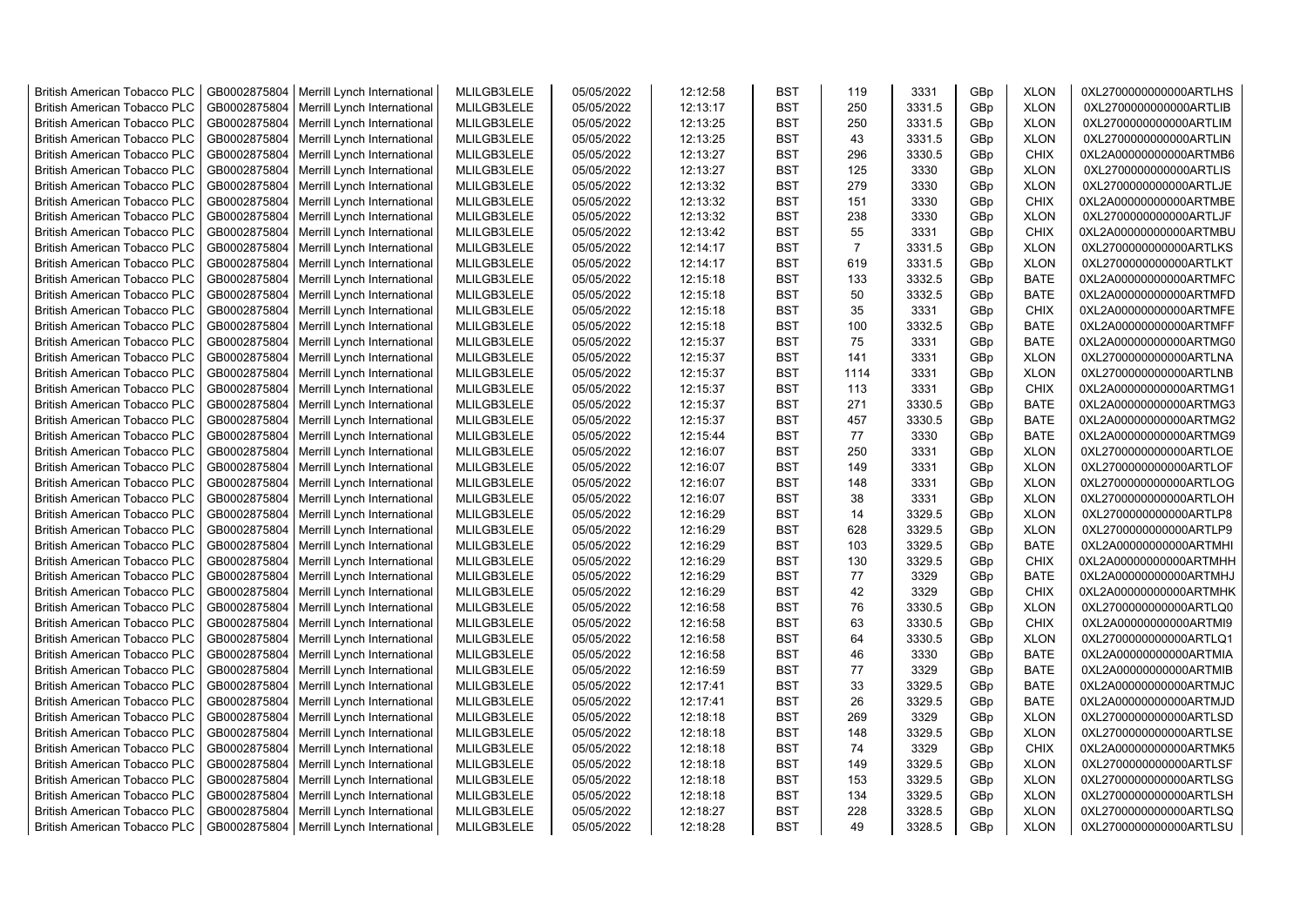| <b>British American Tobacco PLC</b> | GB0002875804 | Merrill Lynch International | MLILGB3LELE | 05/05/2022 | 12:12:58 | <b>BST</b>               | 119            | 3331             | GBp             | <b>XLON</b>                | 0XL2700000000000ARTLHS |
|-------------------------------------|--------------|-----------------------------|-------------|------------|----------|--------------------------|----------------|------------------|-----------------|----------------------------|------------------------|
| <b>British American Tobacco PLC</b> | GB0002875804 | Merrill Lynch International | MLILGB3LELE | 05/05/2022 | 12:13:17 | <b>BST</b>               | 250            | 3331.5           | GBp             | <b>XLON</b>                | 0XL2700000000000ARTLIB |
| <b>British American Tobacco PLC</b> | GB0002875804 | Merrill Lynch International | MLILGB3LELE | 05/05/2022 | 12:13:25 | <b>BST</b>               | 250            | 3331.5           | GBp             | <b>XLON</b>                | 0XL2700000000000ARTLIM |
| <b>British American Tobacco PLC</b> | GB0002875804 | Merrill Lynch International | MLILGB3LELE | 05/05/2022 | 12:13:25 | <b>BST</b>               | 43             | 3331.5           | GBp             | <b>XLON</b>                | 0XL2700000000000ARTLIN |
| <b>British American Tobacco PLC</b> | GB0002875804 | Merrill Lynch International | MLILGB3LELE | 05/05/2022 | 12:13:27 | <b>BST</b>               | 296            | 3330.5           | GB <sub>p</sub> | <b>CHIX</b>                | 0XL2A00000000000ARTMB6 |
| <b>British American Tobacco PLC</b> | GB0002875804 | Merrill Lynch International | MLILGB3LELE | 05/05/2022 | 12:13:27 | <b>BST</b>               | 125            | 3330             | GBp             | <b>XLON</b>                | 0XL2700000000000ARTLIS |
| <b>British American Tobacco PLC</b> | GB0002875804 | Merrill Lynch International | MLILGB3LELE | 05/05/2022 | 12:13:32 | <b>BST</b>               | 279            | 3330             | GBp             | <b>XLON</b>                | 0XL2700000000000ARTLJE |
| <b>British American Tobacco PLC</b> | GB0002875804 | Merrill Lynch International | MLILGB3LELE | 05/05/2022 | 12:13:32 | <b>BST</b>               | 151            | 3330             | GBp             | <b>CHIX</b>                | 0XL2A00000000000ARTMBE |
| <b>British American Tobacco PLC</b> | GB0002875804 | Merrill Lynch International | MLILGB3LELE | 05/05/2022 | 12:13:32 | <b>BST</b>               | 238            | 3330             | GBp             | <b>XLON</b>                | 0XL2700000000000ARTLJF |
| <b>British American Tobacco PLC</b> | GB0002875804 |                             | MLILGB3LELE | 05/05/2022 | 12:13:42 | <b>BST</b>               | 55             | 3331             | GBp             | <b>CHIX</b>                | 0XL2A00000000000ARTMBU |
|                                     |              | Merrill Lynch International | MLILGB3LELE | 05/05/2022 |          |                          | $\overline{7}$ |                  |                 |                            |                        |
| <b>British American Tobacco PLC</b> | GB0002875804 | Merrill Lynch International |             |            | 12:14:17 | <b>BST</b><br><b>BST</b> |                | 3331.5<br>3331.5 | GBp             | <b>XLON</b><br><b>XLON</b> | 0XL2700000000000ARTLKS |
| <b>British American Tobacco PLC</b> | GB0002875804 | Merrill Lynch International | MLILGB3LELE | 05/05/2022 | 12:14:17 |                          | 619            |                  | GBp             |                            | 0XL2700000000000ARTLKT |
| <b>British American Tobacco PLC</b> | GB0002875804 | Merrill Lynch International | MLILGB3LELE | 05/05/2022 | 12:15:18 | <b>BST</b>               | 133            | 3332.5           | GBp             | <b>BATE</b>                | 0XL2A00000000000ARTMFC |
| <b>British American Tobacco PLC</b> | GB0002875804 | Merrill Lynch International | MLILGB3LELE | 05/05/2022 | 12:15:18 | <b>BST</b>               | 50             | 3332.5           | GBp             | <b>BATE</b>                | 0XL2A00000000000ARTMFD |
| <b>British American Tobacco PLC</b> | GB0002875804 | Merrill Lynch International | MLILGB3LELE | 05/05/2022 | 12:15:18 | <b>BST</b>               | 35             | 3331             | GBp             | <b>CHIX</b>                | 0XL2A00000000000ARTMFE |
| <b>British American Tobacco PLC</b> | GB0002875804 | Merrill Lynch International | MLILGB3LELE | 05/05/2022 | 12:15:18 | <b>BST</b>               | 100            | 3332.5           | GBp             | <b>BATE</b>                | 0XL2A00000000000ARTMFF |
| <b>British American Tobacco PLC</b> | GB0002875804 | Merrill Lynch International | MLILGB3LELE | 05/05/2022 | 12:15:37 | <b>BST</b>               | 75             | 3331             | GBp             | <b>BATE</b>                | 0XL2A00000000000ARTMG0 |
| <b>British American Tobacco PLC</b> | GB0002875804 | Merrill Lynch International | MLILGB3LELE | 05/05/2022 | 12:15:37 | <b>BST</b>               | 141            | 3331             | GBp             | <b>XLON</b>                | 0XL2700000000000ARTLNA |
| <b>British American Tobacco PLC</b> | GB0002875804 | Merrill Lynch International | MLILGB3LELE | 05/05/2022 | 12:15:37 | <b>BST</b>               | 1114           | 3331             | GBp             | <b>XLON</b>                | 0XL2700000000000ARTLNB |
| <b>British American Tobacco PLC</b> | GB0002875804 | Merrill Lynch International | MLILGB3LELE | 05/05/2022 | 12:15:37 | <b>BST</b>               | 113            | 3331             | GBp             | <b>CHIX</b>                | 0XL2A00000000000ARTMG1 |
| <b>British American Tobacco PLC</b> | GB0002875804 | Merrill Lynch International | MLILGB3LELE | 05/05/2022 | 12:15:37 | <b>BST</b>               | 271            | 3330.5           | GBp             | <b>BATE</b>                | 0XL2A00000000000ARTMG3 |
| <b>British American Tobacco PLC</b> | GB0002875804 | Merrill Lynch International | MLILGB3LELE | 05/05/2022 | 12:15:37 | <b>BST</b>               | 457            | 3330.5           | GB <sub>p</sub> | <b>BATE</b>                | 0XL2A00000000000ARTMG2 |
| <b>British American Tobacco PLC</b> | GB0002875804 | Merrill Lynch International | MLILGB3LELE | 05/05/2022 | 12:15:44 | <b>BST</b>               | 77             | 3330             | GBp             | <b>BATE</b>                | 0XL2A00000000000ARTMG9 |
| <b>British American Tobacco PLC</b> | GB0002875804 | Merrill Lynch International | MLILGB3LELE | 05/05/2022 | 12:16:07 | <b>BST</b>               | 250            | 3331             | GBp             | <b>XLON</b>                | 0XL2700000000000ARTLOE |
| <b>British American Tobacco PLC</b> | GB0002875804 | Merrill Lynch International | MLILGB3LELE | 05/05/2022 | 12:16:07 | <b>BST</b>               | 149            | 3331             | GBp             | <b>XLON</b>                | 0XL2700000000000ARTLOF |
| <b>British American Tobacco PLC</b> | GB0002875804 | Merrill Lynch International | MLILGB3LELE | 05/05/2022 | 12:16:07 | <b>BST</b>               | 148            | 3331             | GBp             | <b>XLON</b>                | 0XL2700000000000ARTLOG |
| <b>British American Tobacco PLC</b> | GB0002875804 | Merrill Lynch International | MLILGB3LELE | 05/05/2022 | 12:16:07 | <b>BST</b>               | 38             | 3331             | GBp             | <b>XLON</b>                | 0XL2700000000000ARTLOH |
| <b>British American Tobacco PLC</b> | GB0002875804 | Merrill Lynch International | MLILGB3LELE | 05/05/2022 | 12:16:29 | <b>BST</b>               | 14             | 3329.5           | GBp             | <b>XLON</b>                | 0XL2700000000000ARTLP8 |
| <b>British American Tobacco PLC</b> | GB0002875804 | Merrill Lynch International | MLILGB3LELE | 05/05/2022 | 12:16:29 | <b>BST</b>               | 628            | 3329.5           | GBp             | <b>XLON</b>                | 0XL2700000000000ARTLP9 |
| <b>British American Tobacco PLC</b> | GB0002875804 | Merrill Lynch International | MLILGB3LELE | 05/05/2022 | 12:16:29 | <b>BST</b>               | 103            | 3329.5           | GBp             | <b>BATE</b>                | 0XL2A00000000000ARTMHI |
| <b>British American Tobacco PLC</b> | GB0002875804 | Merrill Lynch International | MLILGB3LELE | 05/05/2022 | 12:16:29 | <b>BST</b>               | 130            | 3329.5           | GBp             | <b>CHIX</b>                | 0XL2A00000000000ARTMHH |
| <b>British American Tobacco PLC</b> | GB0002875804 | Merrill Lynch International | MLILGB3LELE | 05/05/2022 | 12:16:29 | <b>BST</b>               | 77             | 3329             | GBp             | <b>BATE</b>                | 0XL2A00000000000ARTMHJ |
| <b>British American Tobacco PLC</b> | GB0002875804 | Merrill Lynch International | MLILGB3LELE | 05/05/2022 | 12:16:29 | <b>BST</b>               | 42             | 3329             | GBp             | <b>CHIX</b>                | 0XL2A00000000000ARTMHK |
| <b>British American Tobacco PLC</b> | GB0002875804 | Merrill Lynch International | MLILGB3LELE | 05/05/2022 | 12:16:58 | <b>BST</b>               | 76             | 3330.5           | GBp             | <b>XLON</b>                | 0XL2700000000000ARTLQ0 |
| <b>British American Tobacco PLC</b> | GB0002875804 | Merrill Lynch International | MLILGB3LELE | 05/05/2022 | 12:16:58 | <b>BST</b>               | 63             | 3330.5           | GBp             | <b>CHIX</b>                | 0XL2A00000000000ARTMI9 |
| <b>British American Tobacco PLC</b> | GB0002875804 | Merrill Lynch International | MLILGB3LELE | 05/05/2022 | 12:16:58 | <b>BST</b>               | 64             | 3330.5           | GBp             | <b>XLON</b>                | 0XL2700000000000ARTLQ1 |
| <b>British American Tobacco PLC</b> | GB0002875804 | Merrill Lynch International | MLILGB3LELE | 05/05/2022 | 12:16:58 | <b>BST</b>               | 46             | 3330             | GBp             | <b>BATE</b>                | 0XL2A00000000000ARTMIA |
| <b>British American Tobacco PLC</b> | GB0002875804 | Merrill Lynch International | MLILGB3LELE | 05/05/2022 | 12:16:59 | <b>BST</b>               | 77             | 3329             | GBp             | <b>BATE</b>                | 0XL2A00000000000ARTMIB |
| <b>British American Tobacco PLC</b> | GB0002875804 | Merrill Lynch International | MLILGB3LELE | 05/05/2022 | 12:17:41 | <b>BST</b>               | 33             | 3329.5           | GB <sub>p</sub> | <b>BATE</b>                | 0XL2A00000000000ARTMJC |
| <b>British American Tobacco PLC</b> | GB0002875804 | Merrill Lynch International | MLILGB3LELE | 05/05/2022 | 12:17:41 | <b>BST</b>               | 26             | 3329.5           | GBp             | <b>BATE</b>                | 0XL2A00000000000ARTMJD |
| <b>British American Tobacco PLC</b> | GB0002875804 | Merrill Lynch International | MLILGB3LELE | 05/05/2022 | 12:18:18 | <b>BST</b>               | 269            | 3329             | GBp             | <b>XLON</b>                | 0XL2700000000000ARTLSD |
| <b>British American Tobacco PLC</b> | GB0002875804 | Merrill Lynch International | MLILGB3LELE | 05/05/2022 | 12:18:18 | <b>BST</b>               | 148            | 3329.5           | GBp             | <b>XLON</b>                | 0XL2700000000000ARTLSE |
| <b>British American Tobacco PLC</b> | GB0002875804 | Merrill Lynch International | MLILGB3LELE | 05/05/2022 | 12:18:18 | <b>BST</b>               | 74             | 3329             | GBp             | <b>CHIX</b>                | 0XL2A00000000000ARTMK5 |
| <b>British American Tobacco PLC</b> | GB0002875804 | Merrill Lynch International | MLILGB3LELE | 05/05/2022 | 12:18:18 | <b>BST</b>               | 149            | 3329.5           | GBp             | <b>XLON</b>                | 0XL2700000000000ARTLSF |
| <b>British American Tobacco PLC</b> | GB0002875804 | Merrill Lynch International | MLILGB3LELE | 05/05/2022 | 12:18:18 | <b>BST</b>               | 153            | 3329.5           | GBp             | <b>XLON</b>                | 0XL2700000000000ARTLSG |
| <b>British American Tobacco PLC</b> | GB0002875804 | Merrill Lynch International | MLILGB3LELE | 05/05/2022 | 12:18:18 | <b>BST</b>               | 134            | 3329.5           | GBp             | <b>XLON</b>                | 0XL2700000000000ARTLSH |
| <b>British American Tobacco PLC</b> | GB0002875804 | Merrill Lynch International | MLILGB3LELE | 05/05/2022 | 12:18:27 | <b>BST</b>               | 228            | 3328.5           | GBp             | <b>XLON</b>                | 0XL2700000000000ARTLSQ |
| <b>British American Tobacco PLC</b> | GB0002875804 | Merrill Lynch International | MLILGB3LELE | 05/05/2022 | 12:18:28 | <b>BST</b>               | 49             | 3328.5           | GBp             | <b>XLON</b>                | 0XL2700000000000ARTLSU |
|                                     |              |                             |             |            |          |                          |                |                  |                 |                            |                        |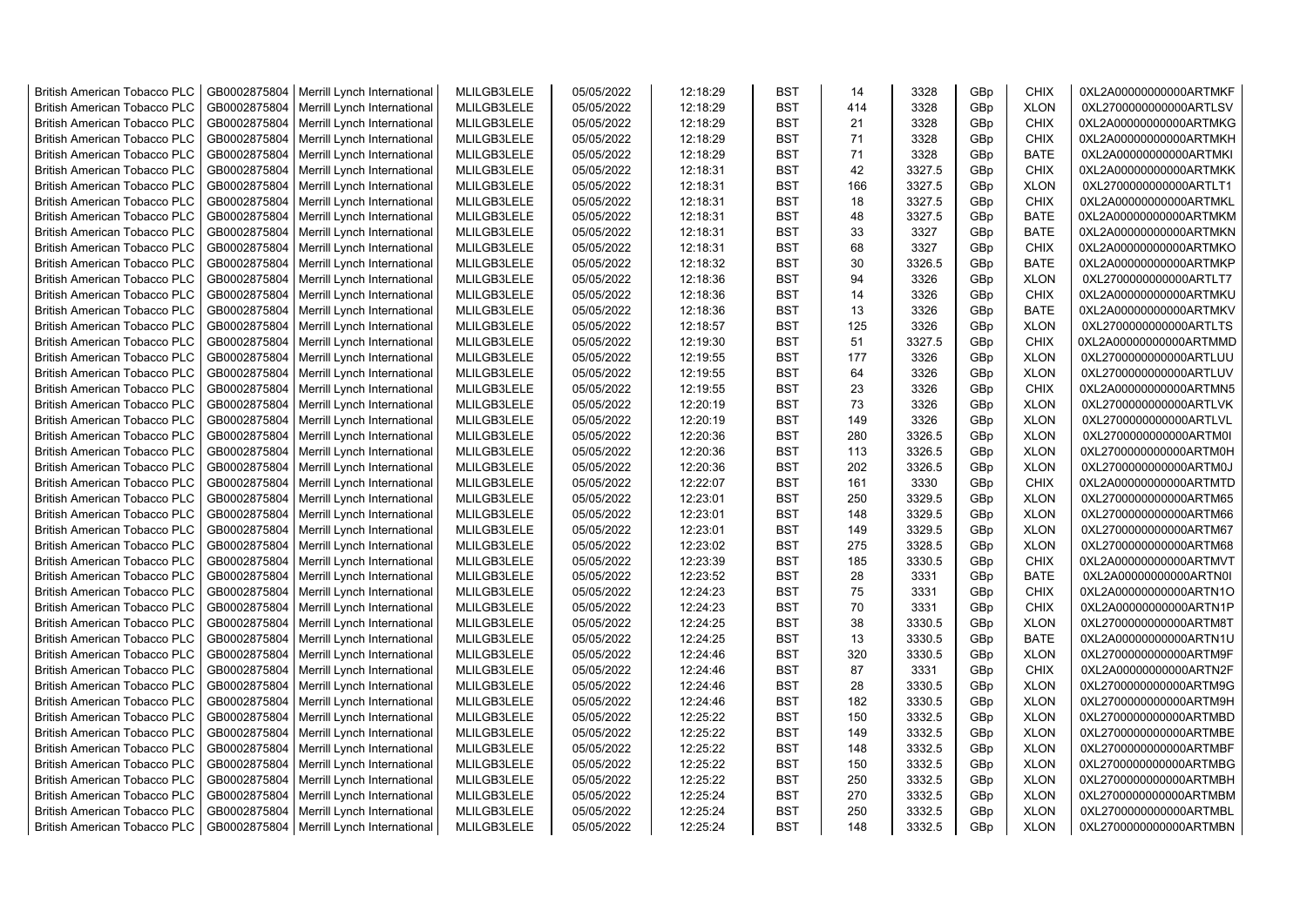| <b>British American Tobacco PLC</b>                                 | GB0002875804 | Merrill Lynch International | MLILGB3LELE                | 05/05/2022 | 12:18:29 | <b>BST</b> | 14         | 3328   | GBp             | <b>CHIX</b> | 0XL2A00000000000ARTMKF |
|---------------------------------------------------------------------|--------------|-----------------------------|----------------------------|------------|----------|------------|------------|--------|-----------------|-------------|------------------------|
| <b>British American Tobacco PLC</b>                                 | GB0002875804 | Merrill Lynch International | MLILGB3LELE                | 05/05/2022 | 12:18:29 | <b>BST</b> | 414        | 3328   | GBp             | <b>XLON</b> | 0XL2700000000000ARTLSV |
| <b>British American Tobacco PLC</b>                                 | GB0002875804 | Merrill Lynch International | MLILGB3LELE                | 05/05/2022 | 12:18:29 | <b>BST</b> | 21         | 3328   | GBp             | <b>CHIX</b> | 0XL2A00000000000ARTMKG |
| <b>British American Tobacco PLC</b>                                 | GB0002875804 | Merrill Lynch International | MLILGB3LELE                | 05/05/2022 | 12:18:29 | <b>BST</b> | 71         | 3328   | GBp             | <b>CHIX</b> | 0XL2A00000000000ARTMKH |
| <b>British American Tobacco PLC</b>                                 | GB0002875804 | Merrill Lynch International | MLILGB3LELE                | 05/05/2022 | 12:18:29 | <b>BST</b> | 71         | 3328   | GBp             | <b>BATE</b> | 0XL2A00000000000ARTMKI |
| <b>British American Tobacco PLC</b>                                 | GB0002875804 | Merrill Lynch International | MLILGB3LELE                | 05/05/2022 | 12:18:31 | <b>BST</b> | 42         | 3327.5 | GBp             | CHIX        | 0XL2A00000000000ARTMKK |
| <b>British American Tobacco PLC</b>                                 | GB0002875804 | Merrill Lynch International | MLILGB3LELE                | 05/05/2022 | 12:18:31 | <b>BST</b> | 166        | 3327.5 | GBp             | <b>XLON</b> | 0XL2700000000000ARTLT1 |
| <b>British American Tobacco PLC</b>                                 | GB0002875804 |                             | MLILGB3LELE                | 05/05/2022 |          | BST        | 18         | 3327.5 |                 | <b>CHIX</b> |                        |
|                                                                     |              | Merrill Lynch International |                            |            | 12:18:31 |            | 48         |        | GBp             |             | 0XL2A00000000000ARTMKL |
| <b>British American Tobacco PLC</b>                                 | GB0002875804 | Merrill Lynch International | MLILGB3LELE                | 05/05/2022 | 12:18:31 | BST        |            | 3327.5 | GBp             | <b>BATE</b> | 0XL2A00000000000ARTMKM |
| British American Tobacco PLC                                        | GB0002875804 | Merrill Lynch International | MLILGB3LELE                | 05/05/2022 | 12:18:31 | <b>BST</b> | 33         | 3327   | GBp             | <b>BATE</b> | 0XL2A00000000000ARTMKN |
| <b>British American Tobacco PLC</b>                                 | GB0002875804 | Merrill Lynch International | MLILGB3LELE                | 05/05/2022 | 12:18:31 | <b>BST</b> | 68         | 3327   | GBp             | <b>CHIX</b> | 0XL2A00000000000ARTMKO |
| British American Tobacco PLC                                        | GB0002875804 | Merrill Lynch International | MLILGB3LELE                | 05/05/2022 | 12:18:32 | <b>BST</b> | 30         | 3326.5 | GBp             | <b>BATE</b> | 0XL2A00000000000ARTMKP |
| <b>British American Tobacco PLC</b>                                 | GB0002875804 | Merrill Lynch International | MLILGB3LELE                | 05/05/2022 | 12:18:36 | <b>BST</b> | 94         | 3326   | GBp             | <b>XLON</b> | 0XL2700000000000ARTLT7 |
| <b>British American Tobacco PLC</b>                                 | GB0002875804 | Merrill Lynch International | MLILGB3LELE                | 05/05/2022 | 12:18:36 | <b>BST</b> | 14         | 3326   | GBp             | <b>CHIX</b> | 0XL2A00000000000ARTMKU |
| <b>British American Tobacco PLC</b>                                 | GB0002875804 | Merrill Lynch International | MLILGB3LELE                | 05/05/2022 | 12:18:36 | <b>BST</b> | 13         | 3326   | GBp             | <b>BATE</b> | 0XL2A00000000000ARTMKV |
| <b>British American Tobacco PLC</b>                                 | GB0002875804 | Merrill Lynch International | MLILGB3LELE                | 05/05/2022 | 12:18:57 | <b>BST</b> | 125        | 3326   | GBp             | <b>XLON</b> | 0XL2700000000000ARTLTS |
| <b>British American Tobacco PLC</b>                                 | GB0002875804 | Merrill Lynch International | MLILGB3LELE                | 05/05/2022 | 12:19:30 | <b>BST</b> | 51         | 3327.5 | GBp             | <b>CHIX</b> | 0XL2A00000000000ARTMMD |
| <b>British American Tobacco PLC</b>                                 | GB0002875804 | Merrill Lynch International | MLILGB3LELE                | 05/05/2022 | 12:19:55 | <b>BST</b> | 177        | 3326   | GBp             | <b>XLON</b> | 0XL2700000000000ARTLUU |
| <b>British American Tobacco PLC</b>                                 | GB0002875804 | Merrill Lynch International | MLILGB3LELE                | 05/05/2022 | 12:19:55 | <b>BST</b> | 64         | 3326   | GBp             | <b>XLON</b> | 0XL2700000000000ARTLUV |
| <b>British American Tobacco PLC</b>                                 | GB0002875804 | Merrill Lynch International | MLILGB3LELE                | 05/05/2022 | 12:19:55 | <b>BST</b> | 23         | 3326   | GBp             | CHIX        | 0XL2A00000000000ARTMN5 |
| <b>British American Tobacco PLC</b>                                 | GB0002875804 | Merrill Lynch International | MLILGB3LELE                | 05/05/2022 | 12:20:19 | <b>BST</b> | 73         | 3326   | GBp             | <b>XLON</b> | 0XL2700000000000ARTLVK |
| <b>British American Tobacco PLC</b>                                 | GB0002875804 | Merrill Lynch International | MLILGB3LELE                | 05/05/2022 | 12:20:19 | <b>BST</b> | 149        | 3326   | GBp             | <b>XLON</b> | 0XL2700000000000ARTLVL |
| <b>British American Tobacco PLC</b>                                 | GB0002875804 | Merrill Lynch International | MLILGB3LELE                | 05/05/2022 | 12:20:36 | <b>BST</b> | 280        | 3326.5 | GBp             | <b>XLON</b> | 0XL2700000000000ARTM0I |
| <b>British American Tobacco PLC</b>                                 | GB0002875804 | Merrill Lynch International | MLILGB3LELE                | 05/05/2022 | 12:20:36 | <b>BST</b> | 113        | 3326.5 | GBp             | <b>XLON</b> | 0XL2700000000000ARTM0H |
| <b>British American Tobacco PLC</b>                                 | GB0002875804 | Merrill Lynch International | MLILGB3LELE                | 05/05/2022 | 12:20:36 | BST        | 202        | 3326.5 | GBp             | <b>XLON</b> | 0XL2700000000000ARTM0J |
| British American Tobacco PLC                                        | GB0002875804 | Merrill Lynch International | MLILGB3LELE                | 05/05/2022 | 12:22:07 | <b>BST</b> | 161        | 3330   | GBp             | <b>CHIX</b> | 0XL2A00000000000ARTMTD |
| British American Tobacco PLC                                        | GB0002875804 | Merrill Lynch International | MLILGB3LELE                | 05/05/2022 | 12:23:01 | <b>BST</b> | 250        | 3329.5 | GBp             | <b>XLON</b> | 0XL2700000000000ARTM65 |
| British American Tobacco PLC                                        | GB0002875804 | Merrill Lynch International | MLILGB3LELE                | 05/05/2022 | 12:23:01 | <b>BST</b> | 148        | 3329.5 | GBp             | <b>XLON</b> | 0XL2700000000000ARTM66 |
| <b>British American Tobacco PLC</b>                                 | GB0002875804 | Merrill Lynch International | MLILGB3LELE                | 05/05/2022 | 12:23:01 | <b>BST</b> | 149        | 3329.5 | GBp             | <b>XLON</b> | 0XL2700000000000ARTM67 |
| <b>British American Tobacco PLC</b>                                 | GB0002875804 | Merrill Lynch International | MLILGB3LELE                | 05/05/2022 | 12:23:02 | <b>BST</b> | 275        | 3328.5 | GBp             | <b>XLON</b> | 0XL2700000000000ARTM68 |
| <b>British American Tobacco PLC</b>                                 | GB0002875804 | Merrill Lynch International | MLILGB3LELE                | 05/05/2022 | 12:23:39 | <b>BST</b> | 185        | 3330.5 | GBp             | <b>CHIX</b> | 0XL2A00000000000ARTMVT |
| <b>British American Tobacco PLC</b>                                 | GB0002875804 | Merrill Lynch International | MLILGB3LELE                | 05/05/2022 | 12:23:52 | <b>BST</b> | 28         | 3331   | GBp             | <b>BATE</b> | 0XL2A00000000000ARTN0I |
| <b>British American Tobacco PLC</b>                                 | GB0002875804 | Merrill Lynch International | MLILGB3LELE                | 05/05/2022 | 12:24:23 | <b>BST</b> | 75         | 3331   | GBp             | <b>CHIX</b> | 0XL2A00000000000ARTN1O |
| <b>British American Tobacco PLC</b>                                 | GB0002875804 | Merrill Lynch International | MLILGB3LELE                | 05/05/2022 | 12:24:23 | <b>BST</b> | 70         | 3331   | GBp             | <b>CHIX</b> | 0XL2A00000000000ARTN1P |
| <b>British American Tobacco PLC</b>                                 | GB0002875804 | Merrill Lynch International | MLILGB3LELE                | 05/05/2022 | 12:24:25 | <b>BST</b> | 38         | 3330.5 | GBp             | <b>XLON</b> | 0XL2700000000000ARTM8T |
| <b>British American Tobacco PLC</b>                                 | GB0002875804 | Merrill Lynch International | MLILGB3LELE                | 05/05/2022 | 12:24:25 | <b>BST</b> | 13         | 3330.5 | GBp             | <b>BATE</b> | 0XL2A00000000000ARTN1U |
| <b>British American Tobacco PLC</b>                                 | GB0002875804 | Merrill Lynch International | MLILGB3LELE                | 05/05/2022 | 12:24:46 | <b>BST</b> | 320        | 3330.5 | GBp             | <b>XLON</b> | 0XL2700000000000ARTM9F |
| <b>British American Tobacco PLC</b>                                 | GB0002875804 | Merrill Lynch International | MLILGB3LELE                | 05/05/2022 | 12:24:46 | BST        | 87         | 3331   | GBp             | <b>CHIX</b> | 0XL2A00000000000ARTN2F |
| <b>British American Tobacco PLC</b>                                 | GB0002875804 | Merrill Lynch International | MLILGB3LELE                | 05/05/2022 | 12:24:46 | <b>BST</b> | 28         | 3330.5 | GBp             | <b>XLON</b> | 0XL2700000000000ARTM9G |
| <b>British American Tobacco PLC</b>                                 | GB0002875804 | Merrill Lynch International | MLILGB3LELE                | 05/05/2022 | 12:24:46 | <b>BST</b> | 182        | 3330.5 | GBp             | <b>XLON</b> | 0XL2700000000000ARTM9H |
| British American Tobacco PLC                                        | GB0002875804 | Merrill Lynch International | MLILGB3LELE                | 05/05/2022 | 12:25:22 | <b>BST</b> | 150        | 3332.5 | GBp             | <b>XLON</b> | 0XL2700000000000ARTMBD |
| <b>British American Tobacco PLC</b>                                 | GB0002875804 | Merrill Lynch International | MLILGB3LELE                | 05/05/2022 | 12:25:22 | <b>BST</b> | 149        | 3332.5 | GBp             | <b>XLON</b> | 0XL2700000000000ARTMBE |
| British American Tobacco PLC                                        | GB0002875804 | Merrill Lynch International | MLILGB3LELE                | 05/05/2022 | 12:25:22 | <b>BST</b> | 148        | 3332.5 | GBp             | <b>XLON</b> | 0XL2700000000000ARTMBF |
|                                                                     | GB0002875804 |                             | MLILGB3LELE                | 05/05/2022 | 12:25:22 | <b>BST</b> |            | 3332.5 | GBp             | <b>XLON</b> | 0XL2700000000000ARTMBG |
| British American Tobacco PLC<br><b>British American Tobacco PLC</b> | GB0002875804 | Merrill Lynch International | MLILGB3LELE                | 05/05/2022 | 12:25:22 | <b>BST</b> | 150<br>250 | 3332.5 | GBp             | <b>XLON</b> | 0XL2700000000000ARTMBH |
| <b>British American Tobacco PLC</b>                                 | GB0002875804 | Merrill Lynch International |                            |            | 12:25:24 | <b>BST</b> | 270        | 3332.5 | GBp             | <b>XLON</b> | 0XL2700000000000ARTMBM |
|                                                                     |              | Merrill Lynch International | MLILGB3LELE<br>MLILGB3LELE | 05/05/2022 | 12:25:24 | <b>BST</b> | 250        |        |                 | <b>XLON</b> |                        |
| <b>British American Tobacco PLC</b>                                 | GB0002875804 | Merrill Lynch International |                            | 05/05/2022 |          |            |            | 3332.5 | GBp             |             | 0XL2700000000000ARTMBL |
| <b>British American Tobacco PLC</b>                                 | GB0002875804 | Merrill Lynch International | MLILGB3LELE                | 05/05/2022 | 12:25:24 | <b>BST</b> | 148        | 3332.5 | GB <sub>p</sub> | <b>XLON</b> | 0XL2700000000000ARTMBN |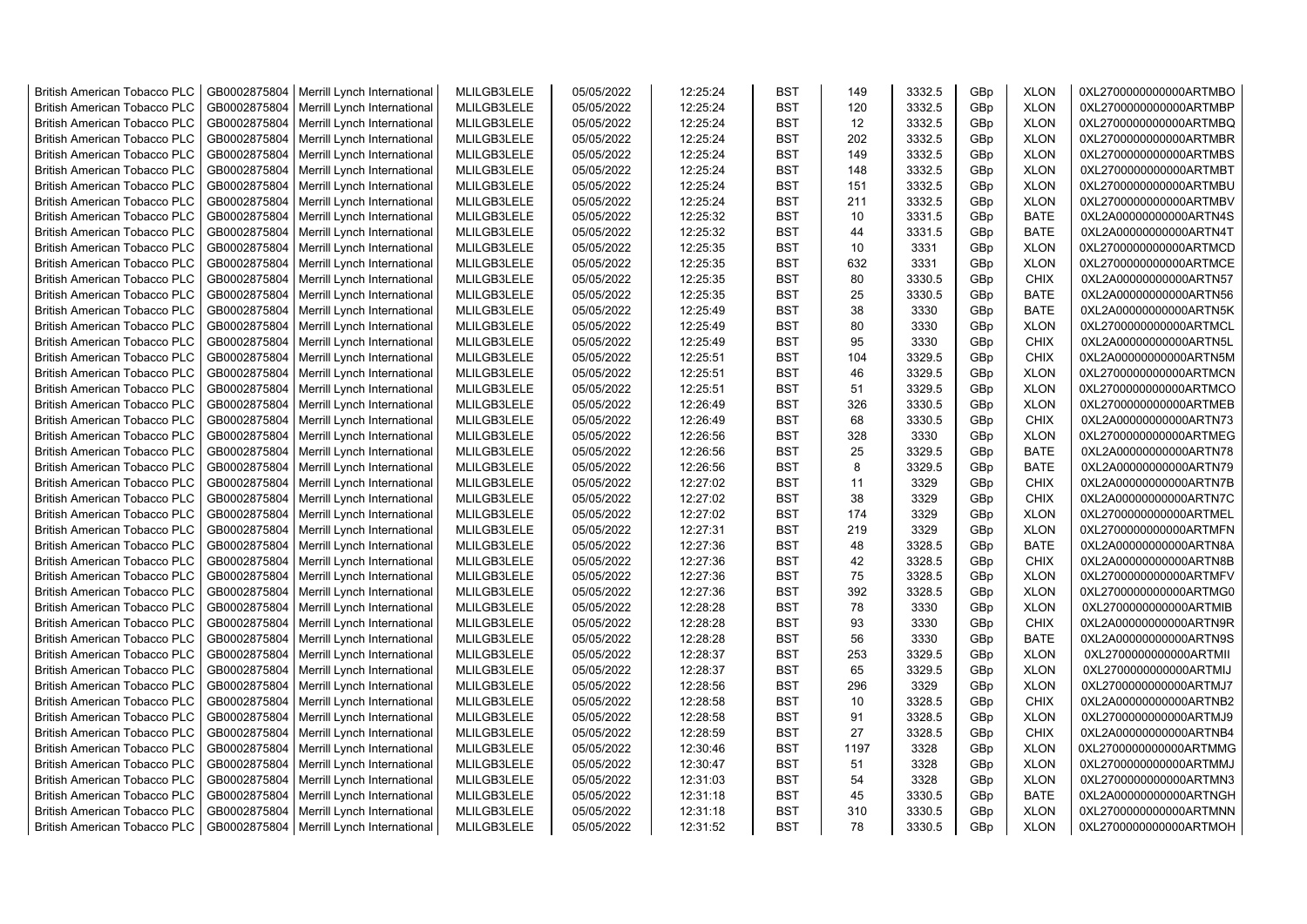| <b>British American Tobacco PLC</b> | GB0002875804 | Merrill Lynch International | MLILGB3LELE | 05/05/2022 | 12:25:24 | <b>BST</b> | 149  | 3332.5 | GBp             | <b>XLON</b> | 0XL2700000000000ARTMBO |
|-------------------------------------|--------------|-----------------------------|-------------|------------|----------|------------|------|--------|-----------------|-------------|------------------------|
| <b>British American Tobacco PLC</b> | GB0002875804 | Merrill Lynch International | MLILGB3LELE | 05/05/2022 | 12:25:24 | <b>BST</b> | 120  | 3332.5 | GBp             | <b>XLON</b> | 0XL2700000000000ARTMBP |
| <b>British American Tobacco PLC</b> | GB0002875804 | Merrill Lynch International | MLILGB3LELE | 05/05/2022 | 12:25:24 | <b>BST</b> | 12   | 3332.5 | GBp             | <b>XLON</b> | 0XL2700000000000ARTMBQ |
| <b>British American Tobacco PLC</b> | GB0002875804 | Merrill Lynch International | MLILGB3LELE | 05/05/2022 | 12:25:24 | <b>BST</b> | 202  | 3332.5 | GBp             | <b>XLON</b> | 0XL2700000000000ARTMBR |
| <b>British American Tobacco PLC</b> | GB0002875804 | Merrill Lynch International | MLILGB3LELE | 05/05/2022 | 12:25:24 | <b>BST</b> | 149  | 3332.5 | GBp             | <b>XLON</b> | 0XL2700000000000ARTMBS |
| <b>British American Tobacco PLC</b> | GB0002875804 | Merrill Lynch International | MLILGB3LELE | 05/05/2022 | 12:25:24 | <b>BST</b> | 148  | 3332.5 | GBp             | <b>XLON</b> | 0XL2700000000000ARTMBT |
| <b>British American Tobacco PLC</b> | GB0002875804 | Merrill Lynch International | MLILGB3LELE | 05/05/2022 | 12:25:24 | <b>BST</b> | 151  | 3332.5 | GBp             | <b>XLON</b> | 0XL2700000000000ARTMBU |
| <b>British American Tobacco PLC</b> | GB0002875804 | Merrill Lynch International | MLILGB3LELE | 05/05/2022 | 12:25:24 | <b>BST</b> | 211  | 3332.5 | GBp             | <b>XLON</b> | 0XL2700000000000ARTMBV |
| <b>British American Tobacco PLC</b> | GB0002875804 | Merrill Lynch International | MLILGB3LELE | 05/05/2022 | 12:25:32 | <b>BST</b> | 10   | 3331.5 | GBp             | <b>BATE</b> | 0XL2A00000000000ARTN4S |
| British American Tobacco PLC        | GB0002875804 | Merrill Lynch International | MLILGB3LELE | 05/05/2022 | 12:25:32 | <b>BST</b> | 44   | 3331.5 | GBp             | <b>BATE</b> | 0XL2A00000000000ARTN4T |
| <b>British American Tobacco PLC</b> | GB0002875804 | Merrill Lynch International | MLILGB3LELE | 05/05/2022 | 12:25:35 | <b>BST</b> | 10   | 3331   | GBp             | <b>XLON</b> | 0XL2700000000000ARTMCD |
| <b>British American Tobacco PLC</b> | GB0002875804 | Merrill Lynch International | MLILGB3LELE | 05/05/2022 | 12:25:35 | <b>BST</b> | 632  | 3331   | GBp             | <b>XLON</b> | 0XL2700000000000ARTMCE |
| <b>British American Tobacco PLC</b> | GB0002875804 | Merrill Lynch International | MLILGB3LELE | 05/05/2022 | 12:25:35 | <b>BST</b> | 80   | 3330.5 | GBp             | <b>CHIX</b> | 0XL2A00000000000ARTN57 |
| <b>British American Tobacco PLC</b> | GB0002875804 | Merrill Lynch International | MLILGB3LELE | 05/05/2022 | 12:25:35 | <b>BST</b> | 25   | 3330.5 | GBp             | <b>BATE</b> | 0XL2A00000000000ARTN56 |
| <b>British American Tobacco PLC</b> | GB0002875804 | Merrill Lynch International | MLILGB3LELE | 05/05/2022 | 12:25:49 | <b>BST</b> | 38   | 3330   | GBp             | <b>BATE</b> | 0XL2A00000000000ARTN5K |
| <b>British American Tobacco PLC</b> | GB0002875804 | Merrill Lynch International | MLILGB3LELE | 05/05/2022 | 12:25:49 | BST        | 80   | 3330   | GBp             | <b>XLON</b> | 0XL2700000000000ARTMCL |
| British American Tobacco PLC        | GB0002875804 | Merrill Lynch International | MLILGB3LELE | 05/05/2022 | 12:25:49 | <b>BST</b> | 95   | 3330   | GBp             | <b>CHIX</b> | 0XL2A00000000000ARTN5L |
| British American Tobacco PLC        | GB0002875804 | Merrill Lynch International | MLILGB3LELE | 05/05/2022 | 12:25:51 | <b>BST</b> | 104  | 3329.5 | GBp             | <b>CHIX</b> | 0XL2A00000000000ARTN5M |
| British American Tobacco PLC        | GB0002875804 | Merrill Lynch International | MLILGB3LELE | 05/05/2022 | 12:25:51 | <b>BST</b> | 46   | 3329.5 | GBp             | <b>XLON</b> | 0XL2700000000000ARTMCN |
| British American Tobacco PLC        | GB0002875804 | Merrill Lynch International | MLILGB3LELE | 05/05/2022 | 12:25:51 | <b>BST</b> | 51   | 3329.5 | GBp             | <b>XLON</b> | 0XL2700000000000ARTMCO |
| <b>British American Tobacco PLC</b> | GB0002875804 | Merrill Lynch International | MLILGB3LELE | 05/05/2022 | 12:26:49 | <b>BST</b> | 326  | 3330.5 | GBp             | <b>XLON</b> | 0XL2700000000000ARTMEB |
| <b>British American Tobacco PLC</b> | GB0002875804 | Merrill Lynch International | MLILGB3LELE | 05/05/2022 | 12:26:49 | <b>BST</b> | 68   | 3330.5 | GB <sub>p</sub> | <b>CHIX</b> | 0XL2A00000000000ARTN73 |
| <b>British American Tobacco PLC</b> | GB0002875804 | Merrill Lynch International | MLILGB3LELE | 05/05/2022 | 12:26:56 | <b>BST</b> | 328  | 3330   | GBp             | <b>XLON</b> | 0XL2700000000000ARTMEG |
| <b>British American Tobacco PLC</b> | GB0002875804 | Merrill Lynch International | MLILGB3LELE | 05/05/2022 | 12:26:56 | <b>BST</b> | 25   | 3329.5 | GBp             | <b>BATE</b> | 0XL2A00000000000ARTN78 |
| <b>British American Tobacco PLC</b> | GB0002875804 | Merrill Lynch International | MLILGB3LELE | 05/05/2022 | 12:26:56 | <b>BST</b> | 8    | 3329.5 | GBp             | <b>BATE</b> | 0XL2A00000000000ARTN79 |
| <b>British American Tobacco PLC</b> | GB0002875804 | Merrill Lynch International | MLILGB3LELE | 05/05/2022 | 12:27:02 | <b>BST</b> | 11   | 3329   | GBp             | <b>CHIX</b> | 0XL2A00000000000ARTN7B |
| <b>British American Tobacco PLC</b> | GB0002875804 | Merrill Lynch International | MLILGB3LELE | 05/05/2022 | 12:27:02 | <b>BST</b> | 38   | 3329   | GBp             | CHIX        | 0XL2A00000000000ARTN7C |
| <b>British American Tobacco PLC</b> | GB0002875804 | Merrill Lynch International | MLILGB3LELE | 05/05/2022 | 12:27:02 | <b>BST</b> | 174  | 3329   | GBp             | <b>XLON</b> | 0XL2700000000000ARTMEL |
| <b>British American Tobacco PLC</b> | GB0002875804 | Merrill Lynch International | MLILGB3LELE | 05/05/2022 | 12:27:31 | <b>BST</b> | 219  | 3329   | GBp             | <b>XLON</b> | 0XL2700000000000ARTMFN |
| <b>British American Tobacco PLC</b> | GB0002875804 | Merrill Lynch International | MLILGB3LELE | 05/05/2022 | 12:27:36 | <b>BST</b> | 48   | 3328.5 | GBp             | <b>BATE</b> | 0XL2A00000000000ARTN8A |
| <b>British American Tobacco PLC</b> | GB0002875804 | Merrill Lynch International | MLILGB3LELE | 05/05/2022 | 12:27:36 | <b>BST</b> | 42   | 3328.5 | GBp             | <b>CHIX</b> | 0XL2A00000000000ARTN8B |
| <b>British American Tobacco PLC</b> | GB0002875804 | Merrill Lynch International | MLILGB3LELE | 05/05/2022 | 12:27:36 | <b>BST</b> | 75   | 3328.5 | GBp             | <b>XLON</b> | 0XL2700000000000ARTMFV |
| <b>British American Tobacco PLC</b> | GB0002875804 | Merrill Lynch International | MLILGB3LELE | 05/05/2022 | 12:27:36 | <b>BST</b> | 392  | 3328.5 | GBp             | <b>XLON</b> | 0XL2700000000000ARTMG0 |
| <b>British American Tobacco PLC</b> | GB0002875804 | Merrill Lynch International | MLILGB3LELE | 05/05/2022 | 12:28:28 | <b>BST</b> | 78   | 3330   | GBp             | <b>XLON</b> | 0XL2700000000000ARTMIB |
| <b>British American Tobacco PLC</b> | GB0002875804 | Merrill Lynch International | MLILGB3LELE | 05/05/2022 | 12:28:28 | <b>BST</b> | 93   | 3330   | GBp             | CHIX        | 0XL2A00000000000ARTN9R |
| <b>British American Tobacco PLC</b> | GB0002875804 | Merrill Lynch International | MLILGB3LELE | 05/05/2022 | 12:28:28 | <b>BST</b> | 56   | 3330   | GBp             | <b>BATE</b> | 0XL2A00000000000ARTN9S |
| <b>British American Tobacco PLC</b> | GB0002875804 | Merrill Lynch International | MLILGB3LELE | 05/05/2022 | 12:28:37 | <b>BST</b> | 253  | 3329.5 | GBp             | <b>XLON</b> | 0XL2700000000000ARTMII |
| <b>British American Tobacco PLC</b> | GB0002875804 | Merrill Lynch International | MLILGB3LELE | 05/05/2022 | 12:28:37 | <b>BST</b> | 65   | 3329.5 | GBp             | <b>XLON</b> | 0XL2700000000000ARTMIJ |
| <b>British American Tobacco PLC</b> | GB0002875804 | Merrill Lynch International | MLILGB3LELE | 05/05/2022 | 12:28:56 | <b>BST</b> | 296  | 3329   | GBp             | <b>XLON</b> | 0XL2700000000000ARTMJ7 |
| <b>British American Tobacco PLC</b> | GB0002875804 | Merrill Lynch International | MLILGB3LELE | 05/05/2022 | 12:28:58 | <b>BST</b> | 10   | 3328.5 | GBp             | <b>CHIX</b> | 0XL2A00000000000ARTNB2 |
| British American Tobacco PLC        | GB0002875804 | Merrill Lynch International | MLILGB3LELE | 05/05/2022 | 12:28:58 | <b>BST</b> | 91   | 3328.5 | GBp             | <b>XLON</b> | 0XL2700000000000ARTMJ9 |
| British American Tobacco PLC        | GB0002875804 | Merrill Lynch International | MLILGB3LELE | 05/05/2022 | 12:28:59 | <b>BST</b> | 27   | 3328.5 | GBp             | <b>CHIX</b> | 0XL2A00000000000ARTNB4 |
| <b>British American Tobacco PLC</b> | GB0002875804 | Merrill Lynch International | MLILGB3LELE | 05/05/2022 | 12:30:46 | <b>BST</b> | 1197 | 3328   | GBp             | <b>XLON</b> | 0XL2700000000000ARTMMG |
| <b>British American Tobacco PLC</b> | GB0002875804 | Merrill Lynch International | MLILGB3LELE | 05/05/2022 | 12:30:47 | <b>BST</b> | 51   | 3328   | GBp             | <b>XLON</b> | 0XL2700000000000ARTMMJ |
| <b>British American Tobacco PLC</b> | GB0002875804 | Merrill Lynch International | MLILGB3LELE | 05/05/2022 | 12:31:03 | <b>BST</b> | 54   | 3328   | GBp             | <b>XLON</b> | 0XL2700000000000ARTMN3 |
| <b>British American Tobacco PLC</b> | GB0002875804 | Merrill Lynch International | MLILGB3LELE | 05/05/2022 | 12:31:18 | <b>BST</b> | 45   | 3330.5 | GBp             | <b>BATE</b> | 0XL2A00000000000ARTNGH |
| <b>British American Tobacco PLC</b> | GB0002875804 | Merrill Lynch International | MLILGB3LELE | 05/05/2022 | 12:31:18 | <b>BST</b> | 310  | 3330.5 | GBp             | <b>XLON</b> | 0XL2700000000000ARTMNN |
| <b>British American Tobacco PLC</b> | GB0002875804 | Merrill Lynch International | MLILGB3LELE | 05/05/2022 | 12:31:52 | <b>BST</b> | 78   | 3330.5 | GB <sub>p</sub> | <b>XLON</b> | 0XL2700000000000ARTMOH |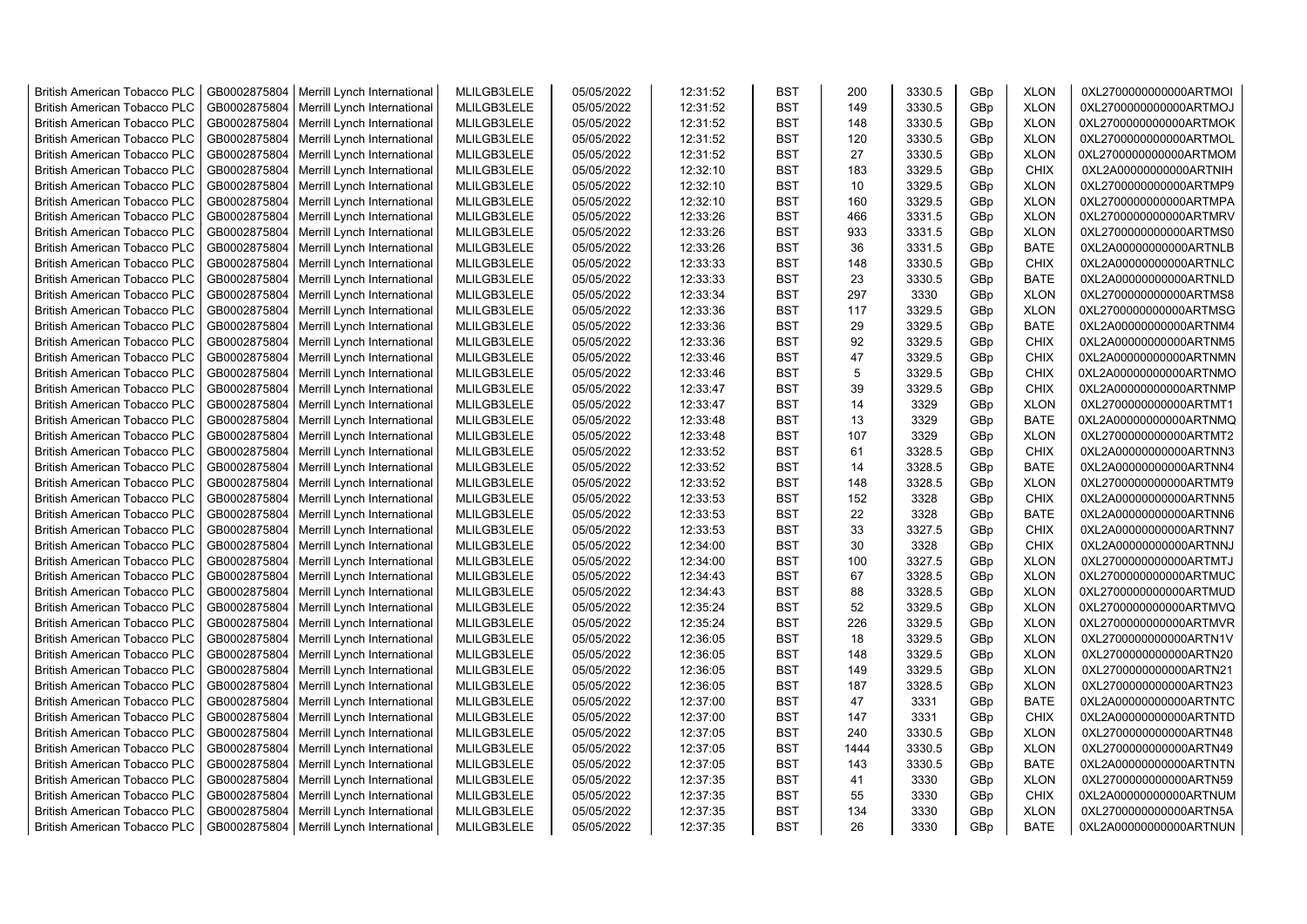| <b>British American Tobacco PLC</b> | GB0002875804 | Merrill Lynch International | MLILGB3LELE | 05/05/2022 | 12:31:52 | <b>BST</b> | 200  | 3330.5 | GBp             | <b>XLON</b> | 0XL2700000000000ARTMOI |
|-------------------------------------|--------------|-----------------------------|-------------|------------|----------|------------|------|--------|-----------------|-------------|------------------------|
| <b>British American Tobacco PLC</b> | GB0002875804 | Merrill Lynch International | MLILGB3LELE | 05/05/2022 | 12:31:52 | <b>BST</b> | 149  | 3330.5 | GBp             | <b>XLON</b> | 0XL2700000000000ARTMOJ |
| <b>British American Tobacco PLC</b> | GB0002875804 | Merrill Lynch International | MLILGB3LELE | 05/05/2022 | 12:31:52 | <b>BST</b> | 148  | 3330.5 | GBp             | <b>XLON</b> | 0XL2700000000000ARTMOK |
|                                     |              |                             |             |            |          |            |      |        |                 |             |                        |
| <b>British American Tobacco PLC</b> | GB0002875804 | Merrill Lynch International | MLILGB3LELE | 05/05/2022 | 12:31:52 | <b>BST</b> | 120  | 3330.5 | GBp             | <b>XLON</b> | 0XL2700000000000ARTMOL |
| <b>British American Tobacco PLC</b> | GB0002875804 | Merrill Lynch International | MLILGB3LELE | 05/05/2022 | 12:31:52 | <b>BST</b> | 27   | 3330.5 | GBp             | <b>XLON</b> | 0XL2700000000000ARTMOM |
| <b>British American Tobacco PLC</b> | GB0002875804 | Merrill Lynch International | MLILGB3LELE | 05/05/2022 | 12:32:10 | <b>BST</b> | 183  | 3329.5 | GBp             | <b>CHIX</b> | 0XL2A00000000000ARTNIH |
| <b>British American Tobacco PLC</b> | GB0002875804 | Merrill Lynch International | MLILGB3LELE | 05/05/2022 | 12:32:10 | <b>BST</b> | 10   | 3329.5 | GBp             | <b>XLON</b> | 0XL2700000000000ARTMP9 |
| <b>British American Tobacco PLC</b> | GB0002875804 | Merrill Lynch International | MLILGB3LELE | 05/05/2022 | 12:32:10 | <b>BST</b> | 160  | 3329.5 | GBp             | <b>XLON</b> | 0XL2700000000000ARTMPA |
| <b>British American Tobacco PLC</b> | GB0002875804 | Merrill Lynch International | MLILGB3LELE | 05/05/2022 | 12:33:26 | <b>BST</b> | 466  | 3331.5 | GBp             | <b>XLON</b> | 0XL2700000000000ARTMRV |
| British American Tobacco PLC        | GB0002875804 | Merrill Lynch International | MLILGB3LELE | 05/05/2022 | 12:33:26 | <b>BST</b> | 933  | 3331.5 | GBp             | <b>XLON</b> | 0XL2700000000000ARTMS0 |
| <b>British American Tobacco PLC</b> | GB0002875804 | Merrill Lynch International | MLILGB3LELE | 05/05/2022 | 12:33:26 | <b>BST</b> | 36   | 3331.5 | GBp             | <b>BATE</b> | 0XL2A00000000000ARTNLB |
| <b>British American Tobacco PLC</b> | GB0002875804 | Merrill Lynch International | MLILGB3LELE | 05/05/2022 | 12:33:33 | <b>BST</b> | 148  | 3330.5 | GBp             | <b>CHIX</b> | 0XL2A00000000000ARTNLC |
| <b>British American Tobacco PLC</b> | GB0002875804 | Merrill Lynch International | MLILGB3LELE | 05/05/2022 | 12:33:33 | <b>BST</b> | 23   | 3330.5 | GBp             | <b>BATE</b> | 0XL2A00000000000ARTNLD |
| <b>British American Tobacco PLC</b> | GB0002875804 | Merrill Lynch International | MLILGB3LELE | 05/05/2022 | 12:33:34 | <b>BST</b> | 297  | 3330   | GBp             | <b>XLON</b> | 0XL2700000000000ARTMS8 |
| <b>British American Tobacco PLC</b> | GB0002875804 | Merrill Lynch International | MLILGB3LELE | 05/05/2022 | 12:33:36 | <b>BST</b> | 117  | 3329.5 | GBp             | <b>XLON</b> | 0XL2700000000000ARTMSG |
| <b>British American Tobacco PLC</b> | GB0002875804 | Merrill Lynch International | MLILGB3LELE | 05/05/2022 | 12:33:36 | <b>BST</b> | 29   | 3329.5 | GBp             | <b>BATE</b> | 0XL2A00000000000ARTNM4 |
| <b>British American Tobacco PLC</b> | GB0002875804 | Merrill Lynch International | MLILGB3LELE | 05/05/2022 | 12:33:36 | <b>BST</b> | 92   | 3329.5 | GBp             | <b>CHIX</b> | 0XL2A00000000000ARTNM5 |
| <b>British American Tobacco PLC</b> | GB0002875804 | Merrill Lynch International | MLILGB3LELE | 05/05/2022 | 12:33:46 | <b>BST</b> | 47   | 3329.5 | GBp             | <b>CHIX</b> | 0XL2A00000000000ARTNMN |
| <b>British American Tobacco PLC</b> | GB0002875804 | Merrill Lynch International | MLILGB3LELE | 05/05/2022 | 12:33:46 | <b>BST</b> | 5    | 3329.5 | GBp             | <b>CHIX</b> | 0XL2A00000000000ARTNMO |
| <b>British American Tobacco PLC</b> | GB0002875804 | Merrill Lynch International | MLILGB3LELE | 05/05/2022 | 12:33:47 | <b>BST</b> | 39   | 3329.5 | GBp             | <b>CHIX</b> | 0XL2A00000000000ARTNMP |
| <b>British American Tobacco PLC</b> | GB0002875804 | Merrill Lynch International | MLILGB3LELE | 05/05/2022 | 12:33:47 | <b>BST</b> | 14   | 3329   | GBp             | <b>XLON</b> | 0XL2700000000000ARTMT1 |
| <b>British American Tobacco PLC</b> | GB0002875804 | Merrill Lynch International | MLILGB3LELE | 05/05/2022 | 12:33:48 | <b>BST</b> | 13   | 3329   | GB <sub>p</sub> | <b>BATE</b> | 0XL2A00000000000ARTNMQ |
| <b>British American Tobacco PLC</b> | GB0002875804 | Merrill Lynch International | MLILGB3LELE | 05/05/2022 | 12:33:48 | <b>BST</b> | 107  | 3329   | GBp             | <b>XLON</b> | 0XL2700000000000ARTMT2 |
| <b>British American Tobacco PLC</b> | GB0002875804 | Merrill Lynch International | MLILGB3LELE | 05/05/2022 | 12:33:52 | <b>BST</b> | 61   | 3328.5 | GBp             | <b>CHIX</b> | 0XL2A00000000000ARTNN3 |
| <b>British American Tobacco PLC</b> | GB0002875804 | Merrill Lynch International | MLILGB3LELE | 05/05/2022 | 12:33:52 | <b>BST</b> | 14   | 3328.5 | GBp             | <b>BATE</b> | 0XL2A00000000000ARTNN4 |
| <b>British American Tobacco PLC</b> | GB0002875804 | Merrill Lynch International | MLILGB3LELE | 05/05/2022 | 12:33:52 | <b>BST</b> | 148  | 3328.5 | GBp             | <b>XLON</b> | 0XL2700000000000ARTMT9 |
| <b>British American Tobacco PLC</b> | GB0002875804 | Merrill Lynch International | MLILGB3LELE | 05/05/2022 | 12:33:53 | <b>BST</b> | 152  | 3328   | GBp             | <b>CHIX</b> | 0XL2A00000000000ARTNN5 |
| British American Tobacco PLC        | GB0002875804 | Merrill Lynch International | MLILGB3LELE | 05/05/2022 | 12:33:53 | <b>BST</b> | 22   | 3328   | GBp             | <b>BATE</b> | 0XL2A00000000000ARTNN6 |
| <b>British American Tobacco PLC</b> | GB0002875804 | Merrill Lynch International | MLILGB3LELE | 05/05/2022 | 12:33:53 | <b>BST</b> | 33   | 3327.5 | GBp             | <b>CHIX</b> | 0XL2A00000000000ARTNN7 |
| <b>British American Tobacco PLC</b> | GB0002875804 | Merrill Lynch International | MLILGB3LELE | 05/05/2022 | 12:34:00 | <b>BST</b> | 30   | 3328   | GBp             | <b>CHIX</b> | 0XL2A00000000000ARTNNJ |
| <b>British American Tobacco PLC</b> | GB0002875804 | Merrill Lynch International | MLILGB3LELE | 05/05/2022 | 12:34:00 | <b>BST</b> | 100  | 3327.5 | GBp             | <b>XLON</b> | 0XL2700000000000ARTMTJ |
| <b>British American Tobacco PLC</b> |              |                             |             |            |          | <b>BST</b> | 67   | 3328.5 |                 |             |                        |
|                                     | GB0002875804 | Merrill Lynch International | MLILGB3LELE | 05/05/2022 | 12:34:43 |            |      |        | GBp             | <b>XLON</b> | 0XL2700000000000ARTMUC |
| <b>British American Tobacco PLC</b> | GB0002875804 | Merrill Lynch International | MLILGB3LELE | 05/05/2022 | 12:34:43 | <b>BST</b> | 88   | 3328.5 | GBp             | <b>XLON</b> | 0XL2700000000000ARTMUD |
| British American Tobacco PLC        | GB0002875804 | Merrill Lynch International | MLILGB3LELE | 05/05/2022 | 12:35:24 | <b>BST</b> | 52   | 3329.5 | GBp             | <b>XLON</b> | 0XL2700000000000ARTMVQ |
| <b>British American Tobacco PLC</b> | GB0002875804 | Merrill Lynch International | MLILGB3LELE | 05/05/2022 | 12:35:24 | <b>BST</b> | 226  | 3329.5 | GBp             | <b>XLON</b> | 0XL2700000000000ARTMVR |
| <b>British American Tobacco PLC</b> | GB0002875804 | Merrill Lynch International | MLILGB3LELE | 05/05/2022 | 12:36:05 | <b>BST</b> | 18   | 3329.5 | GBp             | <b>XLON</b> | 0XL2700000000000ARTN1V |
| <b>British American Tobacco PLC</b> | GB0002875804 | Merrill Lynch International | MLILGB3LELE | 05/05/2022 | 12:36:05 | <b>BST</b> | 148  | 3329.5 | GBp             | <b>XLON</b> | 0XL2700000000000ARTN20 |
| British American Tobacco PLC        | GB0002875804 | Merrill Lynch International | MLILGB3LELE | 05/05/2022 | 12:36:05 | <b>BST</b> | 149  | 3329.5 | GBp             | <b>XLON</b> | 0XL2700000000000ARTN21 |
| <b>British American Tobacco PLC</b> | GB0002875804 | Merrill Lynch International | MLILGB3LELE | 05/05/2022 | 12:36:05 | <b>BST</b> | 187  | 3328.5 | GBp             | <b>XLON</b> | 0XL2700000000000ARTN23 |
| <b>British American Tobacco PLC</b> | GB0002875804 | Merrill Lynch International | MLILGB3LELE | 05/05/2022 | 12:37:00 | <b>BST</b> | 47   | 3331   | GBp             | <b>BATE</b> | 0XL2A00000000000ARTNTC |
| <b>British American Tobacco PLC</b> | GB0002875804 | Merrill Lynch International | MLILGB3LELE | 05/05/2022 | 12:37:00 | <b>BST</b> | 147  | 3331   | GBp             | <b>CHIX</b> | 0XL2A00000000000ARTNTD |
| <b>British American Tobacco PLC</b> | GB0002875804 | Merrill Lynch International | MLILGB3LELE | 05/05/2022 | 12:37:05 | <b>BST</b> | 240  | 3330.5 | GBp             | <b>XLON</b> | 0XL2700000000000ARTN48 |
| <b>British American Tobacco PLC</b> | GB0002875804 | Merrill Lynch International | MLILGB3LELE | 05/05/2022 | 12:37:05 | <b>BST</b> | 1444 | 3330.5 | GBp             | <b>XLON</b> | 0XL2700000000000ARTN49 |
| British American Tobacco PLC        | GB0002875804 | Merrill Lynch International | MLILGB3LELE | 05/05/2022 | 12:37:05 | <b>BST</b> | 143  | 3330.5 | GBp             | <b>BATE</b> | 0XL2A00000000000ARTNTN |
| British American Tobacco PLC        | GB0002875804 | Merrill Lynch International | MLILGB3LELE | 05/05/2022 | 12:37:35 | <b>BST</b> | 41   | 3330   | GBp             | <b>XLON</b> | 0XL2700000000000ARTN59 |
| <b>British American Tobacco PLC</b> | GB0002875804 | Merrill Lynch International | MLILGB3LELE | 05/05/2022 | 12:37:35 | <b>BST</b> | 55   | 3330   | GBp             | <b>CHIX</b> | 0XL2A00000000000ARTNUM |
| <b>British American Tobacco PLC</b> | GB0002875804 | Merrill Lynch International | MLILGB3LELE | 05/05/2022 | 12:37:35 | <b>BST</b> | 134  | 3330   | GBp             | <b>XLON</b> | 0XL2700000000000ARTN5A |
| <b>British American Tobacco PLC</b> | GB0002875804 | Merrill Lynch International | MLILGB3LELE | 05/05/2022 | 12:37:35 | <b>BST</b> | 26   | 3330   | GB <sub>p</sub> | <b>BATE</b> | 0XL2A00000000000ARTNUN |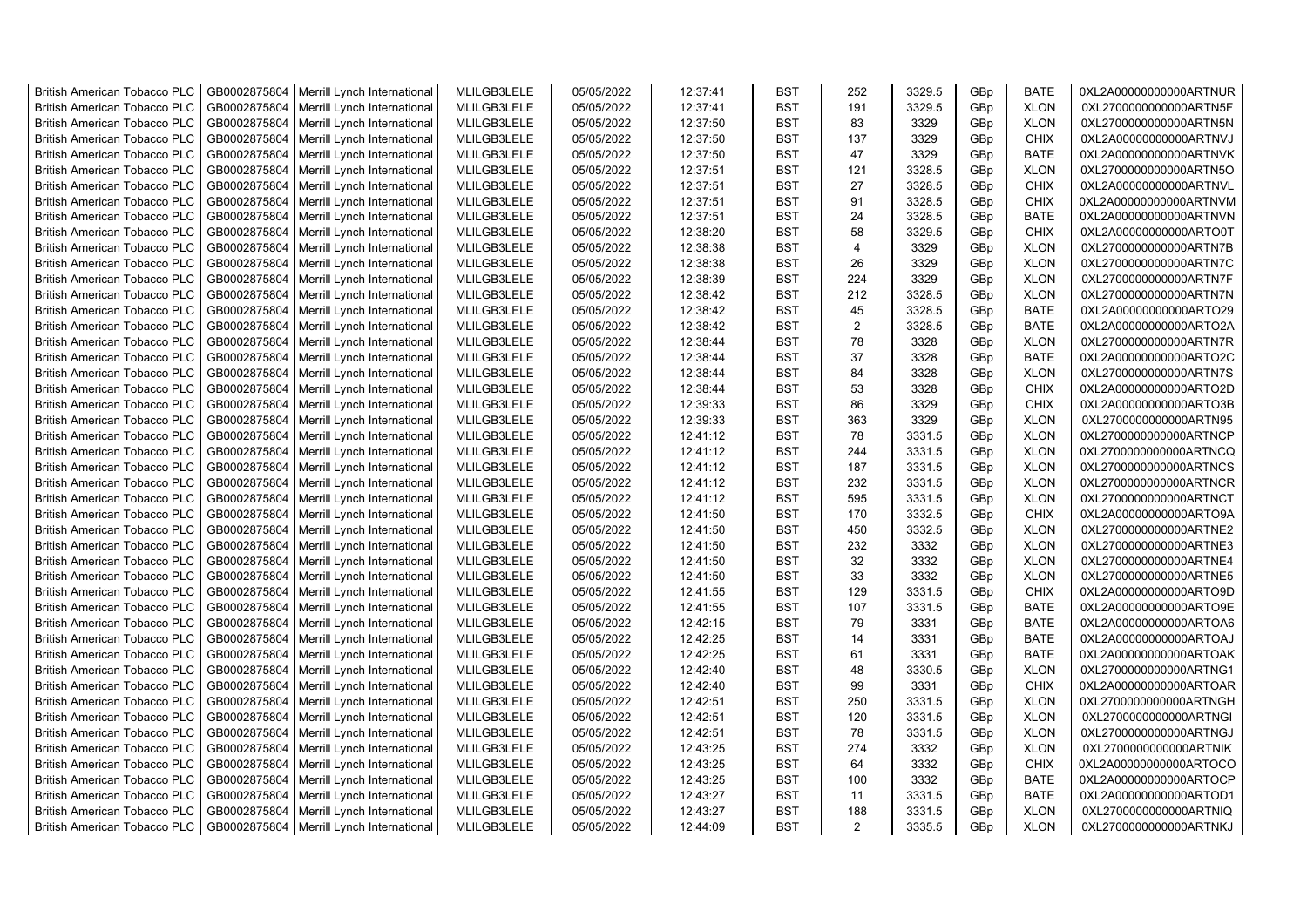| <b>British American Tobacco PLC</b> | GB0002875804 | Merrill Lynch International | MLILGB3LELE | 05/05/2022 | 12:37:41 | <b>BST</b> | 252            | 3329.5 | GBp             | <b>BATE</b> | 0XL2A00000000000ARTNUR |
|-------------------------------------|--------------|-----------------------------|-------------|------------|----------|------------|----------------|--------|-----------------|-------------|------------------------|
| <b>British American Tobacco PLC</b> | GB0002875804 | Merrill Lynch International | MLILGB3LELE | 05/05/2022 | 12:37:41 | <b>BST</b> | 191            | 3329.5 | GBp             | <b>XLON</b> | 0XL2700000000000ARTN5F |
| <b>British American Tobacco PLC</b> | GB0002875804 | Merrill Lynch International | MLILGB3LELE | 05/05/2022 | 12:37:50 | <b>BST</b> | 83             | 3329   | GBp             | <b>XLON</b> | 0XL2700000000000ARTN5N |
| <b>British American Tobacco PLC</b> | GB0002875804 | Merrill Lynch International | MLILGB3LELE | 05/05/2022 | 12:37:50 | <b>BST</b> | 137            | 3329   | GBp             | <b>CHIX</b> | 0XL2A00000000000ARTNVJ |
| <b>British American Tobacco PLC</b> | GB0002875804 | Merrill Lynch International | MLILGB3LELE | 05/05/2022 | 12:37:50 | <b>BST</b> | 47             | 3329   | GBp             | <b>BATE</b> | 0XL2A00000000000ARTNVK |
| <b>British American Tobacco PLC</b> | GB0002875804 | Merrill Lynch International | MLILGB3LELE | 05/05/2022 | 12:37:51 | <b>BST</b> | 121            | 3328.5 | GBp             | <b>XLON</b> | 0XL2700000000000ARTN5O |
| <b>British American Tobacco PLC</b> | GB0002875804 | Merrill Lynch International | MLILGB3LELE | 05/05/2022 | 12:37:51 | <b>BST</b> | 27             | 3328.5 | GBp             | <b>CHIX</b> | 0XL2A00000000000ARTNVL |
| <b>British American Tobacco PLC</b> | GB0002875804 | Merrill Lynch International | MLILGB3LELE | 05/05/2022 | 12:37:51 | BST        | 91             | 3328.5 | GBp             | <b>CHIX</b> | 0XL2A00000000000ARTNVM |
| <b>British American Tobacco PLC</b> | GB0002875804 | Merrill Lynch International | MLILGB3LELE | 05/05/2022 | 12:37:51 | BST        | 24             | 3328.5 | GBp             | <b>BATE</b> | 0XL2A00000000000ARTNVN |
| British American Tobacco PLC        | GB0002875804 | Merrill Lynch International | MLILGB3LELE | 05/05/2022 | 12:38:20 | <b>BST</b> | 58             | 3329.5 | GBp             | <b>CHIX</b> | 0XL2A00000000000ARTO0T |
| <b>British American Tobacco PLC</b> | GB0002875804 | Merrill Lynch International | MLILGB3LELE | 05/05/2022 | 12:38:38 | <b>BST</b> | 4              | 3329   | GBp             | <b>XLON</b> | 0XL2700000000000ARTN7B |
| British American Tobacco PLC        | GB0002875804 | Merrill Lynch International | MLILGB3LELE | 05/05/2022 | 12:38:38 | <b>BST</b> | 26             | 3329   | GBp             | <b>XLON</b> | 0XL2700000000000ARTN7C |
| <b>British American Tobacco PLC</b> | GB0002875804 | Merrill Lynch International | MLILGB3LELE | 05/05/2022 | 12:38:39 | <b>BST</b> | 224            | 3329   | GBp             | <b>XLON</b> | 0XL2700000000000ARTN7F |
| <b>British American Tobacco PLC</b> | GB0002875804 | Merrill Lynch International | MLILGB3LELE | 05/05/2022 | 12:38:42 | <b>BST</b> | 212            | 3328.5 | GBp             | <b>XLON</b> | 0XL2700000000000ARTN7N |
| <b>British American Tobacco PLC</b> | GB0002875804 | Merrill Lynch International | MLILGB3LELE | 05/05/2022 | 12:38:42 | <b>BST</b> | 45             | 3328.5 | GBp             | <b>BATE</b> | 0XL2A00000000000ARTO29 |
| <b>British American Tobacco PLC</b> | GB0002875804 | Merrill Lynch International | MLILGB3LELE | 05/05/2022 | 12:38:42 | <b>BST</b> | $\overline{2}$ | 3328.5 | GBp             | <b>BATE</b> | 0XL2A00000000000ARTO2A |
| <b>British American Tobacco PLC</b> | GB0002875804 | Merrill Lynch International | MLILGB3LELE | 05/05/2022 | 12:38:44 | <b>BST</b> | 78             | 3328   | GBp             | <b>XLON</b> | 0XL2700000000000ARTN7R |
| <b>British American Tobacco PLC</b> | GB0002875804 | Merrill Lynch International | MLILGB3LELE | 05/05/2022 | 12:38:44 | <b>BST</b> | 37             | 3328   | GBp             | <b>BATE</b> | 0XL2A00000000000ARTO2C |
| <b>British American Tobacco PLC</b> | GB0002875804 | Merrill Lynch International | MLILGB3LELE | 05/05/2022 | 12:38:44 | <b>BST</b> | 84             | 3328   | GBp             | <b>XLON</b> | 0XL2700000000000ARTN7S |
| <b>British American Tobacco PLC</b> | GB0002875804 | Merrill Lynch International | MLILGB3LELE | 05/05/2022 | 12:38:44 | <b>BST</b> | 53             | 3328   | GBp             | <b>CHIX</b> | 0XL2A00000000000ARTO2D |
| <b>British American Tobacco PLC</b> | GB0002875804 | Merrill Lynch International | MLILGB3LELE | 05/05/2022 | 12:39:33 | <b>BST</b> | 86             | 3329   | GBp             | <b>CHIX</b> | 0XL2A00000000000ARTO3B |
| <b>British American Tobacco PLC</b> | GB0002875804 | Merrill Lynch International | MLILGB3LELE | 05/05/2022 | 12:39:33 | <b>BST</b> | 363            | 3329   | GBp             | <b>XLON</b> | 0XL2700000000000ARTN95 |
| <b>British American Tobacco PLC</b> | GB0002875804 | Merrill Lynch International | MLILGB3LELE | 05/05/2022 | 12:41:12 | <b>BST</b> | 78             | 3331.5 | GBp             | <b>XLON</b> | 0XL2700000000000ARTNCP |
| <b>British American Tobacco PLC</b> | GB0002875804 | Merrill Lynch International | MLILGB3LELE | 05/05/2022 | 12:41:12 | <b>BST</b> | 244            | 3331.5 | GBp             | <b>XLON</b> | 0XL2700000000000ARTNCQ |
| <b>British American Tobacco PLC</b> | GB0002875804 | Merrill Lynch International | MLILGB3LELE | 05/05/2022 | 12:41:12 | BST        | 187            | 3331.5 | GBp             | <b>XLON</b> | 0XL2700000000000ARTNCS |
| British American Tobacco PLC        | GB0002875804 | Merrill Lynch International | MLILGB3LELE | 05/05/2022 | 12:41:12 | <b>BST</b> | 232            | 3331.5 | GBp             | <b>XLON</b> | 0XL2700000000000ARTNCR |
| British American Tobacco PLC        | GB0002875804 | Merrill Lynch International | MLILGB3LELE | 05/05/2022 | 12:41:12 | <b>BST</b> | 595            | 3331.5 | GBp             | <b>XLON</b> | 0XL2700000000000ARTNCT |
| British American Tobacco PLC        | GB0002875804 | Merrill Lynch International | MLILGB3LELE | 05/05/2022 | 12:41:50 | <b>BST</b> | 170            | 3332.5 | GBp             | CHIX        | 0XL2A00000000000ARTO9A |
| <b>British American Tobacco PLC</b> | GB0002875804 | Merrill Lynch International | MLILGB3LELE | 05/05/2022 | 12:41:50 | <b>BST</b> | 450            | 3332.5 | GBp             | <b>XLON</b> | 0XL2700000000000ARTNE2 |
| <b>British American Tobacco PLC</b> | GB0002875804 | Merrill Lynch International | MLILGB3LELE | 05/05/2022 | 12:41:50 | <b>BST</b> | 232            | 3332   | GBp             | <b>XLON</b> | 0XL2700000000000ARTNE3 |
| <b>British American Tobacco PLC</b> | GB0002875804 | Merrill Lynch International | MLILGB3LELE | 05/05/2022 | 12:41:50 | <b>BST</b> | 32             | 3332   | GBp             | <b>XLON</b> | 0XL2700000000000ARTNE4 |
| <b>British American Tobacco PLC</b> | GB0002875804 | Merrill Lynch International | MLILGB3LELE | 05/05/2022 | 12:41:50 | <b>BST</b> | 33             | 3332   | GBp             | <b>XLON</b> | 0XL2700000000000ARTNE5 |
| <b>British American Tobacco PLC</b> | GB0002875804 | Merrill Lynch International | MLILGB3LELE | 05/05/2022 | 12:41:55 | <b>BST</b> | 129            | 3331.5 | GBp             | <b>CHIX</b> | 0XL2A00000000000ARTO9D |
| <b>British American Tobacco PLC</b> | GB0002875804 | Merrill Lynch International | MLILGB3LELE | 05/05/2022 | 12:41:55 | <b>BST</b> | 107            | 3331.5 | GBp             | <b>BATE</b> | 0XL2A00000000000ARTO9E |
| <b>British American Tobacco PLC</b> | GB0002875804 | Merrill Lynch International | MLILGB3LELE | 05/05/2022 | 12:42:15 | <b>BST</b> | 79             | 3331   | GBp             | <b>BATE</b> | 0XL2A00000000000ARTOA6 |
| <b>British American Tobacco PLC</b> | GB0002875804 | Merrill Lynch International | MLILGB3LELE | 05/05/2022 | 12:42:25 | <b>BST</b> | 14             | 3331   | GBp             | <b>BATE</b> | 0XL2A00000000000ARTOAJ |
| <b>British American Tobacco PLC</b> | GB0002875804 | Merrill Lynch International | MLILGB3LELE | 05/05/2022 | 12:42:25 | <b>BST</b> | 61             | 3331   | GBp             | <b>BATE</b> | 0XL2A00000000000ARTOAK |
| <b>British American Tobacco PLC</b> | GB0002875804 | Merrill Lynch International | MLILGB3LELE | 05/05/2022 | 12:42:40 | BST        | 48             | 3330.5 | GBp             | <b>XLON</b> | 0XL2700000000000ARTNG1 |
| <b>British American Tobacco PLC</b> | GB0002875804 | Merrill Lynch International | MLILGB3LELE | 05/05/2022 | 12:42:40 | <b>BST</b> | 99             | 3331   | GBp             | CHIX        | 0XL2A00000000000ARTOAR |
| <b>British American Tobacco PLC</b> | GB0002875804 | Merrill Lynch International | MLILGB3LELE | 05/05/2022 | 12:42:51 | <b>BST</b> | 250            | 3331.5 | GBp             | <b>XLON</b> | 0XL2700000000000ARTNGH |
| British American Tobacco PLC        | GB0002875804 | Merrill Lynch International | MLILGB3LELE | 05/05/2022 | 12:42:51 | <b>BST</b> | 120            | 3331.5 | GBp             | <b>XLON</b> | 0XL2700000000000ARTNGI |
| <b>British American Tobacco PLC</b> | GB0002875804 | Merrill Lynch International | MLILGB3LELE | 05/05/2022 | 12:42:51 | <b>BST</b> | 78             | 3331.5 | GBp             | <b>XLON</b> | 0XL2700000000000ARTNGJ |
| British American Tobacco PLC        | GB0002875804 | Merrill Lynch International | MLILGB3LELE | 05/05/2022 | 12:43:25 | <b>BST</b> | 274            | 3332   | GBp             | <b>XLON</b> | 0XL2700000000000ARTNIK |
| British American Tobacco PLC        | GB0002875804 | Merrill Lynch International | MLILGB3LELE | 05/05/2022 | 12:43:25 | <b>BST</b> | 64             | 3332   | GBp             | CHIX        | 0XL2A00000000000ARTOCO |
| <b>British American Tobacco PLC</b> | GB0002875804 | Merrill Lynch International | MLILGB3LELE | 05/05/2022 | 12:43:25 | <b>BST</b> | 100            | 3332   | GBp             | <b>BATE</b> | 0XL2A00000000000ARTOCP |
| <b>British American Tobacco PLC</b> | GB0002875804 | Merrill Lynch International | MLILGB3LELE | 05/05/2022 | 12:43:27 | <b>BST</b> | 11             | 3331.5 | GBp             | <b>BATE</b> | 0XL2A00000000000ARTOD1 |
| <b>British American Tobacco PLC</b> | GB0002875804 | Merrill Lynch International | MLILGB3LELE | 05/05/2022 | 12:43:27 | <b>BST</b> | 188            | 3331.5 | GBp             | <b>XLON</b> | 0XL2700000000000ARTNIQ |
| <b>British American Tobacco PLC</b> | GB0002875804 | Merrill Lynch International | MLILGB3LELE | 05/05/2022 | 12:44:09 | <b>BST</b> | $\overline{2}$ | 3335.5 | GB <sub>p</sub> | <b>XLON</b> | 0XL2700000000000ARTNKJ |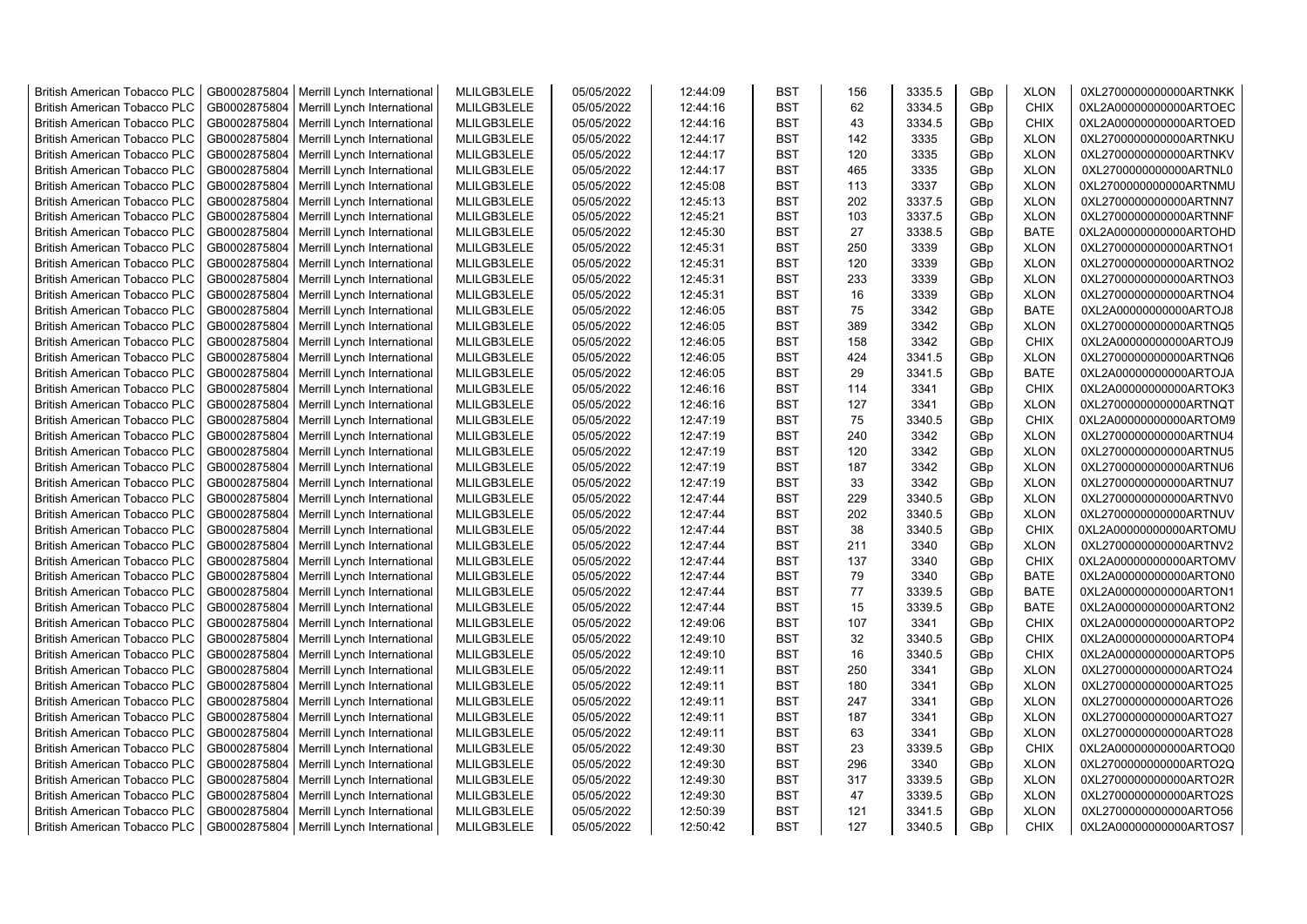| <b>British American Tobacco PLC</b> | GB0002875804 | Merrill Lynch International | MLILGB3LELE | 05/05/2022 | 12:44:09 | <b>BST</b> | 156 | 3335.5 | GBp             | <b>XLON</b> | 0XL2700000000000ARTNKK |
|-------------------------------------|--------------|-----------------------------|-------------|------------|----------|------------|-----|--------|-----------------|-------------|------------------------|
| <b>British American Tobacco PLC</b> | GB0002875804 | Merrill Lynch International | MLILGB3LELE | 05/05/2022 | 12:44:16 | <b>BST</b> | 62  | 3334.5 | GBp             | <b>CHIX</b> | 0XL2A00000000000ARTOEC |
| <b>British American Tobacco PLC</b> | GB0002875804 | Merrill Lynch International | MLILGB3LELE | 05/05/2022 | 12:44:16 | <b>BST</b> | 43  | 3334.5 | GBp             | <b>CHIX</b> | 0XL2A00000000000ARTOED |
| <b>British American Tobacco PLC</b> | GB0002875804 | Merrill Lynch International | MLILGB3LELE | 05/05/2022 | 12:44:17 | <b>BST</b> | 142 | 3335   | GBp             | <b>XLON</b> | 0XL2700000000000ARTNKU |
| <b>British American Tobacco PLC</b> | GB0002875804 | Merrill Lynch International | MLILGB3LELE | 05/05/2022 | 12:44:17 | <b>BST</b> | 120 | 3335   | GBp             | <b>XLON</b> | 0XL2700000000000ARTNKV |
| <b>British American Tobacco PLC</b> | GB0002875804 | Merrill Lynch International | MLILGB3LELE | 05/05/2022 | 12:44:17 | <b>BST</b> | 465 | 3335   | GBp             | <b>XLON</b> | 0XL2700000000000ARTNL0 |
| <b>British American Tobacco PLC</b> | GB0002875804 | Merrill Lynch International | MLILGB3LELE | 05/05/2022 | 12:45:08 | <b>BST</b> | 113 | 3337   | GBp             | <b>XLON</b> | 0XL2700000000000ARTNMU |
| <b>British American Tobacco PLC</b> | GB0002875804 | Merrill Lynch International | MLILGB3LELE | 05/05/2022 | 12:45:13 | <b>BST</b> | 202 | 3337.5 | GBp             | <b>XLON</b> | 0XL2700000000000ARTNN7 |
| <b>British American Tobacco PLC</b> | GB0002875804 | Merrill Lynch International | MLILGB3LELE | 05/05/2022 | 12:45:21 | <b>BST</b> | 103 | 3337.5 | GBp             | <b>XLON</b> | 0XL2700000000000ARTNNF |
| <b>British American Tobacco PLC</b> | GB0002875804 | Merrill Lynch International | MLILGB3LELE | 05/05/2022 | 12:45:30 | <b>BST</b> | 27  | 3338.5 | GBp             | <b>BATE</b> | 0XL2A00000000000ARTOHD |
| <b>British American Tobacco PLC</b> | GB0002875804 | Merrill Lynch International | MLILGB3LELE | 05/05/2022 | 12:45:31 | <b>BST</b> | 250 | 3339   | GBp             | <b>XLON</b> | 0XL2700000000000ARTNO1 |
| <b>British American Tobacco PLC</b> | GB0002875804 | Merrill Lynch International | MLILGB3LELE | 05/05/2022 | 12:45:31 | <b>BST</b> | 120 | 3339   | GBp             | <b>XLON</b> | 0XL2700000000000ARTNO2 |
| <b>British American Tobacco PLC</b> | GB0002875804 | Merrill Lynch International | MLILGB3LELE | 05/05/2022 | 12:45:31 | BST        | 233 | 3339   | GBp             | <b>XLON</b> | 0XL2700000000000ARTNO3 |
| <b>British American Tobacco PLC</b> | GB0002875804 | Merrill Lynch International | MLILGB3LELE | 05/05/2022 | 12:45:31 | <b>BST</b> | 16  | 3339   | GBp             | <b>XLON</b> | 0XL2700000000000ARTNO4 |
| <b>British American Tobacco PLC</b> | GB0002875804 | Merrill Lynch International | MLILGB3LELE | 05/05/2022 | 12:46:05 | <b>BST</b> | 75  | 3342   | GBp             | <b>BATE</b> | 0XL2A00000000000ARTOJ8 |
| <b>British American Tobacco PLC</b> | GB0002875804 | Merrill Lynch International | MLILGB3LELE | 05/05/2022 | 12:46:05 | <b>BST</b> | 389 | 3342   | GBp             | <b>XLON</b> | 0XL2700000000000ARTNQ5 |
| British American Tobacco PLC        | GB0002875804 | Merrill Lynch International | MLILGB3LELE | 05/05/2022 | 12:46:05 | <b>BST</b> | 158 | 3342   | GBp             | <b>CHIX</b> | 0XL2A00000000000ARTOJ9 |
| <b>British American Tobacco PLC</b> | GB0002875804 | Merrill Lynch International | MLILGB3LELE | 05/05/2022 | 12:46:05 | <b>BST</b> | 424 | 3341.5 | GBp             | <b>XLON</b> | 0XL2700000000000ARTNQ6 |
| <b>British American Tobacco PLC</b> | GB0002875804 | Merrill Lynch International | MLILGB3LELE | 05/05/2022 | 12:46:05 | <b>BST</b> | 29  | 3341.5 | GBp             | <b>BATE</b> | 0XL2A00000000000ARTOJA |
| <b>British American Tobacco PLC</b> | GB0002875804 | Merrill Lynch International | MLILGB3LELE | 05/05/2022 | 12:46:16 | <b>BST</b> | 114 | 3341   | GBp             | <b>CHIX</b> | 0XL2A00000000000ARTOK3 |
| <b>British American Tobacco PLC</b> | GB0002875804 | Merrill Lynch International | MLILGB3LELE | 05/05/2022 | 12:46:16 | <b>BST</b> | 127 | 3341   | GBp             | <b>XLON</b> | 0XL2700000000000ARTNQT |
| <b>British American Tobacco PLC</b> | GB0002875804 | Merrill Lynch International | MLILGB3LELE | 05/05/2022 | 12:47:19 | <b>BST</b> | 75  | 3340.5 | GBp             | <b>CHIX</b> | 0XL2A00000000000ARTOM9 |
| <b>British American Tobacco PLC</b> | GB0002875804 | Merrill Lynch International | MLILGB3LELE | 05/05/2022 | 12:47:19 | <b>BST</b> | 240 | 3342   | GBp             | <b>XLON</b> | 0XL2700000000000ARTNU4 |
| <b>British American Tobacco PLC</b> | GB0002875804 | Merrill Lynch International | MLILGB3LELE | 05/05/2022 | 12:47:19 | <b>BST</b> | 120 | 3342   | GBp             | <b>XLON</b> | 0XL2700000000000ARTNU5 |
| <b>British American Tobacco PLC</b> | GB0002875804 | Merrill Lynch International | MLILGB3LELE | 05/05/2022 | 12:47:19 | <b>BST</b> | 187 | 3342   | GBp             | <b>XLON</b> | 0XL2700000000000ARTNU6 |
| <b>British American Tobacco PLC</b> | GB0002875804 | Merrill Lynch International | MLILGB3LELE | 05/05/2022 | 12:47:19 | <b>BST</b> | 33  | 3342   | GBp             | <b>XLON</b> | 0XL2700000000000ARTNU7 |
| <b>British American Tobacco PLC</b> | GB0002875804 | Merrill Lynch International | MLILGB3LELE | 05/05/2022 | 12:47:44 | <b>BST</b> | 229 | 3340.5 | GBp             | <b>XLON</b> | 0XL2700000000000ARTNV0 |
| <b>British American Tobacco PLC</b> | GB0002875804 | Merrill Lynch International | MLILGB3LELE | 05/05/2022 | 12:47:44 | <b>BST</b> | 202 | 3340.5 | GBp             | <b>XLON</b> | 0XL2700000000000ARTNUV |
| <b>British American Tobacco PLC</b> | GB0002875804 | Merrill Lynch International | MLILGB3LELE | 05/05/2022 | 12:47:44 | <b>BST</b> | 38  | 3340.5 | GBp             | <b>CHIX</b> | 0XL2A00000000000ARTOMU |
| <b>British American Tobacco PLC</b> | GB0002875804 | Merrill Lynch International | MLILGB3LELE | 05/05/2022 | 12:47:44 | <b>BST</b> | 211 | 3340   | GBp             | <b>XLON</b> | 0XL2700000000000ARTNV2 |
| <b>British American Tobacco PLC</b> | GB0002875804 | Merrill Lynch International | MLILGB3LELE | 05/05/2022 | 12:47:44 | <b>BST</b> | 137 | 3340   | GBp             | <b>CHIX</b> | 0XL2A00000000000ARTOMV |
| <b>British American Tobacco PLC</b> | GB0002875804 | Merrill Lynch International | MLILGB3LELE | 05/05/2022 | 12:47:44 | <b>BST</b> | 79  | 3340   | GBp             | <b>BATE</b> | 0XL2A00000000000ARTON0 |
| <b>British American Tobacco PLC</b> | GB0002875804 | Merrill Lynch International | MLILGB3LELE | 05/05/2022 | 12:47:44 | <b>BST</b> | 77  | 3339.5 | GBp             | <b>BATE</b> | 0XL2A00000000000ARTON1 |
| <b>British American Tobacco PLC</b> | GB0002875804 | Merrill Lynch International | MLILGB3LELE | 05/05/2022 | 12:47:44 | BST        | 15  | 3339.5 | GBp             | <b>BATE</b> | 0XL2A00000000000ARTON2 |
| <b>British American Tobacco PLC</b> | GB0002875804 | Merrill Lynch International | MLILGB3LELE | 05/05/2022 | 12:49:06 | <b>BST</b> | 107 | 3341   | GBp             | <b>CHIX</b> | 0XL2A00000000000ARTOP2 |
| British American Tobacco PLC        | GB0002875804 | Merrill Lynch International | MLILGB3LELE | 05/05/2022 | 12:49:10 | <b>BST</b> | 32  | 3340.5 | GBp             | <b>CHIX</b> | 0XL2A00000000000ARTOP4 |
| British American Tobacco PLC        | GB0002875804 | Merrill Lynch International | MLILGB3LELE | 05/05/2022 | 12:49:10 | <b>BST</b> | 16  | 3340.5 | GBp             | CHIX        | 0XL2A00000000000ARTOP5 |
| British American Tobacco PLC        | GB0002875804 | Merrill Lynch International | MLILGB3LELE | 05/05/2022 | 12:49:11 | <b>BST</b> | 250 | 3341   | GBp             | <b>XLON</b> | 0XL2700000000000ARTO24 |
| <b>British American Tobacco PLC</b> | GB0002875804 | Merrill Lynch International | MLILGB3LELE | 05/05/2022 | 12:49:11 | <b>BST</b> | 180 | 3341   | GBp             | <b>XLON</b> | 0XL2700000000000ARTO25 |
| <b>British American Tobacco PLC</b> | GB0002875804 | Merrill Lynch International | MLILGB3LELE | 05/05/2022 | 12:49:11 | <b>BST</b> | 247 | 3341   | GB <sub>p</sub> | <b>XLON</b> | 0XL2700000000000ARTO26 |
| <b>British American Tobacco PLC</b> | GB0002875804 | Merrill Lynch International | MLILGB3LELE | 05/05/2022 | 12:49:11 | <b>BST</b> | 187 | 3341   | GBp             | <b>XLON</b> | 0XL2700000000000ARTO27 |
| <b>British American Tobacco PLC</b> | GB0002875804 | Merrill Lynch International | MLILGB3LELE | 05/05/2022 | 12:49:11 | <b>BST</b> | 63  | 3341   | GBp             | <b>XLON</b> | 0XL2700000000000ARTO28 |
| <b>British American Tobacco PLC</b> | GB0002875804 | Merrill Lynch International | MLILGB3LELE | 05/05/2022 | 12:49:30 | <b>BST</b> | 23  | 3339.5 | GBp             | <b>CHIX</b> | 0XL2A00000000000ARTOQ0 |
| <b>British American Tobacco PLC</b> | GB0002875804 | Merrill Lynch International | MLILGB3LELE | 05/05/2022 | 12:49:30 | <b>BST</b> | 296 | 3340   | GBp             | <b>XLON</b> | 0XL2700000000000ARTO2Q |
| <b>British American Tobacco PLC</b> | GB0002875804 | Merrill Lynch International | MLILGB3LELE | 05/05/2022 | 12:49:30 | <b>BST</b> | 317 | 3339.5 | GBp             | <b>XLON</b> | 0XL2700000000000ARTO2R |
| <b>British American Tobacco PLC</b> | GB0002875804 | Merrill Lynch International | MLILGB3LELE | 05/05/2022 | 12:49:30 | <b>BST</b> | 47  | 3339.5 | GBp             | <b>XLON</b> | 0XL2700000000000ARTO2S |
| <b>British American Tobacco PLC</b> | GB0002875804 | Merrill Lynch International | MLILGB3LELE | 05/05/2022 | 12:50:39 | <b>BST</b> | 121 | 3341.5 | GBp             | <b>XLON</b> | 0XL2700000000000ARTO56 |
| <b>British American Tobacco PLC</b> | GB0002875804 | Merrill Lynch International | MLILGB3LELE | 05/05/2022 | 12:50:42 | <b>BST</b> | 127 | 3340.5 | GB <sub>p</sub> | <b>CHIX</b> | 0XL2A00000000000ARTOS7 |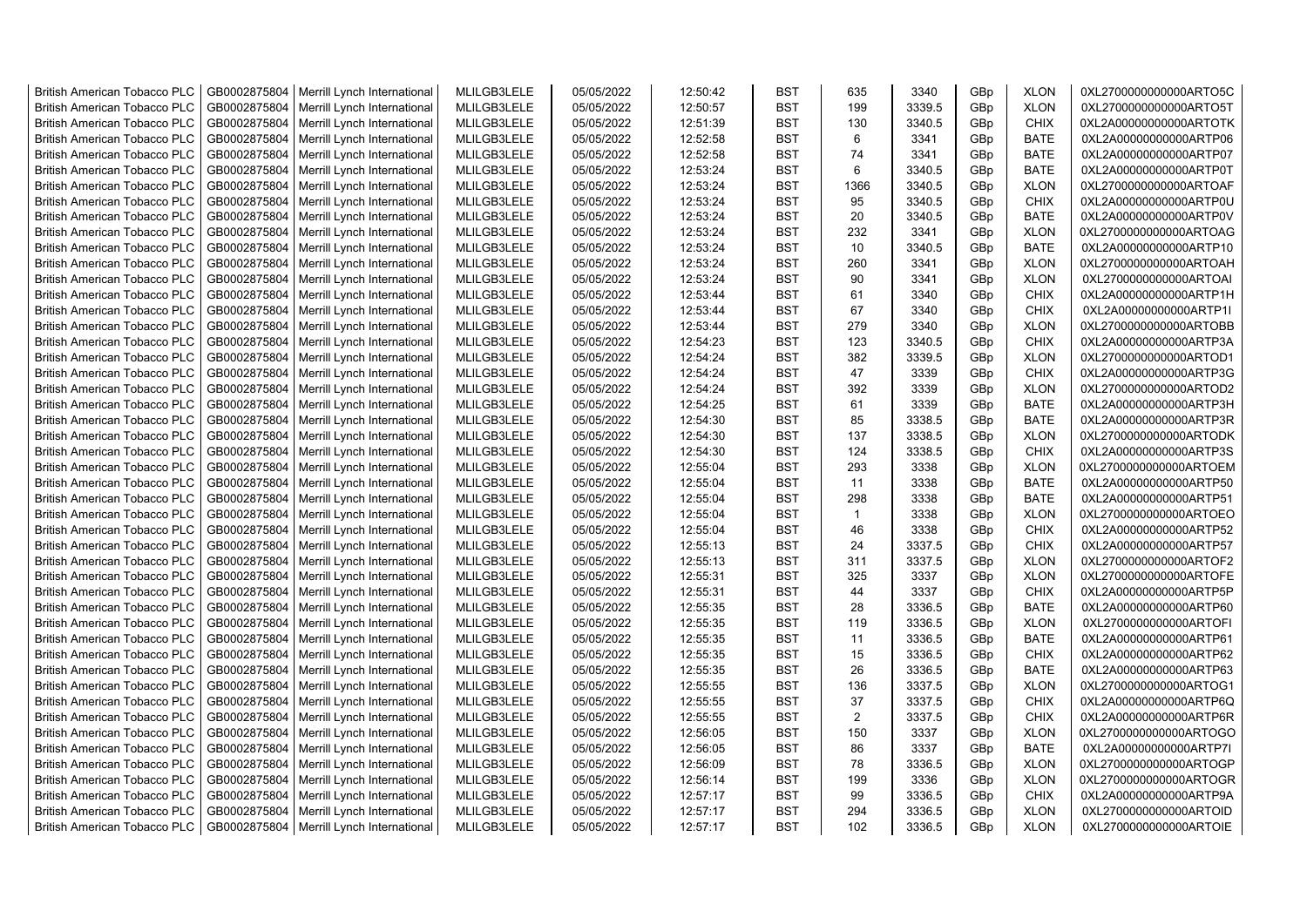| <b>British American Tobacco PLC</b> | GB0002875804 | Merrill Lynch International | MLILGB3LELE | 05/05/2022 | 12:50:42 | <b>BST</b> | 635         | 3340   | GBp             | <b>XLON</b> | 0XL2700000000000ARTO5C |
|-------------------------------------|--------------|-----------------------------|-------------|------------|----------|------------|-------------|--------|-----------------|-------------|------------------------|
| <b>British American Tobacco PLC</b> | GB0002875804 | Merrill Lynch International | MLILGB3LELE | 05/05/2022 | 12:50:57 | <b>BST</b> | 199         | 3339.5 | GBp             | <b>XLON</b> | 0XL2700000000000ARTO5T |
| <b>British American Tobacco PLC</b> | GB0002875804 | Merrill Lynch International | MLILGB3LELE | 05/05/2022 | 12:51:39 | <b>BST</b> | 130         | 3340.5 | GBp             | <b>CHIX</b> | 0XL2A00000000000ARTOTK |
| <b>British American Tobacco PLC</b> | GB0002875804 | Merrill Lynch International | MLILGB3LELE | 05/05/2022 | 12:52:58 | <b>BST</b> | 6           | 3341   | GBp             | <b>BATE</b> | 0XL2A00000000000ARTP06 |
| <b>British American Tobacco PLC</b> | GB0002875804 | Merrill Lynch International | MLILGB3LELE | 05/05/2022 | 12:52:58 | <b>BST</b> | 74          | 3341   | GBp             | <b>BATE</b> | 0XL2A00000000000ARTP07 |
| <b>British American Tobacco PLC</b> | GB0002875804 | Merrill Lynch International | MLILGB3LELE | 05/05/2022 | 12:53:24 | <b>BST</b> | 6           | 3340.5 | GBp             | <b>BATE</b> | 0XL2A00000000000ARTP0T |
| <b>British American Tobacco PLC</b> | GB0002875804 | Merrill Lynch International | MLILGB3LELE | 05/05/2022 | 12:53:24 | <b>BST</b> | 1366        | 3340.5 | GBp             | <b>XLON</b> | 0XL2700000000000ARTOAF |
| <b>British American Tobacco PLC</b> | GB0002875804 | Merrill Lynch International | MLILGB3LELE | 05/05/2022 | 12:53:24 | <b>BST</b> | 95          | 3340.5 | GBp             | <b>CHIX</b> | 0XL2A00000000000ARTP0U |
| <b>British American Tobacco PLC</b> | GB0002875804 | Merrill Lynch International | MLILGB3LELE | 05/05/2022 | 12:53:24 | <b>BST</b> | 20          | 3340.5 | GBp             | <b>BATE</b> | 0XL2A00000000000ARTP0V |
| <b>British American Tobacco PLC</b> | GB0002875804 | Merrill Lynch International | MLILGB3LELE | 05/05/2022 | 12:53:24 | <b>BST</b> | 232         | 3341   | GBp             | <b>XLON</b> | 0XL2700000000000ARTOAG |
| <b>British American Tobacco PLC</b> | GB0002875804 | Merrill Lynch International | MLILGB3LELE | 05/05/2022 | 12:53:24 | <b>BST</b> | 10          | 3340.5 | GBp             | <b>BATE</b> | 0XL2A00000000000ARTP10 |
| <b>British American Tobacco PLC</b> | GB0002875804 | Merrill Lynch International | MLILGB3LELE | 05/05/2022 | 12:53:24 | <b>BST</b> | 260         | 3341   | GBp             | <b>XLON</b> | 0XL2700000000000ARTOAH |
| <b>British American Tobacco PLC</b> | GB0002875804 | Merrill Lynch International | MLILGB3LELE | 05/05/2022 | 12:53:24 | <b>BST</b> | 90          | 3341   | GBp             | <b>XLON</b> | 0XL2700000000000ARTOAI |
| <b>British American Tobacco PLC</b> | GB0002875804 | Merrill Lynch International | MLILGB3LELE | 05/05/2022 | 12:53:44 | <b>BST</b> | 61          | 3340   | GBp             | <b>CHIX</b> | 0XL2A00000000000ARTP1H |
| <b>British American Tobacco PLC</b> | GB0002875804 | Merrill Lynch International | MLILGB3LELE | 05/05/2022 | 12:53:44 | <b>BST</b> | 67          | 3340   | GBp             | <b>CHIX</b> | 0XL2A00000000000ARTP1I |
| <b>British American Tobacco PLC</b> | GB0002875804 | Merrill Lynch International | MLILGB3LELE | 05/05/2022 | 12:53:44 | <b>BST</b> | 279         | 3340   | GBp             | <b>XLON</b> | 0XL2700000000000ARTOBB |
| <b>British American Tobacco PLC</b> | GB0002875804 | Merrill Lynch International | MLILGB3LELE | 05/05/2022 | 12:54:23 | <b>BST</b> | 123         | 3340.5 | GB <sub>p</sub> | <b>CHIX</b> | 0XL2A00000000000ARTP3A |
| <b>British American Tobacco PLC</b> | GB0002875804 | Merrill Lynch International | MLILGB3LELE | 05/05/2022 | 12:54:24 | <b>BST</b> | 382         | 3339.5 | GBp             | <b>XLON</b> | 0XL2700000000000ARTOD1 |
| <b>British American Tobacco PLC</b> | GB0002875804 | Merrill Lynch International | MLILGB3LELE | 05/05/2022 | 12:54:24 | <b>BST</b> | 47          | 3339   | GBp             | <b>CHIX</b> | 0XL2A00000000000ARTP3G |
| <b>British American Tobacco PLC</b> | GB0002875804 | Merrill Lynch International | MLILGB3LELE | 05/05/2022 | 12:54:24 | <b>BST</b> | 392         | 3339   | GBp             | <b>XLON</b> | 0XL2700000000000ARTOD2 |
| <b>British American Tobacco PLC</b> | GB0002875804 | Merrill Lynch International | MLILGB3LELE | 05/05/2022 | 12:54:25 | <b>BST</b> | 61          | 3339   | GBp             | <b>BATE</b> | 0XL2A00000000000ARTP3H |
| <b>British American Tobacco PLC</b> | GB0002875804 | Merrill Lynch International | MLILGB3LELE | 05/05/2022 | 12:54:30 | <b>BST</b> | 85          | 3338.5 | GB <sub>p</sub> | <b>BATE</b> | 0XL2A00000000000ARTP3R |
| <b>British American Tobacco PLC</b> | GB0002875804 | Merrill Lynch International | MLILGB3LELE | 05/05/2022 | 12:54:30 | <b>BST</b> | 137         | 3338.5 | GBp             | <b>XLON</b> | 0XL2700000000000ARTODK |
| <b>British American Tobacco PLC</b> | GB0002875804 | Merrill Lynch International | MLILGB3LELE | 05/05/2022 | 12:54:30 | <b>BST</b> | 124         | 3338.5 | GBp             | <b>CHIX</b> | 0XL2A00000000000ARTP3S |
| <b>British American Tobacco PLC</b> | GB0002875804 | Merrill Lynch International | MLILGB3LELE | 05/05/2022 | 12:55:04 | <b>BST</b> | 293         | 3338   | GBp             | <b>XLON</b> | 0XL2700000000000ARTOEM |
| <b>British American Tobacco PLC</b> | GB0002875804 | Merrill Lynch International | MLILGB3LELE | 05/05/2022 | 12:55:04 | <b>BST</b> | 11          | 3338   | GBp             | <b>BATE</b> | 0XL2A00000000000ARTP50 |
| <b>British American Tobacco PLC</b> | GB0002875804 | Merrill Lynch International | MLILGB3LELE | 05/05/2022 | 12:55:04 | <b>BST</b> | 298         | 3338   | GBp             | <b>BATE</b> | 0XL2A00000000000ARTP51 |
| <b>British American Tobacco PLC</b> | GB0002875804 | Merrill Lynch International | MLILGB3LELE | 05/05/2022 | 12:55:04 | <b>BST</b> | $\mathbf 1$ | 3338   | GBp             | <b>XLON</b> | 0XL2700000000000ARTOEO |
| <b>British American Tobacco PLC</b> | GB0002875804 | Merrill Lynch International | MLILGB3LELE | 05/05/2022 | 12:55:04 | <b>BST</b> | 46          | 3338   | GBp             | <b>CHIX</b> | 0XL2A00000000000ARTP52 |
| <b>British American Tobacco PLC</b> | GB0002875804 | Merrill Lynch International | MLILGB3LELE | 05/05/2022 | 12:55:13 | <b>BST</b> | 24          | 3337.5 | GBp             | <b>CHIX</b> | 0XL2A00000000000ARTP57 |
| <b>British American Tobacco PLC</b> | GB0002875804 | Merrill Lynch International | MLILGB3LELE | 05/05/2022 | 12:55:13 | <b>BST</b> | 311         | 3337.5 | GBp             | <b>XLON</b> | 0XL2700000000000ARTOF2 |
| <b>British American Tobacco PLC</b> | GB0002875804 | Merrill Lynch International | MLILGB3LELE | 05/05/2022 | 12:55:31 | <b>BST</b> | 325         | 3337   | GBp             | <b>XLON</b> | 0XL2700000000000ARTOFE |
| <b>British American Tobacco PLC</b> | GB0002875804 | Merrill Lynch International | MLILGB3LELE | 05/05/2022 | 12:55:31 | <b>BST</b> | 44          | 3337   | GBp             | <b>CHIX</b> | 0XL2A00000000000ARTP5P |
| <b>British American Tobacco PLC</b> | GB0002875804 | Merrill Lynch International | MLILGB3LELE | 05/05/2022 | 12:55:35 | <b>BST</b> | 28          | 3336.5 | GBp             | <b>BATE</b> | 0XL2A00000000000ARTP60 |
| <b>British American Tobacco PLC</b> | GB0002875804 | Merrill Lynch International | MLILGB3LELE | 05/05/2022 | 12:55:35 | <b>BST</b> | 119         | 3336.5 | GBp             | <b>XLON</b> | 0XL2700000000000ARTOFI |
| <b>British American Tobacco PLC</b> | GB0002875804 | Merrill Lynch International | MLILGB3LELE | 05/05/2022 | 12:55:35 | <b>BST</b> | 11          | 3336.5 | GBp             | <b>BATE</b> | 0XL2A00000000000ARTP61 |
| <b>British American Tobacco PLC</b> | GB0002875804 | Merrill Lynch International | MLILGB3LELE | 05/05/2022 | 12:55:35 | <b>BST</b> | 15          | 3336.5 | GBp             | <b>CHIX</b> | 0XL2A00000000000ARTP62 |
| <b>British American Tobacco PLC</b> | GB0002875804 | Merrill Lynch International | MLILGB3LELE | 05/05/2022 | 12:55:35 | <b>BST</b> | 26          | 3336.5 | GBp             | <b>BATE</b> | 0XL2A00000000000ARTP63 |
| <b>British American Tobacco PLC</b> | GB0002875804 | Merrill Lynch International | MLILGB3LELE | 05/05/2022 | 12:55:55 | <b>BST</b> | 136         | 3337.5 | GB <sub>p</sub> | <b>XLON</b> | 0XL2700000000000ARTOG1 |
| <b>British American Tobacco PLC</b> | GB0002875804 | Merrill Lynch International | MLILGB3LELE | 05/05/2022 | 12:55:55 | <b>BST</b> | 37          | 3337.5 | GBp             | <b>CHIX</b> | 0XL2A00000000000ARTP6Q |
| <b>British American Tobacco PLC</b> | GB0002875804 | Merrill Lynch International | MLILGB3LELE | 05/05/2022 | 12:55:55 | <b>BST</b> | 2           | 3337.5 | GBp             | <b>CHIX</b> | 0XL2A00000000000ARTP6R |
| <b>British American Tobacco PLC</b> | GB0002875804 | Merrill Lynch International | MLILGB3LELE | 05/05/2022 | 12:56:05 | <b>BST</b> | 150         | 3337   | GBp             | <b>XLON</b> | 0XL2700000000000ARTOGO |
| <b>British American Tobacco PLC</b> | GB0002875804 | Merrill Lynch International | MLILGB3LELE | 05/05/2022 | 12:56:05 | <b>BST</b> | 86          | 3337   | GBp             | <b>BATE</b> | 0XL2A00000000000ARTP7I |
| <b>British American Tobacco PLC</b> | GB0002875804 | Merrill Lynch International | MLILGB3LELE | 05/05/2022 | 12:56:09 | <b>BST</b> | 78          | 3336.5 | GBp             | <b>XLON</b> | 0XL2700000000000ARTOGP |
| <b>British American Tobacco PLC</b> | GB0002875804 | Merrill Lynch International | MLILGB3LELE | 05/05/2022 | 12:56:14 | <b>BST</b> | 199         | 3336   | GBp             | <b>XLON</b> | 0XL2700000000000ARTOGR |
| <b>British American Tobacco PLC</b> | GB0002875804 | Merrill Lynch International | MLILGB3LELE | 05/05/2022 | 12:57:17 | <b>BST</b> | 99          | 3336.5 | GBp             | <b>CHIX</b> | 0XL2A00000000000ARTP9A |
| <b>British American Tobacco PLC</b> | GB0002875804 | Merrill Lynch International | MLILGB3LELE | 05/05/2022 | 12:57:17 | <b>BST</b> | 294         | 3336.5 | GBp             | <b>XLON</b> | 0XL2700000000000ARTOID |
| <b>British American Tobacco PLC</b> | GB0002875804 | Merrill Lynch International | MLILGB3LELE | 05/05/2022 | 12:57:17 | <b>BST</b> | 102         | 3336.5 | GBp             | <b>XLON</b> | 0XL2700000000000ARTOIE |
|                                     |              |                             |             |            |          |            |             |        |                 |             |                        |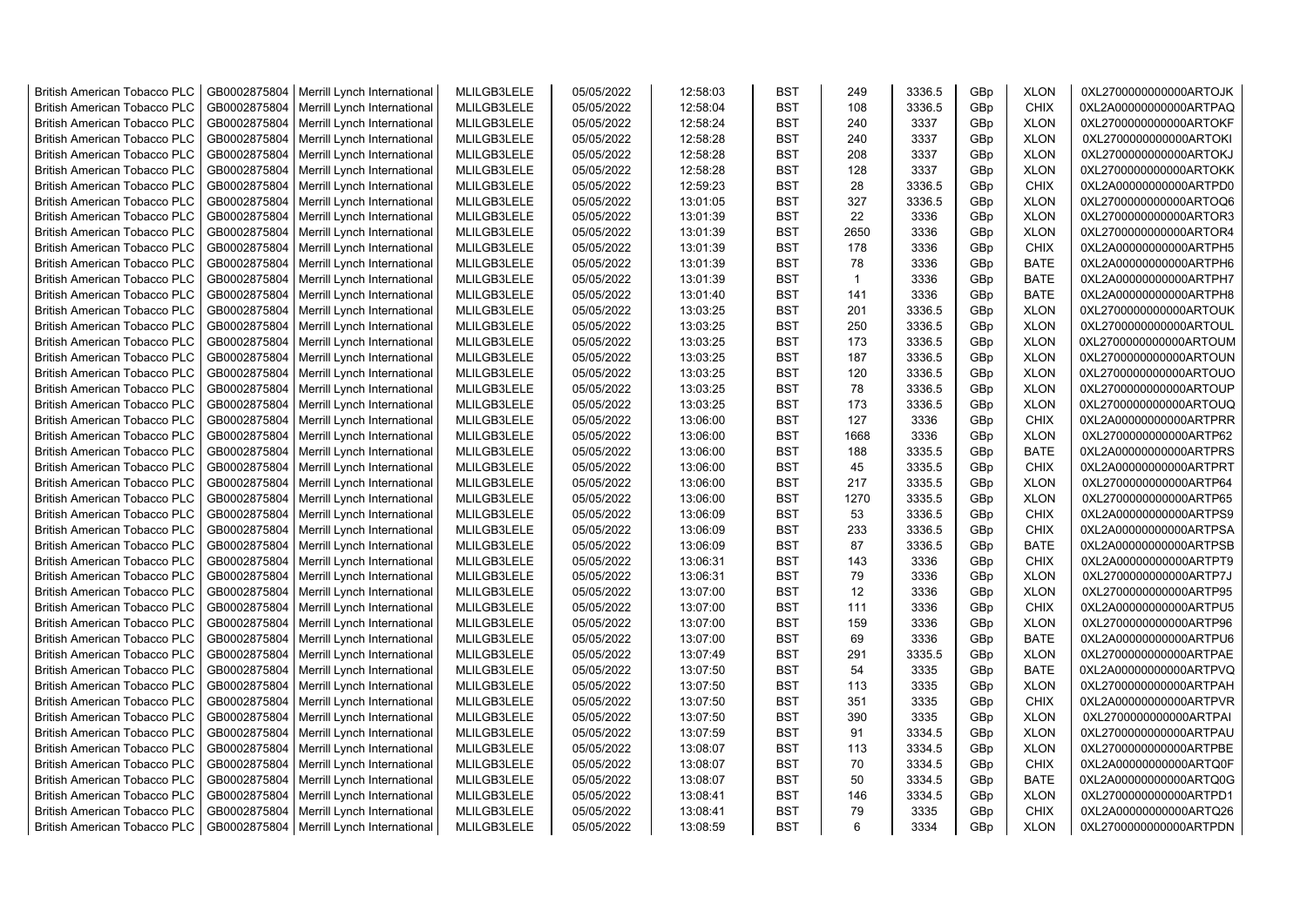| <b>British American Tobacco PLC</b> | GB0002875804 | Merrill Lynch International | MLILGB3LELE | 05/05/2022 | 12:58:03 | <b>BST</b> | 249          | 3336.5 | GBp             | <b>XLON</b> | 0XL2700000000000ARTOJK |
|-------------------------------------|--------------|-----------------------------|-------------|------------|----------|------------|--------------|--------|-----------------|-------------|------------------------|
| <b>British American Tobacco PLC</b> | GB0002875804 |                             | MLILGB3LELE | 05/05/2022 | 12:58:04 | <b>BST</b> | 108          | 3336.5 | GBp             | <b>CHIX</b> | 0XL2A00000000000ARTPAQ |
|                                     | GB0002875804 | Merrill Lynch International |             |            |          | <b>BST</b> | 240          |        |                 | <b>XLON</b> |                        |
| <b>British American Tobacco PLC</b> |              | Merrill Lynch International | MLILGB3LELE | 05/05/2022 | 12:58:24 |            |              | 3337   | GBp             |             | 0XL2700000000000ARTOKF |
| <b>British American Tobacco PLC</b> | GB0002875804 | Merrill Lynch International | MLILGB3LELE | 05/05/2022 | 12:58:28 | <b>BST</b> | 240          | 3337   | GBp             | <b>XLON</b> | 0XL2700000000000ARTOKI |
| <b>British American Tobacco PLC</b> | GB0002875804 | Merrill Lynch International | MLILGB3LELE | 05/05/2022 | 12:58:28 | <b>BST</b> | 208          | 3337   | GBp             | <b>XLON</b> | 0XL2700000000000ARTOKJ |
| <b>British American Tobacco PLC</b> | GB0002875804 | Merrill Lynch International | MLILGB3LELE | 05/05/2022 | 12:58:28 | <b>BST</b> | 128          | 3337   | GBp             | <b>XLON</b> | 0XL2700000000000ARTOKK |
| <b>British American Tobacco PLC</b> | GB0002875804 | Merrill Lynch International | MLILGB3LELE | 05/05/2022 | 12:59:23 | <b>BST</b> | 28           | 3336.5 | GBp             | <b>CHIX</b> | 0XL2A00000000000ARTPD0 |
| <b>British American Tobacco PLC</b> | GB0002875804 | Merrill Lynch International | MLILGB3LELE | 05/05/2022 | 13:01:05 | <b>BST</b> | 327          | 3336.5 | GBp             | <b>XLON</b> | 0XL2700000000000ARTOQ6 |
| <b>British American Tobacco PLC</b> | GB0002875804 | Merrill Lynch International | MLILGB3LELE | 05/05/2022 | 13:01:39 | <b>BST</b> | 22           | 3336   | GBp             | <b>XLON</b> | 0XL2700000000000ARTOR3 |
| British American Tobacco PLC        | GB0002875804 | Merrill Lynch International | MLILGB3LELE | 05/05/2022 | 13:01:39 | <b>BST</b> | 2650         | 3336   | GBp             | <b>XLON</b> | 0XL2700000000000ARTOR4 |
| <b>British American Tobacco PLC</b> | GB0002875804 | Merrill Lynch International | MLILGB3LELE | 05/05/2022 | 13:01:39 | <b>BST</b> | 178          | 3336   | GBp             | <b>CHIX</b> | 0XL2A00000000000ARTPH5 |
| <b>British American Tobacco PLC</b> | GB0002875804 | Merrill Lynch International | MLILGB3LELE | 05/05/2022 | 13:01:39 | <b>BST</b> | 78           | 3336   | GBp             | <b>BATE</b> | 0XL2A00000000000ARTPH6 |
| <b>British American Tobacco PLC</b> | GB0002875804 | Merrill Lynch International | MLILGB3LELE | 05/05/2022 | 13:01:39 | <b>BST</b> | $\mathbf{1}$ | 3336   | GBp             | <b>BATE</b> | 0XL2A00000000000ARTPH7 |
| <b>British American Tobacco PLC</b> | GB0002875804 | Merrill Lynch International | MLILGB3LELE | 05/05/2022 | 13:01:40 | <b>BST</b> | 141          | 3336   | GBp             | <b>BATE</b> | 0XL2A00000000000ARTPH8 |
| <b>British American Tobacco PLC</b> | GB0002875804 | Merrill Lynch International | MLILGB3LELE | 05/05/2022 | 13:03:25 | <b>BST</b> | 201          | 3336.5 | GBp             | <b>XLON</b> | 0XL2700000000000ARTOUK |
| <b>British American Tobacco PLC</b> | GB0002875804 | Merrill Lynch International | MLILGB3LELE | 05/05/2022 | 13:03:25 | <b>BST</b> | 250          | 3336.5 | GBp             | <b>XLON</b> | 0XL2700000000000ARTOUL |
| <b>British American Tobacco PLC</b> | GB0002875804 | Merrill Lynch International | MLILGB3LELE | 05/05/2022 | 13:03:25 | <b>BST</b> | 173          | 3336.5 | GBp             | <b>XLON</b> | 0XL2700000000000ARTOUM |
| <b>British American Tobacco PLC</b> | GB0002875804 | Merrill Lynch International | MLILGB3LELE | 05/05/2022 | 13:03:25 | <b>BST</b> | 187          | 3336.5 | GBp             | <b>XLON</b> | 0XL2700000000000ARTOUN |
| <b>British American Tobacco PLC</b> | GB0002875804 | Merrill Lynch International | MLILGB3LELE | 05/05/2022 | 13:03:25 | <b>BST</b> | 120          | 3336.5 | GBp             | <b>XLON</b> | 0XL2700000000000ARTOUO |
| <b>British American Tobacco PLC</b> | GB0002875804 | Merrill Lynch International | MLILGB3LELE | 05/05/2022 | 13:03:25 | <b>BST</b> | 78           | 3336.5 | GBp             | <b>XLON</b> | 0XL2700000000000ARTOUP |
| <b>British American Tobacco PLC</b> | GB0002875804 | Merrill Lynch International | MLILGB3LELE | 05/05/2022 | 13:03:25 | <b>BST</b> | 173          | 3336.5 | GBp             | <b>XLON</b> | 0XL2700000000000ARTOUQ |
| <b>British American Tobacco PLC</b> | GB0002875804 | Merrill Lynch International | MLILGB3LELE | 05/05/2022 | 13:06:00 | <b>BST</b> | 127          | 3336   | GBp             | <b>CHIX</b> | 0XL2A00000000000ARTPRR |
| <b>British American Tobacco PLC</b> | GB0002875804 | Merrill Lynch International | MLILGB3LELE | 05/05/2022 | 13:06:00 | <b>BST</b> | 1668         | 3336   | GBp             | <b>XLON</b> | 0XL2700000000000ARTP62 |
|                                     |              |                             |             |            |          |            |              |        |                 |             |                        |
| <b>British American Tobacco PLC</b> | GB0002875804 | Merrill Lynch International | MLILGB3LELE | 05/05/2022 | 13:06:00 | <b>BST</b> | 188          | 3335.5 | GBp             | <b>BATE</b> | 0XL2A00000000000ARTPRS |
| <b>British American Tobacco PLC</b> | GB0002875804 | Merrill Lynch International | MLILGB3LELE | 05/05/2022 | 13:06:00 | <b>BST</b> | 45           | 3335.5 | GBp             | <b>CHIX</b> | 0XL2A00000000000ARTPRT |
| <b>British American Tobacco PLC</b> | GB0002875804 | Merrill Lynch International | MLILGB3LELE | 05/05/2022 | 13:06:00 | <b>BST</b> | 217          | 3335.5 | GBp             | <b>XLON</b> | 0XL2700000000000ARTP64 |
| <b>British American Tobacco PLC</b> | GB0002875804 | Merrill Lynch International | MLILGB3LELE | 05/05/2022 | 13:06:00 | <b>BST</b> | 1270         | 3335.5 | GBp             | <b>XLON</b> | 0XL2700000000000ARTP65 |
| British American Tobacco PLC        | GB0002875804 | Merrill Lynch International | MLILGB3LELE | 05/05/2022 | 13:06:09 | <b>BST</b> | 53           | 3336.5 | GBp             | <b>CHIX</b> | 0XL2A00000000000ARTPS9 |
| <b>British American Tobacco PLC</b> | GB0002875804 | Merrill Lynch International | MLILGB3LELE | 05/05/2022 | 13:06:09 | <b>BST</b> | 233          | 3336.5 | GBp             | <b>CHIX</b> | 0XL2A00000000000ARTPSA |
| <b>British American Tobacco PLC</b> | GB0002875804 | Merrill Lynch International | MLILGB3LELE | 05/05/2022 | 13:06:09 | <b>BST</b> | 87           | 3336.5 | GBp             | <b>BATE</b> | 0XL2A00000000000ARTPSB |
| <b>British American Tobacco PLC</b> | GB0002875804 | Merrill Lynch International | MLILGB3LELE | 05/05/2022 | 13:06:31 | <b>BST</b> | 143          | 3336   | GBp             | <b>CHIX</b> | 0XL2A00000000000ARTPT9 |
| <b>British American Tobacco PLC</b> | GB0002875804 | Merrill Lynch International | MLILGB3LELE | 05/05/2022 | 13:06:31 | <b>BST</b> | 79           | 3336   | GBp             | <b>XLON</b> | 0XL2700000000000ARTP7J |
| <b>British American Tobacco PLC</b> | GB0002875804 | Merrill Lynch International | MLILGB3LELE | 05/05/2022 | 13:07:00 | <b>BST</b> | 12           | 3336   | GBp             | <b>XLON</b> | 0XL2700000000000ARTP95 |
| British American Tobacco PLC        | GB0002875804 | Merrill Lynch International | MLILGB3LELE | 05/05/2022 | 13:07:00 | <b>BST</b> | 111          | 3336   | GBp             | <b>CHIX</b> | 0XL2A00000000000ARTPU5 |
| <b>British American Tobacco PLC</b> | GB0002875804 | Merrill Lynch International | MLILGB3LELE | 05/05/2022 | 13:07:00 | <b>BST</b> | 159          | 3336   | GBp             | <b>XLON</b> | 0XL2700000000000ARTP96 |
| <b>British American Tobacco PLC</b> | GB0002875804 | Merrill Lynch International | MLILGB3LELE | 05/05/2022 | 13:07:00 | <b>BST</b> | 69           | 3336   | GBp             | <b>BATE</b> | 0XL2A00000000000ARTPU6 |
| <b>British American Tobacco PLC</b> | GB0002875804 | Merrill Lynch International | MLILGB3LELE | 05/05/2022 | 13:07:49 | <b>BST</b> | 291          | 3335.5 | GBp             | <b>XLON</b> | 0XL2700000000000ARTPAE |
| British American Tobacco PLC        | GB0002875804 | Merrill Lynch International | MLILGB3LELE | 05/05/2022 | 13:07:50 | <b>BST</b> | 54           | 3335   | GBp             | <b>BATE</b> | 0XL2A00000000000ARTPVQ |
| <b>British American Tobacco PLC</b> | GB0002875804 | Merrill Lynch International | MLILGB3LELE | 05/05/2022 | 13:07:50 | <b>BST</b> | 113          | 3335   | GBp             | <b>XLON</b> | 0XL2700000000000ARTPAH |
| <b>British American Tobacco PLC</b> | GB0002875804 | Merrill Lynch International | MLILGB3LELE | 05/05/2022 | 13:07:50 | <b>BST</b> | 351          | 3335   | GBp             | <b>CHIX</b> | 0XL2A00000000000ARTPVR |
| <b>British American Tobacco PLC</b> | GB0002875804 | Merrill Lynch International | MLILGB3LELE | 05/05/2022 | 13:07:50 | <b>BST</b> | 390          | 3335   | GBp             | <b>XLON</b> | 0XL2700000000000ARTPAI |
| <b>British American Tobacco PLC</b> | GB0002875804 | Merrill Lynch International | MLILGB3LELE | 05/05/2022 | 13:07:59 | <b>BST</b> | 91           | 3334.5 | GBp             | <b>XLON</b> | 0XL2700000000000ARTPAU |
| <b>British American Tobacco PLC</b> | GB0002875804 | Merrill Lynch International | MLILGB3LELE | 05/05/2022 | 13:08:07 | <b>BST</b> | 113          | 3334.5 | GBp             | <b>XLON</b> | 0XL2700000000000ARTPBE |
| British American Tobacco PLC        | GB0002875804 | Merrill Lynch International | MLILGB3LELE | 05/05/2022 | 13:08:07 | <b>BST</b> | 70           | 3334.5 | GBp             | <b>CHIX</b> | 0XL2A00000000000ARTQ0F |
| British American Tobacco PLC        | GB0002875804 | Merrill Lynch International | MLILGB3LELE | 05/05/2022 | 13:08:07 | <b>BST</b> | 50           | 3334.5 | GBp             | <b>BATE</b> | 0XL2A00000000000ARTQ0G |
| <b>British American Tobacco PLC</b> | GB0002875804 | Merrill Lynch International | MLILGB3LELE | 05/05/2022 | 13:08:41 | <b>BST</b> | 146          | 3334.5 | GBp             | <b>XLON</b> | 0XL2700000000000ARTPD1 |
| <b>British American Tobacco PLC</b> | GB0002875804 | Merrill Lynch International | MLILGB3LELE | 05/05/2022 | 13:08:41 | <b>BST</b> | 79           | 3335   | GBp             | <b>CHIX</b> | 0XL2A00000000000ARTQ26 |
|                                     |              |                             |             |            |          | <b>BST</b> | 6            |        |                 |             |                        |
| <b>British American Tobacco PLC</b> | GB0002875804 | Merrill Lynch International | MLILGB3LELE | 05/05/2022 | 13:08:59 |            |              | 3334   | GB <sub>p</sub> | <b>XLON</b> | 0XL2700000000000ARTPDN |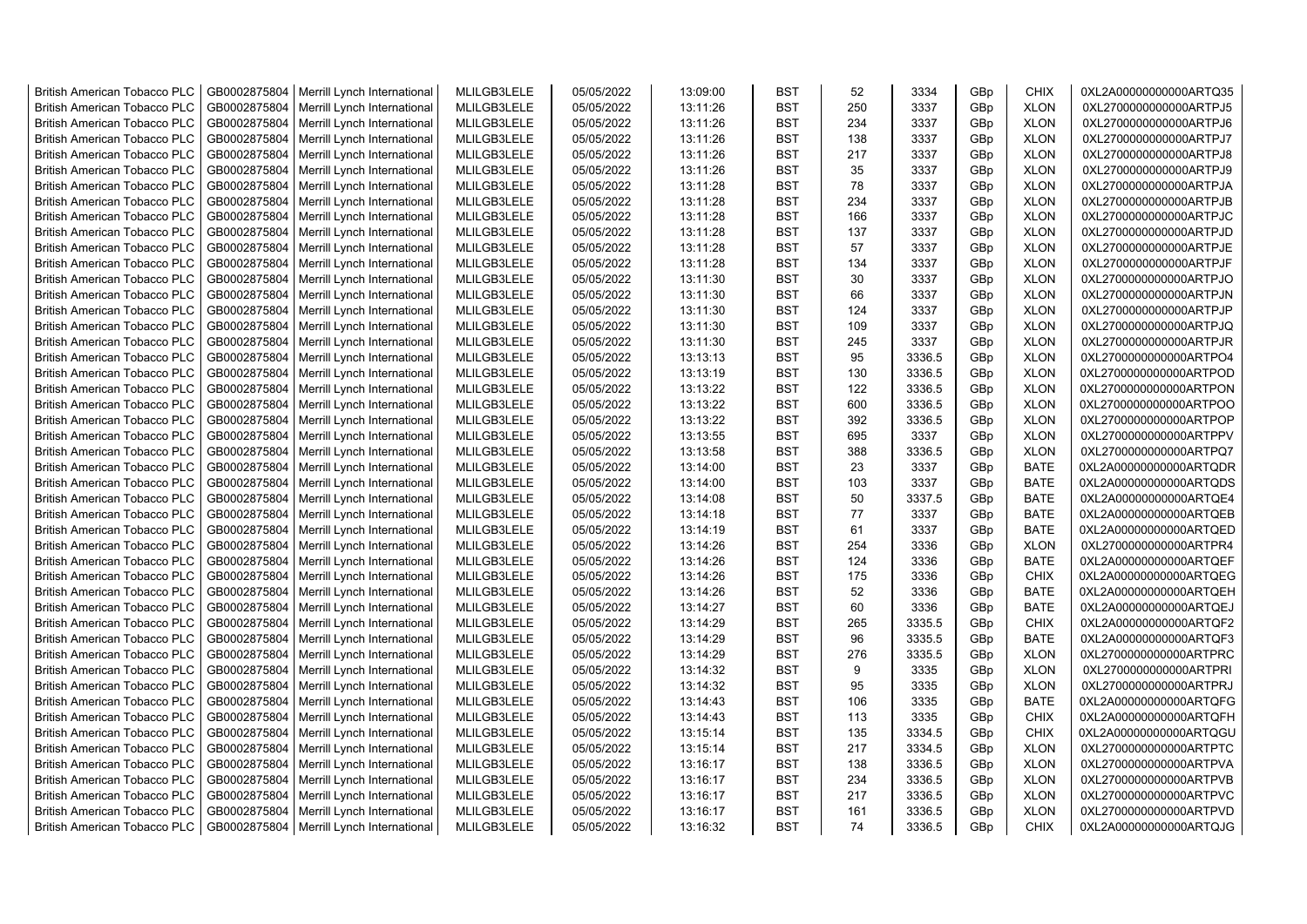| <b>British American Tobacco PLC</b> | GB0002875804 | Merrill Lynch International | MLILGB3LELE | 05/05/2022 | 13:09:00 | <b>BST</b> | 52  | 3334   | GBp             | <b>CHIX</b> | 0XL2A00000000000ARTQ35 |
|-------------------------------------|--------------|-----------------------------|-------------|------------|----------|------------|-----|--------|-----------------|-------------|------------------------|
| <b>British American Tobacco PLC</b> | GB0002875804 | Merrill Lynch International | MLILGB3LELE | 05/05/2022 | 13:11:26 | <b>BST</b> | 250 | 3337   | GBp             | <b>XLON</b> | 0XL2700000000000ARTPJ5 |
| <b>British American Tobacco PLC</b> | GB0002875804 | Merrill Lynch International | MLILGB3LELE | 05/05/2022 | 13:11:26 | <b>BST</b> | 234 | 3337   | GBp             | <b>XLON</b> | 0XL2700000000000ARTPJ6 |
| <b>British American Tobacco PLC</b> | GB0002875804 | Merrill Lynch International | MLILGB3LELE | 05/05/2022 | 13:11:26 | <b>BST</b> | 138 | 3337   | GBp             | <b>XLON</b> | 0XL2700000000000ARTPJ7 |
| British American Tobacco PLC        | GB0002875804 | Merrill Lynch International | MLILGB3LELE | 05/05/2022 | 13:11:26 | <b>BST</b> | 217 | 3337   | GBp             | <b>XLON</b> | 0XL2700000000000ARTPJ8 |
| <b>British American Tobacco PLC</b> | GB0002875804 | Merrill Lynch International | MLILGB3LELE | 05/05/2022 | 13:11:26 | <b>BST</b> | 35  | 3337   | GBp             | <b>XLON</b> | 0XL2700000000000ARTPJ9 |
| <b>British American Tobacco PLC</b> | GB0002875804 | Merrill Lynch International | MLILGB3LELE | 05/05/2022 | 13:11:28 | <b>BST</b> | 78  | 3337   | GBp             | <b>XLON</b> | 0XL2700000000000ARTPJA |
| <b>British American Tobacco PLC</b> | GB0002875804 | Merrill Lynch International | MLILGB3LELE | 05/05/2022 | 13:11:28 | <b>BST</b> | 234 | 3337   | GBp             | <b>XLON</b> | 0XL2700000000000ARTPJB |
| <b>British American Tobacco PLC</b> | GB0002875804 | Merrill Lynch International | MLILGB3LELE | 05/05/2022 | 13:11:28 | <b>BST</b> | 166 | 3337   | GBp             | <b>XLON</b> | 0XL2700000000000ARTPJC |
| <b>British American Tobacco PLC</b> | GB0002875804 | Merrill Lynch International | MLILGB3LELE | 05/05/2022 | 13:11:28 | <b>BST</b> | 137 | 3337   | GBp             | <b>XLON</b> | 0XL2700000000000ARTPJD |
| <b>British American Tobacco PLC</b> | GB0002875804 | Merrill Lynch International | MLILGB3LELE | 05/05/2022 | 13:11:28 | <b>BST</b> | 57  | 3337   | GBp             | <b>XLON</b> | 0XL2700000000000ARTPJE |
| British American Tobacco PLC        | GB0002875804 | Merrill Lynch International | MLILGB3LELE | 05/05/2022 | 13:11:28 | <b>BST</b> | 134 | 3337   | GBp             | <b>XLON</b> | 0XL2700000000000ARTPJF |
| <b>British American Tobacco PLC</b> | GB0002875804 | Merrill Lynch International | MLILGB3LELE | 05/05/2022 | 13:11:30 | <b>BST</b> | 30  | 3337   | GB <sub>p</sub> | <b>XLON</b> | 0XL2700000000000ARTPJO |
| <b>British American Tobacco PLC</b> | GB0002875804 | Merrill Lynch International | MLILGB3LELE | 05/05/2022 | 13:11:30 | <b>BST</b> | 66  | 3337   | GBp             | <b>XLON</b> | 0XL2700000000000ARTPJN |
| <b>British American Tobacco PLC</b> | GB0002875804 | Merrill Lynch International | MLILGB3LELE | 05/05/2022 | 13:11:30 | <b>BST</b> | 124 | 3337   | GBp             | <b>XLON</b> | 0XL2700000000000ARTPJP |
| <b>British American Tobacco PLC</b> | GB0002875804 | Merrill Lynch International | MLILGB3LELE | 05/05/2022 | 13:11:30 | <b>BST</b> | 109 | 3337   | GBp             | <b>XLON</b> | 0XL2700000000000ARTPJQ |
| <b>British American Tobacco PLC</b> | GB0002875804 | Merrill Lynch International | MLILGB3LELE | 05/05/2022 | 13:11:30 | <b>BST</b> | 245 | 3337   | GBp             | <b>XLON</b> | 0XL2700000000000ARTPJR |
| <b>British American Tobacco PLC</b> | GB0002875804 | Merrill Lynch International | MLILGB3LELE | 05/05/2022 | 13:13:13 | <b>BST</b> | 95  | 3336.5 | GBp             | <b>XLON</b> | 0XL2700000000000ARTPO4 |
| British American Tobacco PLC        | GB0002875804 | Merrill Lynch International | MLILGB3LELE | 05/05/2022 | 13:13:19 | <b>BST</b> | 130 | 3336.5 | GBp             | <b>XLON</b> | 0XL2700000000000ARTPOD |
| <b>British American Tobacco PLC</b> | GB0002875804 | Merrill Lynch International | MLILGB3LELE | 05/05/2022 | 13:13:22 | <b>BST</b> | 122 | 3336.5 | GBp             | <b>XLON</b> | 0XL2700000000000ARTPON |
| <b>British American Tobacco PLC</b> | GB0002875804 | Merrill Lynch International | MLILGB3LELE | 05/05/2022 | 13:13:22 | <b>BST</b> | 600 | 3336.5 | GBp             | <b>XLON</b> | 0XL2700000000000ARTPOO |
| <b>British American Tobacco PLC</b> | GB0002875804 | Merrill Lynch International | MLILGB3LELE | 05/05/2022 | 13:13:22 | <b>BST</b> | 392 | 3336.5 | GBp             | <b>XLON</b> | 0XL2700000000000ARTPOP |
| <b>British American Tobacco PLC</b> | GB0002875804 | Merrill Lynch International | MLILGB3LELE | 05/05/2022 | 13:13:55 | <b>BST</b> | 695 | 3337   | GBp             | <b>XLON</b> | 0XL2700000000000ARTPPV |
| <b>British American Tobacco PLC</b> | GB0002875804 | Merrill Lynch International | MLILGB3LELE | 05/05/2022 | 13:13:58 | <b>BST</b> | 388 | 3336.5 | GBp             | <b>XLON</b> | 0XL2700000000000ARTPQ7 |
| <b>British American Tobacco PLC</b> | GB0002875804 | Merrill Lynch International | MLILGB3LELE | 05/05/2022 | 13:14:00 | <b>BST</b> | 23  | 3337   | GBp             | <b>BATE</b> | 0XL2A00000000000ARTQDR |
| British American Tobacco PLC        | GB0002875804 | Merrill Lynch International | MLILGB3LELE | 05/05/2022 | 13:14:00 | <b>BST</b> | 103 | 3337   | GBp             | <b>BATE</b> | 0XL2A00000000000ARTQDS |
| <b>British American Tobacco PLC</b> | GB0002875804 | Merrill Lynch International | MLILGB3LELE | 05/05/2022 | 13:14:08 | <b>BST</b> | 50  | 3337.5 | GBp             | <b>BATE</b> | 0XL2A00000000000ARTQE4 |
| British American Tobacco PLC        | GB0002875804 | Merrill Lynch International | MLILGB3LELE | 05/05/2022 | 13:14:18 | <b>BST</b> | 77  | 3337   | GBp             | <b>BATE</b> | 0XL2A00000000000ARTQEB |
| <b>British American Tobacco PLC</b> | GB0002875804 | Merrill Lynch International | MLILGB3LELE | 05/05/2022 | 13:14:19 | <b>BST</b> | 61  | 3337   | GBp             | <b>BATE</b> | 0XL2A00000000000ARTQED |
| <b>British American Tobacco PLC</b> | GB0002875804 | Merrill Lynch International | MLILGB3LELE | 05/05/2022 | 13:14:26 | <b>BST</b> | 254 | 3336   | GBp             | <b>XLON</b> | 0XL2700000000000ARTPR4 |
| <b>British American Tobacco PLC</b> | GB0002875804 | Merrill Lynch International | MLILGB3LELE | 05/05/2022 | 13:14:26 | <b>BST</b> | 124 | 3336   | GBp             | <b>BATE</b> | 0XL2A00000000000ARTQEF |
| <b>British American Tobacco PLC</b> | GB0002875804 | Merrill Lynch International | MLILGB3LELE | 05/05/2022 | 13:14:26 | <b>BST</b> | 175 | 3336   | GBp             | <b>CHIX</b> | 0XL2A00000000000ARTQEG |
| <b>British American Tobacco PLC</b> | GB0002875804 | Merrill Lynch International | MLILGB3LELE | 05/05/2022 | 13:14:26 | <b>BST</b> | 52  | 3336   | GBp             | <b>BATE</b> | 0XL2A00000000000ARTQEH |
| <b>British American Tobacco PLC</b> | GB0002875804 | Merrill Lynch International | MLILGB3LELE | 05/05/2022 | 13:14:27 | <b>BST</b> | 60  | 3336   | GBp             | <b>BATE</b> | 0XL2A00000000000ARTQEJ |
| <b>British American Tobacco PLC</b> | GB0002875804 | Merrill Lynch International | MLILGB3LELE | 05/05/2022 | 13:14:29 | <b>BST</b> | 265 | 3335.5 | GBp             | <b>CHIX</b> | 0XL2A00000000000ARTQF2 |
| <b>British American Tobacco PLC</b> | GB0002875804 | Merrill Lynch International | MLILGB3LELE | 05/05/2022 | 13:14:29 | <b>BST</b> | 96  | 3335.5 | GBp             | <b>BATE</b> | 0XL2A00000000000ARTQF3 |
| British American Tobacco PLC        | GB0002875804 | Merrill Lynch International | MLILGB3LELE | 05/05/2022 | 13:14:29 | <b>BST</b> | 276 | 3335.5 | GBp             | <b>XLON</b> | 0XL2700000000000ARTPRC |
| <b>British American Tobacco PLC</b> | GB0002875804 | Merrill Lynch International | MLILGB3LELE | 05/05/2022 | 13:14:32 | <b>BST</b> | 9   | 3335   | GBp             | <b>XLON</b> | 0XL2700000000000ARTPRI |
| <b>British American Tobacco PLC</b> | GB0002875804 | Merrill Lynch International | MLILGB3LELE | 05/05/2022 | 13:14:32 | <b>BST</b> | 95  | 3335   | GBp             | <b>XLON</b> | 0XL2700000000000ARTPRJ |
| <b>British American Tobacco PLC</b> | GB0002875804 | Merrill Lynch International | MLILGB3LELE | 05/05/2022 | 13:14:43 | <b>BST</b> | 106 | 3335   | GBp             | <b>BATE</b> | 0XL2A00000000000ARTQFG |
| British American Tobacco PLC        | GB0002875804 | Merrill Lynch International | MLILGB3LELE | 05/05/2022 | 13:14:43 | <b>BST</b> | 113 | 3335   | GBp             | <b>CHIX</b> | 0XL2A00000000000ARTQFH |
| <b>British American Tobacco PLC</b> | GB0002875804 | Merrill Lynch International | MLILGB3LELE | 05/05/2022 | 13:15:14 | <b>BST</b> | 135 | 3334.5 | GBp             | <b>CHIX</b> | 0XL2A00000000000ARTQGU |
| British American Tobacco PLC        | GB0002875804 | Merrill Lynch International | MLILGB3LELE | 05/05/2022 | 13:15:14 | <b>BST</b> | 217 | 3334.5 | GBp             | <b>XLON</b> | 0XL2700000000000ARTPTC |
| British American Tobacco PLC        | GB0002875804 | Merrill Lynch International | MLILGB3LELE | 05/05/2022 | 13:16:17 | <b>BST</b> | 138 | 3336.5 | GBp             | <b>XLON</b> | 0XL2700000000000ARTPVA |
| <b>British American Tobacco PLC</b> | GB0002875804 | Merrill Lynch International | MLILGB3LELE | 05/05/2022 | 13:16:17 | <b>BST</b> | 234 | 3336.5 | GBp             | <b>XLON</b> | 0XL2700000000000ARTPVB |
| <b>British American Tobacco PLC</b> | GB0002875804 | Merrill Lynch International | MLILGB3LELE | 05/05/2022 | 13:16:17 | <b>BST</b> | 217 | 3336.5 | GBp             | <b>XLON</b> | 0XL2700000000000ARTPVC |
| <b>British American Tobacco PLC</b> | GB0002875804 | Merrill Lynch International | MLILGB3LELE | 05/05/2022 | 13:16:17 | <b>BST</b> | 161 | 3336.5 | GB <sub>p</sub> | <b>XLON</b> | 0XL2700000000000ARTPVD |
| <b>British American Tobacco PLC</b> | GB0002875804 | Merrill Lynch International | MLILGB3LELE | 05/05/2022 | 13:16:32 | <b>BST</b> | 74  | 3336.5 | GBp             | <b>CHIX</b> | 0XL2A00000000000ARTQJG |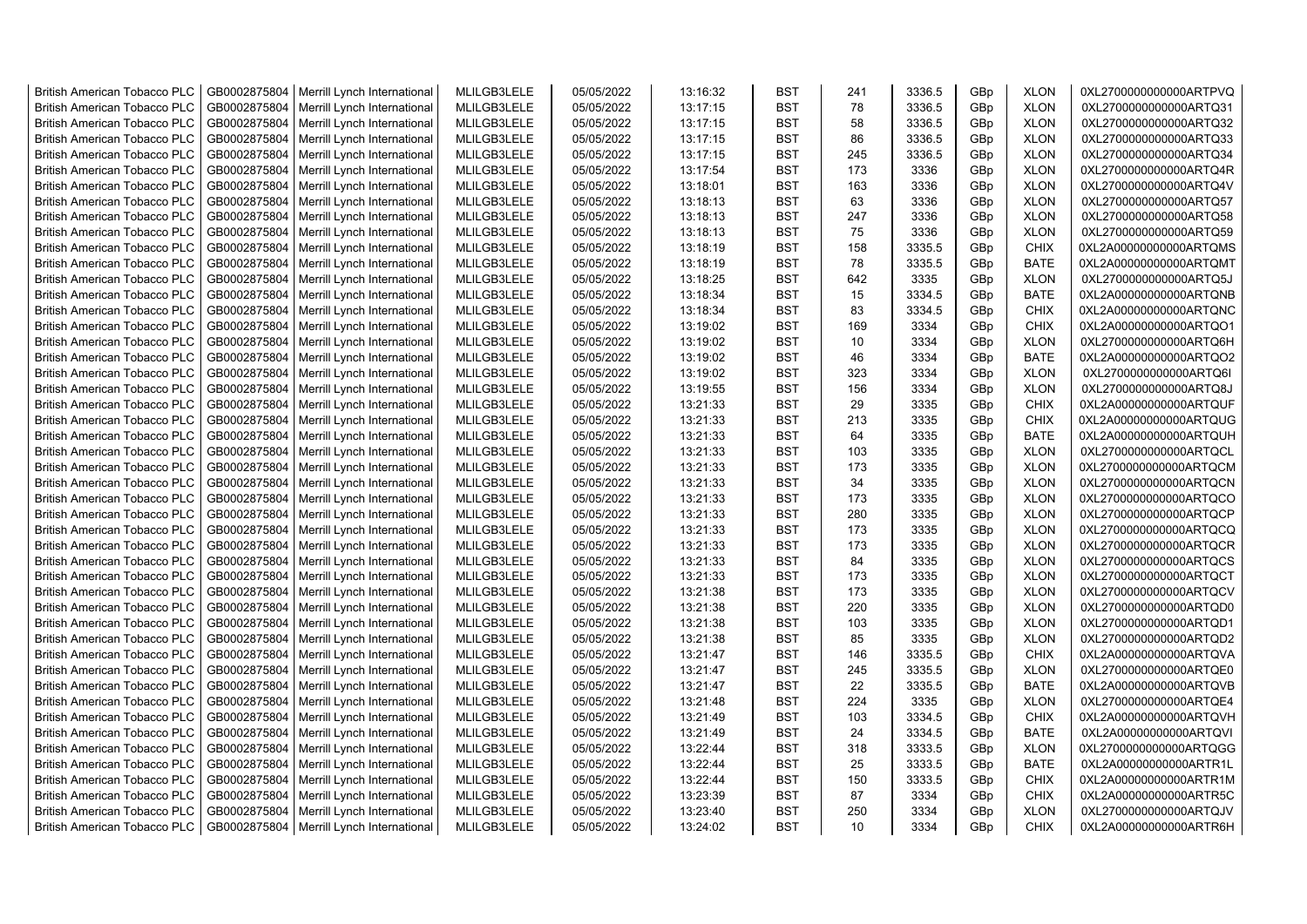| <b>British American Tobacco PLC</b> | GB0002875804 | Merrill Lynch International                | MLILGB3LELE | 05/05/2022 | 13:16:32 | <b>BST</b> | 241 | 3336.5 | GBp             | <b>XLON</b> | 0XL2700000000000ARTPVQ |
|-------------------------------------|--------------|--------------------------------------------|-------------|------------|----------|------------|-----|--------|-----------------|-------------|------------------------|
| <b>British American Tobacco PLC</b> | GB0002875804 | Merrill Lynch International                | MLILGB3LELE | 05/05/2022 | 13:17:15 | <b>BST</b> | 78  | 3336.5 | GBp             | <b>XLON</b> | 0XL2700000000000ARTQ31 |
| <b>British American Tobacco PLC</b> | GB0002875804 | Merrill Lynch International                | MLILGB3LELE | 05/05/2022 | 13:17:15 | <b>BST</b> | 58  | 3336.5 | GBp             | <b>XLON</b> | 0XL2700000000000ARTQ32 |
| <b>British American Tobacco PLC</b> | GB0002875804 | Merrill Lynch International                | MLILGB3LELE | 05/05/2022 | 13:17:15 | <b>BST</b> | 86  | 3336.5 | GBp             | <b>XLON</b> | 0XL2700000000000ARTQ33 |
| <b>British American Tobacco PLC</b> | GB0002875804 | Merrill Lynch International                | MLILGB3LELE | 05/05/2022 | 13:17:15 | <b>BST</b> | 245 | 3336.5 | GBp             | <b>XLON</b> | 0XL2700000000000ARTQ34 |
| <b>British American Tobacco PLC</b> | GB0002875804 | Merrill Lynch International                | MLILGB3LELE | 05/05/2022 | 13:17:54 | <b>BST</b> | 173 | 3336   | GBp             | <b>XLON</b> | 0XL2700000000000ARTQ4R |
| <b>British American Tobacco PLC</b> | GB0002875804 | Merrill Lynch International                | MLILGB3LELE | 05/05/2022 | 13:18:01 | <b>BST</b> | 163 | 3336   | GBp             | <b>XLON</b> | 0XL2700000000000ARTQ4V |
| <b>British American Tobacco PLC</b> | GB0002875804 | Merrill Lynch International                | MLILGB3LELE | 05/05/2022 | 13:18:13 | <b>BST</b> | 63  | 3336   | GBp             | <b>XLON</b> | 0XL2700000000000ARTQ57 |
| <b>British American Tobacco PLC</b> | GB0002875804 | Merrill Lynch International                | MLILGB3LELE | 05/05/2022 | 13:18:13 | <b>BST</b> | 247 | 3336   | GBp             | <b>XLON</b> | 0XL2700000000000ARTQ58 |
| <b>British American Tobacco PLC</b> | GB0002875804 | Merrill Lynch International                | MLILGB3LELE | 05/05/2022 | 13:18:13 | <b>BST</b> | 75  | 3336   | GBp             | <b>XLON</b> | 0XL2700000000000ARTQ59 |
| <b>British American Tobacco PLC</b> | GB0002875804 | Merrill Lynch International                | MLILGB3LELE | 05/05/2022 | 13:18:19 | <b>BST</b> | 158 | 3335.5 | GBp             | <b>CHIX</b> | 0XL2A00000000000ARTQMS |
| <b>British American Tobacco PLC</b> | GB0002875804 | Merrill Lynch International                | MLILGB3LELE | 05/05/2022 | 13:18:19 | <b>BST</b> | 78  | 3335.5 | GBp             | <b>BATE</b> | 0XL2A00000000000ARTQMT |
| <b>British American Tobacco PLC</b> | GB0002875804 | Merrill Lynch International                | MLILGB3LELE | 05/05/2022 | 13:18:25 | <b>BST</b> | 642 | 3335   | GB <sub>p</sub> | <b>XLON</b> | 0XL2700000000000ARTQ5J |
|                                     |              |                                            |             |            |          | <b>BST</b> |     |        |                 |             |                        |
| <b>British American Tobacco PLC</b> | GB0002875804 | Merrill Lynch International                | MLILGB3LELE | 05/05/2022 | 13:18:34 |            | 15  | 3334.5 | GBp             | <b>BATE</b> | 0XL2A00000000000ARTQNB |
| <b>British American Tobacco PLC</b> | GB0002875804 | Merrill Lynch International                | MLILGB3LELE | 05/05/2022 | 13:18:34 | <b>BST</b> | 83  | 3334.5 | GBp             | <b>CHIX</b> | 0XL2A00000000000ARTQNC |
| <b>British American Tobacco PLC</b> | GB0002875804 | Merrill Lynch International                | MLILGB3LELE | 05/05/2022 | 13:19:02 | <b>BST</b> | 169 | 3334   | GBp             | <b>CHIX</b> | 0XL2A00000000000ARTQO1 |
| <b>British American Tobacco PLC</b> | GB0002875804 | Merrill Lynch International                | MLILGB3LELE | 05/05/2022 | 13:19:02 | <b>BST</b> | 10  | 3334   | GBp             | <b>XLON</b> | 0XL2700000000000ARTQ6H |
| <b>British American Tobacco PLC</b> | GB0002875804 | Merrill Lynch International                | MLILGB3LELE | 05/05/2022 | 13:19:02 | <b>BST</b> | 46  | 3334   | GBp             | <b>BATE</b> | 0XL2A00000000000ARTQO2 |
| <b>British American Tobacco PLC</b> | GB0002875804 | Merrill Lynch International                | MLILGB3LELE | 05/05/2022 | 13:19:02 | <b>BST</b> | 323 | 3334   | GBp             | <b>XLON</b> | 0XL2700000000000ARTQ6I |
| <b>British American Tobacco PLC</b> | GB0002875804 | Merrill Lynch International                | MLILGB3LELE | 05/05/2022 | 13:19:55 | <b>BST</b> | 156 | 3334   | GBp             | <b>XLON</b> | 0XL2700000000000ARTQ8J |
| <b>British American Tobacco PLC</b> | GB0002875804 | Merrill Lynch International                | MLILGB3LELE | 05/05/2022 | 13:21:33 | <b>BST</b> | 29  | 3335   | GBp             | <b>CHIX</b> | 0XL2A00000000000ARTQUF |
| <b>British American Tobacco PLC</b> | GB0002875804 | Merrill Lynch International                | MLILGB3LELE | 05/05/2022 | 13:21:33 | <b>BST</b> | 213 | 3335   | GB <sub>p</sub> | <b>CHIX</b> | 0XL2A00000000000ARTQUG |
| <b>British American Tobacco PLC</b> | GB0002875804 | Merrill Lynch International                | MLILGB3LELE | 05/05/2022 | 13:21:33 | <b>BST</b> | 64  | 3335   | GBp             | <b>BATE</b> | 0XL2A00000000000ARTQUH |
| <b>British American Tobacco PLC</b> | GB0002875804 | Merrill Lynch International                | MLILGB3LELE | 05/05/2022 | 13:21:33 | <b>BST</b> | 103 | 3335   | GBp             | <b>XLON</b> | 0XL2700000000000ARTQCL |
| <b>British American Tobacco PLC</b> | GB0002875804 | Merrill Lynch International                | MLILGB3LELE | 05/05/2022 | 13:21:33 | <b>BST</b> | 173 | 3335   | GBp             | <b>XLON</b> | 0XL2700000000000ARTQCM |
| <b>British American Tobacco PLC</b> | GB0002875804 | Merrill Lynch International                | MLILGB3LELE | 05/05/2022 | 13:21:33 | <b>BST</b> | 34  | 3335   | GBp             | <b>XLON</b> | 0XL2700000000000ARTQCN |
| <b>British American Tobacco PLC</b> | GB0002875804 | Merrill Lynch International                | MLILGB3LELE | 05/05/2022 | 13:21:33 | <b>BST</b> | 173 | 3335   | GBp             | <b>XLON</b> | 0XL2700000000000ARTQCO |
| <b>British American Tobacco PLC</b> | GB0002875804 | Merrill Lynch International                | MLILGB3LELE | 05/05/2022 | 13:21:33 | <b>BST</b> | 280 | 3335   | GBp             | <b>XLON</b> | 0XL2700000000000ARTQCP |
| <b>British American Tobacco PLC</b> | GB0002875804 | Merrill Lynch International                | MLILGB3LELE | 05/05/2022 | 13:21:33 | <b>BST</b> | 173 | 3335   | GBp             | <b>XLON</b> | 0XL2700000000000ARTQCQ |
| <b>British American Tobacco PLC</b> | GB0002875804 | Merrill Lynch International                | MLILGB3LELE | 05/05/2022 | 13:21:33 | <b>BST</b> | 173 | 3335   | GBp             | <b>XLON</b> | 0XL2700000000000ARTQCR |
| <b>British American Tobacco PLC</b> | GB0002875804 | Merrill Lynch International                | MLILGB3LELE | 05/05/2022 | 13:21:33 | <b>BST</b> | 84  | 3335   | GBp             | <b>XLON</b> | 0XL2700000000000ARTQCS |
|                                     |              |                                            |             |            |          | <b>BST</b> |     |        |                 |             |                        |
| <b>British American Tobacco PLC</b> | GB0002875804 | Merrill Lynch International                | MLILGB3LELE | 05/05/2022 | 13:21:33 |            | 173 | 3335   | GBp             | <b>XLON</b> | 0XL2700000000000ARTQCT |
| <b>British American Tobacco PLC</b> | GB0002875804 | Merrill Lynch International                | MLILGB3LELE | 05/05/2022 | 13:21:38 | <b>BST</b> | 173 | 3335   | GBp             | <b>XLON</b> | 0XL2700000000000ARTQCV |
| <b>British American Tobacco PLC</b> | GB0002875804 | Merrill Lynch International                | MLILGB3LELE | 05/05/2022 | 13:21:38 | <b>BST</b> | 220 | 3335   | GBp             | <b>XLON</b> | 0XL2700000000000ARTQD0 |
| <b>British American Tobacco PLC</b> | GB0002875804 | Merrill Lynch International                | MLILGB3LELE | 05/05/2022 | 13:21:38 | <b>BST</b> | 103 | 3335   | GBp             | <b>XLON</b> | 0XL2700000000000ARTQD1 |
| British American Tobacco PLC        | GB0002875804 | Merrill Lynch International                | MLILGB3LELE | 05/05/2022 | 13:21:38 | <b>BST</b> | 85  | 3335   | GBp             | <b>XLON</b> | 0XL2700000000000ARTQD2 |
| <b>British American Tobacco PLC</b> | GB0002875804 | Merrill Lynch International                | MLILGB3LELE | 05/05/2022 | 13:21:47 | <b>BST</b> | 146 | 3335.5 | GBp             | <b>CHIX</b> | 0XL2A00000000000ARTQVA |
| <b>British American Tobacco PLC</b> | GB0002875804 | Merrill Lynch International                | MLILGB3LELE | 05/05/2022 | 13:21:47 | <b>BST</b> | 245 | 3335.5 | GB <sub>p</sub> | <b>XLON</b> | 0XL2700000000000ARTQE0 |
| <b>British American Tobacco PLC</b> | GB0002875804 | Merrill Lynch International                | MLILGB3LELE | 05/05/2022 | 13:21:47 | <b>BST</b> | 22  | 3335.5 | GBp             | <b>BATE</b> | 0XL2A00000000000ARTQVB |
| <b>British American Tobacco PLC</b> | GB0002875804 | Merrill Lynch International                | MLILGB3LELE | 05/05/2022 | 13:21:48 | <b>BST</b> | 224 | 3335   | GBp             | <b>XLON</b> | 0XL2700000000000ARTQE4 |
| <b>British American Tobacco PLC</b> | GB0002875804 | Merrill Lynch International                | MLILGB3LELE | 05/05/2022 | 13:21:49 | <b>BST</b> | 103 | 3334.5 | GBp             | <b>CHIX</b> | 0XL2A00000000000ARTQVH |
| <b>British American Tobacco PLC</b> | GB0002875804 | Merrill Lynch International                | MLILGB3LELE | 05/05/2022 | 13:21:49 | <b>BST</b> | 24  | 3334.5 | GBp             | <b>BATE</b> | 0XL2A00000000000ARTQVI |
| <b>British American Tobacco PLC</b> | GB0002875804 | Merrill Lynch International                | MLILGB3LELE | 05/05/2022 | 13:22:44 | <b>BST</b> | 318 | 3333.5 | GBp             | <b>XLON</b> | 0XL2700000000000ARTQGG |
| <b>British American Tobacco PLC</b> | GB0002875804 | Merrill Lynch International                | MLILGB3LELE | 05/05/2022 | 13:22:44 | <b>BST</b> | 25  | 3333.5 | GBp             | <b>BATE</b> | 0XL2A00000000000ARTR1L |
| <b>British American Tobacco PLC</b> | GB0002875804 | Merrill Lynch International                | MLILGB3LELE | 05/05/2022 | 13:22:44 | <b>BST</b> | 150 | 3333.5 | GBp             | <b>CHIX</b> | 0XL2A00000000000ARTR1M |
| <b>British American Tobacco PLC</b> | GB0002875804 | Merrill Lynch International                | MLILGB3LELE | 05/05/2022 | 13:23:39 | <b>BST</b> | 87  | 3334   | GB <sub>p</sub> | <b>CHIX</b> | 0XL2A00000000000ARTR5C |
| <b>British American Tobacco PLC</b> | GB0002875804 | Merrill Lynch International                | MLILGB3LELE | 05/05/2022 | 13:23:40 | <b>BST</b> | 250 | 3334   | GBp             | <b>XLON</b> | 0XL2700000000000ARTQJV |
| <b>British American Tobacco PLC</b> |              | GB0002875804   Merrill Lynch International | MLILGB3LELE | 05/05/2022 | 13:24:02 | <b>BST</b> | 10  | 3334   | GB <sub>p</sub> | <b>CHIX</b> | 0XL2A00000000000ARTR6H |
|                                     |              |                                            |             |            |          |            |     |        |                 |             |                        |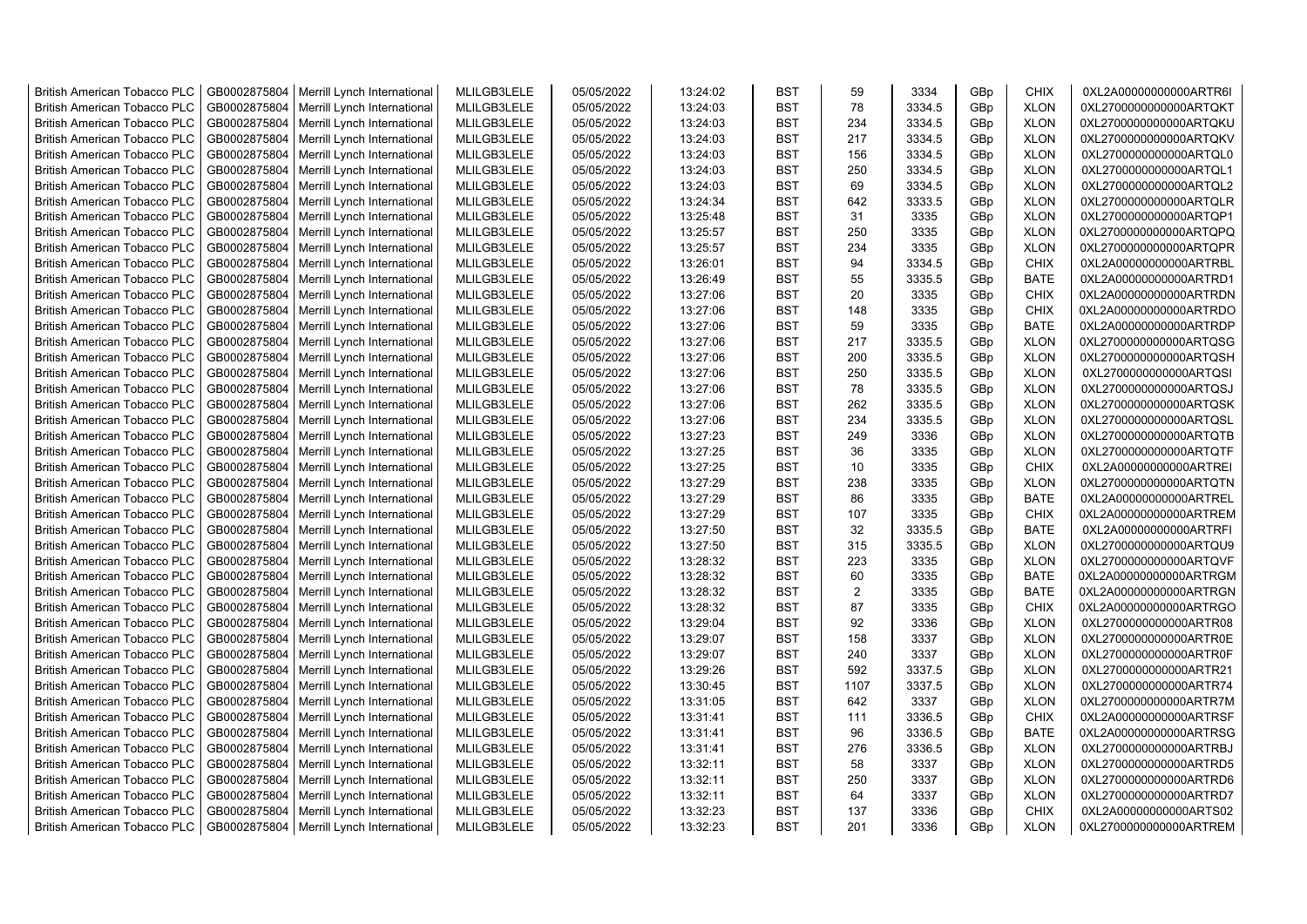| <b>British American Tobacco PLC</b> | GB0002875804 | Merrill Lynch International                                | MLILGB3LELE | 05/05/2022 | 13:24:02 | <b>BST</b> | 59   | 3334   | GBp             | <b>CHIX</b> | 0XL2A00000000000ARTR6I |
|-------------------------------------|--------------|------------------------------------------------------------|-------------|------------|----------|------------|------|--------|-----------------|-------------|------------------------|
| <b>British American Tobacco PLC</b> | GB0002875804 | Merrill Lynch International                                | MLILGB3LELE | 05/05/2022 | 13:24:03 | <b>BST</b> | 78   | 3334.5 | GBp             | <b>XLON</b> | 0XL2700000000000ARTQKT |
| <b>British American Tobacco PLC</b> | GB0002875804 | Merrill Lynch International                                | MLILGB3LELE | 05/05/2022 | 13:24:03 | <b>BST</b> | 234  | 3334.5 | GBp             | <b>XLON</b> | 0XL2700000000000ARTQKU |
| <b>British American Tobacco PLC</b> | GB0002875804 | Merrill Lynch International                                | MLILGB3LELE | 05/05/2022 | 13:24:03 | <b>BST</b> | 217  | 3334.5 | GBp             | <b>XLON</b> | 0XL2700000000000ARTQKV |
| <b>British American Tobacco PLC</b> | GB0002875804 | Merrill Lynch International                                | MLILGB3LELE | 05/05/2022 | 13:24:03 | <b>BST</b> | 156  | 3334.5 | GBp             | <b>XLON</b> | 0XL2700000000000ARTQL0 |
| <b>British American Tobacco PLC</b> | GB0002875804 | Merrill Lynch International                                | MLILGB3LELE | 05/05/2022 | 13:24:03 | <b>BST</b> | 250  | 3334.5 | GBp             | <b>XLON</b> | 0XL2700000000000ARTQL1 |
| <b>British American Tobacco PLC</b> | GB0002875804 | Merrill Lynch International                                | MLILGB3LELE | 05/05/2022 | 13:24:03 | <b>BST</b> | 69   | 3334.5 | GBp             | <b>XLON</b> | 0XL2700000000000ARTQL2 |
| <b>British American Tobacco PLC</b> | GB0002875804 | Merrill Lynch International                                | MLILGB3LELE | 05/05/2022 | 13:24:34 | <b>BST</b> | 642  | 3333.5 | GBp             | <b>XLON</b> | 0XL2700000000000ARTQLR |
| <b>British American Tobacco PLC</b> | GB0002875804 | Merrill Lynch International                                | MLILGB3LELE | 05/05/2022 | 13:25:48 | <b>BST</b> | 31   | 3335   | GBp             | <b>XLON</b> | 0XL2700000000000ARTQP1 |
| <b>British American Tobacco PLC</b> | GB0002875804 | Merrill Lynch International                                | MLILGB3LELE | 05/05/2022 | 13:25:57 | <b>BST</b> | 250  | 3335   | GBp             | <b>XLON</b> | 0XL2700000000000ARTQPQ |
| <b>British American Tobacco PLC</b> | GB0002875804 | Merrill Lynch International                                | MLILGB3LELE | 05/05/2022 | 13:25:57 | <b>BST</b> | 234  | 3335   | GBp             | <b>XLON</b> | 0XL2700000000000ARTQPR |
| <b>British American Tobacco PLC</b> | GB0002875804 | Merrill Lynch International                                | MLILGB3LELE | 05/05/2022 | 13:26:01 | <b>BST</b> | 94   | 3334.5 | GBp             | <b>CHIX</b> | 0XL2A00000000000ARTRBL |
| <b>British American Tobacco PLC</b> | GB0002875804 | Merrill Lynch International                                | MLILGB3LELE | 05/05/2022 | 13:26:49 | <b>BST</b> | 55   | 3335.5 | GB <sub>p</sub> | <b>BATE</b> | 0XL2A00000000000ARTRD1 |
| <b>British American Tobacco PLC</b> | GB0002875804 | Merrill Lynch International                                | MLILGB3LELE | 05/05/2022 | 13:27:06 | <b>BST</b> | 20   | 3335   | GB <sub>p</sub> | <b>CHIX</b> | 0XL2A00000000000ARTRDN |
| <b>British American Tobacco PLC</b> | GB0002875804 | Merrill Lynch International                                | MLILGB3LELE | 05/05/2022 | 13:27:06 | <b>BST</b> | 148  | 3335   | GB <sub>p</sub> | <b>CHIX</b> | 0XL2A00000000000ARTRDO |
| <b>British American Tobacco PLC</b> | GB0002875804 | Merrill Lynch International                                | MLILGB3LELE | 05/05/2022 | 13:27:06 | <b>BST</b> | 59   | 3335   | GBp             | <b>BATE</b> | 0XL2A00000000000ARTRDP |
| <b>British American Tobacco PLC</b> | GB0002875804 | Merrill Lynch International                                | MLILGB3LELE | 05/05/2022 | 13:27:06 | <b>BST</b> | 217  | 3335.5 | GBp             | <b>XLON</b> | 0XL2700000000000ARTQSG |
| <b>British American Tobacco PLC</b> | GB0002875804 | Merrill Lynch International                                | MLILGB3LELE | 05/05/2022 | 13:27:06 | <b>BST</b> | 200  | 3335.5 | GBp             | <b>XLON</b> | 0XL2700000000000ARTQSH |
| <b>British American Tobacco PLC</b> | GB0002875804 | Merrill Lynch International                                | MLILGB3LELE | 05/05/2022 | 13:27:06 | <b>BST</b> | 250  | 3335.5 | GBp             | <b>XLON</b> | 0XL2700000000000ARTQSI |
| <b>British American Tobacco PLC</b> | GB0002875804 | Merrill Lynch International                                | MLILGB3LELE | 05/05/2022 | 13:27:06 | <b>BST</b> | 78   | 3335.5 | GBp             | <b>XLON</b> | 0XL2700000000000ARTQSJ |
| <b>British American Tobacco PLC</b> | GB0002875804 | Merrill Lynch International                                | MLILGB3LELE | 05/05/2022 | 13:27:06 | <b>BST</b> | 262  | 3335.5 | GBp             | <b>XLON</b> | 0XL2700000000000ARTQSK |
| <b>British American Tobacco PLC</b> | GB0002875804 | Merrill Lynch International                                | MLILGB3LELE | 05/05/2022 | 13:27:06 | <b>BST</b> | 234  | 3335.5 | GBp             | <b>XLON</b> | 0XL2700000000000ARTQSL |
| <b>British American Tobacco PLC</b> | GB0002875804 | Merrill Lynch International                                | MLILGB3LELE | 05/05/2022 | 13:27:23 | <b>BST</b> | 249  | 3336   | GBp             | <b>XLON</b> | 0XL2700000000000ARTQTB |
| <b>British American Tobacco PLC</b> | GB0002875804 | Merrill Lynch International                                | MLILGB3LELE | 05/05/2022 | 13:27:25 | <b>BST</b> | 36   | 3335   | GBp             | <b>XLON</b> | 0XL2700000000000ARTQTF |
| <b>British American Tobacco PLC</b> | GB0002875804 | Merrill Lynch International                                | MLILGB3LELE | 05/05/2022 | 13:27:25 | <b>BST</b> | 10   | 3335   | GBp             | <b>CHIX</b> | 0XL2A00000000000ARTREI |
| <b>British American Tobacco PLC</b> | GB0002875804 | Merrill Lynch International                                | MLILGB3LELE | 05/05/2022 | 13:27:29 | <b>BST</b> | 238  | 3335   | GBp             | <b>XLON</b> | 0XL2700000000000ARTQTN |
| <b>British American Tobacco PLC</b> | GB0002875804 | Merrill Lynch International                                | MLILGB3LELE | 05/05/2022 | 13:27:29 | <b>BST</b> | 86   | 3335   | GBp             | <b>BATE</b> | 0XL2A00000000000ARTREL |
| <b>British American Tobacco PLC</b> | GB0002875804 |                                                            | MLILGB3LELE | 05/05/2022 | 13:27:29 | <b>BST</b> | 107  | 3335   | GBp             | <b>CHIX</b> | 0XL2A00000000000ARTREM |
| <b>British American Tobacco PLC</b> | GB0002875804 | Merrill Lynch International<br>Merrill Lynch International | MLILGB3LELE | 05/05/2022 |          | <b>BST</b> | 32   | 3335.5 |                 | <b>BATE</b> | 0XL2A00000000000ARTRFI |
|                                     |              |                                                            |             |            | 13:27:50 | <b>BST</b> | 315  |        | GBp             |             |                        |
| <b>British American Tobacco PLC</b> | GB0002875804 | Merrill Lynch International                                | MLILGB3LELE | 05/05/2022 | 13:27:50 |            | 223  | 3335.5 | GB <sub>p</sub> | <b>XLON</b> | 0XL2700000000000ARTQU9 |
| <b>British American Tobacco PLC</b> | GB0002875804 | Merrill Lynch International                                | MLILGB3LELE | 05/05/2022 | 13:28:32 | <b>BST</b> |      | 3335   | GB <sub>p</sub> | <b>XLON</b> | 0XL2700000000000ARTQVF |
| <b>British American Tobacco PLC</b> | GB0002875804 | Merrill Lynch International                                | MLILGB3LELE | 05/05/2022 | 13:28:32 | <b>BST</b> | 60   | 3335   | GBp             | <b>BATE</b> | 0XL2A00000000000ARTRGM |
| <b>British American Tobacco PLC</b> | GB0002875804 | Merrill Lynch International                                | MLILGB3LELE | 05/05/2022 | 13:28:32 | <b>BST</b> | 2    | 3335   | GBp             | <b>BATE</b> | 0XL2A00000000000ARTRGN |
| <b>British American Tobacco PLC</b> | GB0002875804 | Merrill Lynch International                                | MLILGB3LELE | 05/05/2022 | 13:28:32 | <b>BST</b> | 87   | 3335   | GBp             | <b>CHIX</b> | 0XL2A00000000000ARTRGO |
| <b>British American Tobacco PLC</b> | GB0002875804 | Merrill Lynch International                                | MLILGB3LELE | 05/05/2022 | 13:29:04 | <b>BST</b> | 92   | 3336   | GBp             | <b>XLON</b> | 0XL2700000000000ARTR08 |
| <b>British American Tobacco PLC</b> | GB0002875804 | Merrill Lynch International                                | MLILGB3LELE | 05/05/2022 | 13:29:07 | <b>BST</b> | 158  | 3337   | GBp             | <b>XLON</b> | 0XL2700000000000ARTR0E |
| <b>British American Tobacco PLC</b> | GB0002875804 | Merrill Lynch International                                | MLILGB3LELE | 05/05/2022 | 13:29:07 | <b>BST</b> | 240  | 3337   | GBp             | <b>XLON</b> | 0XL2700000000000ARTR0F |
| <b>British American Tobacco PLC</b> | GB0002875804 | Merrill Lynch International                                | MLILGB3LELE | 05/05/2022 | 13:29:26 | <b>BST</b> | 592  | 3337.5 | GBp             | <b>XLON</b> | 0XL2700000000000ARTR21 |
| <b>British American Tobacco PLC</b> | GB0002875804 | Merrill Lynch International                                | MLILGB3LELE | 05/05/2022 | 13:30:45 | <b>BST</b> | 1107 | 3337.5 | GBp             | <b>XLON</b> | 0XL2700000000000ARTR74 |
| <b>British American Tobacco PLC</b> | GB0002875804 | Merrill Lynch International                                | MLILGB3LELE | 05/05/2022 | 13:31:05 | <b>BST</b> | 642  | 3337   | GBp             | <b>XLON</b> | 0XL2700000000000ARTR7M |
| <b>British American Tobacco PLC</b> | GB0002875804 | Merrill Lynch International                                | MLILGB3LELE | 05/05/2022 | 13:31:41 | <b>BST</b> | 111  | 3336.5 | GBp             | <b>CHIX</b> | 0XL2A00000000000ARTRSF |
| <b>British American Tobacco PLC</b> | GB0002875804 | Merrill Lynch International                                | MLILGB3LELE | 05/05/2022 | 13:31:41 | <b>BST</b> | 96   | 3336.5 | GBp             | <b>BATE</b> | 0XL2A00000000000ARTRSG |
| <b>British American Tobacco PLC</b> | GB0002875804 | Merrill Lynch International                                | MLILGB3LELE | 05/05/2022 | 13:31:41 | <b>BST</b> | 276  | 3336.5 | GBp             | <b>XLON</b> | 0XL2700000000000ARTRBJ |
| <b>British American Tobacco PLC</b> | GB0002875804 | Merrill Lynch International                                | MLILGB3LELE | 05/05/2022 | 13:32:11 | <b>BST</b> | 58   | 3337   | GBp             | <b>XLON</b> | 0XL2700000000000ARTRD5 |
| <b>British American Tobacco PLC</b> | GB0002875804 | Merrill Lynch International                                | MLILGB3LELE | 05/05/2022 | 13:32:11 | <b>BST</b> | 250  | 3337   | GBp             | <b>XLON</b> | 0XL2700000000000ARTRD6 |
| <b>British American Tobacco PLC</b> | GB0002875804 | Merrill Lynch International                                | MLILGB3LELE | 05/05/2022 | 13:32:11 | <b>BST</b> | 64   | 3337   | GBp             | <b>XLON</b> | 0XL2700000000000ARTRD7 |
| <b>British American Tobacco PLC</b> | GB0002875804 | Merrill Lynch International                                | MLILGB3LELE | 05/05/2022 | 13:32:23 | <b>BST</b> | 137  | 3336   | GB <sub>p</sub> | <b>CHIX</b> | 0XL2A00000000000ARTS02 |
| <b>British American Tobacco PLC</b> |              | GB0002875804   Merrill Lynch International                 | MLILGB3LELE | 05/05/2022 | 13:32:23 | <b>BST</b> | 201  | 3336   | GBp             | <b>XLON</b> | 0XL2700000000000ARTREM |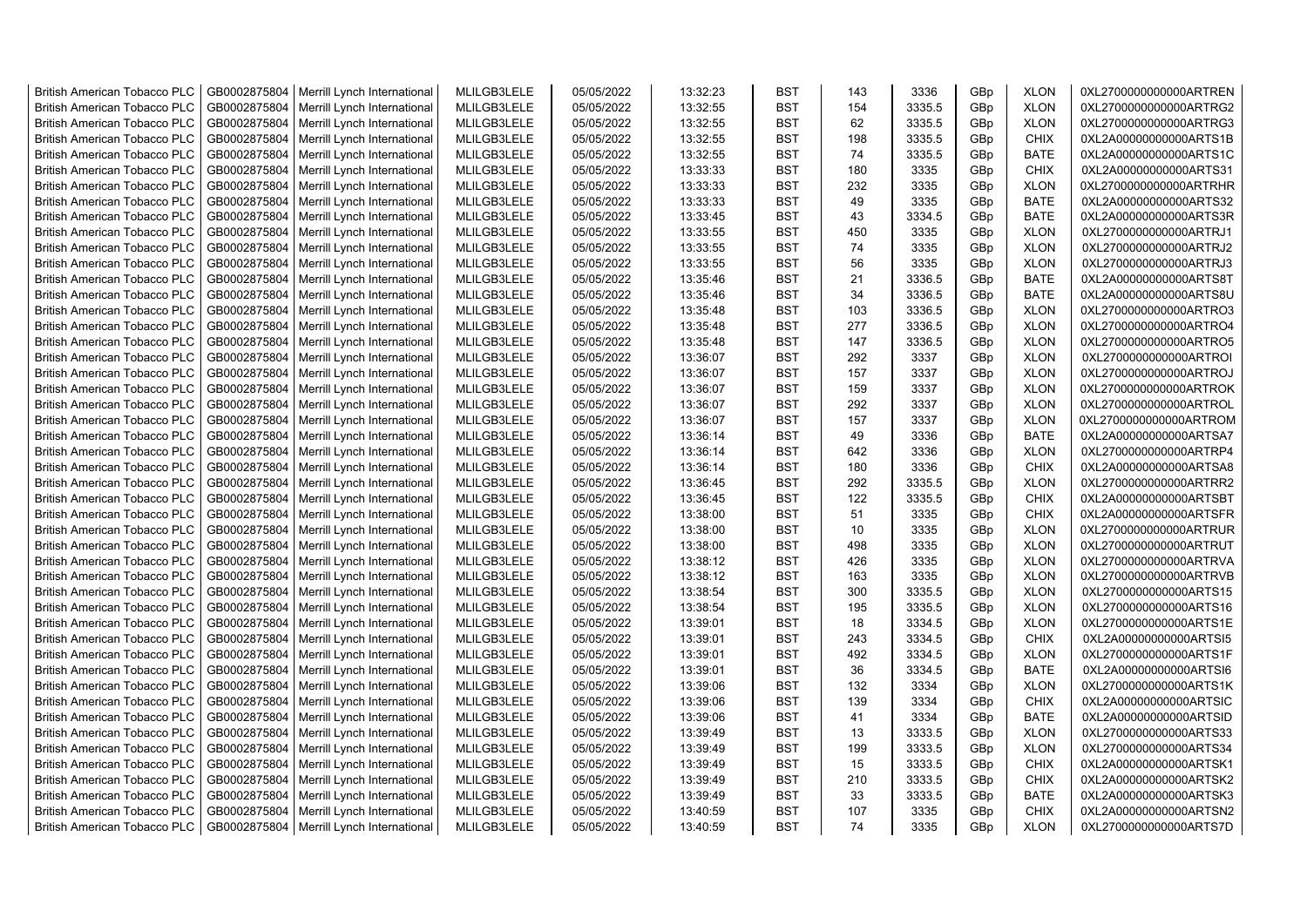| <b>British American Tobacco PLC</b> | GB0002875804 | Merrill Lynch International | MLILGB3LELE | 05/05/2022 | 13:32:23 | <b>BST</b> | 143 | 3336   | GBp             | <b>XLON</b> | 0XL2700000000000ARTREN |
|-------------------------------------|--------------|-----------------------------|-------------|------------|----------|------------|-----|--------|-----------------|-------------|------------------------|
| <b>British American Tobacco PLC</b> | GB0002875804 | Merrill Lynch International | MLILGB3LELE | 05/05/2022 | 13:32:55 | <b>BST</b> | 154 | 3335.5 | GBp             | <b>XLON</b> | 0XL2700000000000ARTRG2 |
| <b>British American Tobacco PLC</b> | GB0002875804 | Merrill Lynch International | MLILGB3LELE | 05/05/2022 | 13:32:55 | <b>BST</b> | 62  | 3335.5 | GBp             | <b>XLON</b> | 0XL2700000000000ARTRG3 |
| <b>British American Tobacco PLC</b> | GB0002875804 | Merrill Lynch International | MLILGB3LELE | 05/05/2022 | 13:32:55 | <b>BST</b> | 198 | 3335.5 | GBp             | <b>CHIX</b> | 0XL2A00000000000ARTS1B |
| <b>British American Tobacco PLC</b> | GB0002875804 | Merrill Lynch International | MLILGB3LELE | 05/05/2022 | 13:32:55 | <b>BST</b> | 74  | 3335.5 | GBp             | <b>BATE</b> | 0XL2A00000000000ARTS1C |
| <b>British American Tobacco PLC</b> | GB0002875804 | Merrill Lynch International | MLILGB3LELE | 05/05/2022 | 13:33:33 | <b>BST</b> | 180 | 3335   | GBp             | <b>CHIX</b> | 0XL2A00000000000ARTS31 |
| <b>British American Tobacco PLC</b> | GB0002875804 | Merrill Lynch International | MLILGB3LELE | 05/05/2022 | 13:33:33 | <b>BST</b> | 232 | 3335   | GBp             | <b>XLON</b> | 0XL2700000000000ARTRHR |
| <b>British American Tobacco PLC</b> | GB0002875804 | Merrill Lynch International | MLILGB3LELE | 05/05/2022 | 13:33:33 | <b>BST</b> | 49  | 3335   | GBp             | <b>BATE</b> | 0XL2A00000000000ARTS32 |
| <b>British American Tobacco PLC</b> | GB0002875804 | Merrill Lynch International | MLILGB3LELE | 05/05/2022 | 13:33:45 | <b>BST</b> | 43  | 3334.5 | GBp             | <b>BATE</b> | 0XL2A00000000000ARTS3R |
| <b>British American Tobacco PLC</b> | GB0002875804 | Merrill Lynch International | MLILGB3LELE | 05/05/2022 | 13:33:55 | <b>BST</b> | 450 | 3335   | GBp             | <b>XLON</b> | 0XL2700000000000ARTRJ1 |
| British American Tobacco PLC        | GB0002875804 | Merrill Lynch International | MLILGB3LELE | 05/05/2022 | 13:33:55 | <b>BST</b> | 74  | 3335   | GBp             | <b>XLON</b> | 0XL2700000000000ARTRJ2 |
| <b>British American Tobacco PLC</b> | GB0002875804 | Merrill Lynch International | MLILGB3LELE | 05/05/2022 | 13:33:55 | <b>BST</b> | 56  | 3335   | GBp             | <b>XLON</b> | 0XL2700000000000ARTRJ3 |
| <b>British American Tobacco PLC</b> | GB0002875804 | Merrill Lynch International | MLILGB3LELE | 05/05/2022 | 13:35:46 | <b>BST</b> | 21  | 3336.5 | GBp             | <b>BATE</b> | 0XL2A00000000000ARTS8T |
| <b>British American Tobacco PLC</b> | GB0002875804 | Merrill Lynch International | MLILGB3LELE | 05/05/2022 | 13:35:46 | <b>BST</b> | 34  | 3336.5 | GBp             | <b>BATE</b> | 0XL2A00000000000ARTS8U |
| <b>British American Tobacco PLC</b> | GB0002875804 | Merrill Lynch International | MLILGB3LELE | 05/05/2022 | 13:35:48 | <b>BST</b> | 103 | 3336.5 | GBp             | <b>XLON</b> | 0XL2700000000000ARTRO3 |
| <b>British American Tobacco PLC</b> | GB0002875804 | Merrill Lynch International | MLILGB3LELE | 05/05/2022 | 13:35:48 | <b>BST</b> | 277 | 3336.5 | GBp             | <b>XLON</b> | 0XL2700000000000ARTRO4 |
| <b>British American Tobacco PLC</b> | GB0002875804 | Merrill Lynch International | MLILGB3LELE | 05/05/2022 | 13:35:48 | <b>BST</b> | 147 | 3336.5 | GBp             | <b>XLON</b> | 0XL2700000000000ARTRO5 |
| <b>British American Tobacco PLC</b> | GB0002875804 | Merrill Lynch International | MLILGB3LELE | 05/05/2022 | 13:36:07 | <b>BST</b> | 292 | 3337   | GBp             | <b>XLON</b> | 0XL2700000000000ARTROI |
| <b>British American Tobacco PLC</b> | GB0002875804 | Merrill Lynch International | MLILGB3LELE | 05/05/2022 | 13:36:07 | <b>BST</b> | 157 | 3337   | GBp             | <b>XLON</b> | 0XL2700000000000ARTROJ |
| <b>British American Tobacco PLC</b> | GB0002875804 | Merrill Lynch International | MLILGB3LELE | 05/05/2022 | 13:36:07 | <b>BST</b> | 159 | 3337   | GBp             | <b>XLON</b> | 0XL2700000000000ARTROK |
| <b>British American Tobacco PLC</b> | GB0002875804 | Merrill Lynch International | MLILGB3LELE | 05/05/2022 | 13:36:07 | <b>BST</b> | 292 | 3337   | GBp             | <b>XLON</b> | 0XL2700000000000ARTROL |
| <b>British American Tobacco PLC</b> | GB0002875804 | Merrill Lynch International | MLILGB3LELE | 05/05/2022 | 13:36:07 | <b>BST</b> | 157 | 3337   | GBp             | <b>XLON</b> | 0XL2700000000000ARTROM |
| <b>British American Tobacco PLC</b> | GB0002875804 | Merrill Lynch International | MLILGB3LELE | 05/05/2022 | 13:36:14 | <b>BST</b> | 49  | 3336   | GBp             | <b>BATE</b> | 0XL2A00000000000ARTSA7 |
| <b>British American Tobacco PLC</b> | GB0002875804 | Merrill Lynch International | MLILGB3LELE | 05/05/2022 | 13:36:14 | <b>BST</b> | 642 | 3336   | GBp             | <b>XLON</b> | 0XL2700000000000ARTRP4 |
| <b>British American Tobacco PLC</b> | GB0002875804 | Merrill Lynch International | MLILGB3LELE | 05/05/2022 | 13:36:14 | <b>BST</b> | 180 | 3336   | GBp             | <b>CHIX</b> | 0XL2A00000000000ARTSA8 |
| British American Tobacco PLC        | GB0002875804 | Merrill Lynch International | MLILGB3LELE | 05/05/2022 | 13:36:45 | <b>BST</b> | 292 | 3335.5 | GBp             | <b>XLON</b> | 0XL2700000000000ARTRR2 |
| <b>British American Tobacco PLC</b> | GB0002875804 | Merrill Lynch International | MLILGB3LELE | 05/05/2022 | 13:36:45 | <b>BST</b> | 122 | 3335.5 | GBp             | <b>CHIX</b> | 0XL2A00000000000ARTSBT |
| British American Tobacco PLC        | GB0002875804 | Merrill Lynch International | MLILGB3LELE | 05/05/2022 | 13:38:00 | <b>BST</b> | 51  | 3335   | GBp             | <b>CHIX</b> | 0XL2A00000000000ARTSFR |
| <b>British American Tobacco PLC</b> | GB0002875804 | Merrill Lynch International | MLILGB3LELE | 05/05/2022 | 13:38:00 | <b>BST</b> | 10  | 3335   | GBp             | <b>XLON</b> | 0XL2700000000000ARTRUR |
| <b>British American Tobacco PLC</b> | GB0002875804 | Merrill Lynch International | MLILGB3LELE | 05/05/2022 | 13:38:00 | <b>BST</b> | 498 | 3335   | GBp             | <b>XLON</b> | 0XL2700000000000ARTRUT |
| <b>British American Tobacco PLC</b> | GB0002875804 | Merrill Lynch International | MLILGB3LELE | 05/05/2022 | 13:38:12 | <b>BST</b> | 426 | 3335   | GBp             | <b>XLON</b> | 0XL2700000000000ARTRVA |
| <b>British American Tobacco PLC</b> | GB0002875804 | Merrill Lynch International | MLILGB3LELE | 05/05/2022 | 13:38:12 | <b>BST</b> | 163 | 3335   | GBp             | <b>XLON</b> | 0XL2700000000000ARTRVB |
| <b>British American Tobacco PLC</b> | GB0002875804 | Merrill Lynch International | MLILGB3LELE | 05/05/2022 | 13:38:54 | <b>BST</b> | 300 | 3335.5 | GBp             | <b>XLON</b> | 0XL2700000000000ARTS15 |
| <b>British American Tobacco PLC</b> | GB0002875804 | Merrill Lynch International | MLILGB3LELE | 05/05/2022 | 13:38:54 | <b>BST</b> | 195 | 3335.5 | GBp             | <b>XLON</b> | 0XL2700000000000ARTS16 |
| <b>British American Tobacco PLC</b> | GB0002875804 | Merrill Lynch International | MLILGB3LELE | 05/05/2022 | 13:39:01 | <b>BST</b> | 18  | 3334.5 | GBp             | <b>XLON</b> | 0XL2700000000000ARTS1E |
| <b>British American Tobacco PLC</b> | GB0002875804 | Merrill Lynch International | MLILGB3LELE | 05/05/2022 | 13:39:01 | <b>BST</b> | 243 | 3334.5 | GBp             | <b>CHIX</b> | 0XL2A00000000000ARTSI5 |
| <b>British American Tobacco PLC</b> | GB0002875804 | Merrill Lynch International | MLILGB3LELE | 05/05/2022 | 13:39:01 | <b>BST</b> | 492 | 3334.5 | GBp             | <b>XLON</b> | 0XL2700000000000ARTS1F |
| <b>British American Tobacco PLC</b> | GB0002875804 | Merrill Lynch International | MLILGB3LELE | 05/05/2022 | 13:39:01 | <b>BST</b> | 36  | 3334.5 | GBp             | <b>BATE</b> | 0XL2A00000000000ARTSI6 |
| <b>British American Tobacco PLC</b> | GB0002875804 | Merrill Lynch International | MLILGB3LELE | 05/05/2022 | 13:39:06 | <b>BST</b> | 132 | 3334   | GBp             | <b>XLON</b> | 0XL2700000000000ARTS1K |
| <b>British American Tobacco PLC</b> | GB0002875804 | Merrill Lynch International | MLILGB3LELE | 05/05/2022 | 13:39:06 | <b>BST</b> | 139 | 3334   | GBp             | <b>CHIX</b> | 0XL2A00000000000ARTSIC |
| British American Tobacco PLC        | GB0002875804 | Merrill Lynch International | MLILGB3LELE | 05/05/2022 | 13:39:06 | <b>BST</b> | 41  | 3334   | GBp             | <b>BATE</b> | 0XL2A00000000000ARTSID |
| <b>British American Tobacco PLC</b> | GB0002875804 | Merrill Lynch International | MLILGB3LELE | 05/05/2022 | 13:39:49 | <b>BST</b> | 13  | 3333.5 | GBp             | <b>XLON</b> | 0XL2700000000000ARTS33 |
| British American Tobacco PLC        | GB0002875804 | Merrill Lynch International | MLILGB3LELE | 05/05/2022 | 13:39:49 | <b>BST</b> | 199 | 3333.5 | GBp             | <b>XLON</b> | 0XL2700000000000ARTS34 |
| British American Tobacco PLC        | GB0002875804 | Merrill Lynch International | MLILGB3LELE | 05/05/2022 | 13:39:49 | <b>BST</b> | 15  | 3333.5 | GBp             | <b>CHIX</b> | 0XL2A00000000000ARTSK1 |
| <b>British American Tobacco PLC</b> | GB0002875804 | Merrill Lynch International | MLILGB3LELE | 05/05/2022 | 13:39:49 | <b>BST</b> | 210 | 3333.5 | GBp             | <b>CHIX</b> | 0XL2A00000000000ARTSK2 |
| <b>British American Tobacco PLC</b> | GB0002875804 | Merrill Lynch International | MLILGB3LELE | 05/05/2022 | 13:39:49 | <b>BST</b> | 33  | 3333.5 | GBp             | <b>BATE</b> | 0XL2A00000000000ARTSK3 |
| <b>British American Tobacco PLC</b> | GB0002875804 | Merrill Lynch International | MLILGB3LELE | 05/05/2022 | 13:40:59 | <b>BST</b> | 107 | 3335   | GBp             | <b>CHIX</b> | 0XL2A00000000000ARTSN2 |
| <b>British American Tobacco PLC</b> | GB0002875804 | Merrill Lynch International | MLILGB3LELE | 05/05/2022 | 13:40:59 | <b>BST</b> | 74  | 3335   | GB <sub>p</sub> | <b>XLON</b> | 0XL2700000000000ARTS7D |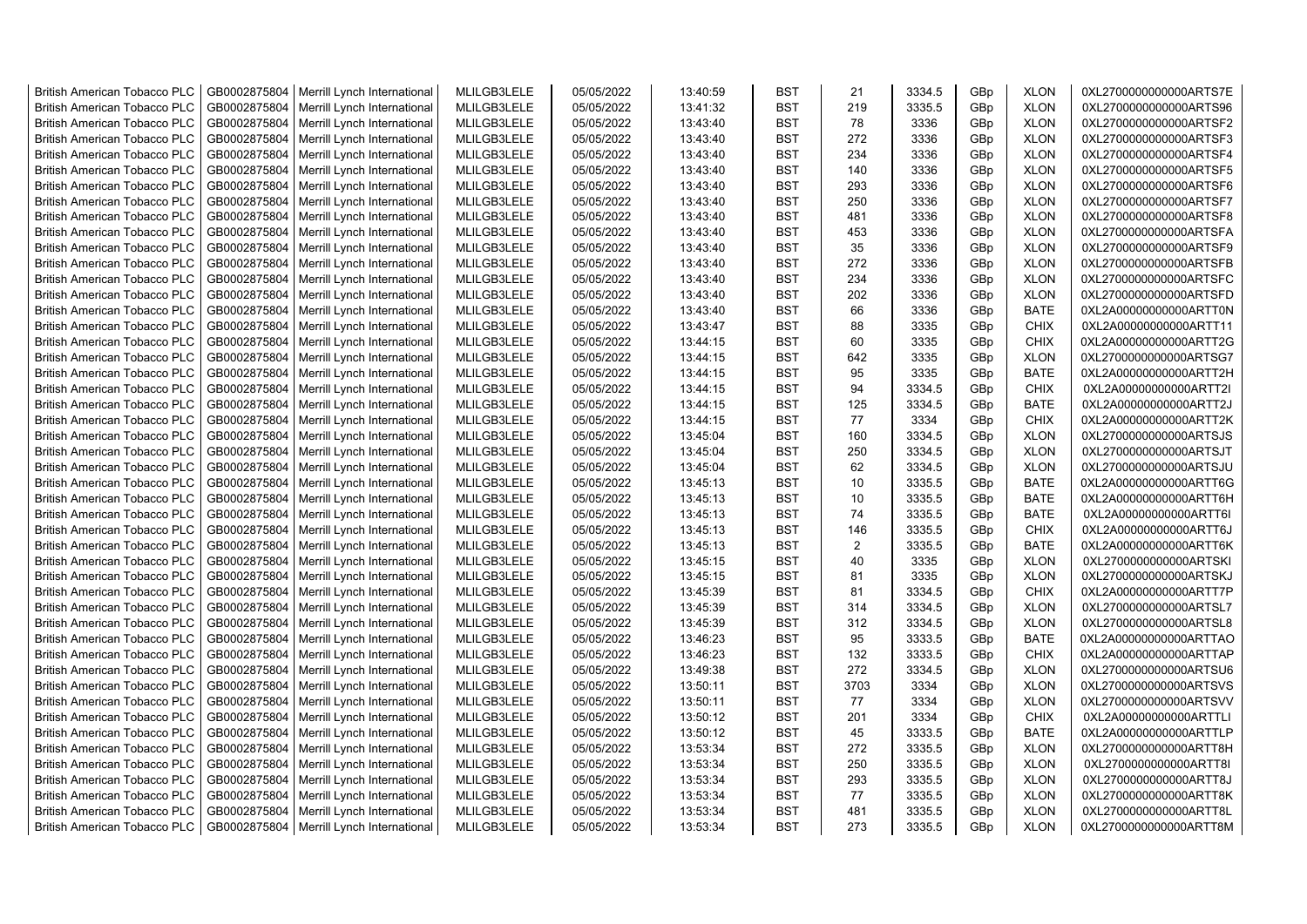| <b>British American Tobacco PLC</b> | GB0002875804 | Merrill Lynch International                | MLILGB3LELE | 05/05/2022 | 13:40:59 | <b>BST</b> | 21             | 3334.5 | GBp             | <b>XLON</b> | 0XL2700000000000ARTS7E |
|-------------------------------------|--------------|--------------------------------------------|-------------|------------|----------|------------|----------------|--------|-----------------|-------------|------------------------|
| <b>British American Tobacco PLC</b> | GB0002875804 | Merrill Lynch International                | MLILGB3LELE | 05/05/2022 | 13:41:32 | <b>BST</b> | 219            | 3335.5 | GBp             | <b>XLON</b> | 0XL2700000000000ARTS96 |
| <b>British American Tobacco PLC</b> | GB0002875804 | Merrill Lynch International                | MLILGB3LELE | 05/05/2022 | 13:43:40 | <b>BST</b> | 78             | 3336   | GBp             | <b>XLON</b> | 0XL2700000000000ARTSF2 |
| <b>British American Tobacco PLC</b> | GB0002875804 | Merrill Lynch International                | MLILGB3LELE | 05/05/2022 | 13:43:40 | <b>BST</b> | 272            | 3336   | GBp             | <b>XLON</b> | 0XL2700000000000ARTSF3 |
| <b>British American Tobacco PLC</b> | GB0002875804 | Merrill Lynch International                | MLILGB3LELE | 05/05/2022 | 13:43:40 | <b>BST</b> | 234            | 3336   | GBp             | <b>XLON</b> | 0XL2700000000000ARTSF4 |
| <b>British American Tobacco PLC</b> | GB0002875804 | Merrill Lynch International                | MLILGB3LELE | 05/05/2022 | 13:43:40 | <b>BST</b> | 140            | 3336   | GBp             | <b>XLON</b> | 0XL2700000000000ARTSF5 |
| British American Tobacco PLC        | GB0002875804 | Merrill Lynch International                | MLILGB3LELE | 05/05/2022 | 13:43:40 | <b>BST</b> | 293            | 3336   | GBp             | <b>XLON</b> | 0XL2700000000000ARTSF6 |
| <b>British American Tobacco PLC</b> | GB0002875804 | Merrill Lynch International                | MLILGB3LELE | 05/05/2022 | 13:43:40 | <b>BST</b> | 250            | 3336   | GBp             | <b>XLON</b> | 0XL2700000000000ARTSF7 |
| <b>British American Tobacco PLC</b> | GB0002875804 | Merrill Lynch International                | MLILGB3LELE | 05/05/2022 | 13:43:40 | <b>BST</b> | 481            | 3336   | GBp             | <b>XLON</b> | 0XL2700000000000ARTSF8 |
| <b>British American Tobacco PLC</b> | GB0002875804 | Merrill Lynch International                | MLILGB3LELE | 05/05/2022 | 13:43:40 | <b>BST</b> | 453            | 3336   | GBp             | <b>XLON</b> | 0XL2700000000000ARTSFA |
| <b>British American Tobacco PLC</b> | GB0002875804 | Merrill Lynch International                | MLILGB3LELE | 05/05/2022 | 13:43:40 | <b>BST</b> | 35             | 3336   | GBp             | <b>XLON</b> | 0XL2700000000000ARTSF9 |
| <b>British American Tobacco PLC</b> | GB0002875804 | Merrill Lynch International                | MLILGB3LELE | 05/05/2022 | 13:43:40 | <b>BST</b> | 272            | 3336   | GBp             | <b>XLON</b> | 0XL2700000000000ARTSFB |
| <b>British American Tobacco PLC</b> | GB0002875804 | Merrill Lynch International                | MLILGB3LELE | 05/05/2022 | 13:43:40 | <b>BST</b> | 234            | 3336   | GBp             | <b>XLON</b> | 0XL2700000000000ARTSFC |
| <b>British American Tobacco PLC</b> | GB0002875804 | Merrill Lynch International                | MLILGB3LELE | 05/05/2022 | 13:43:40 | <b>BST</b> | 202            | 3336   | GBp             | <b>XLON</b> | 0XL2700000000000ARTSFD |
| <b>British American Tobacco PLC</b> | GB0002875804 | Merrill Lynch International                | MLILGB3LELE | 05/05/2022 | 13:43:40 | <b>BST</b> | 66             | 3336   | GBp             | <b>BATE</b> | 0XL2A00000000000ARTT0N |
| <b>British American Tobacco PLC</b> | GB0002875804 | Merrill Lynch International                | MLILGB3LELE | 05/05/2022 | 13:43:47 | <b>BST</b> | 88             | 3335   | GBp             | <b>CHIX</b> | 0XL2A00000000000ARTT11 |
| <b>British American Tobacco PLC</b> | GB0002875804 | Merrill Lynch International                | MLILGB3LELE | 05/05/2022 | 13:44:15 | <b>BST</b> | 60             | 3335   | GBp             | <b>CHIX</b> | 0XL2A00000000000ARTT2G |
| <b>British American Tobacco PLC</b> | GB0002875804 | Merrill Lynch International                | MLILGB3LELE | 05/05/2022 | 13:44:15 | <b>BST</b> | 642            | 3335   | GBp             | <b>XLON</b> | 0XL2700000000000ARTSG7 |
| <b>British American Tobacco PLC</b> | GB0002875804 | Merrill Lynch International                | MLILGB3LELE | 05/05/2022 | 13:44:15 | <b>BST</b> | 95             | 3335   | GBp             | <b>BATE</b> | 0XL2A00000000000ARTT2H |
| <b>British American Tobacco PLC</b> | GB0002875804 | Merrill Lynch International                | MLILGB3LELE | 05/05/2022 | 13:44:15 | <b>BST</b> | 94             | 3334.5 | GBp             | <b>CHIX</b> | 0XL2A00000000000ARTT2I |
| <b>British American Tobacco PLC</b> | GB0002875804 | Merrill Lynch International                | MLILGB3LELE | 05/05/2022 | 13:44:15 | <b>BST</b> | 125            | 3334.5 | GBp             | <b>BATE</b> | 0XL2A00000000000ARTT2J |
| <b>British American Tobacco PLC</b> | GB0002875804 | Merrill Lynch International                | MLILGB3LELE | 05/05/2022 | 13:44:15 | <b>BST</b> | 77             | 3334   | GBp             | <b>CHIX</b> | 0XL2A00000000000ARTT2K |
| <b>British American Tobacco PLC</b> | GB0002875804 | Merrill Lynch International                | MLILGB3LELE | 05/05/2022 | 13:45:04 | <b>BST</b> | 160            | 3334.5 | GBp             | <b>XLON</b> | 0XL2700000000000ARTSJS |
| <b>British American Tobacco PLC</b> | GB0002875804 | Merrill Lynch International                | MLILGB3LELE | 05/05/2022 | 13:45:04 | <b>BST</b> | 250            | 3334.5 | GBp             | <b>XLON</b> | 0XL2700000000000ARTSJT |
|                                     |              |                                            |             |            |          |            |                |        |                 |             |                        |
| <b>British American Tobacco PLC</b> | GB0002875804 | Merrill Lynch International                | MLILGB3LELE | 05/05/2022 | 13:45:04 | <b>BST</b> | 62             | 3334.5 | GBp             | <b>XLON</b> | 0XL2700000000000ARTSJU |
| <b>British American Tobacco PLC</b> | GB0002875804 | Merrill Lynch International                | MLILGB3LELE | 05/05/2022 | 13:45:13 | <b>BST</b> | 10             | 3335.5 | GBp             | <b>BATE</b> | 0XL2A00000000000ARTT6G |
| <b>British American Tobacco PLC</b> | GB0002875804 | Merrill Lynch International                | MLILGB3LELE | 05/05/2022 | 13:45:13 | <b>BST</b> | 10<br>74       | 3335.5 | GBp             | <b>BATE</b> | 0XL2A00000000000ARTT6H |
| <b>British American Tobacco PLC</b> | GB0002875804 | Merrill Lynch International                | MLILGB3LELE | 05/05/2022 | 13:45:13 | <b>BST</b> |                | 3335.5 | GBp             | <b>BATE</b> | 0XL2A00000000000ARTT6I |
| <b>British American Tobacco PLC</b> | GB0002875804 | Merrill Lynch International                | MLILGB3LELE | 05/05/2022 | 13:45:13 | <b>BST</b> | 146            | 3335.5 | GBp             | <b>CHIX</b> | 0XL2A00000000000ARTT6J |
| <b>British American Tobacco PLC</b> | GB0002875804 | Merrill Lynch International                | MLILGB3LELE | 05/05/2022 | 13:45:13 | <b>BST</b> | $\overline{2}$ | 3335.5 | GBp             | <b>BATE</b> | 0XL2A00000000000ARTT6K |
| <b>British American Tobacco PLC</b> | GB0002875804 | Merrill Lynch International                | MLILGB3LELE | 05/05/2022 | 13:45:15 | <b>BST</b> | 40             | 3335   | GBp             | <b>XLON</b> | 0XL2700000000000ARTSKI |
| <b>British American Tobacco PLC</b> | GB0002875804 | Merrill Lynch International                | MLILGB3LELE | 05/05/2022 | 13:45:15 | <b>BST</b> | 81             | 3335   | GBp             | <b>XLON</b> | 0XL2700000000000ARTSKJ |
| <b>British American Tobacco PLC</b> | GB0002875804 | Merrill Lynch International                | MLILGB3LELE | 05/05/2022 | 13:45:39 | <b>BST</b> | 81             | 3334.5 | GBp             | <b>CHIX</b> | 0XL2A00000000000ARTT7P |
| <b>British American Tobacco PLC</b> | GB0002875804 | Merrill Lynch International                | MLILGB3LELE | 05/05/2022 | 13:45:39 | <b>BST</b> | 314            | 3334.5 | GBp             | <b>XLON</b> | 0XL2700000000000ARTSL7 |
| <b>British American Tobacco PLC</b> | GB0002875804 | Merrill Lynch International                | MLILGB3LELE | 05/05/2022 | 13:45:39 | <b>BST</b> | 312            | 3334.5 | GBp             | <b>XLON</b> | 0XL2700000000000ARTSL8 |
| British American Tobacco PLC        | GB0002875804 | Merrill Lynch International                | MLILGB3LELE | 05/05/2022 | 13:46:23 | <b>BST</b> | 95             | 3333.5 | GBp             | <b>BATE</b> | 0XL2A00000000000ARTTAO |
| <b>British American Tobacco PLC</b> | GB0002875804 | Merrill Lynch International                | MLILGB3LELE | 05/05/2022 | 13:46:23 | <b>BST</b> | 132            | 3333.5 | GBp             | <b>CHIX</b> | 0XL2A00000000000ARTTAP |
| <b>British American Tobacco PLC</b> | GB0002875804 | Merrill Lynch International                | MLILGB3LELE | 05/05/2022 | 13:49:38 | <b>BST</b> | 272            | 3334.5 | GBp             | <b>XLON</b> | 0XL2700000000000ARTSU6 |
| <b>British American Tobacco PLC</b> | GB0002875804 | Merrill Lynch International                | MLILGB3LELE | 05/05/2022 | 13:50:11 | <b>BST</b> | 3703           | 3334   | GBp             | <b>XLON</b> | 0XL2700000000000ARTSVS |
| <b>British American Tobacco PLC</b> | GB0002875804 | Merrill Lynch International                | MLILGB3LELE | 05/05/2022 | 13:50:11 | <b>BST</b> | 77             | 3334   | GBp             | <b>XLON</b> | 0XL2700000000000ARTSVV |
| <b>British American Tobacco PLC</b> | GB0002875804 | Merrill Lynch International                | MLILGB3LELE | 05/05/2022 | 13:50:12 | <b>BST</b> | 201            | 3334   | GBp             | <b>CHIX</b> | 0XL2A00000000000ARTTLI |
| <b>British American Tobacco PLC</b> | GB0002875804 | Merrill Lynch International                | MLILGB3LELE | 05/05/2022 | 13:50:12 | <b>BST</b> | 45             | 3333.5 | GBp             | <b>BATE</b> | 0XL2A00000000000ARTTLP |
| <b>British American Tobacco PLC</b> | GB0002875804 | Merrill Lynch International                | MLILGB3LELE | 05/05/2022 | 13:53:34 | <b>BST</b> | 272            | 3335.5 | GBp             | <b>XLON</b> | 0XL2700000000000ARTT8H |
| <b>British American Tobacco PLC</b> | GB0002875804 | Merrill Lynch International                | MLILGB3LELE | 05/05/2022 | 13:53:34 | <b>BST</b> | 250            | 3335.5 | GBp             | <b>XLON</b> | 0XL2700000000000ARTT8I |
| <b>British American Tobacco PLC</b> | GB0002875804 | Merrill Lynch International                | MLILGB3LELE | 05/05/2022 | 13:53:34 | <b>BST</b> | 293            | 3335.5 | GBp             | <b>XLON</b> | 0XL2700000000000ARTT8J |
| <b>British American Tobacco PLC</b> | GB0002875804 | Merrill Lynch International                | MLILGB3LELE | 05/05/2022 | 13:53:34 | <b>BST</b> | 77             | 3335.5 | GBp             | <b>XLON</b> | 0XL2700000000000ARTT8K |
| <b>British American Tobacco PLC</b> | GB0002875804 | Merrill Lynch International                | MLILGB3LELE | 05/05/2022 | 13:53:34 | <b>BST</b> | 481            | 3335.5 | GBp             | <b>XLON</b> | 0XL2700000000000ARTT8L |
| <b>British American Tobacco PLC</b> |              | GB0002875804   Merrill Lynch International | MLILGB3LELE | 05/05/2022 | 13:53:34 | <b>BST</b> | 273            | 3335.5 | GB <sub>p</sub> | <b>XLON</b> | 0XL2700000000000ARTT8M |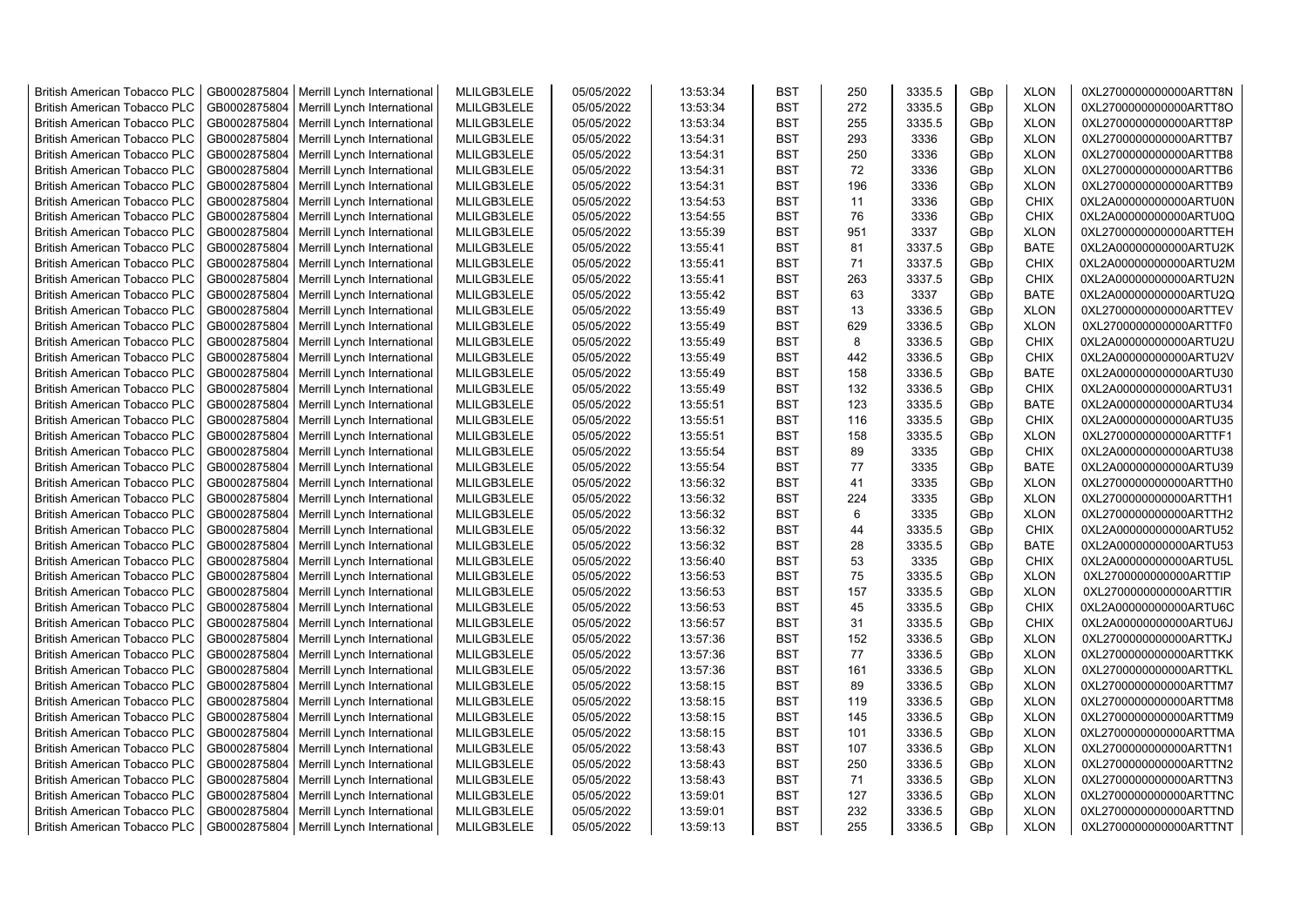| <b>British American Tobacco PLC</b> | GB0002875804 | Merrill Lynch International                | MLILGB3LELE | 05/05/2022 | 13:53:34 | <b>BST</b> | 250      | 3335.5 | GBp             | <b>XLON</b> | 0XL2700000000000ARTT8N |
|-------------------------------------|--------------|--------------------------------------------|-------------|------------|----------|------------|----------|--------|-----------------|-------------|------------------------|
| <b>British American Tobacco PLC</b> | GB0002875804 | Merrill Lynch International                | MLILGB3LELE | 05/05/2022 | 13:53:34 | <b>BST</b> | 272      | 3335.5 | GBp             | <b>XLON</b> | 0XL2700000000000ARTT8O |
| <b>British American Tobacco PLC</b> | GB0002875804 | Merrill Lynch International                | MLILGB3LELE | 05/05/2022 | 13:53:34 | <b>BST</b> | 255      | 3335.5 | GBp             | <b>XLON</b> | 0XL2700000000000ARTT8P |
| <b>British American Tobacco PLC</b> | GB0002875804 | Merrill Lynch International                | MLILGB3LELE | 05/05/2022 | 13:54:31 | <b>BST</b> | 293      | 3336   | GBp             | <b>XLON</b> | 0XL2700000000000ARTTB7 |
| <b>British American Tobacco PLC</b> | GB0002875804 | Merrill Lynch International                | MLILGB3LELE | 05/05/2022 | 13:54:31 | <b>BST</b> | 250      | 3336   | GBp             | <b>XLON</b> | 0XL2700000000000ARTTB8 |
| <b>British American Tobacco PLC</b> | GB0002875804 | Merrill Lynch International                | MLILGB3LELE | 05/05/2022 | 13:54:31 | <b>BST</b> | 72       | 3336   | GBp             | <b>XLON</b> | 0XL2700000000000ARTTB6 |
| <b>British American Tobacco PLC</b> | GB0002875804 | Merrill Lynch International                | MLILGB3LELE | 05/05/2022 | 13:54:31 | <b>BST</b> | 196      | 3336   | GBp             | <b>XLON</b> | 0XL2700000000000ARTTB9 |
| <b>British American Tobacco PLC</b> | GB0002875804 | Merrill Lynch International                | MLILGB3LELE | 05/05/2022 | 13:54:53 | BST        | 11       | 3336   | GBp             | <b>CHIX</b> | 0XL2A00000000000ARTU0N |
| <b>British American Tobacco PLC</b> | GB0002875804 | Merrill Lynch International                | MLILGB3LELE | 05/05/2022 | 13:54:55 | <b>BST</b> | 76       | 3336   | GBp             | <b>CHIX</b> | 0XL2A00000000000ARTU0Q |
| <b>British American Tobacco PLC</b> | GB0002875804 | Merrill Lynch International                | MLILGB3LELE | 05/05/2022 | 13:55:39 | <b>BST</b> | 951      | 3337   | GBp             | <b>XLON</b> | 0XL2700000000000ARTTEH |
| <b>British American Tobacco PLC</b> | GB0002875804 | Merrill Lynch International                | MLILGB3LELE | 05/05/2022 | 13:55:41 | <b>BST</b> | 81       | 3337.5 | GBp             | <b>BATE</b> | 0XL2A00000000000ARTU2K |
| <b>British American Tobacco PLC</b> | GB0002875804 | Merrill Lynch International                | MLILGB3LELE | 05/05/2022 | 13:55:41 | <b>BST</b> | 71       | 3337.5 | GBp             | <b>CHIX</b> | 0XL2A00000000000ARTU2M |
| <b>British American Tobacco PLC</b> | GB0002875804 | Merrill Lynch International                | MLILGB3LELE | 05/05/2022 | 13:55:41 | <b>BST</b> | 263      | 3337.5 | GBp             | <b>CHIX</b> | 0XL2A00000000000ARTU2N |
| <b>British American Tobacco PLC</b> | GB0002875804 | Merrill Lynch International                | MLILGB3LELE | 05/05/2022 | 13:55:42 | <b>BST</b> | 63       | 3337   | GBp             | <b>BATE</b> | 0XL2A00000000000ARTU2Q |
| <b>British American Tobacco PLC</b> | GB0002875804 | Merrill Lynch International                | MLILGB3LELE | 05/05/2022 | 13:55:49 | <b>BST</b> | 13       | 3336.5 | GBp             | <b>XLON</b> | 0XL2700000000000ARTTEV |
| <b>British American Tobacco PLC</b> | GB0002875804 | Merrill Lynch International                | MLILGB3LELE | 05/05/2022 | 13:55:49 | <b>BST</b> | 629      | 3336.5 | GBp             | <b>XLON</b> | 0XL2700000000000ARTTF0 |
| <b>British American Tobacco PLC</b> | GB0002875804 | Merrill Lynch International                | MLILGB3LELE | 05/05/2022 | 13:55:49 | <b>BST</b> | 8        | 3336.5 | GBp             | <b>CHIX</b> | 0XL2A00000000000ARTU2U |
| <b>British American Tobacco PLC</b> | GB0002875804 | Merrill Lynch International                | MLILGB3LELE | 05/05/2022 | 13:55:49 | <b>BST</b> | 442      | 3336.5 | GBp             | <b>CHIX</b> | 0XL2A00000000000ARTU2V |
| <b>British American Tobacco PLC</b> | GB0002875804 | Merrill Lynch International                | MLILGB3LELE | 05/05/2022 | 13:55:49 | <b>BST</b> | 158      | 3336.5 | GBp             | <b>BATE</b> | 0XL2A00000000000ARTU30 |
| <b>British American Tobacco PLC</b> | GB0002875804 | Merrill Lynch International                | MLILGB3LELE | 05/05/2022 | 13:55:49 | <b>BST</b> | 132      | 3336.5 | GBp             | <b>CHIX</b> | 0XL2A00000000000ARTU31 |
| <b>British American Tobacco PLC</b> | GB0002875804 | Merrill Lynch International                | MLILGB3LELE | 05/05/2022 | 13:55:51 | <b>BST</b> | 123      | 3335.5 | GBp             | <b>BATE</b> | 0XL2A00000000000ARTU34 |
| <b>British American Tobacco PLC</b> | GB0002875804 | Merrill Lynch International                | MLILGB3LELE | 05/05/2022 | 13:55:51 | <b>BST</b> | 116      | 3335.5 | GBp             | <b>CHIX</b> | 0XL2A00000000000ARTU35 |
|                                     | GB0002875804 |                                            | MLILGB3LELE | 05/05/2022 |          | <b>BST</b> | 158      |        |                 |             | 0XL2700000000000ARTTF1 |
| <b>British American Tobacco PLC</b> |              | Merrill Lynch International                |             |            | 13:55:51 |            |          | 3335.5 | GBp             | <b>XLON</b> |                        |
| <b>British American Tobacco PLC</b> | GB0002875804 | Merrill Lynch International                | MLILGB3LELE | 05/05/2022 | 13:55:54 | BST        | 89       | 3335   | GBp             | <b>CHIX</b> | 0XL2A00000000000ARTU38 |
| <b>British American Tobacco PLC</b> | GB0002875804 | Merrill Lynch International                | MLILGB3LELE | 05/05/2022 | 13:55:54 | <b>BST</b> | 77<br>41 | 3335   | GBp             | <b>BATE</b> | 0XL2A00000000000ARTU39 |
| <b>British American Tobacco PLC</b> | GB0002875804 | Merrill Lynch International                | MLILGB3LELE | 05/05/2022 | 13:56:32 | <b>BST</b> |          | 3335   | GBp             | <b>XLON</b> | 0XL2700000000000ARTTH0 |
| <b>British American Tobacco PLC</b> | GB0002875804 | Merrill Lynch International                | MLILGB3LELE | 05/05/2022 | 13:56:32 | <b>BST</b> | 224      | 3335   | GBp             | <b>XLON</b> | 0XL2700000000000ARTTH1 |
| <b>British American Tobacco PLC</b> | GB0002875804 | Merrill Lynch International                | MLILGB3LELE | 05/05/2022 | 13:56:32 | <b>BST</b> | 6        | 3335   | GBp             | <b>XLON</b> | 0XL2700000000000ARTTH2 |
| <b>British American Tobacco PLC</b> | GB0002875804 | Merrill Lynch International                | MLILGB3LELE | 05/05/2022 | 13:56:32 | <b>BST</b> | 44       | 3335.5 | GBp             | <b>CHIX</b> | 0XL2A00000000000ARTU52 |
| <b>British American Tobacco PLC</b> | GB0002875804 | Merrill Lynch International                | MLILGB3LELE | 05/05/2022 | 13:56:32 | <b>BST</b> | 28       | 3335.5 | GBp             | <b>BATE</b> | 0XL2A00000000000ARTU53 |
| <b>British American Tobacco PLC</b> | GB0002875804 | Merrill Lynch International                | MLILGB3LELE | 05/05/2022 | 13:56:40 | <b>BST</b> | 53       | 3335   | GBp             | <b>CHIX</b> | 0XL2A00000000000ARTU5L |
| <b>British American Tobacco PLC</b> | GB0002875804 | Merrill Lynch International                | MLILGB3LELE | 05/05/2022 | 13:56:53 | <b>BST</b> | 75       | 3335.5 | GBp             | <b>XLON</b> | 0XL2700000000000ARTTIP |
| <b>British American Tobacco PLC</b> | GB0002875804 | Merrill Lynch International                | MLILGB3LELE | 05/05/2022 | 13:56:53 | <b>BST</b> | 157      | 3335.5 | GBp             | <b>XLON</b> | 0XL2700000000000ARTTIR |
| <b>British American Tobacco PLC</b> | GB0002875804 | Merrill Lynch International                | MLILGB3LELE | 05/05/2022 | 13:56:53 | <b>BST</b> | 45       | 3335.5 | GBp             | <b>CHIX</b> | 0XL2A00000000000ARTU6C |
| <b>British American Tobacco PLC</b> | GB0002875804 | Merrill Lynch International                | MLILGB3LELE | 05/05/2022 | 13:56:57 | <b>BST</b> | 31       | 3335.5 | GBp             | <b>CHIX</b> | 0XL2A00000000000ARTU6J |
| <b>British American Tobacco PLC</b> | GB0002875804 | Merrill Lynch International                | MLILGB3LELE | 05/05/2022 | 13:57:36 | <b>BST</b> | 152      | 3336.5 | GBp             | <b>XLON</b> | 0XL2700000000000ARTTKJ |
| <b>British American Tobacco PLC</b> | GB0002875804 | Merrill Lynch International                | MLILGB3LELE | 05/05/2022 | 13:57:36 | <b>BST</b> | 77       | 3336.5 | GBp             | <b>XLON</b> | 0XL2700000000000ARTTKK |
| <b>British American Tobacco PLC</b> | GB0002875804 | Merrill Lynch International                | MLILGB3LELE | 05/05/2022 | 13:57:36 | <b>BST</b> | 161      | 3336.5 | GBp             | <b>XLON</b> | 0XL2700000000000ARTTKL |
| <b>British American Tobacco PLC</b> | GB0002875804 | Merrill Lynch International                | MLILGB3LELE | 05/05/2022 | 13:58:15 | <b>BST</b> | 89       | 3336.5 | GBp             | <b>XLON</b> | 0XL2700000000000ARTTM7 |
| <b>British American Tobacco PLC</b> | GB0002875804 | Merrill Lynch International                | MLILGB3LELE | 05/05/2022 | 13:58:15 | <b>BST</b> | 119      | 3336.5 | GBp             | <b>XLON</b> | 0XL2700000000000ARTTM8 |
| <b>British American Tobacco PLC</b> | GB0002875804 | Merrill Lynch International                | MLILGB3LELE | 05/05/2022 | 13:58:15 | <b>BST</b> | 145      | 3336.5 | GBp             | <b>XLON</b> | 0XL2700000000000ARTTM9 |
| <b>British American Tobacco PLC</b> | GB0002875804 | Merrill Lynch International                | MLILGB3LELE | 05/05/2022 | 13:58:15 | <b>BST</b> | 101      | 3336.5 | GBp             | <b>XLON</b> | 0XL2700000000000ARTTMA |
| <b>British American Tobacco PLC</b> | GB0002875804 | Merrill Lynch International                | MLILGB3LELE | 05/05/2022 | 13:58:43 | <b>BST</b> | 107      | 3336.5 | GBp             | <b>XLON</b> | 0XL2700000000000ARTTN1 |
| <b>British American Tobacco PLC</b> | GB0002875804 | Merrill Lynch International                | MLILGB3LELE | 05/05/2022 | 13:58:43 | <b>BST</b> | 250      | 3336.5 | GBp             | <b>XLON</b> | 0XL2700000000000ARTTN2 |
| <b>British American Tobacco PLC</b> | GB0002875804 | Merrill Lynch International                | MLILGB3LELE | 05/05/2022 | 13:58:43 | <b>BST</b> | 71       | 3336.5 | GBp             | <b>XLON</b> | 0XL2700000000000ARTTN3 |
| <b>British American Tobacco PLC</b> | GB0002875804 | Merrill Lynch International                | MLILGB3LELE | 05/05/2022 | 13:59:01 | <b>BST</b> | 127      | 3336.5 | GBp             | <b>XLON</b> | 0XL2700000000000ARTTNC |
| <b>British American Tobacco PLC</b> | GB0002875804 | Merrill Lynch International                | MLILGB3LELE | 05/05/2022 | 13:59:01 | <b>BST</b> | 232      | 3336.5 | GBp             | <b>XLON</b> | 0XL2700000000000ARTTND |
| <b>British American Tobacco PLC</b> |              | GB0002875804   Merrill Lynch International | MLILGB3LELE | 05/05/2022 | 13:59:13 | <b>BST</b> | 255      | 3336.5 | GB <sub>p</sub> | <b>XLON</b> | 0XL2700000000000ARTTNT |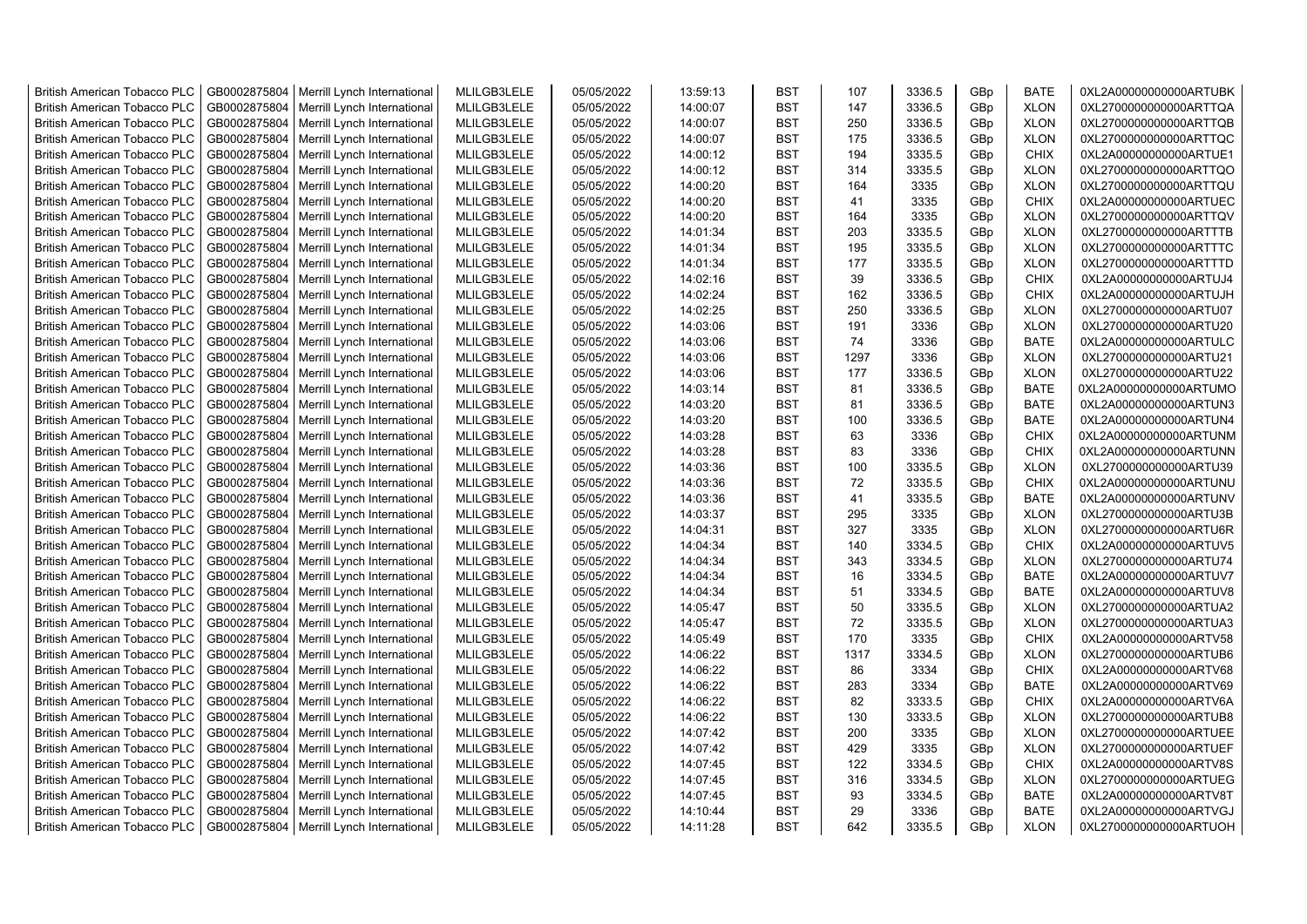| <b>British American Tobacco PLC</b> | GB0002875804 | Merrill Lynch International | MLILGB3LELE | 05/05/2022 | 13:59:13 | <b>BST</b> | 107  | 3336.5 | GBp             | <b>BATE</b> | 0XL2A00000000000ARTUBK |
|-------------------------------------|--------------|-----------------------------|-------------|------------|----------|------------|------|--------|-----------------|-------------|------------------------|
| <b>British American Tobacco PLC</b> | GB0002875804 | Merrill Lynch International | MLILGB3LELE | 05/05/2022 | 14:00:07 | <b>BST</b> | 147  | 3336.5 | GBp             | <b>XLON</b> | 0XL2700000000000ARTTQA |
| <b>British American Tobacco PLC</b> | GB0002875804 | Merrill Lynch International | MLILGB3LELE | 05/05/2022 | 14:00:07 | <b>BST</b> | 250  | 3336.5 | GBp             | <b>XLON</b> | 0XL2700000000000ARTTQB |
| <b>British American Tobacco PLC</b> | GB0002875804 | Merrill Lynch International | MLILGB3LELE | 05/05/2022 | 14:00:07 | <b>BST</b> | 175  | 3336.5 | GBp             | <b>XLON</b> | 0XL2700000000000ARTTQC |
| <b>British American Tobacco PLC</b> | GB0002875804 | Merrill Lynch International | MLILGB3LELE | 05/05/2022 | 14:00:12 | <b>BST</b> | 194  | 3335.5 | GBp             | <b>CHIX</b> | 0XL2A00000000000ARTUE1 |
| <b>British American Tobacco PLC</b> | GB0002875804 | Merrill Lynch International | MLILGB3LELE | 05/05/2022 | 14:00:12 | <b>BST</b> | 314  | 3335.5 | GBp             | <b>XLON</b> | 0XL2700000000000ARTTQO |
| <b>British American Tobacco PLC</b> | GB0002875804 | Merrill Lynch International | MLILGB3LELE | 05/05/2022 | 14:00:20 | <b>BST</b> | 164  | 3335   | GBp             | <b>XLON</b> | 0XL2700000000000ARTTQU |
| <b>British American Tobacco PLC</b> | GB0002875804 | Merrill Lynch International | MLILGB3LELE | 05/05/2022 | 14:00:20 | <b>BST</b> | 41   | 3335   | GBp             | <b>CHIX</b> | 0XL2A00000000000ARTUEC |
| <b>British American Tobacco PLC</b> | GB0002875804 | Merrill Lynch International | MLILGB3LELE | 05/05/2022 | 14:00:20 | <b>BST</b> | 164  | 3335   | GBp             | <b>XLON</b> | 0XL2700000000000ARTTQV |
| <b>British American Tobacco PLC</b> | GB0002875804 | Merrill Lynch International | MLILGB3LELE | 05/05/2022 | 14:01:34 | <b>BST</b> | 203  | 3335.5 | GBp             | <b>XLON</b> | 0XL2700000000000ARTTTB |
| <b>British American Tobacco PLC</b> | GB0002875804 | Merrill Lynch International | MLILGB3LELE | 05/05/2022 | 14:01:34 | <b>BST</b> | 195  | 3335.5 | GBp             | <b>XLON</b> | 0XL2700000000000ARTTTC |
| <b>British American Tobacco PLC</b> | GB0002875804 | Merrill Lynch International | MLILGB3LELE | 05/05/2022 | 14:01:34 | <b>BST</b> | 177  | 3335.5 | GBp             | <b>XLON</b> | 0XL2700000000000ARTTTD |
| <b>British American Tobacco PLC</b> | GB0002875804 | Merrill Lynch International | MLILGB3LELE | 05/05/2022 | 14:02:16 | BST        | 39   | 3336.5 | GBp             | <b>CHIX</b> | 0XL2A00000000000ARTUJ4 |
| <b>British American Tobacco PLC</b> | GB0002875804 | Merrill Lynch International | MLILGB3LELE | 05/05/2022 | 14:02:24 | <b>BST</b> | 162  | 3336.5 | GBp             | <b>CHIX</b> | 0XL2A00000000000ARTUJH |
| <b>British American Tobacco PLC</b> | GB0002875804 | Merrill Lynch International | MLILGB3LELE | 05/05/2022 | 14:02:25 | <b>BST</b> | 250  | 3336.5 | GBp             | <b>XLON</b> | 0XL2700000000000ARTU07 |
| <b>British American Tobacco PLC</b> | GB0002875804 | Merrill Lynch International | MLILGB3LELE | 05/05/2022 | 14:03:06 | <b>BST</b> | 191  | 3336   | GBp             | <b>XLON</b> | 0XL2700000000000ARTU20 |
| British American Tobacco PLC        | GB0002875804 | Merrill Lynch International | MLILGB3LELE | 05/05/2022 | 14:03:06 | <b>BST</b> | 74   | 3336   | GBp             | <b>BATE</b> | 0XL2A00000000000ARTULC |
| <b>British American Tobacco PLC</b> | GB0002875804 | Merrill Lynch International | MLILGB3LELE | 05/05/2022 | 14:03:06 | <b>BST</b> | 1297 | 3336   | GBp             | <b>XLON</b> | 0XL2700000000000ARTU21 |
| <b>British American Tobacco PLC</b> | GB0002875804 | Merrill Lynch International | MLILGB3LELE | 05/05/2022 | 14:03:06 | <b>BST</b> | 177  | 3336.5 | GBp             | <b>XLON</b> | 0XL2700000000000ARTU22 |
| <b>British American Tobacco PLC</b> | GB0002875804 | Merrill Lynch International | MLILGB3LELE | 05/05/2022 | 14:03:14 | <b>BST</b> | 81   | 3336.5 | GBp             | <b>BATE</b> | 0XL2A00000000000ARTUMO |
| <b>British American Tobacco PLC</b> | GB0002875804 | Merrill Lynch International | MLILGB3LELE | 05/05/2022 | 14:03:20 | <b>BST</b> | 81   | 3336.5 | GBp             | <b>BATE</b> | 0XL2A00000000000ARTUN3 |
| <b>British American Tobacco PLC</b> | GB0002875804 | Merrill Lynch International | MLILGB3LELE | 05/05/2022 | 14:03:20 | <b>BST</b> | 100  | 3336.5 | GBp             | <b>BATE</b> | 0XL2A00000000000ARTUN4 |
| <b>British American Tobacco PLC</b> | GB0002875804 | Merrill Lynch International | MLILGB3LELE | 05/05/2022 | 14:03:28 | <b>BST</b> | 63   | 3336   | GBp             | <b>CHIX</b> | 0XL2A00000000000ARTUNM |
| <b>British American Tobacco PLC</b> | GB0002875804 | Merrill Lynch International | MLILGB3LELE | 05/05/2022 | 14:03:28 | <b>BST</b> | 83   | 3336   | GBp             | <b>CHIX</b> | 0XL2A00000000000ARTUNN |
| <b>British American Tobacco PLC</b> | GB0002875804 | Merrill Lynch International | MLILGB3LELE | 05/05/2022 | 14:03:36 | <b>BST</b> | 100  | 3335.5 | GBp             | <b>XLON</b> | 0XL2700000000000ARTU39 |
| <b>British American Tobacco PLC</b> | GB0002875804 | Merrill Lynch International | MLILGB3LELE | 05/05/2022 | 14:03:36 | <b>BST</b> | 72   | 3335.5 | GBp             | <b>CHIX</b> | 0XL2A00000000000ARTUNU |
| <b>British American Tobacco PLC</b> | GB0002875804 | Merrill Lynch International | MLILGB3LELE | 05/05/2022 | 14:03:36 | <b>BST</b> | 41   | 3335.5 | GBp             | <b>BATE</b> | 0XL2A00000000000ARTUNV |
| <b>British American Tobacco PLC</b> | GB0002875804 | Merrill Lynch International | MLILGB3LELE | 05/05/2022 | 14:03:37 | <b>BST</b> | 295  | 3335   | GBp             | <b>XLON</b> | 0XL2700000000000ARTU3B |
| <b>British American Tobacco PLC</b> | GB0002875804 | Merrill Lynch International | MLILGB3LELE | 05/05/2022 | 14:04:31 | <b>BST</b> | 327  | 3335   | GBp             | <b>XLON</b> | 0XL2700000000000ARTU6R |
| <b>British American Tobacco PLC</b> | GB0002875804 | Merrill Lynch International | MLILGB3LELE | 05/05/2022 | 14:04:34 | <b>BST</b> | 140  | 3334.5 | GBp             | CHIX        | 0XL2A00000000000ARTUV5 |
| <b>British American Tobacco PLC</b> | GB0002875804 | Merrill Lynch International | MLILGB3LELE | 05/05/2022 | 14:04:34 | <b>BST</b> | 343  | 3334.5 | GBp             | <b>XLON</b> | 0XL2700000000000ARTU74 |
| <b>British American Tobacco PLC</b> | GB0002875804 | Merrill Lynch International | MLILGB3LELE | 05/05/2022 | 14:04:34 | <b>BST</b> | 16   | 3334.5 | GBp             | <b>BATE</b> | 0XL2A00000000000ARTUV7 |
| <b>British American Tobacco PLC</b> | GB0002875804 | Merrill Lynch International | MLILGB3LELE | 05/05/2022 | 14:04:34 | <b>BST</b> | 51   | 3334.5 | GBp             | <b>BATE</b> | 0XL2A00000000000ARTUV8 |
| <b>British American Tobacco PLC</b> | GB0002875804 | Merrill Lynch International | MLILGB3LELE | 05/05/2022 | 14:05:47 | BST        | 50   | 3335.5 | GBp             | <b>XLON</b> | 0XL2700000000000ARTUA2 |
| <b>British American Tobacco PLC</b> | GB0002875804 | Merrill Lynch International | MLILGB3LELE | 05/05/2022 | 14:05:47 | <b>BST</b> | 72   | 3335.5 | GBp             | <b>XLON</b> | 0XL2700000000000ARTUA3 |
| British American Tobacco PLC        | GB0002875804 | Merrill Lynch International | MLILGB3LELE | 05/05/2022 | 14:05:49 | <b>BST</b> | 170  | 3335   | GBp             | <b>CHIX</b> | 0XL2A00000000000ARTV58 |
| <b>British American Tobacco PLC</b> | GB0002875804 | Merrill Lynch International | MLILGB3LELE | 05/05/2022 | 14:06:22 | <b>BST</b> | 1317 | 3334.5 | GBp             | <b>XLON</b> | 0XL2700000000000ARTUB6 |
| British American Tobacco PLC        | GB0002875804 | Merrill Lynch International | MLILGB3LELE | 05/05/2022 | 14:06:22 | <b>BST</b> | 86   | 3334   | GBp             | <b>CHIX</b> | 0XL2A00000000000ARTV68 |
| <b>British American Tobacco PLC</b> | GB0002875804 | Merrill Lynch International | MLILGB3LELE | 05/05/2022 | 14:06:22 | <b>BST</b> | 283  | 3334   | GBp             | <b>BATE</b> | 0XL2A00000000000ARTV69 |
| <b>British American Tobacco PLC</b> | GB0002875804 | Merrill Lynch International | MLILGB3LELE | 05/05/2022 | 14:06:22 | <b>BST</b> | 82   | 3333.5 | GBp             | <b>CHIX</b> | 0XL2A00000000000ARTV6A |
| <b>British American Tobacco PLC</b> | GB0002875804 | Merrill Lynch International | MLILGB3LELE | 05/05/2022 | 14:06:22 | <b>BST</b> | 130  | 3333.5 | GBp             | <b>XLON</b> | 0XL2700000000000ARTUB8 |
| <b>British American Tobacco PLC</b> | GB0002875804 | Merrill Lynch International | MLILGB3LELE | 05/05/2022 | 14:07:42 | <b>BST</b> | 200  | 3335   | GBp             | <b>XLON</b> | 0XL2700000000000ARTUEE |
| <b>British American Tobacco PLC</b> | GB0002875804 | Merrill Lynch International | MLILGB3LELE | 05/05/2022 | 14:07:42 | <b>BST</b> | 429  | 3335   | GBp             | <b>XLON</b> | 0XL2700000000000ARTUEF |
| <b>British American Tobacco PLC</b> | GB0002875804 | Merrill Lynch International | MLILGB3LELE | 05/05/2022 | 14:07:45 | <b>BST</b> | 122  | 3334.5 | GBp             | <b>CHIX</b> | 0XL2A00000000000ARTV8S |
| <b>British American Tobacco PLC</b> | GB0002875804 | Merrill Lynch International | MLILGB3LELE | 05/05/2022 | 14:07:45 | <b>BST</b> | 316  | 3334.5 | GBp             | <b>XLON</b> | 0XL2700000000000ARTUEG |
| <b>British American Tobacco PLC</b> | GB0002875804 | Merrill Lynch International | MLILGB3LELE | 05/05/2022 | 14:07:45 | <b>BST</b> | 93   | 3334.5 | GBp             | <b>BATE</b> | 0XL2A00000000000ARTV8T |
| <b>British American Tobacco PLC</b> | GB0002875804 | Merrill Lynch International | MLILGB3LELE | 05/05/2022 | 14:10:44 | <b>BST</b> | 29   | 3336   | GBp             | <b>BATE</b> | 0XL2A00000000000ARTVGJ |
| <b>British American Tobacco PLC</b> | GB0002875804 | Merrill Lynch International | MLILGB3LELE | 05/05/2022 | 14:11:28 | <b>BST</b> | 642  | 3335.5 | GB <sub>p</sub> | <b>XLON</b> | 0XL2700000000000ARTUOH |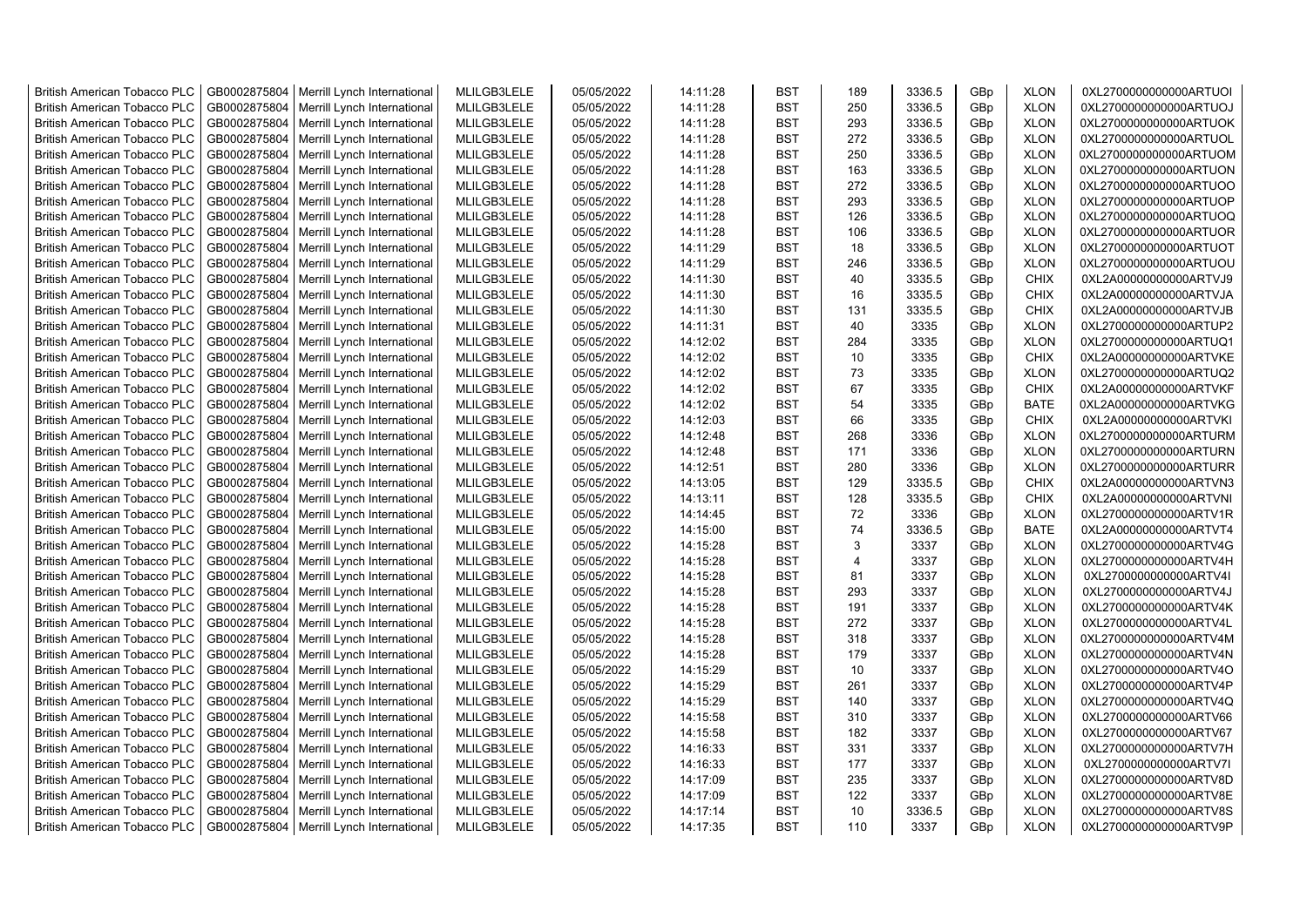| <b>British American Tobacco PLC</b> | GB0002875804 | Merrill Lynch International | MLILGB3LELE | 05/05/2022 | 14:11:28 | <b>BST</b> | 189            | 3336.5 | GBp | <b>XLON</b> | 0XL2700000000000ARTUOI |
|-------------------------------------|--------------|-----------------------------|-------------|------------|----------|------------|----------------|--------|-----|-------------|------------------------|
| <b>British American Tobacco PLC</b> | GB0002875804 | Merrill Lynch International | MLILGB3LELE | 05/05/2022 | 14:11:28 | <b>BST</b> | 250            | 3336.5 | GBp | <b>XLON</b> | 0XL2700000000000ARTUOJ |
| <b>British American Tobacco PLC</b> | GB0002875804 | Merrill Lynch International | MLILGB3LELE | 05/05/2022 | 14:11:28 | <b>BST</b> | 293            | 3336.5 | GBp | <b>XLON</b> | 0XL2700000000000ARTUOK |
| <b>British American Tobacco PLC</b> | GB0002875804 | Merrill Lynch International | MLILGB3LELE | 05/05/2022 | 14:11:28 | <b>BST</b> | 272            | 3336.5 | GBp | <b>XLON</b> | 0XL2700000000000ARTUOL |
| <b>British American Tobacco PLC</b> | GB0002875804 | Merrill Lynch International | MLILGB3LELE | 05/05/2022 | 14:11:28 | <b>BST</b> | 250            | 3336.5 | GBp | <b>XLON</b> | 0XL2700000000000ARTUOM |
| <b>British American Tobacco PLC</b> | GB0002875804 | Merrill Lynch International | MLILGB3LELE | 05/05/2022 | 14:11:28 | <b>BST</b> | 163            | 3336.5 | GBp | <b>XLON</b> | 0XL2700000000000ARTUON |
| <b>British American Tobacco PLC</b> | GB0002875804 | Merrill Lynch International | MLILGB3LELE | 05/05/2022 | 14:11:28 | <b>BST</b> | 272            | 3336.5 | GBp | <b>XLON</b> | 0XL2700000000000ARTUOO |
| <b>British American Tobacco PLC</b> | GB0002875804 | Merrill Lynch International | MLILGB3LELE | 05/05/2022 | 14:11:28 | <b>BST</b> | 293            | 3336.5 | GBp | <b>XLON</b> | 0XL2700000000000ARTUOP |
| <b>British American Tobacco PLC</b> | GB0002875804 | Merrill Lynch International | MLILGB3LELE | 05/05/2022 | 14:11:28 | <b>BST</b> | 126            | 3336.5 | GBp | <b>XLON</b> | 0XL2700000000000ARTUOQ |
| <b>British American Tobacco PLC</b> | GB0002875804 | Merrill Lynch International | MLILGB3LELE | 05/05/2022 | 14:11:28 | <b>BST</b> | 106            | 3336.5 | GBp | <b>XLON</b> | 0XL2700000000000ARTUOR |
| <b>British American Tobacco PLC</b> | GB0002875804 | Merrill Lynch International | MLILGB3LELE | 05/05/2022 | 14:11:29 | <b>BST</b> | 18             | 3336.5 | GBp | <b>XLON</b> | 0XL2700000000000ARTUOT |
| <b>British American Tobacco PLC</b> | GB0002875804 | Merrill Lynch International | MLILGB3LELE | 05/05/2022 | 14:11:29 | <b>BST</b> | 246            | 3336.5 | GBp | <b>XLON</b> | 0XL2700000000000ARTUOU |
| <b>British American Tobacco PLC</b> | GB0002875804 | Merrill Lynch International | MLILGB3LELE | 05/05/2022 | 14:11:30 | <b>BST</b> | 40             | 3335.5 | GBp | <b>CHIX</b> | 0XL2A00000000000ARTVJ9 |
| <b>British American Tobacco PLC</b> | GB0002875804 | Merrill Lynch International | MLILGB3LELE | 05/05/2022 | 14:11:30 | <b>BST</b> | 16             | 3335.5 | GBp | <b>CHIX</b> | 0XL2A00000000000ARTVJA |
| <b>British American Tobacco PLC</b> | GB0002875804 | Merrill Lynch International | MLILGB3LELE | 05/05/2022 | 14:11:30 | <b>BST</b> | 131            | 3335.5 | GBp | <b>CHIX</b> | 0XL2A00000000000ARTVJB |
| <b>British American Tobacco PLC</b> | GB0002875804 | Merrill Lynch International | MLILGB3LELE | 05/05/2022 | 14:11:31 | <b>BST</b> | 40             | 3335   | GBp | <b>XLON</b> | 0XL2700000000000ARTUP2 |
| <b>British American Tobacco PLC</b> | GB0002875804 | Merrill Lynch International | MLILGB3LELE | 05/05/2022 | 14:12:02 | <b>BST</b> | 284            | 3335   | GBp | <b>XLON</b> | 0XL2700000000000ARTUQ1 |
| <b>British American Tobacco PLC</b> | GB0002875804 | Merrill Lynch International | MLILGB3LELE | 05/05/2022 | 14:12:02 | <b>BST</b> | 10             | 3335   | GBp | <b>CHIX</b> | 0XL2A00000000000ARTVKE |
| <b>British American Tobacco PLC</b> | GB0002875804 | Merrill Lynch International | MLILGB3LELE | 05/05/2022 | 14:12:02 | <b>BST</b> | 73             | 3335   | GBp | <b>XLON</b> | 0XL2700000000000ARTUQ2 |
| <b>British American Tobacco PLC</b> | GB0002875804 | Merrill Lynch International | MLILGB3LELE | 05/05/2022 | 14:12:02 | <b>BST</b> | 67             | 3335   | GBp | <b>CHIX</b> | 0XL2A00000000000ARTVKF |
| <b>British American Tobacco PLC</b> | GB0002875804 | Merrill Lynch International | MLILGB3LELE | 05/05/2022 | 14:12:02 | <b>BST</b> | 54             | 3335   | GBp | <b>BATE</b> | 0XL2A00000000000ARTVKG |
| <b>British American Tobacco PLC</b> | GB0002875804 | Merrill Lynch International | MLILGB3LELE | 05/05/2022 | 14:12:03 | <b>BST</b> | 66             | 3335   | GBp | <b>CHIX</b> | 0XL2A00000000000ARTVKI |
| <b>British American Tobacco PLC</b> | GB0002875804 | Merrill Lynch International | MLILGB3LELE | 05/05/2022 | 14:12:48 | <b>BST</b> | 268            | 3336   | GBp | <b>XLON</b> | 0XL2700000000000ARTURM |
| <b>British American Tobacco PLC</b> | GB0002875804 | Merrill Lynch International | MLILGB3LELE | 05/05/2022 | 14:12:48 | <b>BST</b> | 171            | 3336   | GBp | <b>XLON</b> | 0XL2700000000000ARTURN |
| <b>British American Tobacco PLC</b> | GB0002875804 | Merrill Lynch International | MLILGB3LELE | 05/05/2022 | 14:12:51 | <b>BST</b> | 280            | 3336   | GBp | <b>XLON</b> | 0XL2700000000000ARTURR |
| British American Tobacco PLC        | GB0002875804 | Merrill Lynch International | MLILGB3LELE | 05/05/2022 | 14:13:05 | <b>BST</b> | 129            | 3335.5 | GBp | <b>CHIX</b> | 0XL2A00000000000ARTVN3 |
| British American Tobacco PLC        | GB0002875804 | Merrill Lynch International | MLILGB3LELE | 05/05/2022 | 14:13:11 | <b>BST</b> | 128            | 3335.5 | GBp | <b>CHIX</b> | 0XL2A00000000000ARTVNI |
| British American Tobacco PLC        | GB0002875804 | Merrill Lynch International | MLILGB3LELE | 05/05/2022 | 14:14:45 | <b>BST</b> | 72             | 3336   | GBp | <b>XLON</b> | 0XL2700000000000ARTV1R |
| <b>British American Tobacco PLC</b> | GB0002875804 | Merrill Lynch International | MLILGB3LELE | 05/05/2022 | 14:15:00 | <b>BST</b> | 74             | 3336.5 | GBp | <b>BATE</b> | 0XL2A00000000000ARTVT4 |
| <b>British American Tobacco PLC</b> | GB0002875804 | Merrill Lynch International | MLILGB3LELE | 05/05/2022 | 14:15:28 | <b>BST</b> | 3              | 3337   | GBp | <b>XLON</b> | 0XL2700000000000ARTV4G |
| <b>British American Tobacco PLC</b> | GB0002875804 | Merrill Lynch International | MLILGB3LELE | 05/05/2022 | 14:15:28 | <b>BST</b> | $\overline{4}$ | 3337   | GBp | <b>XLON</b> | 0XL2700000000000ARTV4H |
| <b>British American Tobacco PLC</b> | GB0002875804 | Merrill Lynch International | MLILGB3LELE | 05/05/2022 | 14:15:28 | <b>BST</b> | 81             | 3337   | GBp | <b>XLON</b> | 0XL2700000000000ARTV4I |
| <b>British American Tobacco PLC</b> | GB0002875804 | Merrill Lynch International | MLILGB3LELE | 05/05/2022 | 14:15:28 | <b>BST</b> | 293            | 3337   | GBp | <b>XLON</b> | 0XL2700000000000ARTV4J |
| <b>British American Tobacco PLC</b> | GB0002875804 | Merrill Lynch International | MLILGB3LELE | 05/05/2022 | 14:15:28 | <b>BST</b> | 191            | 3337   | GBp | <b>XLON</b> | 0XL2700000000000ARTV4K |
| <b>British American Tobacco PLC</b> | GB0002875804 | Merrill Lynch International | MLILGB3LELE | 05/05/2022 | 14:15:28 | <b>BST</b> | 272            | 3337   | GBp | <b>XLON</b> | 0XL2700000000000ARTV4L |
| <b>British American Tobacco PLC</b> | GB0002875804 | Merrill Lynch International | MLILGB3LELE | 05/05/2022 | 14:15:28 | <b>BST</b> | 318            | 3337   | GBp | <b>XLON</b> | 0XL2700000000000ARTV4M |
| <b>British American Tobacco PLC</b> | GB0002875804 | Merrill Lynch International | MLILGB3LELE | 05/05/2022 | 14:15:28 | <b>BST</b> | 179            | 3337   | GBp | <b>XLON</b> | 0XL2700000000000ARTV4N |
| <b>British American Tobacco PLC</b> | GB0002875804 | Merrill Lynch International | MLILGB3LELE | 05/05/2022 | 14:15:29 | <b>BST</b> | 10             | 3337   | GBp | <b>XLON</b> | 0XL2700000000000ARTV4O |
| <b>British American Tobacco PLC</b> | GB0002875804 | Merrill Lynch International | MLILGB3LELE | 05/05/2022 | 14:15:29 | <b>BST</b> | 261            | 3337   | GBp | <b>XLON</b> | 0XL2700000000000ARTV4P |
| <b>British American Tobacco PLC</b> | GB0002875804 | Merrill Lynch International | MLILGB3LELE | 05/05/2022 | 14:15:29 | <b>BST</b> | 140            | 3337   | GBp | <b>XLON</b> | 0XL2700000000000ARTV4Q |
| <b>British American Tobacco PLC</b> | GB0002875804 | Merrill Lynch International | MLILGB3LELE | 05/05/2022 | 14:15:58 | <b>BST</b> | 310            | 3337   | GBp | <b>XLON</b> | 0XL2700000000000ARTV66 |
| <b>British American Tobacco PLC</b> | GB0002875804 | Merrill Lynch International | MLILGB3LELE | 05/05/2022 | 14:15:58 | <b>BST</b> | 182            | 3337   | GBp | <b>XLON</b> | 0XL2700000000000ARTV67 |
| British American Tobacco PLC        | GB0002875804 | Merrill Lynch International | MLILGB3LELE | 05/05/2022 | 14:16:33 | <b>BST</b> | 331            | 3337   | GBp | <b>XLON</b> | 0XL2700000000000ARTV7H |
| British American Tobacco PLC        | GB0002875804 | Merrill Lynch International | MLILGB3LELE | 05/05/2022 | 14:16:33 | <b>BST</b> | 177            | 3337   | GBp | <b>XLON</b> | 0XL2700000000000ARTV7I |
| <b>British American Tobacco PLC</b> | GB0002875804 | Merrill Lynch International | MLILGB3LELE | 05/05/2022 | 14:17:09 | <b>BST</b> | 235            | 3337   | GBp | <b>XLON</b> | 0XL2700000000000ARTV8D |
| <b>British American Tobacco PLC</b> | GB0002875804 | Merrill Lynch International | MLILGB3LELE | 05/05/2022 | 14:17:09 | <b>BST</b> | 122            | 3337   | GBp | <b>XLON</b> | 0XL2700000000000ARTV8E |
| <b>British American Tobacco PLC</b> | GB0002875804 | Merrill Lynch International | MLILGB3LELE | 05/05/2022 | 14:17:14 | <b>BST</b> | 10             | 3336.5 | GBp | <b>XLON</b> | 0XL2700000000000ARTV8S |
| <b>British American Tobacco PLC</b> | GB0002875804 | Merrill Lynch International | MLILGB3LELE | 05/05/2022 | 14:17:35 | <b>BST</b> | 110            | 3337   | GBp | <b>XLON</b> | 0XL2700000000000ARTV9P |
|                                     |              |                             |             |            |          |            |                |        |     |             |                        |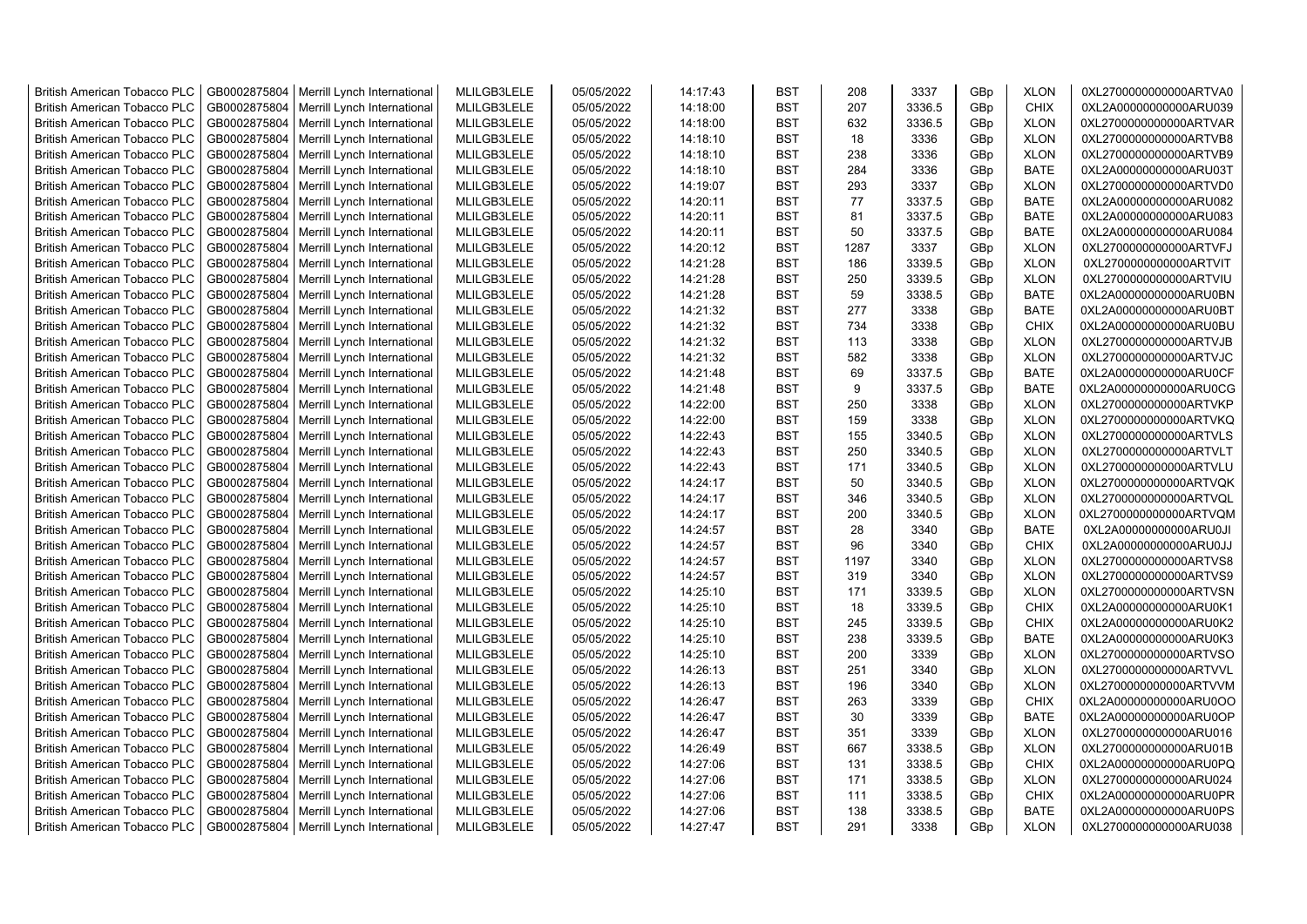| <b>British American Tobacco PLC</b>                                        | GB0002875804                 | Merrill Lynch International                                | MLILGB3LELE                | 05/05/2022               | 14:17:43             | <b>BST</b>               | 208        | 3337             | GBp             | <b>XLON</b>                | 0XL2700000000000ARTVA0                           |
|----------------------------------------------------------------------------|------------------------------|------------------------------------------------------------|----------------------------|--------------------------|----------------------|--------------------------|------------|------------------|-----------------|----------------------------|--------------------------------------------------|
| <b>British American Tobacco PLC</b>                                        | GB0002875804                 | Merrill Lynch International                                | MLILGB3LELE                | 05/05/2022               | 14:18:00             | <b>BST</b>               | 207        | 3336.5           | GBp             | <b>CHIX</b>                | 0XL2A00000000000ARU039                           |
| <b>British American Tobacco PLC</b>                                        | GB0002875804                 | Merrill Lynch International                                | MLILGB3LELE                | 05/05/2022               | 14:18:00             | <b>BST</b>               | 632        | 3336.5           | GBp             | <b>XLON</b>                | 0XL2700000000000ARTVAR                           |
| <b>British American Tobacco PLC</b>                                        | GB0002875804                 | Merrill Lynch International                                | MLILGB3LELE                | 05/05/2022               | 14:18:10             | <b>BST</b>               | 18         | 3336             | GBp             | <b>XLON</b>                | 0XL2700000000000ARTVB8                           |
| <b>British American Tobacco PLC</b>                                        | GB0002875804                 | Merrill Lynch International                                | MLILGB3LELE                | 05/05/2022               | 14:18:10             | <b>BST</b>               | 238        | 3336             | GBp             | <b>XLON</b>                | 0XL2700000000000ARTVB9                           |
| <b>British American Tobacco PLC</b>                                        | GB0002875804                 | Merrill Lynch International                                | MLILGB3LELE                | 05/05/2022               | 14:18:10             | <b>BST</b>               | 284        | 3336             | GBp             | <b>BATE</b>                | 0XL2A00000000000ARU03T                           |
| British American Tobacco PLC                                               | GB0002875804                 | Merrill Lynch International                                | MLILGB3LELE                | 05/05/2022               | 14:19:07             | <b>BST</b>               | 293        | 3337             | GBp             | <b>XLON</b>                | 0XL2700000000000ARTVD0                           |
| <b>British American Tobacco PLC</b>                                        | GB0002875804                 | Merrill Lynch International                                | MLILGB3LELE                | 05/05/2022               | 14:20:11             | <b>BST</b>               | 77         | 3337.5           | GBp             | <b>BATE</b>                | 0XL2A00000000000ARU082                           |
| <b>British American Tobacco PLC</b>                                        | GB0002875804                 | Merrill Lynch International                                | MLILGB3LELE                | 05/05/2022               | 14:20:11             | <b>BST</b>               | 81         | 3337.5           | GBp             | <b>BATE</b>                | 0XL2A00000000000ARU083                           |
| <b>British American Tobacco PLC</b>                                        | GB0002875804                 | Merrill Lynch International                                | MLILGB3LELE                | 05/05/2022               | 14:20:11             | <b>BST</b>               | 50         | 3337.5           | GBp             | <b>BATE</b>                | 0XL2A00000000000ARU084                           |
| <b>British American Tobacco PLC</b>                                        | GB0002875804                 | Merrill Lynch International                                | MLILGB3LELE                | 05/05/2022               | 14:20:12             | <b>BST</b>               | 1287       | 3337             | GBp             | <b>XLON</b>                | 0XL2700000000000ARTVFJ                           |
| <b>British American Tobacco PLC</b>                                        | GB0002875804                 | Merrill Lynch International                                | MLILGB3LELE                | 05/05/2022               | 14:21:28             | <b>BST</b>               | 186        | 3339.5           | GBp             | <b>XLON</b>                | 0XL2700000000000ARTVIT                           |
| <b>British American Tobacco PLC</b>                                        | GB0002875804                 | Merrill Lynch International                                | MLILGB3LELE                | 05/05/2022               | 14:21:28             | <b>BST</b>               | 250        | 3339.5           | GBp             | <b>XLON</b>                | 0XL2700000000000ARTVIU                           |
| <b>British American Tobacco PLC</b>                                        | GB0002875804                 | Merrill Lynch International                                | MLILGB3LELE                | 05/05/2022               | 14:21:28             | <b>BST</b>               | 59         | 3338.5           | GBp             | <b>BATE</b>                | 0XL2A00000000000ARU0BN                           |
| <b>British American Tobacco PLC</b>                                        | GB0002875804                 | Merrill Lynch International                                | MLILGB3LELE                | 05/05/2022               | 14:21:32             | <b>BST</b>               | 277        | 3338             | GBp             | <b>BATE</b>                | 0XL2A00000000000ARU0BT                           |
| British American Tobacco PLC                                               | GB0002875804                 | Merrill Lynch International                                | MLILGB3LELE                | 05/05/2022               | 14:21:32             | <b>BST</b>               | 734        | 3338             | GBp             | <b>CHIX</b>                | 0XL2A00000000000ARU0BU                           |
| British American Tobacco PLC                                               | GB0002875804                 | Merrill Lynch International                                | MLILGB3LELE                | 05/05/2022               | 14:21:32             | <b>BST</b>               | 113        | 3338             | GBp             | <b>XLON</b>                | 0XL2700000000000ARTVJB                           |
| <b>British American Tobacco PLC</b>                                        | GB0002875804                 | Merrill Lynch International                                | MLILGB3LELE                | 05/05/2022               | 14:21:32             | <b>BST</b>               | 582        | 3338             | GBp             | <b>XLON</b>                | 0XL2700000000000ARTVJC                           |
| <b>British American Tobacco PLC</b>                                        | GB0002875804                 | Merrill Lynch International                                | MLILGB3LELE                | 05/05/2022               | 14:21:48             | <b>BST</b>               | 69         | 3337.5           | GBp             | <b>BATE</b>                | 0XL2A00000000000ARU0CF                           |
| <b>British American Tobacco PLC</b>                                        | GB0002875804                 | Merrill Lynch International                                | MLILGB3LELE                | 05/05/2022               | 14:21:48             | <b>BST</b>               | 9          | 3337.5           | GBp             | <b>BATE</b>                | 0XL2A00000000000ARU0CG                           |
| <b>British American Tobacco PLC</b>                                        | GB0002875804                 | Merrill Lynch International                                | MLILGB3LELE                | 05/05/2022               | 14:22:00             | <b>BST</b>               | 250        | 3338             | GBp             | <b>XLON</b>                | 0XL2700000000000ARTVKP                           |
| <b>British American Tobacco PLC</b>                                        | GB0002875804                 | Merrill Lynch International                                | MLILGB3LELE                | 05/05/2022               | 14:22:00             | <b>BST</b>               | 159        | 3338             | GBp             | <b>XLON</b>                | 0XL2700000000000ARTVKQ                           |
| <b>British American Tobacco PLC</b>                                        | GB0002875804                 | Merrill Lynch International                                | MLILGB3LELE                | 05/05/2022               | 14:22:43             | <b>BST</b>               | 155        | 3340.5           | GBp             | <b>XLON</b>                | 0XL2700000000000ARTVLS                           |
| <b>British American Tobacco PLC</b>                                        | GB0002875804                 | Merrill Lynch International                                | MLILGB3LELE                | 05/05/2022               | 14:22:43             | <b>BST</b>               | 250        | 3340.5           | GBp             | <b>XLON</b>                | 0XL2700000000000ARTVLT                           |
| <b>British American Tobacco PLC</b>                                        | GB0002875804                 | Merrill Lynch International                                | MLILGB3LELE                | 05/05/2022               | 14:22:43             | <b>BST</b>               | 171        | 3340.5           | GBp             | <b>XLON</b>                | 0XL2700000000000ARTVLU                           |
| <b>British American Tobacco PLC</b>                                        | GB0002875804                 | Merrill Lynch International                                | MLILGB3LELE                | 05/05/2022               | 14:24:17             | <b>BST</b>               | 50         | 3340.5           | GBp             | <b>XLON</b>                | 0XL2700000000000ARTVQK                           |
| <b>British American Tobacco PLC</b>                                        | GB0002875804                 | Merrill Lynch International                                | MLILGB3LELE                | 05/05/2022               | 14:24:17             | <b>BST</b>               | 346        | 3340.5           | GBp             | <b>XLON</b>                | 0XL2700000000000ARTVQL                           |
| <b>British American Tobacco PLC</b>                                        | GB0002875804                 | Merrill Lynch International                                | MLILGB3LELE                | 05/05/2022               | 14:24:17             | <b>BST</b>               | 200        | 3340.5           | GBp             | <b>XLON</b>                | 0XL2700000000000ARTVQM                           |
| <b>British American Tobacco PLC</b>                                        | GB0002875804                 | Merrill Lynch International                                | MLILGB3LELE                | 05/05/2022               | 14:24:57             | <b>BST</b>               | 28         | 3340             | GBp             | <b>BATE</b>                | 0XL2A00000000000ARU0JI                           |
| <b>British American Tobacco PLC</b>                                        | GB0002875804                 | Merrill Lynch International                                | MLILGB3LELE                | 05/05/2022               | 14:24:57             | <b>BST</b>               | 96         | 3340             | GBp             | <b>CHIX</b>                | 0XL2A00000000000ARU0JJ                           |
| <b>British American Tobacco PLC</b>                                        | GB0002875804                 | Merrill Lynch International                                | MLILGB3LELE                | 05/05/2022               | 14:24:57             | <b>BST</b>               | 1197       | 3340             | GBp             | <b>XLON</b>                | 0XL2700000000000ARTVS8                           |
| <b>British American Tobacco PLC</b>                                        | GB0002875804                 | Merrill Lynch International                                | MLILGB3LELE                | 05/05/2022               | 14:24:57             | <b>BST</b>               | 319        | 3340             | GBp             | <b>XLON</b>                | 0XL2700000000000ARTVS9                           |
| <b>British American Tobacco PLC</b>                                        | GB0002875804                 | Merrill Lynch International                                | MLILGB3LELE                | 05/05/2022               | 14:25:10             | <b>BST</b>               | 171        | 3339.5           | GBp             | <b>XLON</b>                | 0XL2700000000000ARTVSN                           |
| <b>British American Tobacco PLC</b>                                        | GB0002875804                 | Merrill Lynch International                                | MLILGB3LELE                | 05/05/2022               | 14:25:10             | <b>BST</b>               | 18         | 3339.5           | GBp             | <b>CHIX</b>                | 0XL2A00000000000ARU0K1                           |
| <b>British American Tobacco PLC</b>                                        | GB0002875804                 | Merrill Lynch International                                | MLILGB3LELE                | 05/05/2022               | 14:25:10             | <b>BST</b>               | 245        | 3339.5           | GBp             | <b>CHIX</b>                | 0XL2A00000000000ARU0K2                           |
| British American Tobacco PLC                                               | GB0002875804                 | Merrill Lynch International                                | MLILGB3LELE                | 05/05/2022               | 14:25:10             | <b>BST</b>               | 238        | 3339.5           | GBp             | <b>BATE</b>                | 0XL2A00000000000ARU0K3                           |
| <b>British American Tobacco PLC</b>                                        | GB0002875804                 | Merrill Lynch International                                | MLILGB3LELE                | 05/05/2022               | 14:25:10             | <b>BST</b>               | 200        | 3339             | GBp             | <b>XLON</b>                | 0XL2700000000000ARTVSO                           |
| <b>British American Tobacco PLC</b>                                        | GB0002875804                 | Merrill Lynch International                                | MLILGB3LELE                | 05/05/2022               | 14:26:13             | <b>BST</b>               | 251        | 3340             | GBp             | <b>XLON</b>                | 0XL2700000000000ARTVVL                           |
| <b>British American Tobacco PLC</b>                                        | GB0002875804                 | Merrill Lynch International                                | MLILGB3LELE                | 05/05/2022               | 14:26:13             | <b>BST</b>               | 196        | 3340             | GBp             | <b>XLON</b>                | 0XL2700000000000ARTVVM                           |
| <b>British American Tobacco PLC</b>                                        | GB0002875804                 | Merrill Lynch International                                | MLILGB3LELE                | 05/05/2022               | 14:26:47             | <b>BST</b>               | 263        | 3339             | GBp             | <b>CHIX</b>                | 0XL2A00000000000ARU0OO                           |
| <b>British American Tobacco PLC</b>                                        | GB0002875804                 | Merrill Lynch International                                | MLILGB3LELE                | 05/05/2022               | 14:26:47             | <b>BST</b>               | 30         | 3339             | GBp             | <b>BATE</b>                | 0XL2A00000000000ARU0OP                           |
| <b>British American Tobacco PLC</b>                                        | GB0002875804                 | Merrill Lynch International                                | MLILGB3LELE                | 05/05/2022               | 14:26:47             | <b>BST</b>               | 351        | 3339             | GBp             | <b>XLON</b>                | 0XL2700000000000ARU016                           |
|                                                                            |                              |                                                            |                            |                          |                      |                          |            |                  |                 |                            |                                                  |
| <b>British American Tobacco PLC</b>                                        | GB0002875804                 | Merrill Lynch International                                | MLILGB3LELE                | 05/05/2022               | 14:26:49             | <b>BST</b>               | 667<br>131 | 3338.5           | GBp             | <b>XLON</b>                | 0XL2700000000000ARU01B                           |
| <b>British American Tobacco PLC</b>                                        | GB0002875804<br>GB0002875804 | Merrill Lynch International                                | MLILGB3LELE<br>MLILGB3LELE | 05/05/2022<br>05/05/2022 | 14:27:06<br>14:27:06 | <b>BST</b><br><b>BST</b> | 171        | 3338.5<br>3338.5 | GBp<br>GBp      | <b>CHIX</b><br><b>XLON</b> | 0XL2A00000000000ARU0PQ<br>0XL2700000000000ARU024 |
| <b>British American Tobacco PLC</b><br><b>British American Tobacco PLC</b> | GB0002875804                 | Merrill Lynch International                                | MLILGB3LELE                |                          | 14:27:06             | <b>BST</b>               | 111        | 3338.5           | GBp             | <b>CHIX</b>                | 0XL2A00000000000ARU0PR                           |
| <b>British American Tobacco PLC</b>                                        | GB0002875804                 | Merrill Lynch International<br>Merrill Lynch International | MLILGB3LELE                | 05/05/2022<br>05/05/2022 | 14:27:06             | <b>BST</b>               | 138        | 3338.5           | GBp             | <b>BATE</b>                | 0XL2A00000000000ARU0PS                           |
|                                                                            |                              |                                                            |                            |                          | 14:27:47             | <b>BST</b>               | 291        | 3338             | GB <sub>p</sub> | <b>XLON</b>                |                                                  |
| <b>British American Tobacco PLC</b>                                        | GB0002875804                 | Merrill Lynch International                                | MLILGB3LELE                | 05/05/2022               |                      |                          |            |                  |                 |                            | 0XL2700000000000ARU038                           |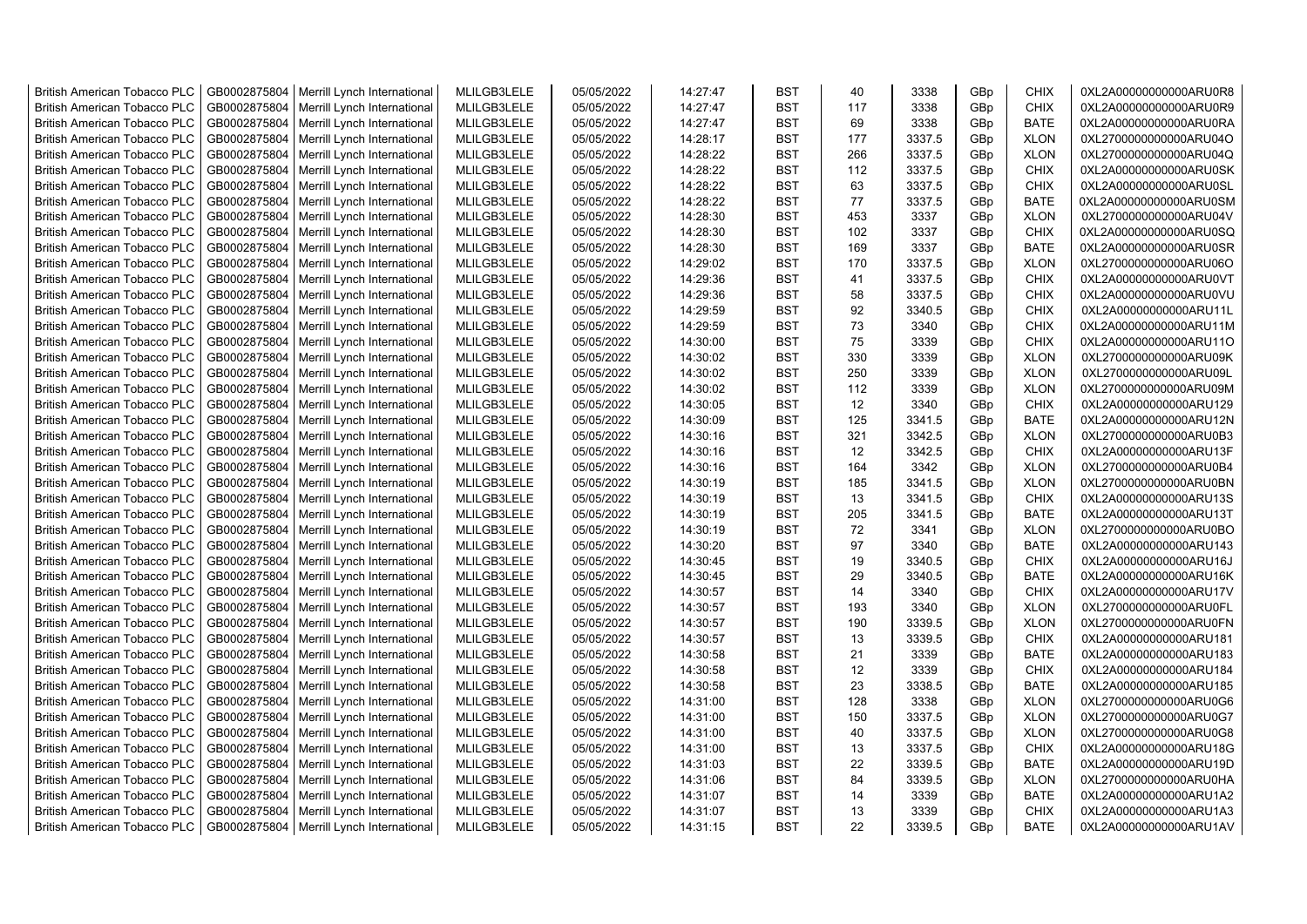| <b>British American Tobacco PLC</b> | GB0002875804 | Merrill Lynch International                | MLILGB3LELE | 05/05/2022 | 14:27:47 | <b>BST</b> | 40  | 3338   | GBp             | <b>CHIX</b> | 0XL2A00000000000ARU0R8 |
|-------------------------------------|--------------|--------------------------------------------|-------------|------------|----------|------------|-----|--------|-----------------|-------------|------------------------|
| <b>British American Tobacco PLC</b> | GB0002875804 | Merrill Lynch International                | MLILGB3LELE | 05/05/2022 | 14:27:47 | <b>BST</b> | 117 | 3338   | GBp             | <b>CHIX</b> | 0XL2A00000000000ARU0R9 |
| <b>British American Tobacco PLC</b> | GB0002875804 | Merrill Lynch International                | MLILGB3LELE | 05/05/2022 | 14:27:47 | <b>BST</b> | 69  | 3338   | GBp             | <b>BATE</b> | 0XL2A00000000000ARU0RA |
| <b>British American Tobacco PLC</b> | GB0002875804 | Merrill Lynch International                | MLILGB3LELE | 05/05/2022 | 14:28:17 | <b>BST</b> | 177 | 3337.5 | GBp             | <b>XLON</b> | 0XL2700000000000ARU04O |
| <b>British American Tobacco PLC</b> | GB0002875804 | Merrill Lynch International                | MLILGB3LELE | 05/05/2022 | 14:28:22 | <b>BST</b> | 266 | 3337.5 | GBp             | <b>XLON</b> | 0XL2700000000000ARU04Q |
| <b>British American Tobacco PLC</b> | GB0002875804 | Merrill Lynch International                | MLILGB3LELE | 05/05/2022 | 14:28:22 | <b>BST</b> | 112 | 3337.5 | GBp             | <b>CHIX</b> | 0XL2A00000000000ARU0SK |
| <b>British American Tobacco PLC</b> | GB0002875804 | Merrill Lynch International                | MLILGB3LELE | 05/05/2022 | 14:28:22 | <b>BST</b> | 63  | 3337.5 | GBp             | <b>CHIX</b> | 0XL2A00000000000ARU0SL |
| <b>British American Tobacco PLC</b> | GB0002875804 | Merrill Lynch International                | MLILGB3LELE | 05/05/2022 | 14:28:22 | <b>BST</b> | 77  | 3337.5 | GBp             | <b>BATE</b> | 0XL2A00000000000ARU0SM |
| <b>British American Tobacco PLC</b> | GB0002875804 | Merrill Lynch International                | MLILGB3LELE | 05/05/2022 | 14:28:30 | <b>BST</b> | 453 | 3337   | GBp             | <b>XLON</b> | 0XL2700000000000ARU04V |
| <b>British American Tobacco PLC</b> | GB0002875804 | Merrill Lynch International                | MLILGB3LELE | 05/05/2022 | 14:28:30 | <b>BST</b> | 102 | 3337   | GBp             | <b>CHIX</b> | 0XL2A00000000000ARU0SQ |
| <b>British American Tobacco PLC</b> | GB0002875804 | Merrill Lynch International                | MLILGB3LELE | 05/05/2022 | 14:28:30 | <b>BST</b> | 169 | 3337   | GBp             | <b>BATE</b> | 0XL2A00000000000ARU0SR |
| <b>British American Tobacco PLC</b> | GB0002875804 | Merrill Lynch International                | MLILGB3LELE | 05/05/2022 | 14:29:02 | <b>BST</b> | 170 | 3337.5 | GBp             | <b>XLON</b> | 0XL2700000000000ARU06O |
| <b>British American Tobacco PLC</b> | GB0002875804 | Merrill Lynch International                | MLILGB3LELE | 05/05/2022 | 14:29:36 | <b>BST</b> | 41  | 3337.5 | GB <sub>p</sub> | <b>CHIX</b> | 0XL2A00000000000ARU0VT |
| <b>British American Tobacco PLC</b> | GB0002875804 | Merrill Lynch International                | MLILGB3LELE | 05/05/2022 | 14:29:36 | <b>BST</b> | 58  | 3337.5 | GBp             | <b>CHIX</b> | 0XL2A00000000000ARU0VU |
| <b>British American Tobacco PLC</b> | GB0002875804 | Merrill Lynch International                | MLILGB3LELE | 05/05/2022 | 14:29:59 | <b>BST</b> | 92  | 3340.5 | GB <sub>p</sub> | <b>CHIX</b> | 0XL2A00000000000ARU11L |
| <b>British American Tobacco PLC</b> | GB0002875804 | Merrill Lynch International                | MLILGB3LELE | 05/05/2022 | 14:29:59 | <b>BST</b> | 73  | 3340   | GBp             | <b>CHIX</b> | 0XL2A00000000000ARU11M |
| <b>British American Tobacco PLC</b> | GB0002875804 | Merrill Lynch International                | MLILGB3LELE | 05/05/2022 | 14:30:00 | <b>BST</b> | 75  | 3339   | GBp             | <b>CHIX</b> | 0XL2A00000000000ARU11O |
| <b>British American Tobacco PLC</b> | GB0002875804 | Merrill Lynch International                | MLILGB3LELE | 05/05/2022 | 14:30:02 | <b>BST</b> | 330 | 3339   | GBp             | <b>XLON</b> | 0XL2700000000000ARU09K |
| <b>British American Tobacco PLC</b> | GB0002875804 | Merrill Lynch International                | MLILGB3LELE | 05/05/2022 | 14:30:02 | <b>BST</b> | 250 | 3339   | GBp             | <b>XLON</b> | 0XL2700000000000ARU09L |
| <b>British American Tobacco PLC</b> | GB0002875804 | Merrill Lynch International                | MLILGB3LELE | 05/05/2022 | 14:30:02 | <b>BST</b> | 112 | 3339   | GBp             | <b>XLON</b> | 0XL2700000000000ARU09M |
| <b>British American Tobacco PLC</b> | GB0002875804 | Merrill Lynch International                | MLILGB3LELE | 05/05/2022 | 14:30:05 | <b>BST</b> | 12  | 3340   | GBp             | <b>CHIX</b> | 0XL2A00000000000ARU129 |
| <b>British American Tobacco PLC</b> | GB0002875804 | Merrill Lynch International                | MLILGB3LELE | 05/05/2022 | 14:30:09 | <b>BST</b> | 125 | 3341.5 | GBp             | <b>BATE</b> | 0XL2A00000000000ARU12N |
| <b>British American Tobacco PLC</b> | GB0002875804 | Merrill Lynch International                | MLILGB3LELE | 05/05/2022 | 14:30:16 | <b>BST</b> | 321 | 3342.5 | GBp             | <b>XLON</b> | 0XL2700000000000ARU0B3 |
| <b>British American Tobacco PLC</b> | GB0002875804 | Merrill Lynch International                | MLILGB3LELE | 05/05/2022 | 14:30:16 | <b>BST</b> | 12  | 3342.5 | GBp             | <b>CHIX</b> | 0XL2A00000000000ARU13F |
| <b>British American Tobacco PLC</b> | GB0002875804 | Merrill Lynch International                | MLILGB3LELE | 05/05/2022 | 14:30:16 | <b>BST</b> | 164 | 3342   | GBp             | <b>XLON</b> | 0XL2700000000000ARU0B4 |
| <b>British American Tobacco PLC</b> | GB0002875804 | Merrill Lynch International                | MLILGB3LELE | 05/05/2022 | 14:30:19 | <b>BST</b> | 185 | 3341.5 | GBp             | <b>XLON</b> | 0XL2700000000000ARU0BN |
| <b>British American Tobacco PLC</b> | GB0002875804 | Merrill Lynch International                | MLILGB3LELE | 05/05/2022 | 14:30:19 | <b>BST</b> | 13  | 3341.5 | GBp             | <b>CHIX</b> | 0XL2A00000000000ARU13S |
| <b>British American Tobacco PLC</b> | GB0002875804 | Merrill Lynch International                | MLILGB3LELE | 05/05/2022 | 14:30:19 | <b>BST</b> | 205 | 3341.5 | GBp             | <b>BATE</b> | 0XL2A00000000000ARU13T |
| <b>British American Tobacco PLC</b> | GB0002875804 | Merrill Lynch International                | MLILGB3LELE | 05/05/2022 | 14:30:19 | <b>BST</b> | 72  | 3341   | GBp             | <b>XLON</b> | 0XL2700000000000ARU0BO |
| <b>British American Tobacco PLC</b> | GB0002875804 | Merrill Lynch International                | MLILGB3LELE | 05/05/2022 | 14:30:20 | <b>BST</b> | 97  | 3340   | GB <sub>p</sub> | <b>BATE</b> | 0XL2A00000000000ARU143 |
| <b>British American Tobacco PLC</b> | GB0002875804 | Merrill Lynch International                | MLILGB3LELE | 05/05/2022 | 14:30:45 | <b>BST</b> | 19  | 3340.5 | GBp             | <b>CHIX</b> | 0XL2A00000000000ARU16J |
| <b>British American Tobacco PLC</b> | GB0002875804 | Merrill Lynch International                | MLILGB3LELE | 05/05/2022 | 14:30:45 | <b>BST</b> | 29  | 3340.5 | GBp             | <b>BATE</b> | 0XL2A00000000000ARU16K |
| <b>British American Tobacco PLC</b> | GB0002875804 | Merrill Lynch International                | MLILGB3LELE | 05/05/2022 | 14:30:57 | <b>BST</b> | 14  | 3340   | GBp             | <b>CHIX</b> | 0XL2A00000000000ARU17V |
| <b>British American Tobacco PLC</b> | GB0002875804 | Merrill Lynch International                | MLILGB3LELE | 05/05/2022 | 14:30:57 | <b>BST</b> | 193 | 3340   | GBp             | <b>XLON</b> | 0XL2700000000000ARU0FL |
| <b>British American Tobacco PLC</b> | GB0002875804 | Merrill Lynch International                | MLILGB3LELE | 05/05/2022 | 14:30:57 | <b>BST</b> | 190 | 3339.5 | GBp             | <b>XLON</b> | 0XL2700000000000ARU0FN |
| <b>British American Tobacco PLC</b> | GB0002875804 | Merrill Lynch International                | MLILGB3LELE | 05/05/2022 | 14:30:57 | <b>BST</b> | 13  | 3339.5 | GBp             | <b>CHIX</b> | 0XL2A00000000000ARU181 |
| <b>British American Tobacco PLC</b> | GB0002875804 | Merrill Lynch International                | MLILGB3LELE | 05/05/2022 | 14:30:58 | <b>BST</b> | 21  | 3339   | GBp             | <b>BATE</b> | 0XL2A00000000000ARU183 |
| <b>British American Tobacco PLC</b> | GB0002875804 | Merrill Lynch International                | MLILGB3LELE | 05/05/2022 | 14:30:58 | <b>BST</b> | 12  | 3339   | GBp             | <b>CHIX</b> | 0XL2A00000000000ARU184 |
| <b>British American Tobacco PLC</b> | GB0002875804 | Merrill Lynch International                | MLILGB3LELE | 05/05/2022 | 14:30:58 | <b>BST</b> | 23  | 3338.5 | GBp             | <b>BATE</b> | 0XL2A00000000000ARU185 |
| <b>British American Tobacco PLC</b> | GB0002875804 | Merrill Lynch International                | MLILGB3LELE | 05/05/2022 | 14:31:00 | <b>BST</b> | 128 | 3338   | GBp             | <b>XLON</b> | 0XL2700000000000ARU0G6 |
| <b>British American Tobacco PLC</b> | GB0002875804 | Merrill Lynch International                | MLILGB3LELE | 05/05/2022 | 14:31:00 | <b>BST</b> | 150 | 3337.5 | GBp             | <b>XLON</b> | 0XL2700000000000ARU0G7 |
| <b>British American Tobacco PLC</b> | GB0002875804 | Merrill Lynch International                | MLILGB3LELE | 05/05/2022 | 14:31:00 | <b>BST</b> | 40  | 3337.5 | GBp             | <b>XLON</b> | 0XL2700000000000ARU0G8 |
| <b>British American Tobacco PLC</b> | GB0002875804 | Merrill Lynch International                | MLILGB3LELE | 05/05/2022 | 14:31:00 | <b>BST</b> | 13  | 3337.5 | GBp             | <b>CHIX</b> | 0XL2A00000000000ARU18G |
| <b>British American Tobacco PLC</b> | GB0002875804 | Merrill Lynch International                | MLILGB3LELE | 05/05/2022 | 14:31:03 | <b>BST</b> | 22  | 3339.5 | GBp             | <b>BATE</b> | 0XL2A00000000000ARU19D |
| <b>British American Tobacco PLC</b> | GB0002875804 | Merrill Lynch International                | MLILGB3LELE | 05/05/2022 | 14:31:06 | <b>BST</b> | 84  | 3339.5 | GBp             | <b>XLON</b> | 0XL2700000000000ARU0HA |
| <b>British American Tobacco PLC</b> | GB0002875804 | Merrill Lynch International                | MLILGB3LELE | 05/05/2022 | 14:31:07 | <b>BST</b> | 14  | 3339   | GBp             | <b>BATE</b> | 0XL2A00000000000ARU1A2 |
| <b>British American Tobacco PLC</b> | GB0002875804 | Merrill Lynch International                | MLILGB3LELE | 05/05/2022 | 14:31:07 | <b>BST</b> | 13  | 3339   | GB <sub>p</sub> | <b>CHIX</b> | 0XL2A00000000000ARU1A3 |
| <b>British American Tobacco PLC</b> |              | GB0002875804   Merrill Lynch International | MLILGB3LELE | 05/05/2022 | 14:31:15 | <b>BST</b> | 22  | 3339.5 | GBp             | <b>BATE</b> | 0XL2A00000000000ARU1AV |
|                                     |              |                                            |             |            |          |            |     |        |                 |             |                        |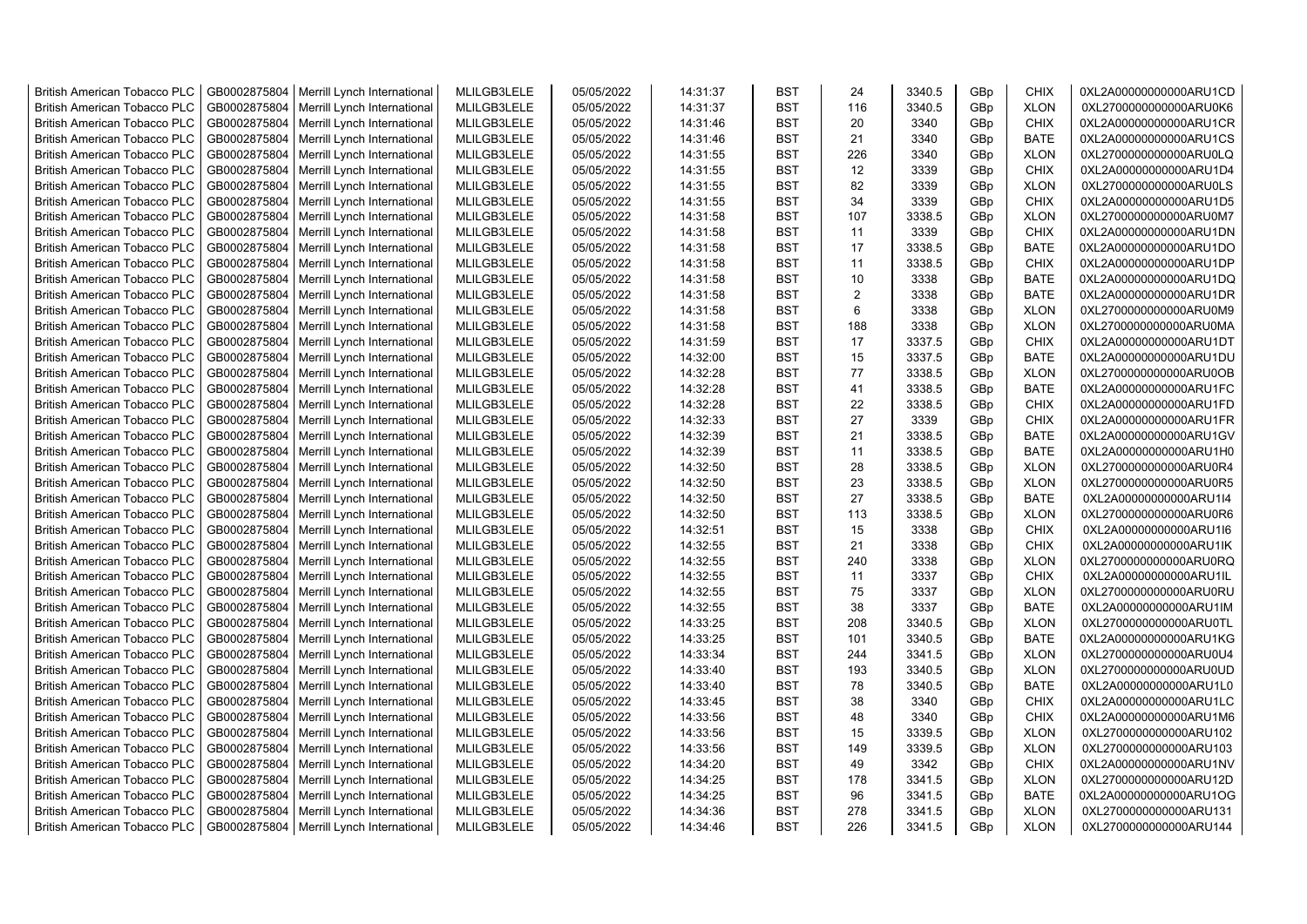| <b>British American Tobacco PLC</b> | GB0002875804 | Merrill Lynch International | MLILGB3LELE | 05/05/2022 | 14:31:37 | <b>BST</b> | 24             | 3340.5 | GBp | <b>CHIX</b> | 0XL2A00000000000ARU1CD |
|-------------------------------------|--------------|-----------------------------|-------------|------------|----------|------------|----------------|--------|-----|-------------|------------------------|
| <b>British American Tobacco PLC</b> | GB0002875804 | Merrill Lynch International | MLILGB3LELE | 05/05/2022 | 14:31:37 | <b>BST</b> | 116            | 3340.5 | GBp | <b>XLON</b> | 0XL2700000000000ARU0K6 |
| <b>British American Tobacco PLC</b> | GB0002875804 | Merrill Lynch International | MLILGB3LELE | 05/05/2022 | 14:31:46 | <b>BST</b> | 20             | 3340   | GBp | <b>CHIX</b> | 0XL2A00000000000ARU1CR |
| <b>British American Tobacco PLC</b> | GB0002875804 | Merrill Lynch International | MLILGB3LELE | 05/05/2022 | 14:31:46 | <b>BST</b> | 21             | 3340   | GBp | <b>BATE</b> | 0XL2A00000000000ARU1CS |
| <b>British American Tobacco PLC</b> | GB0002875804 | Merrill Lynch International | MLILGB3LELE | 05/05/2022 | 14:31:55 | <b>BST</b> | 226            | 3340   | GBp | <b>XLON</b> | 0XL2700000000000ARU0LQ |
| <b>British American Tobacco PLC</b> | GB0002875804 | Merrill Lynch International | MLILGB3LELE | 05/05/2022 | 14:31:55 | <b>BST</b> | 12             | 3339   | GBp | <b>CHIX</b> | 0XL2A00000000000ARU1D4 |
| <b>British American Tobacco PLC</b> | GB0002875804 | Merrill Lynch International | MLILGB3LELE | 05/05/2022 | 14:31:55 | <b>BST</b> | 82             | 3339   | GBp | <b>XLON</b> | 0XL2700000000000ARU0LS |
| <b>British American Tobacco PLC</b> | GB0002875804 | Merrill Lynch International | MLILGB3LELE | 05/05/2022 | 14:31:55 | <b>BST</b> | 34             | 3339   | GBp | <b>CHIX</b> | 0XL2A00000000000ARU1D5 |
| <b>British American Tobacco PLC</b> | GB0002875804 | Merrill Lynch International | MLILGB3LELE | 05/05/2022 | 14:31:58 | <b>BST</b> | 107            | 3338.5 | GBp | <b>XLON</b> | 0XL2700000000000ARU0M7 |
| <b>British American Tobacco PLC</b> | GB0002875804 | Merrill Lynch International | MLILGB3LELE | 05/05/2022 | 14:31:58 | <b>BST</b> | 11             | 3339   | GBp | <b>CHIX</b> | 0XL2A00000000000ARU1DN |
| <b>British American Tobacco PLC</b> | GB0002875804 | Merrill Lynch International | MLILGB3LELE | 05/05/2022 | 14:31:58 | <b>BST</b> | 17             | 3338.5 | GBp | <b>BATE</b> | 0XL2A00000000000ARU1DO |
| <b>British American Tobacco PLC</b> | GB0002875804 | Merrill Lynch International | MLILGB3LELE | 05/05/2022 | 14:31:58 | <b>BST</b> | 11             | 3338.5 | GBp | <b>CHIX</b> | 0XL2A00000000000ARU1DP |
| <b>British American Tobacco PLC</b> | GB0002875804 | Merrill Lynch International | MLILGB3LELE | 05/05/2022 | 14:31:58 | <b>BST</b> | 10             | 3338   | GBp | <b>BATE</b> | 0XL2A00000000000ARU1DQ |
| <b>British American Tobacco PLC</b> | GB0002875804 | Merrill Lynch International | MLILGB3LELE | 05/05/2022 | 14:31:58 | <b>BST</b> | $\overline{2}$ | 3338   | GBp | <b>BATE</b> | 0XL2A00000000000ARU1DR |
| <b>British American Tobacco PLC</b> | GB0002875804 | Merrill Lynch International | MLILGB3LELE | 05/05/2022 | 14:31:58 | <b>BST</b> | 6              | 3338   | GBp | <b>XLON</b> | 0XL2700000000000ARU0M9 |
| <b>British American Tobacco PLC</b> | GB0002875804 | Merrill Lynch International | MLILGB3LELE | 05/05/2022 | 14:31:58 | <b>BST</b> | 188            | 3338   | GBp | <b>XLON</b> | 0XL2700000000000ARU0MA |
| British American Tobacco PLC        | GB0002875804 | Merrill Lynch International | MLILGB3LELE | 05/05/2022 | 14:31:59 | <b>BST</b> | 17             | 3337.5 | GBp | <b>CHIX</b> | 0XL2A00000000000ARU1DT |
| <b>British American Tobacco PLC</b> | GB0002875804 | Merrill Lynch International | MLILGB3LELE | 05/05/2022 | 14:32:00 | <b>BST</b> | 15             | 3337.5 | GBp | <b>BATE</b> | 0XL2A00000000000ARU1DU |
| <b>British American Tobacco PLC</b> | GB0002875804 | Merrill Lynch International | MLILGB3LELE | 05/05/2022 | 14:32:28 | <b>BST</b> | 77             | 3338.5 | GBp | <b>XLON</b> | 0XL2700000000000ARU0OB |
| <b>British American Tobacco PLC</b> | GB0002875804 | Merrill Lynch International | MLILGB3LELE | 05/05/2022 | 14:32:28 | <b>BST</b> | 41             | 3338.5 | GBp | <b>BATE</b> | 0XL2A00000000000ARU1FC |
| <b>British American Tobacco PLC</b> | GB0002875804 | Merrill Lynch International | MLILGB3LELE | 05/05/2022 | 14:32:28 | <b>BST</b> | 22             | 3338.5 | GBp | <b>CHIX</b> | 0XL2A00000000000ARU1FD |
| <b>British American Tobacco PLC</b> | GB0002875804 | Merrill Lynch International | MLILGB3LELE | 05/05/2022 | 14:32:33 | <b>BST</b> | 27             | 3339   | GBp | <b>CHIX</b> | 0XL2A00000000000ARU1FR |
| <b>British American Tobacco PLC</b> | GB0002875804 | Merrill Lynch International | MLILGB3LELE | 05/05/2022 | 14:32:39 | <b>BST</b> | 21             | 3338.5 | GBp | <b>BATE</b> | 0XL2A00000000000ARU1GV |
| <b>British American Tobacco PLC</b> | GB0002875804 | Merrill Lynch International | MLILGB3LELE | 05/05/2022 | 14:32:39 | <b>BST</b> | 11             | 3338.5 | GBp | <b>BATE</b> | 0XL2A00000000000ARU1H0 |
| <b>British American Tobacco PLC</b> | GB0002875804 | Merrill Lynch International | MLILGB3LELE | 05/05/2022 | 14:32:50 | <b>BST</b> | 28             | 3338.5 | GBp | <b>XLON</b> | 0XL2700000000000ARU0R4 |
| <b>British American Tobacco PLC</b> | GB0002875804 | Merrill Lynch International | MLILGB3LELE | 05/05/2022 | 14:32:50 | <b>BST</b> | 23             | 3338.5 | GBp | <b>XLON</b> | 0XL2700000000000ARU0R5 |
| <b>British American Tobacco PLC</b> | GB0002875804 | Merrill Lynch International | MLILGB3LELE | 05/05/2022 | 14:32:50 | <b>BST</b> | 27             | 3338.5 | GBp | <b>BATE</b> | 0XL2A00000000000ARU1I4 |
| <b>British American Tobacco PLC</b> | GB0002875804 | Merrill Lynch International | MLILGB3LELE | 05/05/2022 | 14:32:50 | <b>BST</b> | 113            | 3338.5 | GBp | <b>XLON</b> | 0XL2700000000000ARU0R6 |
| <b>British American Tobacco PLC</b> | GB0002875804 | Merrill Lynch International | MLILGB3LELE | 05/05/2022 | 14:32:51 | BST        | 15             | 3338   | GBp | <b>CHIX</b> | 0XL2A00000000000ARU1l6 |
| <b>British American Tobacco PLC</b> | GB0002875804 | Merrill Lynch International | MLILGB3LELE | 05/05/2022 | 14:32:55 | <b>BST</b> | 21             | 3338   | GBp | <b>CHIX</b> | 0XL2A00000000000ARU1IK |
| <b>British American Tobacco PLC</b> | GB0002875804 | Merrill Lynch International | MLILGB3LELE | 05/05/2022 | 14:32:55 | <b>BST</b> | 240            | 3338   | GBp | <b>XLON</b> | 0XL2700000000000ARU0RQ |
| <b>British American Tobacco PLC</b> | GB0002875804 | Merrill Lynch International | MLILGB3LELE | 05/05/2022 | 14:32:55 | <b>BST</b> | 11             | 3337   | GBp | <b>CHIX</b> | 0XL2A00000000000ARU1IL |
| <b>British American Tobacco PLC</b> | GB0002875804 | Merrill Lynch International | MLILGB3LELE | 05/05/2022 | 14:32:55 | <b>BST</b> | 75             | 3337   | GBp | <b>XLON</b> | 0XL2700000000000ARU0RU |
| <b>British American Tobacco PLC</b> | GB0002875804 | Merrill Lynch International | MLILGB3LELE | 05/05/2022 | 14:32:55 | <b>BST</b> | 38             | 3337   | GBp | <b>BATE</b> | 0XL2A00000000000ARU1IM |
| <b>British American Tobacco PLC</b> | GB0002875804 | Merrill Lynch International | MLILGB3LELE | 05/05/2022 | 14:33:25 | <b>BST</b> | 208            | 3340.5 | GBp | <b>XLON</b> | 0XL2700000000000ARU0TL |
| <b>British American Tobacco PLC</b> | GB0002875804 | Merrill Lynch International | MLILGB3LELE | 05/05/2022 | 14:33:25 | <b>BST</b> | 101            | 3340.5 | GBp | <b>BATE</b> | 0XL2A00000000000ARU1KG |
| British American Tobacco PLC        | GB0002875804 | Merrill Lynch International | MLILGB3LELE | 05/05/2022 | 14:33:34 | <b>BST</b> | 244            | 3341.5 | GBp | <b>XLON</b> | 0XL2700000000000ARU0U4 |
| British American Tobacco PLC        | GB0002875804 | Merrill Lynch International | MLILGB3LELE | 05/05/2022 | 14:33:40 | <b>BST</b> | 193            | 3340.5 | GBp | <b>XLON</b> | 0XL2700000000000ARU0UD |
| <b>British American Tobacco PLC</b> | GB0002875804 | Merrill Lynch International | MLILGB3LELE | 05/05/2022 | 14:33:40 | <b>BST</b> | 78             | 3340.5 | GBp | <b>BATE</b> | 0XL2A00000000000ARU1L0 |
| <b>British American Tobacco PLC</b> | GB0002875804 | Merrill Lynch International | MLILGB3LELE | 05/05/2022 | 14:33:45 | <b>BST</b> | 38             | 3340   | GBp | <b>CHIX</b> | 0XL2A00000000000ARU1LC |
| <b>British American Tobacco PLC</b> | GB0002875804 | Merrill Lynch International | MLILGB3LELE | 05/05/2022 | 14:33:56 | <b>BST</b> | 48             | 3340   | GBp | <b>CHIX</b> | 0XL2A00000000000ARU1M6 |
| <b>British American Tobacco PLC</b> | GB0002875804 | Merrill Lynch International | MLILGB3LELE | 05/05/2022 | 14:33:56 | <b>BST</b> | 15             | 3339.5 | GBp | <b>XLON</b> | 0XL2700000000000ARU102 |
| <b>British American Tobacco PLC</b> | GB0002875804 | Merrill Lynch International | MLILGB3LELE | 05/05/2022 | 14:33:56 | <b>BST</b> | 149            | 3339.5 | GBp | <b>XLON</b> | 0XL2700000000000ARU103 |
| <b>British American Tobacco PLC</b> | GB0002875804 | Merrill Lynch International | MLILGB3LELE | 05/05/2022 | 14:34:20 | <b>BST</b> | 49             | 3342   | GBp | <b>CHIX</b> | 0XL2A00000000000ARU1NV |
| <b>British American Tobacco PLC</b> | GB0002875804 | Merrill Lynch International | MLILGB3LELE | 05/05/2022 | 14:34:25 | <b>BST</b> | 178            | 3341.5 | GBp | <b>XLON</b> | 0XL2700000000000ARU12D |
| <b>British American Tobacco PLC</b> | GB0002875804 | Merrill Lynch International | MLILGB3LELE | 05/05/2022 | 14:34:25 | <b>BST</b> | 96             | 3341.5 | GBp | <b>BATE</b> | 0XL2A00000000000ARU1OG |
| <b>British American Tobacco PLC</b> | GB0002875804 | Merrill Lynch International | MLILGB3LELE | 05/05/2022 | 14:34:36 | <b>BST</b> | 278            | 3341.5 | GBp | <b>XLON</b> | 0XL2700000000000ARU131 |
| <b>British American Tobacco PLC</b> | GB0002875804 | Merrill Lynch International | MLILGB3LELE | 05/05/2022 | 14:34:46 | <b>BST</b> | 226            | 3341.5 | GBp | <b>XLON</b> | 0XL2700000000000ARU144 |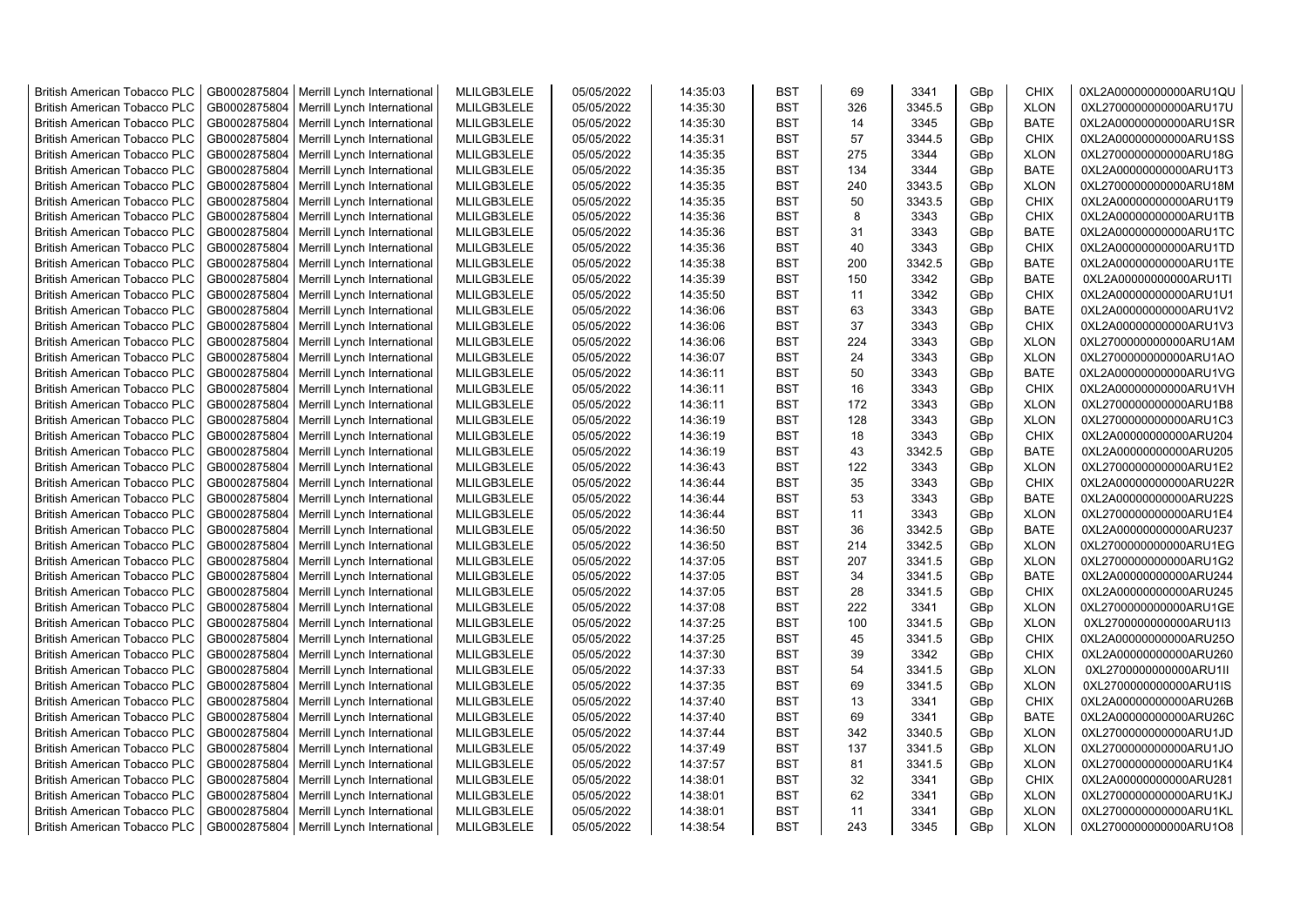| <b>British American Tobacco PLC</b>                                 | GB0002875804 | Merrill Lynch International                                | MLILGB3LELE | 05/05/2022 | 14:35:03             | <b>BST</b>               | 69  | 3341   | GBp             | <b>CHIX</b>                | 0XL2A00000000000ARU1QU                           |
|---------------------------------------------------------------------|--------------|------------------------------------------------------------|-------------|------------|----------------------|--------------------------|-----|--------|-----------------|----------------------------|--------------------------------------------------|
| <b>British American Tobacco PLC</b>                                 | GB0002875804 | Merrill Lynch International                                | MLILGB3LELE | 05/05/2022 | 14:35:30             | <b>BST</b>               | 326 | 3345.5 | GBp             | <b>XLON</b>                | 0XL2700000000000ARU17U                           |
| <b>British American Tobacco PLC</b>                                 | GB0002875804 | Merrill Lynch International                                | MLILGB3LELE | 05/05/2022 | 14:35:30             | <b>BST</b>               | 14  | 3345   | GBp             | <b>BATE</b>                | 0XL2A00000000000ARU1SR                           |
| <b>British American Tobacco PLC</b>                                 | GB0002875804 | Merrill Lynch International                                | MLILGB3LELE | 05/05/2022 | 14:35:31             | <b>BST</b>               | 57  | 3344.5 | GBp             | <b>CHIX</b>                | 0XL2A00000000000ARU1SS                           |
| British American Tobacco PLC                                        | GB0002875804 | Merrill Lynch International                                | MLILGB3LELE | 05/05/2022 | 14:35:35             | <b>BST</b>               | 275 | 3344   | GBp             | <b>XLON</b>                | 0XL2700000000000ARU18G                           |
| <b>British American Tobacco PLC</b>                                 | GB0002875804 | Merrill Lynch International                                | MLILGB3LELE | 05/05/2022 | 14:35:35             | <b>BST</b>               | 134 | 3344   | GBp             | <b>BATE</b>                | 0XL2A00000000000ARU1T3                           |
| <b>British American Tobacco PLC</b>                                 | GB0002875804 | Merrill Lynch International                                | MLILGB3LELE | 05/05/2022 | 14:35:35             | <b>BST</b>               | 240 | 3343.5 | GBp             | <b>XLON</b>                | 0XL2700000000000ARU18M                           |
| <b>British American Tobacco PLC</b>                                 | GB0002875804 | Merrill Lynch International                                | MLILGB3LELE | 05/05/2022 | 14:35:35             | <b>BST</b>               | 50  | 3343.5 | GBp             | <b>CHIX</b>                | 0XL2A00000000000ARU1T9                           |
| <b>British American Tobacco PLC</b>                                 | GB0002875804 | Merrill Lynch International                                | MLILGB3LELE | 05/05/2022 | 14:35:36             | <b>BST</b>               | 8   | 3343   | GBp             | <b>CHIX</b>                | 0XL2A00000000000ARU1TB                           |
| <b>British American Tobacco PLC</b>                                 | GB0002875804 | Merrill Lynch International                                | MLILGB3LELE | 05/05/2022 | 14:35:36             | <b>BST</b>               | 31  | 3343   | GBp             | <b>BATE</b>                | 0XL2A00000000000ARU1TC                           |
| <b>British American Tobacco PLC</b>                                 | GB0002875804 | Merrill Lynch International                                | MLILGB3LELE | 05/05/2022 | 14:35:36             | <b>BST</b>               | 40  | 3343   | GBp             | <b>CHIX</b>                | 0XL2A00000000000ARU1TD                           |
| British American Tobacco PLC                                        | GB0002875804 | Merrill Lynch International                                | MLILGB3LELE | 05/05/2022 | 14:35:38             | <b>BST</b>               | 200 | 3342.5 | GBp             | <b>BATE</b>                | 0XL2A00000000000ARU1TE                           |
| <b>British American Tobacco PLC</b>                                 | GB0002875804 | Merrill Lynch International                                | MLILGB3LELE | 05/05/2022 | 14:35:39             | <b>BST</b>               | 150 | 3342   | GB <sub>p</sub> | <b>BATE</b>                | 0XL2A00000000000ARU1TI                           |
| <b>British American Tobacco PLC</b>                                 | GB0002875804 | Merrill Lynch International                                | MLILGB3LELE | 05/05/2022 | 14:35:50             | <b>BST</b>               | 11  | 3342   | GBp             | <b>CHIX</b>                | 0XL2A00000000000ARU1U1                           |
| <b>British American Tobacco PLC</b>                                 | GB0002875804 | Merrill Lynch International                                | MLILGB3LELE | 05/05/2022 | 14:36:06             | <b>BST</b>               | 63  | 3343   | GBp             | <b>BATE</b>                | 0XL2A00000000000ARU1V2                           |
| <b>British American Tobacco PLC</b>                                 | GB0002875804 | Merrill Lynch International                                | MLILGB3LELE | 05/05/2022 | 14:36:06             | <b>BST</b>               | 37  | 3343   | GBp             | <b>CHIX</b>                | 0XL2A00000000000ARU1V3                           |
| <b>British American Tobacco PLC</b>                                 | GB0002875804 | Merrill Lynch International                                | MLILGB3LELE | 05/05/2022 | 14:36:06             | <b>BST</b>               | 224 | 3343   | GBp             | <b>XLON</b>                | 0XL2700000000000ARU1AM                           |
| <b>British American Tobacco PLC</b>                                 | GB0002875804 | Merrill Lynch International                                | MLILGB3LELE | 05/05/2022 | 14:36:07             | <b>BST</b>               | 24  | 3343   | GBp             | <b>XLON</b>                | 0XL2700000000000ARU1AO                           |
| <b>British American Tobacco PLC</b>                                 | GB0002875804 | Merrill Lynch International                                | MLILGB3LELE | 05/05/2022 | 14:36:11             | <b>BST</b>               | 50  | 3343   | GBp             | <b>BATE</b>                | 0XL2A00000000000ARU1VG                           |
| <b>British American Tobacco PLC</b>                                 | GB0002875804 | Merrill Lynch International                                | MLILGB3LELE | 05/05/2022 | 14:36:11             | <b>BST</b>               | 16  | 3343   | GBp             | <b>CHIX</b>                | 0XL2A00000000000ARU1VH                           |
| <b>British American Tobacco PLC</b>                                 | GB0002875804 | Merrill Lynch International                                | MLILGB3LELE | 05/05/2022 | 14:36:11             | <b>BST</b>               | 172 | 3343   | GBp             | <b>XLON</b>                | 0XL2700000000000ARU1B8                           |
| <b>British American Tobacco PLC</b>                                 | GB0002875804 | Merrill Lynch International                                | MLILGB3LELE | 05/05/2022 | 14:36:19             | <b>BST</b>               | 128 | 3343   | GBp             | <b>XLON</b>                | 0XL2700000000000ARU1C3                           |
| <b>British American Tobacco PLC</b>                                 | GB0002875804 | Merrill Lynch International                                | MLILGB3LELE | 05/05/2022 | 14:36:19             | <b>BST</b>               | 18  | 3343   | GBp             | <b>CHIX</b>                | 0XL2A00000000000ARU204                           |
| <b>British American Tobacco PLC</b>                                 | GB0002875804 | Merrill Lynch International                                | MLILGB3LELE | 05/05/2022 | 14:36:19             | <b>BST</b>               | 43  | 3342.5 | GBp             | <b>BATE</b>                | 0XL2A00000000000ARU205                           |
|                                                                     | GB0002875804 |                                                            | MLILGB3LELE | 05/05/2022 |                      |                          | 122 | 3343   |                 |                            |                                                  |
| <b>British American Tobacco PLC</b><br>British American Tobacco PLC | GB0002875804 | Merrill Lynch International<br>Merrill Lynch International | MLILGB3LELE | 05/05/2022 | 14:36:43<br>14:36:44 | <b>BST</b><br><b>BST</b> | 35  | 3343   | GBp<br>GBp      | <b>XLON</b><br><b>CHIX</b> | 0XL2700000000000ARU1E2<br>0XL2A00000000000ARU22R |
| British American Tobacco PLC                                        | GB0002875804 | Merrill Lynch International                                | MLILGB3LELE | 05/05/2022 | 14:36:44             | <b>BST</b>               | 53  | 3343   | GBp             | <b>BATE</b>                | 0XL2A00000000000ARU22S                           |
|                                                                     | GB0002875804 |                                                            | MLILGB3LELE | 05/05/2022 |                      | <b>BST</b>               | 11  | 3343   |                 | <b>XLON</b>                |                                                  |
| British American Tobacco PLC                                        | GB0002875804 | Merrill Lynch International                                | MLILGB3LELE |            | 14:36:44             |                          | 36  | 3342.5 | GBp             | <b>BATE</b>                | 0XL2700000000000ARU1E4                           |
| <b>British American Tobacco PLC</b>                                 |              | Merrill Lynch International                                |             | 05/05/2022 | 14:36:50             | <b>BST</b><br><b>BST</b> |     |        | GBp             |                            | 0XL2A00000000000ARU237                           |
| <b>British American Tobacco PLC</b>                                 | GB0002875804 | Merrill Lynch International                                | MLILGB3LELE | 05/05/2022 | 14:36:50             |                          | 214 | 3342.5 | GBp             | <b>XLON</b>                | 0XL2700000000000ARU1EG                           |
| <b>British American Tobacco PLC</b>                                 | GB0002875804 | Merrill Lynch International                                | MLILGB3LELE | 05/05/2022 | 14:37:05             | <b>BST</b>               | 207 | 3341.5 | GBp             | <b>XLON</b>                | 0XL2700000000000ARU1G2                           |
| <b>British American Tobacco PLC</b>                                 | GB0002875804 | Merrill Lynch International                                | MLILGB3LELE | 05/05/2022 | 14:37:05             | <b>BST</b>               | 34  | 3341.5 | GBp             | <b>BATE</b>                | 0XL2A00000000000ARU244                           |
| <b>British American Tobacco PLC</b>                                 | GB0002875804 | Merrill Lynch International                                | MLILGB3LELE | 05/05/2022 | 14:37:05             | <b>BST</b>               | 28  | 3341.5 | GBp             | <b>CHIX</b>                | 0XL2A00000000000ARU245                           |
| <b>British American Tobacco PLC</b>                                 | GB0002875804 | Merrill Lynch International                                | MLILGB3LELE | 05/05/2022 | 14:37:08             | <b>BST</b>               | 222 | 3341   | GBp             | <b>XLON</b>                | 0XL2700000000000ARU1GE                           |
| British American Tobacco PLC                                        | GB0002875804 | Merrill Lynch International                                | MLILGB3LELE | 05/05/2022 | 14:37:25             | <b>BST</b>               | 100 | 3341.5 | GBp             | <b>XLON</b>                | 0XL2700000000000ARU1I3                           |
| <b>British American Tobacco PLC</b>                                 | GB0002875804 | Merrill Lynch International                                | MLILGB3LELE | 05/05/2022 | 14:37:25             | <b>BST</b>               | 45  | 3341.5 | GBp             | <b>CHIX</b>                | 0XL2A00000000000ARU25O                           |
| British American Tobacco PLC                                        | GB0002875804 | Merrill Lynch International                                | MLILGB3LELE | 05/05/2022 | 14:37:30             | <b>BST</b>               | 39  | 3342   | GBp             | <b>CHIX</b>                | 0XL2A00000000000ARU260                           |
| <b>British American Tobacco PLC</b>                                 | GB0002875804 | Merrill Lynch International                                | MLILGB3LELE | 05/05/2022 | 14:37:33             | <b>BST</b>               | 54  | 3341.5 | GBp             | <b>XLON</b>                | 0XL2700000000000ARU1II                           |
| <b>British American Tobacco PLC</b>                                 | GB0002875804 | Merrill Lynch International                                | MLILGB3LELE | 05/05/2022 | 14:37:35             | <b>BST</b>               | 69  | 3341.5 | GBp             | <b>XLON</b>                | 0XL2700000000000ARU1IS                           |
| <b>British American Tobacco PLC</b>                                 | GB0002875804 | Merrill Lynch International                                | MLILGB3LELE | 05/05/2022 | 14:37:40             | <b>BST</b>               | 13  | 3341   | GBp             | <b>CHIX</b>                | 0XL2A00000000000ARU26B                           |
| British American Tobacco PLC                                        | GB0002875804 | Merrill Lynch International                                | MLILGB3LELE | 05/05/2022 | 14:37:40             | <b>BST</b>               | 69  | 3341   | GBp             | <b>BATE</b>                | 0XL2A00000000000ARU26C                           |
| <b>British American Tobacco PLC</b>                                 | GB0002875804 | Merrill Lynch International                                | MLILGB3LELE | 05/05/2022 | 14:37:44             | <b>BST</b>               | 342 | 3340.5 | GBp             | <b>XLON</b>                | 0XL2700000000000ARU1JD                           |
| British American Tobacco PLC                                        | GB0002875804 | Merrill Lynch International                                | MLILGB3LELE | 05/05/2022 | 14:37:49             | <b>BST</b>               | 137 | 3341.5 | GBp             | <b>XLON</b>                | 0XL2700000000000ARU1JO                           |
| British American Tobacco PLC                                        | GB0002875804 | Merrill Lynch International                                | MLILGB3LELE | 05/05/2022 | 14:37:57             | <b>BST</b>               | 81  | 3341.5 | GBp             | <b>XLON</b>                | 0XL2700000000000ARU1K4                           |
| <b>British American Tobacco PLC</b>                                 | GB0002875804 | Merrill Lynch International                                | MLILGB3LELE | 05/05/2022 | 14:38:01             | <b>BST</b>               | 32  | 3341   | GBp             | <b>CHIX</b>                | 0XL2A00000000000ARU281                           |
| <b>British American Tobacco PLC</b>                                 | GB0002875804 | Merrill Lynch International                                | MLILGB3LELE | 05/05/2022 | 14:38:01             | <b>BST</b>               | 62  | 3341   | GBp             | <b>XLON</b>                | 0XL2700000000000ARU1KJ                           |
| <b>British American Tobacco PLC</b>                                 | GB0002875804 | Merrill Lynch International                                | MLILGB3LELE | 05/05/2022 | 14:38:01             | <b>BST</b>               | 11  | 3341   | GB <sub>p</sub> | <b>XLON</b>                | 0XL2700000000000ARU1KL                           |
| <b>British American Tobacco PLC</b>                                 | GB0002875804 | Merrill Lynch International                                | MLILGB3LELE | 05/05/2022 | 14:38:54             | <b>BST</b>               | 243 | 3345   | GB <sub>p</sub> | <b>XLON</b>                | 0XL2700000000000ARU1O8                           |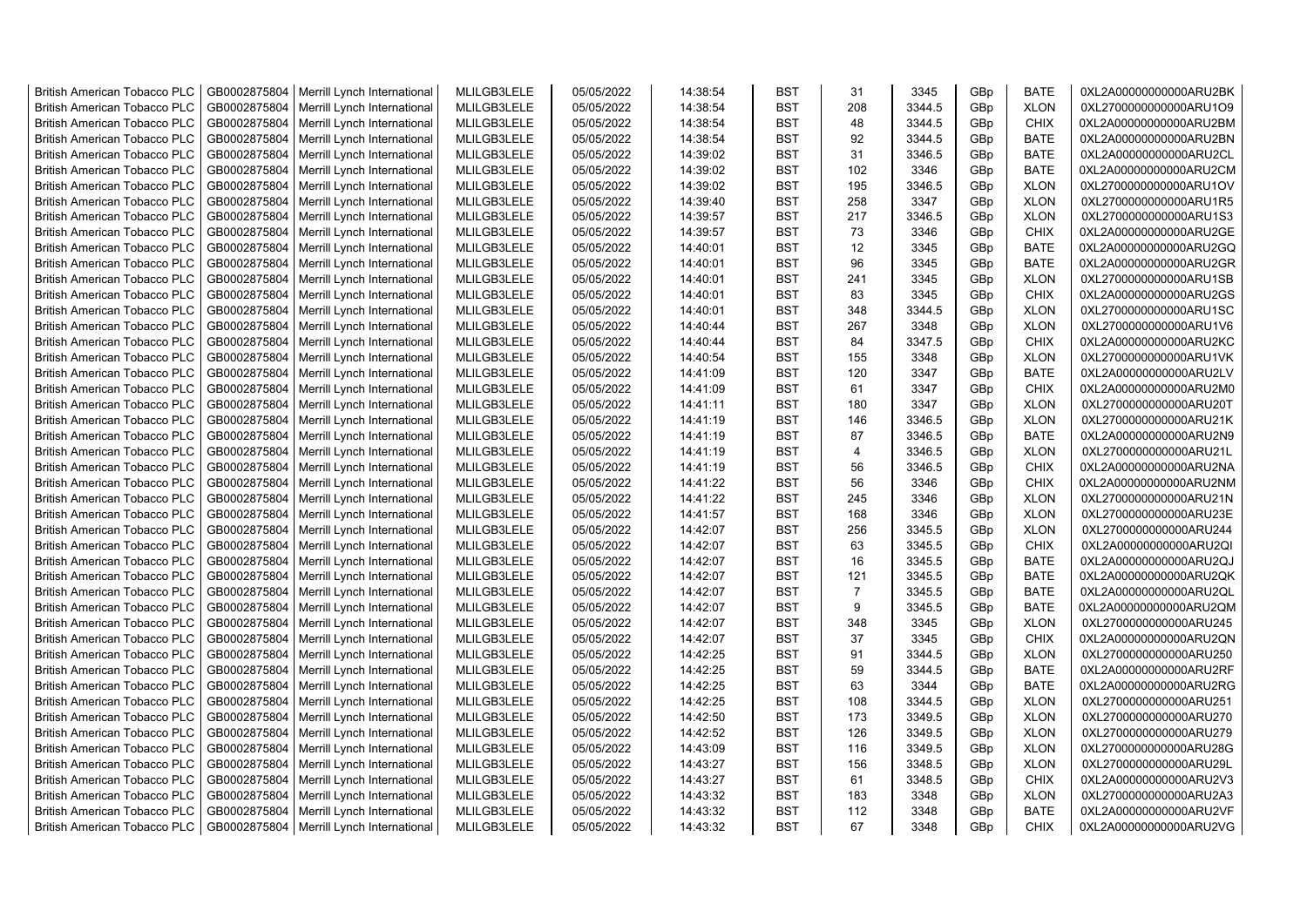| <b>British American Tobacco PLC</b> | GB0002875804                 | Merrill Lynch International                | MLILGB3LELE | 05/05/2022 | 14:38:54 | <b>BST</b> | 31             | 3345   | GBp             | <b>BATE</b> | 0XL2A00000000000ARU2BK |
|-------------------------------------|------------------------------|--------------------------------------------|-------------|------------|----------|------------|----------------|--------|-----------------|-------------|------------------------|
| <b>British American Tobacco PLC</b> | GB0002875804                 | Merrill Lynch International                | MLILGB3LELE | 05/05/2022 | 14:38:54 | <b>BST</b> | 208            | 3344.5 | GBp             | <b>XLON</b> | 0XL2700000000000ARU1O9 |
| <b>British American Tobacco PLC</b> | GB0002875804                 | Merrill Lynch International                | MLILGB3LELE | 05/05/2022 | 14:38:54 | <b>BST</b> | 48             | 3344.5 | GBp             | <b>CHIX</b> | 0XL2A00000000000ARU2BM |
| <b>British American Tobacco PLC</b> | GB0002875804                 | Merrill Lynch International                | MLILGB3LELE | 05/05/2022 | 14:38:54 | <b>BST</b> | 92             | 3344.5 | GBp             | <b>BATE</b> | 0XL2A00000000000ARU2BN |
| <b>British American Tobacco PLC</b> | GB0002875804                 | Merrill Lynch International                | MLILGB3LELE | 05/05/2022 | 14:39:02 | <b>BST</b> | 31             | 3346.5 | GBp             | <b>BATE</b> | 0XL2A00000000000ARU2CL |
| <b>British American Tobacco PLC</b> | GB0002875804                 | Merrill Lynch International                | MLILGB3LELE | 05/05/2022 | 14:39:02 | <b>BST</b> | 102            | 3346   | GBp             | <b>BATE</b> | 0XL2A00000000000ARU2CM |
| <b>British American Tobacco PLC</b> | GB0002875804                 | Merrill Lynch International                | MLILGB3LELE | 05/05/2022 | 14:39:02 | <b>BST</b> | 195            | 3346.5 | GBp             | <b>XLON</b> | 0XL2700000000000ARU1OV |
| <b>British American Tobacco PLC</b> | GB0002875804                 | Merrill Lynch International                | MLILGB3LELE | 05/05/2022 | 14:39:40 | <b>BST</b> | 258            | 3347   | GBp             | <b>XLON</b> | 0XL2700000000000ARU1R5 |
| <b>British American Tobacco PLC</b> | GB0002875804                 | Merrill Lynch International                | MLILGB3LELE | 05/05/2022 | 14:39:57 | <b>BST</b> | 217            | 3346.5 | GBp             | <b>XLON</b> | 0XL2700000000000ARU1S3 |
| <b>British American Tobacco PLC</b> | GB0002875804                 | Merrill Lynch International                | MLILGB3LELE | 05/05/2022 | 14:39:57 | <b>BST</b> | 73             | 3346   | GBp             | <b>CHIX</b> | 0XL2A00000000000ARU2GE |
| <b>British American Tobacco PLC</b> | GB0002875804                 | Merrill Lynch International                | MLILGB3LELE | 05/05/2022 | 14:40:01 | <b>BST</b> | 12             | 3345   | GBp             | <b>BATE</b> | 0XL2A00000000000ARU2GQ |
| <b>British American Tobacco PLC</b> | GB0002875804                 | Merrill Lynch International                | MLILGB3LELE | 05/05/2022 | 14:40:01 | <b>BST</b> | 96             | 3345   | GBp             | <b>BATE</b> | 0XL2A00000000000ARU2GR |
| <b>British American Tobacco PLC</b> | GB0002875804                 | Merrill Lynch International                | MLILGB3LELE | 05/05/2022 | 14:40:01 | <b>BST</b> | 241            | 3345   | GB <sub>p</sub> | <b>XLON</b> | 0XL2700000000000ARU1SB |
| <b>British American Tobacco PLC</b> | GB0002875804                 | Merrill Lynch International                | MLILGB3LELE | 05/05/2022 | 14:40:01 | <b>BST</b> | 83             | 3345   | GBp             | <b>CHIX</b> | 0XL2A00000000000ARU2GS |
| <b>British American Tobacco PLC</b> | GB0002875804                 | Merrill Lynch International                | MLILGB3LELE | 05/05/2022 | 14:40:01 | <b>BST</b> | 348            | 3344.5 | GBp             | <b>XLON</b> | 0XL2700000000000ARU1SC |
| <b>British American Tobacco PLC</b> | GB0002875804                 | Merrill Lynch International                | MLILGB3LELE | 05/05/2022 | 14:40:44 | <b>BST</b> | 267            | 3348   | GBp             | <b>XLON</b> | 0XL2700000000000ARU1V6 |
| <b>British American Tobacco PLC</b> | GB0002875804                 | Merrill Lynch International                | MLILGB3LELE | 05/05/2022 | 14:40:44 | <b>BST</b> | 84             | 3347.5 | GBp             | <b>CHIX</b> | 0XL2A00000000000ARU2KC |
|                                     |                              |                                            |             |            |          | <b>BST</b> | 155            |        |                 |             |                        |
| <b>British American Tobacco PLC</b> | GB0002875804                 | Merrill Lynch International                | MLILGB3LELE | 05/05/2022 | 14:40:54 |            |                | 3348   | GBp             | <b>XLON</b> | 0XL2700000000000ARU1VK |
| <b>British American Tobacco PLC</b> | GB0002875804                 | Merrill Lynch International                | MLILGB3LELE | 05/05/2022 | 14:41:09 | <b>BST</b> | 120            | 3347   | GBp             | <b>BATE</b> | 0XL2A00000000000ARU2LV |
| <b>British American Tobacco PLC</b> | GB0002875804                 | Merrill Lynch International                | MLILGB3LELE | 05/05/2022 | 14:41:09 | <b>BST</b> | 61             | 3347   | GBp             | <b>CHIX</b> | 0XL2A00000000000ARU2M0 |
| <b>British American Tobacco PLC</b> | GB0002875804                 | Merrill Lynch International                | MLILGB3LELE | 05/05/2022 | 14:41:11 | <b>BST</b> | 180            | 3347   | GBp             | <b>XLON</b> | 0XL2700000000000ARU20T |
| <b>British American Tobacco PLC</b> | GB0002875804                 | Merrill Lynch International                | MLILGB3LELE | 05/05/2022 | 14:41:19 | <b>BST</b> | 146            | 3346.5 | GBp             | <b>XLON</b> | 0XL2700000000000ARU21K |
| <b>British American Tobacco PLC</b> | GB0002875804                 | Merrill Lynch International                | MLILGB3LELE | 05/05/2022 | 14:41:19 | <b>BST</b> | 87             | 3346.5 | GBp             | <b>BATE</b> | 0XL2A00000000000ARU2N9 |
| <b>British American Tobacco PLC</b> | GB0002875804                 | Merrill Lynch International                | MLILGB3LELE | 05/05/2022 | 14:41:19 | <b>BST</b> | $\overline{4}$ | 3346.5 | GBp             | <b>XLON</b> | 0XL2700000000000ARU21L |
| <b>British American Tobacco PLC</b> | GB0002875804                 | Merrill Lynch International                | MLILGB3LELE | 05/05/2022 | 14:41:19 | <b>BST</b> | 56             | 3346.5 | GBp             | <b>CHIX</b> | 0XL2A00000000000ARU2NA |
| <b>British American Tobacco PLC</b> | GB0002875804                 | Merrill Lynch International                | MLILGB3LELE | 05/05/2022 | 14:41:22 | <b>BST</b> | 56             | 3346   | GBp             | <b>CHIX</b> | 0XL2A00000000000ARU2NM |
| <b>British American Tobacco PLC</b> | GB0002875804                 | Merrill Lynch International                | MLILGB3LELE | 05/05/2022 | 14:41:22 | <b>BST</b> | 245            | 3346   | GBp             | <b>XLON</b> | 0XL2700000000000ARU21N |
| <b>British American Tobacco PLC</b> | GB0002875804                 | Merrill Lynch International                | MLILGB3LELE | 05/05/2022 | 14:41:57 | <b>BST</b> | 168            | 3346   | GBp             | <b>XLON</b> | 0XL2700000000000ARU23E |
| <b>British American Tobacco PLC</b> | GB0002875804                 | Merrill Lynch International                | MLILGB3LELE | 05/05/2022 | 14:42:07 | <b>BST</b> | 256            | 3345.5 | GBp             | <b>XLON</b> | 0XL2700000000000ARU244 |
| <b>British American Tobacco PLC</b> | GB0002875804                 | Merrill Lynch International                | MLILGB3LELE | 05/05/2022 | 14:42:07 | <b>BST</b> | 63             | 3345.5 | GBp             | <b>CHIX</b> | 0XL2A00000000000ARU2QI |
| <b>British American Tobacco PLC</b> | GB0002875804                 | Merrill Lynch International                | MLILGB3LELE | 05/05/2022 | 14:42:07 | <b>BST</b> | 16             | 3345.5 | GBp             | <b>BATE</b> | 0XL2A00000000000ARU2QJ |
| <b>British American Tobacco PLC</b> | GB0002875804                 | Merrill Lynch International                | MLILGB3LELE | 05/05/2022 | 14:42:07 | <b>BST</b> | 121            | 3345.5 | GBp             | <b>BATE</b> | 0XL2A00000000000ARU2QK |
| <b>British American Tobacco PLC</b> | GB0002875804                 | Merrill Lynch International                | MLILGB3LELE | 05/05/2022 | 14:42:07 | <b>BST</b> | $\overline{7}$ | 3345.5 | GBp             | <b>BATE</b> | 0XL2A00000000000ARU2QL |
| <b>British American Tobacco PLC</b> | GB0002875804                 | Merrill Lynch International                | MLILGB3LELE | 05/05/2022 | 14:42:07 | <b>BST</b> | 9              | 3345.5 | GBp             | <b>BATE</b> | 0XL2A00000000000ARU2QM |
| <b>British American Tobacco PLC</b> | GB0002875804                 | Merrill Lynch International                | MLILGB3LELE | 05/05/2022 | 14:42:07 | <b>BST</b> | 348            | 3345   | GBp             | <b>XLON</b> | 0XL2700000000000ARU245 |
| British American Tobacco PLC        | GB0002875804                 | Merrill Lynch International                | MLILGB3LELE | 05/05/2022 | 14:42:07 | <b>BST</b> | 37             | 3345   | GBp             | <b>CHIX</b> | 0XL2A00000000000ARU2QN |
| <b>British American Tobacco PLC</b> | GB0002875804                 | Merrill Lynch International                | MLILGB3LELE | 05/05/2022 | 14:42:25 | <b>BST</b> | 91             | 3344.5 | GBp             | <b>XLON</b> | 0XL2700000000000ARU250 |
| <b>British American Tobacco PLC</b> | GB0002875804                 | Merrill Lynch International                | MLILGB3LELE | 05/05/2022 | 14:42:25 | <b>BST</b> | 59             | 3344.5 | GB <sub>p</sub> | <b>BATE</b> | 0XL2A00000000000ARU2RF |
| <b>British American Tobacco PLC</b> | GB0002875804                 | Merrill Lynch International                | MLILGB3LELE | 05/05/2022 | 14:42:25 | <b>BST</b> | 63             | 3344   | GBp             | <b>BATE</b> | 0XL2A00000000000ARU2RG |
| <b>British American Tobacco PLC</b> | GB0002875804                 | Merrill Lynch International                | MLILGB3LELE | 05/05/2022 | 14:42:25 | <b>BST</b> | 108            | 3344.5 | GBp             | <b>XLON</b> | 0XL2700000000000ARU251 |
| <b>British American Tobacco PLC</b> | GB0002875804                 | Merrill Lynch International                | MLILGB3LELE | 05/05/2022 | 14:42:50 | <b>BST</b> | 173            | 3349.5 | GBp             | <b>XLON</b> | 0XL2700000000000ARU270 |
| <b>British American Tobacco PLC</b> | GB0002875804                 | Merrill Lynch International                | MLILGB3LELE | 05/05/2022 | 14:42:52 | <b>BST</b> | 126            | 3349.5 | GBp             | <b>XLON</b> | 0XL2700000000000ARU279 |
| <b>British American Tobacco PLC</b> | GB0002875804                 | Merrill Lynch International                | MLILGB3LELE | 05/05/2022 | 14:43:09 | <b>BST</b> | 116            | 3349.5 | GBp             | <b>XLON</b> | 0XL2700000000000ARU28G |
|                                     |                              |                                            | MLILGB3LELE |            |          | <b>BST</b> | 156            | 3348.5 | GBp             | <b>XLON</b> | 0XL2700000000000ARU29L |
| <b>British American Tobacco PLC</b> | GB0002875804                 | Merrill Lynch International                | MLILGB3LELE | 05/05/2022 | 14:43:27 | <b>BST</b> | 61             | 3348.5 |                 |             |                        |
| <b>British American Tobacco PLC</b> | GB0002875804<br>GB0002875804 | Merrill Lynch International                |             | 05/05/2022 | 14:43:27 | <b>BST</b> | 183            | 3348   | GBp             | <b>CHIX</b> | 0XL2A00000000000ARU2V3 |
| <b>British American Tobacco PLC</b> |                              | Merrill Lynch International                | MLILGB3LELE | 05/05/2022 | 14:43:32 |            |                |        | GB <sub>p</sub> | <b>XLON</b> | 0XL2700000000000ARU2A3 |
| <b>British American Tobacco PLC</b> | GB0002875804                 | Merrill Lynch International                | MLILGB3LELE | 05/05/2022 | 14:43:32 | <b>BST</b> | 112            | 3348   | GBp             | <b>BATE</b> | 0XL2A00000000000ARU2VF |
| <b>British American Tobacco PLC</b> |                              | GB0002875804   Merrill Lynch International | MLILGB3LELE | 05/05/2022 | 14:43:32 | <b>BST</b> | 67             | 3348   | GB <sub>p</sub> | <b>CHIX</b> | 0XL2A00000000000ARU2VG |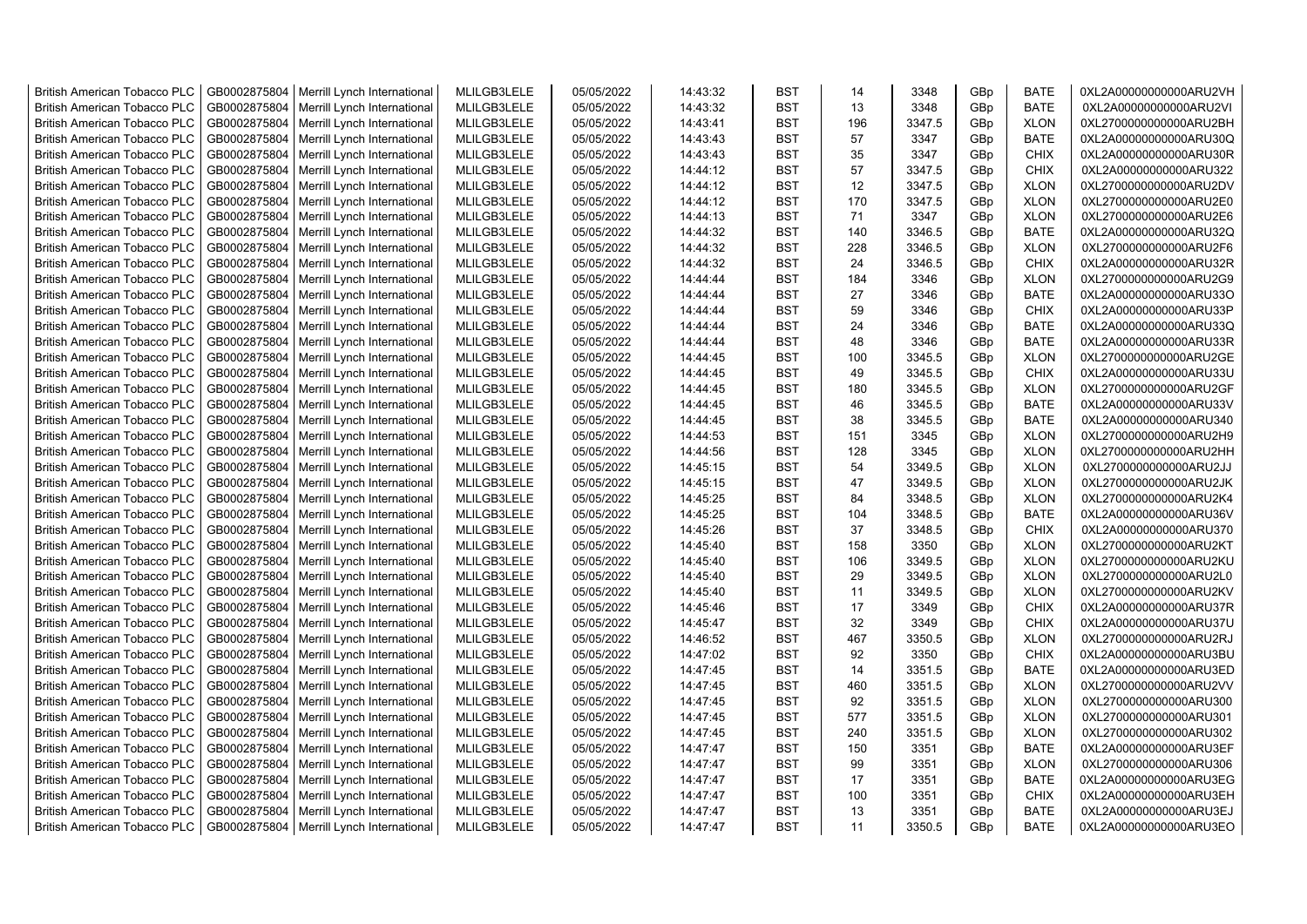| <b>British American Tobacco PLC</b><br>GB0002875804<br>Merrill Lynch International<br>MLILGB3LELE<br>05/05/2022<br>14:43:32<br><b>BST</b><br>14<br>3348<br>GBp<br><b>BATE</b>               | 0XL2A00000000000ARU2VH |
|---------------------------------------------------------------------------------------------------------------------------------------------------------------------------------------------|------------------------|
| GB0002875804<br>MLILGB3LELE<br>05/05/2022<br><b>BST</b><br>GBp<br><b>BATE</b><br><b>British American Tobacco PLC</b><br>Merrill Lynch International<br>14:43:32<br>13<br>3348               | 0XL2A00000000000ARU2VI |
| GB0002875804<br>3347.5<br><b>British American Tobacco PLC</b><br>Merrill Lynch International<br>MLILGB3LELE<br>05/05/2022<br>14:43:41<br><b>BST</b><br>196<br>GBp<br><b>XLON</b>            | 0XL2700000000000ARU2BH |
| <b>British American Tobacco PLC</b><br>GB0002875804<br>Merrill Lynch International<br>MLILGB3LELE<br>05/05/2022<br>14:43:43<br><b>BST</b><br>57<br>3347<br>GBp<br><b>BATE</b>               | 0XL2A00000000000ARU30Q |
| GB0002875804<br>MLILGB3LELE<br>05/05/2022<br>14:43:43<br><b>BST</b><br>35<br>3347<br>GBp<br><b>CHIX</b><br><b>British American Tobacco PLC</b><br>Merrill Lynch International               | 0XL2A00000000000ARU30R |
| MLILGB3LELE<br>57<br>GB0002875804<br>Merrill Lynch International<br>05/05/2022<br><b>BST</b><br>3347.5<br>GBp<br><b>CHIX</b><br><b>British American Tobacco PLC</b><br>14:44:12             | 0XL2A00000000000ARU322 |
| MLILGB3LELE<br>05/05/2022<br><b>BST</b><br>12<br>3347.5<br><b>XLON</b><br><b>British American Tobacco PLC</b><br>GB0002875804<br>Merrill Lynch International<br>14:44:12<br>GBp             | 0XL2700000000000ARU2DV |
| 3347.5<br><b>British American Tobacco PLC</b><br>GB0002875804<br>Merrill Lynch International<br>MLILGB3LELE<br>05/05/2022<br>14:44:12<br><b>BST</b><br>170<br>GBp<br><b>XLON</b>            | 0XL2700000000000ARU2E0 |
| GB0002875804<br>05/05/2022<br>3347<br><b>British American Tobacco PLC</b><br>Merrill Lynch International<br>MLILGB3LELE<br>14:44:13<br><b>BST</b><br>71<br>GBp<br><b>XLON</b>               | 0XL2700000000000ARU2E6 |
| GB0002875804<br>MLILGB3LELE<br>05/05/2022<br>14:44:32<br><b>BST</b><br>140<br>3346.5<br>GBp<br><b>BATE</b><br>British American Tobacco PLC<br>Merrill Lynch International                   | 0XL2A00000000000ARU32Q |
| GB0002875804<br>MLILGB3LELE<br>05/05/2022<br>3346.5<br><b>British American Tobacco PLC</b><br>Merrill Lynch International<br>14:44:32<br><b>BST</b><br>228<br>GBp<br><b>XLON</b>            | 0XL2700000000000ARU2F6 |
| GB0002875804<br>MLILGB3LELE<br><b>BST</b><br>24<br>3346.5<br><b>CHIX</b><br><b>British American Tobacco PLC</b><br>Merrill Lynch International<br>05/05/2022<br>14:44:32<br>GBp             | 0XL2A00000000000ARU32R |
| GB0002875804<br>MLILGB3LELE<br><b>British American Tobacco PLC</b><br>Merrill Lynch International<br>05/05/2022<br>14:44:44<br><b>BST</b><br>184<br>3346<br>GBp<br><b>XLON</b>              | 0XL2700000000000ARU2G9 |
| MLILGB3LELE<br>05/05/2022<br><b>BST</b><br>27<br><b>BATE</b><br><b>British American Tobacco PLC</b><br>GB0002875804<br>Merrill Lynch International<br>3346<br>GBp<br>14:44:44               | 0XL2A00000000000ARU33O |
| British American Tobacco PLC<br>GB0002875804<br>Merrill Lynch International<br>MLILGB3LELE<br>05/05/2022<br>14:44:44<br><b>BST</b><br>59<br>3346<br>GBp<br><b>CHIX</b>                      | 0XL2A00000000000ARU33P |
| <b>British American Tobacco PLC</b><br>GB0002875804<br>Merrill Lynch International<br>MLILGB3LELE<br>05/05/2022<br>14:44:44<br><b>BST</b><br>24<br>3346<br>GBp<br><b>BATE</b>               | 0XL2A00000000000ARU33Q |
| GB0002875804<br>MLILGB3LELE<br>05/05/2022<br>14:44:44<br><b>BST</b><br>48<br>3346<br><b>BATE</b><br><b>British American Tobacco PLC</b><br>Merrill Lynch International<br>GBp               | 0XL2A00000000000ARU33R |
| GB0002875804<br>MLILGB3LELE<br>05/05/2022<br><b>BST</b><br>100<br>3345.5<br><b>XLON</b><br><b>British American Tobacco PLC</b><br>Merrill Lynch International<br>14:44:45<br>GBp            | 0XL2700000000000ARU2GE |
| <b>CHIX</b><br>GB0002875804<br>MLILGB3LELE<br>05/05/2022<br><b>BST</b><br>49<br>3345.5<br>GBp<br><b>British American Tobacco PLC</b><br>Merrill Lynch International<br>14:44:45             | 0XL2A00000000000ARU33U |
| GB0002875804<br>MLILGB3LELE<br>05/05/2022<br>3345.5<br><b>British American Tobacco PLC</b><br>Merrill Lynch International<br>14:44:45<br><b>BST</b><br>180<br>GBp<br><b>XLON</b>            | 0XL2700000000000ARU2GF |
| GB0002875804<br>MLILGB3LELE<br>05/05/2022<br><b>BST</b><br>3345.5<br><b>BATE</b><br>British American Tobacco PLC<br>Merrill Lynch International<br>14:44:45<br>46<br>GBp                    | 0XL2A00000000000ARU33V |
| GB0002875804<br>MLILGB3LELE<br>05/05/2022<br>38<br>3345.5<br><b>BATE</b><br><b>British American Tobacco PLC</b><br>Merrill Lynch International<br>14:44:45<br><b>BST</b><br>GB <sub>p</sub> | 0XL2A00000000000ARU340 |
| <b>BST</b><br><b>XLON</b><br><b>British American Tobacco PLC</b><br>GB0002875804<br>Merrill Lynch International<br>MLILGB3LELE<br>05/05/2022<br>14:44:53<br>151<br>3345<br>GBp              | 0XL2700000000000ARU2H9 |
| <b>British American Tobacco PLC</b><br>GB0002875804<br>Merrill Lynch International<br>MLILGB3LELE<br>05/05/2022<br>14:44:56<br><b>BST</b><br>128<br>3345<br>GBp<br><b>XLON</b>              | 0XL2700000000000ARU2HH |
| 05/05/2022<br>3349.5<br><b>British American Tobacco PLC</b><br>GB0002875804<br>Merrill Lynch International<br>MLILGB3LELE<br>14:45:15<br><b>BST</b><br>54<br>GBp<br><b>XLON</b>             | 0XL2700000000000ARU2JJ |
| 47<br>3349.5<br>GB0002875804<br>MLILGB3LELE<br>05/05/2022<br>14:45:15<br><b>BST</b><br>GBp<br><b>XLON</b><br><b>British American Tobacco PLC</b><br>Merrill Lynch International             | 0XL2700000000000ARU2JK |
| GB0002875804<br>MLILGB3LELE<br>3348.5<br>05/05/2022<br>14:45:25<br><b>BST</b><br>84<br>GBp<br><b>XLON</b><br><b>British American Tobacco PLC</b><br>Merrill Lynch International             | 0XL2700000000000ARU2K4 |
| 3348.5<br><b>BATE</b><br>British American Tobacco PLC<br>GB0002875804<br>Merrill Lynch International<br>MLILGB3LELE<br>05/05/2022<br>14:45:25<br><b>BST</b><br>104<br>GBp                   | 0XL2A00000000000ARU36V |
| <b>British American Tobacco PLC</b><br>GB0002875804<br>Merrill Lynch International<br>MLILGB3LELE<br>05/05/2022<br>14:45:26<br><b>BST</b><br>37<br>3348.5<br><b>CHIX</b><br>GBp             | 0XL2A00000000000ARU370 |
| 3350<br>GB0002875804<br>MLILGB3LELE<br>05/05/2022<br>14:45:40<br><b>BST</b><br>158<br>GBp<br><b>XLON</b><br><b>British American Tobacco PLC</b><br>Merrill Lynch International              | 0XL2700000000000ARU2KT |
| GB0002875804<br>MLILGB3LELE<br>05/05/2022<br><b>BST</b><br>106<br>3349.5<br>GBp<br><b>XLON</b><br><b>British American Tobacco PLC</b><br>Merrill Lynch International<br>14:45:40            | 0XL2700000000000ARU2KU |
| 29<br>3349.5<br><b>British American Tobacco PLC</b><br>GB0002875804<br>Merrill Lynch International<br>MLILGB3LELE<br>05/05/2022<br>14:45:40<br><b>BST</b><br>GBp<br><b>XLON</b>             | 0XL2700000000000ARU2L0 |
| GB0002875804<br>MLILGB3LELE<br>05/05/2022<br><b>BST</b><br>3349.5<br><b>XLON</b><br><b>British American Tobacco PLC</b><br>Merrill Lynch International<br>14:45:40<br>11<br>GBp             | 0XL2700000000000ARU2KV |
| GB0002875804<br>MLILGB3LELE<br>05/05/2022<br>17<br>3349<br><b>CHIX</b><br>British American Tobacco PLC<br>Merrill Lynch International<br>14:45:46<br><b>BST</b><br>GBp                      | 0XL2A00000000000ARU37R |
| GB0002875804<br>MLILGB3LELE<br>05/05/2022<br><b>BST</b><br>32<br>3349<br>GBp<br><b>CHIX</b><br><b>British American Tobacco PLC</b><br>Merrill Lynch International<br>14:45:47               | 0XL2A00000000000ARU37U |
| GB0002875804<br>MLILGB3LELE<br><b>BST</b><br>Merrill Lynch International<br>05/05/2022<br>14:46:52<br>467<br>3350.5<br>GBp<br><b>XLON</b><br><b>British American Tobacco PLC</b>            | 0XL2700000000000ARU2RJ |
| 92<br>3350<br><b>CHIX</b><br><b>British American Tobacco PLC</b><br>GB0002875804<br>Merrill Lynch International<br>MLILGB3LELE<br>05/05/2022<br>14:47:02<br><b>BST</b><br>GBp               | 0XL2A00000000000ARU3BU |
| GB0002875804<br>MLILGB3LELE<br><b>British American Tobacco PLC</b><br>Merrill Lynch International<br>05/05/2022<br>14:47:45<br><b>BST</b><br>14<br>3351.5<br>GBp<br><b>BATE</b>             | 0XL2A00000000000ARU3ED |
| GB0002875804<br>Merrill Lynch International<br>MLILGB3LELE<br>05/05/2022<br>14:47:45<br><b>BST</b><br>460<br>3351.5<br>GBp<br><b>XLON</b><br><b>British American Tobacco PLC</b>            | 0XL2700000000000ARU2VV |
| GB0002875804<br>MLILGB3LELE<br>05/05/2022<br>14:47:45<br><b>BST</b><br>92<br>3351.5<br>GBp<br><b>XLON</b><br><b>British American Tobacco PLC</b><br>Merrill Lynch International             | 0XL2700000000000ARU300 |
| <b>British American Tobacco PLC</b><br>GB0002875804<br>MLILGB3LELE<br>05/05/2022<br><b>BST</b><br>3351.5<br><b>XLON</b><br>Merrill Lynch International<br>14:47:45<br>577<br>GBp            | 0XL2700000000000ARU301 |
| GB0002875804<br>Merrill Lynch International<br>MLILGB3LELE<br>05/05/2022<br>14:47:45<br><b>BST</b><br>240<br>3351.5<br>GBp<br><b>XLON</b><br><b>British American Tobacco PLC</b>            | 0XL2700000000000ARU302 |
| GB0002875804<br>MLILGB3LELE<br>05/05/2022<br><b>BST</b><br>3351<br><b>BATE</b><br><b>British American Tobacco PLC</b><br>Merrill Lynch International<br>14:47:47<br>150<br>GBp              | 0XL2A00000000000ARU3EF |
| GB0002875804<br>MLILGB3LELE<br>05/05/2022<br><b>BST</b><br>99<br>3351<br><b>XLON</b><br>British American Tobacco PLC<br>Merrill Lynch International<br>14:47:47<br>GBp                      | 0XL2700000000000ARU306 |
| MLILGB3LELE<br>British American Tobacco PLC<br>GB0002875804<br>Merrill Lynch International<br>05/05/2022<br>14:47:47<br><b>BST</b><br>17<br>3351<br>GBp<br><b>BATE</b>                      | 0XL2A00000000000ARU3EG |
| MLILGB3LELE<br>05/05/2022<br><b>BST</b><br>100<br>3351<br><b>British American Tobacco PLC</b><br>GB0002875804<br>Merrill Lynch International<br>14:47:47<br>GBp<br><b>CHIX</b>              | 0XL2A00000000000ARU3EH |
| GB0002875804<br>MLILGB3LELE<br>05/05/2022<br>14:47:47<br><b>BST</b><br>GBp<br><b>BATE</b><br><b>British American Tobacco PLC</b><br>Merrill Lynch International<br>13<br>3351               | 0XL2A00000000000ARU3EJ |
| GB0002875804<br><b>BST</b><br><b>BATE</b><br><b>British American Tobacco PLC</b><br>Merrill Lynch International<br>MLILGB3LELE<br>05/05/2022<br>14:47:47<br>11<br>3350.5<br>GB <sub>p</sub> | 0XL2A00000000000ARU3EO |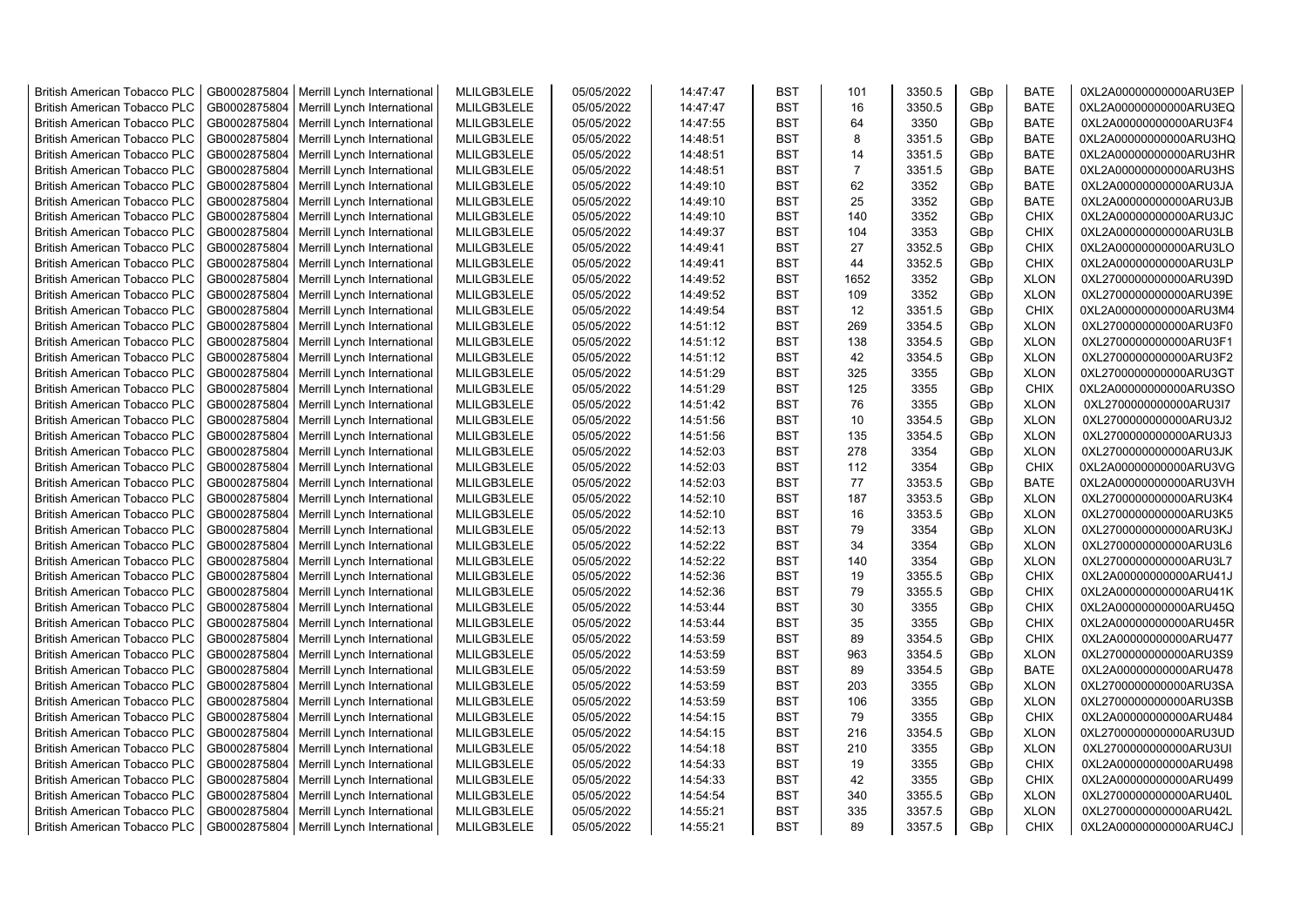| <b>British American Tobacco PLC</b> | GB0002875804 | Merrill Lynch International | MLILGB3LELE | 05/05/2022 | 14:47:47 | <b>BST</b> | 101            | 3350.5 | GBp             | <b>BATE</b> | 0XL2A00000000000ARU3EP |
|-------------------------------------|--------------|-----------------------------|-------------|------------|----------|------------|----------------|--------|-----------------|-------------|------------------------|
| <b>British American Tobacco PLC</b> | GB0002875804 | Merrill Lynch International | MLILGB3LELE | 05/05/2022 | 14:47:47 | <b>BST</b> | 16             | 3350.5 | GBp             | <b>BATE</b> | 0XL2A00000000000ARU3EQ |
| <b>British American Tobacco PLC</b> | GB0002875804 | Merrill Lynch International | MLILGB3LELE | 05/05/2022 | 14:47:55 | <b>BST</b> | 64             | 3350   | GBp             | <b>BATE</b> | 0XL2A00000000000ARU3F4 |
| <b>British American Tobacco PLC</b> | GB0002875804 | Merrill Lynch International | MLILGB3LELE | 05/05/2022 | 14:48:51 | <b>BST</b> | 8              | 3351.5 | GBp             | <b>BATE</b> | 0XL2A00000000000ARU3HQ |
| British American Tobacco PLC        | GB0002875804 | Merrill Lynch International | MLILGB3LELE | 05/05/2022 | 14:48:51 | <b>BST</b> | 14             | 3351.5 | GBp             | <b>BATE</b> | 0XL2A00000000000ARU3HR |
| <b>British American Tobacco PLC</b> | GB0002875804 | Merrill Lynch International | MLILGB3LELE | 05/05/2022 | 14:48:51 | <b>BST</b> | $\overline{7}$ | 3351.5 | GBp             | <b>BATE</b> | 0XL2A00000000000ARU3HS |
| <b>British American Tobacco PLC</b> | GB0002875804 | Merrill Lynch International | MLILGB3LELE | 05/05/2022 | 14:49:10 | <b>BST</b> | 62             | 3352   | GBp             | <b>BATE</b> | 0XL2A00000000000ARU3JA |
| <b>British American Tobacco PLC</b> | GB0002875804 | Merrill Lynch International | MLILGB3LELE | 05/05/2022 | 14:49:10 | <b>BST</b> | 25             | 3352   | GBp             | <b>BATE</b> | 0XL2A00000000000ARU3JB |
| <b>British American Tobacco PLC</b> | GB0002875804 | Merrill Lynch International | MLILGB3LELE | 05/05/2022 | 14:49:10 | <b>BST</b> | 140            | 3352   | GBp             | <b>CHIX</b> | 0XL2A00000000000ARU3JC |
| <b>British American Tobacco PLC</b> | GB0002875804 | Merrill Lynch International | MLILGB3LELE | 05/05/2022 | 14:49:37 | <b>BST</b> | 104            | 3353   | GBp             | <b>CHIX</b> | 0XL2A00000000000ARU3LB |
| <b>British American Tobacco PLC</b> | GB0002875804 | Merrill Lynch International | MLILGB3LELE | 05/05/2022 | 14:49:41 | <b>BST</b> | 27             | 3352.5 | GBp             | <b>CHIX</b> | 0XL2A00000000000ARU3LO |
| British American Tobacco PLC        | GB0002875804 | Merrill Lynch International | MLILGB3LELE | 05/05/2022 | 14:49:41 | <b>BST</b> | 44             | 3352.5 | GBp             | <b>CHIX</b> | 0XL2A00000000000ARU3LP |
| <b>British American Tobacco PLC</b> | GB0002875804 | Merrill Lynch International | MLILGB3LELE | 05/05/2022 | 14:49:52 | <b>BST</b> | 1652           | 3352   | GB <sub>p</sub> | <b>XLON</b> | 0XL2700000000000ARU39D |
| <b>British American Tobacco PLC</b> | GB0002875804 | Merrill Lynch International | MLILGB3LELE | 05/05/2022 | 14:49:52 | <b>BST</b> | 109            | 3352   | GBp             | <b>XLON</b> | 0XL2700000000000ARU39E |
| <b>British American Tobacco PLC</b> | GB0002875804 | Merrill Lynch International | MLILGB3LELE | 05/05/2022 | 14:49:54 | <b>BST</b> | 12             | 3351.5 | GBp             | <b>CHIX</b> | 0XL2A00000000000ARU3M4 |
| <b>British American Tobacco PLC</b> | GB0002875804 | Merrill Lynch International | MLILGB3LELE | 05/05/2022 | 14:51:12 | <b>BST</b> | 269            | 3354.5 | GBp             | <b>XLON</b> | 0XL2700000000000ARU3F0 |
| <b>British American Tobacco PLC</b> | GB0002875804 | Merrill Lynch International | MLILGB3LELE | 05/05/2022 | 14:51:12 | <b>BST</b> | 138            | 3354.5 | GBp             | <b>XLON</b> | 0XL2700000000000ARU3F1 |
| <b>British American Tobacco PLC</b> | GB0002875804 | Merrill Lynch International | MLILGB3LELE | 05/05/2022 | 14:51:12 | <b>BST</b> | 42             | 3354.5 | GBp             | <b>XLON</b> | 0XL2700000000000ARU3F2 |
| <b>British American Tobacco PLC</b> | GB0002875804 | Merrill Lynch International | MLILGB3LELE | 05/05/2022 | 14:51:29 | <b>BST</b> | 325            | 3355   | GBp             | <b>XLON</b> | 0XL2700000000000ARU3GT |
| <b>British American Tobacco PLC</b> | GB0002875804 |                             | MLILGB3LELE | 05/05/2022 | 14:51:29 | <b>BST</b> | 125            | 3355   | GBp             | <b>CHIX</b> | 0XL2A00000000000ARU3SO |
| <b>British American Tobacco PLC</b> |              | Merrill Lynch International |             |            | 14:51:42 | <b>BST</b> | 76             |        | GBp             |             |                        |
|                                     | GB0002875804 | Merrill Lynch International | MLILGB3LELE | 05/05/2022 |          |            | 10             | 3355   |                 | <b>XLON</b> | 0XL2700000000000ARU3I7 |
| <b>British American Tobacco PLC</b> | GB0002875804 | Merrill Lynch International | MLILGB3LELE | 05/05/2022 | 14:51:56 | <b>BST</b> |                | 3354.5 | GBp             | <b>XLON</b> | 0XL2700000000000ARU3J2 |
| <b>British American Tobacco PLC</b> | GB0002875804 | Merrill Lynch International | MLILGB3LELE | 05/05/2022 | 14:51:56 | <b>BST</b> | 135            | 3354.5 | GBp             | <b>XLON</b> | 0XL2700000000000ARU3J3 |
| <b>British American Tobacco PLC</b> | GB0002875804 | Merrill Lynch International | MLILGB3LELE | 05/05/2022 | 14:52:03 | <b>BST</b> | 278            | 3354   | GBp             | <b>XLON</b> | 0XL2700000000000ARU3JK |
| <b>British American Tobacco PLC</b> | GB0002875804 | Merrill Lynch International | MLILGB3LELE | 05/05/2022 | 14:52:03 | <b>BST</b> | 112            | 3354   | GBp             | <b>CHIX</b> | 0XL2A00000000000ARU3VG |
| British American Tobacco PLC        | GB0002875804 | Merrill Lynch International | MLILGB3LELE | 05/05/2022 | 14:52:03 | <b>BST</b> | 77             | 3353.5 | GBp             | <b>BATE</b> | 0XL2A00000000000ARU3VH |
| British American Tobacco PLC        | GB0002875804 | Merrill Lynch International | MLILGB3LELE | 05/05/2022 | 14:52:10 | <b>BST</b> | 187            | 3353.5 | GBp             | <b>XLON</b> | 0XL2700000000000ARU3K4 |
| British American Tobacco PLC        | GB0002875804 | Merrill Lynch International | MLILGB3LELE | 05/05/2022 | 14:52:10 | <b>BST</b> | 16             | 3353.5 | GBp             | <b>XLON</b> | 0XL2700000000000ARU3K5 |
| <b>British American Tobacco PLC</b> | GB0002875804 | Merrill Lynch International | MLILGB3LELE | 05/05/2022 | 14:52:13 | <b>BST</b> | 79             | 3354   | GBp             | <b>XLON</b> | 0XL2700000000000ARU3KJ |
| <b>British American Tobacco PLC</b> | GB0002875804 | Merrill Lynch International | MLILGB3LELE | 05/05/2022 | 14:52:22 | <b>BST</b> | 34             | 3354   | GBp             | <b>XLON</b> | 0XL2700000000000ARU3L6 |
| <b>British American Tobacco PLC</b> | GB0002875804 | Merrill Lynch International | MLILGB3LELE | 05/05/2022 | 14:52:22 | <b>BST</b> | 140            | 3354   | GBp             | <b>XLON</b> | 0XL2700000000000ARU3L7 |
| <b>British American Tobacco PLC</b> | GB0002875804 | Merrill Lynch International | MLILGB3LELE | 05/05/2022 | 14:52:36 | <b>BST</b> | 19             | 3355.5 | GBp             | <b>CHIX</b> | 0XL2A00000000000ARU41J |
| <b>British American Tobacco PLC</b> | GB0002875804 | Merrill Lynch International | MLILGB3LELE | 05/05/2022 | 14:52:36 | <b>BST</b> | 79             | 3355.5 | GBp             | <b>CHIX</b> | 0XL2A00000000000ARU41K |
| <b>British American Tobacco PLC</b> | GB0002875804 | Merrill Lynch International | MLILGB3LELE | 05/05/2022 | 14:53:44 | <b>BST</b> | 30             | 3355   | GBp             | <b>CHIX</b> | 0XL2A00000000000ARU45Q |
| British American Tobacco PLC        | GB0002875804 | Merrill Lynch International | MLILGB3LELE | 05/05/2022 | 14:53:44 | <b>BST</b> | 35             | 3355   | GBp             | <b>CHIX</b> | 0XL2A00000000000ARU45R |
| <b>British American Tobacco PLC</b> | GB0002875804 | Merrill Lynch International | MLILGB3LELE | 05/05/2022 | 14:53:59 | <b>BST</b> | 89             | 3354.5 | GBp             | <b>CHIX</b> | 0XL2A00000000000ARU477 |
| British American Tobacco PLC        | GB0002875804 | Merrill Lynch International | MLILGB3LELE | 05/05/2022 | 14:53:59 | <b>BST</b> | 963            | 3354.5 | GBp             | <b>XLON</b> | 0XL2700000000000ARU3S9 |
| <b>British American Tobacco PLC</b> | GB0002875804 | Merrill Lynch International | MLILGB3LELE | 05/05/2022 | 14:53:59 | <b>BST</b> | 89             | 3354.5 | GBp             | <b>BATE</b> | 0XL2A00000000000ARU478 |
| <b>British American Tobacco PLC</b> | GB0002875804 | Merrill Lynch International | MLILGB3LELE | 05/05/2022 | 14:53:59 | <b>BST</b> | 203            | 3355   | GBp             | <b>XLON</b> | 0XL2700000000000ARU3SA |
| <b>British American Tobacco PLC</b> | GB0002875804 | Merrill Lynch International | MLILGB3LELE | 05/05/2022 | 14:53:59 | <b>BST</b> | 106            | 3355   | GBp             | <b>XLON</b> | 0XL2700000000000ARU3SB |
| British American Tobacco PLC        | GB0002875804 | Merrill Lynch International | MLILGB3LELE | 05/05/2022 | 14:54:15 | <b>BST</b> | 79             | 3355   | GBp             | <b>CHIX</b> | 0XL2A00000000000ARU484 |
| <b>British American Tobacco PLC</b> | GB0002875804 | Merrill Lynch International | MLILGB3LELE | 05/05/2022 | 14:54:15 | <b>BST</b> | 216            | 3354.5 | GBp             | <b>XLON</b> | 0XL2700000000000ARU3UD |
| British American Tobacco PLC        | GB0002875804 | Merrill Lynch International | MLILGB3LELE | 05/05/2022 | 14:54:18 | <b>BST</b> | 210            | 3355   | GBp             | <b>XLON</b> | 0XL2700000000000ARU3UI |
| British American Tobacco PLC        | GB0002875804 | Merrill Lynch International | MLILGB3LELE | 05/05/2022 | 14:54:33 | <b>BST</b> | 19             | 3355   | GBp             | <b>CHIX</b> | 0XL2A00000000000ARU498 |
| <b>British American Tobacco PLC</b> | GB0002875804 | Merrill Lynch International | MLILGB3LELE | 05/05/2022 | 14:54:33 | <b>BST</b> | 42             | 3355   | GBp             | <b>CHIX</b> | 0XL2A00000000000ARU499 |
| <b>British American Tobacco PLC</b> | GB0002875804 | Merrill Lynch International | MLILGB3LELE | 05/05/2022 | 14:54:54 | <b>BST</b> | 340            | 3355.5 | GBp             | <b>XLON</b> | 0XL2700000000000ARU40L |
| <b>British American Tobacco PLC</b> | GB0002875804 | Merrill Lynch International | MLILGB3LELE | 05/05/2022 | 14:55:21 | <b>BST</b> | 335            | 3357.5 | GBp             | <b>XLON</b> | 0XL2700000000000ARU42L |
| <b>British American Tobacco PLC</b> | GB0002875804 | Merrill Lynch International | MLILGB3LELE | 05/05/2022 | 14:55:21 | <b>BST</b> | 89             | 3357.5 | GB <sub>p</sub> | <b>CHIX</b> | 0XL2A00000000000ARU4CJ |